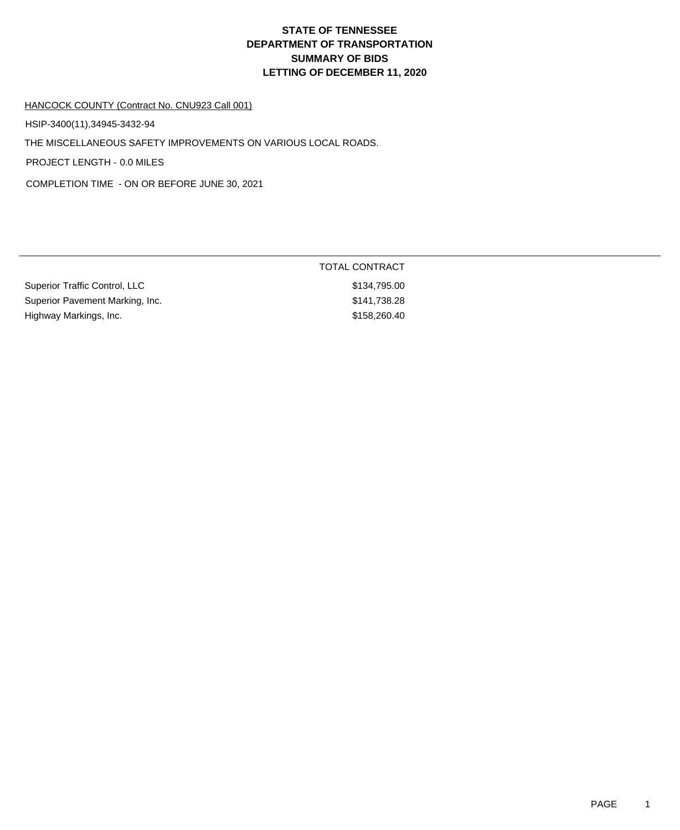# **DEPARTMENT OF TRANSPORTATION SUMMARY OF BIDS LETTING OF DECEMBER 11, 2020 STATE OF TENNESSEE**

### HANCOCK COUNTY (Contract No. CNU923 Call 001)

HSIP-3400(11),34945-3432-94

THE MISCELLANEOUS SAFETY IMPROVEMENTS ON VARIOUS LOCAL ROADS.

PROJECT LENGTH - 0.0 MILES

COMPLETION TIME - ON OR BEFORE JUNE 30, 2021

|                                 | TOTAL CONTRACT |
|---------------------------------|----------------|
| Superior Traffic Control, LLC   | \$134.795.00   |
| Superior Pavement Marking, Inc. | \$141.738.28   |
| Highway Markings, Inc.          | \$158,260.40   |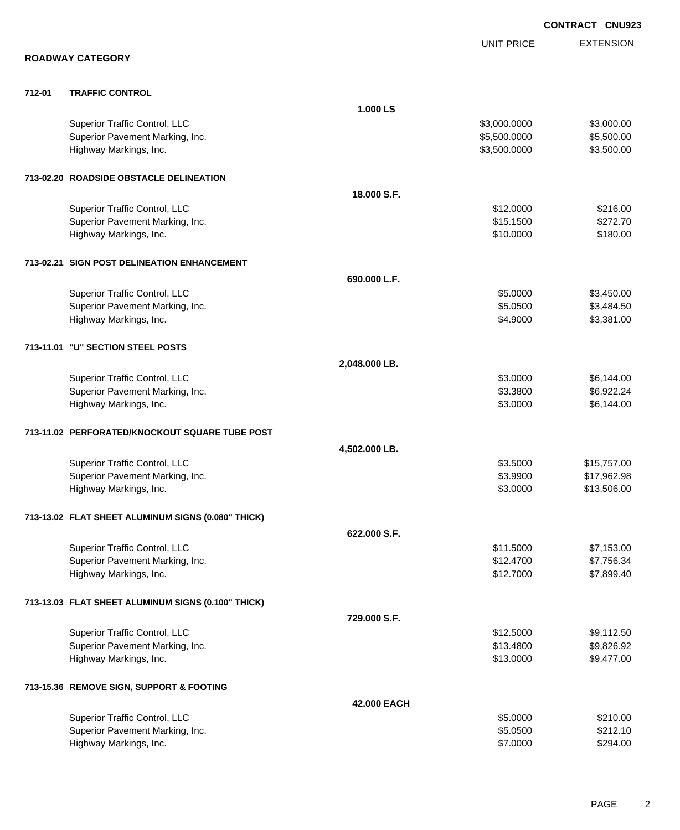|        |                                                    |               |                   | <b>CONTRACT CNU923</b> |
|--------|----------------------------------------------------|---------------|-------------------|------------------------|
|        |                                                    |               | <b>UNIT PRICE</b> | <b>EXTENSION</b>       |
|        | <b>ROADWAY CATEGORY</b>                            |               |                   |                        |
| 712-01 | <b>TRAFFIC CONTROL</b>                             |               |                   |                        |
|        |                                                    | 1.000 LS      |                   |                        |
|        | Superior Traffic Control, LLC                      |               | \$3,000.0000      | \$3,000.00             |
|        | Superior Pavement Marking, Inc.                    |               | \$5,500.0000      | \$5,500.00             |
|        | Highway Markings, Inc.                             |               | \$3,500.0000      | \$3,500.00             |
|        | 713-02.20 ROADSIDE OBSTACLE DELINEATION            |               |                   |                        |
|        |                                                    | 18.000 S.F.   |                   |                        |
|        | Superior Traffic Control, LLC                      |               | \$12.0000         | \$216.00               |
|        | Superior Pavement Marking, Inc.                    |               | \$15.1500         | \$272.70               |
|        | Highway Markings, Inc.                             |               | \$10.0000         | \$180.00               |
|        | 713-02.21 SIGN POST DELINEATION ENHANCEMENT        |               |                   |                        |
|        |                                                    | 690.000 L.F.  |                   |                        |
|        | Superior Traffic Control, LLC                      |               | \$5.0000          | \$3,450.00             |
|        | Superior Pavement Marking, Inc.                    |               | \$5.0500          | \$3,484.50             |
|        | Highway Markings, Inc.                             |               | \$4.9000          | \$3,381.00             |
|        | 713-11.01 "U" SECTION STEEL POSTS                  |               |                   |                        |
|        |                                                    | 2,048.000 LB. |                   |                        |
|        | Superior Traffic Control, LLC                      |               | \$3.0000          | \$6,144.00             |
|        | Superior Pavement Marking, Inc.                    |               | \$3.3800          | \$6,922.24             |
|        | Highway Markings, Inc.                             |               | \$3.0000          | \$6,144.00             |
|        | 713-11.02 PERFORATED/KNOCKOUT SQUARE TUBE POST     |               |                   |                        |
|        |                                                    | 4,502.000 LB. |                   |                        |
|        | Superior Traffic Control, LLC                      |               | \$3.5000          | \$15,757.00            |
|        | Superior Pavement Marking, Inc.                    |               | \$3.9900          | \$17,962.98            |
|        | Highway Markings, Inc.                             |               | \$3.0000          | \$13,506.00            |
|        | 713-13.02 FLAT SHEET ALUMINUM SIGNS (0.080" THICK) |               |                   |                        |
|        |                                                    | 622.000 S.F.  |                   |                        |
|        | Superior Traffic Control, LLC                      |               | \$11.5000         | \$7,153.00             |
|        | Superior Pavement Marking, Inc.                    |               | \$12.4700         | \$7,756.34             |
|        | Highway Markings, Inc.                             |               | \$12.7000         | \$7,899.40             |
|        | 713-13.03 FLAT SHEET ALUMINUM SIGNS (0.100" THICK) |               |                   |                        |
|        |                                                    | 729.000 S.F.  |                   |                        |
|        | Superior Traffic Control, LLC                      |               | \$12.5000         | \$9,112.50             |
|        | Superior Pavement Marking, Inc.                    |               | \$13.4800         | \$9,826.92             |
|        | Highway Markings, Inc.                             |               | \$13.0000         | \$9,477.00             |
|        | 713-15.36 REMOVE SIGN, SUPPORT & FOOTING           |               |                   |                        |
|        |                                                    | 42.000 EACH   |                   |                        |
|        | Superior Traffic Control, LLC                      |               | \$5.0000          | \$210.00               |
|        | Superior Pavement Marking, Inc.                    |               | \$5.0500          | \$212.10               |
|        | Highway Markings, Inc.                             |               | \$7.0000          | \$294.00               |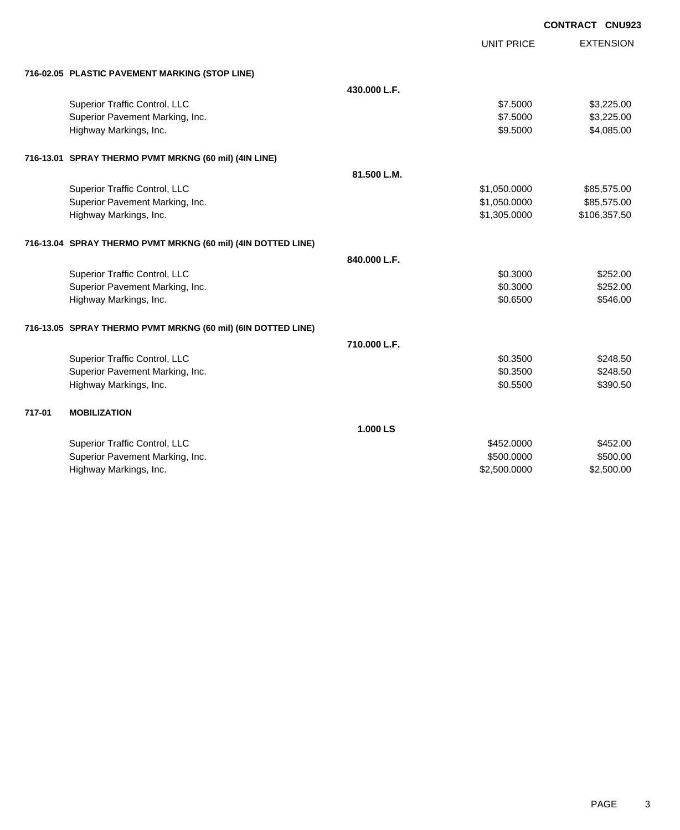|        |                                                              |              |                   | <b>CONTRACT CNU923</b> |
|--------|--------------------------------------------------------------|--------------|-------------------|------------------------|
|        |                                                              |              | <b>UNIT PRICE</b> | <b>EXTENSION</b>       |
|        | 716-02.05 PLASTIC PAVEMENT MARKING (STOP LINE)               |              |                   |                        |
|        |                                                              | 430.000 L.F. |                   |                        |
|        | Superior Traffic Control, LLC                                |              | \$7.5000          | \$3,225.00             |
|        | Superior Pavement Marking, Inc.                              |              | \$7.5000          | \$3,225.00             |
|        | Highway Markings, Inc.                                       |              | \$9.5000          | \$4,085.00             |
|        | 716-13.01 SPRAY THERMO PVMT MRKNG (60 mil) (4IN LINE)        |              |                   |                        |
|        |                                                              | 81.500 L.M.  |                   |                        |
|        | Superior Traffic Control, LLC                                |              | \$1,050.0000      | \$85,575.00            |
|        | Superior Pavement Marking, Inc.                              |              | \$1,050.0000      | \$85,575.00            |
|        | Highway Markings, Inc.                                       |              | \$1,305.0000      | \$106,357.50           |
|        | 716-13.04 SPRAY THERMO PVMT MRKNG (60 mil) (4IN DOTTED LINE) |              |                   |                        |
|        |                                                              | 840.000 L.F. |                   |                        |
|        | Superior Traffic Control, LLC                                |              | \$0.3000          | \$252.00               |
|        | Superior Pavement Marking, Inc.                              |              | \$0.3000          | \$252.00               |
|        | Highway Markings, Inc.                                       |              | \$0.6500          | \$546.00               |
|        | 716-13.05 SPRAY THERMO PVMT MRKNG (60 mil) (6IN DOTTED LINE) |              |                   |                        |
|        |                                                              | 710.000 L.F. |                   |                        |
|        | Superior Traffic Control, LLC                                |              | \$0.3500          | \$248.50               |
|        | Superior Pavement Marking, Inc.                              |              | \$0.3500          | \$248.50               |
|        | Highway Markings, Inc.                                       |              | \$0.5500          | \$390.50               |
| 717-01 | <b>MOBILIZATION</b>                                          |              |                   |                        |
|        |                                                              | 1.000 LS     |                   |                        |
|        | Superior Traffic Control, LLC                                |              | \$452.0000        | \$452.00               |
|        | Superior Pavement Marking, Inc.                              |              | \$500.0000        | \$500.00               |
|        | Highway Markings, Inc.                                       |              | \$2,500.0000      | \$2,500.00             |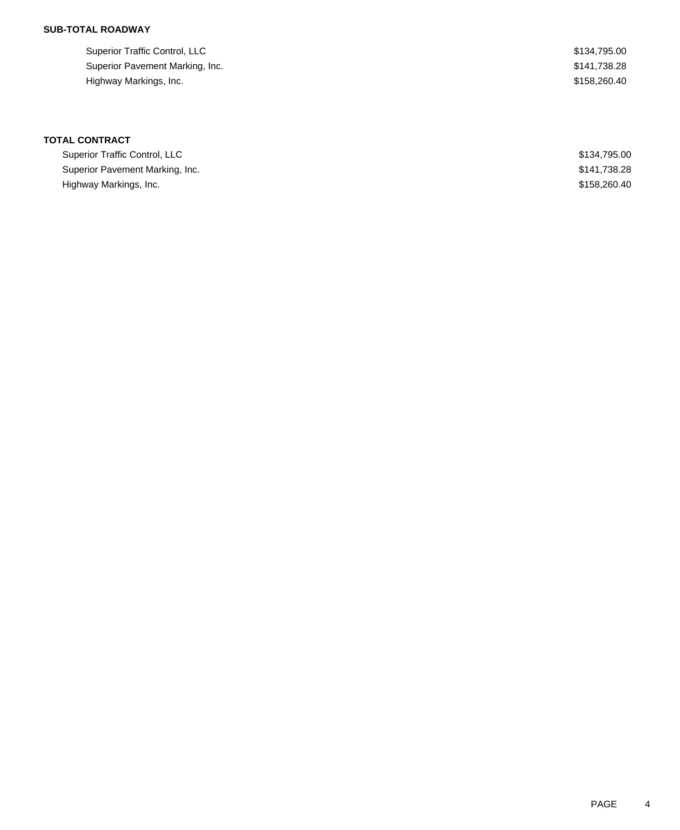## **SUB-TOTAL ROADWAY**

| Superior Traffic Control, LLC   | \$134.795.00 |
|---------------------------------|--------------|
| Superior Pavement Marking, Inc. | \$141.738.28 |
| Highway Markings, Inc.          | \$158,260,40 |

# **TOTAL CONTRACT**

| Superior Traffic Control, LLC   | \$134,795,00 |
|---------------------------------|--------------|
| Superior Pavement Marking, Inc. | \$141.738.28 |
| Highway Markings, Inc.          | \$158,260,40 |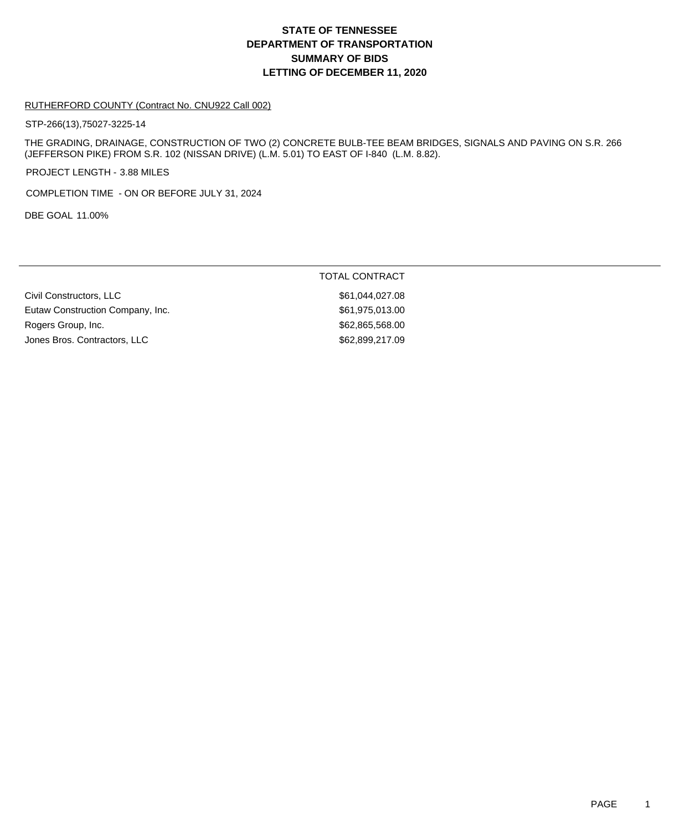## **DEPARTMENT OF TRANSPORTATION SUMMARY OF BIDS LETTING OF DECEMBER 11, 2020 STATE OF TENNESSEE**

#### RUTHERFORD COUNTY (Contract No. CNU922 Call 002)

STP-266(13),75027-3225-14

THE GRADING, DRAINAGE, CONSTRUCTION OF TWO (2) CONCRETE BULB-TEE BEAM BRIDGES, SIGNALS AND PAVING ON S.R. 266 (JEFFERSON PIKE) FROM S.R. 102 (NISSAN DRIVE) (L.M. 5.01) TO EAST OF I-840 (L.M. 8.82).

TOTAL CONTRACT

PROJECT LENGTH - 3.88 MILES

COMPLETION TIME - ON OR BEFORE JULY 31, 2024

DBE GOAL 11.00%

| \$61.044.027.08 |
|-----------------|
| \$61,975,013.00 |
| \$62.865.568.00 |
| \$62,899,217.09 |
|                 |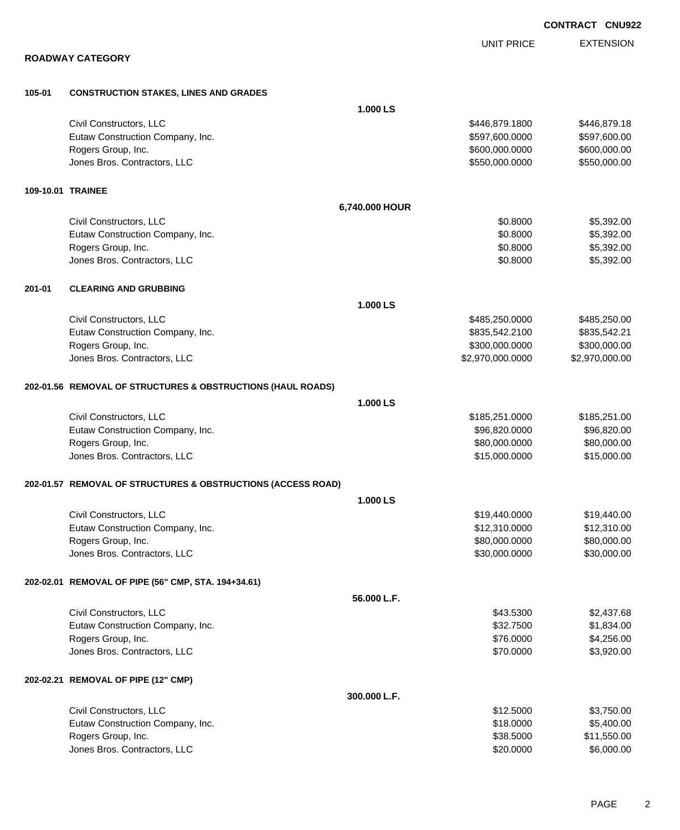|                   |                                                              |                | <b>UNIT PRICE</b> | <b>EXTENSION</b> |
|-------------------|--------------------------------------------------------------|----------------|-------------------|------------------|
|                   | <b>ROADWAY CATEGORY</b>                                      |                |                   |                  |
| 105-01            | <b>CONSTRUCTION STAKES, LINES AND GRADES</b>                 |                |                   |                  |
|                   |                                                              | 1.000 LS       |                   |                  |
|                   | Civil Constructors, LLC                                      |                | \$446,879.1800    | \$446,879.18     |
|                   | Eutaw Construction Company, Inc.                             |                | \$597,600.0000    | \$597,600.00     |
|                   | Rogers Group, Inc.                                           |                | \$600,000.0000    | \$600,000.00     |
|                   | Jones Bros. Contractors, LLC                                 |                | \$550,000.0000    | \$550,000.00     |
| 109-10.01 TRAINEE |                                                              |                |                   |                  |
|                   |                                                              | 6,740.000 HOUR |                   |                  |
|                   | Civil Constructors, LLC                                      |                | \$0.8000          | \$5,392.00       |
|                   | Eutaw Construction Company, Inc.                             |                | \$0.8000          | \$5,392.00       |
|                   | Rogers Group, Inc.                                           |                | \$0.8000          | \$5,392.00       |
|                   | Jones Bros. Contractors, LLC                                 |                | \$0.8000          | \$5,392.00       |
| 201-01            | <b>CLEARING AND GRUBBING</b>                                 |                |                   |                  |
|                   |                                                              | 1.000 LS       |                   |                  |
|                   | Civil Constructors, LLC                                      |                | \$485,250.0000    | \$485,250.00     |
|                   | Eutaw Construction Company, Inc.                             |                | \$835,542.2100    | \$835,542.21     |
|                   | Rogers Group, Inc.                                           |                | \$300,000.0000    | \$300,000.00     |
|                   | Jones Bros. Contractors, LLC                                 |                | \$2,970,000.0000  | \$2,970,000.00   |
|                   | 202-01.56 REMOVAL OF STRUCTURES & OBSTRUCTIONS (HAUL ROADS)  |                |                   |                  |
|                   |                                                              | 1.000 LS       |                   |                  |
|                   | Civil Constructors, LLC                                      |                | \$185,251.0000    | \$185,251.00     |
|                   | Eutaw Construction Company, Inc.                             |                | \$96,820.0000     | \$96,820.00      |
|                   | Rogers Group, Inc.                                           |                | \$80,000.0000     | \$80,000.00      |
|                   | Jones Bros. Contractors, LLC                                 |                | \$15,000.0000     | \$15,000.00      |
|                   | 202-01.57 REMOVAL OF STRUCTURES & OBSTRUCTIONS (ACCESS ROAD) |                |                   |                  |
|                   |                                                              | 1.000 LS       |                   |                  |
|                   | Civil Constructors, LLC                                      |                | \$19,440.0000     | \$19,440.00      |
|                   | Eutaw Construction Company, Inc.                             |                | \$12,310.0000     | \$12,310.00      |
|                   | Rogers Group, Inc.                                           |                | \$80,000.0000     | \$80,000.00      |
|                   | Jones Bros. Contractors, LLC                                 |                | \$30,000.0000     | \$30,000.00      |
|                   | 202-02.01 REMOVAL OF PIPE (56" CMP, STA. 194+34.61)          |                |                   |                  |
|                   |                                                              | 56.000 L.F.    |                   |                  |
|                   | Civil Constructors, LLC                                      |                | \$43.5300         | \$2,437.68       |
|                   | Eutaw Construction Company, Inc.                             |                | \$32.7500         | \$1,834.00       |
|                   | Rogers Group, Inc.                                           |                | \$76.0000         | \$4,256.00       |
|                   | Jones Bros. Contractors, LLC                                 |                | \$70.0000         | \$3,920.00       |
|                   | 202-02.21 REMOVAL OF PIPE (12" CMP)                          |                |                   |                  |
|                   |                                                              | 300.000 L.F.   |                   |                  |
|                   | Civil Constructors, LLC                                      |                | \$12.5000         | \$3,750.00       |
|                   | Eutaw Construction Company, Inc.                             |                | \$18.0000         | \$5,400.00       |
|                   | Rogers Group, Inc.                                           |                | \$38.5000         | \$11,550.00      |

Unnes Bros. Contractors, LLC 6,000.00

**CONTRACT CNU922**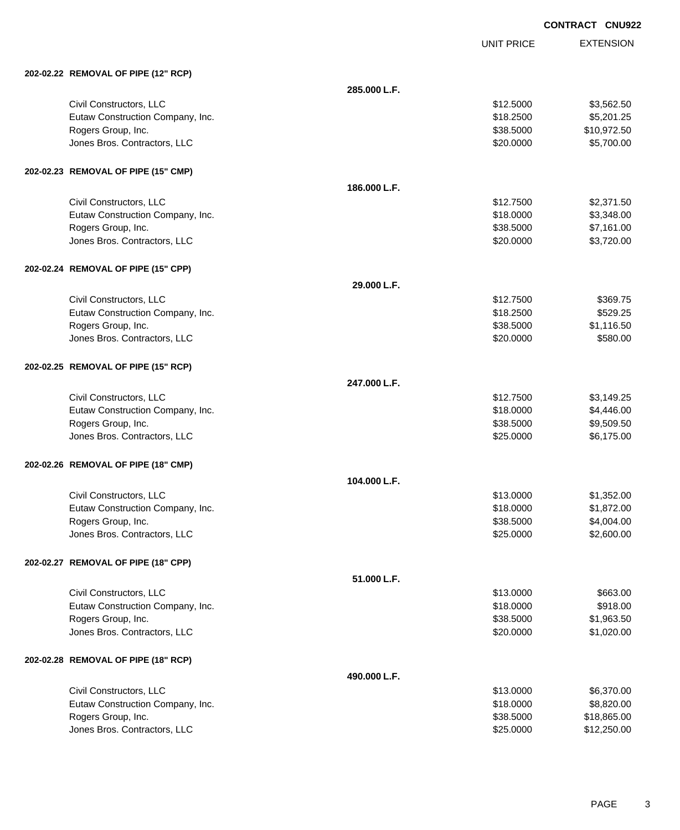UNIT PRICE

| 202-02.22 REMOVAL OF PIPE (12" RCP) |  |
|-------------------------------------|--|
|                                     |  |

| 202-02.22 REMOVAL OF PIPE (12" RCP) |              |           |             |
|-------------------------------------|--------------|-----------|-------------|
|                                     | 285.000 L.F. |           |             |
| Civil Constructors, LLC             |              | \$12.5000 | \$3,562.50  |
| Eutaw Construction Company, Inc.    |              | \$18.2500 | \$5,201.25  |
| Rogers Group, Inc.                  |              | \$38.5000 | \$10,972.50 |
| Jones Bros. Contractors, LLC        |              | \$20.0000 | \$5,700.00  |
| 202-02.23 REMOVAL OF PIPE (15" CMP) |              |           |             |
|                                     | 186.000 L.F. |           |             |
| Civil Constructors, LLC             |              | \$12.7500 | \$2,371.50  |
| Eutaw Construction Company, Inc.    |              | \$18.0000 | \$3,348.00  |
| Rogers Group, Inc.                  |              | \$38.5000 | \$7,161.00  |
| Jones Bros. Contractors, LLC        |              | \$20.0000 | \$3,720.00  |
| 202-02.24 REMOVAL OF PIPE (15" CPP) |              |           |             |
|                                     | 29.000 L.F.  |           |             |
| Civil Constructors, LLC             |              | \$12.7500 | \$369.75    |
| Eutaw Construction Company, Inc.    |              | \$18.2500 | \$529.25    |
| Rogers Group, Inc.                  |              | \$38.5000 | \$1,116.50  |
| Jones Bros. Contractors, LLC        |              | \$20.0000 | \$580.00    |
| 202-02.25 REMOVAL OF PIPE (15" RCP) |              |           |             |
|                                     | 247.000 L.F. |           |             |
| Civil Constructors, LLC             |              | \$12.7500 | \$3,149.25  |
| Eutaw Construction Company, Inc.    |              | \$18.0000 | \$4,446.00  |
| Rogers Group, Inc.                  |              | \$38.5000 | \$9,509.50  |
| Jones Bros. Contractors, LLC        |              | \$25.0000 | \$6,175.00  |
| 202-02.26 REMOVAL OF PIPE (18" CMP) |              |           |             |
|                                     | 104.000 L.F. |           |             |
| Civil Constructors, LLC             |              | \$13.0000 | \$1,352.00  |
| Eutaw Construction Company, Inc.    |              | \$18.0000 | \$1,872.00  |
| Rogers Group, Inc.                  |              | \$38.5000 | \$4,004.00  |
| Jones Bros. Contractors, LLC        |              | \$25.0000 | \$2,600.00  |
| 202-02.27 REMOVAL OF PIPE (18" CPP) |              |           |             |
|                                     | 51.000 L.F.  |           |             |
| Civil Constructors, LLC             |              | \$13.0000 | \$663.00    |
| Eutaw Construction Company, Inc.    |              | \$18.0000 | \$918.00    |
| Rogers Group, Inc.                  |              | \$38.5000 | \$1,963.50  |
| Jones Bros. Contractors, LLC        |              | \$20.0000 | \$1,020.00  |
| 202-02.28 REMOVAL OF PIPE (18" RCP) |              |           |             |
|                                     | 490.000 L.F. |           |             |
| Civil Constructors, LLC             |              | \$13.0000 | \$6,370.00  |
| Eutaw Construction Company, Inc.    |              | \$18.0000 | \$8,820.00  |
| Rogers Group, Inc.                  |              | \$38.5000 | \$18,865.00 |
| Jones Bros. Contractors, LLC        |              | \$25.0000 | \$12,250.00 |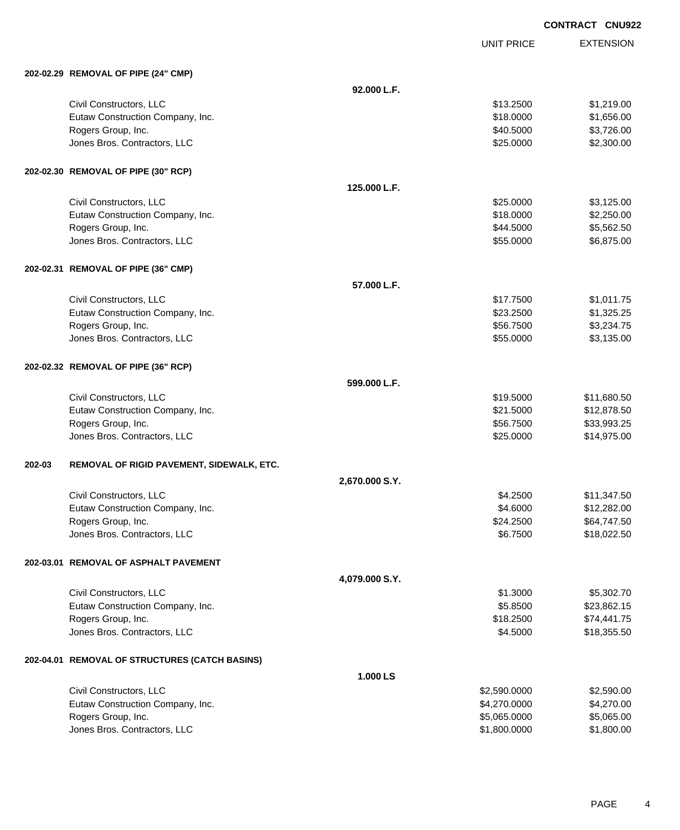UNIT PRICE

| 202-02.29 REMOVAL OF PIPE (24" CMP) |  |
|-------------------------------------|--|
|                                     |  |

|        | 202-02.29 REMOVAL OF PIPE (24" CMP)            |                |              |             |
|--------|------------------------------------------------|----------------|--------------|-------------|
|        |                                                | 92.000 L.F.    |              |             |
|        | Civil Constructors, LLC                        |                | \$13.2500    | \$1,219.00  |
|        | Eutaw Construction Company, Inc.               |                | \$18.0000    | \$1,656.00  |
|        | Rogers Group, Inc.                             |                | \$40.5000    | \$3,726.00  |
|        | Jones Bros. Contractors, LLC                   |                | \$25.0000    | \$2,300.00  |
|        | 202-02.30 REMOVAL OF PIPE (30" RCP)            |                |              |             |
|        |                                                | 125.000 L.F.   |              |             |
|        | Civil Constructors, LLC                        |                | \$25.0000    | \$3,125.00  |
|        | Eutaw Construction Company, Inc.               |                | \$18.0000    | \$2,250.00  |
|        | Rogers Group, Inc.                             |                | \$44.5000    | \$5,562.50  |
|        | Jones Bros. Contractors, LLC                   |                | \$55.0000    | \$6,875.00  |
|        | 202-02.31 REMOVAL OF PIPE (36" CMP)            |                |              |             |
|        |                                                | 57.000 L.F.    |              |             |
|        | Civil Constructors, LLC                        |                | \$17.7500    | \$1,011.75  |
|        | Eutaw Construction Company, Inc.               |                | \$23.2500    | \$1,325.25  |
|        | Rogers Group, Inc.                             |                | \$56.7500    | \$3,234.75  |
|        | Jones Bros. Contractors, LLC                   |                | \$55.0000    | \$3,135.00  |
|        | 202-02.32 REMOVAL OF PIPE (36" RCP)            |                |              |             |
|        |                                                | 599.000 L.F.   |              |             |
|        | Civil Constructors, LLC                        |                | \$19.5000    | \$11,680.50 |
|        | Eutaw Construction Company, Inc.               |                | \$21.5000    | \$12,878.50 |
|        | Rogers Group, Inc.                             |                | \$56.7500    | \$33,993.25 |
|        | Jones Bros. Contractors, LLC                   |                | \$25.0000    | \$14,975.00 |
| 202-03 | REMOVAL OF RIGID PAVEMENT, SIDEWALK, ETC.      |                |              |             |
|        |                                                | 2,670.000 S.Y. |              |             |
|        | Civil Constructors, LLC                        |                | \$4.2500     | \$11,347.50 |
|        | Eutaw Construction Company, Inc.               |                | \$4.6000     | \$12,282.00 |
|        | Rogers Group, Inc.                             |                | \$24.2500    | \$64,747.50 |
|        | Jones Bros. Contractors, LLC                   |                | \$6.7500     | \$18,022.50 |
|        | 202-03.01 REMOVAL OF ASPHALT PAVEMENT          |                |              |             |
|        |                                                | 4,079.000 S.Y. |              |             |
|        | Civil Constructors, LLC                        |                | \$1.3000     | \$5,302.70  |
|        | Eutaw Construction Company, Inc.               |                | \$5.8500     | \$23,862.15 |
|        | Rogers Group, Inc.                             |                | \$18.2500    | \$74,441.75 |
|        | Jones Bros. Contractors, LLC                   |                | \$4.5000     | \$18,355.50 |
|        | 202-04.01 REMOVAL OF STRUCTURES (CATCH BASINS) |                |              |             |
|        |                                                | 1.000 LS       |              |             |
|        | Civil Constructors, LLC                        |                | \$2,590.0000 | \$2,590.00  |
|        | Eutaw Construction Company, Inc.               |                | \$4,270.0000 | \$4,270.00  |
|        | Rogers Group, Inc.                             |                | \$5,065.0000 | \$5,065.00  |
|        | Jones Bros. Contractors, LLC                   |                | \$1,800.0000 | \$1,800.00  |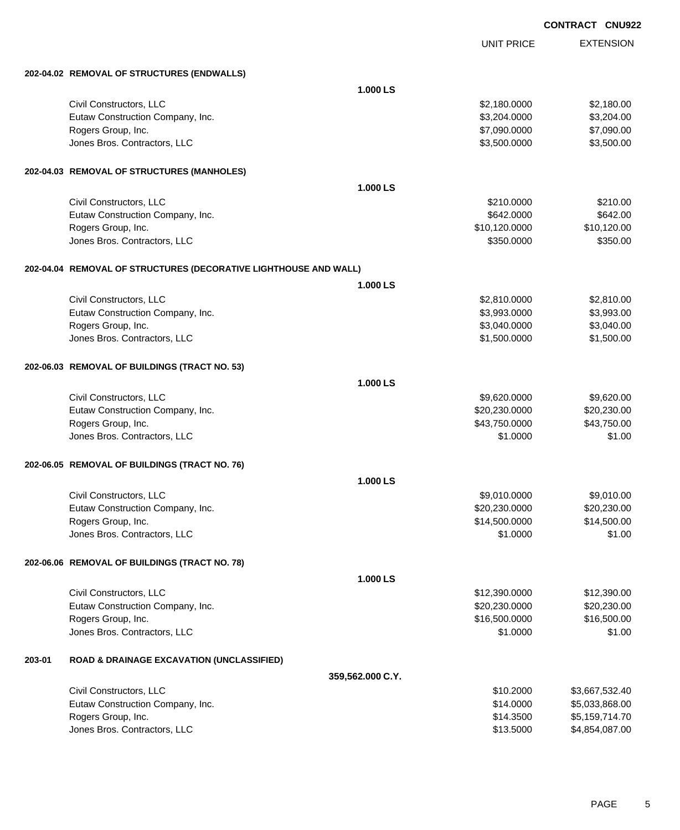|        |                                                                  |                  |                   | ייאוויט<br><b>UNUJZ</b> |
|--------|------------------------------------------------------------------|------------------|-------------------|-------------------------|
|        |                                                                  |                  | <b>UNIT PRICE</b> | <b>EXTENSION</b>        |
|        | 202-04.02 REMOVAL OF STRUCTURES (ENDWALLS)                       |                  |                   |                         |
|        |                                                                  | 1.000 LS         |                   |                         |
|        | Civil Constructors, LLC                                          |                  | \$2,180.0000      | \$2,180.00              |
|        | Eutaw Construction Company, Inc.                                 |                  | \$3,204.0000      | \$3,204.00              |
|        | Rogers Group, Inc.                                               |                  | \$7,090.0000      | \$7,090.00              |
|        | Jones Bros. Contractors, LLC                                     |                  | \$3,500.0000      | \$3,500.00              |
|        | 202-04.03 REMOVAL OF STRUCTURES (MANHOLES)                       |                  |                   |                         |
|        |                                                                  | 1.000 LS         |                   |                         |
|        | Civil Constructors, LLC                                          |                  | \$210.0000        | \$210.00                |
|        | Eutaw Construction Company, Inc.                                 |                  | \$642.0000        | \$642.00                |
|        | Rogers Group, Inc.                                               |                  | \$10,120.0000     | \$10,120.00             |
|        | Jones Bros. Contractors, LLC                                     |                  | \$350.0000        | \$350.00                |
|        | 202-04.04 REMOVAL OF STRUCTURES (DECORATIVE LIGHTHOUSE AND WALL) |                  |                   |                         |
|        |                                                                  | 1.000 LS         |                   |                         |
|        | Civil Constructors, LLC                                          |                  | \$2,810.0000      | \$2,810.00              |
|        | Eutaw Construction Company, Inc.                                 |                  | \$3,993.0000      | \$3,993.00              |
|        | Rogers Group, Inc.                                               |                  | \$3,040.0000      | \$3,040.00              |
|        | Jones Bros. Contractors, LLC                                     |                  | \$1,500.0000      | \$1,500.00              |
|        |                                                                  |                  |                   |                         |
|        | 202-06.03 REMOVAL OF BUILDINGS (TRACT NO. 53)                    |                  |                   |                         |
|        |                                                                  | 1.000 LS         |                   |                         |
|        | Civil Constructors, LLC                                          |                  | \$9,620.0000      | \$9,620.00              |
|        | Eutaw Construction Company, Inc.                                 |                  | \$20,230.0000     | \$20,230.00             |
|        | Rogers Group, Inc.                                               |                  | \$43,750.0000     | \$43,750.00             |
|        | Jones Bros. Contractors, LLC                                     |                  | \$1.0000          | \$1.00                  |
|        | 202-06.05 REMOVAL OF BUILDINGS (TRACT NO. 76)                    |                  |                   |                         |
|        |                                                                  | 1.000 LS         |                   |                         |
|        | Civil Constructors, LLC                                          |                  | \$9,010.0000      | \$9,010.00              |
|        | Eutaw Construction Company, Inc.                                 |                  | \$20,230.0000     | \$20,230.00             |
|        | Rogers Group, Inc.                                               |                  | \$14,500.0000     | \$14,500.00             |
|        | Jones Bros. Contractors, LLC                                     |                  | \$1.0000          | \$1.00                  |
|        | 202-06.06 REMOVAL OF BUILDINGS (TRACT NO. 78)                    |                  |                   |                         |
|        |                                                                  | 1.000 LS         |                   |                         |
|        | Civil Constructors, LLC                                          |                  | \$12,390.0000     | \$12,390.00             |
|        | Eutaw Construction Company, Inc.                                 |                  | \$20,230.0000     | \$20,230.00             |
|        | Rogers Group, Inc.                                               |                  | \$16,500.0000     | \$16,500.00             |
|        | Jones Bros. Contractors, LLC                                     |                  | \$1.0000          | \$1.00                  |
| 203-01 | <b>ROAD &amp; DRAINAGE EXCAVATION (UNCLASSIFIED)</b>             |                  |                   |                         |
|        |                                                                  | 359,562.000 C.Y. |                   |                         |
|        | Civil Constructors, LLC                                          |                  | \$10.2000         | \$3,667,532.40          |
|        | Eutaw Construction Company, Inc.                                 |                  | \$14.0000         | \$5,033,868.00          |
|        | Rogers Group, Inc.                                               |                  | \$14.3500         | \$5,159,714.70          |

Jones Bros. Contractors, LLC \$13.5000 \$4,854,087.00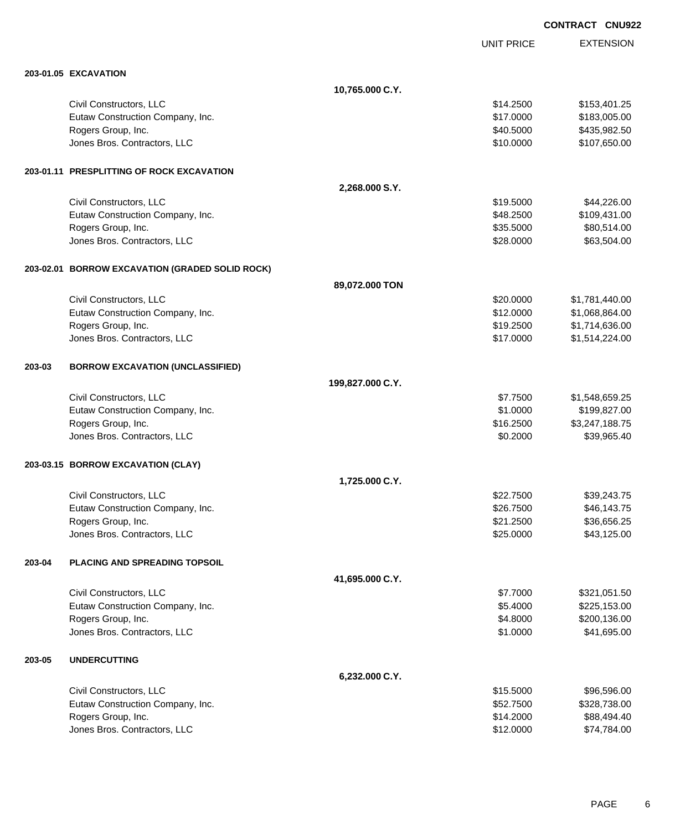|        |                                                 |                  |                   | <b>CONTRACT CNU922</b> |
|--------|-------------------------------------------------|------------------|-------------------|------------------------|
|        |                                                 |                  | <b>UNIT PRICE</b> | <b>EXTENSION</b>       |
|        | <b>203-01.05 EXCAVATION</b>                     |                  |                   |                        |
|        |                                                 | 10,765.000 C.Y.  |                   |                        |
|        | Civil Constructors, LLC                         |                  | \$14.2500         | \$153,401.25           |
|        | Eutaw Construction Company, Inc.                |                  | \$17.0000         | \$183,005.00           |
|        | Rogers Group, Inc.                              |                  | \$40.5000         | \$435,982.50           |
|        | Jones Bros. Contractors, LLC                    |                  | \$10.0000         | \$107,650.00           |
|        | 203-01.11 PRESPLITTING OF ROCK EXCAVATION       |                  |                   |                        |
|        |                                                 | 2,268.000 S.Y.   |                   |                        |
|        | Civil Constructors, LLC                         |                  | \$19.5000         | \$44,226.00            |
|        | Eutaw Construction Company, Inc.                |                  | \$48.2500         | \$109,431.00           |
|        | Rogers Group, Inc.                              |                  | \$35.5000         | \$80,514.00            |
|        | Jones Bros. Contractors, LLC                    |                  | \$28.0000         | \$63,504.00            |
|        | 203-02.01 BORROW EXCAVATION (GRADED SOLID ROCK) |                  |                   |                        |
|        |                                                 | 89,072.000 TON   |                   |                        |
|        | Civil Constructors, LLC                         |                  | \$20.0000         | \$1,781,440.00         |
|        | Eutaw Construction Company, Inc.                |                  | \$12.0000         | \$1,068,864.00         |
|        | Rogers Group, Inc.                              |                  | \$19.2500         | \$1,714,636.00         |
|        | Jones Bros. Contractors, LLC                    |                  | \$17.0000         | \$1,514,224.00         |
| 203-03 | <b>BORROW EXCAVATION (UNCLASSIFIED)</b>         |                  |                   |                        |
|        |                                                 | 199,827.000 C.Y. |                   |                        |
|        | Civil Constructors, LLC                         |                  | \$7.7500          | \$1,548,659.25         |
|        | Eutaw Construction Company, Inc.                |                  | \$1.0000          | \$199,827.00           |
|        | Rogers Group, Inc.                              |                  | \$16.2500         | \$3,247,188.75         |
|        | Jones Bros. Contractors, LLC                    |                  | \$0.2000          | \$39,965.40            |
|        | 203-03.15 BORROW EXCAVATION (CLAY)              |                  |                   |                        |
|        |                                                 | 1,725.000 C.Y.   |                   |                        |
|        | Civil Constructors, LLC                         |                  | \$22.7500         | \$39,243.75            |
|        | Eutaw Construction Company, Inc.                |                  | \$26.7500         | \$46,143.75            |
|        | Rogers Group, Inc.                              |                  | \$21.2500         | \$36,656.25            |
|        | Jones Bros. Contractors, LLC                    |                  | \$25.0000         | \$43,125.00            |
| 203-04 | PLACING AND SPREADING TOPSOIL                   |                  |                   |                        |
|        |                                                 | 41,695.000 C.Y.  |                   |                        |
|        | Civil Constructors, LLC                         |                  | \$7.7000          | \$321,051.50           |
|        | Eutaw Construction Company, Inc.                |                  | \$5.4000          | \$225,153.00           |
|        | Rogers Group, Inc.                              |                  | \$4.8000          | \$200,136.00           |
|        | Jones Bros. Contractors, LLC                    |                  | \$1.0000          | \$41,695.00            |
| 203-05 | <b>UNDERCUTTING</b>                             |                  |                   |                        |
|        |                                                 | 6,232.000 C.Y.   |                   |                        |
|        | Civil Constructors, LLC                         |                  | \$15.5000         | \$96,596.00            |
|        | Eutaw Construction Company, Inc.                |                  | \$52.7500         | \$328,738.00           |
|        | Rogers Group, Inc.                              |                  | \$14.2000         | \$88,494.40            |
|        | Jones Bros. Contractors, LLC                    |                  | \$12.0000         | \$74,784.00            |

PAGE 6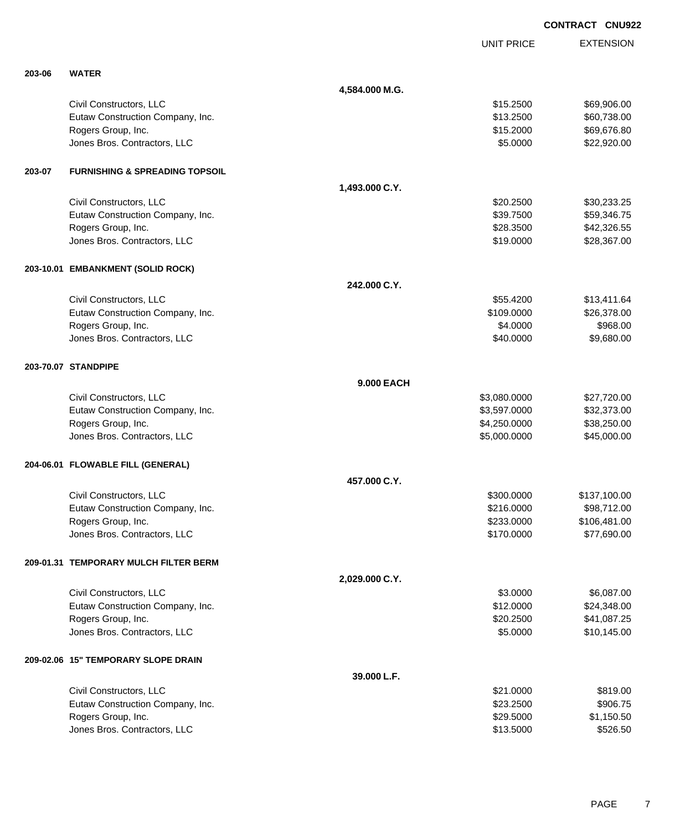|        |                                           |                |                   | <b>CONTRACT CNU922</b> |
|--------|-------------------------------------------|----------------|-------------------|------------------------|
|        |                                           |                | <b>UNIT PRICE</b> | <b>EXTENSION</b>       |
| 203-06 | <b>WATER</b>                              |                |                   |                        |
|        |                                           | 4,584.000 M.G. |                   |                        |
|        | Civil Constructors, LLC                   |                | \$15.2500         | \$69,906.00            |
|        | Eutaw Construction Company, Inc.          |                | \$13.2500         | \$60,738.00            |
|        | Rogers Group, Inc.                        |                | \$15.2000         | \$69,676.80            |
|        | Jones Bros. Contractors, LLC              |                | \$5.0000          | \$22,920.00            |
| 203-07 | <b>FURNISHING &amp; SPREADING TOPSOIL</b> |                |                   |                        |
|        |                                           | 1,493.000 C.Y. |                   |                        |
|        | Civil Constructors, LLC                   |                | \$20.2500         | \$30,233.25            |
|        | Eutaw Construction Company, Inc.          |                | \$39.7500         | \$59,346.75            |
|        | Rogers Group, Inc.                        |                | \$28.3500         | \$42,326.55            |
|        | Jones Bros. Contractors, LLC              |                | \$19.0000         | \$28,367.00            |
|        | 203-10.01 EMBANKMENT (SOLID ROCK)         |                |                   |                        |
|        |                                           | 242.000 C.Y.   |                   |                        |
|        | Civil Constructors, LLC                   |                | \$55,4200         | \$13,411.64            |
|        | Eutaw Construction Company, Inc.          |                | \$109.0000        | \$26,378.00            |
|        | Rogers Group, Inc.                        |                | \$4.0000          | \$968.00               |
|        | Jones Bros. Contractors, LLC              |                | \$40.0000         | \$9,680.00             |
|        | 203-70.07 STANDPIPE                       |                |                   |                        |
|        |                                           | 9.000 EACH     |                   |                        |
|        | Civil Constructors, LLC                   |                | \$3,080.0000      | \$27,720.00            |
|        | Eutaw Construction Company, Inc.          |                | \$3,597.0000      | \$32,373.00            |
|        | Rogers Group, Inc.                        |                | \$4,250.0000      | \$38,250.00            |
|        | Jones Bros. Contractors, LLC              |                | \$5,000.0000      | \$45,000.00            |
|        | 204-06.01 FLOWABLE FILL (GENERAL)         |                |                   |                        |
|        |                                           | 457.000 C.Y.   |                   |                        |
|        | Civil Constructors, LLC                   |                | \$300.0000        | \$137,100.00           |
|        | Eutaw Construction Company, Inc.          |                | \$216.0000        | \$98,712.00            |
|        | Rogers Group, Inc.                        |                | \$233.0000        | \$106,481.00           |
|        | Jones Bros. Contractors, LLC              |                | \$170.0000        | \$77,690.00            |
|        | 209-01.31 TEMPORARY MULCH FILTER BERM     |                |                   |                        |
|        |                                           | 2,029.000 C.Y. |                   |                        |
|        | Civil Constructors, LLC                   |                | \$3.0000          | \$6,087.00             |
|        | Eutaw Construction Company, Inc.          |                | \$12.0000         | \$24,348.00            |
|        | Rogers Group, Inc.                        |                | \$20.2500         | \$41,087.25            |
|        | Jones Bros. Contractors, LLC              |                | \$5.0000          | \$10,145.00            |
|        | 209-02.06 15" TEMPORARY SLOPE DRAIN       |                |                   |                        |
|        |                                           | 39.000 L.F.    |                   |                        |
|        | Civil Constructors, LLC                   |                | \$21.0000         | \$819.00               |
|        | Eutaw Construction Company, Inc.          |                | \$23.2500         | \$906.75               |
|        | Rogers Group, Inc.                        |                | \$29.5000         | \$1,150.50             |
|        | Jones Bros. Contractors, LLC              |                | \$13.5000         | \$526.50               |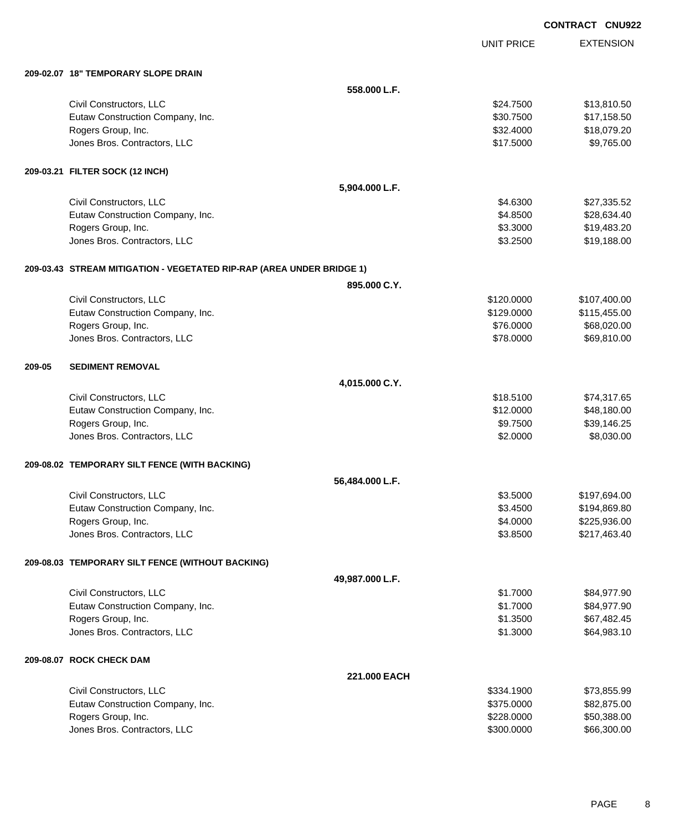|        |                                                                       |                 |                   | <b>CONTRACT CNU922</b> |
|--------|-----------------------------------------------------------------------|-----------------|-------------------|------------------------|
|        |                                                                       |                 | <b>UNIT PRICE</b> | <b>EXTENSION</b>       |
|        | 209-02.07 18" TEMPORARY SLOPE DRAIN                                   |                 |                   |                        |
|        |                                                                       | 558,000 L.F.    |                   |                        |
|        | Civil Constructors, LLC                                               |                 | \$24.7500         | \$13,810.50            |
|        | Eutaw Construction Company, Inc.                                      |                 | \$30.7500         | \$17,158.50            |
|        | Rogers Group, Inc.                                                    |                 | \$32.4000         | \$18,079.20            |
|        | Jones Bros. Contractors, LLC                                          |                 | \$17.5000         | \$9,765.00             |
|        | 209-03.21 FILTER SOCK (12 INCH)                                       |                 |                   |                        |
|        |                                                                       | 5,904.000 L.F.  |                   |                        |
|        | Civil Constructors, LLC                                               |                 | \$4.6300          | \$27,335.52            |
|        | Eutaw Construction Company, Inc.                                      |                 | \$4.8500          | \$28,634.40            |
|        | Rogers Group, Inc.                                                    |                 | \$3.3000          | \$19,483.20            |
|        | Jones Bros. Contractors, LLC                                          |                 | \$3.2500          | \$19,188.00            |
|        | 209-03.43 STREAM MITIGATION - VEGETATED RIP-RAP (AREA UNDER BRIDGE 1) |                 |                   |                        |
|        |                                                                       | 895.000 C.Y.    |                   |                        |
|        | Civil Constructors, LLC                                               |                 | \$120.0000        | \$107,400.00           |
|        | Eutaw Construction Company, Inc.                                      |                 | \$129.0000        | \$115,455.00           |
|        | Rogers Group, Inc.                                                    |                 | \$76.0000         | \$68,020.00            |
|        | Jones Bros. Contractors, LLC                                          |                 | \$78.0000         | \$69,810.00            |
| 209-05 | <b>SEDIMENT REMOVAL</b>                                               |                 |                   |                        |
|        |                                                                       | 4,015.000 C.Y.  |                   |                        |
|        | Civil Constructors, LLC                                               |                 | \$18.5100         | \$74,317.65            |
|        | Eutaw Construction Company, Inc.                                      |                 | \$12.0000         | \$48,180.00            |
|        | Rogers Group, Inc.                                                    |                 | \$9.7500          | \$39,146.25            |
|        | Jones Bros. Contractors, LLC                                          |                 | \$2.0000          | \$8,030.00             |
|        | 209-08.02 TEMPORARY SILT FENCE (WITH BACKING)                         |                 |                   |                        |
|        |                                                                       | 56,484.000 L.F. |                   |                        |
|        | Civil Constructors, LLC                                               |                 | \$3.5000          | \$197,694.00           |
|        | Eutaw Construction Company, Inc.                                      |                 | \$3.4500          | \$194,869.80           |
|        | Rogers Group, Inc.                                                    |                 | \$4.0000          | \$225,936.00           |
|        | Jones Bros. Contractors, LLC                                          |                 | \$3.8500          | \$217,463.40           |
|        | 209-08.03 TEMPORARY SILT FENCE (WITHOUT BACKING)                      |                 |                   |                        |
|        |                                                                       | 49,987.000 L.F. |                   |                        |
|        | Civil Constructors, LLC                                               |                 | \$1.7000          | \$84,977.90            |
|        | Eutaw Construction Company, Inc.                                      |                 | \$1.7000          | \$84,977.90            |
|        | Rogers Group, Inc.                                                    |                 | \$1.3500          | \$67,482.45            |
|        | Jones Bros. Contractors, LLC                                          |                 | \$1.3000          | \$64,983.10            |
|        | 209-08.07 ROCK CHECK DAM                                              |                 |                   |                        |
|        |                                                                       | 221.000 EACH    |                   |                        |
|        | Civil Constructors, LLC                                               |                 | \$334.1900        | \$73,855.99            |
|        | Eutaw Construction Company, Inc.                                      |                 | \$375.0000        | \$82,875.00            |
|        | Rogers Group, Inc.                                                    |                 | \$228.0000        | \$50,388.00            |
|        | Jones Bros. Contractors, LLC                                          |                 | \$300.0000        | \$66,300.00            |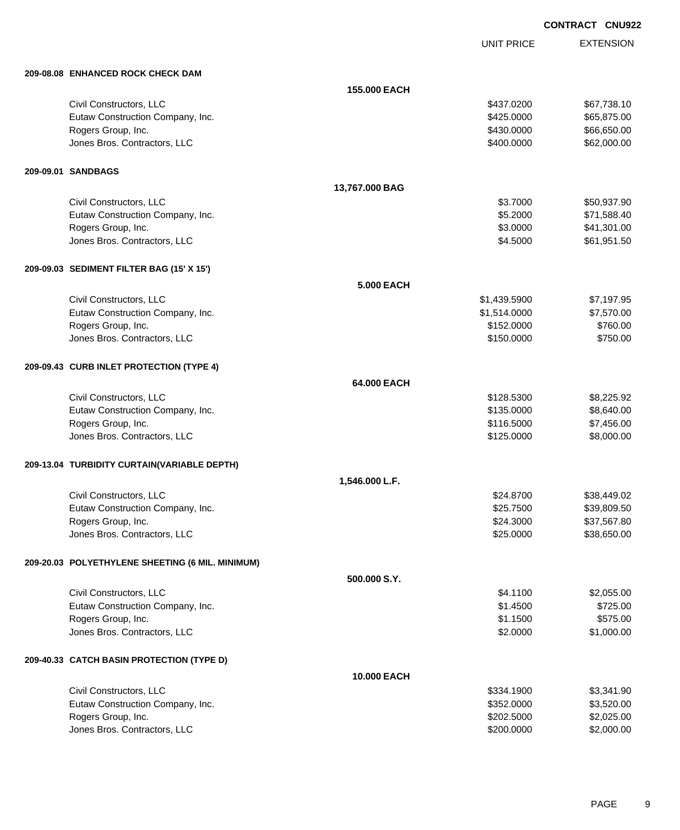UNIT PRICE

| 209-08.08 ENHANCED ROCK CHECK DAM                |                   |              |             |
|--------------------------------------------------|-------------------|--------------|-------------|
|                                                  | 155.000 EACH      |              |             |
| Civil Constructors, LLC                          |                   | \$437.0200   | \$67,738.10 |
| Eutaw Construction Company, Inc.                 |                   | \$425.0000   | \$65,875.00 |
| Rogers Group, Inc.                               |                   | \$430.0000   | \$66,650.00 |
| Jones Bros. Contractors, LLC                     |                   | \$400.0000   | \$62,000.00 |
| 209-09.01 SANDBAGS                               |                   |              |             |
|                                                  | 13,767.000 BAG    |              |             |
| Civil Constructors, LLC                          |                   | \$3.7000     | \$50,937.90 |
| Eutaw Construction Company, Inc.                 |                   | \$5.2000     | \$71,588.40 |
| Rogers Group, Inc.                               |                   | \$3.0000     | \$41,301.00 |
| Jones Bros. Contractors, LLC                     |                   | \$4.5000     | \$61,951.50 |
| 209-09.03 SEDIMENT FILTER BAG (15' X 15')        |                   |              |             |
|                                                  | <b>5.000 EACH</b> |              |             |
| Civil Constructors, LLC                          |                   | \$1,439.5900 | \$7,197.95  |
| Eutaw Construction Company, Inc.                 |                   | \$1,514.0000 | \$7,570.00  |
| Rogers Group, Inc.                               |                   | \$152.0000   | \$760.00    |
| Jones Bros. Contractors, LLC                     |                   | \$150.0000   | \$750.00    |
| 209-09.43 CURB INLET PROTECTION (TYPE 4)         |                   |              |             |
|                                                  | 64.000 EACH       |              |             |
| Civil Constructors, LLC                          |                   | \$128.5300   | \$8,225.92  |
| Eutaw Construction Company, Inc.                 |                   | \$135.0000   | \$8,640.00  |
| Rogers Group, Inc.                               |                   | \$116.5000   | \$7,456.00  |
| Jones Bros. Contractors, LLC                     |                   | \$125.0000   | \$8,000.00  |
| 209-13.04 TURBIDITY CURTAIN(VARIABLE DEPTH)      |                   |              |             |
|                                                  | 1,546.000 L.F.    |              |             |
| Civil Constructors, LLC                          |                   | \$24.8700    | \$38,449.02 |
| Eutaw Construction Company, Inc.                 |                   | \$25.7500    | \$39,809.50 |
| Rogers Group, Inc.                               |                   | \$24.3000    | \$37,567.80 |
| Jones Bros. Contractors, LLC                     |                   | \$25.0000    | \$38,650.00 |
| 209-20.03 POLYETHYLENE SHEETING (6 MIL. MINIMUM) |                   |              |             |
|                                                  | 500.000 S.Y.      |              |             |
| Civil Constructors, LLC                          |                   | \$4.1100     | \$2,055.00  |
| Eutaw Construction Company, Inc.                 |                   | \$1.4500     | \$725.00    |
| Rogers Group, Inc.                               |                   | \$1.1500     | \$575.00    |
| Jones Bros. Contractors, LLC                     |                   | \$2.0000     | \$1,000.00  |
| 209-40.33 CATCH BASIN PROTECTION (TYPE D)        |                   |              |             |
|                                                  | 10.000 EACH       |              |             |
| Civil Constructors, LLC                          |                   | \$334.1900   | \$3,341.90  |
| Eutaw Construction Company, Inc.                 |                   | \$352.0000   | \$3,520.00  |
| Rogers Group, Inc.                               |                   | \$202.5000   | \$2,025.00  |
| Jones Bros. Contractors, LLC                     |                   | \$200.0000   | \$2,000.00  |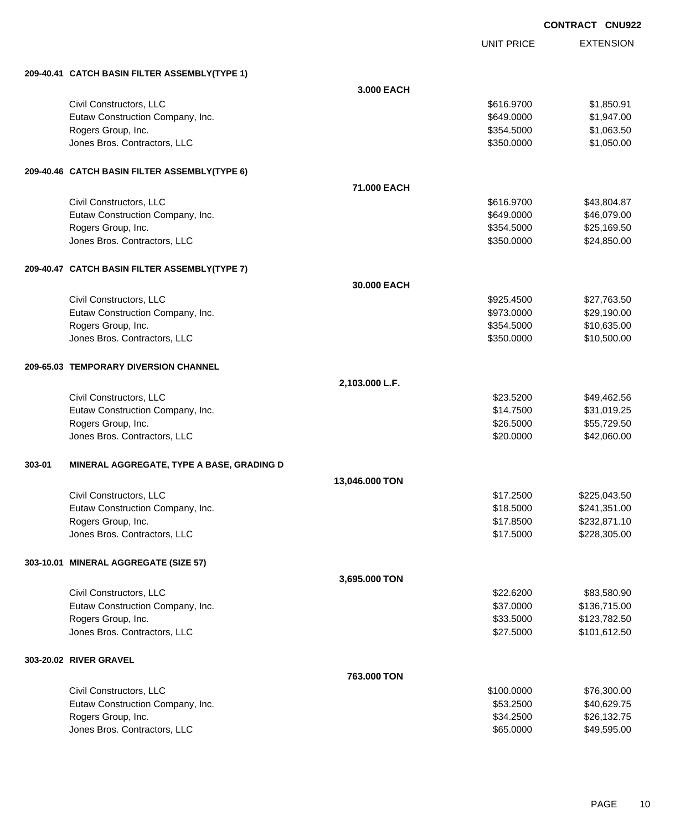|            | <b>CONTRACT CNU922</b> |                  |
|------------|------------------------|------------------|
| UNIT PRICE |                        | <b>EXTENSION</b> |

#### **209-40.41 CATCH BASIN FILTER ASSEMBLY(TYPE 1)**

|        | 209-40.41 CATCH BASIN FILTER ASSEMBLY(TYPE 1) |                |            |              |
|--------|-----------------------------------------------|----------------|------------|--------------|
|        |                                               | 3.000 EACH     |            |              |
|        | Civil Constructors, LLC                       |                | \$616.9700 | \$1,850.91   |
|        | Eutaw Construction Company, Inc.              |                | \$649.0000 | \$1,947.00   |
|        | Rogers Group, Inc.                            |                | \$354.5000 | \$1,063.50   |
|        | Jones Bros. Contractors, LLC                  |                | \$350.0000 | \$1,050.00   |
|        | 209-40.46 CATCH BASIN FILTER ASSEMBLY(TYPE 6) |                |            |              |
|        |                                               | 71,000 EACH    |            |              |
|        | Civil Constructors, LLC                       |                | \$616.9700 | \$43,804.87  |
|        | Eutaw Construction Company, Inc.              |                | \$649.0000 | \$46,079.00  |
|        | Rogers Group, Inc.                            |                | \$354.5000 | \$25,169.50  |
|        | Jones Bros. Contractors, LLC                  |                | \$350.0000 | \$24,850.00  |
|        | 209-40.47 CATCH BASIN FILTER ASSEMBLY(TYPE 7) |                |            |              |
|        |                                               | 30.000 EACH    |            |              |
|        | Civil Constructors, LLC                       |                | \$925.4500 | \$27,763.50  |
|        | Eutaw Construction Company, Inc.              |                | \$973.0000 | \$29,190.00  |
|        | Rogers Group, Inc.                            |                | \$354.5000 | \$10,635.00  |
|        | Jones Bros. Contractors, LLC                  |                | \$350.0000 | \$10,500.00  |
|        | 209-65.03 TEMPORARY DIVERSION CHANNEL         |                |            |              |
|        |                                               | 2,103.000 L.F. |            |              |
|        | Civil Constructors, LLC                       |                | \$23.5200  | \$49,462.56  |
|        | Eutaw Construction Company, Inc.              |                | \$14.7500  | \$31,019.25  |
|        | Rogers Group, Inc.                            |                | \$26.5000  | \$55,729.50  |
|        | Jones Bros. Contractors, LLC                  |                | \$20.0000  | \$42,060.00  |
| 303-01 | MINERAL AGGREGATE, TYPE A BASE, GRADING D     |                |            |              |
|        |                                               | 13,046.000 TON |            |              |
|        | Civil Constructors, LLC                       |                | \$17.2500  | \$225,043.50 |
|        | Eutaw Construction Company, Inc.              |                | \$18.5000  | \$241,351.00 |
|        | Rogers Group, Inc.                            |                | \$17.8500  | \$232,871.10 |
|        | Jones Bros. Contractors, LLC                  |                | \$17.5000  | \$228,305.00 |
|        | 303-10.01 MINERAL AGGREGATE (SIZE 57)         |                |            |              |
|        |                                               | 3,695.000 TON  |            |              |
|        | Civil Constructors, LLC                       |                | \$22.6200  | \$83,580.90  |
|        | Eutaw Construction Company, Inc.              |                | \$37.0000  | \$136,715.00 |
|        | Rogers Group, Inc.                            |                | \$33.5000  | \$123,782.50 |
|        | Jones Bros. Contractors, LLC                  |                | \$27.5000  | \$101,612.50 |
|        | 303-20.02 RIVER GRAVEL                        |                |            |              |
|        |                                               | 763.000 TON    |            |              |
|        | Civil Constructors, LLC                       |                | \$100.0000 | \$76,300.00  |
|        | Eutaw Construction Company, Inc.              |                | \$53.2500  | \$40,629.75  |
|        | Rogers Group, Inc.                            |                | \$34.2500  | \$26,132.75  |
|        | Jones Bros. Contractors, LLC                  |                | \$65.0000  | \$49,595.00  |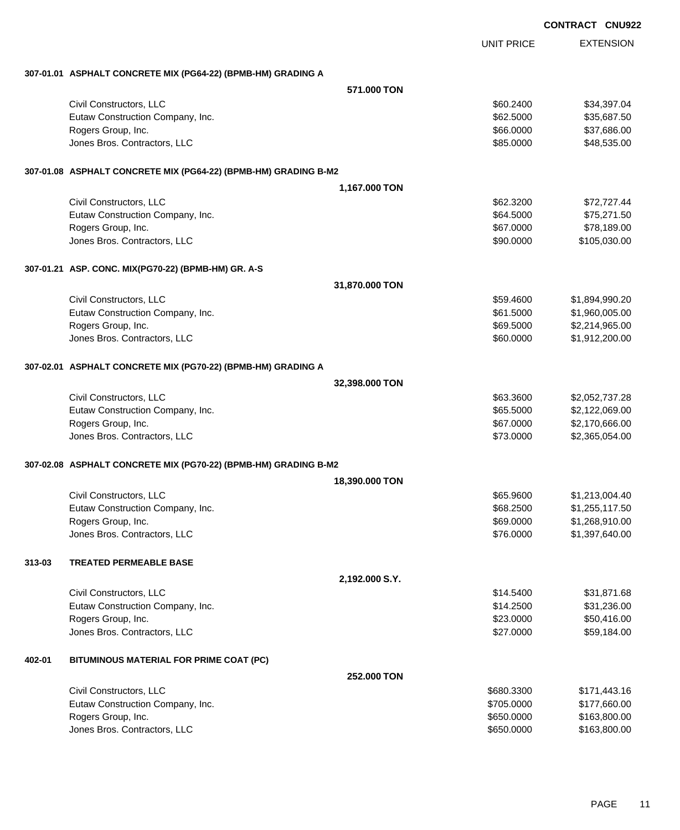|        |                                                                 |                |                          | <b>CONTRACT CNU922</b>       |
|--------|-----------------------------------------------------------------|----------------|--------------------------|------------------------------|
|        |                                                                 |                | <b>UNIT PRICE</b>        | <b>EXTENSION</b>             |
|        | 307-01.01 ASPHALT CONCRETE MIX (PG64-22) (BPMB-HM) GRADING A    |                |                          |                              |
|        |                                                                 | 571,000 TON    |                          |                              |
|        | Civil Constructors, LLC                                         |                | \$60.2400                | \$34,397.04                  |
|        | Eutaw Construction Company, Inc.                                |                | \$62.5000                | \$35,687.50                  |
|        | Rogers Group, Inc.                                              |                | \$66.0000                | \$37,686.00                  |
|        | Jones Bros. Contractors, LLC                                    |                | \$85.0000                | \$48,535.00                  |
|        | 307-01.08 ASPHALT CONCRETE MIX (PG64-22) (BPMB-HM) GRADING B-M2 |                |                          |                              |
|        |                                                                 | 1,167.000 TON  |                          |                              |
|        | Civil Constructors, LLC                                         |                | \$62.3200                | \$72,727.44                  |
|        | Eutaw Construction Company, Inc.                                |                | \$64.5000                | \$75,271.50                  |
|        | Rogers Group, Inc.                                              |                | \$67.0000                | \$78,189.00                  |
|        | Jones Bros. Contractors, LLC                                    |                | \$90.0000                | \$105,030.00                 |
|        | 307-01.21 ASP. CONC. MIX(PG70-22) (BPMB-HM) GR. A-S             |                |                          |                              |
|        |                                                                 | 31,870.000 TON |                          |                              |
|        | Civil Constructors, LLC                                         |                | \$59.4600                | \$1,894,990.20               |
|        | Eutaw Construction Company, Inc.                                |                | \$61.5000                | \$1,960,005.00               |
|        | Rogers Group, Inc.                                              |                | \$69.5000                | \$2,214,965.00               |
|        | Jones Bros. Contractors, LLC                                    |                | \$60.0000                | \$1,912,200.00               |
|        | 307-02.01 ASPHALT CONCRETE MIX (PG70-22) (BPMB-HM) GRADING A    |                |                          |                              |
|        |                                                                 | 32,398.000 TON |                          |                              |
|        | Civil Constructors, LLC                                         |                | \$63.3600                | \$2,052,737.28               |
|        | Eutaw Construction Company, Inc.                                |                | \$65.5000                | \$2,122,069.00               |
|        | Rogers Group, Inc.                                              |                | \$67.0000                | \$2,170,666.00               |
|        | Jones Bros. Contractors, LLC                                    |                | \$73.0000                | \$2,365,054.00               |
|        | 307-02.08 ASPHALT CONCRETE MIX (PG70-22) (BPMB-HM) GRADING B-M2 |                |                          |                              |
|        |                                                                 | 18,390.000 TON |                          |                              |
|        | Civil Constructors, LLC                                         |                | \$65.9600                | \$1,213,004.40               |
|        | Eutaw Construction Company, Inc.                                |                | \$68.2500                | \$1,255,117.50               |
|        | Rogers Group, Inc.                                              |                | \$69.0000                | \$1,268,910.00               |
|        | Jones Bros. Contractors, LLC                                    |                | \$76.0000                | \$1,397,640.00               |
| 313-03 | <b>TREATED PERMEABLE BASE</b>                                   |                |                          |                              |
|        |                                                                 | 2,192.000 S.Y. |                          |                              |
|        | Civil Constructors, LLC                                         |                | \$14.5400                | \$31,871.68                  |
|        | Eutaw Construction Company, Inc.                                |                | \$14.2500                | \$31,236.00                  |
|        | Rogers Group, Inc.                                              |                | \$23.0000                | \$50,416.00                  |
|        | Jones Bros. Contractors, LLC                                    |                | \$27.0000                | \$59,184.00                  |
| 402-01 | BITUMINOUS MATERIAL FOR PRIME COAT (PC)                         |                |                          |                              |
|        |                                                                 | 252.000 TON    |                          |                              |
|        | Civil Constructors, LLC                                         |                | \$680.3300               | \$171,443.16                 |
|        | Eutaw Construction Company, Inc.                                |                | \$705.0000               | \$177,660.00                 |
|        | Rogers Group, Inc.<br>Jones Bros. Contractors, LLC              |                | \$650.0000<br>\$650.0000 | \$163,800.00<br>\$163,800.00 |
|        |                                                                 |                |                          |                              |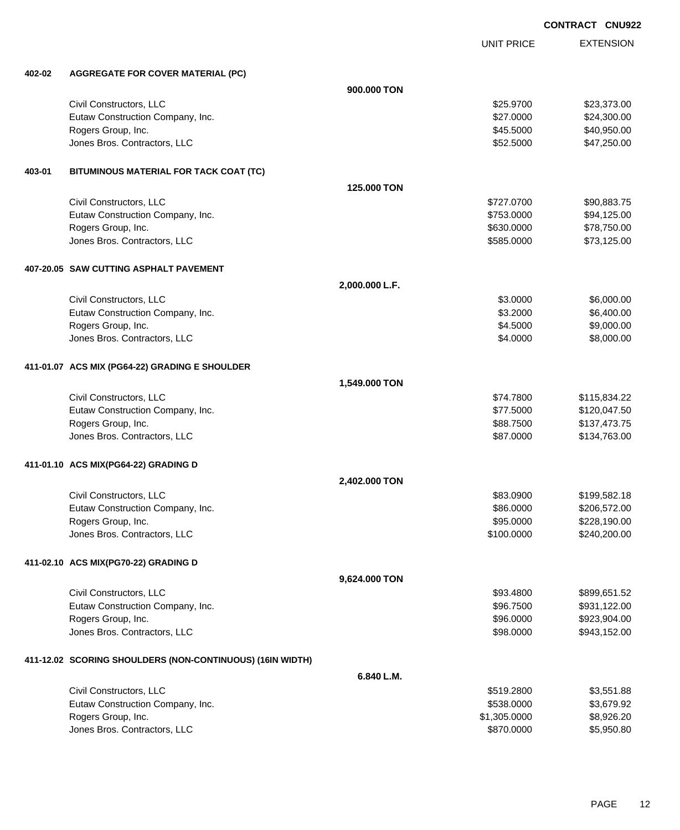UNIT PRICE EXTENSION

| 402-02 | <b>AGGREGATE FOR COVER MATERIAL (PC)</b>                  |                |              |              |
|--------|-----------------------------------------------------------|----------------|--------------|--------------|
|        |                                                           | 900.000 TON    |              |              |
|        | Civil Constructors, LLC                                   |                | \$25.9700    | \$23,373.00  |
|        | Eutaw Construction Company, Inc.                          |                | \$27.0000    | \$24,300.00  |
|        | Rogers Group, Inc.                                        |                | \$45.5000    | \$40,950.00  |
|        | Jones Bros. Contractors, LLC                              |                | \$52.5000    | \$47,250.00  |
| 403-01 | BITUMINOUS MATERIAL FOR TACK COAT (TC)                    |                |              |              |
|        |                                                           | 125.000 TON    |              |              |
|        | Civil Constructors, LLC                                   |                | \$727.0700   | \$90,883.75  |
|        | Eutaw Construction Company, Inc.                          |                | \$753.0000   | \$94,125.00  |
|        | Rogers Group, Inc.                                        |                | \$630.0000   | \$78,750.00  |
|        | Jones Bros. Contractors, LLC                              |                | \$585.0000   | \$73,125.00  |
|        | 407-20.05 SAW CUTTING ASPHALT PAVEMENT                    |                |              |              |
|        |                                                           | 2,000.000 L.F. |              |              |
|        | Civil Constructors, LLC                                   |                | \$3.0000     | \$6,000.00   |
|        | Eutaw Construction Company, Inc.                          |                | \$3.2000     | \$6,400.00   |
|        | Rogers Group, Inc.                                        |                | \$4.5000     | \$9,000.00   |
|        | Jones Bros. Contractors, LLC                              |                | \$4.0000     | \$8,000.00   |
|        | 411-01.07 ACS MIX (PG64-22) GRADING E SHOULDER            |                |              |              |
|        |                                                           | 1,549.000 TON  |              |              |
|        | Civil Constructors, LLC                                   |                | \$74.7800    | \$115,834.22 |
|        | Eutaw Construction Company, Inc.                          |                | \$77.5000    | \$120,047.50 |
|        | Rogers Group, Inc.                                        |                | \$88.7500    | \$137,473.75 |
|        | Jones Bros. Contractors, LLC                              |                | \$87.0000    | \$134,763.00 |
|        | 411-01.10 ACS MIX(PG64-22) GRADING D                      |                |              |              |
|        |                                                           | 2,402.000 TON  |              |              |
|        | Civil Constructors, LLC                                   |                | \$83.0900    | \$199,582.18 |
|        | Eutaw Construction Company, Inc.                          |                | \$86.0000    | \$206,572.00 |
|        | Rogers Group, Inc.                                        |                | \$95.0000    | \$228,190.00 |
|        | Jones Bros. Contractors, LLC                              |                | \$100.0000   | \$240,200.00 |
|        | 411-02.10 ACS MIX(PG70-22) GRADING D                      |                |              |              |
|        |                                                           | 9,624.000 TON  |              |              |
|        | Civil Constructors, LLC                                   |                | \$93.4800    | \$899,651.52 |
|        | Eutaw Construction Company, Inc.                          |                | \$96.7500    | \$931,122.00 |
|        | Rogers Group, Inc.                                        |                | \$96.0000    | \$923,904.00 |
|        | Jones Bros. Contractors, LLC                              |                | \$98.0000    | \$943,152.00 |
|        | 411-12.02 SCORING SHOULDERS (NON-CONTINUOUS) (16IN WIDTH) |                |              |              |
|        |                                                           | 6.840 L.M.     |              |              |
|        | Civil Constructors, LLC                                   |                | \$519.2800   | \$3,551.88   |
|        | Eutaw Construction Company, Inc.                          |                | \$538.0000   | \$3,679.92   |
|        | Rogers Group, Inc.                                        |                | \$1,305.0000 | \$8,926.20   |
|        | Jones Bros. Contractors, LLC                              |                | \$870.0000   | \$5,950.80   |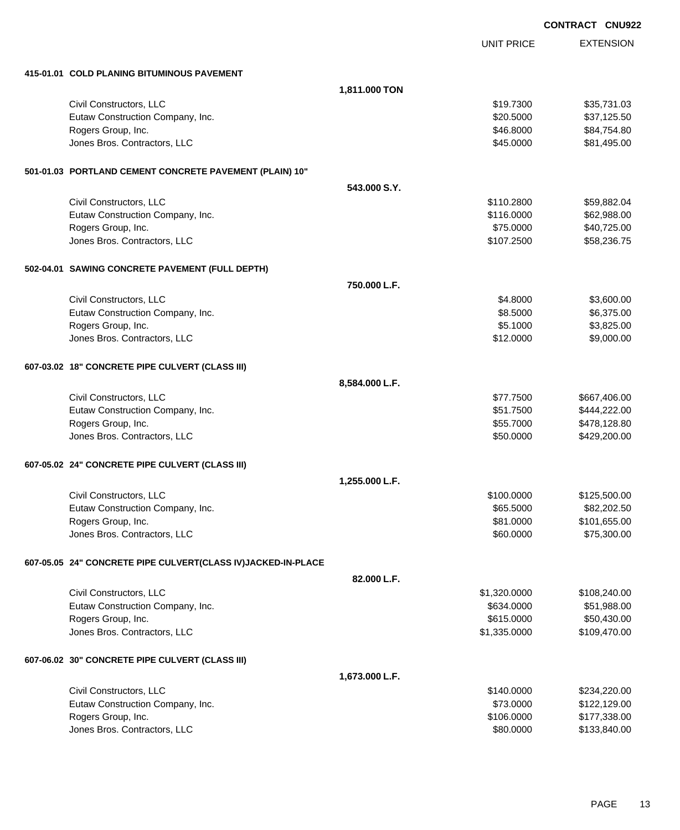|                                                              |                | <b>CONTRACT CNU922</b> |                  |
|--------------------------------------------------------------|----------------|------------------------|------------------|
|                                                              |                | <b>UNIT PRICE</b>      | <b>EXTENSION</b> |
| 415-01.01 COLD PLANING BITUMINOUS PAVEMENT                   |                |                        |                  |
|                                                              | 1,811.000 TON  |                        |                  |
| Civil Constructors, LLC                                      |                | \$19.7300              | \$35,731.03      |
| Eutaw Construction Company, Inc.                             |                | \$20.5000              | \$37,125.50      |
| Rogers Group, Inc.                                           |                | \$46.8000              | \$84,754.80      |
| Jones Bros. Contractors, LLC                                 |                | \$45.0000              | \$81,495.00      |
| 501-01.03 PORTLAND CEMENT CONCRETE PAVEMENT (PLAIN) 10"      |                |                        |                  |
|                                                              | 543,000 S.Y.   |                        |                  |
| Civil Constructors, LLC                                      |                | \$110.2800             | \$59,882.04      |
| Eutaw Construction Company, Inc.                             |                | \$116.0000             | \$62,988.00      |
| Rogers Group, Inc.                                           |                | \$75.0000              | \$40,725.00      |
| Jones Bros. Contractors, LLC                                 |                | \$107.2500             | \$58,236.75      |
| 502-04.01 SAWING CONCRETE PAVEMENT (FULL DEPTH)              |                |                        |                  |
|                                                              | 750.000 L.F.   |                        |                  |
| Civil Constructors, LLC                                      |                | \$4.8000               | \$3,600.00       |
| Eutaw Construction Company, Inc.                             |                | \$8.5000               | \$6,375.00       |
| Rogers Group, Inc.                                           |                | \$5.1000               | \$3,825.00       |
| Jones Bros. Contractors, LLC                                 |                | \$12.0000              | \$9,000.00       |
| 607-03.02 18" CONCRETE PIPE CULVERT (CLASS III)              |                |                        |                  |
|                                                              | 8,584.000 L.F. |                        |                  |
| Civil Constructors, LLC                                      |                | \$77.7500              | \$667,406.00     |
| Eutaw Construction Company, Inc.                             |                | \$51.7500              | \$444,222.00     |
| Rogers Group, Inc.                                           |                | \$55.7000              | \$478,128.80     |
| Jones Bros. Contractors, LLC                                 |                | \$50.0000              | \$429,200.00     |
| 607-05.02 24" CONCRETE PIPE CULVERT (CLASS III)              |                |                        |                  |
|                                                              | 1,255.000 L.F. |                        |                  |
| Civil Constructors, LLC                                      |                | \$100.0000             | \$125,500.00     |
| Eutaw Construction Company, Inc.                             |                | \$65.5000              | \$82,202.50      |
| Rogers Group, Inc.                                           |                | \$81.0000              | \$101,655.00     |
| Jones Bros. Contractors, LLC                                 |                | \$60.0000              | \$75,300.00      |
| 607-05.05 24" CONCRETE PIPE CULVERT(CLASS IV)JACKED-IN-PLACE |                |                        |                  |
|                                                              | 82.000 L.F.    |                        |                  |
| Civil Constructors, LLC                                      |                | \$1,320.0000           | \$108,240.00     |
| Eutaw Construction Company, Inc.                             |                | \$634.0000             | \$51,988.00      |
| Rogers Group, Inc.                                           |                | \$615.0000             | \$50,430.00      |
| Jones Bros. Contractors, LLC                                 |                | \$1,335.0000           | \$109,470.00     |
| 607-06.02 30" CONCRETE PIPE CULVERT (CLASS III)              |                |                        |                  |
|                                                              | 1,673.000 L.F. |                        |                  |
| Civil Constructors, LLC                                      |                | \$140.0000             | \$234,220.00     |
| Eutaw Construction Company, Inc.                             |                | \$73.0000              | \$122,129.00     |
| Rogers Group, Inc.<br>Jones Bros. Contractors, LLC           |                | \$106.0000             | \$177,338.00     |
|                                                              |                | \$80.0000              | \$133,840.00     |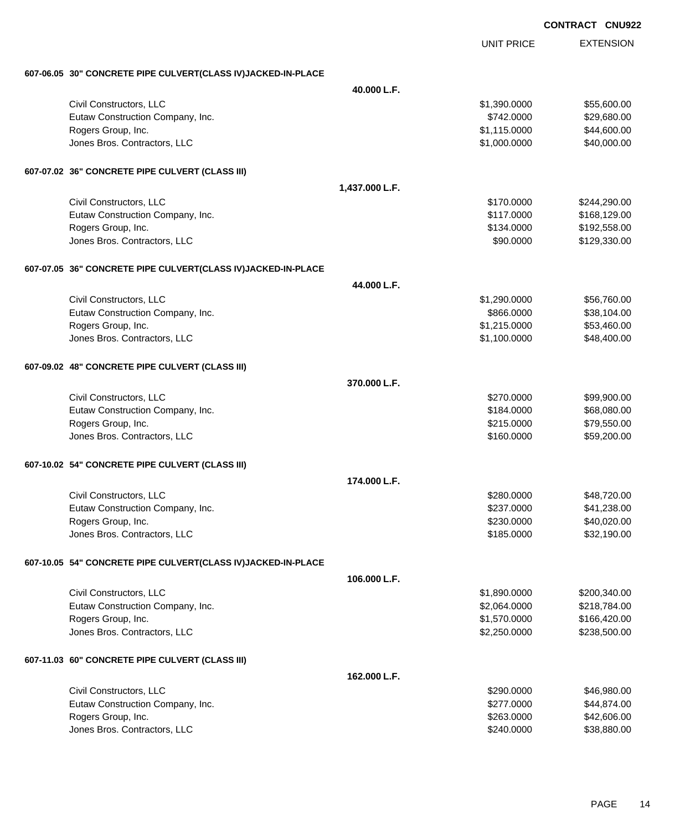| <b>CONTRACT</b> | <b>CNU922</b> |  |
|-----------------|---------------|--|
|                 |               |  |

|                                                              |                | <b>UNIT PRICE</b> | <b>EXTENSION</b> |
|--------------------------------------------------------------|----------------|-------------------|------------------|
| 607-06.05 30" CONCRETE PIPE CULVERT(CLASS IV)JACKED-IN-PLACE |                |                   |                  |
|                                                              | 40.000 L.F.    |                   |                  |
| Civil Constructors, LLC                                      |                | \$1,390.0000      | \$55,600.00      |
| Eutaw Construction Company, Inc.                             |                | \$742.0000        | \$29,680.00      |
| Rogers Group, Inc.                                           |                | \$1,115.0000      | \$44,600.00      |
| Jones Bros. Contractors, LLC                                 |                | \$1,000.0000      | \$40,000.00      |
| 607-07.02 36" CONCRETE PIPE CULVERT (CLASS III)              |                |                   |                  |
|                                                              | 1,437.000 L.F. |                   |                  |
| Civil Constructors, LLC                                      |                | \$170.0000        | \$244,290.00     |
| Eutaw Construction Company, Inc.                             |                | \$117.0000        | \$168,129.00     |
| Rogers Group, Inc.                                           |                | \$134.0000        | \$192,558.00     |
| Jones Bros. Contractors, LLC                                 |                | \$90.0000         | \$129,330.00     |
| 607-07.05 36" CONCRETE PIPE CULVERT(CLASS IV)JACKED-IN-PLACE |                |                   |                  |
|                                                              | 44.000 L.F.    |                   |                  |
| Civil Constructors, LLC                                      |                | \$1,290.0000      | \$56,760.00      |
| Eutaw Construction Company, Inc.                             |                | \$866.0000        | \$38,104.00      |
| Rogers Group, Inc.                                           |                | \$1,215.0000      | \$53,460.00      |
| Jones Bros. Contractors, LLC                                 |                | \$1,100.0000      | \$48,400.00      |
| 607-09.02 48" CONCRETE PIPE CULVERT (CLASS III)              |                |                   |                  |
|                                                              | 370,000 L.F.   |                   |                  |
| Civil Constructors, LLC                                      |                | \$270.0000        | \$99,900.00      |
| Eutaw Construction Company, Inc.                             |                | \$184.0000        | \$68,080.00      |
| Rogers Group, Inc.                                           |                | \$215.0000        | \$79,550.00      |
| Jones Bros. Contractors, LLC                                 |                | \$160.0000        | \$59,200.00      |
| 607-10.02 54" CONCRETE PIPE CULVERT (CLASS III)              |                |                   |                  |
|                                                              | 174.000 L.F.   |                   |                  |
| Civil Constructors, LLC                                      |                | \$280,0000        | \$48,720.00      |
| Eutaw Construction Company, Inc.                             |                | \$237.0000        | \$41,238.00      |
| Rogers Group, Inc.                                           |                | \$230.0000        | \$40,020.00      |
| Jones Bros. Contractors, LLC                                 |                | \$185.0000        | \$32,190.00      |
| 607-10.05 54" CONCRETE PIPE CULVERT(CLASS IV)JACKED-IN-PLACE |                |                   |                  |
|                                                              | 106.000 L.F.   |                   |                  |
| Civil Constructors, LLC                                      |                | \$1,890.0000      | \$200,340.00     |
| Eutaw Construction Company, Inc.                             |                | \$2,064.0000      | \$218,784.00     |
| Rogers Group, Inc.                                           |                | \$1,570.0000      | \$166,420.00     |
| Jones Bros. Contractors, LLC                                 |                | \$2,250.0000      | \$238,500.00     |
| 607-11.03 60" CONCRETE PIPE CULVERT (CLASS III)              |                |                   |                  |
|                                                              | 162.000 L.F.   |                   |                  |
| Civil Constructors, LLC                                      |                | \$290.0000        | \$46,980.00      |
| Eutaw Construction Company, Inc.                             |                | \$277.0000        | \$44,874.00      |
| Rogers Group, Inc.                                           |                | \$263.0000        | \$42,606.00      |
| Jones Bros. Contractors, LLC                                 |                | \$240.0000        | \$38,880.00      |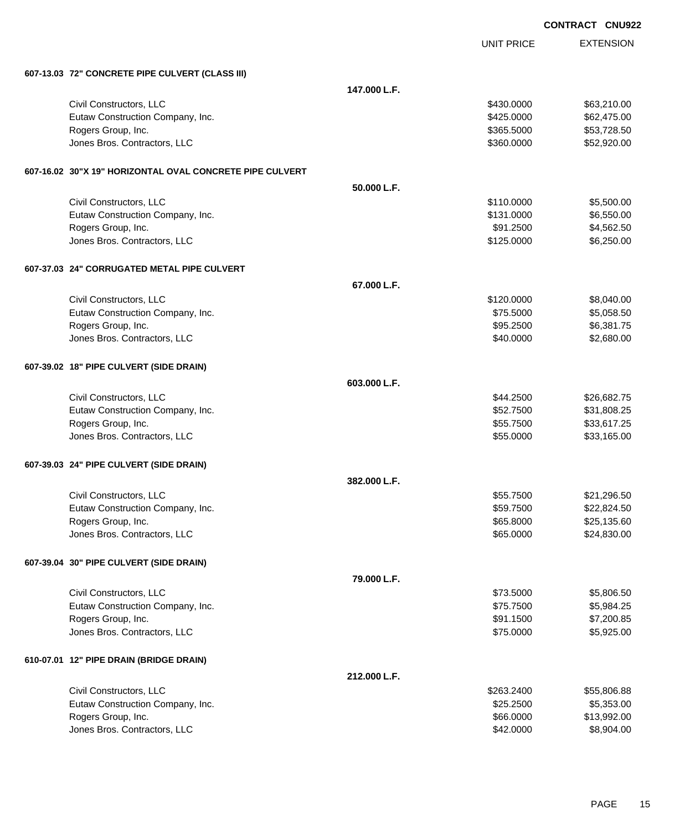| <b>CONTRACT</b> | <b>CNU922</b> |
|-----------------|---------------|
|                 |               |

UNIT PRICE

| 607-13.03 72" CONCRETE PIPE CULVERT (CLASS III) |  |
|-------------------------------------------------|--|
|                                                 |  |

| 607-13.03 72" CONCRETE PIPE CULVERT (CLASS III)          |              |            |             |
|----------------------------------------------------------|--------------|------------|-------------|
|                                                          | 147.000 L.F. |            |             |
| Civil Constructors, LLC                                  |              | \$430.0000 | \$63,210.00 |
| Eutaw Construction Company, Inc.                         |              | \$425.0000 | \$62,475.00 |
| Rogers Group, Inc.                                       |              | \$365.5000 | \$53,728.50 |
| Jones Bros. Contractors, LLC                             |              | \$360.0000 | \$52,920.00 |
| 607-16.02 30"X 19" HORIZONTAL OVAL CONCRETE PIPE CULVERT |              |            |             |
|                                                          | 50.000 L.F.  |            |             |
| Civil Constructors, LLC                                  |              | \$110.0000 | \$5,500.00  |
| Eutaw Construction Company, Inc.                         |              | \$131.0000 | \$6,550.00  |
| Rogers Group, Inc.                                       |              | \$91.2500  | \$4,562.50  |
| Jones Bros. Contractors, LLC                             |              | \$125.0000 | \$6,250.00  |
| 607-37.03 24" CORRUGATED METAL PIPE CULVERT              |              |            |             |
|                                                          | 67.000 L.F.  |            |             |
| Civil Constructors, LLC                                  |              | \$120.0000 | \$8,040.00  |
| Eutaw Construction Company, Inc.                         |              | \$75.5000  | \$5,058.50  |
| Rogers Group, Inc.                                       |              | \$95.2500  | \$6,381.75  |
| Jones Bros. Contractors, LLC                             |              | \$40.0000  | \$2,680.00  |
| 607-39.02 18" PIPE CULVERT (SIDE DRAIN)                  |              |            |             |
|                                                          | 603.000 L.F. |            |             |
| Civil Constructors, LLC                                  |              | \$44.2500  | \$26,682.75 |
| Eutaw Construction Company, Inc.                         |              | \$52.7500  | \$31,808.25 |
| Rogers Group, Inc.                                       |              | \$55.7500  | \$33,617.25 |
| Jones Bros. Contractors, LLC                             |              | \$55.0000  | \$33,165.00 |
| 607-39.03 24" PIPE CULVERT (SIDE DRAIN)                  |              |            |             |
|                                                          | 382.000 L.F. |            |             |
| Civil Constructors, LLC                                  |              | \$55.7500  | \$21,296.50 |
| Eutaw Construction Company, Inc.                         |              | \$59.7500  | \$22,824.50 |
| Rogers Group, Inc.                                       |              | \$65.8000  | \$25,135.60 |
| Jones Bros. Contractors, LLC                             |              | \$65.0000  | \$24,830.00 |
| 607-39.04 30" PIPE CULVERT (SIDE DRAIN)                  |              |            |             |
|                                                          | 79.000 L.F.  |            |             |
| Civil Constructors, LLC                                  |              | \$73.5000  | \$5,806.50  |
| Eutaw Construction Company, Inc.                         |              | \$75.7500  | \$5,984.25  |
| Rogers Group, Inc.                                       |              | \$91.1500  | \$7,200.85  |
| Jones Bros. Contractors, LLC                             |              | \$75.0000  | \$5,925.00  |
| 610-07.01 12" PIPE DRAIN (BRIDGE DRAIN)                  |              |            |             |
|                                                          | 212.000 L.F. |            |             |
| Civil Constructors, LLC                                  |              | \$263.2400 | \$55,806.88 |
| Eutaw Construction Company, Inc.                         |              | \$25.2500  | \$5,353.00  |
| Rogers Group, Inc.                                       |              | \$66.0000  | \$13,992.00 |
| Jones Bros. Contractors, LLC                             |              | \$42.0000  | \$8,904.00  |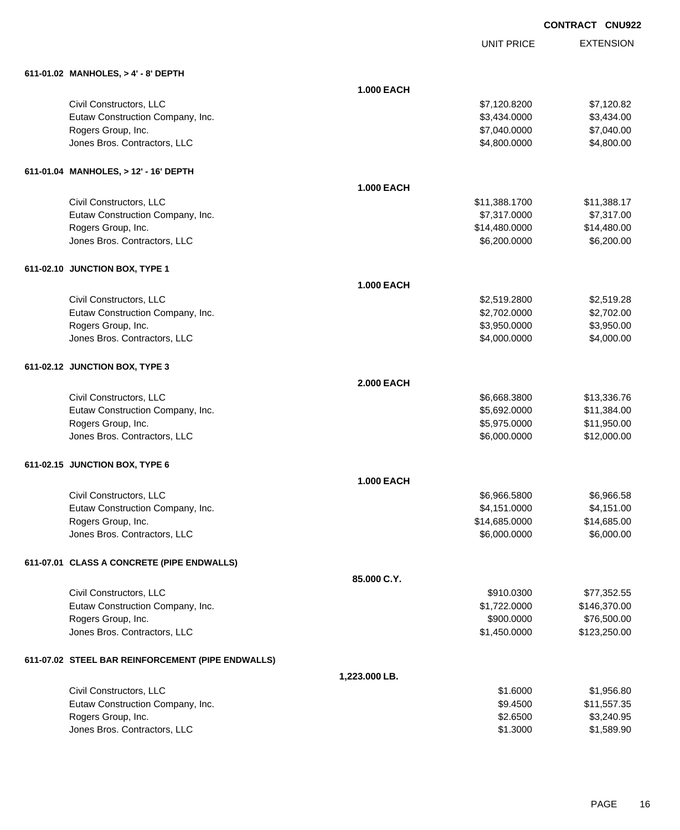# EXTENSION **CONTRACT CNU922**

UNIT PRICE

|  | 611-01.02 MANHOLES. > 4' - 8' DEPTH |
|--|-------------------------------------|

| 611-01.02 MANHOLES, > 4' - 8' DEPTH               |                   |               |              |
|---------------------------------------------------|-------------------|---------------|--------------|
|                                                   | <b>1.000 EACH</b> |               |              |
| Civil Constructors, LLC                           |                   | \$7,120.8200  | \$7,120.82   |
| Eutaw Construction Company, Inc.                  |                   | \$3,434.0000  | \$3,434.00   |
| Rogers Group, Inc.                                |                   | \$7,040.0000  | \$7,040.00   |
| Jones Bros. Contractors, LLC                      |                   | \$4,800.0000  | \$4,800.00   |
| 611-01.04 MANHOLES, > 12' - 16' DEPTH             |                   |               |              |
|                                                   | <b>1.000 EACH</b> |               |              |
| Civil Constructors, LLC                           |                   | \$11,388.1700 | \$11,388.17  |
| Eutaw Construction Company, Inc.                  |                   | \$7,317.0000  | \$7,317.00   |
| Rogers Group, Inc.                                |                   | \$14,480.0000 | \$14,480.00  |
| Jones Bros. Contractors, LLC                      |                   | \$6,200.0000  | \$6,200.00   |
| 611-02.10 JUNCTION BOX, TYPE 1                    |                   |               |              |
|                                                   | <b>1.000 EACH</b> |               |              |
| Civil Constructors, LLC                           |                   | \$2,519.2800  | \$2,519.28   |
| Eutaw Construction Company, Inc.                  |                   | \$2,702.0000  | \$2,702.00   |
| Rogers Group, Inc.                                |                   | \$3,950.0000  | \$3,950.00   |
| Jones Bros. Contractors, LLC                      |                   | \$4,000.0000  | \$4,000.00   |
| 611-02.12 JUNCTION BOX, TYPE 3                    |                   |               |              |
|                                                   | <b>2.000 EACH</b> |               |              |
| Civil Constructors, LLC                           |                   | \$6,668.3800  | \$13,336.76  |
| Eutaw Construction Company, Inc.                  |                   | \$5,692.0000  | \$11,384.00  |
| Rogers Group, Inc.                                |                   | \$5,975.0000  | \$11,950.00  |
| Jones Bros. Contractors, LLC                      |                   | \$6,000.0000  | \$12,000.00  |
| 611-02.15 JUNCTION BOX, TYPE 6                    |                   |               |              |
|                                                   | <b>1.000 EACH</b> |               |              |
| Civil Constructors, LLC                           |                   | \$6,966.5800  | \$6,966.58   |
| Eutaw Construction Company, Inc.                  |                   | \$4,151.0000  | \$4,151.00   |
| Rogers Group, Inc.                                |                   | \$14,685.0000 | \$14,685.00  |
| Jones Bros. Contractors, LLC                      |                   | \$6,000.0000  | \$6,000.00   |
| 611-07.01 CLASS A CONCRETE (PIPE ENDWALLS)        |                   |               |              |
|                                                   | 85.000 C.Y.       |               |              |
| Civil Constructors, LLC                           |                   | \$910.0300    | \$77,352.55  |
| Eutaw Construction Company, Inc.                  |                   | \$1,722.0000  | \$146,370.00 |
| Rogers Group, Inc.                                |                   | \$900.0000    | \$76,500.00  |
| Jones Bros. Contractors, LLC                      |                   | \$1,450.0000  | \$123,250.00 |
| 611-07.02 STEEL BAR REINFORCEMENT (PIPE ENDWALLS) |                   |               |              |
|                                                   | 1,223.000 LB.     |               |              |
| Civil Constructors, LLC                           |                   | \$1.6000      | \$1,956.80   |
| Eutaw Construction Company, Inc.                  |                   | \$9.4500      | \$11,557.35  |
| Rogers Group, Inc.                                |                   | \$2.6500      | \$3,240.95   |
| Jones Bros. Contractors, LLC                      |                   | \$1.3000      | \$1,589.90   |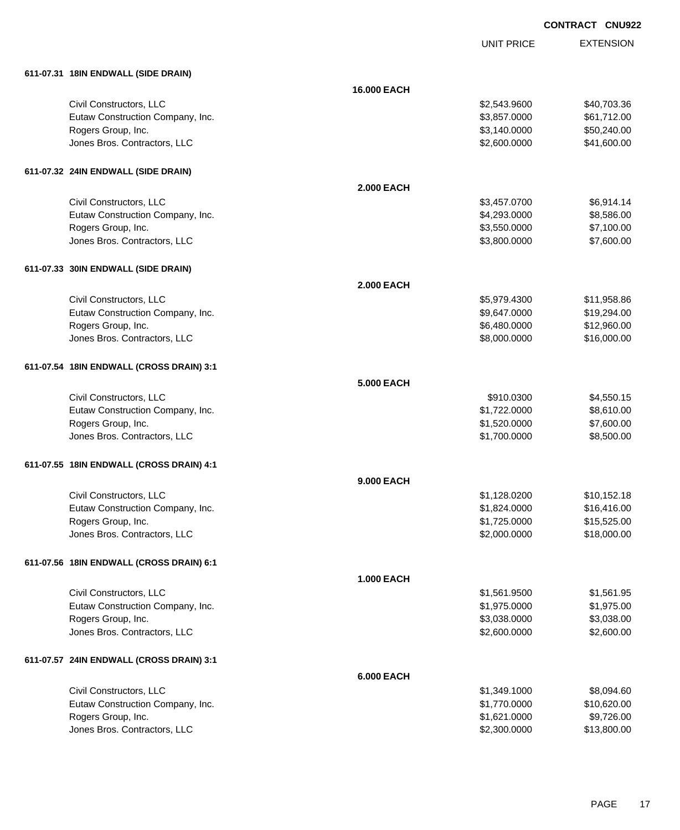UNIT PRICE EXTENSION

| 611-07.31 18IN ENDWALL (SIDE DRAIN)      |                   |              |             |
|------------------------------------------|-------------------|--------------|-------------|
|                                          | 16.000 EACH       |              |             |
| Civil Constructors, LLC                  |                   | \$2,543.9600 | \$40,703.36 |
| Eutaw Construction Company, Inc.         |                   | \$3,857.0000 | \$61,712.00 |
| Rogers Group, Inc.                       |                   | \$3,140.0000 | \$50,240.00 |
| Jones Bros. Contractors, LLC             |                   | \$2,600.0000 | \$41,600.00 |
| 611-07.32 24IN ENDWALL (SIDE DRAIN)      |                   |              |             |
|                                          | <b>2.000 EACH</b> |              |             |
| Civil Constructors, LLC                  |                   | \$3,457.0700 | \$6,914.14  |
| Eutaw Construction Company, Inc.         |                   | \$4,293.0000 | \$8,586.00  |
| Rogers Group, Inc.                       |                   | \$3,550.0000 | \$7,100.00  |
| Jones Bros. Contractors, LLC             |                   | \$3,800.0000 | \$7,600.00  |
| 611-07.33 30IN ENDWALL (SIDE DRAIN)      |                   |              |             |
|                                          | <b>2.000 EACH</b> |              |             |
| Civil Constructors, LLC                  |                   | \$5,979.4300 | \$11,958.86 |
| Eutaw Construction Company, Inc.         |                   | \$9,647.0000 | \$19,294.00 |
| Rogers Group, Inc.                       |                   | \$6,480.0000 | \$12,960.00 |
| Jones Bros. Contractors, LLC             |                   | \$8,000.0000 | \$16,000.00 |
| 611-07.54 18IN ENDWALL (CROSS DRAIN) 3:1 |                   |              |             |
|                                          | <b>5.000 EACH</b> |              |             |
| Civil Constructors, LLC                  |                   | \$910.0300   | \$4,550.15  |
| Eutaw Construction Company, Inc.         |                   | \$1,722.0000 | \$8,610.00  |
| Rogers Group, Inc.                       |                   | \$1,520.0000 | \$7,600.00  |
| Jones Bros. Contractors, LLC             |                   | \$1,700.0000 | \$8,500.00  |
| 611-07.55 18IN ENDWALL (CROSS DRAIN) 4:1 |                   |              |             |
|                                          | <b>9.000 EACH</b> |              |             |
| Civil Constructors, LLC                  |                   | \$1,128.0200 | \$10,152.18 |
| Eutaw Construction Company, Inc.         |                   | \$1,824.0000 | \$16,416.00 |
| Rogers Group, Inc.                       |                   | \$1,725.0000 | \$15,525.00 |
| Jones Bros. Contractors, LLC             |                   | \$2,000.0000 | \$18,000.00 |
| 611-07.56 18IN ENDWALL (CROSS DRAIN) 6:1 |                   |              |             |
|                                          | <b>1.000 EACH</b> |              |             |
| Civil Constructors, LLC                  |                   | \$1,561.9500 | \$1,561.95  |
| Eutaw Construction Company, Inc.         |                   | \$1,975.0000 | \$1,975.00  |
| Rogers Group, Inc.                       |                   | \$3,038.0000 | \$3,038.00  |
| Jones Bros. Contractors, LLC             |                   | \$2,600.0000 | \$2,600.00  |
| 611-07.57 24IN ENDWALL (CROSS DRAIN) 3:1 |                   |              |             |
|                                          | <b>6.000 EACH</b> |              |             |
| Civil Constructors, LLC                  |                   | \$1,349.1000 | \$8,094.60  |
| Eutaw Construction Company, Inc.         |                   | \$1,770.0000 | \$10,620.00 |
| Rogers Group, Inc.                       |                   | \$1,621.0000 | \$9,726.00  |
| Jones Bros. Contractors, LLC             |                   | \$2,300.0000 | \$13,800.00 |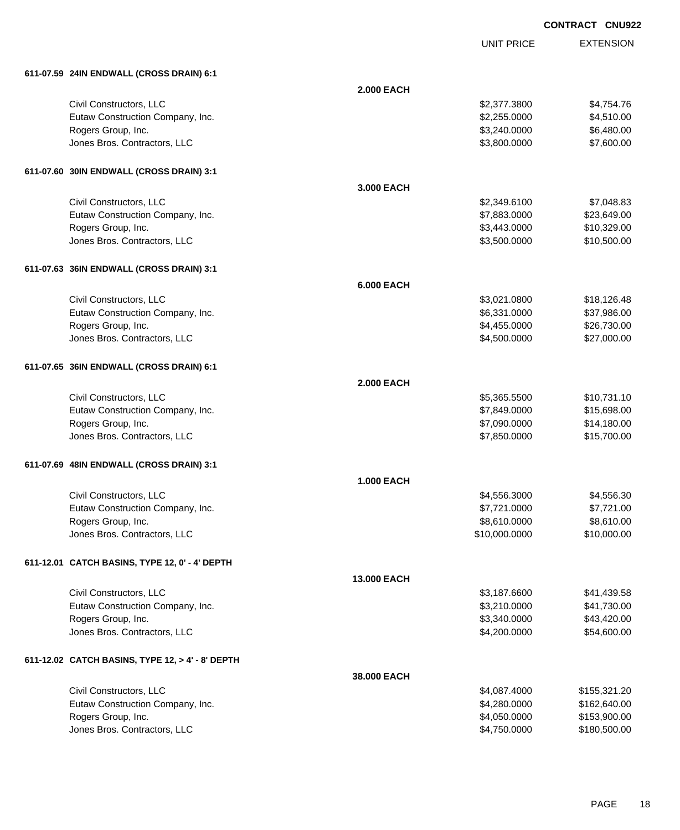| <b>CONTRACT CNU922</b> |  |
|------------------------|--|
|                        |  |

|                                                  |                   | <b>UNIT PRICE</b> | <b>EXTENSION</b> |
|--------------------------------------------------|-------------------|-------------------|------------------|
| 611-07.59 24IN ENDWALL (CROSS DRAIN) 6:1         |                   |                   |                  |
|                                                  | <b>2.000 EACH</b> |                   |                  |
| Civil Constructors, LLC                          |                   | \$2,377.3800      | \$4,754.76       |
| Eutaw Construction Company, Inc.                 |                   | \$2,255.0000      | \$4,510.00       |
| Rogers Group, Inc.                               |                   | \$3,240.0000      | \$6,480.00       |
| Jones Bros. Contractors, LLC                     |                   | \$3,800.0000      | \$7,600.00       |
| 611-07.60 30IN ENDWALL (CROSS DRAIN) 3:1         |                   |                   |                  |
|                                                  | 3.000 EACH        |                   |                  |
| Civil Constructors, LLC                          |                   | \$2,349.6100      | \$7,048.83       |
| Eutaw Construction Company, Inc.                 |                   | \$7,883.0000      | \$23,649.00      |
| Rogers Group, Inc.                               |                   | \$3,443.0000      | \$10,329.00      |
| Jones Bros. Contractors, LLC                     |                   | \$3,500.0000      | \$10,500.00      |
| 611-07.63 36IN ENDWALL (CROSS DRAIN) 3:1         |                   |                   |                  |
|                                                  | <b>6.000 EACH</b> |                   |                  |
| Civil Constructors, LLC                          |                   | \$3,021.0800      | \$18,126.48      |
| Eutaw Construction Company, Inc.                 |                   | \$6,331.0000      | \$37,986.00      |
| Rogers Group, Inc.                               |                   | \$4,455.0000      | \$26,730.00      |
| Jones Bros. Contractors, LLC                     |                   | \$4,500.0000      | \$27,000.00      |
| 611-07.65 36IN ENDWALL (CROSS DRAIN) 6:1         |                   |                   |                  |
|                                                  | <b>2.000 EACH</b> |                   |                  |
| Civil Constructors, LLC                          |                   | \$5,365.5500      | \$10,731.10      |
| Eutaw Construction Company, Inc.                 |                   | \$7,849.0000      | \$15,698.00      |
| Rogers Group, Inc.                               |                   | \$7,090.0000      | \$14,180.00      |
| Jones Bros. Contractors, LLC                     |                   | \$7,850.0000      | \$15,700.00      |
| 611-07.69 48IN ENDWALL (CROSS DRAIN) 3:1         |                   |                   |                  |
|                                                  | <b>1.000 EACH</b> |                   |                  |
| Civil Constructors, LLC                          |                   | \$4,556.3000      | \$4,556.30       |
| Eutaw Construction Company, Inc.                 |                   | \$7,721.0000      | \$7,721.00       |
| Rogers Group, Inc.                               |                   | \$8,610.0000      | \$8,610.00       |
| Jones Bros. Contractors, LLC                     |                   | \$10,000.0000     | \$10,000.00      |
| 611-12.01 CATCH BASINS, TYPE 12, 0' - 4' DEPTH   |                   |                   |                  |
|                                                  | 13.000 EACH       |                   |                  |
| Civil Constructors, LLC                          |                   | \$3,187.6600      | \$41,439.58      |
| Eutaw Construction Company, Inc.                 |                   | \$3,210.0000      | \$41,730.00      |
| Rogers Group, Inc.                               |                   | \$3,340.0000      | \$43,420.00      |
| Jones Bros. Contractors, LLC                     |                   | \$4,200.0000      | \$54,600.00      |
| 611-12.02 CATCH BASINS, TYPE 12, > 4' - 8' DEPTH |                   |                   |                  |
|                                                  | 38.000 EACH       |                   |                  |
| Civil Constructors, LLC                          |                   | \$4,087.4000      | \$155,321.20     |
| Eutaw Construction Company, Inc.                 |                   | \$4,280.0000      | \$162,640.00     |
| Rogers Group, Inc.                               |                   | \$4,050.0000      | \$153,900.00     |
| Jones Bros. Contractors, LLC                     |                   | \$4,750.0000      | \$180,500.00     |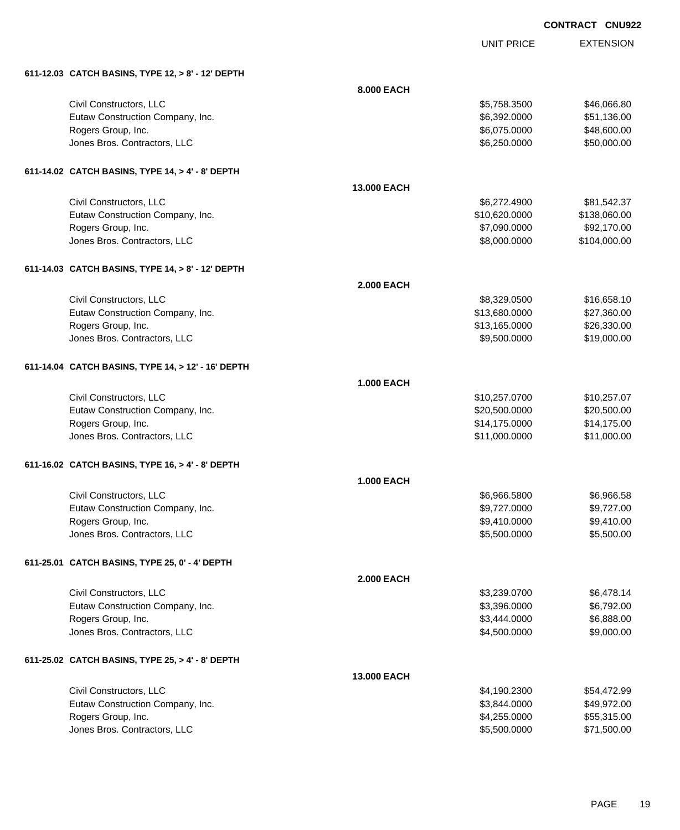EXTENSION **CONTRACT CNU922**

UNIT PRICE

| 611-12.03 CATCH BASINS, TYPE 12, > 8' - 12' DEPTH |  |
|---------------------------------------------------|--|
|                                                   |  |

| 611-12.03 CATCH BASINS, TYPE 12, > 8' - 12' DEPTH  |                   |               |              |
|----------------------------------------------------|-------------------|---------------|--------------|
|                                                    | 8.000 EACH        |               |              |
| Civil Constructors, LLC                            |                   | \$5,758.3500  | \$46,066.80  |
| Eutaw Construction Company, Inc.                   |                   | \$6,392.0000  | \$51,136.00  |
| Rogers Group, Inc.                                 |                   | \$6,075.0000  | \$48,600.00  |
| Jones Bros. Contractors, LLC                       |                   | \$6,250.0000  | \$50,000.00  |
| 611-14.02 CATCH BASINS, TYPE 14, > 4' - 8' DEPTH   |                   |               |              |
|                                                    | 13.000 EACH       |               |              |
| Civil Constructors, LLC                            |                   | \$6,272.4900  | \$81,542.37  |
| Eutaw Construction Company, Inc.                   |                   | \$10,620.0000 | \$138,060.00 |
| Rogers Group, Inc.                                 |                   | \$7,090.0000  | \$92,170.00  |
| Jones Bros. Contractors, LLC                       |                   | \$8,000.0000  | \$104,000.00 |
| 611-14.03 CATCH BASINS, TYPE 14, > 8' - 12' DEPTH  |                   |               |              |
|                                                    | <b>2.000 EACH</b> |               |              |
| Civil Constructors, LLC                            |                   | \$8,329.0500  | \$16,658.10  |
| Eutaw Construction Company, Inc.                   |                   | \$13,680.0000 | \$27,360.00  |
| Rogers Group, Inc.                                 |                   | \$13,165.0000 | \$26,330.00  |
| Jones Bros. Contractors, LLC                       |                   | \$9,500.0000  | \$19,000.00  |
| 611-14.04 CATCH BASINS, TYPE 14, > 12' - 16' DEPTH |                   |               |              |
|                                                    | <b>1.000 EACH</b> |               |              |
| Civil Constructors, LLC                            |                   | \$10,257.0700 | \$10,257.07  |
| Eutaw Construction Company, Inc.                   |                   | \$20,500.0000 | \$20,500.00  |
| Rogers Group, Inc.                                 |                   | \$14,175.0000 | \$14,175.00  |
| Jones Bros. Contractors, LLC                       |                   | \$11,000.0000 | \$11,000.00  |
| 611-16.02 CATCH BASINS, TYPE 16, > 4' - 8' DEPTH   |                   |               |              |
|                                                    | <b>1.000 EACH</b> |               |              |
| Civil Constructors, LLC                            |                   | \$6,966.5800  | \$6,966.58   |
| Eutaw Construction Company, Inc.                   |                   | \$9,727.0000  | \$9,727.00   |
| Rogers Group, Inc.                                 |                   | \$9,410.0000  | \$9,410.00   |
| Jones Bros. Contractors, LLC                       |                   | \$5,500.0000  | \$5,500.00   |
| 611-25.01 CATCH BASINS, TYPE 25, 0' - 4' DEPTH     |                   |               |              |
|                                                    | <b>2.000 EACH</b> |               |              |
| Civil Constructors, LLC                            |                   | \$3,239.0700  | \$6,478.14   |
| Eutaw Construction Company, Inc.                   |                   | \$3,396.0000  | \$6,792.00   |
| Rogers Group, Inc.                                 |                   | \$3,444.0000  | \$6,888.00   |
| Jones Bros. Contractors, LLC                       |                   | \$4,500.0000  | \$9,000.00   |
| 611-25.02 CATCH BASINS, TYPE 25, > 4' - 8' DEPTH   |                   |               |              |
|                                                    | 13.000 EACH       |               |              |
| Civil Constructors, LLC                            |                   | \$4,190.2300  | \$54,472.99  |
| Eutaw Construction Company, Inc.                   |                   | \$3,844.0000  | \$49,972.00  |
| Rogers Group, Inc.                                 |                   | \$4,255.0000  | \$55,315.00  |
| Jones Bros. Contractors, LLC                       |                   | \$5,500.0000  | \$71,500.00  |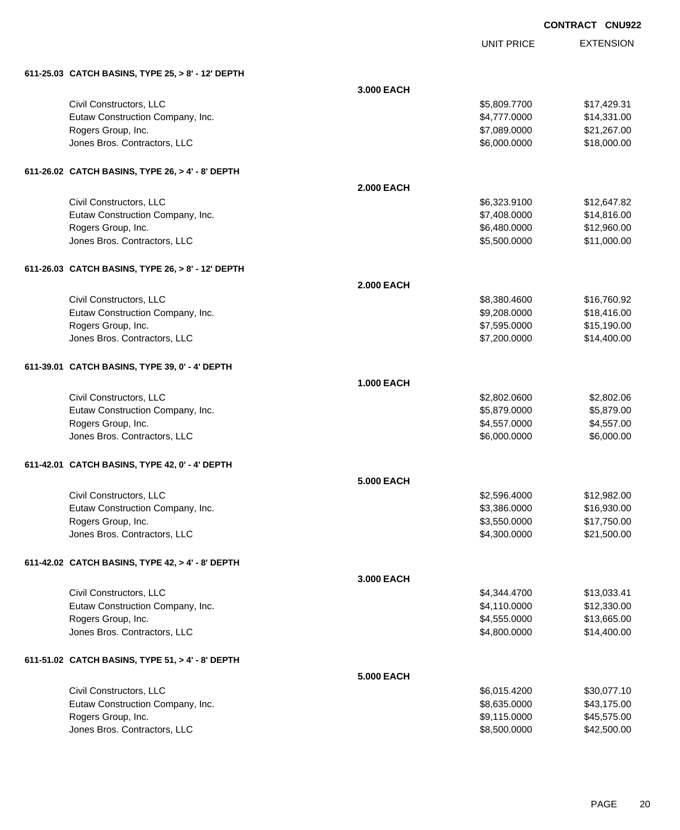| <b>CONTRACT CNU922</b> |  |
|------------------------|--|
|                        |  |

EXTENSION

|                                                   |                   | <b>UNIT PRICE</b> | <b>EXTENSION</b> |
|---------------------------------------------------|-------------------|-------------------|------------------|
| 611-25.03 CATCH BASINS, TYPE 25, > 8' - 12' DEPTH |                   |                   |                  |
|                                                   | 3.000 EACH        |                   |                  |
| Civil Constructors, LLC                           |                   | \$5,809.7700      | \$17,429.31      |
| Eutaw Construction Company, Inc.                  |                   | \$4,777.0000      | \$14,331.00      |
| Rogers Group, Inc.                                |                   | \$7,089.0000      | \$21,267.00      |
| Jones Bros. Contractors, LLC                      |                   | \$6,000.0000      | \$18,000.00      |
| 611-26.02 CATCH BASINS, TYPE 26, > 4' - 8' DEPTH  |                   |                   |                  |
|                                                   | <b>2.000 EACH</b> |                   |                  |
| Civil Constructors, LLC                           |                   | \$6,323.9100      | \$12,647.82      |
| Eutaw Construction Company, Inc.                  |                   | \$7,408.0000      | \$14,816.00      |
| Rogers Group, Inc.                                |                   | \$6,480.0000      | \$12,960.00      |
| Jones Bros. Contractors, LLC                      |                   | \$5,500.0000      | \$11,000.00      |
| 611-26.03 CATCH BASINS, TYPE 26, > 8' - 12' DEPTH |                   |                   |                  |
|                                                   | <b>2.000 EACH</b> |                   |                  |
| Civil Constructors, LLC                           |                   | \$8,380.4600      | \$16,760.92      |
| Eutaw Construction Company, Inc.                  |                   | \$9,208.0000      | \$18,416.00      |
| Rogers Group, Inc.                                |                   | \$7,595.0000      | \$15,190.00      |
| Jones Bros. Contractors, LLC                      |                   | \$7,200.0000      | \$14,400.00      |
| 611-39.01 CATCH BASINS, TYPE 39, 0' - 4' DEPTH    |                   |                   |                  |
|                                                   | <b>1.000 EACH</b> |                   |                  |
| Civil Constructors, LLC                           |                   | \$2,802.0600      | \$2,802.06       |
| Eutaw Construction Company, Inc.                  |                   | \$5,879.0000      | \$5,879.00       |
| Rogers Group, Inc.                                |                   | \$4,557.0000      | \$4,557.00       |
| Jones Bros. Contractors, LLC                      |                   | \$6,000.0000      | \$6,000.00       |
| 611-42.01 CATCH BASINS, TYPE 42, 0' - 4' DEPTH    |                   |                   |                  |
|                                                   | <b>5.000 EACH</b> |                   |                  |
| Civil Constructors, LLC                           |                   | \$2,596.4000      | \$12,982.00      |
| Eutaw Construction Company, Inc.                  |                   | \$3,386.0000      | \$16,930.00      |
| Rogers Group, Inc.                                |                   | \$3,550.0000      | \$17,750.00      |
| Jones Bros. Contractors, LLC                      |                   | \$4,300.0000      | \$21,500.00      |
| 611-42.02 CATCH BASINS, TYPE 42, > 4' - 8' DEPTH  |                   |                   |                  |
|                                                   | 3.000 EACH        |                   |                  |
| Civil Constructors, LLC                           |                   | \$4,344.4700      | \$13,033.41      |
| Eutaw Construction Company, Inc.                  |                   | \$4,110.0000      | \$12,330.00      |
| Rogers Group, Inc.                                |                   | \$4,555.0000      | \$13,665.00      |

### **611-51.02 CATCH BASINS, TYPE 51, > 4' - 8' DEPTH**

|                                  | <b>5.000 EACH</b> |             |
|----------------------------------|-------------------|-------------|
| Civil Constructors, LLC          | \$6.015.4200      | \$30,077.10 |
| Eutaw Construction Company, Inc. | \$8,635.0000      | \$43,175,00 |
| Rogers Group, Inc.               | \$9.115.0000      | \$45,575,00 |
| Jones Bros. Contractors, LLC     | \$8,500.0000      | \$42,500.00 |

Jones Bros. Contractors, LLC \$4,800.0000 \$14,400.00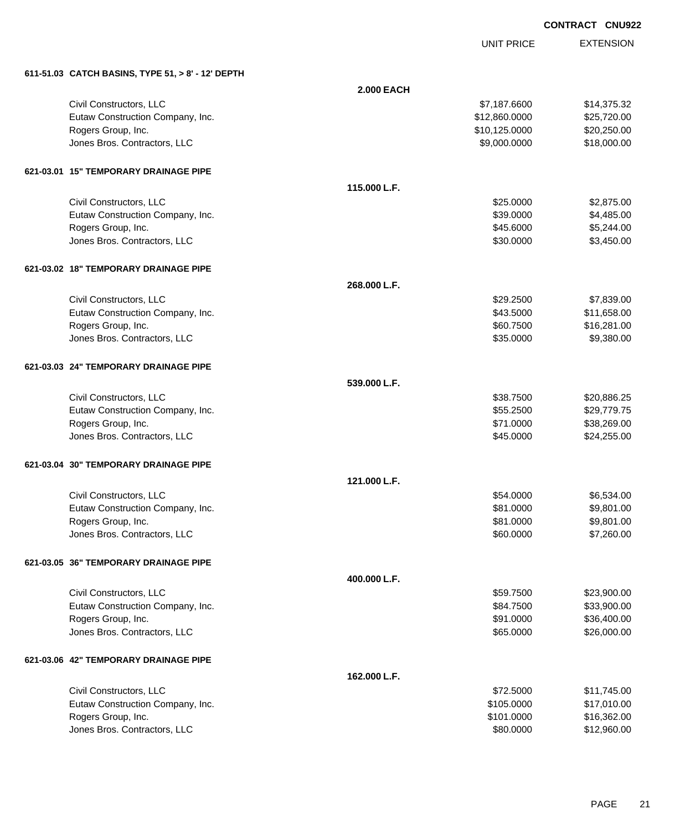UNIT PRICE EXTENSION

**611-51.03 CATCH BASINS, TYPE 51, > 8' - 12' DEPTH**

| 611-51.03 CATCH BASINS, TYPE 51, > 8' - 12' DEPTH |                   |               |             |
|---------------------------------------------------|-------------------|---------------|-------------|
|                                                   | <b>2.000 EACH</b> |               |             |
| Civil Constructors, LLC                           |                   | \$7,187.6600  | \$14,375.32 |
| Eutaw Construction Company, Inc.                  |                   | \$12,860.0000 | \$25,720.00 |
| Rogers Group, Inc.                                |                   | \$10,125.0000 | \$20,250.00 |
| Jones Bros. Contractors, LLC                      |                   | \$9,000.0000  | \$18,000.00 |
| 621-03.01 15" TEMPORARY DRAINAGE PIPE             |                   |               |             |
|                                                   | 115.000 L.F.      |               |             |
| Civil Constructors, LLC                           |                   | \$25.0000     | \$2,875.00  |
| Eutaw Construction Company, Inc.                  |                   | \$39.0000     | \$4,485.00  |
| Rogers Group, Inc.                                |                   | \$45.6000     | \$5,244.00  |
| Jones Bros. Contractors, LLC                      |                   | \$30.0000     | \$3,450.00  |
| 621-03.02 18" TEMPORARY DRAINAGE PIPE             |                   |               |             |
|                                                   | 268.000 L.F.      |               |             |
| Civil Constructors, LLC                           |                   | \$29.2500     | \$7,839.00  |
| Eutaw Construction Company, Inc.                  |                   | \$43.5000     | \$11,658.00 |
| Rogers Group, Inc.                                |                   | \$60.7500     | \$16,281.00 |
| Jones Bros. Contractors, LLC                      |                   | \$35.0000     | \$9,380.00  |
| 621-03.03 24" TEMPORARY DRAINAGE PIPE             |                   |               |             |
|                                                   | 539.000 L.F.      |               |             |
| Civil Constructors, LLC                           |                   | \$38.7500     | \$20,886.25 |
| Eutaw Construction Company, Inc.                  |                   | \$55.2500     | \$29,779.75 |
| Rogers Group, Inc.                                |                   | \$71.0000     | \$38,269.00 |
| Jones Bros. Contractors, LLC                      |                   | \$45.0000     | \$24,255.00 |
| 621-03.04 30" TEMPORARY DRAINAGE PIPE             |                   |               |             |
|                                                   | 121.000 L.F.      |               |             |
| Civil Constructors, LLC                           |                   | \$54.0000     | \$6,534.00  |
| Eutaw Construction Company, Inc.                  |                   | \$81.0000     | \$9,801.00  |
| Rogers Group, Inc.                                |                   | \$81.0000     | \$9,801.00  |
| Jones Bros. Contractors, LLC                      |                   | \$60.0000     | \$7,260.00  |
| 621-03.05 36" TEMPORARY DRAINAGE PIPE             |                   |               |             |
|                                                   | 400.000 L.F.      |               |             |
| Civil Constructors, LLC                           |                   | \$59.7500     | \$23,900.00 |
| Eutaw Construction Company, Inc.                  |                   | \$84.7500     | \$33,900.00 |
| Rogers Group, Inc.                                |                   | \$91.0000     | \$36,400.00 |
| Jones Bros. Contractors, LLC                      |                   | \$65.0000     | \$26,000.00 |
| 621-03.06 42" TEMPORARY DRAINAGE PIPE             |                   |               |             |
|                                                   | 162.000 L.F.      |               |             |
| Civil Constructors, LLC                           |                   | \$72.5000     | \$11,745.00 |
| Eutaw Construction Company, Inc.                  |                   | \$105.0000    | \$17,010.00 |
| Rogers Group, Inc.                                |                   | \$101.0000    | \$16,362.00 |
| Jones Bros. Contractors, LLC                      |                   | \$80.0000     | \$12,960.00 |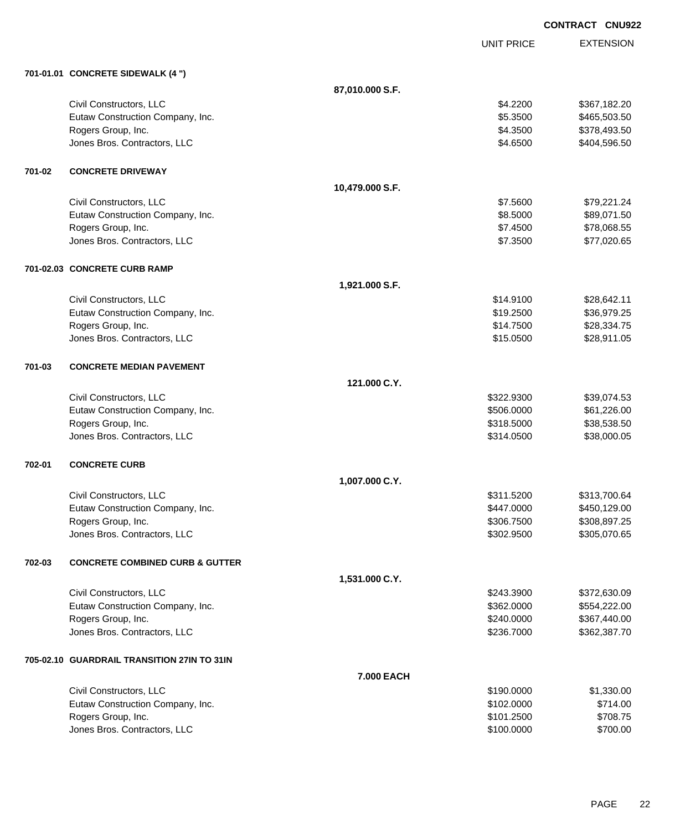**EXTENSION CONTRACT CNU922** UNIT PRICE **701-01.01 CONCRETE SIDEWALK (4 ") 87,010.000 S.F.** Civil Constructors, LLC 6. 2200 \$367,182.20 Eutaw Construction Company, Inc. 6. 2012 12:3500 \$465,503.50 Rogers Group, Inc. \$378,493.50 \$378,493.50 Jones Bros. Contractors, LLC \$4.6500 \$404,596.50 **701-02 CONCRETE DRIVEWAY 10,479.000 S.F.** Civil Constructors, LLC 679,221.24 Eutaw Construction Company, Inc. 6. The Construction Company, Inc. 6. The Construction Company, Inc. 6. The Construction Company, Inc. 6. The Construction Company, Inc. 6. The Construction Company, Inc. 6. The Construction Rogers Group, Inc. \$78,068.55 Jones Bros. Contractors, LLC \$7.3500 \$77,020.65 **701-02.03 CONCRETE CURB RAMP 1,921.000 S.F.** Civil Constructors, LLC 628,642.11 Eutaw Construction Company, Inc. 6. The Construction Company, Inc. 6. The Construction Company, Inc. 6. The Construction Company, Inc. 6. The Construction Company, Inc. 6. The Construction Company, Inc. 6. The Construction Rogers Group, Inc. \$28,334.75 Jones Bros. Contractors, LLC \$15.0500 \$28,911.05 **701-03 CONCRETE MEDIAN PAVEMENT 121.000 C.Y.** Civil Constructors, LLC 639,074.53 Eutaw Construction Company, Inc. 6. The Construction Company, Inc. 6. The Construction Company, Inc. 6. The Construction Company, Inc. 6. The Construction Company, Inc. 6. The Construction Company, Inc. 6. The Construction Rogers Group, Inc. \$38,538.50 \$318.5000 \$32,538.50 Jones Bros. Contractors, LLC \$314.0500 \$38,000.05 **702-01 CONCRETE CURB 1,007.000 C.Y.** Civil Constructors, LLC \$311.5200 \$313,700.64 Eutaw Construction Company, Inc. 6. The Construction Company, Inc. 6. The Construction Company, Inc. 6. The Construction Company, Inc. 6. The Construction Company, Inc. 6. The Construction Company, Inc. 6. The Construction Rogers Group, Inc. \$308,897.25 Jones Bros. Contractors, LLC \$302.9500 \$305,070.65 **702-03 CONCRETE COMBINED CURB & GUTTER 1,531.000 C.Y.** Civil Constructors, LLC \$243.3900 \$372,630.09 Eutaw Construction Company, Inc. 6. The Construction Company, Inc. 6. The Construction Company, Inc. 6. The Construction Company, Inc. 6. The Construction Company, Inc. 6. The Construction Company, Inc. 6. The Construction Rogers Group, Inc. 6. 2002. The Secret of the Secret Associates of the Secret Associates of the Secret Associates of the Secret Associates of the Secret Associates of the Secret Associates of the Secret Associates of the S Jones Bros. Contractors, LLC \$236.7000 \$362,387.70 **705-02.10 GUARDRAIL TRANSITION 27IN TO 31IN 7.000 EACH** Civil Constructors, LLC 6. 2002. The state of the state of the state of the state of the state of the state of the state of the state of the state of the state of the state of the state of the state of the state of the sta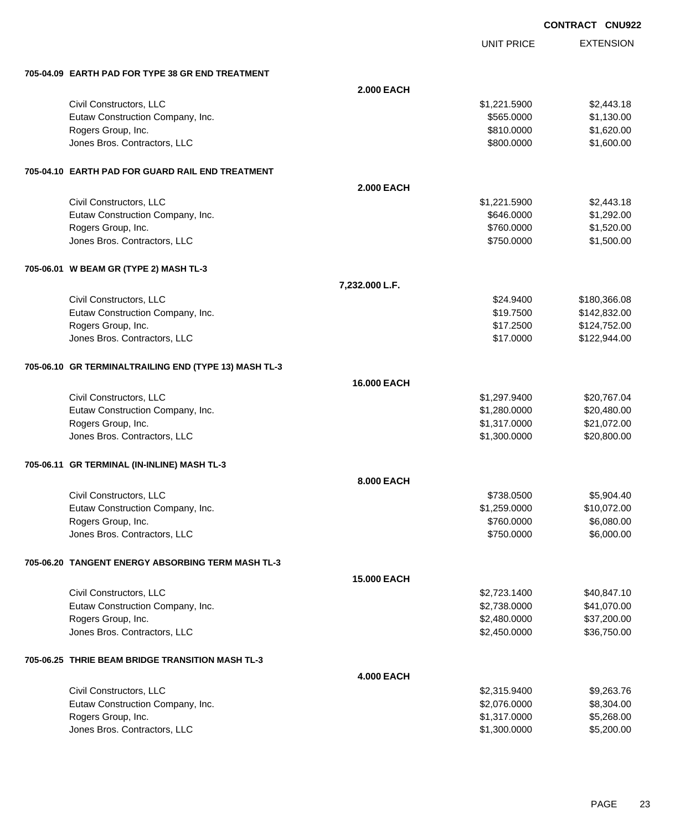|                                                       |                    |                              | <b>CONTRACT CNU922</b>     |  |
|-------------------------------------------------------|--------------------|------------------------------|----------------------------|--|
|                                                       |                    | <b>UNIT PRICE</b>            | <b>EXTENSION</b>           |  |
| 705-04.09 EARTH PAD FOR TYPE 38 GR END TREATMENT      |                    |                              |                            |  |
|                                                       | <b>2.000 EACH</b>  |                              |                            |  |
| Civil Constructors, LLC                               |                    | \$1,221.5900                 | \$2,443.18                 |  |
| Eutaw Construction Company, Inc.                      |                    | \$565.0000                   | \$1,130.00                 |  |
| Rogers Group, Inc.                                    |                    | \$810.0000                   | \$1,620.00                 |  |
| Jones Bros. Contractors, LLC                          |                    | \$800.0000                   | \$1,600.00                 |  |
| 705-04.10 EARTH PAD FOR GUARD RAIL END TREATMENT      |                    |                              |                            |  |
|                                                       | <b>2.000 EACH</b>  |                              |                            |  |
| Civil Constructors, LLC                               |                    | \$1,221.5900                 | \$2,443.18                 |  |
| Eutaw Construction Company, Inc.                      |                    | \$646.0000                   | \$1,292.00                 |  |
| Rogers Group, Inc.                                    |                    | \$760.0000                   | \$1,520.00                 |  |
| Jones Bros. Contractors, LLC                          |                    | \$750.0000                   | \$1,500.00                 |  |
| 705-06.01 W BEAM GR (TYPE 2) MASH TL-3                |                    |                              |                            |  |
|                                                       | 7,232.000 L.F.     |                              |                            |  |
| Civil Constructors, LLC                               |                    | \$24.9400                    | \$180,366.08               |  |
| Eutaw Construction Company, Inc.                      |                    | \$19.7500                    | \$142,832.00               |  |
| Rogers Group, Inc.                                    |                    | \$17.2500                    | \$124,752.00               |  |
| Jones Bros. Contractors, LLC                          |                    | \$17.0000                    | \$122,944.00               |  |
| 705-06.10 GR TERMINALTRAILING END (TYPE 13) MASH TL-3 |                    |                              |                            |  |
|                                                       | <b>16.000 EACH</b> |                              |                            |  |
| Civil Constructors, LLC                               |                    | \$1,297.9400                 | \$20,767.04                |  |
| Eutaw Construction Company, Inc.                      |                    | \$1,280.0000                 | \$20,480.00                |  |
| Rogers Group, Inc.<br>Jones Bros. Contractors, LLC    |                    | \$1,317.0000                 | \$21,072.00<br>\$20,800.00 |  |
|                                                       |                    | \$1,300.0000                 |                            |  |
| 705-06.11 GR TERMINAL (IN-INLINE) MASH TL-3           |                    |                              |                            |  |
|                                                       | <b>8.000 EACH</b>  |                              |                            |  |
| Civil Constructors, LLC                               |                    | \$738.0500                   | \$5,904.40                 |  |
| Eutaw Construction Company, Inc.                      |                    | \$1,259.0000                 | \$10,072.00                |  |
| Rogers Group, Inc.<br>Jones Bros. Contractors, LLC    |                    | \$760.0000<br>\$750.0000     | \$6,080.00<br>\$6,000.00   |  |
|                                                       |                    |                              |                            |  |
| 705-06.20 TANGENT ENERGY ABSORBING TERM MASH TL-3     |                    |                              |                            |  |
|                                                       | <b>15.000 EACH</b> |                              |                            |  |
| Civil Constructors, LLC                               |                    | \$2,723.1400                 | \$40,847.10                |  |
| Eutaw Construction Company, Inc.                      |                    | \$2,738.0000                 | \$41,070.00                |  |
| Rogers Group, Inc.<br>Jones Bros. Contractors, LLC    |                    | \$2,480.0000<br>\$2,450.0000 | \$37,200.00<br>\$36,750.00 |  |
|                                                       |                    |                              |                            |  |
| 705-06.25 THRIE BEAM BRIDGE TRANSITION MASH TL-3      |                    |                              |                            |  |
|                                                       | <b>4.000 EACH</b>  |                              |                            |  |
| Civil Constructors, LLC                               |                    | \$2,315.9400                 | \$9,263.76                 |  |
| Eutaw Construction Company, Inc.                      |                    | \$2,076.0000                 | \$8,304.00                 |  |
| Rogers Group, Inc.<br>Jones Bros. Contractors, LLC    |                    | \$1,317.0000<br>\$1,300.0000 | \$5,268.00<br>\$5,200.00   |  |
|                                                       |                    |                              |                            |  |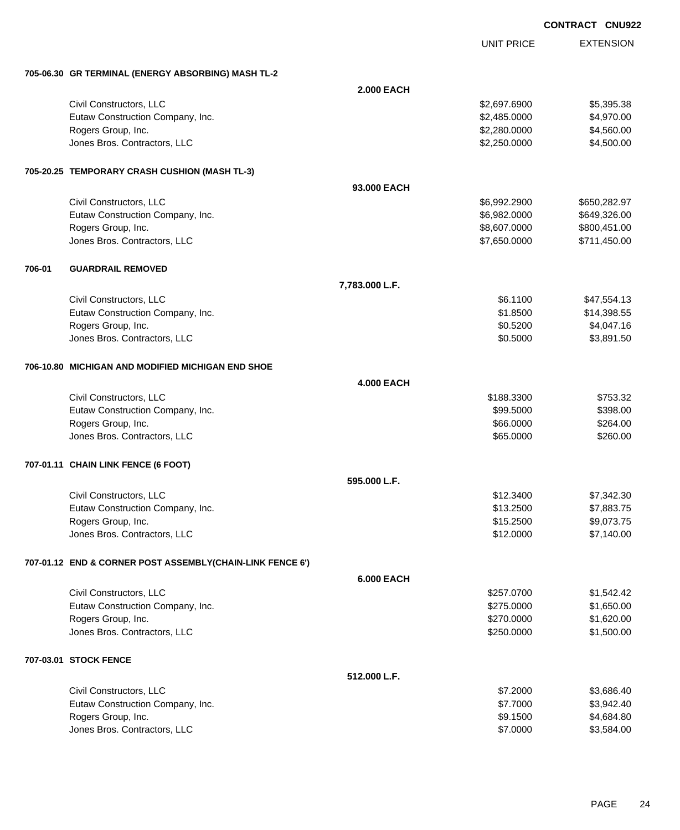|        |                                                           |                   |                   | <b>CONTRACT CNU922</b> |
|--------|-----------------------------------------------------------|-------------------|-------------------|------------------------|
|        |                                                           |                   | <b>UNIT PRICE</b> | <b>EXTENSION</b>       |
|        | 705-06.30 GR TERMINAL (ENERGY ABSORBING) MASH TL-2        |                   |                   |                        |
|        |                                                           | <b>2.000 EACH</b> |                   |                        |
|        | Civil Constructors, LLC                                   |                   | \$2,697.6900      | \$5,395.38             |
|        | Eutaw Construction Company, Inc.                          |                   | \$2,485.0000      | \$4,970.00             |
|        | Rogers Group, Inc.                                        |                   | \$2,280.0000      | \$4,560.00             |
|        | Jones Bros. Contractors, LLC                              |                   | \$2,250.0000      | \$4,500.00             |
|        | 705-20.25 TEMPORARY CRASH CUSHION (MASH TL-3)             |                   |                   |                        |
|        |                                                           | 93,000 EACH       |                   |                        |
|        | Civil Constructors, LLC                                   |                   | \$6,992.2900      | \$650,282.97           |
|        | Eutaw Construction Company, Inc.                          |                   | \$6,982.0000      | \$649,326.00           |
|        | Rogers Group, Inc.                                        |                   | \$8,607.0000      | \$800,451.00           |
|        | Jones Bros. Contractors, LLC                              |                   | \$7,650.0000      | \$711,450.00           |
| 706-01 | <b>GUARDRAIL REMOVED</b>                                  |                   |                   |                        |
|        |                                                           | 7,783.000 L.F.    |                   |                        |
|        | Civil Constructors, LLC                                   |                   | \$6.1100          | \$47,554.13            |
|        | Eutaw Construction Company, Inc.                          |                   | \$1.8500          | \$14,398.55            |
|        | Rogers Group, Inc.                                        |                   | \$0.5200          | \$4,047.16             |
|        | Jones Bros. Contractors, LLC                              |                   | \$0.5000          | \$3,891.50             |
|        | 706-10.80 MICHIGAN AND MODIFIED MICHIGAN END SHOE         |                   |                   |                        |
|        |                                                           | <b>4.000 EACH</b> |                   |                        |
|        | Civil Constructors, LLC                                   |                   | \$188.3300        | \$753.32               |
|        | Eutaw Construction Company, Inc.                          |                   | \$99.5000         | \$398.00               |
|        | Rogers Group, Inc.                                        |                   | \$66.0000         | \$264.00               |
|        | Jones Bros. Contractors, LLC                              |                   | \$65.0000         | \$260.00               |
|        | 707-01.11 CHAIN LINK FENCE (6 FOOT)                       |                   |                   |                        |
|        |                                                           | 595.000 L.F.      |                   |                        |
|        | Civil Constructors, LLC                                   |                   | \$12.3400         | \$7,342.30             |
|        | Eutaw Construction Company, Inc.                          |                   | \$13.2500         | \$7,883.75             |
|        | Rogers Group, Inc.                                        |                   | \$15.2500         | \$9,073.75             |
|        | Jones Bros. Contractors, LLC                              |                   | \$12.0000         | \$7,140.00             |
|        | 707-01.12 END & CORNER POST ASSEMBLY(CHAIN-LINK FENCE 6') |                   |                   |                        |
|        |                                                           | <b>6.000 EACH</b> |                   |                        |
|        | Civil Constructors, LLC                                   |                   | \$257.0700        | \$1,542.42             |
|        | Eutaw Construction Company, Inc.                          |                   | \$275.0000        | \$1,650.00             |
|        | Rogers Group, Inc.                                        |                   | \$270.0000        | \$1,620.00             |
|        | Jones Bros. Contractors, LLC                              |                   | \$250.0000        | \$1,500.00             |
|        | 707-03.01 STOCK FENCE                                     |                   |                   |                        |
|        |                                                           | 512.000 L.F.      |                   |                        |
|        | Civil Constructors, LLC                                   |                   | \$7.2000          | \$3,686.40             |
|        | Eutaw Construction Company, Inc.                          |                   | \$7.7000          | \$3,942.40             |
|        | Rogers Group, Inc.                                        |                   | \$9.1500          | \$4,684.80             |
|        | Jones Bros. Contractors, LLC                              |                   | \$7.0000          | \$3,584.00             |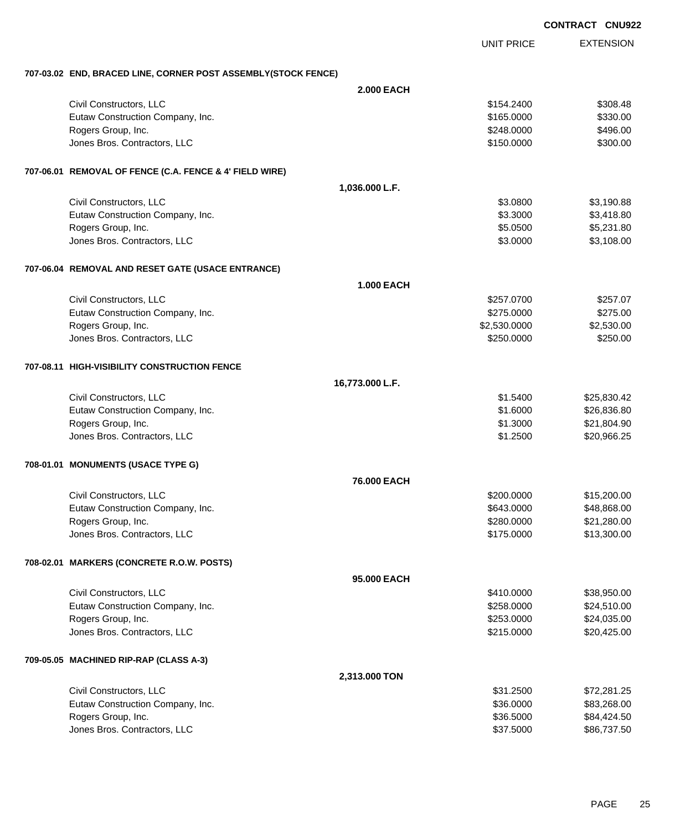|                                                               |                   |                   | <b>CONTRACT CNU922</b> |
|---------------------------------------------------------------|-------------------|-------------------|------------------------|
|                                                               |                   | <b>UNIT PRICE</b> | <b>EXTENSION</b>       |
| 707-03.02 END, BRACED LINE, CORNER POST ASSEMBLY(STOCK FENCE) |                   |                   |                        |
|                                                               | <b>2.000 EACH</b> |                   |                        |
| Civil Constructors, LLC                                       |                   | \$154.2400        | \$308.48               |
| Eutaw Construction Company, Inc.                              |                   | \$165.0000        | \$330.00               |
| Rogers Group, Inc.                                            |                   | \$248.0000        | \$496.00               |
| Jones Bros. Contractors, LLC                                  |                   | \$150.0000        | \$300.00               |
| 707-06.01 REMOVAL OF FENCE (C.A. FENCE & 4' FIELD WIRE)       |                   |                   |                        |
|                                                               | 1,036.000 L.F.    |                   |                        |
| Civil Constructors, LLC                                       |                   | \$3.0800          | \$3,190.88             |
| Eutaw Construction Company, Inc.                              |                   | \$3.3000          | \$3,418.80             |
| Rogers Group, Inc.                                            |                   | \$5.0500          | \$5,231.80             |
| Jones Bros. Contractors, LLC                                  |                   | \$3.0000          | \$3,108.00             |
| 707-06.04 REMOVAL AND RESET GATE (USACE ENTRANCE)             |                   |                   |                        |
|                                                               | <b>1.000 EACH</b> |                   |                        |
| Civil Constructors, LLC                                       |                   | \$257.0700        | \$257.07               |
| Eutaw Construction Company, Inc.                              |                   | \$275.0000        | \$275.00               |
| Rogers Group, Inc.                                            |                   | \$2,530.0000      | \$2,530.00             |
| Jones Bros. Contractors, LLC                                  |                   | \$250.0000        | \$250.00               |
| 707-08.11 HIGH-VISIBILITY CONSTRUCTION FENCE                  |                   |                   |                        |
|                                                               | 16,773.000 L.F.   |                   |                        |
| Civil Constructors, LLC                                       |                   | \$1.5400          | \$25,830.42            |
| Eutaw Construction Company, Inc.                              |                   | \$1.6000          | \$26,836.80            |
| Rogers Group, Inc.                                            |                   | \$1.3000          | \$21,804.90            |
| Jones Bros. Contractors, LLC                                  |                   | \$1.2500          | \$20,966.25            |
| 708-01.01 MONUMENTS (USACE TYPE G)                            |                   |                   |                        |
|                                                               | 76.000 EACH       |                   |                        |
| Civil Constructors, LLC                                       |                   | \$200.0000        | \$15,200.00            |
| Eutaw Construction Company, Inc.                              |                   | \$643.0000        | \$48,868.00            |
| Rogers Group, Inc.                                            |                   | \$280.0000        | \$21,280.00            |
| Jones Bros. Contractors, LLC                                  |                   | \$175.0000        | \$13,300.00            |
| 708-02.01 MARKERS (CONCRETE R.O.W. POSTS)                     |                   |                   |                        |
|                                                               | 95.000 EACH       |                   |                        |
| Civil Constructors, LLC                                       |                   | \$410.0000        | \$38,950.00            |
| Eutaw Construction Company, Inc.                              |                   | \$258.0000        | \$24,510.00            |
| Rogers Group, Inc.                                            |                   | \$253.0000        | \$24,035.00            |
| Jones Bros. Contractors, LLC                                  |                   | \$215.0000        | \$20,425.00            |
| 709-05.05 MACHINED RIP-RAP (CLASS A-3)                        |                   |                   |                        |
|                                                               | 2,313.000 TON     |                   |                        |
| Civil Constructors, LLC                                       |                   | \$31.2500         | \$72,281.25            |
| Eutaw Construction Company, Inc.                              |                   | \$36.0000         | \$83,268.00            |
| Rogers Group, Inc.                                            |                   | \$36.5000         | \$84,424.50            |
| Jones Bros. Contractors, LLC                                  |                   | \$37.5000         | \$86,737.50            |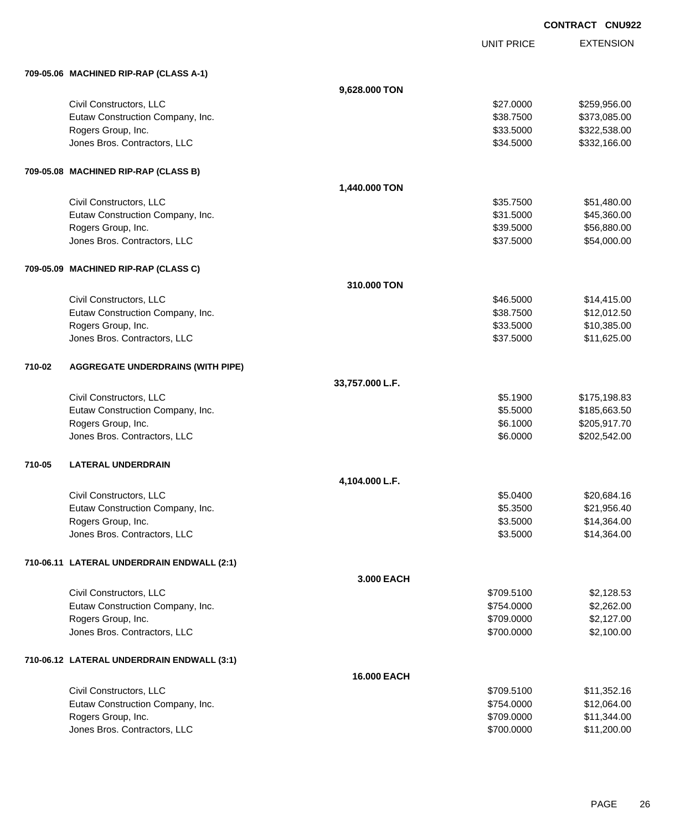UNIT PRICE

|        | 709-05.06 MACHINED RIP-RAP (CLASS A-1)     |                 |            |              |
|--------|--------------------------------------------|-----------------|------------|--------------|
|        |                                            | 9,628.000 TON   |            |              |
|        | Civil Constructors, LLC                    |                 | \$27.0000  | \$259,956.00 |
|        | Eutaw Construction Company, Inc.           |                 | \$38.7500  | \$373,085.00 |
|        | Rogers Group, Inc.                         |                 | \$33.5000  | \$322,538.00 |
|        | Jones Bros. Contractors, LLC               |                 | \$34.5000  | \$332,166.00 |
|        | 709-05.08 MACHINED RIP-RAP (CLASS B)       |                 |            |              |
|        |                                            | 1,440.000 TON   |            |              |
|        | Civil Constructors, LLC                    |                 | \$35.7500  | \$51,480.00  |
|        | Eutaw Construction Company, Inc.           |                 | \$31.5000  | \$45,360.00  |
|        | Rogers Group, Inc.                         |                 | \$39.5000  | \$56,880.00  |
|        | Jones Bros. Contractors, LLC               |                 | \$37.5000  | \$54,000.00  |
|        | 709-05.09 MACHINED RIP-RAP (CLASS C)       |                 |            |              |
|        |                                            | 310.000 TON     |            |              |
|        | Civil Constructors, LLC                    |                 | \$46.5000  | \$14,415.00  |
|        | Eutaw Construction Company, Inc.           |                 | \$38.7500  | \$12,012.50  |
|        | Rogers Group, Inc.                         |                 | \$33.5000  | \$10,385.00  |
|        | Jones Bros. Contractors, LLC               |                 | \$37.5000  | \$11,625.00  |
| 710-02 | <b>AGGREGATE UNDERDRAINS (WITH PIPE)</b>   |                 |            |              |
|        |                                            | 33,757.000 L.F. |            |              |
|        | Civil Constructors, LLC                    |                 | \$5.1900   | \$175,198.83 |
|        | Eutaw Construction Company, Inc.           |                 | \$5.5000   | \$185,663.50 |
|        | Rogers Group, Inc.                         |                 | \$6.1000   | \$205,917.70 |
|        | Jones Bros. Contractors, LLC               |                 | \$6.0000   | \$202,542.00 |
| 710-05 | <b>LATERAL UNDERDRAIN</b>                  |                 |            |              |
|        |                                            | 4,104.000 L.F.  |            |              |
|        | Civil Constructors, LLC                    |                 | \$5.0400   | \$20,684.16  |
|        | Eutaw Construction Company, Inc.           |                 | \$5.3500   | \$21,956.40  |
|        | Rogers Group, Inc.                         |                 | \$3.5000   | \$14,364.00  |
|        | Jones Bros. Contractors, LLC               |                 | \$3.5000   | \$14,364.00  |
|        | 710-06.11 LATERAL UNDERDRAIN ENDWALL (2:1) |                 |            |              |
|        |                                            | 3.000 EACH      |            |              |
|        | Civil Constructors, LLC                    |                 | \$709.5100 | \$2,128.53   |
|        | Eutaw Construction Company, Inc.           |                 | \$754.0000 | \$2,262.00   |
|        | Rogers Group, Inc.                         |                 | \$709.0000 | \$2,127.00   |
|        | Jones Bros. Contractors, LLC               |                 | \$700.0000 | \$2,100.00   |
|        | 710-06.12 LATERAL UNDERDRAIN ENDWALL (3:1) |                 |            |              |
|        |                                            | 16.000 EACH     |            |              |
|        | Civil Constructors, LLC                    |                 | \$709.5100 | \$11,352.16  |
|        | Eutaw Construction Company, Inc.           |                 | \$754.0000 | \$12,064.00  |
|        | Rogers Group, Inc.                         |                 | \$709.0000 | \$11,344.00  |
|        | Jones Bros. Contractors, LLC               |                 | \$700.0000 | \$11,200.00  |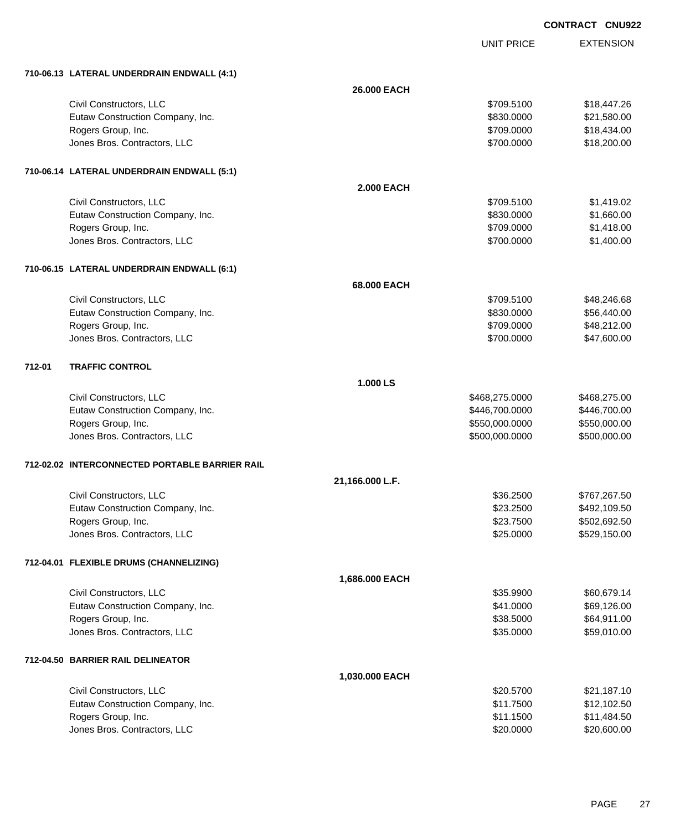UNIT PRICE EXTENSION

| 26.000 EACH<br>Civil Constructors, LLC<br>\$18,447.26<br>\$709.5100<br>Eutaw Construction Company, Inc.<br>\$830.0000<br>\$21,580.00<br>Rogers Group, Inc.<br>\$709.0000<br>\$18,434.00<br>Jones Bros. Contractors, LLC<br>\$700.0000<br>\$18,200.00<br>710-06.14 LATERAL UNDERDRAIN ENDWALL (5:1)<br><b>2.000 EACH</b><br>Civil Constructors, LLC<br>\$1,419.02<br>\$709.5100<br>Eutaw Construction Company, Inc.<br>\$1,660.00<br>\$830.0000<br>\$1,418.00<br>Rogers Group, Inc.<br>\$709.0000<br>Jones Bros. Contractors, LLC<br>\$1,400.00<br>\$700.0000<br>710-06.15 LATERAL UNDERDRAIN ENDWALL (6:1)<br>68,000 EACH<br>Civil Constructors, LLC<br>\$709.5100<br>\$48,246.68<br>Eutaw Construction Company, Inc.<br>\$830.0000<br>\$56,440.00<br>Rogers Group, Inc.<br>\$709.0000<br>\$48,212.00<br>Jones Bros. Contractors, LLC<br>\$700.0000<br>\$47,600.00<br>712-01<br><b>TRAFFIC CONTROL</b><br>1.000 LS<br>Civil Constructors, LLC<br>\$468,275.0000<br>\$468,275.00<br>Eutaw Construction Company, Inc.<br>\$446,700.0000<br>\$446,700.00<br>Rogers Group, Inc.<br>\$550,000.0000<br>\$550,000.00<br>Jones Bros. Contractors, LLC<br>\$500,000.0000<br>\$500,000.00<br>712-02.02 INTERCONNECTED PORTABLE BARRIER RAIL<br>21,166.000 L.F.<br>Civil Constructors, LLC<br>\$36.2500<br>\$767,267.50<br>Eutaw Construction Company, Inc.<br>\$23.2500<br>\$492,109.50<br>Rogers Group, Inc.<br>\$23.7500<br>\$502,692.50<br>\$25.0000<br>Jones Bros. Contractors, LLC<br>\$529,150.00<br>712-04.01 FLEXIBLE DRUMS (CHANNELIZING)<br>1,686.000 EACH<br>Civil Constructors, LLC<br>\$35.9900<br>\$60,679.14<br>Eutaw Construction Company, Inc.<br>\$41.0000<br>\$69,126.00<br>Rogers Group, Inc.<br>\$38.5000<br>\$64,911.00<br>Jones Bros. Contractors, LLC<br>\$35.0000<br>\$59,010.00<br>712-04.50 BARRIER RAIL DELINEATOR<br>1,030.000 EACH<br>Civil Constructors, LLC<br>\$20.5700<br>\$21,187.10<br>Eutaw Construction Company, Inc.<br>\$11.7500<br>\$12,102.50<br>Rogers Group, Inc.<br>\$11.1500<br>\$11,484.50<br>Jones Bros. Contractors, LLC<br>\$20.0000<br>\$20,600.00 | 710-06.13 LATERAL UNDERDRAIN ENDWALL (4:1) |  |  |
|---------------------------------------------------------------------------------------------------------------------------------------------------------------------------------------------------------------------------------------------------------------------------------------------------------------------------------------------------------------------------------------------------------------------------------------------------------------------------------------------------------------------------------------------------------------------------------------------------------------------------------------------------------------------------------------------------------------------------------------------------------------------------------------------------------------------------------------------------------------------------------------------------------------------------------------------------------------------------------------------------------------------------------------------------------------------------------------------------------------------------------------------------------------------------------------------------------------------------------------------------------------------------------------------------------------------------------------------------------------------------------------------------------------------------------------------------------------------------------------------------------------------------------------------------------------------------------------------------------------------------------------------------------------------------------------------------------------------------------------------------------------------------------------------------------------------------------------------------------------------------------------------------------------------------------------------------------------------------------------------------------------------------------------------------------------------------------------------|--------------------------------------------|--|--|
|                                                                                                                                                                                                                                                                                                                                                                                                                                                                                                                                                                                                                                                                                                                                                                                                                                                                                                                                                                                                                                                                                                                                                                                                                                                                                                                                                                                                                                                                                                                                                                                                                                                                                                                                                                                                                                                                                                                                                                                                                                                                                             |                                            |  |  |
|                                                                                                                                                                                                                                                                                                                                                                                                                                                                                                                                                                                                                                                                                                                                                                                                                                                                                                                                                                                                                                                                                                                                                                                                                                                                                                                                                                                                                                                                                                                                                                                                                                                                                                                                                                                                                                                                                                                                                                                                                                                                                             |                                            |  |  |
|                                                                                                                                                                                                                                                                                                                                                                                                                                                                                                                                                                                                                                                                                                                                                                                                                                                                                                                                                                                                                                                                                                                                                                                                                                                                                                                                                                                                                                                                                                                                                                                                                                                                                                                                                                                                                                                                                                                                                                                                                                                                                             |                                            |  |  |
|                                                                                                                                                                                                                                                                                                                                                                                                                                                                                                                                                                                                                                                                                                                                                                                                                                                                                                                                                                                                                                                                                                                                                                                                                                                                                                                                                                                                                                                                                                                                                                                                                                                                                                                                                                                                                                                                                                                                                                                                                                                                                             |                                            |  |  |
|                                                                                                                                                                                                                                                                                                                                                                                                                                                                                                                                                                                                                                                                                                                                                                                                                                                                                                                                                                                                                                                                                                                                                                                                                                                                                                                                                                                                                                                                                                                                                                                                                                                                                                                                                                                                                                                                                                                                                                                                                                                                                             |                                            |  |  |
|                                                                                                                                                                                                                                                                                                                                                                                                                                                                                                                                                                                                                                                                                                                                                                                                                                                                                                                                                                                                                                                                                                                                                                                                                                                                                                                                                                                                                                                                                                                                                                                                                                                                                                                                                                                                                                                                                                                                                                                                                                                                                             |                                            |  |  |
|                                                                                                                                                                                                                                                                                                                                                                                                                                                                                                                                                                                                                                                                                                                                                                                                                                                                                                                                                                                                                                                                                                                                                                                                                                                                                                                                                                                                                                                                                                                                                                                                                                                                                                                                                                                                                                                                                                                                                                                                                                                                                             |                                            |  |  |
|                                                                                                                                                                                                                                                                                                                                                                                                                                                                                                                                                                                                                                                                                                                                                                                                                                                                                                                                                                                                                                                                                                                                                                                                                                                                                                                                                                                                                                                                                                                                                                                                                                                                                                                                                                                                                                                                                                                                                                                                                                                                                             |                                            |  |  |
|                                                                                                                                                                                                                                                                                                                                                                                                                                                                                                                                                                                                                                                                                                                                                                                                                                                                                                                                                                                                                                                                                                                                                                                                                                                                                                                                                                                                                                                                                                                                                                                                                                                                                                                                                                                                                                                                                                                                                                                                                                                                                             |                                            |  |  |
|                                                                                                                                                                                                                                                                                                                                                                                                                                                                                                                                                                                                                                                                                                                                                                                                                                                                                                                                                                                                                                                                                                                                                                                                                                                                                                                                                                                                                                                                                                                                                                                                                                                                                                                                                                                                                                                                                                                                                                                                                                                                                             |                                            |  |  |
|                                                                                                                                                                                                                                                                                                                                                                                                                                                                                                                                                                                                                                                                                                                                                                                                                                                                                                                                                                                                                                                                                                                                                                                                                                                                                                                                                                                                                                                                                                                                                                                                                                                                                                                                                                                                                                                                                                                                                                                                                                                                                             |                                            |  |  |
|                                                                                                                                                                                                                                                                                                                                                                                                                                                                                                                                                                                                                                                                                                                                                                                                                                                                                                                                                                                                                                                                                                                                                                                                                                                                                                                                                                                                                                                                                                                                                                                                                                                                                                                                                                                                                                                                                                                                                                                                                                                                                             |                                            |  |  |
|                                                                                                                                                                                                                                                                                                                                                                                                                                                                                                                                                                                                                                                                                                                                                                                                                                                                                                                                                                                                                                                                                                                                                                                                                                                                                                                                                                                                                                                                                                                                                                                                                                                                                                                                                                                                                                                                                                                                                                                                                                                                                             |                                            |  |  |
|                                                                                                                                                                                                                                                                                                                                                                                                                                                                                                                                                                                                                                                                                                                                                                                                                                                                                                                                                                                                                                                                                                                                                                                                                                                                                                                                                                                                                                                                                                                                                                                                                                                                                                                                                                                                                                                                                                                                                                                                                                                                                             |                                            |  |  |
|                                                                                                                                                                                                                                                                                                                                                                                                                                                                                                                                                                                                                                                                                                                                                                                                                                                                                                                                                                                                                                                                                                                                                                                                                                                                                                                                                                                                                                                                                                                                                                                                                                                                                                                                                                                                                                                                                                                                                                                                                                                                                             |                                            |  |  |
|                                                                                                                                                                                                                                                                                                                                                                                                                                                                                                                                                                                                                                                                                                                                                                                                                                                                                                                                                                                                                                                                                                                                                                                                                                                                                                                                                                                                                                                                                                                                                                                                                                                                                                                                                                                                                                                                                                                                                                                                                                                                                             |                                            |  |  |
|                                                                                                                                                                                                                                                                                                                                                                                                                                                                                                                                                                                                                                                                                                                                                                                                                                                                                                                                                                                                                                                                                                                                                                                                                                                                                                                                                                                                                                                                                                                                                                                                                                                                                                                                                                                                                                                                                                                                                                                                                                                                                             |                                            |  |  |
|                                                                                                                                                                                                                                                                                                                                                                                                                                                                                                                                                                                                                                                                                                                                                                                                                                                                                                                                                                                                                                                                                                                                                                                                                                                                                                                                                                                                                                                                                                                                                                                                                                                                                                                                                                                                                                                                                                                                                                                                                                                                                             |                                            |  |  |
|                                                                                                                                                                                                                                                                                                                                                                                                                                                                                                                                                                                                                                                                                                                                                                                                                                                                                                                                                                                                                                                                                                                                                                                                                                                                                                                                                                                                                                                                                                                                                                                                                                                                                                                                                                                                                                                                                                                                                                                                                                                                                             |                                            |  |  |
|                                                                                                                                                                                                                                                                                                                                                                                                                                                                                                                                                                                                                                                                                                                                                                                                                                                                                                                                                                                                                                                                                                                                                                                                                                                                                                                                                                                                                                                                                                                                                                                                                                                                                                                                                                                                                                                                                                                                                                                                                                                                                             |                                            |  |  |
|                                                                                                                                                                                                                                                                                                                                                                                                                                                                                                                                                                                                                                                                                                                                                                                                                                                                                                                                                                                                                                                                                                                                                                                                                                                                                                                                                                                                                                                                                                                                                                                                                                                                                                                                                                                                                                                                                                                                                                                                                                                                                             |                                            |  |  |
|                                                                                                                                                                                                                                                                                                                                                                                                                                                                                                                                                                                                                                                                                                                                                                                                                                                                                                                                                                                                                                                                                                                                                                                                                                                                                                                                                                                                                                                                                                                                                                                                                                                                                                                                                                                                                                                                                                                                                                                                                                                                                             |                                            |  |  |
|                                                                                                                                                                                                                                                                                                                                                                                                                                                                                                                                                                                                                                                                                                                                                                                                                                                                                                                                                                                                                                                                                                                                                                                                                                                                                                                                                                                                                                                                                                                                                                                                                                                                                                                                                                                                                                                                                                                                                                                                                                                                                             |                                            |  |  |
|                                                                                                                                                                                                                                                                                                                                                                                                                                                                                                                                                                                                                                                                                                                                                                                                                                                                                                                                                                                                                                                                                                                                                                                                                                                                                                                                                                                                                                                                                                                                                                                                                                                                                                                                                                                                                                                                                                                                                                                                                                                                                             |                                            |  |  |
|                                                                                                                                                                                                                                                                                                                                                                                                                                                                                                                                                                                                                                                                                                                                                                                                                                                                                                                                                                                                                                                                                                                                                                                                                                                                                                                                                                                                                                                                                                                                                                                                                                                                                                                                                                                                                                                                                                                                                                                                                                                                                             |                                            |  |  |
|                                                                                                                                                                                                                                                                                                                                                                                                                                                                                                                                                                                                                                                                                                                                                                                                                                                                                                                                                                                                                                                                                                                                                                                                                                                                                                                                                                                                                                                                                                                                                                                                                                                                                                                                                                                                                                                                                                                                                                                                                                                                                             |                                            |  |  |
|                                                                                                                                                                                                                                                                                                                                                                                                                                                                                                                                                                                                                                                                                                                                                                                                                                                                                                                                                                                                                                                                                                                                                                                                                                                                                                                                                                                                                                                                                                                                                                                                                                                                                                                                                                                                                                                                                                                                                                                                                                                                                             |                                            |  |  |
|                                                                                                                                                                                                                                                                                                                                                                                                                                                                                                                                                                                                                                                                                                                                                                                                                                                                                                                                                                                                                                                                                                                                                                                                                                                                                                                                                                                                                                                                                                                                                                                                                                                                                                                                                                                                                                                                                                                                                                                                                                                                                             |                                            |  |  |
|                                                                                                                                                                                                                                                                                                                                                                                                                                                                                                                                                                                                                                                                                                                                                                                                                                                                                                                                                                                                                                                                                                                                                                                                                                                                                                                                                                                                                                                                                                                                                                                                                                                                                                                                                                                                                                                                                                                                                                                                                                                                                             |                                            |  |  |
|                                                                                                                                                                                                                                                                                                                                                                                                                                                                                                                                                                                                                                                                                                                                                                                                                                                                                                                                                                                                                                                                                                                                                                                                                                                                                                                                                                                                                                                                                                                                                                                                                                                                                                                                                                                                                                                                                                                                                                                                                                                                                             |                                            |  |  |
|                                                                                                                                                                                                                                                                                                                                                                                                                                                                                                                                                                                                                                                                                                                                                                                                                                                                                                                                                                                                                                                                                                                                                                                                                                                                                                                                                                                                                                                                                                                                                                                                                                                                                                                                                                                                                                                                                                                                                                                                                                                                                             |                                            |  |  |
|                                                                                                                                                                                                                                                                                                                                                                                                                                                                                                                                                                                                                                                                                                                                                                                                                                                                                                                                                                                                                                                                                                                                                                                                                                                                                                                                                                                                                                                                                                                                                                                                                                                                                                                                                                                                                                                                                                                                                                                                                                                                                             |                                            |  |  |
|                                                                                                                                                                                                                                                                                                                                                                                                                                                                                                                                                                                                                                                                                                                                                                                                                                                                                                                                                                                                                                                                                                                                                                                                                                                                                                                                                                                                                                                                                                                                                                                                                                                                                                                                                                                                                                                                                                                                                                                                                                                                                             |                                            |  |  |
|                                                                                                                                                                                                                                                                                                                                                                                                                                                                                                                                                                                                                                                                                                                                                                                                                                                                                                                                                                                                                                                                                                                                                                                                                                                                                                                                                                                                                                                                                                                                                                                                                                                                                                                                                                                                                                                                                                                                                                                                                                                                                             |                                            |  |  |
|                                                                                                                                                                                                                                                                                                                                                                                                                                                                                                                                                                                                                                                                                                                                                                                                                                                                                                                                                                                                                                                                                                                                                                                                                                                                                                                                                                                                                                                                                                                                                                                                                                                                                                                                                                                                                                                                                                                                                                                                                                                                                             |                                            |  |  |
|                                                                                                                                                                                                                                                                                                                                                                                                                                                                                                                                                                                                                                                                                                                                                                                                                                                                                                                                                                                                                                                                                                                                                                                                                                                                                                                                                                                                                                                                                                                                                                                                                                                                                                                                                                                                                                                                                                                                                                                                                                                                                             |                                            |  |  |
|                                                                                                                                                                                                                                                                                                                                                                                                                                                                                                                                                                                                                                                                                                                                                                                                                                                                                                                                                                                                                                                                                                                                                                                                                                                                                                                                                                                                                                                                                                                                                                                                                                                                                                                                                                                                                                                                                                                                                                                                                                                                                             |                                            |  |  |
|                                                                                                                                                                                                                                                                                                                                                                                                                                                                                                                                                                                                                                                                                                                                                                                                                                                                                                                                                                                                                                                                                                                                                                                                                                                                                                                                                                                                                                                                                                                                                                                                                                                                                                                                                                                                                                                                                                                                                                                                                                                                                             |                                            |  |  |
|                                                                                                                                                                                                                                                                                                                                                                                                                                                                                                                                                                                                                                                                                                                                                                                                                                                                                                                                                                                                                                                                                                                                                                                                                                                                                                                                                                                                                                                                                                                                                                                                                                                                                                                                                                                                                                                                                                                                                                                                                                                                                             |                                            |  |  |
|                                                                                                                                                                                                                                                                                                                                                                                                                                                                                                                                                                                                                                                                                                                                                                                                                                                                                                                                                                                                                                                                                                                                                                                                                                                                                                                                                                                                                                                                                                                                                                                                                                                                                                                                                                                                                                                                                                                                                                                                                                                                                             |                                            |  |  |
|                                                                                                                                                                                                                                                                                                                                                                                                                                                                                                                                                                                                                                                                                                                                                                                                                                                                                                                                                                                                                                                                                                                                                                                                                                                                                                                                                                                                                                                                                                                                                                                                                                                                                                                                                                                                                                                                                                                                                                                                                                                                                             |                                            |  |  |
|                                                                                                                                                                                                                                                                                                                                                                                                                                                                                                                                                                                                                                                                                                                                                                                                                                                                                                                                                                                                                                                                                                                                                                                                                                                                                                                                                                                                                                                                                                                                                                                                                                                                                                                                                                                                                                                                                                                                                                                                                                                                                             |                                            |  |  |
|                                                                                                                                                                                                                                                                                                                                                                                                                                                                                                                                                                                                                                                                                                                                                                                                                                                                                                                                                                                                                                                                                                                                                                                                                                                                                                                                                                                                                                                                                                                                                                                                                                                                                                                                                                                                                                                                                                                                                                                                                                                                                             |                                            |  |  |
|                                                                                                                                                                                                                                                                                                                                                                                                                                                                                                                                                                                                                                                                                                                                                                                                                                                                                                                                                                                                                                                                                                                                                                                                                                                                                                                                                                                                                                                                                                                                                                                                                                                                                                                                                                                                                                                                                                                                                                                                                                                                                             |                                            |  |  |
|                                                                                                                                                                                                                                                                                                                                                                                                                                                                                                                                                                                                                                                                                                                                                                                                                                                                                                                                                                                                                                                                                                                                                                                                                                                                                                                                                                                                                                                                                                                                                                                                                                                                                                                                                                                                                                                                                                                                                                                                                                                                                             |                                            |  |  |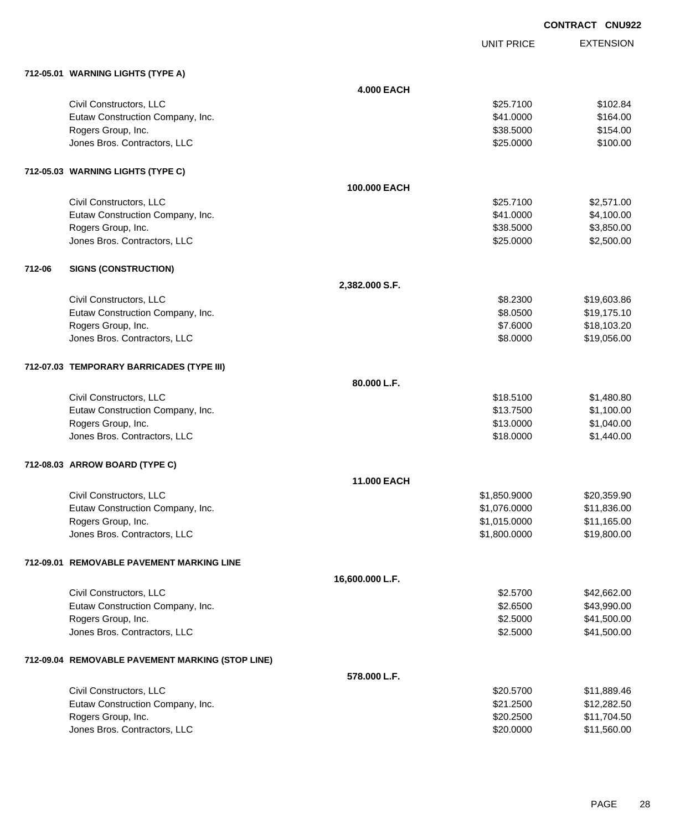**EXTENSION CONTRACT CNU922** UNIT PRICE **712-05.01 WARNING LIGHTS (TYPE A) 4.000 EACH** Civil Constructors, LLC \$102.84 Eutaw Construction Company, Inc. 6. 2012 12:30 12:30 12:30 12:30 13:30 14:30 15:30 164.00 Rogers Group, Inc. \$154.00 \$154.00 \$154.00 \$154.00 \$154.00 \$154.00 \$154.00 \$154.00 \$1554.00 \$1554.00 \$1554.00 \$1554.00 \$1554.00 \$1554.00 \$1554.00 \$1554.00 \$1554.00 \$1554.00 \$1554.00 \$1554.00 \$1555 \$1555 \$1555 \$1555 \$1555 \$ Jones Bros. Contractors, LLC 6100.00 \$100.00 **712-05.03 WARNING LIGHTS (TYPE C) 100.000 EACH** Civil Constructors, LLC 62,571.00 Eutaw Construction Company, Inc. 6. 2012 12:30 12:30 12:30 12:30 12:30 12:30 12:30 12:30 12:30 12:30 12:30 12:30 12:30 12:30 12:30 12:30 12:30 12:30 12:30 12:30 12:30 12:30 12:30 12:30 12:30 12:30 12:30 12:30 12:30 12:30 1 Rogers Group, Inc. \$3,850.00 \$3,850.00 \$3,850.00 \$3,850.00 \$3,850.00 \$3,850.00 \$3,850.00 \$3,850.00 \$3,850.00 \$3,850.00 \$3,850.00 \$3,850.00 \$3,850.00 \$3,850.00 \$3,850.00 \$3,850.00 \$3,850.00 \$3,850.00 \$3,850.00 \$3,850.00 \$3, dones Bros. Contractors, LLC 62,500.00 \$2,500.00 \$2,500.00 \$2,500.00 \$2,500.00 \$2,500.00 \$2,500.00 \$2,500.00 \$2,500.00 \$2,500.00 \$2,500.00 \$2,500.00 \$2,500.00 \$2,500.00 \$2,500.00 \$2,500.00 \$2,500.00 \$2,500.00 \$2,500.00 \$2, **712-06 SIGNS (CONSTRUCTION) 2,382.000 S.F.** Civil Constructors, LLC 619,603.86 Eutaw Construction Company, Inc. 6. The Construction Company, Inc. 6. The Construction Company, Inc. 6. The Construction Company, Inc. 6. The Construction Company, Inc. 6. The Construction Company, Inc. 6. The Construction Rogers Group, Inc. \$18,103.20 \$18,103.20 \$18,103.20 \$18,103.20 \$18,103.20 \$18,103.20 \$18,103.20 \$18,103.20 \$18 Jones Bros. Contractors, LLC \$8.0000 \$19,056.00 **712-07.03 TEMPORARY BARRICADES (TYPE III) 80.000 L.F.** Civil Constructors, LLC 61,480.80 Eutaw Construction Company, Inc. 6. 2012 12:30 12:30 \$13.7500 \$1,100.00 Rogers Group, Inc. \$1,040.00 Jones Bros. Contractors, LLC \$18.0000 \$1,440.00 **712-08.03 ARROW BOARD (TYPE C) 11.000 EACH** Civil Constructors, LLC \$1,850.9000 \$20,359.90 Eutaw Construction Company, Inc. 6. The Construction Company, Inc. 6. The Construction Company, Inc. 6. The Construction Company, Inc. 6. The Construction Company, Inc. 6. The Construction Company, Inc. 6. The Construction Rogers Group, Inc. \$11,165.00 \$11,165.00 Jones Bros. Contractors, LLC \$1,800.0000 \$19,800.00 **712-09.01 REMOVABLE PAVEMENT MARKING LINE 16,600.000 L.F.** Civil Constructors, LLC 62.00 \$42,662.00 Eutaw Construction Company, Inc. 6. The Construction Company, Inc. 643,990.00 \$43,990.00 Rogers Group, Inc. \$41,500.00 \$41,500.00 \$41,500.00 \$41,500.00 \$41,500.00 \$41,500.00 \$52.5000 \$41,500.00 \$41,500 Jones Bros. Contractors, LLC \$2.5000 \$41,500.00 **712-09.04 REMOVABLE PAVEMENT MARKING (STOP LINE) 578.000 L.F.**

| \$20,5700 | \$11.889.46 |
|-----------|-------------|
| \$21,2500 | \$12,282.50 |
| \$20,2500 | \$11.704.50 |
| \$20,0000 | \$11.560.00 |
|           |             |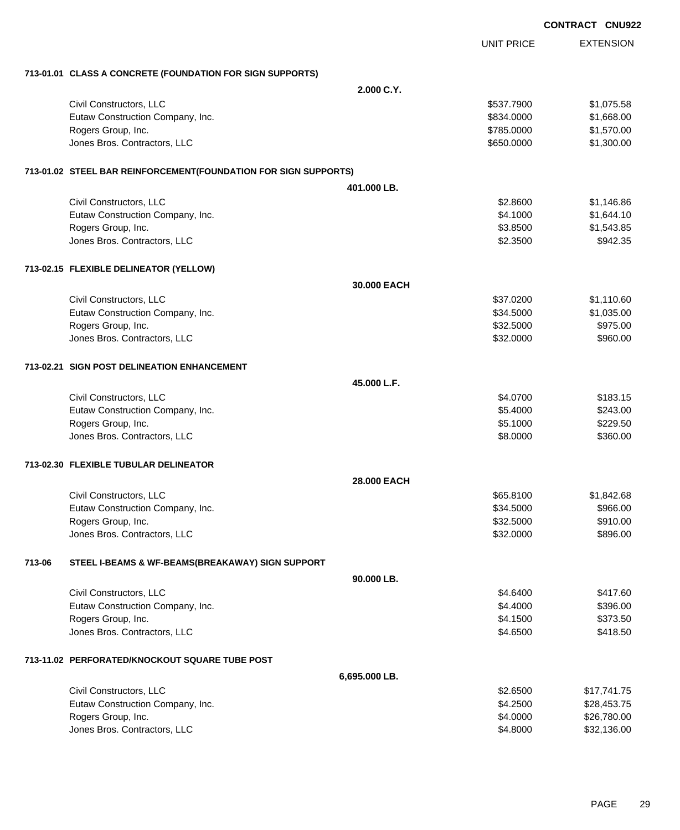|        |                                                                 |               |                   | <b>CONTRACT CNU92</b> |
|--------|-----------------------------------------------------------------|---------------|-------------------|-----------------------|
|        |                                                                 |               | <b>UNIT PRICE</b> | <b>EXTENSION</b>      |
|        | 713-01.01 CLASS A CONCRETE (FOUNDATION FOR SIGN SUPPORTS)       |               |                   |                       |
|        |                                                                 | 2.000 C.Y.    |                   |                       |
|        | Civil Constructors, LLC                                         |               | \$537.7900        | \$1,075.58            |
|        | Eutaw Construction Company, Inc.                                |               | \$834.0000        | \$1,668.00            |
|        | Rogers Group, Inc.                                              |               | \$785.0000        | \$1,570.00            |
|        | Jones Bros. Contractors, LLC                                    |               | \$650.0000        | \$1,300.00            |
|        | 713-01.02 STEEL BAR REINFORCEMENT(FOUNDATION FOR SIGN SUPPORTS) |               |                   |                       |
|        |                                                                 | 401.000 LB.   |                   |                       |
|        | Civil Constructors, LLC                                         |               | \$2.8600          | \$1,146.86            |
|        | Eutaw Construction Company, Inc.                                |               | \$4.1000          | \$1,644.10            |
|        | Rogers Group, Inc.                                              |               | \$3.8500          | \$1,543.85            |
|        | Jones Bros. Contractors, LLC                                    |               | \$2.3500          | \$942.35              |
|        | 713-02.15 FLEXIBLE DELINEATOR (YELLOW)                          |               |                   |                       |
|        |                                                                 | 30.000 EACH   |                   |                       |
|        | Civil Constructors, LLC                                         |               | \$37.0200         | \$1,110.60            |
|        | Eutaw Construction Company, Inc.                                |               | \$34.5000         | \$1,035.00            |
|        | Rogers Group, Inc.                                              |               | \$32.5000         | \$975.00              |
|        | Jones Bros. Contractors, LLC                                    |               | \$32.0000         | \$960.00              |
|        | 713-02.21 SIGN POST DELINEATION ENHANCEMENT                     |               |                   |                       |
|        |                                                                 | 45.000 L.F.   |                   |                       |
|        | Civil Constructors, LLC                                         |               | \$4.0700          | \$183.15              |
|        | Eutaw Construction Company, Inc.                                |               | \$5.4000          | \$243.00              |
|        | Rogers Group, Inc.                                              |               | \$5.1000          | \$229.50              |
|        | Jones Bros. Contractors, LLC                                    |               | \$8.0000          | \$360.00              |
|        | 713-02.30 FLEXIBLE TUBULAR DELINEATOR                           |               |                   |                       |
|        |                                                                 | 28.000 EACH   |                   |                       |
|        | Civil Constructors, LLC                                         |               | \$65.8100         | \$1,842.68            |
|        | Eutaw Construction Company, Inc.                                |               | \$34.5000         | \$966.00              |
|        | Rogers Group, Inc.                                              |               | \$32.5000         | \$910.00              |
|        | Jones Bros. Contractors, LLC                                    |               | \$32.0000         | \$896.00              |
| 713-06 | STEEL I-BEAMS & WF-BEAMS(BREAKAWAY) SIGN SUPPORT                |               |                   |                       |
|        |                                                                 | 90.000 LB.    |                   |                       |
|        | Civil Constructors, LLC                                         |               | \$4.6400          | \$417.60              |
|        | Eutaw Construction Company, Inc.                                |               | \$4.4000          | \$396.00              |
|        | Rogers Group, Inc.                                              |               | \$4.1500          | \$373.50              |
|        | Jones Bros. Contractors, LLC                                    |               | \$4.6500          | \$418.50              |
|        | 713-11.02 PERFORATED/KNOCKOUT SQUARE TUBE POST                  |               |                   |                       |
|        |                                                                 | 6,695.000 LB. |                   |                       |
|        | Civil Constructors, LLC                                         |               | \$2.6500          | \$17,741.75           |
|        | Eutaw Construction Company, Inc.                                |               | \$4.2500          | \$28,453.75           |
|        | Rogers Group, Inc.                                              |               | \$4.0000          | \$26,780.00           |
|        | Jones Bros. Contractors, LLC                                    |               | \$4.8000          | \$32,136.00           |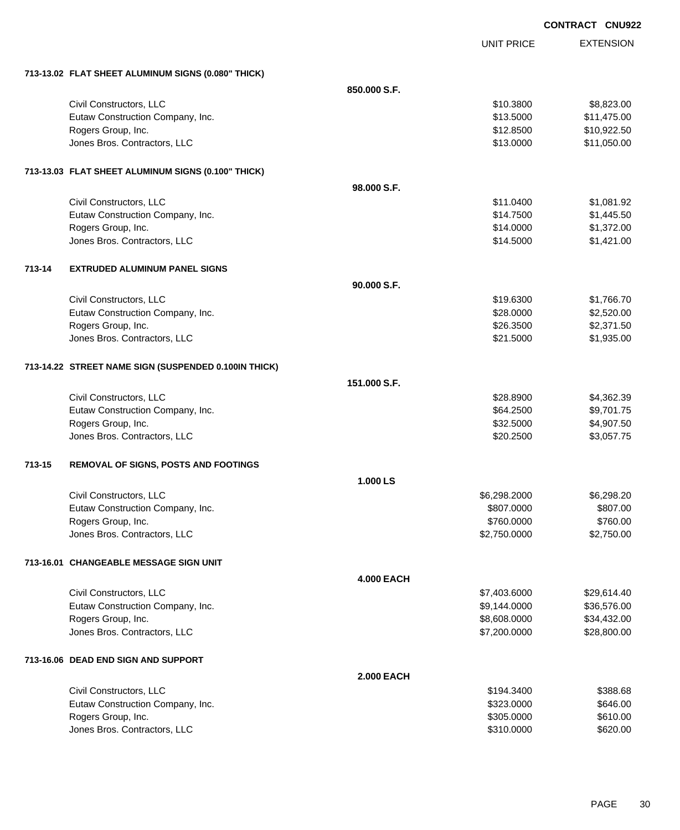EXTENSION **CONTRACT CNU922** UNIT PRICE **713-13.02 FLAT SHEET ALUMINUM SIGNS (0.080" THICK) 850.000 S.F.** Civil Constructors, LLC 6.6.223.00 \$8,823.00 \$8,823.00 Eutaw Construction Company, Inc. 6. The Construction Company, Inc. 6. The Construction Company, Inc. 6. The Construction Company, Inc. 6. The Construction Company, Inc. 6. The Construction Company, Inc. 6. The Construction Rogers Group, Inc. \$10,922.50 Jones Bros. Contractors, LLC \$13.0000 \$11,050.00 **713-13.03 FLAT SHEET ALUMINUM SIGNS (0.100" THICK) 98.000 S.F.** Civil Constructors, LLC 61.081.92 Eutaw Construction Company, Inc. 6. The Construction Company, Inc. 6. The Construction Company, Inc. 6. The Construction Company, Inc. 6. The Construction Company, Inc. 6. The Construction Company, Inc. 6. The Construction Rogers Group, Inc. \$1,372.00 Jones Bros. Contractors, LLC \$14.5000 \$1,421.00 **713-14 EXTRUDED ALUMINUM PANEL SIGNS 90.000 S.F.** Civil Constructors, LLC 61,766.70 Eutaw Construction Company, Inc. 6. The Construction Company, Inc. 6. The Construction Company, Inc. 6. The Construction Company, Inc. 6. The Construction Company, Inc. 6. The Construction Company, Inc. 6. The Construction Rogers Group, Inc. \$2,371.50 Jones Bros. Contractors, LLC \$21.5000 \$1,935.00 **713-14.22 STREET NAME SIGN (SUSPENDED 0.100IN THICK) 151.000 S.F.** Civil Constructors, LLC 68 and 200 and 200 and 200 and 200 and 200 and 328.8900 \$4,362.39 Eutaw Construction Company, Inc. 664.2500 \$9,701.75 Rogers Group, Inc. \$32.5000 \$4,907.50 Jones Bros. Contractors, LLC \$20.2500 \$3,057.75 **713-15 REMOVAL OF SIGNS, POSTS AND FOOTINGS 1.000 LS** Civil Constructors, LLC 6,298.2000 \$6,298.2000 \$6,298.2000 \$6,298.2000 \$6,298.2000 Eutaw Construction Company, Inc. 6807.000 \$807.000 \$807.000 \$807.000 \$807.000 \$807.00 Rogers Group, Inc. \$760.000 \$760.000 \$760.000 \$760.000 \$760.000 \$760.000 \$760.000 \$760.00 Jones Bros. Contractors, LLC 6. The state of the state of the state of the state of the state of the state of the state of the state of the state of the state of the state of the state of the state of the state of the stat **713-16.01 CHANGEABLE MESSAGE SIGN UNIT 4.000 EACH** Civil Constructors, LLC 629,614.40 Eutaw Construction Company, Inc. 6. The Construction Company, Inc. 6. The Construction Company, Inc. 6. The Construction Company, Inc. 6. The Construction Company, Inc. 6. The Construction Company, Inc. 6. The Construction Rogers Group, Inc. \$8,432.00 \$34,432.00 Jones Bros. Contractors, LLC \$7,200.0000 \$28,800.00 **713-16.06 DEAD END SIGN AND SUPPORT 2.000 EACH** Civil Constructors, LLC \$194.3400 \$388.68 Eutaw Construction Company, Inc. 6646.00 Rogers Group, Inc. \$610.00

Jones Bros. Contractors, LLC 6620.00 \$620.00 \$620.00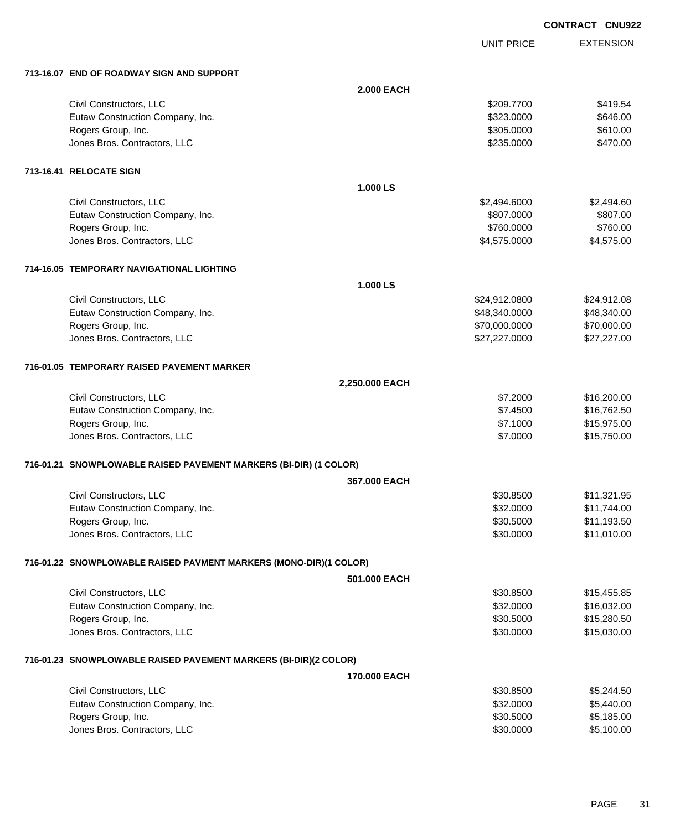UNIT PRICE

| 713-16.07 END OF ROADWAY SIGN AND SUPPORT                         |                   |               |             |  |
|-------------------------------------------------------------------|-------------------|---------------|-------------|--|
|                                                                   | <b>2.000 EACH</b> |               |             |  |
| Civil Constructors, LLC                                           |                   | \$209.7700    | \$419.54    |  |
| Eutaw Construction Company, Inc.                                  |                   | \$323.0000    | \$646.00    |  |
| Rogers Group, Inc.                                                |                   | \$305.0000    | \$610.00    |  |
| Jones Bros. Contractors, LLC                                      |                   | \$235.0000    | \$470.00    |  |
| 713-16.41 RELOCATE SIGN                                           |                   |               |             |  |
|                                                                   | 1.000 LS          |               |             |  |
| Civil Constructors, LLC                                           |                   | \$2,494.6000  | \$2,494.60  |  |
| Eutaw Construction Company, Inc.                                  |                   | \$807.0000    | \$807.00    |  |
| Rogers Group, Inc.                                                |                   | \$760.0000    | \$760.00    |  |
| Jones Bros. Contractors, LLC                                      |                   | \$4,575.0000  | \$4,575.00  |  |
| 714-16.05 TEMPORARY NAVIGATIONAL LIGHTING                         |                   |               |             |  |
|                                                                   | 1.000 LS          |               |             |  |
| Civil Constructors, LLC                                           |                   | \$24,912.0800 | \$24,912.08 |  |
| Eutaw Construction Company, Inc.                                  |                   | \$48,340.0000 | \$48,340.00 |  |
| Rogers Group, Inc.                                                |                   | \$70,000.0000 | \$70,000.00 |  |
| Jones Bros. Contractors, LLC                                      |                   | \$27,227.0000 | \$27,227.00 |  |
| 716-01.05 TEMPORARY RAISED PAVEMENT MARKER                        |                   |               |             |  |
|                                                                   | 2,250.000 EACH    |               |             |  |
| Civil Constructors, LLC                                           |                   | \$7.2000      | \$16,200.00 |  |
| Eutaw Construction Company, Inc.                                  |                   | \$7.4500      | \$16,762.50 |  |
| Rogers Group, Inc.                                                |                   | \$7.1000      | \$15,975.00 |  |
| Jones Bros. Contractors, LLC                                      |                   | \$7.0000      | \$15,750.00 |  |
| 716-01.21 SNOWPLOWABLE RAISED PAVEMENT MARKERS (BI-DIR) (1 COLOR) |                   |               |             |  |
|                                                                   | 367.000 EACH      |               |             |  |
| Civil Constructors, LLC                                           |                   | \$30.8500     | \$11,321.95 |  |
| Eutaw Construction Company, Inc.                                  |                   | \$32.0000     | \$11,744.00 |  |
| Rogers Group, Inc.                                                |                   | \$30.5000     | \$11,193.50 |  |
| Jones Bros. Contractors, LLC                                      |                   | \$30.0000     | \$11,010.00 |  |
| 716-01.22 SNOWPLOWABLE RAISED PAVMENT MARKERS (MONO-DIR)(1 COLOR) |                   |               |             |  |
|                                                                   | 501.000 EACH      |               |             |  |
| Civil Constructors, LLC                                           |                   | \$30.8500     | \$15,455.85 |  |
| Eutaw Construction Company, Inc.                                  |                   | \$32.0000     | \$16,032.00 |  |
| Rogers Group, Inc.                                                |                   | \$30.5000     | \$15,280.50 |  |
| Jones Bros. Contractors, LLC                                      |                   | \$30.0000     | \$15,030.00 |  |
| 716-01.23 SNOWPLOWABLE RAISED PAVEMENT MARKERS (BI-DIR)(2 COLOR)  |                   |               |             |  |
|                                                                   | 170.000 EACH      |               |             |  |
| Civil Constructors, LLC                                           |                   | \$30.8500     | \$5,244.50  |  |
| Eutaw Construction Company, Inc.                                  |                   | \$32.0000     | \$5,440.00  |  |
| Rogers Group, Inc.                                                |                   | \$30.5000     | \$5,185.00  |  |
| Jones Bros. Contractors, LLC                                      |                   | \$30.0000     | \$5,100.00  |  |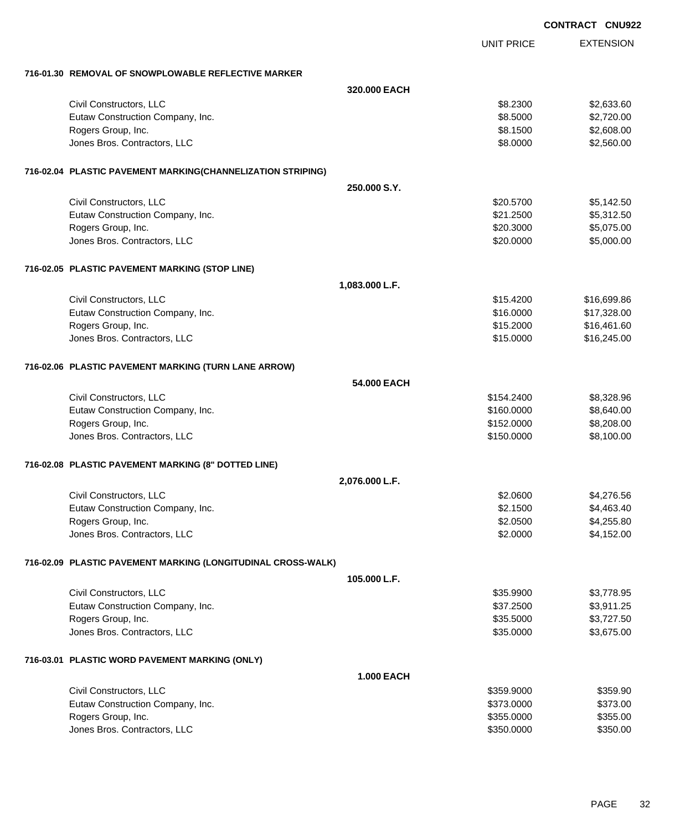|                                                              | <b>CONTRACT CNU922</b> |                  |  |
|--------------------------------------------------------------|------------------------|------------------|--|
|                                                              | <b>UNIT PRICE</b>      | <b>EXTENSION</b> |  |
| 716-01.30 REMOVAL OF SNOWPLOWABLE REFLECTIVE MARKER          |                        |                  |  |
|                                                              | 320,000 EACH           |                  |  |
| Civil Constructors, LLC                                      | \$8.2300               | \$2,633.60       |  |
| Eutaw Construction Company, Inc.                             | \$8.5000               | \$2,720.00       |  |
| Rogers Group, Inc.                                           | \$8.1500               | \$2,608.00       |  |
| Jones Bros. Contractors, LLC                                 | \$8.0000               | \$2,560.00       |  |
| 716-02.04 PLASTIC PAVEMENT MARKING(CHANNELIZATION STRIPING)  |                        |                  |  |
|                                                              | 250,000 S.Y.           |                  |  |
| Civil Constructors, LLC                                      | \$20.5700              | \$5,142.50       |  |
| Eutaw Construction Company, Inc.                             | \$21.2500              | \$5,312.50       |  |
| Rogers Group, Inc.                                           | \$20.3000              | \$5,075.00       |  |
| Jones Bros. Contractors, LLC                                 | \$20.0000              | \$5,000.00       |  |
| 716-02.05 PLASTIC PAVEMENT MARKING (STOP LINE)               |                        |                  |  |
| 1,083.000 L.F.                                               |                        |                  |  |
| Civil Constructors, LLC                                      | \$15.4200              | \$16,699.86      |  |
| Eutaw Construction Company, Inc.                             | \$16.0000              | \$17,328.00      |  |
| Rogers Group, Inc.                                           | \$15.2000              | \$16,461.60      |  |
| Jones Bros. Contractors, LLC                                 | \$15.0000              | \$16,245.00      |  |
| 716-02.06 PLASTIC PAVEMENT MARKING (TURN LANE ARROW)         |                        |                  |  |
|                                                              | 54,000 EACH            |                  |  |
| Civil Constructors, LLC                                      | \$154.2400             | \$8,328.96       |  |
| Eutaw Construction Company, Inc.                             | \$160.0000             | \$8,640.00       |  |
| Rogers Group, Inc.                                           | \$152.0000             | \$8,208.00       |  |
| Jones Bros. Contractors, LLC                                 | \$150.0000             | \$8,100.00       |  |
| 716-02.08 PLASTIC PAVEMENT MARKING (8" DOTTED LINE)          |                        |                  |  |
| 2,076.000 L.F.                                               |                        |                  |  |
| Civil Constructors, LLC                                      | \$2.0600               | \$4,276.56       |  |
| Eutaw Construction Company, Inc.                             | \$2.1500               | \$4,463.40       |  |
| Rogers Group, Inc.                                           | \$2.0500               | \$4,255.80       |  |
| Jones Bros. Contractors, LLC                                 | \$2.0000               | \$4,152.00       |  |
| 716-02.09 PLASTIC PAVEMENT MARKING (LONGITUDINAL CROSS-WALK) |                        |                  |  |
|                                                              | 105.000 L.F.           |                  |  |
| Civil Constructors, LLC                                      | \$35.9900              | \$3,778.95       |  |
| Eutaw Construction Company, Inc.                             | \$37.2500              | \$3,911.25       |  |
| Rogers Group, Inc.                                           | \$35.5000              | \$3,727.50       |  |
| Jones Bros. Contractors, LLC                                 | \$35.0000              | \$3,675.00       |  |
| 716-03.01 PLASTIC WORD PAVEMENT MARKING (ONLY)               |                        |                  |  |
|                                                              | <b>1.000 EACH</b>      |                  |  |
| Civil Constructors, LLC                                      | \$359.9000             | \$359.90         |  |
| Eutaw Construction Company, Inc.                             | \$373.0000             | \$373.00         |  |
| Rogers Group, Inc.                                           | \$355.0000             | \$355.00         |  |
| Jones Bros. Contractors, LLC                                 | \$350.0000             | \$350.00         |  |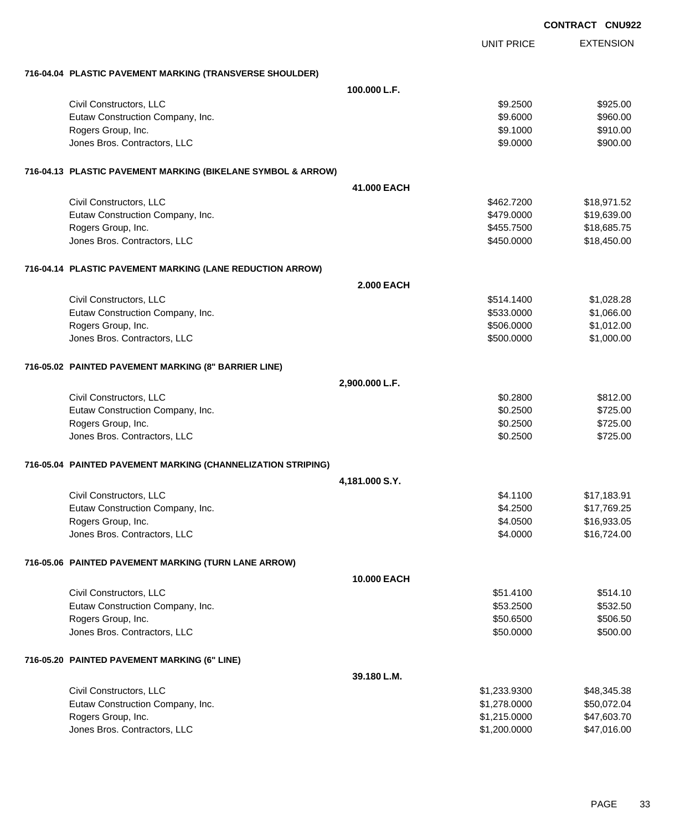|                                                              |                   |                   | <b>CONTRACT CNU922</b> |
|--------------------------------------------------------------|-------------------|-------------------|------------------------|
|                                                              |                   | <b>UNIT PRICE</b> | <b>EXTENSION</b>       |
| 716-04.04 PLASTIC PAVEMENT MARKING (TRANSVERSE SHOULDER)     |                   |                   |                        |
|                                                              | 100.000 L.F.      |                   |                        |
| Civil Constructors, LLC                                      |                   | \$9.2500          | \$925.00               |
| Eutaw Construction Company, Inc.                             |                   | \$9.6000          | \$960.00               |
| Rogers Group, Inc.                                           |                   | \$9.1000          | \$910.00               |
| Jones Bros. Contractors, LLC                                 |                   | \$9.0000          | \$900.00               |
| 716-04.13 PLASTIC PAVEMENT MARKING (BIKELANE SYMBOL & ARROW) |                   |                   |                        |
|                                                              | 41.000 EACH       |                   |                        |
| Civil Constructors, LLC                                      |                   | \$462.7200        | \$18,971.52            |
| Eutaw Construction Company, Inc.                             |                   | \$479.0000        | \$19,639.00            |
| Rogers Group, Inc.                                           |                   | \$455.7500        | \$18,685.75            |
| Jones Bros. Contractors, LLC                                 |                   | \$450.0000        | \$18,450.00            |
| 716-04.14 PLASTIC PAVEMENT MARKING (LANE REDUCTION ARROW)    |                   |                   |                        |
|                                                              | <b>2.000 EACH</b> |                   |                        |
| Civil Constructors, LLC                                      |                   | \$514.1400        | \$1,028.28             |
| Eutaw Construction Company, Inc.                             |                   | \$533.0000        | \$1,066.00             |
| Rogers Group, Inc.                                           |                   | \$506.0000        | \$1,012.00             |
| Jones Bros. Contractors, LLC                                 |                   | \$500.0000        | \$1,000.00             |
| 716-05.02 PAINTED PAVEMENT MARKING (8" BARRIER LINE)         |                   |                   |                        |
|                                                              | 2,900.000 L.F.    |                   |                        |
| Civil Constructors, LLC                                      |                   | \$0.2800          | \$812.00               |
| Eutaw Construction Company, Inc.                             |                   | \$0.2500          | \$725.00               |
| Rogers Group, Inc.                                           |                   | \$0.2500          | \$725.00               |
| Jones Bros. Contractors, LLC                                 |                   | \$0.2500          | \$725.00               |
| 716-05.04 PAINTED PAVEMENT MARKING (CHANNELIZATION STRIPING) |                   |                   |                        |
|                                                              | 4,181.000 S.Y.    |                   |                        |
| Civil Constructors, LLC                                      |                   | \$4.1100          | \$17,183.91            |
| Eutaw Construction Company, Inc.                             |                   | \$4.2500          | \$17,769.25            |
| Rogers Group, Inc.                                           |                   | \$4.0500          | \$16,933.05            |
| Jones Bros. Contractors, LLC                                 |                   | \$4.0000          | \$16,724.00            |
| 716-05.06 PAINTED PAVEMENT MARKING (TURN LANE ARROW)         |                   |                   |                        |
|                                                              | 10.000 EACH       |                   |                        |
| Civil Constructors, LLC                                      |                   | \$51.4100         | \$514.10               |
| Eutaw Construction Company, Inc.                             |                   | \$53.2500         | \$532.50               |
| Rogers Group, Inc.                                           |                   | \$50.6500         | \$506.50               |
| Jones Bros. Contractors, LLC                                 |                   | \$50.0000         | \$500.00               |
| 716-05.20 PAINTED PAVEMENT MARKING (6" LINE)                 |                   |                   |                        |
|                                                              | 39.180 L.M.       |                   |                        |
| Civil Constructors, LLC                                      |                   | \$1,233.9300      | \$48,345.38            |
| Eutaw Construction Company, Inc.                             |                   | \$1,278.0000      | \$50,072.04            |
| Rogers Group, Inc.                                           |                   | \$1,215.0000      | \$47,603.70            |
| Jones Bros. Contractors, LLC                                 |                   | \$1,200.0000      | \$47,016.00            |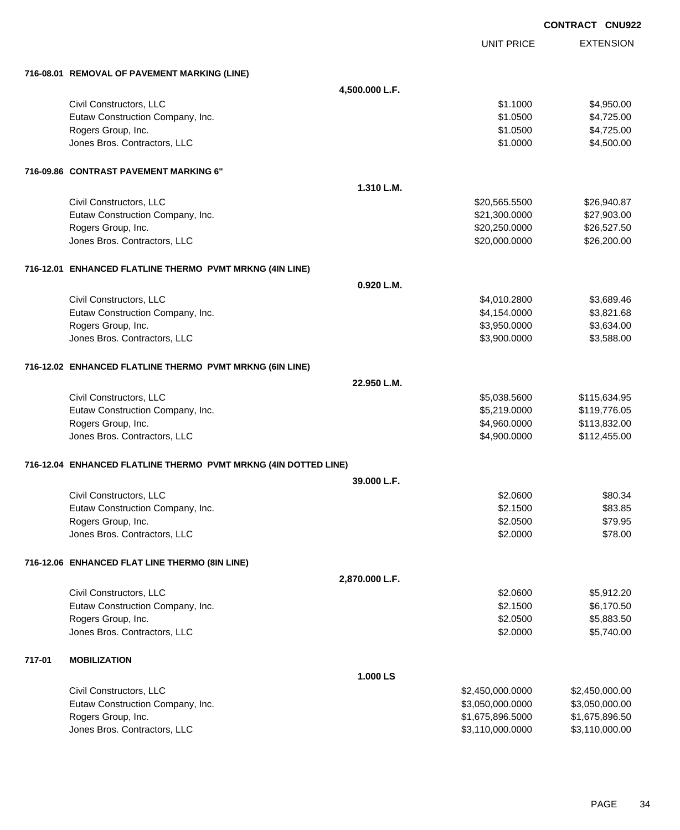|        |                                                                 |                |                   | <b>CONTRACT CNU922</b> |
|--------|-----------------------------------------------------------------|----------------|-------------------|------------------------|
|        |                                                                 |                | <b>UNIT PRICE</b> | <b>EXTENSION</b>       |
|        | 716-08.01 REMOVAL OF PAVEMENT MARKING (LINE)                    |                |                   |                        |
|        |                                                                 | 4,500.000 L.F. |                   |                        |
|        | Civil Constructors, LLC                                         |                | \$1.1000          | \$4,950.00             |
|        | Eutaw Construction Company, Inc.                                |                | \$1.0500          | \$4,725.00             |
|        | Rogers Group, Inc.                                              |                | \$1.0500          | \$4,725.00             |
|        | Jones Bros. Contractors, LLC                                    |                | \$1.0000          | \$4,500.00             |
|        | 716-09.86 CONTRAST PAVEMENT MARKING 6"                          |                |                   |                        |
|        |                                                                 | 1.310 L.M.     |                   |                        |
|        | Civil Constructors, LLC                                         |                | \$20,565.5500     | \$26,940.87            |
|        | Eutaw Construction Company, Inc.                                |                | \$21,300.0000     | \$27,903.00            |
|        | Rogers Group, Inc.                                              |                | \$20,250.0000     | \$26,527.50            |
|        | Jones Bros. Contractors, LLC                                    |                | \$20,000.0000     | \$26,200.00            |
|        | 716-12.01 ENHANCED FLATLINE THERMO PVMT MRKNG (4IN LINE)        |                |                   |                        |
|        |                                                                 | 0.920 L.M.     |                   |                        |
|        | Civil Constructors, LLC                                         |                | \$4,010.2800      | \$3,689.46             |
|        | Eutaw Construction Company, Inc.                                |                | \$4,154.0000      | \$3,821.68             |
|        | Rogers Group, Inc.                                              |                | \$3,950.0000      | \$3,634.00             |
|        | Jones Bros. Contractors, LLC                                    |                | \$3,900.0000      | \$3,588.00             |
|        | 716-12.02 ENHANCED FLATLINE THERMO PVMT MRKNG (6IN LINE)        |                |                   |                        |
|        |                                                                 | 22.950 L.M.    |                   |                        |
|        | Civil Constructors, LLC                                         |                | \$5,038.5600      | \$115,634.95           |
|        | Eutaw Construction Company, Inc.                                |                | \$5,219.0000      | \$119,776.05           |
|        | Rogers Group, Inc.                                              |                | \$4,960.0000      | \$113,832.00           |
|        | Jones Bros. Contractors, LLC                                    |                | \$4,900.0000      | \$112,455.00           |
|        | 716-12.04 ENHANCED FLATLINE THERMO PVMT MRKNG (4IN DOTTED LINE) |                |                   |                        |
|        |                                                                 | 39.000 L.F.    |                   |                        |
|        | Civil Constructors, LLC                                         |                | \$2.0600          | \$80.34                |
|        | Eutaw Construction Company, Inc.                                |                | \$2.1500          | \$83.85                |
|        | Rogers Group, Inc.                                              |                | \$2.0500          | \$79.95                |
|        | Jones Bros. Contractors, LLC                                    |                | \$2.0000          | \$78.00                |
|        | 716-12.06 ENHANCED FLAT LINE THERMO (8IN LINE)                  |                |                   |                        |
|        |                                                                 | 2,870.000 L.F. |                   |                        |
|        | Civil Constructors, LLC                                         |                | \$2.0600          | \$5,912.20             |
|        | Eutaw Construction Company, Inc.                                |                | \$2.1500          | \$6,170.50             |
|        | Rogers Group, Inc.                                              |                | \$2.0500          | \$5,883.50             |
|        | Jones Bros. Contractors, LLC                                    |                | \$2.0000          | \$5,740.00             |
| 717-01 | <b>MOBILIZATION</b>                                             |                |                   |                        |
|        |                                                                 | 1.000 LS       |                   |                        |
|        | Civil Constructors, LLC                                         |                | \$2,450,000.0000  | \$2,450,000.00         |
|        | Eutaw Construction Company, Inc.                                |                | \$3,050,000.0000  | \$3,050,000.00         |
|        | Rogers Group, Inc.                                              |                | \$1,675,896.5000  | \$1,675,896.50         |
|        | Jones Bros. Contractors, LLC                                    |                | \$3,110,000.0000  | \$3,110,000.00         |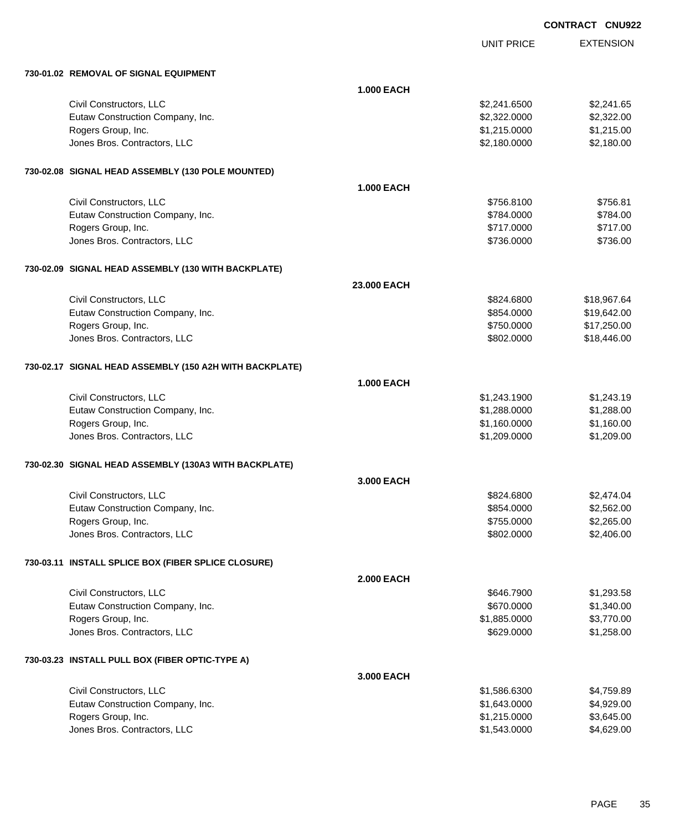|                                                         |                   |                   | <b>CONTRACT CNU922</b> |                  |
|---------------------------------------------------------|-------------------|-------------------|------------------------|------------------|
|                                                         |                   | <b>UNIT PRICE</b> |                        | <b>EXTENSION</b> |
| 730-01.02 REMOVAL OF SIGNAL EQUIPMENT                   |                   |                   |                        |                  |
|                                                         | <b>1.000 EACH</b> |                   |                        |                  |
| Civil Constructors, LLC                                 |                   | \$2,241.6500      |                        | \$2,241.65       |
| Eutaw Construction Company, Inc.                        |                   | \$2,322.0000      |                        | \$2,322.00       |
| Rogers Group, Inc.                                      |                   | \$1,215.0000      |                        | \$1,215.00       |
| Jones Bros. Contractors, LLC                            |                   | \$2,180.0000      |                        | \$2,180.00       |
| 730-02.08 SIGNAL HEAD ASSEMBLY (130 POLE MOUNTED)       |                   |                   |                        |                  |
|                                                         | <b>1.000 EACH</b> |                   |                        |                  |
| Civil Constructors, LLC                                 |                   | \$756.8100        |                        | \$756.81         |
| Eutaw Construction Company, Inc.                        |                   | \$784.0000        |                        | \$784.00         |
| Rogers Group, Inc.                                      |                   | \$717.0000        |                        | \$717.00         |
| Jones Bros. Contractors, LLC                            |                   | \$736.0000        |                        | \$736.00         |
| 730-02.09 SIGNAL HEAD ASSEMBLY (130 WITH BACKPLATE)     |                   |                   |                        |                  |
|                                                         | 23.000 EACH       |                   |                        |                  |
| Civil Constructors, LLC                                 |                   | \$824,6800        |                        | \$18,967.64      |
| Eutaw Construction Company, Inc.                        |                   | \$854.0000        |                        | \$19,642.00      |
| Rogers Group, Inc.                                      |                   | \$750.0000        |                        | \$17,250.00      |
| Jones Bros. Contractors, LLC                            |                   | \$802.0000        |                        | \$18,446.00      |
| 730-02.17 SIGNAL HEAD ASSEMBLY (150 A2H WITH BACKPLATE) |                   |                   |                        |                  |
|                                                         | <b>1.000 EACH</b> |                   |                        |                  |
| Civil Constructors, LLC                                 |                   | \$1,243.1900      |                        | \$1,243.19       |
| Eutaw Construction Company, Inc.                        |                   | \$1,288.0000      |                        | \$1,288.00       |
| Rogers Group, Inc.                                      |                   | \$1,160.0000      |                        | \$1,160.00       |
| Jones Bros. Contractors, LLC                            |                   | \$1,209.0000      |                        | \$1,209.00       |
| 730-02.30 SIGNAL HEAD ASSEMBLY (130A3 WITH BACKPLATE)   |                   |                   |                        |                  |
|                                                         | 3.000 EACH        |                   |                        |                  |
| Civil Constructors, LLC                                 |                   | \$824.6800        |                        | \$2,474.04       |
| Eutaw Construction Company, Inc.                        |                   | \$854.0000        |                        | \$2,562.00       |
| Rogers Group, Inc.                                      |                   | \$755.0000        |                        | \$2,265.00       |
| Jones Bros. Contractors, LLC                            |                   | \$802.0000        |                        | \$2,406.00       |
| 730-03.11 INSTALL SPLICE BOX (FIBER SPLICE CLOSURE)     |                   |                   |                        |                  |
|                                                         | <b>2.000 EACH</b> |                   |                        |                  |
| Civil Constructors, LLC                                 |                   | \$646.7900        |                        | \$1,293.58       |
| Eutaw Construction Company, Inc.                        |                   | \$670.0000        |                        | \$1,340.00       |
| Rogers Group, Inc.                                      |                   | \$1,885.0000      |                        | \$3,770.00       |
| Jones Bros. Contractors, LLC                            |                   | \$629.0000        |                        | \$1,258.00       |
| 730-03.23 INSTALL PULL BOX (FIBER OPTIC-TYPE A)         |                   |                   |                        |                  |
|                                                         | 3.000 EACH        |                   |                        |                  |
| Civil Constructors, LLC                                 |                   | \$1,586.6300      |                        | \$4,759.89       |

| Civil Constructors, LLC          | \$1.586.6300 | \$4.759.89 |
|----------------------------------|--------------|------------|
| Eutaw Construction Company, Inc. | \$1.643.0000 | \$4,929.00 |
| Rogers Group, Inc.               | \$1,215,0000 | \$3.645.00 |
| Jones Bros. Contractors, LLC     | \$1.543.0000 | \$4.629.00 |
|                                  |              |            |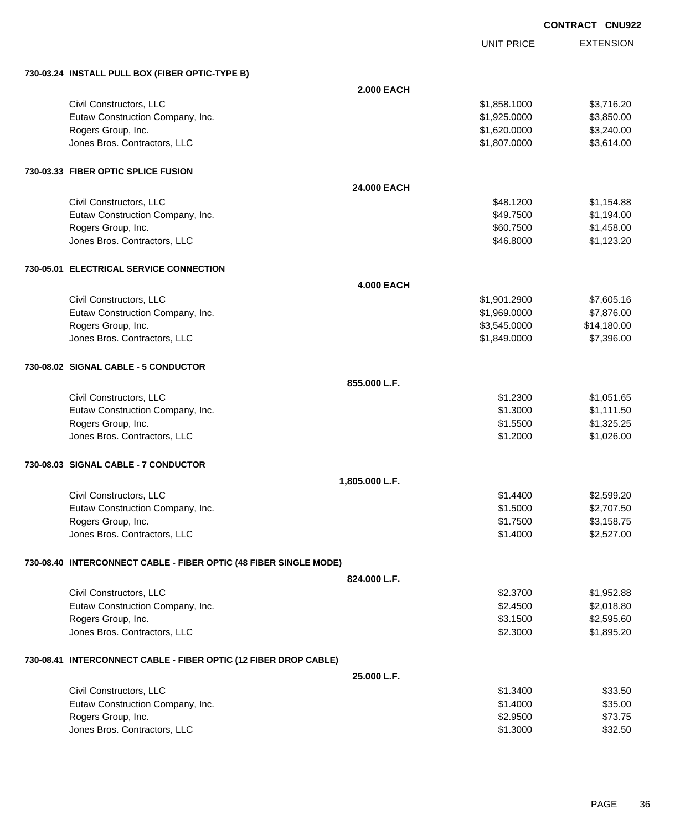|                                                                   |                   |                   | <b>CONTRACT CNU922</b> |
|-------------------------------------------------------------------|-------------------|-------------------|------------------------|
|                                                                   |                   | <b>UNIT PRICE</b> | <b>EXTENSION</b>       |
| 730-03.24 INSTALL PULL BOX (FIBER OPTIC-TYPE B)                   |                   |                   |                        |
|                                                                   | <b>2.000 EACH</b> |                   |                        |
| Civil Constructors, LLC                                           |                   | \$1,858.1000      | \$3,716.20             |
| Eutaw Construction Company, Inc.                                  |                   | \$1,925.0000      | \$3,850.00             |
| Rogers Group, Inc.                                                |                   | \$1,620.0000      | \$3,240.00             |
| Jones Bros. Contractors, LLC                                      |                   | \$1,807.0000      | \$3,614.00             |
| 730-03.33 FIBER OPTIC SPLICE FUSION                               |                   |                   |                        |
|                                                                   | 24,000 EACH       |                   |                        |
| Civil Constructors, LLC                                           |                   | \$48.1200         | \$1,154.88             |
| Eutaw Construction Company, Inc.                                  |                   | \$49.7500         | \$1,194.00             |
| Rogers Group, Inc.                                                |                   | \$60.7500         | \$1,458.00             |
| Jones Bros. Contractors, LLC                                      |                   | \$46.8000         | \$1,123.20             |
| 730-05.01 ELECTRICAL SERVICE CONNECTION                           |                   |                   |                        |
|                                                                   | <b>4.000 EACH</b> |                   |                        |
| Civil Constructors, LLC                                           |                   | \$1,901.2900      | \$7,605.16             |
| Eutaw Construction Company, Inc.                                  |                   | \$1,969.0000      | \$7,876.00             |
| Rogers Group, Inc.                                                |                   | \$3,545.0000      | \$14,180.00            |
| Jones Bros. Contractors, LLC                                      |                   | \$1,849.0000      | \$7,396.00             |
| 730-08.02 SIGNAL CABLE - 5 CONDUCTOR                              |                   |                   |                        |
|                                                                   | 855.000 L.F.      |                   |                        |
| Civil Constructors, LLC                                           |                   | \$1.2300          | \$1,051.65             |
| Eutaw Construction Company, Inc.                                  |                   | \$1.3000          | \$1,111.50             |
| Rogers Group, Inc.                                                |                   | \$1.5500          | \$1,325.25             |
| Jones Bros. Contractors, LLC                                      |                   | \$1.2000          | \$1,026.00             |
| 730-08.03 SIGNAL CABLE - 7 CONDUCTOR                              |                   |                   |                        |
|                                                                   | 1,805.000 L.F.    |                   |                        |
| Civil Constructors, LLC                                           |                   | \$1.4400          | \$2,599.20             |
| Eutaw Construction Company, Inc.                                  |                   | \$1.5000          | \$2,707.50             |
| Rogers Group, Inc.                                                |                   | \$1.7500          | \$3,158.75             |
| Jones Bros. Contractors, LLC                                      |                   | \$1.4000          | \$2,527.00             |
| 730-08.40 INTERCONNECT CABLE - FIBER OPTIC (48 FIBER SINGLE MODE) |                   |                   |                        |
|                                                                   | 824.000 L.F.      |                   |                        |
| Civil Constructors, LLC                                           |                   | \$2.3700          | \$1,952.88             |
| Eutaw Construction Company, Inc.                                  |                   | \$2.4500          | \$2,018.80             |
| Rogers Group, Inc.                                                |                   | \$3.1500          | \$2,595.60             |
| Jones Bros. Contractors, LLC                                      |                   | \$2.3000          | \$1,895.20             |
| 730-08.41 INTERCONNECT CABLE - FIBER OPTIC (12 FIBER DROP CABLE)  |                   |                   |                        |
|                                                                   | 25.000 L.F.       |                   |                        |
| Civil Constructors, LLC                                           |                   | \$1.3400          | \$33.50                |
| Eutaw Construction Company, Inc.                                  |                   | \$1.4000          | \$35.00                |
| Rogers Group, Inc.                                                |                   | \$2.9500          | \$73.75                |
| Jones Bros. Contractors, LLC                                      |                   | \$1.3000          | \$32.50                |

Jones Bros. Contractors, LLC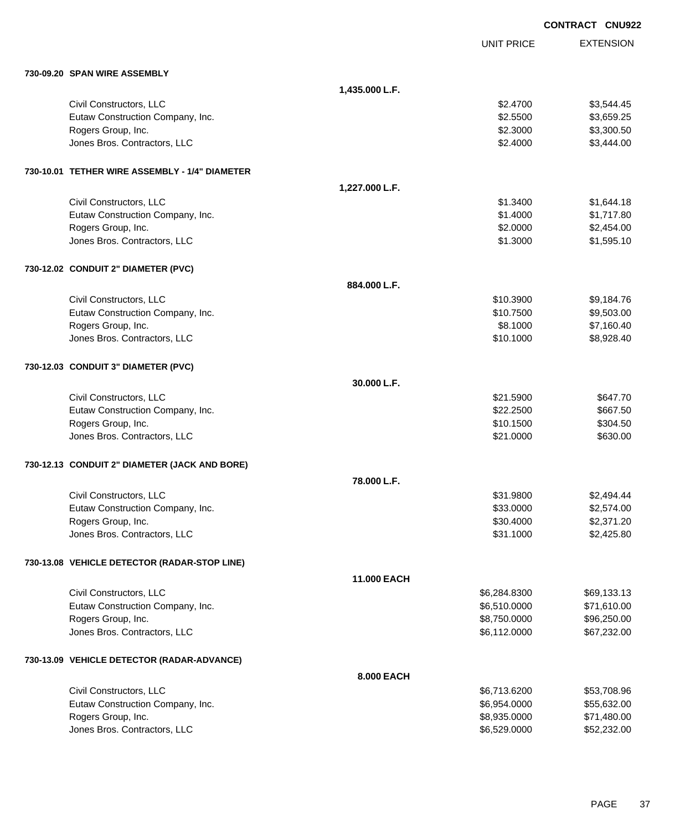|                                                    |                |                              | <b>CONTRACT CNU922</b>     |
|----------------------------------------------------|----------------|------------------------------|----------------------------|
|                                                    |                | <b>UNIT PRICE</b>            | <b>EXTENSION</b>           |
| 730-09.20 SPAN WIRE ASSEMBLY                       |                |                              |                            |
|                                                    | 1,435.000 L.F. |                              |                            |
| Civil Constructors, LLC                            |                | \$2.4700                     | \$3,544.45                 |
| Eutaw Construction Company, Inc.                   |                | \$2.5500                     | \$3,659.25                 |
| Rogers Group, Inc.                                 |                | \$2.3000                     | \$3,300.50                 |
| Jones Bros. Contractors, LLC                       |                | \$2.4000                     | \$3,444.00                 |
| 730-10.01 TETHER WIRE ASSEMBLY - 1/4" DIAMETER     |                |                              |                            |
|                                                    | 1,227.000 L.F. |                              |                            |
| Civil Constructors, LLC                            |                | \$1.3400                     | \$1,644.18                 |
| Eutaw Construction Company, Inc.                   |                | \$1.4000                     | \$1,717.80                 |
| Rogers Group, Inc.                                 |                | \$2.0000                     | \$2,454.00                 |
| Jones Bros. Contractors, LLC                       |                | \$1.3000                     | \$1,595.10                 |
| 730-12.02 CONDUIT 2" DIAMETER (PVC)                |                |                              |                            |
|                                                    | 884.000 L.F.   |                              |                            |
| Civil Constructors, LLC                            |                | \$10.3900                    | \$9,184.76                 |
| Eutaw Construction Company, Inc.                   |                | \$10.7500                    | \$9,503.00                 |
| Rogers Group, Inc.                                 |                | \$8.1000                     | \$7,160.40                 |
| Jones Bros. Contractors, LLC                       |                | \$10.1000                    | \$8,928.40                 |
| 730-12.03 CONDUIT 3" DIAMETER (PVC)                |                |                              |                            |
|                                                    | 30.000 L.F.    |                              |                            |
| Civil Constructors, LLC                            |                | \$21.5900                    | \$647.70                   |
| Eutaw Construction Company, Inc.                   |                | \$22.2500                    | \$667.50                   |
| Rogers Group, Inc.                                 |                | \$10.1500                    | \$304.50                   |
| Jones Bros. Contractors, LLC                       |                | \$21.0000                    | \$630.00                   |
| 730-12.13 CONDUIT 2" DIAMETER (JACK AND BORE)      |                |                              |                            |
|                                                    | 78.000 L.F.    |                              |                            |
| Civil Constructors, LLC                            |                | \$31.9800                    | \$2,494.44                 |
| Eutaw Construction Company, Inc.                   |                | \$33.0000                    | \$2,574.00                 |
| Rogers Group, Inc.                                 |                | \$30.4000                    | \$2,371.20                 |
| Jones Bros. Contractors, LLC                       |                | \$31.1000                    | \$2,425.80                 |
| 730-13.08 VEHICLE DETECTOR (RADAR-STOP LINE)       |                |                              |                            |
|                                                    | 11.000 EACH    |                              |                            |
| Civil Constructors, LLC                            |                | \$6,284.8300                 | \$69,133.13                |
| Eutaw Construction Company, Inc.                   |                | \$6,510.0000                 | \$71,610.00                |
| Rogers Group, Inc.                                 |                | \$8,750.0000<br>\$6,112.0000 | \$96,250.00                |
| Jones Bros. Contractors, LLC                       |                |                              | \$67,232.00                |
| 730-13.09 VEHICLE DETECTOR (RADAR-ADVANCE)         |                |                              |                            |
|                                                    | 8.000 EACH     |                              |                            |
| Civil Constructors, LLC                            |                | \$6,713.6200                 | \$53,708.96                |
| Eutaw Construction Company, Inc.                   |                | \$6,954.0000                 | \$55,632.00                |
| Rogers Group, Inc.<br>Jones Bros. Contractors, LLC |                | \$8,935.0000<br>\$6,529.0000 | \$71,480.00<br>\$52,232.00 |
|                                                    |                |                              |                            |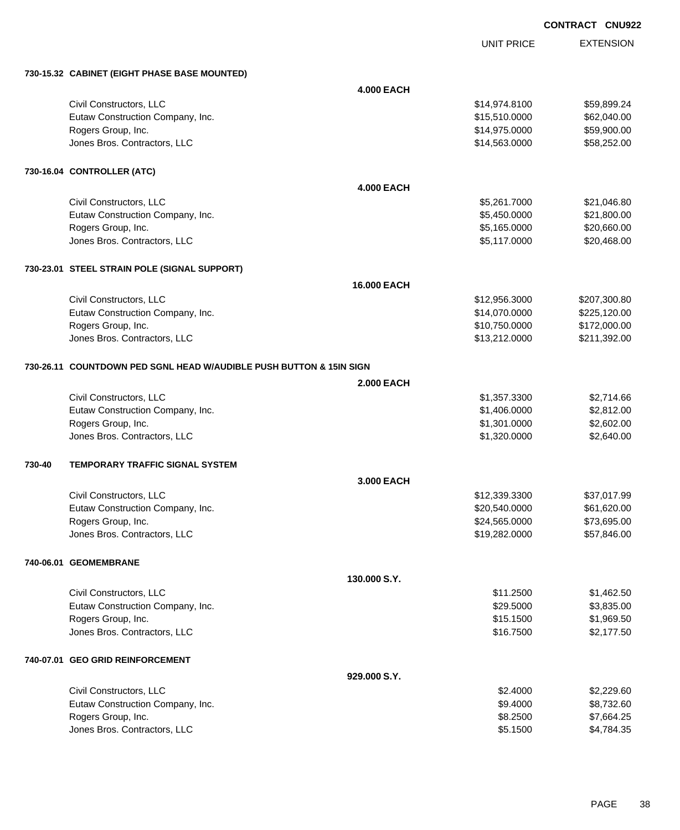UNIT PRICE

|        | 730-15.32 CABINET (EIGHT PHASE BASE MOUNTED)                        |                   |               |              |  |
|--------|---------------------------------------------------------------------|-------------------|---------------|--------------|--|
|        |                                                                     | <b>4.000 EACH</b> |               |              |  |
|        | Civil Constructors, LLC                                             |                   | \$14,974.8100 | \$59,899.24  |  |
|        | Eutaw Construction Company, Inc.                                    |                   | \$15,510.0000 | \$62,040.00  |  |
|        | Rogers Group, Inc.                                                  |                   | \$14,975.0000 | \$59,900.00  |  |
|        | Jones Bros. Contractors, LLC                                        |                   | \$14,563.0000 | \$58,252.00  |  |
|        | 730-16.04 CONTROLLER (ATC)                                          |                   |               |              |  |
|        |                                                                     | <b>4.000 EACH</b> |               |              |  |
|        | Civil Constructors, LLC                                             |                   | \$5,261.7000  | \$21,046.80  |  |
|        | Eutaw Construction Company, Inc.                                    |                   | \$5,450.0000  | \$21,800.00  |  |
|        | Rogers Group, Inc.                                                  |                   | \$5,165.0000  | \$20,660.00  |  |
|        | Jones Bros. Contractors, LLC                                        |                   | \$5,117.0000  | \$20,468.00  |  |
|        | 730-23.01 STEEL STRAIN POLE (SIGNAL SUPPORT)                        |                   |               |              |  |
|        |                                                                     | 16.000 EACH       |               |              |  |
|        | Civil Constructors, LLC                                             |                   | \$12,956.3000 | \$207,300.80 |  |
|        | Eutaw Construction Company, Inc.                                    |                   | \$14,070.0000 | \$225,120.00 |  |
|        | Rogers Group, Inc.                                                  |                   | \$10,750.0000 | \$172,000.00 |  |
|        | Jones Bros. Contractors, LLC                                        |                   | \$13,212.0000 | \$211,392.00 |  |
|        | 730-26.11 COUNTDOWN PED SGNL HEAD W/AUDIBLE PUSH BUTTON & 15IN SIGN |                   |               |              |  |
|        |                                                                     | <b>2.000 EACH</b> |               |              |  |
|        | Civil Constructors, LLC                                             |                   | \$1,357.3300  | \$2,714.66   |  |
|        | Eutaw Construction Company, Inc.                                    |                   | \$1,406.0000  | \$2,812.00   |  |
|        | Rogers Group, Inc.                                                  |                   | \$1,301.0000  | \$2,602.00   |  |
|        | Jones Bros. Contractors, LLC                                        |                   | \$1,320.0000  | \$2,640.00   |  |
| 730-40 | <b>TEMPORARY TRAFFIC SIGNAL SYSTEM</b>                              |                   |               |              |  |
|        |                                                                     | 3.000 EACH        |               |              |  |
|        | Civil Constructors, LLC                                             |                   | \$12,339.3300 | \$37,017.99  |  |
|        | Eutaw Construction Company, Inc.                                    |                   | \$20,540.0000 | \$61,620.00  |  |
|        | Rogers Group, Inc.                                                  |                   | \$24,565.0000 | \$73,695.00  |  |
|        | Jones Bros. Contractors, LLC                                        |                   | \$19,282.0000 | \$57,846.00  |  |
|        | 740-06.01 GEOMEMBRANE                                               |                   |               |              |  |
|        |                                                                     | 130.000 S.Y.      |               |              |  |
|        | Civil Constructors, LLC                                             |                   | \$11.2500     | \$1,462.50   |  |
|        | Eutaw Construction Company, Inc.                                    |                   | \$29.5000     | \$3,835.00   |  |
|        | Rogers Group, Inc.                                                  |                   | \$15.1500     | \$1,969.50   |  |
|        | Jones Bros. Contractors, LLC                                        |                   | \$16.7500     | \$2,177.50   |  |
|        | 740-07.01 GEO GRID REINFORCEMENT                                    |                   |               |              |  |
|        |                                                                     | 929.000 S.Y.      |               |              |  |
|        | Civil Constructors, LLC                                             |                   | \$2.4000      | \$2,229.60   |  |
|        | Eutaw Construction Company, Inc.                                    |                   | \$9.4000      | \$8,732.60   |  |
|        | Rogers Group, Inc.                                                  |                   | \$8.2500      | \$7,664.25   |  |
|        | Jones Bros. Contractors, LLC                                        |                   | \$5.1500      | \$4,784.35   |  |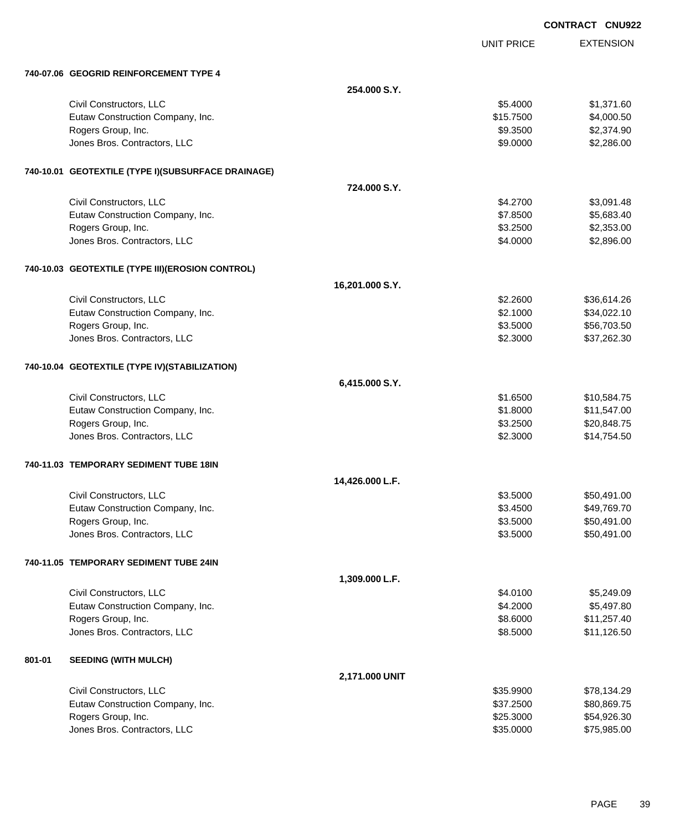|        |                                                    |                 |                   | <b>CONTRACT CNU922</b> |
|--------|----------------------------------------------------|-----------------|-------------------|------------------------|
|        |                                                    |                 | <b>UNIT PRICE</b> | <b>EXTENSION</b>       |
|        | 740-07.06 GEOGRID REINFORCEMENT TYPE 4             |                 |                   |                        |
|        |                                                    | 254.000 S.Y.    |                   |                        |
|        | Civil Constructors, LLC                            |                 | \$5.4000          | \$1,371.60             |
|        | Eutaw Construction Company, Inc.                   |                 | \$15.7500         | \$4,000.50             |
|        | Rogers Group, Inc.                                 |                 | \$9.3500          | \$2,374.90             |
|        | Jones Bros. Contractors, LLC                       |                 | \$9.0000          | \$2,286.00             |
|        | 740-10.01 GEOTEXTILE (TYPE I)(SUBSURFACE DRAINAGE) |                 |                   |                        |
|        |                                                    | 724,000 S.Y.    |                   |                        |
|        | Civil Constructors, LLC                            |                 | \$4.2700          | \$3,091.48             |
|        | Eutaw Construction Company, Inc.                   |                 | \$7.8500          | \$5,683.40             |
|        | Rogers Group, Inc.                                 |                 | \$3.2500          | \$2,353.00             |
|        | Jones Bros. Contractors, LLC                       |                 | \$4.0000          | \$2,896.00             |
|        | 740-10.03 GEOTEXTILE (TYPE III)(EROSION CONTROL)   |                 |                   |                        |
|        |                                                    | 16,201.000 S.Y. |                   |                        |
|        | Civil Constructors, LLC                            |                 | \$2.2600          | \$36,614.26            |
|        | Eutaw Construction Company, Inc.                   |                 | \$2.1000          | \$34,022.10            |
|        | Rogers Group, Inc.                                 |                 | \$3.5000          | \$56,703.50            |
|        | Jones Bros. Contractors, LLC                       |                 | \$2.3000          | \$37,262.30            |
|        | 740-10.04 GEOTEXTILE (TYPE IV)(STABILIZATION)      |                 |                   |                        |
|        |                                                    | 6,415.000 S.Y.  |                   |                        |
|        | Civil Constructors, LLC                            |                 | \$1.6500          | \$10,584.75            |
|        | Eutaw Construction Company, Inc.                   |                 | \$1.8000          | \$11,547.00            |
|        | Rogers Group, Inc.                                 |                 | \$3.2500          | \$20,848.75            |
|        | Jones Bros. Contractors, LLC                       |                 | \$2.3000          | \$14,754.50            |
|        | 740-11.03 TEMPORARY SEDIMENT TUBE 18IN             |                 |                   |                        |
|        |                                                    | 14,426.000 L.F. |                   |                        |
|        | Civil Constructors, LLC                            |                 | \$3.5000          | \$50,491.00            |
|        | Eutaw Construction Company, Inc.                   |                 | \$3.4500          | \$49,769.70            |
|        | Rogers Group, Inc.                                 |                 | \$3.5000          | \$50,491.00            |
|        | Jones Bros. Contractors, LLC                       |                 | \$3.5000          | \$50,491.00            |
|        | 740-11.05 TEMPORARY SEDIMENT TUBE 24IN             |                 |                   |                        |
|        |                                                    | 1,309.000 L.F.  |                   |                        |
|        | Civil Constructors, LLC                            |                 | \$4.0100          | \$5,249.09             |
|        | Eutaw Construction Company, Inc.                   |                 | \$4.2000          | \$5,497.80             |
|        | Rogers Group, Inc.                                 |                 | \$8.6000          | \$11,257.40            |
|        | Jones Bros. Contractors, LLC                       |                 | \$8.5000          | \$11,126.50            |
| 801-01 | <b>SEEDING (WITH MULCH)</b>                        |                 |                   |                        |
|        |                                                    | 2,171.000 UNIT  |                   |                        |
|        | Civil Constructors, LLC                            |                 | \$35.9900         | \$78,134.29            |
|        | Eutaw Construction Company, Inc.                   |                 | \$37.2500         | \$80,869.75            |
|        | Rogers Group, Inc.                                 |                 | \$25.3000         | \$54,926.30            |
|        | Jones Bros. Contractors, LLC                       |                 | \$35.0000         | \$75,985.00            |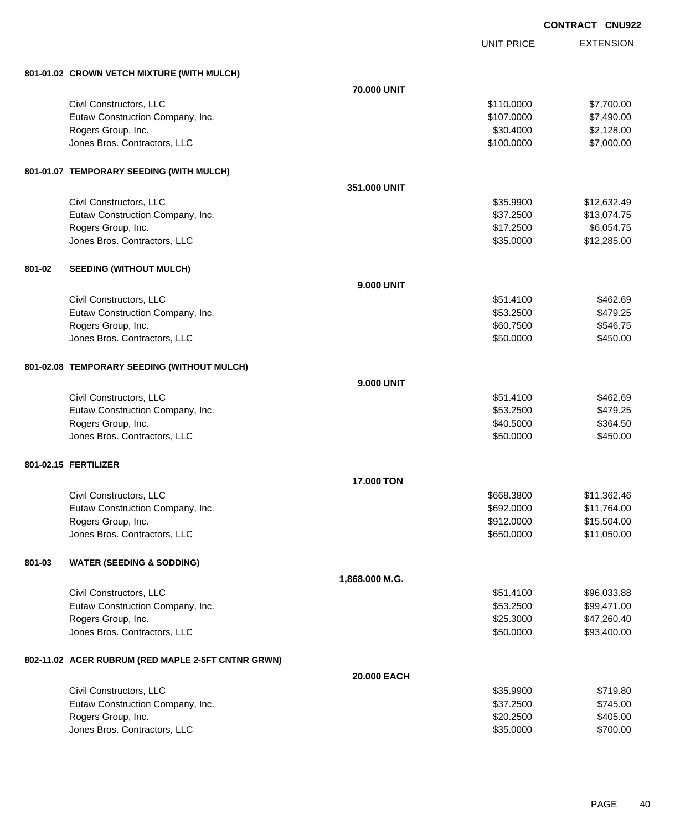UNIT PRICE

|        | 801-01.02 CROWN VETCH MIXTURE (WITH MULCH)             |                   |                          |                      |
|--------|--------------------------------------------------------|-------------------|--------------------------|----------------------|
|        |                                                        | 70.000 UNIT       |                          |                      |
|        | Civil Constructors, LLC                                |                   | \$110.0000               | \$7,700.00           |
|        | Eutaw Construction Company, Inc.                       |                   | \$107.0000               | \$7,490.00           |
|        | Rogers Group, Inc.                                     |                   | \$30.4000                | \$2,128.00           |
|        | Jones Bros. Contractors, LLC                           |                   | \$100.0000               | \$7,000.00           |
|        |                                                        |                   |                          |                      |
|        | 801-01.07 TEMPORARY SEEDING (WITH MULCH)               |                   |                          |                      |
|        |                                                        | 351.000 UNIT      |                          |                      |
|        | Civil Constructors, LLC                                |                   | \$35.9900                | \$12,632.49          |
|        | Eutaw Construction Company, Inc.                       |                   | \$37.2500                | \$13,074.75          |
|        | Rogers Group, Inc.                                     |                   | \$17.2500                | \$6,054.75           |
|        | Jones Bros. Contractors, LLC                           |                   | \$35.0000                | \$12,285.00          |
|        |                                                        |                   |                          |                      |
| 801-02 | <b>SEEDING (WITHOUT MULCH)</b>                         |                   |                          |                      |
|        |                                                        | <b>9.000 UNIT</b> |                          |                      |
|        | Civil Constructors, LLC                                |                   | \$51.4100                | \$462.69             |
|        | Eutaw Construction Company, Inc.                       |                   | \$53.2500                | \$479.25             |
|        | Rogers Group, Inc.                                     |                   | \$60.7500                | \$546.75             |
|        | Jones Bros. Contractors, LLC                           |                   | \$50.0000                | \$450.00             |
|        |                                                        |                   |                          |                      |
|        | 801-02.08 TEMPORARY SEEDING (WITHOUT MULCH)            |                   |                          |                      |
|        |                                                        |                   |                          |                      |
|        |                                                        | <b>9.000 UNIT</b> |                          |                      |
|        | Civil Constructors, LLC                                |                   | \$51.4100<br>\$53.2500   | \$462.69<br>\$479.25 |
|        | Eutaw Construction Company, Inc.<br>Rogers Group, Inc. |                   | \$40.5000                | \$364.50             |
|        | Jones Bros. Contractors, LLC                           |                   | \$50.0000                | \$450.00             |
|        |                                                        |                   |                          |                      |
|        | 801-02.15 FERTILIZER                                   |                   |                          |                      |
|        |                                                        |                   |                          |                      |
|        |                                                        | 17.000 TON        |                          |                      |
|        | Civil Constructors, LLC                                |                   | \$668.3800               | \$11,362.46          |
|        | Eutaw Construction Company, Inc.                       |                   | \$692.0000               | \$11,764.00          |
|        | Rogers Group, Inc.                                     |                   | \$912.0000<br>\$650.0000 | \$15,504.00          |
|        | Jones Bros. Contractors, LLC                           |                   |                          | \$11,050.00          |
|        |                                                        |                   |                          |                      |
| 801-03 | <b>WATER (SEEDING &amp; SODDING)</b>                   |                   |                          |                      |
|        |                                                        | 1,868.000 M.G.    |                          |                      |
|        | Civil Constructors, LLC                                |                   | \$51.4100                | \$96,033.88          |
|        | Eutaw Construction Company, Inc.                       |                   | \$53.2500                | \$99,471.00          |
|        | Rogers Group, Inc.                                     |                   | \$25.3000                | \$47,260.40          |
|        | Jones Bros. Contractors, LLC                           |                   | \$50.0000                | \$93,400.00          |
|        |                                                        |                   |                          |                      |
|        | 802-11.02 ACER RUBRUM (RED MAPLE 2-5FT CNTNR GRWN)     |                   |                          |                      |
|        |                                                        | 20.000 EACH       |                          |                      |
|        | Civil Constructors, LLC                                |                   | \$35.9900                | \$719.80             |
|        | Eutaw Construction Company, Inc.                       |                   | \$37.2500                | \$745.00             |
|        | Rogers Group, Inc.                                     |                   | \$20.2500                | \$405.00             |
|        | Jones Bros. Contractors, LLC                           |                   | \$35.0000                | \$700.00             |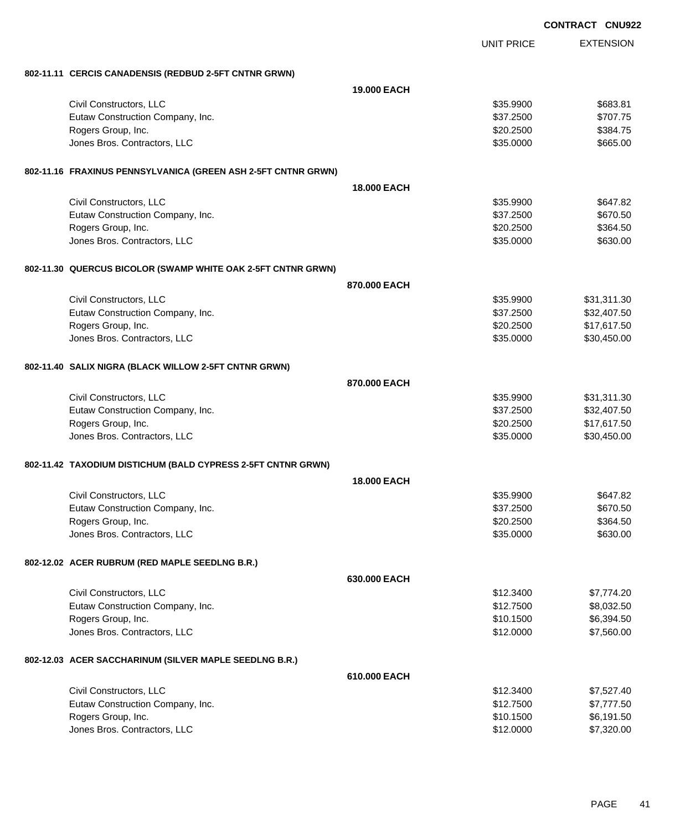|                                                               | <b>CONTRACT CNU922</b> |                   |                  |
|---------------------------------------------------------------|------------------------|-------------------|------------------|
|                                                               |                        | <b>UNIT PRICE</b> | <b>EXTENSION</b> |
| 802-11.11 CERCIS CANADENSIS (REDBUD 2-5FT CNTNR GRWN)         |                        |                   |                  |
|                                                               | <b>19,000 EACH</b>     |                   |                  |
| Civil Constructors, LLC                                       |                        | \$35.9900         | \$683.81         |
| Eutaw Construction Company, Inc.                              |                        | \$37.2500         | \$707.75         |
| Rogers Group, Inc.                                            |                        | \$20.2500         | \$384.75         |
| Jones Bros. Contractors, LLC                                  |                        | \$35.0000         | \$665.00         |
| 802-11.16 FRAXINUS PENNSYLVANICA (GREEN ASH 2-5FT CNTNR GRWN) |                        |                   |                  |
|                                                               | <b>18,000 EACH</b>     |                   |                  |
| Civil Constructors, LLC                                       |                        | \$35.9900         | \$647.82         |
| Eutaw Construction Company, Inc.                              |                        | \$37.2500         | \$670.50         |
| Rogers Group, Inc.                                            |                        | \$20.2500         | \$364.50         |
| Jones Bros. Contractors, LLC                                  |                        | \$35.0000         | \$630.00         |
| 802-11.30 QUERCUS BICOLOR (SWAMP WHITE OAK 2-5FT CNTNR GRWN)  |                        |                   |                  |
|                                                               | 870,000 EACH           |                   |                  |
| Civil Constructors, LLC                                       |                        | \$35.9900         | \$31,311.30      |
| Eutaw Construction Company, Inc.                              |                        | \$37.2500         | \$32,407.50      |
| Rogers Group, Inc.                                            |                        | \$20.2500         | \$17,617.50      |
| Jones Bros. Contractors, LLC                                  |                        | \$35.0000         | \$30,450.00      |
| 802-11.40 SALIX NIGRA (BLACK WILLOW 2-5FT CNTNR GRWN)         |                        |                   |                  |
|                                                               | 870,000 EACH           |                   |                  |
| Civil Constructors, LLC                                       |                        | \$35.9900         | \$31,311.30      |
| Eutaw Construction Company, Inc.                              |                        | \$37.2500         | \$32,407.50      |
| Rogers Group, Inc.                                            |                        | \$20.2500         | \$17,617.50      |
| Jones Bros. Contractors, LLC                                  |                        | \$35,0000         | \$30,450.00      |
| 802-11.42 TAXODIUM DISTICHUM (BALD CYPRESS 2-5FT CNTNR GRWN)  |                        |                   |                  |
|                                                               | <b>18,000 EACH</b>     |                   |                  |
| Civil Constructors, LLC                                       |                        | \$35.9900         | \$647.82         |
| Eutaw Construction Company, Inc.                              |                        | \$37.2500         | \$670.50         |
| Rogers Group, Inc.                                            |                        | \$20.2500         | \$364.50         |
| Jones Bros. Contractors, LLC                                  |                        | \$35.0000         | \$630.00         |
| 802-12.02 ACER RUBRUM (RED MAPLE SEEDLNG B.R.)                |                        |                   |                  |
|                                                               | 630.000 EACH           |                   |                  |
| Civil Constructors, LLC                                       |                        | \$12.3400         | \$7,774.20       |
| Eutaw Construction Company, Inc.                              |                        | \$12.7500         | \$8,032.50       |
| Rogers Group, Inc.                                            |                        | \$10.1500         | \$6,394.50       |
| Jones Bros. Contractors, LLC                                  |                        | \$12.0000         | \$7,560.00       |
| 802-12.03 ACER SACCHARINUM (SILVER MAPLE SEEDLNG B.R.)        |                        |                   |                  |
|                                                               | 610.000 EACH           |                   |                  |
| Civil Constructors, LLC                                       |                        | \$12.3400         | \$7,527.40       |
| Eutaw Construction Company, Inc.                              |                        | \$12.7500         | \$7,777.50       |
| Rogers Group, Inc.                                            |                        | \$10.1500         | \$6,191.50       |
| Jones Bros. Contractors, LLC                                  |                        | \$12.0000         | \$7,320.00       |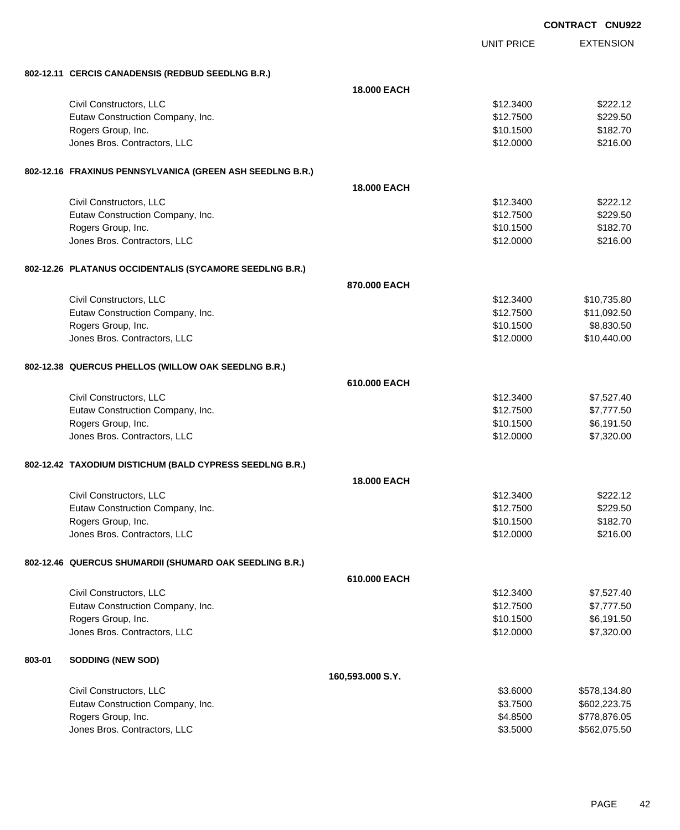|        |                                                           | <b>CONTRACT CNU922</b> |                   |                  |
|--------|-----------------------------------------------------------|------------------------|-------------------|------------------|
|        |                                                           |                        | <b>UNIT PRICE</b> | <b>EXTENSION</b> |
|        | 802-12.11 CERCIS CANADENSIS (REDBUD SEEDLNG B.R.)         |                        |                   |                  |
|        |                                                           | <b>18,000 EACH</b>     |                   |                  |
|        | Civil Constructors, LLC                                   |                        | \$12.3400         | \$222.12         |
|        | Eutaw Construction Company, Inc.                          |                        | \$12.7500         | \$229.50         |
|        | Rogers Group, Inc.                                        |                        | \$10.1500         | \$182.70         |
|        | Jones Bros. Contractors, LLC                              |                        | \$12.0000         | \$216.00         |
|        | 802-12.16 FRAXINUS PENNSYLVANICA (GREEN ASH SEEDLNG B.R.) |                        |                   |                  |
|        |                                                           | <b>18,000 EACH</b>     |                   |                  |
|        | Civil Constructors, LLC                                   |                        | \$12.3400         | \$222.12         |
|        | Eutaw Construction Company, Inc.                          |                        | \$12.7500         | \$229.50         |
|        | Rogers Group, Inc.                                        |                        | \$10.1500         | \$182.70         |
|        | Jones Bros. Contractors, LLC                              |                        | \$12.0000         | \$216.00         |
|        | 802-12.26 PLATANUS OCCIDENTALIS (SYCAMORE SEEDLNG B.R.)   |                        |                   |                  |
|        |                                                           | 870,000 EACH           |                   |                  |
|        | Civil Constructors, LLC                                   |                        | \$12.3400         | \$10,735.80      |
|        | Eutaw Construction Company, Inc.                          |                        | \$12.7500         | \$11,092.50      |
|        | Rogers Group, Inc.                                        |                        | \$10.1500         | \$8,830.50       |
|        | Jones Bros. Contractors, LLC                              |                        | \$12.0000         | \$10,440.00      |
|        | 802-12.38 QUERCUS PHELLOS (WILLOW OAK SEEDLNG B.R.)       |                        |                   |                  |
|        |                                                           | 610,000 EACH           |                   |                  |
|        | Civil Constructors, LLC                                   |                        | \$12.3400         | \$7,527.40       |
|        | Eutaw Construction Company, Inc.                          |                        | \$12.7500         | \$7,777.50       |
|        | Rogers Group, Inc.                                        |                        | \$10.1500         | \$6,191.50       |
|        | Jones Bros. Contractors, LLC                              |                        | \$12.0000         | \$7,320.00       |
|        | 802-12.42 TAXODIUM DISTICHUM (BALD CYPRESS SEEDLNG B.R.)  |                        |                   |                  |
|        |                                                           | <b>18,000 EACH</b>     |                   |                  |
|        | Civil Constructors, LLC                                   |                        | \$12.3400         | \$222.12         |
|        | Eutaw Construction Company, Inc.                          |                        | \$12.7500         | \$229.50         |
|        | Rogers Group, Inc.                                        |                        | \$10.1500         | \$182.70         |
|        | Jones Bros. Contractors, LLC                              |                        | \$12.0000         | \$216.00         |
|        | 802-12.46 QUERCUS SHUMARDII (SHUMARD OAK SEEDLING B.R.)   |                        |                   |                  |
|        |                                                           | 610.000 EACH           |                   |                  |
|        | Civil Constructors, LLC                                   |                        | \$12.3400         | \$7,527.40       |
|        | Eutaw Construction Company, Inc.                          |                        | \$12.7500         | \$7,777.50       |
|        | Rogers Group, Inc.                                        |                        | \$10.1500         | \$6,191.50       |
|        | Jones Bros. Contractors, LLC                              |                        | \$12.0000         | \$7,320.00       |
| 803-01 | <b>SODDING (NEW SOD)</b>                                  |                        |                   |                  |
|        |                                                           | 160,593.000 S.Y.       |                   |                  |
|        | Civil Constructors, LLC                                   |                        | \$3.6000          | \$578,134.80     |
|        | Eutaw Construction Company, Inc.                          |                        | \$3.7500          | \$602,223.75     |
|        | Rogers Group, Inc.                                        |                        | \$4.8500          | \$778,876.05     |
|        | Jones Bros. Contractors, LLC                              |                        | \$3.5000          | \$562,075.50     |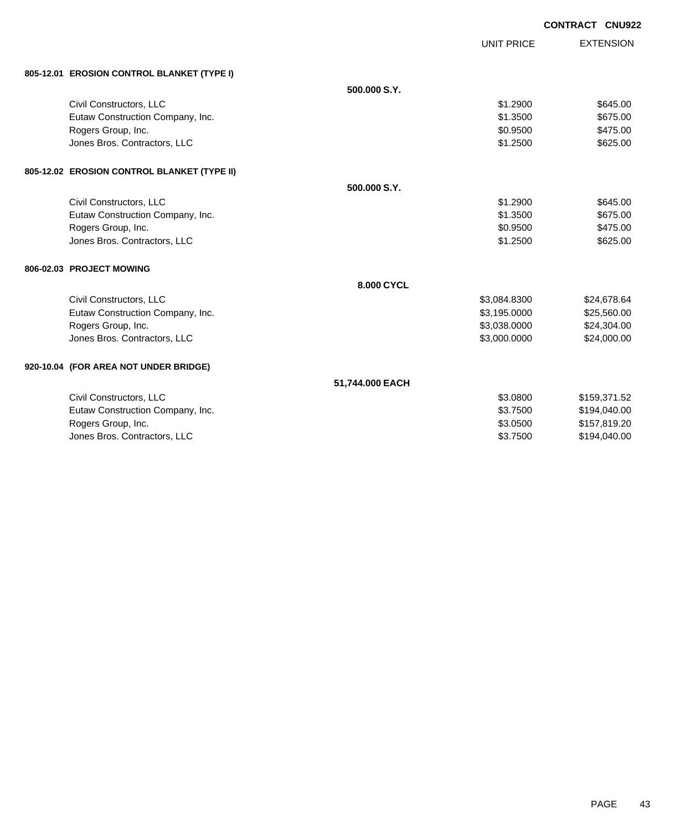|                                             |                 |                   | <b>CONTRACT CNU922</b> |
|---------------------------------------------|-----------------|-------------------|------------------------|
|                                             |                 | <b>UNIT PRICE</b> | <b>EXTENSION</b>       |
|                                             |                 |                   |                        |
| 805-12.01 EROSION CONTROL BLANKET (TYPE I)  |                 |                   |                        |
|                                             | 500.000 S.Y.    |                   |                        |
| Civil Constructors, LLC                     |                 | \$1.2900          | \$645.00               |
| Eutaw Construction Company, Inc.            |                 | \$1.3500          | \$675.00               |
| Rogers Group, Inc.                          |                 | \$0.9500          | \$475.00               |
| Jones Bros. Contractors, LLC                |                 | \$1.2500          | \$625.00               |
| 805-12.02 EROSION CONTROL BLANKET (TYPE II) |                 |                   |                        |
|                                             | 500,000 S.Y.    |                   |                        |
| Civil Constructors, LLC                     |                 | \$1,2900          | \$645.00               |
| Eutaw Construction Company, Inc.            |                 | \$1.3500          | \$675.00               |
| Rogers Group, Inc.                          |                 | \$0.9500          | \$475.00               |
| Jones Bros. Contractors, LLC                |                 | \$1.2500          | \$625.00               |
|                                             |                 |                   |                        |
| 806-02.03 PROJECT MOWING                    |                 |                   |                        |
|                                             | 8.000 CYCL      |                   |                        |
| Civil Constructors, LLC                     |                 | \$3,084.8300      | \$24,678.64            |
| Eutaw Construction Company, Inc.            |                 | \$3,195.0000      | \$25,560.00            |
| Rogers Group, Inc.                          |                 | \$3,038.0000      | \$24,304.00            |
| Jones Bros. Contractors, LLC                |                 | \$3,000.0000      | \$24,000.00            |
| 920-10.04 (FOR AREA NOT UNDER BRIDGE)       |                 |                   |                        |
|                                             | 51,744.000 EACH |                   |                        |
| Civil Constructors, LLC                     |                 | \$3.0800          | \$159,371.52           |
| Eutaw Construction Company, Inc.            |                 | \$3.7500          | \$194,040.00           |
| Rogers Group, Inc.                          |                 | \$3.0500          | \$157,819.20           |
| Jones Bros. Contractors, LLC                |                 | \$3.7500          | \$194,040.00           |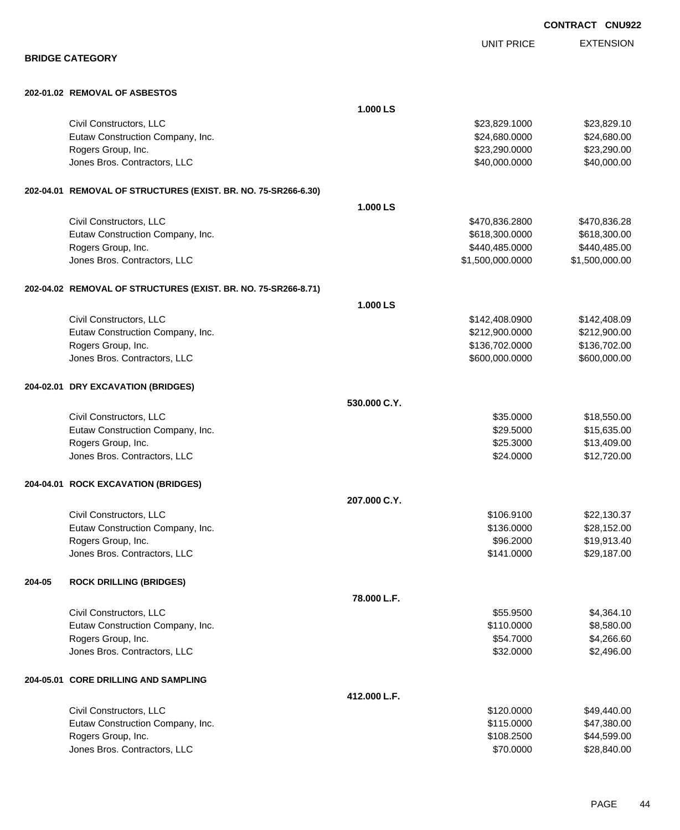|                        |                                                                |              |                         | <b>CONTRACT CNU92</b>      |
|------------------------|----------------------------------------------------------------|--------------|-------------------------|----------------------------|
|                        |                                                                |              | <b>UNIT PRICE</b>       | <b>EXTENSION</b>           |
| <b>BRIDGE CATEGORY</b> |                                                                |              |                         |                            |
|                        | 202-01.02 REMOVAL OF ASBESTOS                                  |              |                         |                            |
|                        |                                                                | 1.000 LS     |                         |                            |
|                        | Civil Constructors, LLC                                        |              | \$23,829.1000           | \$23,829.10                |
|                        | Eutaw Construction Company, Inc.                               |              | \$24,680.0000           | \$24,680.00                |
|                        | Rogers Group, Inc.                                             |              | \$23,290.0000           | \$23,290.00                |
|                        | Jones Bros. Contractors, LLC                                   |              | \$40,000.0000           | \$40,000.00                |
|                        | 202-04.01 REMOVAL OF STRUCTURES (EXIST. BR. NO. 75-SR266-6.30) |              |                         |                            |
|                        |                                                                | 1.000LS      |                         |                            |
|                        | Civil Constructors, LLC                                        |              | \$470,836.2800          | \$470,836.28               |
|                        | Eutaw Construction Company, Inc.                               |              | \$618,300.0000          | \$618,300.00               |
|                        | Rogers Group, Inc.                                             |              | \$440,485.0000          | \$440,485.00               |
|                        | Jones Bros. Contractors, LLC                                   |              | \$1,500,000.0000        | \$1,500,000.00             |
|                        | 202-04.02 REMOVAL OF STRUCTURES (EXIST. BR. NO. 75-SR266-8.71) |              |                         |                            |
|                        |                                                                | 1.000 LS     |                         |                            |
|                        | Civil Constructors, LLC                                        |              | \$142,408.0900          | \$142,408.09               |
|                        | Eutaw Construction Company, Inc.                               |              | \$212,900.0000          | \$212,900.00               |
|                        | Rogers Group, Inc.                                             |              | \$136,702.0000          | \$136,702.00               |
|                        | Jones Bros. Contractors, LLC                                   |              | \$600,000.0000          | \$600,000.00               |
|                        | 204-02.01 DRY EXCAVATION (BRIDGES)                             |              |                         |                            |
|                        |                                                                | 530,000 C.Y. |                         |                            |
|                        | Civil Constructors, LLC                                        |              | \$35.0000               | \$18,550.00                |
|                        | Eutaw Construction Company, Inc.                               |              | \$29.5000               | \$15,635.00                |
|                        | Rogers Group, Inc.                                             |              | \$25.3000               | \$13,409.00                |
|                        | Jones Bros. Contractors, LLC                                   |              | \$24.0000               | \$12,720.00                |
|                        | 204-04.01 ROCK EXCAVATION (BRIDGES)                            |              |                         |                            |
|                        |                                                                | 207.000 C.Y. |                         |                            |
|                        | Civil Constructors, LLC                                        |              | \$106.9100              | \$22,130.37                |
|                        | Eutaw Construction Company, Inc.<br>Rogers Group, Inc.         |              | \$136.0000<br>\$96.2000 | \$28,152.00<br>\$19,913.40 |
|                        | Jones Bros. Contractors, LLC                                   |              | \$141.0000              | \$29,187.00                |
|                        |                                                                |              |                         |                            |
| 204-05                 | <b>ROCK DRILLING (BRIDGES)</b>                                 | 78.000 L.F.  |                         |                            |
|                        | Civil Constructors, LLC                                        |              | \$55.9500               | \$4,364.10                 |
|                        | Eutaw Construction Company, Inc.                               |              | \$110.0000              | \$8,580.00                 |
|                        | Rogers Group, Inc.                                             |              | \$54.7000               | \$4,266.60                 |
|                        | Jones Bros. Contractors, LLC                                   |              | \$32.0000               | \$2,496.00                 |
|                        | 204-05.01 CORE DRILLING AND SAMPLING                           |              |                         |                            |
|                        |                                                                | 412.000 L.F. |                         |                            |
|                        | Civil Constructors, LLC                                        |              | \$120.0000              | \$49,440.00                |
|                        | Eutaw Construction Company, Inc.                               |              | \$115.0000              | \$47,380.00                |
|                        | Rogers Group, Inc.                                             |              | \$108.2500              | \$44,599.00                |

dones Bros. Contractors, LLC 60000 \$28,840.00

**CONTRACT CNU922**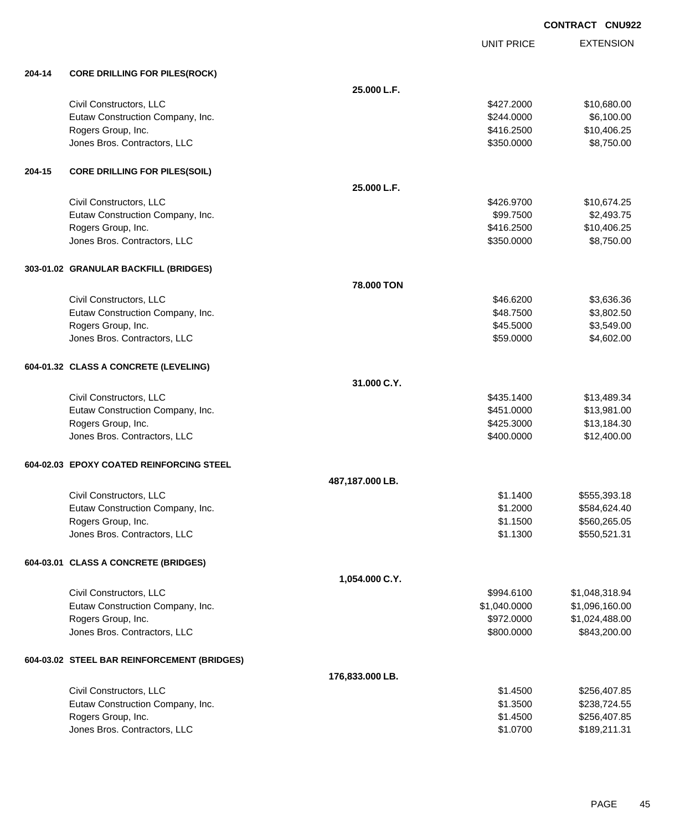|        |                                             |                 | <b>UNIT PRICE</b> | <b>EXTENSION</b> |
|--------|---------------------------------------------|-----------------|-------------------|------------------|
| 204-14 | <b>CORE DRILLING FOR PILES(ROCK)</b>        |                 |                   |                  |
|        |                                             | 25.000 L.F.     |                   |                  |
|        | Civil Constructors, LLC                     |                 | \$427.2000        | \$10,680.00      |
|        | Eutaw Construction Company, Inc.            |                 | \$244.0000        | \$6,100.00       |
|        | Rogers Group, Inc.                          |                 | \$416.2500        | \$10,406.25      |
|        | Jones Bros. Contractors, LLC                |                 | \$350.0000        | \$8,750.00       |
| 204-15 | <b>CORE DRILLING FOR PILES(SOIL)</b>        |                 |                   |                  |
|        |                                             | 25.000 L.F.     |                   |                  |
|        | Civil Constructors, LLC                     |                 | \$426.9700        | \$10,674.25      |
|        | Eutaw Construction Company, Inc.            |                 | \$99.7500         | \$2,493.75       |
|        | Rogers Group, Inc.                          |                 | \$416.2500        | \$10,406.25      |
|        | Jones Bros. Contractors, LLC                |                 | \$350.0000        | \$8,750.00       |
|        | 303-01.02 GRANULAR BACKFILL (BRIDGES)       |                 |                   |                  |
|        |                                             | 78.000 TON      |                   |                  |
|        | Civil Constructors, LLC                     |                 | \$46.6200         | \$3,636.36       |
|        | Eutaw Construction Company, Inc.            |                 | \$48.7500         | \$3,802.50       |
|        | Rogers Group, Inc.                          |                 | \$45.5000         | \$3,549.00       |
|        | Jones Bros. Contractors, LLC                |                 | \$59.0000         | \$4,602.00       |
|        | 604-01.32 CLASS A CONCRETE (LEVELING)       |                 |                   |                  |
|        |                                             | 31.000 C.Y.     |                   |                  |
|        | Civil Constructors, LLC                     |                 | \$435.1400        | \$13,489.34      |
|        | Eutaw Construction Company, Inc.            |                 | \$451.0000        | \$13,981.00      |
|        | Rogers Group, Inc.                          |                 | \$425.3000        | \$13,184.30      |
|        | Jones Bros. Contractors, LLC                |                 | \$400.0000        | \$12,400.00      |
|        | 604-02.03 EPOXY COATED REINFORCING STEEL    |                 |                   |                  |
|        |                                             | 487,187.000 LB. |                   |                  |
|        | Civil Constructors, LLC                     |                 | \$1.1400          | \$555,393.18     |
|        | Eutaw Construction Company, Inc.            |                 | \$1.2000          | \$584,624.40     |
|        | Rogers Group, Inc.                          |                 | \$1.1500          | \$560,265.05     |
|        | Jones Bros. Contractors, LLC                |                 | \$1.1300          | \$550,521.31     |
|        | 604-03.01 CLASS A CONCRETE (BRIDGES)        |                 |                   |                  |
|        |                                             | 1,054.000 C.Y.  |                   |                  |
|        | Civil Constructors, LLC                     |                 | \$994.6100        | \$1,048,318.94   |
|        | Eutaw Construction Company, Inc.            |                 | \$1,040.0000      | \$1,096,160.00   |
|        | Rogers Group, Inc.                          |                 | \$972.0000        | \$1,024,488.00   |
|        | Jones Bros. Contractors, LLC                |                 | \$800.0000        | \$843,200.00     |
|        | 604-03.02 STEEL BAR REINFORCEMENT (BRIDGES) |                 |                   |                  |
|        |                                             | 176,833.000 LB. |                   |                  |
|        | Civil Constructors, LLC                     |                 | \$1.4500          | \$256,407.85     |
|        | Eutaw Construction Company, Inc.            |                 | \$1.3500          | \$238,724.55     |
|        | Rogers Group, Inc.                          |                 | \$1.4500          | \$256,407.85     |
|        | Jones Bros. Contractors, LLC                |                 | \$1.0700          | \$189,211.31     |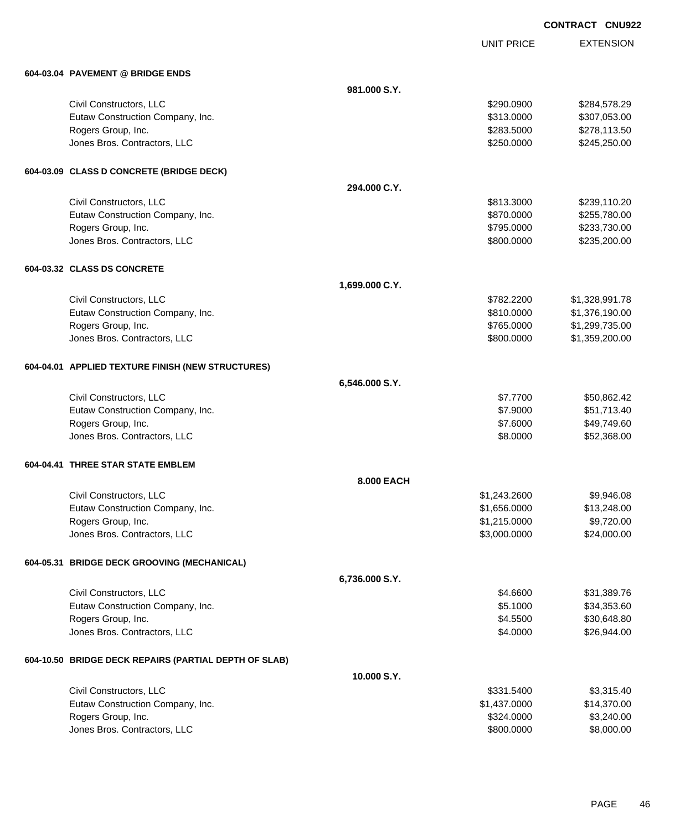UNIT PRICE

| 604-03.04 PAVEMENT @ BRIDGE ENDS                      |                |              |                |  |
|-------------------------------------------------------|----------------|--------------|----------------|--|
|                                                       | 981.000 S.Y.   |              |                |  |
| Civil Constructors, LLC                               |                | \$290.0900   | \$284,578.29   |  |
| Eutaw Construction Company, Inc.                      |                | \$313.0000   | \$307,053.00   |  |
| Rogers Group, Inc.                                    |                | \$283.5000   | \$278,113.50   |  |
| Jones Bros. Contractors, LLC                          |                | \$250.0000   | \$245,250.00   |  |
| 604-03.09 CLASS D CONCRETE (BRIDGE DECK)              |                |              |                |  |
|                                                       | 294.000 C.Y.   |              |                |  |
| Civil Constructors, LLC                               |                | \$813.3000   | \$239,110.20   |  |
| Eutaw Construction Company, Inc.                      |                | \$870.0000   | \$255,780.00   |  |
| Rogers Group, Inc.                                    |                | \$795.0000   | \$233,730.00   |  |
| Jones Bros. Contractors, LLC                          |                | \$800.0000   | \$235,200.00   |  |
| 604-03.32 CLASS DS CONCRETE                           |                |              |                |  |
|                                                       | 1,699.000 C.Y. |              |                |  |
| Civil Constructors, LLC                               |                | \$782,2200   | \$1,328,991.78 |  |
| Eutaw Construction Company, Inc.                      |                | \$810.0000   | \$1,376,190.00 |  |
| Rogers Group, Inc.                                    |                | \$765.0000   | \$1,299,735.00 |  |
| Jones Bros. Contractors, LLC                          |                | \$800.0000   | \$1,359,200.00 |  |
| 604-04.01 APPLIED TEXTURE FINISH (NEW STRUCTURES)     |                |              |                |  |
| 6,546.000 S.Y.                                        |                |              |                |  |
| Civil Constructors, LLC                               |                | \$7.7700     | \$50,862.42    |  |
| Eutaw Construction Company, Inc.                      |                | \$7.9000     | \$51,713.40    |  |
| Rogers Group, Inc.                                    |                | \$7.6000     | \$49,749.60    |  |
| Jones Bros. Contractors, LLC                          |                | \$8.0000     | \$52,368.00    |  |
| 604-04.41 THREE STAR STATE EMBLEM                     |                |              |                |  |
|                                                       | 8.000 EACH     |              |                |  |
| Civil Constructors, LLC                               |                | \$1,243.2600 | \$9,946.08     |  |
| Eutaw Construction Company, Inc.                      |                | \$1,656.0000 | \$13,248.00    |  |
| Rogers Group, Inc.                                    |                | \$1,215.0000 | \$9,720.00     |  |
| Jones Bros. Contractors, LLC                          |                | \$3,000.0000 | \$24,000.00    |  |
| 604-05.31 BRIDGE DECK GROOVING (MECHANICAL)           |                |              |                |  |
|                                                       | 6,736.000 S.Y. |              |                |  |
| Civil Constructors, LLC                               |                | \$4.6600     | \$31,389.76    |  |
| Eutaw Construction Company, Inc.                      |                | \$5.1000     | \$34,353.60    |  |
| Rogers Group, Inc.                                    |                | \$4.5500     | \$30,648.80    |  |
| Jones Bros. Contractors, LLC                          |                | \$4.0000     | \$26,944.00    |  |
| 604-10.50 BRIDGE DECK REPAIRS (PARTIAL DEPTH OF SLAB) |                |              |                |  |
|                                                       | 10.000 S.Y.    |              |                |  |
| Civil Constructors, LLC                               |                | \$331.5400   | \$3,315.40     |  |
| Eutaw Construction Company, Inc.                      |                | \$1,437.0000 | \$14,370.00    |  |
| Rogers Group, Inc.                                    |                | \$324.0000   | \$3,240.00     |  |
| Jones Bros. Contractors, LLC                          |                | \$800.0000   | \$8,000.00     |  |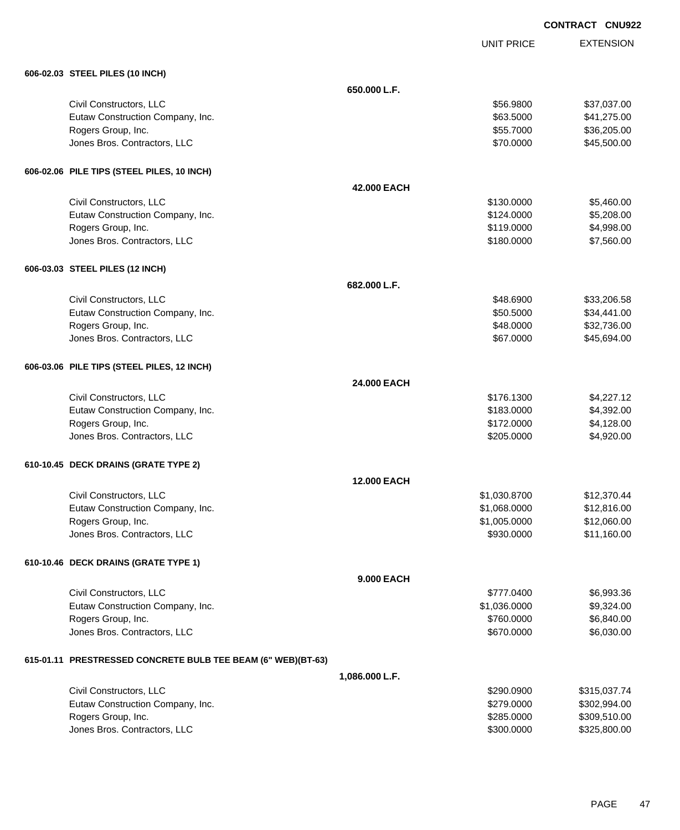| <b>CONTRACT CNU922</b> |  |
|------------------------|--|
|                        |  |

UNIT PRICE EXTENSION

| 606-02.03 STEEL PILES (10 INCH) |  |
|---------------------------------|--|
|---------------------------------|--|

| 606-02.03 STEEL PILES (10 INCH)                              |                    |              |              |
|--------------------------------------------------------------|--------------------|--------------|--------------|
|                                                              | 650.000 L.F.       |              |              |
| Civil Constructors, LLC                                      |                    | \$56.9800    | \$37,037.00  |
| Eutaw Construction Company, Inc.                             |                    | \$63.5000    | \$41,275.00  |
| Rogers Group, Inc.                                           |                    | \$55.7000    | \$36,205.00  |
| Jones Bros. Contractors, LLC                                 |                    | \$70.0000    | \$45,500.00  |
|                                                              |                    |              |              |
| 606-02.06 PILE TIPS (STEEL PILES, 10 INCH)                   |                    |              |              |
|                                                              | 42.000 EACH        |              |              |
| Civil Constructors, LLC                                      |                    | \$130.0000   | \$5,460.00   |
| Eutaw Construction Company, Inc.                             |                    | \$124.0000   | \$5,208.00   |
| Rogers Group, Inc.                                           |                    | \$119.0000   | \$4,998.00   |
| Jones Bros. Contractors, LLC                                 |                    | \$180.0000   | \$7,560.00   |
| 606-03.03 STEEL PILES (12 INCH)                              |                    |              |              |
|                                                              | 682.000 L.F.       |              |              |
| Civil Constructors, LLC                                      |                    | \$48.6900    | \$33,206.58  |
| Eutaw Construction Company, Inc.                             |                    | \$50.5000    | \$34,441.00  |
| Rogers Group, Inc.                                           |                    | \$48.0000    | \$32,736.00  |
| Jones Bros. Contractors, LLC                                 |                    | \$67.0000    | \$45,694.00  |
|                                                              |                    |              |              |
| 606-03.06 PILE TIPS (STEEL PILES, 12 INCH)                   |                    |              |              |
|                                                              | 24,000 EACH        |              |              |
| Civil Constructors, LLC                                      |                    | \$176.1300   | \$4,227.12   |
| Eutaw Construction Company, Inc.                             |                    | \$183.0000   | \$4,392.00   |
| Rogers Group, Inc.                                           |                    | \$172.0000   | \$4,128.00   |
| Jones Bros. Contractors, LLC                                 |                    | \$205.0000   | \$4,920.00   |
| 610-10.45 DECK DRAINS (GRATE TYPE 2)                         |                    |              |              |
|                                                              | <b>12.000 EACH</b> |              |              |
| Civil Constructors, LLC                                      |                    | \$1,030.8700 | \$12,370.44  |
| Eutaw Construction Company, Inc.                             |                    | \$1,068.0000 | \$12,816.00  |
| Rogers Group, Inc.                                           |                    | \$1,005.0000 | \$12,060.00  |
| Jones Bros. Contractors, LLC                                 |                    | \$930.0000   | \$11,160.00  |
| 610-10.46 DECK DRAINS (GRATE TYPE 1)                         |                    |              |              |
|                                                              | <b>9.000 EACH</b>  |              |              |
| Civil Constructors, LLC                                      |                    | \$777.0400   | \$6,993.36   |
| Eutaw Construction Company, Inc.                             |                    | \$1,036.0000 | \$9,324.00   |
| Rogers Group, Inc.                                           |                    | \$760.0000   | \$6,840.00   |
| Jones Bros. Contractors, LLC                                 |                    | \$670.0000   | \$6,030.00   |
| 615-01.11 PRESTRESSED CONCRETE BULB TEE BEAM (6" WEB)(BT-63) |                    |              |              |
|                                                              | 1,086.000 L.F.     |              |              |
| Civil Constructors, LLC                                      |                    | \$290.0900   | \$315,037.74 |
| Eutaw Construction Company, Inc.                             |                    | \$279.0000   | \$302,994.00 |
| Rogers Group, Inc.                                           |                    | \$285.0000   | \$309,510.00 |
| Jones Bros. Contractors, LLC                                 |                    | \$300.0000   | \$325,800.00 |
|                                                              |                    |              |              |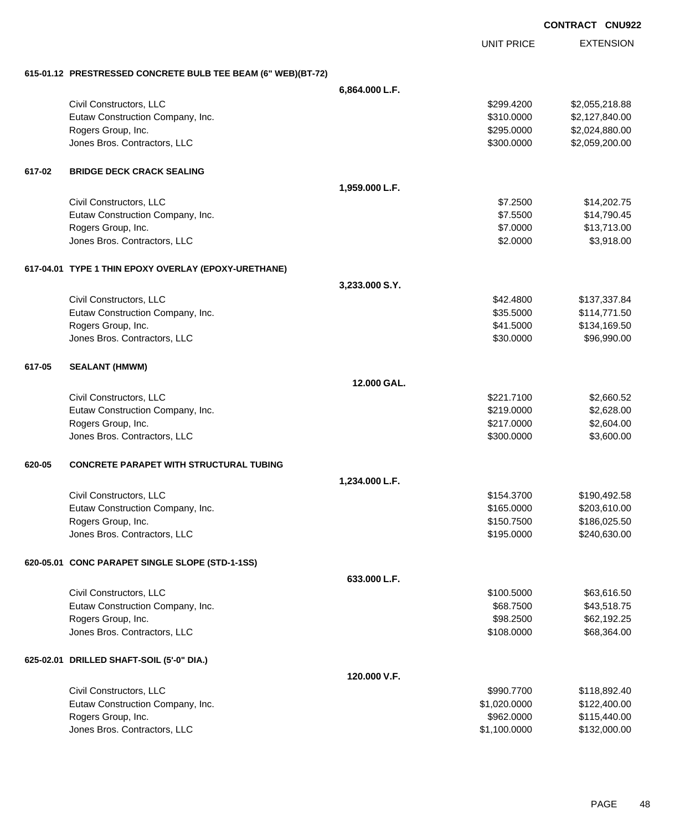UNIT PRICE EXTENSION

**615-01.12 PRESTRESSED CONCRETE BULB TEE BEAM (6" WEB)(BT-72)**

|        | VERTIC TRESHALSSED CONCRETE DOED TEE DEAM (V WED/(DT-12) |                |              |                |
|--------|----------------------------------------------------------|----------------|--------------|----------------|
|        |                                                          | 6,864.000 L.F. |              |                |
|        | Civil Constructors, LLC                                  |                | \$299.4200   | \$2,055,218.88 |
|        | Eutaw Construction Company, Inc.                         |                | \$310.0000   | \$2,127,840.00 |
|        | Rogers Group, Inc.                                       |                | \$295.0000   | \$2,024,880.00 |
|        | Jones Bros. Contractors, LLC                             |                | \$300.0000   | \$2,059,200.00 |
| 617-02 | <b>BRIDGE DECK CRACK SEALING</b>                         |                |              |                |
|        |                                                          | 1,959.000 L.F. |              |                |
|        | Civil Constructors, LLC                                  |                | \$7.2500     | \$14,202.75    |
|        | Eutaw Construction Company, Inc.                         |                | \$7.5500     | \$14,790.45    |
|        | Rogers Group, Inc.                                       |                | \$7.0000     | \$13,713.00    |
|        | Jones Bros. Contractors, LLC                             |                | \$2.0000     | \$3,918.00     |
|        | 617-04.01 TYPE 1 THIN EPOXY OVERLAY (EPOXY-URETHANE)     |                |              |                |
|        |                                                          | 3,233.000 S.Y. |              |                |
|        | Civil Constructors, LLC                                  |                | \$42.4800    | \$137,337.84   |
|        | Eutaw Construction Company, Inc.                         |                | \$35.5000    | \$114,771.50   |
|        | Rogers Group, Inc.                                       |                | \$41.5000    | \$134,169.50   |
|        | Jones Bros. Contractors, LLC                             |                | \$30.0000    | \$96,990.00    |
| 617-05 | <b>SEALANT (HMWM)</b>                                    |                |              |                |
|        |                                                          | 12.000 GAL.    |              |                |
|        | Civil Constructors, LLC                                  |                | \$221.7100   | \$2,660.52     |
|        | Eutaw Construction Company, Inc.                         |                | \$219.0000   | \$2,628.00     |
|        | Rogers Group, Inc.                                       |                | \$217.0000   | \$2,604.00     |
|        | Jones Bros. Contractors, LLC                             |                | \$300.0000   | \$3,600.00     |
| 620-05 | <b>CONCRETE PARAPET WITH STRUCTURAL TUBING</b>           |                |              |                |
|        |                                                          | 1,234.000 L.F. |              |                |
|        | Civil Constructors, LLC                                  |                | \$154.3700   | \$190,492.58   |
|        | Eutaw Construction Company, Inc.                         |                | \$165.0000   | \$203,610.00   |
|        | Rogers Group, Inc.                                       |                | \$150.7500   | \$186,025.50   |
|        | Jones Bros. Contractors, LLC                             |                | \$195.0000   | \$240,630.00   |
|        | 620-05.01 CONC PARAPET SINGLE SLOPE (STD-1-1SS)          |                |              |                |
|        |                                                          | 633.000 L.F.   |              |                |
|        | Civil Constructors, LLC                                  |                | \$100.5000   | \$63,616.50    |
|        | Eutaw Construction Company, Inc.                         |                | \$68.7500    | \$43,518.75    |
|        | Rogers Group, Inc.                                       |                | \$98.2500    | \$62,192.25    |
|        | Jones Bros. Contractors, LLC                             |                | \$108.0000   | \$68,364.00    |
|        | 625-02.01 DRILLED SHAFT-SOIL (5'-0" DIA.)                |                |              |                |
|        |                                                          | 120.000 V.F.   |              |                |
|        | Civil Constructors, LLC                                  |                | \$990.7700   | \$118,892.40   |
|        | Eutaw Construction Company, Inc.                         |                | \$1,020.0000 | \$122,400.00   |
|        | Rogers Group, Inc.                                       |                | \$962.0000   | \$115,440.00   |
|        | Jones Bros. Contractors, LLC                             |                | \$1,100.0000 | \$132,000.00   |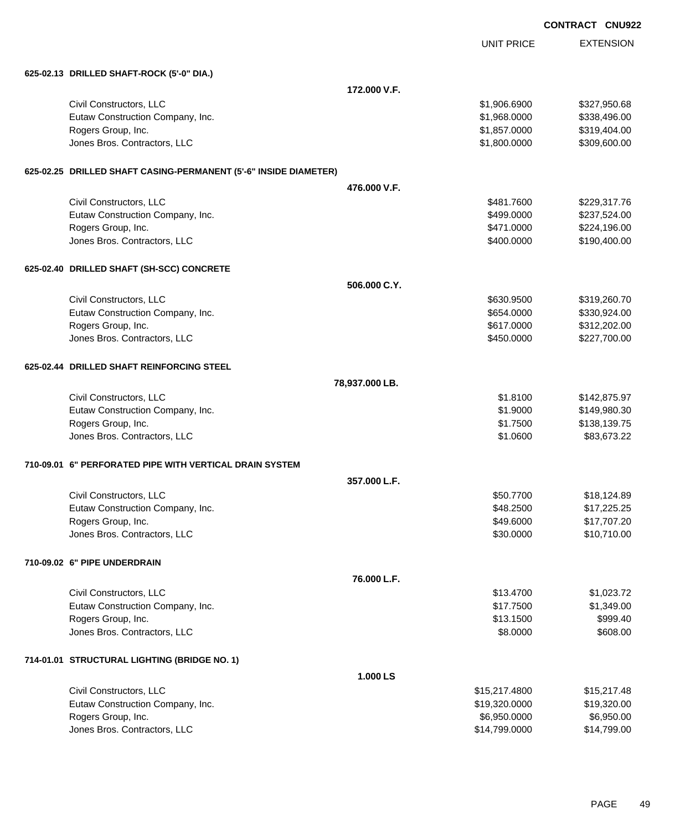|                                                                  |                |                   | <b>CONTRACT CNU922</b> |
|------------------------------------------------------------------|----------------|-------------------|------------------------|
|                                                                  |                | <b>UNIT PRICE</b> | <b>EXTENSION</b>       |
| 625-02.13 DRILLED SHAFT-ROCK (5'-0" DIA.)                        |                |                   |                        |
|                                                                  | 172,000 V.F.   |                   |                        |
| Civil Constructors, LLC                                          |                | \$1,906.6900      | \$327,950.68           |
| Eutaw Construction Company, Inc.                                 |                | \$1,968.0000      | \$338,496.00           |
| Rogers Group, Inc.                                               |                | \$1,857.0000      | \$319,404.00           |
| Jones Bros. Contractors, LLC                                     |                | \$1,800.0000      | \$309,600.00           |
| 625-02.25 DRILLED SHAFT CASING-PERMANENT (5'-6" INSIDE DIAMETER) |                |                   |                        |
|                                                                  | 476,000 V.F.   |                   |                        |
| Civil Constructors, LLC                                          |                | \$481.7600        | \$229,317.76           |
| Eutaw Construction Company, Inc.                                 |                | \$499.0000        | \$237,524.00           |
| Rogers Group, Inc.                                               |                | \$471.0000        | \$224,196.00           |
| Jones Bros. Contractors, LLC                                     |                | \$400.0000        | \$190,400.00           |
| 625-02.40 DRILLED SHAFT (SH-SCC) CONCRETE                        |                |                   |                        |
|                                                                  | 506,000 C.Y.   |                   |                        |
| Civil Constructors, LLC                                          |                | \$630.9500        | \$319,260.70           |
| Eutaw Construction Company, Inc.                                 |                | \$654.0000        | \$330,924.00           |
| Rogers Group, Inc.                                               |                | \$617.0000        | \$312,202.00           |
| Jones Bros. Contractors, LLC                                     |                | \$450.0000        | \$227,700.00           |
| 625-02.44 DRILLED SHAFT REINFORCING STEEL                        |                |                   |                        |
|                                                                  | 78,937.000 LB. |                   |                        |
| Civil Constructors, LLC                                          |                | \$1.8100          | \$142,875.97           |
| Eutaw Construction Company, Inc.                                 |                | \$1.9000          | \$149,980.30           |
| Rogers Group, Inc.                                               |                | \$1.7500          | \$138,139.75           |
| Jones Bros. Contractors, LLC                                     |                | \$1.0600          | \$83,673.22            |
| 710-09.01 6" PERFORATED PIPE WITH VERTICAL DRAIN SYSTEM          |                |                   |                        |
|                                                                  | 357,000 L.F.   |                   |                        |
| Civil Constructors, LLC                                          |                | \$50.7700         | \$18,124.89            |
| Eutaw Construction Company, Inc.                                 |                | \$48.2500         | \$17,225.25            |
| Rogers Group, Inc.                                               |                | \$49.6000         | \$17,707.20            |
| Jones Bros. Contractors, LLC                                     |                | \$30.0000         | \$10,710.00            |
| 710-09.02 6" PIPE UNDERDRAIN                                     |                |                   |                        |
|                                                                  | 76.000 L.F.    |                   |                        |
| Civil Constructors, LLC                                          |                | \$13.4700         | \$1,023.72             |
| Eutaw Construction Company, Inc.                                 |                | \$17.7500         | \$1,349.00             |
| Rogers Group, Inc.                                               |                | \$13.1500         | \$999.40               |
| Jones Bros. Contractors, LLC                                     |                | \$8.0000          | \$608.00               |
| 714-01.01 STRUCTURAL LIGHTING (BRIDGE NO. 1)                     |                |                   |                        |
|                                                                  | 1.000 LS       |                   |                        |
| Civil Constructors, LLC                                          |                | \$15,217.4800     | \$15,217.48            |
| Eutaw Construction Company, Inc.                                 |                | \$19,320.0000     | \$19,320.00            |
| Rogers Group, Inc.                                               |                | \$6,950.0000      | \$6,950.00             |
| Jones Bros. Contractors, LLC                                     |                | \$14,799.0000     | \$14,799.00            |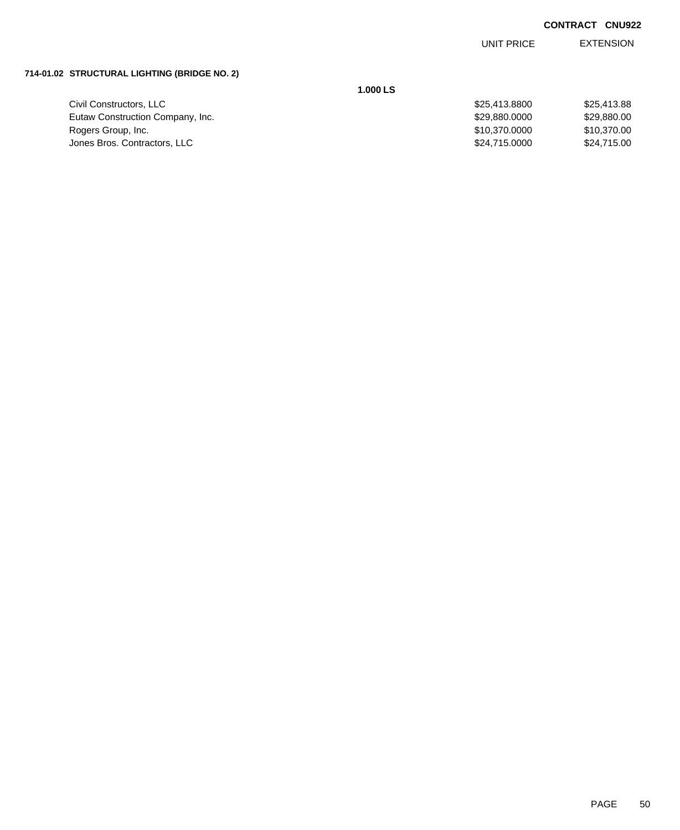EXTENSION UNIT PRICE

# **714-01.02 STRUCTURAL LIGHTING (BRIDGE NO. 2)**

Civil Constructors, LLC Eutaw Construction Company, Inc. Rogers Group, Inc. Jones Bros. Contractors, LLC

**1.000 LS**

| \$25,413.8800 | \$25,413.88 |
|---------------|-------------|
| \$29,880,0000 | \$29,880,00 |
| \$10,370.0000 | \$10,370,00 |
| \$24,715.0000 | \$24.715.00 |
|               |             |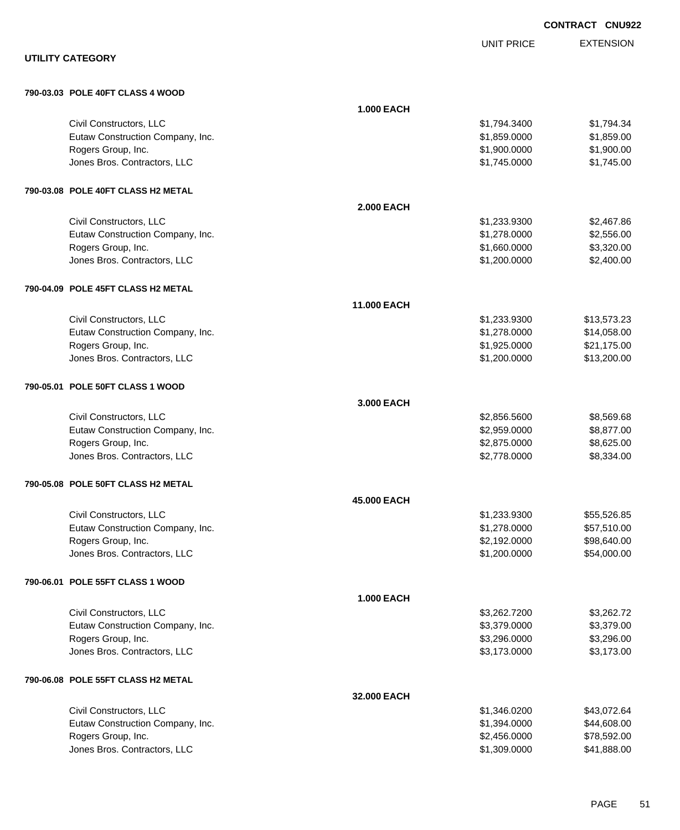|                                                        |                    |                              | <b>CONTRACT CNU922</b>     |
|--------------------------------------------------------|--------------------|------------------------------|----------------------------|
|                                                        |                    | <b>UNIT PRICE</b>            | <b>EXTENSION</b>           |
| <b>UTILITY CATEGORY</b>                                |                    |                              |                            |
| 790-03.03 POLE 40FT CLASS 4 WOOD                       |                    |                              |                            |
|                                                        | <b>1.000 EACH</b>  |                              |                            |
| Civil Constructors, LLC                                |                    | \$1,794.3400                 | \$1,794.34                 |
| Eutaw Construction Company, Inc.                       |                    | \$1,859.0000                 | \$1,859.00                 |
| Rogers Group, Inc.<br>Jones Bros. Contractors, LLC     |                    | \$1,900.0000<br>\$1,745.0000 | \$1,900.00<br>\$1,745.00   |
|                                                        |                    |                              |                            |
| 790-03.08 POLE 40FT CLASS H2 METAL                     |                    |                              |                            |
|                                                        | <b>2.000 EACH</b>  |                              |                            |
| Civil Constructors, LLC                                |                    | \$1,233.9300                 | \$2,467.86                 |
| Eutaw Construction Company, Inc.<br>Rogers Group, Inc. |                    | \$1,278.0000<br>\$1,660.0000 | \$2,556.00<br>\$3,320.00   |
| Jones Bros. Contractors, LLC                           |                    | \$1,200.0000                 | \$2,400.00                 |
|                                                        |                    |                              |                            |
| 790-04.09 POLE 45FT CLASS H2 METAL                     |                    |                              |                            |
|                                                        | <b>11,000 EACH</b> |                              |                            |
| Civil Constructors, LLC                                |                    | \$1,233.9300                 | \$13,573.23                |
| Eutaw Construction Company, Inc.<br>Rogers Group, Inc. |                    | \$1,278.0000                 | \$14,058.00<br>\$21,175.00 |
| Jones Bros. Contractors, LLC                           |                    | \$1,925.0000<br>\$1,200.0000 | \$13,200.00                |
|                                                        |                    |                              |                            |
| 790-05.01 POLE 50FT CLASS 1 WOOD                       |                    |                              |                            |
|                                                        | 3,000 EACH         |                              |                            |
| Civil Constructors, LLC                                |                    | \$2,856.5600                 | \$8,569.68                 |
| Eutaw Construction Company, Inc.                       |                    | \$2,959.0000                 | \$8,877.00                 |
| Rogers Group, Inc.<br>Jones Bros. Contractors, LLC     |                    | \$2,875.0000<br>\$2,778.0000 | \$8,625.00<br>\$8,334.00   |
|                                                        |                    |                              |                            |
| 790-05.08 POLE 50FT CLASS H2 METAL                     |                    |                              |                            |
|                                                        | 45.000 EACH        |                              |                            |
| Civil Constructors, LLC                                |                    | \$1,233.9300                 | \$55,526.85                |
| Eutaw Construction Company, Inc.                       |                    | \$1,278.0000                 | \$57,510.00                |
| Rogers Group, Inc.<br>Jones Bros. Contractors, LLC     |                    | \$2,192.0000<br>\$1,200.0000 | \$98,640.00<br>\$54,000.00 |
|                                                        |                    |                              |                            |
| 790-06.01 POLE 55FT CLASS 1 WOOD                       |                    |                              |                            |
|                                                        | <b>1.000 EACH</b>  |                              |                            |
| Civil Constructors, LLC                                |                    | \$3,262.7200                 | \$3,262.72                 |
| Eutaw Construction Company, Inc.                       |                    | \$3,379.0000                 | \$3,379.00                 |
| Rogers Group, Inc.<br>Jones Bros. Contractors, LLC     |                    | \$3,296.0000<br>\$3,173.0000 | \$3,296.00<br>\$3,173.00   |
|                                                        |                    |                              |                            |
| 790-06.08 POLE 55FT CLASS H2 METAL                     |                    |                              |                            |
|                                                        | 32,000 EACH        |                              |                            |
| Civil Constructors, LLC                                |                    | \$1,346.0200                 | \$43,072.64                |
| Eutaw Construction Company, Inc.<br>Rogers Group, Inc. |                    | \$1,394.0000<br>\$2,456.0000 | \$44,608.00                |
| Jones Bros. Contractors, LLC                           |                    | \$1,309.0000                 | \$78,592.00<br>\$41,888.00 |
|                                                        |                    |                              |                            |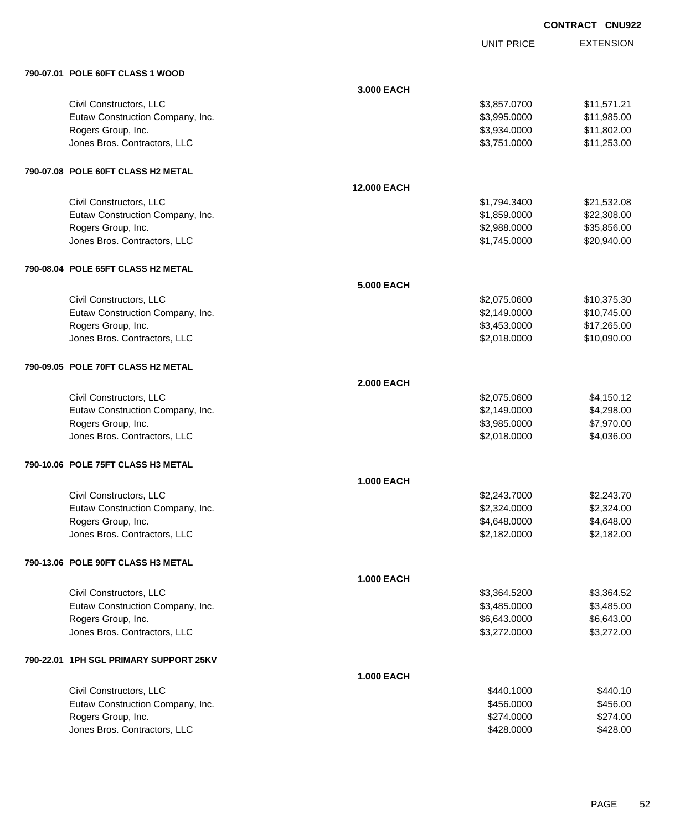| <b>CONTRACT CNU922</b> |  |
|------------------------|--|
|                        |  |

UNIT PRICE

| 790-07.01 POLE 60FT CLASS 1 WOOD       |                    |              |             |
|----------------------------------------|--------------------|--------------|-------------|
|                                        | 3.000 EACH         |              |             |
| Civil Constructors, LLC                |                    | \$3,857.0700 | \$11,571.21 |
| Eutaw Construction Company, Inc.       |                    | \$3,995.0000 | \$11,985.00 |
| Rogers Group, Inc.                     |                    | \$3,934.0000 | \$11,802.00 |
| Jones Bros. Contractors, LLC           |                    | \$3,751.0000 | \$11,253.00 |
| 790-07.08   POLE 60FT CLASS H2 METAL   |                    |              |             |
|                                        | <b>12.000 EACH</b> |              |             |
| Civil Constructors, LLC                |                    | \$1,794.3400 | \$21,532.08 |
| Eutaw Construction Company, Inc.       |                    | \$1,859.0000 | \$22,308.00 |
| Rogers Group, Inc.                     |                    | \$2,988.0000 | \$35,856.00 |
| Jones Bros. Contractors, LLC           |                    | \$1,745.0000 | \$20,940.00 |
| 790-08.04 POLE 65FT CLASS H2 METAL     |                    |              |             |
|                                        | <b>5.000 EACH</b>  |              |             |
| Civil Constructors, LLC                |                    | \$2,075.0600 | \$10,375.30 |
| Eutaw Construction Company, Inc.       |                    | \$2,149.0000 | \$10,745.00 |
| Rogers Group, Inc.                     |                    | \$3,453.0000 | \$17,265.00 |
| Jones Bros. Contractors, LLC           |                    | \$2,018.0000 | \$10,090.00 |
| 790-09.05 POLE 70FT CLASS H2 METAL     |                    |              |             |
|                                        | <b>2.000 EACH</b>  |              |             |
| Civil Constructors, LLC                |                    | \$2,075.0600 | \$4,150.12  |
| Eutaw Construction Company, Inc.       |                    | \$2,149.0000 | \$4,298.00  |
| Rogers Group, Inc.                     |                    | \$3,985.0000 | \$7,970.00  |
| Jones Bros. Contractors, LLC           |                    | \$2,018.0000 | \$4,036.00  |
| 790-10.06 POLE 75FT CLASS H3 METAL     |                    |              |             |
|                                        | <b>1.000 EACH</b>  |              |             |
| Civil Constructors, LLC                |                    | \$2,243.7000 | \$2,243.70  |
| Eutaw Construction Company, Inc.       |                    | \$2,324.0000 | \$2,324.00  |
| Rogers Group, Inc.                     |                    | \$4,648.0000 | \$4,648.00  |
| Jones Bros. Contractors, LLC           |                    | \$2,182.0000 | \$2,182.00  |
| 790-13.06 POLE 90FT CLASS H3 METAL     |                    |              |             |
|                                        | <b>1.000 EACH</b>  |              |             |
| Civil Constructors, LLC                |                    | \$3,364.5200 | \$3,364.52  |
| Eutaw Construction Company, Inc.       |                    | \$3,485.0000 | \$3,485.00  |
| Rogers Group, Inc.                     |                    | \$6,643.0000 | \$6,643.00  |
| Jones Bros. Contractors, LLC           |                    | \$3,272.0000 | \$3,272.00  |
| 790-22.01 1PH SGL PRIMARY SUPPORT 25KV |                    |              |             |
|                                        | <b>1.000 EACH</b>  |              |             |
| Civil Constructors, LLC                |                    | \$440.1000   | \$440.10    |
| Eutaw Construction Company, Inc.       |                    | \$456.0000   | \$456.00    |
| Rogers Group, Inc.                     |                    | \$274.0000   | \$274.00    |
| Jones Bros. Contractors, LLC           |                    | \$428.0000   | \$428.00    |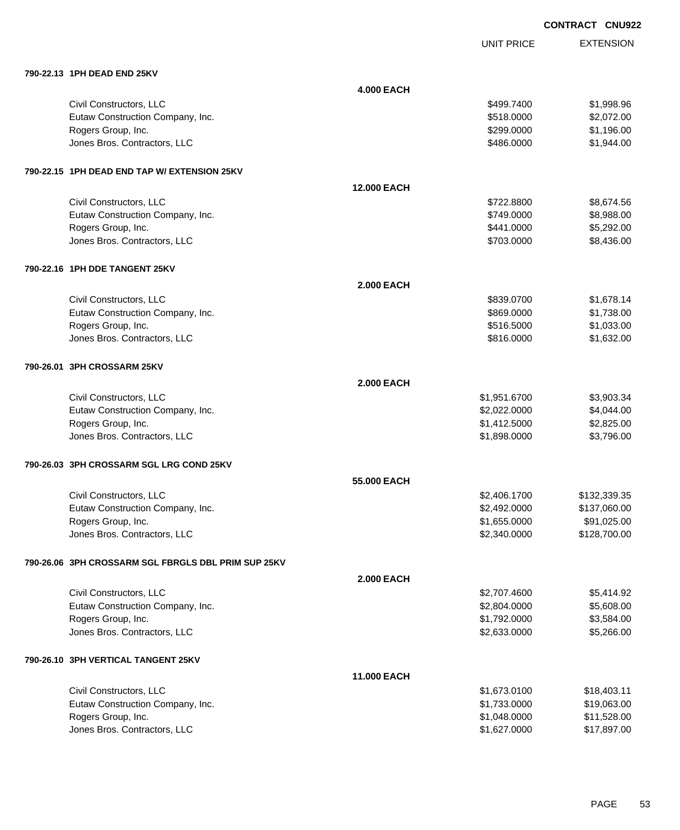UNIT PRICE

EXTENSION

|                                              | <b>4.000 EACH</b>  |              |            |
|----------------------------------------------|--------------------|--------------|------------|
| Civil Constructors, LLC                      |                    | \$499,7400   | \$1,998.96 |
| Eutaw Construction Company, Inc.             |                    | \$518,0000   | \$2,072.00 |
| Rogers Group, Inc.                           |                    | \$299.0000   | \$1,196.00 |
| Jones Bros. Contractors, LLC                 |                    | \$486,0000   | \$1,944.00 |
| 790-22.15 1PH DEAD END TAP W/ EXTENSION 25KV |                    |              |            |
|                                              | <b>12,000 EACH</b> |              |            |
| Civil Constructors, LLC                      |                    | \$722,8800   | \$8,674.56 |
| Eutaw Construction Company, Inc.             |                    | \$749,0000   | \$8,988.00 |
| Rogers Group, Inc.                           |                    | \$441.0000   | \$5,292.00 |
| Jones Bros. Contractors, LLC                 |                    | \$703.0000   | \$8,436.00 |
| 790-22.16 1PH DDE TANGENT 25KV               |                    |              |            |
|                                              | <b>2.000 EACH</b>  |              |            |
| Civil Constructors, LLC                      |                    | \$839.0700   | \$1,678.14 |
| Eutaw Construction Company, Inc.             |                    | \$869.0000   | \$1,738.00 |
| Rogers Group, Inc.                           |                    | \$516.5000   | \$1,033.00 |
| Jones Bros. Contractors, LLC                 |                    | \$816.0000   | \$1,632.00 |
| 790-26.01 3PH CROSSARM 25KV                  |                    |              |            |
|                                              | <b>2.000 EACH</b>  |              |            |
| Civil Constructors, LLC                      |                    | \$1,951.6700 | \$3,903.34 |
| Eutaw Construction Company, Inc.             |                    | \$2,022.0000 | \$4,044.00 |
| Rogers Group, Inc.                           |                    | \$1,412.5000 | \$2,825.00 |
| Jones Bros. Contractors, LLC                 |                    | \$1,898.0000 | \$3,796.00 |
|                                              |                    |              |            |

## **790-26.03 3PH CROSSARM SGL LRG COND 25KV**

**790-22.13 1PH DEAD END 25KV**

|                                  | 55.000 EACH  |              |
|----------------------------------|--------------|--------------|
| Civil Constructors, LLC          | \$2,406.1700 | \$132,339.35 |
| Eutaw Construction Company, Inc. | \$2,492,0000 | \$137,060.00 |
| Rogers Group, Inc.               | \$1,655.0000 | \$91,025.00  |
| Jones Bros. Contractors, LLC     | \$2,340,0000 | \$128,700.00 |

#### **790-26.06 3PH CROSSARM SGL FBRGLS DBL PRIM SUP 25KV**

|                                     | <b>2.000 EACH</b>  |              |            |
|-------------------------------------|--------------------|--------------|------------|
| Civil Constructors, LLC             |                    | \$2,707.4600 | \$5.414.92 |
| Eutaw Construction Company, Inc.    |                    | \$2,804.0000 | \$5,608.00 |
| Rogers Group, Inc.                  |                    | \$1,792.0000 | \$3,584.00 |
| Jones Bros. Contractors, LLC        |                    | \$2,633.0000 | \$5,266.00 |
| 790-26.10 SPH VERTICAL TANGENT 25KV |                    |              |            |
|                                     | <b>11.000 EACH</b> |              |            |

| Civil Constructors, LLC          | \$1.673.0100 | \$18,403.11 |
|----------------------------------|--------------|-------------|
| Eutaw Construction Company, Inc. | \$1.733.0000 | \$19,063,00 |
| Rogers Group, Inc.               | \$1.048.0000 | \$11.528.00 |
| Jones Bros. Contractors, LLC     | \$1.627.0000 | \$17,897,00 |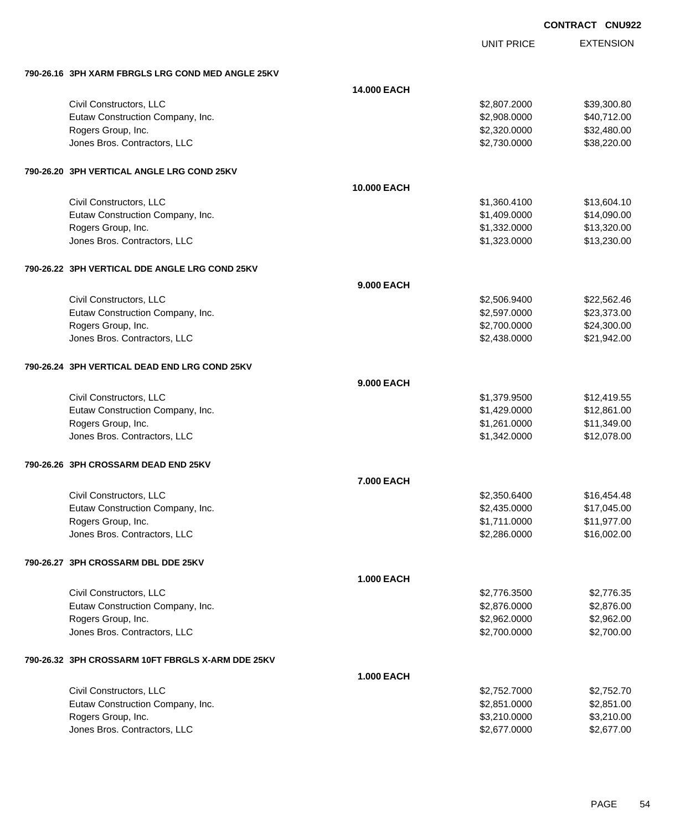|                                                    |                    |                   | <b>CONTRACT CNU922</b> |
|----------------------------------------------------|--------------------|-------------------|------------------------|
|                                                    |                    | <b>UNIT PRICE</b> | <b>EXTENSION</b>       |
| 790-26.16  3PH XARM FBRGLS LRG COND MED ANGLE 25KV |                    |                   |                        |
|                                                    | <b>14.000 EACH</b> |                   |                        |
| Civil Constructors, LLC                            |                    | \$2,807.2000      | \$39,300.80            |
| Eutaw Construction Company, Inc.                   |                    | \$2,908.0000      | \$40,712.00            |
| Rogers Group, Inc.                                 |                    | \$2,320.0000      | \$32,480.00            |
| Jones Bros. Contractors, LLC                       |                    | \$2,730.0000      | \$38,220.00            |
| 790-26.20 3PH VERTICAL ANGLE LRG COND 25KV         |                    |                   |                        |
|                                                    | <b>10.000 EACH</b> |                   |                        |
| Civil Constructors, LLC                            |                    | \$1,360.4100      | \$13,604.10            |
| Eutaw Construction Company, Inc.                   |                    | \$1,409.0000      | \$14,090.00            |
| Rogers Group, Inc.                                 |                    | \$1,332.0000      | \$13,320.00            |
| Jones Bros. Contractors, LLC                       |                    | \$1,323.0000      | \$13,230.00            |
| 790-26.22 3PH VERTICAL DDE ANGLE LRG COND 25KV     |                    |                   |                        |
|                                                    | <b>9.000 EACH</b>  |                   |                        |
| Civil Constructors, LLC                            |                    | \$2,506.9400      | \$22,562.46            |
| Eutaw Construction Company, Inc.                   |                    | \$2,597.0000      | \$23,373.00            |
| Rogers Group, Inc.                                 |                    | \$2,700.0000      | \$24,300.00            |
| Jones Bros. Contractors, LLC                       |                    | \$2,438.0000      | \$21,942.00            |
| 790-26.24   3PH VERTICAL DEAD END LRG COND 25KV    |                    |                   |                        |
|                                                    | <b>9.000 EACH</b>  |                   |                        |
| Civil Constructors, LLC                            |                    | \$1,379.9500      | \$12,419.55            |
| Eutaw Construction Company, Inc.                   |                    | \$1,429.0000      | \$12,861.00            |
| Rogers Group, Inc.                                 |                    | \$1,261.0000      | \$11,349.00            |
| Jones Bros. Contractors, LLC                       |                    | \$1,342.0000      | \$12,078.00            |
| 790-26.26   3PH CROSSARM DEAD END 25KV             |                    |                   |                        |
|                                                    | <b>7.000 EACH</b>  |                   |                        |
| Civil Constructors, LLC                            |                    | \$2,350.6400      | \$16,454.48            |
| Eutaw Construction Company, Inc.                   |                    | \$2,435.0000      | \$17,045.00            |
| Rogers Group, Inc.                                 |                    | \$1,711.0000      | \$11,977.00            |
| Jones Bros. Contractors, LLC                       |                    | \$2,286.0000      | \$16,002.00            |
| 790-26.27 3PH CROSSARM DBL DDE 25KV                |                    |                   |                        |
|                                                    | <b>1.000 EACH</b>  |                   |                        |
| Civil Constructors, LLC                            |                    | \$2,776.3500      | \$2,776.35             |
| Eutaw Construction Company, Inc.                   |                    | \$2,876.0000      | \$2,876.00             |
| Rogers Group, Inc.                                 |                    | \$2,962.0000      | \$2,962.00             |
| Jones Bros. Contractors, LLC                       |                    | \$2,700.0000      | \$2,700.00             |
| 790-26.32 3PH CROSSARM 10FT FBRGLS X-ARM DDE 25KV  |                    |                   |                        |
|                                                    | <b>1.000 EACH</b>  |                   |                        |
| Civil Constructors, LLC                            |                    | \$2,752.7000      | \$2,752.70             |
| Eutaw Construction Company, Inc.                   |                    | \$2,851.0000      | \$2,851.00             |
| Rogers Group, Inc.                                 |                    | \$3,210.0000      | \$3,210.00             |
| Jones Bros. Contractors, LLC                       |                    | \$2,677.0000      | \$2,677.00             |

PAGE 54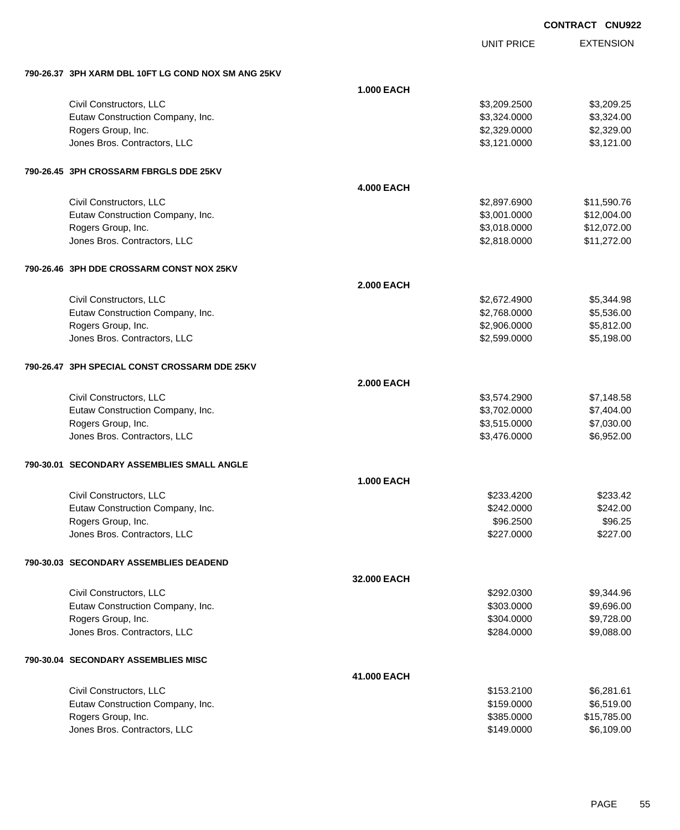|                                                       |                   |                   | <b>CONTRACT CNU922</b> |
|-------------------------------------------------------|-------------------|-------------------|------------------------|
|                                                       |                   | <b>UNIT PRICE</b> | <b>EXTENSION</b>       |
| 790-26.37   3PH XARM DBL 10FT LG COND NOX SM ANG 25KV |                   |                   |                        |
|                                                       | <b>1.000 EACH</b> |                   |                        |
| Civil Constructors, LLC                               |                   | \$3,209.2500      | \$3,209.25             |
| Eutaw Construction Company, Inc.                      |                   | \$3,324.0000      | \$3,324.00             |
| Rogers Group, Inc.                                    |                   | \$2,329.0000      | \$2,329.00             |
| Jones Bros. Contractors, LLC                          |                   | \$3,121.0000      | \$3,121.00             |
| 790-26.45 3PH CROSSARM FBRGLS DDE 25KV                |                   |                   |                        |
|                                                       | <b>4.000 EACH</b> |                   |                        |
| Civil Constructors, LLC                               |                   | \$2,897.6900      | \$11,590.76            |
| Eutaw Construction Company, Inc.                      |                   | \$3,001.0000      | \$12,004.00            |
| Rogers Group, Inc.                                    |                   | \$3,018.0000      | \$12,072.00            |
| Jones Bros. Contractors, LLC                          |                   | \$2,818.0000      | \$11,272.00            |
| 790-26.46 3PH DDE CROSSARM CONST NOX 25KV             |                   |                   |                        |
|                                                       | <b>2.000 EACH</b> |                   |                        |
| Civil Constructors, LLC                               |                   | \$2,672.4900      | \$5,344.98             |
| Eutaw Construction Company, Inc.                      |                   | \$2,768.0000      | \$5,536.00             |
| Rogers Group, Inc.                                    |                   | \$2,906.0000      | \$5,812.00             |
| Jones Bros. Contractors, LLC                          |                   | \$2,599.0000      | \$5,198.00             |
| 790-26.47 3PH SPECIAL CONST CROSSARM DDE 25KV         |                   |                   |                        |
|                                                       | <b>2.000 EACH</b> |                   |                        |
| Civil Constructors, LLC                               |                   | \$3,574.2900      | \$7,148.58             |
| Eutaw Construction Company, Inc.                      |                   | \$3,702.0000      | \$7,404.00             |
| Rogers Group, Inc.                                    |                   | \$3,515.0000      | \$7,030.00             |
| Jones Bros. Contractors, LLC                          |                   | \$3,476.0000      | \$6,952.00             |
| 790-30.01   SECONDARY ASSEMBLIES SMALL ANGLE          |                   |                   |                        |
|                                                       | <b>1.000 EACH</b> |                   |                        |
| Civil Constructors, LLC                               |                   | \$233.4200        | \$233.42               |
| Eutaw Construction Company, Inc.                      |                   | \$242.0000        | \$242.00               |
| Rogers Group, Inc.                                    |                   | \$96.2500         | \$96.25                |
| Jones Bros. Contractors, LLC                          |                   | \$227.0000        | \$227.00               |
| 790-30.03   SECONDARY ASSEMBLIES DEADEND              |                   |                   |                        |
|                                                       | 32.000 EACH       |                   |                        |
| Civil Constructors, LLC                               |                   | \$292.0300        | \$9,344.96             |
| Eutaw Construction Company, Inc.                      |                   | \$303.0000        | \$9,696.00             |
| Rogers Group, Inc.                                    |                   | \$304.0000        | \$9,728.00             |
| Jones Bros. Contractors, LLC                          |                   | \$284.0000        | \$9,088.00             |
| 790-30.04 SECONDARY ASSEMBLIES MISC                   |                   |                   |                        |
|                                                       | 41.000 EACH       |                   |                        |
| Civil Constructors, LLC                               |                   | \$153.2100        | \$6,281.61             |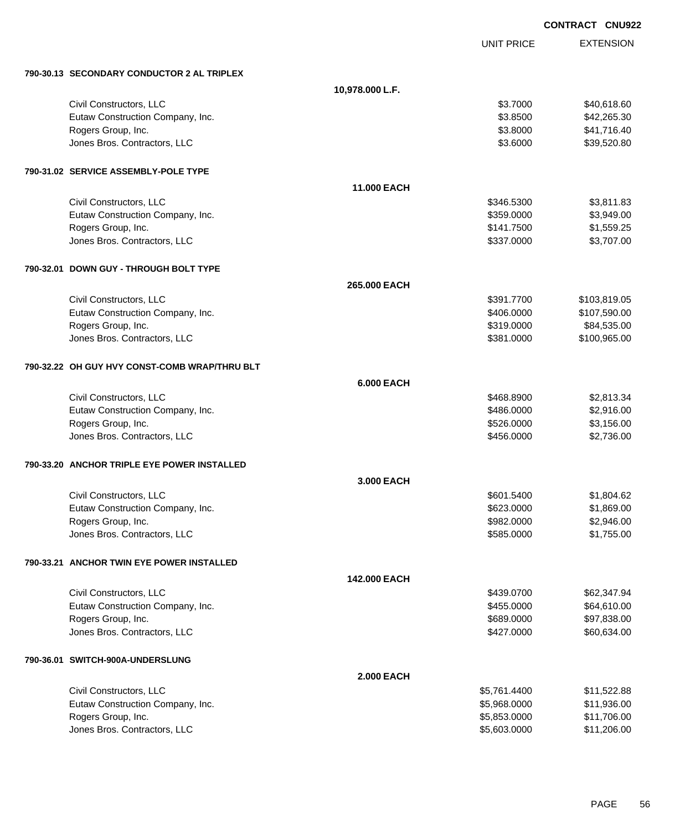|                                               |                    |                   | <b>CONTRACT CNU922</b> |
|-----------------------------------------------|--------------------|-------------------|------------------------|
|                                               |                    | <b>UNIT PRICE</b> | <b>EXTENSION</b>       |
| 790-30.13 SECONDARY CONDUCTOR 2 AL TRIPLEX    |                    |                   |                        |
|                                               | 10,978.000 L.F.    |                   |                        |
| Civil Constructors, LLC                       |                    | \$3.7000          | \$40,618.60            |
| Eutaw Construction Company, Inc.              |                    | \$3.8500          | \$42,265.30            |
| Rogers Group, Inc.                            |                    | \$3.8000          | \$41,716.40            |
| Jones Bros. Contractors, LLC                  |                    | \$3.6000          | \$39,520.80            |
| 790-31.02 SERVICE ASSEMBLY-POLE TYPE          |                    |                   |                        |
|                                               | <b>11.000 EACH</b> |                   |                        |
| Civil Constructors, LLC                       |                    | \$346.5300        | \$3,811.83             |
| Eutaw Construction Company, Inc.              |                    | \$359.0000        | \$3,949.00             |
| Rogers Group, Inc.                            |                    | \$141.7500        | \$1,559.25             |
| Jones Bros. Contractors, LLC                  |                    | \$337.0000        | \$3,707.00             |
| 790-32.01 DOWN GUY - THROUGH BOLT TYPE        |                    |                   |                        |
|                                               | 265.000 EACH       |                   |                        |
| Civil Constructors, LLC                       |                    | \$391.7700        | \$103,819.05           |
| Eutaw Construction Company, Inc.              |                    | \$406.0000        | \$107,590.00           |
| Rogers Group, Inc.                            |                    | \$319.0000        | \$84,535.00            |
| Jones Bros. Contractors, LLC                  |                    | \$381.0000        | \$100,965.00           |
| 790-32.22 OH GUY HVY CONST-COMB WRAP/THRU BLT |                    |                   |                        |
|                                               | <b>6.000 EACH</b>  |                   |                        |
| Civil Constructors, LLC                       |                    | \$468.8900        | \$2,813.34             |
| Eutaw Construction Company, Inc.              |                    | \$486.0000        | \$2,916.00             |
| Rogers Group, Inc.                            |                    | \$526.0000        | \$3,156.00             |
| Jones Bros. Contractors, LLC                  |                    | \$456.0000        | \$2,736.00             |
| 790-33.20 ANCHOR TRIPLE EYE POWER INSTALLED   |                    |                   |                        |
|                                               | 3.000 EACH         |                   |                        |
| Civil Constructors, LLC                       |                    | \$601.5400        | \$1,804.62             |
| Eutaw Construction Company, Inc.              |                    | \$623.0000        | \$1,869.00             |
| Rogers Group, Inc.                            |                    | \$982.0000        | \$2,946.00             |
| Jones Bros. Contractors, LLC                  |                    | \$585.0000        | \$1,755.00             |
| 790-33.21 ANCHOR TWIN EYE POWER INSTALLED     |                    |                   |                        |
|                                               | 142.000 EACH       |                   |                        |
| Civil Constructors, LLC                       |                    | \$439.0700        | \$62,347.94            |
| Eutaw Construction Company, Inc.              |                    | \$455.0000        | \$64,610.00            |
| Rogers Group, Inc.                            |                    | \$689.0000        | \$97,838.00            |
| Jones Bros. Contractors, LLC                  |                    | \$427.0000        | \$60,634.00            |
| 790-36.01 SWITCH-900A-UNDERSLUNG              |                    |                   |                        |
|                                               | <b>2.000 EACH</b>  |                   |                        |
| Civil Constructors, LLC                       |                    | \$5,761.4400      | \$11,522.88            |
| Eutaw Construction Company, Inc.              |                    | \$5,968.0000      | \$11,936.00            |
| Rogers Group, Inc.                            |                    | \$5,853.0000      | \$11,706.00            |
| Jones Bros. Contractors, LLC                  |                    | \$5,603.0000      | \$11,206.00            |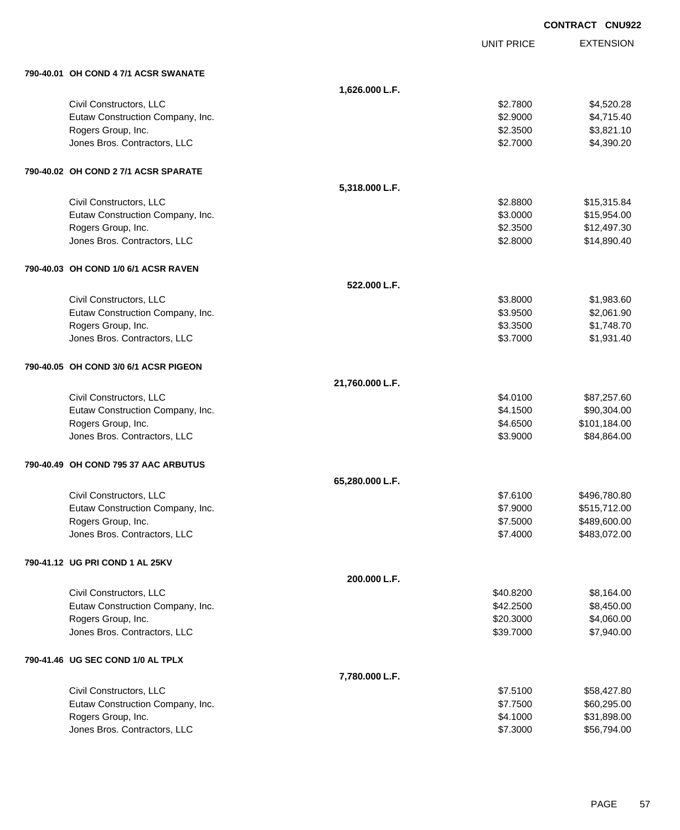|                                       |                 |                   | <b>CONTRACT CNU922</b> |
|---------------------------------------|-----------------|-------------------|------------------------|
|                                       |                 | <b>UNIT PRICE</b> | <b>EXTENSION</b>       |
| 790-40.01 OH COND 4 7/1 ACSR SWANATE  |                 |                   |                        |
|                                       | 1,626.000 L.F.  |                   |                        |
| Civil Constructors, LLC               |                 | \$2.7800          | \$4,520.28             |
| Eutaw Construction Company, Inc.      |                 | \$2.9000          | \$4,715.40             |
| Rogers Group, Inc.                    |                 | \$2.3500          | \$3,821.10             |
| Jones Bros. Contractors, LLC          |                 | \$2.7000          | \$4,390.20             |
| 790-40.02 OH COND 2 7/1 ACSR SPARATE  |                 |                   |                        |
|                                       | 5,318.000 L.F.  |                   |                        |
| Civil Constructors, LLC               |                 | \$2.8800          | \$15,315.84            |
| Eutaw Construction Company, Inc.      |                 | \$3.0000          | \$15,954.00            |
| Rogers Group, Inc.                    |                 | \$2.3500          | \$12,497.30            |
| Jones Bros. Contractors, LLC          |                 | \$2.8000          | \$14,890.40            |
| 790-40.03 OH COND 1/0 6/1 ACSR RAVEN  |                 |                   |                        |
|                                       | 522.000 L.F.    |                   |                        |
| Civil Constructors, LLC               |                 | \$3.8000          | \$1,983.60             |
| Eutaw Construction Company, Inc.      |                 | \$3.9500          | \$2,061.90             |
| Rogers Group, Inc.                    |                 | \$3.3500          | \$1,748.70             |
| Jones Bros. Contractors, LLC          |                 | \$3.7000          | \$1,931.40             |
| 790-40.05 OH COND 3/0 6/1 ACSR PIGEON |                 |                   |                        |
|                                       | 21,760.000 L.F. |                   |                        |
| Civil Constructors, LLC               |                 | \$4.0100          | \$87,257.60            |
| Eutaw Construction Company, Inc.      |                 | \$4.1500          | \$90,304.00            |
| Rogers Group, Inc.                    |                 | \$4.6500          | \$101,184.00           |
| Jones Bros. Contractors, LLC          |                 | \$3.9000          | \$84,864.00            |
| 790-40.49 OH COND 795 37 AAC ARBUTUS  |                 |                   |                        |
|                                       | 65,280.000 L.F. |                   |                        |
| Civil Constructors, LLC               |                 | \$7.6100          | \$496,780.80           |
| Eutaw Construction Company, Inc.      |                 | \$7.9000          | \$515,712.00           |
| Rogers Group, Inc.                    |                 | \$7.5000          | \$489,600.00           |
| Jones Bros. Contractors, LLC          |                 | \$7.4000          | \$483,072.00           |
| 790-41.12 UG PRI COND 1 AL 25KV       |                 |                   |                        |
|                                       | 200.000 L.F.    |                   |                        |
| Civil Constructors, LLC               |                 | \$40.8200         | \$8,164.00             |
| Eutaw Construction Company, Inc.      |                 | \$42.2500         | \$8,450.00             |
| Rogers Group, Inc.                    |                 | \$20.3000         | \$4,060.00             |
| Jones Bros. Contractors, LLC          |                 | \$39.7000         | \$7,940.00             |
| 790-41.46 UG SEC COND 1/0 AL TPLX     |                 |                   |                        |
|                                       | 7,780.000 L.F.  |                   |                        |
| Civil Constructors, LLC               |                 | \$7.5100          | \$58,427.80            |
| Eutaw Construction Company, Inc.      |                 | \$7.7500          | \$60,295.00            |
| Rogers Group, Inc.                    |                 | \$4.1000          | \$31,898.00            |
| Jones Bros. Contractors, LLC          |                 | \$7.3000          | \$56,794.00            |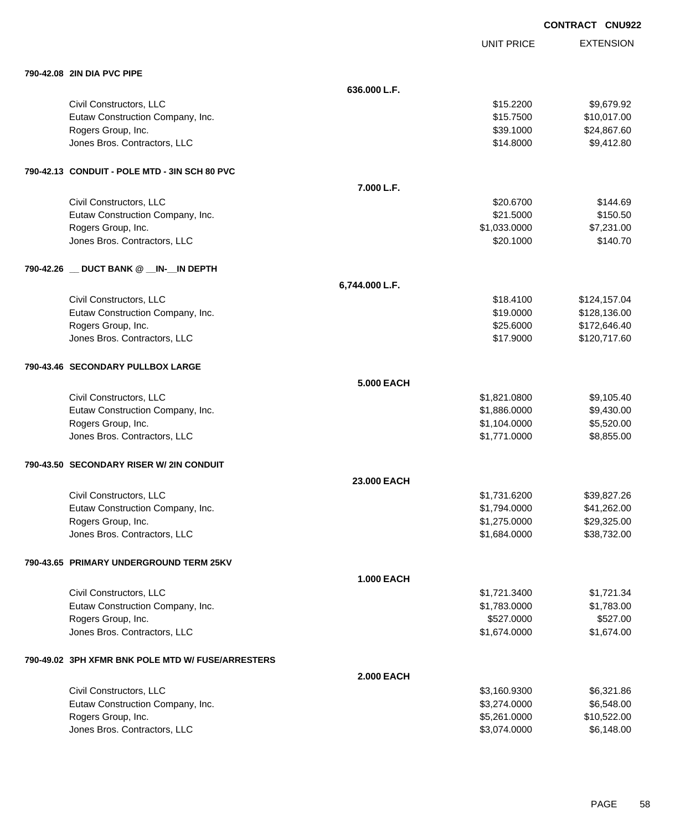|                                                   |                    |                   | <b>CONTRACT CNU922</b> |                  |
|---------------------------------------------------|--------------------|-------------------|------------------------|------------------|
|                                                   |                    | <b>UNIT PRICE</b> |                        | <b>EXTENSION</b> |
| 790-42.08 2IN DIA PVC PIPE                        |                    |                   |                        |                  |
|                                                   | 636.000 L.F.       |                   |                        |                  |
| Civil Constructors, LLC                           |                    | \$15.2200         |                        | \$9,679.92       |
| Eutaw Construction Company, Inc.                  |                    | \$15.7500         |                        | \$10,017.00      |
| Rogers Group, Inc.                                |                    | \$39.1000         |                        | \$24,867.60      |
| Jones Bros. Contractors, LLC                      |                    | \$14.8000         |                        | \$9,412.80       |
| 790-42.13 CONDUIT - POLE MTD - 3IN SCH 80 PVC     |                    |                   |                        |                  |
|                                                   | 7.000 L.F.         |                   |                        |                  |
| Civil Constructors, LLC                           |                    | \$20.6700         |                        | \$144.69         |
| Eutaw Construction Company, Inc.                  |                    | \$21.5000         |                        | \$150.50         |
| Rogers Group, Inc.                                |                    | \$1,033.0000      |                        | \$7,231.00       |
| Jones Bros. Contractors, LLC                      |                    | \$20.1000         |                        | \$140.70         |
|                                                   |                    |                   |                        |                  |
|                                                   | 6,744.000 L.F.     |                   |                        |                  |
| Civil Constructors, LLC                           |                    | \$18.4100         |                        | \$124,157.04     |
| Eutaw Construction Company, Inc.                  |                    | \$19.0000         |                        | \$128,136.00     |
| Rogers Group, Inc.                                |                    | \$25.6000         |                        | \$172,646.40     |
| Jones Bros. Contractors, LLC                      |                    | \$17.9000         |                        | \$120,717.60     |
| 790-43.46 SECONDARY PULLBOX LARGE                 |                    |                   |                        |                  |
|                                                   | <b>5.000 EACH</b>  |                   |                        |                  |
| Civil Constructors, LLC                           |                    | \$1,821.0800      |                        | \$9,105.40       |
| Eutaw Construction Company, Inc.                  |                    | \$1,886.0000      |                        | \$9,430.00       |
| Rogers Group, Inc.                                |                    | \$1,104.0000      |                        | \$5,520.00       |
| Jones Bros. Contractors, LLC                      |                    | \$1,771.0000      |                        | \$8,855.00       |
| 790-43.50  SECONDARY RISER W/ 2IN CONDUIT         |                    |                   |                        |                  |
|                                                   | <b>23.000 EACH</b> |                   |                        |                  |
| Civil Constructors, LLC                           |                    | \$1,731.6200      |                        | \$39,827.26      |
| Eutaw Construction Company, Inc.                  |                    | \$1,794.0000      |                        | \$41,262.00      |
| Rogers Group, Inc.                                |                    | \$1,275.0000      |                        | \$29,325.00      |
| Jones Bros. Contractors, LLC                      |                    | \$1,684.0000      |                        | \$38,732.00      |
| 790-43.65 PRIMARY UNDERGROUND TERM 25KV           |                    |                   |                        |                  |
|                                                   | <b>1.000 EACH</b>  |                   |                        |                  |
| Civil Constructors, LLC                           |                    | \$1,721.3400      |                        | \$1,721.34       |
| Eutaw Construction Company, Inc.                  |                    | \$1,783.0000      |                        | \$1,783.00       |
| Rogers Group, Inc.                                |                    | \$527.0000        |                        | \$527.00         |
| Jones Bros. Contractors, LLC                      |                    | \$1,674.0000      |                        | \$1,674.00       |
| 790-49.02 3PH XFMR BNK POLE MTD W/ FUSE/ARRESTERS |                    |                   |                        |                  |
|                                                   | <b>2.000 EACH</b>  |                   |                        |                  |

| Civil Constructors, LLC          | \$3.160.9300 | \$6,321,86  |
|----------------------------------|--------------|-------------|
| Eutaw Construction Company, Inc. | \$3,274,0000 | \$6,548,00  |
| Rogers Group, Inc.               | \$5,261,0000 | \$10,522,00 |
| Jones Bros. Contractors, LLC     | \$3.074.0000 | \$6,148,00  |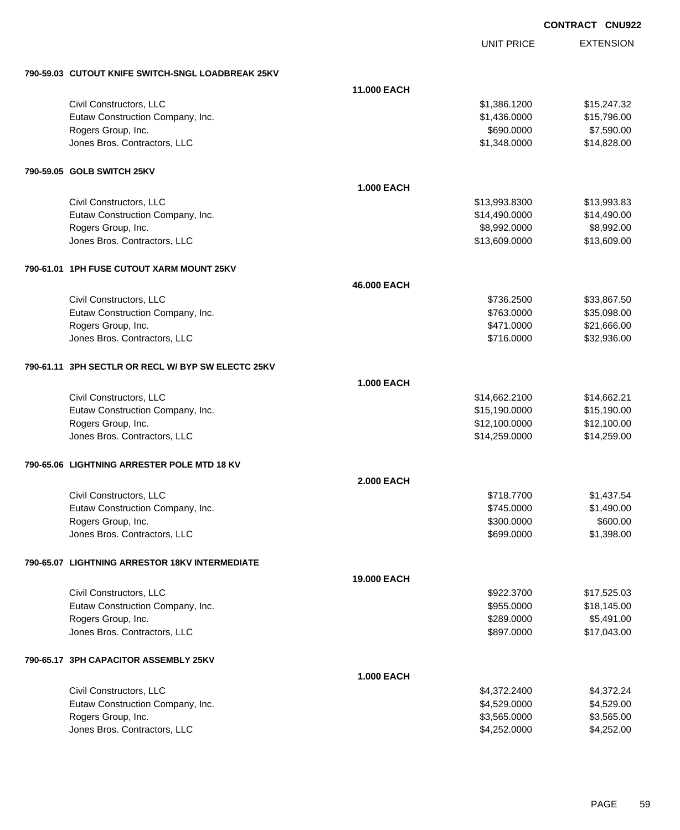|                                                    |                    |                   | <b>CONTRACT CNU922</b> |
|----------------------------------------------------|--------------------|-------------------|------------------------|
|                                                    |                    | <b>UNIT PRICE</b> | <b>EXTENSION</b>       |
| 790-59.03 CUTOUT KNIFE SWITCH-SNGL LOADBREAK 25KV  |                    |                   |                        |
|                                                    | <b>11.000 EACH</b> |                   |                        |
| Civil Constructors, LLC                            |                    | \$1,386.1200      | \$15,247.32            |
| Eutaw Construction Company, Inc.                   |                    | \$1,436.0000      | \$15,796.00            |
| Rogers Group, Inc.                                 |                    | \$690.0000        | \$7,590.00             |
| Jones Bros. Contractors, LLC                       |                    | \$1,348.0000      | \$14,828.00            |
| 790-59.05 GOLB SWITCH 25KV                         |                    |                   |                        |
|                                                    | <b>1.000 EACH</b>  |                   |                        |
| Civil Constructors, LLC                            |                    | \$13,993.8300     | \$13,993.83            |
| Eutaw Construction Company, Inc.                   |                    | \$14,490.0000     | \$14,490.00            |
| Rogers Group, Inc.                                 |                    | \$8,992.0000      | \$8,992.00             |
| Jones Bros. Contractors, LLC                       |                    | \$13,609.0000     | \$13,609.00            |
| 790-61.01 1PH FUSE CUTOUT XARM MOUNT 25KV          |                    |                   |                        |
|                                                    | 46,000 EACH        |                   |                        |
| Civil Constructors, LLC                            |                    | \$736.2500        | \$33,867.50            |
| Eutaw Construction Company, Inc.                   |                    | \$763.0000        | \$35,098.00            |
| Rogers Group, Inc.                                 |                    | \$471.0000        | \$21,666.00            |
| Jones Bros. Contractors, LLC                       |                    | \$716.0000        | \$32,936.00            |
| 790-61.11 3PH SECTLR OR RECL W/ BYP SW ELECTC 25KV |                    |                   |                        |
|                                                    | <b>1.000 EACH</b>  |                   |                        |
| Civil Constructors, LLC                            |                    | \$14,662.2100     | \$14,662.21            |
| Eutaw Construction Company, Inc.                   |                    | \$15,190.0000     | \$15,190.00            |
| Rogers Group, Inc.                                 |                    | \$12,100.0000     | \$12,100.00            |
| Jones Bros. Contractors, LLC                       |                    | \$14,259.0000     | \$14,259.00            |
| 790-65.06 LIGHTNING ARRESTER POLE MTD 18 KV        |                    |                   |                        |
|                                                    | <b>2.000 EACH</b>  |                   |                        |
| Civil Constructors, LLC                            |                    | \$718.7700        | \$1,437.54             |
| Eutaw Construction Company, Inc.                   |                    | \$745.0000        | \$1,490.00             |
| Rogers Group, Inc.                                 |                    | \$300.0000        | \$600.00               |
| Jones Bros. Contractors, LLC                       |                    | \$699.0000        | \$1,398.00             |
| 790-65.07 LIGHTNING ARRESTOR 18KV INTERMEDIATE     |                    |                   |                        |
|                                                    | 19.000 EACH        |                   |                        |
| Civil Constructors, LLC                            |                    | \$922.3700        | \$17,525.03            |
| Eutaw Construction Company, Inc.                   |                    | \$955.0000        | \$18,145.00            |
| Rogers Group, Inc.                                 |                    | \$289.0000        | \$5,491.00             |
| Jones Bros. Contractors, LLC                       |                    | \$897.0000        | \$17,043.00            |
| 790-65.17 3PH CAPACITOR ASSEMBLY 25KV              |                    |                   |                        |
|                                                    | <b>1.000 EACH</b>  |                   |                        |
| Civil Constructors, LLC                            |                    | \$4,372.2400      | \$4,372.24             |
| Eutaw Construction Company, Inc.                   |                    | \$4,529.0000      | \$4,529.00             |
| Rogers Group, Inc.                                 |                    | \$3,565.0000      | \$3,565.00             |
| Jones Bros. Contractors, LLC                       |                    | \$4,252.0000      | \$4,252.00             |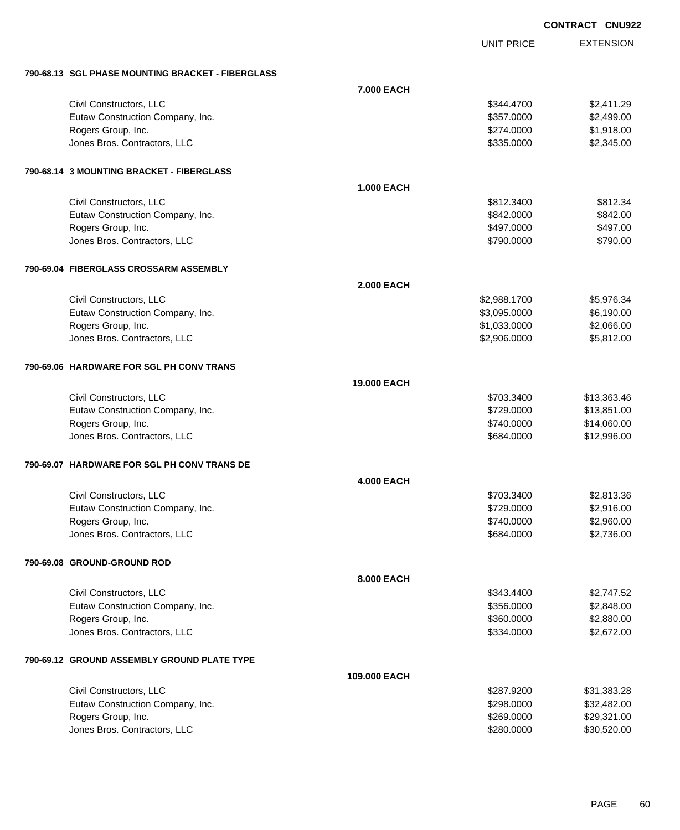**EXTENSION CONTRACT CNU922** UNIT PRICE **790-68.13 SGL PHASE MOUNTING BRACKET - FIBERGLASS 7.000 EACH** Civil Constructors, LLC 6344.4700 \$2,411.29 Eutaw Construction Company, Inc. 6. The Construction Company, Inc. 6. The Construction Company, Inc. 6. The Construction Company, Inc. 6. The Construction Company, Inc. 6. The Construction Company, Inc. 6. The Construction Rogers Group, Inc. \$1,918.00 Jones Bros. Contractors, LLC \$335.0000 \$2,345.00 **790-68.14 3 MOUNTING BRACKET - FIBERGLASS 1.000 EACH** Civil Constructors, LLC 6812.3400 \$812.3400 \$812.3400 \$812.3400 \$812.3400 \$812.3400 \$812.34 Eutaw Construction Company, Inc. 6842.000 \$842.000 \$842.000 \$842.000 \$842.000 Rogers Group, Inc. \$497.000 \$497.000 \$497.000 \$497.000 \$497.000 \$497.000 \$497.000 \$497.000 \$497.00 dones Bros. Contractors, LLC 6790.000 \$790.000 \$790.000 \$790.000 \$790.000 \$790.000 \$790.000 \$790.00 **790-69.04 FIBERGLASS CROSSARM ASSEMBLY 2.000 EACH** Civil Constructors, LLC 6.34 Eutaw Construction Company, Inc. 6. The Construction Company, Inc. 6. The Construction Company, Inc. 6.190.00 Rogers Group, Inc. \$1,033.0000 \$2,066.00 Jones Bros. Contractors, LLC \$2,906.0000 \$5,812.00 **790-69.06 HARDWARE FOR SGL PH CONV TRANS 19.000 EACH** Civil Constructors, LLC 613,363.46 Eutaw Construction Company, Inc. 6. The Construction Company, Inc. 6. The Construction Company, Inc. Rogers Group, Inc. \$14,060.00 \$14,060.00 \$14,060.00 \$14,060.00 \$14,060.00 \$14,060.00 \$15,000 \$14,060.00 \$15,00 Jones Bros. Contractors, LLC \$684.0000 \$12,996.00 **790-69.07 HARDWARE FOR SGL PH CONV TRANS DE 4.000 EACH** Civil Constructors, LLC 6. 2012 12:00 \$2,813.36 Eutaw Construction Company, Inc. 6. The Construction Company, Inc. 6. The Construction Company, Inc. 6. The Construction Company, Inc. 6. The Construction Company, Inc. 6. The Construction Company, Inc. 6. The Construction Rogers Group, Inc. \$2,960.00 \$2,960.00 \$2,960.00 \$2,960.00 \$2,960.00 \$2,960.00 \$2,960.00 \$2,960.00 \$2,960.00 \$2,960.00 \$2,960.00 \$2,960.00 \$2,960.00 \$2,960.00 \$2,960.00 \$2,960.00 \$2,960.00 \$2,960.00 \$2,960.00 \$2,960.00 \$2, dones Bros. Contractors, LLC 6684.0000 \$2,736.00 **790-69.08 GROUND-GROUND ROD 8.000 EACH** Civil Constructors, LLC 6343.4400 \$2,747.52 Eutaw Construction Company, Inc. 6. The Construction Company, Inc. 6. The Construction Company, Inc. 6. The Construction Company, Inc. 6. The Construction Company, Inc. 6. The Construction Company, Inc. 6. The Construction Rogers Group, Inc. \$360.000 \$2,880.00 \$2,880.00 \$2,880.00 \$2,880.00 \$2,880.00 \$2,880.00 \$2,880.00 \$2,880.00 \$2, Jones Bros. Contractors, LLC \$334.0000 \$2,672.00 **790-69.12 GROUND ASSEMBLY GROUND PLATE TYPE 109.000 EACH**

| Civil Constructors, LLC          | \$287.9200 | \$31.383.28 |
|----------------------------------|------------|-------------|
| Eutaw Construction Company, Inc. | \$298,0000 | \$32.482.00 |
| Rogers Group, Inc.               | \$269,0000 | \$29.321.00 |
| Jones Bros, Contractors, LLC     | \$280,0000 | \$30,520.00 |
|                                  |            |             |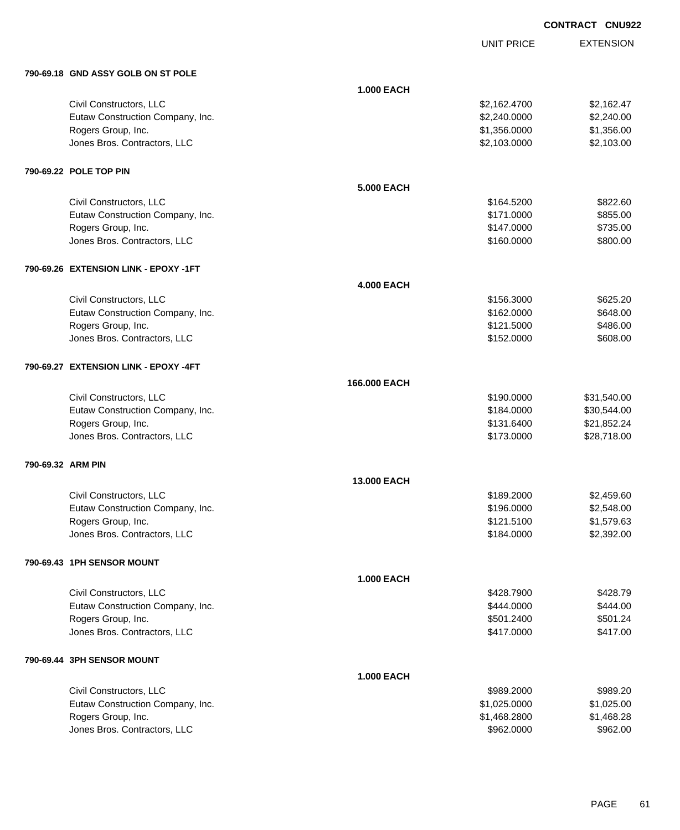UNIT PRICE

|                   | 790-69.18 GND ASSY GOLB ON ST POLE    |                   |              |             |
|-------------------|---------------------------------------|-------------------|--------------|-------------|
|                   |                                       | <b>1.000 EACH</b> |              |             |
|                   | Civil Constructors, LLC               |                   | \$2,162.4700 | \$2,162.47  |
|                   | Eutaw Construction Company, Inc.      |                   | \$2,240.0000 | \$2,240.00  |
|                   | Rogers Group, Inc.                    |                   | \$1,356.0000 | \$1,356.00  |
|                   | Jones Bros. Contractors, LLC          |                   | \$2,103.0000 | \$2,103.00  |
|                   | 790-69.22 POLE TOP PIN                |                   |              |             |
|                   |                                       | <b>5.000 EACH</b> |              |             |
|                   | Civil Constructors, LLC               |                   | \$164.5200   | \$822.60    |
|                   | Eutaw Construction Company, Inc.      |                   | \$171.0000   | \$855.00    |
|                   | Rogers Group, Inc.                    |                   | \$147.0000   | \$735.00    |
|                   | Jones Bros. Contractors, LLC          |                   | \$160.0000   | \$800.00    |
|                   | 790-69.26 EXTENSION LINK - EPOXY -1FT |                   |              |             |
|                   |                                       | <b>4.000 EACH</b> |              |             |
|                   | Civil Constructors, LLC               |                   | \$156.3000   | \$625.20    |
|                   | Eutaw Construction Company, Inc.      |                   | \$162.0000   | \$648.00    |
|                   | Rogers Group, Inc.                    |                   | \$121.5000   | \$486.00    |
|                   | Jones Bros. Contractors, LLC          |                   | \$152.0000   | \$608.00    |
|                   | 790-69.27 EXTENSION LINK - EPOXY -4FT |                   |              |             |
|                   |                                       | 166,000 EACH      |              |             |
|                   | Civil Constructors, LLC               |                   | \$190.0000   | \$31,540.00 |
|                   | Eutaw Construction Company, Inc.      |                   | \$184.0000   | \$30,544.00 |
|                   | Rogers Group, Inc.                    |                   | \$131.6400   | \$21,852.24 |
|                   | Jones Bros. Contractors, LLC          |                   | \$173.0000   | \$28,718.00 |
| 790-69.32 ARM PIN |                                       |                   |              |             |
|                   |                                       | 13.000 EACH       |              |             |
|                   | Civil Constructors, LLC               |                   | \$189.2000   | \$2,459.60  |
|                   | Eutaw Construction Company, Inc.      |                   | \$196.0000   | \$2,548.00  |
|                   | Rogers Group, Inc.                    |                   | \$121.5100   | \$1,579.63  |
|                   | Jones Bros. Contractors, LLC          |                   | \$184.0000   | \$2,392.00  |
|                   | 790-69.43 1PH SENSOR MOUNT            |                   |              |             |
|                   |                                       | <b>1.000 EACH</b> |              |             |
|                   | Civil Constructors, LLC               |                   | \$428.7900   | \$428.79    |
|                   | Eutaw Construction Company, Inc.      |                   | \$444.0000   | \$444.00    |
|                   | Rogers Group, Inc.                    |                   | \$501.2400   | \$501.24    |
|                   | Jones Bros. Contractors, LLC          |                   | \$417.0000   | \$417.00    |
|                   | 790-69.44 3PH SENSOR MOUNT            |                   |              |             |
|                   |                                       | <b>1.000 EACH</b> |              |             |
|                   | Civil Constructors, LLC               |                   | \$989.2000   | \$989.20    |
|                   | Eutaw Construction Company, Inc.      |                   | \$1,025.0000 | \$1,025.00  |
|                   | Rogers Group, Inc.                    |                   | \$1,468.2800 | \$1,468.28  |
|                   | Jones Bros. Contractors, LLC          |                   | \$962.0000   | \$962.00    |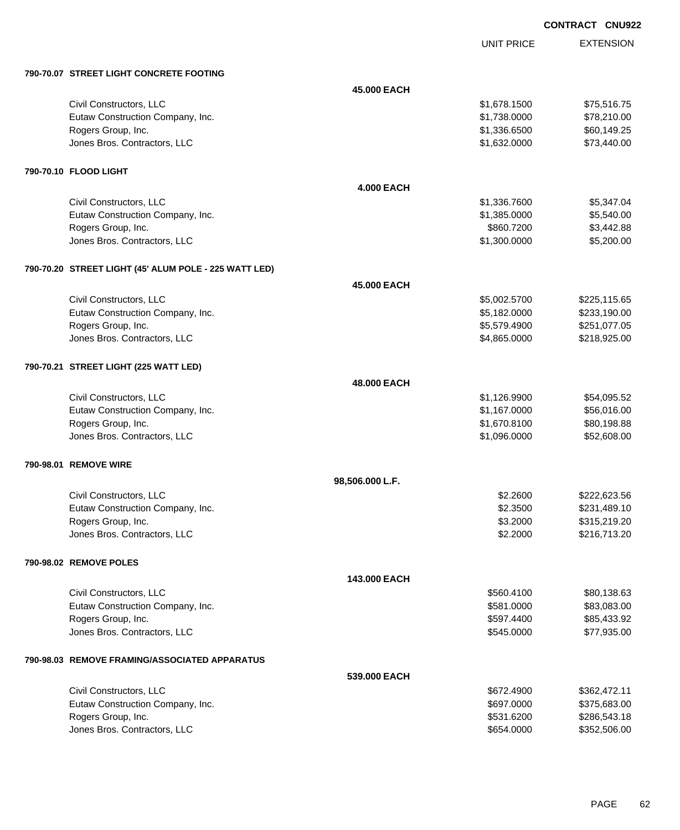UNIT PRICE

|  | 790-70.07 STREET LIGHT CONCRETE FOOTING |  |
|--|-----------------------------------------|--|
|  |                                         |  |

| 790-70.07 STREET LIGHT CONCRETE FOOTING               |                   |              |              |
|-------------------------------------------------------|-------------------|--------------|--------------|
|                                                       | 45.000 EACH       |              |              |
| Civil Constructors, LLC                               |                   | \$1,678.1500 | \$75,516.75  |
| Eutaw Construction Company, Inc.                      |                   | \$1,738.0000 | \$78,210.00  |
| Rogers Group, Inc.                                    |                   | \$1,336.6500 | \$60,149.25  |
| Jones Bros. Contractors, LLC                          |                   | \$1,632.0000 | \$73,440.00  |
| 790-70.10 FLOOD LIGHT                                 |                   |              |              |
|                                                       | <b>4.000 EACH</b> |              |              |
| Civil Constructors, LLC                               |                   | \$1,336.7600 | \$5,347.04   |
| Eutaw Construction Company, Inc.                      |                   | \$1,385.0000 | \$5,540.00   |
| Rogers Group, Inc.                                    |                   | \$860.7200   | \$3,442.88   |
| Jones Bros. Contractors, LLC                          |                   | \$1,300.0000 | \$5,200.00   |
| 790-70.20 STREET LIGHT (45' ALUM POLE - 225 WATT LED) |                   |              |              |
|                                                       | 45.000 EACH       |              |              |
| Civil Constructors, LLC                               |                   | \$5,002.5700 | \$225,115.65 |
| Eutaw Construction Company, Inc.                      |                   | \$5,182.0000 | \$233,190.00 |
| Rogers Group, Inc.                                    |                   | \$5,579.4900 | \$251,077.05 |
| Jones Bros. Contractors, LLC                          |                   | \$4,865.0000 | \$218,925.00 |
| 790-70.21 STREET LIGHT (225 WATT LED)                 |                   |              |              |
|                                                       | 48.000 EACH       |              |              |
| Civil Constructors, LLC                               |                   | \$1,126.9900 | \$54,095.52  |
| Eutaw Construction Company, Inc.                      |                   | \$1,167.0000 | \$56,016.00  |
| Rogers Group, Inc.                                    |                   | \$1,670.8100 | \$80,198.88  |
| Jones Bros. Contractors, LLC                          |                   | \$1,096.0000 | \$52,608.00  |
| 790-98.01 REMOVE WIRE                                 |                   |              |              |
|                                                       | 98,506.000 L.F.   |              |              |
| Civil Constructors, LLC                               |                   | \$2.2600     | \$222,623.56 |
| Eutaw Construction Company, Inc.                      |                   | \$2.3500     | \$231,489.10 |
| Rogers Group, Inc.                                    |                   | \$3.2000     | \$315,219.20 |
| Jones Bros. Contractors, LLC                          |                   | \$2.2000     | \$216,713.20 |
| 790-98.02 REMOVE POLES                                |                   |              |              |
|                                                       | 143.000 EACH      |              |              |
| Civil Constructors, LLC                               |                   | \$560.4100   | \$80,138.63  |
| Eutaw Construction Company, Inc.                      |                   | \$581.0000   | \$83,083.00  |
| Rogers Group, Inc.                                    |                   | \$597.4400   | \$85,433.92  |
| Jones Bros. Contractors, LLC                          |                   | \$545.0000   | \$77,935.00  |
| 790-98.03 REMOVE FRAMING/ASSOCIATED APPARATUS         |                   |              |              |
|                                                       | 539.000 EACH      |              |              |
| Civil Constructors, LLC                               |                   | \$672.4900   | \$362,472.11 |
| Eutaw Construction Company, Inc.                      |                   | \$697.0000   | \$375,683.00 |
| Rogers Group, Inc.                                    |                   | \$531.6200   | \$286,543.18 |
| Jones Bros. Contractors, LLC                          |                   | \$654.0000   | \$352,506.00 |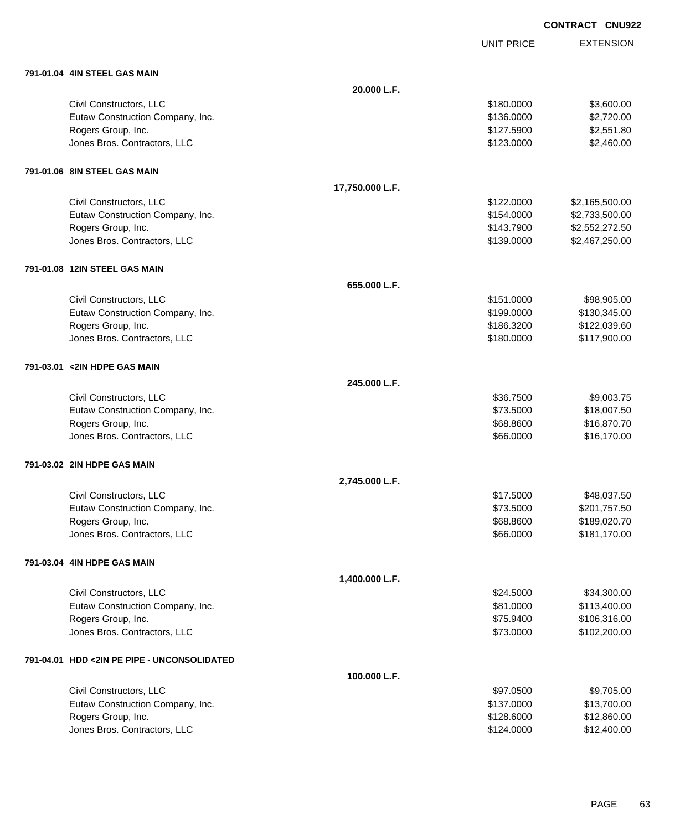UNIT PRICE

| 791-01.04 4IN STEEL GAS MAIN |  |
|------------------------------|--|
|                              |  |

| 791-01.04 4IN STEEL GAS MAIN                |                 |            |                |
|---------------------------------------------|-----------------|------------|----------------|
|                                             | 20.000 L.F.     |            |                |
| Civil Constructors, LLC                     |                 | \$180.0000 | \$3,600.00     |
| Eutaw Construction Company, Inc.            |                 | \$136.0000 | \$2,720.00     |
| Rogers Group, Inc.                          |                 | \$127.5900 | \$2,551.80     |
| Jones Bros. Contractors, LLC                |                 | \$123.0000 | \$2,460.00     |
| 791-01.06 8IN STEEL GAS MAIN                |                 |            |                |
|                                             | 17,750.000 L.F. |            |                |
| Civil Constructors, LLC                     |                 | \$122.0000 | \$2,165,500.00 |
| Eutaw Construction Company, Inc.            |                 | \$154.0000 | \$2,733,500.00 |
| Rogers Group, Inc.                          |                 | \$143.7900 | \$2,552,272.50 |
| Jones Bros. Contractors, LLC                |                 | \$139.0000 | \$2,467,250.00 |
| 791-01.08 12IN STEEL GAS MAIN               |                 |            |                |
|                                             | 655.000 L.F.    |            |                |
| Civil Constructors, LLC                     |                 | \$151.0000 | \$98,905.00    |
| Eutaw Construction Company, Inc.            |                 | \$199.0000 | \$130,345.00   |
| Rogers Group, Inc.                          |                 | \$186.3200 | \$122,039.60   |
| Jones Bros. Contractors, LLC                |                 | \$180.0000 | \$117,900.00   |
| 791-03.01 <2IN HDPE GAS MAIN                |                 |            |                |
|                                             | 245,000 L.F.    |            |                |
| Civil Constructors, LLC                     |                 | \$36.7500  | \$9,003.75     |
| Eutaw Construction Company, Inc.            |                 | \$73.5000  | \$18,007.50    |
| Rogers Group, Inc.                          |                 | \$68.8600  | \$16,870.70    |
| Jones Bros. Contractors, LLC                |                 | \$66.0000  | \$16,170.00    |
| 791-03.02 2IN HDPE GAS MAIN                 |                 |            |                |
|                                             | 2,745.000 L.F.  |            |                |
| Civil Constructors, LLC                     |                 | \$17.5000  | \$48,037.50    |
| Eutaw Construction Company, Inc.            |                 | \$73.5000  | \$201,757.50   |
| Rogers Group, Inc.                          |                 | \$68.8600  | \$189,020.70   |
| Jones Bros. Contractors, LLC                |                 | \$66.0000  | \$181,170.00   |
| 791-03.04 4IN HDPE GAS MAIN                 |                 |            |                |
|                                             | 1,400.000 L.F.  |            |                |
| Civil Constructors, LLC                     |                 | \$24.5000  | \$34,300.00    |
| Eutaw Construction Company, Inc.            |                 | \$81.0000  | \$113,400.00   |
| Rogers Group, Inc.                          |                 | \$75.9400  | \$106,316.00   |
| Jones Bros. Contractors, LLC                |                 | \$73.0000  | \$102,200.00   |
| 791-04.01 HDD <2IN PE PIPE - UNCONSOLIDATED |                 |            |                |
|                                             | 100.000 L.F.    |            |                |
| Civil Constructors, LLC                     |                 | \$97.0500  | \$9,705.00     |
| Eutaw Construction Company, Inc.            |                 | \$137.0000 | \$13,700.00    |
| Rogers Group, Inc.                          |                 | \$128.6000 | \$12,860.00    |
| Jones Bros. Contractors, LLC                |                 | \$124.0000 | \$12,400.00    |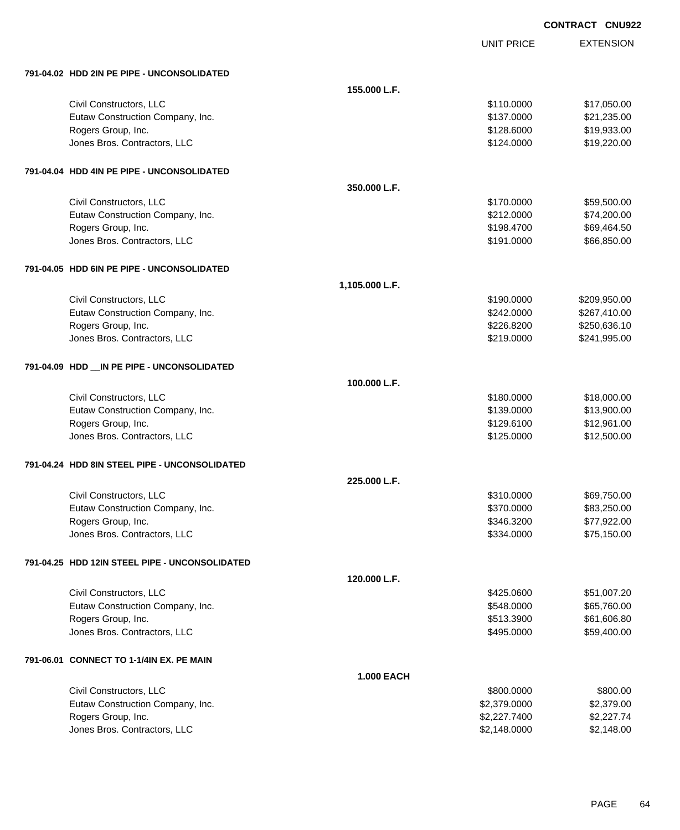| <b>CONTRACT CNU922</b> |  |
|------------------------|--|
|                        |  |

UNIT PRICE

| 791-04.02 HDD 2IN PE PIPE - UNCONSOLIDATED             |                   |                              |                          |
|--------------------------------------------------------|-------------------|------------------------------|--------------------------|
|                                                        | 155.000 L.F.      |                              |                          |
| Civil Constructors, LLC                                |                   | \$110.0000                   | \$17,050.00              |
| Eutaw Construction Company, Inc.                       |                   | \$137.0000                   | \$21,235.00              |
| Rogers Group, Inc.                                     |                   | \$128.6000                   | \$19,933.00              |
| Jones Bros. Contractors, LLC                           |                   | \$124.0000                   | \$19,220.00              |
|                                                        |                   |                              |                          |
| 791-04.04 HDD 4IN PE PIPE - UNCONSOLIDATED             |                   |                              |                          |
|                                                        | 350.000 L.F.      |                              |                          |
| Civil Constructors, LLC                                |                   | \$170.0000                   | \$59,500.00              |
| Eutaw Construction Company, Inc.                       |                   | \$212.0000                   | \$74,200.00              |
| Rogers Group, Inc.                                     |                   | \$198.4700                   | \$69,464.50              |
| Jones Bros. Contractors, LLC                           |                   | \$191.0000                   | \$66,850.00              |
| 791-04.05 HDD 6IN PE PIPE - UNCONSOLIDATED             |                   |                              |                          |
|                                                        | 1,105.000 L.F.    |                              |                          |
| Civil Constructors, LLC                                |                   | \$190,0000                   | \$209,950.00             |
| Eutaw Construction Company, Inc.                       |                   | \$242.0000                   | \$267,410.00             |
| Rogers Group, Inc.                                     |                   | \$226.8200                   | \$250,636.10             |
| Jones Bros. Contractors, LLC                           |                   | \$219.0000                   | \$241,995.00             |
|                                                        |                   |                              |                          |
| 791-04.09 HDD __ IN PE PIPE - UNCONSOLIDATED           |                   |                              |                          |
|                                                        | 100.000 L.F.      |                              |                          |
| Civil Constructors, LLC                                |                   | \$180.0000                   | \$18,000.00              |
| Eutaw Construction Company, Inc.                       |                   | \$139.0000                   | \$13,900.00              |
| Rogers Group, Inc.                                     |                   | \$129.6100                   | \$12,961.00              |
| Jones Bros. Contractors, LLC                           |                   | \$125.0000                   | \$12,500.00              |
| 791-04.24 HDD 8IN STEEL PIPE - UNCONSOLIDATED          |                   |                              |                          |
|                                                        | 225.000 L.F.      |                              |                          |
| Civil Constructors, LLC                                |                   | \$310.0000                   | \$69,750.00              |
| Eutaw Construction Company, Inc.                       |                   | \$370.0000                   | \$83,250.00              |
| Rogers Group, Inc.                                     |                   | \$346.3200                   | \$77,922.00              |
| Jones Bros. Contractors, LLC                           |                   | \$334.0000                   | \$75,150.00              |
| 791-04.25 HDD 12IN STEEL PIPE - UNCONSOLIDATED         |                   |                              |                          |
|                                                        | 120.000 L.F.      |                              |                          |
| Civil Constructors, LLC                                |                   | \$425.0600                   | \$51,007.20              |
| Eutaw Construction Company, Inc.                       |                   | \$548.0000                   | \$65,760.00              |
| Rogers Group, Inc.                                     |                   | \$513.3900                   | \$61,606.80              |
| Jones Bros. Contractors, LLC                           |                   | \$495.0000                   | \$59,400.00              |
|                                                        |                   |                              |                          |
| 791-06.01 CONNECT TO 1-1/4IN EX. PE MAIN               |                   |                              |                          |
|                                                        | <b>1.000 EACH</b> |                              |                          |
| Civil Constructors, LLC                                |                   | \$800.0000                   | \$800.00                 |
| Eutaw Construction Company, Inc.<br>Rogers Group, Inc. |                   | \$2,379.0000<br>\$2,227.7400 | \$2,379.00<br>\$2,227.74 |
| Jones Bros. Contractors, LLC                           |                   | \$2,148.0000                 | \$2,148.00               |
|                                                        |                   |                              |                          |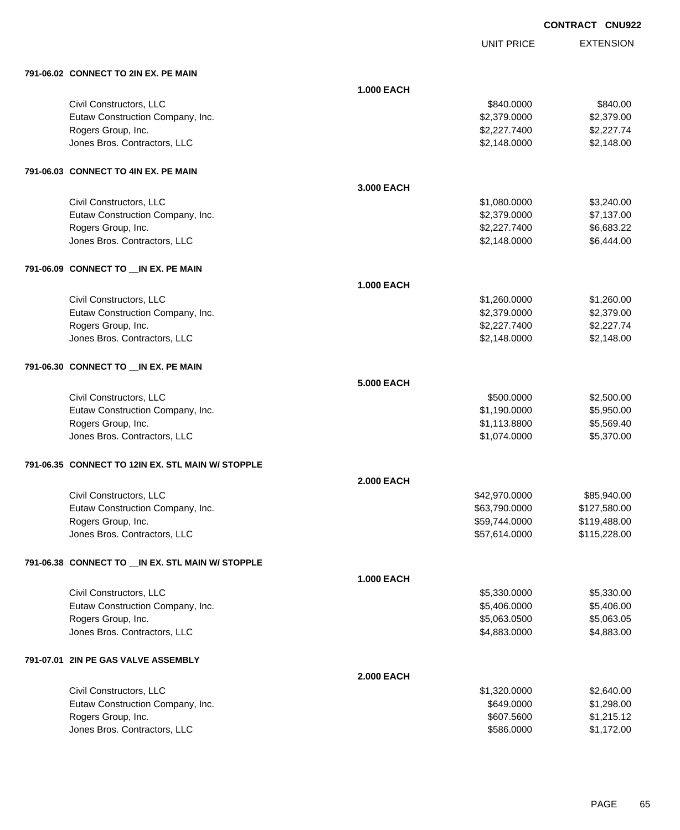UNIT PRICE

| 791-06.02 CONNECT TO 2IN EX. PE MAIN               |                   |               |              |
|----------------------------------------------------|-------------------|---------------|--------------|
|                                                    | <b>1.000 EACH</b> |               |              |
| Civil Constructors, LLC                            |                   | \$840.0000    | \$840.00     |
| Eutaw Construction Company, Inc.                   |                   | \$2,379.0000  | \$2,379.00   |
| Rogers Group, Inc.                                 |                   | \$2,227.7400  | \$2,227.74   |
| Jones Bros. Contractors, LLC                       |                   | \$2,148.0000  | \$2,148.00   |
| 791-06.03 CONNECT TO 4IN EX. PE MAIN               |                   |               |              |
|                                                    | 3.000 EACH        |               |              |
| Civil Constructors, LLC                            |                   | \$1,080.0000  | \$3,240.00   |
| Eutaw Construction Company, Inc.                   |                   | \$2,379.0000  | \$7,137.00   |
| Rogers Group, Inc.                                 |                   | \$2,227.7400  | \$6,683.22   |
| Jones Bros. Contractors, LLC                       |                   | \$2,148.0000  | \$6,444.00   |
| 791-06.09 CONNECT TO __IN EX. PE MAIN              |                   |               |              |
|                                                    | <b>1.000 EACH</b> |               |              |
| Civil Constructors, LLC                            |                   | \$1,260.0000  | \$1,260.00   |
| Eutaw Construction Company, Inc.                   |                   | \$2,379.0000  | \$2,379.00   |
| Rogers Group, Inc.                                 |                   | \$2,227.7400  | \$2,227.74   |
| Jones Bros. Contractors, LLC                       |                   | \$2,148.0000  | \$2,148.00   |
| 791-06.30 CONNECT TO __ IN EX. PE MAIN             |                   |               |              |
|                                                    | <b>5.000 EACH</b> |               |              |
| Civil Constructors, LLC                            |                   | \$500.0000    | \$2,500.00   |
| Eutaw Construction Company, Inc.                   |                   | \$1,190.0000  | \$5,950.00   |
| Rogers Group, Inc.                                 |                   | \$1,113.8800  | \$5,569.40   |
| Jones Bros. Contractors, LLC                       |                   | \$1,074.0000  | \$5,370.00   |
| 791-06.35 CONNECT TO 12IN EX. STL MAIN W/ STOPPLE  |                   |               |              |
|                                                    | <b>2.000 EACH</b> |               |              |
| Civil Constructors, LLC                            |                   | \$42,970.0000 | \$85,940.00  |
| Eutaw Construction Company, Inc.                   |                   | \$63,790.0000 | \$127,580.00 |
| Rogers Group, Inc.                                 |                   | \$59,744.0000 | \$119,488.00 |
| Jones Bros. Contractors, LLC                       |                   | \$57,614.0000 | \$115,228.00 |
| 791-06.38 CONNECT TO __ IN EX. STL MAIN W/ STOPPLE |                   |               |              |
|                                                    | <b>1.000 EACH</b> |               |              |
| Civil Constructors, LLC                            |                   | \$5,330.0000  | \$5,330.00   |
| Eutaw Construction Company, Inc.                   |                   | \$5,406.0000  | \$5,406.00   |
| Rogers Group, Inc.                                 |                   | \$5,063.0500  | \$5,063.05   |
| Jones Bros. Contractors, LLC                       |                   | \$4,883.0000  | \$4,883.00   |
| 791-07.01 2IN PE GAS VALVE ASSEMBLY                |                   |               |              |
|                                                    | <b>2.000 EACH</b> |               |              |
| Civil Constructors, LLC                            |                   | \$1,320.0000  | \$2,640.00   |
| Eutaw Construction Company, Inc.                   |                   | \$649.0000    | \$1,298.00   |
| Rogers Group, Inc.                                 |                   | \$607.5600    | \$1,215.12   |
| Jones Bros. Contractors, LLC                       |                   | \$586.0000    | \$1,172.00   |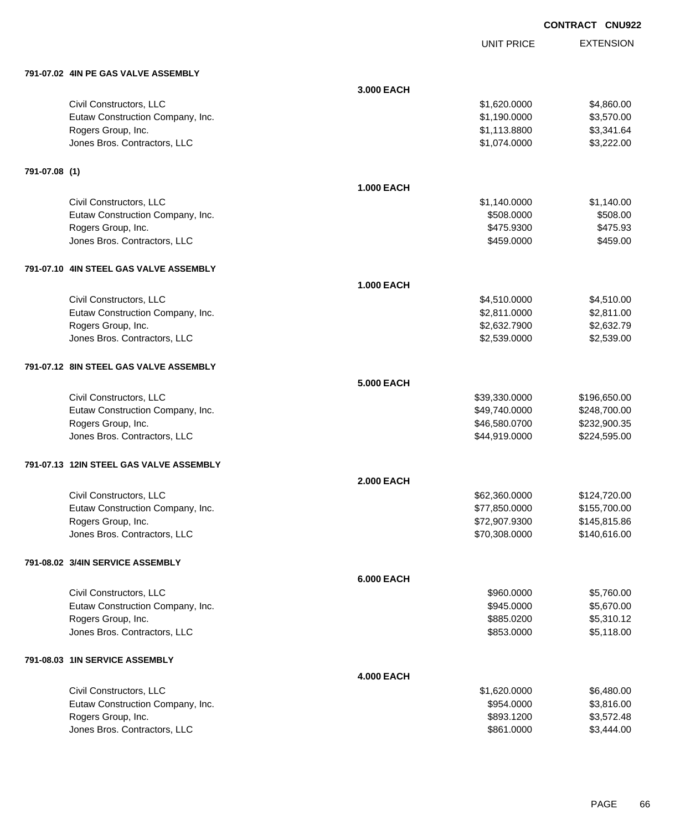UNIT PRICE

|  | 791-07.02 4IN PE GAS VALVE ASSEMBLY |
|--|-------------------------------------|

|               | 791-07.02 4IN PE GAS VALVE ASSEMBLY     |                   |               |              |
|---------------|-----------------------------------------|-------------------|---------------|--------------|
|               |                                         | 3.000 EACH        |               |              |
|               | Civil Constructors, LLC                 |                   | \$1,620.0000  | \$4,860.00   |
|               | Eutaw Construction Company, Inc.        |                   | \$1,190.0000  | \$3,570.00   |
|               | Rogers Group, Inc.                      |                   | \$1,113.8800  | \$3,341.64   |
|               | Jones Bros. Contractors, LLC            |                   | \$1,074.0000  | \$3,222.00   |
| 791-07.08 (1) |                                         |                   |               |              |
|               |                                         | <b>1.000 EACH</b> |               |              |
|               | Civil Constructors, LLC                 |                   | \$1,140.0000  | \$1,140.00   |
|               | Eutaw Construction Company, Inc.        |                   | \$508.0000    | \$508.00     |
|               | Rogers Group, Inc.                      |                   | \$475.9300    | \$475.93     |
|               | Jones Bros. Contractors, LLC            |                   | \$459.0000    | \$459.00     |
|               |                                         |                   |               |              |
|               | 791-07.10 4IN STEEL GAS VALVE ASSEMBLY  | <b>1.000 EACH</b> |               |              |
|               | Civil Constructors, LLC                 |                   | \$4,510.0000  | \$4,510.00   |
|               | Eutaw Construction Company, Inc.        |                   | \$2,811.0000  | \$2,811.00   |
|               | Rogers Group, Inc.                      |                   | \$2,632.7900  | \$2,632.79   |
|               | Jones Bros. Contractors, LLC            |                   | \$2,539.0000  | \$2,539.00   |
|               |                                         |                   |               |              |
|               | 791-07.12 8IN STEEL GAS VALVE ASSEMBLY  |                   |               |              |
|               |                                         | 5.000 EACH        |               |              |
|               | Civil Constructors, LLC                 |                   | \$39,330.0000 | \$196,650.00 |
|               | Eutaw Construction Company, Inc.        |                   | \$49,740.0000 | \$248,700.00 |
|               | Rogers Group, Inc.                      |                   | \$46,580.0700 | \$232,900.35 |
|               | Jones Bros. Contractors, LLC            |                   | \$44,919.0000 | \$224,595.00 |
|               | 791-07.13 12IN STEEL GAS VALVE ASSEMBLY |                   |               |              |
|               |                                         | <b>2.000 EACH</b> |               |              |
|               | Civil Constructors, LLC                 |                   | \$62,360.0000 | \$124,720.00 |
|               | Eutaw Construction Company, Inc.        |                   | \$77,850.0000 | \$155,700.00 |
|               | Rogers Group, Inc.                      |                   | \$72,907.9300 | \$145,815.86 |
|               | Jones Bros. Contractors, LLC            |                   | \$70,308.0000 | \$140,616.00 |
|               | 791-08.02 3/4IN SERVICE ASSEMBLY        |                   |               |              |
|               |                                         | <b>6.000 EACH</b> |               |              |
|               | Civil Constructors, LLC                 |                   | \$960.0000    | \$5,760.00   |
|               | Eutaw Construction Company, Inc.        |                   | \$945.0000    | \$5,670.00   |
|               | Rogers Group, Inc.                      |                   | \$885.0200    | \$5,310.12   |
|               | Jones Bros. Contractors, LLC            |                   | \$853.0000    | \$5,118.00   |
|               | 791-08.03 1IN SERVICE ASSEMBLY          |                   |               |              |
|               |                                         | <b>4.000 EACH</b> |               |              |
|               | Civil Constructors, LLC                 |                   | \$1,620.0000  | \$6,480.00   |
|               | Eutaw Construction Company, Inc.        |                   | \$954.0000    | \$3,816.00   |
|               | Rogers Group, Inc.                      |                   | \$893.1200    | \$3,572.48   |
|               | Jones Bros. Contractors, LLC            |                   | \$861.0000    | \$3,444.00   |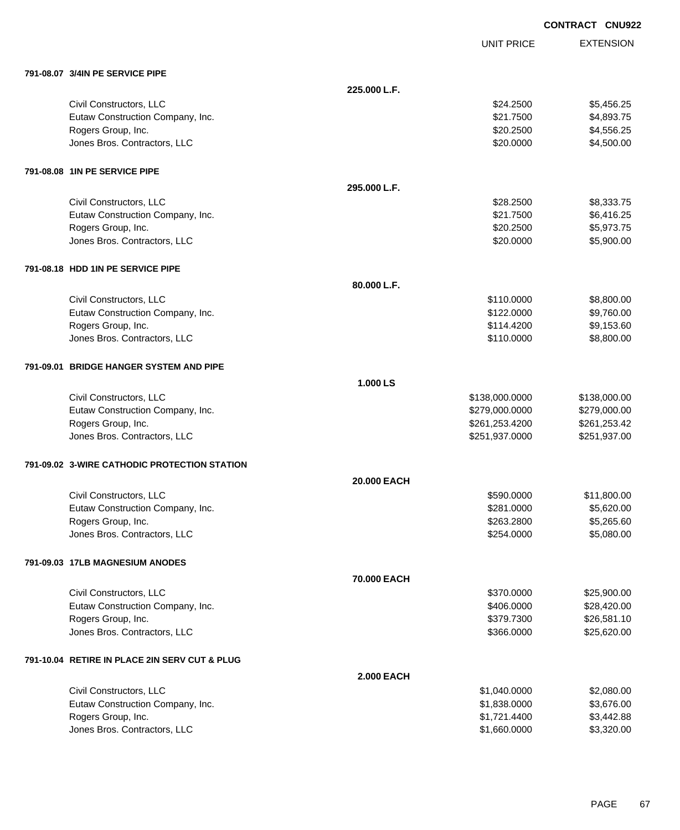| <b>CONTRACT</b> | <b>CNU922</b> |
|-----------------|---------------|
|                 |               |

UNIT PRICE

| 791-08.07 3/4IN PE SERVICE PIPE |  |  |
|---------------------------------|--|--|

| 791-08.07 3/4IN PE SERVICE PIPE               |                   |                |              |
|-----------------------------------------------|-------------------|----------------|--------------|
|                                               | 225.000 L.F.      |                |              |
| Civil Constructors, LLC                       |                   | \$24.2500      | \$5,456.25   |
| Eutaw Construction Company, Inc.              |                   | \$21.7500      | \$4,893.75   |
| Rogers Group, Inc.                            |                   | \$20.2500      | \$4,556.25   |
| Jones Bros. Contractors, LLC                  |                   | \$20.0000      | \$4,500.00   |
| 791-08.08 1IN PE SERVICE PIPE                 |                   |                |              |
|                                               | 295.000 L.F.      |                |              |
| Civil Constructors, LLC                       |                   | \$28.2500      | \$8,333.75   |
| Eutaw Construction Company, Inc.              |                   | \$21.7500      | \$6,416.25   |
| Rogers Group, Inc.                            |                   | \$20.2500      | \$5,973.75   |
| Jones Bros. Contractors, LLC                  |                   | \$20.0000      | \$5,900.00   |
| 791-08.18 HDD 1IN PE SERVICE PIPE             |                   |                |              |
|                                               | 80.000 L.F.       |                |              |
| Civil Constructors, LLC                       |                   | \$110.0000     | \$8,800.00   |
| Eutaw Construction Company, Inc.              |                   | \$122.0000     | \$9,760.00   |
| Rogers Group, Inc.                            |                   | \$114.4200     | \$9,153.60   |
| Jones Bros. Contractors, LLC                  |                   | \$110.0000     | \$8,800.00   |
| 791-09.01 BRIDGE HANGER SYSTEM AND PIPE       |                   |                |              |
|                                               | 1.000 LS          |                |              |
| Civil Constructors, LLC                       |                   | \$138,000.0000 | \$138,000.00 |
| Eutaw Construction Company, Inc.              |                   | \$279,000.0000 | \$279,000.00 |
| Rogers Group, Inc.                            |                   | \$261,253.4200 | \$261,253.42 |
| Jones Bros. Contractors, LLC                  |                   | \$251,937.0000 | \$251,937.00 |
| 791-09.02 3-WIRE CATHODIC PROTECTION STATION  |                   |                |              |
|                                               | 20.000 EACH       |                |              |
| Civil Constructors, LLC                       |                   | \$590.0000     | \$11,800.00  |
| Eutaw Construction Company, Inc.              |                   | \$281.0000     | \$5,620.00   |
| Rogers Group, Inc.                            |                   | \$263.2800     | \$5,265.60   |
| Jones Bros. Contractors, LLC                  |                   | \$254.0000     | \$5,080.00   |
| 791-09.03 17LB MAGNESIUM ANODES               |                   |                |              |
|                                               | 70.000 EACH       |                |              |
| Civil Constructors, LLC                       |                   | \$370.0000     | \$25,900.00  |
| Eutaw Construction Company, Inc.              |                   | \$406.0000     | \$28,420.00  |
| Rogers Group, Inc.                            |                   | \$379.7300     | \$26,581.10  |
| Jones Bros. Contractors, LLC                  |                   | \$366.0000     | \$25,620.00  |
| 791-10.04 RETIRE IN PLACE 2IN SERV CUT & PLUG |                   |                |              |
|                                               | <b>2.000 EACH</b> |                |              |
| Civil Constructors, LLC                       |                   | \$1,040.0000   | \$2,080.00   |
| Eutaw Construction Company, Inc.              |                   | \$1,838.0000   | \$3,676.00   |
| Rogers Group, Inc.                            |                   | \$1,721.4400   | \$3,442.88   |
| Jones Bros. Contractors, LLC                  |                   | \$1,660.0000   | \$3,320.00   |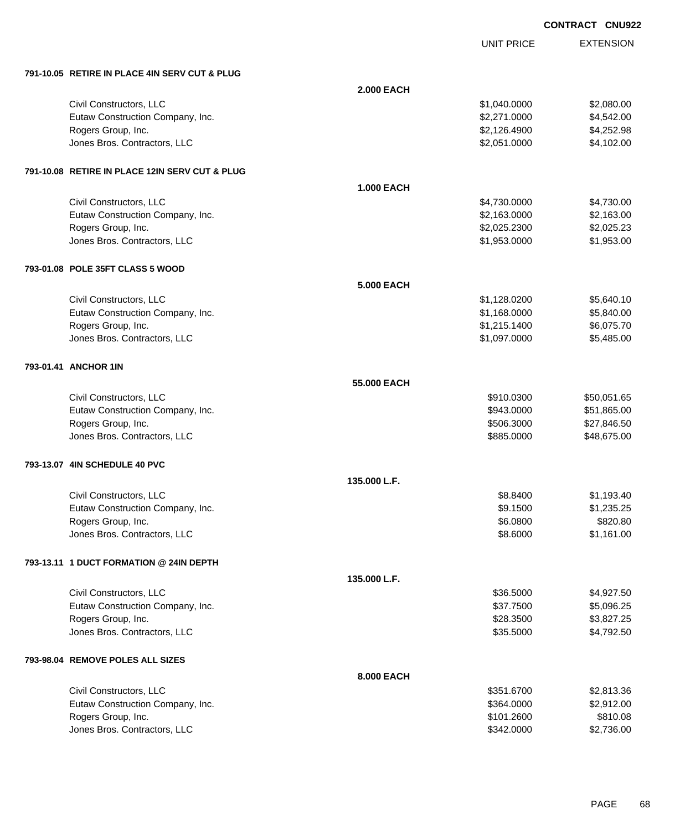| <b>CONTRACT</b> | <b>CNU922</b> |
|-----------------|---------------|
|                 |               |

|                                                |                   | <b>UNIT PRICE</b> | <b>EXTENSION</b> |
|------------------------------------------------|-------------------|-------------------|------------------|
| 791-10.05 RETIRE IN PLACE 4IN SERV CUT & PLUG  |                   |                   |                  |
|                                                | <b>2.000 EACH</b> |                   |                  |
| Civil Constructors, LLC                        |                   | \$1,040.0000      | \$2,080.00       |
| Eutaw Construction Company, Inc.               |                   | \$2,271.0000      | \$4,542.00       |
| Rogers Group, Inc.                             |                   | \$2,126.4900      | \$4,252.98       |
| Jones Bros. Contractors, LLC                   |                   | \$2,051.0000      | \$4,102.00       |
| 791-10.08 RETIRE IN PLACE 12IN SERV CUT & PLUG |                   |                   |                  |
|                                                | <b>1.000 EACH</b> |                   |                  |
| Civil Constructors, LLC                        |                   | \$4,730.0000      | \$4,730.00       |
| Eutaw Construction Company, Inc.               |                   | \$2,163.0000      | \$2,163.00       |
| Rogers Group, Inc.                             |                   | \$2,025.2300      | \$2,025.23       |
| Jones Bros. Contractors, LLC                   |                   | \$1,953.0000      | \$1,953.00       |
| 793-01.08 POLE 35FT CLASS 5 WOOD               |                   |                   |                  |
|                                                | <b>5.000 EACH</b> |                   |                  |
| Civil Constructors, LLC                        |                   | \$1,128.0200      | \$5,640.10       |
| Eutaw Construction Company, Inc.               |                   | \$1,168.0000      | \$5,840.00       |
| Rogers Group, Inc.                             |                   | \$1,215.1400      | \$6,075.70       |
| Jones Bros. Contractors, LLC                   |                   | \$1,097.0000      | \$5,485.00       |
| 793-01.41 ANCHOR 1IN                           |                   |                   |                  |
|                                                | 55.000 EACH       |                   |                  |
| Civil Constructors, LLC                        |                   | \$910.0300        | \$50,051.65      |
| Eutaw Construction Company, Inc.               |                   | \$943.0000        | \$51,865.00      |
| Rogers Group, Inc.                             |                   | \$506.3000        | \$27,846.50      |
| Jones Bros. Contractors, LLC                   |                   | \$885.0000        | \$48,675.00      |
| 793-13.07 4IN SCHEDULE 40 PVC                  |                   |                   |                  |
|                                                | 135.000 L.F.      |                   |                  |
| Civil Constructors, LLC                        |                   | \$8.8400          | \$1,193.40       |
| Eutaw Construction Company, Inc.               |                   | \$9.1500          | \$1,235.25       |
| Rogers Group, Inc.                             |                   | \$6.0800          | \$820.80         |
| Jones Bros. Contractors, LLC                   |                   | \$8.6000          | \$1,161.00       |
| 793-13.11 1 DUCT FORMATION @ 24IN DEPTH        |                   |                   |                  |
|                                                | 135.000 L.F.      |                   |                  |
| Civil Constructors, LLC                        |                   | \$36.5000         | \$4,927.50       |
| Eutaw Construction Company, Inc.               |                   | \$37.7500         | \$5,096.25       |
| Rogers Group, Inc.                             |                   | \$28.3500         | \$3,827.25       |
| Jones Bros. Contractors, LLC                   |                   | \$35.5000         | \$4,792.50       |
| 793-98.04 REMOVE POLES ALL SIZES               |                   |                   |                  |
|                                                | 8.000 EACH        |                   |                  |

| Civil Constructors, LLC          | \$351,6700 | \$2,813,36 |
|----------------------------------|------------|------------|
| Eutaw Construction Company, Inc. | \$364,0000 | \$2,912,00 |
| Rogers Group, Inc.               | \$101.2600 | \$810.08   |
| Jones Bros. Contractors, LLC     | \$342,0000 | \$2,736.00 |
|                                  |            |            |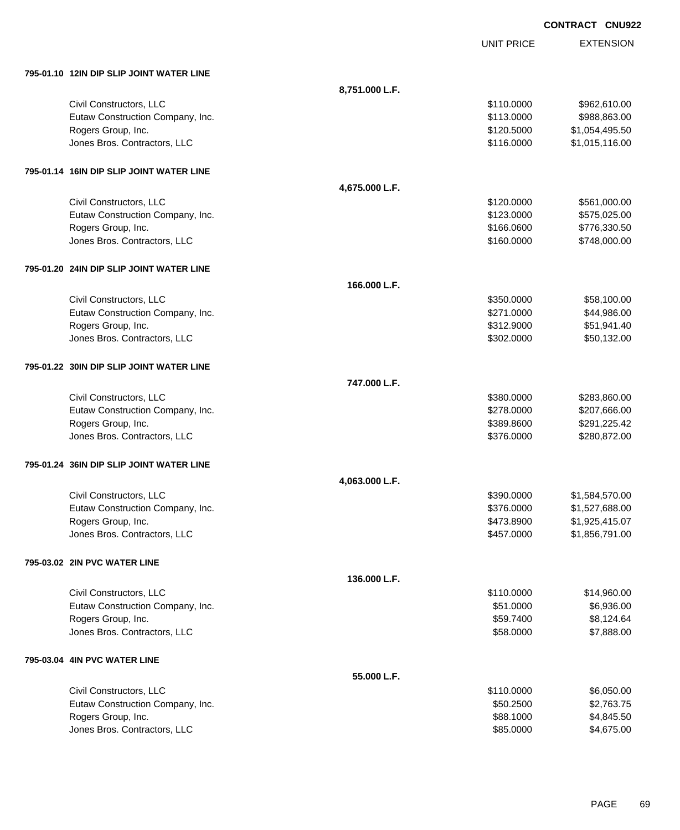|                                          |                |                   | <b>CONTRACT CNU922</b> |
|------------------------------------------|----------------|-------------------|------------------------|
|                                          |                | <b>UNIT PRICE</b> | <b>EXTENSION</b>       |
| 795-01.10 12IN DIP SLIP JOINT WATER LINE |                |                   |                        |
|                                          | 8,751.000 L.F. |                   |                        |
| Civil Constructors, LLC                  |                | \$110.0000        | \$962,610.00           |
| Eutaw Construction Company, Inc.         |                | \$113.0000        | \$988,863.00           |
| Rogers Group, Inc.                       |                | \$120.5000        | \$1,054,495.50         |
| Jones Bros. Contractors, LLC             |                | \$116.0000        | \$1,015,116.00         |
| 795-01.14 16IN DIP SLIP JOINT WATER LINE |                |                   |                        |
|                                          | 4,675.000 L.F. |                   |                        |
| Civil Constructors, LLC                  |                | \$120.0000        | \$561,000.00           |
| Eutaw Construction Company, Inc.         |                | \$123.0000        | \$575,025.00           |
| Rogers Group, Inc.                       |                | \$166.0600        | \$776,330.50           |
| Jones Bros. Contractors, LLC             |                | \$160.0000        | \$748,000.00           |
| 795-01.20 24IN DIP SLIP JOINT WATER LINE |                |                   |                        |
|                                          | 166.000 L.F.   |                   |                        |
| Civil Constructors, LLC                  |                | \$350.0000        | \$58,100.00            |
| Eutaw Construction Company, Inc.         |                | \$271.0000        | \$44,986.00            |
| Rogers Group, Inc.                       |                | \$312.9000        | \$51,941.40            |
| Jones Bros. Contractors, LLC             |                | \$302.0000        | \$50,132.00            |
| 795-01.22 30IN DIP SLIP JOINT WATER LINE |                |                   |                        |
|                                          | 747.000 L.F.   |                   |                        |
| Civil Constructors, LLC                  |                | \$380.0000        | \$283,860.00           |
| Eutaw Construction Company, Inc.         |                | \$278.0000        | \$207,666.00           |
| Rogers Group, Inc.                       |                | \$389.8600        | \$291,225.42           |
| Jones Bros. Contractors, LLC             |                | \$376.0000        | \$280,872.00           |
| 795-01.24 36IN DIP SLIP JOINT WATER LINE |                |                   |                        |
|                                          | 4,063.000 L.F. |                   |                        |
| Civil Constructors, LLC                  |                | \$390.0000        | \$1,584,570.00         |
| Eutaw Construction Company, Inc.         |                | \$376.0000        | \$1,527,688.00         |
| Rogers Group, Inc.                       |                | \$473.8900        | \$1,925,415.07         |
| Jones Bros. Contractors, LLC             |                | \$457.0000        | \$1,856,791.00         |
| 795-03.02 2IN PVC WATER LINE             |                |                   |                        |
|                                          | 136.000 L.F.   |                   |                        |
| Civil Constructors, LLC                  |                | \$110.0000        | \$14,960.00            |
| Eutaw Construction Company, Inc.         |                | \$51.0000         | \$6,936.00             |
| Rogers Group, Inc.                       |                | \$59.7400         | \$8,124.64             |
| Jones Bros. Contractors, LLC             |                | \$58.0000         | \$7,888.00             |
| 795-03.04 4IN PVC WATER LINE             |                |                   |                        |
|                                          | 55.000 L.F.    |                   |                        |
| Civil Constructors, LLC                  |                | \$110.0000        | \$6,050.00             |
| Eutaw Construction Company, Inc.         |                | \$50.2500         | \$2,763.75             |
| Rogers Group, Inc.                       |                | \$88.1000         | \$4,845.50             |
| Jones Bros. Contractors, LLC             |                | \$85.0000         | \$4,675.00             |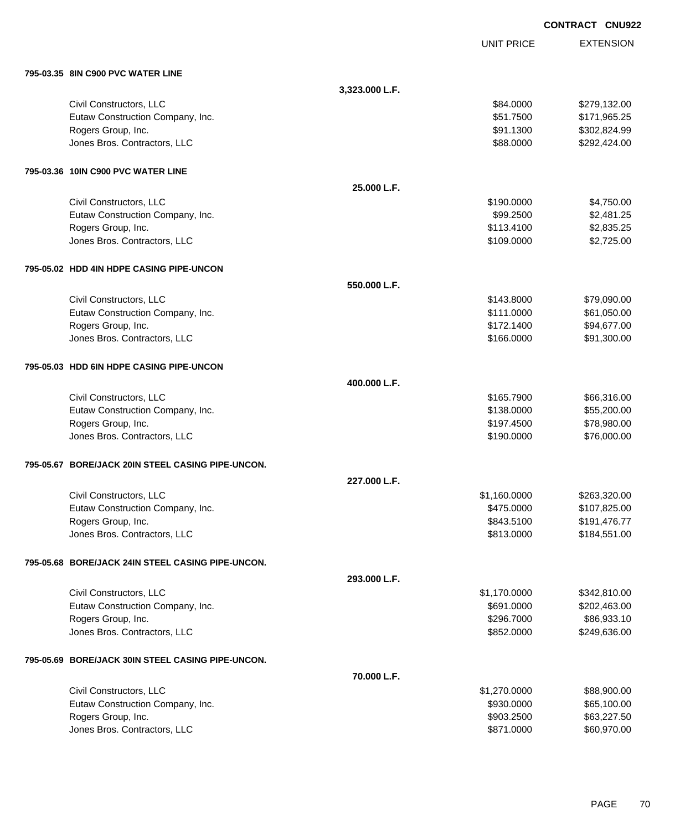|                                                    |                |                          | <b>CONTRACT CNU922</b>       |
|----------------------------------------------------|----------------|--------------------------|------------------------------|
|                                                    |                | <b>UNIT PRICE</b>        | <b>EXTENSION</b>             |
| 795-03.35 8IN C900 PVC WATER LINE                  |                |                          |                              |
|                                                    | 3,323.000 L.F. |                          |                              |
| Civil Constructors, LLC                            |                | \$84.0000                | \$279,132.00                 |
| Eutaw Construction Company, Inc.                   |                | \$51.7500                | \$171,965.25                 |
| Rogers Group, Inc.                                 |                | \$91.1300                | \$302,824.99                 |
| Jones Bros. Contractors, LLC                       |                | \$88.0000                | \$292,424.00                 |
| 795-03.36 10IN C900 PVC WATER LINE                 |                |                          |                              |
|                                                    | 25.000 L.F.    |                          |                              |
| Civil Constructors, LLC                            |                | \$190.0000               | \$4,750.00                   |
| Eutaw Construction Company, Inc.                   |                | \$99.2500                | \$2,481.25                   |
| Rogers Group, Inc.                                 |                | \$113.4100               | \$2,835.25                   |
| Jones Bros. Contractors, LLC                       |                | \$109.0000               | \$2,725.00                   |
| 795-05.02 HDD 4IN HDPE CASING PIPE-UNCON           |                |                          |                              |
|                                                    | 550.000 L.F.   |                          |                              |
| Civil Constructors, LLC                            |                | \$143.8000               | \$79,090.00                  |
| Eutaw Construction Company, Inc.                   |                | \$111.0000               | \$61,050.00                  |
| Rogers Group, Inc.                                 |                | \$172.1400               | \$94,677.00                  |
| Jones Bros. Contractors, LLC                       |                | \$166.0000               | \$91,300.00                  |
| 795-05.03 HDD 6IN HDPE CASING PIPE-UNCON           |                |                          |                              |
|                                                    | 400.000 L.F.   |                          |                              |
| Civil Constructors, LLC                            |                | \$165.7900               | \$66,316.00                  |
| Eutaw Construction Company, Inc.                   |                | \$138.0000               | \$55,200.00                  |
| Rogers Group, Inc.                                 |                | \$197.4500               | \$78,980.00                  |
| Jones Bros. Contractors, LLC                       |                | \$190.0000               | \$76,000.00                  |
| 795-05.67 BORE/JACK 20IN STEEL CASING PIPE-UNCON.  |                |                          |                              |
|                                                    | 227.000 L.F.   |                          |                              |
| Civil Constructors, LLC                            |                | \$1,160.0000             | \$263,320.00                 |
| Eutaw Construction Company, Inc.                   |                | \$475.0000               | \$107,825.00                 |
| Rogers Group, Inc.<br>Jones Bros. Contractors, LLC |                | \$843.5100<br>\$813.0000 | \$191,476.77<br>\$184,551.00 |
|                                                    |                |                          |                              |
| 795-05.68 BORE/JACK 24IN STEEL CASING PIPE-UNCON.  |                |                          |                              |
|                                                    | 293.000 L.F.   |                          |                              |
| Civil Constructors, LLC                            |                | \$1,170.0000             | \$342,810.00                 |
| Eutaw Construction Company, Inc.                   |                | \$691.0000               | \$202,463.00                 |
| Rogers Group, Inc.<br>Jones Bros. Contractors, LLC |                | \$296.7000<br>\$852.0000 | \$86,933.10<br>\$249,636.00  |
|                                                    |                |                          |                              |
| 795-05.69 BORE/JACK 30IN STEEL CASING PIPE-UNCON.  |                |                          |                              |
|                                                    | 70.000 L.F.    |                          |                              |
| Civil Constructors, LLC                            |                | \$1,270.0000             | \$88,900.00                  |
| Eutaw Construction Company, Inc.                   |                | \$930.0000               | \$65,100.00                  |
| Rogers Group, Inc.<br>Jones Bros. Contractors, LLC |                | \$903.2500<br>\$871.0000 | \$63,227.50<br>\$60,970.00   |
|                                                    |                |                          |                              |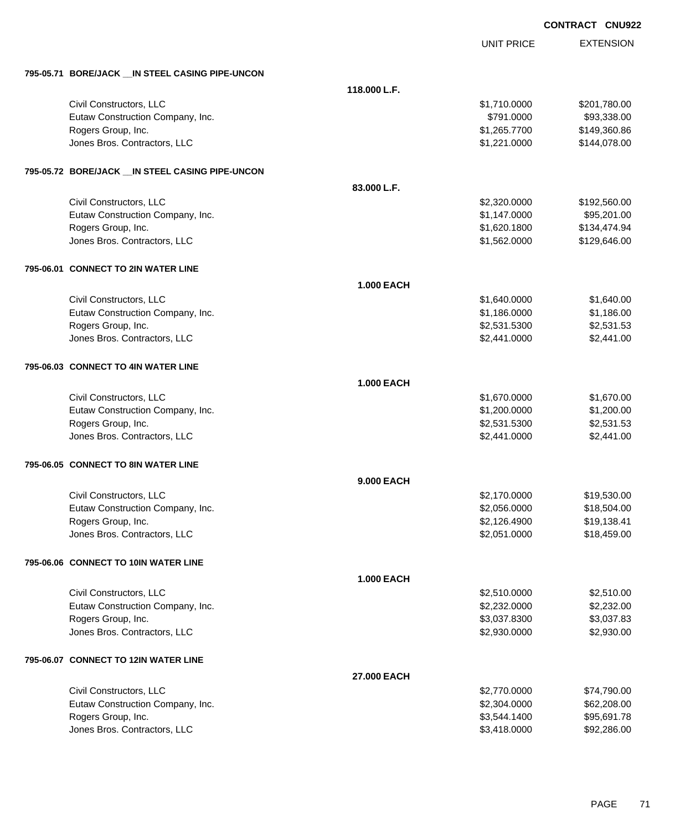|                                                   |                    |                   | <b>CONTRACT CNU922</b> |
|---------------------------------------------------|--------------------|-------------------|------------------------|
|                                                   |                    | <b>UNIT PRICE</b> | <b>EXTENSION</b>       |
|                                                   |                    |                   |                        |
| 795-05.71 BORE/JACK __ IN STEEL CASING PIPE-UNCON |                    |                   |                        |
|                                                   | 118,000 L.F.       |                   |                        |
| Civil Constructors, LLC                           |                    | \$1,710.0000      | \$201,780.00           |
| Eutaw Construction Company, Inc.                  |                    | \$791.0000        | \$93,338.00            |
| Rogers Group, Inc.                                |                    | \$1,265.7700      | \$149,360.86           |
| Jones Bros. Contractors, LLC                      |                    | \$1,221.0000      | \$144,078.00           |
| 795-05.72 BORE/JACK __ IN STEEL CASING PIPE-UNCON |                    |                   |                        |
|                                                   | 83.000 L.F.        |                   |                        |
| Civil Constructors, LLC                           |                    | \$2,320.0000      | \$192,560.00           |
| Eutaw Construction Company, Inc.                  |                    | \$1,147.0000      | \$95,201.00            |
| Rogers Group, Inc.                                |                    | \$1,620.1800      | \$134,474.94           |
| Jones Bros. Contractors, LLC                      |                    | \$1,562.0000      | \$129,646.00           |
| 795-06.01 CONNECT TO 2IN WATER LINE               |                    |                   |                        |
|                                                   | <b>1.000 EACH</b>  |                   |                        |
| Civil Constructors, LLC                           |                    | \$1,640.0000      | \$1,640.00             |
| Eutaw Construction Company, Inc.                  |                    | \$1,186.0000      | \$1,186.00             |
| Rogers Group, Inc.                                |                    | \$2,531.5300      | \$2,531.53             |
| Jones Bros. Contractors, LLC                      |                    | \$2,441.0000      | \$2,441.00             |
| 795-06.03 CONNECT TO 4IN WATER LINE               |                    |                   |                        |
|                                                   | <b>1.000 EACH</b>  |                   |                        |
| Civil Constructors, LLC                           |                    | \$1,670.0000      | \$1,670.00             |
| Eutaw Construction Company, Inc.                  |                    | \$1,200.0000      | \$1,200.00             |
| Rogers Group, Inc.                                |                    | \$2,531.5300      | \$2,531.53             |
| Jones Bros. Contractors, LLC                      |                    | \$2,441.0000      | \$2,441.00             |
| 795-06.05 CONNECT TO 8IN WATER LINE               |                    |                   |                        |
|                                                   | 9.000 EACH         |                   |                        |
| Civil Constructors, LLC                           |                    | \$2,170.0000      | \$19,530.00            |
| Eutaw Construction Company, Inc.                  |                    | \$2,056.0000      | \$18,504.00            |
| Rogers Group, Inc.                                |                    | \$2,126.4900      | \$19,138.41            |
| Jones Bros. Contractors, LLC                      |                    | \$2,051.0000      | \$18,459.00            |
| 795-06.06 CONNECT TO 10IN WATER LINE              |                    |                   |                        |
|                                                   | <b>1.000 EACH</b>  |                   |                        |
| Civil Constructors, LLC                           |                    | \$2,510.0000      | \$2,510.00             |
| Eutaw Construction Company, Inc.                  |                    | \$2,232.0000      | \$2,232.00             |
| Rogers Group, Inc.                                |                    | \$3,037.8300      | \$3,037.83             |
| Jones Bros. Contractors, LLC                      |                    | \$2,930.0000      | \$2,930.00             |
| 795-06.07 CONNECT TO 12IN WATER LINE              |                    |                   |                        |
|                                                   | <b>27.000 EACH</b> |                   |                        |
| Civil Constructors, LLC                           |                    | \$2,770.0000      | \$74,790.00            |
| Eutaw Construction Company, Inc.                  |                    | \$2,304.0000      | \$62,208.00            |
| Rogers Group, Inc.                                |                    | \$3,544.1400      | \$95,691.78            |
| Jones Bros. Contractors, LLC                      |                    | \$3,418.0000      | \$92,286.00            |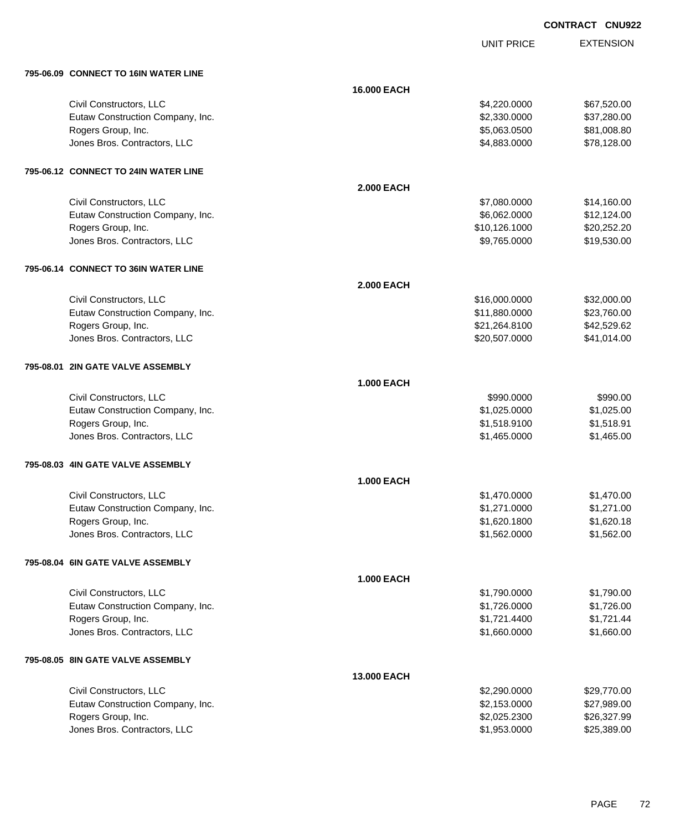UNIT PRICE EXTENSION

|  | 795-06.09 CONNECT TO 16IN WATER LINE |  |
|--|--------------------------------------|--|

| 795-06.09 CONNECT TO 16IN WATER LINE |                   |               |             |
|--------------------------------------|-------------------|---------------|-------------|
|                                      | 16.000 EACH       |               |             |
| Civil Constructors, LLC              |                   | \$4,220.0000  | \$67,520.00 |
| Eutaw Construction Company, Inc.     |                   | \$2,330.0000  | \$37,280.00 |
| Rogers Group, Inc.                   |                   | \$5,063.0500  | \$81,008.80 |
| Jones Bros. Contractors, LLC         |                   | \$4,883.0000  | \$78,128.00 |
| 795-06.12 CONNECT TO 24IN WATER LINE |                   |               |             |
|                                      | <b>2.000 EACH</b> |               |             |
| Civil Constructors, LLC              |                   | \$7,080.0000  | \$14,160.00 |
| Eutaw Construction Company, Inc.     |                   | \$6,062.0000  | \$12,124.00 |
| Rogers Group, Inc.                   |                   | \$10,126.1000 | \$20,252.20 |
| Jones Bros. Contractors, LLC         |                   | \$9,765.0000  | \$19,530.00 |
| 795-06.14 CONNECT TO 36IN WATER LINE |                   |               |             |
|                                      | <b>2.000 EACH</b> |               |             |
| Civil Constructors, LLC              |                   | \$16,000.0000 | \$32,000.00 |
| Eutaw Construction Company, Inc.     |                   | \$11,880.0000 | \$23,760.00 |
| Rogers Group, Inc.                   |                   | \$21,264.8100 | \$42,529.62 |
| Jones Bros. Contractors, LLC         |                   | \$20,507.0000 | \$41,014.00 |
| 795-08.01 2IN GATE VALVE ASSEMBLY    |                   |               |             |
|                                      | <b>1.000 EACH</b> |               |             |
| Civil Constructors, LLC              |                   | \$990.0000    | \$990.00    |
| Eutaw Construction Company, Inc.     |                   | \$1,025.0000  | \$1,025.00  |
| Rogers Group, Inc.                   |                   | \$1,518.9100  | \$1,518.91  |
| Jones Bros. Contractors, LLC         |                   | \$1,465.0000  | \$1,465.00  |
| 795-08.03 4IN GATE VALVE ASSEMBLY    |                   |               |             |
|                                      | <b>1.000 EACH</b> |               |             |
| Civil Constructors, LLC              |                   | \$1,470.0000  | \$1,470.00  |
| Eutaw Construction Company, Inc.     |                   | \$1,271.0000  | \$1,271.00  |
| Rogers Group, Inc.                   |                   | \$1,620.1800  | \$1,620.18  |
| Jones Bros. Contractors, LLC         |                   | \$1,562.0000  | \$1,562.00  |
| 795-08.04 6IN GATE VALVE ASSEMBLY    |                   |               |             |
|                                      | <b>1.000 EACH</b> |               |             |
| Civil Constructors, LLC              |                   | \$1,790.0000  | \$1,790.00  |
| Eutaw Construction Company, Inc.     |                   | \$1,726.0000  | \$1,726.00  |
| Rogers Group, Inc.                   |                   | \$1,721.4400  | \$1,721.44  |
| Jones Bros. Contractors, LLC         |                   | \$1,660.0000  | \$1,660.00  |
| 795-08.05 8IN GATE VALVE ASSEMBLY    |                   |               |             |
|                                      | 13.000 EACH       |               |             |
| Civil Constructors, LLC              |                   | \$2,290.0000  | \$29,770.00 |
| Eutaw Construction Company, Inc.     |                   | \$2,153.0000  | \$27,989.00 |
| Rogers Group, Inc.                   |                   | \$2,025.2300  | \$26,327.99 |
| Jones Bros. Contractors, LLC         |                   | \$1,953.0000  | \$25,389.00 |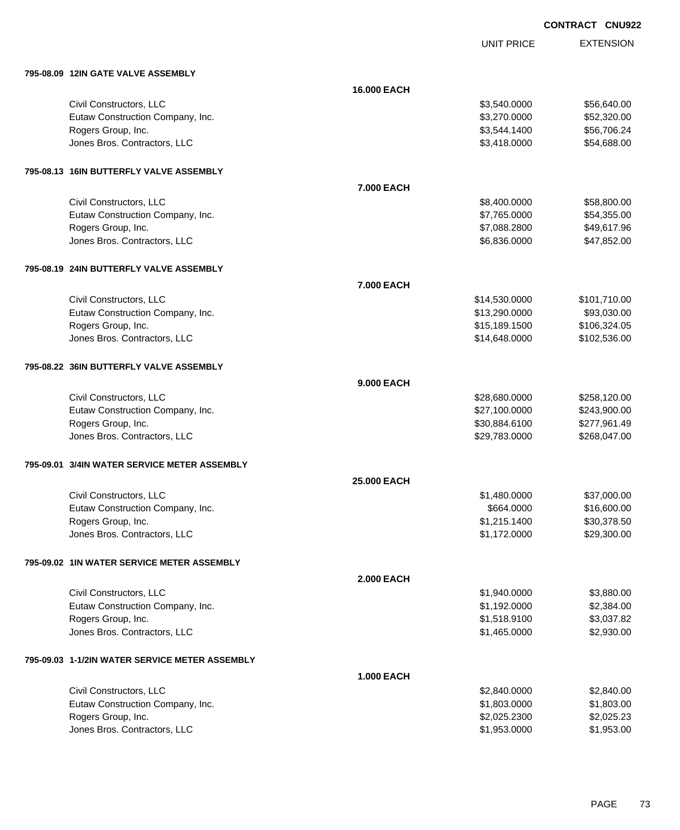| <b>CONTRACT CNU922</b> |  |
|------------------------|--|
|                        |  |

UNIT PRICE

| 795-08.09 12IN GATE VALVE ASSEMBLY                 |                   |               |                            |
|----------------------------------------------------|-------------------|---------------|----------------------------|
|                                                    | 16.000 EACH       |               |                            |
| Civil Constructors, LLC                            |                   | \$3,540.0000  | \$56,640.00                |
| Eutaw Construction Company, Inc.                   |                   | \$3,270.0000  | \$52,320.00                |
| Rogers Group, Inc.                                 |                   | \$3,544.1400  | \$56,706.24                |
| Jones Bros. Contractors, LLC                       |                   | \$3,418.0000  | \$54,688.00                |
|                                                    |                   |               |                            |
| 795-08.13 16IN BUTTERFLY VALVE ASSEMBLY            |                   |               |                            |
|                                                    |                   |               |                            |
|                                                    | 7.000 EACH        |               |                            |
| Civil Constructors, LLC                            |                   | \$8,400.0000  | \$58,800.00                |
| Eutaw Construction Company, Inc.                   |                   | \$7,765.0000  | \$54,355.00                |
| Rogers Group, Inc.<br>Jones Bros. Contractors, LLC |                   | \$7,088.2800  | \$49,617.96<br>\$47,852.00 |
|                                                    |                   | \$6,836.0000  |                            |
|                                                    |                   |               |                            |
| 795-08.19 24IN BUTTERFLY VALVE ASSEMBLY            |                   |               |                            |
|                                                    | 7.000 EACH        |               |                            |
| Civil Constructors, LLC                            |                   | \$14,530.0000 | \$101,710.00               |
| Eutaw Construction Company, Inc.                   |                   | \$13,290.0000 | \$93,030.00                |
| Rogers Group, Inc.                                 |                   | \$15,189.1500 | \$106,324.05               |
| Jones Bros. Contractors, LLC                       |                   | \$14,648.0000 | \$102,536.00               |
|                                                    |                   |               |                            |
| 795-08.22 36IN BUTTERFLY VALVE ASSEMBLY            |                   |               |                            |
|                                                    | 9.000 EACH        |               |                            |
| Civil Constructors, LLC                            |                   | \$28,680.0000 | \$258,120.00               |
| Eutaw Construction Company, Inc.                   |                   | \$27,100.0000 | \$243,900.00               |
| Rogers Group, Inc.                                 |                   | \$30,884.6100 | \$277,961.49               |
| Jones Bros. Contractors, LLC                       |                   | \$29,783.0000 | \$268,047.00               |
|                                                    |                   |               |                            |
| 795-09.01 3/4IN WATER SERVICE METER ASSEMBLY       |                   |               |                            |
|                                                    | 25.000 EACH       |               |                            |
| Civil Constructors, LLC                            |                   | \$1,480.0000  | \$37,000.00                |
| Eutaw Construction Company, Inc.                   |                   | \$664.0000    | \$16,600.00                |
| Rogers Group, Inc.                                 |                   | \$1,215.1400  | \$30,378.50                |
| Jones Bros. Contractors, LLC                       |                   | \$1,172.0000  | \$29,300.00                |
|                                                    |                   |               |                            |
| 795-09.02 1IN WATER SERVICE METER ASSEMBLY         |                   |               |                            |
|                                                    | <b>2.000 EACH</b> |               |                            |
| Civil Constructors, LLC                            |                   | \$1,940.0000  | \$3,880.00                 |
| Eutaw Construction Company, Inc.                   |                   | \$1,192.0000  | \$2,384.00                 |
| Rogers Group, Inc.                                 |                   | \$1,518.9100  | \$3,037.82                 |
| Jones Bros. Contractors, LLC                       |                   | \$1,465.0000  | \$2,930.00                 |
|                                                    |                   |               |                            |
| 795-09.03 1-1/2IN WATER SERVICE METER ASSEMBLY     |                   |               |                            |
|                                                    |                   |               |                            |
|                                                    | <b>1.000 EACH</b> |               |                            |
| Civil Constructors, LLC                            |                   | \$2,840.0000  | \$2,840.00                 |
| Eutaw Construction Company, Inc.                   |                   | \$1,803.0000  | \$1,803.00                 |
| Rogers Group, Inc.                                 |                   | \$2,025.2300  | \$2,025.23                 |
| Jones Bros. Contractors, LLC                       |                   | \$1,953.0000  | \$1,953.00                 |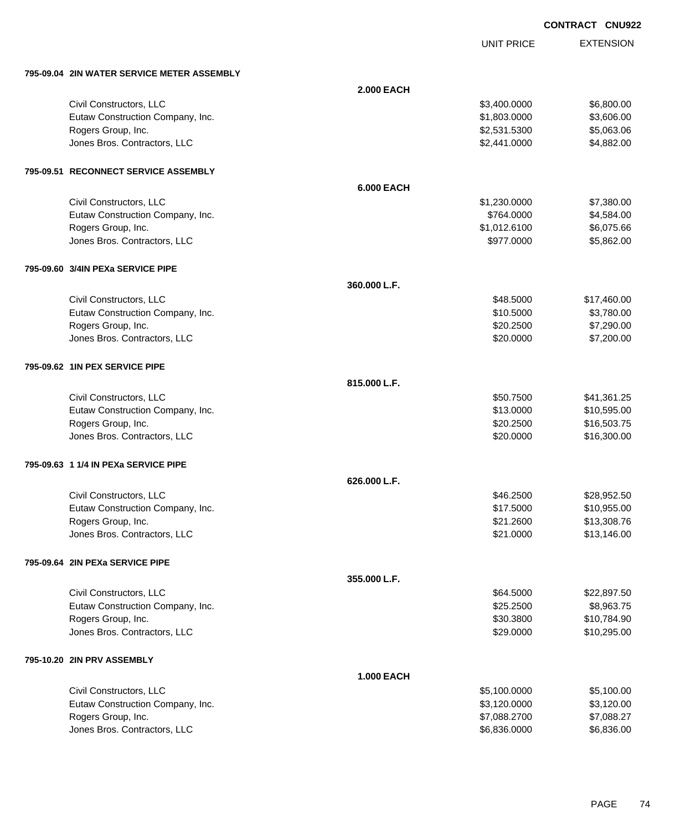UNIT PRICE EXTENSION

| 795-09.04 2IN WATER SERVICE METER ASSEMBLY |                   |              |             |
|--------------------------------------------|-------------------|--------------|-------------|
|                                            | <b>2.000 EACH</b> |              |             |
| Civil Constructors, LLC                    |                   | \$3,400.0000 | \$6,800.00  |
| Eutaw Construction Company, Inc.           |                   | \$1,803.0000 | \$3,606.00  |
| Rogers Group, Inc.                         |                   | \$2,531.5300 | \$5,063.06  |
| Jones Bros. Contractors, LLC               |                   | \$2,441.0000 | \$4,882.00  |
| 795-09.51 RECONNECT SERVICE ASSEMBLY       |                   |              |             |
|                                            | <b>6.000 EACH</b> |              |             |
| Civil Constructors, LLC                    |                   | \$1,230.0000 | \$7,380.00  |
| Eutaw Construction Company, Inc.           |                   | \$764.0000   | \$4,584.00  |
| Rogers Group, Inc.                         |                   | \$1,012.6100 | \$6,075.66  |
| Jones Bros. Contractors, LLC               |                   | \$977.0000   | \$5,862.00  |
| 795-09.60 3/4IN PEXa SERVICE PIPE          |                   |              |             |
|                                            | 360.000 L.F.      |              |             |
| Civil Constructors, LLC                    |                   | \$48.5000    | \$17,460.00 |
| Eutaw Construction Company, Inc.           |                   | \$10.5000    | \$3,780.00  |
| Rogers Group, Inc.                         |                   | \$20.2500    | \$7,290.00  |
| Jones Bros. Contractors, LLC               |                   | \$20.0000    | \$7,200.00  |
| 795-09.62 1IN PEX SERVICE PIPE             |                   |              |             |
|                                            | 815.000 L.F.      |              |             |
| Civil Constructors, LLC                    |                   | \$50.7500    | \$41,361.25 |
| Eutaw Construction Company, Inc.           |                   | \$13.0000    | \$10,595.00 |
| Rogers Group, Inc.                         |                   | \$20.2500    | \$16,503.75 |
| Jones Bros. Contractors, LLC               |                   | \$20.0000    | \$16,300.00 |
| 795-09.63 1 1/4 IN PEXa SERVICE PIPE       |                   |              |             |
|                                            | 626.000 L.F.      |              |             |
| Civil Constructors, LLC                    |                   | \$46.2500    | \$28,952.50 |
| Eutaw Construction Company, Inc.           |                   | \$17.5000    | \$10,955.00 |
| Rogers Group, Inc.                         |                   | \$21.2600    | \$13,308.76 |
| Jones Bros. Contractors, LLC               |                   | \$21.0000    | \$13,146.00 |
| 795-09.64 2IN PEXa SERVICE PIPE            |                   |              |             |
|                                            | 355.000 L.F.      |              |             |
| Civil Constructors, LLC                    |                   | \$64.5000    | \$22,897.50 |
| Eutaw Construction Company, Inc.           |                   | \$25.2500    | \$8,963.75  |
| Rogers Group, Inc.                         |                   | \$30.3800    | \$10,784.90 |
| Jones Bros. Contractors, LLC               |                   | \$29.0000    | \$10,295.00 |
| 795-10.20 2IN PRV ASSEMBLY                 |                   |              |             |
|                                            | <b>1.000 EACH</b> |              |             |
| Civil Constructors, LLC                    |                   | \$5,100.0000 | \$5,100.00  |
| Eutaw Construction Company, Inc.           |                   | \$3,120.0000 | \$3,120.00  |
| Rogers Group, Inc.                         |                   | \$7,088.2700 | \$7,088.27  |
| Jones Bros. Contractors, LLC               |                   | \$6,836.0000 | \$6,836.00  |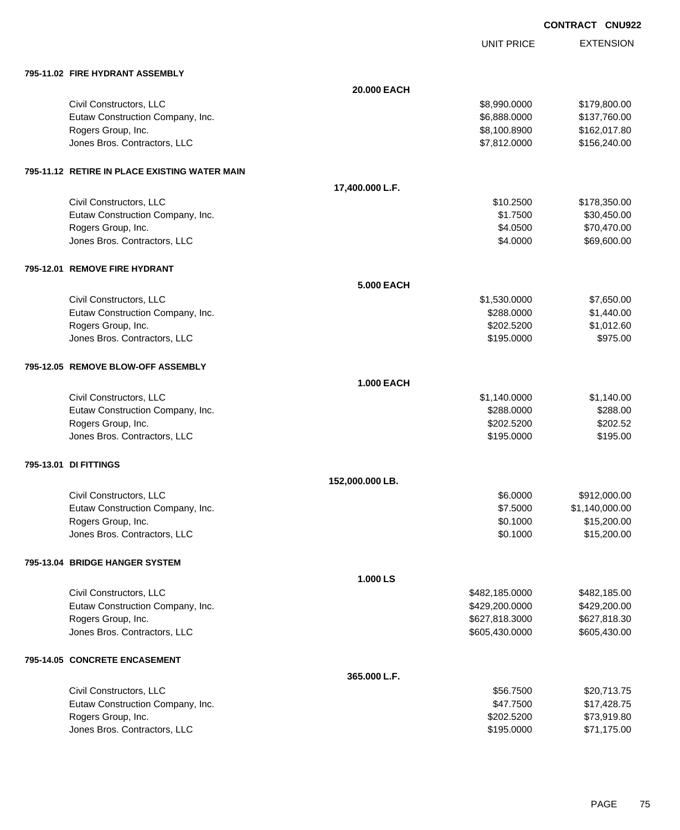| <b>CONTRACT</b> | <b>CNU922</b> |
|-----------------|---------------|
|                 |               |

UNIT PRICE

| 795-11.02 FIRE HYDRANT ASSEMBLY                        |                   |                         |                            |
|--------------------------------------------------------|-------------------|-------------------------|----------------------------|
|                                                        | 20.000 EACH       |                         |                            |
| Civil Constructors, LLC                                |                   | \$8,990.0000            | \$179,800.00               |
| Eutaw Construction Company, Inc.                       |                   | \$6,888.0000            | \$137,760.00               |
| Rogers Group, Inc.                                     |                   | \$8,100.8900            | \$162,017.80               |
| Jones Bros. Contractors, LLC                           |                   | \$7,812.0000            | \$156,240.00               |
|                                                        |                   |                         |                            |
| 795-11.12 RETIRE IN PLACE EXISTING WATER MAIN          |                   |                         |                            |
|                                                        | 17,400.000 L.F.   |                         |                            |
| Civil Constructors, LLC                                |                   | \$10.2500               | \$178,350.00               |
| Eutaw Construction Company, Inc.                       |                   | \$1.7500                | \$30,450.00                |
| Rogers Group, Inc.                                     |                   | \$4.0500                | \$70,470.00                |
| Jones Bros. Contractors, LLC                           |                   | \$4.0000                | \$69,600.00                |
| 795-12.01 REMOVE FIRE HYDRANT                          |                   |                         |                            |
|                                                        | <b>5.000 EACH</b> |                         |                            |
| Civil Constructors, LLC                                |                   | \$1,530.0000            | \$7,650.00                 |
| Eutaw Construction Company, Inc.                       |                   | \$288.0000              | \$1,440.00                 |
| Rogers Group, Inc.                                     |                   | \$202.5200              | \$1,012.60                 |
| Jones Bros. Contractors, LLC                           |                   | \$195.0000              | \$975.00                   |
|                                                        |                   |                         |                            |
| 795-12.05 REMOVE BLOW-OFF ASSEMBLY                     |                   |                         |                            |
|                                                        | <b>1.000 EACH</b> |                         |                            |
| Civil Constructors, LLC                                |                   | \$1,140.0000            | \$1,140.00                 |
| Eutaw Construction Company, Inc.                       |                   | \$288.0000              | \$288.00                   |
| Rogers Group, Inc.                                     |                   | \$202.5200              | \$202.52                   |
| Jones Bros. Contractors, LLC                           |                   | \$195.0000              | \$195.00                   |
| 795-13.01 DI FITTINGS                                  |                   |                         |                            |
|                                                        | 152,000.000 LB.   |                         |                            |
| Civil Constructors, LLC                                |                   | \$6.0000                | \$912,000.00               |
| Eutaw Construction Company, Inc.                       |                   | \$7.5000                | \$1,140,000.00             |
| Rogers Group, Inc.                                     |                   | \$0.1000                | \$15,200.00                |
| Jones Bros. Contractors, LLC                           |                   | \$0.1000                | \$15,200.00                |
| 795-13.04 BRIDGE HANGER SYSTEM                         |                   |                         |                            |
|                                                        | 1.000 LS          |                         |                            |
| Civil Constructors, LLC                                |                   | \$482,185.0000          | \$482,185.00               |
| Eutaw Construction Company, Inc.                       |                   | \$429,200.0000          | \$429,200.00               |
| Rogers Group, Inc.                                     |                   | \$627,818.3000          | \$627,818.30               |
| Jones Bros. Contractors, LLC                           |                   | \$605,430.0000          | \$605,430.00               |
|                                                        |                   |                         |                            |
| 795-14.05 CONCRETE ENCASEMENT                          |                   |                         |                            |
|                                                        | 365.000 L.F.      |                         |                            |
| Civil Constructors, LLC                                |                   | \$56.7500               | \$20,713.75                |
| Eutaw Construction Company, Inc.<br>Rogers Group, Inc. |                   | \$47.7500<br>\$202.5200 | \$17,428.75<br>\$73,919.80 |
| Jones Bros. Contractors, LLC                           |                   | \$195.0000              | \$71,175.00                |
|                                                        |                   |                         |                            |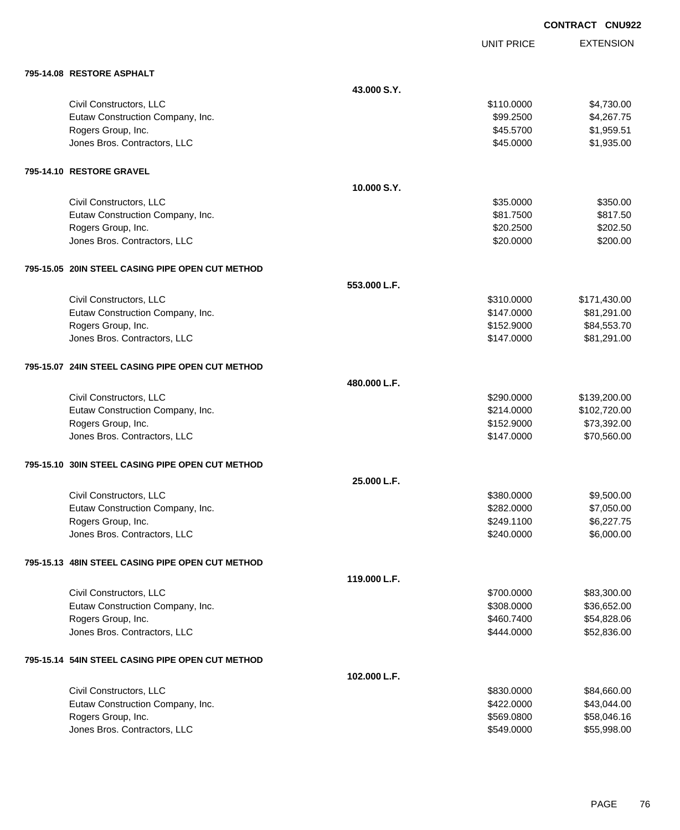EXTENSION **CONTRACT CNU922**

UNIT PRICE

| 795-14.08 RESTORE ASPHALT                        |              |            |              |
|--------------------------------------------------|--------------|------------|--------------|
|                                                  | 43.000 S.Y.  |            |              |
| Civil Constructors, LLC                          |              | \$110.0000 | \$4,730.00   |
| Eutaw Construction Company, Inc.                 |              | \$99.2500  | \$4,267.75   |
| Rogers Group, Inc.                               |              | \$45.5700  | \$1,959.51   |
| Jones Bros. Contractors, LLC                     |              | \$45.0000  | \$1,935.00   |
| 795-14.10 RESTORE GRAVEL                         |              |            |              |
|                                                  | 10.000 S.Y.  |            |              |
| Civil Constructors, LLC                          |              | \$35.0000  | \$350.00     |
| Eutaw Construction Company, Inc.                 |              | \$81.7500  | \$817.50     |
| Rogers Group, Inc.                               |              | \$20.2500  | \$202.50     |
| Jones Bros. Contractors, LLC                     |              | \$20.0000  | \$200.00     |
| 795-15.05 20IN STEEL CASING PIPE OPEN CUT METHOD |              |            |              |
|                                                  | 553.000 L.F. |            |              |
| Civil Constructors, LLC                          |              | \$310.0000 | \$171,430.00 |
| Eutaw Construction Company, Inc.                 |              | \$147.0000 | \$81,291.00  |
| Rogers Group, Inc.                               |              | \$152.9000 | \$84,553.70  |
| Jones Bros. Contractors, LLC                     |              | \$147.0000 | \$81,291.00  |
| 795-15.07 24IN STEEL CASING PIPE OPEN CUT METHOD |              |            |              |
|                                                  | 480.000 L.F. |            |              |
| Civil Constructors, LLC                          |              | \$290.0000 | \$139,200.00 |
| Eutaw Construction Company, Inc.                 |              | \$214.0000 | \$102,720.00 |
| Rogers Group, Inc.                               |              | \$152.9000 | \$73,392.00  |
| Jones Bros. Contractors, LLC                     |              | \$147.0000 | \$70,560.00  |
| 795-15.10 30IN STEEL CASING PIPE OPEN CUT METHOD |              |            |              |
|                                                  | 25.000 L.F.  |            |              |
| Civil Constructors, LLC                          |              | \$380,0000 | \$9,500.00   |
| Eutaw Construction Company, Inc.                 |              | \$282.0000 | \$7,050.00   |
| Rogers Group, Inc.                               |              | \$249.1100 | \$6,227.75   |
| Jones Bros. Contractors, LLC                     |              | \$240.0000 | \$6,000.00   |
| 795-15.13 48IN STEEL CASING PIPE OPEN CUT METHOD |              |            |              |
|                                                  | 119.000 L.F. |            |              |
| Civil Constructors, LLC                          |              | \$700.0000 | \$83,300.00  |
| Eutaw Construction Company, Inc.                 |              | \$308.0000 | \$36,652.00  |
| Rogers Group, Inc.                               |              | \$460.7400 | \$54,828.06  |
| Jones Bros. Contractors, LLC                     |              | \$444.0000 | \$52,836.00  |
| 795-15.14 54IN STEEL CASING PIPE OPEN CUT METHOD |              |            |              |
|                                                  | 102.000 L.F. |            |              |
| Civil Constructors, LLC                          |              | \$830.0000 | \$84,660.00  |
| Eutaw Construction Company, Inc.                 |              | \$422.0000 | \$43,044.00  |
| Rogers Group, Inc.                               |              | \$569.0800 | \$58,046.16  |
| Jones Bros. Contractors, LLC                     |              | \$549.0000 | \$55,998.00  |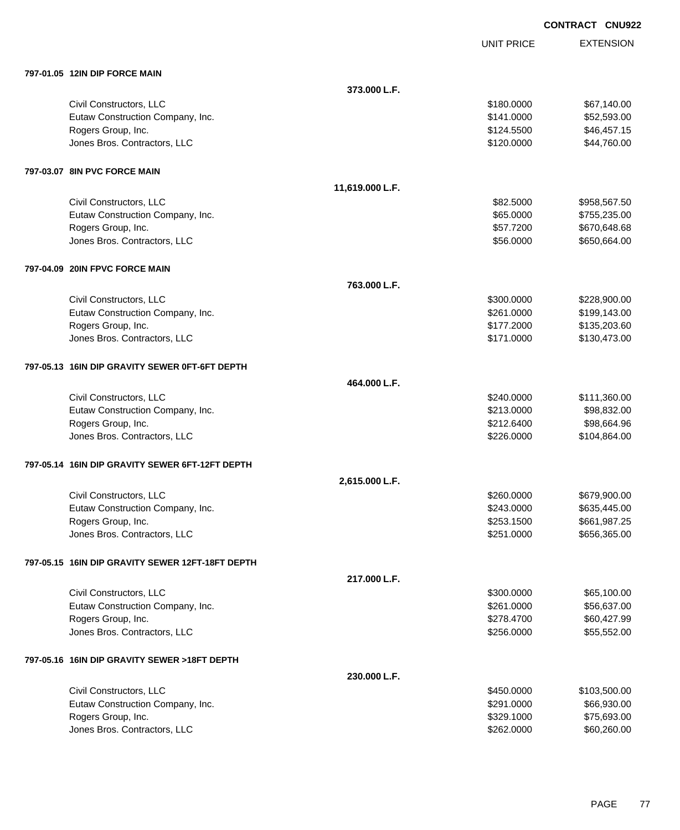|            | <b>CONTRACT CNU922</b> |                  |
|------------|------------------------|------------------|
| UNIT PRICE |                        | <b>EXTENSION</b> |
|            |                        |                  |

| 797-01.05 12IN DIP FORCE MAIN |  |
|-------------------------------|--|

| 797-01.05 12IN DIP FORCE MAIN                    |                 |            |              |
|--------------------------------------------------|-----------------|------------|--------------|
|                                                  | 373.000 L.F.    |            |              |
| Civil Constructors, LLC                          |                 | \$180.0000 | \$67,140.00  |
| Eutaw Construction Company, Inc.                 |                 | \$141.0000 | \$52,593.00  |
| Rogers Group, Inc.                               |                 | \$124.5500 | \$46,457.15  |
| Jones Bros. Contractors, LLC                     |                 | \$120.0000 | \$44,760.00  |
| 797-03.07 8IN PVC FORCE MAIN                     |                 |            |              |
|                                                  | 11,619.000 L.F. |            |              |
| Civil Constructors, LLC                          |                 | \$82.5000  | \$958,567.50 |
| Eutaw Construction Company, Inc.                 |                 | \$65.0000  | \$755,235.00 |
| Rogers Group, Inc.                               |                 | \$57.7200  | \$670,648.68 |
| Jones Bros. Contractors, LLC                     |                 | \$56.0000  | \$650,664.00 |
| 797-04.09 20IN FPVC FORCE MAIN                   |                 |            |              |
|                                                  | 763.000 L.F.    |            |              |
| Civil Constructors, LLC                          |                 | \$300.0000 | \$228,900.00 |
| Eutaw Construction Company, Inc.                 |                 | \$261.0000 | \$199,143.00 |
| Rogers Group, Inc.                               |                 | \$177.2000 | \$135,203.60 |
| Jones Bros. Contractors, LLC                     |                 | \$171.0000 | \$130,473.00 |
| 797-05.13 16IN DIP GRAVITY SEWER 0FT-6FT DEPTH   |                 |            |              |
|                                                  | 464.000 L.F.    |            |              |
| Civil Constructors, LLC                          |                 | \$240.0000 | \$111,360.00 |
| Eutaw Construction Company, Inc.                 |                 | \$213.0000 | \$98,832.00  |
| Rogers Group, Inc.                               |                 | \$212.6400 | \$98,664.96  |
| Jones Bros. Contractors, LLC                     |                 | \$226.0000 | \$104,864.00 |
| 797-05.14 16IN DIP GRAVITY SEWER 6FT-12FT DEPTH  |                 |            |              |
|                                                  | 2,615.000 L.F.  |            |              |
| Civil Constructors, LLC                          |                 | \$260.0000 | \$679,900.00 |
| Eutaw Construction Company, Inc.                 |                 | \$243.0000 | \$635,445.00 |
| Rogers Group, Inc.                               |                 | \$253.1500 | \$661,987.25 |
| Jones Bros. Contractors, LLC                     |                 | \$251.0000 | \$656,365.00 |
| 797-05.15 16IN DIP GRAVITY SEWER 12FT-18FT DEPTH |                 |            |              |
|                                                  | 217.000 L.F.    |            |              |
| Civil Constructors, LLC                          |                 | \$300.0000 | \$65,100.00  |
| Eutaw Construction Company, Inc.                 |                 | \$261.0000 | \$56,637.00  |
| Rogers Group, Inc.                               |                 | \$278.4700 | \$60,427.99  |
| Jones Bros. Contractors, LLC                     |                 | \$256.0000 | \$55,552.00  |
| 797-05.16 16IN DIP GRAVITY SEWER >18FT DEPTH     |                 |            |              |
|                                                  | 230.000 L.F.    |            |              |
| Civil Constructors, LLC                          |                 | \$450.0000 | \$103,500.00 |
| Eutaw Construction Company, Inc.                 |                 | \$291.0000 | \$66,930.00  |
| Rogers Group, Inc.                               |                 | \$329.1000 | \$75,693.00  |
| Jones Bros. Contractors, LLC                     |                 | \$262.0000 | \$60,260.00  |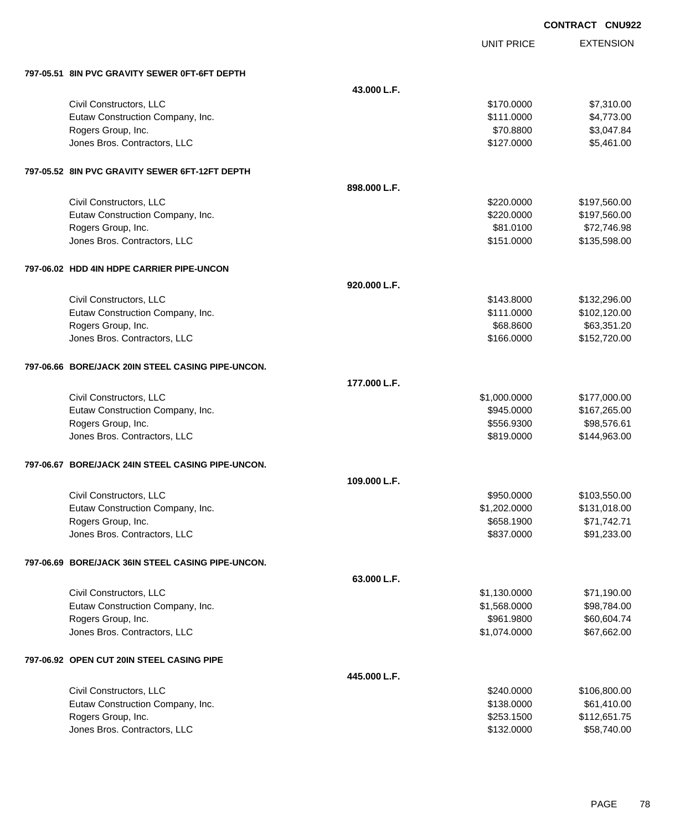|     |            | <b>CONTRACT CNU922</b> |  |
|-----|------------|------------------------|--|
|     | UNIT PRICE | <b>EXTENSION</b>       |  |
|     |            |                        |  |
| .F. |            |                        |  |

# **797-05.51 8IN PVC GRAVITY SEWER 0FT-6FT DEPTH**

| 797-05.51 8IN PVC GRAVIIY SEWER 0FT-6FT DEPTH     |              |              |              |
|---------------------------------------------------|--------------|--------------|--------------|
|                                                   | 43.000 L.F.  |              |              |
| Civil Constructors, LLC                           |              | \$170.0000   | \$7,310.00   |
| Eutaw Construction Company, Inc.                  |              | \$111.0000   | \$4,773.00   |
| Rogers Group, Inc.                                |              | \$70.8800    | \$3,047.84   |
| Jones Bros. Contractors, LLC                      |              | \$127.0000   | \$5,461.00   |
| 797-05.52 8IN PVC GRAVITY SEWER 6FT-12FT DEPTH    |              |              |              |
|                                                   | 898.000 L.F. |              |              |
| Civil Constructors, LLC                           |              | \$220.0000   | \$197,560.00 |
| Eutaw Construction Company, Inc.                  |              | \$220.0000   | \$197,560.00 |
| Rogers Group, Inc.                                |              | \$81.0100    | \$72,746.98  |
| Jones Bros. Contractors, LLC                      |              | \$151.0000   | \$135,598.00 |
| 797-06.02 HDD 4IN HDPE CARRIER PIPE-UNCON         |              |              |              |
|                                                   | 920.000 L.F. |              |              |
| Civil Constructors, LLC                           |              | \$143.8000   | \$132,296.00 |
| Eutaw Construction Company, Inc.                  |              | \$111.0000   | \$102,120.00 |
| Rogers Group, Inc.                                |              | \$68.8600    | \$63,351.20  |
| Jones Bros. Contractors, LLC                      |              | \$166.0000   | \$152,720.00 |
| 797-06.66 BORE/JACK 20IN STEEL CASING PIPE-UNCON. |              |              |              |
|                                                   | 177.000 L.F. |              |              |
| Civil Constructors, LLC                           |              | \$1,000.0000 | \$177,000.00 |
| Eutaw Construction Company, Inc.                  |              | \$945.0000   | \$167,265.00 |
| Rogers Group, Inc.                                |              | \$556.9300   | \$98,576.61  |
| Jones Bros. Contractors, LLC                      |              | \$819.0000   | \$144,963.00 |
| 797-06.67 BORE/JACK 24IN STEEL CASING PIPE-UNCON. |              |              |              |
|                                                   | 109.000 L.F. |              |              |
| Civil Constructors, LLC                           |              | \$950.0000   | \$103,550.00 |
| Eutaw Construction Company, Inc.                  |              | \$1,202.0000 | \$131,018.00 |
| Rogers Group, Inc.                                |              | \$658.1900   | \$71,742.71  |
| Jones Bros. Contractors, LLC                      |              | \$837.0000   | \$91,233.00  |
| 797-06.69 BORE/JACK 36IN STEEL CASING PIPE-UNCON. |              |              |              |
|                                                   | 63.000 L.F.  |              |              |
| Civil Constructors, LLC                           |              | \$1,130.0000 | \$71,190.00  |
| Eutaw Construction Company, Inc.                  |              | \$1,568.0000 | \$98,784.00  |
| Rogers Group, Inc.                                |              | \$961.9800   | \$60,604.74  |
| Jones Bros. Contractors, LLC                      |              | \$1,074.0000 | \$67,662.00  |
| 797-06.92 OPEN CUT 20IN STEEL CASING PIPE         |              |              |              |
|                                                   | 445.000 L.F. |              |              |
| Civil Constructors, LLC                           |              | \$240.0000   | \$106,800.00 |
| Eutaw Construction Company, Inc.                  |              | \$138.0000   | \$61,410.00  |
| Rogers Group, Inc.                                |              | \$253.1500   | \$112,651.75 |
| Jones Bros. Contractors, LLC                      |              | \$132.0000   | \$58,740.00  |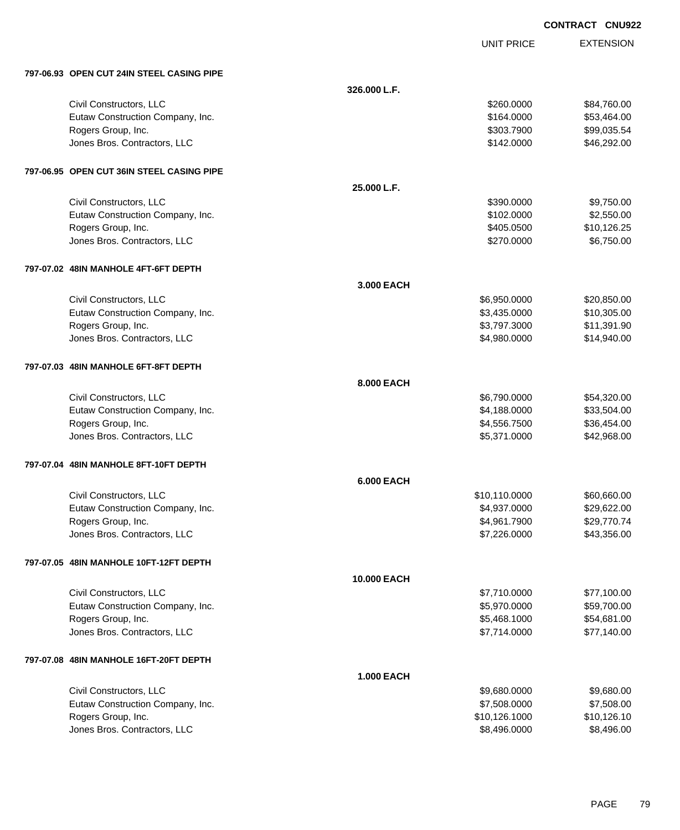| <b>CONTRACT</b> | <b>CNU922</b> |
|-----------------|---------------|
|                 |               |

UNIT PRICE

|  | 797-06.93 OPEN CUT 24IN STEEL CASING PIPE |
|--|-------------------------------------------|

| 797-06.93 OPEN CUT 24IN STEEL CASING PIPE |                   |               |             |
|-------------------------------------------|-------------------|---------------|-------------|
|                                           | 326.000 L.F.      |               |             |
| Civil Constructors, LLC                   |                   | \$260,0000    | \$84,760.00 |
| Eutaw Construction Company, Inc.          |                   | \$164.0000    | \$53,464.00 |
| Rogers Group, Inc.                        |                   | \$303.7900    | \$99,035.54 |
| Jones Bros. Contractors, LLC              |                   | \$142.0000    | \$46,292.00 |
| 797-06.95 OPEN CUT 36IN STEEL CASING PIPE |                   |               |             |
|                                           | 25.000 L.F.       |               |             |
| Civil Constructors, LLC                   |                   | \$390.0000    | \$9,750.00  |
| Eutaw Construction Company, Inc.          |                   | \$102.0000    | \$2,550.00  |
| Rogers Group, Inc.                        |                   | \$405.0500    | \$10,126.25 |
| Jones Bros. Contractors, LLC              |                   | \$270.0000    | \$6,750.00  |
| 797-07.02 48IN MANHOLE 4FT-6FT DEPTH      |                   |               |             |
|                                           | 3.000 EACH        |               |             |
| Civil Constructors, LLC                   |                   | \$6,950.0000  | \$20,850.00 |
| Eutaw Construction Company, Inc.          |                   | \$3,435.0000  | \$10,305.00 |
| Rogers Group, Inc.                        |                   | \$3,797.3000  | \$11,391.90 |
| Jones Bros. Contractors, LLC              |                   | \$4,980.0000  | \$14,940.00 |
| 797-07.03 48IN MANHOLE 6FT-8FT DEPTH      |                   |               |             |
|                                           | 8.000 EACH        |               |             |
| Civil Constructors, LLC                   |                   | \$6,790.0000  | \$54,320.00 |
| Eutaw Construction Company, Inc.          |                   | \$4,188.0000  | \$33,504.00 |
| Rogers Group, Inc.                        |                   | \$4,556.7500  | \$36,454.00 |
| Jones Bros. Contractors, LLC              |                   | \$5,371.0000  | \$42,968.00 |
| 797-07.04 48IN MANHOLE 8FT-10FT DEPTH     |                   |               |             |
|                                           | <b>6.000 EACH</b> |               |             |
| Civil Constructors, LLC                   |                   | \$10,110.0000 | \$60,660.00 |
| Eutaw Construction Company, Inc.          |                   | \$4,937.0000  | \$29,622.00 |
| Rogers Group, Inc.                        |                   | \$4,961.7900  | \$29,770.74 |
| Jones Bros. Contractors, LLC              |                   | \$7,226.0000  | \$43,356.00 |
| 797-07.05 48IN MANHOLE 10FT-12FT DEPTH    |                   |               |             |
|                                           | 10.000 EACH       |               |             |
| Civil Constructors, LLC                   |                   | \$7,710.0000  | \$77,100.00 |
| Eutaw Construction Company, Inc.          |                   | \$5,970.0000  | \$59,700.00 |
| Rogers Group, Inc.                        |                   | \$5,468.1000  | \$54,681.00 |
| Jones Bros. Contractors, LLC              |                   | \$7,714.0000  | \$77,140.00 |
| 797-07.08 48IN MANHOLE 16FT-20FT DEPTH    |                   |               |             |
|                                           | <b>1.000 EACH</b> |               |             |
| Civil Constructors, LLC                   |                   | \$9,680.0000  | \$9,680.00  |
| Eutaw Construction Company, Inc.          |                   | \$7,508.0000  | \$7,508.00  |
| Rogers Group, Inc.                        |                   | \$10,126.1000 | \$10,126.10 |
| Jones Bros. Contractors, LLC              |                   | \$8,496.0000  | \$8,496.00  |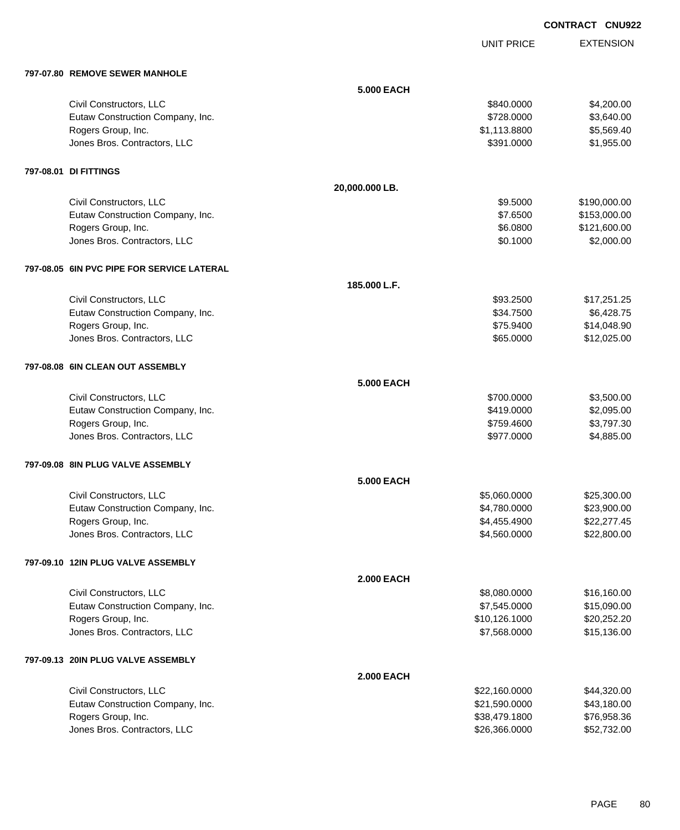UNIT PRICE

| 797-07.80 REMOVE SEWER MANHOLE               |                   |               |              |
|----------------------------------------------|-------------------|---------------|--------------|
|                                              | <b>5.000 EACH</b> |               |              |
| Civil Constructors, LLC                      |                   | \$840.0000    | \$4,200.00   |
| Eutaw Construction Company, Inc.             |                   | \$728.0000    | \$3,640.00   |
| Rogers Group, Inc.                           |                   | \$1,113.8800  | \$5,569.40   |
| Jones Bros. Contractors, LLC                 |                   | \$391.0000    | \$1,955.00   |
| 797-08.01 DI FITTINGS                        |                   |               |              |
|                                              | 20,000.000 LB.    |               |              |
| Civil Constructors, LLC                      |                   | \$9.5000      | \$190,000.00 |
| Eutaw Construction Company, Inc.             |                   | \$7.6500      | \$153,000.00 |
| Rogers Group, Inc.                           |                   | \$6.0800      | \$121,600.00 |
| Jones Bros. Contractors, LLC                 |                   | \$0.1000      | \$2,000.00   |
| 797-08.05   6IN PVC PIPE FOR SERVICE LATERAL |                   |               |              |
|                                              | 185.000 L.F.      |               |              |
| Civil Constructors, LLC                      |                   | \$93.2500     | \$17,251.25  |
| Eutaw Construction Company, Inc.             |                   | \$34.7500     | \$6,428.75   |
| Rogers Group, Inc.                           |                   | \$75.9400     | \$14,048.90  |
| Jones Bros. Contractors, LLC                 |                   | \$65.0000     | \$12,025.00  |
| 797-08.08 6IN CLEAN OUT ASSEMBLY             |                   |               |              |
|                                              | <b>5.000 EACH</b> |               |              |
| Civil Constructors, LLC                      |                   | \$700.0000    | \$3,500.00   |
| Eutaw Construction Company, Inc.             |                   | \$419.0000    | \$2,095.00   |
| Rogers Group, Inc.                           |                   | \$759.4600    | \$3,797.30   |
| Jones Bros. Contractors, LLC                 |                   | \$977.0000    | \$4,885.00   |
| 797-09.08 8IN PLUG VALVE ASSEMBLY            |                   |               |              |
|                                              | <b>5.000 EACH</b> |               |              |
| Civil Constructors, LLC                      |                   | \$5,060.0000  | \$25,300.00  |
| Eutaw Construction Company, Inc.             |                   | \$4,780.0000  | \$23,900.00  |
| Rogers Group, Inc.                           |                   | \$4,455.4900  | \$22,277.45  |
| Jones Bros. Contractors, LLC                 |                   | \$4,560.0000  | \$22,800.00  |
| 797-09.10 12IN PLUG VALVE ASSEMBLY           |                   |               |              |
|                                              | <b>2.000 EACH</b> |               |              |
| Civil Constructors, LLC                      |                   | \$8,080.0000  | \$16,160.00  |
| Eutaw Construction Company, Inc.             |                   | \$7,545.0000  | \$15,090.00  |
| Rogers Group, Inc.                           |                   | \$10,126.1000 | \$20,252.20  |
| Jones Bros. Contractors, LLC                 |                   | \$7,568.0000  | \$15,136.00  |
| 797-09.13 20IN PLUG VALVE ASSEMBLY           |                   |               |              |
|                                              | <b>2.000 EACH</b> |               |              |
| Civil Constructors, LLC                      |                   | \$22,160.0000 | \$44,320.00  |
| Eutaw Construction Company, Inc.             |                   | \$21,590.0000 | \$43,180.00  |
| Rogers Group, Inc.                           |                   | \$38,479.1800 | \$76,958.36  |
| Jones Bros. Contractors, LLC                 |                   | \$26,366.0000 | \$52,732.00  |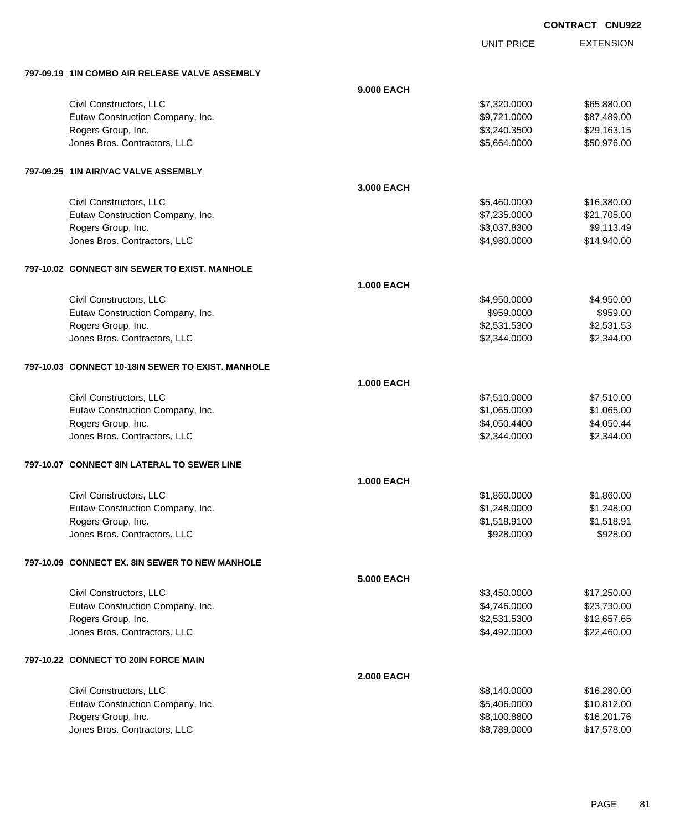EXTENSION **CONTRACT CNU922**

UNIT PRICE

| 797-09.19 1IN COMBO AIR RELEASE VALVE ASSEMBLY    |                   |              |             |
|---------------------------------------------------|-------------------|--------------|-------------|
|                                                   | 9.000 EACH        |              |             |
| Civil Constructors, LLC                           |                   | \$7,320.0000 | \$65,880.00 |
| Eutaw Construction Company, Inc.                  |                   | \$9,721.0000 | \$87,489.00 |
| Rogers Group, Inc.                                |                   | \$3,240.3500 | \$29,163.15 |
| Jones Bros. Contractors, LLC                      |                   | \$5,664.0000 | \$50,976.00 |
| 797-09.25 1IN AIR/VAC VALVE ASSEMBLY              |                   |              |             |
|                                                   | 3.000 EACH        |              |             |
| Civil Constructors, LLC                           |                   | \$5,460.0000 | \$16,380.00 |
| Eutaw Construction Company, Inc.                  |                   | \$7,235.0000 | \$21,705.00 |
| Rogers Group, Inc.                                |                   | \$3,037.8300 | \$9,113.49  |
| Jones Bros. Contractors, LLC                      |                   | \$4,980.0000 | \$14,940.00 |
| 797-10.02 CONNECT 8IN SEWER TO EXIST. MANHOLE     |                   |              |             |
|                                                   | <b>1.000 EACH</b> |              |             |
| Civil Constructors, LLC                           |                   | \$4,950.0000 | \$4,950.00  |
| Eutaw Construction Company, Inc.                  |                   | \$959.0000   | \$959.00    |
| Rogers Group, Inc.                                |                   | \$2,531.5300 | \$2,531.53  |
| Jones Bros. Contractors, LLC                      |                   | \$2,344.0000 | \$2,344.00  |
| 797-10.03 CONNECT 10-18IN SEWER TO EXIST. MANHOLE |                   |              |             |
|                                                   | <b>1.000 EACH</b> |              |             |
| Civil Constructors, LLC                           |                   | \$7,510.0000 | \$7,510.00  |
| Eutaw Construction Company, Inc.                  |                   | \$1,065.0000 | \$1,065.00  |
| Rogers Group, Inc.                                |                   | \$4,050.4400 | \$4,050.44  |
| Jones Bros. Contractors, LLC                      |                   | \$2,344.0000 | \$2,344.00  |
| 797-10.07 CONNECT 8IN LATERAL TO SEWER LINE       |                   |              |             |
|                                                   | <b>1.000 EACH</b> |              |             |
| Civil Constructors, LLC                           |                   | \$1,860.0000 | \$1,860.00  |
| Eutaw Construction Company, Inc.                  |                   | \$1,248.0000 | \$1,248.00  |
| Rogers Group, Inc.                                |                   | \$1,518.9100 | \$1,518.91  |
| Jones Bros. Contractors, LLC                      |                   | \$928.0000   | \$928.00    |
| 797-10.09 CONNECT EX. 8IN SEWER TO NEW MANHOLE    |                   |              |             |
|                                                   | <b>5.000 EACH</b> |              |             |
| Civil Constructors, LLC                           |                   | \$3,450.0000 | \$17,250.00 |
| Eutaw Construction Company, Inc.                  |                   | \$4,746.0000 | \$23,730.00 |
| Rogers Group, Inc.                                |                   | \$2,531.5300 | \$12,657.65 |
| Jones Bros. Contractors, LLC                      |                   | \$4,492.0000 | \$22,460.00 |
| 797-10.22 CONNECT TO 20IN FORCE MAIN              |                   |              |             |
|                                                   | <b>2.000 EACH</b> |              |             |
| Civil Constructors, LLC                           |                   | \$8,140.0000 | \$16,280.00 |
| Eutaw Construction Company, Inc.                  |                   | \$5,406.0000 | \$10,812.00 |
| Rogers Group, Inc.                                |                   | \$8,100.8800 | \$16,201.76 |
| Jones Bros. Contractors, LLC                      |                   | \$8,789.0000 | \$17,578.00 |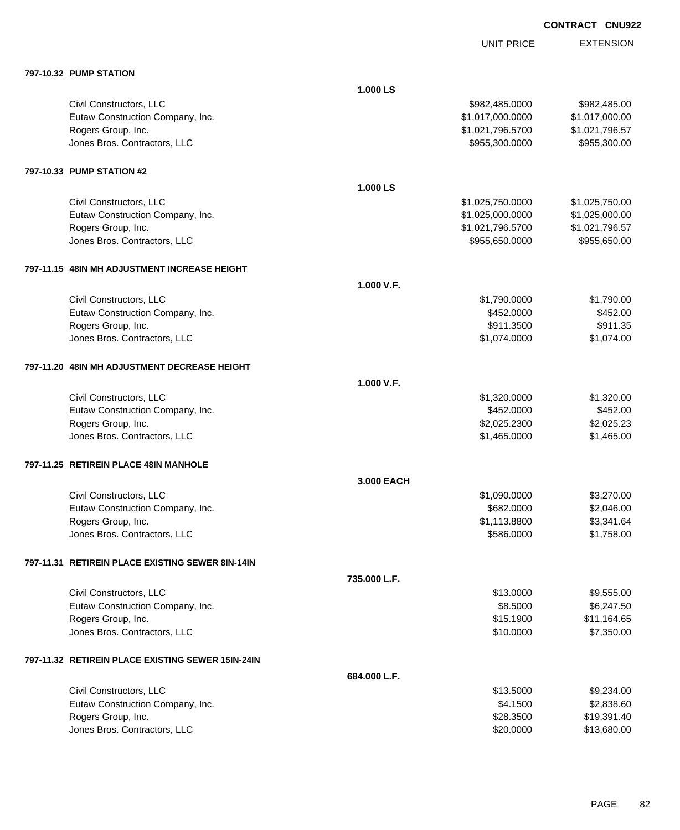UNIT PRICE

| 797-10.32 PUMP STATION                              |              |                  |                |
|-----------------------------------------------------|--------------|------------------|----------------|
|                                                     | 1.000 LS     |                  |                |
| Civil Constructors, LLC                             |              | \$982,485.0000   | \$982,485.00   |
| Eutaw Construction Company, Inc.                    |              | \$1,017,000.0000 | \$1,017,000.00 |
| Rogers Group, Inc.                                  |              | \$1,021,796.5700 | \$1,021,796.57 |
| Jones Bros. Contractors, LLC                        |              | \$955,300.0000   | \$955,300.00   |
| 797-10.33 PUMP STATION #2                           |              |                  |                |
|                                                     | 1.000 LS     |                  |                |
| Civil Constructors, LLC                             |              | \$1,025,750.0000 | \$1,025,750.00 |
| Eutaw Construction Company, Inc.                    |              | \$1,025,000.0000 | \$1,025,000.00 |
| Rogers Group, Inc.                                  |              | \$1,021,796.5700 | \$1,021,796.57 |
| Jones Bros. Contractors, LLC                        |              | \$955,650.0000   | \$955,650.00   |
| 797-11.15 48IN MH ADJUSTMENT INCREASE HEIGHT        |              |                  |                |
|                                                     | 1.000 V.F.   |                  |                |
| Civil Constructors, LLC                             |              | \$1,790.0000     | \$1,790.00     |
| Eutaw Construction Company, Inc.                    |              | \$452.0000       | \$452.00       |
| Rogers Group, Inc.                                  |              | \$911.3500       | \$911.35       |
| Jones Bros. Contractors, LLC                        |              | \$1,074.0000     | \$1,074.00     |
| <b>797-11.20 48IN MH ADJUSTMENT DECREASE HEIGHT</b> |              |                  |                |
|                                                     | 1.000 V.F.   |                  |                |
| Civil Constructors, LLC                             |              | \$1,320.0000     | \$1,320.00     |
| Eutaw Construction Company, Inc.                    |              | \$452.0000       | \$452.00       |
| Rogers Group, Inc.                                  |              | \$2,025.2300     | \$2,025.23     |
| Jones Bros. Contractors, LLC                        |              | \$1,465.0000     | \$1,465.00     |
| 797-11.25 RETIREIN PLACE 48IN MANHOLE               |              |                  |                |
|                                                     | 3.000 EACH   |                  |                |
| Civil Constructors, LLC                             |              | \$1,090.0000     | \$3,270.00     |
| Eutaw Construction Company, Inc.                    |              | \$682.0000       | \$2,046.00     |
| Rogers Group, Inc.                                  |              | \$1,113.8800     | \$3,341.64     |
| Jones Bros. Contractors, LLC                        |              | \$586.0000       | \$1,758.00     |
| 797-11.31 RETIREIN PLACE EXISTING SEWER 8IN-14IN    |              |                  |                |
|                                                     | 735.000 L.F. |                  |                |
| Civil Constructors, LLC                             |              | \$13.0000        | \$9,555.00     |
| Eutaw Construction Company, Inc.                    |              | \$8.5000         | \$6,247.50     |
| Rogers Group, Inc.                                  |              | \$15.1900        | \$11,164.65    |
| Jones Bros. Contractors, LLC                        |              | \$10.0000        | \$7,350.00     |
| 797-11.32 RETIREIN PLACE EXISTING SEWER 15IN-24IN   |              |                  |                |
|                                                     | 684.000 L.F. |                  |                |
| Civil Constructors, LLC                             |              | \$13.5000        | \$9,234.00     |
| Eutaw Construction Company, Inc.                    |              | \$4.1500         | \$2,838.60     |
| Rogers Group, Inc.                                  |              | \$28.3500        | \$19,391.40    |
| Jones Bros. Contractors, LLC                        |              | \$20.0000        | \$13,680.00    |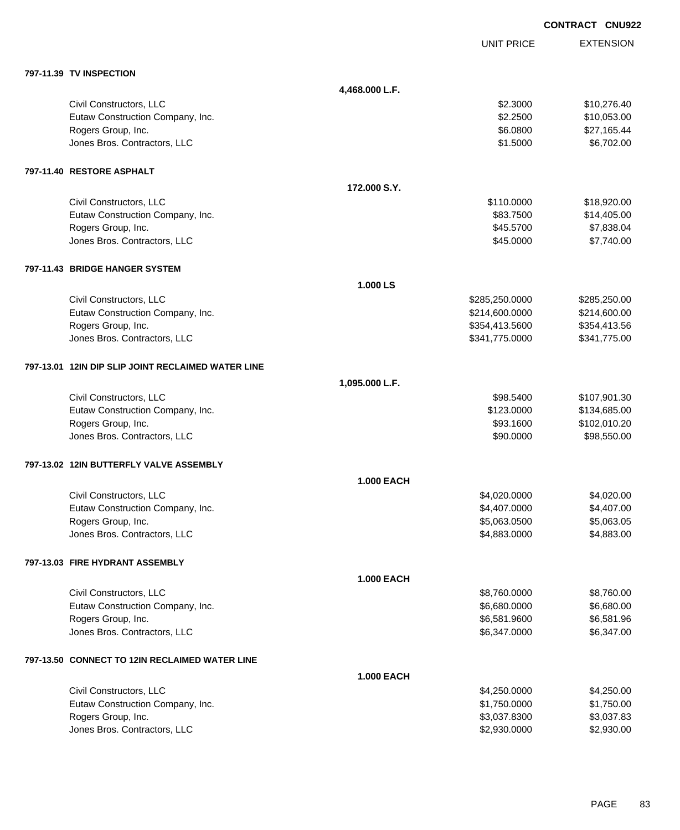|                                                    |                   |                   | <b>CONTRACT CNU922</b> |
|----------------------------------------------------|-------------------|-------------------|------------------------|
|                                                    |                   | <b>UNIT PRICE</b> | <b>EXTENSION</b>       |
| 797-11.39 TV INSPECTION                            |                   |                   |                        |
|                                                    | 4,468.000 L.F.    |                   |                        |
| Civil Constructors, LLC                            |                   | \$2.3000          | \$10,276.40            |
| Eutaw Construction Company, Inc.                   |                   | \$2.2500          | \$10,053.00            |
| Rogers Group, Inc.                                 |                   | \$6.0800          | \$27,165.44            |
| Jones Bros. Contractors, LLC                       |                   | \$1.5000          | \$6,702.00             |
| 797-11.40 RESTORE ASPHALT                          |                   |                   |                        |
|                                                    | 172,000 S.Y.      |                   |                        |
| Civil Constructors, LLC                            |                   | \$110.0000        | \$18,920.00            |
| Eutaw Construction Company, Inc.                   |                   | \$83.7500         | \$14,405.00            |
| Rogers Group, Inc.                                 |                   | \$45.5700         | \$7,838.04             |
| Jones Bros. Contractors, LLC                       |                   | \$45.0000         | \$7,740.00             |
| 797-11.43 BRIDGE HANGER SYSTEM                     |                   |                   |                        |
|                                                    | 1.000 LS          |                   |                        |
| Civil Constructors, LLC                            |                   | \$285,250.0000    | \$285,250.00           |
| Eutaw Construction Company, Inc.                   |                   | \$214,600.0000    | \$214,600.00           |
| Rogers Group, Inc.                                 |                   | \$354,413.5600    | \$354,413.56           |
| Jones Bros. Contractors, LLC                       |                   | \$341,775.0000    | \$341,775.00           |
| 797-13.01 12IN DIP SLIP JOINT RECLAIMED WATER LINE |                   |                   |                        |
|                                                    | 1,095.000 L.F.    |                   |                        |
| Civil Constructors, LLC                            |                   | \$98.5400         | \$107,901.30           |
| Eutaw Construction Company, Inc.                   |                   | \$123.0000        | \$134,685.00           |
| Rogers Group, Inc.                                 |                   | \$93.1600         | \$102,010.20           |
| Jones Bros. Contractors, LLC                       |                   | \$90.0000         | \$98,550.00            |
| 797-13.02 12IN BUTTERFLY VALVE ASSEMBLY            |                   |                   |                        |
|                                                    | <b>1.000 EACH</b> |                   |                        |
| Civil Constructors, LLC                            |                   | \$4,020.0000      | \$4,020.00             |
| Eutaw Construction Company, Inc.                   |                   | \$4,407.0000      | \$4,407.00             |
| Rogers Group, Inc.                                 |                   | \$5,063.0500      | \$5,063.05             |
| Jones Bros. Contractors, LLC                       |                   | \$4,883.0000      | \$4,883.00             |
| 797-13.03 FIRE HYDRANT ASSEMBLY                    |                   |                   |                        |
|                                                    | <b>1.000 EACH</b> |                   |                        |
| Civil Constructors, LLC                            |                   | \$8,760.0000      | \$8,760.00             |
| Eutaw Construction Company, Inc.                   |                   | \$6,680.0000      | \$6,680.00             |
| Rogers Group, Inc.                                 |                   | \$6,581.9600      | \$6,581.96             |
| Jones Bros. Contractors, LLC                       |                   | \$6,347.0000      | \$6,347.00             |
| 797-13.50 CONNECT TO 12IN RECLAIMED WATER LINE     |                   |                   |                        |
|                                                    | <b>1.000 EACH</b> |                   |                        |
| Civil Constructors, LLC                            |                   | \$4,250.0000      | \$4,250.00             |
| Eutaw Construction Company, Inc.                   |                   | \$1,750.0000      | \$1,750.00             |
| Rogers Group, Inc.                                 |                   | \$3,037.8300      | \$3,037.83             |
| Jones Bros. Contractors, LLC                       |                   | \$2,930.0000      | \$2,930.00             |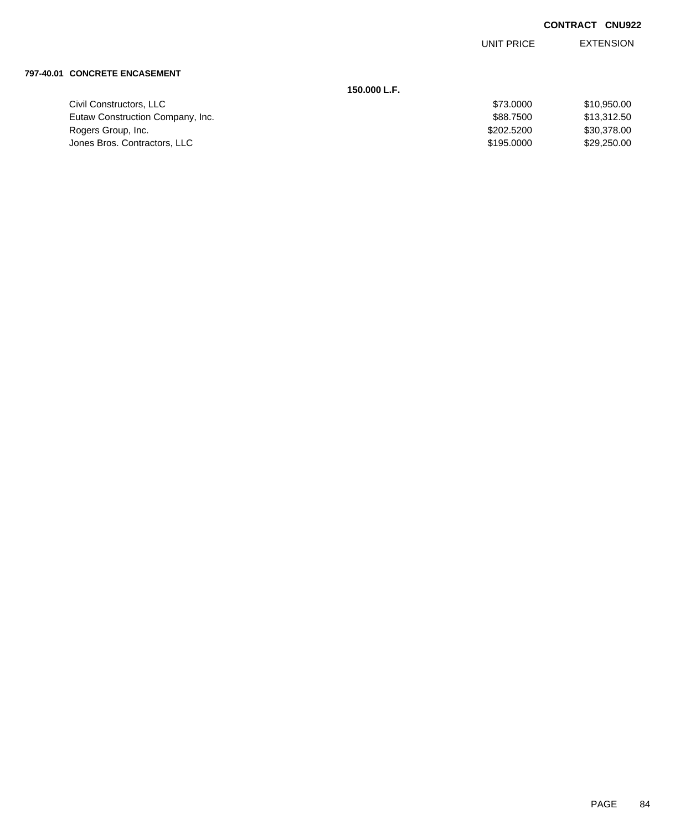EXTENSION UNIT PRICE

#### **797-40.01 CONCRETE ENCASEMENT**

| 150.000 L.F.                     |            |             |
|----------------------------------|------------|-------------|
| Civil Constructors, LLC          | \$73,0000  | \$10,950.00 |
| Eutaw Construction Company, Inc. | \$88,7500  | \$13,312.50 |
| Rogers Group, Inc.               | \$202.5200 | \$30,378.00 |
| Jones Bros. Contractors, LLC     | \$195,0000 | \$29,250.00 |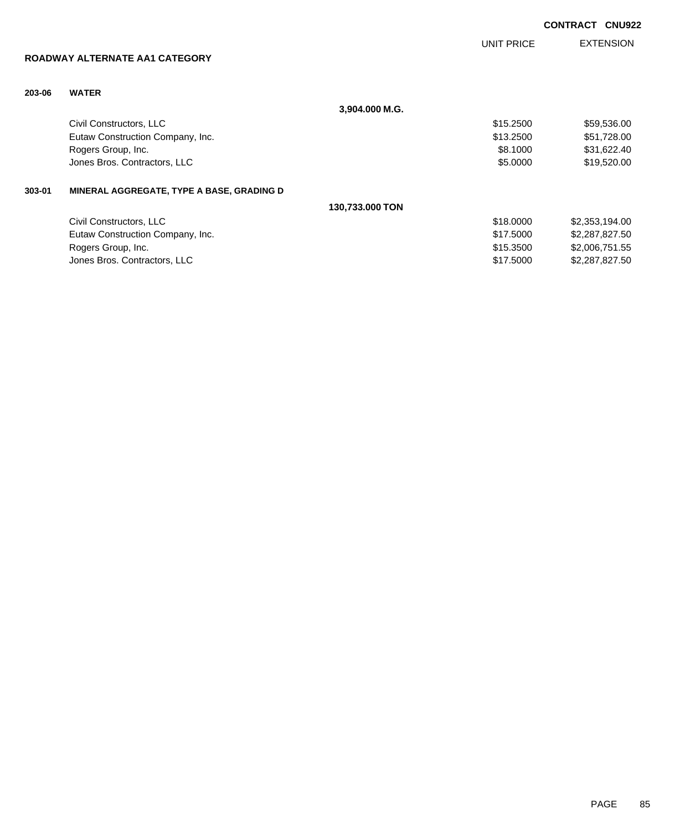|        | ROADWAY ALTERNATE AA1 CATEGORY            |                 | UNIT PRICE | <b>EXTENSION</b> |
|--------|-------------------------------------------|-----------------|------------|------------------|
| 203-06 | <b>WATER</b>                              |                 |            |                  |
|        |                                           | 3,904.000 M.G.  |            |                  |
|        | Civil Constructors, LLC                   |                 | \$15.2500  | \$59,536.00      |
|        | Eutaw Construction Company, Inc.          |                 | \$13.2500  | \$51,728.00      |
|        | Rogers Group, Inc.                        |                 | \$8,1000   | \$31,622.40      |
|        | Jones Bros. Contractors, LLC              |                 | \$5.0000   | \$19,520.00      |
| 303-01 | MINERAL AGGREGATE, TYPE A BASE, GRADING D |                 |            |                  |
|        |                                           | 130,733.000 TON |            |                  |
|        | Civil Constructors, LLC                   |                 | \$18,0000  | \$2,353,194.00   |
|        | Eutaw Construction Company, Inc.          |                 | \$17.5000  | \$2,287,827.50   |
|        | Rogers Group, Inc.                        |                 | \$15,3500  | \$2,006,751.55   |
|        | Jones Bros. Contractors, LLC              |                 | \$17.5000  | \$2,287,827.50   |
|        |                                           |                 |            |                  |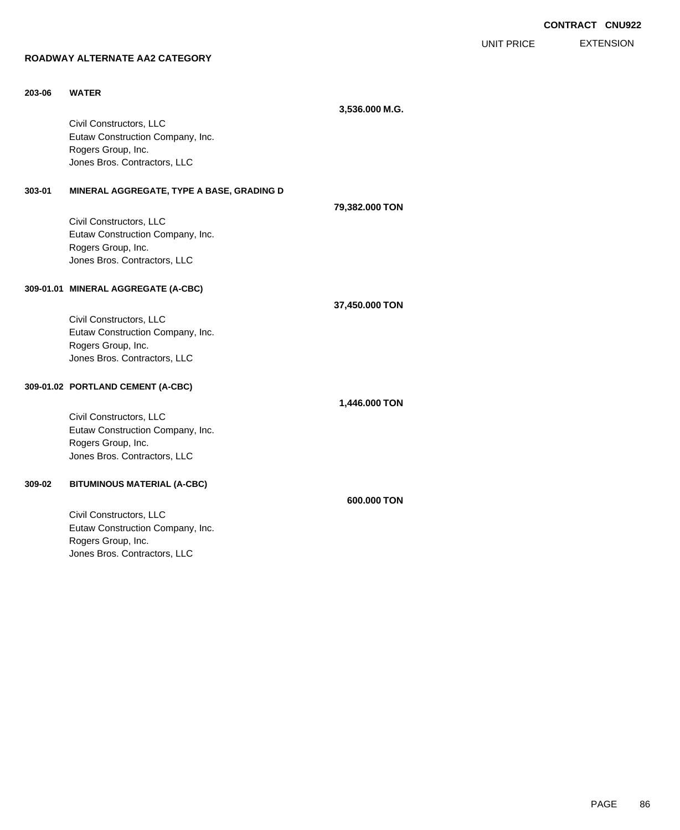EXTENSION UNIT PRICE

# **ROADWAY ALTERNATE AA2 CATEGORY**

| 203-06 | <b>WATER</b>                                           |                |  |
|--------|--------------------------------------------------------|----------------|--|
|        |                                                        | 3,536.000 M.G. |  |
|        | Civil Constructors, LLC                                |                |  |
|        | Eutaw Construction Company, Inc.                       |                |  |
|        | Rogers Group, Inc.                                     |                |  |
|        | Jones Bros. Contractors, LLC                           |                |  |
|        |                                                        |                |  |
| 303-01 | MINERAL AGGREGATE, TYPE A BASE, GRADING D              |                |  |
|        |                                                        | 79,382.000 TON |  |
|        | Civil Constructors, LLC                                |                |  |
|        | Eutaw Construction Company, Inc.                       |                |  |
|        | Rogers Group, Inc.                                     |                |  |
|        | Jones Bros. Contractors, LLC                           |                |  |
|        |                                                        |                |  |
|        | 309-01.01 MINERAL AGGREGATE (A-CBC)                    |                |  |
|        |                                                        |                |  |
|        |                                                        | 37,450.000 TON |  |
|        | Civil Constructors, LLC                                |                |  |
|        | Eutaw Construction Company, Inc.<br>Rogers Group, Inc. |                |  |
|        | Jones Bros. Contractors, LLC                           |                |  |
|        |                                                        |                |  |
|        | 309-01.02 PORTLAND CEMENT (A-CBC)                      |                |  |
|        |                                                        |                |  |
|        |                                                        | 1,446.000 TON  |  |
|        | Civil Constructors, LLC                                |                |  |
|        | Eutaw Construction Company, Inc.                       |                |  |
|        | Rogers Group, Inc.                                     |                |  |
|        | Jones Bros. Contractors, LLC                           |                |  |
| 309-02 | <b>BITUMINOUS MATERIAL (A-CBC)</b>                     |                |  |
|        |                                                        |                |  |
|        |                                                        | 600,000 TON    |  |
|        | Civil Constructors, LLC                                |                |  |
|        | Eutaw Construction Company, Inc.                       |                |  |
|        | Rogers Group, Inc.                                     |                |  |
|        | Jones Bros. Contractors, LLC                           |                |  |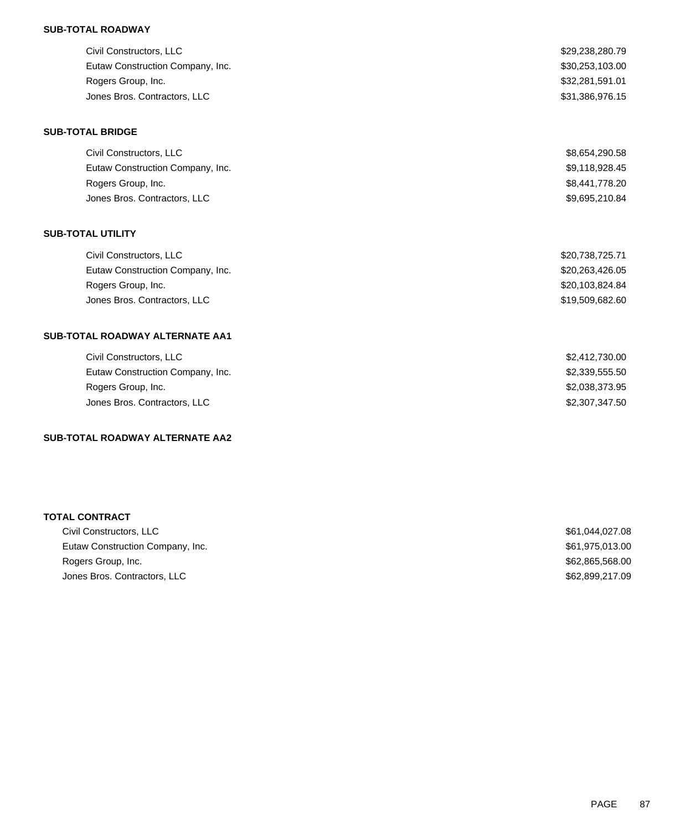### **SUB-TOTAL ROADWAY**

| Civil Constructors, LLC          | \$29,238,280.79 |
|----------------------------------|-----------------|
| Eutaw Construction Company, Inc. | \$30,253,103.00 |
| Rogers Group, Inc.               | \$32,281,591.01 |
| Jones Bros. Contractors, LLC     | \$31,386,976.15 |

#### **SUB-TOTAL BRIDGE**

| Civil Constructors, LLC          | \$8,654,290.58 |
|----------------------------------|----------------|
| Eutaw Construction Company, Inc. | \$9,118,928.45 |
| Rogers Group, Inc.               | \$8,441,778.20 |
| Jones Bros. Contractors, LLC     | \$9.695.210.84 |

### **SUB-TOTAL UTILITY**

| Civil Constructors, LLC          | \$20,738,725.71 |
|----------------------------------|-----------------|
| Eutaw Construction Company, Inc. | \$20,263,426.05 |
| Rogers Group, Inc.               | \$20,103,824.84 |
| Jones Bros. Contractors, LLC     | \$19.509.682.60 |

## **SUB-TOTAL ROADWAY ALTERNATE AA1**

| Civil Constructors, LLC          | \$2,412,730.00 |
|----------------------------------|----------------|
| Eutaw Construction Company, Inc. | \$2,339,555.50 |
| Rogers Group, Inc.               | \$2,038,373.95 |
| Jones Bros. Contractors, LLC     | \$2,307,347,50 |
|                                  |                |

### **SUB-TOTAL ROADWAY ALTERNATE AA2**

| <b>TOTAL CONTRACT</b>            |                 |
|----------------------------------|-----------------|
| Civil Constructors, LLC          | \$61,044,027.08 |
| Eutaw Construction Company, Inc. | \$61,975,013.00 |
| Rogers Group, Inc.               | \$62,865,568.00 |
| Jones Bros. Contractors, LLC     | \$62,899,217.09 |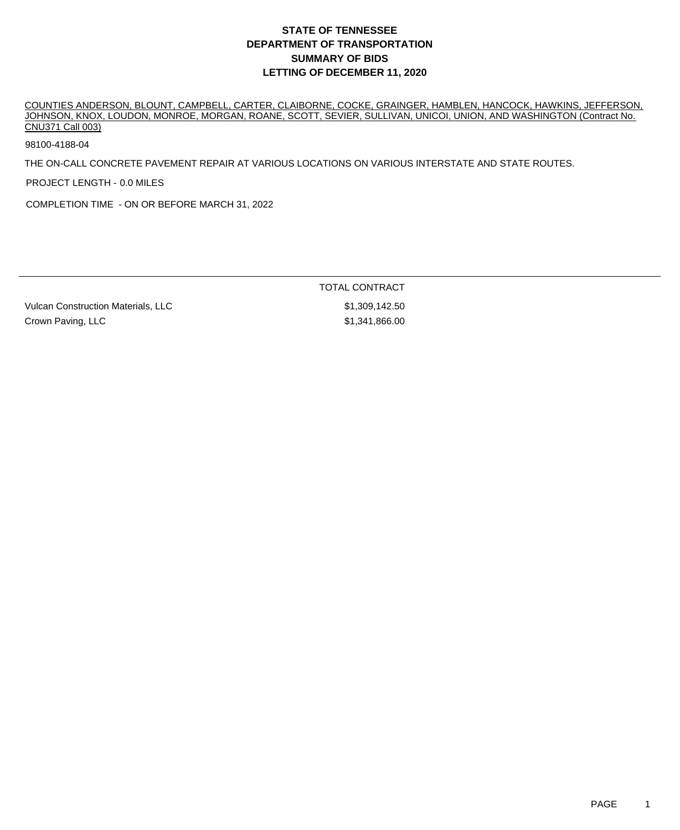## **DEPARTMENT OF TRANSPORTATION SUMMARY OF BIDS LETTING OF DECEMBER 11, 2020 STATE OF TENNESSEE**

COUNTIES ANDERSON, BLOUNT, CAMPBELL, CARTER, CLAIBORNE, COCKE, GRAINGER, HAMBLEN, HANCOCK, HAWKINS, JEFFERSON, JOHNSON, KNOX, LOUDON, MONROE, MORGAN, ROANE, SCOTT, SEVIER, SULLIVAN, UNICOI, UNION, AND WASHINGTON (Contract No. CNU371 Call 003)

98100-4188-04

THE ON-CALL CONCRETE PAVEMENT REPAIR AT VARIOUS LOCATIONS ON VARIOUS INTERSTATE AND STATE ROUTES.

PROJECT LENGTH - 0.0 MILES

COMPLETION TIME - ON OR BEFORE MARCH 31, 2022

TOTAL CONTRACT

Vulcan Construction Materials, LLC  $$1,309,142.50$ Crown Paving, LLC **1986.00 Crown Paving, LLC**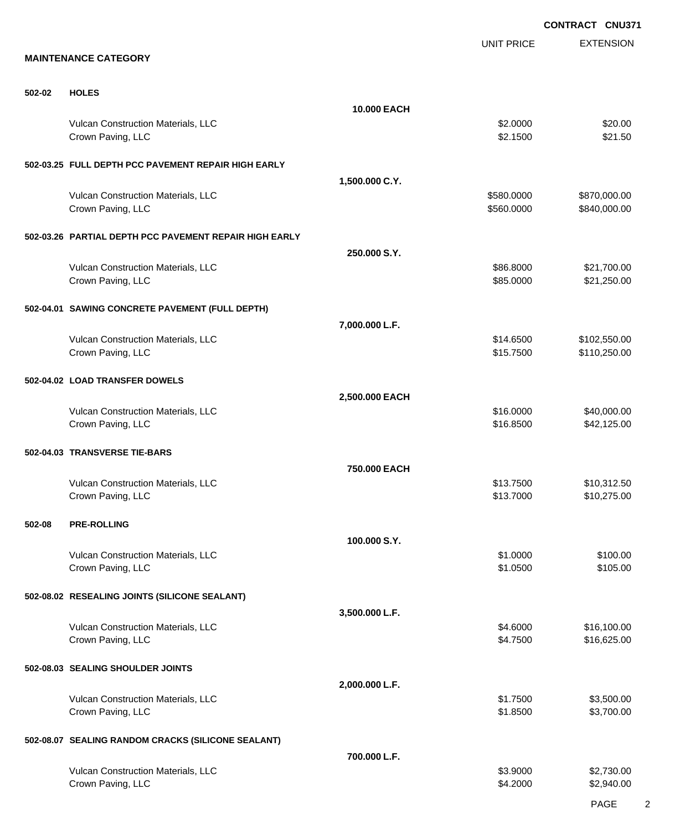EXTENSION **CONTRACT CNU371** UNIT PRICE **MAINTENANCE CATEGORY 502-02 HOLES 10.000 EACH** Vulcan Construction Materials, LLC 62.000 \$20.00 Crown Paving, LLC \$2.1500 \$21.50 **502-03.25 FULL DEPTH PCC PAVEMENT REPAIR HIGH EARLY 1,500.000 C.Y.** Vulcan Construction Materials, LLC 60000 \$870,000.00 \$870,000.00 Crown Paving, LLC 6. 2010 12:00:00 \$840,000.00 \$840,000.00 \$840,000.00 **502-03.26 PARTIAL DEPTH PCC PAVEMENT REPAIR HIGH EARLY 250.000 S.Y.** Vulcan Construction Materials, LLC 6000 \$21,700.00 Crown Paving, LLC \$85.000 \$21,250.00 **502-04.01 SAWING CONCRETE PAVEMENT (FULL DEPTH) 7,000.000 L.F.** Vulcan Construction Materials, LLC 600 \$102,550.00 \$102,550.00 \$102,550.00 Crown Paving, LLC 6. 2012 12:00 \$15.7500 \$110,250.00 **502-04.02 LOAD TRANSFER DOWELS 2,500.000 EACH** Vulcan Construction Materials, LLC 610 and the state of the state of the state of the state of the state of the state of the state of the state of the state of the state of the state of the state of the state of the state Crown Paving, LLC \$16.8500 \$42,125.00 **502-04.03 TRANSVERSE TIE-BARS 750.000 EACH** Vulcan Construction Materials, LLC 613.7500 \$10,312.50 Crown Paving, LLC \$10,275.00 **502-08 PRE-ROLLING 100.000 S.Y.** Vulcan Construction Materials, LLC 61.000 \$100.00 Crown Paving, LLC \$1.05.00 \$1.05.00 \$1.05.00 \$1.05.00 \$1.05.00 \$1.05.00 \$1.05.00 \$1.05.00 \$1.05.00 \$1.05.00 \$1.05 **502-08.02 RESEALING JOINTS (SILICONE SEALANT) 3,500.000 L.F.** Vulcan Construction Materials, LLC 61.6000 \$16,100.00 Crown Paving, LLC \$16,625.00 \$16,625.00 **502-08.03 SEALING SHOULDER JOINTS 2,000.000 L.F.** Vulcan Construction Materials, LLC 63,500.00 \$3,500.00 \$3,500.00 Crown Paving, LLC \$1.8500 \$3,700.00 **502-08.07 SEALING RANDOM CRACKS (SILICONE SEALANT) 700.000 L.F.** Vulcan Construction Materials, LLC 63.9000 \$2,730.00 Crown Paving, LLC \$2,940.00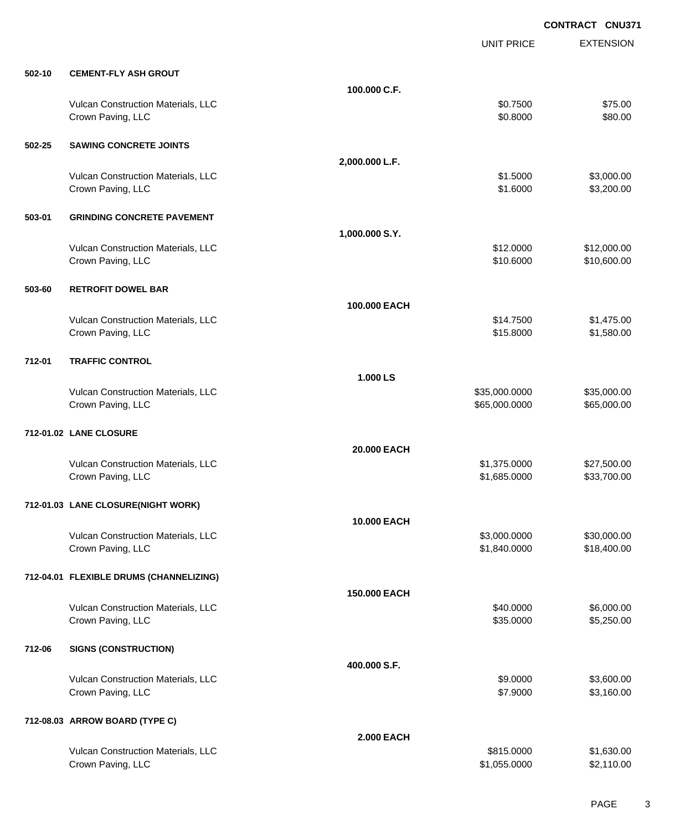EXTENSION **CONTRACT CNU371** UNIT PRICE **502-10 CEMENT-FLY ASH GROUT 100.000 C.F.** Vulcan Construction Materials, LLC 600 and 100 and 100 and 100 and 100 and 100 and 100 and 100 and 100 and 100 and 100 and 100 and 100 and 100 and 100 and 100 and 100 and 100 and 100 and 100 and 100 and 100 and 100 and 100 Crown Paving, LLC \$80.00 **502-25 SAWING CONCRETE JOINTS 2,000.000 L.F.** Vulcan Construction Materials, LLC 6. The state of the state of the state of the state of the state of the state of the state of the state of the state of the state of the state of the state of the state of the state of th Crown Paving, LLC \$1.6000 \$3,200.00 **503-01 GRINDING CONCRETE PAVEMENT 1,000.000 S.Y.** Vulcan Construction Materials, LLC 612.0000 \$12,000.00 Crown Paving, LLC \$10.6000 \$10,600.00 **503-60 RETROFIT DOWEL BAR 100.000 EACH** Vulcan Construction Materials, LLC 6. 1990 10:00 \$1,475.00 \$1,475.00 \$1,475.00 Crown Paving, LLC \$1,580.00 \$1,580.00 **712-01 TRAFFIC CONTROL 1.000 LS** Vulcan Construction Materials, LLC 600000 \$35,000.000 \$35,000.000 \$35,000.000 \$35,000.000 \$35,000.00 Crown Paving, LLC 665,000.000 \$65,000.000 \$65,000.000 \$65,000.000 \$65,000.000 \$65,000.00 **712-01.02 LANE CLOSURE 20.000 EACH** Vulcan Construction Materials, LLC 60000 \$1,375.0000 \$27,500.00 Crown Paving, LLC \$1,685.0000 \$33,700.00 **712-01.03 LANE CLOSURE(NIGHT WORK) 10.000 EACH** Vulcan Construction Materials, LLC 600000 \$30,000.000 \$3,000.000 \$30,000.000 \$30,000.00 Crown Paving, LLC \$1,840.000 \$18,400.00 **712-04.01 FLEXIBLE DRUMS (CHANNELIZING) 150.000 EACH** Vulcan Construction Materials, LLC 6000.00 \$6,000.00 \$6,000.00 \$6,000.00 Crown Paving, LLC \$3,250.00 \$5,250.00 **712-06 SIGNS (CONSTRUCTION) 400.000 S.F.** Vulcan Construction Materials, LLC 66 and the state of the state of the state of the state of the state of the state of the state of the state of the state of the state of the state of the state of the state of the state o Crown Paving, LLC \$3,160.00 \$3,160.00 **712-08.03 ARROW BOARD (TYPE C) 2.000 EACH**

Vulcan Construction Materials, LLC 60000 \$1,630.00 Crown Paving, LLC \$1,055.0000 \$2,110.00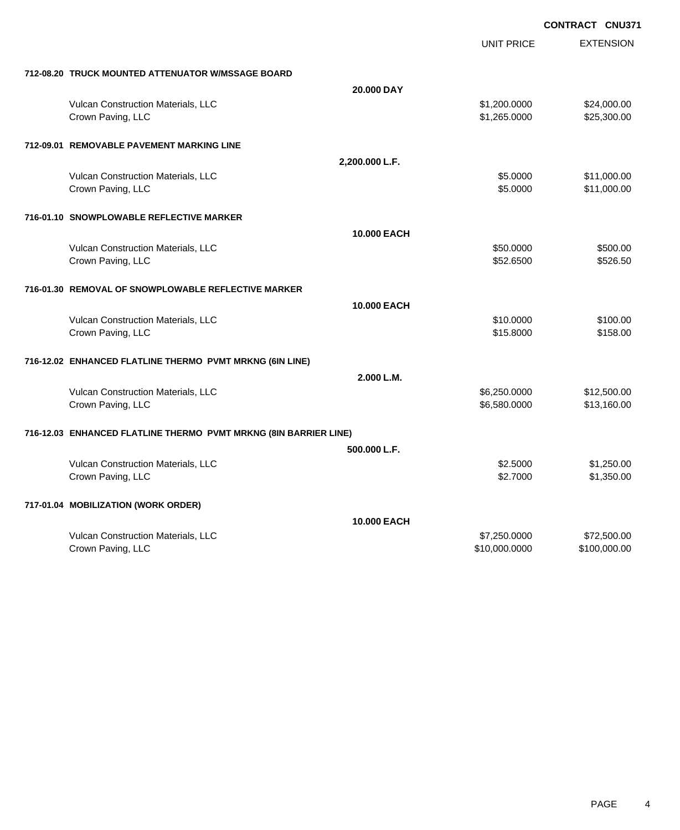|                                                                  |                    | <b>UNIT PRICE</b> | <b>EXTENSION</b> |
|------------------------------------------------------------------|--------------------|-------------------|------------------|
| 712-08.20 TRUCK MOUNTED ATTENUATOR W/MSSAGE BOARD                |                    |                   |                  |
|                                                                  | 20,000 DAY         |                   |                  |
| Vulcan Construction Materials, LLC                               |                    | \$1,200.0000      | \$24,000.00      |
| Crown Paving, LLC                                                |                    | \$1,265.0000      | \$25,300.00      |
| 712-09.01 REMOVABLE PAVEMENT MARKING LINE                        |                    |                   |                  |
|                                                                  | 2,200.000 L.F.     |                   |                  |
| Vulcan Construction Materials, LLC                               |                    | \$5.0000          | \$11,000.00      |
| Crown Paving, LLC                                                |                    | \$5.0000          | \$11,000.00      |
| 716-01.10 SNOWPLOWABLE REFLECTIVE MARKER                         |                    |                   |                  |
|                                                                  | <b>10.000 EACH</b> |                   |                  |
| Vulcan Construction Materials, LLC                               |                    | \$50.0000         | \$500.00         |
| Crown Paving, LLC                                                |                    | \$52.6500         | \$526.50         |
|                                                                  |                    |                   |                  |
| 716-01.30 REMOVAL OF SNOWPLOWABLE REFLECTIVE MARKER              |                    |                   |                  |
|                                                                  | <b>10.000 EACH</b> |                   |                  |
| Vulcan Construction Materials, LLC                               |                    | \$10.0000         | \$100.00         |
| Crown Paving, LLC                                                |                    | \$15.8000         | \$158.00         |
| 716-12.02 ENHANCED FLATLINE THERMO PVMT MRKNG (6IN LINE)         |                    |                   |                  |
|                                                                  | 2.000 L.M.         |                   |                  |
| Vulcan Construction Materials, LLC                               |                    | \$6,250.0000      | \$12,500.00      |
| Crown Paving, LLC                                                |                    | \$6,580.0000      | \$13,160.00      |
| 716-12.03 ENHANCED FLATLINE THERMO PVMT MRKNG (8IN BARRIER LINE) |                    |                   |                  |
|                                                                  | 500.000 L.F.       |                   |                  |
| Vulcan Construction Materials, LLC                               |                    | \$2.5000          | \$1,250.00       |
| Crown Paving, LLC                                                |                    | \$2.7000          | \$1,350.00       |
| 717-01.04 MOBILIZATION (WORK ORDER)                              |                    |                   |                  |
|                                                                  | <b>10.000 EACH</b> |                   |                  |
| Vulcan Construction Materials, LLC                               |                    | \$7,250.0000      | \$72,500.00      |
| Crown Paving, LLC                                                |                    | \$10,000.0000     | \$100,000.00     |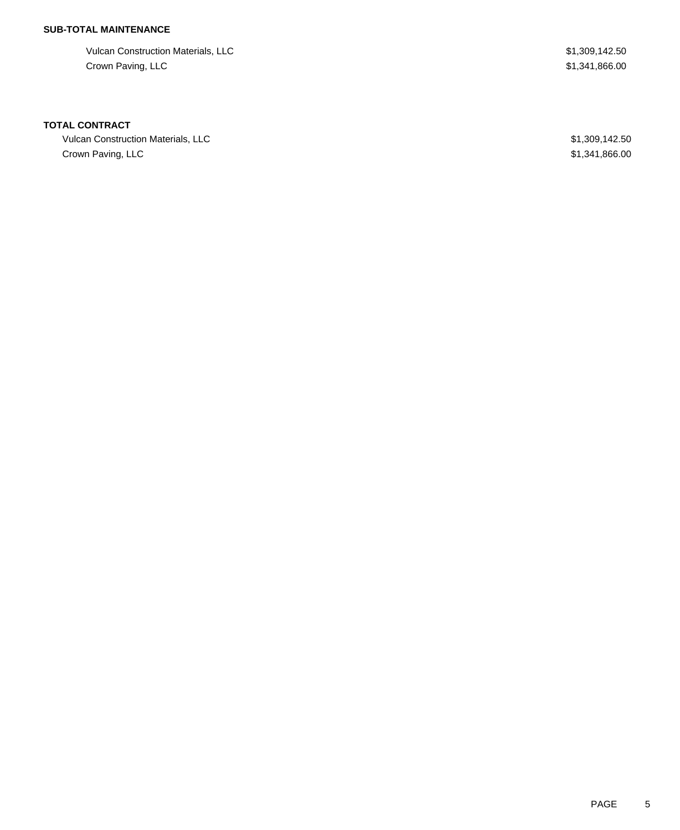## **SUB-TOTAL MAINTENANCE**

Vulcan Construction Materials, LLC 61,309,142.50 Crown Paving, LLC \$1,341,866.00

### **TOTAL CONTRACT**

Vulcan Construction Materials, LLC \$1,309,142.50 Crown Paving, LLC \$1,341,866.00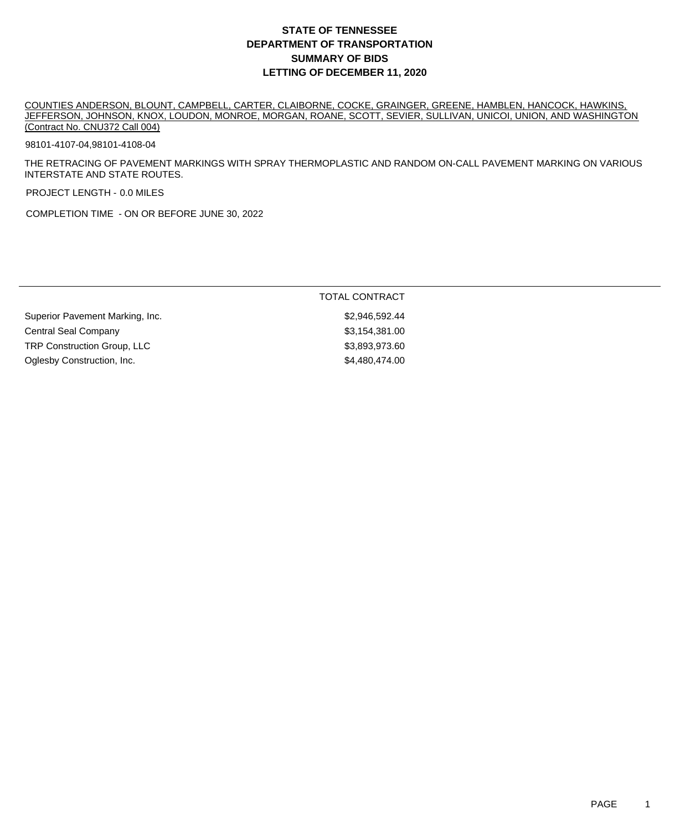## **DEPARTMENT OF TRANSPORTATION SUMMARY OF BIDS LETTING OF DECEMBER 11, 2020 STATE OF TENNESSEE**

COUNTIES ANDERSON, BLOUNT, CAMPBELL, CARTER, CLAIBORNE, COCKE, GRAINGER, GREENE, HAMBLEN, HANCOCK, HAWKINS, JEFFERSON, JOHNSON, KNOX, LOUDON, MONROE, MORGAN, ROANE, SCOTT, SEVIER, SULLIVAN, UNICOI, UNION, AND WASHINGTON (Contract No. CNU372 Call 004)

98101-4107-04,98101-4108-04

THE RETRACING OF PAVEMENT MARKINGS WITH SPRAY THERMOPLASTIC AND RANDOM ON-CALL PAVEMENT MARKING ON VARIOUS INTERSTATE AND STATE ROUTES.

PROJECT LENGTH - 0.0 MILES

COMPLETION TIME - ON OR BEFORE JUNE 30, 2022

|                                    | TOTAL CONTRACT |
|------------------------------------|----------------|
| Superior Pavement Marking, Inc.    | \$2,946,592.44 |
| Central Seal Company               | \$3,154,381.00 |
| <b>TRP Construction Group, LLC</b> | \$3,893,973.60 |
| Oglesby Construction, Inc.         | \$4,480,474,00 |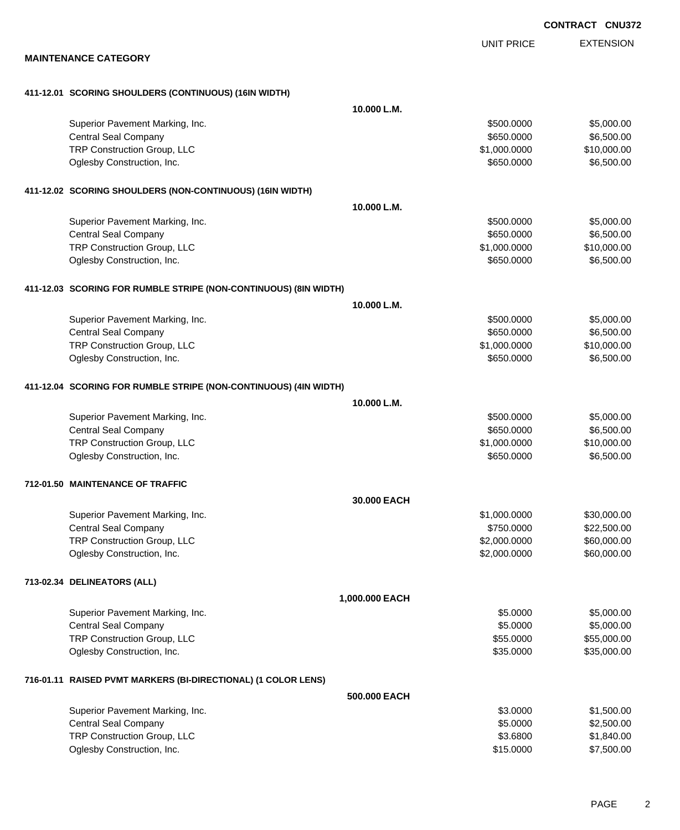EXTENSION UNIT PRICE

#### **MAINTENANCE CATEGORY**

| Superior Pavement Marking, Inc. |  |
|---------------------------------|--|

**411-12.01 SCORING SHOULDERS (CONTINUOUS) (16IN WIDTH)**

| Superior Pavement Marking, Inc.                                  |                | \$500.0000   | \$5,000.00  |  |  |
|------------------------------------------------------------------|----------------|--------------|-------------|--|--|
| <b>Central Seal Company</b>                                      |                | \$650.0000   | \$6,500.00  |  |  |
| TRP Construction Group, LLC                                      |                | \$1,000.0000 | \$10,000.00 |  |  |
| Oglesby Construction, Inc.                                       |                | \$650.0000   | \$6,500.00  |  |  |
| 411-12.02 SCORING SHOULDERS (NON-CONTINUOUS) (16IN WIDTH)        |                |              |             |  |  |
|                                                                  | 10.000 L.M.    |              |             |  |  |
| Superior Pavement Marking, Inc.                                  |                | \$500.0000   | \$5,000.00  |  |  |
| <b>Central Seal Company</b>                                      |                | \$650.0000   | \$6,500.00  |  |  |
| TRP Construction Group, LLC                                      |                | \$1,000.0000 | \$10,000.00 |  |  |
| Oglesby Construction, Inc.                                       |                | \$650.0000   | \$6,500.00  |  |  |
| 411-12.03 SCORING FOR RUMBLE STRIPE (NON-CONTINUOUS) (8IN WIDTH) |                |              |             |  |  |
|                                                                  | 10.000 L.M.    |              |             |  |  |
| Superior Pavement Marking, Inc.                                  |                | \$500.0000   | \$5,000.00  |  |  |
| <b>Central Seal Company</b>                                      |                | \$650.0000   | \$6,500.00  |  |  |
| TRP Construction Group, LLC                                      |                | \$1,000.0000 | \$10,000.00 |  |  |
| Oglesby Construction, Inc.                                       |                | \$650.0000   | \$6,500.00  |  |  |
| 411-12.04 SCORING FOR RUMBLE STRIPE (NON-CONTINUOUS) (4IN WIDTH) |                |              |             |  |  |
|                                                                  | 10.000 L.M.    |              |             |  |  |
| Superior Pavement Marking, Inc.                                  |                | \$500.0000   | \$5,000.00  |  |  |
| <b>Central Seal Company</b>                                      |                | \$650.0000   | \$6,500.00  |  |  |
| TRP Construction Group, LLC                                      |                | \$1,000.0000 | \$10,000.00 |  |  |
| Oglesby Construction, Inc.                                       |                | \$650.0000   | \$6,500.00  |  |  |
| 712-01.50 MAINTENANCE OF TRAFFIC                                 |                |              |             |  |  |
|                                                                  | 30,000 EACH    |              |             |  |  |
| Superior Pavement Marking, Inc.                                  |                | \$1,000.0000 | \$30,000.00 |  |  |
| <b>Central Seal Company</b>                                      |                | \$750.0000   | \$22,500.00 |  |  |
| TRP Construction Group, LLC                                      |                | \$2,000.0000 | \$60,000.00 |  |  |
| Oglesby Construction, Inc.                                       |                | \$2,000.0000 | \$60,000.00 |  |  |
| 713-02.34 DELINEATORS (ALL)                                      |                |              |             |  |  |
|                                                                  | 1,000.000 EACH |              |             |  |  |
| Superior Pavement Marking, Inc.                                  |                | \$5.0000     | \$5,000.00  |  |  |
| <b>Central Seal Company</b>                                      |                | \$5.0000     | \$5,000.00  |  |  |
| TRP Construction Group, LLC                                      |                | \$55.0000    | \$55,000.00 |  |  |
| Oglesby Construction, Inc.                                       |                | \$35.0000    | \$35,000.00 |  |  |
| 716-01.11 RAISED PVMT MARKERS (BI-DIRECTIONAL) (1 COLOR LENS)    |                |              |             |  |  |
|                                                                  | 500.000 EACH   |              |             |  |  |
| Superior Pavement Marking, Inc.                                  |                | \$3.0000     | \$1,500.00  |  |  |
| <b>Central Seal Company</b>                                      |                | \$5.0000     | \$2,500.00  |  |  |
| TRP Construction Group, LLC                                      |                | \$3.6800     | \$1,840.00  |  |  |
| Oglesby Construction, Inc.                                       |                | \$15.0000    | \$7,500.00  |  |  |

**10.000 L.M.**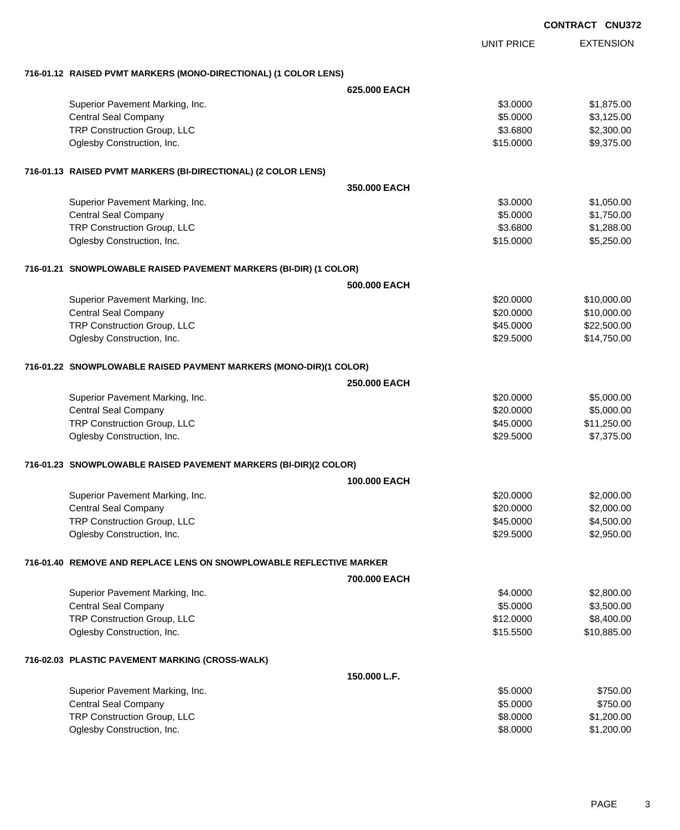|                                                                     |              |                   | <b>CONTRACT CNU372</b> |  |
|---------------------------------------------------------------------|--------------|-------------------|------------------------|--|
|                                                                     |              | <b>UNIT PRICE</b> | <b>EXTENSION</b>       |  |
| 716-01.12 RAISED PVMT MARKERS (MONO-DIRECTIONAL) (1 COLOR LENS)     |              |                   |                        |  |
|                                                                     | 625,000 EACH |                   |                        |  |
| Superior Pavement Marking, Inc.                                     |              | \$3.0000          | \$1,875.00             |  |
| <b>Central Seal Company</b>                                         |              | \$5.0000          | \$3,125.00             |  |
| TRP Construction Group, LLC                                         |              | \$3.6800          | \$2,300.00             |  |
| Oglesby Construction, Inc.                                          |              | \$15.0000         | \$9,375.00             |  |
| 716-01.13 RAISED PVMT MARKERS (BI-DIRECTIONAL) (2 COLOR LENS)       |              |                   |                        |  |
|                                                                     | 350,000 EACH |                   |                        |  |
| Superior Pavement Marking, Inc.                                     |              | \$3.0000          | \$1,050.00             |  |
| <b>Central Seal Company</b>                                         |              | \$5.0000          | \$1,750.00             |  |
| TRP Construction Group, LLC                                         |              | \$3.6800          | \$1,288.00             |  |
| Oglesby Construction, Inc.                                          |              | \$15.0000         | \$5,250.00             |  |
| 716-01.21 SNOWPLOWABLE RAISED PAVEMENT MARKERS (BI-DIR) (1 COLOR)   |              |                   |                        |  |
|                                                                     | 500,000 EACH |                   |                        |  |
| Superior Pavement Marking, Inc.                                     |              | \$20.0000         | \$10,000.00            |  |
| <b>Central Seal Company</b>                                         |              | \$20.0000         | \$10,000.00            |  |
| TRP Construction Group, LLC                                         |              | \$45.0000         | \$22,500.00            |  |
| Oglesby Construction, Inc.                                          |              | \$29.5000         | \$14,750.00            |  |
| 716-01.22 SNOWPLOWABLE RAISED PAVMENT MARKERS (MONO-DIR)(1 COLOR)   |              |                   |                        |  |
|                                                                     | 250.000 EACH |                   |                        |  |
| Superior Pavement Marking, Inc.                                     |              | \$20.0000         | \$5,000.00             |  |
| <b>Central Seal Company</b>                                         |              | \$20.0000         | \$5,000.00             |  |
| TRP Construction Group, LLC                                         |              | \$45.0000         | \$11,250.00            |  |
| Oglesby Construction, Inc.                                          |              | \$29.5000         | \$7,375.00             |  |
| 716-01.23 SNOWPLOWABLE RAISED PAVEMENT MARKERS (BI-DIR)(2 COLOR)    |              |                   |                        |  |
|                                                                     | 100,000 EACH |                   |                        |  |
| Superior Pavement Marking, Inc.                                     |              | \$20.0000         | \$2,000.00             |  |
| <b>Central Seal Company</b>                                         |              | \$20.0000         | \$2,000.00             |  |
| TRP Construction Group, LLC                                         |              | \$45.0000         | \$4,500.00             |  |
| Oglesby Construction, Inc.                                          |              | \$29.5000         | \$2,950.00             |  |
| 716-01.40 REMOVE AND REPLACE LENS ON SNOWPLOWABLE REFLECTIVE MARKER |              |                   |                        |  |
|                                                                     | 700.000 EACH |                   |                        |  |
| Superior Pavement Marking, Inc.                                     |              | \$4.0000          | \$2,800.00             |  |
| <b>Central Seal Company</b>                                         |              | \$5.0000          | \$3,500.00             |  |
| TRP Construction Group, LLC                                         |              | \$12.0000         | \$8,400.00             |  |
| Oglesby Construction, Inc.                                          |              | \$15.5500         | \$10,885.00            |  |
| 716-02.03 PLASTIC PAVEMENT MARKING (CROSS-WALK)                     |              |                   |                        |  |
|                                                                     | 150.000 L.F. |                   |                        |  |
| Superior Pavement Marking, Inc.                                     |              | \$5.0000          | \$750.00               |  |
| <b>Central Seal Company</b>                                         |              | \$5.0000          | \$750.00               |  |
| TRP Construction Group, LLC                                         |              | \$8.0000          | \$1,200.00             |  |
| Oglesby Construction, Inc.                                          |              | \$8.0000          | \$1,200.00             |  |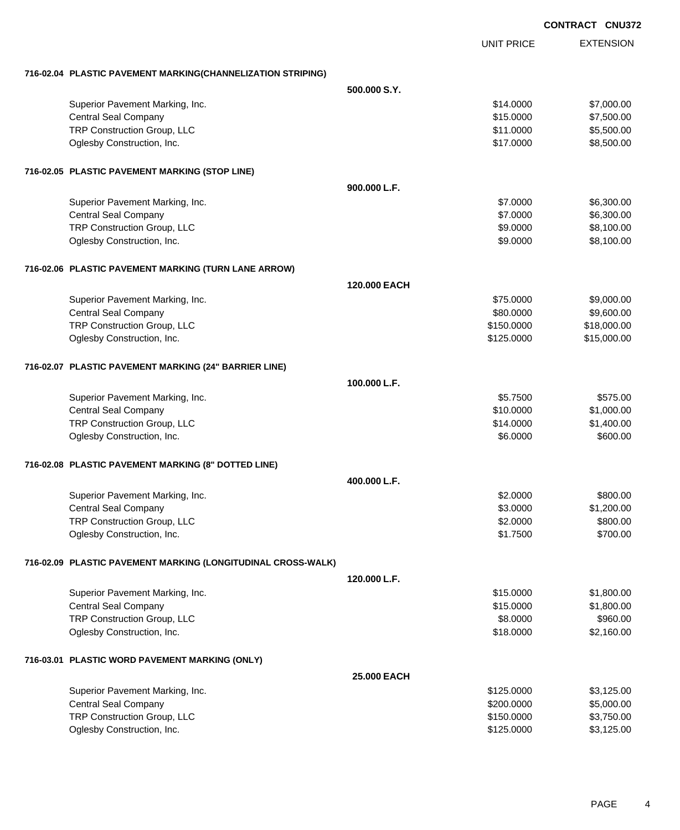| <b>CONTRACT</b> |  | <b>CNU372</b> |
|-----------------|--|---------------|
|                 |  |               |

|                                                              | UNIT PRICE   | <b>EXTENSION</b> |
|--------------------------------------------------------------|--------------|------------------|
|                                                              |              |                  |
| 716-02.04 PLASTIC PAVEMENT MARKING(CHANNELIZATION STRIPING)  | 500.000 S.Y. |                  |
| Superior Pavement Marking, Inc.                              | \$14.0000    | \$7,000.00       |
| <b>Central Seal Company</b>                                  | \$15.0000    | \$7,500.00       |
| TRP Construction Group, LLC                                  | \$11.0000    | \$5,500.00       |
| Oglesby Construction, Inc.                                   | \$17.0000    | \$8,500.00       |
| 716-02.05 PLASTIC PAVEMENT MARKING (STOP LINE)               |              |                  |
|                                                              | 900.000 L.F. |                  |
| Superior Pavement Marking, Inc.                              | \$7.0000     | \$6,300.00       |
| <b>Central Seal Company</b>                                  | \$7.0000     | \$6,300.00       |
| TRP Construction Group, LLC                                  | \$9.0000     | \$8,100.00       |
| Oglesby Construction, Inc.                                   | \$9.0000     | \$8,100.00       |
| 716-02.06 PLASTIC PAVEMENT MARKING (TURN LANE ARROW)         |              |                  |
|                                                              | 120,000 EACH |                  |
| Superior Pavement Marking, Inc.                              | \$75.0000    | \$9,000.00       |
| <b>Central Seal Company</b>                                  | \$80.0000    | \$9,600.00       |
| TRP Construction Group, LLC                                  | \$150.0000   | \$18,000.00      |
| Oglesby Construction, Inc.                                   | \$125.0000   | \$15,000.00      |
| 716-02.07 PLASTIC PAVEMENT MARKING (24" BARRIER LINE)        |              |                  |
|                                                              | 100.000 L.F. |                  |
| Superior Pavement Marking, Inc.                              | \$5.7500     | \$575.00         |
| <b>Central Seal Company</b>                                  | \$10.0000    | \$1,000.00       |
| TRP Construction Group, LLC                                  | \$14.0000    | \$1,400.00       |
| Oglesby Construction, Inc.                                   | \$6.0000     | \$600.00         |
| 716-02.08 PLASTIC PAVEMENT MARKING (8" DOTTED LINE)          |              |                  |
|                                                              | 400.000 L.F. |                  |
| Superior Pavement Marking, Inc.                              | \$2,0000     | \$800.00         |
| <b>Central Seal Company</b>                                  | \$3.0000     | \$1,200.00       |
| TRP Construction Group, LLC                                  | \$2.0000     | \$800.00         |
| Oglesby Construction, Inc.                                   | \$1.7500     | \$700.00         |
| 716-02.09 PLASTIC PAVEMENT MARKING (LONGITUDINAL CROSS-WALK) |              |                  |
|                                                              | 120.000 L.F. |                  |
| Superior Pavement Marking, Inc.                              | \$15.0000    | \$1,800.00       |
| <b>Central Seal Company</b>                                  | \$15.0000    | \$1,800.00       |
| TRP Construction Group, LLC                                  | \$8.0000     | \$960.00         |
| Oglesby Construction, Inc.                                   | \$18.0000    | \$2,160.00       |
| 716-03.01 PLASTIC WORD PAVEMENT MARKING (ONLY)               |              |                  |
|                                                              | 25.000 EACH  |                  |
| Superior Pavement Marking, Inc.                              | \$125.0000   | \$3,125.00       |
| <b>Central Seal Company</b>                                  | \$200.0000   | \$5,000.00       |
| TRP Construction Group, LLC                                  | \$150.0000   | \$3,750.00       |
| Oglesby Construction, Inc.                                   | \$125.0000   | \$3,125.00       |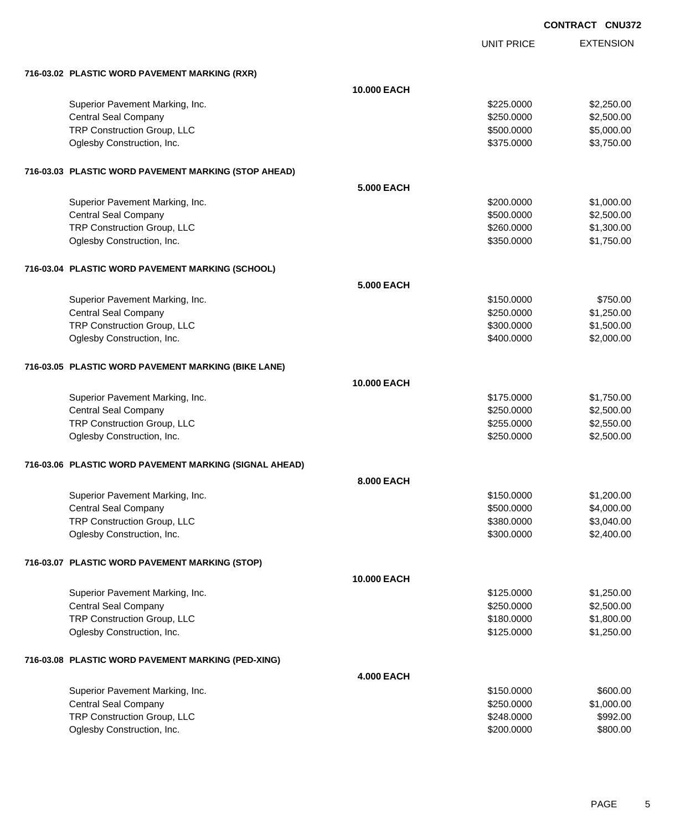UNIT PRICE EXTENSION

| 716-03.02 PLASTIC WORD PAVEMENT MARKING (RXR)          |                    |            |            |
|--------------------------------------------------------|--------------------|------------|------------|
|                                                        | 10.000 EACH        |            |            |
| Superior Pavement Marking, Inc.                        |                    | \$225,0000 | \$2,250.00 |
| <b>Central Seal Company</b>                            |                    | \$250.0000 | \$2,500.00 |
| TRP Construction Group, LLC                            |                    | \$500.0000 | \$5,000.00 |
| Oglesby Construction, Inc.                             |                    | \$375.0000 | \$3,750.00 |
| 716-03.03 PLASTIC WORD PAVEMENT MARKING (STOP AHEAD)   |                    |            |            |
|                                                        | <b>5.000 EACH</b>  |            |            |
| Superior Pavement Marking, Inc.                        |                    | \$200.0000 | \$1,000.00 |
| <b>Central Seal Company</b>                            |                    | \$500.0000 | \$2,500.00 |
| TRP Construction Group, LLC                            |                    | \$260.0000 | \$1,300.00 |
| Oglesby Construction, Inc.                             |                    | \$350.0000 | \$1,750.00 |
| 716-03.04 PLASTIC WORD PAVEMENT MARKING (SCHOOL)       |                    |            |            |
|                                                        | <b>5.000 EACH</b>  |            |            |
| Superior Pavement Marking, Inc.                        |                    | \$150.0000 | \$750.00   |
| <b>Central Seal Company</b>                            |                    | \$250.0000 | \$1,250.00 |
| TRP Construction Group, LLC                            |                    | \$300.0000 | \$1,500.00 |
| Oglesby Construction, Inc.                             |                    | \$400.0000 | \$2,000.00 |
| 716-03.05 PLASTIC WORD PAVEMENT MARKING (BIKE LANE)    |                    |            |            |
|                                                        | <b>10.000 EACH</b> |            |            |
| Superior Pavement Marking, Inc.                        |                    | \$175.0000 | \$1,750.00 |
| <b>Central Seal Company</b>                            |                    | \$250.0000 | \$2,500.00 |
| TRP Construction Group, LLC                            |                    | \$255.0000 | \$2,550.00 |
| Oglesby Construction, Inc.                             |                    | \$250.0000 | \$2,500.00 |
| 716-03.06 PLASTIC WORD PAVEMENT MARKING (SIGNAL AHEAD) |                    |            |            |
|                                                        | 8.000 EACH         |            |            |
| Superior Pavement Marking, Inc.                        |                    | \$150.0000 | \$1,200.00 |
| <b>Central Seal Company</b>                            |                    | \$500.0000 | \$4,000.00 |
| TRP Construction Group, LLC                            |                    | \$380.0000 | \$3,040.00 |
| Oglesby Construction, Inc.                             |                    | \$300.0000 | \$2,400.00 |
| 716-03.07 PLASTIC WORD PAVEMENT MARKING (STOP)         |                    |            |            |
|                                                        | <b>10.000 EACH</b> |            |            |
| Superior Pavement Marking, Inc.                        |                    | \$125.0000 | \$1,250.00 |
| <b>Central Seal Company</b>                            |                    | \$250.0000 | \$2,500.00 |
| TRP Construction Group, LLC                            |                    | \$180.0000 | \$1,800.00 |
| Oglesby Construction, Inc.                             |                    | \$125,0000 | \$1,250.00 |
| 716-03.08 PLASTIC WORD PAVEMENT MARKING (PED-XING)     |                    |            |            |
|                                                        | <b>4.000 EACH</b>  |            |            |
| Superior Pavement Marking, Inc.                        |                    | \$150.0000 | \$600.00   |
| <b>Central Seal Company</b>                            |                    | \$250.0000 | \$1,000.00 |
| TRP Construction Group, LLC                            |                    | \$248.0000 | \$992.00   |
| Oglesby Construction, Inc.                             |                    | \$200.0000 | \$800.00   |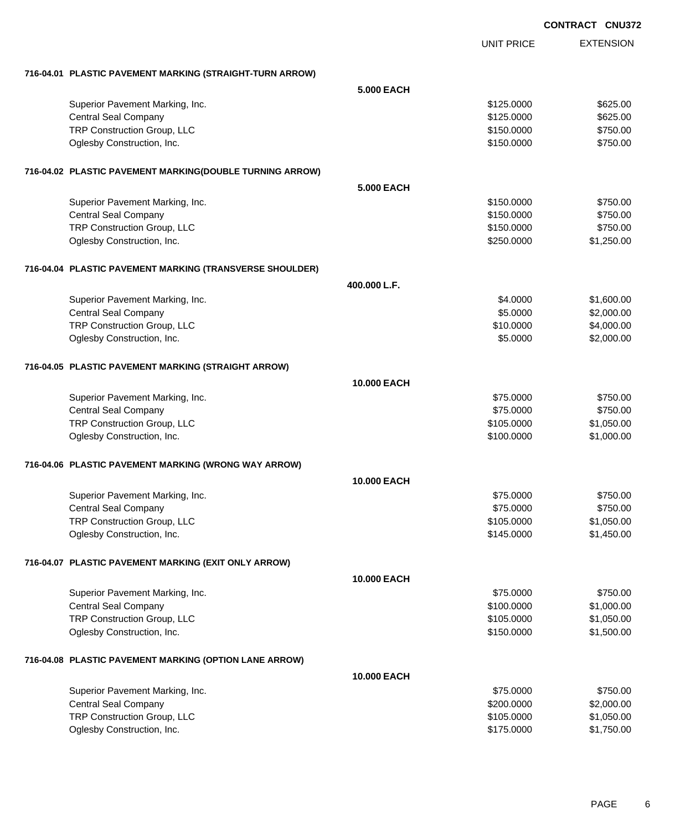|                                                          |                    |                   | <b>CONTRACT CNU372</b> |
|----------------------------------------------------------|--------------------|-------------------|------------------------|
|                                                          |                    | <b>UNIT PRICE</b> | <b>EXTENSION</b>       |
| 716-04.01 PLASTIC PAVEMENT MARKING (STRAIGHT-TURN ARROW) |                    |                   |                        |
|                                                          | 5,000 EACH         |                   |                        |
| Superior Pavement Marking, Inc.                          |                    | \$125.0000        | \$625.00               |
| <b>Central Seal Company</b>                              |                    | \$125.0000        | \$625.00               |
| TRP Construction Group, LLC                              |                    | \$150.0000        | \$750.00               |
| Oglesby Construction, Inc.                               |                    | \$150.0000        | \$750.00               |
| 716-04.02 PLASTIC PAVEMENT MARKING(DOUBLE TURNING ARROW) |                    |                   |                        |
|                                                          | 5,000 EACH         |                   |                        |
| Superior Pavement Marking, Inc.                          |                    | \$150.0000        | \$750.00               |
| <b>Central Seal Company</b>                              |                    | \$150.0000        | \$750.00               |
| TRP Construction Group, LLC                              |                    | \$150.0000        | \$750.00               |
| Oglesby Construction, Inc.                               |                    | \$250.0000        | \$1,250.00             |
| 716-04.04 PLASTIC PAVEMENT MARKING (TRANSVERSE SHOULDER) |                    |                   |                        |
|                                                          | 400.000 L.F.       |                   |                        |
| Superior Pavement Marking, Inc.                          |                    | \$4.0000          | \$1,600.00             |
| <b>Central Seal Company</b>                              |                    | \$5.0000          | \$2,000.00             |
| TRP Construction Group, LLC                              |                    | \$10.0000         | \$4,000.00             |
| Oglesby Construction, Inc.                               |                    | \$5.0000          | \$2,000.00             |
| 716-04.05 PLASTIC PAVEMENT MARKING (STRAIGHT ARROW)      |                    |                   |                        |
|                                                          | <b>10.000 EACH</b> |                   |                        |
| Superior Pavement Marking, Inc.                          |                    | \$75.0000         | \$750.00               |
| <b>Central Seal Company</b>                              |                    | \$75.0000         | \$750.00               |
| TRP Construction Group, LLC                              |                    | \$105.0000        | \$1,050.00             |
| Oglesby Construction, Inc.                               |                    | \$100.0000        | \$1,000.00             |
| 716-04.06 PLASTIC PAVEMENT MARKING (WRONG WAY ARROW)     |                    |                   |                        |
|                                                          | <b>10.000 EACH</b> |                   |                        |
| Superior Pavement Marking, Inc.                          |                    | \$75.0000         | \$750.00               |
| <b>Central Seal Company</b>                              |                    | \$75.0000         | \$750.00               |
| TRP Construction Group, LLC                              |                    | \$105.0000        | \$1,050.00             |
| Oglesby Construction, Inc.                               |                    | \$145.0000        | \$1,450.00             |
| 716-04.07 PLASTIC PAVEMENT MARKING (EXIT ONLY ARROW)     |                    |                   |                        |
|                                                          | 10.000 EACH        |                   |                        |
| Superior Pavement Marking, Inc.                          |                    | \$75.0000         | \$750.00               |
| <b>Central Seal Company</b>                              |                    | \$100.0000        | \$1,000.00             |
| TRP Construction Group, LLC                              |                    | \$105.0000        | \$1,050.00             |
| Oglesby Construction, Inc.                               |                    | \$150.0000        | \$1,500.00             |
| 716-04.08 PLASTIC PAVEMENT MARKING (OPTION LANE ARROW)   |                    |                   |                        |
|                                                          | <b>10.000 EACH</b> |                   |                        |
| Superior Pavement Marking, Inc.                          |                    | \$75.0000         | \$750.00               |
| <b>Central Seal Company</b>                              |                    | \$200.0000        | \$2,000.00             |
| TRP Construction Group, LLC                              |                    | \$105.0000        | \$1,050.00             |
| Oglesby Construction, Inc.                               |                    | \$175.0000        | \$1,750.00             |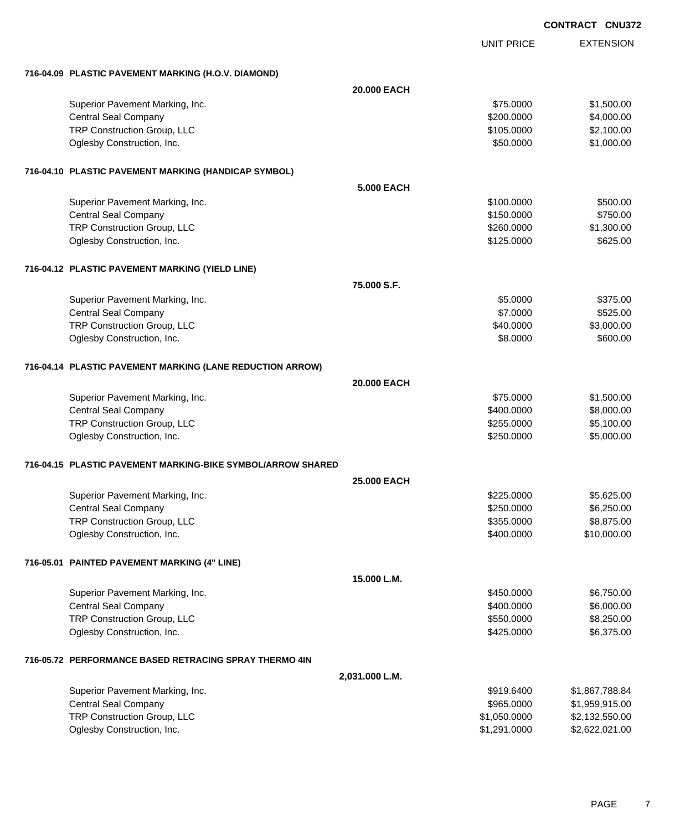EXTENSION UNIT PRICE **716-04.09 PLASTIC PAVEMENT MARKING (H.O.V. DIAMOND) 20.000 EACH** Superior Pavement Marking, Inc. 6. The Superior Pavement Marking, Inc. \$75.0000 \$1,500.00 Central Seal Company \$4,000.00 \$4,000.00 \$4,000.00 \$4,000.00 \$4,000.00 \$4,000.00 \$4,000.00 \$4,000.00 \$4,000.00 TRP Construction Group, LLC 63.100.00 \$2,100.00 Oglesby Construction, Inc. 6. The Construction of the Construction of the Construction, Inc. 6. The Construction of the Construction of the Construction of the Construction of the Construction of the Construction of the Co **716-04.10 PLASTIC PAVEMENT MARKING (HANDICAP SYMBOL) 5.000 EACH** Superior Pavement Marking, Inc. 66 and the state of the state of the state of the state of the state of the state of the state of the state of the state of the state of the state of the state of the state of the state of t Central Seal Company \$750.00 \$750.00 \$750.00 \$750.00 \$750.00 \$750.00 \$750.00 \$750.00 \$ TRP Construction Group, LLC 630.000 \$1,300.00 Oglesby Construction, Inc. 6625.00 \$625.00 \$625.00 \$625.00 \$625.00 \$625.00 \$625.00 **716-04.12 PLASTIC PAVEMENT MARKING (YIELD LINE) 75.000 S.F.** Superior Pavement Marking, Inc. 6. The Superior Pavement Marking, Inc. 6. The Superior Pavement Marking, Inc. 6. The Superior Superior St. 6.0000 \$375.00 Central Seal Company \$525.00 TRP Construction Group, LLC 63,000.00 \$3,000.00 \$3,000.00 Oglesby Construction, Inc. 6600.00 \$600.00 \$600.00 \$600.00 \$600.00 \$600.00 \$600.00 **716-04.14 PLASTIC PAVEMENT MARKING (LANE REDUCTION ARROW) 20.000 EACH** Superior Pavement Marking, Inc. 6. The Superior Pavement Marking, Inc. \$75.0000 \$1,500.00 Central Seal Company \$400.000 \$8,000.00 TRP Construction Group, LLC 65,100.00 Oglesby Construction, Inc. 66 and the construction, Inc. 6,000.00 \$5,000.00 \$5,000.00 **716-04.15 PLASTIC PAVEMENT MARKING-BIKE SYMBOL/ARROW SHARED 25.000 EACH** Superior Pavement Marking, Inc. 6. The Superior Pavement Marking, Inc. 6. The Superior Pavement Marking, Inc. 6. The Superior St. 625.000 \$5,625.00 Central Seal Company \$250.000 \$6,250.00 TRP Construction Group, LLC 6.6 and the state of the state of the state of the state  $$355.0000$  \$8,875.000 Oglesby Construction, Inc. 610,000.00 \$10,000.00 \$10,000.00 \$10,000.00 \$10,000.00 **716-05.01 PAINTED PAVEMENT MARKING (4" LINE) 15.000 L.M.** Superior Pavement Marking, Inc. 6. The Superior Pavement Marking, Inc. 6. The Superior Pavement Marking, Inc. 6. The Superior Section 1.1 and Superior Pavement Marking, Inc. 6. The Superior Pavement Marking, Inc. 6. The Su Central Seal Company \$6,000.00 \$6,000.00 \$6,000.00 \$6,000.00 \$6,000.00 \$6,000.00 \$6,000.00 \$6,000.00 \$6,000.00 TRP Construction Group, LLC 68,250.000 \$8,250.000 \$8,250.000 \$8,250.000 \$8,250.00 Oglesby Construction, Inc. 66,375.00 \$6,375.00 \$6,375.00 \$6,375.00 **716-05.72 PERFORMANCE BASED RETRACING SPRAY THERMO 4IN 2,031.000 L.M.** Superior Pavement Marking, Inc. 6. The Superior Pavement Marking, Inc. 6. The Superior Pavement Marking, Inc. 1 Central Seal Company **\$965.0000** \$1,959,915.00 TRP Construction Group, LLC 6. 2012 12:050.000 \$2,132,550.00 Oglesby Construction, Inc. 6. The Construction of the Construction of the Construction, Inc. 6. The Construction of the Construction of the Construction of the Construction of the Construction of the Construction of the Co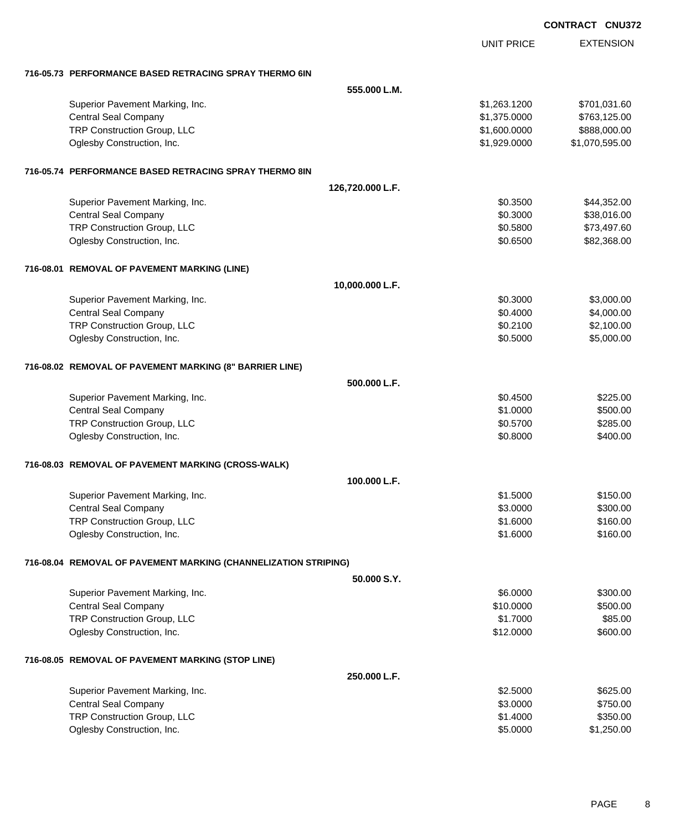|                                                                 |                  |                   | <b>UNUJI</b>     |
|-----------------------------------------------------------------|------------------|-------------------|------------------|
|                                                                 |                  | <b>UNIT PRICE</b> | <b>EXTENSION</b> |
| 716-05.73 PERFORMANCE BASED RETRACING SPRAY THERMO 6IN          |                  |                   |                  |
|                                                                 | 555,000 L.M.     |                   |                  |
| Superior Pavement Marking, Inc.                                 |                  | \$1,263.1200      | \$701,031.60     |
| <b>Central Seal Company</b>                                     |                  | \$1,375.0000      | \$763,125.00     |
| TRP Construction Group, LLC                                     |                  | \$1,600.0000      | \$888,000.00     |
| Oglesby Construction, Inc.                                      |                  | \$1,929.0000      | \$1,070,595.00   |
| 716-05.74 PERFORMANCE BASED RETRACING SPRAY THERMO 8IN          |                  |                   |                  |
|                                                                 | 126,720.000 L.F. |                   |                  |
| Superior Pavement Marking, Inc.                                 |                  | \$0.3500          | \$44,352.00      |
| <b>Central Seal Company</b>                                     |                  | \$0.3000          | \$38,016.00      |
| TRP Construction Group, LLC                                     |                  | \$0.5800          | \$73,497.60      |
| Oglesby Construction, Inc.                                      |                  | \$0.6500          | \$82,368.00      |
| 716-08.01 REMOVAL OF PAVEMENT MARKING (LINE)                    |                  |                   |                  |
|                                                                 | 10,000.000 L.F.  |                   |                  |
| Superior Pavement Marking, Inc.                                 |                  | \$0.3000          | \$3,000.00       |
| <b>Central Seal Company</b>                                     |                  | \$0.4000          | \$4,000.00       |
| TRP Construction Group, LLC                                     |                  | \$0.2100          | \$2,100.00       |
| Oglesby Construction, Inc.                                      |                  | \$0.5000          | \$5,000.00       |
| 716-08.02 REMOVAL OF PAVEMENT MARKING (8" BARRIER LINE)         |                  |                   |                  |
|                                                                 | 500.000 L.F.     |                   |                  |
| Superior Pavement Marking, Inc.                                 |                  | \$0.4500          | \$225.00         |
| <b>Central Seal Company</b>                                     |                  | \$1.0000          | \$500.00         |
| TRP Construction Group, LLC                                     |                  | \$0.5700          | \$285.00         |
| Oglesby Construction, Inc.                                      |                  | \$0.8000          | \$400.00         |
| 716-08.03 REMOVAL OF PAVEMENT MARKING (CROSS-WALK)              |                  |                   |                  |
|                                                                 | 100.000 L.F.     |                   |                  |
| Superior Pavement Marking, Inc.                                 |                  | \$1.5000          | \$150.00         |
| <b>Central Seal Company</b>                                     |                  | \$3.0000          | \$300.00         |
| TRP Construction Group, LLC                                     |                  | \$1.6000          | \$160.00         |
| Oglesby Construction, Inc.                                      |                  | \$1.6000          | \$160.00         |
| 716-08.04 REMOVAL OF PAVEMENT MARKING (CHANNELIZATION STRIPING) |                  |                   |                  |
|                                                                 | 50.000 S.Y.      |                   |                  |
| Superior Pavement Marking, Inc.                                 |                  | \$6.0000          | \$300.00         |
| <b>Central Seal Company</b>                                     |                  | \$10.0000         | \$500.00         |
| TRP Construction Group, LLC                                     |                  | \$1.7000          | \$85.00          |
| Oglesby Construction, Inc.                                      |                  | \$12.0000         | \$600.00         |
| 716-08.05 REMOVAL OF PAVEMENT MARKING (STOP LINE)               |                  |                   |                  |
|                                                                 | 250.000 L.F.     |                   |                  |
| Superior Pavement Marking, Inc.                                 |                  | \$2.5000          | \$625.00         |
| <b>Central Seal Company</b>                                     |                  | \$3.0000          | \$750.00         |
| TRP Construction Group, LLC                                     |                  | \$1.4000          | \$350.00         |
| Oglesby Construction, Inc.                                      |                  | \$5.0000          | \$1,250.00       |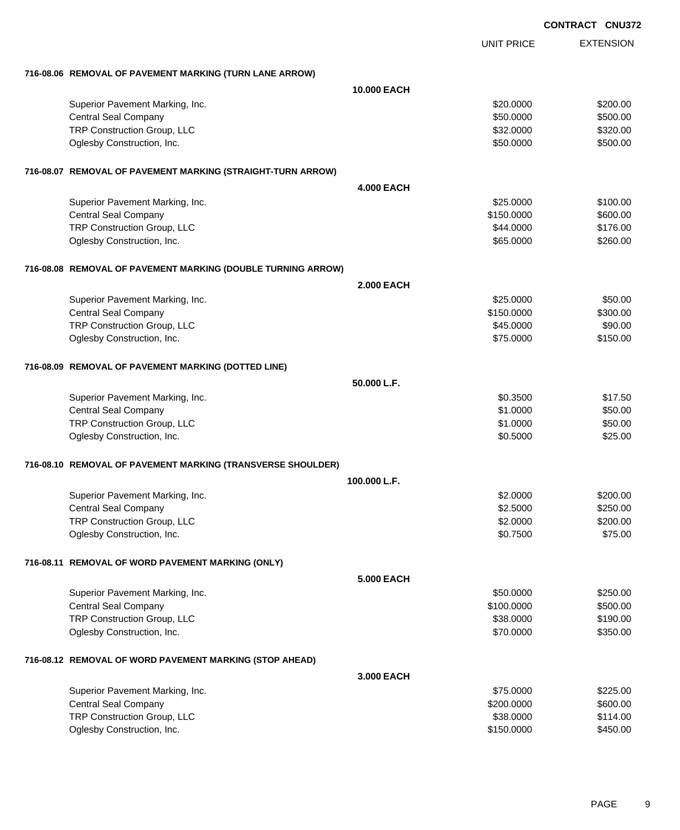|                                                              |                    |                   | <b>CONTRACT CNU372</b> |
|--------------------------------------------------------------|--------------------|-------------------|------------------------|
|                                                              |                    | <b>UNIT PRICE</b> | <b>EXTENSION</b>       |
| 716-08.06 REMOVAL OF PAVEMENT MARKING (TURN LANE ARROW)      |                    |                   |                        |
|                                                              | <b>10.000 EACH</b> |                   |                        |
| Superior Pavement Marking, Inc.                              |                    | \$20.0000         | \$200.00               |
| <b>Central Seal Company</b>                                  |                    | \$50.0000         | \$500.00               |
| TRP Construction Group, LLC                                  |                    | \$32.0000         | \$320.00               |
| Oglesby Construction, Inc.                                   |                    | \$50.0000         | \$500.00               |
| 716-08.07 REMOVAL OF PAVEMENT MARKING (STRAIGHT-TURN ARROW)  |                    |                   |                        |
|                                                              | <b>4.000 EACH</b>  |                   |                        |
| Superior Pavement Marking, Inc.                              |                    | \$25.0000         | \$100.00               |
| <b>Central Seal Company</b>                                  |                    | \$150.0000        | \$600.00               |
| TRP Construction Group, LLC                                  |                    | \$44.0000         | \$176.00               |
| Oglesby Construction, Inc.                                   |                    | \$65.0000         | \$260.00               |
| 716-08.08 REMOVAL OF PAVEMENT MARKING (DOUBLE TURNING ARROW) |                    |                   |                        |
|                                                              | <b>2.000 EACH</b>  |                   |                        |
| Superior Pavement Marking, Inc.                              |                    | \$25.0000         | \$50.00                |
| <b>Central Seal Company</b>                                  |                    | \$150.0000        | \$300.00               |
| TRP Construction Group, LLC                                  |                    | \$45.0000         | \$90.00                |
| Oglesby Construction, Inc.                                   |                    | \$75.0000         | \$150.00               |
| 716-08.09 REMOVAL OF PAVEMENT MARKING (DOTTED LINE)          |                    |                   |                        |
|                                                              | 50.000 L.F.        |                   |                        |
| Superior Pavement Marking, Inc.                              |                    | \$0.3500          | \$17.50                |
| <b>Central Seal Company</b>                                  |                    | \$1.0000          | \$50.00                |
| TRP Construction Group, LLC                                  |                    | \$1.0000          | \$50.00                |
| Oglesby Construction, Inc.                                   |                    | \$0.5000          | \$25.00                |
| 716-08.10 REMOVAL OF PAVEMENT MARKING (TRANSVERSE SHOULDER)  |                    |                   |                        |
|                                                              | 100.000 L.F.       |                   |                        |
| Superior Pavement Marking, Inc.                              |                    | \$2.0000          | \$200.00               |
| <b>Central Seal Company</b>                                  |                    | \$2.5000          | \$250.00               |
| TRP Construction Group, LLC                                  |                    | \$2.0000          | \$200.00               |
| Oglesby Construction, Inc.                                   |                    | \$0.7500          | \$75.00                |
| 716-08.11 REMOVAL OF WORD PAVEMENT MARKING (ONLY)            |                    |                   |                        |
|                                                              | <b>5.000 EACH</b>  |                   |                        |
| Superior Pavement Marking, Inc.                              |                    | \$50.0000         | \$250.00               |
| <b>Central Seal Company</b>                                  |                    | \$100.0000        | \$500.00               |
| TRP Construction Group, LLC                                  |                    | \$38.0000         | \$190.00               |
| Oglesby Construction, Inc.                                   |                    | \$70.0000         | \$350.00               |
| 716-08.12 REMOVAL OF WORD PAVEMENT MARKING (STOP AHEAD)      |                    |                   |                        |
|                                                              | 3.000 EACH         |                   |                        |
| Superior Pavement Marking, Inc.                              |                    | \$75.0000         | \$225.00               |
| <b>Central Seal Company</b>                                  |                    | \$200.0000        | \$600.00               |
| TRP Construction Group, LLC                                  |                    | \$38.0000         | \$114.00               |
| Oglesby Construction, Inc.                                   |                    | \$150.0000        | \$450.00               |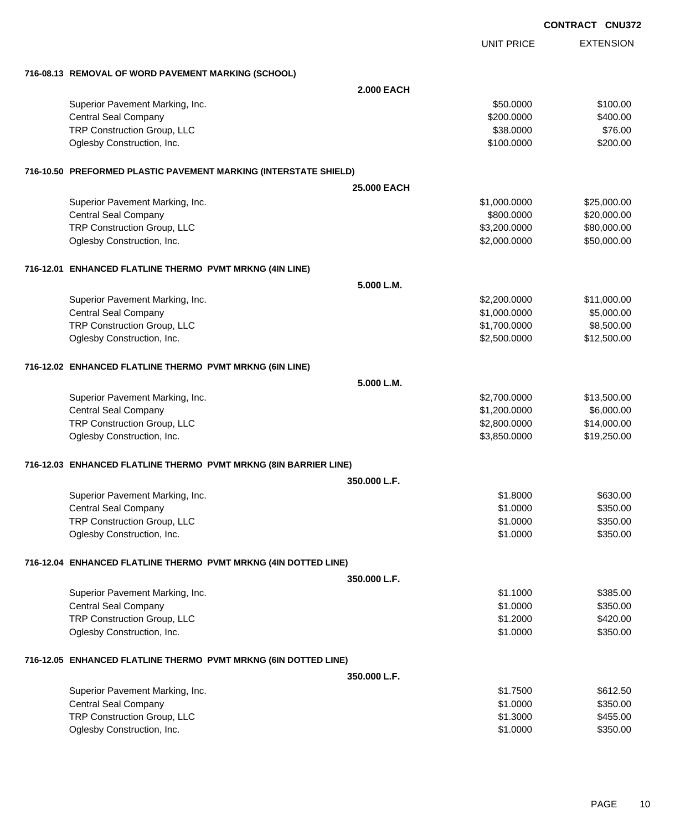|                                                                  |                    |                   | <b>CONTRACT CNU372</b> |
|------------------------------------------------------------------|--------------------|-------------------|------------------------|
|                                                                  |                    | <b>UNIT PRICE</b> | <b>EXTENSION</b>       |
| 716-08.13 REMOVAL OF WORD PAVEMENT MARKING (SCHOOL)              |                    |                   |                        |
|                                                                  | <b>2.000 EACH</b>  |                   |                        |
| Superior Pavement Marking, Inc.                                  |                    | \$50.0000         | \$100.00               |
| <b>Central Seal Company</b>                                      |                    | \$200.0000        | \$400.00               |
| TRP Construction Group, LLC                                      |                    | \$38.0000         | \$76.00                |
| Oglesby Construction, Inc.                                       |                    | \$100.0000        | \$200.00               |
| 716-10.50 PREFORMED PLASTIC PAVEMENT MARKING (INTERSTATE SHIELD) |                    |                   |                        |
|                                                                  | <b>25,000 EACH</b> |                   |                        |
| Superior Pavement Marking, Inc.                                  |                    | \$1,000.0000      | \$25,000.00            |
| <b>Central Seal Company</b>                                      |                    | \$800.0000        | \$20,000.00            |
| TRP Construction Group, LLC                                      |                    | \$3,200.0000      | \$80,000.00            |
| Oglesby Construction, Inc.                                       |                    | \$2,000.0000      | \$50,000.00            |
| 716-12.01 ENHANCED FLATLINE THERMO PVMT MRKNG (4IN LINE)         |                    |                   |                        |
|                                                                  | 5.000 L.M.         |                   |                        |
| Superior Pavement Marking, Inc.                                  |                    | \$2,200.0000      | \$11,000.00            |
| <b>Central Seal Company</b>                                      |                    | \$1,000.0000      | \$5,000.00             |
| TRP Construction Group, LLC                                      |                    | \$1,700.0000      | \$8,500.00             |
| Oglesby Construction, Inc.                                       |                    | \$2,500.0000      | \$12,500.00            |
| 716-12.02 ENHANCED FLATLINE THERMO PVMT MRKNG (6IN LINE)         |                    |                   |                        |
|                                                                  | 5.000 L.M.         |                   |                        |
| Superior Pavement Marking, Inc.                                  |                    | \$2,700.0000      | \$13,500.00            |
| <b>Central Seal Company</b>                                      |                    | \$1,200.0000      | \$6,000.00             |
| TRP Construction Group, LLC                                      |                    | \$2,800.0000      | \$14,000.00            |
| Oglesby Construction, Inc.                                       |                    | \$3,850.0000      | \$19,250.00            |
| 716-12.03 ENHANCED FLATLINE THERMO PVMT MRKNG (8IN BARRIER LINE) |                    |                   |                        |
|                                                                  | 350,000 L.F.       |                   |                        |
| Superior Pavement Marking, Inc.                                  |                    | \$1.8000          | \$630.00               |
| <b>Central Seal Company</b>                                      |                    | \$1.0000          | \$350.00               |
| TRP Construction Group, LLC                                      |                    | \$1.0000          | \$350.00               |
| Oglesby Construction, Inc.                                       |                    | \$1.0000          | \$350.00               |
| 716-12.04 ENHANCED FLATLINE THERMO PVMT MRKNG (4IN DOTTED LINE)  |                    |                   |                        |
|                                                                  | 350.000 L.F.       |                   |                        |
| Superior Pavement Marking, Inc.                                  |                    | \$1.1000          | \$385.00               |
| <b>Central Seal Company</b>                                      |                    | \$1.0000          | \$350.00               |
| TRP Construction Group, LLC                                      |                    | \$1.2000          | \$420.00               |
| Oglesby Construction, Inc.                                       |                    | \$1.0000          | \$350.00               |
| 716-12.05 ENHANCED FLATLINE THERMO PVMT MRKNG (6IN DOTTED LINE)  |                    |                   |                        |
|                                                                  | 350,000 L.F.       |                   |                        |
| Superior Pavement Marking, Inc.                                  |                    | \$1.7500          | \$612.50               |
| <b>Central Seal Company</b>                                      |                    | \$1.0000          | \$350.00               |
| TRP Construction Group, LLC                                      |                    | \$1.3000          | \$455.00               |
| Oglesby Construction, Inc.                                       |                    | \$1.0000          | \$350.00               |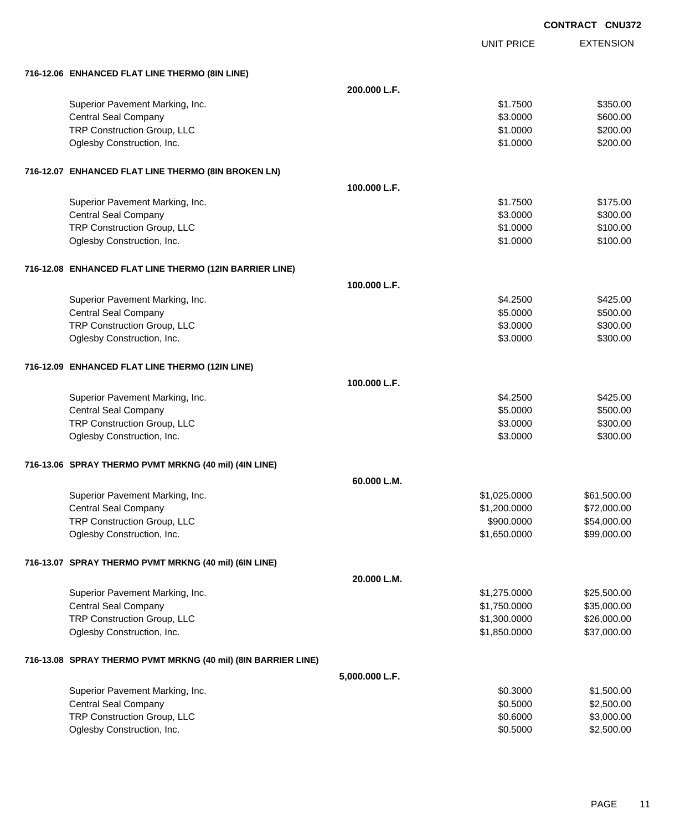|                                                               |                |                   | <b>CONTRACT CNU372</b> |
|---------------------------------------------------------------|----------------|-------------------|------------------------|
|                                                               |                | <b>UNIT PRICE</b> | <b>EXTENSION</b>       |
| 716-12.06 ENHANCED FLAT LINE THERMO (8IN LINE)                |                |                   |                        |
|                                                               | 200.000 L.F.   |                   |                        |
| Superior Pavement Marking, Inc.                               |                | \$1.7500          | \$350.00               |
| <b>Central Seal Company</b>                                   |                | \$3.0000          | \$600.00               |
| TRP Construction Group, LLC                                   |                | \$1.0000          | \$200.00               |
| Oglesby Construction, Inc.                                    |                | \$1.0000          | \$200.00               |
| 716-12.07 ENHANCED FLAT LINE THERMO (8IN BROKEN LN)           |                |                   |                        |
|                                                               | 100.000 L.F.   |                   |                        |
| Superior Pavement Marking, Inc.                               |                | \$1,7500          | \$175.00               |
| <b>Central Seal Company</b>                                   |                | \$3.0000          | \$300.00               |
| TRP Construction Group, LLC                                   |                | \$1.0000          | \$100.00               |
| Oglesby Construction, Inc.                                    |                | \$1.0000          | \$100.00               |
| 716-12.08 ENHANCED FLAT LINE THERMO (12IN BARRIER LINE)       |                |                   |                        |
|                                                               | 100.000 L.F.   |                   |                        |
| Superior Pavement Marking, Inc.                               |                | \$4.2500          | \$425.00               |
| <b>Central Seal Company</b>                                   |                | \$5.0000          | \$500.00               |
| TRP Construction Group, LLC                                   |                | \$3.0000          | \$300.00               |
| Oglesby Construction, Inc.                                    |                | \$3.0000          | \$300.00               |
| 716-12.09 ENHANCED FLAT LINE THERMO (12IN LINE)               |                |                   |                        |
|                                                               | 100.000 L.F.   |                   |                        |
| Superior Pavement Marking, Inc.                               |                | \$4.2500          | \$425.00               |
| <b>Central Seal Company</b>                                   |                | \$5.0000          | \$500.00               |
| TRP Construction Group, LLC                                   |                | \$3.0000          | \$300.00               |
| Oglesby Construction, Inc.                                    |                | \$3.0000          | \$300.00               |
| 716-13.06 SPRAY THERMO PVMT MRKNG (40 mil) (4IN LINE)         |                |                   |                        |
|                                                               | 60.000 L.M.    |                   |                        |
| Superior Pavement Marking, Inc.                               |                | \$1,025.0000      | \$61,500.00            |
| <b>Central Seal Company</b>                                   |                | \$1,200.0000      | \$72,000.00            |
| TRP Construction Group, LLC                                   |                | \$900.0000        | \$54,000.00            |
| Oglesby Construction, Inc.                                    |                | \$1,650.0000      | \$99,000.00            |
| 716-13.07 SPRAY THERMO PVMT MRKNG (40 mil) (6IN LINE)         |                |                   |                        |
|                                                               | 20.000 L.M.    |                   |                        |
| Superior Pavement Marking, Inc.                               |                | \$1,275.0000      | \$25,500.00            |
| <b>Central Seal Company</b>                                   |                | \$1,750.0000      | \$35,000.00            |
| TRP Construction Group, LLC                                   |                | \$1,300.0000      | \$26,000.00            |
| Oglesby Construction, Inc.                                    |                | \$1,850.0000      | \$37,000.00            |
| 716-13.08 SPRAY THERMO PVMT MRKNG (40 mil) (8IN BARRIER LINE) |                |                   |                        |
|                                                               | 5,000.000 L.F. |                   |                        |
| Superior Pavement Marking, Inc.                               |                | \$0.3000          | \$1,500.00             |
| <b>Central Seal Company</b>                                   |                | \$0.5000          | \$2,500.00             |
| TRP Construction Group, LLC                                   |                | \$0.6000          | \$3,000.00             |
| Oglesby Construction, Inc.                                    |                | \$0.5000          | \$2,500.00             |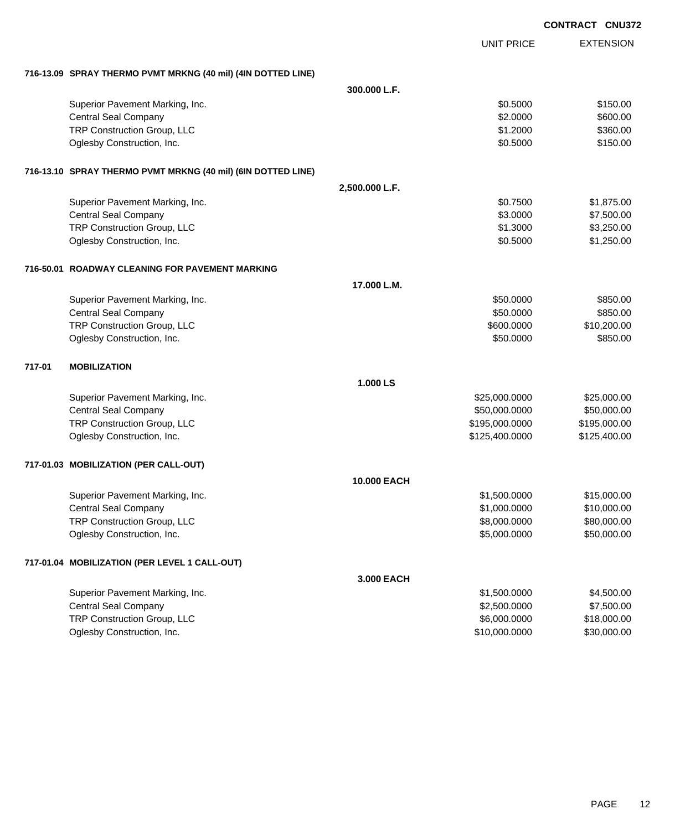|        |                                                              |                |                   | <b>CONTRACT CNU372</b> |
|--------|--------------------------------------------------------------|----------------|-------------------|------------------------|
|        |                                                              |                | <b>UNIT PRICE</b> | <b>EXTENSION</b>       |
|        | 716-13.09 SPRAY THERMO PVMT MRKNG (40 mil) (4IN DOTTED LINE) |                |                   |                        |
|        |                                                              | 300.000 L.F.   |                   |                        |
|        | Superior Pavement Marking, Inc.                              |                | \$0.5000          | \$150.00               |
|        | <b>Central Seal Company</b>                                  |                | \$2.0000          | \$600.00               |
|        | TRP Construction Group, LLC                                  |                | \$1.2000          | \$360.00               |
|        | Oglesby Construction, Inc.                                   |                | \$0.5000          | \$150.00               |
|        | 716-13.10 SPRAY THERMO PVMT MRKNG (40 mil) (6IN DOTTED LINE) |                |                   |                        |
|        |                                                              | 2,500.000 L.F. |                   |                        |
|        | Superior Pavement Marking, Inc.                              |                | \$0.7500          | \$1,875.00             |
|        | <b>Central Seal Company</b>                                  |                | \$3.0000          | \$7,500.00             |
|        | TRP Construction Group, LLC                                  |                | \$1.3000          | \$3,250.00             |
|        | Oglesby Construction, Inc.                                   |                | \$0.5000          | \$1,250.00             |
|        | 716-50.01 ROADWAY CLEANING FOR PAVEMENT MARKING              |                |                   |                        |
|        |                                                              | 17.000 L.M.    |                   |                        |
|        | Superior Pavement Marking, Inc.                              |                | \$50.0000         | \$850.00               |
|        | <b>Central Seal Company</b>                                  |                | \$50.0000         | \$850.00               |
|        | TRP Construction Group, LLC                                  |                | \$600.0000        | \$10,200.00            |
|        | Oglesby Construction, Inc.                                   |                | \$50.0000         | \$850.00               |
| 717-01 | <b>MOBILIZATION</b>                                          |                |                   |                        |
|        |                                                              | 1.000 LS       |                   |                        |
|        | Superior Pavement Marking, Inc.                              |                | \$25,000.0000     | \$25,000.00            |
|        | <b>Central Seal Company</b>                                  |                | \$50,000.0000     | \$50,000.00            |
|        | TRP Construction Group, LLC                                  |                | \$195,000.0000    | \$195,000.00           |
|        | Oglesby Construction, Inc.                                   |                | \$125,400.0000    | \$125,400.00           |
|        | 717-01.03 MOBILIZATION (PER CALL-OUT)                        |                |                   |                        |
|        |                                                              | 10.000 EACH    |                   |                        |
|        | Superior Pavement Marking, Inc.                              |                | \$1,500.0000      | \$15,000.00            |
|        | <b>Central Seal Company</b>                                  |                | \$1,000.0000      | \$10,000.00            |
|        | TRP Construction Group, LLC                                  |                | \$8,000.0000      | \$80,000.00            |
|        | Oglesby Construction, Inc.                                   |                | \$5,000.0000      | \$50,000.00            |
|        | 717-01.04 MOBILIZATION (PER LEVEL 1 CALL-OUT)                |                |                   |                        |
|        |                                                              | 3.000 EACH     |                   |                        |
|        | Superior Pavement Marking, Inc.                              |                | \$1,500.0000      | \$4,500.00             |
|        | <b>Central Seal Company</b>                                  |                | \$2,500.0000      | \$7,500.00             |
|        | TRP Construction Group, LLC                                  |                | \$6,000.0000      | \$18,000.00            |
|        | Oglesby Construction, Inc.                                   |                | \$10,000.0000     | \$30,000.00            |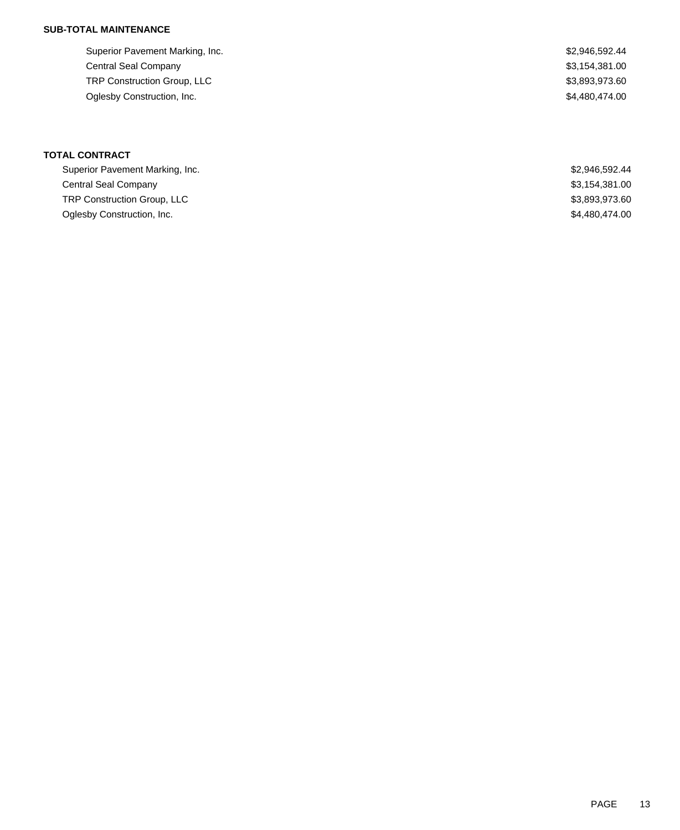| Superior Pavement Marking, Inc.    | \$2,946,592.44 |
|------------------------------------|----------------|
| Central Seal Company               | \$3,154,381.00 |
| <b>TRP Construction Group, LLC</b> | \$3,893,973.60 |
| Oglesby Construction, Inc.         | \$4.480.474.00 |
|                                    |                |

#### **TOTAL CONTRACT**

| Superior Pavement Marking, Inc. | \$2,946,592,44 |
|---------------------------------|----------------|
| Central Seal Company            | \$3,154,381.00 |
| TRP Construction Group, LLC     | \$3,893,973.60 |
| Oglesby Construction, Inc.      | \$4,480,474.00 |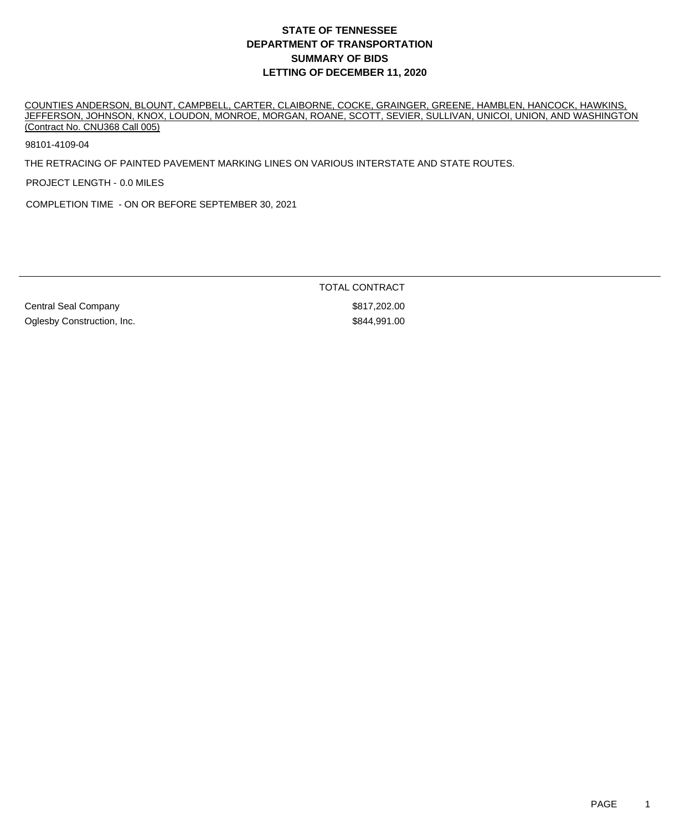COUNTIES ANDERSON, BLOUNT, CAMPBELL, CARTER, CLAIBORNE, COCKE, GRAINGER, GREENE, HAMBLEN, HANCOCK, HAWKINS, JEFFERSON, JOHNSON, KNOX, LOUDON, MONROE, MORGAN, ROANE, SCOTT, SEVIER, SULLIVAN, UNICOI, UNION, AND WASHINGTON (Contract No. CNU368 Call 005)

98101-4109-04

THE RETRACING OF PAINTED PAVEMENT MARKING LINES ON VARIOUS INTERSTATE AND STATE ROUTES.

PROJECT LENGTH - 0.0 MILES

COMPLETION TIME - ON OR BEFORE SEPTEMBER 30, 2021

Central Seal Company **\$817,202.00** Oglesby Construction, Inc. **\$844,991.00** Construction, Inc.

TOTAL CONTRACT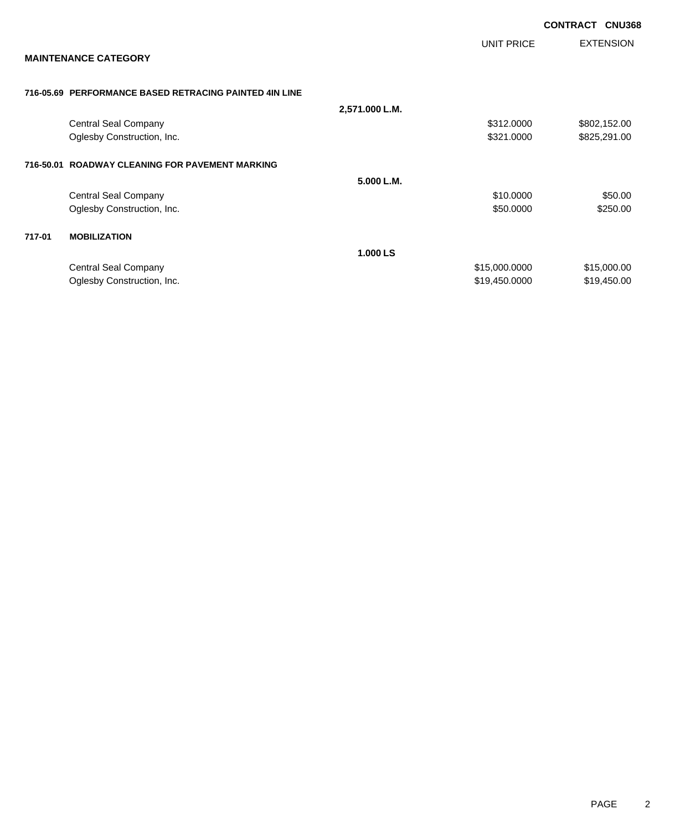|        |                                                        |                |               | <b>CONTRACT</b> | <b>CNU368</b>    |
|--------|--------------------------------------------------------|----------------|---------------|-----------------|------------------|
|        |                                                        |                | UNIT PRICE    |                 | <b>EXTENSION</b> |
|        | <b>MAINTENANCE CATEGORY</b>                            |                |               |                 |                  |
|        | 716-05.69 PERFORMANCE BASED RETRACING PAINTED 4IN LINE |                |               |                 |                  |
|        |                                                        | 2,571.000 L.M. |               |                 |                  |
|        | Central Seal Company                                   |                | \$312.0000    |                 | \$802,152.00     |
|        | Oglesby Construction, Inc.                             |                | \$321.0000    |                 | \$825,291.00     |
|        | 716-50.01 ROADWAY CLEANING FOR PAVEMENT MARKING        |                |               |                 |                  |
|        |                                                        | 5.000 L.M.     |               |                 |                  |
|        | <b>Central Seal Company</b>                            |                | \$10.0000     |                 | \$50.00          |
|        | Oglesby Construction, Inc.                             |                | \$50.0000     |                 | \$250.00         |
| 717-01 | <b>MOBILIZATION</b>                                    |                |               |                 |                  |
|        |                                                        | 1.000 LS       |               |                 |                  |
|        | <b>Central Seal Company</b>                            |                | \$15,000.0000 |                 | \$15,000.00      |
|        | Oglesby Construction, Inc.                             |                | \$19,450.0000 |                 | \$19,450.00      |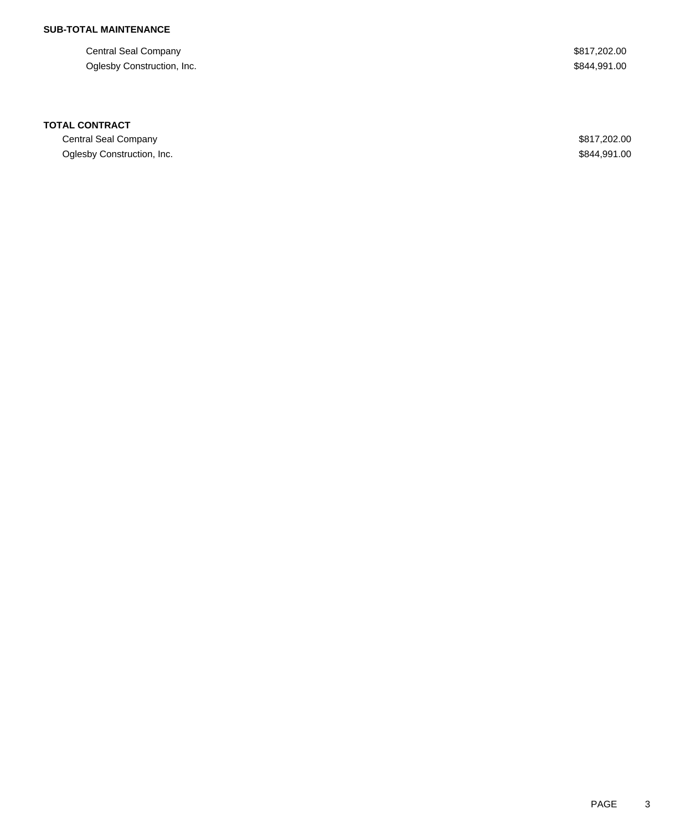Central Seal Company \$817,202.00 Oglesby Construction, Inc. 6844,991.00

#### **TOTAL CONTRACT**

Central Seal Company \$817,202.00 Oglesby Construction, Inc. 6844,991.00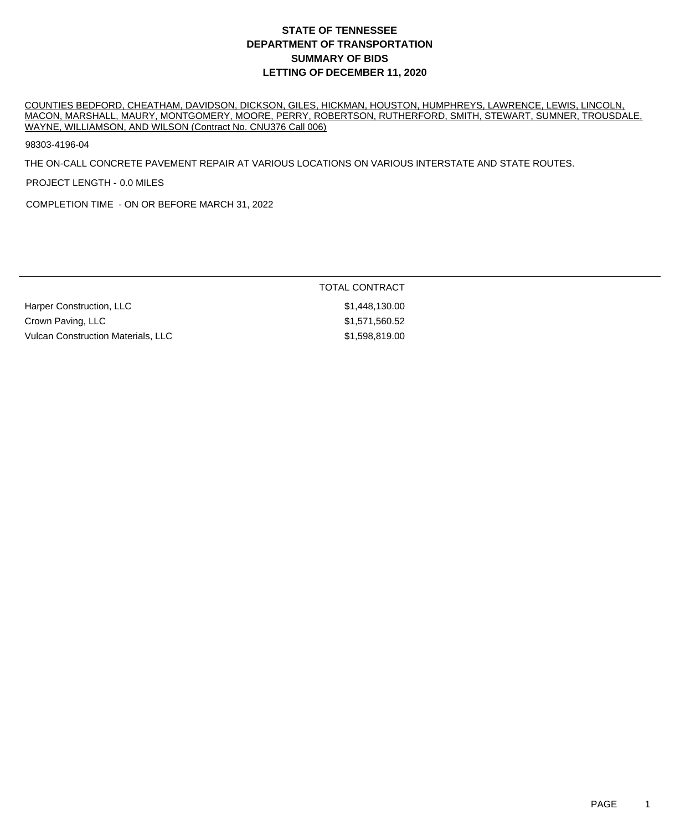COUNTIES BEDFORD, CHEATHAM, DAVIDSON, DICKSON, GILES, HICKMAN, HOUSTON, HUMPHREYS, LAWRENCE, LEWIS, LINCOLN, MACON, MARSHALL, MAURY, MONTGOMERY, MOORE, PERRY, ROBERTSON, RUTHERFORD, SMITH, STEWART, SUMNER, TROUSDALE, WAYNE, WILLIAMSON, AND WILSON (Contract No. CNU376 Call 006)

98303-4196-04

THE ON-CALL CONCRETE PAVEMENT REPAIR AT VARIOUS LOCATIONS ON VARIOUS INTERSTATE AND STATE ROUTES.

PROJECT LENGTH - 0.0 MILES

COMPLETION TIME - ON OR BEFORE MARCH 31, 2022

#### TOTAL CONTRACT

Harper Construction, LLC 6. The State of the State of State 31,448,130.00 Crown Paving, LLC **1992** Crown Paving, LLC Vulcan Construction Materials, LLC \$1,598,819.00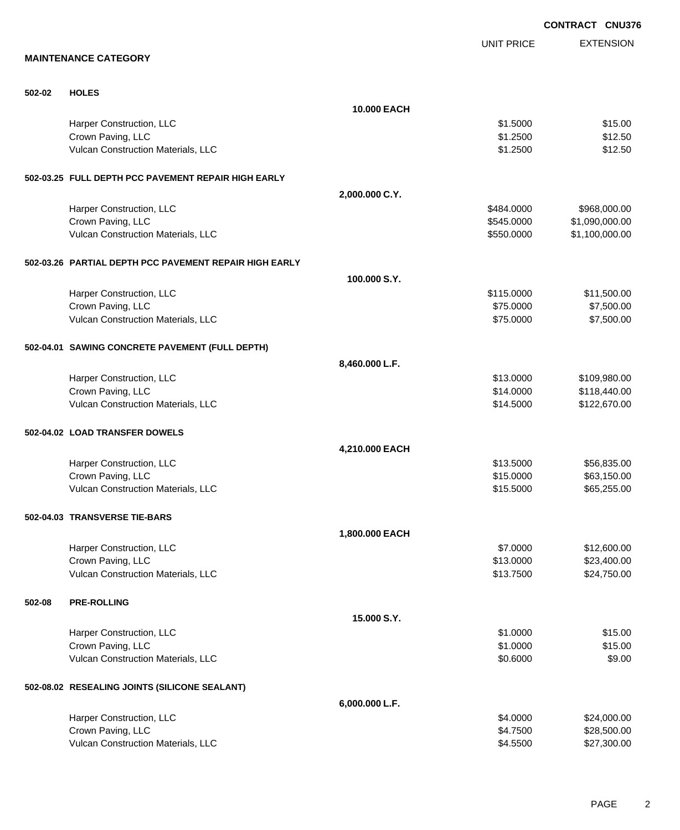EXTENSION **CONTRACT CNU376** UNIT PRICE **MAINTENANCE CATEGORY 502-02 HOLES 10.000 EACH** Harper Construction, LLC 651.5000 \$15.00 Crown Paving, LLC \$12.500 \$12.500 \$12.500 \$12.500 \$12.500 \$12.500 \$12.500 \$12.500 \$12.500 \$12.500 \$12.500 \$12.50 Vulcan Construction Materials, LLC 61.2500 \$12.500 \$12.500 \$12.500 **502-03.25 FULL DEPTH PCC PAVEMENT REPAIR HIGH EARLY 2,000.000 C.Y.** Harper Construction, LLC **All and Struction**, LLC **\$484.0000** \$968,000.00 Crown Paving, LLC 6. 2012 12:00 12:00 12:00 12:00 12:00 12:00 12:00 12:00 12:00 12:00 12:00 12:00 12:00 12:00 1 Vulcan Construction Materials, LLC \$550.0000 \$1,100,000.00 **502-03.26 PARTIAL DEPTH PCC PAVEMENT REPAIR HIGH EARLY 100.000 S.Y.** Harper Construction, LLC 611,500.00 \$115.0000 \$11,500.00 Crown Paving, LLC \$7,500.00 \$7,500.00 Vulcan Construction Materials, LLC 67,500.00 \$7,500.00 \$7,500.00 **502-04.01 SAWING CONCRETE PAVEMENT (FULL DEPTH) 8,460.000 L.F.** Harper Construction, LLC 6. The state of the state of the state of the state of the state of the state of the state of the state of the state of the state of the state of the state of the state of the state of the state of Crown Paving, LLC 6. 2012 12:30 12:30 12:30 12:30 12:30 12:30 12:30 12:30 12:30 12:30 12:30 12:30 12:30 12:30 1 Vulcan Construction Materials, LLC 6120,670.00 \$122,670.00 \$122,670.00 **502-04.02 LOAD TRANSFER DOWELS 4,210.000 EACH** Harper Construction, LLC 66,835.00 \$56,835.00 Crown Paving, LLC \$15.000 \$63,150.00 Vulcan Construction Materials, LLC 665,255.00 \$65,255.00 **502-04.03 TRANSVERSE TIE-BARS 1,800.000 EACH** Harper Construction, LLC 612,600.00 \$12,600.00 \$12,600.00 Crown Paving, LLC \$23,400.00 Vulcan Construction Materials, LLC 613.7500 \$24,750.00 **502-08 PRE-ROLLING 15.000 S.Y.** Harper Construction, LLC 651.000 \$15.00 Crown Paving, LLC \$1.0000 \$15.00 Vulcan Construction Materials, LLC 69.000 \$9.000 \$9.000 \$9.000 \$9.000 \$9.000 \$9.000 \$9.000 \$9.000 \$9.000 \$9.00 **502-08.02 RESEALING JOINTS (SILICONE SEALANT) 6,000.000 L.F.** Harper Construction, LLC 624,000.00 \$24,000.00 \$24,000.00 \$24,000.00 \$24,000.00 \$24,000.00 \$24,000.00 \$24,000 Crown Paving, LLC \$28,500.00

Vulcan Construction Materials, LLC 600 and the state of the state of the state of the state of the state of the state  $\frac{1}{2}$ ,300.00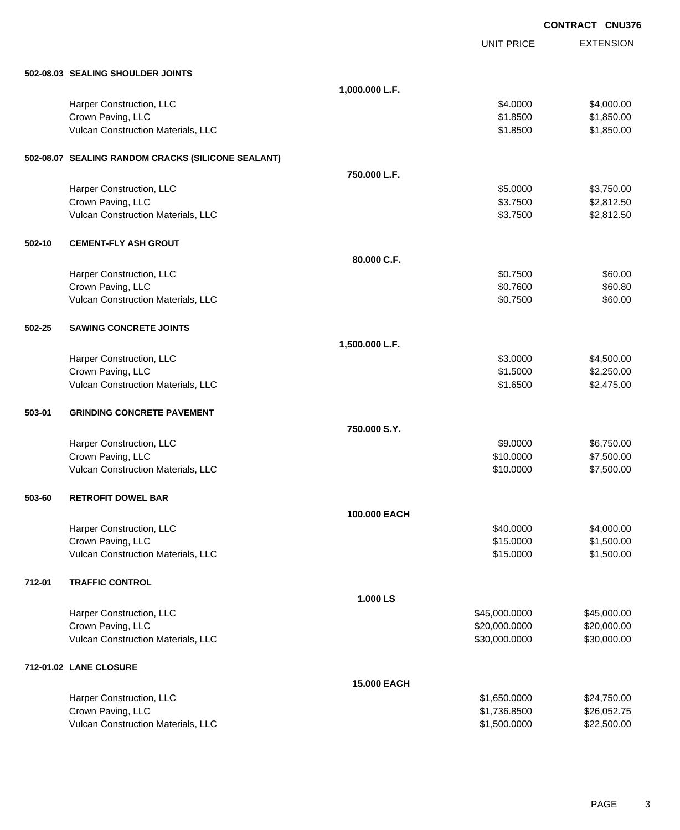|        |                                                    |                    |               | <b>CONTRACT CNU376</b> |
|--------|----------------------------------------------------|--------------------|---------------|------------------------|
|        |                                                    |                    | UNIT PRICE    | <b>EXTENSION</b>       |
|        | 502-08.03 SEALING SHOULDER JOINTS                  |                    |               |                        |
|        |                                                    | 1,000.000 L.F.     |               |                        |
|        | Harper Construction, LLC                           |                    | \$4.0000      | \$4,000.00             |
|        | Crown Paving, LLC                                  |                    | \$1.8500      | \$1,850.00             |
|        | Vulcan Construction Materials, LLC                 |                    | \$1.8500      | \$1,850.00             |
|        | 502-08.07 SEALING RANDOM CRACKS (SILICONE SEALANT) |                    |               |                        |
|        |                                                    | 750.000 L.F.       |               |                        |
|        | Harper Construction, LLC                           |                    | \$5.0000      | \$3,750.00             |
|        | Crown Paving, LLC                                  |                    | \$3.7500      | \$2,812.50             |
|        | Vulcan Construction Materials, LLC                 |                    | \$3.7500      | \$2,812.50             |
| 502-10 | <b>CEMENT-FLY ASH GROUT</b>                        |                    |               |                        |
|        |                                                    | 80.000 C.F.        |               |                        |
|        | Harper Construction, LLC                           |                    | \$0.7500      | \$60.00                |
|        | Crown Paving, LLC                                  |                    | \$0.7600      | \$60.80                |
|        | Vulcan Construction Materials, LLC                 |                    | \$0.7500      | \$60.00                |
| 502-25 | <b>SAWING CONCRETE JOINTS</b>                      |                    |               |                        |
|        |                                                    | 1,500.000 L.F.     |               |                        |
|        | Harper Construction, LLC                           |                    | \$3.0000      | \$4,500.00             |
|        | Crown Paving, LLC                                  |                    | \$1.5000      | \$2,250.00             |
|        | Vulcan Construction Materials, LLC                 |                    | \$1.6500      | \$2,475.00             |
| 503-01 | <b>GRINDING CONCRETE PAVEMENT</b>                  |                    |               |                        |
|        |                                                    | 750.000 S.Y.       |               |                        |
|        | Harper Construction, LLC                           |                    | \$9.0000      | \$6,750.00             |
|        | Crown Paving, LLC                                  |                    | \$10.0000     | \$7,500.00             |
|        | Vulcan Construction Materials, LLC                 |                    | \$10.0000     | \$7,500.00             |
| 503-60 | <b>RETROFIT DOWEL BAR</b>                          |                    |               |                        |
|        |                                                    | 100.000 EACH       |               |                        |
|        | Harper Construction, LLC                           |                    | \$40.0000     | \$4,000.00             |
|        | Crown Paving, LLC                                  |                    | \$15.0000     | \$1,500.00             |
|        | Vulcan Construction Materials, LLC                 |                    | \$15.0000     | \$1,500.00             |
| 712-01 | <b>TRAFFIC CONTROL</b>                             |                    |               |                        |
|        |                                                    | 1.000 LS           |               |                        |
|        | Harper Construction, LLC                           |                    | \$45,000.0000 | \$45,000.00            |
|        | Crown Paving, LLC                                  |                    | \$20,000.0000 | \$20,000.00            |
|        | Vulcan Construction Materials, LLC                 |                    | \$30,000.0000 | \$30,000.00            |
|        | 712-01.02 LANE CLOSURE                             |                    |               |                        |
|        |                                                    | <b>15.000 EACH</b> |               |                        |
|        | Harper Construction, LLC                           |                    | \$1,650.0000  | \$24,750.00            |
|        | Crown Paving, LLC                                  |                    | \$1,736.8500  | \$26,052.75            |
|        | Vulcan Construction Materials, LLC                 |                    | \$1,500.0000  | \$22,500.00            |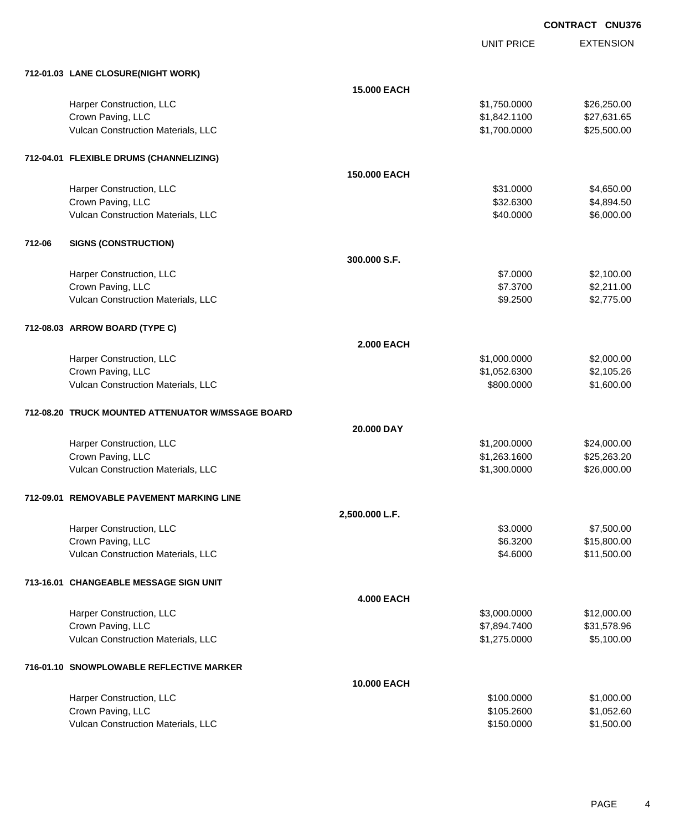**CONTRACT CNU376**

UNIT PRICE EXTENSION

|        | 712-01.03 LANE CLOSURE(NIGHT WORK)                |                    |              |             |
|--------|---------------------------------------------------|--------------------|--------------|-------------|
|        |                                                   | <b>15.000 EACH</b> |              |             |
|        | Harper Construction, LLC                          |                    | \$1,750.0000 | \$26,250.00 |
|        | Crown Paving, LLC                                 |                    | \$1,842.1100 | \$27,631.65 |
|        | Vulcan Construction Materials, LLC                |                    | \$1,700.0000 | \$25,500.00 |
|        | 712-04.01 FLEXIBLE DRUMS (CHANNELIZING)           |                    |              |             |
|        |                                                   | 150.000 EACH       |              |             |
|        | Harper Construction, LLC                          |                    | \$31.0000    | \$4,650.00  |
|        | Crown Paving, LLC                                 |                    | \$32.6300    | \$4,894.50  |
|        | Vulcan Construction Materials, LLC                |                    | \$40.0000    | \$6,000.00  |
| 712-06 | <b>SIGNS (CONSTRUCTION)</b>                       |                    |              |             |
|        |                                                   | 300.000 S.F.       |              |             |
|        | Harper Construction, LLC                          |                    | \$7.0000     | \$2,100.00  |
|        | Crown Paving, LLC                                 |                    | \$7.3700     | \$2,211.00  |
|        | Vulcan Construction Materials, LLC                |                    | \$9.2500     | \$2,775.00  |
|        | 712-08.03 ARROW BOARD (TYPE C)                    |                    |              |             |
|        |                                                   | <b>2.000 EACH</b>  |              |             |
|        | Harper Construction, LLC                          |                    | \$1,000.0000 | \$2,000.00  |
|        | Crown Paving, LLC                                 |                    | \$1,052.6300 | \$2,105.26  |
|        | Vulcan Construction Materials, LLC                |                    | \$800.0000   | \$1,600.00  |
|        | 712-08.20 TRUCK MOUNTED ATTENUATOR W/MSSAGE BOARD |                    |              |             |
|        |                                                   | 20.000 DAY         |              |             |
|        | Harper Construction, LLC                          |                    | \$1,200.0000 | \$24,000.00 |
|        | Crown Paving, LLC                                 |                    | \$1,263.1600 | \$25,263.20 |
|        | Vulcan Construction Materials, LLC                |                    | \$1,300.0000 | \$26,000.00 |
|        | 712-09.01 REMOVABLE PAVEMENT MARKING LINE         |                    |              |             |
|        |                                                   | 2,500.000 L.F.     |              |             |
|        | Harper Construction, LLC                          |                    | \$3.0000     | \$7,500.00  |
|        | Crown Paving, LLC                                 |                    | \$6.3200     | \$15,800.00 |
|        | Vulcan Construction Materials, LLC                |                    | \$4.6000     | \$11,500.00 |
|        | 713-16.01 CHANGEABLE MESSAGE SIGN UNIT            |                    |              |             |
|        |                                                   | <b>4.000 EACH</b>  |              |             |
|        | Harper Construction, LLC                          |                    | \$3,000.0000 | \$12,000.00 |
|        | Crown Paving, LLC                                 |                    | \$7,894.7400 | \$31,578.96 |
|        | Vulcan Construction Materials, LLC                |                    | \$1,275.0000 | \$5,100.00  |
|        | 716-01.10 SNOWPLOWABLE REFLECTIVE MARKER          |                    |              |             |
|        |                                                   | 10.000 EACH        |              |             |
|        | Harper Construction, LLC                          |                    | \$100.0000   | \$1,000.00  |
|        | Crown Paving, LLC                                 |                    | \$105.2600   | \$1,052.60  |
|        | Vulcan Construction Materials, LLC                |                    | \$150.0000   | \$1,500.00  |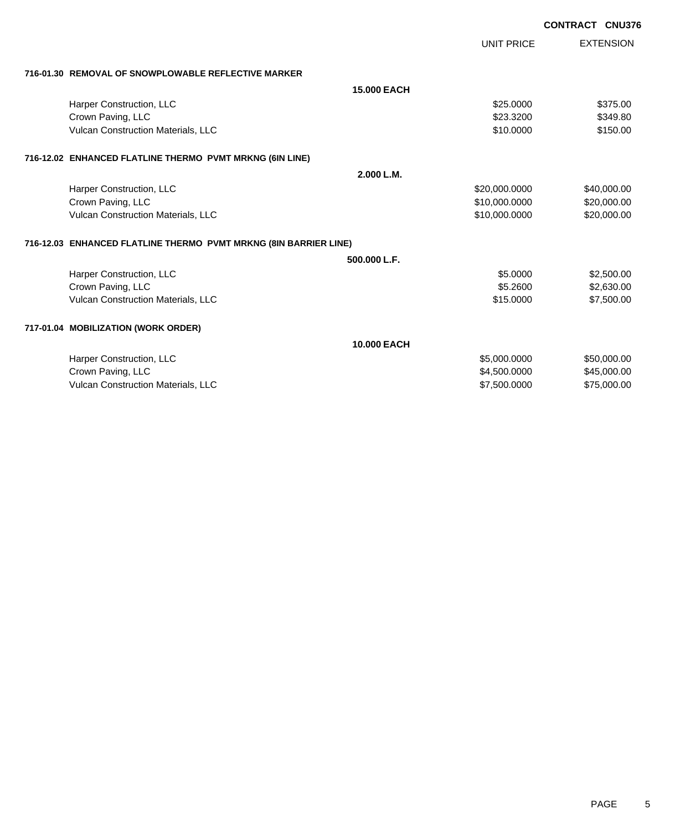|                                                                  |                    |                   | <b>CONTRACT CNU376</b> |                  |
|------------------------------------------------------------------|--------------------|-------------------|------------------------|------------------|
|                                                                  |                    | <b>UNIT PRICE</b> |                        | <b>EXTENSION</b> |
| 716-01.30 REMOVAL OF SNOWPLOWABLE REFLECTIVE MARKER              |                    |                   |                        |                  |
|                                                                  | <b>15.000 EACH</b> |                   |                        |                  |
| Harper Construction, LLC                                         |                    | \$25,0000         |                        | \$375.00         |
| Crown Paving, LLC                                                |                    | \$23.3200         |                        | \$349.80         |
| Vulcan Construction Materials, LLC                               |                    | \$10.0000         |                        | \$150.00         |
| 716-12.02 ENHANCED FLATLINE THERMO PVMT MRKNG (6IN LINE)         |                    |                   |                        |                  |
|                                                                  | 2.000 L.M.         |                   |                        |                  |
| Harper Construction, LLC                                         |                    | \$20,000.0000     |                        | \$40,000.00      |
| Crown Paving, LLC                                                |                    | \$10,000.0000     |                        | \$20,000.00      |
| Vulcan Construction Materials, LLC                               |                    | \$10,000.0000     |                        | \$20,000.00      |
| 716-12.03 ENHANCED FLATLINE THERMO PVMT MRKNG (8IN BARRIER LINE) |                    |                   |                        |                  |
|                                                                  | 500.000 L.F.       |                   |                        |                  |
| Harper Construction, LLC                                         |                    | \$5.0000          |                        | \$2,500.00       |
| Crown Paving, LLC                                                |                    | \$5,2600          |                        | \$2,630.00       |
| Vulcan Construction Materials, LLC                               |                    | \$15.0000         |                        | \$7,500.00       |
| 717-01.04 MOBILIZATION (WORK ORDER)                              |                    |                   |                        |                  |
|                                                                  | <b>10.000 EACH</b> |                   |                        |                  |
| Harper Construction, LLC                                         |                    | \$5,000.0000      |                        | \$50,000.00      |
| Crown Paving, LLC                                                |                    | \$4,500.0000      |                        | \$45,000.00      |
| Vulcan Construction Materials, LLC                               |                    | \$7,500.0000      |                        | \$75,000.00      |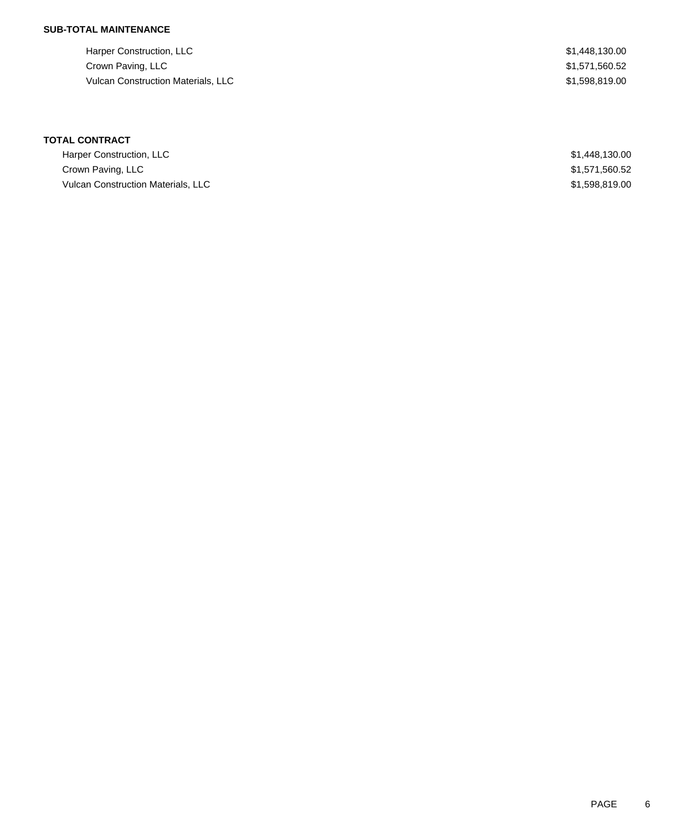Harper Construction, LLC \$1,448,130.00 Crown Paving, LLC \$1,571,560.52 Vulcan Construction Materials, LLC \$1,598,819.00

# **TOTAL CONTRACT**

| Harper Construction, LLC                  | \$1,448,130.00 |
|-------------------------------------------|----------------|
| Crown Paving, LLC                         | \$1,571,560.52 |
| <b>Vulcan Construction Materials, LLC</b> | \$1,598,819,00 |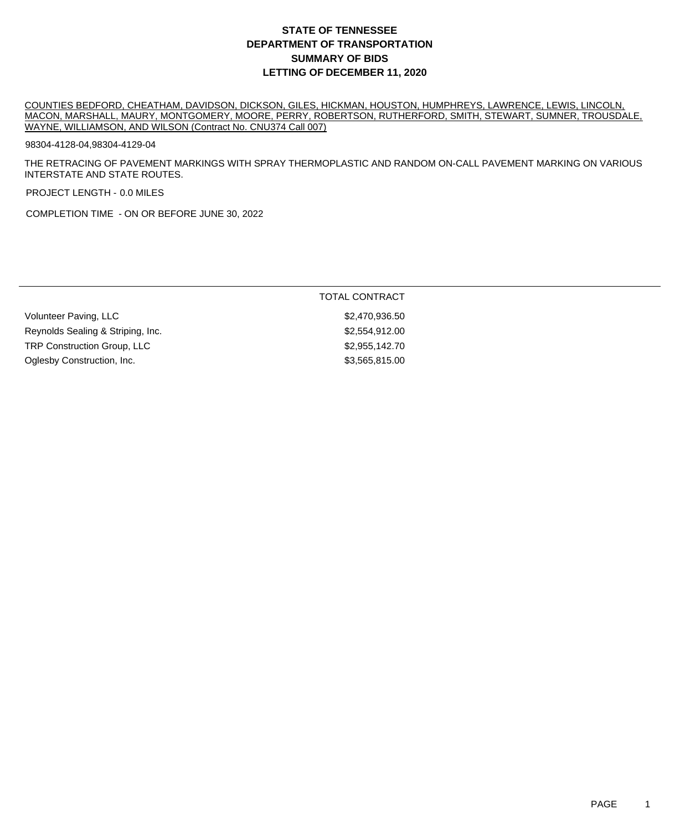COUNTIES BEDFORD, CHEATHAM, DAVIDSON, DICKSON, GILES, HICKMAN, HOUSTON, HUMPHREYS, LAWRENCE, LEWIS, LINCOLN, MACON, MARSHALL, MAURY, MONTGOMERY, MOORE, PERRY, ROBERTSON, RUTHERFORD, SMITH, STEWART, SUMNER, TROUSDALE, WAYNE, WILLIAMSON, AND WILSON (Contract No. CNU374 Call 007)

98304-4128-04,98304-4129-04

THE RETRACING OF PAVEMENT MARKINGS WITH SPRAY THERMOPLASTIC AND RANDOM ON-CALL PAVEMENT MARKING ON VARIOUS INTERSTATE AND STATE ROUTES.

PROJECT LENGTH - 0.0 MILES

COMPLETION TIME - ON OR BEFORE JUNE 30, 2022

|                                    | TOTAL CONTRACT |
|------------------------------------|----------------|
| Volunteer Paving, LLC              | \$2,470,936.50 |
| Reynolds Sealing & Striping, Inc.  | \$2,554,912.00 |
| <b>TRP Construction Group, LLC</b> | \$2,955,142.70 |
| Oglesby Construction, Inc.         | \$3,565,815.00 |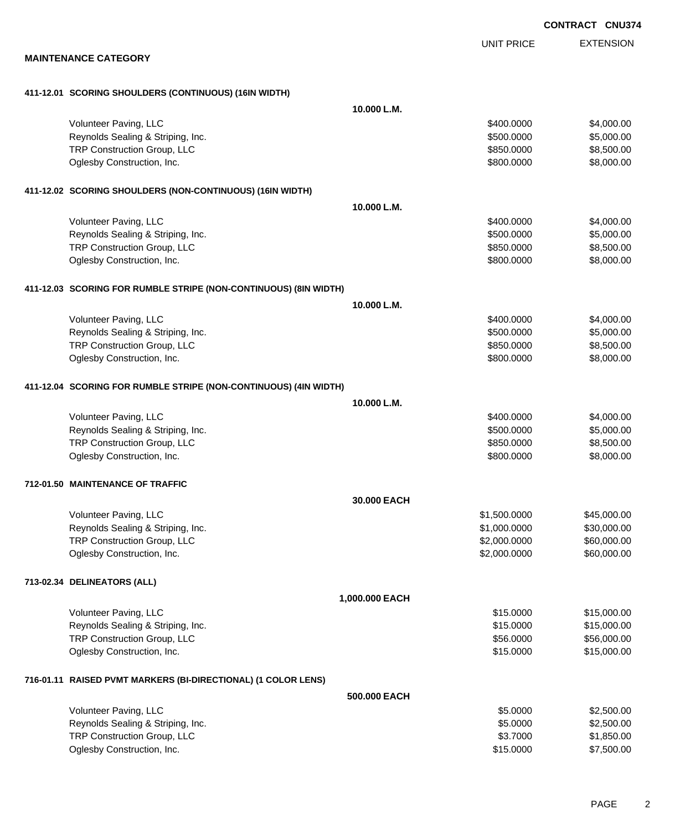EXTENSION UNIT PRICE **MAINTENANCE CATEGORY 411-12.01 SCORING SHOULDERS (CONTINUOUS) (16IN WIDTH) 10.000 L.M.** Volunteer Paving, LLC 6. The state of the state of the state of the state of the state of the state of the state of the state of the state of the state of the state of the state of the state of the state of the state of th Reynolds Sealing & Striping, Inc. 6. The Strip of the Strip of the Strip of the Strip of the Strip of the Strip of the Strip of the Strip of the Strip of the Strip of the Strip of the Strip of the Strip of the Strip of the TRP Construction Group, LLC 6850.000 \$850.000 \$8,500.00 Oglesby Construction, Inc. 66,000.000 \$8,000.000 \$8,000.000 \$8,000.000 \$8,000.00 **411-12.02 SCORING SHOULDERS (NON-CONTINUOUS) (16IN WIDTH) 10.000 L.M.** Volunteer Paving, LLC 6. The state of the state of the state of the state of the state of the state of the state of the state of the state of the state of the state of the state of the state of the state of the state of th Reynolds Sealing & Striping, Inc. 6. The Strip of the Strip of the Strip of the Strip of the Strip of the Strip of the Strip of the Strip of the Strip of the Strip of the Strip of the Strip of the Strip of the Strip of the TRP Construction Group, LLC 68,500.00 \$8,500.00 \$8,500.00 Oglesby Construction, Inc. 66,000.000 \$8,000.000 \$8,000.000 \$8,000.000 \$8,000.00 **411-12.03 SCORING FOR RUMBLE STRIPE (NON-CONTINUOUS) (8IN WIDTH) 10.000 L.M.** Volunteer Paving, LLC 6. The state of the state of the state of the state of the state of the state of the state of the state of the state of the state of the state of the state of the state of the state of the state of th Reynolds Sealing & Striping, Inc. 6. The Strip of the Strip of the Strip of the Strip of the Strip of the Strip of the Strip of the Strip of the Strip of the Strip of the Strip of the Strip of the Strip of the Strip of the TRP Construction Group, LLC 6850.000 \$850.000 \$8,500.00 Oglesby Construction, Inc. 66,000.000 \$8,000.000 \$8,000.000 \$8,000.000 \$8,000.00 **411-12.04 SCORING FOR RUMBLE STRIPE (NON-CONTINUOUS) (4IN WIDTH) 10.000 L.M.** Volunteer Paving, LLC 6. The state of the state of the state of the state of the state of the state of the state of the state of the state of the state of the state of the state of the state of the state of the state of th Reynolds Sealing & Striping, Inc. 6. The Strip of the Strip of the Strip of the Strip of the Strip of the Strip of the Strip of the Strip of the Strip of the Strip of the Strip of the Strip of the Strip of the Strip of the TRP Construction Group, LLC 65,500.00 \$850.000 \$8,500.00 Oglesby Construction, Inc. 66,000.000 \$8,000.000 \$8,000.000 \$8,000.000 \$8,000.00 **712-01.50 MAINTENANCE OF TRAFFIC 30.000 EACH** Volunteer Paving, LLC 6. 2002.000 \$45,000.000 \$45,000.000 \$45,000.000 \$45,000.00 Reynolds Sealing & Striping, Inc. \$1,000.000 \$30,000.000 \$30,000.000 \$30,000.000 TRP Construction Group, LLC 6000000 \$60,000.000 \$60,000.000 \$60,000.000 \$60,000.00 Oglesby Construction, Inc. 660,000.000 \$60,000.000 \$60,000.000 \$60,000.000 \$60,000.00 **713-02.34 DELINEATORS (ALL) 1,000.000 EACH** Volunteer Paving, LLC 6. The state of the state of the state of the state of the state of the state of the state of the state of the state of the state of the state of the state of the state of the state of the state of th Reynolds Sealing & Striping, Inc. \$15.000.00 \$15,000.00 \$15,000.00 TRP Construction Group, LLC 6.000.00 \$56,000.00 \$56,000.00 \$56,000.00 \$56,000.00 Oglesby Construction, Inc. 6. The Construction of the Construction, Inc. 6. The Construction, Inc. 6. The Const **716-01.11 RAISED PVMT MARKERS (BI-DIRECTIONAL) (1 COLOR LENS) 500.000 EACH**

| Volunteer Paving, LLC              | \$5,0000  | \$2,500,00 |
|------------------------------------|-----------|------------|
| Reynolds Sealing & Striping, Inc.  | \$5,0000  | \$2,500.00 |
| <b>TRP Construction Group, LLC</b> | \$3.7000  | \$1,850,00 |
| Oglesby Construction, Inc.         | \$15,0000 | \$7,500.00 |

**CONTRACT CNU374**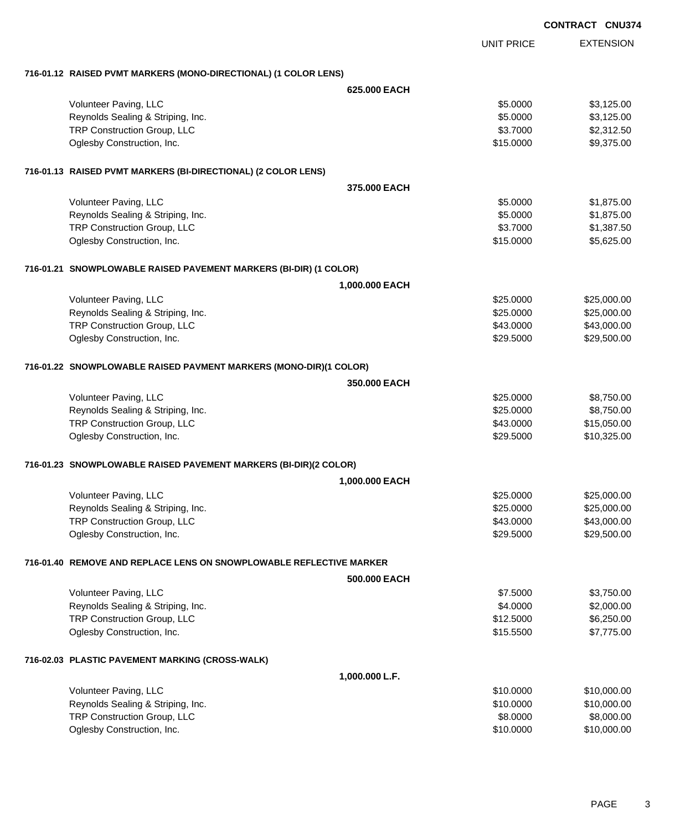|                                                                     |                |                   | <b>CONTRACT CNU374</b> |
|---------------------------------------------------------------------|----------------|-------------------|------------------------|
|                                                                     |                | <b>UNIT PRICE</b> | <b>EXTENSION</b>       |
| 716-01.12 RAISED PVMT MARKERS (MONO-DIRECTIONAL) (1 COLOR LENS)     |                |                   |                        |
|                                                                     | 625,000 EACH   |                   |                        |
| Volunteer Paving, LLC                                               |                | \$5.0000          | \$3,125.00             |
| Reynolds Sealing & Striping, Inc.                                   |                | \$5.0000          | \$3,125.00             |
| TRP Construction Group, LLC                                         |                | \$3.7000          | \$2,312.50             |
| Oglesby Construction, Inc.                                          |                | \$15,0000         | \$9,375.00             |
| 716-01.13 RAISED PVMT MARKERS (BI-DIRECTIONAL) (2 COLOR LENS)       |                |                   |                        |
|                                                                     | 375,000 EACH   |                   |                        |
| Volunteer Paving, LLC                                               |                | \$5.0000          | \$1,875.00             |
| Reynolds Sealing & Striping, Inc.                                   |                | \$5.0000          | \$1,875.00             |
| TRP Construction Group, LLC                                         |                | \$3.7000          | \$1,387.50             |
| Oglesby Construction, Inc.                                          |                | \$15.0000         | \$5,625.00             |
| 716-01.21 SNOWPLOWABLE RAISED PAVEMENT MARKERS (BI-DIR) (1 COLOR)   |                |                   |                        |
|                                                                     | 1,000.000 EACH |                   |                        |
| Volunteer Paving, LLC                                               |                | \$25.0000         | \$25,000.00            |
| Reynolds Sealing & Striping, Inc.                                   |                | \$25.0000         | \$25,000.00            |
| TRP Construction Group, LLC                                         |                | \$43.0000         | \$43,000.00            |
| Oglesby Construction, Inc.                                          |                | \$29.5000         | \$29,500.00            |
| 716-01.22 SNOWPLOWABLE RAISED PAVMENT MARKERS (MONO-DIR)(1 COLOR)   |                |                   |                        |
|                                                                     | 350.000 EACH   |                   |                        |
| Volunteer Paving, LLC                                               |                | \$25.0000         | \$8,750.00             |
| Reynolds Sealing & Striping, Inc.                                   |                | \$25.0000         | \$8,750.00             |
| TRP Construction Group, LLC                                         |                | \$43.0000         | \$15,050.00            |
| Oglesby Construction, Inc.                                          |                | \$29.5000         | \$10,325.00            |
| 716-01.23 SNOWPLOWABLE RAISED PAVEMENT MARKERS (BI-DIR)(2 COLOR)    |                |                   |                        |
|                                                                     | 1,000.000 EACH |                   |                        |
| Volunteer Paving, LLC                                               |                | \$25.0000         | \$25,000.00            |
| Reynolds Sealing & Striping, Inc.                                   |                | \$25.0000         | \$25,000.00            |
| TRP Construction Group, LLC                                         |                | \$43.0000         | \$43,000.00            |
| Oglesby Construction, Inc.                                          |                | \$29.5000         | \$29,500.00            |
| 716-01.40 REMOVE AND REPLACE LENS ON SNOWPLOWABLE REFLECTIVE MARKER |                |                   |                        |
|                                                                     | 500.000 EACH   |                   |                        |
| Volunteer Paving, LLC                                               |                | \$7.5000          | \$3,750.00             |
| Reynolds Sealing & Striping, Inc.                                   |                | \$4.0000          | \$2,000.00             |
| TRP Construction Group, LLC                                         |                | \$12.5000         | \$6,250.00             |
| Oglesby Construction, Inc.                                          |                | \$15.5500         | \$7,775.00             |
| 716-02.03 PLASTIC PAVEMENT MARKING (CROSS-WALK)                     |                |                   |                        |
|                                                                     | 1,000.000 L.F. |                   |                        |
| Volunteer Paving, LLC                                               |                | \$10.0000         | \$10,000.00            |
| Reynolds Sealing & Striping, Inc.                                   |                | \$10.0000         | \$10,000.00            |
| TRP Construction Group, LLC                                         |                | \$8.0000          | \$8,000.00             |
| Oglesby Construction, Inc.                                          |                | \$10.0000         | \$10,000.00            |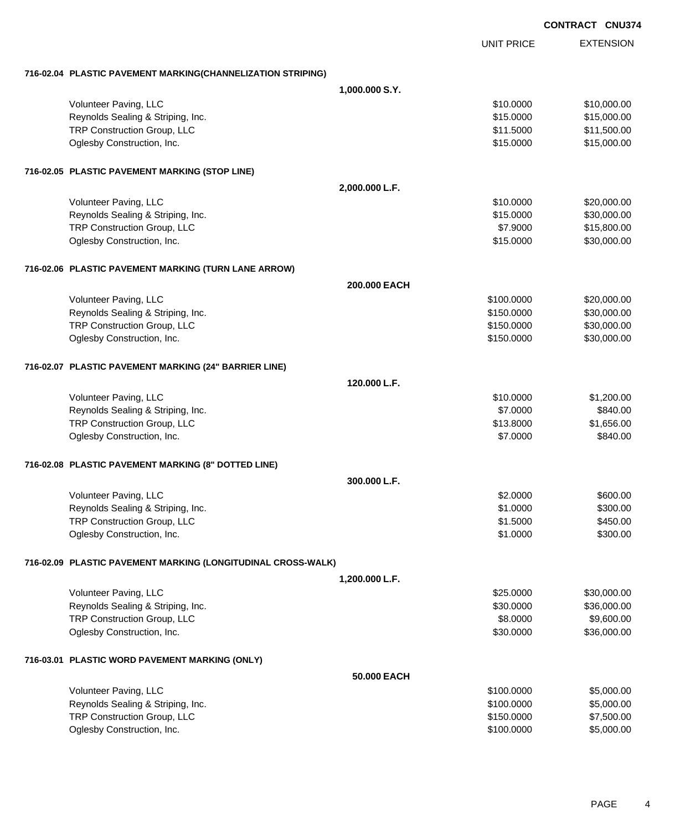EXTENSION **CONTRACT CNU374** UNIT PRICE **716-02.04 PLASTIC PAVEMENT MARKING(CHANNELIZATION STRIPING) 1,000.000 S.Y.** Volunteer Paving, LLC 6. 2008. The state of the state of the state of the state of the state of the state of the state of the state of the state of the state of the state of the state of the state of the state of the state Reynolds Sealing & Striping, Inc. \$15.000.00 \$15,000.00 \$15,000.00 TRP Construction Group, LLC  $$11.5000$   $$11.500.00$ Oglesby Construction, Inc. 6. The Construction of the Construction of the Construction, Inc. 6. The Construction of the Construction of the Construction of the Construction of the Construction of the Construction of the Co **716-02.05 PLASTIC PAVEMENT MARKING (STOP LINE) 2,000.000 L.F.** Volunteer Paving, LLC 6. 1992. The state of the state of the state of the state of the state of the state of the state of the state of the state of the state of the state of the state of the state of the state of the state Reynolds Sealing & Striping, Inc. \$15.0000 \$30,000.00 TRP Construction Group, LLC **\$7.9000** \$15,800.00 Oglesby Construction, Inc. 66 and the construction, Inc. 651,000.00 \$30,000.00 \$30,000.00 **716-02.06 PLASTIC PAVEMENT MARKING (TURN LANE ARROW) 200.000 EACH** Volunteer Paving, LLC 6000000 \$20,000.000 \$20,000.000 \$20,000.000 \$20,000.000 \$20,000.00 Reynolds Sealing & Striping, Inc. 6. The Strip of the Strip of the Strip of the Strip of the Strip of the Strip of Strip of the Strip of Strip of Strip of Strip of Strip of the Strip of Strip of the Strip of Strip of Strip TRP Construction Group, LLC 630,000.00 \$30,000.00 \$30,000.00 Oglesby Construction, Inc. 630,000.00 \$30,000.00 \$30,000.00 \$30,000.00 \$30,000.00 **716-02.07 PLASTIC PAVEMENT MARKING (24" BARRIER LINE) 120.000 L.F.** Volunteer Paving, LLC 61,200.00 \$1,200.00 \$1,200.00 \$1,200.00 \$1,200.00 \$1,200.00 \$1,200.00 \$1,200.00 \$1,200.00 Reynolds Sealing & Striping, Inc. **\$840.00** \$840.00 \$840.00 TRP Construction Group, LLC 6.000 \$1,656.00 Oglesby Construction, Inc. 6840.00 **716-02.08 PLASTIC PAVEMENT MARKING (8" DOTTED LINE) 300.000 L.F.** Volunteer Paving, LLC 600.000 \$600.00 Reynolds Sealing & Striping, Inc. 6. The Strip of the Strip of the Strip of the Strip of the Strip of the Strip of Strip of the Strip of Strip of Strip of Strip of Strip of Strip of Strip of Strip of Strip of Strip of Stri TRP Construction Group, LLC 6450.00 \$450.00 Oglesby Construction, Inc. 6300.00 \$300.00 \$300.00 \$300.00 \$300.00 \$300.00 \$300.00 \$300.00 \$300.00 \$300.00 \$300 **716-02.09 PLASTIC PAVEMENT MARKING (LONGITUDINAL CROSS-WALK) 1,200.000 L.F.** Volunteer Paving, LLC 6. 2008. The set of the set of the set of the set of the set of the set of the set of the set of the set of the set of the set of the set of the set of the set of the set of the set of the set of the Reynolds Sealing & Striping, Inc.  $$36,000.00$  \$36,000.00 TRP Construction Group, LLC 68.0000 \$9,600.00 Oglesby Construction, Inc. 6. The Construction of the Construction of the Construction, Inc. 636,000.00 **716-03.01 PLASTIC WORD PAVEMENT MARKING (ONLY) 50.000 EACH** Volunteer Paving, LLC 6. 2008.000 \$5,000.000 \$5,000.000 \$5,000.000 \$5,000.000 \$5,000.00 Reynolds Sealing & Striping, Inc. 6. The Strip of the Strip of the Strip of the Strip of the Strip of the Strip of the Strip of the Strip of the Strip of the Strip of the Strip of the Strip of the Strip of the Strip of the TRP Construction Group, LLC 6. The Construction Group, LLC 6. The Construction Group, LLC 6. The ST 500.000 \$7,500.00 Oglesby Construction, Inc. \$100.0000 \$5,000.00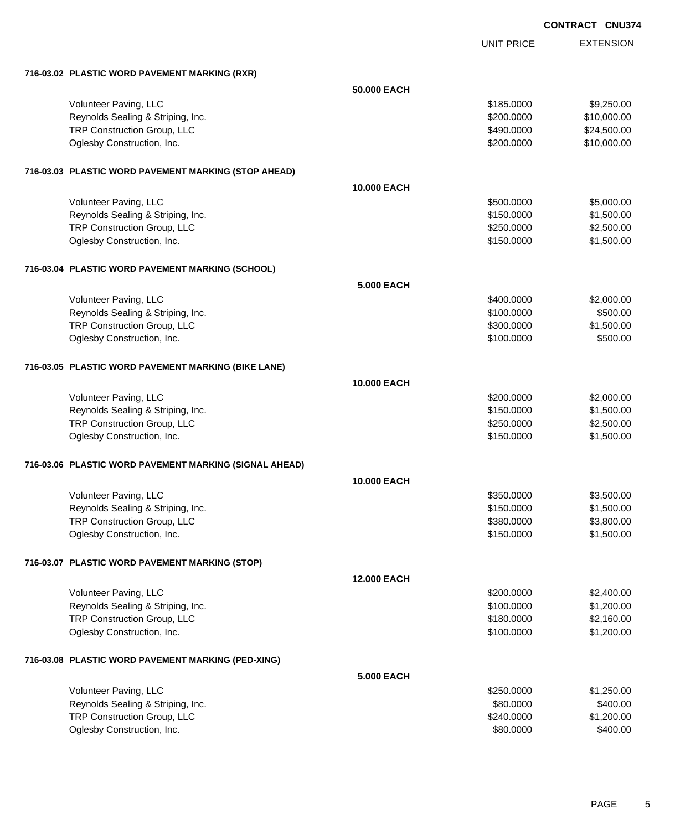**CONTRACT CNU374**

UNIT PRICE EXTENSION

| 716-03.02 PLASTIC WORD PAVEMENT MARKING (RXR)          |                    |            |             |
|--------------------------------------------------------|--------------------|------------|-------------|
|                                                        | 50.000 EACH        |            |             |
| Volunteer Paving, LLC                                  |                    | \$185,0000 | \$9,250.00  |
| Reynolds Sealing & Striping, Inc.                      |                    | \$200.0000 | \$10,000.00 |
| TRP Construction Group, LLC                            |                    | \$490.0000 | \$24,500.00 |
| Oglesby Construction, Inc.                             |                    | \$200.0000 | \$10,000.00 |
| 716-03.03 PLASTIC WORD PAVEMENT MARKING (STOP AHEAD)   |                    |            |             |
|                                                        | <b>10,000 EACH</b> |            |             |
| Volunteer Paving, LLC                                  |                    | \$500.0000 | \$5,000.00  |
| Reynolds Sealing & Striping, Inc.                      |                    | \$150.0000 | \$1,500.00  |
| TRP Construction Group, LLC                            |                    | \$250.0000 | \$2,500.00  |
| Oglesby Construction, Inc.                             |                    | \$150.0000 | \$1,500.00  |
| 716-03.04 PLASTIC WORD PAVEMENT MARKING (SCHOOL)       |                    |            |             |
|                                                        | 5.000 EACH         |            |             |
| Volunteer Paving, LLC                                  |                    | \$400,0000 | \$2,000.00  |
| Reynolds Sealing & Striping, Inc.                      |                    | \$100.0000 | \$500.00    |
| TRP Construction Group, LLC                            |                    | \$300.0000 | \$1,500.00  |
| Oglesby Construction, Inc.                             |                    | \$100.0000 | \$500.00    |
| 716-03.05 PLASTIC WORD PAVEMENT MARKING (BIKE LANE)    |                    |            |             |
|                                                        | 10.000 EACH        |            |             |
| Volunteer Paving, LLC                                  |                    | \$200.0000 | \$2,000.00  |
| Reynolds Sealing & Striping, Inc.                      |                    | \$150.0000 | \$1,500.00  |
| TRP Construction Group, LLC                            |                    | \$250.0000 | \$2,500.00  |
| Oglesby Construction, Inc.                             |                    | \$150.0000 | \$1,500.00  |
| 716-03.06 PLASTIC WORD PAVEMENT MARKING (SIGNAL AHEAD) |                    |            |             |
|                                                        | 10.000 EACH        |            |             |
| Volunteer Paving, LLC                                  |                    | \$350.0000 | \$3,500.00  |
| Reynolds Sealing & Striping, Inc.                      |                    | \$150.0000 | \$1,500.00  |
| TRP Construction Group, LLC                            |                    | \$380.0000 | \$3,800.00  |
| Oglesby Construction, Inc.                             |                    | \$150.0000 | \$1,500.00  |
| 716-03.07 PLASTIC WORD PAVEMENT MARKING (STOP)         |                    |            |             |
|                                                        | <b>12,000 EACH</b> |            |             |
| Volunteer Paving, LLC                                  |                    | \$200.0000 | \$2,400.00  |
| Reynolds Sealing & Striping, Inc.                      |                    | \$100.0000 | \$1,200.00  |
| TRP Construction Group, LLC                            |                    | \$180.0000 | \$2,160.00  |
| Oglesby Construction, Inc.                             |                    | \$100.0000 | \$1,200.00  |
| 716-03.08 PLASTIC WORD PAVEMENT MARKING (PED-XING)     |                    |            |             |
|                                                        | <b>5.000 EACH</b>  |            |             |
| Volunteer Paving, LLC                                  |                    | \$250.0000 | \$1,250.00  |
| Reynolds Sealing & Striping, Inc.                      |                    | \$80.0000  | \$400.00    |
| TRP Construction Group, LLC                            |                    | \$240.0000 | \$1,200.00  |
| Oglesby Construction, Inc.                             |                    | \$80.0000  | \$400.00    |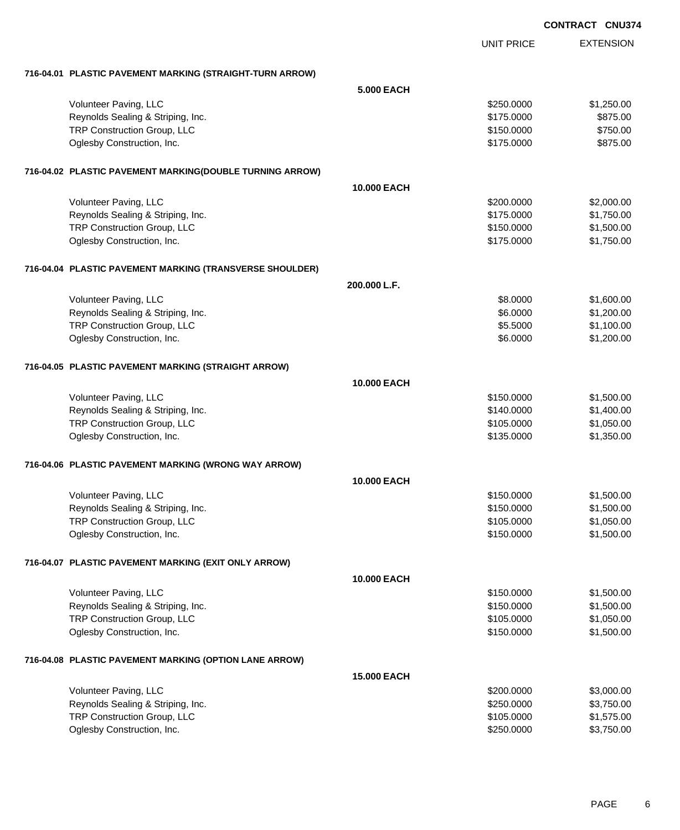|                                                          |                    |                   | <b>CONTRACT CNU374</b> |
|----------------------------------------------------------|--------------------|-------------------|------------------------|
|                                                          |                    | <b>UNIT PRICE</b> | <b>EXTENSION</b>       |
|                                                          |                    |                   |                        |
| 716-04.01 PLASTIC PAVEMENT MARKING (STRAIGHT-TURN ARROW) |                    |                   |                        |
|                                                          | <b>5.000 EACH</b>  |                   |                        |
| Volunteer Paving, LLC                                    |                    | \$250.0000        | \$1,250.00             |
| Reynolds Sealing & Striping, Inc.                        |                    | \$175.0000        | \$875.00               |
| TRP Construction Group, LLC                              |                    | \$150.0000        | \$750.00               |
| Oglesby Construction, Inc.                               |                    | \$175.0000        | \$875.00               |
| 716-04.02 PLASTIC PAVEMENT MARKING(DOUBLE TURNING ARROW) |                    |                   |                        |
|                                                          | <b>10.000 EACH</b> |                   |                        |
| Volunteer Paving, LLC                                    |                    | \$200.0000        | \$2,000.00             |
| Reynolds Sealing & Striping, Inc.                        |                    | \$175.0000        | \$1,750.00             |
| TRP Construction Group, LLC                              |                    | \$150.0000        | \$1,500.00             |
| Oglesby Construction, Inc.                               |                    | \$175.0000        | \$1,750.00             |
| 716-04.04 PLASTIC PAVEMENT MARKING (TRANSVERSE SHOULDER) |                    |                   |                        |
|                                                          | 200.000 L.F.       |                   |                        |
| Volunteer Paving, LLC                                    |                    | \$8.0000          | \$1,600.00             |
| Reynolds Sealing & Striping, Inc.                        |                    | \$6.0000          | \$1,200.00             |
| TRP Construction Group, LLC                              |                    | \$5.5000          | \$1,100.00             |
| Oglesby Construction, Inc.                               |                    | \$6.0000          | \$1,200.00             |
|                                                          |                    |                   |                        |
| 716-04.05 PLASTIC PAVEMENT MARKING (STRAIGHT ARROW)      |                    |                   |                        |
|                                                          | <b>10.000 EACH</b> |                   |                        |
| Volunteer Paving, LLC                                    |                    | \$150.0000        | \$1,500.00             |
| Reynolds Sealing & Striping, Inc.                        |                    | \$140.0000        | \$1,400.00             |
| TRP Construction Group, LLC                              |                    | \$105.0000        | \$1,050.00             |
| Oglesby Construction, Inc.                               |                    | \$135.0000        | \$1,350.00             |
| 716-04.06 PLASTIC PAVEMENT MARKING (WRONG WAY ARROW)     |                    |                   |                        |
|                                                          | 10.000 EACH        |                   |                        |
| Volunteer Paving, LLC                                    |                    | \$150.0000        | \$1,500.00             |
| Reynolds Sealing & Striping, Inc.                        |                    | \$150.0000        | \$1,500.00             |
| TRP Construction Group, LLC                              |                    | \$105.0000        | \$1,050.00             |
| Oglesby Construction, Inc.                               |                    | \$150.0000        | \$1,500.00             |
| 716-04.07 PLASTIC PAVEMENT MARKING (EXIT ONLY ARROW)     |                    |                   |                        |
|                                                          | <b>10.000 EACH</b> |                   |                        |
| Volunteer Paving, LLC                                    |                    | \$150.0000        | \$1,500.00             |
| Reynolds Sealing & Striping, Inc.                        |                    | \$150.0000        | \$1,500.00             |
| TRP Construction Group, LLC                              |                    | \$105.0000        | \$1,050.00             |
| Oglesby Construction, Inc.                               |                    | \$150.0000        | \$1,500.00             |
|                                                          |                    |                   |                        |
| 716-04.08 PLASTIC PAVEMENT MARKING (OPTION LANE ARROW)   |                    |                   |                        |
|                                                          | <b>15.000 EACH</b> |                   |                        |
| Volunteer Paving, LLC                                    |                    | \$200.0000        | \$3,000.00             |
| Reynolds Sealing & Striping, Inc.                        |                    | \$250.0000        | \$3,750.00             |
| TRP Construction Group, LLC                              |                    | \$105.0000        | \$1,575.00             |
| Oglesby Construction, Inc.                               |                    | \$250.0000        | \$3,750.00             |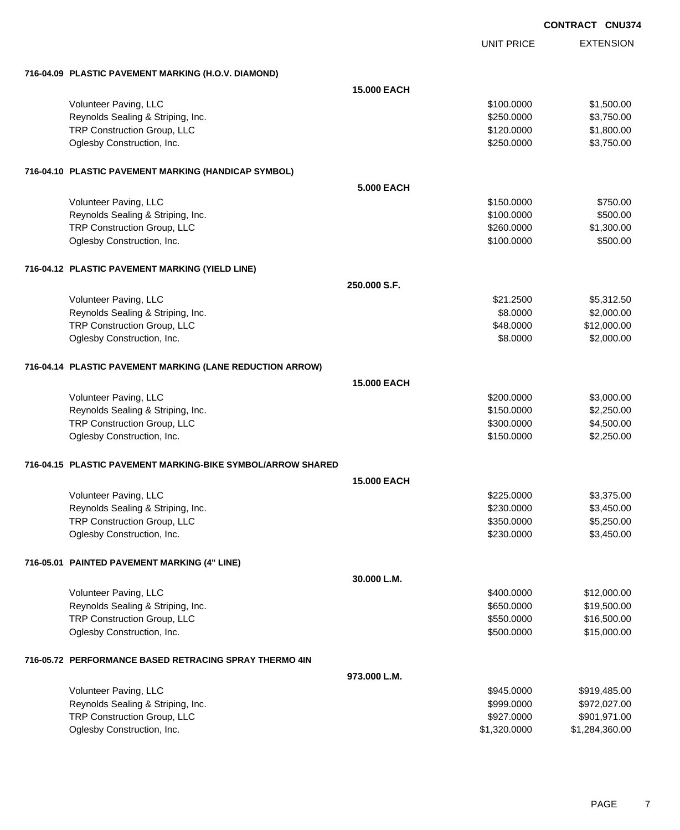| <b>CONTRACT</b> | <b>CNU374</b> |
|-----------------|---------------|
|                 |               |

|                                                             |                    | <b>UNIT PRICE</b> | <b>EXTENSION</b> |
|-------------------------------------------------------------|--------------------|-------------------|------------------|
| 716-04.09 PLASTIC PAVEMENT MARKING (H.O.V. DIAMOND)         |                    |                   |                  |
|                                                             | <b>15.000 EACH</b> |                   |                  |
| Volunteer Paving, LLC                                       |                    | \$100,0000        | \$1,500.00       |
| Reynolds Sealing & Striping, Inc.                           |                    | \$250.0000        | \$3,750.00       |
| TRP Construction Group, LLC                                 |                    | \$120.0000        | \$1,800.00       |
|                                                             |                    |                   |                  |
| Oglesby Construction, Inc.                                  |                    | \$250.0000        | \$3,750.00       |
| 716-04.10 PLASTIC PAVEMENT MARKING (HANDICAP SYMBOL)        |                    |                   |                  |
|                                                             | <b>5.000 EACH</b>  |                   |                  |
| Volunteer Paving, LLC                                       |                    | \$150.0000        | \$750.00         |
| Reynolds Sealing & Striping, Inc.                           |                    | \$100.0000        | \$500.00         |
| TRP Construction Group, LLC                                 |                    | \$260.0000        | \$1,300.00       |
|                                                             |                    |                   |                  |
| Oglesby Construction, Inc.                                  |                    | \$100.0000        | \$500.00         |
| 716-04.12 PLASTIC PAVEMENT MARKING (YIELD LINE)             |                    |                   |                  |
|                                                             | 250.000 S.F.       |                   |                  |
| Volunteer Paving, LLC                                       |                    | \$21.2500         | \$5,312.50       |
| Reynolds Sealing & Striping, Inc.                           |                    | \$8.0000          | \$2,000.00       |
| TRP Construction Group, LLC                                 |                    | \$48.0000         | \$12,000.00      |
|                                                             |                    |                   |                  |
| Oglesby Construction, Inc.                                  |                    | \$8.0000          | \$2,000.00       |
| 716-04.14 PLASTIC PAVEMENT MARKING (LANE REDUCTION ARROW)   |                    |                   |                  |
|                                                             | <b>15.000 EACH</b> |                   |                  |
| Volunteer Paving, LLC                                       |                    | \$200.0000        | \$3,000.00       |
| Reynolds Sealing & Striping, Inc.                           |                    | \$150.0000        | \$2,250.00       |
| TRP Construction Group, LLC                                 |                    | \$300.0000        | \$4,500.00       |
| Oglesby Construction, Inc.                                  |                    |                   | \$2,250.00       |
|                                                             |                    | \$150.0000        |                  |
| 716-04.15 PLASTIC PAVEMENT MARKING-BIKE SYMBOL/ARROW SHARED |                    |                   |                  |
|                                                             | <b>15.000 EACH</b> |                   |                  |
| Volunteer Paving, LLC                                       |                    | \$225.0000        | \$3,375.00       |
| Reynolds Sealing & Striping, Inc.                           |                    | \$230.0000        | \$3,450.00       |
| TRP Construction Group, LLC                                 |                    | \$350.0000        | \$5,250.00       |
|                                                             |                    | \$230.0000        | \$3,450.00       |
| Oglesby Construction, Inc.                                  |                    |                   |                  |
| 716-05.01 PAINTED PAVEMENT MARKING (4" LINE)                |                    |                   |                  |
|                                                             | 30.000 L.M.        |                   |                  |
| Volunteer Paving, LLC                                       |                    | \$400.0000        | \$12,000.00      |
| Reynolds Sealing & Striping, Inc.                           |                    | \$650.0000        | \$19,500.00      |
| TRP Construction Group, LLC                                 |                    | \$550.0000        | \$16,500.00      |
|                                                             |                    |                   |                  |
| Oglesby Construction, Inc.                                  |                    | \$500.0000        | \$15,000.00      |
| 716-05.72 PERFORMANCE BASED RETRACING SPRAY THERMO 4IN      |                    |                   |                  |
|                                                             | 973.000 L.M.       |                   |                  |
| Volunteer Paving, LLC                                       |                    | \$945.0000        | \$919,485.00     |
| Reynolds Sealing & Striping, Inc.                           |                    | \$999.0000        | \$972,027.00     |
| TRP Construction Group, LLC                                 |                    | \$927.0000        | \$901,971.00     |
| Oglesby Construction, Inc.                                  |                    | \$1,320.0000      | \$1,284,360.00   |
|                                                             |                    |                   |                  |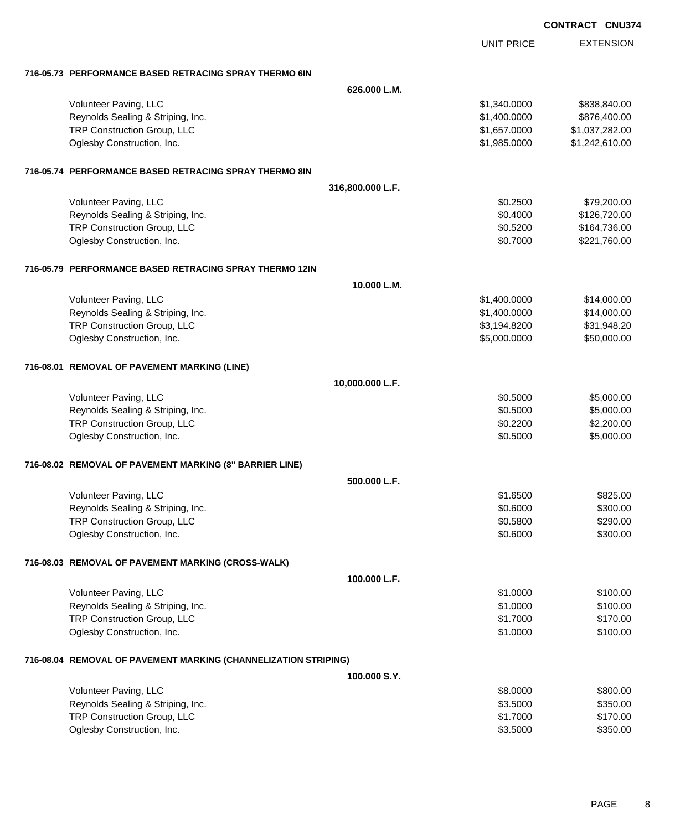|                                                                 |                  |                   | <b>CONTRACT CNU374</b> |  |
|-----------------------------------------------------------------|------------------|-------------------|------------------------|--|
|                                                                 |                  | <b>UNIT PRICE</b> | <b>EXTENSION</b>       |  |
| 716-05.73 PERFORMANCE BASED RETRACING SPRAY THERMO 6IN          |                  |                   |                        |  |
|                                                                 | 626.000 L.M.     |                   |                        |  |
| Volunteer Paving, LLC                                           |                  | \$1,340.0000      | \$838,840.00           |  |
| Reynolds Sealing & Striping, Inc.                               |                  | \$1,400.0000      | \$876,400.00           |  |
| TRP Construction Group, LLC                                     |                  | \$1,657.0000      | \$1,037,282.00         |  |
| Oglesby Construction, Inc.                                      |                  | \$1,985.0000      | \$1,242,610.00         |  |
| 716-05.74 PERFORMANCE BASED RETRACING SPRAY THERMO 8IN          |                  |                   |                        |  |
|                                                                 | 316,800.000 L.F. |                   |                        |  |
| Volunteer Paving, LLC                                           |                  | \$0.2500          | \$79,200.00            |  |
| Reynolds Sealing & Striping, Inc.                               |                  | \$0.4000          | \$126,720.00           |  |
| TRP Construction Group, LLC                                     |                  | \$0.5200          | \$164,736.00           |  |
| Oglesby Construction, Inc.                                      |                  | \$0.7000          | \$221,760.00           |  |
| 716-05.79 PERFORMANCE BASED RETRACING SPRAY THERMO 12IN         |                  |                   |                        |  |
|                                                                 | 10.000 L.M.      |                   |                        |  |
| Volunteer Paving, LLC                                           |                  | \$1,400.0000      | \$14,000.00            |  |
| Reynolds Sealing & Striping, Inc.                               |                  | \$1,400.0000      | \$14,000.00            |  |
| TRP Construction Group, LLC                                     |                  | \$3,194.8200      | \$31,948.20            |  |
| Oglesby Construction, Inc.                                      |                  | \$5,000.0000      | \$50,000.00            |  |
| 716-08.01 REMOVAL OF PAVEMENT MARKING (LINE)                    |                  |                   |                        |  |
|                                                                 | 10,000.000 L.F.  |                   |                        |  |
| Volunteer Paving, LLC                                           |                  | \$0.5000          | \$5,000.00             |  |
| Reynolds Sealing & Striping, Inc.                               |                  | \$0.5000          | \$5,000.00             |  |
| TRP Construction Group, LLC                                     |                  | \$0.2200          | \$2,200.00             |  |
| Oglesby Construction, Inc.                                      |                  | \$0.5000          | \$5,000.00             |  |
| 716-08.02 REMOVAL OF PAVEMENT MARKING (8" BARRIER LINE)         |                  |                   |                        |  |
|                                                                 | 500.000 L.F.     |                   |                        |  |
| Volunteer Paving, LLC                                           |                  | \$1.6500          | \$825.00               |  |
| Reynolds Sealing & Striping, Inc.                               |                  | \$0.6000          | \$300.00               |  |
| TRP Construction Group, LLC                                     |                  | \$0.5800          | \$290.00               |  |
| Oglesby Construction, Inc.                                      |                  | \$0.6000          | \$300.00               |  |
| 716-08.03 REMOVAL OF PAVEMENT MARKING (CROSS-WALK)              |                  |                   |                        |  |
|                                                                 | 100.000 L.F.     |                   |                        |  |
| Volunteer Paving, LLC                                           |                  | \$1.0000          | \$100.00               |  |
| Reynolds Sealing & Striping, Inc.                               |                  | \$1.0000          | \$100.00               |  |
| TRP Construction Group, LLC                                     |                  | \$1.7000          | \$170.00               |  |
| Oglesby Construction, Inc.                                      |                  | \$1.0000          | \$100.00               |  |
| 716-08.04 REMOVAL OF PAVEMENT MARKING (CHANNELIZATION STRIPING) |                  |                   |                        |  |
|                                                                 | 100.000 S.Y.     |                   |                        |  |
| Volunteer Paving, LLC                                           |                  | \$8.0000          | \$800.00               |  |
| Reynolds Sealing & Striping, Inc.                               |                  | \$3.5000          | \$350.00               |  |
| TRP Construction Group, LLC                                     |                  | \$1.7000          | \$170.00               |  |
| Oglesby Construction, Inc.                                      |                  | \$3.5000          | \$350.00               |  |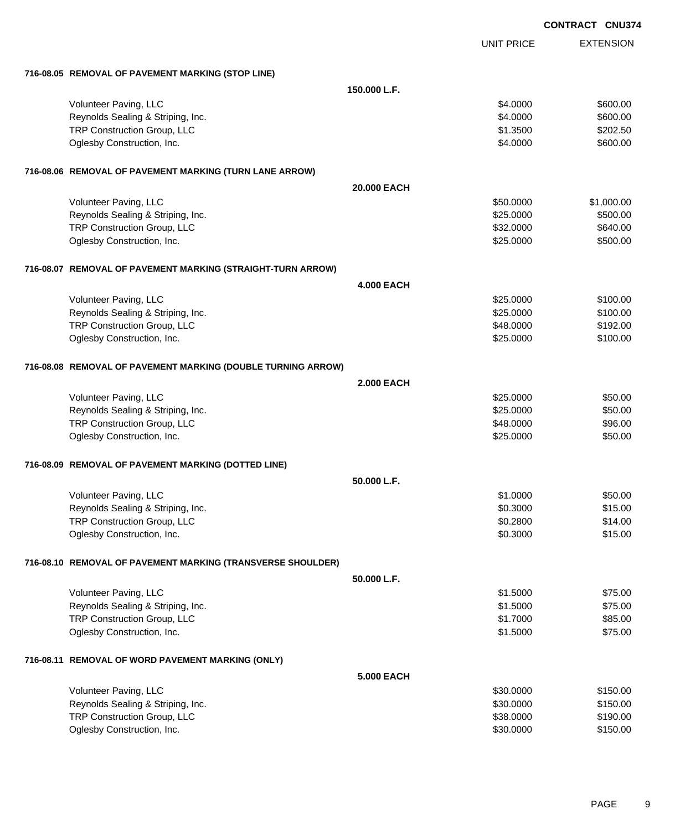|                                                              |                   |                   | <b>CONTRACT CNU374</b> |
|--------------------------------------------------------------|-------------------|-------------------|------------------------|
|                                                              |                   | <b>UNIT PRICE</b> | <b>EXTENSION</b>       |
| 716-08.05 REMOVAL OF PAVEMENT MARKING (STOP LINE)            |                   |                   |                        |
|                                                              | 150.000 L.F.      |                   |                        |
| Volunteer Paving, LLC                                        |                   | \$4.0000          | \$600.00               |
| Reynolds Sealing & Striping, Inc.                            |                   | \$4.0000          | \$600.00               |
| TRP Construction Group, LLC                                  |                   | \$1.3500          | \$202.50               |
| Oglesby Construction, Inc.                                   |                   | \$4.0000          | \$600.00               |
| 716-08.06 REMOVAL OF PAVEMENT MARKING (TURN LANE ARROW)      |                   |                   |                        |
|                                                              | 20,000 EACH       |                   |                        |
| Volunteer Paving, LLC                                        |                   | \$50.0000         | \$1,000.00             |
| Reynolds Sealing & Striping, Inc.                            |                   | \$25.0000         | \$500.00               |
| TRP Construction Group, LLC                                  |                   | \$32.0000         | \$640.00               |
| Oglesby Construction, Inc.                                   |                   | \$25.0000         | \$500.00               |
| 716-08.07 REMOVAL OF PAVEMENT MARKING (STRAIGHT-TURN ARROW)  |                   |                   |                        |
|                                                              | <b>4.000 EACH</b> |                   |                        |
| Volunteer Paving, LLC                                        |                   | \$25.0000         | \$100.00               |
| Reynolds Sealing & Striping, Inc.                            |                   | \$25.0000         | \$100.00               |
| TRP Construction Group, LLC                                  |                   | \$48.0000         | \$192.00               |
| Oglesby Construction, Inc.                                   |                   | \$25.0000         | \$100.00               |
| 716-08.08 REMOVAL OF PAVEMENT MARKING (DOUBLE TURNING ARROW) |                   |                   |                        |
|                                                              | <b>2.000 EACH</b> |                   |                        |
| Volunteer Paving, LLC                                        |                   | \$25.0000         | \$50.00                |
| Reynolds Sealing & Striping, Inc.                            |                   | \$25.0000         | \$50.00                |
| TRP Construction Group, LLC                                  |                   | \$48.0000         | \$96.00                |
| Oglesby Construction, Inc.                                   |                   | \$25.0000         | \$50.00                |
| 716-08.09 REMOVAL OF PAVEMENT MARKING (DOTTED LINE)          |                   |                   |                        |
|                                                              | 50.000 L.F.       |                   |                        |
| Volunteer Paving, LLC                                        |                   | \$1.0000          | \$50.00                |
| Reynolds Sealing & Striping, Inc.                            |                   | \$0.3000          | \$15.00                |
| TRP Construction Group, LLC                                  |                   | \$0.2800          | \$14.00                |
| Oglesby Construction, Inc.                                   |                   | \$0.3000          | \$15.00                |
| 716-08.10 REMOVAL OF PAVEMENT MARKING (TRANSVERSE SHOULDER)  |                   |                   |                        |
|                                                              | 50.000 L.F.       |                   |                        |
| Volunteer Paving, LLC                                        |                   | \$1.5000          | \$75.00                |
| Reynolds Sealing & Striping, Inc.                            |                   | \$1.5000          | \$75.00                |
| TRP Construction Group, LLC                                  |                   | \$1.7000          | \$85.00                |
| Oglesby Construction, Inc.                                   |                   | \$1.5000          | \$75.00                |
| 716-08.11 REMOVAL OF WORD PAVEMENT MARKING (ONLY)            |                   |                   |                        |
|                                                              | <b>5.000 EACH</b> |                   |                        |
| Volunteer Paving, LLC                                        |                   | \$30.0000         | \$150.00               |
| Reynolds Sealing & Striping, Inc.                            |                   | \$30.0000         | \$150.00               |
| TRP Construction Group, LLC                                  |                   | \$38.0000         | \$190.00               |
| Oglesby Construction, Inc.                                   |                   | \$30.0000         | \$150.00               |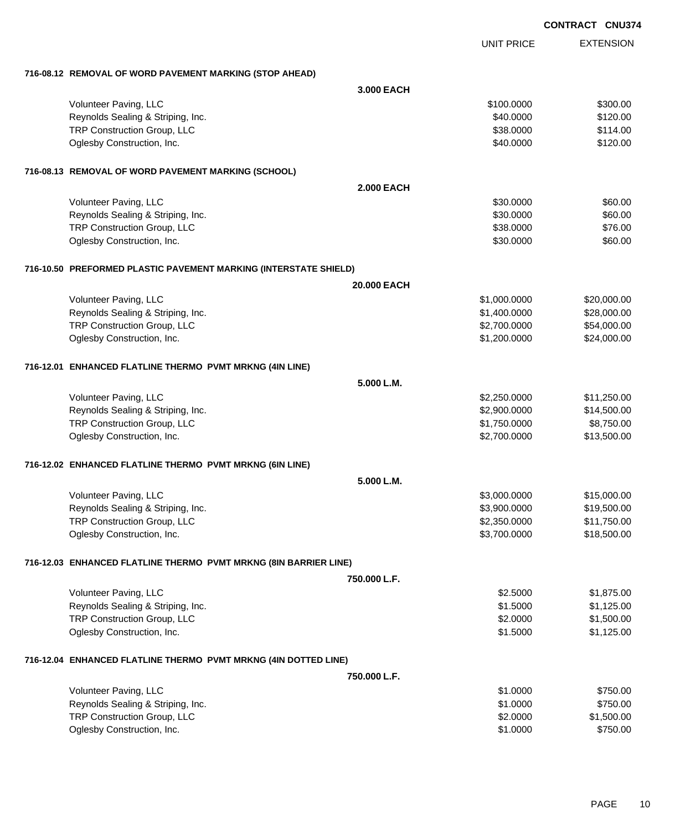|                                                                  |              |                   | <b>CONTRACT CNU374</b> |
|------------------------------------------------------------------|--------------|-------------------|------------------------|
|                                                                  |              | <b>UNIT PRICE</b> | <b>EXTENSION</b>       |
| 716-08.12 REMOVAL OF WORD PAVEMENT MARKING (STOP AHEAD)          |              |                   |                        |
|                                                                  | 3.000 EACH   |                   |                        |
| Volunteer Paving, LLC                                            |              | \$100.0000        | \$300.00               |
| Reynolds Sealing & Striping, Inc.                                |              | \$40.0000         | \$120.00               |
| TRP Construction Group, LLC                                      |              | \$38.0000         | \$114.00               |
| Oglesby Construction, Inc.                                       |              | \$40.0000         | \$120.00               |
| 716-08.13 REMOVAL OF WORD PAVEMENT MARKING (SCHOOL)              |              |                   |                        |
|                                                                  | 2.000 EACH   |                   |                        |
| Volunteer Paving, LLC                                            |              | \$30.0000         | \$60.00                |
| Reynolds Sealing & Striping, Inc.                                |              | \$30.0000         | \$60.00                |
| TRP Construction Group, LLC                                      |              | \$38.0000         | \$76.00                |
| Oglesby Construction, Inc.                                       |              | \$30.0000         | \$60.00                |
| 716-10.50 PREFORMED PLASTIC PAVEMENT MARKING (INTERSTATE SHIELD) |              |                   |                        |
|                                                                  | 20.000 EACH  |                   |                        |
| Volunteer Paving, LLC                                            |              | \$1,000.0000      | \$20,000.00            |
| Reynolds Sealing & Striping, Inc.                                |              | \$1,400.0000      | \$28,000.00            |
| TRP Construction Group, LLC                                      |              | \$2,700.0000      | \$54,000.00            |
| Oglesby Construction, Inc.                                       |              | \$1,200.0000      | \$24,000.00            |
| 716-12.01 ENHANCED FLATLINE THERMO PVMT MRKNG (4IN LINE)         |              |                   |                        |
|                                                                  | 5.000 L.M.   |                   |                        |
| Volunteer Paving, LLC                                            |              | \$2,250.0000      | \$11,250.00            |
| Reynolds Sealing & Striping, Inc.                                |              | \$2,900.0000      | \$14,500.00            |
| TRP Construction Group, LLC                                      |              | \$1,750.0000      | \$8,750.00             |
| Oglesby Construction, Inc.                                       |              | \$2,700.0000      | \$13,500.00            |
| 716-12.02 ENHANCED FLATLINE THERMO PVMT MRKNG (6IN LINE)         |              |                   |                        |
|                                                                  | 5.000 L.M.   |                   |                        |
| Volunteer Paving, LLC                                            |              | \$3,000.0000      | \$15,000.00            |
| Reynolds Sealing & Striping, Inc.                                |              | \$3,900.0000      | \$19,500.00            |
| TRP Construction Group, LLC                                      |              | \$2,350.0000      | \$11,750.00            |
| Oglesby Construction, Inc.                                       |              | \$3,700.0000      | \$18,500.00            |
| 716-12.03 ENHANCED FLATLINE THERMO PVMT MRKNG (8IN BARRIER LINE) |              |                   |                        |
|                                                                  | 750.000 L.F. |                   |                        |
| Volunteer Paving, LLC                                            |              | \$2.5000          | \$1,875.00             |
| Reynolds Sealing & Striping, Inc.                                |              | \$1.5000          | \$1,125.00             |
| TRP Construction Group, LLC                                      |              | \$2.0000          | \$1,500.00             |
| Oglesby Construction, Inc.                                       |              | \$1.5000          | \$1,125.00             |
| 716-12.04 ENHANCED FLATLINE THERMO PVMT MRKNG (4IN DOTTED LINE)  |              |                   |                        |
|                                                                  | 750.000 L.F. |                   |                        |
| Volunteer Paving, LLC                                            |              | \$1.0000          | \$750.00               |
| Reynolds Sealing & Striping, Inc.                                |              | \$1.0000          | \$750.00               |
| TRP Construction Group, LLC                                      |              | \$2.0000          | \$1,500.00             |
| Oglesby Construction, Inc.                                       |              | \$1.0000          | \$750.00               |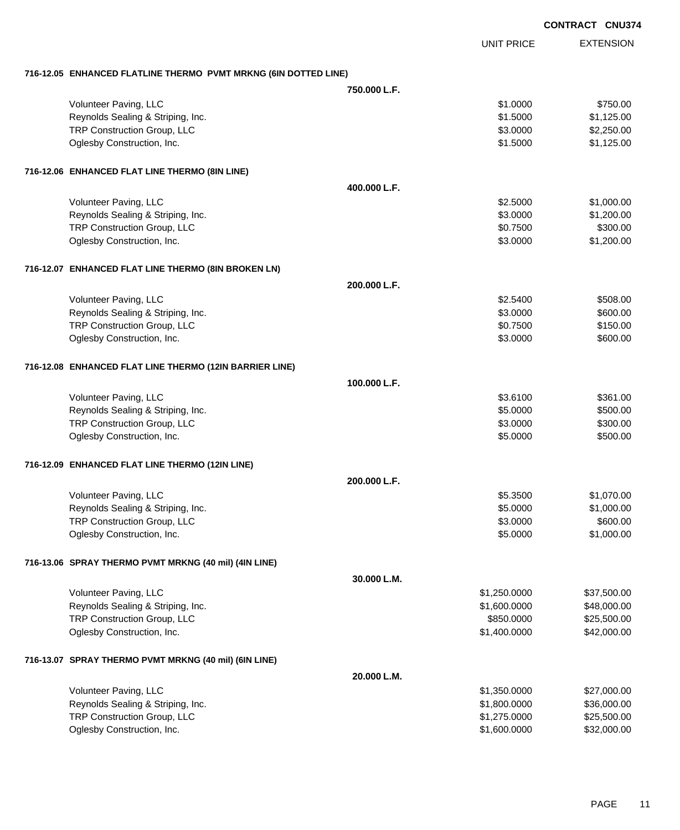|                                                                 |              |                   | <b>CONTRACT CNU374</b> |
|-----------------------------------------------------------------|--------------|-------------------|------------------------|
|                                                                 |              | <b>UNIT PRICE</b> | <b>EXTENSION</b>       |
| 716-12.05 ENHANCED FLATLINE THERMO PVMT MRKNG (6IN DOTTED LINE) |              |                   |                        |
|                                                                 | 750,000 L.F. |                   |                        |
| Volunteer Paving, LLC                                           |              | \$1.0000          | \$750.00               |
| Reynolds Sealing & Striping, Inc.                               |              | \$1.5000          | \$1,125.00             |
| TRP Construction Group, LLC                                     |              | \$3.0000          | \$2,250.00             |
| Oglesby Construction, Inc.                                      |              | \$1.5000          | \$1,125.00             |
| 716-12.06 ENHANCED FLAT LINE THERMO (8IN LINE)                  |              |                   |                        |
|                                                                 | 400.000 L.F. |                   |                        |
| Volunteer Paving, LLC                                           |              | \$2.5000          | \$1,000.00             |
| Reynolds Sealing & Striping, Inc.                               |              | \$3.0000          | \$1,200.00             |
| TRP Construction Group, LLC                                     |              | \$0.7500          | \$300.00               |
| Oglesby Construction, Inc.                                      |              | \$3.0000          | \$1,200.00             |
| 716-12.07 ENHANCED FLAT LINE THERMO (8IN BROKEN LN)             |              |                   |                        |
|                                                                 | 200.000 L.F. |                   |                        |
| Volunteer Paving, LLC                                           |              | \$2.5400          | \$508.00               |
| Reynolds Sealing & Striping, Inc.                               |              | \$3.0000          | \$600.00               |
| TRP Construction Group, LLC                                     |              | \$0.7500          | \$150.00               |
| Oglesby Construction, Inc.                                      |              | \$3.0000          | \$600.00               |
| 716-12.08 ENHANCED FLAT LINE THERMO (12IN BARRIER LINE)         |              |                   |                        |
|                                                                 | 100.000 L.F. |                   |                        |
| Volunteer Paving, LLC                                           |              | \$3.6100          | \$361.00               |
| Reynolds Sealing & Striping, Inc.                               |              | \$5.0000          | \$500.00               |
| TRP Construction Group, LLC                                     |              | \$3.0000          | \$300.00               |
| Oglesby Construction, Inc.                                      |              | \$5.0000          | \$500.00               |
| 716-12.09 ENHANCED FLAT LINE THERMO (12IN LINE)                 |              |                   |                        |
|                                                                 | 200.000 L.F. |                   |                        |
| Volunteer Paving, LLC                                           |              | \$5.3500          | \$1,070.00             |
| Reynolds Sealing & Striping, Inc.                               |              | \$5.0000          | \$1,000.00             |
| TRP Construction Group, LLC                                     |              | \$3.0000          | \$600.00               |
| Oglesby Construction, Inc.                                      |              | \$5.0000          | \$1,000.00             |
| 716-13.06 SPRAY THERMO PVMT MRKNG (40 mil) (4IN LINE)           |              |                   |                        |
|                                                                 | 30.000 L.M.  |                   |                        |
| Volunteer Paving, LLC                                           |              | \$1,250.0000      | \$37,500.00            |
| Reynolds Sealing & Striping, Inc.                               |              | \$1,600.0000      | \$48,000.00            |
| TRP Construction Group, LLC                                     |              | \$850.0000        | \$25,500.00            |
| Oglesby Construction, Inc.                                      |              | \$1,400.0000      | \$42,000.00            |
| 716-13.07 SPRAY THERMO PVMT MRKNG (40 mil) (6IN LINE)           |              |                   |                        |
|                                                                 | 20.000 L.M.  |                   |                        |
| Volunteer Paving, LLC                                           |              | \$1,350.0000      | \$27,000.00            |
| Reynolds Sealing & Striping, Inc.                               |              | \$1,800.0000      | \$36,000.00            |
| TRP Construction Group, LLC                                     |              | \$1,275.0000      | \$25,500.00            |
| Oglesby Construction, Inc.                                      |              | \$1,600.0000      | \$32,000.00            |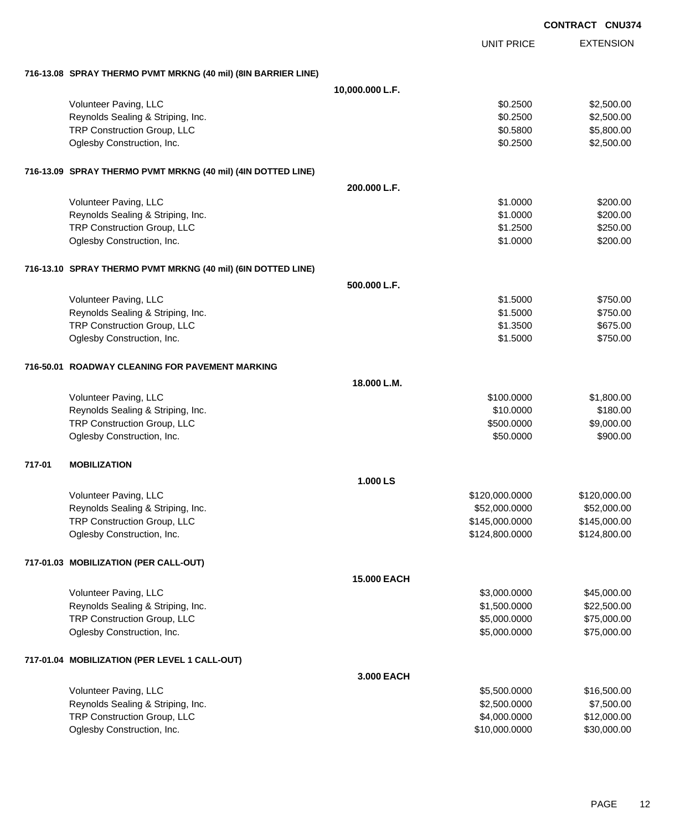|        |                                                               |                    |                   | <b>CONTRACT CNU374</b> |
|--------|---------------------------------------------------------------|--------------------|-------------------|------------------------|
|        |                                                               |                    | <b>UNIT PRICE</b> | <b>EXTENSION</b>       |
|        | 716-13.08 SPRAY THERMO PVMT MRKNG (40 mil) (8IN BARRIER LINE) |                    |                   |                        |
|        |                                                               | 10,000.000 L.F.    |                   |                        |
|        | Volunteer Paving, LLC                                         |                    | \$0.2500          | \$2,500.00             |
|        | Reynolds Sealing & Striping, Inc.                             |                    | \$0.2500          | \$2,500.00             |
|        | TRP Construction Group, LLC                                   |                    | \$0.5800          | \$5,800.00             |
|        | Oglesby Construction, Inc.                                    |                    | \$0.2500          | \$2,500.00             |
|        | 716-13.09 SPRAY THERMO PVMT MRKNG (40 mil) (4IN DOTTED LINE)  |                    |                   |                        |
|        |                                                               | 200.000 L.F.       |                   |                        |
|        | Volunteer Paving, LLC                                         |                    | \$1.0000          | \$200.00               |
|        | Reynolds Sealing & Striping, Inc.                             |                    | \$1.0000          | \$200.00               |
|        | TRP Construction Group, LLC                                   |                    | \$1.2500          | \$250.00               |
|        | Oglesby Construction, Inc.                                    |                    | \$1.0000          | \$200.00               |
|        | 716-13.10 SPRAY THERMO PVMT MRKNG (40 mil) (6IN DOTTED LINE)  |                    |                   |                        |
|        |                                                               | 500.000 L.F.       |                   |                        |
|        | Volunteer Paving, LLC                                         |                    | \$1.5000          | \$750.00               |
|        | Reynolds Sealing & Striping, Inc.                             |                    | \$1.5000          | \$750.00               |
|        | TRP Construction Group, LLC                                   |                    | \$1.3500          | \$675.00               |
|        | Oglesby Construction, Inc.                                    |                    | \$1.5000          | \$750.00               |
|        | 716-50.01 ROADWAY CLEANING FOR PAVEMENT MARKING               |                    |                   |                        |
|        |                                                               | 18.000 L.M.        |                   |                        |
|        | Volunteer Paving, LLC                                         |                    | \$100.0000        | \$1,800.00             |
|        | Reynolds Sealing & Striping, Inc.                             |                    | \$10.0000         | \$180.00               |
|        | TRP Construction Group, LLC                                   |                    | \$500.0000        | \$9,000.00             |
|        | Oglesby Construction, Inc.                                    |                    | \$50.0000         | \$900.00               |
| 717-01 | <b>MOBILIZATION</b>                                           |                    |                   |                        |
|        |                                                               | 1.000 LS           |                   |                        |
|        | Volunteer Paving, LLC                                         |                    | \$120,000.0000    | \$120,000.00           |
|        | Reynolds Sealing & Striping, Inc.                             |                    | \$52,000.0000     | \$52,000.00            |
|        | TRP Construction Group, LLC                                   |                    | \$145,000.0000    | \$145,000.00           |
|        | Oglesby Construction, Inc.                                    |                    | \$124,800.0000    | \$124,800.00           |
|        | 717-01.03 MOBILIZATION (PER CALL-OUT)                         |                    |                   |                        |
|        |                                                               | <b>15.000 EACH</b> |                   |                        |
|        | Volunteer Paving, LLC                                         |                    | \$3,000.0000      | \$45,000.00            |
|        | Reynolds Sealing & Striping, Inc.                             |                    | \$1,500.0000      | \$22,500.00            |
|        | TRP Construction Group, LLC                                   |                    | \$5,000.0000      | \$75,000.00            |
|        | Oglesby Construction, Inc.                                    |                    | \$5,000.0000      | \$75,000.00            |
|        | 717-01.04 MOBILIZATION (PER LEVEL 1 CALL-OUT)                 |                    |                   |                        |
|        |                                                               | 3.000 EACH         |                   |                        |
|        | Volunteer Paving, LLC                                         |                    | \$5,500.0000      | \$16,500.00            |
|        | Reynolds Sealing & Striping, Inc.                             |                    | \$2,500.0000      | \$7,500.00             |
|        | TRP Construction Group, LLC                                   |                    | \$4,000.0000      | \$12,000.00            |
|        | Oglesby Construction, Inc.                                    |                    | \$10,000.0000     | \$30,000.00            |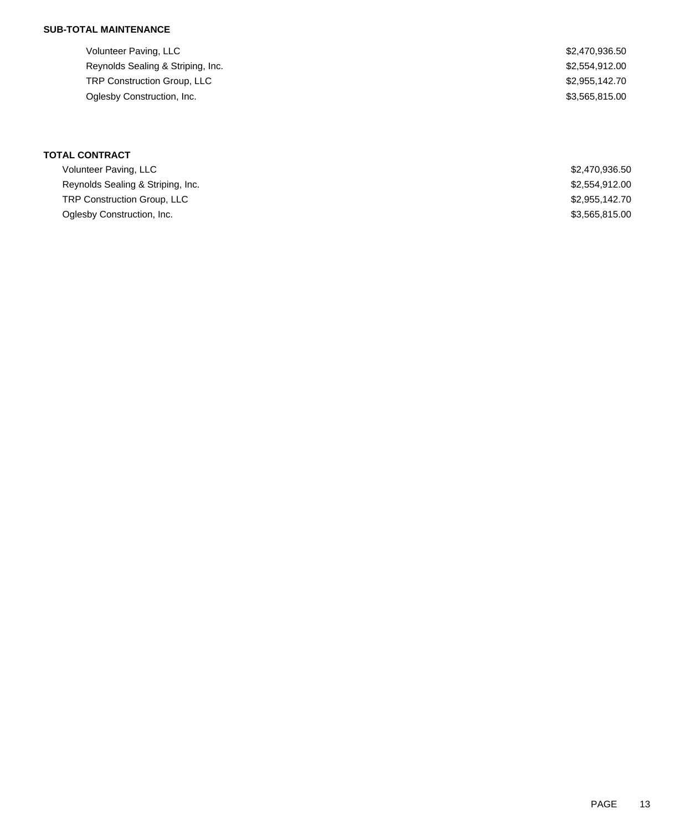Volunteer Paving, LLC \$2,470,936.50 Reynolds Sealing & Striping, Inc. 6. The Sealing Sealing & Striping, Inc. 6. The Sealing Sealing Sealing Sealing Sealing Sealing Sealing Sealing Sealing Sealing Sealing Sealing Sealing Sealing Sealing Sealing Sealing Seali TRP Construction Group, LLC 62,955,142.70 Oglesby Construction, Inc. 63,565,815.00

| <b>TOTAL CONTRACT</b>              |                |
|------------------------------------|----------------|
| Volunteer Paving, LLC              | \$2,470,936.50 |
| Reynolds Sealing & Striping, Inc.  | \$2,554,912.00 |
| <b>TRP Construction Group, LLC</b> | \$2,955,142.70 |
| Oglesby Construction, Inc.         | \$3,565,815.00 |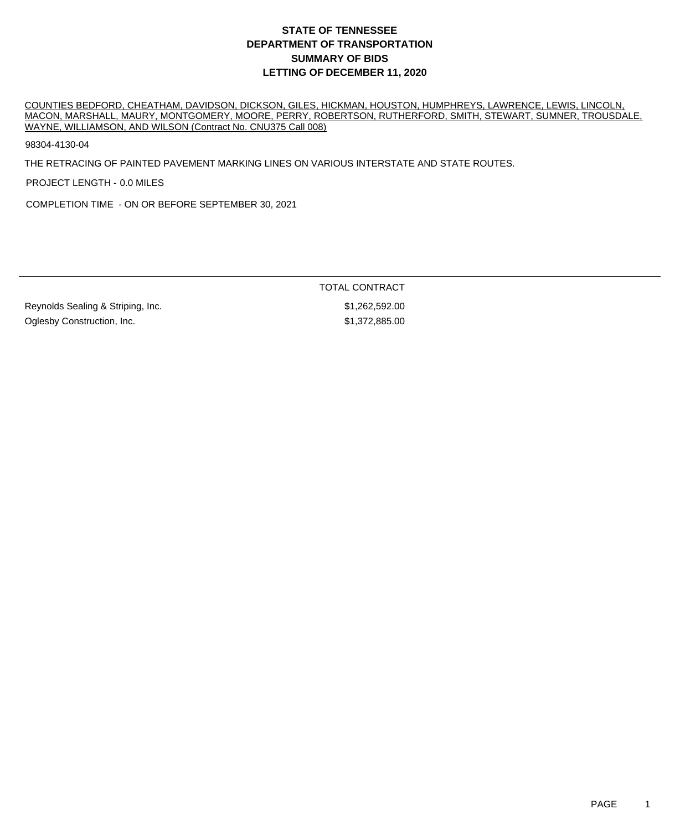COUNTIES BEDFORD, CHEATHAM, DAVIDSON, DICKSON, GILES, HICKMAN, HOUSTON, HUMPHREYS, LAWRENCE, LEWIS, LINCOLN, MACON, MARSHALL, MAURY, MONTGOMERY, MOORE, PERRY, ROBERTSON, RUTHERFORD, SMITH, STEWART, SUMNER, TROUSDALE, WAYNE, WILLIAMSON, AND WILSON (Contract No. CNU375 Call 008)

98304-4130-04

THE RETRACING OF PAINTED PAVEMENT MARKING LINES ON VARIOUS INTERSTATE AND STATE ROUTES.

PROJECT LENGTH - 0.0 MILES

COMPLETION TIME - ON OR BEFORE SEPTEMBER 30, 2021

TOTAL CONTRACT

Reynolds Sealing & Striping, Inc.  $$1,262,592.00$ Oglesby Construction, Inc. \$1,372,885.00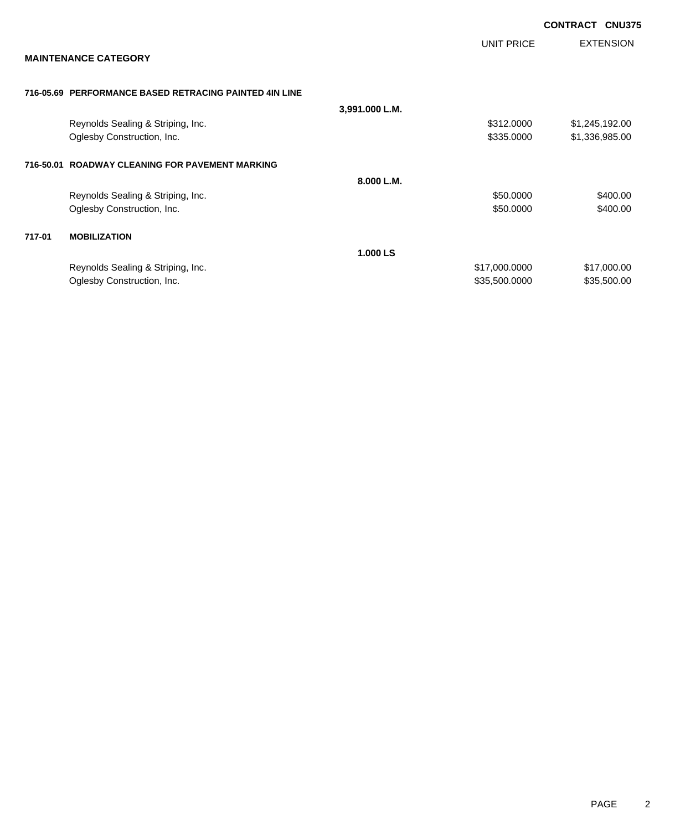|        |                                                        |                |               | <b>CONTRACT</b><br><b>CNU375</b> |
|--------|--------------------------------------------------------|----------------|---------------|----------------------------------|
|        | <b>MAINTENANCE CATEGORY</b>                            |                | UNIT PRICE    | <b>EXTENSION</b>                 |
|        |                                                        |                |               |                                  |
|        | 716-05.69 PERFORMANCE BASED RETRACING PAINTED 4IN LINE |                |               |                                  |
|        |                                                        | 3,991.000 L.M. |               |                                  |
|        | Reynolds Sealing & Striping, Inc.                      |                | \$312,0000    | \$1,245,192.00                   |
|        | Oglesby Construction, Inc.                             |                | \$335.0000    | \$1,336,985.00                   |
|        | 716-50.01 ROADWAY CLEANING FOR PAVEMENT MARKING        |                |               |                                  |
|        |                                                        | 8.000 L.M.     |               |                                  |
|        | Reynolds Sealing & Striping, Inc.                      |                | \$50.0000     | \$400.00                         |
|        | Oglesby Construction, Inc.                             |                | \$50.0000     | \$400.00                         |
| 717-01 | <b>MOBILIZATION</b>                                    |                |               |                                  |
|        |                                                        | 1.000 LS       |               |                                  |
|        | Reynolds Sealing & Striping, Inc.                      |                | \$17,000.0000 | \$17,000.00                      |
|        | Oglesby Construction, Inc.                             |                | \$35,500.0000 | \$35,500.00                      |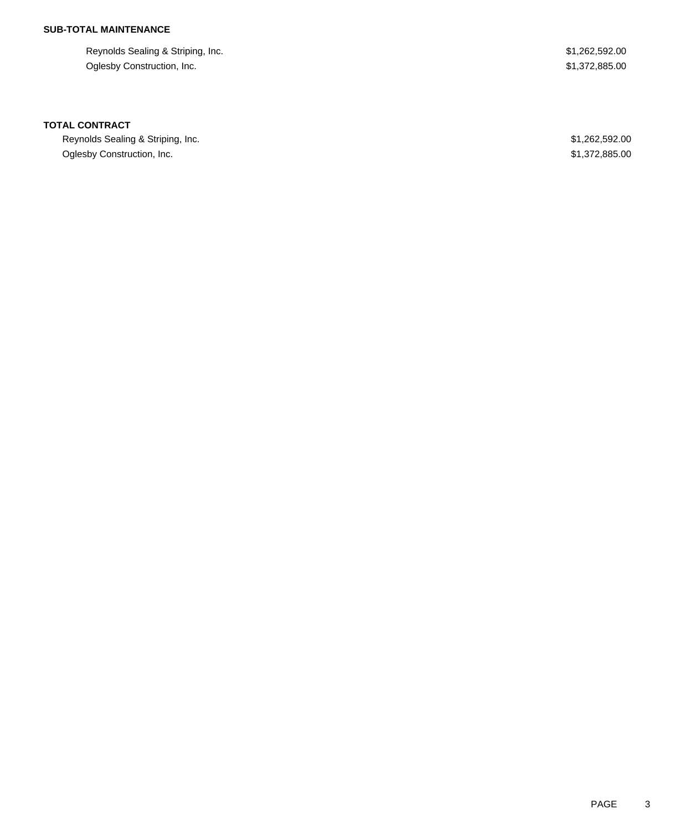Reynolds Sealing & Striping, Inc. **\$1,262,592.00** \$1,262,592.00 Oglesby Construction, Inc. \$1,372,885.00

#### **TOTAL CONTRACT**

Reynolds Sealing & Striping, Inc. **\$1,262,592.00** \$1,262,592.00 Oglesby Construction, Inc. \$1,372,885.00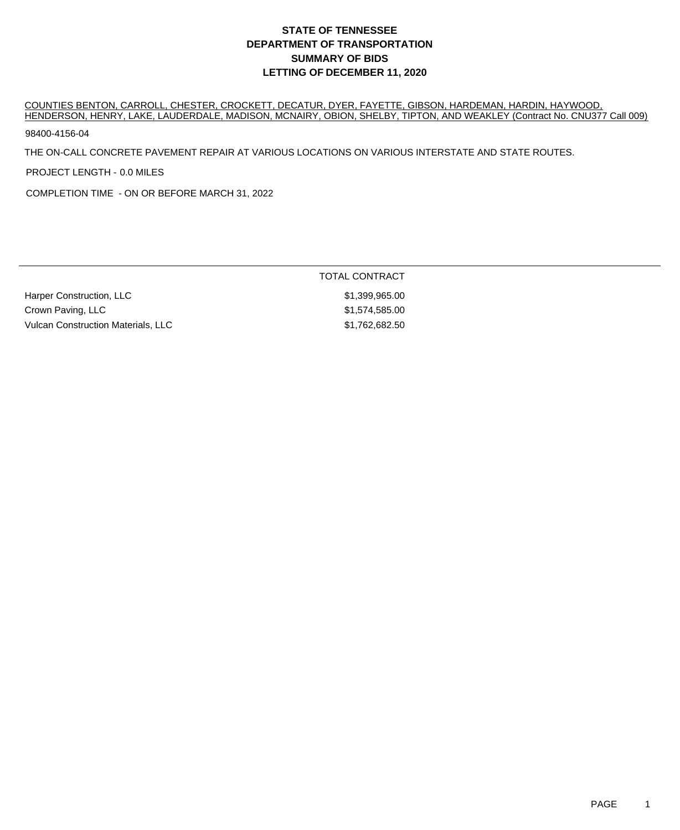COUNTIES BENTON, CARROLL, CHESTER, CROCKETT, DECATUR, DYER, FAYETTE, GIBSON, HARDEMAN, HARDIN, HAYWOOD, HENDERSON, HENRY, LAKE, LAUDERDALE, MADISON, MCNAIRY, OBION, SHELBY, TIPTON, AND WEAKLEY (Contract No. CNU377 Call 009)

TOTAL CONTRACT

98400-4156-04

THE ON-CALL CONCRETE PAVEMENT REPAIR AT VARIOUS LOCATIONS ON VARIOUS INTERSTATE AND STATE ROUTES.

PROJECT LENGTH - 0.0 MILES

COMPLETION TIME - ON OR BEFORE MARCH 31, 2022

Harper Construction, LLC **but a structure of the structure of the structure of the structure of the structure of the structure of the structure of the structure of the structure of the structure of the structure of the str** 

Crown Paving, LLC \$1,574,585.00 Vulcan Construction Materials, LLC  $$1,762,682.50$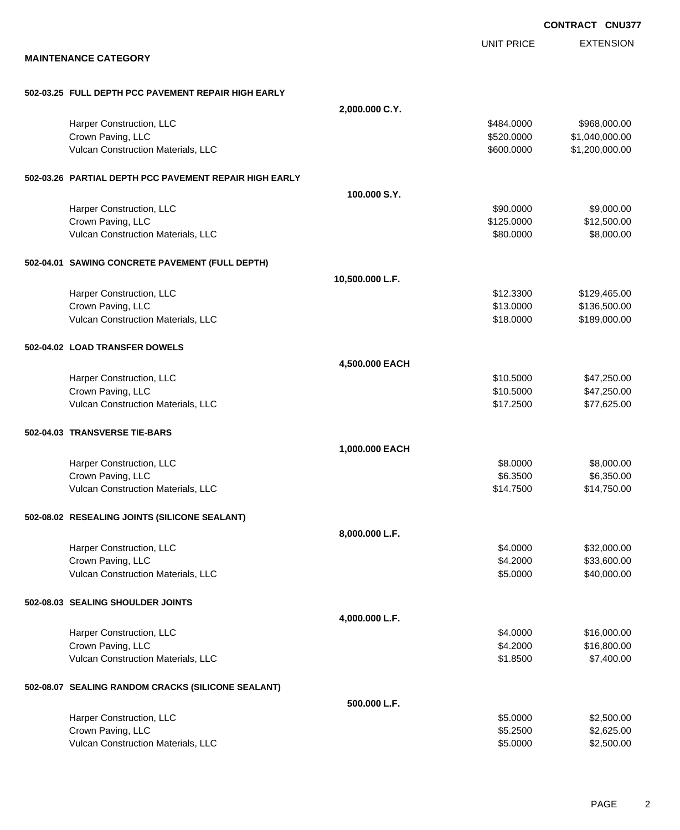|                                                        |                 |                   | <b>CONTRACT CNU377</b> |
|--------------------------------------------------------|-----------------|-------------------|------------------------|
|                                                        |                 | <b>UNIT PRICE</b> | <b>EXTENSION</b>       |
| <b>MAINTENANCE CATEGORY</b>                            |                 |                   |                        |
| 502-03.25 FULL DEPTH PCC PAVEMENT REPAIR HIGH EARLY    |                 |                   |                        |
|                                                        | 2,000.000 C.Y.  |                   |                        |
| Harper Construction, LLC                               |                 | \$484.0000        | \$968,000.00           |
| Crown Paving, LLC                                      |                 | \$520.0000        | \$1,040,000.00         |
| Vulcan Construction Materials, LLC                     |                 | \$600.0000        | \$1,200,000.00         |
| 502-03.26 PARTIAL DEPTH PCC PAVEMENT REPAIR HIGH EARLY |                 |                   |                        |
|                                                        | 100.000 S.Y.    |                   |                        |
| Harper Construction, LLC                               |                 | \$90.0000         | \$9,000.00             |
| Crown Paving, LLC                                      |                 | \$125.0000        | \$12,500.00            |
| Vulcan Construction Materials, LLC                     |                 | \$80.0000         | \$8,000.00             |
| 502-04.01 SAWING CONCRETE PAVEMENT (FULL DEPTH)        |                 |                   |                        |
|                                                        | 10,500.000 L.F. |                   |                        |
| Harper Construction, LLC                               |                 | \$12.3300         | \$129,465.00           |
| Crown Paving, LLC                                      |                 | \$13.0000         | \$136,500.00           |
| Vulcan Construction Materials, LLC                     |                 | \$18.0000         | \$189,000.00           |
| 502-04.02 LOAD TRANSFER DOWELS                         |                 |                   |                        |
|                                                        | 4,500.000 EACH  |                   |                        |
| Harper Construction, LLC                               |                 | \$10.5000         | \$47,250.00            |
| Crown Paving, LLC                                      |                 | \$10.5000         | \$47,250.00            |
| Vulcan Construction Materials, LLC                     |                 | \$17.2500         | \$77,625.00            |
| 502-04.03 TRANSVERSE TIE-BARS                          |                 |                   |                        |
|                                                        | 1,000.000 EACH  |                   |                        |
| Harper Construction, LLC                               |                 | \$8.0000          | \$8,000.00             |
| Crown Paving, LLC                                      |                 | \$6.3500          | \$6,350.00             |
| Vulcan Construction Materials, LLC                     |                 | \$14.7500         | \$14,750.00            |
| 502-08.02 RESEALING JOINTS (SILICONE SEALANT)          |                 |                   |                        |
|                                                        | 8,000.000 L.F.  |                   |                        |
| Harper Construction, LLC                               |                 | \$4.0000          | \$32,000.00            |
| Crown Paving, LLC                                      |                 | \$4.2000          | \$33,600.00            |
| Vulcan Construction Materials, LLC                     |                 | \$5.0000          | \$40,000.00            |
| 502-08.03 SEALING SHOULDER JOINTS                      |                 |                   |                        |
|                                                        | 4,000.000 L.F.  |                   |                        |
| Harper Construction, LLC                               |                 | \$4.0000          | \$16,000.00            |
| Crown Paving, LLC                                      |                 | \$4.2000          | \$16,800.00            |
| Vulcan Construction Materials, LLC                     |                 | \$1.8500          | \$7,400.00             |
| 502-08.07 SEALING RANDOM CRACKS (SILICONE SEALANT)     |                 |                   |                        |
|                                                        | 500.000 L.F.    |                   |                        |
| Harper Construction, LLC                               |                 | \$5.0000          | \$2,500.00             |
| Crown Paving, LLC                                      |                 | \$5.2500          | \$2,625.00             |
| Vulcan Construction Materials, LLC                     |                 | \$5.0000          | \$2,500.00             |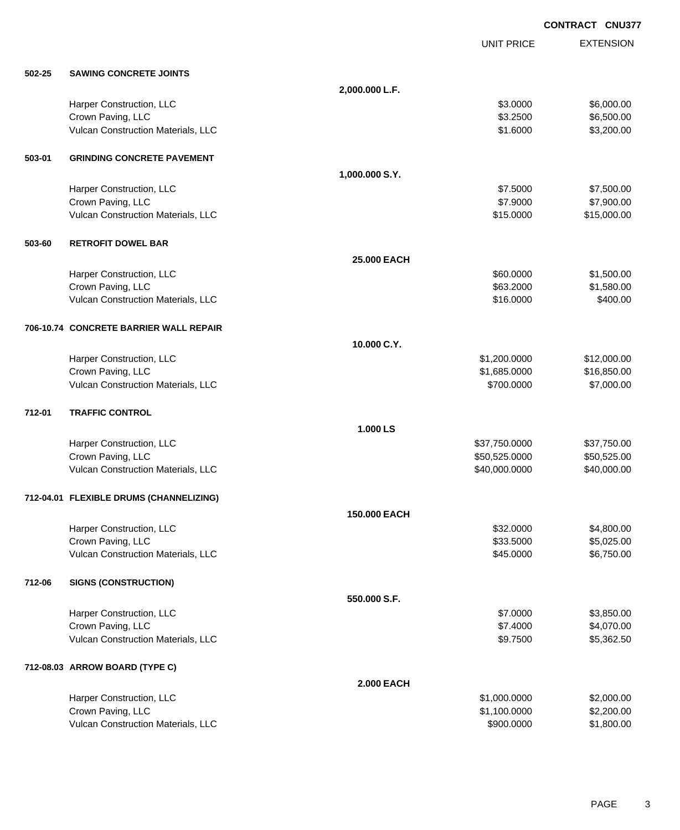**EXTENSION CONTRACT CNU377** UNIT PRICE **502-25 SAWING CONCRETE JOINTS 2,000.000 L.F.** Harper Construction, LLC 6,000.00 \$6,000.00 \$6,000.00 \$6,000.00 \$6,000.00 \$6,000.00 \$6,000.00 \$6,000.00 \$6,000 Crown Paving, LLC \$5,500.00 Vulcan Construction Materials, LLC 63,200.00 \$3,200.00 \$3,200.00 **503-01 GRINDING CONCRETE PAVEMENT 1,000.000 S.Y.** Harper Construction, LLC 67,500.00 \$7.500.00 \$7.500.00 \$7.500.00 \$7.500.00 \$7.500.00 \$7.500.00 \$7.500.00 \$7.500 Crown Paving, LLC \$7,900.00 \$7,900.00 \$7,900.00 \$7,900.00 \$7,900.00 \$7,900.00 \$7,900.00 \$7,900.00 \$7,900.00 \$7,900 Vulcan Construction Materials, LLC 61 and the state of the state of the state of the state of the state of the state of the state of the state of the state of the state of the state of the state of the state of the state o **503-60 RETROFIT DOWEL BAR 25.000 EACH** Harper Construction, LLC 60000 \$1,500.00 Crown Paving, LLC \$1,580.00 \$1,580.00 Vulcan Construction Materials, LLC 6400.00 \$400.00 **706-10.74 CONCRETE BARRIER WALL REPAIR 10.000 C.Y.** Harper Construction, LLC 61,200.000 \$12,000.000 \$12,000.00 Crown Paving, LLC 6. 2010 12:00:00 \$1,685.0000 \$16,850.000 \$16,850.000 \$16,850.000 \$16,850.00 Vulcan Construction Materials, LLC 66 and the state of the state of the state of the state of the state of the state of the state of the state of the state of the state of the state of the state of the state of the state o **712-01 TRAFFIC CONTROL 1.000 LS** Harper Construction, LLC 637,750.000 \$37,750.000 \$37,750.000 \$37,750.000 \$37,750.000 \$37,750.000 \$37,750.00 Crown Paving, LLC \$50,525.000 \$50,525.000 \$50,525.000 \$50,525.000

#### **712-04.01 FLEXIBLE DRUMS (CHANNELIZING)**

|        |                                           | <b>150,000 EACH</b> |              |            |
|--------|-------------------------------------------|---------------------|--------------|------------|
|        | Harper Construction, LLC                  |                     | \$32.0000    | \$4,800.00 |
|        | Crown Paving, LLC                         |                     | \$33.5000    | \$5,025.00 |
|        | <b>Vulcan Construction Materials, LLC</b> |                     | \$45,0000    | \$6,750.00 |
| 712-06 | <b>SIGNS (CONSTRUCTION)</b>               |                     |              |            |
|        |                                           | 550,000 S.F.        |              |            |
|        | Harper Construction, LLC                  |                     | \$7.0000     | \$3,850.00 |
|        | Crown Paving, LLC                         |                     | \$7.4000     | \$4,070.00 |
|        | <b>Vulcan Construction Materials, LLC</b> |                     | \$9.7500     | \$5,362.50 |
|        | 712-08.03 ARROW BOARD (TYPE C)            |                     |              |            |
|        |                                           | <b>2.000 EACH</b>   |              |            |
|        | Harper Construction, LLC                  |                     | \$1,000.0000 | \$2,000.00 |
|        | Crown Paving, LLC                         |                     | \$1,100.0000 | \$2,200.00 |
|        | Vulcan Construction Materials, LLC        |                     | \$900,0000   | \$1,800.00 |

Vulcan Construction Materials, LLC 6000000 \$40,000.000 \$40,000.000 \$40,000.000 \$40,000.00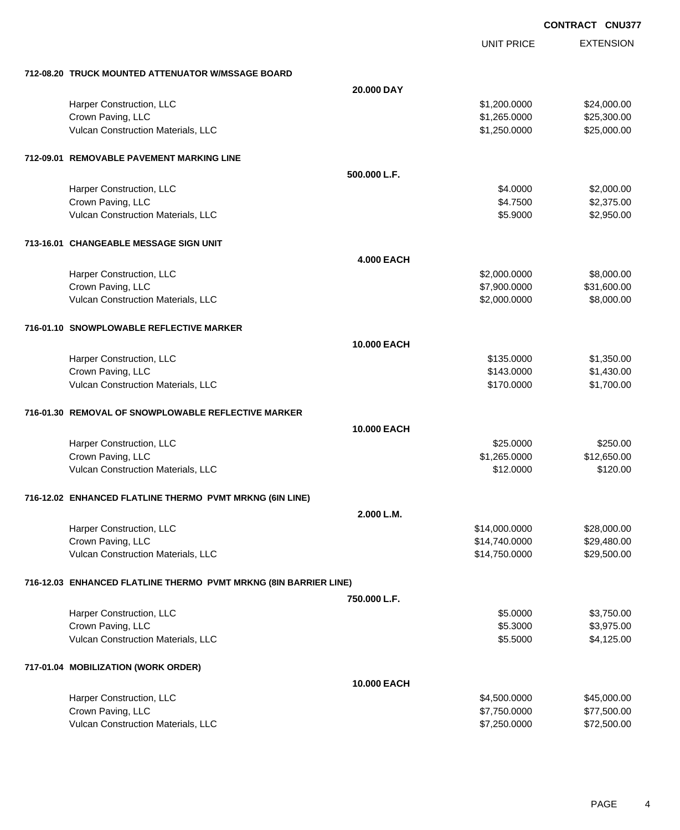**CONTRACT CNU377**

|                                                                  | <b>UNIT PRICE</b> | <b>EXTENSION</b> |
|------------------------------------------------------------------|-------------------|------------------|
|                                                                  |                   |                  |
| 712-08.20 TRUCK MOUNTED ATTENUATOR W/MSSAGE BOARD<br>20,000 DAY  |                   |                  |
| Harper Construction, LLC                                         | \$1,200.0000      | \$24,000.00      |
| Crown Paving, LLC                                                | \$1,265.0000      | \$25,300.00      |
| Vulcan Construction Materials, LLC                               | \$1,250.0000      | \$25,000.00      |
|                                                                  |                   |                  |
| 712-09.01 REMOVABLE PAVEMENT MARKING LINE                        |                   |                  |
| 500.000 L.F.                                                     |                   |                  |
| Harper Construction, LLC                                         | \$4.0000          | \$2,000.00       |
| Crown Paving, LLC                                                | \$4.7500          | \$2,375.00       |
| Vulcan Construction Materials, LLC                               | \$5.9000          | \$2,950.00       |
| 713-16.01 CHANGEABLE MESSAGE SIGN UNIT                           |                   |                  |
| <b>4.000 EACH</b>                                                |                   |                  |
| Harper Construction, LLC                                         | \$2,000.0000      | \$8,000.00       |
| Crown Paving, LLC                                                | \$7,900.0000      | \$31,600.00      |
| Vulcan Construction Materials, LLC                               | \$2,000.0000      | \$8,000.00       |
|                                                                  |                   |                  |
| 716-01.10 SNOWPLOWABLE REFLECTIVE MARKER                         |                   |                  |
| 10.000 EACH                                                      |                   |                  |
| Harper Construction, LLC                                         | \$135.0000        | \$1,350.00       |
| Crown Paving, LLC                                                | \$143.0000        | \$1,430.00       |
| Vulcan Construction Materials, LLC                               | \$170.0000        | \$1,700.00       |
| 716-01.30 REMOVAL OF SNOWPLOWABLE REFLECTIVE MARKER              |                   |                  |
| 10.000 EACH                                                      |                   |                  |
| Harper Construction, LLC                                         | \$25.0000         | \$250.00         |
| Crown Paving, LLC                                                | \$1,265.0000      | \$12,650.00      |
| Vulcan Construction Materials, LLC                               | \$12.0000         | \$120.00         |
|                                                                  |                   |                  |
| 716-12.02 ENHANCED FLATLINE THERMO PVMT MRKNG (6IN LINE)         |                   |                  |
| 2.000 L.M.                                                       |                   |                  |
| Harper Construction, LLC                                         | \$14,000.0000     | \$28,000.00      |
| Crown Paving, LLC                                                | \$14,740.0000     | \$29,480.00      |
| Vulcan Construction Materials, LLC                               | \$14,750.0000     | \$29,500.00      |
| 716-12.03 ENHANCED FLATLINE THERMO PVMT MRKNG (8IN BARRIER LINE) |                   |                  |
| 750,000 L.F.                                                     |                   |                  |
| Harper Construction, LLC                                         | \$5.0000          | \$3,750.00       |
| Crown Paving, LLC                                                | \$5.3000          | \$3,975.00       |
| Vulcan Construction Materials, LLC                               | \$5.5000          | \$4,125.00       |
| 717-01.04 MOBILIZATION (WORK ORDER)                              |                   |                  |
| 10.000 EACH                                                      |                   |                  |
| Harper Construction, LLC                                         | \$4,500.0000      | \$45,000.00      |
| Crown Paving, LLC                                                | \$7,750.0000      | \$77,500.00      |
| Vulcan Construction Materials, LLC                               | \$7,250.0000      | \$72,500.00      |
|                                                                  |                   |                  |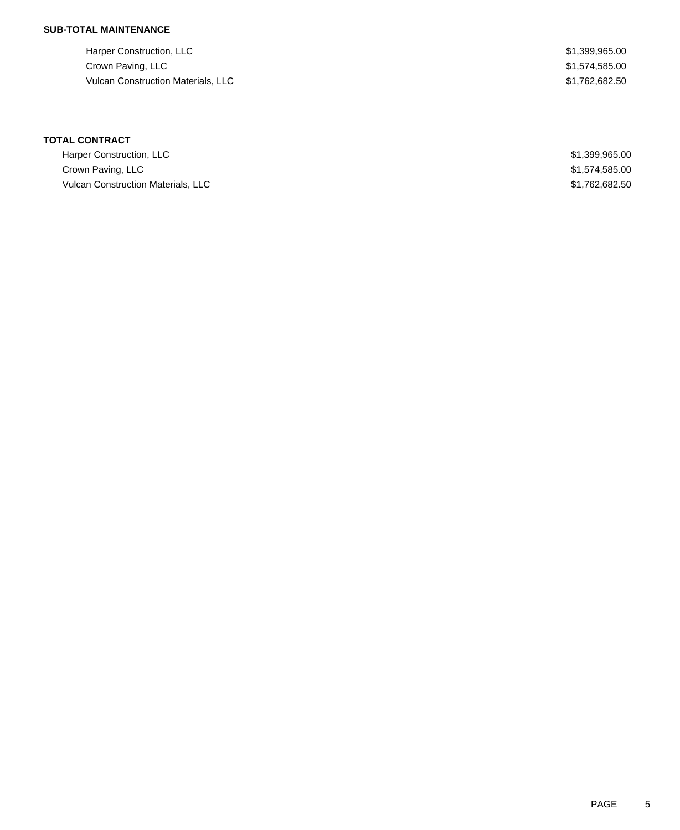Harper Construction, LLC 61,399,965.00 Crown Paving, LLC \$1,574,585.00 Vulcan Construction Materials, LLC 682.50

# **TOTAL CONTRACT**

| Harper Construction, LLC                  | \$1,399,965.00 |
|-------------------------------------------|----------------|
| Crown Paving, LLC                         | \$1,574,585.00 |
| <b>Vulcan Construction Materials, LLC</b> | \$1,762,682.50 |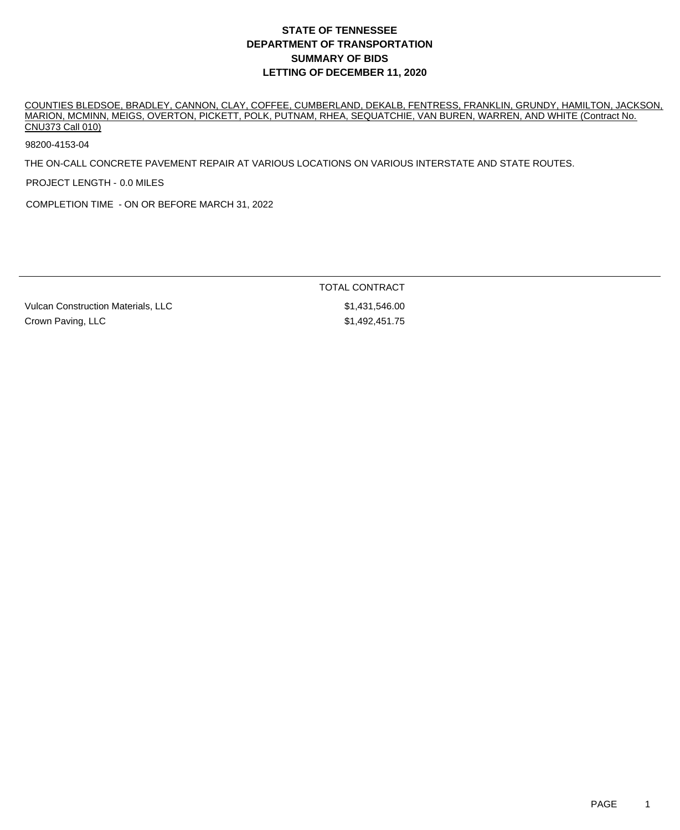COUNTIES BLEDSOE, BRADLEY, CANNON, CLAY, COFFEE, CUMBERLAND, DEKALB, FENTRESS, FRANKLIN, GRUNDY, HAMILTON, JACKSON, MARION, MCMINN, MEIGS, OVERTON, PICKETT, POLK, PUTNAM, RHEA, SEQUATCHIE, VAN BUREN, WARREN, AND WHITE (Contract No. CNU373 Call 010)

98200-4153-04

THE ON-CALL CONCRETE PAVEMENT REPAIR AT VARIOUS LOCATIONS ON VARIOUS INTERSTATE AND STATE ROUTES.

PROJECT LENGTH - 0.0 MILES

COMPLETION TIME - ON OR BEFORE MARCH 31, 2022

TOTAL CONTRACT

Vulcan Construction Materials, LLC  $$1,431,546.00$ Crown Paving, LLC **1992,451.75** (Stephani Research 1993)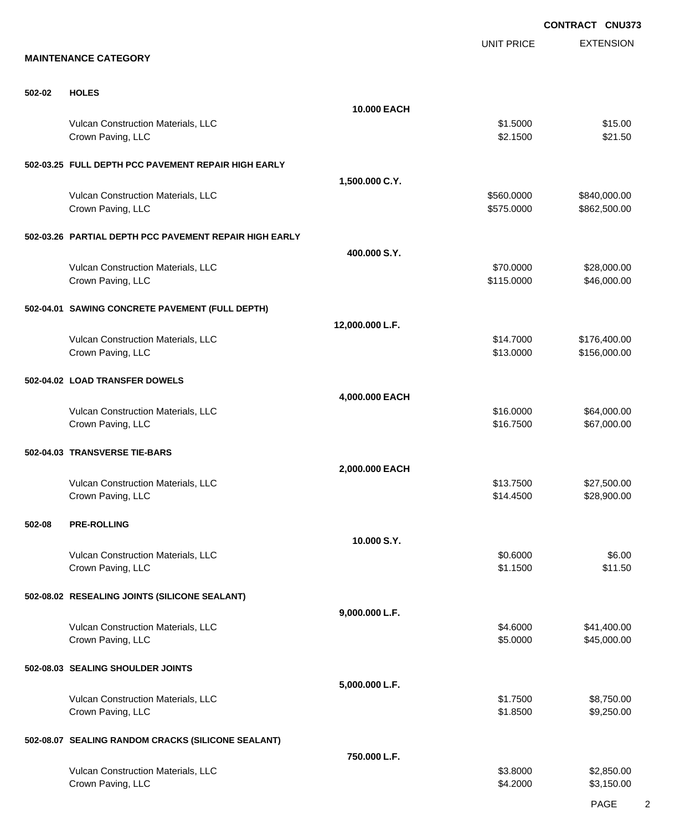EXTENSION **CONTRACT CNU373** UNIT PRICE **MAINTENANCE CATEGORY 502-02 HOLES 10.000 EACH** Vulcan Construction Materials, LLC 65 and the set of the set of the set of the set of the set of the set of the set of the set of the set of the set of the set of the set of the set of the set of the set of the set of the Crown Paving, LLC \$2.1500 \$21.50 **502-03.25 FULL DEPTH PCC PAVEMENT REPAIR HIGH EARLY 1,500.000 C.Y.** Vulcan Construction Materials, LLC 600000 \$840,000.00 \$840,000.00 Crown Paving, LLC 6. 2012 12:00:00 \$862,500.00 \$862,500.00 \$862,500.00 **502-03.26 PARTIAL DEPTH PCC PAVEMENT REPAIR HIGH EARLY 400.000 S.Y.** Vulcan Construction Materials, LLC 670.000 \$28,000.00 Crown Paving, LLC \$46,000.00 \$46,000.00 **502-04.01 SAWING CONCRETE PAVEMENT (FULL DEPTH) 12,000.000 L.F.** Vulcan Construction Materials, LLC \$14.7000 \$176,400.00 Crown Paving, LLC 6. 2012 12:00:00 \$13.0000 \$156,000.00 **502-04.02 LOAD TRANSFER DOWELS 4,000.000 EACH** Vulcan Construction Materials, LLC 664,000.00 \$64,000.00 \$64,000.00 Crown Paving, LLC \$16.7500 \$67,000.00 **502-04.03 TRANSVERSE TIE-BARS 2,000.000 EACH** Vulcan Construction Materials, LLC 612 and 2008 \$27,500.00 \$27,500.00 \$27,500.00 Crown Paving, LLC \$28,900.00 **502-08 PRE-ROLLING 10.000 S.Y.** Vulcan Construction Materials, LLC 66.000 \$6.000 \$6.00 Crown Paving, LLC \$1.1500 \$11.50 **502-08.02 RESEALING JOINTS (SILICONE SEALANT) 9,000.000 L.F.** Vulcan Construction Materials, LLC 641,400.00 \$41,400.00 \$41,400.00 Crown Paving, LLC 6.0000 \$45,000.00 \$45,000.00 \$45,000.00 \$45,000.00 \$45,000.00 \$5.000 \$5.000 \$45,000.00 \$15,000 **502-08.03 SEALING SHOULDER JOINTS 5,000.000 L.F.** Vulcan Construction Materials, LLC 68,750.00 \$8,750.00 \$8,750.00 Crown Paving, LLC \$1.8500 \$9,250.00 **502-08.07 SEALING RANDOM CRACKS (SILICONE SEALANT) 750.000 L.F.** Vulcan Construction Materials, LLC 63.8000 \$2,850.00 Crown Paving, LLC \$3,150.00 \$3,150.00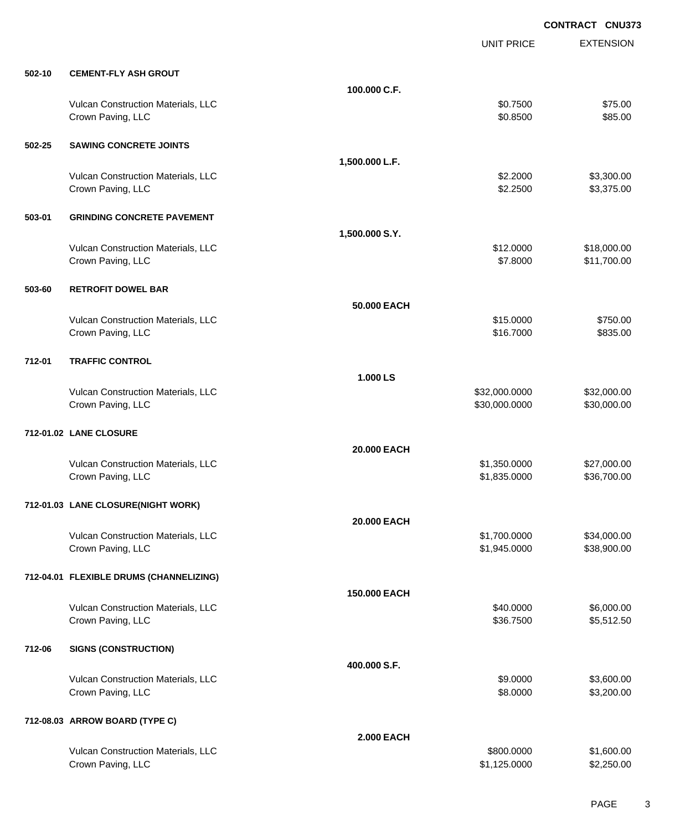EXTENSION **CONTRACT CNU373** UNIT PRICE **502-10 CEMENT-FLY ASH GROUT 100.000 C.F.** Vulcan Construction Materials, LLC 600 and 100 and 100 and 100 and 100 and 100 and 100 and 100 and 100 and 100 and 100 and 100 and 100 and 100 and 100 and 100 and 100 and 100 and 100 and 100 and 100 and 100 and 100 and 100 Crown Paving, LLC \$85.00 **502-25 SAWING CONCRETE JOINTS 1,500.000 L.F.** Vulcan Construction Materials, LLC 6. 2000 \$3,300.00 Crown Paving, LLC \$3,375.00 \$3,375.00 **503-01 GRINDING CONCRETE PAVEMENT 1,500.000 S.Y.** Vulcan Construction Materials, LLC 612.0000 \$18,000.00 Crown Paving, LLC \$11,700.00 **503-60 RETROFIT DOWEL BAR 50.000 EACH** Vulcan Construction Materials, LLC 6750.00 \$750.00 Crown Paving, LLC \$16.7000 \$835.00 **712-01 TRAFFIC CONTROL 1.000 LS** Vulcan Construction Materials, LLC 600000 \$32,000.000 \$32,000.000 \$32,000.000 \$32,000.000 \$32,000.00 Crown Paving, LLC 6. 2000.000 \$30,000.000 \$30,000.000 \$30,000.000 \$30,000.000 \$30,000.00 **712-01.02 LANE CLOSURE 20.000 EACH** Vulcan Construction Materials, LLC 60000 \$27,000.00 Crown Paving, LLC \$1,835.0000 \$36,700.00 **712-01.03 LANE CLOSURE(NIGHT WORK) 20.000 EACH** Vulcan Construction Materials, LLC 600000 \$1,700.0000 \$34,000.00 Crown Paving, LLC \$1,945.0000 \$38,900.00 **712-04.01 FLEXIBLE DRUMS (CHANNELIZING) 150.000 EACH** Vulcan Construction Materials, LLC 6000.00 \$6,000.00 \$6,000.00 \$6,000.00 Crown Paving, LLC \$3,512.50 **712-06 SIGNS (CONSTRUCTION) 400.000 S.F.** Vulcan Construction Materials, LLC 66 and the state of the state of the state of the state of the state of the state of the state of the state of the state of the state of the state of the state of the state of the state o Crown Paving, LLC \$8.0000 \$3,200.00 **712-08.03 ARROW BOARD (TYPE C) 2.000 EACH**

Vulcan Construction Materials, LLC 600.000 \$1,600.000 \$1,600.000 \$1,600.00 Crown Paving, LLC \$2,250.00 \$2,250.00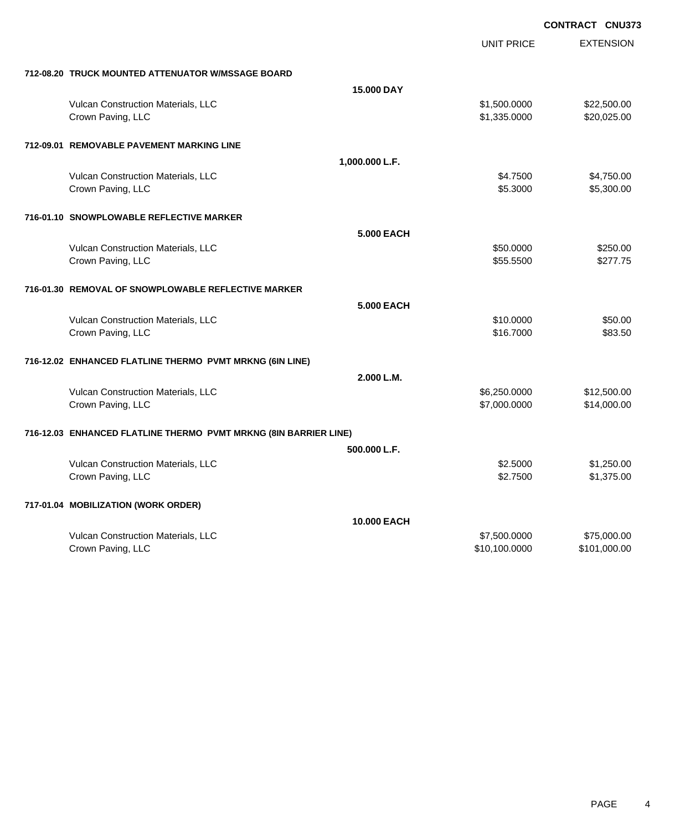|                                                                  |                   | <b>CONTRACT CNU373</b> |                  |
|------------------------------------------------------------------|-------------------|------------------------|------------------|
|                                                                  |                   | <b>UNIT PRICE</b>      | <b>EXTENSION</b> |
| 712-08.20 TRUCK MOUNTED ATTENUATOR W/MSSAGE BOARD                |                   |                        |                  |
|                                                                  | <b>15,000 DAY</b> |                        |                  |
| Vulcan Construction Materials, LLC                               |                   | \$1,500.0000           | \$22,500.00      |
| Crown Paving, LLC                                                |                   | \$1,335.0000           | \$20,025.00      |
| 712-09.01 REMOVABLE PAVEMENT MARKING LINE                        |                   |                        |                  |
|                                                                  | 1,000.000 L.F.    |                        |                  |
| Vulcan Construction Materials, LLC                               |                   | \$4.7500               | \$4,750.00       |
| Crown Paving, LLC                                                |                   | \$5.3000               | \$5,300.00       |
| 716-01.10 SNOWPLOWABLE REFLECTIVE MARKER                         |                   |                        |                  |
|                                                                  | 5.000 EACH        |                        |                  |
| Vulcan Construction Materials, LLC                               |                   | \$50,0000              | \$250.00         |
| Crown Paving, LLC                                                |                   | \$55.5500              | \$277.75         |
| 716-01.30 REMOVAL OF SNOWPLOWABLE REFLECTIVE MARKER              |                   |                        |                  |
|                                                                  | <b>5.000 EACH</b> |                        |                  |
| Vulcan Construction Materials, LLC                               |                   | \$10.0000              | \$50.00          |
| Crown Paving, LLC                                                |                   | \$16,7000              | \$83.50          |
| 716-12.02 ENHANCED FLATLINE THERMO PVMT MRKNG (6IN LINE)         |                   |                        |                  |
|                                                                  | 2.000 L.M.        |                        |                  |
| Vulcan Construction Materials, LLC                               |                   | \$6,250.0000           | \$12,500.00      |
| Crown Paving, LLC                                                |                   | \$7,000.0000           | \$14,000.00      |
| 716-12.03 ENHANCED FLATLINE THERMO PVMT MRKNG (8IN BARRIER LINE) |                   |                        |                  |
|                                                                  | 500.000 L.F.      |                        |                  |
| Vulcan Construction Materials, LLC                               |                   | \$2.5000               | \$1,250.00       |
| Crown Paving, LLC                                                |                   | \$2,7500               | \$1,375.00       |
| 717-01.04 MOBILIZATION (WORK ORDER)                              |                   |                        |                  |
|                                                                  | 10.000 EACH       |                        |                  |
| Vulcan Construction Materials, LLC                               |                   | \$7,500.0000           | \$75,000.00      |
| Crown Paving, LLC                                                |                   | \$10,100.0000          | \$101,000.00     |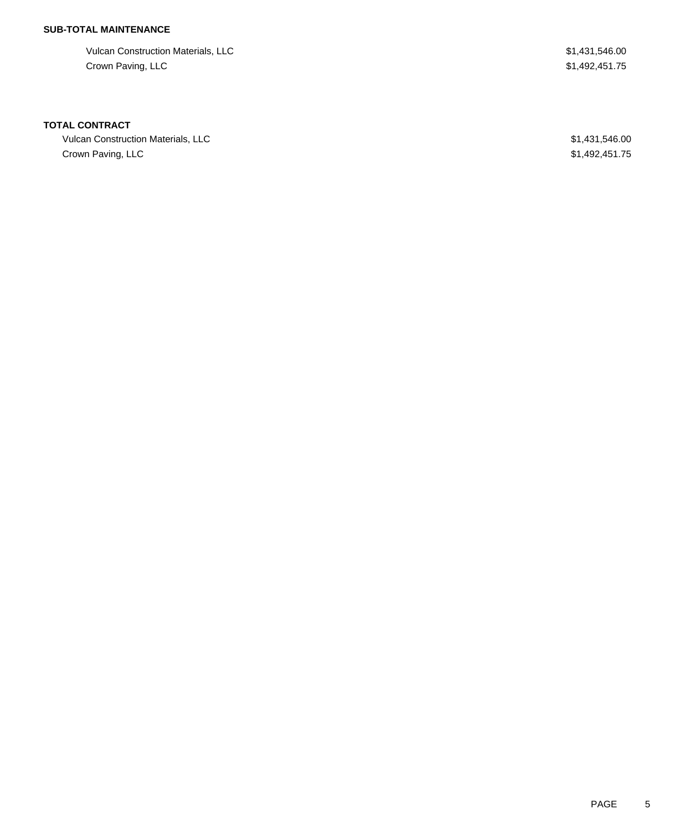Vulcan Construction Materials, LLC 61,431,546.00 Crown Paving, LLC \$1,492,451.75

#### **TOTAL CONTRACT**

Vulcan Construction Materials, LLC 600 \$1,431,546.00 Crown Paving, LLC \$1,492,451.75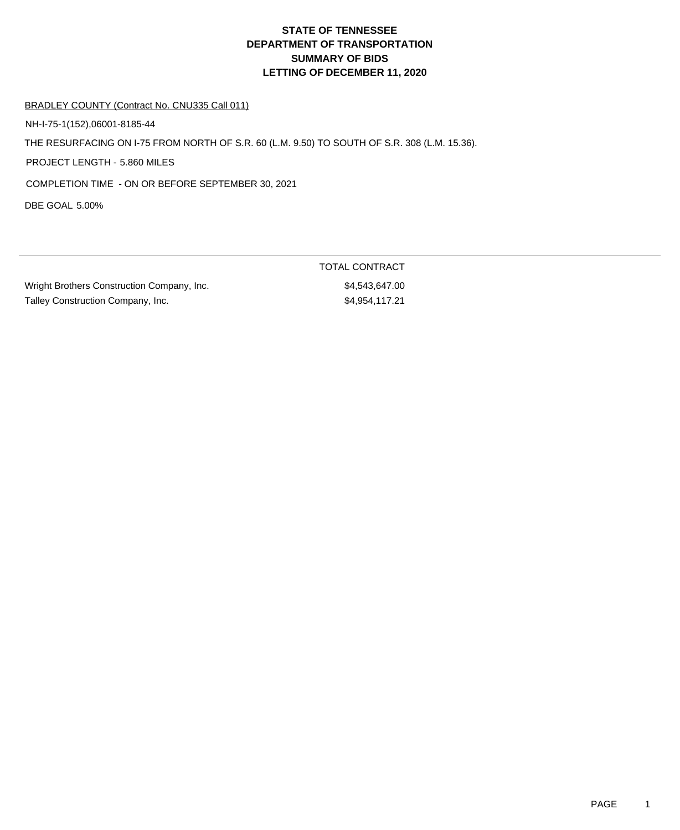# **DEPARTMENT OF TRANSPORTATION SUMMARY OF BIDS LETTING OF DECEMBER 11, 2020 STATE OF TENNESSEE**

#### BRADLEY COUNTY (Contract No. CNU335 Call 011)

NH-I-75-1(152),06001-8185-44

THE RESURFACING ON I-75 FROM NORTH OF S.R. 60 (L.M. 9.50) TO SOUTH OF S.R. 308 (L.M. 15.36).

PROJECT LENGTH - 5.860 MILES

COMPLETION TIME - ON OR BEFORE SEPTEMBER 30, 2021

DBE GOAL 5.00%

Wright Brothers Construction Company, Inc.  $$4,543,647.00$ Talley Construction Company, Inc. 6. The same state of the state of the state state state state state state state state state state state state state state state state state state state state state state state state state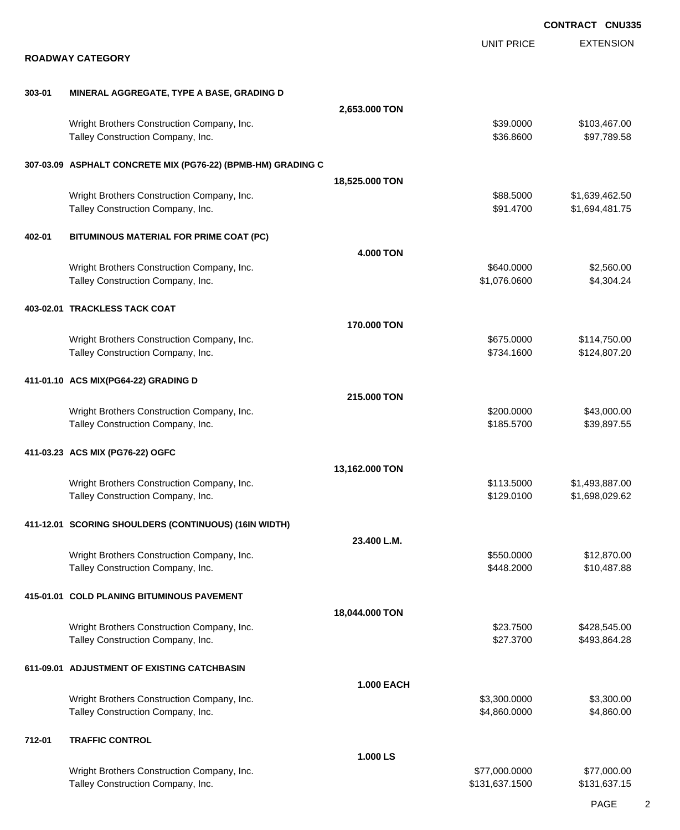|        |                                                                                 |                   |                            | <b>CONTRACT CNU335</b>           |
|--------|---------------------------------------------------------------------------------|-------------------|----------------------------|----------------------------------|
|        | <b>ROADWAY CATEGORY</b>                                                         |                   | <b>UNIT PRICE</b>          | <b>EXTENSION</b>                 |
| 303-01 | MINERAL AGGREGATE, TYPE A BASE, GRADING D                                       |                   |                            |                                  |
|        |                                                                                 | 2,653.000 TON     |                            |                                  |
|        | Wright Brothers Construction Company, Inc.<br>Talley Construction Company, Inc. |                   | \$39.0000<br>\$36.8600     | \$103,467.00<br>\$97,789.58      |
|        | 307-03.09 ASPHALT CONCRETE MIX (PG76-22) (BPMB-HM) GRADING C                    |                   |                            |                                  |
|        |                                                                                 | 18,525.000 TON    |                            |                                  |
|        | Wright Brothers Construction Company, Inc.<br>Talley Construction Company, Inc. |                   | \$88.5000<br>\$91.4700     | \$1,639,462.50<br>\$1,694,481.75 |
| 402-01 | BITUMINOUS MATERIAL FOR PRIME COAT (PC)                                         |                   |                            |                                  |
|        |                                                                                 | <b>4.000 TON</b>  |                            |                                  |
|        | Wright Brothers Construction Company, Inc.<br>Talley Construction Company, Inc. |                   | \$640.0000<br>\$1,076.0600 | \$2,560.00<br>\$4,304.24         |
|        | 403-02.01 TRACKLESS TACK COAT                                                   |                   |                            |                                  |
|        | Wright Brothers Construction Company, Inc.                                      | 170.000 TON       | \$675.0000                 | \$114,750.00                     |
|        | Talley Construction Company, Inc.                                               |                   | \$734.1600                 | \$124,807.20                     |
|        | 411-01.10 ACS MIX(PG64-22) GRADING D                                            | 215.000 TON       |                            |                                  |
|        | Wright Brothers Construction Company, Inc.                                      |                   | \$200.0000                 | \$43,000.00                      |
|        | Talley Construction Company, Inc.                                               |                   | \$185.5700                 | \$39,897.55                      |
|        | 411-03.23 ACS MIX (PG76-22) OGFC                                                | 13,162.000 TON    |                            |                                  |
|        | Wright Brothers Construction Company, Inc.                                      |                   | \$113.5000                 | \$1,493,887.00                   |
|        | Talley Construction Company, Inc.                                               |                   | \$129.0100                 | \$1,698,029.62                   |
|        | 411-12.01 SCORING SHOULDERS (CONTINUOUS) (16IN WIDTH)                           |                   |                            |                                  |
|        | Wright Brothers Construction Company, Inc.                                      | 23.400 L.M.       | \$550.0000                 | \$12,870.00                      |
|        | Talley Construction Company, Inc.                                               |                   | \$448.2000                 | \$10,487.88                      |
|        | 415-01.01 COLD PLANING BITUMINOUS PAVEMENT                                      |                   |                            |                                  |
|        |                                                                                 | 18,044.000 TON    | \$23.7500                  |                                  |
|        | Wright Brothers Construction Company, Inc.<br>Talley Construction Company, Inc. |                   | \$27.3700                  | \$428,545.00<br>\$493,864.28     |
|        | 611-09.01 ADJUSTMENT OF EXISTING CATCHBASIN                                     | <b>1.000 EACH</b> |                            |                                  |
|        | Wright Brothers Construction Company, Inc.                                      |                   | \$3,300.0000               | \$3,300.00                       |
|        | Talley Construction Company, Inc.                                               |                   | \$4,860.0000               | \$4,860.00                       |
| 712-01 | <b>TRAFFIC CONTROL</b>                                                          | 1.000 LS          |                            |                                  |
|        | Wright Brothers Construction Company, Inc.                                      |                   | \$77,000.0000              | \$77,000.00                      |
|        | Talley Construction Company, Inc.                                               |                   | \$131,637.1500             | \$131,637.15                     |
|        |                                                                                 |                   |                            |                                  |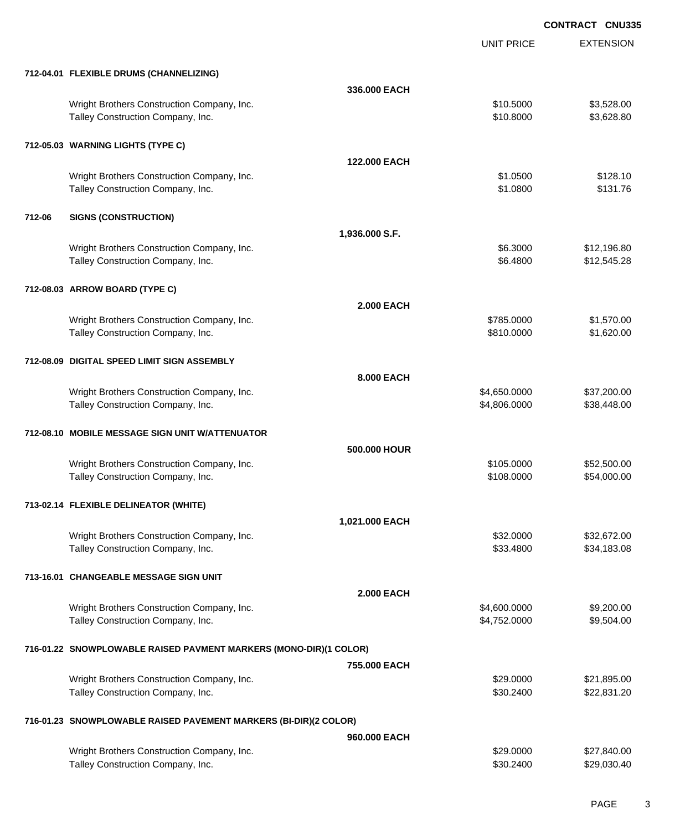|        |                                                                                 |                   | <b>UNIT PRICE</b>      | <b>EXTENSION</b>           |
|--------|---------------------------------------------------------------------------------|-------------------|------------------------|----------------------------|
|        | 712-04.01 FLEXIBLE DRUMS (CHANNELIZING)                                         |                   |                        |                            |
|        |                                                                                 | 336,000 EACH      |                        |                            |
|        | Wright Brothers Construction Company, Inc.<br>Talley Construction Company, Inc. |                   | \$10.5000<br>\$10.8000 | \$3,528.00<br>\$3,628.80   |
|        | 712-05.03 WARNING LIGHTS (TYPE C)                                               |                   |                        |                            |
|        |                                                                                 | 122,000 EACH      |                        |                            |
|        | Wright Brothers Construction Company, Inc.<br>Talley Construction Company, Inc. |                   | \$1.0500<br>\$1.0800   | \$128.10<br>\$131.76       |
| 712-06 | <b>SIGNS (CONSTRUCTION)</b>                                                     |                   |                        |                            |
|        |                                                                                 | 1,936.000 S.F.    |                        |                            |
|        | Wright Brothers Construction Company, Inc.<br>Talley Construction Company, Inc. |                   | \$6.3000<br>\$6.4800   | \$12,196.80<br>\$12,545.28 |
|        | 712-08.03 ARROW BOARD (TYPE C)                                                  |                   |                        |                            |
|        |                                                                                 | <b>2.000 EACH</b> |                        |                            |
|        | Wright Brothers Construction Company, Inc.                                      |                   | \$785.0000             | \$1,570.00                 |
|        | Talley Construction Company, Inc.                                               |                   | \$810.0000             | \$1,620.00                 |
|        | 712-08.09 DIGITAL SPEED LIMIT SIGN ASSEMBLY                                     |                   |                        |                            |
|        |                                                                                 | 8.000 EACH        |                        |                            |
|        | Wright Brothers Construction Company, Inc.                                      |                   | \$4,650.0000           | \$37,200.00                |
|        | Talley Construction Company, Inc.                                               |                   | \$4,806.0000           | \$38,448.00                |
|        | 712-08.10 MOBILE MESSAGE SIGN UNIT W/ATTENUATOR                                 |                   |                        |                            |
|        |                                                                                 | 500,000 HOUR      |                        |                            |
|        | Wright Brothers Construction Company, Inc.                                      |                   | \$105.0000             | \$52,500.00                |
|        | Talley Construction Company, Inc.                                               |                   | \$108.0000             | \$54,000.00                |
|        | 713-02.14 FLEXIBLE DELINEATOR (WHITE)                                           |                   |                        |                            |
|        |                                                                                 | 1,021.000 EACH    |                        |                            |
|        | Wright Brothers Construction Company, Inc.                                      |                   | \$32.0000              | \$32,672.00                |
|        | Talley Construction Company, Inc.                                               |                   | \$33.4800              | \$34,183.08                |
|        | 713-16.01 CHANGEABLE MESSAGE SIGN UNIT                                          |                   |                        |                            |
|        |                                                                                 | <b>2.000 EACH</b> |                        |                            |
|        | Wright Brothers Construction Company, Inc.                                      |                   | \$4,600.0000           | \$9,200.00                 |
|        | Talley Construction Company, Inc.                                               |                   | \$4,752.0000           | \$9,504.00                 |
|        | 716-01.22 SNOWPLOWABLE RAISED PAVMENT MARKERS (MONO-DIR)(1 COLOR)               |                   |                        |                            |
|        |                                                                                 | 755.000 EACH      |                        |                            |
|        | Wright Brothers Construction Company, Inc.                                      |                   | \$29.0000              | \$21,895.00                |
|        | Talley Construction Company, Inc.                                               |                   | \$30.2400              | \$22,831.20                |
|        | 716-01.23 SNOWPLOWABLE RAISED PAVEMENT MARKERS (BI-DIR)(2 COLOR)                |                   |                        |                            |
|        |                                                                                 | 960.000 EACH      |                        |                            |
|        | Wright Brothers Construction Company, Inc.                                      |                   | \$29.0000              | \$27,840.00                |
|        | Talley Construction Company, Inc.                                               |                   | \$30.2400              | \$29,030.40                |
|        |                                                                                 |                   |                        |                            |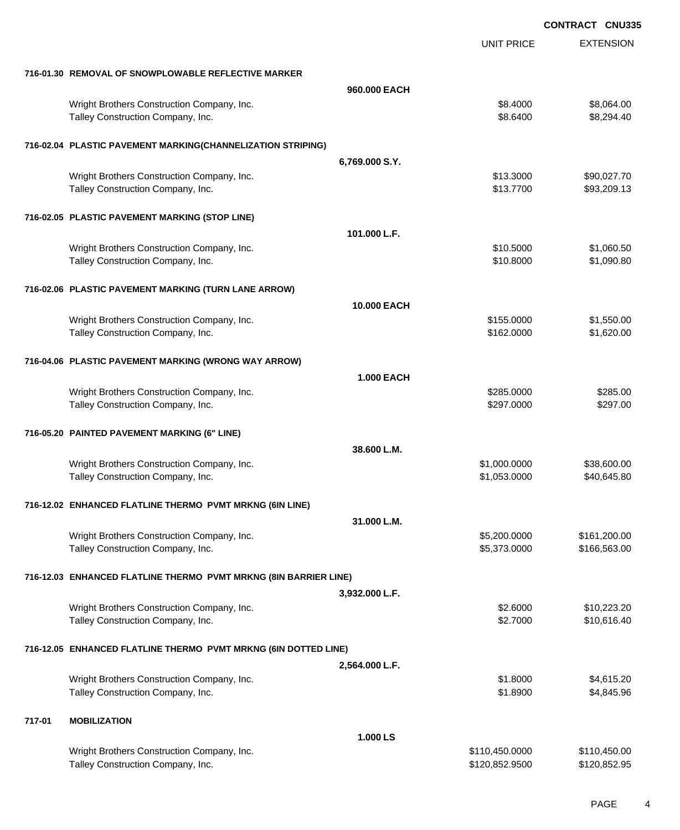|        |                                                                  |                   |                   | <b>CONTRACT CNU335</b> |
|--------|------------------------------------------------------------------|-------------------|-------------------|------------------------|
|        |                                                                  |                   | <b>UNIT PRICE</b> | <b>EXTENSION</b>       |
|        | 716-01.30 REMOVAL OF SNOWPLOWABLE REFLECTIVE MARKER              |                   |                   |                        |
|        |                                                                  | 960,000 EACH      |                   |                        |
|        | Wright Brothers Construction Company, Inc.                       |                   | \$8.4000          | \$8,064.00             |
|        | Talley Construction Company, Inc.                                |                   | \$8.6400          | \$8,294.40             |
|        | 716-02.04 PLASTIC PAVEMENT MARKING(CHANNELIZATION STRIPING)      |                   |                   |                        |
|        |                                                                  | 6,769.000 S.Y.    |                   |                        |
|        | Wright Brothers Construction Company, Inc.                       |                   | \$13.3000         | \$90,027.70            |
|        | Talley Construction Company, Inc.                                |                   | \$13.7700         | \$93,209.13            |
|        | 716-02.05 PLASTIC PAVEMENT MARKING (STOP LINE)                   |                   |                   |                        |
|        |                                                                  | 101.000 L.F.      |                   |                        |
|        | Wright Brothers Construction Company, Inc.                       |                   | \$10.5000         | \$1,060.50             |
|        | Talley Construction Company, Inc.                                |                   | \$10.8000         | \$1,090.80             |
|        | 716-02.06 PLASTIC PAVEMENT MARKING (TURN LANE ARROW)             |                   |                   |                        |
|        |                                                                  | 10.000 EACH       |                   |                        |
|        | Wright Brothers Construction Company, Inc.                       |                   | \$155.0000        | \$1,550.00             |
|        | Talley Construction Company, Inc.                                |                   | \$162.0000        | \$1,620.00             |
|        | 716-04.06 PLASTIC PAVEMENT MARKING (WRONG WAY ARROW)             |                   |                   |                        |
|        |                                                                  | <b>1.000 EACH</b> |                   |                        |
|        | Wright Brothers Construction Company, Inc.                       |                   | \$285.0000        | \$285.00               |
|        | Talley Construction Company, Inc.                                |                   | \$297.0000        | \$297.00               |
|        | 716-05.20 PAINTED PAVEMENT MARKING (6" LINE)                     |                   |                   |                        |
|        |                                                                  | 38.600 L.M.       |                   |                        |
|        | Wright Brothers Construction Company, Inc.                       |                   | \$1,000.0000      | \$38,600.00            |
|        | Talley Construction Company, Inc.                                |                   | \$1,053.0000      | \$40,645.80            |
|        | 716-12.02 ENHANCED FLATLINE THERMO PVMT MRKNG (6IN LINE)         |                   |                   |                        |
|        |                                                                  | 31.000 L.M.       |                   |                        |
|        | Wright Brothers Construction Company, Inc.                       |                   | \$5,200.0000      | \$161,200.00           |
|        | Talley Construction Company, Inc.                                |                   | \$5,373.0000      | \$166,563.00           |
|        | 716-12.03 ENHANCED FLATLINE THERMO PVMT MRKNG (8IN BARRIER LINE) |                   |                   |                        |
|        |                                                                  | 3,932.000 L.F.    |                   |                        |
|        | Wright Brothers Construction Company, Inc.                       |                   | \$2.6000          | \$10,223.20            |
|        | Talley Construction Company, Inc.                                |                   | \$2.7000          | \$10,616.40            |
|        | 716-12.05 ENHANCED FLATLINE THERMO PVMT MRKNG (6IN DOTTED LINE)  |                   |                   |                        |
|        |                                                                  | 2,564.000 L.F.    |                   |                        |
|        | Wright Brothers Construction Company, Inc.                       |                   | \$1.8000          | \$4,615.20             |
|        | Talley Construction Company, Inc.                                |                   | \$1.8900          | \$4,845.96             |
| 717-01 | <b>MOBILIZATION</b>                                              |                   |                   |                        |
|        |                                                                  | 1.000 LS          |                   |                        |
|        | Wright Brothers Construction Company, Inc.                       |                   | \$110,450.0000    | \$110,450.00           |
|        | Talley Construction Company, Inc.                                |                   | \$120,852.9500    | \$120,852.95           |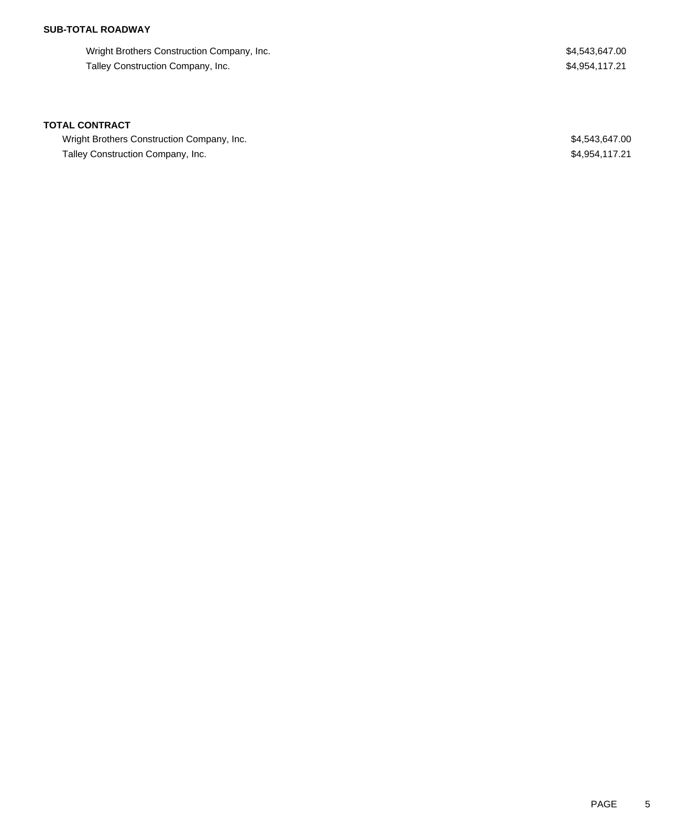## **SUB-TOTAL ROADWAY**

Wright Brothers Construction Company, Inc. 64,543,647.00 Talley Construction Company, Inc. 64,954,117.21

#### **TOTAL CONTRACT**

Wright Brothers Construction Company, Inc. 6. The Second State of the State of State State State State State State State State State State State State State State State State State State State State State State State State Talley Construction Company, Inc. **Example 20** and the state of the state of the state of the state  $$4,954,117.21$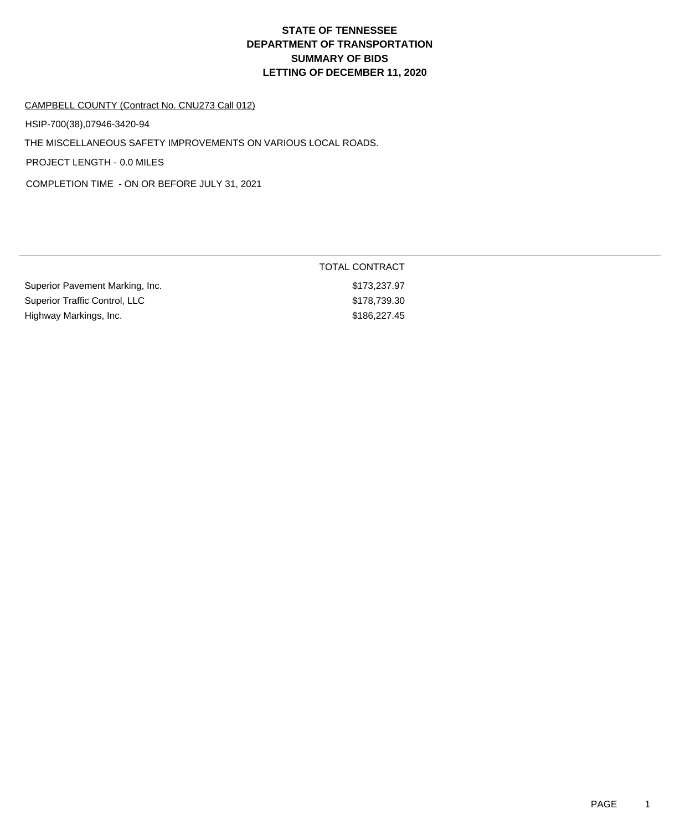# **DEPARTMENT OF TRANSPORTATION SUMMARY OF BIDS LETTING OF DECEMBER 11, 2020 STATE OF TENNESSEE**

#### CAMPBELL COUNTY (Contract No. CNU273 Call 012)

HSIP-700(38),07946-3420-94

THE MISCELLANEOUS SAFETY IMPROVEMENTS ON VARIOUS LOCAL ROADS.

PROJECT LENGTH - 0.0 MILES

COMPLETION TIME - ON OR BEFORE JULY 31, 2021

|                                 | <b>TOTAL CONTRACT</b> |
|---------------------------------|-----------------------|
| Superior Pavement Marking, Inc. | \$173,237.97          |
| Superior Traffic Control, LLC   | \$178,739.30          |
| Highway Markings, Inc.          | \$186,227.45          |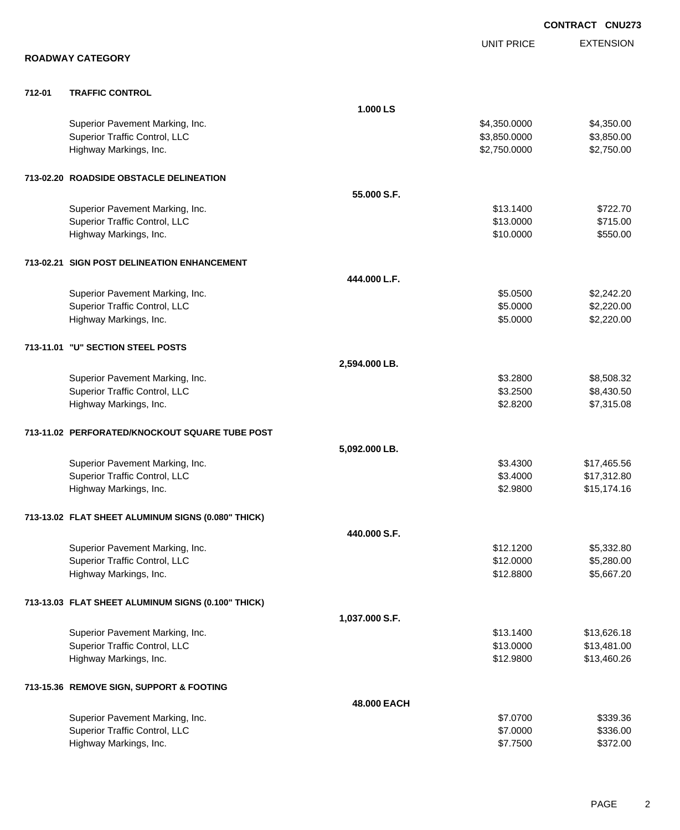|        |                                                    |                |                   | <b>CONTRACT CNU273</b> |
|--------|----------------------------------------------------|----------------|-------------------|------------------------|
|        |                                                    |                | <b>UNIT PRICE</b> | <b>EXTENSION</b>       |
|        | <b>ROADWAY CATEGORY</b>                            |                |                   |                        |
| 712-01 | <b>TRAFFIC CONTROL</b>                             |                |                   |                        |
|        |                                                    | 1.000 LS       |                   |                        |
|        | Superior Pavement Marking, Inc.                    |                | \$4,350.0000      | \$4,350.00             |
|        | Superior Traffic Control, LLC                      |                | \$3,850.0000      | \$3,850.00             |
|        | Highway Markings, Inc.                             |                | \$2,750.0000      | \$2,750.00             |
|        | 713-02.20 ROADSIDE OBSTACLE DELINEATION            |                |                   |                        |
|        |                                                    | 55.000 S.F.    |                   |                        |
|        | Superior Pavement Marking, Inc.                    |                | \$13.1400         | \$722.70               |
|        | Superior Traffic Control, LLC                      |                | \$13.0000         | \$715.00               |
|        | Highway Markings, Inc.                             |                | \$10.0000         | \$550.00               |
|        | 713-02.21 SIGN POST DELINEATION ENHANCEMENT        |                |                   |                        |
|        |                                                    | 444.000 L.F.   |                   |                        |
|        | Superior Pavement Marking, Inc.                    |                | \$5.0500          | \$2,242.20             |
|        | Superior Traffic Control, LLC                      |                | \$5.0000          | \$2,220.00             |
|        | Highway Markings, Inc.                             |                | \$5.0000          | \$2,220.00             |
|        | 713-11.01 "U" SECTION STEEL POSTS                  |                |                   |                        |
|        |                                                    | 2,594.000 LB.  |                   |                        |
|        | Superior Pavement Marking, Inc.                    |                | \$3.2800          | \$8,508.32             |
|        | Superior Traffic Control, LLC                      |                | \$3.2500          | \$8,430.50             |
|        | Highway Markings, Inc.                             |                | \$2.8200          | \$7,315.08             |
|        | 713-11.02 PERFORATED/KNOCKOUT SQUARE TUBE POST     |                |                   |                        |
|        |                                                    | 5,092.000 LB.  |                   |                        |
|        | Superior Pavement Marking, Inc.                    |                | \$3.4300          | \$17,465.56            |
|        | Superior Traffic Control, LLC                      |                | \$3.4000          | \$17,312.80            |
|        | Highway Markings, Inc.                             |                | \$2.9800          | \$15,174.16            |
|        | 713-13.02 FLAT SHEET ALUMINUM SIGNS (0.080" THICK) |                |                   |                        |
|        |                                                    | 440.000 S.F.   |                   |                        |
|        | Superior Pavement Marking, Inc.                    |                | \$12.1200         | \$5,332.80             |
|        | Superior Traffic Control, LLC                      |                | \$12.0000         | \$5,280.00             |
|        | Highway Markings, Inc.                             |                | \$12.8800         | \$5,667.20             |
|        | 713-13.03 FLAT SHEET ALUMINUM SIGNS (0.100" THICK) |                |                   |                        |
|        |                                                    | 1,037.000 S.F. |                   |                        |
|        | Superior Pavement Marking, Inc.                    |                | \$13.1400         | \$13,626.18            |
|        | Superior Traffic Control, LLC                      |                | \$13.0000         | \$13,481.00            |
|        | Highway Markings, Inc.                             |                | \$12.9800         | \$13,460.26            |
|        | 713-15.36 REMOVE SIGN, SUPPORT & FOOTING           |                |                   |                        |
|        |                                                    | 48.000 EACH    |                   |                        |
|        | Superior Pavement Marking, Inc.                    |                | \$7.0700          | \$339.36               |
|        | Superior Traffic Control, LLC                      |                | \$7.0000          | \$336.00               |
|        | Highway Markings, Inc.                             |                | \$7.7500          | \$372.00               |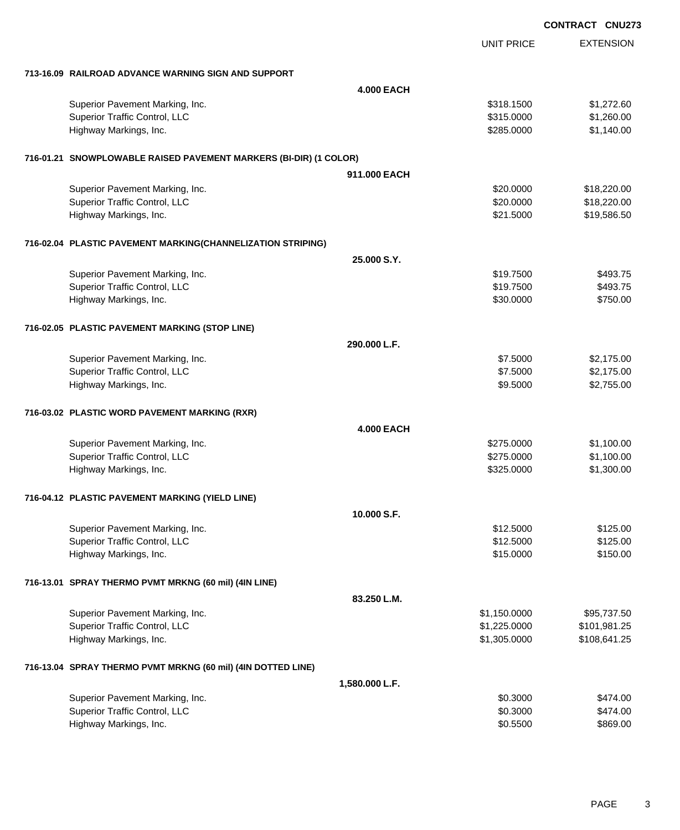|                                                                   |                   |                   | <b>CONTRACT CNU273</b> |
|-------------------------------------------------------------------|-------------------|-------------------|------------------------|
|                                                                   |                   | <b>UNIT PRICE</b> | <b>EXTENSION</b>       |
| 713-16.09 RAILROAD ADVANCE WARNING SIGN AND SUPPORT               |                   |                   |                        |
|                                                                   | <b>4.000 EACH</b> |                   |                        |
| Superior Pavement Marking, Inc.                                   |                   | \$318.1500        | \$1,272.60             |
| Superior Traffic Control, LLC                                     |                   | \$315.0000        | \$1,260.00             |
| Highway Markings, Inc.                                            |                   | \$285.0000        | \$1,140.00             |
| 716-01.21 SNOWPLOWABLE RAISED PAVEMENT MARKERS (BI-DIR) (1 COLOR) |                   |                   |                        |
|                                                                   | 911,000 EACH      |                   |                        |
| Superior Pavement Marking, Inc.                                   |                   | \$20.0000         | \$18,220.00            |
| Superior Traffic Control, LLC                                     |                   | \$20.0000         | \$18,220.00            |
| Highway Markings, Inc.                                            |                   | \$21.5000         | \$19,586.50            |
| 716-02.04 PLASTIC PAVEMENT MARKING(CHANNELIZATION STRIPING)       |                   |                   |                        |
|                                                                   | 25.000 S.Y.       |                   |                        |
| Superior Pavement Marking, Inc.                                   |                   | \$19.7500         | \$493.75               |
| Superior Traffic Control, LLC                                     |                   | \$19.7500         | \$493.75               |
| Highway Markings, Inc.                                            |                   | \$30.0000         | \$750.00               |
| 716-02.05 PLASTIC PAVEMENT MARKING (STOP LINE)                    |                   |                   |                        |
|                                                                   | 290,000 L.F.      |                   |                        |
| Superior Pavement Marking, Inc.                                   |                   | \$7.5000          | \$2,175.00             |
| <b>Superior Traffic Control, LLC</b>                              |                   | \$7.5000          | \$2,175.00             |
| Highway Markings, Inc.                                            |                   | \$9.5000          | \$2,755.00             |
| 716-03.02 PLASTIC WORD PAVEMENT MARKING (RXR)                     |                   |                   |                        |
|                                                                   | <b>4.000 EACH</b> |                   |                        |
| Superior Pavement Marking, Inc.                                   |                   | \$275.0000        | \$1,100.00             |
| <b>Superior Traffic Control, LLC</b>                              |                   | \$275.0000        | \$1,100.00             |
| Highway Markings, Inc.                                            |                   | \$325.0000        | \$1,300.00             |
| 716-04.12 PLASTIC PAVEMENT MARKING (YIELD LINE)                   |                   |                   |                        |
|                                                                   | 10.000 S.F.       |                   |                        |
| Superior Pavement Marking, Inc.                                   |                   | \$12.5000         | \$125.00               |
| <b>Superior Traffic Control, LLC</b>                              |                   | \$12.5000         | \$125.00               |
| Highway Markings, Inc.                                            |                   | \$15.0000         | \$150.00               |
| 716-13.01 SPRAY THERMO PVMT MRKNG (60 mil) (4IN LINE)             |                   |                   |                        |
|                                                                   | 83.250 L.M.       |                   |                        |
| Superior Pavement Marking, Inc.                                   |                   | \$1,150.0000      | \$95,737.50            |
| Superior Traffic Control, LLC                                     |                   | \$1,225.0000      | \$101,981.25           |
| Highway Markings, Inc.                                            |                   | \$1,305.0000      | \$108,641.25           |
| 716-13.04 SPRAY THERMO PVMT MRKNG (60 mil) (4IN DOTTED LINE)      |                   |                   |                        |
|                                                                   | 1,580.000 L.F.    |                   |                        |
| Superior Pavement Marking, Inc.                                   |                   | \$0.3000          | \$474.00               |
| Superior Traffic Control, LLC                                     |                   | \$0.3000          | \$474.00               |
| Highway Markings, Inc.                                            |                   | \$0.5500          | \$869.00               |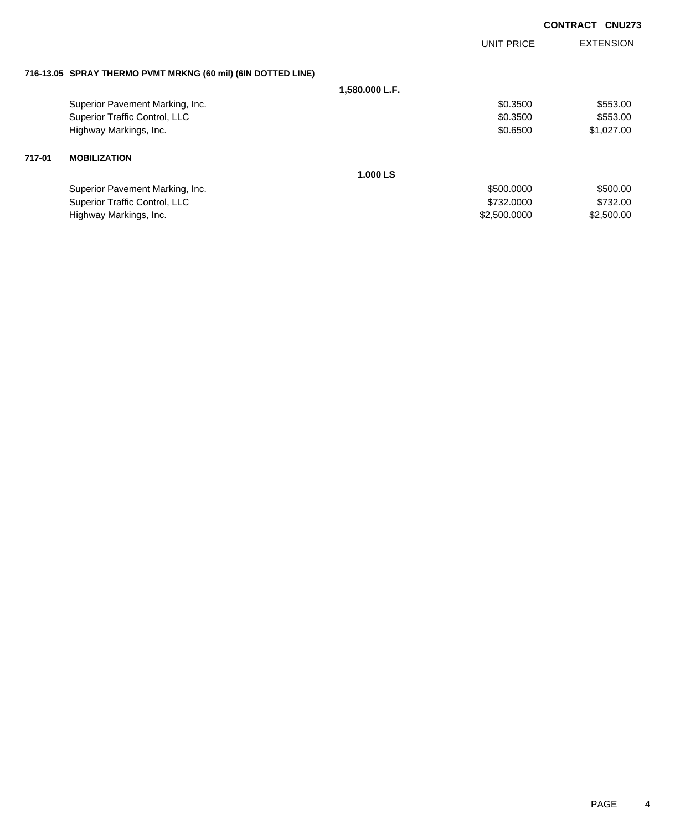|        |                                                              |                | UNIT PRICE   | <b>EXTENSION</b> |
|--------|--------------------------------------------------------------|----------------|--------------|------------------|
|        | 716-13.05 SPRAY THERMO PVMT MRKNG (60 mil) (6IN DOTTED LINE) |                |              |                  |
|        |                                                              | 1,580.000 L.F. |              |                  |
|        | Superior Pavement Marking, Inc.                              |                | \$0.3500     | \$553.00         |
|        | Superior Traffic Control, LLC                                |                | \$0.3500     | \$553.00         |
|        | Highway Markings, Inc.                                       |                | \$0.6500     | \$1,027.00       |
| 717-01 | <b>MOBILIZATION</b>                                          |                |              |                  |
|        |                                                              | 1.000 LS       |              |                  |
|        | Superior Pavement Marking, Inc.                              |                | \$500,0000   | \$500.00         |
|        | Superior Traffic Control, LLC                                |                | \$732,0000   | \$732.00         |
|        | Highway Markings, Inc.                                       |                | \$2,500.0000 | \$2,500.00       |
|        |                                                              |                |              |                  |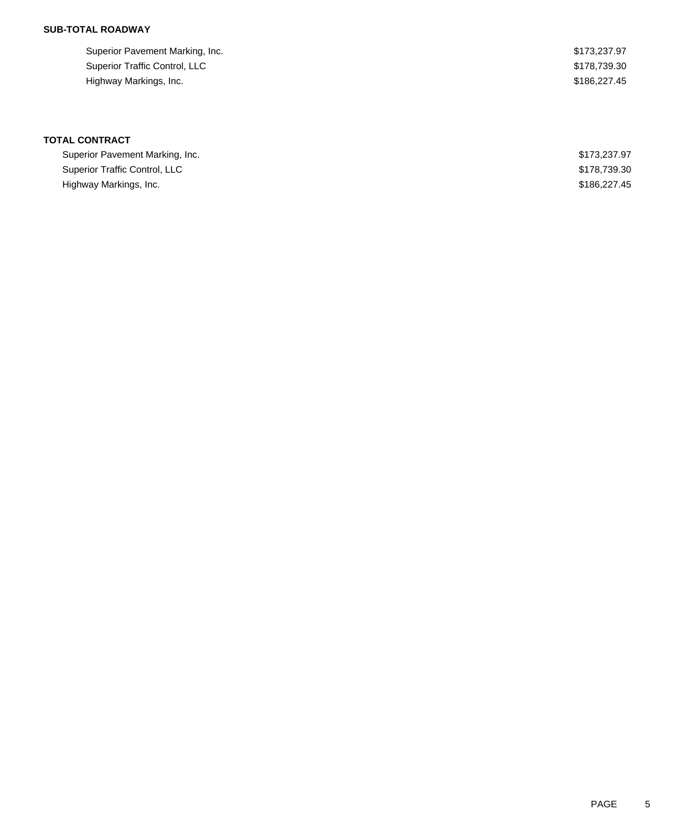## **SUB-TOTAL ROADWAY**

| Superior Pavement Marking, Inc. | \$173.237.97 |
|---------------------------------|--------------|
| Superior Traffic Control, LLC   | \$178.739.30 |
| Highway Markings, Inc.          | \$186,227.45 |

| Superior Pavement Marking, Inc. | \$173,237.97 |
|---------------------------------|--------------|
| Superior Traffic Control, LLC   | \$178,739,30 |
| Highway Markings, Inc.          | \$186,227,45 |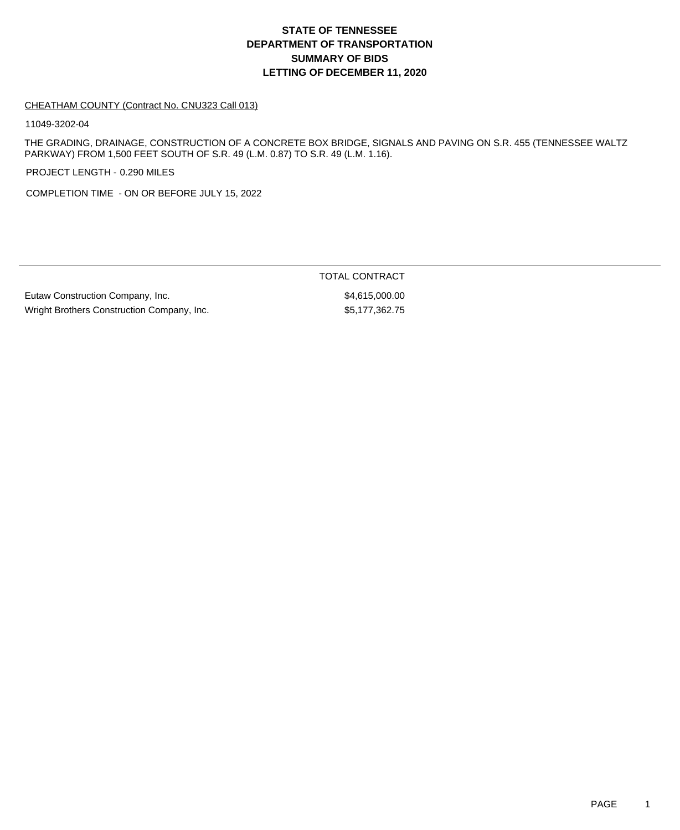## **DEPARTMENT OF TRANSPORTATION SUMMARY OF BIDS LETTING OF DECEMBER 11, 2020 STATE OF TENNESSEE**

#### CHEATHAM COUNTY (Contract No. CNU323 Call 013)

11049-3202-04

THE GRADING, DRAINAGE, CONSTRUCTION OF A CONCRETE BOX BRIDGE, SIGNALS AND PAVING ON S.R. 455 (TENNESSEE WALTZ PARKWAY) FROM 1,500 FEET SOUTH OF S.R. 49 (L.M. 0.87) TO S.R. 49 (L.M. 1.16).

PROJECT LENGTH - 0.290 MILES

COMPLETION TIME - ON OR BEFORE JULY 15, 2022

Eutaw Construction Company, Inc. 6. The set of the set of the set of the set of the set of the set of the set of the set of the set of the set of the set of the set of the set of the set of the set of the set of the set of Wright Brothers Construction Company, Inc.  $$5,177,362.75$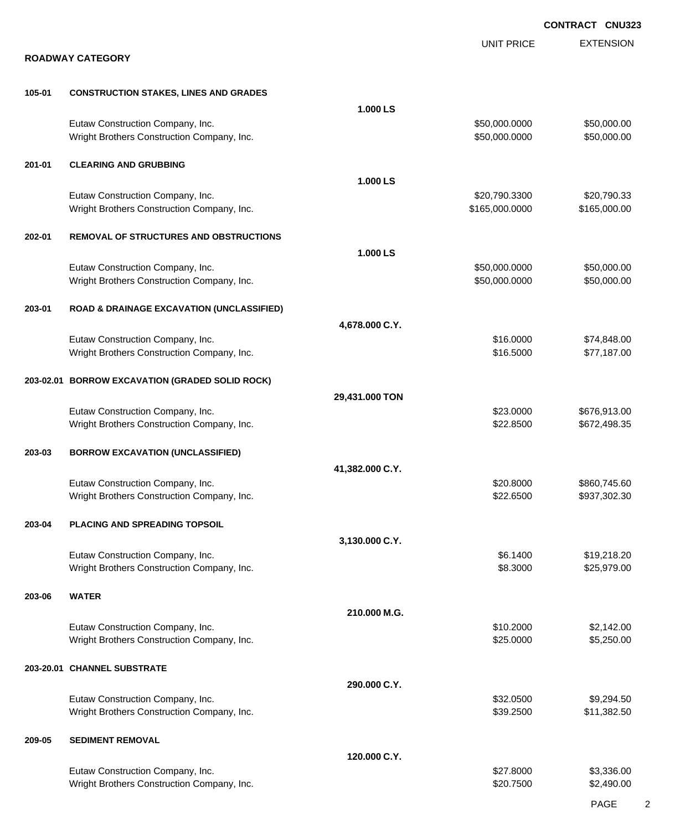|        |                                                                                |                 |                                 | <b>CONTRACT CNU323</b>       |
|--------|--------------------------------------------------------------------------------|-----------------|---------------------------------|------------------------------|
|        | <b>ROADWAY CATEGORY</b>                                                        |                 | <b>UNIT PRICE</b>               | <b>EXTENSION</b>             |
|        |                                                                                |                 |                                 |                              |
| 105-01 | <b>CONSTRUCTION STAKES, LINES AND GRADES</b>                                   |                 |                                 |                              |
|        |                                                                                | 1.000 LS        |                                 |                              |
|        | Eutaw Construction Company, Inc.<br>Wright Brothers Construction Company, Inc. |                 | \$50,000.0000<br>\$50,000.0000  | \$50,000.00<br>\$50,000.00   |
| 201-01 | <b>CLEARING AND GRUBBING</b>                                                   |                 |                                 |                              |
|        |                                                                                | 1.000 LS        |                                 |                              |
|        | Eutaw Construction Company, Inc.<br>Wright Brothers Construction Company, Inc. |                 | \$20,790.3300<br>\$165,000.0000 | \$20,790.33<br>\$165,000.00  |
| 202-01 | <b>REMOVAL OF STRUCTURES AND OBSTRUCTIONS</b>                                  |                 |                                 |                              |
|        |                                                                                | 1.000 LS        |                                 |                              |
|        | Eutaw Construction Company, Inc.                                               |                 | \$50,000.0000                   | \$50,000.00                  |
|        | Wright Brothers Construction Company, Inc.                                     |                 | \$50,000.0000                   | \$50,000.00                  |
| 203-01 | <b>ROAD &amp; DRAINAGE EXCAVATION (UNCLASSIFIED)</b>                           |                 |                                 |                              |
|        |                                                                                | 4,678.000 C.Y.  |                                 |                              |
|        | Eutaw Construction Company, Inc.                                               |                 | \$16.0000                       | \$74,848.00                  |
|        | Wright Brothers Construction Company, Inc.                                     |                 | \$16.5000                       | \$77,187.00                  |
|        | 203-02.01 BORROW EXCAVATION (GRADED SOLID ROCK)                                |                 |                                 |                              |
|        |                                                                                | 29,431.000 TON  |                                 |                              |
|        | Eutaw Construction Company, Inc.                                               |                 | \$23.0000                       | \$676,913.00                 |
|        | Wright Brothers Construction Company, Inc.                                     |                 | \$22.8500                       | \$672,498.35                 |
| 203-03 | <b>BORROW EXCAVATION (UNCLASSIFIED)</b>                                        | 41,382.000 C.Y. |                                 |                              |
|        |                                                                                |                 |                                 |                              |
|        | Eutaw Construction Company, Inc.<br>Wright Brothers Construction Company, Inc. |                 | \$20.8000<br>\$22.6500          | \$860,745.60<br>\$937,302.30 |
|        |                                                                                |                 |                                 |                              |
| 203-04 | PLACING AND SPREADING TOPSOIL                                                  |                 |                                 |                              |
|        |                                                                                | 3,130.000 C.Y.  |                                 |                              |
|        | Eutaw Construction Company, Inc.                                               |                 | \$6.1400                        | \$19,218.20                  |
|        | Wright Brothers Construction Company, Inc.                                     |                 | \$8.3000                        | \$25,979.00                  |
| 203-06 | <b>WATER</b>                                                                   |                 |                                 |                              |
|        |                                                                                | 210.000 M.G.    |                                 |                              |
|        | Eutaw Construction Company, Inc.                                               |                 | \$10.2000                       | \$2,142.00                   |
|        | Wright Brothers Construction Company, Inc.                                     |                 | \$25.0000                       | \$5,250.00                   |
|        | 203-20.01 CHANNEL SUBSTRATE                                                    |                 |                                 |                              |
|        |                                                                                | 290.000 C.Y.    |                                 |                              |
|        | Eutaw Construction Company, Inc.                                               |                 | \$32.0500                       | \$9,294.50                   |
|        | Wright Brothers Construction Company, Inc.                                     |                 | \$39.2500                       | \$11,382.50                  |
| 209-05 | <b>SEDIMENT REMOVAL</b>                                                        | 120.000 C.Y.    |                                 |                              |
|        |                                                                                |                 |                                 |                              |
|        | Eutaw Construction Company, Inc.<br>Wright Brothers Construction Company, Inc. |                 | \$27.8000<br>\$20.7500          | \$3,336.00<br>\$2,490.00     |
|        |                                                                                |                 |                                 |                              |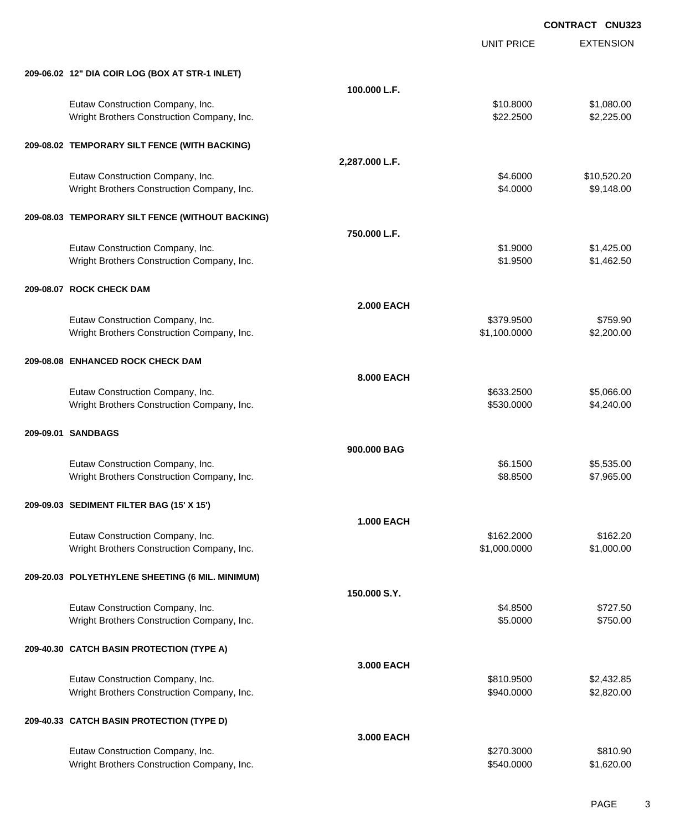|                                                  |                   | <b>UNIT PRICE</b> | <b>EXTENSION</b> |
|--------------------------------------------------|-------------------|-------------------|------------------|
| 209-06.02 12" DIA COIR LOG (BOX AT STR-1 INLET)  |                   |                   |                  |
|                                                  | 100.000 L.F.      |                   |                  |
| Eutaw Construction Company, Inc.                 |                   | \$10.8000         | \$1,080.00       |
| Wright Brothers Construction Company, Inc.       |                   | \$22.2500         | \$2,225.00       |
| 209-08.02 TEMPORARY SILT FENCE (WITH BACKING)    |                   |                   |                  |
|                                                  | 2,287.000 L.F.    |                   |                  |
| Eutaw Construction Company, Inc.                 |                   | \$4.6000          | \$10,520.20      |
| Wright Brothers Construction Company, Inc.       |                   | \$4.0000          | \$9,148.00       |
| 209-08.03 TEMPORARY SILT FENCE (WITHOUT BACKING) |                   |                   |                  |
|                                                  | 750,000 L.F.      |                   |                  |
| Eutaw Construction Company, Inc.                 |                   | \$1.9000          | \$1,425.00       |
| Wright Brothers Construction Company, Inc.       |                   | \$1.9500          | \$1,462.50       |
| 209-08.07 ROCK CHECK DAM                         |                   |                   |                  |
|                                                  | <b>2.000 EACH</b> |                   |                  |
| Eutaw Construction Company, Inc.                 |                   | \$379.9500        | \$759.90         |
| Wright Brothers Construction Company, Inc.       |                   | \$1,100.0000      | \$2,200.00       |
| 209-08.08 ENHANCED ROCK CHECK DAM                |                   |                   |                  |
|                                                  | 8.000 EACH        |                   |                  |
| Eutaw Construction Company, Inc.                 |                   | \$633.2500        | \$5,066.00       |
| Wright Brothers Construction Company, Inc.       |                   | \$530.0000        | \$4,240.00       |
| 209-09.01 SANDBAGS                               |                   |                   |                  |
|                                                  | 900,000 BAG       |                   |                  |
| Eutaw Construction Company, Inc.                 |                   | \$6.1500          | \$5,535.00       |
| Wright Brothers Construction Company, Inc.       |                   | \$8.8500          | \$7,965.00       |
| 209-09.03 SEDIMENT FILTER BAG (15' X 15')        |                   |                   |                  |
|                                                  | <b>1.000 EACH</b> |                   |                  |
| Eutaw Construction Company, Inc.                 |                   | \$162.2000        | \$162.20         |
| Wright Brothers Construction Company, Inc.       |                   | \$1,000.0000      | \$1,000.00       |
| 209-20.03 POLYETHYLENE SHEETING (6 MIL. MINIMUM) |                   |                   |                  |
|                                                  | 150,000 S.Y.      |                   |                  |
| Eutaw Construction Company, Inc.                 |                   | \$4.8500          | \$727.50         |
| Wright Brothers Construction Company, Inc.       |                   | \$5.0000          | \$750.00         |
| 209-40.30 CATCH BASIN PROTECTION (TYPE A)        |                   |                   |                  |
|                                                  | 3.000 EACH        |                   |                  |
| Eutaw Construction Company, Inc.                 |                   | \$810.9500        | \$2,432.85       |
| Wright Brothers Construction Company, Inc.       |                   | \$940.0000        | \$2,820.00       |
| 209-40.33 CATCH BASIN PROTECTION (TYPE D)        |                   |                   |                  |
|                                                  | 3.000 EACH        |                   |                  |
| Eutaw Construction Company, Inc.                 |                   | \$270.3000        | \$810.90         |
| Wright Brothers Construction Company, Inc.       |                   | \$540.0000        | \$1,620.00       |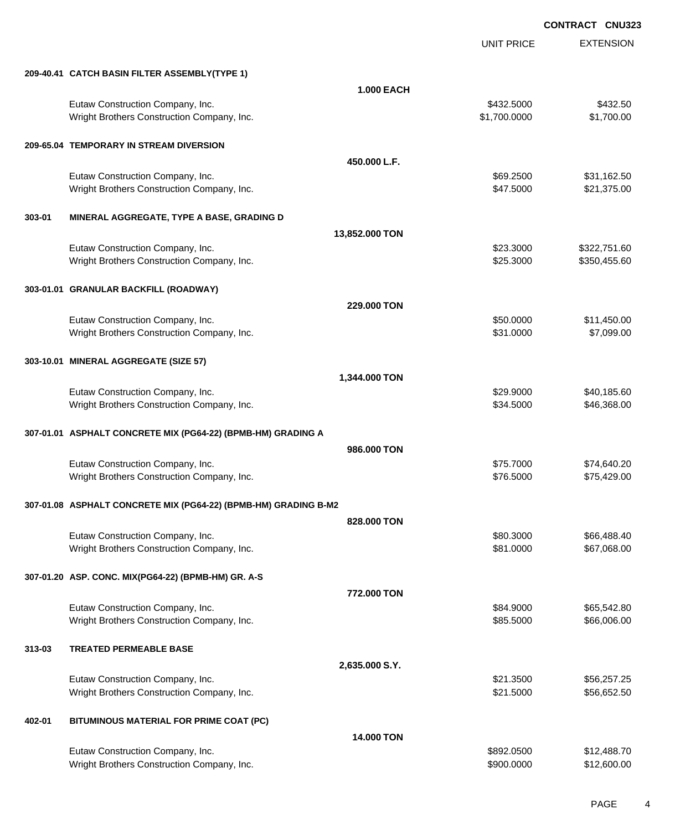|        |                                                                   | UNIT PRICE        | <b>EXTENSION</b> |
|--------|-------------------------------------------------------------------|-------------------|------------------|
|        | 209-40.41 CATCH BASIN FILTER ASSEMBLY(TYPE 1)                     |                   |                  |
|        |                                                                   | <b>1.000 EACH</b> |                  |
|        | Eutaw Construction Company, Inc.                                  | \$432.5000        | \$432.50         |
|        | Wright Brothers Construction Company, Inc.                        | \$1,700.0000      | \$1,700.00       |
|        | 209-65.04 TEMPORARY IN STREAM DIVERSION                           |                   |                  |
|        | 450.000 L.F.                                                      |                   |                  |
|        | Eutaw Construction Company, Inc.                                  | \$69.2500         | \$31,162.50      |
|        | Wright Brothers Construction Company, Inc.                        | \$47.5000         | \$21,375.00      |
| 303-01 | MINERAL AGGREGATE, TYPE A BASE, GRADING D                         |                   |                  |
|        | 13,852.000 TON                                                    |                   |                  |
|        | Eutaw Construction Company, Inc.                                  | \$23.3000         | \$322,751.60     |
|        | Wright Brothers Construction Company, Inc.                        | \$25.3000         | \$350,455.60     |
|        | 303-01.01 GRANULAR BACKFILL (ROADWAY)                             |                   |                  |
|        | 229,000 TON                                                       |                   |                  |
|        | Eutaw Construction Company, Inc.                                  | \$50.0000         | \$11,450.00      |
|        | Wright Brothers Construction Company, Inc.                        | \$31.0000         | \$7,099.00       |
|        | 303-10.01 MINERAL AGGREGATE (SIZE 57)                             |                   |                  |
|        | 1,344.000 TON                                                     |                   |                  |
|        | Eutaw Construction Company, Inc.                                  | \$29.9000         | \$40,185.60      |
|        | Wright Brothers Construction Company, Inc.                        | \$34.5000         | \$46,368.00      |
|        | 307-01.01 ASPHALT CONCRETE MIX (PG64-22) (BPMB-HM) GRADING A      |                   |                  |
|        | 986,000 TON                                                       |                   |                  |
|        | Eutaw Construction Company, Inc.                                  | \$75.7000         | \$74,640.20      |
|        | Wright Brothers Construction Company, Inc.                        | \$76.5000         | \$75,429.00      |
|        | 307-01.08   ASPHALT CONCRETE MIX (PG64-22) (BPMB-HM) GRADING B-M2 |                   |                  |
|        | 828,000 TON                                                       |                   |                  |
|        | Eutaw Construction Company, Inc.                                  | \$80.3000         | \$66,488.40      |
|        | Wright Brothers Construction Company, Inc.                        | \$81.0000         | \$67,068.00      |
|        | 307-01.20 ASP. CONC. MIX(PG64-22) (BPMB-HM) GR. A-S               |                   |                  |
|        | 772.000 TON                                                       |                   |                  |
|        | Eutaw Construction Company, Inc.                                  | \$84.9000         | \$65,542.80      |
|        | Wright Brothers Construction Company, Inc.                        | \$85.5000         | \$66,006.00      |
| 313-03 | <b>TREATED PERMEABLE BASE</b>                                     |                   |                  |
|        | 2,635.000 S.Y.                                                    |                   |                  |
|        | Eutaw Construction Company, Inc.                                  | \$21.3500         | \$56,257.25      |
|        | Wright Brothers Construction Company, Inc.                        | \$21.5000         | \$56,652.50      |
| 402-01 | BITUMINOUS MATERIAL FOR PRIME COAT (PC)                           |                   |                  |
|        |                                                                   | 14.000 TON        |                  |
|        | Eutaw Construction Company, Inc.                                  | \$892.0500        | \$12,488.70      |
|        | Wright Brothers Construction Company, Inc.                        | \$900.0000        | \$12,600.00      |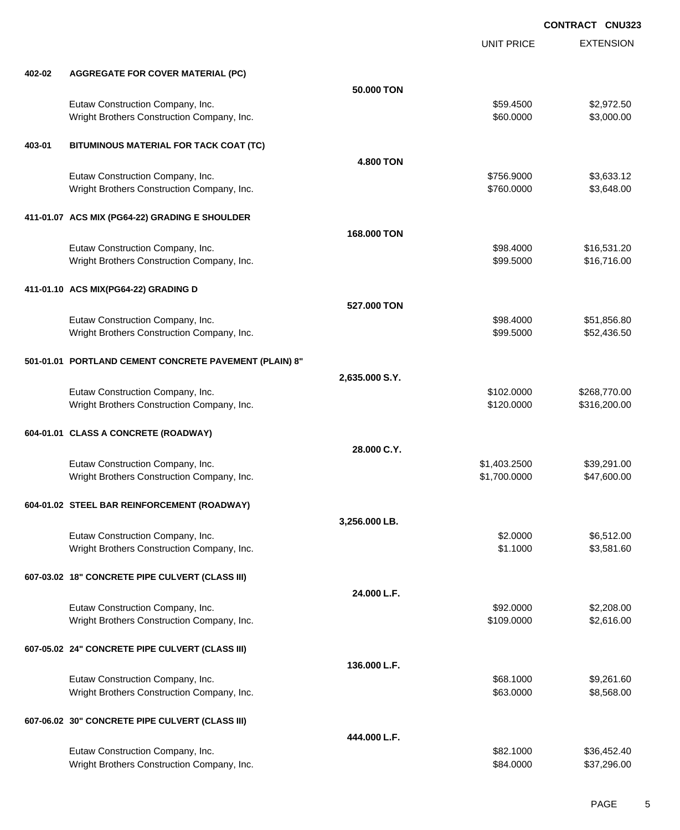|        |                                                        |                  | <b>UNIT PRICE</b> | <b>EXTENSION</b> |
|--------|--------------------------------------------------------|------------------|-------------------|------------------|
| 402-02 | <b>AGGREGATE FOR COVER MATERIAL (PC)</b>               |                  |                   |                  |
|        |                                                        | 50.000 TON       |                   |                  |
|        | Eutaw Construction Company, Inc.                       |                  | \$59.4500         | \$2,972.50       |
|        | Wright Brothers Construction Company, Inc.             |                  | \$60.0000         | \$3,000.00       |
| 403-01 | BITUMINOUS MATERIAL FOR TACK COAT (TC)                 |                  |                   |                  |
|        |                                                        | <b>4.800 TON</b> |                   |                  |
|        | Eutaw Construction Company, Inc.                       |                  | \$756.9000        | \$3,633.12       |
|        | Wright Brothers Construction Company, Inc.             |                  | \$760.0000        | \$3,648.00       |
|        | 411-01.07 ACS MIX (PG64-22) GRADING E SHOULDER         |                  |                   |                  |
|        |                                                        | 168,000 TON      |                   |                  |
|        | Eutaw Construction Company, Inc.                       |                  | \$98.4000         | \$16,531.20      |
|        | Wright Brothers Construction Company, Inc.             |                  | \$99.5000         | \$16,716.00      |
|        | 411-01.10 ACS MIX(PG64-22) GRADING D                   |                  |                   |                  |
|        |                                                        | 527,000 TON      |                   |                  |
|        | Eutaw Construction Company, Inc.                       |                  | \$98.4000         | \$51,856.80      |
|        | Wright Brothers Construction Company, Inc.             |                  | \$99.5000         | \$52,436.50      |
|        | 501-01.01 PORTLAND CEMENT CONCRETE PAVEMENT (PLAIN) 8" |                  |                   |                  |
|        |                                                        | 2,635.000 S.Y.   |                   |                  |
|        | Eutaw Construction Company, Inc.                       |                  | \$102.0000        | \$268,770.00     |
|        | Wright Brothers Construction Company, Inc.             |                  | \$120.0000        | \$316,200.00     |
|        | 604-01.01 CLASS A CONCRETE (ROADWAY)                   |                  |                   |                  |
|        |                                                        | 28.000 C.Y.      |                   |                  |
|        | Eutaw Construction Company, Inc.                       |                  | \$1,403.2500      | \$39,291.00      |
|        | Wright Brothers Construction Company, Inc.             |                  | \$1,700.0000      | \$47,600.00      |
|        | 604-01.02 STEEL BAR REINFORCEMENT (ROADWAY)            |                  |                   |                  |
|        |                                                        | 3,256.000 LB.    |                   |                  |
|        | Eutaw Construction Company, Inc.                       |                  | \$2.0000          | \$6,512.00       |
|        | Wright Brothers Construction Company, Inc.             |                  | \$1.1000          | \$3,581.60       |
|        | 607-03.02 18" CONCRETE PIPE CULVERT (CLASS III)        |                  |                   |                  |
|        |                                                        | 24.000 L.F.      |                   |                  |
|        | Eutaw Construction Company, Inc.                       |                  | \$92.0000         | \$2,208.00       |
|        | Wright Brothers Construction Company, Inc.             |                  | \$109.0000        | \$2,616.00       |
|        | 607-05.02 24" CONCRETE PIPE CULVERT (CLASS III)        |                  |                   |                  |
|        |                                                        | 136.000 L.F.     |                   |                  |
|        | Eutaw Construction Company, Inc.                       |                  | \$68.1000         | \$9,261.60       |
|        | Wright Brothers Construction Company, Inc.             |                  | \$63.0000         | \$8,568.00       |
|        | 607-06.02 30" CONCRETE PIPE CULVERT (CLASS III)        |                  |                   |                  |
|        |                                                        | 444.000 L.F.     |                   |                  |
|        | Eutaw Construction Company, Inc.                       |                  | \$82.1000         | \$36,452.40      |
|        | Wright Brothers Construction Company, Inc.             |                  | \$84.0000         | \$37,296.00      |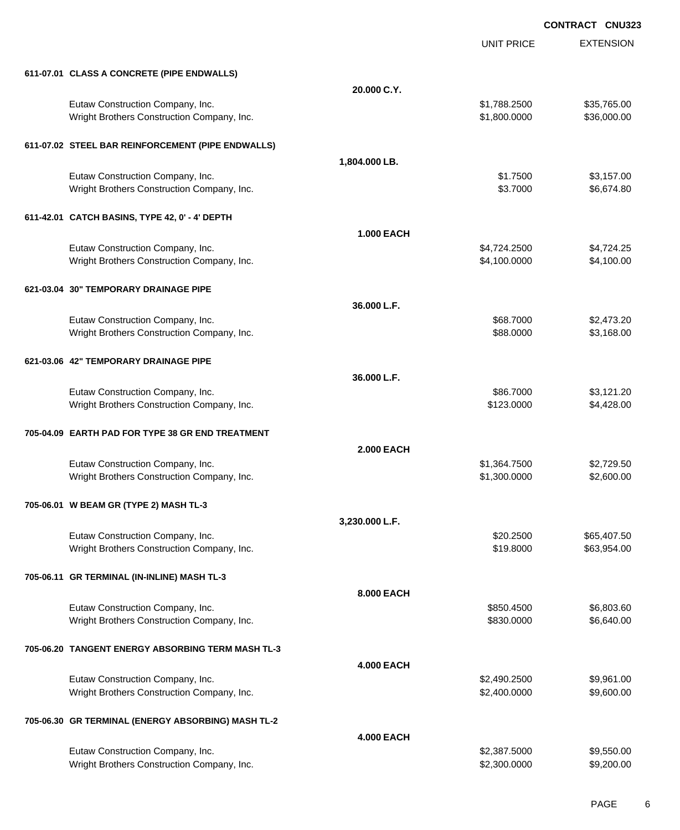|                                                    |                   | <b>UNIT PRICE</b> | <b>EXTENSION</b> |
|----------------------------------------------------|-------------------|-------------------|------------------|
| 611-07.01 CLASS A CONCRETE (PIPE ENDWALLS)         |                   |                   |                  |
|                                                    | 20.000 C.Y.       |                   |                  |
| Eutaw Construction Company, Inc.                   |                   | \$1,788.2500      | \$35,765.00      |
| Wright Brothers Construction Company, Inc.         |                   | \$1,800.0000      | \$36,000.00      |
| 611-07.02 STEEL BAR REINFORCEMENT (PIPE ENDWALLS)  |                   |                   |                  |
|                                                    | 1,804.000 LB.     |                   |                  |
| Eutaw Construction Company, Inc.                   |                   | \$1.7500          | \$3,157.00       |
| Wright Brothers Construction Company, Inc.         |                   | \$3.7000          | \$6,674.80       |
| 611-42.01 CATCH BASINS, TYPE 42, 0' - 4' DEPTH     |                   |                   |                  |
|                                                    | <b>1.000 EACH</b> |                   |                  |
| Eutaw Construction Company, Inc.                   |                   | \$4,724.2500      | \$4,724.25       |
| Wright Brothers Construction Company, Inc.         |                   | \$4,100.0000      | \$4,100.00       |
| 621-03.04 30" TEMPORARY DRAINAGE PIPE              |                   |                   |                  |
|                                                    | 36.000 L.F.       |                   |                  |
| Eutaw Construction Company, Inc.                   |                   | \$68.7000         | \$2,473.20       |
| Wright Brothers Construction Company, Inc.         |                   | \$88.0000         | \$3,168.00       |
| 621-03.06 42" TEMPORARY DRAINAGE PIPE              |                   |                   |                  |
|                                                    | 36.000 L.F.       |                   |                  |
| Eutaw Construction Company, Inc.                   |                   | \$86.7000         | \$3,121.20       |
| Wright Brothers Construction Company, Inc.         |                   | \$123.0000        | \$4,428.00       |
| 705-04.09 EARTH PAD FOR TYPE 38 GR END TREATMENT   |                   |                   |                  |
|                                                    | <b>2.000 EACH</b> |                   |                  |
| Eutaw Construction Company, Inc.                   |                   | \$1,364.7500      | \$2,729.50       |
| Wright Brothers Construction Company, Inc.         |                   | \$1,300.0000      | \$2,600.00       |
| 705-06.01 W BEAM GR (TYPE 2) MASH TL-3             |                   |                   |                  |
|                                                    | 3,230.000 L.F.    |                   |                  |
| Eutaw Construction Company, Inc.                   |                   | \$20.2500         | \$65,407.50      |
| Wright Brothers Construction Company, Inc.         |                   | \$19.8000         | \$63,954.00      |
| 705-06.11 GR TERMINAL (IN-INLINE) MASH TL-3        |                   |                   |                  |
|                                                    | 8.000 EACH        |                   |                  |
| Eutaw Construction Company, Inc.                   |                   | \$850.4500        | \$6,803.60       |
| Wright Brothers Construction Company, Inc.         |                   | \$830.0000        | \$6,640.00       |
| 705-06.20 TANGENT ENERGY ABSORBING TERM MASH TL-3  |                   |                   |                  |
|                                                    | <b>4.000 EACH</b> |                   |                  |
| Eutaw Construction Company, Inc.                   |                   | \$2,490.2500      | \$9,961.00       |
| Wright Brothers Construction Company, Inc.         |                   | \$2,400.0000      | \$9,600.00       |
| 705-06.30 GR TERMINAL (ENERGY ABSORBING) MASH TL-2 |                   |                   |                  |
|                                                    | <b>4.000 EACH</b> |                   |                  |
| Eutaw Construction Company, Inc.                   |                   | \$2,387.5000      | \$9,550.00       |
| Wright Brothers Construction Company, Inc.         |                   | \$2,300.0000      | \$9,200.00       |
|                                                    |                   |                   |                  |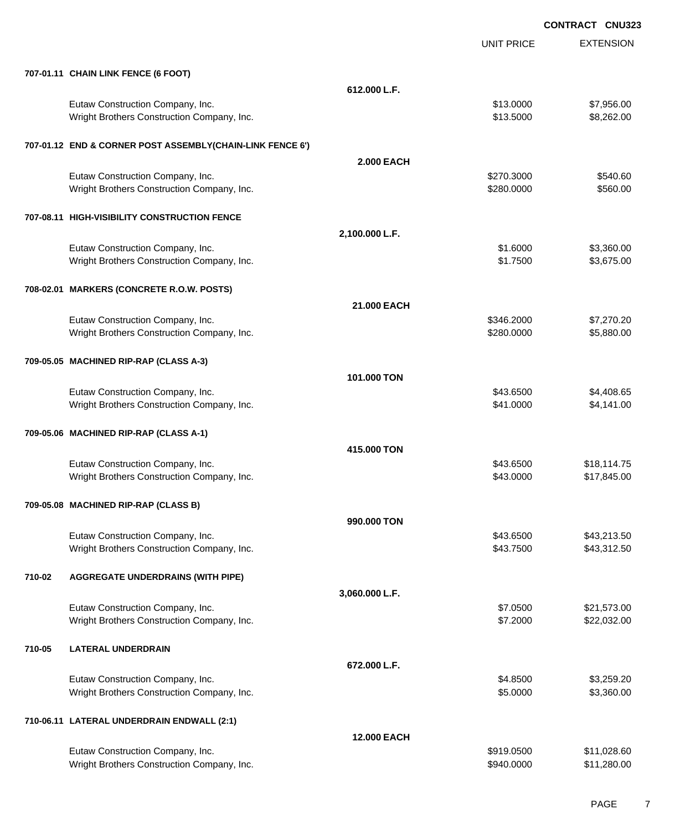|        |                                                                                |                    | <b>UNIT PRICE</b> | <b>EXTENSION</b> |
|--------|--------------------------------------------------------------------------------|--------------------|-------------------|------------------|
|        | 707-01.11 CHAIN LINK FENCE (6 FOOT)                                            |                    |                   |                  |
|        |                                                                                | 612.000 L.F.       |                   |                  |
|        | Eutaw Construction Company, Inc.                                               |                    | \$13.0000         | \$7,956.00       |
|        | Wright Brothers Construction Company, Inc.                                     |                    | \$13.5000         | \$8,262.00       |
|        |                                                                                |                    |                   |                  |
|        | 707-01.12 END & CORNER POST ASSEMBLY(CHAIN-LINK FENCE 6')                      |                    |                   |                  |
|        |                                                                                | <b>2.000 EACH</b>  |                   |                  |
|        | Eutaw Construction Company, Inc.                                               |                    | \$270.3000        | \$540.60         |
|        | Wright Brothers Construction Company, Inc.                                     |                    | \$280.0000        | \$560.00         |
|        | 707-08.11 HIGH-VISIBILITY CONSTRUCTION FENCE                                   |                    |                   |                  |
|        |                                                                                | 2,100.000 L.F.     |                   |                  |
|        |                                                                                |                    | \$1.6000          | \$3,360.00       |
|        | Eutaw Construction Company, Inc.<br>Wright Brothers Construction Company, Inc. |                    | \$1.7500          | \$3,675.00       |
|        |                                                                                |                    |                   |                  |
|        | 708-02.01 MARKERS (CONCRETE R.O.W. POSTS)                                      |                    |                   |                  |
|        |                                                                                | 21.000 EACH        |                   |                  |
|        | Eutaw Construction Company, Inc.                                               |                    | \$346.2000        | \$7,270.20       |
|        | Wright Brothers Construction Company, Inc.                                     |                    | \$280.0000        | \$5,880.00       |
|        |                                                                                |                    |                   |                  |
|        | 709-05.05 MACHINED RIP-RAP (CLASS A-3)                                         |                    |                   |                  |
|        |                                                                                | 101.000 TON        |                   |                  |
|        | Eutaw Construction Company, Inc.                                               |                    | \$43.6500         | \$4,408.65       |
|        | Wright Brothers Construction Company, Inc.                                     |                    | \$41.0000         | \$4,141.00       |
|        | 709-05.06 MACHINED RIP-RAP (CLASS A-1)                                         |                    |                   |                  |
|        |                                                                                | 415.000 TON        |                   |                  |
|        |                                                                                |                    | \$43.6500         | \$18,114.75      |
|        | Eutaw Construction Company, Inc.<br>Wright Brothers Construction Company, Inc. |                    | \$43.0000         | \$17,845.00      |
|        |                                                                                |                    |                   |                  |
|        | 709-05.08 MACHINED RIP-RAP (CLASS B)                                           |                    |                   |                  |
|        |                                                                                | 990.000 TON        |                   |                  |
|        | Eutaw Construction Company, Inc.                                               |                    | \$43.6500         | \$43,213.50      |
|        | Wright Brothers Construction Company, Inc.                                     |                    | \$43.7500         | \$43,312.50      |
|        |                                                                                |                    |                   |                  |
| 710-02 | <b>AGGREGATE UNDERDRAINS (WITH PIPE)</b>                                       |                    |                   |                  |
|        |                                                                                | 3,060.000 L.F.     |                   |                  |
|        | Eutaw Construction Company, Inc.                                               |                    | \$7.0500          | \$21,573.00      |
|        | Wright Brothers Construction Company, Inc.                                     |                    | \$7.2000          | \$22,032.00      |
| 710-05 | <b>LATERAL UNDERDRAIN</b>                                                      |                    |                   |                  |
|        |                                                                                | 672.000 L.F.       |                   |                  |
|        | Eutaw Construction Company, Inc.                                               |                    | \$4.8500          | \$3,259.20       |
|        | Wright Brothers Construction Company, Inc.                                     |                    | \$5.0000          | \$3,360.00       |
|        |                                                                                |                    |                   |                  |
|        | 710-06.11 LATERAL UNDERDRAIN ENDWALL (2:1)                                     |                    |                   |                  |
|        |                                                                                | <b>12.000 EACH</b> |                   |                  |
|        | Eutaw Construction Company, Inc.                                               |                    | \$919.0500        | \$11,028.60      |
|        | Wright Brothers Construction Company, Inc.                                     |                    | \$940.0000        | \$11,280.00      |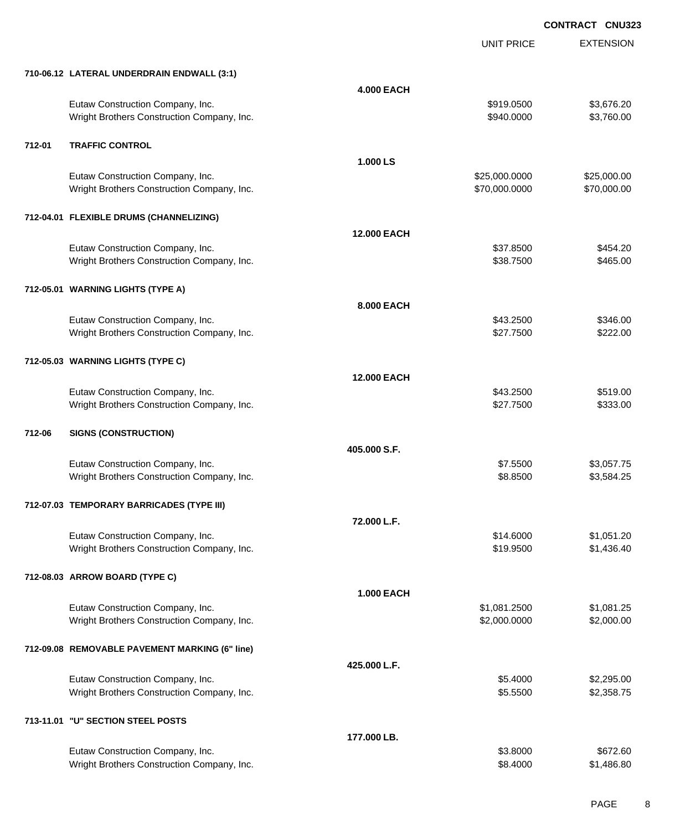UNIT PRICE

EXTENSION

|        | 710-06.12 LATERAL UNDERDRAIN ENDWALL (3:1)                                     |                    |                              |                          |
|--------|--------------------------------------------------------------------------------|--------------------|------------------------------|--------------------------|
|        |                                                                                | <b>4.000 EACH</b>  |                              |                          |
|        | Eutaw Construction Company, Inc.<br>Wright Brothers Construction Company, Inc. |                    | \$919.0500<br>\$940.0000     | \$3,676.20<br>\$3,760.00 |
| 712-01 | <b>TRAFFIC CONTROL</b>                                                         |                    |                              |                          |
|        |                                                                                | 1.000LS            |                              |                          |
|        | Eutaw Construction Company, Inc.                                               |                    | \$25,000.0000                | \$25,000.00              |
|        | Wright Brothers Construction Company, Inc.                                     |                    | \$70,000.0000                | \$70,000.00              |
|        | 712-04.01 FLEXIBLE DRUMS (CHANNELIZING)                                        |                    |                              |                          |
|        |                                                                                | <b>12.000 EACH</b> |                              |                          |
|        | Eutaw Construction Company, Inc.                                               |                    | \$37.8500                    | \$454.20                 |
|        | Wright Brothers Construction Company, Inc.                                     |                    | \$38.7500                    | \$465.00                 |
|        | 712-05.01 WARNING LIGHTS (TYPE A)                                              |                    |                              |                          |
|        |                                                                                | 8.000 EACH         |                              |                          |
|        | Eutaw Construction Company, Inc.                                               |                    | \$43.2500                    | \$346.00                 |
|        | Wright Brothers Construction Company, Inc.                                     |                    | \$27.7500                    | \$222.00                 |
|        |                                                                                |                    |                              |                          |
|        | 712-05.03 WARNING LIGHTS (TYPE C)                                              |                    |                              |                          |
|        |                                                                                | <b>12.000 EACH</b> |                              |                          |
|        | Eutaw Construction Company, Inc.<br>Wright Brothers Construction Company, Inc. |                    | \$43.2500<br>\$27.7500       | \$519.00<br>\$333.00     |
|        |                                                                                |                    |                              |                          |
| 712-06 | <b>SIGNS (CONSTRUCTION)</b>                                                    |                    |                              |                          |
|        |                                                                                | 405.000 S.F.       |                              |                          |
|        | Eutaw Construction Company, Inc.                                               |                    | \$7.5500                     | \$3,057.75               |
|        | Wright Brothers Construction Company, Inc.                                     |                    | \$8.8500                     | \$3,584.25               |
|        | 712-07.03 TEMPORARY BARRICADES (TYPE III)                                      |                    |                              |                          |
|        |                                                                                | 72.000 L.F.        |                              |                          |
|        | Eutaw Construction Company, Inc.                                               |                    | \$14.6000                    | \$1,051.20               |
|        | Wright Brothers Construction Company, Inc.                                     |                    | \$19.9500                    | \$1,436.40               |
|        |                                                                                |                    |                              |                          |
|        | 712-08.03 ARROW BOARD (TYPE C)                                                 |                    |                              |                          |
|        |                                                                                | <b>1.000 EACH</b>  |                              |                          |
|        | Eutaw Construction Company, Inc.<br>Wright Brothers Construction Company, Inc. |                    | \$1,081.2500<br>\$2,000.0000 | \$1,081.25<br>\$2,000.00 |
|        |                                                                                |                    |                              |                          |
|        | 712-09.08 REMOVABLE PAVEMENT MARKING (6" line)                                 |                    |                              |                          |
|        |                                                                                | 425.000 L.F.       |                              |                          |
|        | Eutaw Construction Company, Inc.                                               |                    | \$5.4000                     | \$2,295.00               |
|        | Wright Brothers Construction Company, Inc.                                     |                    | \$5.5500                     | \$2,358.75               |
|        | 713-11.01 "U" SECTION STEEL POSTS                                              |                    |                              |                          |
|        |                                                                                | 177.000 LB.        |                              |                          |
|        | Eutaw Construction Company, Inc.                                               |                    | \$3.8000                     | \$672.60                 |
|        | Wright Brothers Construction Company, Inc.                                     |                    | \$8.4000                     | \$1,486.80               |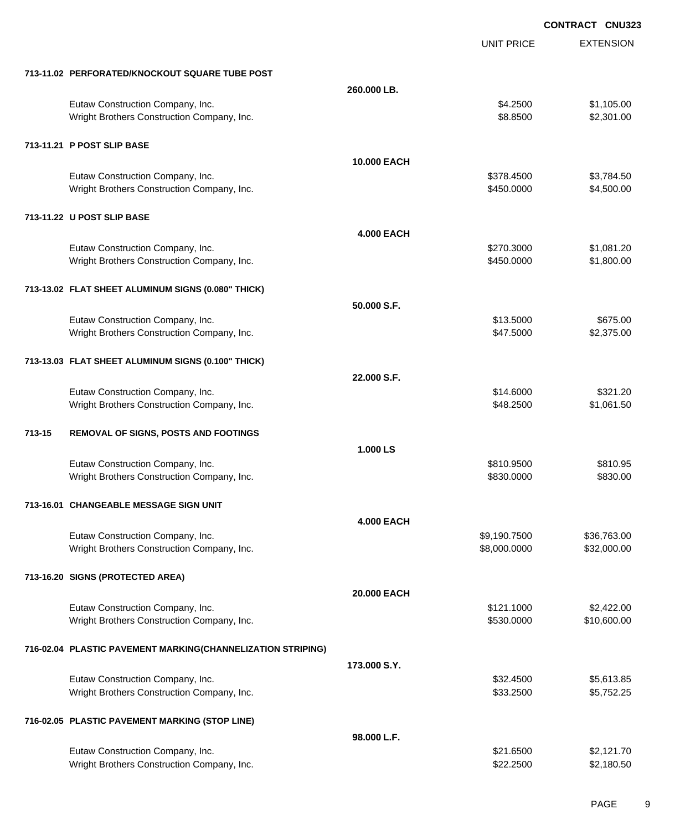EXTENSION **CONTRACT CNU323** UNIT PRICE **713-11.02 PERFORATED/KNOCKOUT SQUARE TUBE POST 260.000 LB.** Eutaw Construction Company, Inc. 6. 2500 \$1,105.00 Wright Brothers Construction Company, Inc. 6. 2011.00 \$8.8500 \$2,301.00 **713-11.21 P POST SLIP BASE 10.000 EACH** Eutaw Construction Company, Inc. 6. The Construction Company, Inc. 6. The Construction Company, Inc. 6. The Construction Company, Inc. 6. The Construction Company, Inc. 6. The Construction Company, Inc. 6. The Construction Wright Brothers Construction Company, Inc. 6450.000 \$450.000 \$4,500.00 **713-11.22 U POST SLIP BASE 4.000 EACH** Eutaw Construction Company, Inc. 6. The Construction Company, Inc. 6. The Construction Company, Inc. 6. The Construction Company, Inc. 6. The Construction Company, Inc. 6. The Construction Company, Inc. 6. The Construction Wright Brothers Construction Company, Inc. 631,800.00 \$450.0000 \$1,800.00 **713-13.02 FLAT SHEET ALUMINUM SIGNS (0.080" THICK) 50.000 S.F.** Eutaw Construction Company, Inc. 6675.00 \$675.00 Wright Brothers Construction Company, Inc. 6 (1992) 1996 12:375.000 \$2,375.00 **713-13.03 FLAT SHEET ALUMINUM SIGNS (0.100" THICK) 22.000 S.F.** Eutaw Construction Company, Inc. 6321.20 Wright Brothers Construction Company, Inc. 6. 2500 \$1,061.50 **713-15 REMOVAL OF SIGNS, POSTS AND FOOTINGS 1.000 LS** Eutaw Construction Company, Inc. 6810.9500 \$810.9500 \$810.9500 \$810.9500 \$810.95 Wright Brothers Construction Company, Inc. 6. The Construction Company, Inc. \$830.000 \$830.000 \$830.000 **713-16.01 CHANGEABLE MESSAGE SIGN UNIT 4.000 EACH** Eutaw Construction Company, Inc. 636,763.00 \$9,190.7500 \$36,763.00 Wright Brothers Construction Company, Inc. 6. The Construction Company, Inc. 6. The Construction Company, Inc. 6. The Construction Company, Inc. 6. The Construction Company, Inc. 6. The Construction Company, Inc. 6. The Co **713-16.20 SIGNS (PROTECTED AREA) 20.000 EACH** Eutaw Construction Company, Inc. 6. The Construction Company, Inc. 6. The Construction Company, Inc. 6. The Construction Company, Inc. 6. The Construction Company, Inc. 6. The Construction Company, Inc. 6. The Construction Wright Brothers Construction Company, Inc. 6. The State of the State of the State State State State State State State State State State State State State State State State State State State State State State State State St **716-02.04 PLASTIC PAVEMENT MARKING(CHANNELIZATION STRIPING) 173.000 S.Y.** Eutaw Construction Company, Inc. 6. The Construction Company, Inc. 6. The Construction Company, Inc. 6. The Construction Company, Inc. 6. The Construction Company, Inc. 6. The Construction Company, Inc. 6. The Construction Wright Brothers Construction Company, Inc. 6. 2012 12:33.2500 \$5,752.25 **716-02.05 PLASTIC PAVEMENT MARKING (STOP LINE) 98.000 L.F.**

Eutaw Construction Company, Inc. 6. 2012. The state of the state of the state of the state of the state of the state of the state of the state of the state of the state of the state of the state of the state of the state o Wright Brothers Construction Company, Inc. 6. 2012 10:00:00 \$22.2500 \$2,180.50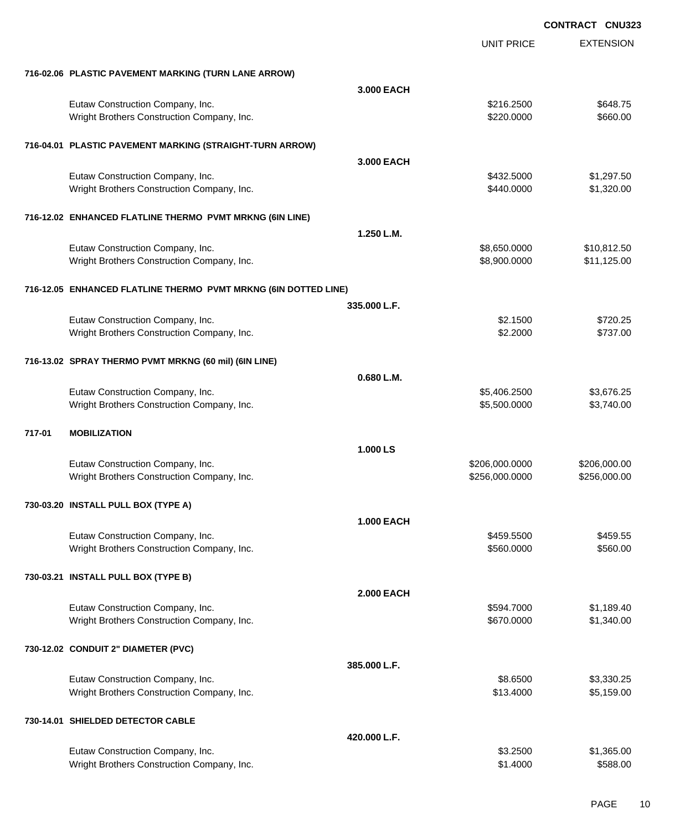|        |                                                                 |                   | <b>UNIT PRICE</b> | <b>EXTENSION</b> |
|--------|-----------------------------------------------------------------|-------------------|-------------------|------------------|
|        | 716-02.06 PLASTIC PAVEMENT MARKING (TURN LANE ARROW)            |                   |                   |                  |
|        |                                                                 | 3.000 EACH        |                   |                  |
|        | Eutaw Construction Company, Inc.                                |                   | \$216.2500        | \$648.75         |
|        | Wright Brothers Construction Company, Inc.                      |                   | \$220.0000        | \$660.00         |
|        | 716-04.01 PLASTIC PAVEMENT MARKING (STRAIGHT-TURN ARROW)        |                   |                   |                  |
|        |                                                                 | 3,000 EACH        |                   |                  |
|        | Eutaw Construction Company, Inc.                                |                   | \$432.5000        | \$1,297.50       |
|        | Wright Brothers Construction Company, Inc.                      |                   | \$440.0000        | \$1,320.00       |
|        | 716-12.02 ENHANCED FLATLINE THERMO PVMT MRKNG (6IN LINE)        |                   |                   |                  |
|        |                                                                 | 1.250 L.M.        |                   |                  |
|        | Eutaw Construction Company, Inc.                                |                   | \$8,650.0000      | \$10,812.50      |
|        | Wright Brothers Construction Company, Inc.                      |                   | \$8,900.0000      | \$11,125.00      |
|        | 716-12.05 ENHANCED FLATLINE THERMO PVMT MRKNG (6IN DOTTED LINE) |                   |                   |                  |
|        |                                                                 | 335.000 L.F.      |                   |                  |
|        | Eutaw Construction Company, Inc.                                |                   | \$2.1500          | \$720.25         |
|        | Wright Brothers Construction Company, Inc.                      |                   | \$2.2000          | \$737.00         |
|        | 716-13.02 SPRAY THERMO PVMT MRKNG (60 mil) (6IN LINE)           |                   |                   |                  |
|        |                                                                 | 0.680 L.M.        |                   |                  |
|        | Eutaw Construction Company, Inc.                                |                   | \$5,406.2500      | \$3,676.25       |
|        | Wright Brothers Construction Company, Inc.                      |                   | \$5,500.0000      | \$3,740.00       |
| 717-01 | <b>MOBILIZATION</b>                                             |                   |                   |                  |
|        |                                                                 | 1.000 LS          |                   |                  |
|        | Eutaw Construction Company, Inc.                                |                   | \$206,000.0000    | \$206,000.00     |
|        | Wright Brothers Construction Company, Inc.                      |                   | \$256,000.0000    | \$256,000.00     |
|        | 730-03.20 INSTALL PULL BOX (TYPE A)                             |                   |                   |                  |
|        |                                                                 | <b>1.000 EACH</b> |                   |                  |
|        | Eutaw Construction Company, Inc.                                |                   | \$459.5500        | \$459.55         |
|        | Wright Brothers Construction Company, Inc.                      |                   | \$560.0000        | \$560.00         |
|        | 730-03.21 INSTALL PULL BOX (TYPE B)                             |                   |                   |                  |
|        |                                                                 | <b>2.000 EACH</b> |                   |                  |
|        | Eutaw Construction Company, Inc.                                |                   | \$594.7000        | \$1,189.40       |
|        | Wright Brothers Construction Company, Inc.                      |                   | \$670.0000        | \$1,340.00       |
|        | 730-12.02 CONDUIT 2" DIAMETER (PVC)                             |                   |                   |                  |
|        |                                                                 | 385.000 L.F.      |                   |                  |
|        | Eutaw Construction Company, Inc.                                |                   | \$8.6500          | \$3,330.25       |
|        | Wright Brothers Construction Company, Inc.                      |                   | \$13.4000         | \$5,159.00       |
|        | 730-14.01 SHIELDED DETECTOR CABLE                               |                   |                   |                  |
|        |                                                                 | 420.000 L.F.      |                   |                  |
|        | Eutaw Construction Company, Inc.                                |                   | \$3.2500          | \$1,365.00       |
|        | Wright Brothers Construction Company, Inc.                      |                   | \$1.4000          | \$588.00         |
|        |                                                                 |                   |                   |                  |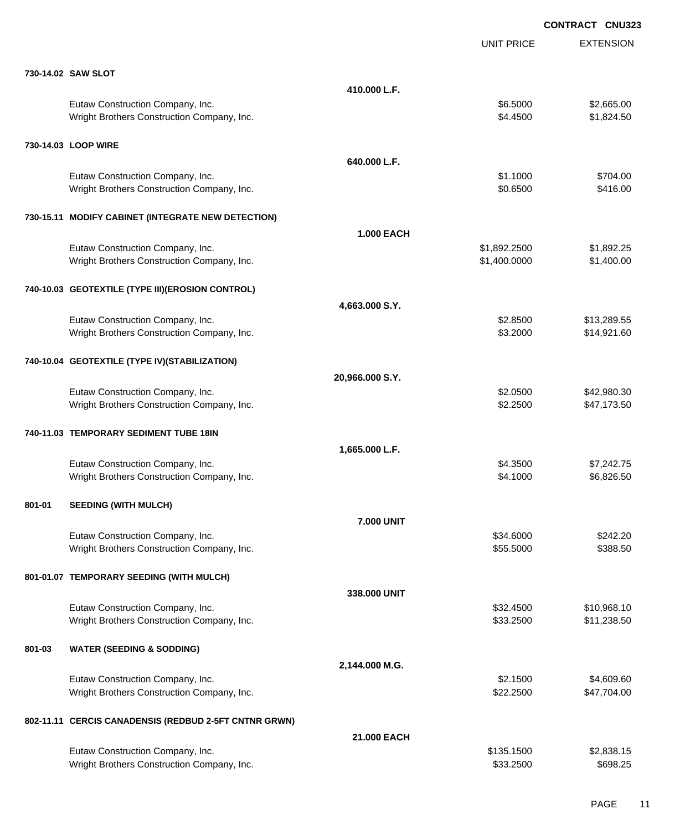|        |                                                       |                   | <b>UNIT PRICE</b> | <b>EXTENSION</b> |
|--------|-------------------------------------------------------|-------------------|-------------------|------------------|
|        | 730-14.02 SAW SLOT                                    |                   |                   |                  |
|        |                                                       | 410.000 L.F.      |                   |                  |
|        | Eutaw Construction Company, Inc.                      |                   | \$6.5000          | \$2,665.00       |
|        | Wright Brothers Construction Company, Inc.            |                   | \$4.4500          | \$1,824.50       |
|        |                                                       |                   |                   |                  |
|        | 730-14.03 LOOP WIRE                                   |                   |                   |                  |
|        |                                                       | 640.000 L.F.      |                   |                  |
|        | Eutaw Construction Company, Inc.                      |                   | \$1.1000          | \$704.00         |
|        | Wright Brothers Construction Company, Inc.            |                   | \$0.6500          | \$416.00         |
|        | 730-15.11 MODIFY CABINET (INTEGRATE NEW DETECTION)    |                   |                   |                  |
|        |                                                       | <b>1.000 EACH</b> |                   |                  |
|        | Eutaw Construction Company, Inc.                      |                   | \$1,892.2500      | \$1,892.25       |
|        | Wright Brothers Construction Company, Inc.            |                   | \$1,400.0000      | \$1,400.00       |
|        |                                                       |                   |                   |                  |
|        | 740-10.03 GEOTEXTILE (TYPE III)(EROSION CONTROL)      |                   |                   |                  |
|        |                                                       | 4,663.000 S.Y.    |                   |                  |
|        | Eutaw Construction Company, Inc.                      |                   | \$2.8500          | \$13,289.55      |
|        | Wright Brothers Construction Company, Inc.            |                   | \$3.2000          | \$14,921.60      |
|        |                                                       |                   |                   |                  |
|        | 740-10.04 GEOTEXTILE (TYPE IV)(STABILIZATION)         |                   |                   |                  |
|        |                                                       | 20,966.000 S.Y.   |                   |                  |
|        | Eutaw Construction Company, Inc.                      |                   | \$2.0500          | \$42,980.30      |
|        | Wright Brothers Construction Company, Inc.            |                   | \$2.2500          | \$47,173.50      |
|        | 740-11.03 TEMPORARY SEDIMENT TUBE 18IN                |                   |                   |                  |
|        |                                                       | 1,665.000 L.F.    |                   |                  |
|        | Eutaw Construction Company, Inc.                      |                   | \$4.3500          | \$7,242.75       |
|        | Wright Brothers Construction Company, Inc.            |                   | \$4.1000          | \$6,826.50       |
|        |                                                       |                   |                   |                  |
| 801-01 | <b>SEEDING (WITH MULCH)</b>                           |                   |                   |                  |
|        |                                                       | <b>7.000 UNIT</b> |                   |                  |
|        | Eutaw Construction Company, Inc.                      |                   | \$34.6000         | \$242.20         |
|        | Wright Brothers Construction Company, Inc.            |                   | \$55.5000         | \$388.50         |
|        | 801-01.07 TEMPORARY SEEDING (WITH MULCH)              |                   |                   |                  |
|        |                                                       |                   |                   |                  |
|        |                                                       | 338.000 UNIT      |                   |                  |
|        | Eutaw Construction Company, Inc.                      |                   | \$32.4500         | \$10,968.10      |
|        | Wright Brothers Construction Company, Inc.            |                   | \$33.2500         | \$11,238.50      |
| 801-03 | <b>WATER (SEEDING &amp; SODDING)</b>                  |                   |                   |                  |
|        |                                                       | 2,144.000 M.G.    |                   |                  |
|        | Eutaw Construction Company, Inc.                      |                   | \$2.1500          | \$4,609.60       |
|        | Wright Brothers Construction Company, Inc.            |                   | \$22.2500         | \$47,704.00      |
|        |                                                       |                   |                   |                  |
|        | 802-11.11 CERCIS CANADENSIS (REDBUD 2-5FT CNTNR GRWN) |                   |                   |                  |
|        |                                                       | 21.000 EACH       |                   |                  |
|        | Eutaw Construction Company, Inc.                      |                   | \$135.1500        | \$2,838.15       |
|        | Wright Brothers Construction Company, Inc.            |                   | \$33.2500         | \$698.25         |
|        |                                                       |                   |                   |                  |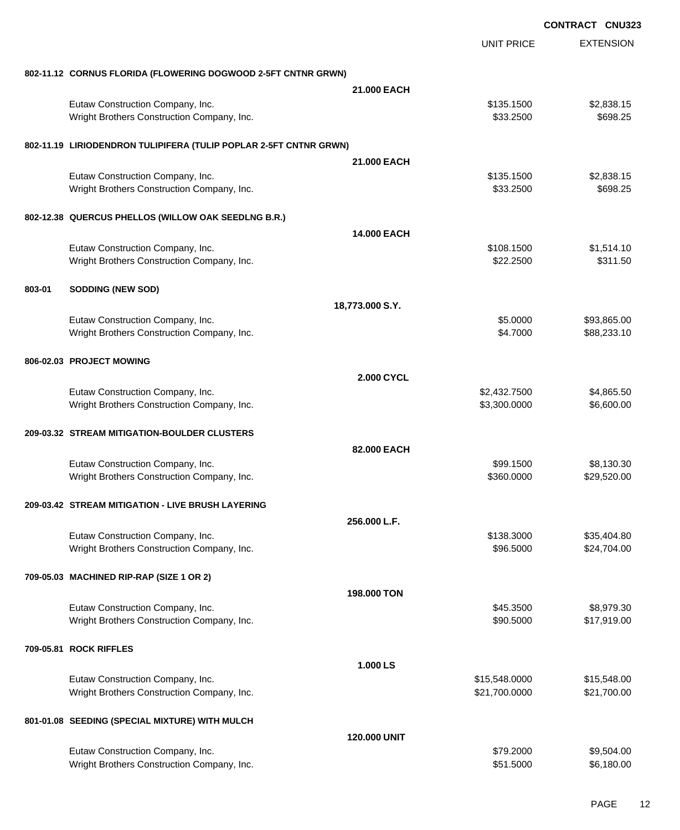|        |                                                                   |                     |                   | <b>CONTRACT CNU323</b> |
|--------|-------------------------------------------------------------------|---------------------|-------------------|------------------------|
|        |                                                                   |                     | <b>UNIT PRICE</b> | <b>EXTENSION</b>       |
|        | 802-11.12 CORNUS FLORIDA (FLOWERING DOGWOOD 2-5FT CNTNR GRWN)     |                     |                   |                        |
|        |                                                                   | 21.000 EACH         |                   |                        |
|        | Eutaw Construction Company, Inc.                                  |                     | \$135.1500        | \$2,838.15             |
|        | Wright Brothers Construction Company, Inc.                        |                     | \$33.2500         | \$698.25               |
|        | 802-11.19 LIRIODENDRON TULIPIFERA (TULIP POPLAR 2-5FT CNTNR GRWN) |                     |                   |                        |
|        |                                                                   | 21.000 EACH         |                   |                        |
|        | Eutaw Construction Company, Inc.                                  |                     | \$135.1500        | \$2,838.15             |
|        | Wright Brothers Construction Company, Inc.                        |                     | \$33.2500         | \$698.25               |
|        | 802-12.38 QUERCUS PHELLOS (WILLOW OAK SEEDLNG B.R.)               |                     |                   |                        |
|        |                                                                   | 14.000 EACH         |                   |                        |
|        | Eutaw Construction Company, Inc.                                  |                     | \$108.1500        | \$1,514.10             |
|        | Wright Brothers Construction Company, Inc.                        |                     | \$22.2500         | \$311.50               |
| 803-01 | <b>SODDING (NEW SOD)</b>                                          |                     |                   |                        |
|        |                                                                   | 18,773.000 S.Y.     |                   |                        |
|        | Eutaw Construction Company, Inc.                                  |                     | \$5.0000          | \$93,865.00            |
|        | Wright Brothers Construction Company, Inc.                        |                     | \$4.7000          | \$88,233.10            |
|        | 806-02.03 PROJECT MOWING                                          |                     |                   |                        |
|        |                                                                   | <b>2.000 CYCL</b>   |                   |                        |
|        | Eutaw Construction Company, Inc.                                  |                     | \$2,432.7500      | \$4,865.50             |
|        | Wright Brothers Construction Company, Inc.                        |                     | \$3,300.0000      | \$6,600.00             |
|        | 209-03.32 STREAM MITIGATION-BOULDER CLUSTERS                      |                     |                   |                        |
|        |                                                                   | 82.000 EACH         |                   |                        |
|        | Eutaw Construction Company, Inc.                                  |                     | \$99.1500         | \$8,130.30             |
|        | Wright Brothers Construction Company, Inc.                        |                     | \$360.0000        | \$29,520.00            |
|        | 209-03.42 STREAM MITIGATION - LIVE BRUSH LAYERING                 |                     |                   |                        |
|        |                                                                   | 256,000 L.F.        |                   |                        |
|        | Eutaw Construction Company, Inc.                                  |                     | \$138.3000        | \$35,404.80            |
|        | Wright Brothers Construction Company, Inc.                        |                     | \$96.5000         | \$24,704.00            |
|        | 709-05.03 MACHINED RIP-RAP (SIZE 1 OR 2)                          |                     |                   |                        |
|        |                                                                   | 198.000 TON         |                   |                        |
|        | Eutaw Construction Company, Inc.                                  |                     | \$45.3500         | \$8,979.30             |
|        | Wright Brothers Construction Company, Inc.                        |                     | \$90.5000         | \$17,919.00            |
|        | 709-05.81 ROCK RIFFLES                                            |                     |                   |                        |
|        |                                                                   | 1.000 LS            |                   |                        |
|        | Eutaw Construction Company, Inc.                                  |                     | \$15,548.0000     | \$15,548.00            |
|        | Wright Brothers Construction Company, Inc.                        |                     | \$21,700.0000     | \$21,700.00            |
|        | 801-01.08 SEEDING (SPECIAL MIXTURE) WITH MULCH                    |                     |                   |                        |
|        |                                                                   | <b>120,000 UNIT</b> |                   |                        |
|        | Eutaw Construction Company, Inc.                                  |                     | \$79.2000         | \$9,504.00             |
|        | Wright Brothers Construction Company, Inc.                        |                     | \$51.5000         | \$6,180.00             |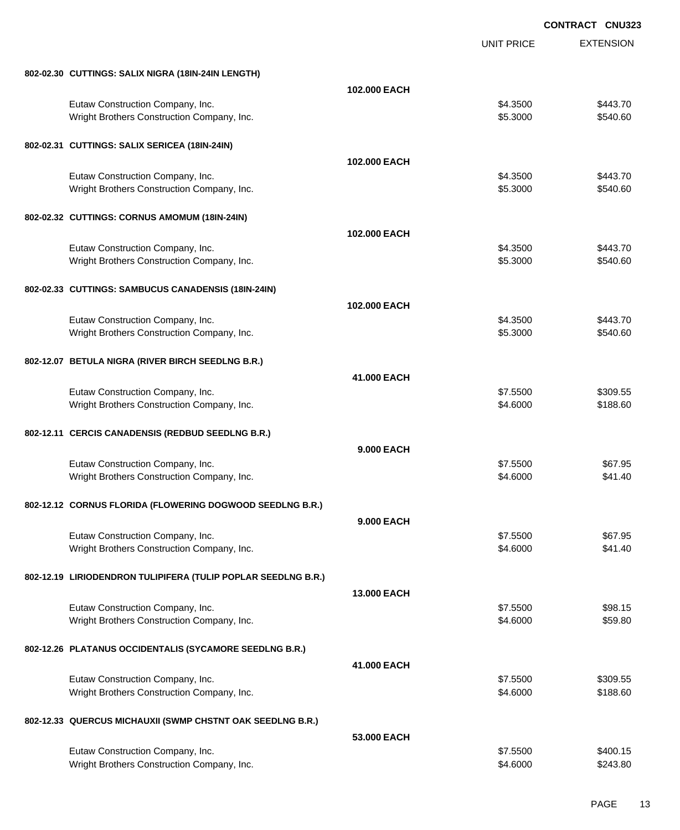|                                                               |                    | <b>CONTRACT CNU323</b> |                  |
|---------------------------------------------------------------|--------------------|------------------------|------------------|
|                                                               |                    | <b>UNIT PRICE</b>      | <b>EXTENSION</b> |
| 802-02.30 CUTTINGS: SALIX NIGRA (18IN-24IN LENGTH)            |                    |                        |                  |
|                                                               | 102.000 EACH       |                        |                  |
| Eutaw Construction Company, Inc.                              |                    | \$4.3500               | \$443.70         |
| Wright Brothers Construction Company, Inc.                    |                    | \$5.3000               | \$540.60         |
| 802-02.31 CUTTINGS: SALIX SERICEA (18IN-24IN)                 |                    |                        |                  |
|                                                               | 102.000 EACH       |                        |                  |
| Eutaw Construction Company, Inc.                              |                    | \$4.3500               | \$443.70         |
| Wright Brothers Construction Company, Inc.                    |                    | \$5.3000               | \$540.60         |
| 802-02.32 CUTTINGS: CORNUS AMOMUM (18IN-24IN)                 |                    |                        |                  |
|                                                               | 102.000 EACH       |                        |                  |
| Eutaw Construction Company, Inc.                              |                    | \$4.3500               | \$443.70         |
| Wright Brothers Construction Company, Inc.                    |                    | \$5.3000               | \$540.60         |
| 802-02.33 CUTTINGS: SAMBUCUS CANADENSIS (18IN-24IN)           |                    |                        |                  |
|                                                               | 102.000 EACH       |                        |                  |
| Eutaw Construction Company, Inc.                              |                    | \$4.3500               | \$443.70         |
| Wright Brothers Construction Company, Inc.                    |                    | \$5.3000               | \$540.60         |
| 802-12.07 BETULA NIGRA (RIVER BIRCH SEEDLNG B.R.)             |                    |                        |                  |
|                                                               | 41.000 EACH        |                        |                  |
| Eutaw Construction Company, Inc.                              |                    | \$7.5500               | \$309.55         |
| Wright Brothers Construction Company, Inc.                    |                    | \$4.6000               | \$188.60         |
| 802-12.11 CERCIS CANADENSIS (REDBUD SEEDLNG B.R.)             |                    |                        |                  |
|                                                               | <b>9.000 EACH</b>  |                        |                  |
| Eutaw Construction Company, Inc.                              |                    | \$7.5500               | \$67.95          |
| Wright Brothers Construction Company, Inc.                    |                    | \$4.6000               | \$41.40          |
| 802-12.12 CORNUS FLORIDA (FLOWERING DOGWOOD SEEDLNG B.R.)     |                    |                        |                  |
|                                                               | <b>9.000 EACH</b>  |                        |                  |
| Eutaw Construction Company, Inc.                              |                    | \$7.5500               | \$67.95          |
| Wright Brothers Construction Company, Inc.                    |                    | \$4.6000               | \$41.40          |
| 802-12.19 LIRIODENDRON TULIPIFERA (TULIP POPLAR SEEDLNG B.R.) |                    |                        |                  |
|                                                               | <b>13,000 EACH</b> |                        |                  |
| Eutaw Construction Company, Inc.                              |                    | \$7.5500               | \$98.15          |
| Wright Brothers Construction Company, Inc.                    |                    | \$4.6000               | \$59.80          |
| 802-12.26 PLATANUS OCCIDENTALIS (SYCAMORE SEEDLNG B.R.)       |                    |                        |                  |
|                                                               | 41.000 EACH        |                        |                  |
| Eutaw Construction Company, Inc.                              |                    | \$7.5500               | \$309.55         |
| Wright Brothers Construction Company, Inc.                    |                    | \$4.6000               | \$188.60         |
| 802-12.33 QUERCUS MICHAUXII (SWMP CHSTNT OAK SEEDLNG B.R.)    |                    |                        |                  |
|                                                               | 53,000 EACH        |                        |                  |
| Eutaw Construction Company, Inc.                              |                    | \$7.5500               | \$400.15         |
| Wright Brothers Construction Company, Inc.                    |                    | \$4.6000               | \$243.80         |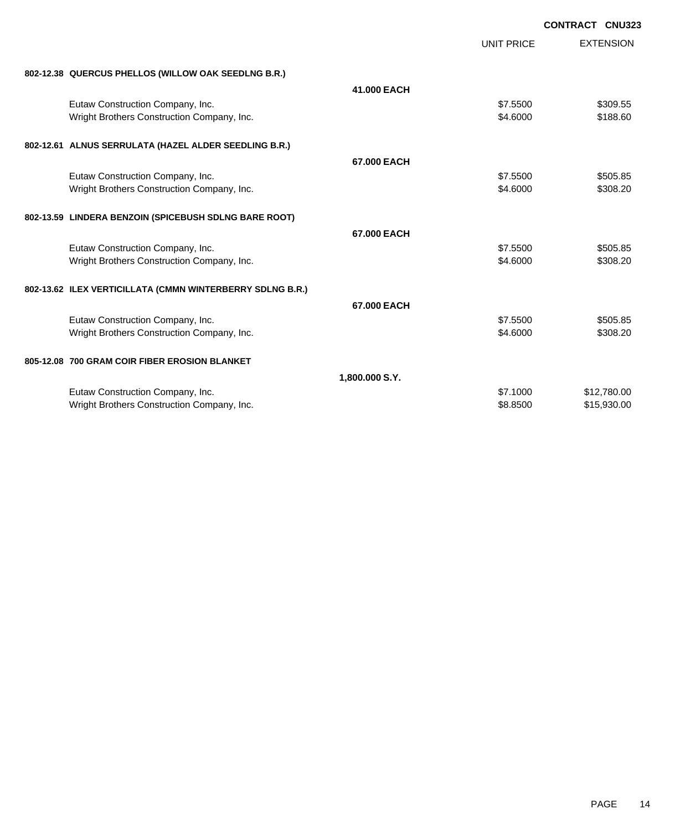|                                                           |                |                   | <b>CONTRACT CNU323</b> |
|-----------------------------------------------------------|----------------|-------------------|------------------------|
|                                                           |                | <b>UNIT PRICE</b> | <b>EXTENSION</b>       |
| 802-12.38 QUERCUS PHELLOS (WILLOW OAK SEEDLNG B.R.)       |                |                   |                        |
|                                                           | 41.000 EACH    |                   |                        |
| Eutaw Construction Company, Inc.                          |                | \$7.5500          | \$309.55               |
| Wright Brothers Construction Company, Inc.                |                | \$4,6000          | \$188.60               |
| 802-12.61 ALNUS SERRULATA (HAZEL ALDER SEEDLING B.R.)     |                |                   |                        |
|                                                           | 67.000 EACH    |                   |                        |
| Eutaw Construction Company, Inc.                          |                | \$7.5500          | \$505.85               |
| Wright Brothers Construction Company, Inc.                |                | \$4,6000          | \$308.20               |
| 802-13.59 LINDERA BENZOIN (SPICEBUSH SDLNG BARE ROOT)     |                |                   |                        |
|                                                           | 67.000 EACH    |                   |                        |
| Eutaw Construction Company, Inc.                          |                | \$7,5500          | \$505.85               |
| Wright Brothers Construction Company, Inc.                |                | \$4,6000          | \$308.20               |
| 802-13.62 ILEX VERTICILLATA (CMMN WINTERBERRY SDLNG B.R.) |                |                   |                        |
|                                                           | 67.000 EACH    |                   |                        |
| Eutaw Construction Company, Inc.                          |                | \$7,5500          | \$505.85               |
| Wright Brothers Construction Company, Inc.                |                | \$4.6000          | \$308.20               |
| 805-12.08 700 GRAM COIR FIBER EROSION BLANKET             |                |                   |                        |
|                                                           | 1,800.000 S.Y. |                   |                        |
| Eutaw Construction Company, Inc.                          |                | \$7,1000          | \$12,780.00            |
| Wright Brothers Construction Company, Inc.                |                | \$8,8500          | \$15,930.00            |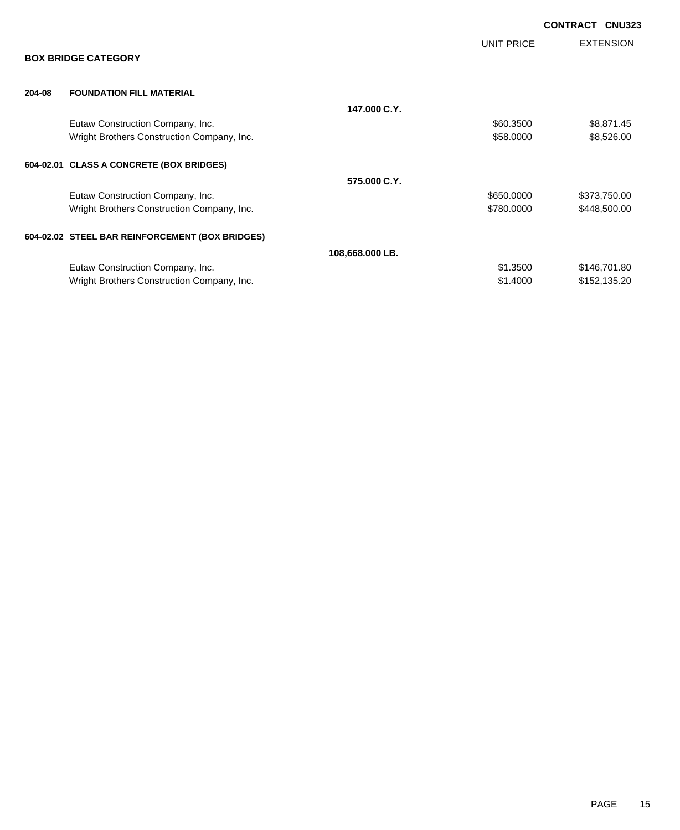|        |                                                 |                 |            | <b>CONTRACT</b><br><b>CNU323</b> |
|--------|-------------------------------------------------|-----------------|------------|----------------------------------|
|        | <b>BOX BRIDGE CATEGORY</b>                      |                 | UNIT PRICE | <b>EXTENSION</b>                 |
| 204-08 | <b>FOUNDATION FILL MATERIAL</b>                 |                 |            |                                  |
|        |                                                 | 147,000 C.Y.    |            |                                  |
|        | Eutaw Construction Company, Inc.                |                 | \$60.3500  | \$8,871.45                       |
|        | Wright Brothers Construction Company, Inc.      |                 | \$58.0000  | \$8,526.00                       |
|        | 604-02.01 CLASS A CONCRETE (BOX BRIDGES)        |                 |            |                                  |
|        |                                                 | 575,000 C.Y.    |            |                                  |
|        | Eutaw Construction Company, Inc.                |                 | \$650.0000 | \$373,750.00                     |
|        | Wright Brothers Construction Company, Inc.      |                 | \$780.0000 | \$448,500.00                     |
|        | 604-02.02 STEEL BAR REINFORCEMENT (BOX BRIDGES) |                 |            |                                  |
|        |                                                 | 108,668.000 LB. |            |                                  |
|        | Eutaw Construction Company, Inc.                |                 | \$1.3500   | \$146,701.80                     |
|        | Wright Brothers Construction Company, Inc.      |                 | \$1.4000   | \$152,135.20                     |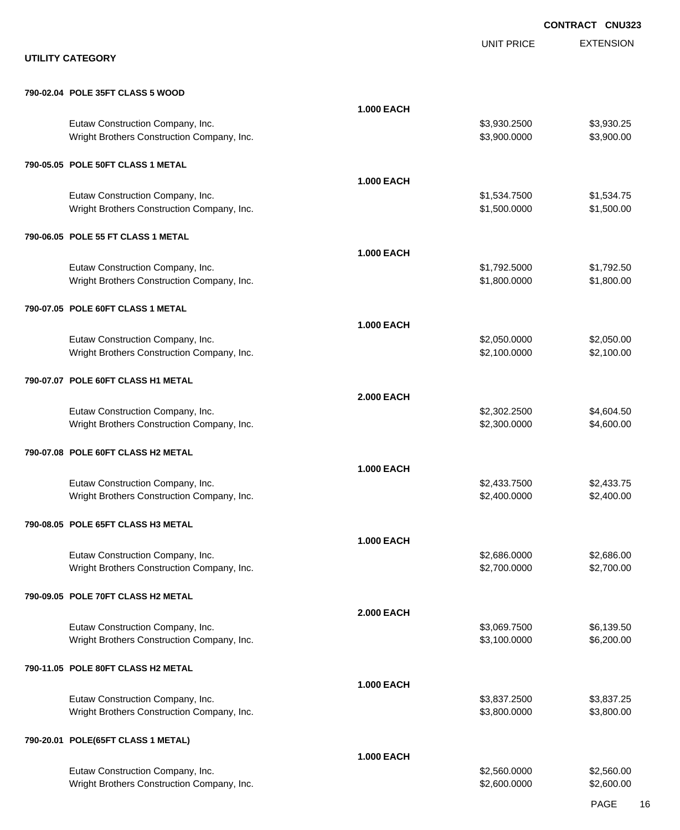EXTENSION **CONTRACT CNU323** UNIT PRICE **UTILITY CATEGORY 790-02.04 POLE 35FT CLASS 5 WOOD 1.000 EACH** Eutaw Construction Company, Inc. 6. The Construction Company, Inc. 6. The Construction Company, Inc. 6. The Construction Company, Inc. 6. The Construction Company, Inc. 6. The Construction Company, Inc. 6. The Construction Wright Brothers Construction Company, Inc. 6. The Construction Company, Inc. 6. The Construction Company, Inc. 6. The Construction Company, Inc. 6. The Construction Company, Inc. 6. The Construction Company, Inc. 6. The Co **790-05.05 POLE 50FT CLASS 1 METAL 1.000 EACH** Eutaw Construction Company, Inc. 6. The Construction Company, Inc. 6. The Construction Company, Inc. 6. The Construction Company, Inc. 6. The Construction Company, Inc. 6. The Construction Company, Inc. 6. The Construction Wright Brothers Construction Company, Inc. 6. 2012 19:30:000 \$1,500.000 \$1,500.000 \$1,500.00 **790-06.05 POLE 55 FT CLASS 1 METAL 1.000 EACH** Eutaw Construction Company, Inc. 6. The Construction Company, Inc. 6. The Construction Company, Inc. 6. The Construction Company, Inc. 6. The Construction Company, Inc. 6. The Construction Company, Inc. 6. The Construction Wright Brothers Construction Company, Inc. 6. The State of the State of State State State State State State State State State State State State State State State State State State State State State State State State State **790-07.05 POLE 60FT CLASS 1 METAL 1.000 EACH** Eutaw Construction Company, Inc. 6. The Construction Company, Inc. 6. The Construction Company, Inc. 6. The Construction Company, Inc. 6. The Construction Company, Inc. 6. The Construction Company, Inc. 6. The Construction Wright Brothers Construction Company, Inc. 6. 2.100.000 \$2,100.000 \$2,100.000 \$2,100.00 **790-07.07 POLE 60FT CLASS H1 METAL 2.000 EACH** Eutaw Construction Company, Inc. 6. The Construction Company, Inc. 6. The Construction Company, Inc. 6. The Construction Company, Inc. 6. The Construction Company, Inc. 6. The Construction Company, Inc. 6. The Construction Wright Brothers Construction Company, Inc. 6. The Construction Company, Inc. \$2,300.000 \$4,600.00 **790-07.08 POLE 60FT CLASS H2 METAL 1.000 EACH** Eutaw Construction Company, Inc. 6. The Construction Company, Inc. 6. The Construction Company, Inc. 6. The Construction Company, Inc. 6. The Construction Company, Inc. 6. The Construction Company, Inc. 6. The Construction Wright Brothers Construction Company, Inc. 6. 2.400.000 \$2,400.000 \$2,400.000 \$2,400.00 **790-08.05 POLE 65FT CLASS H3 METAL 1.000 EACH** Eutaw Construction Company, Inc. 6. The Construction Company, Inc. 6. The Construction Company, Inc. 6. The Construction Company, Inc. 6. The Construction Company, Inc. 6. The Construction Company, Inc. 6. The Construction Wright Brothers Construction Company, Inc. 6. 2.700.000 \$2,700.000 \$2,700.000 \$2,700.00 **790-09.05 POLE 70FT CLASS H2 METAL 2.000 EACH** Eutaw Construction Company, Inc. 6. The Construction Company, Inc. 6. The Construction Company, Inc. 6.139.50 Wright Brothers Construction Company, Inc. 6. 200.000 \$3,100.0000 \$6,200.00 **790-11.05 POLE 80FT CLASS H2 METAL 1.000 EACH** Eutaw Construction Company, Inc. 6. The Construction Company, Inc. 6. The Construction Company, Inc. 6. The Construction Company, Inc. 6. The Construction Company, Inc. 6. The Construction Company, Inc. 6. The Construction Wright Brothers Construction Company, Inc. 6. The Construction Company, Inc. 6. The Construction Company, Inc. 6. The Construction Company, Inc. 6. The Construction Company, Inc. 6. The Construction Company, Inc. 6. The Co **790-20.01 POLE(65FT CLASS 1 METAL)**

**1.000 EACH** Eutaw Construction Company, Inc. 6. The Construction Company, Inc. 6. The Construction Company, Inc. 6. The Construction Company, Inc. 6. The Construction Company, Inc. 6. The Construction Company, Inc. 6. The Construction Wright Brothers Construction Company, Inc. 6. The Same of the State of State State State State State State State State State State State State State State State State State State State State State State State State State S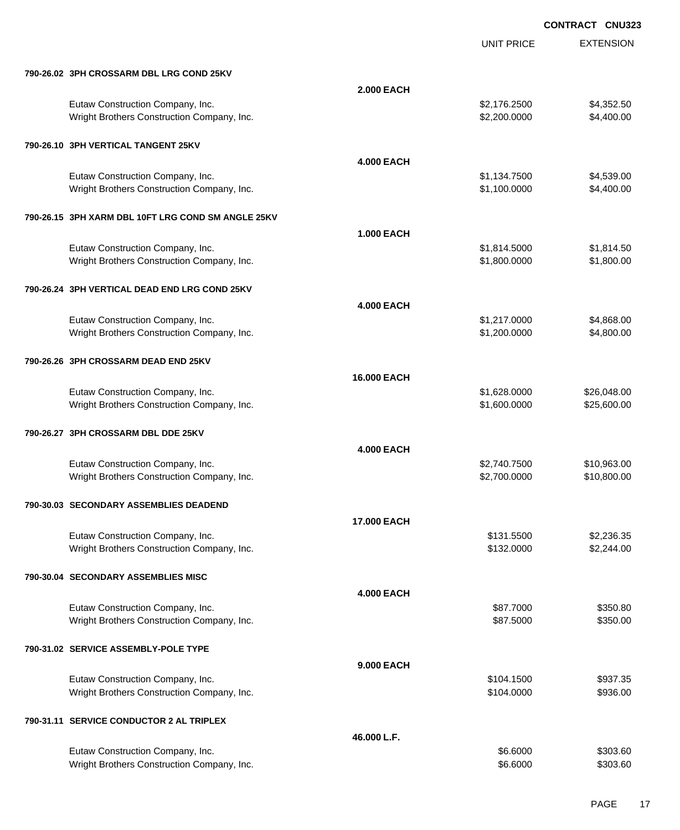|                                                                                |                    | <b>UNIT PRICE</b>            | <b>EXTENSION</b>           |
|--------------------------------------------------------------------------------|--------------------|------------------------------|----------------------------|
| 790-26.02 3PH CROSSARM DBL LRG COND 25KV                                       |                    |                              |                            |
|                                                                                | <b>2.000 EACH</b>  |                              |                            |
| Eutaw Construction Company, Inc.<br>Wright Brothers Construction Company, Inc. |                    | \$2,176.2500<br>\$2,200.0000 | \$4,352.50<br>\$4,400.00   |
| 790-26.10 3PH VERTICAL TANGENT 25KV                                            |                    |                              |                            |
|                                                                                | <b>4.000 EACH</b>  |                              |                            |
| Eutaw Construction Company, Inc.                                               |                    | \$1,134.7500                 | \$4,539.00                 |
| Wright Brothers Construction Company, Inc.                                     |                    | \$1,100.0000                 | \$4,400.00                 |
| 790-26.15 3PH XARM DBL 10FT LRG COND SM ANGLE 25KV                             |                    |                              |                            |
|                                                                                | <b>1.000 EACH</b>  |                              |                            |
| Eutaw Construction Company, Inc.                                               |                    | \$1,814.5000                 | \$1,814.50                 |
| Wright Brothers Construction Company, Inc.                                     |                    | \$1,800.0000                 | \$1,800.00                 |
| 790-26.24 3PH VERTICAL DEAD END LRG COND 25KV                                  |                    |                              |                            |
|                                                                                | <b>4.000 EACH</b>  |                              |                            |
| Eutaw Construction Company, Inc.<br>Wright Brothers Construction Company, Inc. |                    | \$1,217.0000<br>\$1,200.0000 | \$4,868.00<br>\$4,800.00   |
| 790-26.26 3PH CROSSARM DEAD END 25KV                                           |                    |                              |                            |
|                                                                                | <b>16.000 EACH</b> |                              |                            |
| Eutaw Construction Company, Inc.                                               |                    | \$1,628.0000                 | \$26,048.00                |
| Wright Brothers Construction Company, Inc.                                     |                    | \$1,600.0000                 | \$25,600.00                |
| 790-26.27 3PH CROSSARM DBL DDE 25KV                                            |                    |                              |                            |
|                                                                                | <b>4.000 EACH</b>  |                              |                            |
| Eutaw Construction Company, Inc.<br>Wright Brothers Construction Company, Inc. |                    | \$2,740.7500<br>\$2,700.0000 | \$10,963.00<br>\$10,800.00 |
| 790-30.03  SECONDARY ASSEMBLIES DEADEND                                        |                    |                              |                            |
|                                                                                | <b>17.000 EACH</b> |                              |                            |
| Eutaw Construction Company, Inc.                                               |                    | \$131.5500                   | \$2,236.35                 |
| Wright Brothers Construction Company, Inc.                                     |                    | \$132.0000                   | \$2,244.00                 |
| 790-30.04 SECONDARY ASSEMBLIES MISC                                            |                    |                              |                            |
|                                                                                | <b>4.000 EACH</b>  |                              |                            |
| Eutaw Construction Company, Inc.                                               |                    | \$87.7000                    | \$350.80                   |
| Wright Brothers Construction Company, Inc.                                     |                    | \$87.5000                    | \$350.00                   |
| 790-31.02 SERVICE ASSEMBLY-POLE TYPE                                           | <b>9.000 EACH</b>  |                              |                            |
| Eutaw Construction Company, Inc.                                               |                    | \$104.1500                   | \$937.35                   |
| Wright Brothers Construction Company, Inc.                                     |                    | \$104.0000                   | \$936.00                   |
| 790-31.11 SERVICE CONDUCTOR 2 AL TRIPLEX                                       |                    |                              |                            |
|                                                                                | 46.000 L.F.        |                              |                            |
| Eutaw Construction Company, Inc.                                               |                    | \$6.6000                     | \$303.60                   |
| Wright Brothers Construction Company, Inc.                                     |                    | \$6.6000                     | \$303.60                   |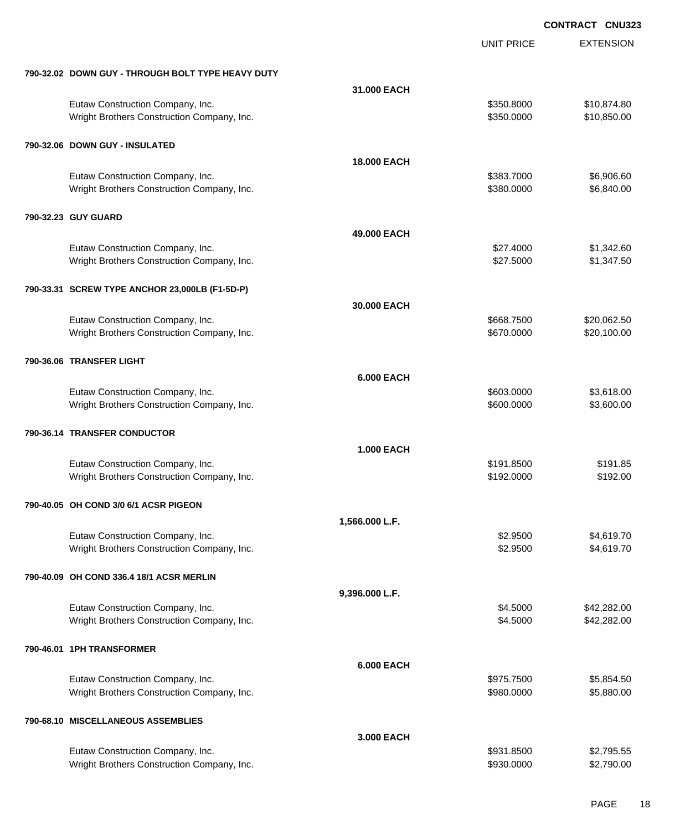UNIT PRICE

EXTENSION

| 790-32.02 DOWN GUY - THROUGH BOLT TYPE HEAVY DUTY |                    |            |             |
|---------------------------------------------------|--------------------|------------|-------------|
|                                                   | 31.000 EACH        |            |             |
| Eutaw Construction Company, Inc.                  |                    | \$350.8000 | \$10,874.80 |
| Wright Brothers Construction Company, Inc.        |                    | \$350.0000 | \$10,850.00 |
| 790-32.06 DOWN GUY - INSULATED                    |                    |            |             |
|                                                   | <b>18.000 EACH</b> |            |             |
| Eutaw Construction Company, Inc.                  |                    | \$383.7000 | \$6,906.60  |
| Wright Brothers Construction Company, Inc.        |                    | \$380.0000 | \$6,840.00  |
| 790-32.23 GUY GUARD                               |                    |            |             |
|                                                   | 49.000 EACH        |            |             |
| Eutaw Construction Company, Inc.                  |                    | \$27.4000  | \$1,342.60  |
| Wright Brothers Construction Company, Inc.        |                    | \$27.5000  | \$1,347.50  |
| 790-33.31 SCREW TYPE ANCHOR 23,000LB (F1-5D-P)    |                    |            |             |
|                                                   | 30.000 EACH        |            |             |
| Eutaw Construction Company, Inc.                  |                    | \$668.7500 | \$20,062.50 |
| Wright Brothers Construction Company, Inc.        |                    | \$670.0000 | \$20,100.00 |
| 790-36.06 TRANSFER LIGHT                          |                    |            |             |
|                                                   | <b>6.000 EACH</b>  |            |             |
| Eutaw Construction Company, Inc.                  |                    | \$603.0000 | \$3,618.00  |
| Wright Brothers Construction Company, Inc.        |                    | \$600.0000 | \$3,600.00  |
| 790-36.14 TRANSFER CONDUCTOR                      |                    |            |             |
|                                                   | <b>1.000 EACH</b>  |            |             |
| Eutaw Construction Company, Inc.                  |                    | \$191.8500 | \$191.85    |
| Wright Brothers Construction Company, Inc.        |                    | \$192.0000 | \$192.00    |
| 790-40.05 OH COND 3/0 6/1 ACSR PIGEON             |                    |            |             |
|                                                   | 1,566.000 L.F.     |            |             |
| Eutaw Construction Company, Inc.                  |                    | \$2.9500   | \$4,619.70  |
| Wright Brothers Construction Company, Inc.        |                    | \$2.9500   | \$4,619.70  |
| 790-40.09 OH COND 336.4 18/1 ACSR MERLIN          |                    |            |             |
|                                                   | 9,396.000 L.F.     |            |             |
| Eutaw Construction Company, Inc.                  |                    | \$4.5000   | \$42,282.00 |
| Wright Brothers Construction Company, Inc.        |                    | \$4.5000   | \$42,282.00 |
| 790-46.01 1PH TRANSFORMER                         |                    |            |             |
|                                                   | <b>6.000 EACH</b>  |            |             |
| Eutaw Construction Company, Inc.                  |                    | \$975.7500 | \$5,854.50  |
| Wright Brothers Construction Company, Inc.        |                    | \$980.0000 | \$5,880.00  |
| 790-68.10 MISCELLANEOUS ASSEMBLIES                |                    |            |             |
|                                                   | 3.000 EACH         |            |             |
| Eutaw Construction Company, Inc.                  |                    | \$931.8500 | \$2,795.55  |
| Wright Brothers Construction Company, Inc.        |                    | \$930.0000 | \$2,790.00  |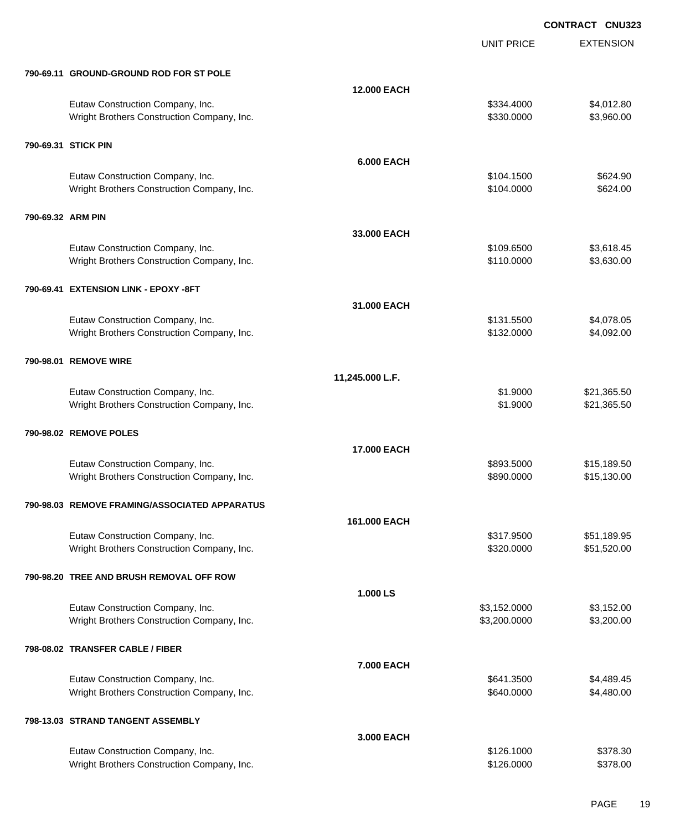UNIT PRICE

EXTENSION

| 790-69.11 GROUND-GROUND ROD FOR ST POLE |  |
|-----------------------------------------|--|
|                                         |  |

|                   | 790-69.11 GROUND-GROUND ROD FOR ST POLE                                        |                    |                          |                          |
|-------------------|--------------------------------------------------------------------------------|--------------------|--------------------------|--------------------------|
|                   |                                                                                | <b>12.000 EACH</b> |                          |                          |
|                   | Eutaw Construction Company, Inc.<br>Wright Brothers Construction Company, Inc. |                    | \$334.4000<br>\$330.0000 | \$4,012.80<br>\$3,960.00 |
|                   | 790-69.31 STICK PIN                                                            |                    |                          |                          |
|                   |                                                                                | <b>6.000 EACH</b>  |                          |                          |
|                   | Eutaw Construction Company, Inc.                                               |                    | \$104.1500               | \$624.90                 |
|                   | Wright Brothers Construction Company, Inc.                                     |                    | \$104.0000               | \$624.00                 |
| 790-69.32 ARM PIN |                                                                                |                    |                          |                          |
|                   |                                                                                |                    |                          |                          |
|                   |                                                                                | 33.000 EACH        |                          |                          |
|                   | Eutaw Construction Company, Inc.                                               |                    | \$109.6500<br>\$110.0000 | \$3,618.45<br>\$3,630.00 |
|                   | Wright Brothers Construction Company, Inc.                                     |                    |                          |                          |
|                   | 790-69.41 EXTENSION LINK - EPOXY -8FT                                          |                    |                          |                          |
|                   |                                                                                | 31.000 EACH        |                          |                          |
|                   | Eutaw Construction Company, Inc.                                               |                    | \$131.5500               | \$4,078.05               |
|                   | Wright Brothers Construction Company, Inc.                                     |                    | \$132.0000               | \$4,092.00               |
|                   |                                                                                |                    |                          |                          |
|                   | 790-98.01 REMOVE WIRE                                                          |                    |                          |                          |
|                   |                                                                                | 11,245.000 L.F.    |                          |                          |
|                   | Eutaw Construction Company, Inc.                                               |                    | \$1.9000                 | \$21,365.50              |
|                   | Wright Brothers Construction Company, Inc.                                     |                    | \$1.9000                 | \$21,365.50              |
|                   | 790-98.02 REMOVE POLES                                                         |                    |                          |                          |
|                   |                                                                                | <b>17.000 EACH</b> |                          |                          |
|                   | Eutaw Construction Company, Inc.                                               |                    | \$893.5000               | \$15,189.50              |
|                   | Wright Brothers Construction Company, Inc.                                     |                    |                          |                          |
|                   |                                                                                |                    | \$890.0000               | \$15,130.00              |
|                   |                                                                                |                    |                          |                          |
|                   | 790-98.03 REMOVE FRAMING/ASSOCIATED APPARATUS                                  |                    |                          |                          |
|                   |                                                                                | 161.000 EACH       |                          |                          |
|                   | Eutaw Construction Company, Inc.                                               |                    | \$317.9500               | \$51,189.95              |
|                   | Wright Brothers Construction Company, Inc.                                     |                    | \$320.0000               | \$51,520.00              |
|                   |                                                                                |                    |                          |                          |
|                   | 790-98.20 TREE AND BRUSH REMOVAL OFF ROW                                       |                    |                          |                          |
|                   |                                                                                | 1.000 LS           |                          |                          |
|                   | Eutaw Construction Company, Inc.                                               |                    | \$3,152.0000             | \$3,152.00               |
|                   | Wright Brothers Construction Company, Inc.                                     |                    | \$3,200.0000             | \$3,200.00               |
|                   | 798-08.02 TRANSFER CABLE / FIBER                                               |                    |                          |                          |
|                   |                                                                                | 7.000 EACH         |                          |                          |
|                   | Eutaw Construction Company, Inc.                                               |                    | \$641.3500               | \$4,489.45               |
|                   | Wright Brothers Construction Company, Inc.                                     |                    | \$640.0000               | \$4,480.00               |
|                   |                                                                                |                    |                          |                          |
|                   | 798-13.03 STRAND TANGENT ASSEMBLY                                              |                    |                          |                          |
|                   |                                                                                | 3.000 EACH         |                          |                          |
|                   | Eutaw Construction Company, Inc.<br>Wright Brothers Construction Company, Inc. |                    | \$126.1000<br>\$126.0000 | \$378.30<br>\$378.00     |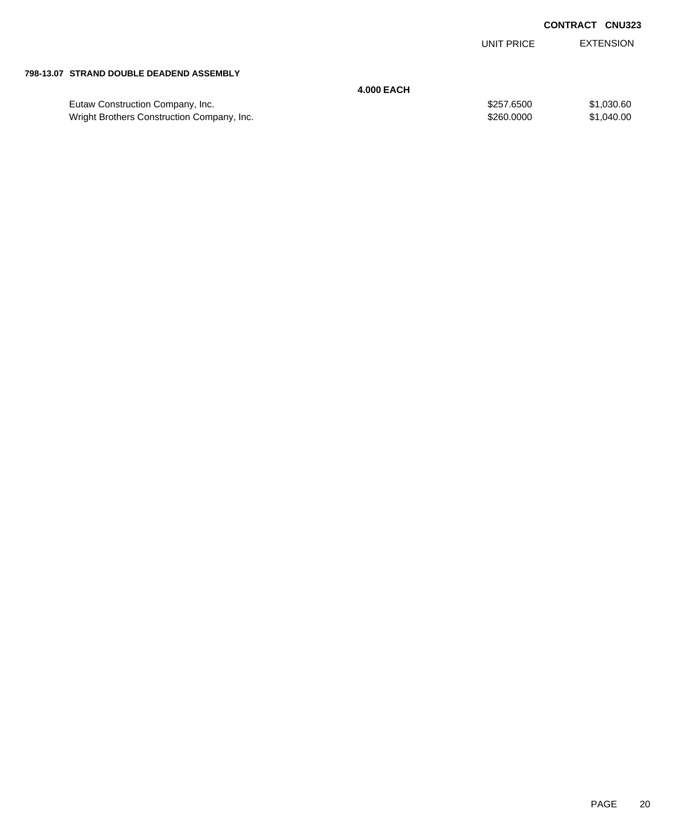|                                            |                   | UNIT PRICE | <b>EXTENSION</b> |
|--------------------------------------------|-------------------|------------|------------------|
|                                            |                   |            |                  |
| 798-13.07 STRAND DOUBLE DEADEND ASSEMBLY   |                   |            |                  |
|                                            | <b>4.000 EACH</b> |            |                  |
| Eutaw Construction Company, Inc.           |                   | \$257.6500 | \$1,030.60       |
| Wright Brothers Construction Company, Inc. |                   | \$260,0000 | \$1,040.00       |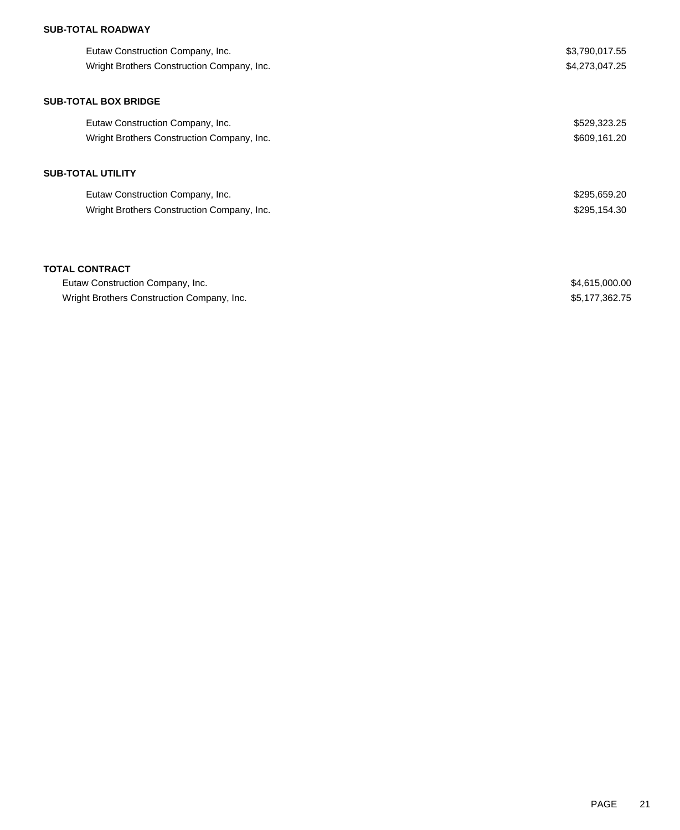## **SUB-TOTAL ROADWAY**

|                          | Eutaw Construction Company, Inc.<br>Wright Brothers Construction Company, Inc. | \$3,790,017.55<br>\$4,273,047.25 |  |
|--------------------------|--------------------------------------------------------------------------------|----------------------------------|--|
|                          | <b>SUB-TOTAL BOX BRIDGE</b>                                                    |                                  |  |
|                          | Eutaw Construction Company, Inc.                                               | \$529,323.25                     |  |
|                          | Wright Brothers Construction Company, Inc.                                     | \$609,161.20                     |  |
| <b>SUB-TOTAL UTILITY</b> |                                                                                |                                  |  |
|                          | Eutaw Construction Company, Inc.                                               | \$295,659.20                     |  |
|                          | Wright Brothers Construction Company, Inc.                                     | \$295,154.30                     |  |
|                          |                                                                                |                                  |  |
|                          |                                                                                |                                  |  |

| Eutaw Construction Company, Inc.           | \$4,615,000.00 |
|--------------------------------------------|----------------|
| Wright Brothers Construction Company, Inc. | \$5,177,362.75 |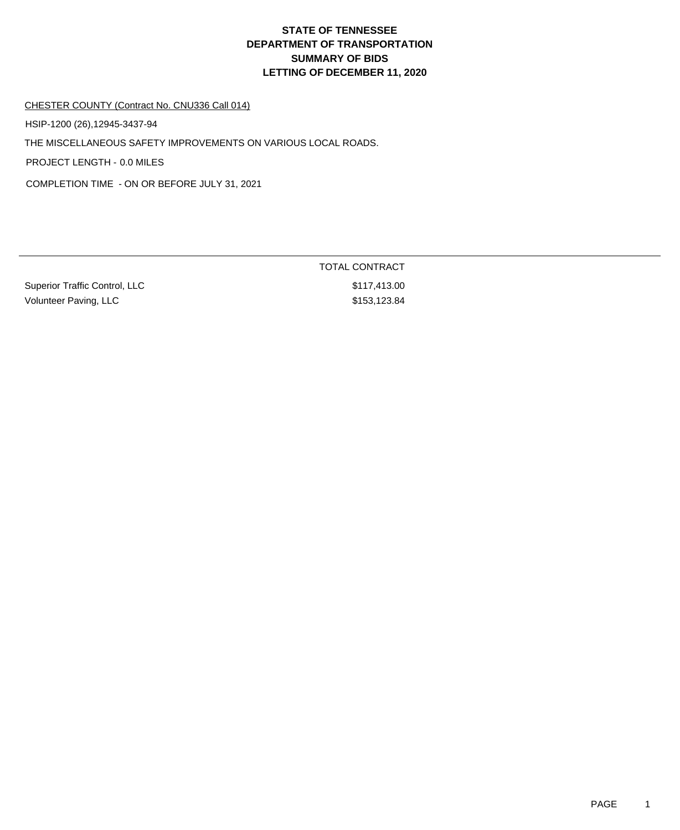# **DEPARTMENT OF TRANSPORTATION SUMMARY OF BIDS LETTING OF DECEMBER 11, 2020 STATE OF TENNESSEE**

#### CHESTER COUNTY (Contract No. CNU336 Call 014)

HSIP-1200 (26),12945-3437-94

THE MISCELLANEOUS SAFETY IMPROVEMENTS ON VARIOUS LOCAL ROADS.

PROJECT LENGTH - 0.0 MILES

COMPLETION TIME - ON OR BEFORE JULY 31, 2021

Superior Traffic Control, LLC \$117,413.00 Volunteer Paving, LLC \$153,123.84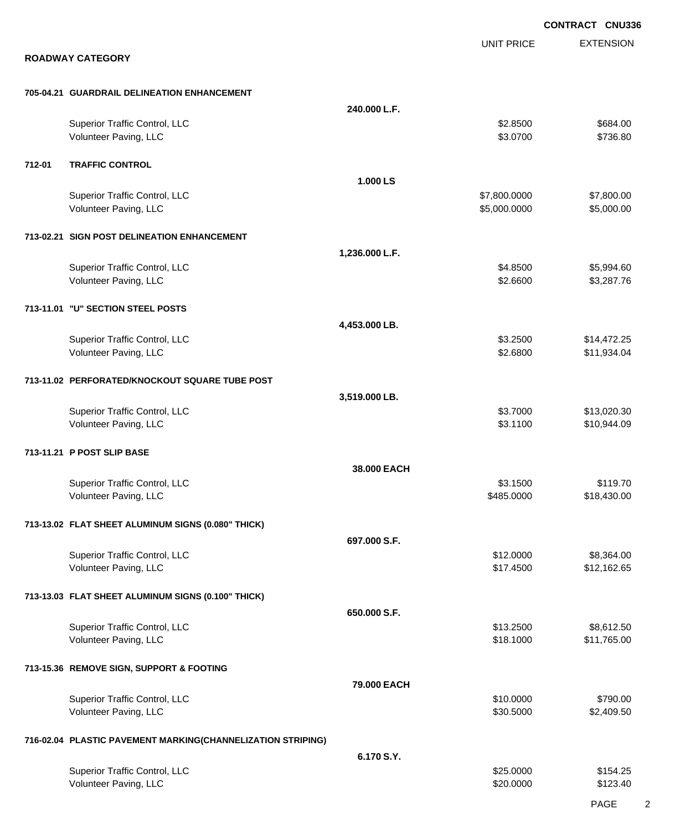EXTENSION **CONTRACT CNU336** UNIT PRICE **ROADWAY CATEGORY 705-04.21 GUARDRAIL DELINEATION ENHANCEMENT 240.000 L.F.** Superior Traffic Control, LLC 684.00 Volunteer Paving, LLC \$736.80 **712-01 TRAFFIC CONTROL 1.000 LS** Superior Traffic Control, LLC 66 and the state of the state of the state of the state of the state of the state of the state of the state of the state of the state of the state of the state of the state of the state of the Volunteer Paving, LLC 6.000.000 \$5,000.000 \$5,000.000 \$5,000.000 \$5,000.000 \$5,000.000 \$5,000.00 **713-02.21 SIGN POST DELINEATION ENHANCEMENT 1,236.000 L.F.** Superior Traffic Control, LLC 65,994.60 Volunteer Paving, LLC 63,287.76 **713-11.01 "U" SECTION STEEL POSTS 4,453.000 LB.** Superior Traffic Control, LLC **\$3.2500** \$14,472.25 Volunteer Paving, LLC 6. 2012 12:00 \$11,934.04 **713-11.02 PERFORATED/KNOCKOUT SQUARE TUBE POST 3,519.000 LB.** Superior Traffic Control, LLC 613,020.30 Volunteer Paving, LLC 61.1100 \$10,944.09 **713-11.21 P POST SLIP BASE 38.000 EACH** Superior Traffic Control, LLC \$119.70 Volunteer Paving, LLC 618,430.00 \$18,430.00 \$18,430.00 \$18,430.00 \$18,430.00 \$18,430.00 \$18,430.00 \$18,430.00 \$18,430.00 \$18,430.00 \$18,430.00 \$18,430.00 \$18,430.00 \$18,430.00 \$18,430.00 \$18,430.00 \$18,430.00 \$18,430.00 \$1 **713-13.02 FLAT SHEET ALUMINUM SIGNS (0.080" THICK) 697.000 S.F.** Superior Traffic Control, LLC 68,364.00 Volunteer Paving, LLC 6512,162.65 **713-13.03 FLAT SHEET ALUMINUM SIGNS (0.100" THICK) 650.000 S.F.** Superior Traffic Control, LLC 68,612.50 Volunteer Paving, LLC 611,765.00 \$11,765.00 **713-15.36 REMOVE SIGN, SUPPORT & FOOTING 79.000 EACH** Superior Traffic Control, LLC \$10.0000 \$790.00 Volunteer Paving, LLC 6. 2.409.50 \$2,409.50 \$2,409.50 \$2,409.50 \$2,409.50 \$2,409.50 \$2,409.50 \$2,409.50 \$2,409 **716-02.04 PLASTIC PAVEMENT MARKING(CHANNELIZATION STRIPING) 6.170 S.Y.** Superior Traffic Control, LLC \$25.0000 \$154.25 Volunteer Paving, LLC \$123.40

PAGE 2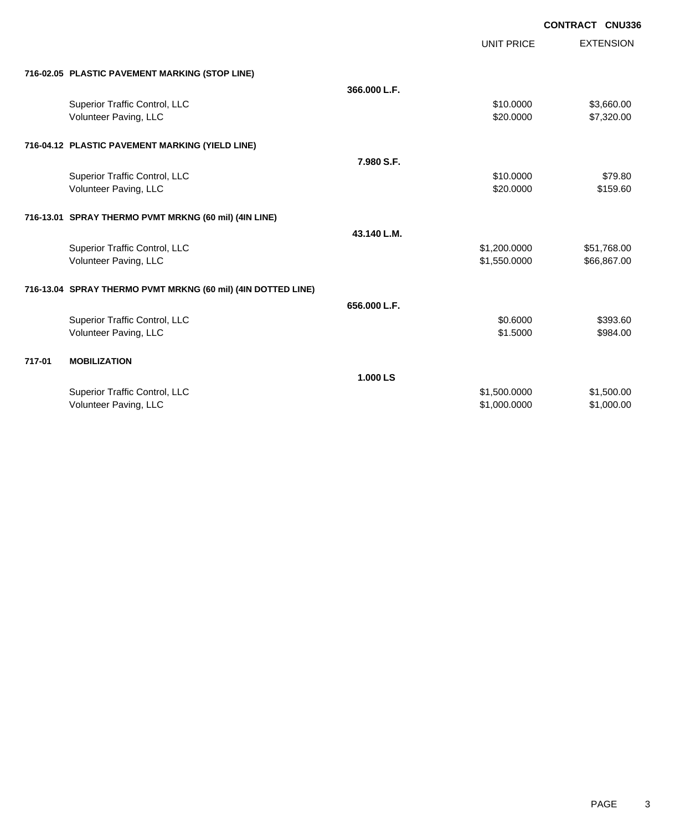|        |                                                              |              | <b>UNIT PRICE</b> | <b>EXTENSION</b> |
|--------|--------------------------------------------------------------|--------------|-------------------|------------------|
|        | 716-02.05 PLASTIC PAVEMENT MARKING (STOP LINE)               |              |                   |                  |
|        |                                                              | 366.000 L.F. |                   |                  |
|        | Superior Traffic Control, LLC                                |              | \$10.0000         | \$3,660.00       |
|        | Volunteer Paving, LLC                                        |              | \$20.0000         | \$7,320.00       |
|        | 716-04.12 PLASTIC PAVEMENT MARKING (YIELD LINE)              |              |                   |                  |
|        |                                                              | 7.980 S.F.   |                   |                  |
|        | Superior Traffic Control, LLC                                |              | \$10,0000         | \$79.80          |
|        | Volunteer Paving, LLC                                        |              | \$20,0000         | \$159.60         |
|        | 716-13.01 SPRAY THERMO PVMT MRKNG (60 mil) (4IN LINE)        |              |                   |                  |
|        |                                                              | 43.140 L.M.  |                   |                  |
|        | Superior Traffic Control, LLC                                |              | \$1,200.0000      | \$51,768.00      |
|        | Volunteer Paving, LLC                                        |              | \$1,550.0000      | \$66,867.00      |
|        | 716-13.04 SPRAY THERMO PVMT MRKNG (60 mil) (4IN DOTTED LINE) |              |                   |                  |
|        |                                                              | 656.000 L.F. |                   |                  |
|        | Superior Traffic Control, LLC                                |              | \$0.6000          | \$393.60         |
|        | Volunteer Paving, LLC                                        |              | \$1.5000          | \$984.00         |
| 717-01 | <b>MOBILIZATION</b>                                          |              |                   |                  |
|        |                                                              | 1.000 LS     |                   |                  |
|        | Superior Traffic Control, LLC                                |              | \$1,500.0000      | \$1,500.00       |
|        | Volunteer Paving, LLC                                        |              | \$1,000.0000      | \$1,000.00       |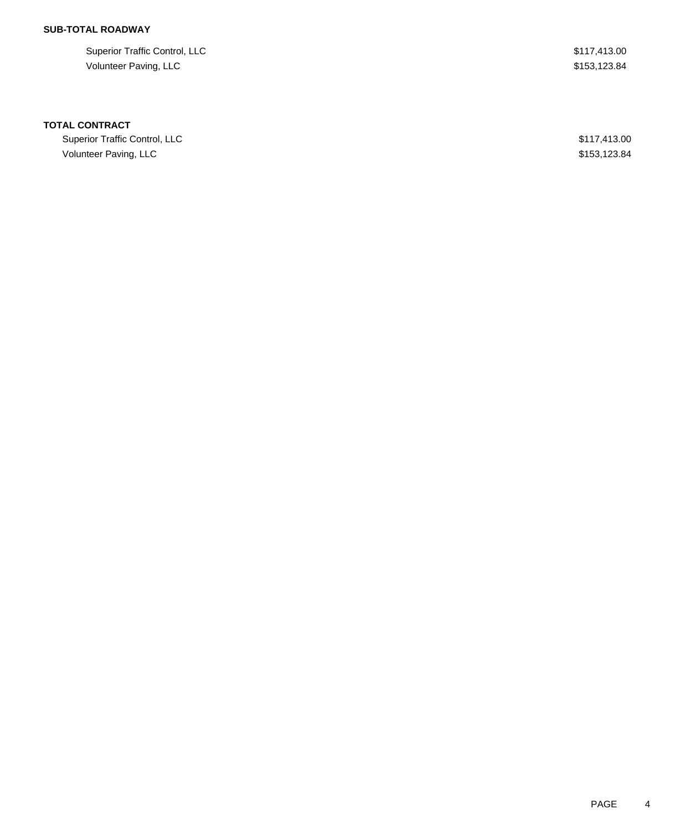## **SUB-TOTAL ROADWAY**

| Superior Traffic Control, LLC | \$117,413.00 |
|-------------------------------|--------------|
| Volunteer Paving, LLC         | \$153.123.84 |

| Superior Traffic Control, LLC | \$117,413.00 |
|-------------------------------|--------------|
| Volunteer Paving, LLC         | \$153.123.84 |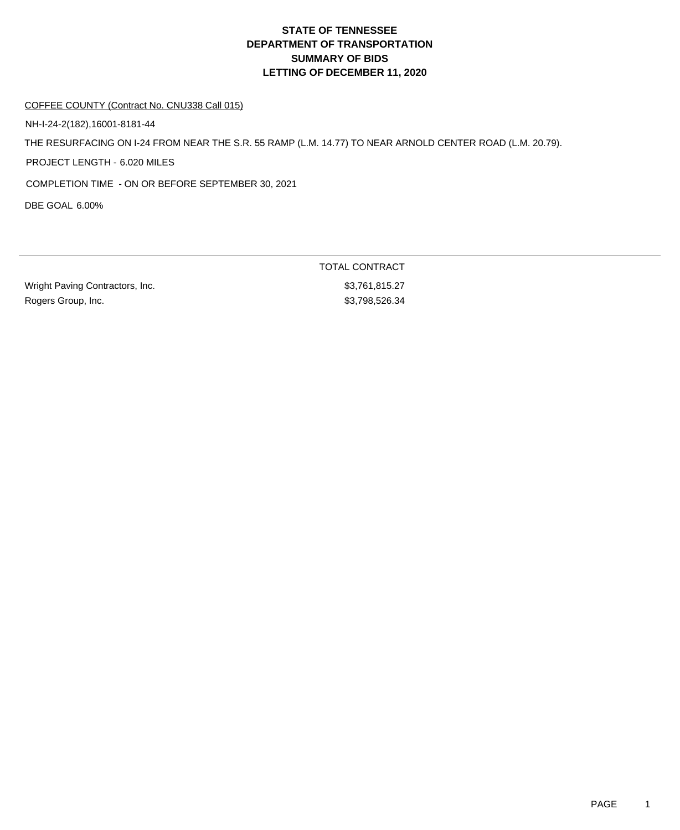# **DEPARTMENT OF TRANSPORTATION SUMMARY OF BIDS LETTING OF DECEMBER 11, 2020 STATE OF TENNESSEE**

#### COFFEE COUNTY (Contract No. CNU338 Call 015)

NH-I-24-2(182),16001-8181-44

THE RESURFACING ON I-24 FROM NEAR THE S.R. 55 RAMP (L.M. 14.77) TO NEAR ARNOLD CENTER ROAD (L.M. 20.79).

PROJECT LENGTH - 6.020 MILES

COMPLETION TIME - ON OR BEFORE SEPTEMBER 30, 2021

DBE GOAL 6.00%

Wright Paving Contractors, Inc. 63,761,815.27 Rogers Group, Inc. 6. 2010 12:35 12:35 13:3798,526.34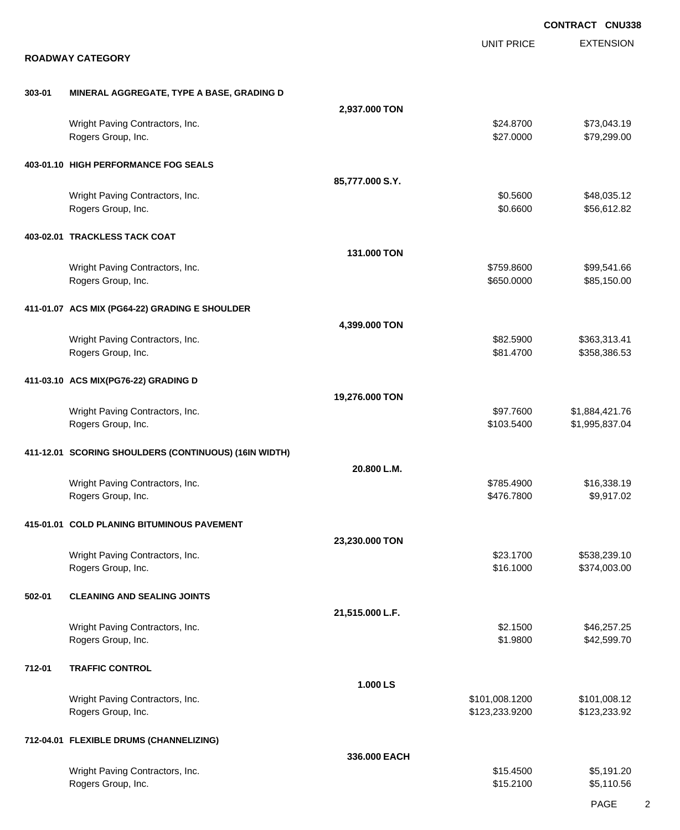|        |                                                       |                 |                          | <b>CONTRACT CNU338</b>       |
|--------|-------------------------------------------------------|-----------------|--------------------------|------------------------------|
|        | <b>ROADWAY CATEGORY</b>                               |                 | <b>UNIT PRICE</b>        | <b>EXTENSION</b>             |
| 303-01 | MINERAL AGGREGATE, TYPE A BASE, GRADING D             |                 |                          |                              |
|        |                                                       | 2,937.000 TON   |                          |                              |
|        | Wright Paving Contractors, Inc.<br>Rogers Group, Inc. |                 | \$24.8700<br>\$27.0000   | \$73,043.19<br>\$79,299.00   |
|        | 403-01.10 HIGH PERFORMANCE FOG SEALS                  |                 |                          |                              |
|        |                                                       | 85,777.000 S.Y. |                          |                              |
|        | Wright Paving Contractors, Inc.<br>Rogers Group, Inc. |                 | \$0.5600<br>\$0.6600     | \$48,035.12<br>\$56,612.82   |
|        | 403-02.01 TRACKLESS TACK COAT                         |                 |                          |                              |
|        |                                                       | 131.000 TON     |                          |                              |
|        | Wright Paving Contractors, Inc.<br>Rogers Group, Inc. |                 | \$759.8600<br>\$650.0000 | \$99,541.66<br>\$85,150.00   |
|        | 411-01.07 ACS MIX (PG64-22) GRADING E SHOULDER        |                 |                          |                              |
|        |                                                       | 4,399.000 TON   |                          |                              |
|        | Wright Paving Contractors, Inc.<br>Rogers Group, Inc. |                 | \$82.5900<br>\$81.4700   | \$363,313.41<br>\$358,386.53 |
|        | 411-03.10 ACS MIX(PG76-22) GRADING D                  |                 |                          |                              |
|        | Wright Paving Contractors, Inc.                       | 19,276.000 TON  | \$97.7600                | \$1,884,421.76               |
|        | Rogers Group, Inc.                                    |                 | \$103.5400               | \$1,995,837.04               |
|        | 411-12.01 SCORING SHOULDERS (CONTINUOUS) (16IN WIDTH) | 20.800 L.M.     |                          |                              |
|        | Wright Paving Contractors, Inc.                       |                 | \$785.4900               | \$16,338.19                  |
|        | Rogers Group, Inc.                                    |                 | \$476.7800               | \$9,917.02                   |
|        | 415-01.01 COLD PLANING BITUMINOUS PAVEMENT            | 23,230.000 TON  |                          |                              |
|        | Wright Paving Contractors, Inc.                       |                 | \$23.1700                | \$538,239.10                 |
|        | Rogers Group, Inc.                                    |                 | \$16.1000                | \$374,003.00                 |
| 502-01 | <b>CLEANING AND SEALING JOINTS</b>                    | 21,515.000 L.F. |                          |                              |
|        | Wright Paving Contractors, Inc.                       |                 | \$2.1500                 | \$46,257.25                  |
|        | Rogers Group, Inc.                                    |                 | \$1.9800                 | \$42,599.70                  |
| 712-01 | <b>TRAFFIC CONTROL</b>                                | 1.000 LS        |                          |                              |
|        | Wright Paving Contractors, Inc.                       |                 | \$101,008.1200           | \$101,008.12                 |
|        | Rogers Group, Inc.                                    |                 | \$123,233.9200           | \$123,233.92                 |
|        | 712-04.01 FLEXIBLE DRUMS (CHANNELIZING)               | 336.000 EACH    |                          |                              |
|        | Wright Paving Contractors, Inc.                       |                 | \$15.4500                | \$5,191.20                   |
|        | Rogers Group, Inc.                                    |                 | \$15.2100                | \$5,110.56                   |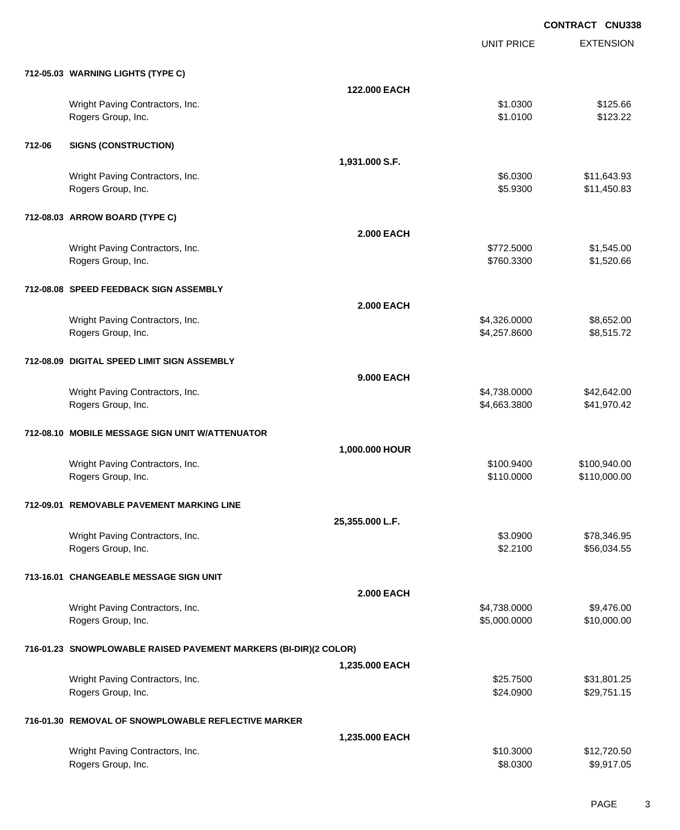EXTENSION **CONTRACT CNU338** UNIT PRICE **712-05.03 WARNING LIGHTS (TYPE C) 122.000 EACH** Wright Paving Contractors, Inc. 66 and the state of the state of the state of the state of the state of the state of the state of the state of the state of the state of the state of the state of the state of the state of t Rogers Group, Inc. \$1.0100 \$123.22 **712-06 SIGNS (CONSTRUCTION) 1,931.000 S.F.** Wright Paving Contractors, Inc. 6. 2010 1.1. 2010 1.1. 2010 1.1. 2010 1.1. 36.0300 \$11,643.93 Rogers Group, Inc. \$11,450.83 **712-08.03 ARROW BOARD (TYPE C) 2.000 EACH** Wright Paving Contractors, Inc. 6. 2012. The contractors of the contractors, Inc. 6. 2012.5000 \$1,545.000 \$1,545.00 Rogers Group, Inc. \$1,520.66 **712-08.08 SPEED FEEDBACK SIGN ASSEMBLY 2.000 EACH** Wright Paving Contractors, Inc. 6. 2012. The contractors of the contractors, Inc. 6. 2013. The contractors, Inc. 6. 2013. The contractors of the contractors, Inc. 6. 2013. The contractors of the contractors, Inc. 6. 2013. Rogers Group, Inc. \$4,257.8600 \$8,515.72 **712-08.09 DIGITAL SPEED LIMIT SIGN ASSEMBLY 9.000 EACH** Wright Paving Contractors, Inc. 642,642.00 \$4,738.0000 \$4,738.0000 \$42,642.00 Rogers Group, Inc. \$41,970.42 **712-08.10 MOBILE MESSAGE SIGN UNIT W/ATTENUATOR 1,000.000 HOUR** Wright Paving Contractors, Inc. 6. 2008. The contractors of the contractors, Inc. 6. 2009. The contractors, Inc. 6. 2009. The contractors of the contractors, Inc. 6. 2009. The contractors of the contractors, Inc. 6. 2009. Rogers Group, Inc. 6. 2010. The set of the set of the set of the set of the set of the set of the set of the set of the set of the set of the set of the set of the set of the set of the set of the set of the set of the set **712-09.01 REMOVABLE PAVEMENT MARKING LINE 25,355.000 L.F.** Wright Paving Contractors, Inc. 6. 2012 12:30 12:30 12:30 13:30 14:30 14:30 14:30 14:30 14:30 14:30 14:30 14:30 14:30 14:30 14:30 14:30 14:30 14:30 14:30 14:30 14:30 14:30 14:30 14:30 14:30 14:30 14:30 14:30 14:30 14:30 14 Rogers Group, Inc. \$2.2100 \$56,034.55 **713-16.01 CHANGEABLE MESSAGE SIGN UNIT 2.000 EACH** Wright Paving Contractors, Inc. 6. 2012 12:38.0000 \$9,4738.0000 \$9,476.00 Rogers Group, Inc. \$10,000.000 \$10,000.00 \$10,000.00 \$10,000.00 \$10,000.00 \$10,000.00 \$10,000.00 \$10,000.00 \$10 **716-01.23 SNOWPLOWABLE RAISED PAVEMENT MARKERS (BI-DIR)(2 COLOR) 1,235.000 EACH** Wright Paving Contractors, Inc. 6. 2012. The state of the state of the state of the state of the state of the state of the state of the state of the state of the state of the state of the state of the state of the state of Rogers Group, Inc. \$29,751.15 (\$24.0900 \$29,751.15 **716-01.30 REMOVAL OF SNOWPLOWABLE REFLECTIVE MARKER 1,235.000 EACH**

| \$10,3000 | \$12,720.50 |
|-----------|-------------|
| \$8,0300  | \$9,917.05  |
|           |             |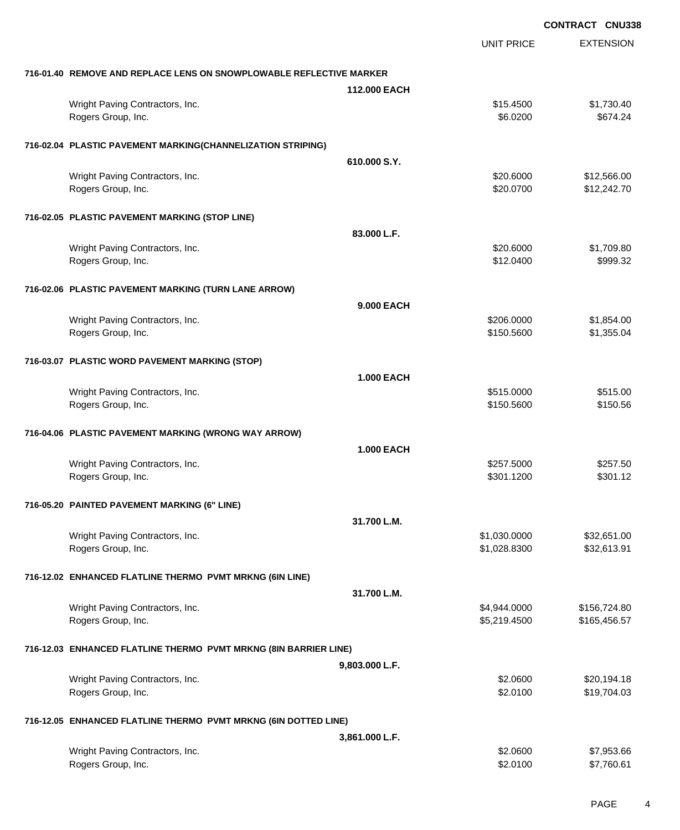**EXTENSION CONTRACT CNU338** UNIT PRICE **716-01.40 REMOVE AND REPLACE LENS ON SNOWPLOWABLE REFLECTIVE MARKER 112.000 EACH** Wright Paving Contractors, Inc. 61,730.40 Rogers Group, Inc. \$674.24 **716-02.04 PLASTIC PAVEMENT MARKING(CHANNELIZATION STRIPING) 610.000 S.Y.** Wright Paving Contractors, Inc. 6. 20.6000 \$12,566.00 Rogers Group, Inc. \$20.0700 \$12,242.70 **716-02.05 PLASTIC PAVEMENT MARKING (STOP LINE) 83.000 L.F.** Wright Paving Contractors, Inc. 6. 20.6000 \$1,709.80 Rogers Group, Inc. \$12.0400 \$999.32 **716-02.06 PLASTIC PAVEMENT MARKING (TURN LANE ARROW) 9.000 EACH** Wright Paving Contractors, Inc. 6. 2008.0000 \$1,854.00 Rogers Group, Inc. \$1,355.04 \$1,355.04 **716-03.07 PLASTIC WORD PAVEMENT MARKING (STOP) 1.000 EACH** Wright Paving Contractors, Inc. 6515.000 \$515.000 \$515.000 \$515.000 \$515.000 Rogers Group, Inc. \$150.5600 \$150.5600 \$150.5600 \$150.5600 \$150.5600 \$150.5600 \$150.5600 \$150.56 **716-04.06 PLASTIC PAVEMENT MARKING (WRONG WAY ARROW) 1.000 EACH** Wright Paving Contractors, Inc. 6257.5000 \$257.5000 \$257.5000 \$257.5000 Rogers Group, Inc. \$301.1200 \$301.1200 \$301.1200 \$301.1200 \$301.1200 \$301.1200 \$301.12 **716-05.20 PAINTED PAVEMENT MARKING (6" LINE) 31.700 L.M.** Wright Paving Contractors, Inc. 6. The Contractors, Inc. 6. The Contractors, Inc. 6. The Contractors, Inc. 6. The Contractors, Inc. 6. The Contractors, Inc. 6. The Contractors, Inc. 6. The Contractors, Inc. 6. The Contract Rogers Group, Inc. \$1,028.8300 \$32,613.91 **716-12.02 ENHANCED FLATLINE THERMO PVMT MRKNG (6IN LINE) 31.700 L.M.** Wright Paving Contractors, Inc. 6. 2012 12:30 12:30 12:30 12:30 12:30 12:30 12:30 12:30 12:40 12:40 12:40 12:40 Rogers Group, Inc. \$165,456.57 **716-12.03 ENHANCED FLATLINE THERMO PVMT MRKNG (8IN BARRIER LINE) 9,803.000 L.F.** Wright Paving Contractors, Inc. 620, 194.18 Rogers Group, Inc. \$19,704.03

### **716-12.05 ENHANCED FLATLINE THERMO PVMT MRKNG (6IN DOTTED LINE)**

|                                                       | 3.861.000 L.F.       |                          |
|-------------------------------------------------------|----------------------|--------------------------|
| Wright Paving Contractors, Inc.<br>Rogers Group, Inc. | \$2,0600<br>\$2,0100 | \$7,953.66<br>\$7,760.61 |
|                                                       |                      |                          |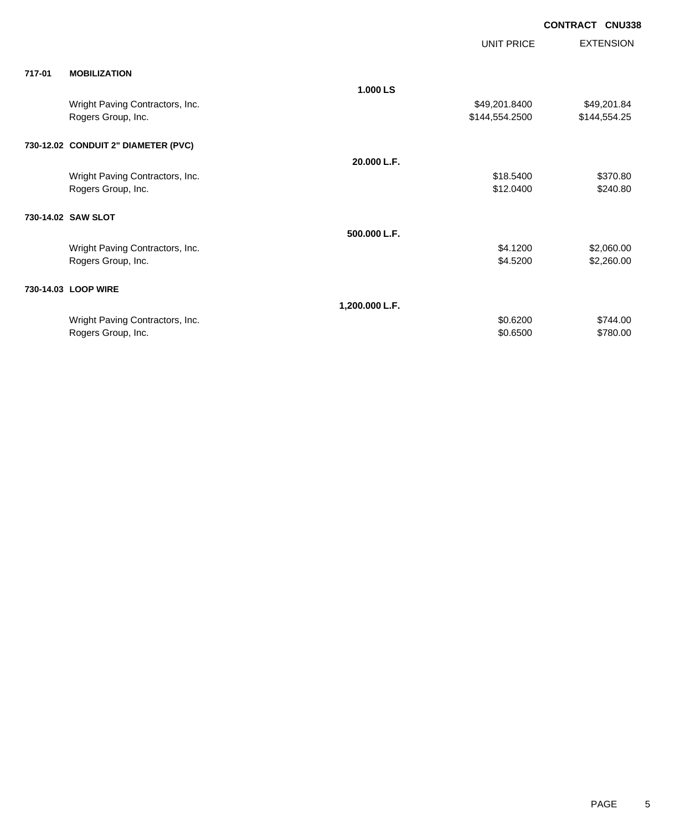|                                     |                | ---------      |                  |
|-------------------------------------|----------------|----------------|------------------|
|                                     |                | UNIT PRICE     | <b>EXTENSION</b> |
| 717-01<br><b>MOBILIZATION</b>       |                |                |                  |
|                                     | 1.000 LS       |                |                  |
| Wright Paving Contractors, Inc.     |                | \$49,201.8400  | \$49,201.84      |
| Rogers Group, Inc.                  |                | \$144,554.2500 | \$144,554.25     |
| 730-12.02 CONDUIT 2" DIAMETER (PVC) |                |                |                  |
|                                     |                |                |                  |
|                                     | 20.000 L.F.    |                |                  |
| Wright Paving Contractors, Inc.     |                | \$18.5400      | \$370.80         |
| Rogers Group, Inc.                  |                | \$12.0400      | \$240.80         |
| 730-14.02 SAW SLOT                  |                |                |                  |
|                                     | 500.000 L.F.   |                |                  |
| Wright Paving Contractors, Inc.     |                | \$4.1200       | \$2,060.00       |
| Rogers Group, Inc.                  |                | \$4.5200       | \$2,260.00       |
|                                     |                |                |                  |
| 730-14.03 LOOP WIRE                 |                |                |                  |
|                                     | 1,200.000 L.F. |                |                  |
| Wright Paving Contractors, Inc.     |                | \$0.6200       | \$744.00         |
| Rogers Group, Inc.                  |                | \$0.6500       | \$780.00         |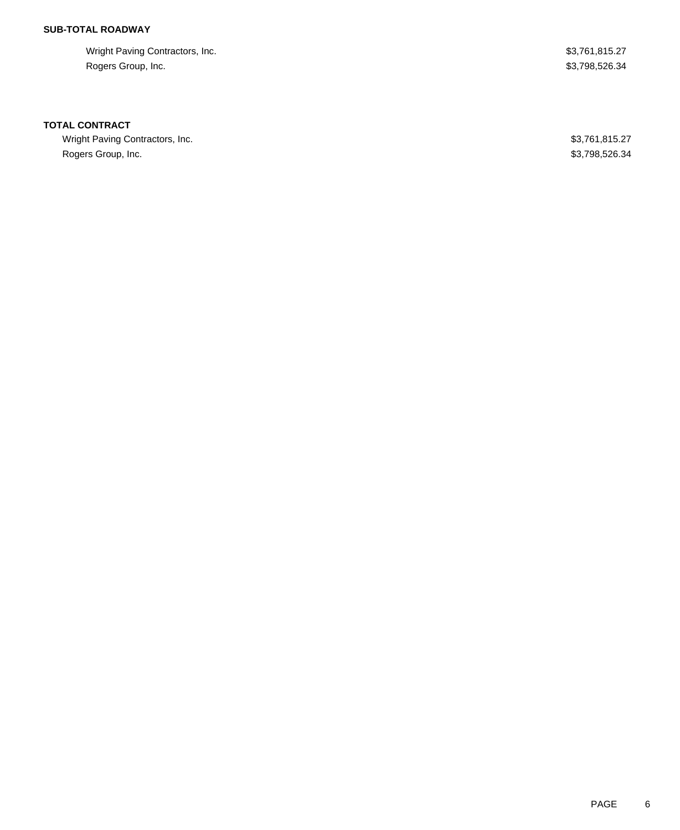# **SUB-TOTAL ROADWAY**

Wright Paving Contractors, Inc. 63,761,815.27 Rogers Group, Inc. \$3,798,526.34

### **TOTAL CONTRACT**

Wright Paving Contractors, Inc. 6. 27 Rogers Group, Inc. \$3,798,526.34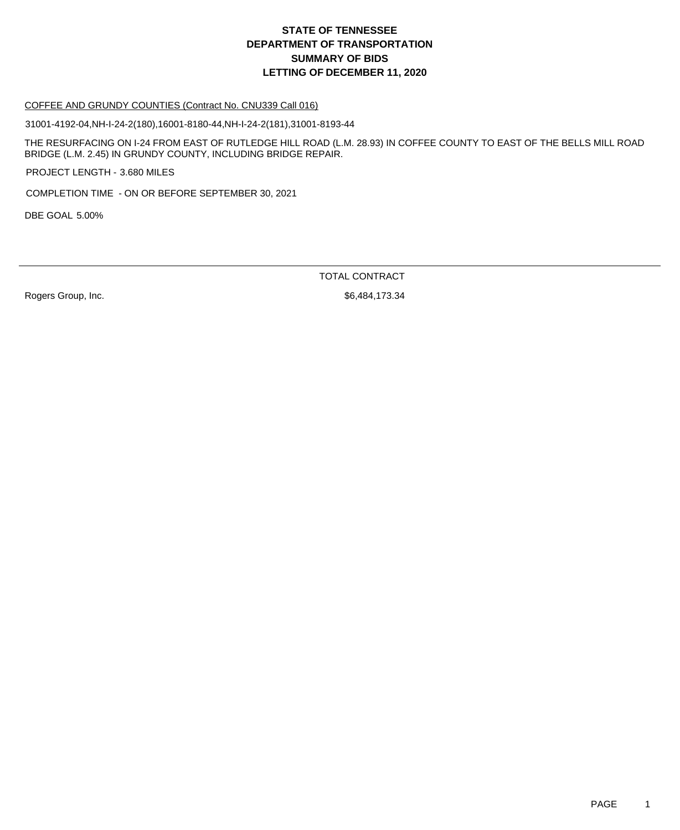# **DEPARTMENT OF TRANSPORTATION SUMMARY OF BIDS LETTING OF DECEMBER 11, 2020 STATE OF TENNESSEE**

#### COFFEE AND GRUNDY COUNTIES (Contract No. CNU339 Call 016)

31001-4192-04,NH-I-24-2(180),16001-8180-44,NH-I-24-2(181),31001-8193-44

THE RESURFACING ON I-24 FROM EAST OF RUTLEDGE HILL ROAD (L.M. 28.93) IN COFFEE COUNTY TO EAST OF THE BELLS MILL ROAD BRIDGE (L.M. 2.45) IN GRUNDY COUNTY, INCLUDING BRIDGE REPAIR.

PROJECT LENGTH - 3.680 MILES

COMPLETION TIME - ON OR BEFORE SEPTEMBER 30, 2021

DBE GOAL 5.00%

TOTAL CONTRACT

Rogers Group, Inc. 6. 2010 12:334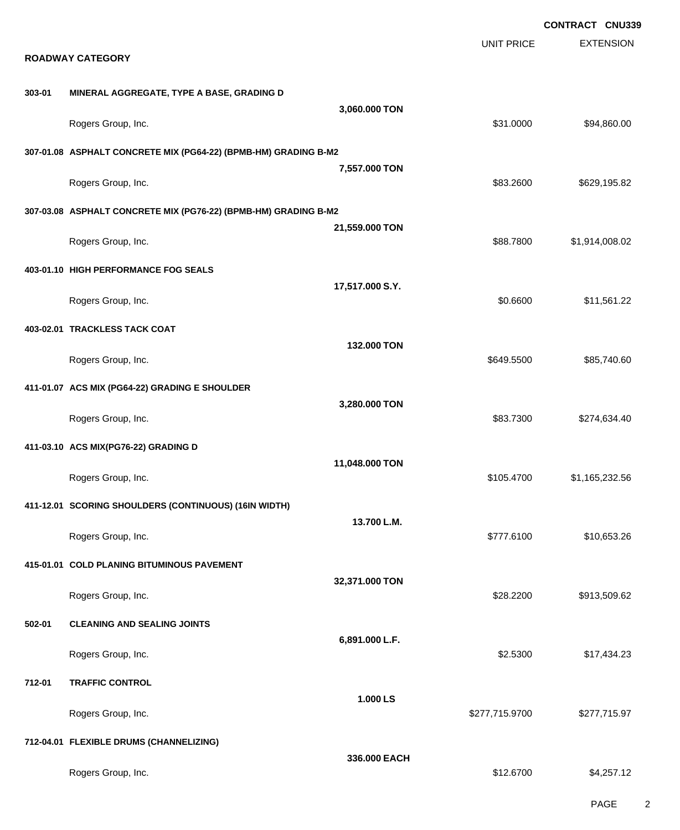EXTENSION **CONTRACT CNU339** UNIT PRICE **ROADWAY CATEGORY 303-01 MINERAL AGGREGATE, TYPE A BASE, GRADING D 3,060.000 TON** Rogers Group, Inc. \$31.0000 \$94,860.00 **307-01.08 ASPHALT CONCRETE MIX (PG64-22) (BPMB-HM) GRADING B-M2 7,557.000 TON** Rogers Group, Inc. \$83.2600 \$629,195.82 **307-03.08 ASPHALT CONCRETE MIX (PG76-22) (BPMB-HM) GRADING B-M2 21,559.000 TON** Rogers Group, Inc. \$88.7800 \$1,914,008.02 **403-01.10 HIGH PERFORMANCE FOG SEALS 17,517.000 S.Y.** Rogers Group, Inc. \$11,561.22 **403-02.01 TRACKLESS TACK COAT 132.000 TON** Rogers Group, Inc. \$85,740.60 **411-01.07 ACS MIX (PG64-22) GRADING E SHOULDER 3,280.000 TON** Rogers Group, Inc. \$83.7300 \$274,634.40 **411-03.10 ACS MIX(PG76-22) GRADING D 11,048.000 TON** Rogers Group, Inc. \$1,165,232.56 **411-12.01 SCORING SHOULDERS (CONTINUOUS) (16IN WIDTH) 13.700 L.M.** Rogers Group, Inc. \$10,653.26 **415-01.01 COLD PLANING BITUMINOUS PAVEMENT 32,371.000 TON** Rogers Group, Inc. \$28.2200 \$913,509.62 **502-01 CLEANING AND SEALING JOINTS 6,891.000 L.F.** Rogers Group, Inc. \$17,434.23 **712-01 TRAFFIC CONTROL 1.000 LS** Rogers Group, Inc. \$277,715.9700 \$277,715.9700 \$277,715.9700 \$277,715.9700 \$277,715.97 **712-04.01 FLEXIBLE DRUMS (CHANNELIZING) 336.000 EACH** Rogers Group, Inc. \$1,257.12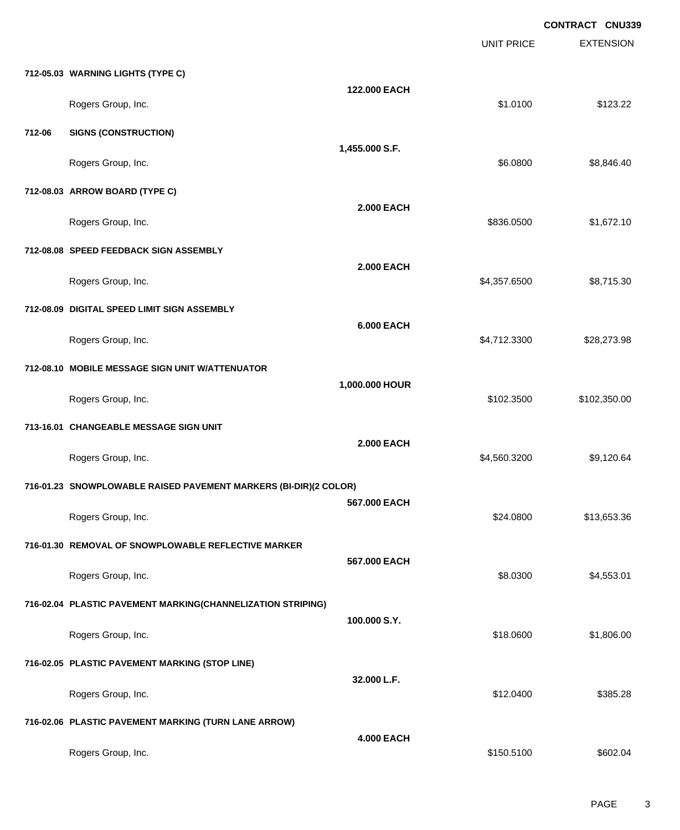|        |                                                                  |                   | <b>UNIT PRICE</b> | <b>CONTRACT CNU339</b><br><b>EXTENSION</b> |
|--------|------------------------------------------------------------------|-------------------|-------------------|--------------------------------------------|
|        | 712-05.03 WARNING LIGHTS (TYPE C)                                |                   |                   |                                            |
|        | Rogers Group, Inc.                                               | 122.000 EACH      | \$1.0100          | \$123.22                                   |
| 712-06 | <b>SIGNS (CONSTRUCTION)</b>                                      |                   |                   |                                            |
|        | Rogers Group, Inc.                                               | 1,455.000 S.F.    | \$6.0800          | \$8,846.40                                 |
|        | 712-08.03 ARROW BOARD (TYPE C)                                   |                   |                   |                                            |
|        | Rogers Group, Inc.                                               | <b>2.000 EACH</b> | \$836.0500        | \$1,672.10                                 |
|        | 712-08.08 SPEED FEEDBACK SIGN ASSEMBLY                           |                   |                   |                                            |
|        | Rogers Group, Inc.                                               | <b>2.000 EACH</b> | \$4,357.6500      | \$8,715.30                                 |
|        | 712-08.09 DIGITAL SPEED LIMIT SIGN ASSEMBLY                      |                   |                   |                                            |
|        | Rogers Group, Inc.                                               | <b>6.000 EACH</b> | \$4,712.3300      | \$28,273.98                                |
|        | 712-08.10 MOBILE MESSAGE SIGN UNIT W/ATTENUATOR                  |                   |                   |                                            |
|        | Rogers Group, Inc.                                               | 1,000.000 HOUR    | \$102.3500        | \$102,350.00                               |
|        | 713-16.01 CHANGEABLE MESSAGE SIGN UNIT                           |                   |                   |                                            |
|        | Rogers Group, Inc.                                               | <b>2.000 EACH</b> | \$4,560.3200      | \$9,120.64                                 |
|        | 716-01.23 SNOWPLOWABLE RAISED PAVEMENT MARKERS (BI-DIR)(2 COLOR) |                   |                   |                                            |
|        | Rogers Group, Inc.                                               | 567.000 EACH      | \$24.0800         | \$13,653.36                                |
|        | 716-01.30 REMOVAL OF SNOWPLOWABLE REFLECTIVE MARKER              |                   |                   |                                            |
|        | Rogers Group, Inc.                                               | 567.000 EACH      | \$8.0300          | \$4,553.01                                 |
|        | 716-02.04 PLASTIC PAVEMENT MARKING(CHANNELIZATION STRIPING)      |                   |                   |                                            |
|        | Rogers Group, Inc.                                               | 100.000 S.Y.      | \$18.0600         | \$1,806.00                                 |
|        | 716-02.05 PLASTIC PAVEMENT MARKING (STOP LINE)                   |                   |                   |                                            |
|        | Rogers Group, Inc.                                               | 32.000 L.F.       | \$12.0400         | \$385.28                                   |
|        | 716-02.06 PLASTIC PAVEMENT MARKING (TURN LANE ARROW)             |                   |                   |                                            |
|        | Rogers Group, Inc.                                               | <b>4.000 EACH</b> | \$150.5100        | \$602.04                                   |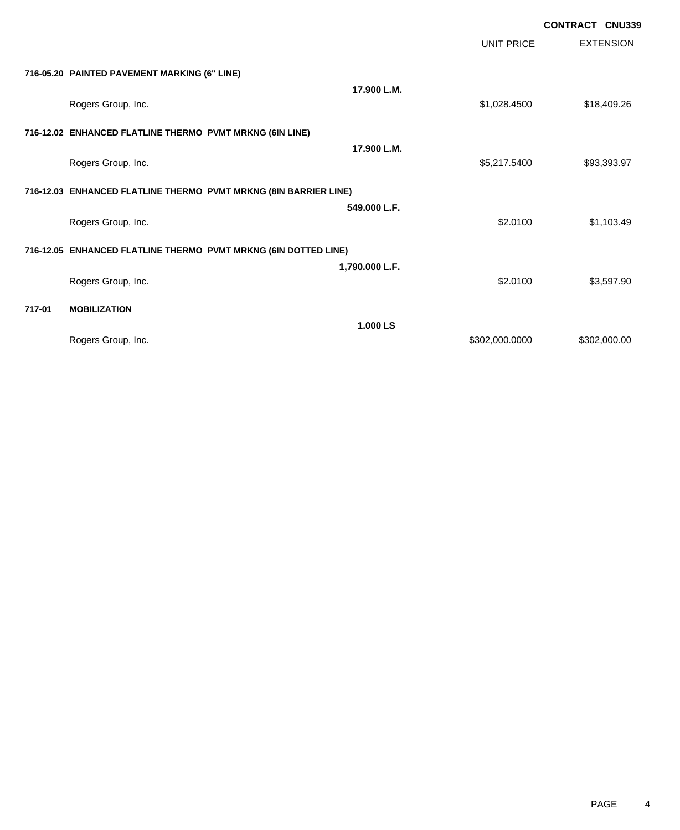EXTENSION **CONTRACT CNU339** UNIT PRICE **716-05.20 PAINTED PAVEMENT MARKING (6" LINE) 17.900 L.M.** Rogers Group, Inc. \$18,409.26 **716-12.02 ENHANCED FLATLINE THERMO PVMT MRKNG (6IN LINE) 17.900 L.M.** Rogers Group, Inc. \$93,393.97 **716-12.03 ENHANCED FLATLINE THERMO PVMT MRKNG (8IN BARRIER LINE) 549.000 L.F.** Rogers Group, Inc. \$1,103.49 \$1,103.49 **716-12.05 ENHANCED FLATLINE THERMO PVMT MRKNG (6IN DOTTED LINE) 1,790.000 L.F.** Rogers Group, Inc. \$3,597.90 **717-01 MOBILIZATION 1.000 LS** Rogers Group, Inc. \$302,000.000 \$302,000.000 \$302,000.000 \$302,000.000 \$302,000.00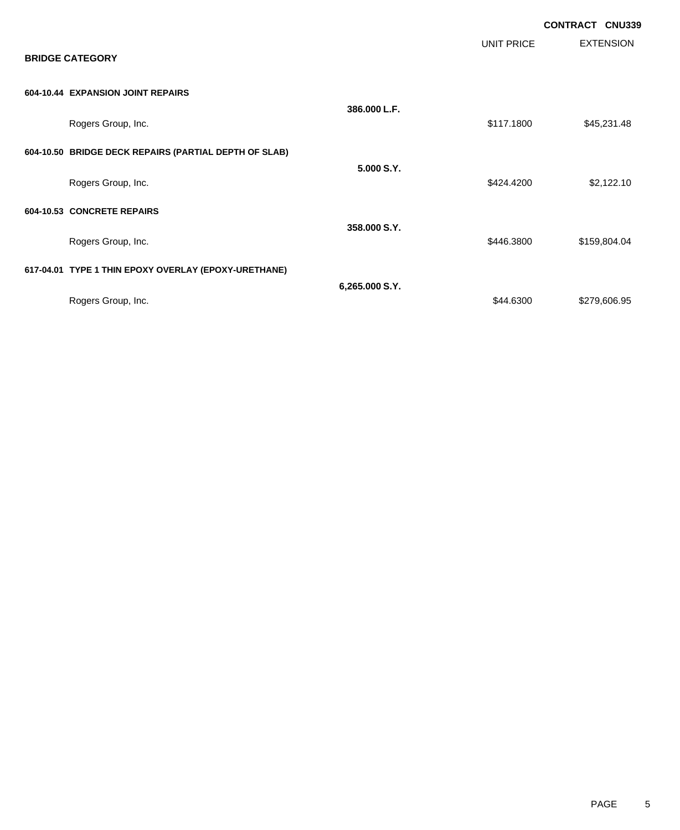|                                                       |                |                   | <b>CONTRACT CNU339</b> |
|-------------------------------------------------------|----------------|-------------------|------------------------|
| <b>BRIDGE CATEGORY</b>                                |                | <b>UNIT PRICE</b> | <b>EXTENSION</b>       |
| 604-10.44 EXPANSION JOINT REPAIRS                     |                |                   |                        |
| Rogers Group, Inc.                                    | 386.000 L.F.   | \$117.1800        | \$45,231.48            |
| 604-10.50 BRIDGE DECK REPAIRS (PARTIAL DEPTH OF SLAB) |                |                   |                        |
| Rogers Group, Inc.                                    | 5.000 S.Y.     | \$424.4200        | \$2,122.10             |
| 604-10.53 CONCRETE REPAIRS                            |                |                   |                        |
| Rogers Group, Inc.                                    | 358.000 S.Y.   | \$446.3800        | \$159,804.04           |
| 617-04.01 TYPE 1 THIN EPOXY OVERLAY (EPOXY-URETHANE)  |                |                   |                        |
| Rogers Group, Inc.                                    | 6,265.000 S.Y. | \$44.6300         | \$279,606.95           |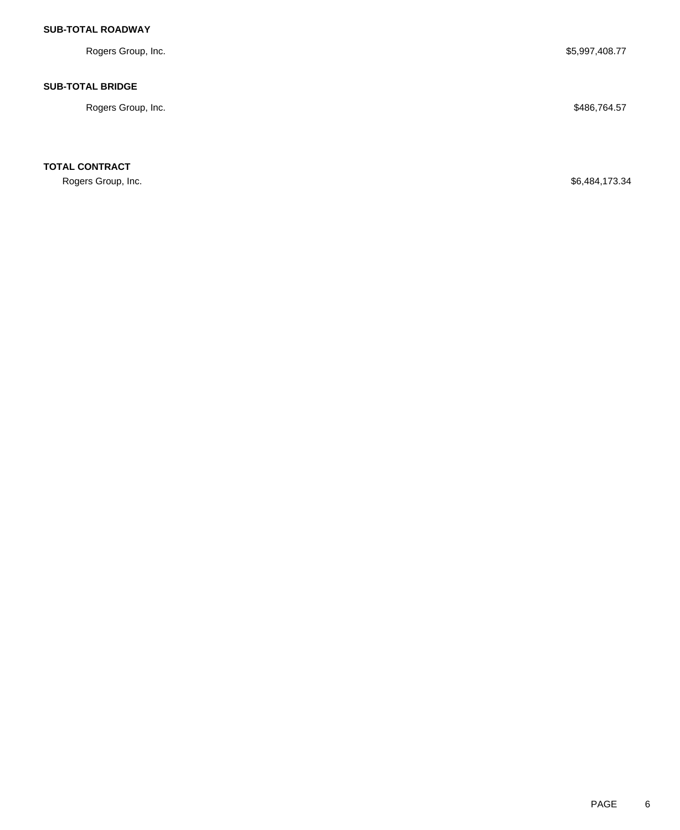# **SUB-TOTAL ROADWAY**

Rogers Group, Inc. \$5,997,408.77

### **SUB-TOTAL BRIDGE**

Rogers Group, Inc. \$486,764.57

**TOTAL CONTRACT**

Rogers Group, Inc. \$6,484,173.34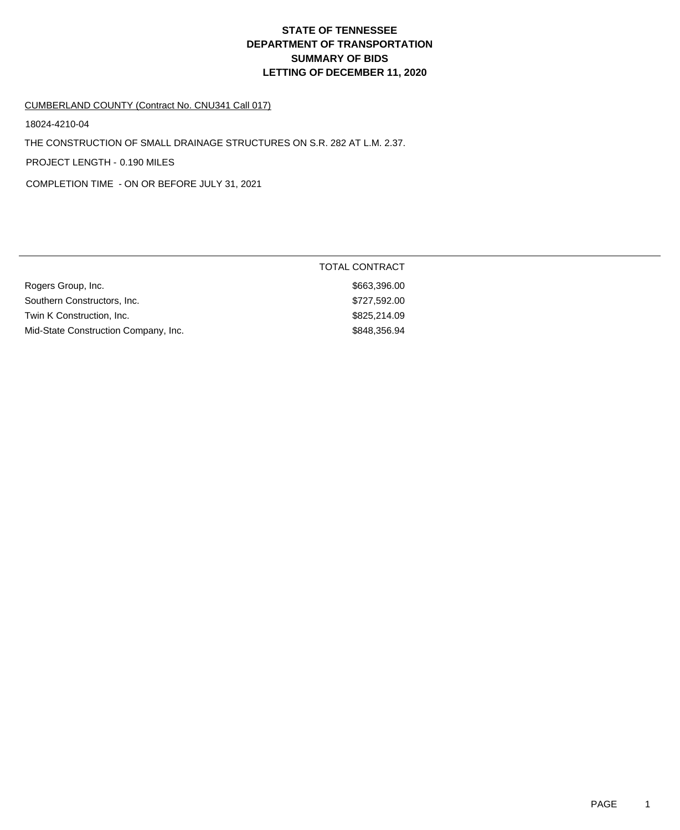# **DEPARTMENT OF TRANSPORTATION SUMMARY OF BIDS LETTING OF DECEMBER 11, 2020 STATE OF TENNESSEE**

### CUMBERLAND COUNTY (Contract No. CNU341 Call 017)

18024-4210-04

THE CONSTRUCTION OF SMALL DRAINAGE STRUCTURES ON S.R. 282 AT L.M. 2.37.

PROJECT LENGTH - 0.190 MILES

COMPLETION TIME - ON OR BEFORE JULY 31, 2021

|                                      | TOTAL CONTRACT |
|--------------------------------------|----------------|
| Rogers Group, Inc.                   | \$663,396.00   |
| Southern Constructors, Inc.          | \$727,592.00   |
| Twin K Construction, Inc.            | \$825,214.09   |
| Mid-State Construction Company, Inc. | \$848,356.94   |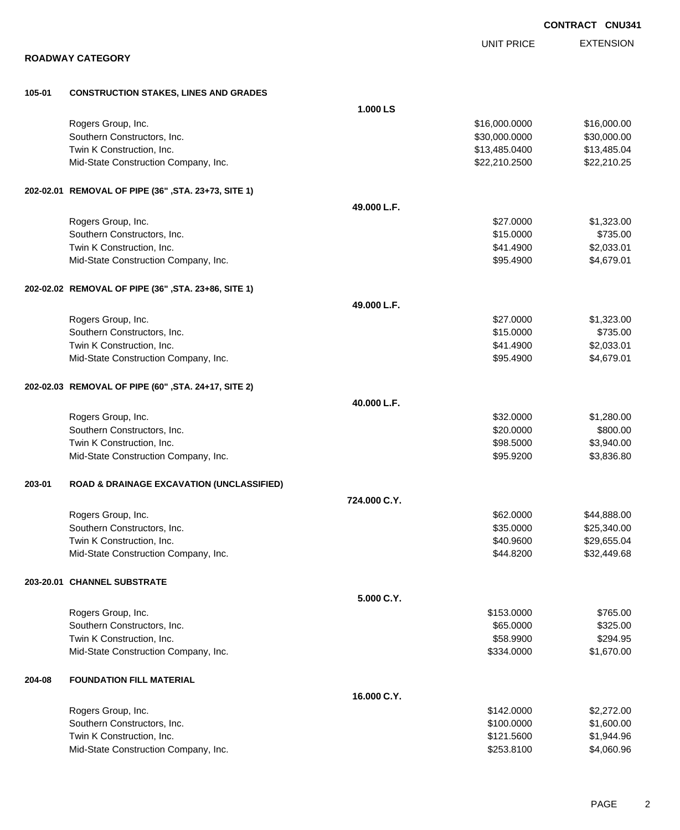|        |                                                     |              |                   | <b>CONTRACT CNU341</b> |
|--------|-----------------------------------------------------|--------------|-------------------|------------------------|
|        |                                                     |              | <b>UNIT PRICE</b> | <b>EXTENSION</b>       |
|        | <b>ROADWAY CATEGORY</b>                             |              |                   |                        |
| 105-01 | <b>CONSTRUCTION STAKES, LINES AND GRADES</b>        |              |                   |                        |
|        |                                                     | 1.000 LS     |                   |                        |
|        | Rogers Group, Inc.                                  |              | \$16,000.0000     | \$16,000.00            |
|        | Southern Constructors, Inc.                         |              | \$30,000.0000     | \$30,000.00            |
|        | Twin K Construction, Inc.                           |              | \$13,485.0400     | \$13,485.04            |
|        | Mid-State Construction Company, Inc.                |              | \$22,210.2500     | \$22,210.25            |
|        | 202-02.01 REMOVAL OF PIPE (36", STA. 23+73, SITE 1) |              |                   |                        |
|        |                                                     | 49.000 L.F.  |                   |                        |
|        | Rogers Group, Inc.                                  |              | \$27.0000         | \$1,323.00             |
|        | Southern Constructors, Inc.                         |              | \$15.0000         | \$735.00               |
|        | Twin K Construction, Inc.                           |              | \$41.4900         | \$2,033.01             |
|        | Mid-State Construction Company, Inc.                |              | \$95.4900         | \$4,679.01             |
|        | 202-02.02 REMOVAL OF PIPE (36", STA. 23+86, SITE 1) |              |                   |                        |
|        |                                                     | 49.000 L.F.  |                   |                        |
|        | Rogers Group, Inc.                                  |              | \$27.0000         | \$1,323.00             |
|        | Southern Constructors, Inc.                         |              | \$15.0000         | \$735.00               |
|        | Twin K Construction, Inc.                           |              | \$41.4900         | \$2,033.01             |
|        | Mid-State Construction Company, Inc.                |              | \$95.4900         | \$4,679.01             |
|        | 202-02.03 REMOVAL OF PIPE (60", STA. 24+17, SITE 2) |              |                   |                        |
|        |                                                     | 40.000 L.F.  |                   |                        |
|        | Rogers Group, Inc.                                  |              | \$32.0000         | \$1,280.00             |
|        | Southern Constructors, Inc.                         |              | \$20.0000         | \$800.00               |
|        | Twin K Construction, Inc.                           |              | \$98.5000         | \$3,940.00             |
|        | Mid-State Construction Company, Inc.                |              | \$95.9200         | \$3,836.80             |
| 203-01 | ROAD & DRAINAGE EXCAVATION (UNCLASSIFIED)           |              |                   |                        |
|        |                                                     | 724.000 C.Y. |                   |                        |
|        | Rogers Group, Inc.                                  |              | \$62.0000         | \$44,888.00            |
|        | Southern Constructors, Inc.                         |              | \$35.0000         | \$25,340.00            |
|        | Twin K Construction, Inc.                           |              | \$40.9600         | \$29,655.04            |
|        | Mid-State Construction Company, Inc.                |              | \$44.8200         | \$32,449.68            |
|        | 203-20.01 CHANNEL SUBSTRATE                         |              |                   |                        |
|        |                                                     | 5.000 C.Y.   |                   |                        |
|        | Rogers Group, Inc.                                  |              | \$153.0000        | \$765.00               |
|        | Southern Constructors, Inc.                         |              | \$65.0000         | \$325.00               |
|        | Twin K Construction, Inc.                           |              | \$58.9900         | \$294.95               |
|        | Mid-State Construction Company, Inc.                |              | \$334.0000        | \$1,670.00             |
| 204-08 | <b>FOUNDATION FILL MATERIAL</b>                     |              |                   |                        |
|        |                                                     | 16.000 C.Y.  |                   |                        |
|        | Rogers Group, Inc.                                  |              | \$142.0000        | \$2,272.00             |
|        | Southern Constructors, Inc.                         |              | \$100.0000        | \$1,600.00             |
|        | Twin K Construction, Inc.                           |              | \$121.5600        | \$1,944.96             |
|        | Mid-State Construction Company, Inc.                |              | \$253.8100        | \$4,060.96             |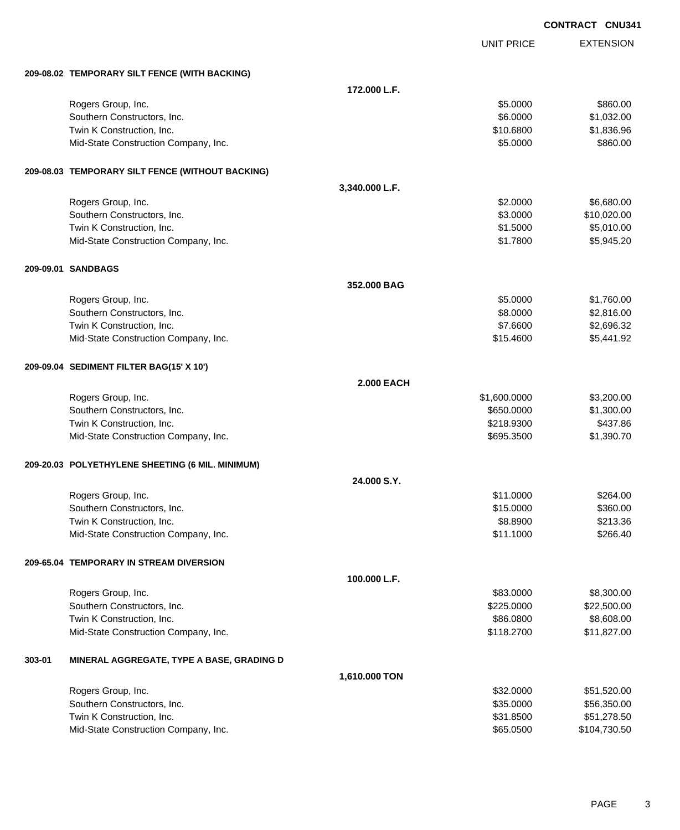|        |                                                  |                   |                   | <b>CONTRACT CNU34</b> |
|--------|--------------------------------------------------|-------------------|-------------------|-----------------------|
|        |                                                  |                   | <b>UNIT PRICE</b> | <b>EXTENSION</b>      |
|        | 209-08.02 TEMPORARY SILT FENCE (WITH BACKING)    |                   |                   |                       |
|        |                                                  | 172.000 L.F.      |                   |                       |
|        | Rogers Group, Inc.                               |                   | \$5.0000          | \$860.00              |
|        | Southern Constructors, Inc.                      |                   | \$6.0000          | \$1,032.00            |
|        | Twin K Construction, Inc.                        |                   | \$10.6800         | \$1,836.96            |
|        | Mid-State Construction Company, Inc.             |                   | \$5.0000          | \$860.00              |
|        | 209-08.03 TEMPORARY SILT FENCE (WITHOUT BACKING) |                   |                   |                       |
|        |                                                  | 3,340.000 L.F.    |                   |                       |
|        | Rogers Group, Inc.                               |                   | \$2.0000          | \$6,680.00            |
|        | Southern Constructors, Inc.                      |                   | \$3.0000          | \$10,020.00           |
|        | Twin K Construction, Inc.                        |                   | \$1.5000          | \$5,010.00            |
|        | Mid-State Construction Company, Inc.             |                   | \$1.7800          | \$5,945.20            |
|        | 209-09.01 SANDBAGS                               |                   |                   |                       |
|        |                                                  | 352,000 BAG       |                   |                       |
|        | Rogers Group, Inc.                               |                   | \$5.0000          | \$1,760.00            |
|        | Southern Constructors, Inc.                      |                   | \$8.0000          | \$2,816.00            |
|        | Twin K Construction, Inc.                        |                   | \$7.6600          | \$2,696.32            |
|        | Mid-State Construction Company, Inc.             |                   | \$15.4600         | \$5,441.92            |
|        | 209-09.04 SEDIMENT FILTER BAG(15' X 10')         |                   |                   |                       |
|        |                                                  | <b>2.000 EACH</b> |                   |                       |
|        | Rogers Group, Inc.                               |                   | \$1,600.0000      | \$3,200.00            |
|        | Southern Constructors, Inc.                      |                   | \$650.0000        | \$1,300.00            |
|        | Twin K Construction, Inc.                        |                   | \$218.9300        | \$437.86              |
|        | Mid-State Construction Company, Inc.             |                   | \$695.3500        | \$1,390.70            |
|        | 209-20.03 POLYETHYLENE SHEETING (6 MIL. MINIMUM) |                   |                   |                       |
|        |                                                  | 24.000 S.Y.       |                   |                       |
|        | Rogers Group, Inc.                               |                   | \$11.0000         | \$264.00              |
|        | Southern Constructors, Inc.                      |                   | \$15.0000         | \$360.00              |
|        | Twin K Construction, Inc.                        |                   | \$8.8900          | \$213.36              |
|        | Mid-State Construction Company, Inc.             |                   | \$11.1000         | \$266.40              |
|        | 209-65.04 TEMPORARY IN STREAM DIVERSION          |                   |                   |                       |
|        |                                                  | 100.000 L.F.      |                   |                       |
|        | Rogers Group, Inc.                               |                   | \$83.0000         | \$8,300.00            |
|        | Southern Constructors, Inc.                      |                   | \$225.0000        | \$22,500.00           |
|        | Twin K Construction, Inc.                        |                   | \$86.0800         | \$8,608.00            |
|        | Mid-State Construction Company, Inc.             |                   | \$118.2700        | \$11,827.00           |
| 303-01 | MINERAL AGGREGATE, TYPE A BASE, GRADING D        |                   |                   |                       |
|        |                                                  | 1,610.000 TON     |                   |                       |
|        | Rogers Group, Inc.                               |                   | \$32.0000         | \$51,520.00           |
|        | Southern Constructors, Inc.                      |                   | \$35.0000         | \$56,350.00           |
|        | Twin K Construction, Inc.                        |                   | \$31.8500         | \$51,278.50           |
|        | Mid-State Construction Company, Inc.             |                   | \$65.0500         | \$104,730.50          |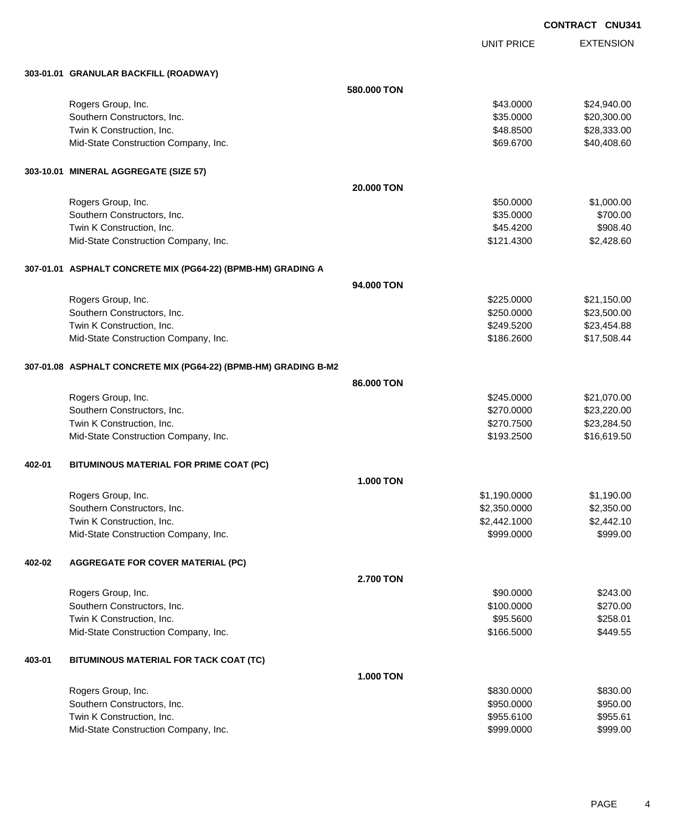UNIT PRICE EXTENSION

|        | 303-01.01 GRANULAR BACKFILL (ROADWAY)                           |                   |              |             |
|--------|-----------------------------------------------------------------|-------------------|--------------|-------------|
|        |                                                                 | 580.000 TON       |              |             |
|        | Rogers Group, Inc.                                              |                   | \$43.0000    | \$24,940.00 |
|        | Southern Constructors, Inc.                                     |                   | \$35.0000    | \$20,300.00 |
|        | Twin K Construction, Inc.                                       |                   | \$48.8500    | \$28,333.00 |
|        | Mid-State Construction Company, Inc.                            |                   | \$69.6700    | \$40,408.60 |
|        | 303-10.01 MINERAL AGGREGATE (SIZE 57)                           |                   |              |             |
|        |                                                                 | <b>20.000 TON</b> |              |             |
|        | Rogers Group, Inc.                                              |                   | \$50.0000    | \$1,000.00  |
|        | Southern Constructors, Inc.                                     |                   | \$35.0000    | \$700.00    |
|        | Twin K Construction, Inc.                                       |                   | \$45.4200    | \$908.40    |
|        | Mid-State Construction Company, Inc.                            |                   | \$121.4300   | \$2,428.60  |
|        | 307-01.01 ASPHALT CONCRETE MIX (PG64-22) (BPMB-HM) GRADING A    |                   |              |             |
|        |                                                                 | 94.000 TON        |              |             |
|        | Rogers Group, Inc.                                              |                   | \$225.0000   | \$21,150.00 |
|        | Southern Constructors, Inc.                                     |                   | \$250.0000   | \$23,500.00 |
|        | Twin K Construction, Inc.                                       |                   | \$249.5200   | \$23,454.88 |
|        | Mid-State Construction Company, Inc.                            |                   | \$186.2600   | \$17,508.44 |
|        | 307-01.08 ASPHALT CONCRETE MIX (PG64-22) (BPMB-HM) GRADING B-M2 |                   |              |             |
|        |                                                                 | 86.000 TON        |              |             |
|        | Rogers Group, Inc.                                              |                   | \$245.0000   | \$21,070.00 |
|        | Southern Constructors, Inc.                                     |                   | \$270.0000   | \$23,220.00 |
|        | Twin K Construction, Inc.                                       |                   | \$270.7500   | \$23,284.50 |
|        | Mid-State Construction Company, Inc.                            |                   | \$193.2500   | \$16,619.50 |
| 402-01 | BITUMINOUS MATERIAL FOR PRIME COAT (PC)                         |                   |              |             |
|        |                                                                 | <b>1.000 TON</b>  |              |             |
|        | Rogers Group, Inc.                                              |                   | \$1,190.0000 | \$1,190.00  |
|        | Southern Constructors, Inc.                                     |                   | \$2,350.0000 | \$2,350.00  |
|        | Twin K Construction, Inc.                                       |                   | \$2,442.1000 | \$2,442.10  |
|        | Mid-State Construction Company, Inc.                            |                   | \$999.0000   | \$999.00    |
| 402-02 | <b>AGGREGATE FOR COVER MATERIAL (PC)</b>                        |                   |              |             |
|        |                                                                 | <b>2.700 TON</b>  |              |             |
|        | Rogers Group, Inc.                                              |                   | \$90.0000    | \$243.00    |
|        | Southern Constructors, Inc.                                     |                   | \$100.0000   | \$270.00    |
|        | Twin K Construction, Inc.                                       |                   | \$95.5600    | \$258.01    |
|        | Mid-State Construction Company, Inc.                            |                   | \$166.5000   | \$449.55    |
| 403-01 | BITUMINOUS MATERIAL FOR TACK COAT (TC)                          |                   |              |             |
|        |                                                                 | <b>1.000 TON</b>  |              |             |
|        | Rogers Group, Inc.                                              |                   | \$830.0000   | \$830.00    |
|        | Southern Constructors, Inc.                                     |                   | \$950.0000   | \$950.00    |
|        | Twin K Construction, Inc.                                       |                   | \$955.6100   | \$955.61    |
|        | Mid-State Construction Company, Inc.                            |                   | \$999.0000   | \$999.00    |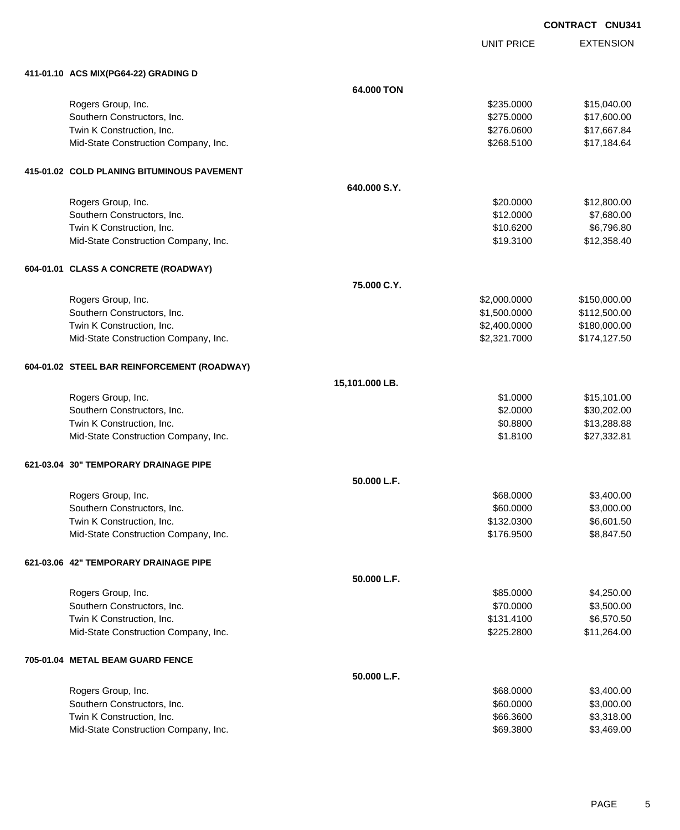EXTENSION **CONTRACT CNU341**

UNIT PRICE

| 411-01.10 ACS MIX(PG64-22) GRADING D        |                |              |              |
|---------------------------------------------|----------------|--------------|--------------|
|                                             | 64.000 TON     |              |              |
| Rogers Group, Inc.                          |                | \$235.0000   | \$15,040.00  |
| Southern Constructors, Inc.                 |                | \$275.0000   | \$17,600.00  |
| Twin K Construction, Inc.                   |                | \$276.0600   | \$17,667.84  |
| Mid-State Construction Company, Inc.        |                | \$268.5100   | \$17,184.64  |
| 415-01.02 COLD PLANING BITUMINOUS PAVEMENT  |                |              |              |
|                                             | 640.000 S.Y.   |              |              |
| Rogers Group, Inc.                          |                | \$20,0000    | \$12,800.00  |
| Southern Constructors, Inc.                 |                | \$12.0000    | \$7,680.00   |
| Twin K Construction, Inc.                   |                | \$10.6200    | \$6,796.80   |
| Mid-State Construction Company, Inc.        |                | \$19.3100    | \$12,358.40  |
| 604-01.01 CLASS A CONCRETE (ROADWAY)        |                |              |              |
|                                             | 75.000 C.Y.    |              |              |
| Rogers Group, Inc.                          |                | \$2,000.0000 | \$150,000.00 |
| Southern Constructors, Inc.                 |                | \$1,500.0000 | \$112,500.00 |
| Twin K Construction, Inc.                   |                | \$2,400.0000 | \$180,000.00 |
| Mid-State Construction Company, Inc.        |                | \$2,321.7000 | \$174,127.50 |
| 604-01.02 STEEL BAR REINFORCEMENT (ROADWAY) |                |              |              |
|                                             | 15,101.000 LB. |              |              |
| Rogers Group, Inc.                          |                | \$1.0000     | \$15,101.00  |
| Southern Constructors, Inc.                 |                | \$2.0000     | \$30,202.00  |
| Twin K Construction, Inc.                   |                | \$0.8800     | \$13,288.88  |
| Mid-State Construction Company, Inc.        |                | \$1.8100     | \$27,332.81  |
| 621-03.04 30" TEMPORARY DRAINAGE PIPE       |                |              |              |
|                                             | 50.000 L.F.    |              |              |
| Rogers Group, Inc.                          |                | \$68.0000    | \$3,400.00   |
| Southern Constructors, Inc.                 |                | \$60.0000    | \$3,000.00   |
| Twin K Construction, Inc.                   |                | \$132.0300   | \$6,601.50   |
| Mid-State Construction Company, Inc.        |                | \$176.9500   | \$8,847.50   |
| 621-03.06 42" TEMPORARY DRAINAGE PIPE       |                |              |              |
|                                             | 50.000 L.F.    |              |              |
| Rogers Group, Inc.                          |                | \$85.0000    | \$4,250.00   |
| Southern Constructors, Inc.                 |                | \$70.0000    | \$3,500.00   |
| Twin K Construction, Inc.                   |                | \$131.4100   | \$6,570.50   |
| Mid-State Construction Company, Inc.        |                | \$225.2800   | \$11,264.00  |
| 705-01.04 METAL BEAM GUARD FENCE            |                |              |              |
|                                             | 50.000 L.F.    |              |              |
| Rogers Group, Inc.                          |                | \$68.0000    | \$3,400.00   |
| Southern Constructors, Inc.                 |                | \$60.0000    | \$3,000.00   |
| Twin K Construction, Inc.                   |                | \$66.3600    | \$3,318.00   |
| Mid-State Construction Company, Inc.        |                | \$69.3800    | \$3,469.00   |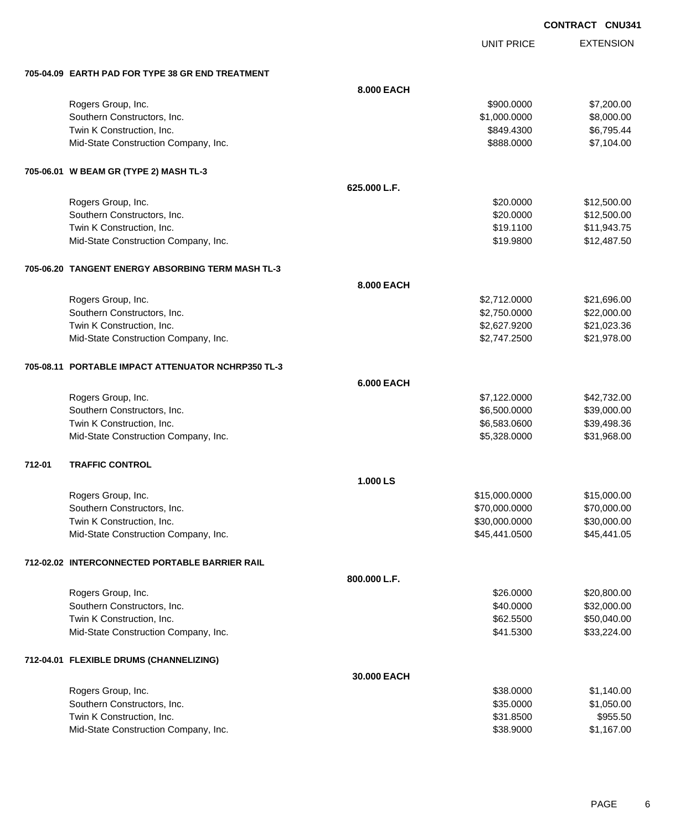UNIT PRICE

EXTENSION

|        | 705-04.09 EARTH PAD FOR TYPE 38 GR END TREATMENT   |                   |               |             |
|--------|----------------------------------------------------|-------------------|---------------|-------------|
|        |                                                    | 8.000 EACH        |               |             |
|        | Rogers Group, Inc.                                 |                   | \$900.0000    | \$7,200.00  |
|        | Southern Constructors, Inc.                        |                   | \$1,000.0000  | \$8,000.00  |
|        | Twin K Construction, Inc.                          |                   | \$849.4300    | \$6,795.44  |
|        | Mid-State Construction Company, Inc.               |                   | \$888.0000    | \$7,104.00  |
|        | 705-06.01 W BEAM GR (TYPE 2) MASH TL-3             |                   |               |             |
|        |                                                    | 625.000 L.F.      |               |             |
|        | Rogers Group, Inc.                                 |                   | \$20.0000     | \$12,500.00 |
|        | Southern Constructors, Inc.                        |                   | \$20.0000     | \$12,500.00 |
|        | Twin K Construction, Inc.                          |                   | \$19.1100     | \$11,943.75 |
|        | Mid-State Construction Company, Inc.               |                   | \$19.9800     | \$12,487.50 |
|        | 705-06.20 TANGENT ENERGY ABSORBING TERM MASH TL-3  |                   |               |             |
|        |                                                    | <b>8.000 EACH</b> |               |             |
|        | Rogers Group, Inc.                                 |                   | \$2,712.0000  | \$21,696.00 |
|        | Southern Constructors, Inc.                        |                   | \$2,750.0000  | \$22,000.00 |
|        | Twin K Construction, Inc.                          |                   | \$2,627.9200  | \$21,023.36 |
|        | Mid-State Construction Company, Inc.               |                   | \$2,747.2500  | \$21,978.00 |
|        | 705-08.11 PORTABLE IMPACT ATTENUATOR NCHRP350 TL-3 |                   |               |             |
|        |                                                    | <b>6.000 EACH</b> |               |             |
|        | Rogers Group, Inc.                                 |                   | \$7,122.0000  | \$42,732.00 |
|        | Southern Constructors, Inc.                        |                   | \$6,500.0000  | \$39,000.00 |
|        | Twin K Construction, Inc.                          |                   | \$6,583.0600  | \$39,498.36 |
|        | Mid-State Construction Company, Inc.               |                   | \$5,328.0000  | \$31,968.00 |
| 712-01 | <b>TRAFFIC CONTROL</b>                             |                   |               |             |
|        |                                                    | 1.000 LS          |               |             |
|        | Rogers Group, Inc.                                 |                   | \$15,000.0000 | \$15,000.00 |
|        | Southern Constructors, Inc.                        |                   | \$70,000.0000 | \$70,000.00 |
|        | Twin K Construction, Inc.                          |                   | \$30,000.0000 | \$30,000.00 |
|        | Mid-State Construction Company, Inc.               |                   | \$45,441.0500 | \$45,441.05 |
|        | 712-02.02 INTERCONNECTED PORTABLE BARRIER RAIL     |                   |               |             |
|        |                                                    | 800.000 L.F.      |               |             |
|        | Rogers Group, Inc.                                 |                   | \$26.0000     | \$20,800.00 |
|        | Southern Constructors, Inc.                        |                   | \$40.0000     | \$32,000.00 |
|        | Twin K Construction, Inc.                          |                   | \$62.5500     | \$50,040.00 |
|        | Mid-State Construction Company, Inc.               |                   | \$41.5300     | \$33,224.00 |
|        | 712-04.01 FLEXIBLE DRUMS (CHANNELIZING)            |                   |               |             |
|        |                                                    | 30.000 EACH       |               |             |
|        | Rogers Group, Inc.                                 |                   | \$38.0000     | \$1,140.00  |
|        | Southern Constructors, Inc.                        |                   | \$35.0000     | \$1,050.00  |
|        | Twin K Construction, Inc.                          |                   | \$31.8500     | \$955.50    |
|        | Mid-State Construction Company, Inc.               |                   | \$38.9000     | \$1,167.00  |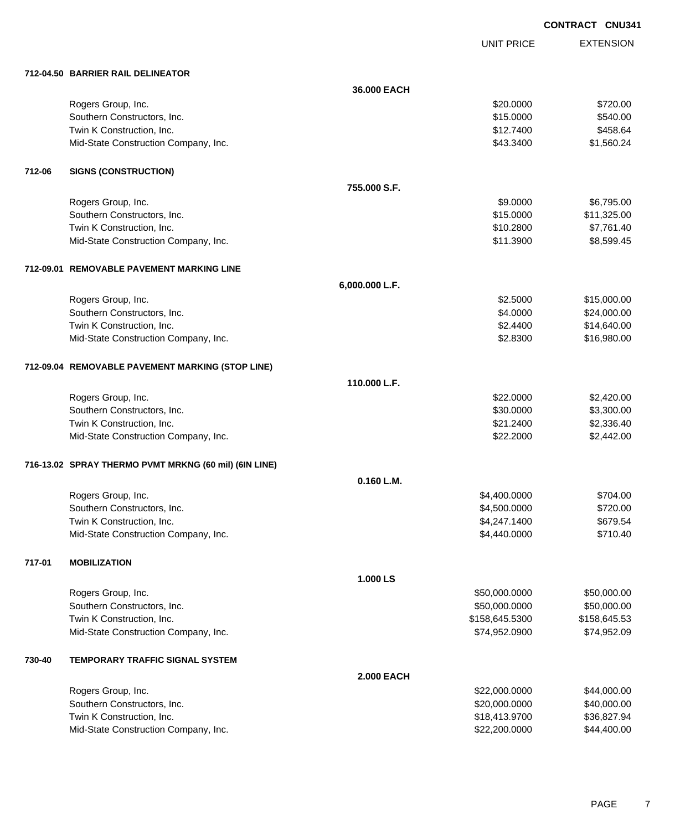UNIT PRICE EXTENSION

|        | 712-04.50 BARRIER RAIL DELINEATOR                     |                   |                |              |
|--------|-------------------------------------------------------|-------------------|----------------|--------------|
|        |                                                       | 36.000 EACH       |                |              |
|        | Rogers Group, Inc.                                    |                   | \$20.0000      | \$720.00     |
|        | Southern Constructors, Inc.                           |                   | \$15.0000      | \$540.00     |
|        | Twin K Construction, Inc.                             |                   | \$12.7400      | \$458.64     |
|        | Mid-State Construction Company, Inc.                  |                   | \$43.3400      | \$1,560.24   |
| 712-06 | <b>SIGNS (CONSTRUCTION)</b>                           |                   |                |              |
|        |                                                       | 755.000 S.F.      |                |              |
|        | Rogers Group, Inc.                                    |                   | \$9.0000       | \$6,795.00   |
|        | Southern Constructors, Inc.                           |                   | \$15.0000      | \$11,325.00  |
|        | Twin K Construction, Inc.                             |                   | \$10.2800      | \$7,761.40   |
|        | Mid-State Construction Company, Inc.                  |                   | \$11.3900      | \$8,599.45   |
|        | 712-09.01 REMOVABLE PAVEMENT MARKING LINE             |                   |                |              |
|        |                                                       | 6,000.000 L.F.    |                |              |
|        | Rogers Group, Inc.                                    |                   | \$2.5000       | \$15,000.00  |
|        | Southern Constructors, Inc.                           |                   | \$4.0000       | \$24,000.00  |
|        | Twin K Construction, Inc.                             |                   | \$2.4400       | \$14,640.00  |
|        | Mid-State Construction Company, Inc.                  |                   | \$2.8300       | \$16,980.00  |
|        | 712-09.04 REMOVABLE PAVEMENT MARKING (STOP LINE)      |                   |                |              |
|        |                                                       | 110.000 L.F.      |                |              |
|        | Rogers Group, Inc.                                    |                   | \$22.0000      | \$2,420.00   |
|        | Southern Constructors, Inc.                           |                   | \$30.0000      | \$3,300.00   |
|        | Twin K Construction, Inc.                             |                   | \$21.2400      | \$2,336.40   |
|        | Mid-State Construction Company, Inc.                  |                   | \$22.2000      | \$2,442.00   |
|        | 716-13.02 SPRAY THERMO PVMT MRKNG (60 mil) (6IN LINE) |                   |                |              |
|        |                                                       | 0.160 L.M.        |                |              |
|        | Rogers Group, Inc.                                    |                   | \$4,400.0000   | \$704.00     |
|        | Southern Constructors, Inc.                           |                   | \$4,500.0000   | \$720.00     |
|        | Twin K Construction, Inc.                             |                   | \$4,247.1400   | \$679.54     |
|        | Mid-State Construction Company, Inc.                  |                   | \$4,440.0000   | \$710.40     |
| 717-01 | <b>MOBILIZATION</b>                                   |                   |                |              |
|        |                                                       | 1.000 LS          |                |              |
|        | Rogers Group, Inc.                                    |                   | \$50,000.0000  | \$50,000.00  |
|        | Southern Constructors, Inc.                           |                   | \$50,000.0000  | \$50,000.00  |
|        | Twin K Construction, Inc.                             |                   | \$158,645.5300 | \$158,645.53 |
|        | Mid-State Construction Company, Inc.                  |                   | \$74,952.0900  | \$74,952.09  |
| 730-40 | TEMPORARY TRAFFIC SIGNAL SYSTEM                       |                   |                |              |
|        |                                                       | <b>2.000 EACH</b> |                |              |
|        | Rogers Group, Inc.                                    |                   | \$22,000.0000  | \$44,000.00  |
|        | Southern Constructors, Inc.                           |                   | \$20,000.0000  | \$40,000.00  |
|        | Twin K Construction, Inc.                             |                   | \$18,413.9700  | \$36,827.94  |
|        | Mid-State Construction Company, Inc.                  |                   | \$22,200.0000  | \$44,400.00  |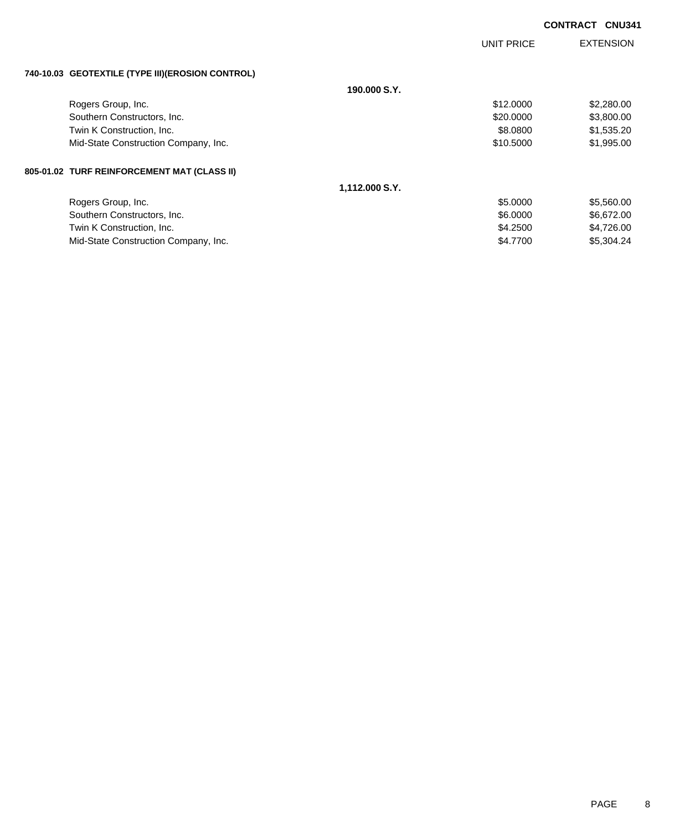|                                                  |                | <b>UNIT PRICE</b> | <b>EXTENSION</b> |
|--------------------------------------------------|----------------|-------------------|------------------|
| 740-10.03 GEOTEXTILE (TYPE III)(EROSION CONTROL) |                |                   |                  |
|                                                  | 190,000 S.Y.   |                   |                  |
| Rogers Group, Inc.                               |                | \$12.0000         | \$2,280.00       |
| Southern Constructors, Inc.                      |                | \$20.0000         | \$3,800.00       |
| Twin K Construction, Inc.                        |                | \$8.0800          | \$1,535.20       |
| Mid-State Construction Company, Inc.             |                | \$10.5000         | \$1,995.00       |
| 805-01.02 TURF REINFORCEMENT MAT (CLASS II)      |                |                   |                  |
|                                                  | 1,112.000 S.Y. |                   |                  |
| Rogers Group, Inc.                               |                | \$5.0000          | \$5,560.00       |
| Southern Constructors, Inc.                      |                | \$6.0000          | \$6,672.00       |
| Twin K Construction, Inc.                        |                | \$4.2500          | \$4,726.00       |
| Mid-State Construction Company, Inc.             |                | \$4,7700          | \$5,304,24       |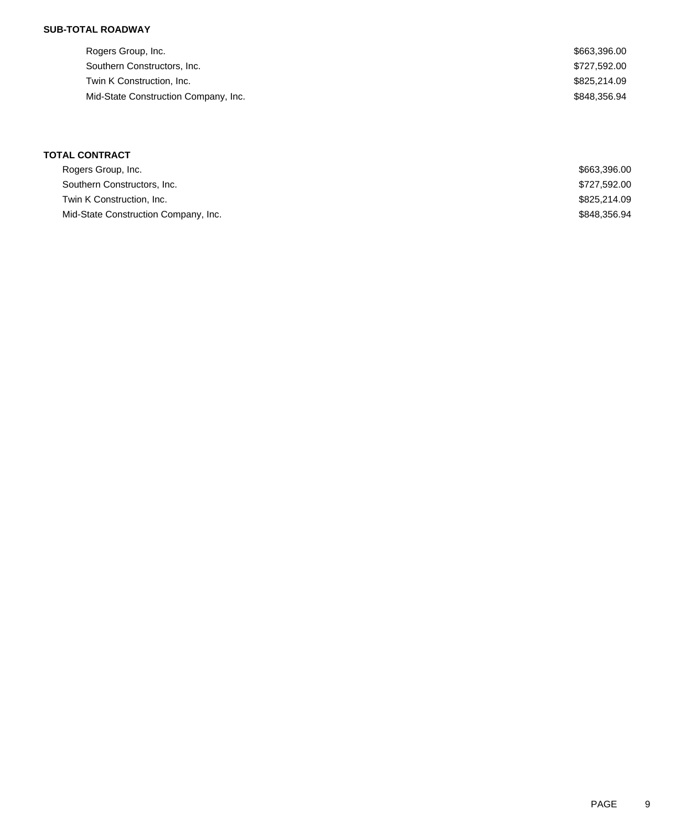### **SUB-TOTAL ROADWAY**

| Rogers Group, Inc.                   | \$663,396.00 |
|--------------------------------------|--------------|
| Southern Constructors, Inc.          | \$727,592.00 |
| Twin K Construction, Inc.            | \$825,214.09 |
| Mid-State Construction Company, Inc. | \$848.356.94 |
|                                      |              |

# **TOTAL CONTRACT**

| Rogers Group, Inc.                   | \$663,396.00 |
|--------------------------------------|--------------|
| Southern Constructors, Inc.          | \$727,592.00 |
| Twin K Construction, Inc.            | \$825,214.09 |
| Mid-State Construction Company, Inc. | \$848,356.94 |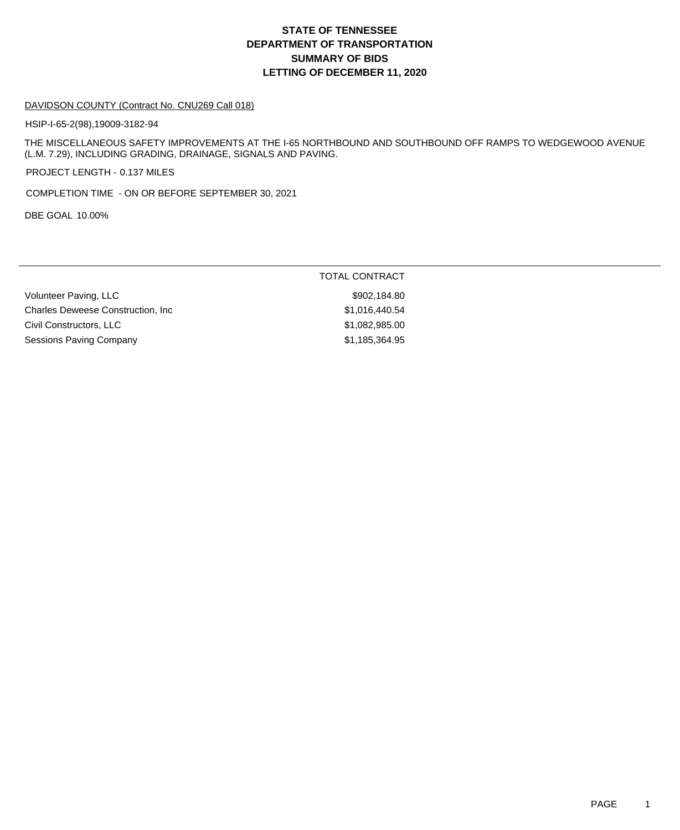# **DEPARTMENT OF TRANSPORTATION SUMMARY OF BIDS LETTING OF DECEMBER 11, 2020 STATE OF TENNESSEE**

#### DAVIDSON COUNTY (Contract No. CNU269 Call 018)

HSIP-I-65-2(98),19009-3182-94

THE MISCELLANEOUS SAFETY IMPROVEMENTS AT THE I-65 NORTHBOUND AND SOUTHBOUND OFF RAMPS TO WEDGEWOOD AVENUE (L.M. 7.29), INCLUDING GRADING, DRAINAGE, SIGNALS AND PAVING.

PROJECT LENGTH - 0.137 MILES

COMPLETION TIME - ON OR BEFORE SEPTEMBER 30, 2021

DBE GOAL 10.00%

|                                           | TOTAL CONTRACT |
|-------------------------------------------|----------------|
| Volunteer Paving, LLC                     | \$902,184.80   |
| <b>Charles Deweese Construction, Inc.</b> | \$1,016,440.54 |
| Civil Constructors, LLC                   | \$1,082,985.00 |
| <b>Sessions Paving Company</b>            | \$1,185,364.95 |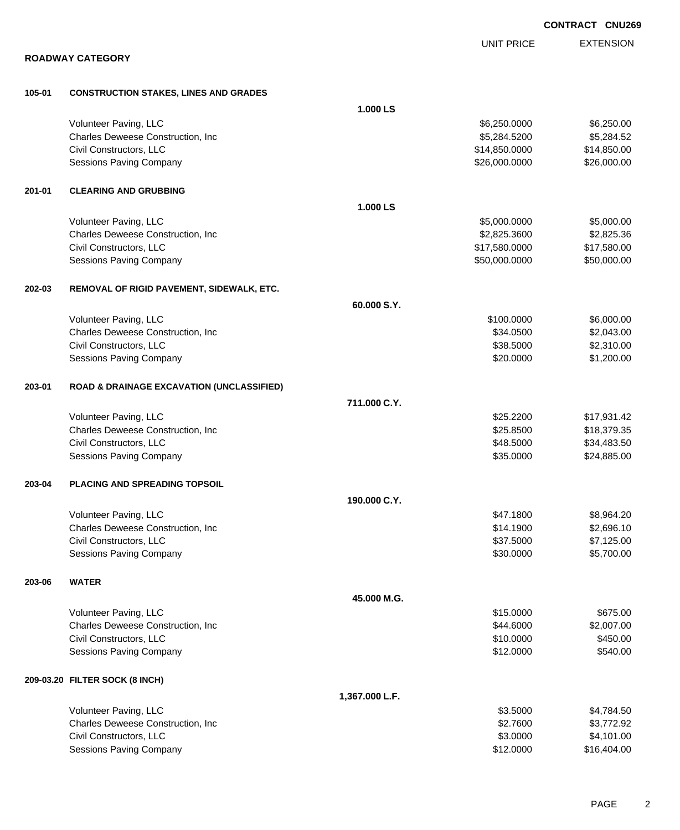|        | <b>ROADWAY CATEGORY</b>                              |                | <b>UNIT PRICE</b> | <b>EXTENSION</b> |
|--------|------------------------------------------------------|----------------|-------------------|------------------|
|        |                                                      |                |                   |                  |
| 105-01 | <b>CONSTRUCTION STAKES, LINES AND GRADES</b>         |                |                   |                  |
|        |                                                      | 1.000 LS       |                   |                  |
|        | Volunteer Paving, LLC                                |                | \$6,250.0000      | \$6,250.00       |
|        | Charles Deweese Construction, Inc                    |                | \$5,284.5200      | \$5,284.52       |
|        | Civil Constructors, LLC                              |                | \$14,850.0000     | \$14,850.00      |
|        | Sessions Paving Company                              |                | \$26,000.0000     | \$26,000.00      |
| 201-01 | <b>CLEARING AND GRUBBING</b>                         |                |                   |                  |
|        |                                                      | 1.000 LS       |                   |                  |
|        | Volunteer Paving, LLC                                |                | \$5,000.0000      | \$5,000.00       |
|        | Charles Deweese Construction, Inc                    |                | \$2,825.3600      | \$2,825.36       |
|        | Civil Constructors, LLC                              |                | \$17,580.0000     | \$17,580.00      |
|        | Sessions Paving Company                              |                | \$50,000.0000     | \$50,000.00      |
| 202-03 | REMOVAL OF RIGID PAVEMENT, SIDEWALK, ETC.            |                |                   |                  |
|        |                                                      | 60.000 S.Y.    |                   |                  |
|        | Volunteer Paving, LLC                                |                | \$100.0000        | \$6,000.00       |
|        | Charles Deweese Construction, Inc                    |                | \$34.0500         | \$2,043.00       |
|        | Civil Constructors, LLC                              |                | \$38.5000         | \$2,310.00       |
|        | Sessions Paving Company                              |                | \$20.0000         | \$1,200.00       |
| 203-01 | <b>ROAD &amp; DRAINAGE EXCAVATION (UNCLASSIFIED)</b> |                |                   |                  |
|        |                                                      | 711.000 C.Y.   |                   |                  |
|        | Volunteer Paving, LLC                                |                | \$25.2200         | \$17,931.42      |
|        | Charles Deweese Construction, Inc                    |                | \$25.8500         | \$18,379.35      |
|        | Civil Constructors, LLC                              |                | \$48.5000         | \$34,483.50      |
|        | Sessions Paving Company                              |                | \$35.0000         | \$24,885.00      |
| 203-04 | <b>PLACING AND SPREADING TOPSOIL</b>                 |                |                   |                  |
|        |                                                      | 190.000 C.Y.   |                   |                  |
|        | Volunteer Paving, LLC                                |                | \$47.1800         | \$8,964.20       |
|        | Charles Deweese Construction, Inc                    |                | \$14.1900         | \$2,696.10       |
|        | Civil Constructors, LLC                              |                | \$37.5000         | \$7,125.00       |
|        | Sessions Paving Company                              |                | \$30.0000         | \$5,700.00       |
| 203-06 | <b>WATER</b>                                         |                |                   |                  |
|        |                                                      | 45.000 M.G.    |                   |                  |
|        | Volunteer Paving, LLC                                |                | \$15.0000         | \$675.00         |
|        | Charles Deweese Construction, Inc.                   |                | \$44.6000         | \$2,007.00       |
|        | Civil Constructors, LLC                              |                | \$10.0000         | \$450.00         |
|        | Sessions Paving Company                              |                | \$12.0000         | \$540.00         |
|        | 209-03.20 FILTER SOCK (8 INCH)                       |                |                   |                  |
|        |                                                      | 1,367.000 L.F. |                   |                  |
|        | Volunteer Paving, LLC                                |                | \$3.5000          | \$4,784.50       |
|        | Charles Deweese Construction, Inc                    |                | \$2.7600          | \$3,772.92       |
|        | Civil Constructors, LLC                              |                | \$3.0000          | \$4,101.00       |
|        | Sessions Paving Company                              |                | \$12.0000         | \$16,404.00      |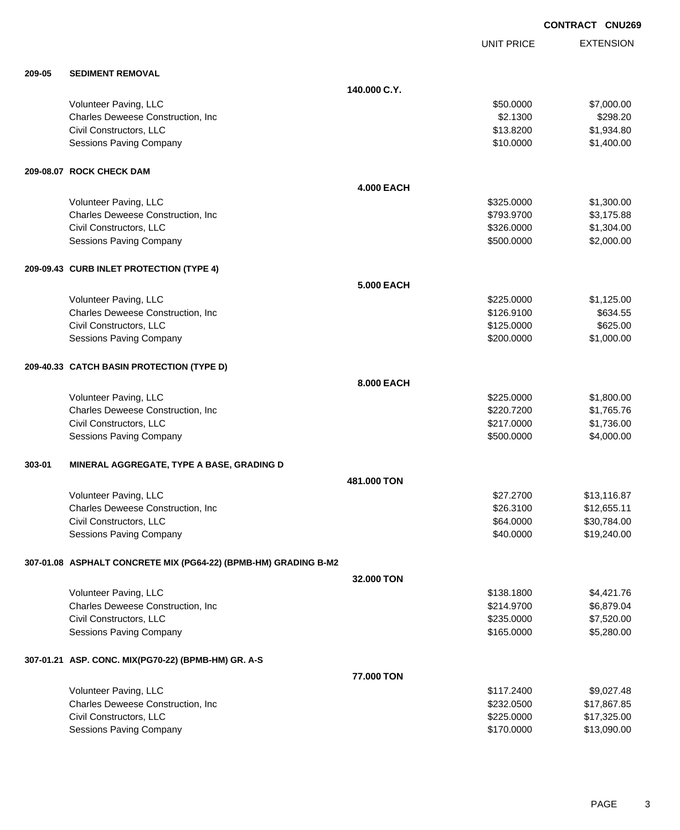UNIT PRICE

EXTENSION

| 209-05 | <b>SEDIMENT REMOVAL</b> |
|--------|-------------------------|
|--------|-------------------------|

| 209-05 | <b>SEDIMENT REMOVAL</b>                                         |                   |            |             |
|--------|-----------------------------------------------------------------|-------------------|------------|-------------|
|        |                                                                 | 140.000 C.Y.      |            |             |
|        | Volunteer Paving, LLC                                           |                   | \$50.0000  | \$7,000.00  |
|        | Charles Deweese Construction, Inc.                              |                   | \$2.1300   | \$298.20    |
|        | Civil Constructors, LLC                                         |                   | \$13.8200  | \$1,934.80  |
|        | Sessions Paving Company                                         |                   | \$10.0000  | \$1,400.00  |
|        | 209-08.07 ROCK CHECK DAM                                        |                   |            |             |
|        |                                                                 | <b>4.000 EACH</b> |            |             |
|        | Volunteer Paving, LLC                                           |                   | \$325.0000 | \$1,300.00  |
|        | Charles Deweese Construction, Inc.                              |                   | \$793.9700 | \$3,175.88  |
|        | Civil Constructors, LLC                                         |                   | \$326.0000 | \$1,304.00  |
|        | Sessions Paving Company                                         |                   | \$500.0000 | \$2,000.00  |
|        | 209-09.43 CURB INLET PROTECTION (TYPE 4)                        |                   |            |             |
|        |                                                                 | <b>5.000 EACH</b> |            |             |
|        | Volunteer Paving, LLC                                           |                   | \$225.0000 | \$1,125.00  |
|        | Charles Deweese Construction, Inc.                              |                   | \$126.9100 | \$634.55    |
|        | Civil Constructors, LLC                                         |                   | \$125.0000 | \$625.00    |
|        | <b>Sessions Paving Company</b>                                  |                   | \$200.0000 | \$1,000.00  |
|        | 209-40.33 CATCH BASIN PROTECTION (TYPE D)                       |                   |            |             |
|        |                                                                 | 8.000 EACH        |            |             |
|        | Volunteer Paving, LLC                                           |                   | \$225.0000 | \$1,800.00  |
|        | Charles Deweese Construction, Inc.                              |                   | \$220.7200 | \$1,765.76  |
|        | Civil Constructors, LLC                                         |                   | \$217.0000 | \$1,736.00  |
|        | <b>Sessions Paving Company</b>                                  |                   | \$500.0000 | \$4,000.00  |
| 303-01 | MINERAL AGGREGATE, TYPE A BASE, GRADING D                       |                   |            |             |
|        |                                                                 | 481.000 TON       |            |             |
|        | Volunteer Paving, LLC                                           |                   | \$27.2700  | \$13,116.87 |
|        | Charles Deweese Construction, Inc.                              |                   | \$26.3100  | \$12,655.11 |
|        | Civil Constructors, LLC                                         |                   | \$64.0000  | \$30,784.00 |
|        | <b>Sessions Paving Company</b>                                  |                   | \$40.0000  | \$19,240.00 |
|        | 307-01.08 ASPHALT CONCRETE MIX (PG64-22) (BPMB-HM) GRADING B-M2 |                   |            |             |
|        |                                                                 | 32.000 TON        |            |             |
|        | Volunteer Paving, LLC                                           |                   | \$138.1800 | \$4,421.76  |
|        | Charles Deweese Construction, Inc.                              |                   | \$214.9700 | \$6,879.04  |
|        | Civil Constructors, LLC                                         |                   | \$235.0000 | \$7,520.00  |
|        | Sessions Paving Company                                         |                   | \$165.0000 | \$5,280.00  |
|        | 307-01.21 ASP. CONC. MIX(PG70-22) (BPMB-HM) GR. A-S             |                   |            |             |
|        |                                                                 | 77.000 TON        |            |             |
|        | Volunteer Paving, LLC                                           |                   | \$117.2400 | \$9,027.48  |
|        | Charles Deweese Construction, Inc.                              |                   | \$232.0500 | \$17,867.85 |
|        | Civil Constructors, LLC                                         |                   | \$225.0000 | \$17,325.00 |
|        | Sessions Paving Company                                         |                   | \$170.0000 | \$13,090.00 |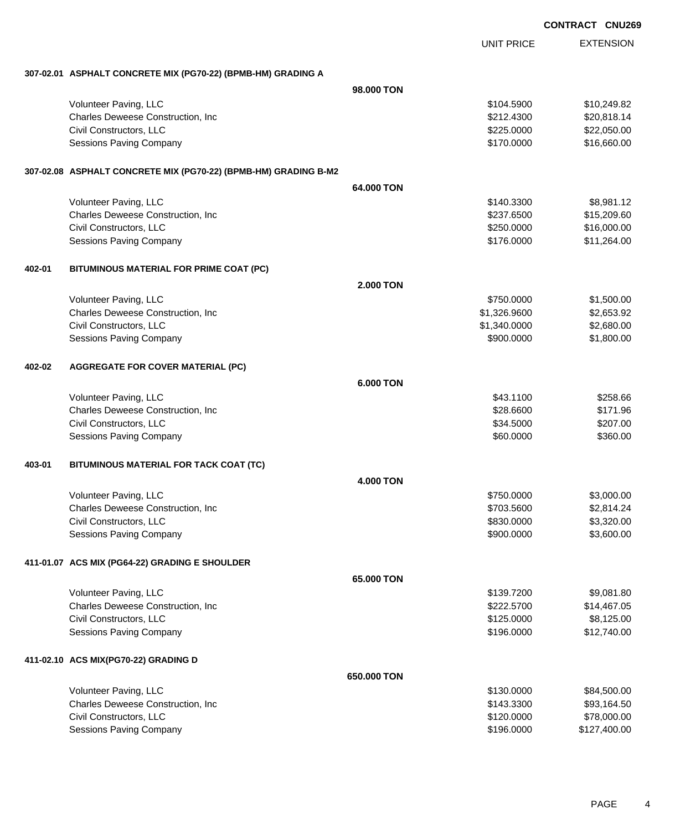|        |                                                                 |                  |                   | <b>CONTRACT CNU269</b> |
|--------|-----------------------------------------------------------------|------------------|-------------------|------------------------|
|        |                                                                 |                  | <b>UNIT PRICE</b> | <b>EXTENSION</b>       |
|        | 307-02.01 ASPHALT CONCRETE MIX (PG70-22) (BPMB-HM) GRADING A    |                  |                   |                        |
|        |                                                                 | 98,000 TON       |                   |                        |
|        | Volunteer Paving, LLC                                           |                  | \$104.5900        | \$10,249.82            |
|        | Charles Deweese Construction, Inc                               |                  | \$212.4300        | \$20,818.14            |
|        | Civil Constructors, LLC                                         |                  | \$225.0000        | \$22,050.00            |
|        | <b>Sessions Paving Company</b>                                  |                  | \$170.0000        | \$16,660.00            |
|        | 307-02.08 ASPHALT CONCRETE MIX (PG70-22) (BPMB-HM) GRADING B-M2 |                  |                   |                        |
|        |                                                                 | 64,000 TON       |                   |                        |
|        | Volunteer Paving, LLC                                           |                  | \$140.3300        | \$8,981.12             |
|        | Charles Deweese Construction, Inc                               |                  | \$237.6500        | \$15,209.60            |
|        | Civil Constructors, LLC                                         |                  | \$250.0000        | \$16,000.00            |
|        | <b>Sessions Paving Company</b>                                  |                  | \$176.0000        | \$11,264.00            |
| 402-01 | BITUMINOUS MATERIAL FOR PRIME COAT (PC)                         |                  |                   |                        |
|        |                                                                 | <b>2.000 TON</b> |                   |                        |
|        | Volunteer Paving, LLC                                           |                  | \$750.0000        | \$1,500.00             |
|        | Charles Deweese Construction, Inc                               |                  | \$1,326.9600      | \$2,653.92             |
|        | Civil Constructors, LLC                                         |                  | \$1,340.0000      | \$2,680.00             |
|        | Sessions Paving Company                                         |                  | \$900.0000        | \$1,800.00             |
| 402-02 | <b>AGGREGATE FOR COVER MATERIAL (PC)</b>                        |                  |                   |                        |
|        |                                                                 | 6,000 TON        |                   |                        |
|        | Volunteer Paving, LLC                                           |                  | \$43.1100         | \$258.66               |
|        | Charles Deweese Construction, Inc                               |                  | \$28.6600         | \$171.96               |
|        | Civil Constructors, LLC                                         |                  | \$34.5000         | \$207.00               |
|        | <b>Sessions Paving Company</b>                                  |                  | \$60.0000         | \$360.00               |
| 403-01 | BITUMINOUS MATERIAL FOR TACK COAT (TC)                          |                  |                   |                        |
|        |                                                                 | <b>4.000 TON</b> |                   |                        |
|        | Volunteer Paving, LLC                                           |                  | \$750.0000        | \$3,000.00             |
|        | Charles Deweese Construction, Inc                               |                  | \$703.5600        | \$2,814.24             |
|        | Civil Constructors, LLC                                         |                  | \$830.0000        | \$3,320.00             |
|        | Sessions Paving Company                                         |                  | \$900.0000        | \$3,600.00             |
|        | 411-01.07 ACS MIX (PG64-22) GRADING E SHOULDER                  |                  |                   |                        |
|        |                                                                 | 65,000 TON       |                   |                        |
|        | Volunteer Paving, LLC                                           |                  | \$139.7200        | \$9,081.80             |
|        | Charles Deweese Construction, Inc                               |                  | \$222.5700        | \$14,467.05            |
|        | Civil Constructors, LLC                                         |                  | \$125.0000        | \$8,125.00             |
|        | Sessions Paving Company                                         |                  | \$196.0000        | \$12,740.00            |
|        | 411-02.10 ACS MIX(PG70-22) GRADING D                            |                  |                   |                        |
|        |                                                                 | 650.000 TON      |                   |                        |
|        | Volunteer Paving, LLC                                           |                  | \$130.0000        | \$84,500.00            |
|        | Charles Deweese Construction, Inc                               |                  | \$143.3300        | \$93,164.50            |
|        | Civil Constructors, LLC                                         |                  | \$120.0000        | \$78,000.00            |
|        | Sessions Paving Company                                         |                  | \$196.0000        | \$127,400.00           |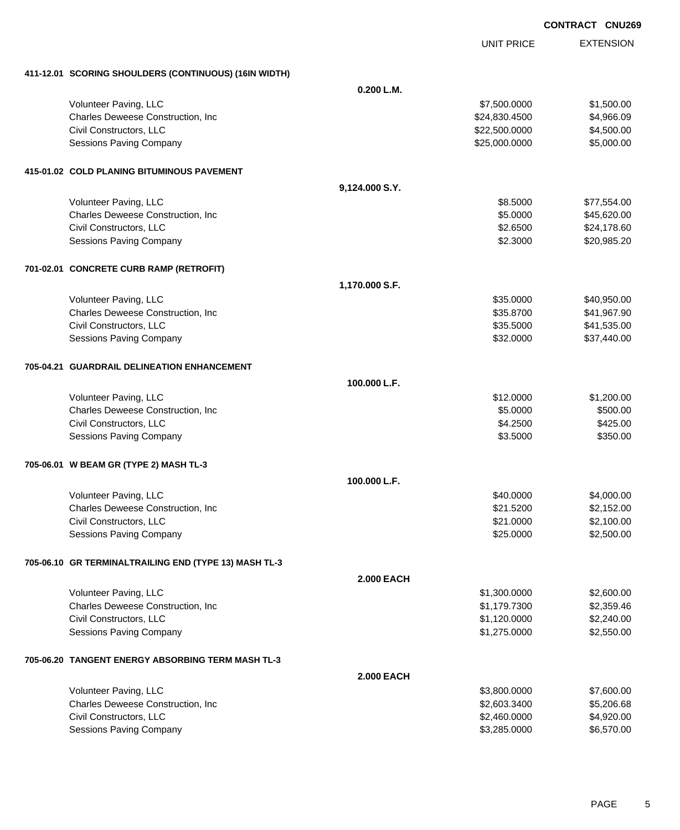| <b>CONTRACT</b> | <b>CNU269</b> |
|-----------------|---------------|
|                 |               |

|                                                       |                   | <b>UNIT PRICE</b> | <b>EXTENSION</b> |
|-------------------------------------------------------|-------------------|-------------------|------------------|
| 411-12.01 SCORING SHOULDERS (CONTINUOUS) (16IN WIDTH) |                   |                   |                  |
|                                                       | 0.200 L.M.        |                   |                  |
| Volunteer Paving, LLC                                 |                   | \$7,500.0000      | \$1,500.00       |
| Charles Deweese Construction, Inc                     |                   | \$24,830.4500     | \$4,966.09       |
| Civil Constructors, LLC                               |                   | \$22,500.0000     | \$4,500.00       |
| <b>Sessions Paving Company</b>                        |                   | \$25,000.0000     | \$5,000.00       |
| 415-01.02 COLD PLANING BITUMINOUS PAVEMENT            |                   |                   |                  |
|                                                       | 9,124.000 S.Y.    |                   |                  |
| Volunteer Paving, LLC                                 |                   | \$8.5000          | \$77,554.00      |
| Charles Deweese Construction, Inc                     |                   | \$5.0000          | \$45,620.00      |
| Civil Constructors, LLC                               |                   | \$2.6500          | \$24,178.60      |
| Sessions Paving Company                               |                   | \$2.3000          | \$20,985.20      |
| 701-02.01 CONCRETE CURB RAMP (RETROFIT)               |                   |                   |                  |
|                                                       | 1,170.000 S.F.    |                   |                  |
| Volunteer Paving, LLC                                 |                   | \$35.0000         | \$40,950.00      |
| Charles Deweese Construction, Inc                     |                   | \$35.8700         | \$41,967.90      |
| Civil Constructors, LLC                               |                   | \$35.5000         | \$41,535.00      |
| <b>Sessions Paving Company</b>                        |                   | \$32.0000         | \$37,440.00      |
| 705-04.21 GUARDRAIL DELINEATION ENHANCEMENT           |                   |                   |                  |
|                                                       | 100.000 L.F.      |                   |                  |
| Volunteer Paving, LLC                                 |                   | \$12.0000         | \$1,200.00       |
| Charles Deweese Construction, Inc                     |                   | \$5.0000          | \$500.00         |
| Civil Constructors, LLC                               |                   | \$4.2500          | \$425.00         |
| Sessions Paving Company                               |                   | \$3.5000          | \$350.00         |
| 705-06.01 W BEAM GR (TYPE 2) MASH TL-3                |                   |                   |                  |
|                                                       | 100.000 L.F.      |                   |                  |
| Volunteer Paving, LLC                                 |                   | \$40.0000         | \$4,000.00       |
| Charles Deweese Construction, Inc                     |                   | \$21.5200         | \$2,152.00       |
| Civil Constructors, LLC                               |                   | \$21.0000         | \$2,100.00       |
| Sessions Paving Company                               |                   | \$25.0000         | \$2,500.00       |
| 705-06.10 GR TERMINALTRAILING END (TYPE 13) MASH TL-3 |                   |                   |                  |
|                                                       | <b>2.000 EACH</b> |                   |                  |
| Volunteer Paving, LLC                                 |                   | \$1,300.0000      | \$2,600.00       |
| Charles Deweese Construction, Inc                     |                   | \$1,179.7300      | \$2,359.46       |
| Civil Constructors, LLC                               |                   | \$1,120.0000      | \$2,240.00       |
| <b>Sessions Paving Company</b>                        |                   | \$1,275.0000      | \$2,550.00       |
| 705-06.20 TANGENT ENERGY ABSORBING TERM MASH TL-3     |                   |                   |                  |
|                                                       | <b>2.000 EACH</b> |                   |                  |
| Volunteer Paving, LLC                                 |                   | \$3,800.0000      | \$7,600.00       |
| Charles Deweese Construction, Inc                     |                   | \$2,603.3400      | \$5,206.68       |
| Civil Constructors, LLC                               |                   | \$2,460.0000      | \$4,920.00       |
| Sessions Paving Company                               |                   | \$3,285.0000      | \$6,570.00       |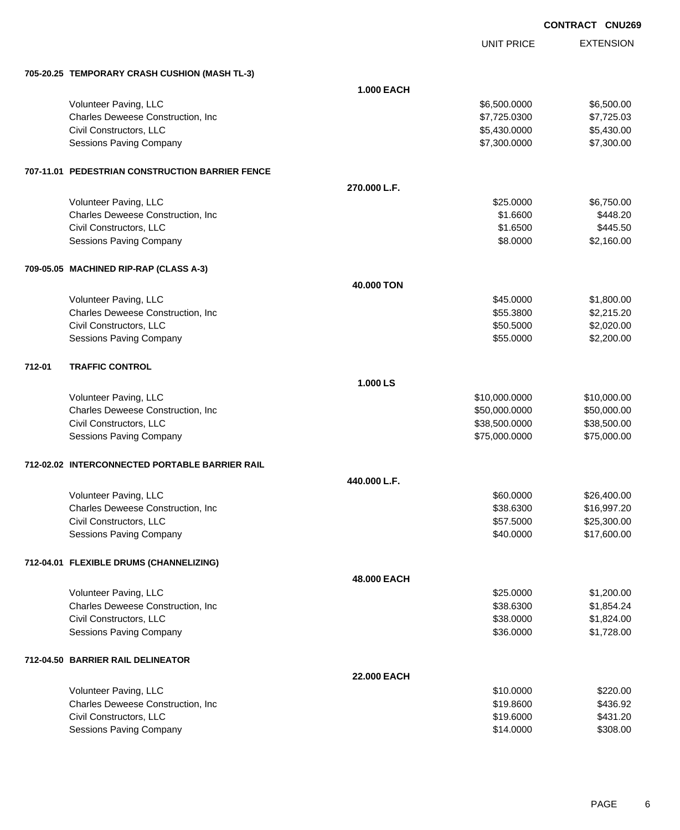|        |                                                 |                   |                   | <b>CONTRACT CNU269</b> |                  |
|--------|-------------------------------------------------|-------------------|-------------------|------------------------|------------------|
|        |                                                 |                   | <b>UNIT PRICE</b> |                        | <b>EXTENSION</b> |
|        | 705-20.25 TEMPORARY CRASH CUSHION (MASH TL-3)   |                   |                   |                        |                  |
|        |                                                 | <b>1.000 EACH</b> |                   |                        |                  |
|        | Volunteer Paving, LLC                           |                   | \$6,500.0000      |                        | \$6,500.00       |
|        | Charles Deweese Construction, Inc               |                   | \$7,725.0300      |                        | \$7,725.03       |
|        | Civil Constructors, LLC                         |                   | \$5,430.0000      |                        | \$5,430.00       |
|        | <b>Sessions Paving Company</b>                  |                   | \$7,300.0000      |                        | \$7,300.00       |
|        | 707-11.01 PEDESTRIAN CONSTRUCTION BARRIER FENCE |                   |                   |                        |                  |
|        |                                                 | 270.000 L.F.      |                   |                        |                  |
|        | Volunteer Paving, LLC                           |                   | \$25.0000         |                        | \$6,750.00       |
|        | Charles Deweese Construction, Inc               |                   | \$1.6600          |                        | \$448.20         |
|        | Civil Constructors, LLC                         |                   | \$1.6500          |                        | \$445.50         |
|        | Sessions Paving Company                         |                   | \$8.0000          |                        | \$2,160.00       |
|        | 709-05.05 MACHINED RIP-RAP (CLASS A-3)          |                   |                   |                        |                  |
|        |                                                 | 40.000 TON        |                   |                        |                  |
|        | Volunteer Paving, LLC                           |                   | \$45.0000         |                        | \$1,800.00       |
|        | Charles Deweese Construction, Inc               |                   | \$55.3800         |                        | \$2,215.20       |
|        | Civil Constructors, LLC                         |                   | \$50.5000         |                        | \$2,020.00       |
|        | <b>Sessions Paving Company</b>                  |                   | \$55.0000         |                        | \$2,200.00       |
| 712-01 | <b>TRAFFIC CONTROL</b>                          |                   |                   |                        |                  |
|        |                                                 | 1.000 LS          |                   |                        |                  |
|        | Volunteer Paving, LLC                           |                   | \$10,000.0000     |                        | \$10,000.00      |
|        | Charles Deweese Construction, Inc.              |                   | \$50,000.0000     |                        | \$50,000.00      |
|        | Civil Constructors, LLC                         |                   | \$38,500.0000     |                        | \$38,500.00      |
|        | <b>Sessions Paving Company</b>                  |                   | \$75,000.0000     |                        | \$75,000.00      |
|        | 712-02.02 INTERCONNECTED PORTABLE BARRIER RAIL  |                   |                   |                        |                  |
|        |                                                 | 440.000 L.F.      |                   |                        |                  |
|        | Volunteer Paving, LLC                           |                   | \$60.0000         |                        | \$26,400.00      |
|        | Charles Deweese Construction, Inc.              |                   | \$38.6300         |                        | \$16,997.20      |
|        | Civil Constructors, LLC                         |                   | \$57.5000         |                        | \$25,300.00      |
|        | <b>Sessions Paving Company</b>                  |                   | \$40.0000         |                        | \$17,600.00      |
|        | 712-04.01 FLEXIBLE DRUMS (CHANNELIZING)         |                   |                   |                        |                  |
|        |                                                 | 48.000 EACH       |                   |                        |                  |
|        | Volunteer Paving, LLC                           |                   | \$25.0000         |                        | \$1,200.00       |
|        | Charles Deweese Construction, Inc.              |                   | \$38.6300         |                        | \$1,854.24       |
|        | Civil Constructors, LLC                         |                   | \$38.0000         |                        | \$1,824.00       |
|        | <b>Sessions Paving Company</b>                  |                   | \$36.0000         |                        | \$1,728.00       |
|        | 712-04.50 BARRIER RAIL DELINEATOR               |                   |                   |                        |                  |
|        |                                                 | 22.000 EACH       |                   |                        |                  |
|        | Volunteer Paving, LLC                           |                   | \$10.0000         |                        | \$220.00         |
|        | Charles Deweese Construction, Inc.              |                   | \$19.8600         |                        | \$436.92         |
|        | Civil Constructors, LLC                         |                   | \$19.6000         |                        | \$431.20         |
|        | Sessions Paving Company                         |                   | \$14.0000         |                        | \$308.00         |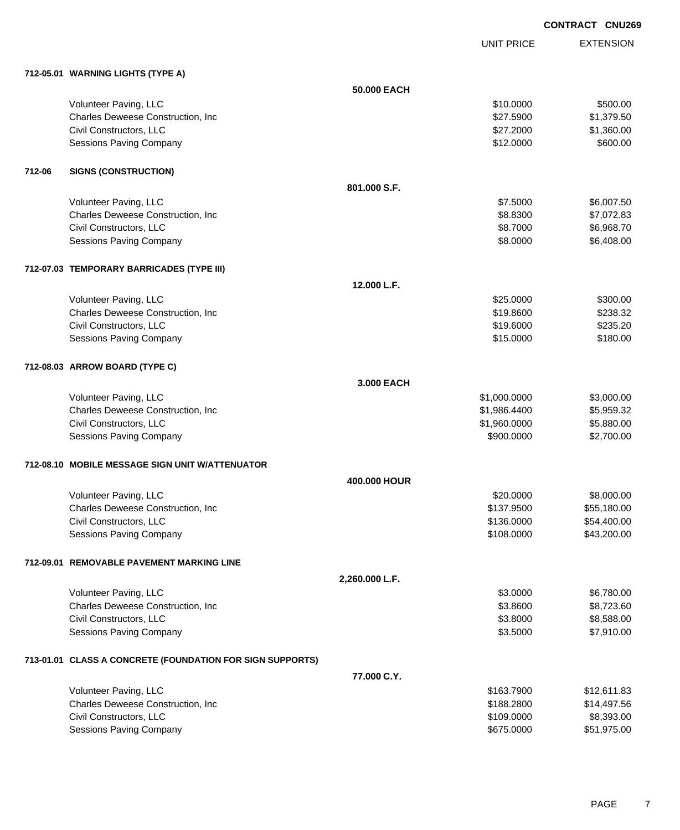UNIT PRICE EXTENSION

|        | 712-05.01 WARNING LIGHTS (TYPE A)                         |                |              |             |
|--------|-----------------------------------------------------------|----------------|--------------|-------------|
|        |                                                           | 50.000 EACH    |              |             |
|        | Volunteer Paving, LLC                                     |                | \$10.0000    | \$500.00    |
|        | Charles Deweese Construction, Inc                         |                | \$27.5900    | \$1,379.50  |
|        | Civil Constructors, LLC                                   |                | \$27.2000    | \$1,360.00  |
|        | Sessions Paving Company                                   |                | \$12.0000    | \$600.00    |
| 712-06 | <b>SIGNS (CONSTRUCTION)</b>                               |                |              |             |
|        |                                                           | 801.000 S.F.   |              |             |
|        | Volunteer Paving, LLC                                     |                | \$7.5000     | \$6,007.50  |
|        | Charles Deweese Construction, Inc                         |                | \$8.8300     | \$7,072.83  |
|        | Civil Constructors, LLC                                   |                | \$8.7000     | \$6,968.70  |
|        | Sessions Paving Company                                   |                | \$8.0000     | \$6,408.00  |
|        | 712-07.03 TEMPORARY BARRICADES (TYPE III)                 |                |              |             |
|        |                                                           | 12.000 L.F.    |              |             |
|        | Volunteer Paving, LLC                                     |                | \$25.0000    | \$300.00    |
|        | Charles Deweese Construction, Inc.                        |                | \$19.8600    | \$238.32    |
|        | Civil Constructors, LLC                                   |                | \$19.6000    | \$235.20    |
|        | <b>Sessions Paving Company</b>                            |                | \$15.0000    | \$180.00    |
|        | 712-08.03 ARROW BOARD (TYPE C)                            |                |              |             |
|        |                                                           | 3.000 EACH     |              |             |
|        | Volunteer Paving, LLC                                     |                | \$1,000.0000 | \$3,000.00  |
|        | Charles Deweese Construction, Inc                         |                | \$1,986.4400 | \$5,959.32  |
|        | Civil Constructors, LLC                                   |                | \$1,960.0000 | \$5,880.00  |
|        | Sessions Paving Company                                   |                | \$900.0000   | \$2,700.00  |
|        | 712-08.10 MOBILE MESSAGE SIGN UNIT W/ATTENUATOR           |                |              |             |
|        |                                                           | 400.000 HOUR   |              |             |
|        | Volunteer Paving, LLC                                     |                | \$20.0000    | \$8,000.00  |
|        | Charles Deweese Construction, Inc                         |                | \$137.9500   | \$55,180.00 |
|        | Civil Constructors, LLC                                   |                | \$136.0000   | \$54,400.00 |
|        | <b>Sessions Paving Company</b>                            |                | \$108.0000   | \$43,200.00 |
|        | 712-09.01 REMOVABLE PAVEMENT MARKING LINE                 |                |              |             |
|        |                                                           | 2,260.000 L.F. |              |             |
|        | Volunteer Paving, LLC                                     |                | \$3.0000     | \$6,780.00  |
|        | Charles Deweese Construction, Inc                         |                | \$3.8600     | \$8,723.60  |
|        | Civil Constructors, LLC                                   |                | \$3.8000     | \$8,588.00  |
|        | Sessions Paving Company                                   |                | \$3.5000     | \$7,910.00  |
|        | 713-01.01 CLASS A CONCRETE (FOUNDATION FOR SIGN SUPPORTS) |                |              |             |
|        |                                                           | 77.000 C.Y.    |              |             |
|        | Volunteer Paving, LLC                                     |                | \$163.7900   | \$12,611.83 |
|        | Charles Deweese Construction, Inc                         |                | \$188.2800   | \$14,497.56 |
|        | Civil Constructors, LLC                                   |                | \$109.0000   | \$8,393.00  |
|        | Sessions Paving Company                                   |                | \$675.0000   | \$51,975.00 |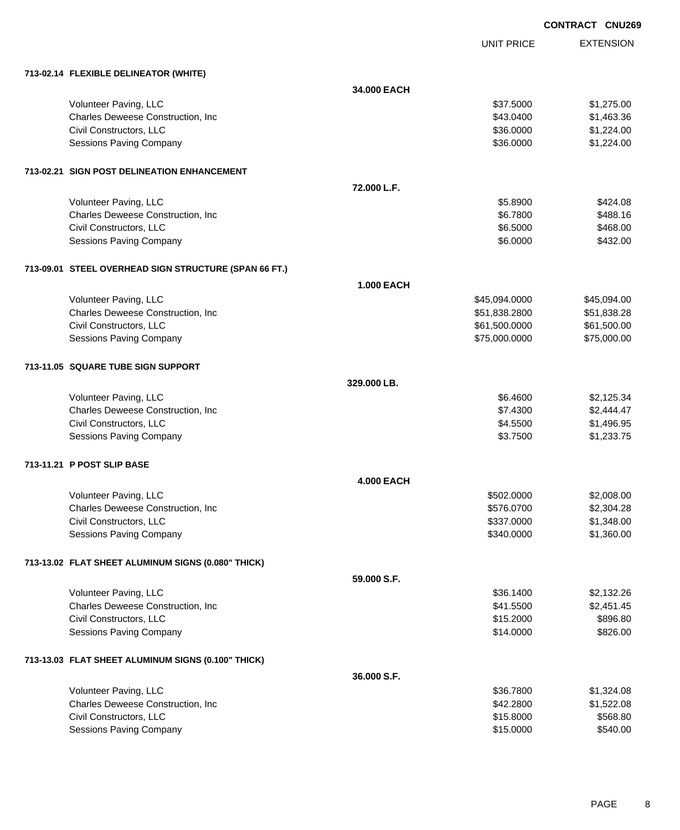|                                                       |                   |                   | <b>CONTRACT CNU269</b> |                  |
|-------------------------------------------------------|-------------------|-------------------|------------------------|------------------|
|                                                       |                   | <b>UNIT PRICE</b> |                        | <b>EXTENSION</b> |
| 713-02.14 FLEXIBLE DELINEATOR (WHITE)                 |                   |                   |                        |                  |
|                                                       | 34.000 EACH       |                   |                        |                  |
| Volunteer Paving, LLC                                 |                   | \$37.5000         |                        | \$1,275.00       |
| Charles Deweese Construction, Inc                     |                   | \$43.0400         |                        | \$1,463.36       |
| Civil Constructors, LLC                               |                   | \$36.0000         |                        | \$1,224.00       |
| Sessions Paving Company                               |                   | \$36.0000         |                        | \$1,224.00       |
| 713-02.21 SIGN POST DELINEATION ENHANCEMENT           |                   |                   |                        |                  |
|                                                       | 72.000 L.F.       |                   |                        |                  |
| Volunteer Paving, LLC                                 |                   | \$5.8900          |                        | \$424.08         |
| Charles Deweese Construction, Inc                     |                   | \$6.7800          |                        | \$488.16         |
| Civil Constructors, LLC                               |                   | \$6.5000          |                        | \$468.00         |
| <b>Sessions Paving Company</b>                        |                   | \$6.0000          |                        | \$432.00         |
| 713-09.01 STEEL OVERHEAD SIGN STRUCTURE (SPAN 66 FT.) |                   |                   |                        |                  |
|                                                       | <b>1.000 EACH</b> |                   |                        |                  |
| Volunteer Paving, LLC                                 |                   | \$45,094.0000     |                        | \$45,094.00      |
| Charles Deweese Construction, Inc                     |                   | \$51,838.2800     |                        | \$51,838.28      |
| Civil Constructors, LLC                               |                   | \$61,500.0000     |                        | \$61,500.00      |
| Sessions Paving Company                               |                   | \$75,000.0000     |                        | \$75,000.00      |
| 713-11.05 SQUARE TUBE SIGN SUPPORT                    |                   |                   |                        |                  |
|                                                       | 329,000 LB.       |                   |                        |                  |
| Volunteer Paving, LLC                                 |                   | \$6.4600          |                        | \$2,125.34       |
| Charles Deweese Construction, Inc                     |                   | \$7.4300          |                        | \$2,444.47       |
| Civil Constructors, LLC                               |                   | \$4.5500          |                        | \$1,496.95       |
| Sessions Paving Company                               |                   | \$3.7500          |                        | \$1,233.75       |
| 713-11.21 P POST SLIP BASE                            |                   |                   |                        |                  |
|                                                       | <b>4.000 EACH</b> |                   |                        |                  |
| Volunteer Paving, LLC                                 |                   | \$502.0000        |                        | \$2,008.00       |
| Charles Deweese Construction, Inc                     |                   | \$576.0700        |                        | \$2,304.28       |
| Civil Constructors, LLC                               |                   | \$337.0000        |                        | \$1,348.00       |
| <b>Sessions Paving Company</b>                        |                   | \$340.0000        |                        | \$1,360.00       |
| 713-13.02 FLAT SHEET ALUMINUM SIGNS (0.080" THICK)    |                   |                   |                        |                  |
|                                                       | 59.000 S.F.       |                   |                        |                  |
| Volunteer Paving, LLC                                 |                   | \$36.1400         |                        | \$2,132.26       |
| Charles Deweese Construction, Inc                     |                   | \$41.5500         |                        | \$2,451.45       |

## **713-13.03 FLAT SHEET ALUMINUM SIGNS (0.100" THICK)**

|                                           | 36,000 S.F. |            |
|-------------------------------------------|-------------|------------|
| Volunteer Paving, LLC                     | \$36,7800   | \$1,324.08 |
| <b>Charles Deweese Construction, Inc.</b> | \$42,2800   | \$1,522,08 |
| Civil Constructors, LLC                   | \$15,8000   | \$568.80   |
| Sessions Paving Company                   | \$15,0000   | \$540.00   |

Civil Constructors, LLC \$896.80 Sessions Paving Company **\$826.00** \$826.00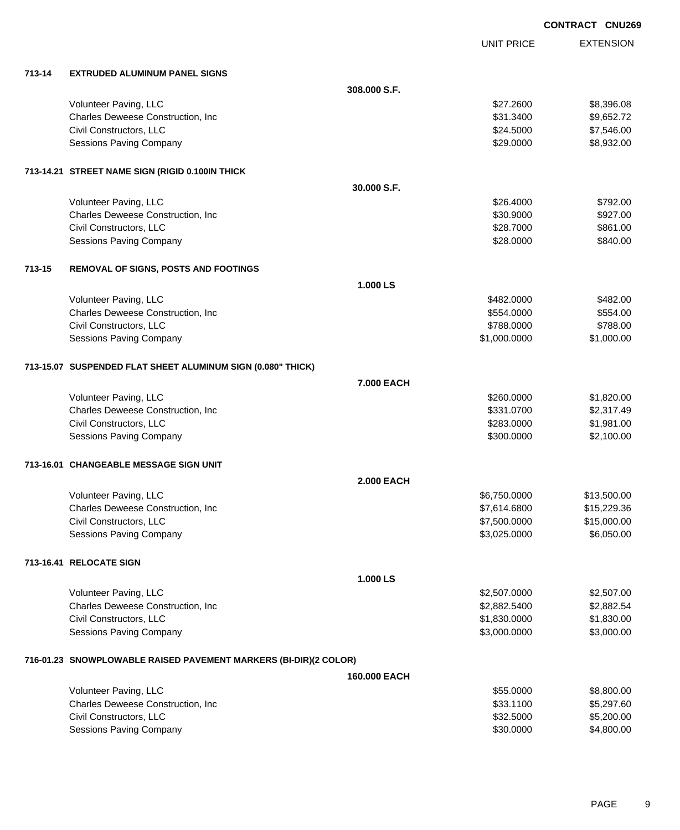UNIT PRICE

EXTENSION

| 713-14 | <b>EXTRUDED ALUMINUM PANEL SIGNS</b>                             |                   |                        |                      |
|--------|------------------------------------------------------------------|-------------------|------------------------|----------------------|
|        |                                                                  | 308.000 S.F.      |                        |                      |
|        | Volunteer Paving, LLC                                            |                   | \$27.2600              | \$8,396.08           |
|        | Charles Deweese Construction, Inc                                |                   | \$31.3400              | \$9,652.72           |
|        | Civil Constructors, LLC                                          |                   | \$24.5000              | \$7,546.00           |
|        | <b>Sessions Paving Company</b>                                   |                   | \$29.0000              | \$8,932.00           |
|        |                                                                  |                   |                        |                      |
|        | 713-14.21 STREET NAME SIGN (RIGID 0.100IN THICK                  |                   |                        |                      |
|        |                                                                  | 30.000 S.F.       |                        |                      |
|        | Volunteer Paving, LLC<br>Charles Deweese Construction, Inc       |                   | \$26.4000<br>\$30.9000 | \$792.00<br>\$927.00 |
|        | Civil Constructors, LLC                                          |                   | \$28.7000              | \$861.00             |
|        | Sessions Paving Company                                          |                   | \$28.0000              | \$840.00             |
|        |                                                                  |                   |                        |                      |
| 713-15 | REMOVAL OF SIGNS, POSTS AND FOOTINGS                             |                   |                        |                      |
|        |                                                                  | 1.000 LS          |                        |                      |
|        | Volunteer Paving, LLC                                            |                   | \$482,0000             | \$482.00             |
|        | Charles Deweese Construction, Inc                                |                   | \$554.0000             | \$554.00             |
|        | Civil Constructors, LLC                                          |                   | \$788.0000             | \$788.00             |
|        | <b>Sessions Paving Company</b>                                   |                   | \$1,000.0000           | \$1,000.00           |
|        | 713-15.07 SUSPENDED FLAT SHEET ALUMINUM SIGN (0.080" THICK)      |                   |                        |                      |
|        |                                                                  | 7.000 EACH        |                        |                      |
|        | Volunteer Paving, LLC                                            |                   | \$260.0000             | \$1,820.00           |
|        | Charles Deweese Construction, Inc                                |                   | \$331.0700             | \$2,317.49           |
|        | Civil Constructors, LLC                                          |                   | \$283.0000             | \$1,981.00           |
|        | Sessions Paving Company                                          |                   | \$300.0000             | \$2,100.00           |
|        | 713-16.01 CHANGEABLE MESSAGE SIGN UNIT                           |                   |                        |                      |
|        |                                                                  | <b>2.000 EACH</b> |                        |                      |
|        | Volunteer Paving, LLC                                            |                   | \$6,750.0000           | \$13,500.00          |
|        | Charles Deweese Construction, Inc                                |                   | \$7,614.6800           | \$15,229.36          |
|        | Civil Constructors, LLC                                          |                   | \$7,500.0000           | \$15,000.00          |
|        | Sessions Paving Company                                          |                   | \$3,025.0000           | \$6,050.00           |
|        |                                                                  |                   |                        |                      |
|        | 713-16.41 RELOCATE SIGN                                          |                   |                        |                      |
|        |                                                                  | 1.000 LS          |                        |                      |
|        | Volunteer Paving, LLC                                            |                   | \$2,507.0000           | \$2,507.00           |
|        | Charles Deweese Construction, Inc                                |                   | \$2,882.5400           | \$2,882.54           |
|        | Civil Constructors, LLC                                          |                   | \$1,830.0000           | \$1,830.00           |
|        | Sessions Paving Company                                          |                   | \$3,000.0000           | \$3,000.00           |
|        | 716-01.23 SNOWPLOWABLE RAISED PAVEMENT MARKERS (BI-DIR)(2 COLOR) |                   |                        |                      |
|        |                                                                  | 160.000 EACH      |                        |                      |
|        | Volunteer Paving, LLC                                            |                   | \$55.0000              | \$8,800.00           |
|        | Charles Deweese Construction, Inc                                |                   | \$33.1100              | \$5,297.60           |
|        | Civil Constructors, LLC                                          |                   | \$32.5000              | \$5,200.00           |
|        | <b>Sessions Paving Company</b>                                   |                   | \$30.0000              | \$4,800.00           |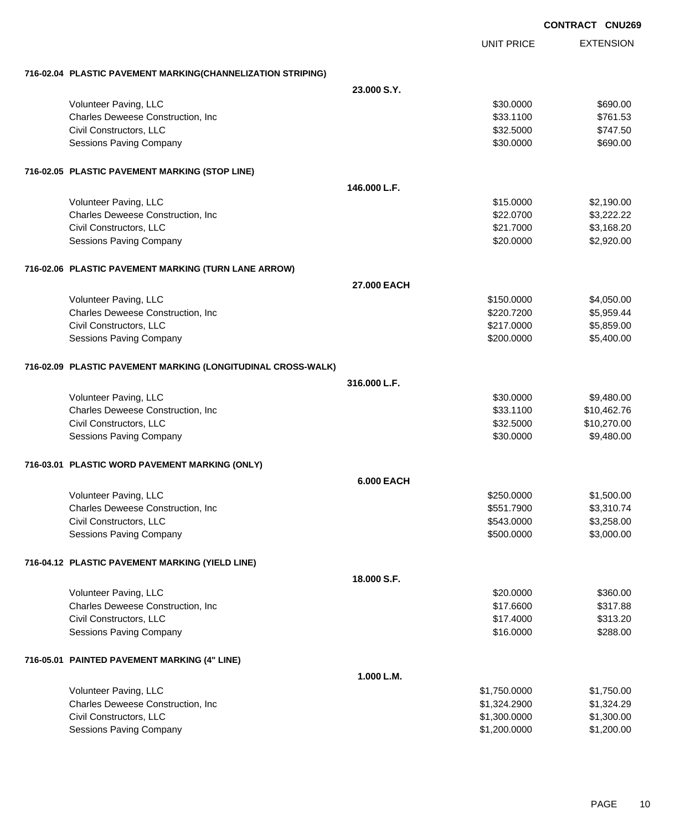|                                                              |                   | <b>CONTRACT CNU269</b>   |
|--------------------------------------------------------------|-------------------|--------------------------|
|                                                              | <b>UNIT PRICE</b> | <b>EXTENSION</b>         |
| 716-02.04 PLASTIC PAVEMENT MARKING(CHANNELIZATION STRIPING)  |                   |                          |
|                                                              | 23.000 S.Y.       |                          |
| Volunteer Paving, LLC                                        |                   | \$30.0000<br>\$690.00    |
| Charles Deweese Construction, Inc                            |                   | \$761.53<br>\$33.1100    |
| Civil Constructors, LLC                                      |                   | \$32.5000<br>\$747.50    |
| <b>Sessions Paving Company</b>                               |                   | \$30.0000<br>\$690.00    |
| 716-02.05 PLASTIC PAVEMENT MARKING (STOP LINE)               |                   |                          |
|                                                              | 146,000 L.F.      |                          |
| Volunteer Paving, LLC                                        |                   | \$15.0000<br>\$2,190.00  |
| Charles Deweese Construction, Inc                            |                   | \$22.0700<br>\$3,222.22  |
| Civil Constructors, LLC                                      |                   | \$3,168.20<br>\$21.7000  |
| <b>Sessions Paving Company</b>                               |                   | \$2,920.00<br>\$20.0000  |
| 716-02.06 PLASTIC PAVEMENT MARKING (TURN LANE ARROW)         |                   |                          |
|                                                              | 27.000 EACH       |                          |
| Volunteer Paving, LLC                                        |                   | \$150.0000<br>\$4,050.00 |
| Charles Deweese Construction, Inc                            |                   | \$5,959.44<br>\$220.7200 |
| Civil Constructors, LLC                                      |                   | \$5,859.00<br>\$217.0000 |
| Sessions Paving Company                                      |                   | \$5,400.00<br>\$200.0000 |
| 716-02.09 PLASTIC PAVEMENT MARKING (LONGITUDINAL CROSS-WALK) |                   |                          |
|                                                              | 316,000 L.F.      |                          |
| Volunteer Paving, LLC                                        |                   | \$30.0000<br>\$9,480.00  |
| Charles Deweese Construction, Inc                            |                   | \$33.1100<br>\$10,462.76 |
| Civil Constructors, LLC                                      |                   | \$32.5000<br>\$10,270.00 |
| Sessions Paving Company                                      |                   | \$30.0000<br>\$9,480.00  |
| 716-03.01 PLASTIC WORD PAVEMENT MARKING (ONLY)               |                   |                          |
|                                                              | <b>6.000 EACH</b> |                          |
| Volunteer Paving, LLC                                        |                   | \$250.0000<br>\$1,500.00 |
| Charles Deweese Construction, Inc                            |                   | \$551.7900<br>\$3,310.74 |
| Civil Constructors, LLC                                      |                   | \$543.0000<br>\$3,258.00 |
| Sessions Paving Company                                      |                   | \$500.0000<br>\$3,000.00 |
| 716-04.12 PLASTIC PAVEMENT MARKING (YIELD LINE)              |                   |                          |
|                                                              | 18.000 S.F.       |                          |
| Volunteer Paving, LLC                                        |                   | \$20.0000<br>\$360.00    |
| Charles Deweese Construction, Inc                            |                   | \$17.6600<br>\$317.88    |
| Civil Constructors, LLC                                      |                   | \$313.20<br>\$17.4000    |
| Sessions Paving Company                                      |                   | \$16.0000<br>\$288.00    |
| 716-05.01 PAINTED PAVEMENT MARKING (4" LINE)                 |                   |                          |
|                                                              | 1.000 L.M.        |                          |
| Volunteer Paving, LLC                                        | \$1,750.0000      | \$1,750.00               |
| Charles Deweese Construction, Inc                            | \$1,324.2900      | \$1,324.29               |
| Civil Constructors, LLC                                      | \$1,300.0000      | \$1,300.00               |
| Sessions Paving Company                                      | \$1,200.0000      | \$1,200.00               |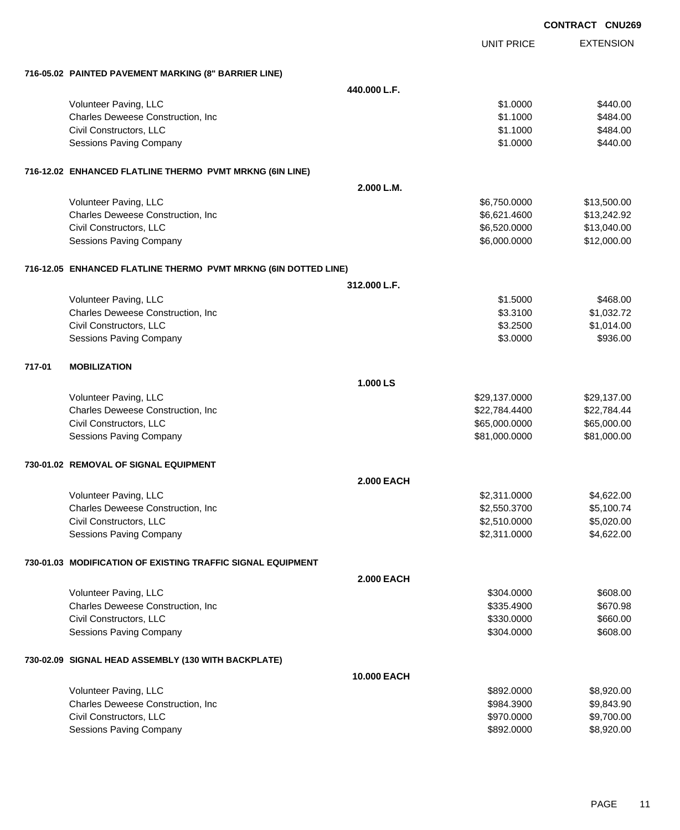|        |                                                                 |                   |                   | <b>CONTRACT CNU269</b> |
|--------|-----------------------------------------------------------------|-------------------|-------------------|------------------------|
|        |                                                                 |                   | <b>UNIT PRICE</b> | <b>EXTENSION</b>       |
|        | 716-05.02 PAINTED PAVEMENT MARKING (8" BARRIER LINE)            |                   |                   |                        |
|        |                                                                 | 440.000 L.F.      |                   |                        |
|        | Volunteer Paving, LLC                                           |                   | \$1.0000          | \$440.00               |
|        | Charles Deweese Construction, Inc                               |                   | \$1.1000          | \$484.00               |
|        | Civil Constructors, LLC                                         |                   | \$1.1000          | \$484.00               |
|        | Sessions Paving Company                                         |                   | \$1.0000          | \$440.00               |
|        | 716-12.02 ENHANCED FLATLINE THERMO PVMT MRKNG (6IN LINE)        |                   |                   |                        |
|        |                                                                 | 2.000 L.M.        |                   |                        |
|        | Volunteer Paving, LLC                                           |                   | \$6,750.0000      | \$13,500.00            |
|        | Charles Deweese Construction, Inc                               |                   | \$6,621.4600      | \$13,242.92            |
|        | Civil Constructors, LLC                                         |                   | \$6,520.0000      | \$13,040.00            |
|        | Sessions Paving Company                                         |                   | \$6,000.0000      | \$12,000.00            |
|        | 716-12.05 ENHANCED FLATLINE THERMO PVMT MRKNG (6IN DOTTED LINE) |                   |                   |                        |
|        |                                                                 | 312.000 L.F.      |                   |                        |
|        | Volunteer Paving, LLC                                           |                   | \$1.5000          | \$468.00               |
|        | Charles Deweese Construction, Inc                               |                   | \$3.3100          | \$1,032.72             |
|        | Civil Constructors, LLC                                         |                   | \$3.2500          | \$1,014.00             |
|        | Sessions Paving Company                                         |                   | \$3.0000          | \$936.00               |
| 717-01 | <b>MOBILIZATION</b>                                             |                   |                   |                        |
|        |                                                                 | 1.000 LS          |                   |                        |
|        | Volunteer Paving, LLC                                           |                   | \$29,137.0000     | \$29,137.00            |
|        | Charles Deweese Construction, Inc                               |                   | \$22,784.4400     | \$22,784.44            |
|        | Civil Constructors, LLC                                         |                   | \$65,000.0000     | \$65,000.00            |
|        | <b>Sessions Paving Company</b>                                  |                   | \$81,000.0000     | \$81,000.00            |
|        | 730-01.02 REMOVAL OF SIGNAL EQUIPMENT                           |                   |                   |                        |
|        |                                                                 | <b>2.000 EACH</b> |                   |                        |
|        | Volunteer Paving, LLC                                           |                   | \$2,311.0000      | \$4,622.00             |
|        | Charles Deweese Construction, Inc                               |                   | \$2,550.3700      | \$5,100.74             |
|        | Civil Constructors, LLC                                         |                   | \$2,510.0000      | \$5,020.00             |
|        | Sessions Paving Company                                         |                   | \$2,311.0000      | \$4,622.00             |
|        | 730-01.03 MODIFICATION OF EXISTING TRAFFIC SIGNAL EQUIPMENT     |                   |                   |                        |
|        |                                                                 | <b>2.000 EACH</b> |                   |                        |
|        | Volunteer Paving, LLC                                           |                   | \$304.0000        | \$608.00               |
|        | Charles Deweese Construction, Inc                               |                   | \$335.4900        | \$670.98               |
|        | Civil Constructors, LLC                                         |                   | \$330.0000        | \$660.00               |
|        | Sessions Paving Company                                         |                   | \$304.0000        | \$608.00               |
|        | 730-02.09 SIGNAL HEAD ASSEMBLY (130 WITH BACKPLATE)             |                   |                   |                        |
|        |                                                                 | 10.000 EACH       |                   |                        |
|        | Volunteer Paving, LLC                                           |                   | \$892.0000        | \$8,920.00             |
|        | Charles Deweese Construction, Inc                               |                   | \$984.3900        | \$9,843.90             |
|        | Civil Constructors, LLC                                         |                   | \$970.0000        | \$9,700.00             |
|        | Sessions Paving Company                                         |                   | \$892.0000        | \$8,920.00             |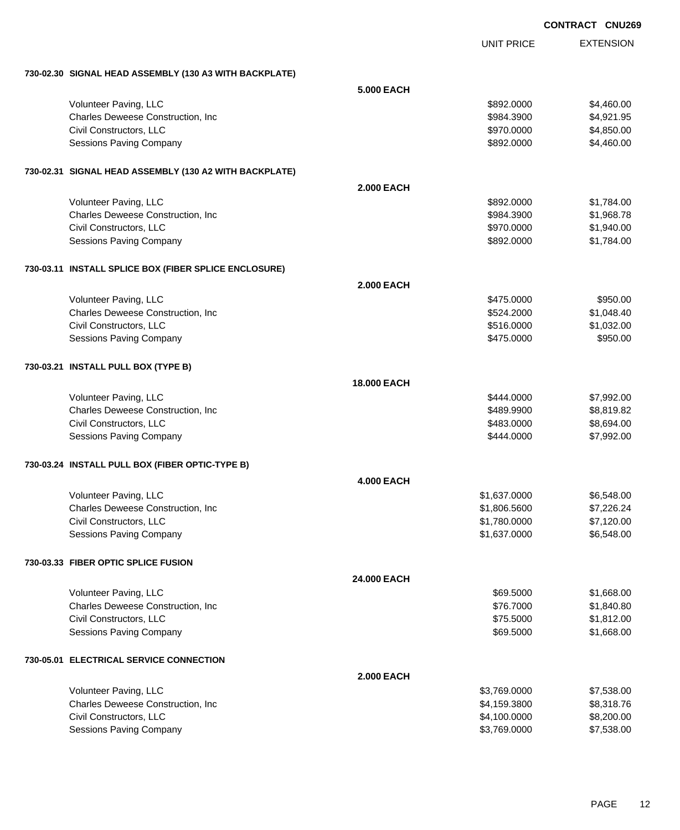| CONTRACT CNU269 |  |
|-----------------|--|
|                 |  |

|                                                        |                    | <b>UNIT PRICE</b> | <b>EXTENSION</b> |
|--------------------------------------------------------|--------------------|-------------------|------------------|
| 730-02.30 SIGNAL HEAD ASSEMBLY (130 A3 WITH BACKPLATE) |                    |                   |                  |
|                                                        | 5.000 EACH         |                   |                  |
| Volunteer Paving, LLC                                  |                    | \$892.0000        | \$4,460.00       |
| Charles Deweese Construction, Inc                      |                    | \$984.3900        | \$4,921.95       |
| Civil Constructors, LLC                                |                    |                   | \$4,850.00       |
|                                                        |                    | \$970.0000        |                  |
| <b>Sessions Paving Company</b>                         |                    | \$892.0000        | \$4,460.00       |
| 730-02.31 SIGNAL HEAD ASSEMBLY (130 A2 WITH BACKPLATE) |                    |                   |                  |
|                                                        | <b>2.000 EACH</b>  |                   |                  |
| Volunteer Paving, LLC                                  |                    | \$892.0000        | \$1,784.00       |
| Charles Deweese Construction, Inc                      |                    | \$984.3900        | \$1,968.78       |
| Civil Constructors, LLC                                |                    | \$970.0000        | \$1,940.00       |
| <b>Sessions Paving Company</b>                         |                    | \$892.0000        | \$1,784.00       |
| 730-03.11 INSTALL SPLICE BOX (FIBER SPLICE ENCLOSURE)  |                    |                   |                  |
|                                                        | <b>2.000 EACH</b>  |                   |                  |
| Volunteer Paving, LLC                                  |                    | \$475.0000        | \$950.00         |
|                                                        |                    |                   |                  |
| Charles Deweese Construction, Inc.                     |                    | \$524.2000        | \$1,048.40       |
| Civil Constructors, LLC                                |                    | \$516.0000        | \$1,032.00       |
| <b>Sessions Paving Company</b>                         |                    | \$475.0000        | \$950.00         |
| 730-03.21 INSTALL PULL BOX (TYPE B)                    |                    |                   |                  |
|                                                        | <b>18,000 EACH</b> |                   |                  |
| Volunteer Paving, LLC                                  |                    | \$444.0000        | \$7,992.00       |
| Charles Deweese Construction, Inc.                     |                    | \$489.9900        | \$8,819.82       |
| Civil Constructors, LLC                                |                    | \$483.0000        | \$8,694.00       |
| Sessions Paving Company                                |                    | \$444.0000        | \$7,992.00       |
| 730-03.24 INSTALL PULL BOX (FIBER OPTIC-TYPE B)        |                    |                   |                  |
|                                                        | <b>4.000 EACH</b>  |                   |                  |
| Volunteer Paving, LLC                                  |                    | \$1,637.0000      | \$6,548.00       |
| Charles Deweese Construction, Inc.                     |                    | \$1,806.5600      | \$7,226.24       |
| Civil Constructors, LLC                                |                    | \$1,780.0000      |                  |
|                                                        |                    |                   | \$7,120.00       |
| Sessions Paving Company                                |                    | \$1,637.0000      | \$6,548.00       |
| 730-03.33 FIBER OPTIC SPLICE FUSION                    |                    |                   |                  |
|                                                        | 24.000 EACH        |                   |                  |
| Volunteer Paving, LLC                                  |                    | \$69.5000         | \$1,668.00       |
| Charles Deweese Construction, Inc.                     |                    | \$76.7000         | \$1,840.80       |
| Civil Constructors, LLC                                |                    | \$75.5000         | \$1,812.00       |
| <b>Sessions Paving Company</b>                         |                    | \$69.5000         | \$1,668.00       |
|                                                        |                    |                   |                  |
| 730-05.01 ELECTRICAL SERVICE CONNECTION                | <b>2.000 EACH</b>  |                   |                  |
|                                                        |                    |                   |                  |
| Volunteer Paving, LLC                                  |                    | \$3,769.0000      | \$7,538.00       |
| Charles Deweese Construction, Inc.                     |                    | \$4,159.3800      | \$8,318.76       |
| Civil Constructors, LLC                                |                    | \$4,100.0000      | \$8,200.00       |
| Sessions Paving Company                                |                    | \$3,769.0000      | \$7,538.00       |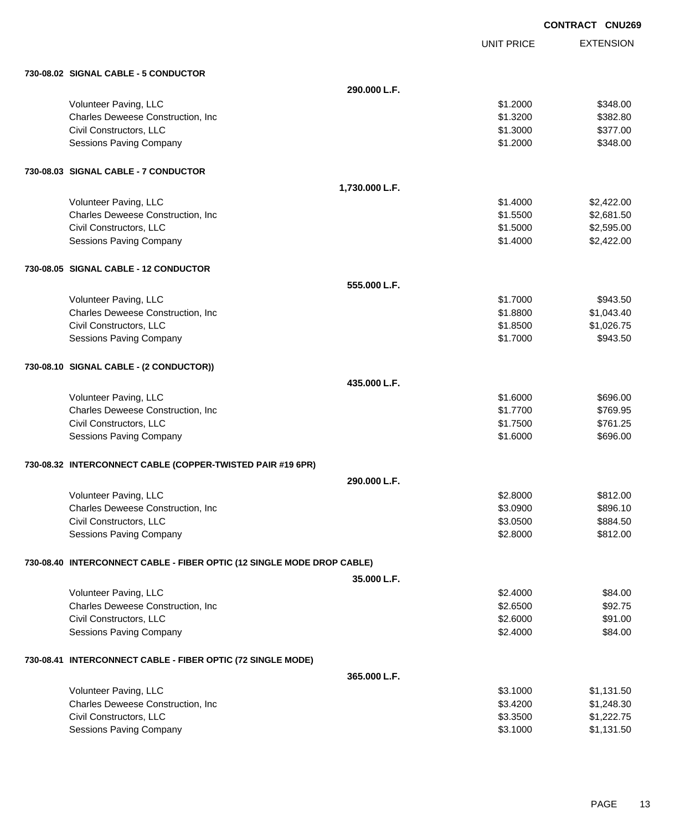|                                                                        |                | <b>CONTRACT CNU269</b> |                  |
|------------------------------------------------------------------------|----------------|------------------------|------------------|
|                                                                        |                | <b>UNIT PRICE</b>      | <b>EXTENSION</b> |
| 730-08.02 SIGNAL CABLE - 5 CONDUCTOR                                   |                |                        |                  |
|                                                                        | 290.000 L.F.   |                        |                  |
| Volunteer Paving, LLC                                                  |                | \$1.2000               | \$348.00         |
| Charles Deweese Construction, Inc                                      |                | \$1.3200               | \$382.80         |
| Civil Constructors, LLC                                                |                | \$1.3000               | \$377.00         |
| <b>Sessions Paving Company</b>                                         |                | \$1.2000               | \$348.00         |
| 730-08.03 SIGNAL CABLE - 7 CONDUCTOR                                   |                |                        |                  |
|                                                                        | 1,730.000 L.F. |                        |                  |
| Volunteer Paving, LLC                                                  |                | \$1.4000               | \$2,422.00       |
| Charles Deweese Construction, Inc                                      |                | \$1.5500               | \$2,681.50       |
| Civil Constructors, LLC                                                |                | \$1.5000               | \$2,595.00       |
| <b>Sessions Paving Company</b>                                         |                | \$1.4000               | \$2,422.00       |
| 730-08.05 SIGNAL CABLE - 12 CONDUCTOR                                  |                |                        |                  |
|                                                                        | 555,000 L.F.   |                        |                  |
| Volunteer Paving, LLC                                                  |                | \$1.7000               | \$943.50         |
| Charles Deweese Construction, Inc.                                     |                | \$1.8800               | \$1,043.40       |
| Civil Constructors, LLC                                                |                | \$1.8500               | \$1,026.75       |
| Sessions Paving Company                                                |                | \$1.7000               | \$943.50         |
| 730-08.10 SIGNAL CABLE - (2 CONDUCTOR))                                |                |                        |                  |
|                                                                        | 435,000 L.F.   |                        |                  |
| Volunteer Paving, LLC                                                  |                | \$1.6000               | \$696.00         |
| Charles Deweese Construction, Inc                                      |                | \$1.7700               | \$769.95         |
| Civil Constructors, LLC                                                |                | \$1.7500               | \$761.25         |
| Sessions Paving Company                                                |                | \$1.6000               | \$696.00         |
| 730-08.32 INTERCONNECT CABLE (COPPER-TWISTED PAIR #19 6PR)             |                |                        |                  |
|                                                                        | 290.000 L.F.   |                        |                  |
| Volunteer Paving, LLC                                                  |                | \$2.8000               | \$812.00         |
| Charles Deweese Construction, Inc                                      |                | \$3.0900               | \$896.10         |
| Civil Constructors, LLC                                                |                | \$3.0500               | \$884.50         |
| <b>Sessions Paving Company</b>                                         |                | \$2.8000               | \$812.00         |
| 730-08.40 INTERCONNECT CABLE - FIBER OPTIC (12 SINGLE MODE DROP CABLE) |                |                        |                  |
|                                                                        | 35.000 L.F.    |                        |                  |
| Volunteer Paving, LLC                                                  |                | \$2.4000               | \$84.00          |
| Charles Deweese Construction, Inc.                                     |                | \$2.6500               | \$92.75          |
| Civil Constructors, LLC                                                |                | \$2.6000               | \$91.00          |
| Sessions Paving Company                                                |                | \$2.4000               | \$84.00          |
| 730-08.41 INTERCONNECT CABLE - FIBER OPTIC (72 SINGLE MODE)            |                |                        |                  |
|                                                                        | 365.000 L.F.   |                        |                  |
| Volunteer Paving, LLC                                                  |                | \$3.1000               | \$1,131.50       |
| Charles Deweese Construction, Inc                                      |                | \$3.4200               | \$1,248.30       |
| Civil Constructors, LLC                                                |                | \$3.3500               | \$1,222.75       |
| Sessions Paving Company                                                |                | \$3.1000               | \$1,131.50       |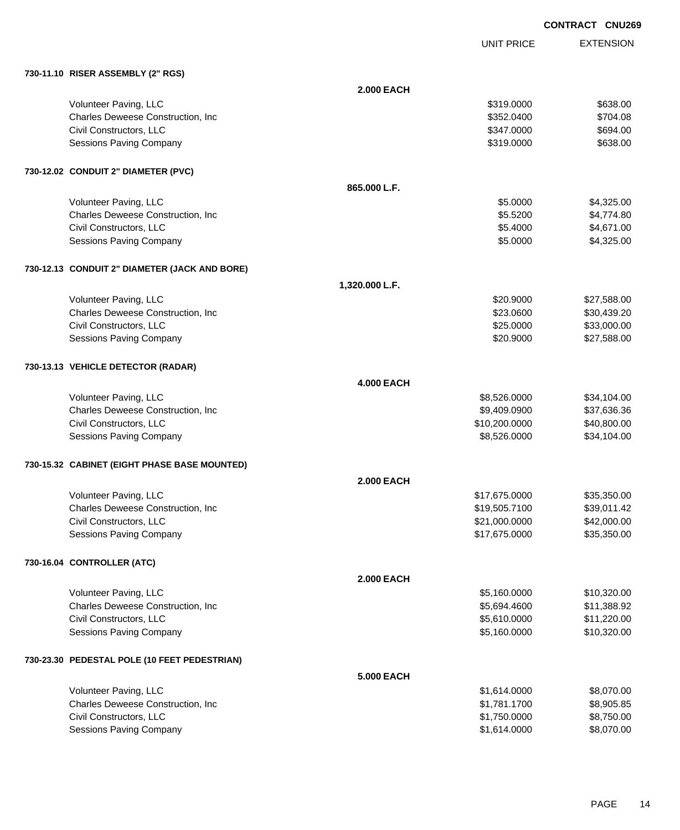|                                               |                   |                   | <b>CONTRACT CNU269</b> |                  |
|-----------------------------------------------|-------------------|-------------------|------------------------|------------------|
|                                               |                   | <b>UNIT PRICE</b> |                        | <b>EXTENSION</b> |
| 730-11.10 RISER ASSEMBLY (2" RGS)             |                   |                   |                        |                  |
|                                               | <b>2.000 EACH</b> |                   |                        |                  |
| Volunteer Paving, LLC                         |                   | \$319.0000        |                        | \$638.00         |
| Charles Deweese Construction, Inc             |                   | \$352.0400        |                        | \$704.08         |
| Civil Constructors, LLC                       |                   | \$347.0000        |                        | \$694.00         |
| <b>Sessions Paving Company</b>                |                   | \$319.0000        |                        | \$638.00         |
| 730-12.02 CONDUIT 2" DIAMETER (PVC)           |                   |                   |                        |                  |
|                                               | 865.000 L.F.      |                   |                        |                  |
| Volunteer Paving, LLC                         |                   | \$5.0000          |                        | \$4,325.00       |
| Charles Deweese Construction, Inc.            |                   | \$5.5200          |                        | \$4,774.80       |
| Civil Constructors, LLC                       |                   | \$5.4000          |                        | \$4,671.00       |
| <b>Sessions Paving Company</b>                |                   | \$5.0000          |                        | \$4,325.00       |
| 730-12.13 CONDUIT 2" DIAMETER (JACK AND BORE) |                   |                   |                        |                  |
|                                               | 1,320.000 L.F.    |                   |                        |                  |
| Volunteer Paving, LLC                         |                   | \$20.9000         |                        | \$27,588.00      |
| Charles Deweese Construction, Inc             |                   | \$23.0600         |                        | \$30,439.20      |
| Civil Constructors, LLC                       |                   | \$25.0000         |                        | \$33,000.00      |
| <b>Sessions Paving Company</b>                |                   | \$20.9000         |                        | \$27,588.00      |
| 730-13.13 VEHICLE DETECTOR (RADAR)            |                   |                   |                        |                  |
|                                               | <b>4.000 EACH</b> |                   |                        |                  |
| Volunteer Paving, LLC                         |                   | \$8,526.0000      |                        | \$34,104.00      |
| Charles Deweese Construction, Inc             |                   | \$9,409.0900      |                        | \$37,636.36      |
| Civil Constructors, LLC                       |                   | \$10,200.0000     |                        | \$40,800.00      |
| <b>Sessions Paving Company</b>                |                   | \$8,526.0000      |                        | \$34,104.00      |
| 730-15.32 CABINET (EIGHT PHASE BASE MOUNTED)  |                   |                   |                        |                  |
|                                               | <b>2.000 EACH</b> |                   |                        |                  |
| Volunteer Paving, LLC                         |                   | \$17,675.0000     |                        | \$35,350.00      |
| Charles Deweese Construction, Inc.            |                   | \$19,505.7100     |                        | \$39,011.42      |
| Civil Constructors, LLC                       |                   | \$21,000.0000     |                        | \$42,000.00      |
| <b>Sessions Paving Company</b>                |                   | \$17,675.0000     |                        | \$35,350.00      |
| 730-16.04 CONTROLLER (ATC)                    |                   |                   |                        |                  |
|                                               | <b>2.000 EACH</b> |                   |                        |                  |
| Volunteer Paving, LLC                         |                   | \$5,160.0000      |                        | \$10,320.00      |
| Charles Deweese Construction, Inc.            |                   | \$5,694.4600      |                        | \$11,388.92      |
| Civil Constructors, LLC                       |                   | \$5,610.0000      |                        | \$11,220.00      |
| <b>Sessions Paving Company</b>                |                   | \$5,160.0000      |                        | \$10,320.00      |
| 730-23.30 PEDESTAL POLE (10 FEET PEDESTRIAN)  |                   |                   |                        |                  |
|                                               | <b>5.000 EACH</b> |                   |                        |                  |

| Volunteer Paving, LLC                     | \$1.614.0000 | \$8.070.00 |
|-------------------------------------------|--------------|------------|
| <b>Charles Deweese Construction, Inc.</b> | \$1.781.1700 | \$8,905.85 |
| Civil Constructors, LLC                   | \$1.750,0000 | \$8.750.00 |
| Sessions Paving Company                   | \$1.614.0000 | \$8,070,00 |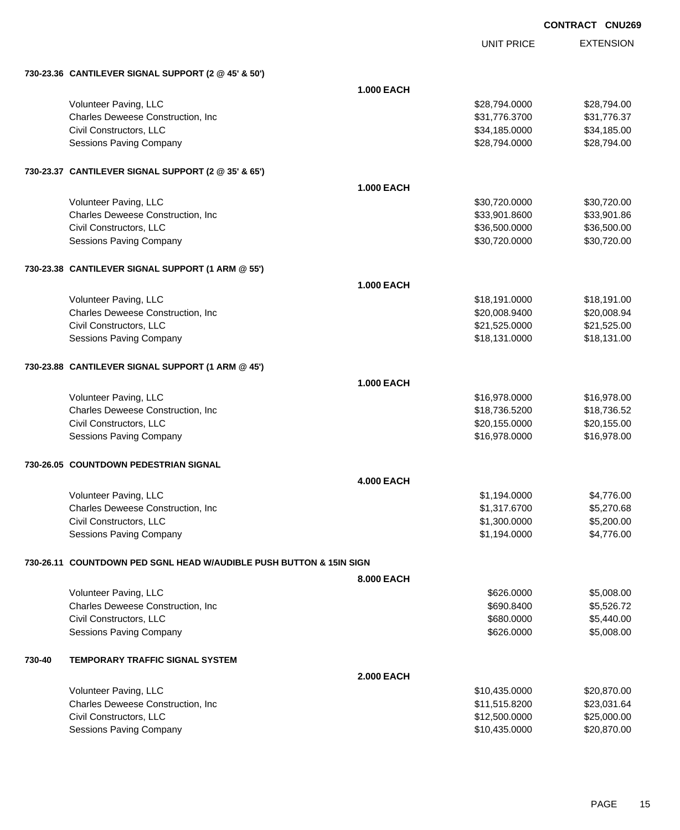| <b>CONTRACT</b> | <b>CNU269</b> |
|-----------------|---------------|
|                 |               |

|        |                                                                     |                   | <b>UNIT PRICE</b> | <b>EXTENSION</b> |  |  |
|--------|---------------------------------------------------------------------|-------------------|-------------------|------------------|--|--|
|        | 730-23.36 CANTILEVER SIGNAL SUPPORT (2 @ 45' & 50')                 |                   |                   |                  |  |  |
|        |                                                                     | <b>1.000 EACH</b> |                   |                  |  |  |
|        | Volunteer Paving, LLC                                               |                   | \$28,794.0000     | \$28,794.00      |  |  |
|        | Charles Deweese Construction, Inc                                   |                   | \$31,776.3700     | \$31,776.37      |  |  |
|        | Civil Constructors, LLC                                             |                   | \$34,185.0000     | \$34,185.00      |  |  |
|        | <b>Sessions Paving Company</b>                                      |                   | \$28,794.0000     | \$28,794.00      |  |  |
|        | 730-23.37 CANTILEVER SIGNAL SUPPORT (2 @ 35' & 65')                 |                   |                   |                  |  |  |
|        |                                                                     | <b>1.000 EACH</b> |                   |                  |  |  |
|        | Volunteer Paving, LLC                                               |                   | \$30,720.0000     | \$30,720.00      |  |  |
|        | Charles Deweese Construction, Inc.                                  |                   | \$33,901.8600     | \$33,901.86      |  |  |
|        | Civil Constructors, LLC                                             |                   | \$36,500.0000     | \$36,500.00      |  |  |
|        | Sessions Paving Company                                             |                   | \$30,720.0000     | \$30,720.00      |  |  |
|        | 730-23.38 CANTILEVER SIGNAL SUPPORT (1 ARM @ 55')                   |                   |                   |                  |  |  |
|        |                                                                     | <b>1.000 EACH</b> |                   |                  |  |  |
|        | Volunteer Paving, LLC                                               |                   | \$18,191.0000     | \$18,191.00      |  |  |
|        | Charles Deweese Construction, Inc                                   |                   | \$20,008.9400     | \$20,008.94      |  |  |
|        | Civil Constructors, LLC                                             |                   | \$21,525.0000     | \$21,525.00      |  |  |
|        | Sessions Paving Company                                             |                   | \$18,131.0000     | \$18,131.00      |  |  |
|        | 730-23.88 CANTILEVER SIGNAL SUPPORT (1 ARM @ 45')                   |                   |                   |                  |  |  |
|        |                                                                     | <b>1.000 EACH</b> |                   |                  |  |  |
|        | Volunteer Paving, LLC                                               |                   | \$16,978.0000     | \$16,978.00      |  |  |
|        | Charles Deweese Construction, Inc                                   |                   | \$18,736.5200     | \$18,736.52      |  |  |
|        | Civil Constructors, LLC                                             |                   | \$20,155.0000     | \$20,155.00      |  |  |
|        | <b>Sessions Paving Company</b>                                      |                   | \$16,978.0000     | \$16,978.00      |  |  |
|        | 730-26.05 COUNTDOWN PEDESTRIAN SIGNAL                               |                   |                   |                  |  |  |
|        |                                                                     | <b>4.000 EACH</b> |                   |                  |  |  |
|        | Volunteer Paving, LLC                                               |                   | \$1.194.0000      | \$4,776.00       |  |  |
|        | Charles Deweese Construction, Inc.                                  |                   | \$1,317.6700      | \$5,270.68       |  |  |
|        | Civil Constructors, LLC                                             |                   | \$1,300.0000      | \$5,200.00       |  |  |
|        | <b>Sessions Paving Company</b>                                      |                   | \$1,194.0000      | \$4,776.00       |  |  |
|        | 730-26.11 COUNTDOWN PED SGNL HEAD W/AUDIBLE PUSH BUTTON & 15IN SIGN |                   |                   |                  |  |  |
|        |                                                                     | 8,000 EACH        |                   |                  |  |  |
|        | Volunteer Paving, LLC                                               |                   | \$626.0000        | \$5,008.00       |  |  |
|        | Charles Deweese Construction, Inc                                   |                   | \$690.8400        | \$5,526.72       |  |  |
|        | Civil Constructors, LLC                                             |                   | \$680.0000        | \$5,440.00       |  |  |
|        | <b>Sessions Paving Company</b>                                      |                   | \$626.0000        | \$5,008.00       |  |  |
| 730-40 | <b>TEMPORARY TRAFFIC SIGNAL SYSTEM</b>                              |                   |                   |                  |  |  |
|        |                                                                     | <b>2.000 EACH</b> |                   |                  |  |  |
|        | Volunteer Paving, LLC                                               |                   | \$10,435.0000     | \$20,870.00      |  |  |
|        | Charles Deweese Construction, Inc.                                  |                   | \$11,515.8200     | \$23,031.64      |  |  |
|        | Civil Constructors, LLC                                             |                   | \$12,500.0000     | \$25,000.00      |  |  |
|        | Sessions Paving Company                                             |                   | \$10,435.0000     | \$20,870.00      |  |  |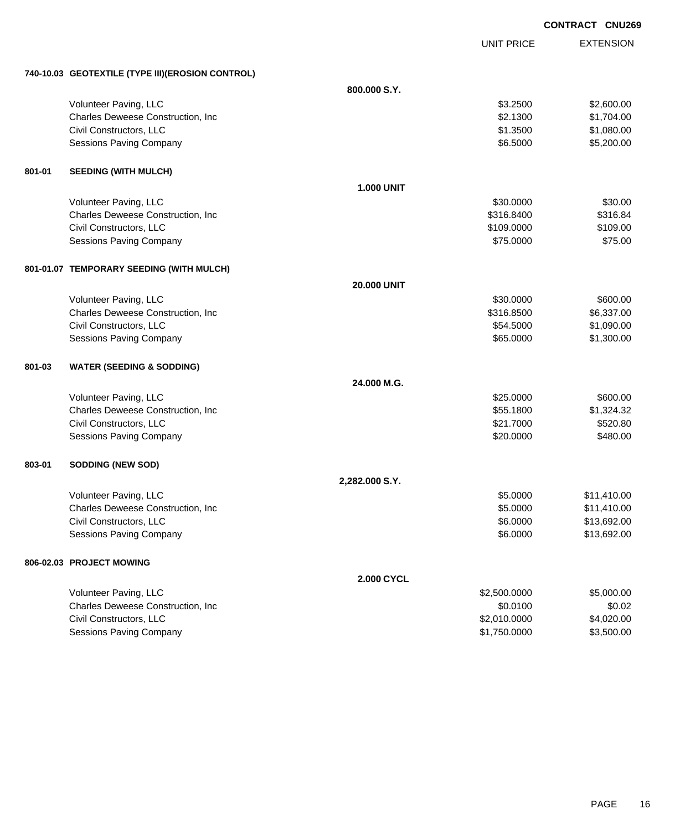|        |                                                   |                    |                   | <b>CONTRACT CNU269</b> |
|--------|---------------------------------------------------|--------------------|-------------------|------------------------|
|        |                                                   |                    | <b>UNIT PRICE</b> | <b>EXTENSION</b>       |
|        | 740-10.03 GEOTEXTILE (TYPE III) (EROSION CONTROL) |                    |                   |                        |
|        |                                                   | 800.000 S.Y.       |                   |                        |
|        | Volunteer Paving, LLC                             |                    | \$3.2500          | \$2,600.00             |
|        | Charles Deweese Construction, Inc                 |                    | \$2.1300          | \$1,704.00             |
|        | Civil Constructors, LLC                           |                    | \$1.3500          | \$1,080.00             |
|        | <b>Sessions Paving Company</b>                    |                    | \$6.5000          | \$5,200.00             |
| 801-01 | <b>SEEDING (WITH MULCH)</b>                       |                    |                   |                        |
|        |                                                   | <b>1.000 UNIT</b>  |                   |                        |
|        | Volunteer Paving, LLC                             |                    | \$30.0000         | \$30.00                |
|        | Charles Deweese Construction, Inc                 |                    | \$316.8400        | \$316.84               |
|        | Civil Constructors, LLC                           |                    | \$109.0000        | \$109.00               |
|        | <b>Sessions Paving Company</b>                    |                    | \$75.0000         | \$75.00                |
|        | 801-01.07 TEMPORARY SEEDING (WITH MULCH)          |                    |                   |                        |
|        |                                                   | <b>20.000 UNIT</b> |                   |                        |
|        | Volunteer Paving, LLC                             |                    | \$30,0000         | \$600.00               |
|        | Charles Deweese Construction, Inc                 |                    | \$316.8500        | \$6,337.00             |
|        | Civil Constructors, LLC                           |                    | \$54.5000         | \$1,090.00             |
|        | <b>Sessions Paving Company</b>                    |                    | \$65.0000         | \$1,300.00             |
| 801-03 | <b>WATER (SEEDING &amp; SODDING)</b>              |                    |                   |                        |
|        |                                                   | 24.000 M.G.        |                   |                        |
|        | Volunteer Paving, LLC                             |                    | \$25.0000         | \$600.00               |
|        | Charles Deweese Construction, Inc                 |                    | \$55.1800         | \$1,324.32             |
|        | Civil Constructors, LLC                           |                    | \$21.7000         | \$520.80               |
|        | Sessions Paving Company                           |                    | \$20.0000         | \$480.00               |
| 803-01 | <b>SODDING (NEW SOD)</b>                          |                    |                   |                        |
|        |                                                   | 2,282.000 S.Y.     |                   |                        |
|        | Volunteer Paving, LLC                             |                    | \$5.0000          | \$11,410.00            |
|        | Charles Deweese Construction, Inc.                |                    | \$5.0000          | \$11,410.00            |
|        | Civil Constructors, LLC                           |                    | \$6.0000          | \$13,692.00            |
|        | <b>Sessions Paving Company</b>                    |                    | \$6.0000          | \$13,692.00            |
|        | 806-02.03 PROJECT MOWING                          |                    |                   |                        |
|        |                                                   | 2.000 CYCL         |                   |                        |
|        | Volunteer Paving, LLC                             |                    | \$2,500.0000      | \$5,000.00             |
|        | Charles Deweese Construction, Inc.                |                    | \$0.0100          | \$0.02                 |
|        | Civil Constructors, LLC                           |                    | \$2,010.0000      | \$4,020.00             |
|        | <b>Sessions Paving Company</b>                    |                    | \$1,750.0000      | \$3,500.00             |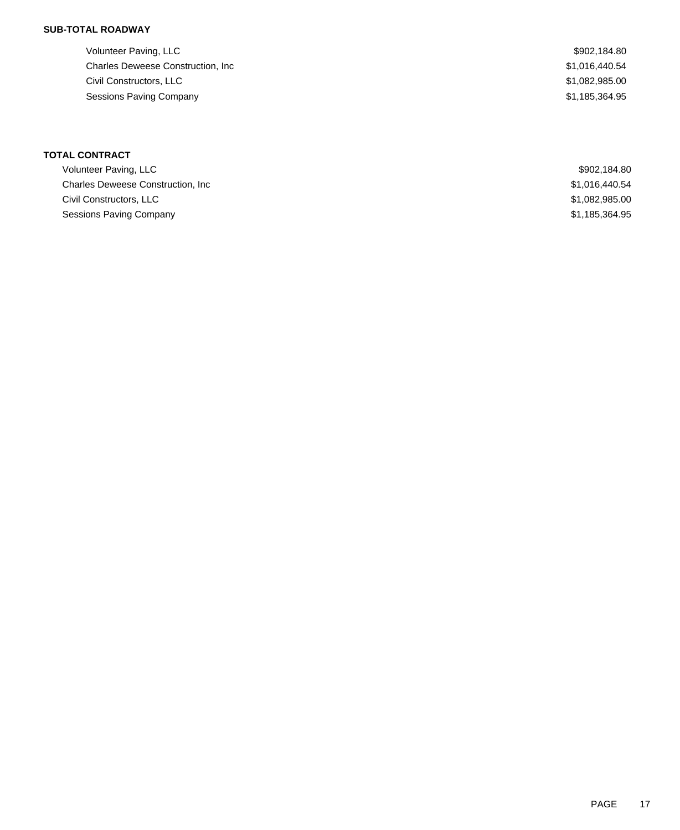# **SUB-TOTAL ROADWAY**

| Volunteer Paving, LLC                     | \$902,184.80   |
|-------------------------------------------|----------------|
| <b>Charles Deweese Construction, Inc.</b> | \$1,016,440.54 |
| Civil Constructors, LLC                   | \$1,082,985.00 |
| Sessions Paving Company                   | \$1,185,364.95 |
|                                           |                |

## **TOTAL CONTRACT**

| Volunteer Paving, LLC                     | \$902.184.80   |
|-------------------------------------------|----------------|
| <b>Charles Deweese Construction. Inc.</b> | \$1.016.440.54 |
| Civil Constructors, LLC                   | \$1,082,985.00 |
| Sessions Paving Company                   | \$1,185,364.95 |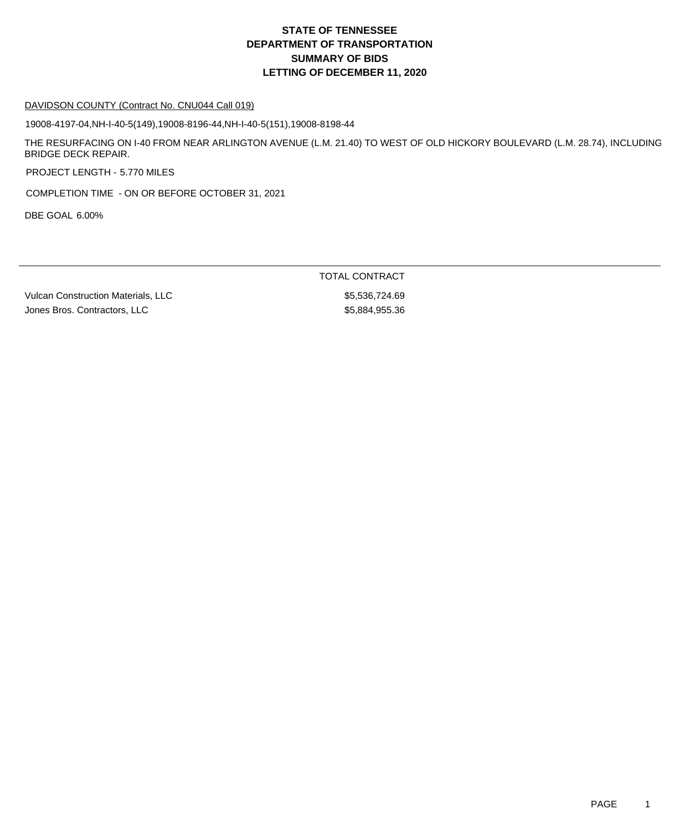# **DEPARTMENT OF TRANSPORTATION SUMMARY OF BIDS LETTING OF DECEMBER 11, 2020 STATE OF TENNESSEE**

#### DAVIDSON COUNTY (Contract No. CNU044 Call 019)

19008-4197-04,NH-I-40-5(149),19008-8196-44,NH-I-40-5(151),19008-8198-44

THE RESURFACING ON I-40 FROM NEAR ARLINGTON AVENUE (L.M. 21.40) TO WEST OF OLD HICKORY BOULEVARD (L.M. 28.74), INCLUDING BRIDGE DECK REPAIR.

PROJECT LENGTH - 5.770 MILES

COMPLETION TIME - ON OR BEFORE OCTOBER 31, 2021

DBE GOAL 6.00%

TOTAL CONTRACT

Vulcan Construction Materials, LLC  $$5,536,724.69$ Jones Bros. Contractors, LLC \$5,884,955.36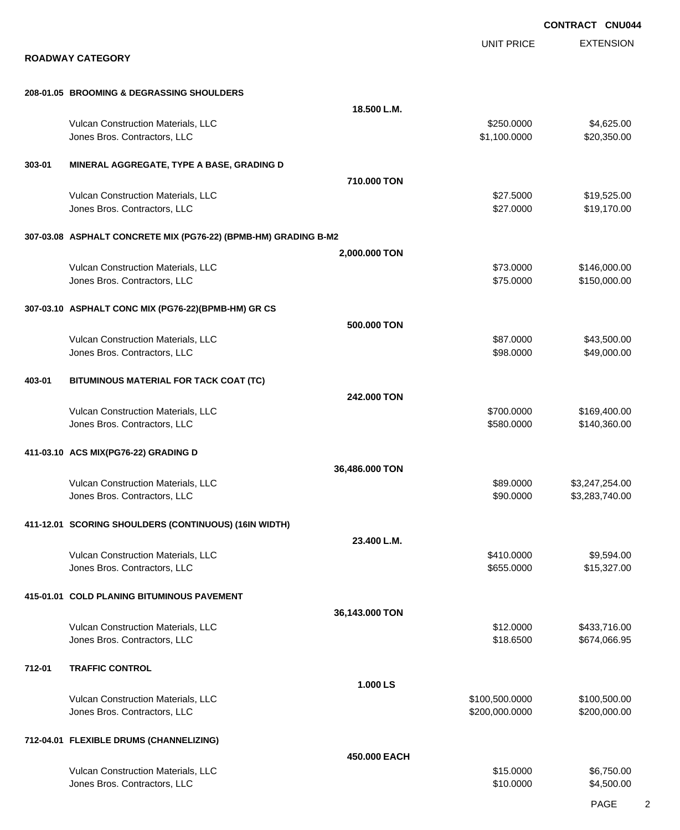EXTENSION **CONTRACT CNU044** UNIT PRICE **ROADWAY CATEGORY 208-01.05 BROOMING & DEGRASSING SHOULDERS 18.500 L.M.** Vulcan Construction Materials, LLC 60000 \$4,625.00 Jones Bros. Contractors, LLC \$1,100.0000 \$20,350.00 **303-01 MINERAL AGGREGATE, TYPE A BASE, GRADING D 710.000 TON** Vulcan Construction Materials, LLC \$27.5000 \$19,525.00 Jones Bros. Contractors, LLC \$27.0000 \$19,170.00 **307-03.08 ASPHALT CONCRETE MIX (PG76-22) (BPMB-HM) GRADING B-M2 2,000.000 TON** Vulcan Construction Materials, LLC 6. The state of the state of the state of the state of the state of the state of the state of the state of the state of the state of the state of the state of the state of the state of th Jones Bros. Contractors, LLC \$75.0000 \$150,000.00 **307-03.10 ASPHALT CONC MIX (PG76-22)(BPMB-HM) GR CS 500.000 TON** Vulcan Construction Materials, LLC 60000 \$43,500.00 \$43,500.00 versions and the set of the set of the set of the set of the set of the set of the set of the set of the set of the set of the set of the set of the set of the set of the set of the set of the set of the set of the set of **403-01 BITUMINOUS MATERIAL FOR TACK COAT (TC) 242.000 TON** Vulcan Construction Materials, LLC 6. The state of the state of the state of the state of the state of the state of the state of the state of the state of the state of the state of the state of the state of the state of th Jones Bros. Contractors, LLC \$580.0000 \$140,360.00 **411-03.10 ACS MIX(PG76-22) GRADING D 36,486.000 TON** Vulcan Construction Materials, LLC 66 and the state of the state of the state of the state of the state of the state of the state of the state of the state of the state of the state of the state of the state of the state o Jones Bros. Contractors, LLC \$90.0000 \$3,283,740.00 **411-12.01 SCORING SHOULDERS (CONTINUOUS) (16IN WIDTH) 23.400 L.M.** Vulcan Construction Materials, LLC 60000 \$9,594.00 Jones Bros. Contractors, LLC \$655.0000 \$15,327.00 **415-01.01 COLD PLANING BITUMINOUS PAVEMENT 36,143.000 TON** Vulcan Construction Materials, LLC 612.000 \$433,716.00 Jones Bros. Contractors, LLC \$18.6500 \$674,066.95 **712-01 TRAFFIC CONTROL 1.000 LS** Vulcan Construction Materials, LLC 600000 \$100,500.000 \$100,500.000 \$100,500.000 \$100,500.00 Jones Bros. Contractors, LLC \$200,000.0000 \$200,000.00 **712-04.01 FLEXIBLE DRUMS (CHANNELIZING) 450.000 EACH** Vulcan Construction Materials, LLC 6,750.00 \$6,750.00 Jones Bros. Contractors, LLC \$10.0000 \$4,500.00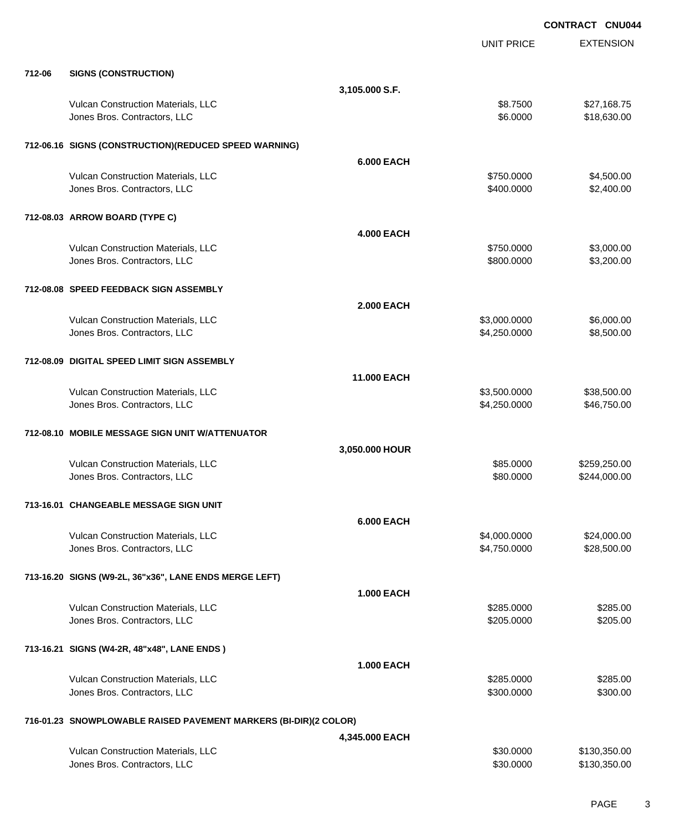EXTENSION **CONTRACT CNU044** UNIT PRICE **712-06 SIGNS (CONSTRUCTION) 3,105.000 S.F.** Vulcan Construction Materials, LLC 68.7500 \$27,168.75 Jones Bros. Contractors, LLC \$6.0000 \$18,630.00 **712-06.16 SIGNS (CONSTRUCTION)(REDUCED SPEED WARNING) 6.000 EACH** Vulcan Construction Materials, LLC 60000 \$4,500.000 \$4,500.000 \$4,500.000 Jones Bros. Contractors, LLC \$400.0000 \$2,400.00 **712-08.03 ARROW BOARD (TYPE C) 4.000 EACH** Vulcan Construction Materials, LLC 66 and the state of the state of the state  $$750.0000$  \$3,000.00 versions and the state of the state of the state of the state of the state of the state of the state of the state of the state of the state of the state of the state of the state of the state of the state of the state of t **712-08.08 SPEED FEEDBACK SIGN ASSEMBLY 2.000 EACH** Vulcan Construction Materials, LLC 6000.000 \$6,000.000 \$6,000.000 \$6,000.000 \$6,000.00 Uones Bros. Contractors, LLC 66 and the state of the state of the state of the state of the state of the state of the state of the state of the state of the state of the state of the state of the state of the state of the **712-08.09 DIGITAL SPEED LIMIT SIGN ASSEMBLY 11.000 EACH** Vulcan Construction Materials, LLC 60000 \$38,500.000 \$38,500.000 \$38,500.000 \$38,500.000 \$38,500.00 Jones Bros. Contractors, LLC \$4,250.0000 \$46,750.00 **712-08.10 MOBILE MESSAGE SIGN UNIT W/ATTENUATOR 3,050.000 HOUR** Vulcan Construction Materials, LLC 60000 \$259,250.00 Unnes Bros. Contractors, LLC and the contractors, LLC and the contractors, LLC and the contractors, LLC and the contractors, LLC and the contractors, LLC and the contractors, LLC and the contractors, LLC and the contractor **713-16.01 CHANGEABLE MESSAGE SIGN UNIT 6.000 EACH** Vulcan Construction Materials, LLC 600000 \$24,000.000 \$24,000.000 \$24,000.000 \$24,000.000 \$24,000.00 dones Bros. Contractors, LLC 6. The state of the state of the state of the state of the state of the state of the state of the state of the state of the state of the state of the state of the state of the state of the stat **713-16.20 SIGNS (W9-2L, 36"x36", LANE ENDS MERGE LEFT) 1.000 EACH** Vulcan Construction Materials, LLC 60000 \$285.000 \$285.000 \$285.000 \$285.000 Unnes Bros. Contractors, LLC 6205.000 \$205.000 \$205.000 \$205.000 \$205.000 \$205.000 \$205.000 \$205.00 **713-16.21 SIGNS (W4-2R, 48"x48", LANE ENDS ) 1.000 EACH** Vulcan Construction Materials, LLC 6285.000 \$285.000 \$285.000 \$285.000 Jones Bros. Contractors, LLC \$300.0000 \$300.00 **716-01.23 SNOWPLOWABLE RAISED PAVEMENT MARKERS (BI-DIR)(2 COLOR) 4,345.000 EACH** Vulcan Construction Materials, LLC 60000 \$130,350.000 \$130,350.00 Unnes Bros. Contractors, LLC 6 and the state of the state of the state of the state of the state of the state of the state of the state of the state of the state of the state of the state of the state of the state of the s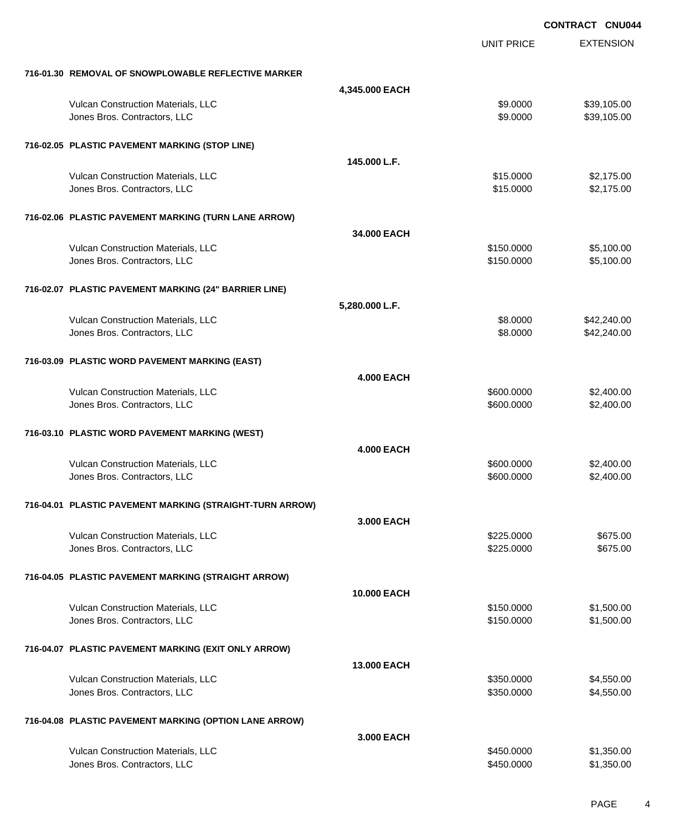|                                                          |                    |                   | <b>CONTRACT CNU044</b> |
|----------------------------------------------------------|--------------------|-------------------|------------------------|
|                                                          |                    | <b>UNIT PRICE</b> | <b>EXTENSION</b>       |
| 716-01.30 REMOVAL OF SNOWPLOWABLE REFLECTIVE MARKER      |                    |                   |                        |
|                                                          | 4,345.000 EACH     |                   |                        |
| Vulcan Construction Materials, LLC                       |                    | \$9.0000          | \$39,105.00            |
| Jones Bros. Contractors, LLC                             |                    | \$9.0000          | \$39,105.00            |
| 716-02.05 PLASTIC PAVEMENT MARKING (STOP LINE)           |                    |                   |                        |
|                                                          | 145.000 L.F.       |                   |                        |
| Vulcan Construction Materials, LLC                       |                    | \$15.0000         | \$2,175.00             |
| Jones Bros. Contractors, LLC                             |                    | \$15.0000         | \$2,175.00             |
| 716-02.06 PLASTIC PAVEMENT MARKING (TURN LANE ARROW)     |                    |                   |                        |
|                                                          | 34.000 EACH        |                   |                        |
| Vulcan Construction Materials, LLC                       |                    | \$150.0000        | \$5,100.00             |
| Jones Bros. Contractors, LLC                             |                    | \$150.0000        | \$5,100.00             |
| 716-02.07 PLASTIC PAVEMENT MARKING (24" BARRIER LINE)    |                    |                   |                        |
|                                                          | 5,280.000 L.F.     |                   |                        |
| Vulcan Construction Materials, LLC                       |                    | \$8.0000          | \$42,240.00            |
| Jones Bros. Contractors, LLC                             |                    | \$8.0000          | \$42,240.00            |
| 716-03.09 PLASTIC WORD PAVEMENT MARKING (EAST)           |                    |                   |                        |
|                                                          | <b>4.000 EACH</b>  |                   |                        |
| Vulcan Construction Materials, LLC                       |                    | \$600.0000        | \$2,400.00             |
| Jones Bros. Contractors, LLC                             |                    | \$600.0000        | \$2,400.00             |
| 716-03.10 PLASTIC WORD PAVEMENT MARKING (WEST)           |                    |                   |                        |
|                                                          | <b>4.000 EACH</b>  |                   |                        |
| Vulcan Construction Materials, LLC                       |                    | \$600.0000        | \$2,400.00             |
| Jones Bros. Contractors, LLC                             |                    | \$600.0000        | \$2,400.00             |
| 716-04.01 PLASTIC PAVEMENT MARKING (STRAIGHT-TURN ARROW) |                    |                   |                        |
|                                                          | 3,000 EACH         |                   |                        |
| Vulcan Construction Materials, LLC                       |                    | \$225,0000        | \$675.00               |
| Jones Bros. Contractors, LLC                             |                    | \$225,0000        | \$675.00               |
| 716-04.05 PLASTIC PAVEMENT MARKING (STRAIGHT ARROW)      |                    |                   |                        |
|                                                          | <b>10.000 EACH</b> |                   |                        |
| Vulcan Construction Materials, LLC                       |                    | \$150.0000        | \$1,500.00             |
| Jones Bros. Contractors, LLC                             |                    | \$150.0000        | \$1,500.00             |
| 716-04.07 PLASTIC PAVEMENT MARKING (EXIT ONLY ARROW)     |                    |                   |                        |
|                                                          | 13.000 EACH        |                   |                        |
| Vulcan Construction Materials, LLC                       |                    | \$350.0000        | \$4,550.00             |
| Jones Bros. Contractors, LLC                             |                    | \$350.0000        | \$4,550.00             |
| 716-04.08 PLASTIC PAVEMENT MARKING (OPTION LANE ARROW)   |                    |                   |                        |
|                                                          | 3.000 EACH         |                   |                        |
| Vulcan Construction Materials, LLC                       |                    | \$450.0000        | \$1,350.00             |
| Jones Bros. Contractors, LLC                             |                    | \$450.0000        | \$1,350.00             |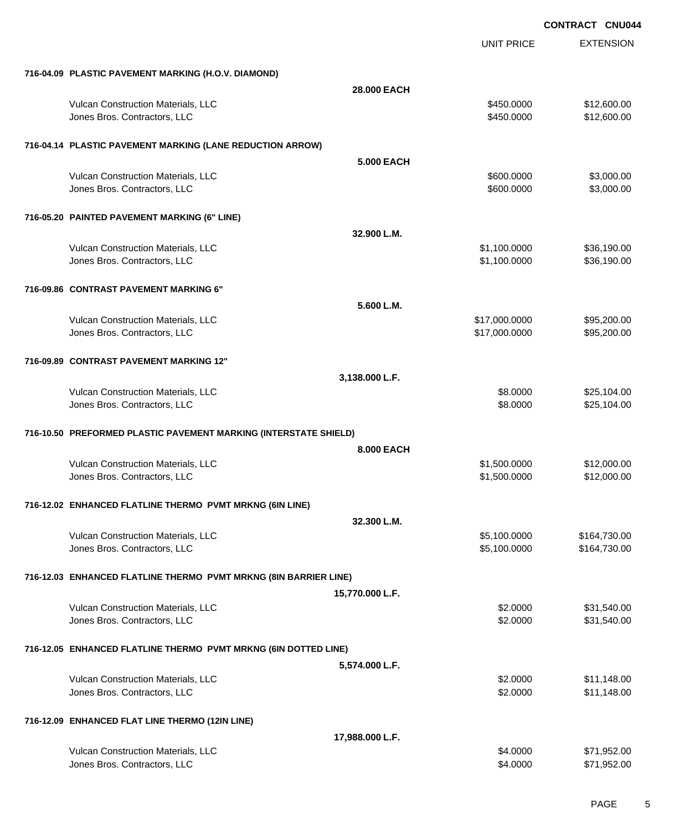| 716-04.09 PLASTIC PAVEMENT MARKING (H.O.V. DIAMOND)<br><b>28,000 EACH</b><br>Vulcan Construction Materials, LLC<br>\$450.0000<br>\$12,600.00<br>Jones Bros. Contractors, LLC<br>\$450.0000<br>\$12,600.00<br>716-04.14 PLASTIC PAVEMENT MARKING (LANE REDUCTION ARROW)<br><b>5.000 EACH</b><br>Vulcan Construction Materials, LLC<br>\$3,000.00<br>\$600,0000<br>Jones Bros. Contractors, LLC<br>\$3,000.00<br>\$600.0000<br>716-05.20 PAINTED PAVEMENT MARKING (6" LINE)<br>32.900 L.M.<br>\$36,190.00<br>Vulcan Construction Materials, LLC<br>\$1,100.0000<br>Jones Bros. Contractors, LLC<br>\$1,100.0000<br>\$36,190.00<br>716-09.86 CONTRAST PAVEMENT MARKING 6"<br>5.600 L.M.<br>Vulcan Construction Materials, LLC<br>\$17,000.0000<br>\$95,200.00<br>\$95,200.00<br>Jones Bros. Contractors, LLC<br>\$17,000.0000<br>716-09.89 CONTRAST PAVEMENT MARKING 12"<br>3,138.000 L.F.<br>Vulcan Construction Materials, LLC<br>\$8.0000<br>\$25,104.00<br>\$25,104.00<br>Jones Bros. Contractors, LLC<br>\$8.0000<br>716-10.50 PREFORMED PLASTIC PAVEMENT MARKING (INTERSTATE SHIELD)<br>8,000 EACH<br>Vulcan Construction Materials, LLC<br>\$1,500.0000<br>\$12,000.00<br>\$1,500.0000<br>\$12,000.00<br>Jones Bros. Contractors, LLC<br>716-12.02 ENHANCED FLATLINE THERMO PVMT MRKNG (6IN LINE)<br>32.300 L.M.<br>Vulcan Construction Materials, LLC<br>\$5,100.0000<br>\$164,730.00<br>Jones Bros. Contractors, LLC<br>\$5,100.0000<br>\$164,730.00<br>716-12.03 ENHANCED FLATLINE THERMO PVMT MRKNG (8IN BARRIER LINE)<br>15,770.000 L.F.<br>Vulcan Construction Materials, LLC<br>\$2.0000<br>\$31,540.00<br>Jones Bros. Contractors, LLC<br>\$2.0000<br>\$31,540.00<br>716-12.05 ENHANCED FLATLINE THERMO PVMT MRKNG (6IN DOTTED LINE)<br>5,574.000 L.F.<br>Vulcan Construction Materials, LLC<br>\$2.0000<br>\$11,148.00<br>\$11,148.00<br>Jones Bros. Contractors, LLC<br>\$2.0000<br>716-12.09 ENHANCED FLAT LINE THERMO (12IN LINE)<br>17,988.000 L.F.<br>Vulcan Construction Materials, LLC<br>\$4.0000<br>\$71,952.00<br>Jones Bros. Contractors, LLC<br>\$4.0000<br>\$71,952.00 |  | <b>UNIT PRICE</b> | <b>EXTENSION</b> |
|--------------------------------------------------------------------------------------------------------------------------------------------------------------------------------------------------------------------------------------------------------------------------------------------------------------------------------------------------------------------------------------------------------------------------------------------------------------------------------------------------------------------------------------------------------------------------------------------------------------------------------------------------------------------------------------------------------------------------------------------------------------------------------------------------------------------------------------------------------------------------------------------------------------------------------------------------------------------------------------------------------------------------------------------------------------------------------------------------------------------------------------------------------------------------------------------------------------------------------------------------------------------------------------------------------------------------------------------------------------------------------------------------------------------------------------------------------------------------------------------------------------------------------------------------------------------------------------------------------------------------------------------------------------------------------------------------------------------------------------------------------------------------------------------------------------------------------------------------------------------------------------------------------------------------------------------------------------------------------------------------------------------------------------------------------------------------------------------------|--|-------------------|------------------|
|                                                                                                                                                                                                                                                                                                                                                                                                                                                                                                                                                                                                                                                                                                                                                                                                                                                                                                                                                                                                                                                                                                                                                                                                                                                                                                                                                                                                                                                                                                                                                                                                                                                                                                                                                                                                                                                                                                                                                                                                                                                                                                  |  |                   |                  |
|                                                                                                                                                                                                                                                                                                                                                                                                                                                                                                                                                                                                                                                                                                                                                                                                                                                                                                                                                                                                                                                                                                                                                                                                                                                                                                                                                                                                                                                                                                                                                                                                                                                                                                                                                                                                                                                                                                                                                                                                                                                                                                  |  |                   |                  |
|                                                                                                                                                                                                                                                                                                                                                                                                                                                                                                                                                                                                                                                                                                                                                                                                                                                                                                                                                                                                                                                                                                                                                                                                                                                                                                                                                                                                                                                                                                                                                                                                                                                                                                                                                                                                                                                                                                                                                                                                                                                                                                  |  |                   |                  |
|                                                                                                                                                                                                                                                                                                                                                                                                                                                                                                                                                                                                                                                                                                                                                                                                                                                                                                                                                                                                                                                                                                                                                                                                                                                                                                                                                                                                                                                                                                                                                                                                                                                                                                                                                                                                                                                                                                                                                                                                                                                                                                  |  |                   |                  |
|                                                                                                                                                                                                                                                                                                                                                                                                                                                                                                                                                                                                                                                                                                                                                                                                                                                                                                                                                                                                                                                                                                                                                                                                                                                                                                                                                                                                                                                                                                                                                                                                                                                                                                                                                                                                                                                                                                                                                                                                                                                                                                  |  |                   |                  |
|                                                                                                                                                                                                                                                                                                                                                                                                                                                                                                                                                                                                                                                                                                                                                                                                                                                                                                                                                                                                                                                                                                                                                                                                                                                                                                                                                                                                                                                                                                                                                                                                                                                                                                                                                                                                                                                                                                                                                                                                                                                                                                  |  |                   |                  |
|                                                                                                                                                                                                                                                                                                                                                                                                                                                                                                                                                                                                                                                                                                                                                                                                                                                                                                                                                                                                                                                                                                                                                                                                                                                                                                                                                                                                                                                                                                                                                                                                                                                                                                                                                                                                                                                                                                                                                                                                                                                                                                  |  |                   |                  |
|                                                                                                                                                                                                                                                                                                                                                                                                                                                                                                                                                                                                                                                                                                                                                                                                                                                                                                                                                                                                                                                                                                                                                                                                                                                                                                                                                                                                                                                                                                                                                                                                                                                                                                                                                                                                                                                                                                                                                                                                                                                                                                  |  |                   |                  |
|                                                                                                                                                                                                                                                                                                                                                                                                                                                                                                                                                                                                                                                                                                                                                                                                                                                                                                                                                                                                                                                                                                                                                                                                                                                                                                                                                                                                                                                                                                                                                                                                                                                                                                                                                                                                                                                                                                                                                                                                                                                                                                  |  |                   |                  |
|                                                                                                                                                                                                                                                                                                                                                                                                                                                                                                                                                                                                                                                                                                                                                                                                                                                                                                                                                                                                                                                                                                                                                                                                                                                                                                                                                                                                                                                                                                                                                                                                                                                                                                                                                                                                                                                                                                                                                                                                                                                                                                  |  |                   |                  |
|                                                                                                                                                                                                                                                                                                                                                                                                                                                                                                                                                                                                                                                                                                                                                                                                                                                                                                                                                                                                                                                                                                                                                                                                                                                                                                                                                                                                                                                                                                                                                                                                                                                                                                                                                                                                                                                                                                                                                                                                                                                                                                  |  |                   |                  |
|                                                                                                                                                                                                                                                                                                                                                                                                                                                                                                                                                                                                                                                                                                                                                                                                                                                                                                                                                                                                                                                                                                                                                                                                                                                                                                                                                                                                                                                                                                                                                                                                                                                                                                                                                                                                                                                                                                                                                                                                                                                                                                  |  |                   |                  |
|                                                                                                                                                                                                                                                                                                                                                                                                                                                                                                                                                                                                                                                                                                                                                                                                                                                                                                                                                                                                                                                                                                                                                                                                                                                                                                                                                                                                                                                                                                                                                                                                                                                                                                                                                                                                                                                                                                                                                                                                                                                                                                  |  |                   |                  |
|                                                                                                                                                                                                                                                                                                                                                                                                                                                                                                                                                                                                                                                                                                                                                                                                                                                                                                                                                                                                                                                                                                                                                                                                                                                                                                                                                                                                                                                                                                                                                                                                                                                                                                                                                                                                                                                                                                                                                                                                                                                                                                  |  |                   |                  |
|                                                                                                                                                                                                                                                                                                                                                                                                                                                                                                                                                                                                                                                                                                                                                                                                                                                                                                                                                                                                                                                                                                                                                                                                                                                                                                                                                                                                                                                                                                                                                                                                                                                                                                                                                                                                                                                                                                                                                                                                                                                                                                  |  |                   |                  |
|                                                                                                                                                                                                                                                                                                                                                                                                                                                                                                                                                                                                                                                                                                                                                                                                                                                                                                                                                                                                                                                                                                                                                                                                                                                                                                                                                                                                                                                                                                                                                                                                                                                                                                                                                                                                                                                                                                                                                                                                                                                                                                  |  |                   |                  |
|                                                                                                                                                                                                                                                                                                                                                                                                                                                                                                                                                                                                                                                                                                                                                                                                                                                                                                                                                                                                                                                                                                                                                                                                                                                                                                                                                                                                                                                                                                                                                                                                                                                                                                                                                                                                                                                                                                                                                                                                                                                                                                  |  |                   |                  |
|                                                                                                                                                                                                                                                                                                                                                                                                                                                                                                                                                                                                                                                                                                                                                                                                                                                                                                                                                                                                                                                                                                                                                                                                                                                                                                                                                                                                                                                                                                                                                                                                                                                                                                                                                                                                                                                                                                                                                                                                                                                                                                  |  |                   |                  |
|                                                                                                                                                                                                                                                                                                                                                                                                                                                                                                                                                                                                                                                                                                                                                                                                                                                                                                                                                                                                                                                                                                                                                                                                                                                                                                                                                                                                                                                                                                                                                                                                                                                                                                                                                                                                                                                                                                                                                                                                                                                                                                  |  |                   |                  |
|                                                                                                                                                                                                                                                                                                                                                                                                                                                                                                                                                                                                                                                                                                                                                                                                                                                                                                                                                                                                                                                                                                                                                                                                                                                                                                                                                                                                                                                                                                                                                                                                                                                                                                                                                                                                                                                                                                                                                                                                                                                                                                  |  |                   |                  |
|                                                                                                                                                                                                                                                                                                                                                                                                                                                                                                                                                                                                                                                                                                                                                                                                                                                                                                                                                                                                                                                                                                                                                                                                                                                                                                                                                                                                                                                                                                                                                                                                                                                                                                                                                                                                                                                                                                                                                                                                                                                                                                  |  |                   |                  |
|                                                                                                                                                                                                                                                                                                                                                                                                                                                                                                                                                                                                                                                                                                                                                                                                                                                                                                                                                                                                                                                                                                                                                                                                                                                                                                                                                                                                                                                                                                                                                                                                                                                                                                                                                                                                                                                                                                                                                                                                                                                                                                  |  |                   |                  |
|                                                                                                                                                                                                                                                                                                                                                                                                                                                                                                                                                                                                                                                                                                                                                                                                                                                                                                                                                                                                                                                                                                                                                                                                                                                                                                                                                                                                                                                                                                                                                                                                                                                                                                                                                                                                                                                                                                                                                                                                                                                                                                  |  |                   |                  |
|                                                                                                                                                                                                                                                                                                                                                                                                                                                                                                                                                                                                                                                                                                                                                                                                                                                                                                                                                                                                                                                                                                                                                                                                                                                                                                                                                                                                                                                                                                                                                                                                                                                                                                                                                                                                                                                                                                                                                                                                                                                                                                  |  |                   |                  |
|                                                                                                                                                                                                                                                                                                                                                                                                                                                                                                                                                                                                                                                                                                                                                                                                                                                                                                                                                                                                                                                                                                                                                                                                                                                                                                                                                                                                                                                                                                                                                                                                                                                                                                                                                                                                                                                                                                                                                                                                                                                                                                  |  |                   |                  |
|                                                                                                                                                                                                                                                                                                                                                                                                                                                                                                                                                                                                                                                                                                                                                                                                                                                                                                                                                                                                                                                                                                                                                                                                                                                                                                                                                                                                                                                                                                                                                                                                                                                                                                                                                                                                                                                                                                                                                                                                                                                                                                  |  |                   |                  |
|                                                                                                                                                                                                                                                                                                                                                                                                                                                                                                                                                                                                                                                                                                                                                                                                                                                                                                                                                                                                                                                                                                                                                                                                                                                                                                                                                                                                                                                                                                                                                                                                                                                                                                                                                                                                                                                                                                                                                                                                                                                                                                  |  |                   |                  |
|                                                                                                                                                                                                                                                                                                                                                                                                                                                                                                                                                                                                                                                                                                                                                                                                                                                                                                                                                                                                                                                                                                                                                                                                                                                                                                                                                                                                                                                                                                                                                                                                                                                                                                                                                                                                                                                                                                                                                                                                                                                                                                  |  |                   |                  |
|                                                                                                                                                                                                                                                                                                                                                                                                                                                                                                                                                                                                                                                                                                                                                                                                                                                                                                                                                                                                                                                                                                                                                                                                                                                                                                                                                                                                                                                                                                                                                                                                                                                                                                                                                                                                                                                                                                                                                                                                                                                                                                  |  |                   |                  |
|                                                                                                                                                                                                                                                                                                                                                                                                                                                                                                                                                                                                                                                                                                                                                                                                                                                                                                                                                                                                                                                                                                                                                                                                                                                                                                                                                                                                                                                                                                                                                                                                                                                                                                                                                                                                                                                                                                                                                                                                                                                                                                  |  |                   |                  |
|                                                                                                                                                                                                                                                                                                                                                                                                                                                                                                                                                                                                                                                                                                                                                                                                                                                                                                                                                                                                                                                                                                                                                                                                                                                                                                                                                                                                                                                                                                                                                                                                                                                                                                                                                                                                                                                                                                                                                                                                                                                                                                  |  |                   |                  |
|                                                                                                                                                                                                                                                                                                                                                                                                                                                                                                                                                                                                                                                                                                                                                                                                                                                                                                                                                                                                                                                                                                                                                                                                                                                                                                                                                                                                                                                                                                                                                                                                                                                                                                                                                                                                                                                                                                                                                                                                                                                                                                  |  |                   |                  |
|                                                                                                                                                                                                                                                                                                                                                                                                                                                                                                                                                                                                                                                                                                                                                                                                                                                                                                                                                                                                                                                                                                                                                                                                                                                                                                                                                                                                                                                                                                                                                                                                                                                                                                                                                                                                                                                                                                                                                                                                                                                                                                  |  |                   |                  |
|                                                                                                                                                                                                                                                                                                                                                                                                                                                                                                                                                                                                                                                                                                                                                                                                                                                                                                                                                                                                                                                                                                                                                                                                                                                                                                                                                                                                                                                                                                                                                                                                                                                                                                                                                                                                                                                                                                                                                                                                                                                                                                  |  |                   |                  |
|                                                                                                                                                                                                                                                                                                                                                                                                                                                                                                                                                                                                                                                                                                                                                                                                                                                                                                                                                                                                                                                                                                                                                                                                                                                                                                                                                                                                                                                                                                                                                                                                                                                                                                                                                                                                                                                                                                                                                                                                                                                                                                  |  |                   |                  |
|                                                                                                                                                                                                                                                                                                                                                                                                                                                                                                                                                                                                                                                                                                                                                                                                                                                                                                                                                                                                                                                                                                                                                                                                                                                                                                                                                                                                                                                                                                                                                                                                                                                                                                                                                                                                                                                                                                                                                                                                                                                                                                  |  |                   |                  |
|                                                                                                                                                                                                                                                                                                                                                                                                                                                                                                                                                                                                                                                                                                                                                                                                                                                                                                                                                                                                                                                                                                                                                                                                                                                                                                                                                                                                                                                                                                                                                                                                                                                                                                                                                                                                                                                                                                                                                                                                                                                                                                  |  |                   |                  |
|                                                                                                                                                                                                                                                                                                                                                                                                                                                                                                                                                                                                                                                                                                                                                                                                                                                                                                                                                                                                                                                                                                                                                                                                                                                                                                                                                                                                                                                                                                                                                                                                                                                                                                                                                                                                                                                                                                                                                                                                                                                                                                  |  |                   |                  |
|                                                                                                                                                                                                                                                                                                                                                                                                                                                                                                                                                                                                                                                                                                                                                                                                                                                                                                                                                                                                                                                                                                                                                                                                                                                                                                                                                                                                                                                                                                                                                                                                                                                                                                                                                                                                                                                                                                                                                                                                                                                                                                  |  |                   |                  |
|                                                                                                                                                                                                                                                                                                                                                                                                                                                                                                                                                                                                                                                                                                                                                                                                                                                                                                                                                                                                                                                                                                                                                                                                                                                                                                                                                                                                                                                                                                                                                                                                                                                                                                                                                                                                                                                                                                                                                                                                                                                                                                  |  |                   |                  |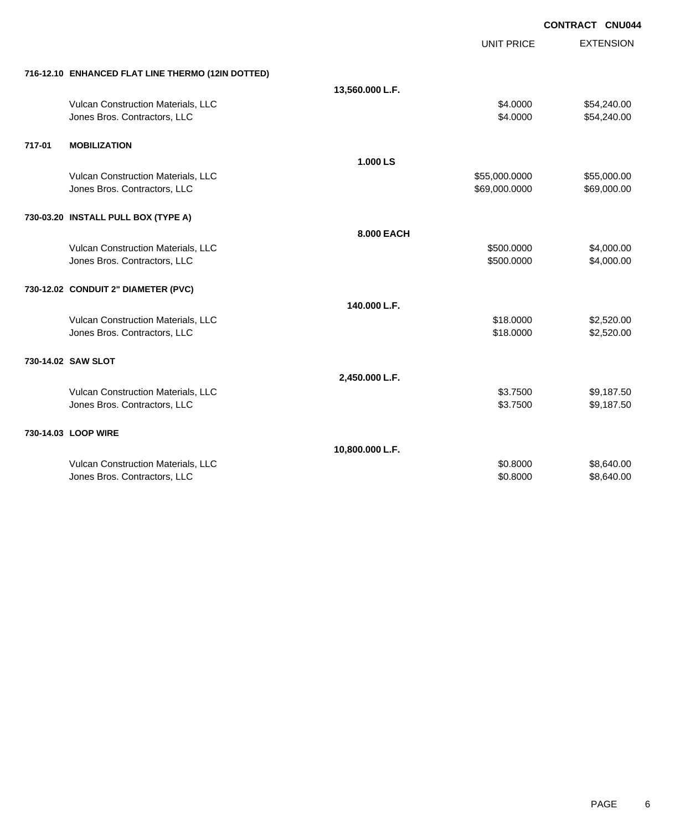|        |                                                   |                 |                   | CONTRACT CNU044  |
|--------|---------------------------------------------------|-----------------|-------------------|------------------|
|        |                                                   |                 | <b>UNIT PRICE</b> | <b>EXTENSION</b> |
|        | 716-12.10 ENHANCED FLAT LINE THERMO (12IN DOTTED) |                 |                   |                  |
|        |                                                   | 13,560.000 L.F. |                   |                  |
|        | Vulcan Construction Materials, LLC                |                 | \$4.0000          | \$54,240.00      |
|        | Jones Bros. Contractors, LLC                      |                 | \$4.0000          | \$54,240.00      |
| 717-01 | <b>MOBILIZATION</b>                               |                 |                   |                  |
|        |                                                   | 1.000 LS        |                   |                  |
|        | Vulcan Construction Materials, LLC                |                 | \$55,000.0000     | \$55,000.00      |
|        | Jones Bros. Contractors, LLC                      |                 | \$69,000.0000     | \$69,000.00      |
|        | 730-03.20 INSTALL PULL BOX (TYPE A)               |                 |                   |                  |
|        |                                                   | 8.000 EACH      |                   |                  |
|        | Vulcan Construction Materials, LLC                |                 | \$500,0000        | \$4,000.00       |
|        | Jones Bros. Contractors, LLC                      |                 | \$500.0000        | \$4,000.00       |
|        | 730-12.02 CONDUIT 2" DIAMETER (PVC)               |                 |                   |                  |
|        |                                                   | 140.000 L.F.    |                   |                  |
|        | Vulcan Construction Materials, LLC                |                 | \$18.0000         | \$2,520.00       |
|        | Jones Bros. Contractors, LLC                      |                 | \$18.0000         | \$2,520.00       |
|        | 730-14.02 SAW SLOT                                |                 |                   |                  |
|        |                                                   | 2,450.000 L.F.  |                   |                  |
|        | Vulcan Construction Materials, LLC                |                 | \$3.7500          | \$9,187.50       |
|        | Jones Bros. Contractors, LLC                      |                 | \$3.7500          | \$9,187.50       |
|        | 730-14.03 LOOP WIRE                               |                 |                   |                  |
|        |                                                   | 10,800.000 L.F. |                   |                  |
|        | Vulcan Construction Materials, LLC                |                 | \$0.8000          | \$8,640.00       |
|        | Jones Bros. Contractors, LLC                      |                 | \$0.8000          | \$8,640.00       |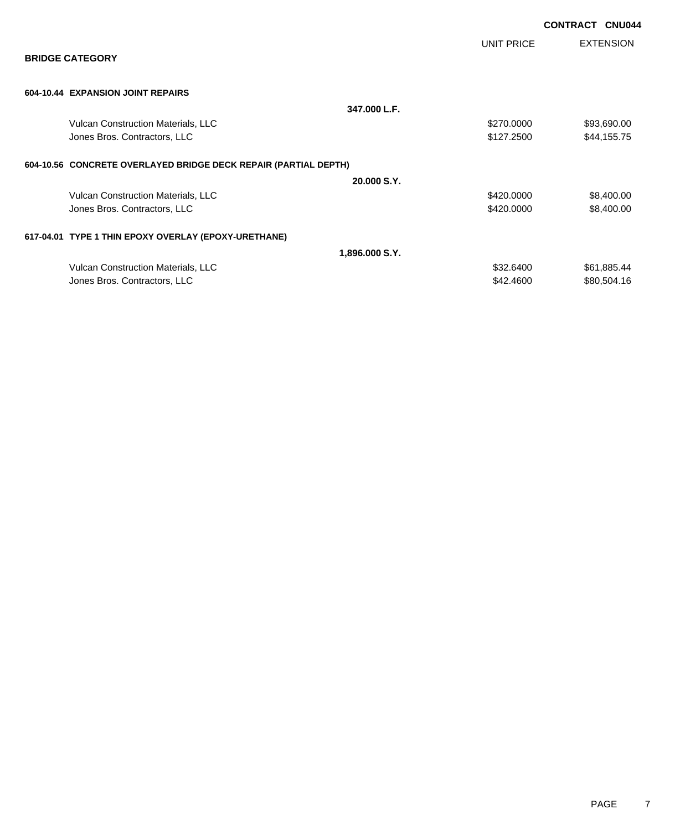|                                                                 |                |            | <b>CONTRACT CNU044</b> |                  |
|-----------------------------------------------------------------|----------------|------------|------------------------|------------------|
| <b>BRIDGE CATEGORY</b>                                          |                | UNIT PRICE |                        | <b>EXTENSION</b> |
|                                                                 |                |            |                        |                  |
| 604-10.44 EXPANSION JOINT REPAIRS                               |                |            |                        |                  |
|                                                                 | 347.000 L.F.   |            |                        |                  |
| Vulcan Construction Materials, LLC                              |                | \$270.0000 |                        | \$93,690.00      |
| Jones Bros. Contractors, LLC                                    |                | \$127.2500 |                        | \$44,155.75      |
| 604-10.56 CONCRETE OVERLAYED BRIDGE DECK REPAIR (PARTIAL DEPTH) |                |            |                        |                  |
|                                                                 | 20,000 S.Y.    |            |                        |                  |
| Vulcan Construction Materials, LLC                              |                | \$420.0000 |                        | \$8,400.00       |
| Jones Bros. Contractors, LLC                                    |                | \$420.0000 |                        | \$8,400.00       |
| 617-04.01 TYPE 1 THIN EPOXY OVERLAY (EPOXY-URETHANE)            |                |            |                        |                  |
|                                                                 | 1,896.000 S.Y. |            |                        |                  |
| Vulcan Construction Materials, LLC                              |                | \$32.6400  |                        | \$61,885.44      |
| Jones Bros. Contractors, LLC                                    |                | \$42.4600  |                        | \$80,504.16      |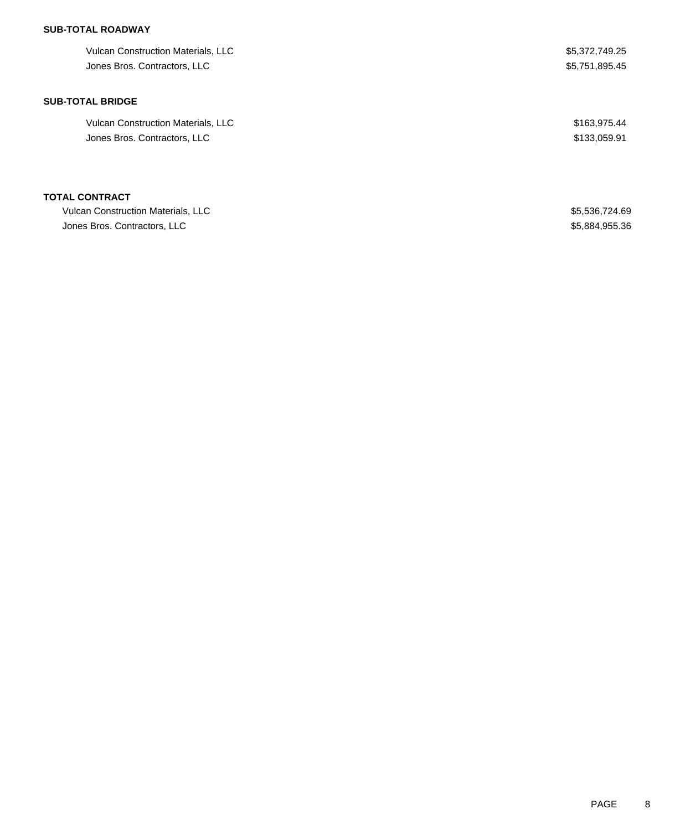# **SUB-TOTAL ROADWAY**

| <b>Vulcan Construction Materials, LLC</b> | \$5,372,749.25 |
|-------------------------------------------|----------------|
| Jones Bros. Contractors, LLC              | \$5,751,895.45 |
| <b>SUB-TOTAL BRIDGE</b>                   |                |
| Vulcan Construction Materials, LLC        | \$163,975.44   |
| Jones Bros. Contractors, LLC              | \$133,059.91   |
| TOTAL CONTRACT                            |                |
| <b>Vulcan Construction Materials, LLC</b> | \$5,536,724.69 |
| Jones Bros. Contractors, LLC              | \$5,884,955.36 |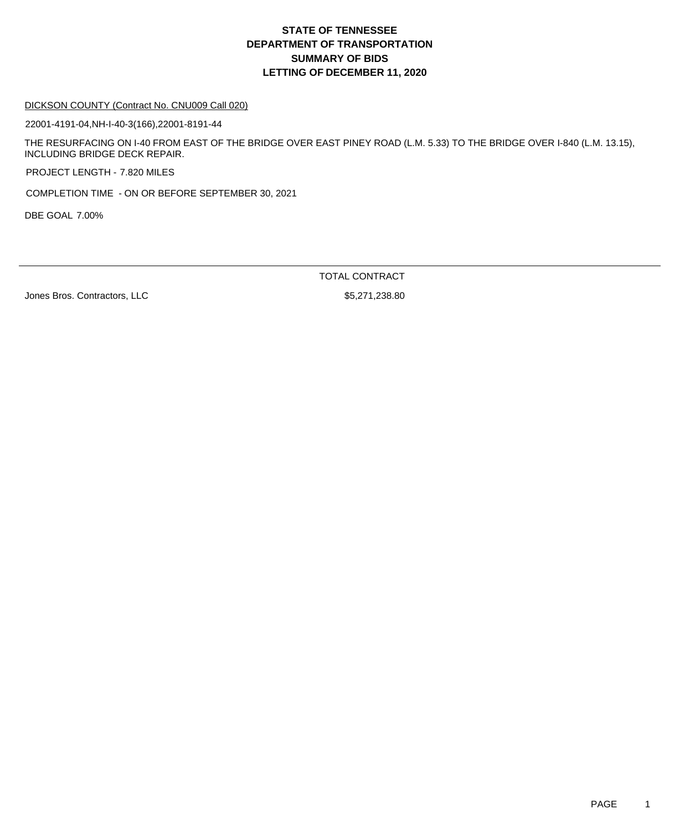# **DEPARTMENT OF TRANSPORTATION SUMMARY OF BIDS LETTING OF DECEMBER 11, 2020 STATE OF TENNESSEE**

#### DICKSON COUNTY (Contract No. CNU009 Call 020)

22001-4191-04,NH-I-40-3(166),22001-8191-44

THE RESURFACING ON I-40 FROM EAST OF THE BRIDGE OVER EAST PINEY ROAD (L.M. 5.33) TO THE BRIDGE OVER I-840 (L.M. 13.15), INCLUDING BRIDGE DECK REPAIR.

PROJECT LENGTH - 7.820 MILES

COMPLETION TIME - ON OR BEFORE SEPTEMBER 30, 2021

DBE GOAL 7.00%

TOTAL CONTRACT

Jones Bros. Contractors, LLC \$5,271,238.80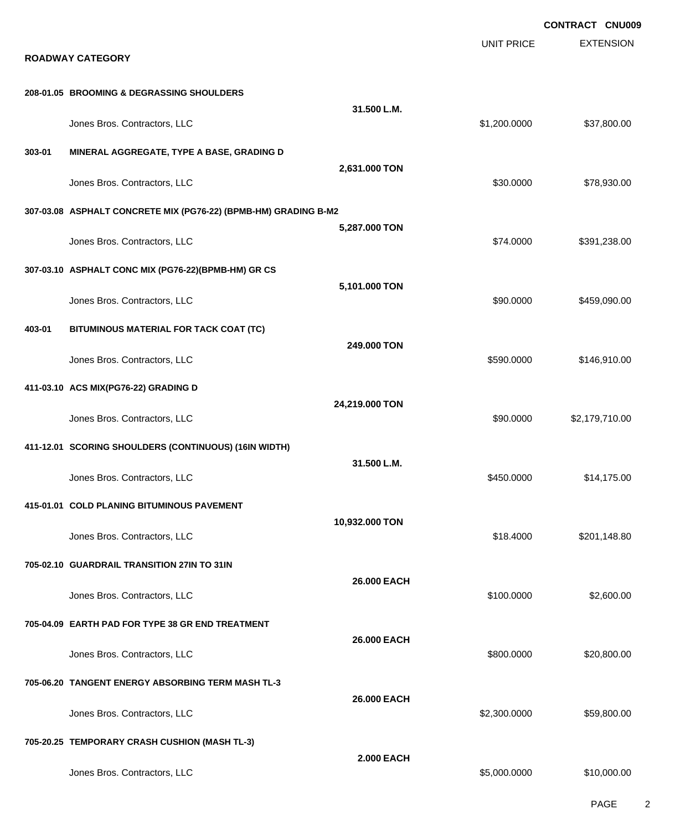EXTENSION **CONTRACT CNU009** UNIT PRICE **ROADWAY CATEGORY 208-01.05 BROOMING & DEGRASSING SHOULDERS 31.500 L.M.** Jones Bros. Contractors, LLC \$1,200.0000 \$37,800.00 **303-01 MINERAL AGGREGATE, TYPE A BASE, GRADING D 2,631.000 TON** versions and the state of the state of the state of the state of the state of the state of the state of the state of the state of the state of the state of the state of the state of the state of the state of the state of t **307-03.08 ASPHALT CONCRETE MIX (PG76-22) (BPMB-HM) GRADING B-M2 5,287.000 TON** Jones Bros. Contractors, LLC \$74.0000 \$391,238.00 **307-03.10 ASPHALT CONC MIX (PG76-22)(BPMB-HM) GR CS 5,101.000 TON** Jones Bros. Contractors, LLC \$90.0000 \$459,090.00 **403-01 BITUMINOUS MATERIAL FOR TACK COAT (TC) 249.000 TON** Jones Bros. Contractors, LLC \$590.0000 \$146,910.00 **411-03.10 ACS MIX(PG76-22) GRADING D 24,219.000 TON** Jones Bros. Contractors, LLC \$90.0000 \$2,179,710.00 **411-12.01 SCORING SHOULDERS (CONTINUOUS) (16IN WIDTH) 31.500 L.M.** Jones Bros. Contractors, LLC \$450.0000 \$14,175.00 **415-01.01 COLD PLANING BITUMINOUS PAVEMENT 10,932.000 TON** Jones Bros. Contractors, LLC 6. 201.148.80 **705-02.10 GUARDRAIL TRANSITION 27IN TO 31IN 26.000 EACH** Jones Bros. Contractors, LLC \$100.0000 \$2,600.00 **705-04.09 EARTH PAD FOR TYPE 38 GR END TREATMENT 26.000 EACH** dones Bros. Contractors, LLC 600000 \$20,800.000 \$20,800.000 \$20,800.000 \$20,800.00 **705-06.20 TANGENT ENERGY ABSORBING TERM MASH TL-3 26.000 EACH** Jones Bros. Contractors, LLC \$2,300.0000 \$59,800.00 **705-20.25 TEMPORARY CRASH CUSHION (MASH TL-3) 2.000 EACH** Jones Bros. Contractors, LLC \$5,000.0000 \$10,000.00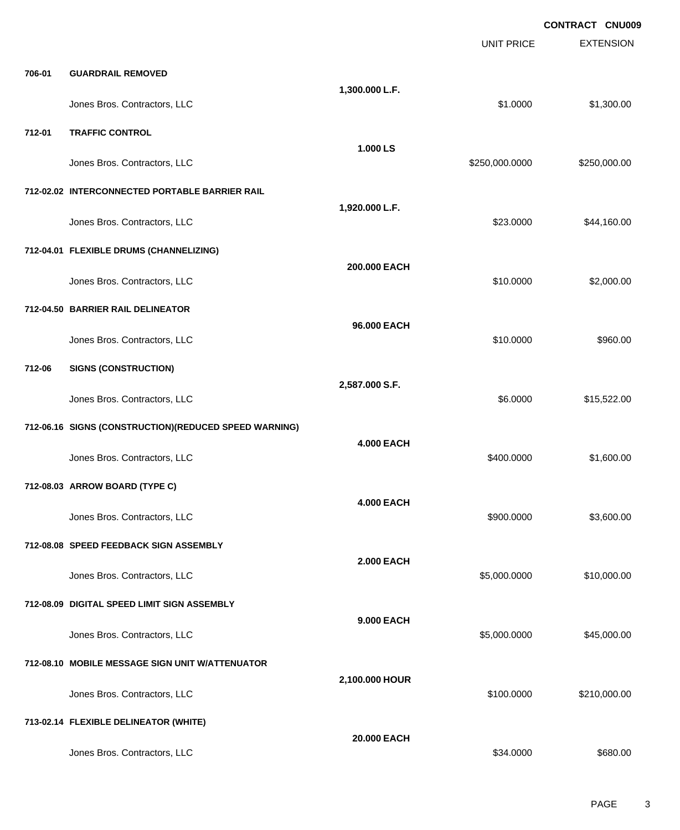|        |                                                       |                   |                   | <b>CONTRACT CNU009</b> |
|--------|-------------------------------------------------------|-------------------|-------------------|------------------------|
|        |                                                       |                   | <b>UNIT PRICE</b> | <b>EXTENSION</b>       |
| 706-01 | <b>GUARDRAIL REMOVED</b>                              |                   |                   |                        |
|        | Jones Bros. Contractors, LLC                          | 1,300.000 L.F.    | \$1.0000          | \$1,300.00             |
| 712-01 | <b>TRAFFIC CONTROL</b>                                |                   |                   |                        |
|        | Jones Bros. Contractors, LLC                          | 1.000 LS          | \$250,000.0000    | \$250,000.00           |
|        | 712-02.02 INTERCONNECTED PORTABLE BARRIER RAIL        |                   |                   |                        |
|        | Jones Bros. Contractors, LLC                          | 1,920.000 L.F.    | \$23.0000         | \$44,160.00            |
|        | 712-04.01 FLEXIBLE DRUMS (CHANNELIZING)               |                   |                   |                        |
|        | Jones Bros. Contractors, LLC                          | 200.000 EACH      | \$10.0000         | \$2,000.00             |
|        | 712-04.50 BARRIER RAIL DELINEATOR                     |                   |                   |                        |
|        | Jones Bros. Contractors, LLC                          | 96.000 EACH       | \$10.0000         | \$960.00               |
| 712-06 | <b>SIGNS (CONSTRUCTION)</b>                           |                   |                   |                        |
|        | Jones Bros. Contractors, LLC                          | 2,587.000 S.F.    | \$6.0000          | \$15,522.00            |
|        | 712-06.16 SIGNS (CONSTRUCTION)(REDUCED SPEED WARNING) |                   |                   |                        |
|        | Jones Bros. Contractors, LLC                          | <b>4.000 EACH</b> | \$400.0000        | \$1,600.00             |
|        | 712-08.03 ARROW BOARD (TYPE C)                        |                   |                   |                        |
|        | Jones Bros. Contractors, LLC                          | <b>4.000 EACH</b> | \$900.0000        | \$3,600.00             |
|        | 712-08.08 SPEED FEEDBACK SIGN ASSEMBLY                |                   |                   |                        |
|        | Jones Bros. Contractors, LLC                          | <b>2.000 EACH</b> | \$5,000.0000      | \$10,000.00            |
|        | 712-08.09 DIGITAL SPEED LIMIT SIGN ASSEMBLY           |                   |                   |                        |
|        | Jones Bros. Contractors, LLC                          | 9.000 EACH        | \$5,000.0000      | \$45,000.00            |
|        | 712-08.10 MOBILE MESSAGE SIGN UNIT W/ATTENUATOR       |                   |                   |                        |
|        | Jones Bros. Contractors, LLC                          | 2,100.000 HOUR    | \$100.0000        | \$210,000.00           |
|        | 713-02.14 FLEXIBLE DELINEATOR (WHITE)                 |                   |                   |                        |
|        | Jones Bros. Contractors, LLC                          | 20.000 EACH       | \$34.0000         | \$680.00               |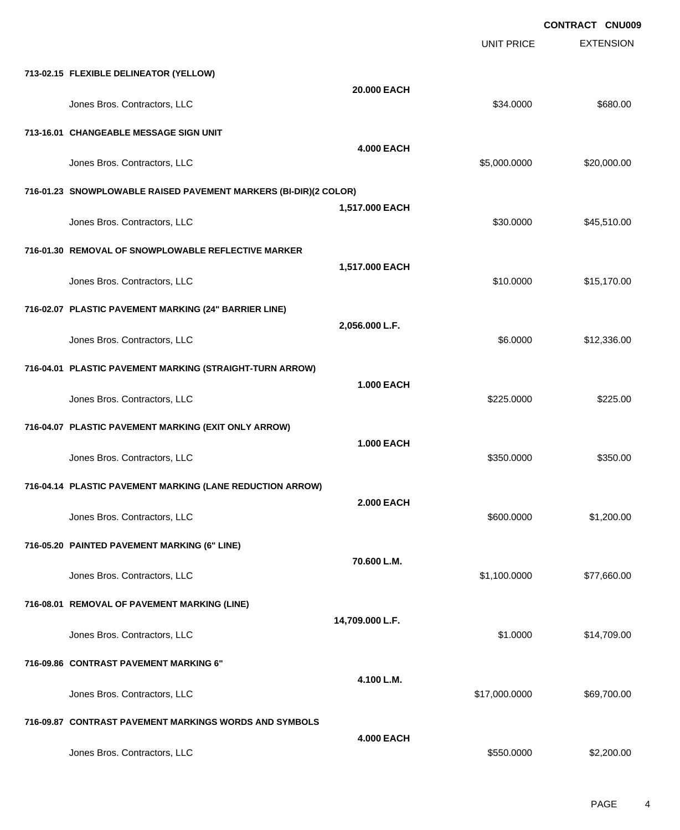EXTENSION **CONTRACT CNU009** UNIT PRICE **713-02.15 FLEXIBLE DELINEATOR (YELLOW) 20.000 EACH** Jones Bros. Contractors, LLC 6680.00 \$680.00 \$680.00 **713-16.01 CHANGEABLE MESSAGE SIGN UNIT 4.000 EACH** Jones Bros. Contractors, LLC \$5,000.0000 \$20,000.00 **716-01.23 SNOWPLOWABLE RAISED PAVEMENT MARKERS (BI-DIR)(2 COLOR) 1,517.000 EACH** versions and the state of the state of the state of the state of the state of the state of the state of the state of the state of the state of the state of the state of the state of the state of the state of the state of t **716-01.30 REMOVAL OF SNOWPLOWABLE REFLECTIVE MARKER 1,517.000 EACH** Jones Bros. Contractors, LLC \$10.0000 \$15,170.00 **716-02.07 PLASTIC PAVEMENT MARKING (24" BARRIER LINE) 2,056.000 L.F.** Jones Bros. Contractors, LLC \$6.0000 \$12,336.00 **716-04.01 PLASTIC PAVEMENT MARKING (STRAIGHT-TURN ARROW) 1.000 EACH** Jones Bros. Contractors, LLC \$225.0000 \$225.00 **716-04.07 PLASTIC PAVEMENT MARKING (EXIT ONLY ARROW) 1.000 EACH** dones Bros. Contractors, LLC 6350.000 \$350.000 \$350.000 \$350.000 \$350.000 \$350.000 \$350.000 \$350.00 **716-04.14 PLASTIC PAVEMENT MARKING (LANE REDUCTION ARROW) 2.000 EACH** dones Bros. Contractors, LLC 600.000 \$1,200.00 \$1,200.00 \$1,200.00 \$1,200.00 \$1,200.00 \$1,200.00 \$1,200.00 \$1,200.00 \$1,200.00 \$1,200.00 \$1,200.00 \$1,200.00 \$1,200.00 \$1,200.00 \$1,200.00 \$1,200.00 \$1,200.00 \$1,200.00 \$1,20 **716-05.20 PAINTED PAVEMENT MARKING (6" LINE) 70.600 L.M.** Jones Bros. Contractors, LLC \$1,100.0000 \$77,660.00 **716-08.01 REMOVAL OF PAVEMENT MARKING (LINE) 14,709.000 L.F.** Jones Bros. Contractors, LLC \$1.0000 \$14,709.00 **716-09.86 CONTRAST PAVEMENT MARKING 6" 4.100 L.M.** Jones Bros. Contractors, LLC \$17,000.0000 \$69,700.00 **716-09.87 CONTRAST PAVEMENT MARKINGS WORDS AND SYMBOLS 4.000 EACH**

Jones Bros. Contractors, LLC \$550.0000 \$2,200.00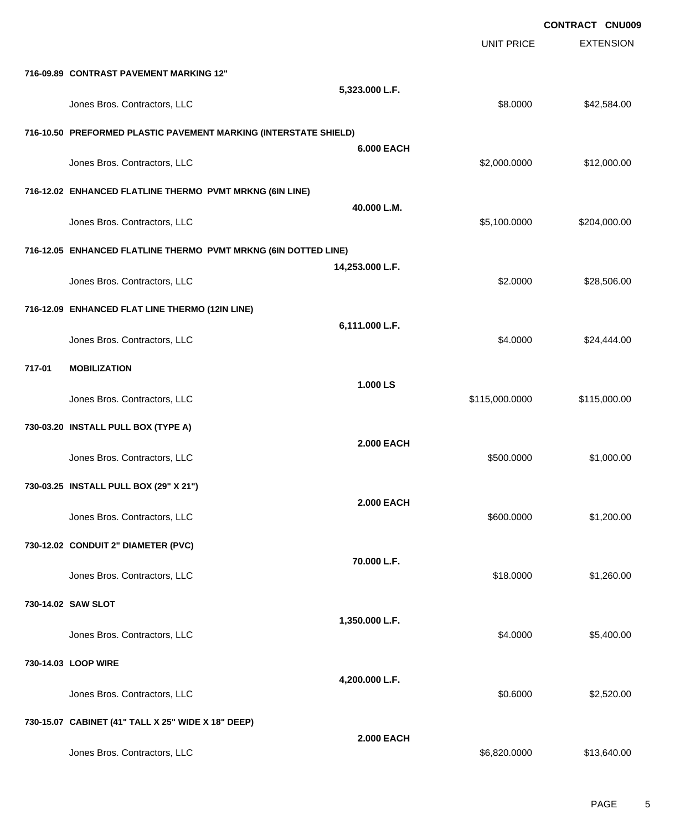|                              |                                                                                                                                                                                                                                                                                                                                                                                   |                                                                                                                                                                                                       | CONTRACT CNU009  |
|------------------------------|-----------------------------------------------------------------------------------------------------------------------------------------------------------------------------------------------------------------------------------------------------------------------------------------------------------------------------------------------------------------------------------|-------------------------------------------------------------------------------------------------------------------------------------------------------------------------------------------------------|------------------|
|                              |                                                                                                                                                                                                                                                                                                                                                                                   | <b>UNIT PRICE</b>                                                                                                                                                                                     | <b>EXTENSION</b> |
|                              |                                                                                                                                                                                                                                                                                                                                                                                   |                                                                                                                                                                                                       |                  |
| Jones Bros. Contractors, LLC | 5,323.000 L.F.                                                                                                                                                                                                                                                                                                                                                                    | \$8.0000                                                                                                                                                                                              | \$42,584.00      |
|                              |                                                                                                                                                                                                                                                                                                                                                                                   |                                                                                                                                                                                                       |                  |
| Jones Bros. Contractors, LLC | <b>6.000 EACH</b>                                                                                                                                                                                                                                                                                                                                                                 | \$2,000.0000                                                                                                                                                                                          | \$12,000.00      |
|                              |                                                                                                                                                                                                                                                                                                                                                                                   |                                                                                                                                                                                                       |                  |
| Jones Bros. Contractors, LLC | 40.000 L.M.                                                                                                                                                                                                                                                                                                                                                                       | \$5,100.0000                                                                                                                                                                                          | \$204,000.00     |
|                              |                                                                                                                                                                                                                                                                                                                                                                                   |                                                                                                                                                                                                       |                  |
| Jones Bros. Contractors, LLC | 14,253.000 L.F.                                                                                                                                                                                                                                                                                                                                                                   | \$2.0000                                                                                                                                                                                              | \$28,506.00      |
|                              |                                                                                                                                                                                                                                                                                                                                                                                   |                                                                                                                                                                                                       |                  |
| Jones Bros. Contractors, LLC |                                                                                                                                                                                                                                                                                                                                                                                   | \$4.0000                                                                                                                                                                                              | \$24,444.00      |
| <b>MOBILIZATION</b>          |                                                                                                                                                                                                                                                                                                                                                                                   |                                                                                                                                                                                                       |                  |
| Jones Bros. Contractors, LLC |                                                                                                                                                                                                                                                                                                                                                                                   | \$115,000.0000                                                                                                                                                                                        | \$115,000.00     |
|                              |                                                                                                                                                                                                                                                                                                                                                                                   |                                                                                                                                                                                                       |                  |
| Jones Bros. Contractors, LLC | <b>2.000 EACH</b>                                                                                                                                                                                                                                                                                                                                                                 | \$500.0000                                                                                                                                                                                            | \$1,000.00       |
|                              |                                                                                                                                                                                                                                                                                                                                                                                   |                                                                                                                                                                                                       |                  |
| Jones Bros. Contractors, LLC |                                                                                                                                                                                                                                                                                                                                                                                   | \$600.0000                                                                                                                                                                                            | \$1,200.00       |
|                              |                                                                                                                                                                                                                                                                                                                                                                                   |                                                                                                                                                                                                       |                  |
| Jones Bros. Contractors, LLC |                                                                                                                                                                                                                                                                                                                                                                                   | \$18.0000                                                                                                                                                                                             | \$1,260.00       |
|                              |                                                                                                                                                                                                                                                                                                                                                                                   |                                                                                                                                                                                                       |                  |
| Jones Bros. Contractors, LLC | 1,350.000 L.F.                                                                                                                                                                                                                                                                                                                                                                    | \$4.0000                                                                                                                                                                                              | \$5,400.00       |
|                              |                                                                                                                                                                                                                                                                                                                                                                                   |                                                                                                                                                                                                       |                  |
| Jones Bros. Contractors, LLC | 4,200.000 L.F.                                                                                                                                                                                                                                                                                                                                                                    | \$0.6000                                                                                                                                                                                              | \$2,520.00       |
|                              |                                                                                                                                                                                                                                                                                                                                                                                   |                                                                                                                                                                                                       |                  |
| Jones Bros. Contractors, LLC | <b>2.000 EACH</b>                                                                                                                                                                                                                                                                                                                                                                 | \$6,820.0000                                                                                                                                                                                          | \$13,640.00      |
|                              | 716-09.89 CONTRAST PAVEMENT MARKING 12"<br>716-12.02 ENHANCED FLATLINE THERMO PVMT MRKNG (6IN LINE)<br>716-12.09 ENHANCED FLAT LINE THERMO (12IN LINE)<br>730-03.20 INSTALL PULL BOX (TYPE A)<br>730-03.25 INSTALL PULL BOX (29" X 21")<br>730-12.02 CONDUIT 2" DIAMETER (PVC)<br>730-14.02 SAW SLOT<br>730-14.03 LOOP WIRE<br>730-15.07 CABINET (41" TALL X 25" WIDE X 18" DEEP) | 716-10.50 PREFORMED PLASTIC PAVEMENT MARKING (INTERSTATE SHIELD)<br>716-12.05 ENHANCED FLATLINE THERMO PVMT MRKNG (6IN DOTTED LINE)<br>6,111.000 L.F.<br>1.000 LS<br><b>2.000 EACH</b><br>70.000 L.F. |                  |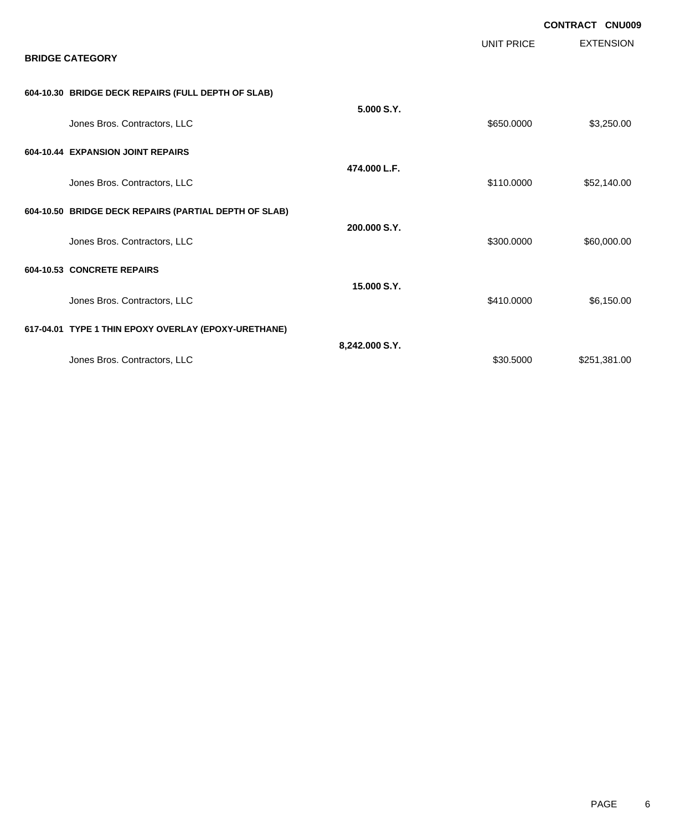| <b>BRIDGE CATEGORY</b>                                |                | <b>UNIT PRICE</b> | <b>CONTRACT CNU009</b><br><b>EXTENSION</b> |
|-------------------------------------------------------|----------------|-------------------|--------------------------------------------|
| 604-10.30 BRIDGE DECK REPAIRS (FULL DEPTH OF SLAB)    |                |                   |                                            |
| Jones Bros. Contractors, LLC                          | 5.000 S.Y.     | \$650.0000        | \$3,250.00                                 |
| 604-10.44 EXPANSION JOINT REPAIRS                     |                |                   |                                            |
| Jones Bros. Contractors, LLC                          | 474.000 L.F.   | \$110.0000        | \$52,140.00                                |
| 604-10.50 BRIDGE DECK REPAIRS (PARTIAL DEPTH OF SLAB) |                |                   |                                            |
| Jones Bros. Contractors, LLC                          | 200.000 S.Y.   | \$300.0000        | \$60,000.00                                |
| 604-10.53 CONCRETE REPAIRS                            |                |                   |                                            |
| Jones Bros. Contractors, LLC                          | 15.000 S.Y.    | \$410.0000        | \$6,150.00                                 |
| 617-04.01 TYPE 1 THIN EPOXY OVERLAY (EPOXY-URETHANE)  |                |                   |                                            |
| Jones Bros. Contractors, LLC                          | 8,242.000 S.Y. | \$30.5000         | \$251,381.00                               |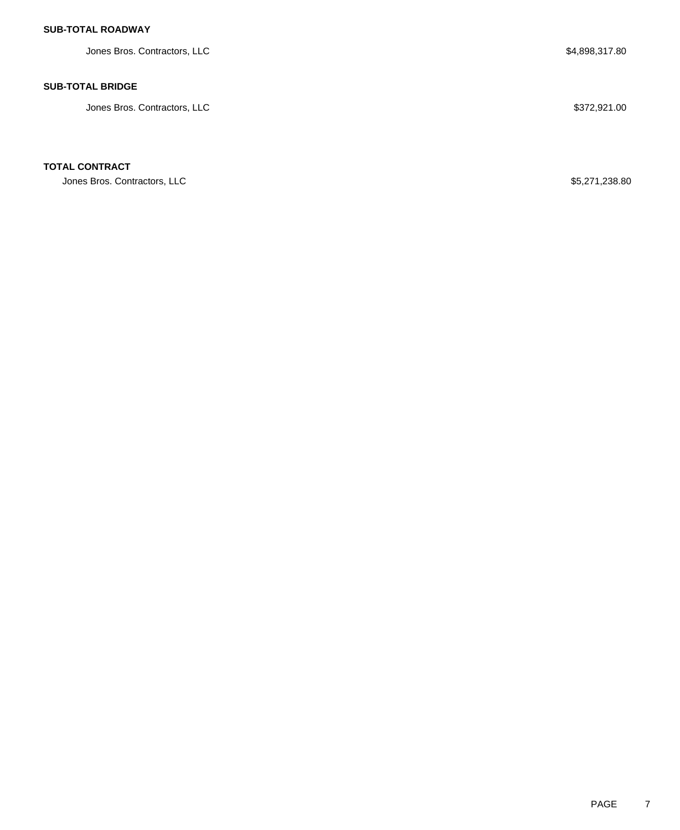# **SUB-TOTAL ROADWAY**

Jones Bros. Contractors, LLC  $$4,898,317.80$ 

## **SUB-TOTAL BRIDGE**

Jones Bros. Contractors, LLC \$372,921.00

## **TOTAL CONTRACT**

Jones Bros. Contractors, LLC \$5,271,238.80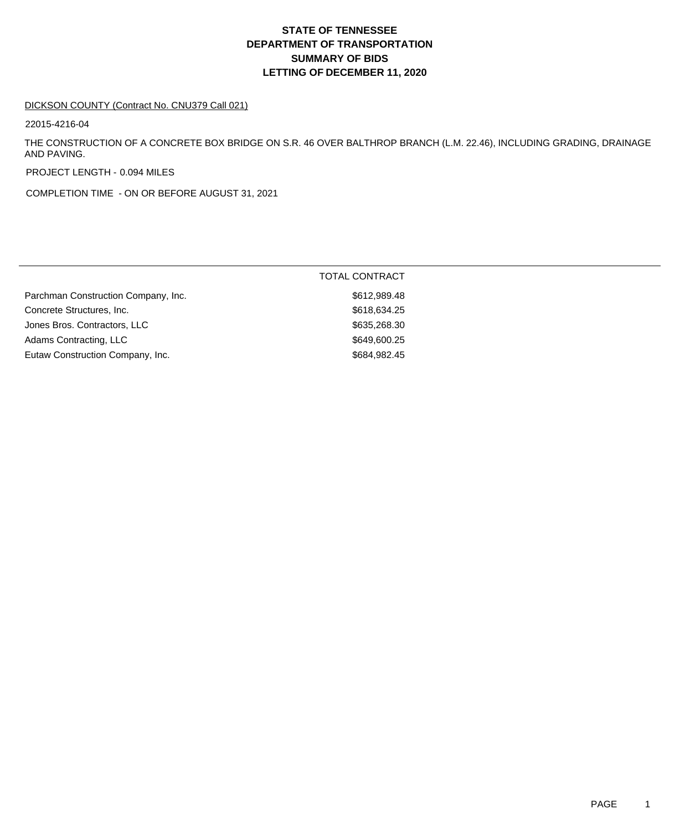# **DEPARTMENT OF TRANSPORTATION SUMMARY OF BIDS LETTING OF DECEMBER 11, 2020 STATE OF TENNESSEE**

#### DICKSON COUNTY (Contract No. CNU379 Call 021)

22015-4216-04

THE CONSTRUCTION OF A CONCRETE BOX BRIDGE ON S.R. 46 OVER BALTHROP BRANCH (L.M. 22.46), INCLUDING GRADING, DRAINAGE AND PAVING.

PROJECT LENGTH - 0.094 MILES

COMPLETION TIME - ON OR BEFORE AUGUST 31, 2021

| Parchman Construction Company, Inc.<br>\$612,989.48<br>\$618,634.25<br>Concrete Structures, Inc.<br>Jones Bros. Contractors, LLC<br>\$635,268.30<br>\$649,600.25<br>Adams Contracting, LLC<br>Eutaw Construction Company, Inc.<br>\$684,982.45 | <b>TOTAL CONTRACT</b> |
|------------------------------------------------------------------------------------------------------------------------------------------------------------------------------------------------------------------------------------------------|-----------------------|
|                                                                                                                                                                                                                                                |                       |
|                                                                                                                                                                                                                                                |                       |
|                                                                                                                                                                                                                                                |                       |
|                                                                                                                                                                                                                                                |                       |
|                                                                                                                                                                                                                                                |                       |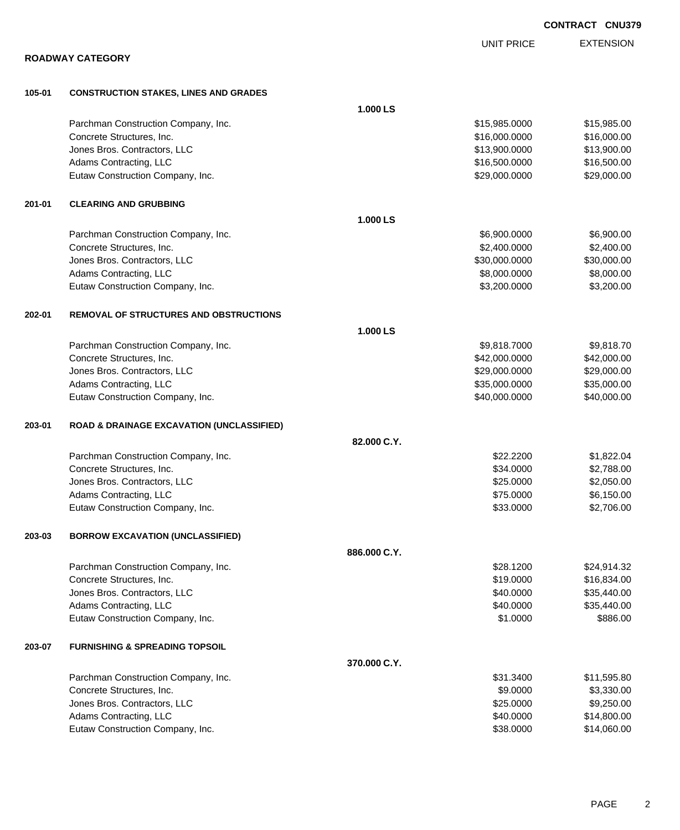|        | <b>ROADWAY CATEGORY</b>                                          |              | <b>UNIT PRICE</b>              | <b>EXTENSION</b> |
|--------|------------------------------------------------------------------|--------------|--------------------------------|------------------|
|        |                                                                  |              |                                |                  |
| 105-01 | <b>CONSTRUCTION STAKES, LINES AND GRADES</b>                     |              |                                |                  |
|        |                                                                  | 1.000 LS     |                                | \$15,985.00      |
|        | Parchman Construction Company, Inc.<br>Concrete Structures, Inc. |              | \$15,985.0000<br>\$16,000.0000 | \$16,000.00      |
|        | Jones Bros. Contractors, LLC                                     |              | \$13,900.0000                  | \$13,900.00      |
|        | Adams Contracting, LLC                                           |              | \$16,500.0000                  | \$16,500.00      |
|        | Eutaw Construction Company, Inc.                                 |              | \$29,000.0000                  | \$29,000.00      |
| 201-01 | <b>CLEARING AND GRUBBING</b>                                     |              |                                |                  |
|        |                                                                  | 1.000 LS     |                                |                  |
|        | Parchman Construction Company, Inc.                              |              | \$6,900.0000                   | \$6,900.00       |
|        | Concrete Structures, Inc.                                        |              | \$2,400.0000                   | \$2,400.00       |
|        | Jones Bros. Contractors, LLC                                     |              | \$30,000.0000                  | \$30,000.00      |
|        | Adams Contracting, LLC                                           |              | \$8,000.0000                   | \$8,000.00       |
|        | Eutaw Construction Company, Inc.                                 |              | \$3,200.0000                   | \$3,200.00       |
| 202-01 | <b>REMOVAL OF STRUCTURES AND OBSTRUCTIONS</b>                    |              |                                |                  |
|        |                                                                  | 1.000 LS     |                                |                  |
|        | Parchman Construction Company, Inc.                              |              | \$9,818.7000                   | \$9,818.70       |
|        | Concrete Structures, Inc.                                        |              | \$42,000.0000                  | \$42,000.00      |
|        | Jones Bros. Contractors, LLC                                     |              | \$29,000.0000                  | \$29,000.00      |
|        | Adams Contracting, LLC                                           |              | \$35,000.0000                  | \$35,000.00      |
|        | Eutaw Construction Company, Inc.                                 |              | \$40,000.0000                  | \$40,000.00      |
| 203-01 | <b>ROAD &amp; DRAINAGE EXCAVATION (UNCLASSIFIED)</b>             |              |                                |                  |
|        |                                                                  | 82.000 C.Y.  |                                |                  |
|        | Parchman Construction Company, Inc.                              |              | \$22.2200                      | \$1,822.04       |
|        | Concrete Structures, Inc.                                        |              | \$34.0000                      | \$2,788.00       |
|        | Jones Bros. Contractors, LLC                                     |              | \$25.0000                      | \$2,050.00       |
|        | Adams Contracting, LLC                                           |              | \$75.0000                      | \$6,150.00       |
|        | Eutaw Construction Company, Inc.                                 |              | \$33.0000                      | \$2,706.00       |
| 203-03 | <b>BORROW EXCAVATION (UNCLASSIFIED)</b>                          |              |                                |                  |
|        |                                                                  | 886,000 C.Y. |                                |                  |
|        | Parchman Construction Company, Inc.                              |              | \$28.1200                      | \$24,914.32      |
|        | Concrete Structures, Inc.                                        |              | \$19.0000                      | \$16,834.00      |
|        | Jones Bros. Contractors, LLC                                     |              | \$40.0000                      | \$35,440.00      |
|        | Adams Contracting, LLC                                           |              | \$40.0000                      | \$35,440.00      |
|        | Eutaw Construction Company, Inc.                                 |              | \$1.0000                       | \$886.00         |
| 203-07 | <b>FURNISHING &amp; SPREADING TOPSOIL</b>                        |              |                                |                  |
|        |                                                                  | 370.000 C.Y. |                                |                  |
|        | Parchman Construction Company, Inc.                              |              | \$31.3400                      | \$11,595.80      |
|        | Concrete Structures, Inc.                                        |              | \$9.0000                       | \$3,330.00       |
|        | Jones Bros. Contractors, LLC                                     |              | \$25.0000                      | \$9,250.00       |
|        | Adams Contracting, LLC                                           |              | \$40.0000                      | \$14,800.00      |

Eutaw Construction Company, Inc. 6. The Construction Company, Inc. 6. The Construction Company, Inc.

**CONTRACT CNU379**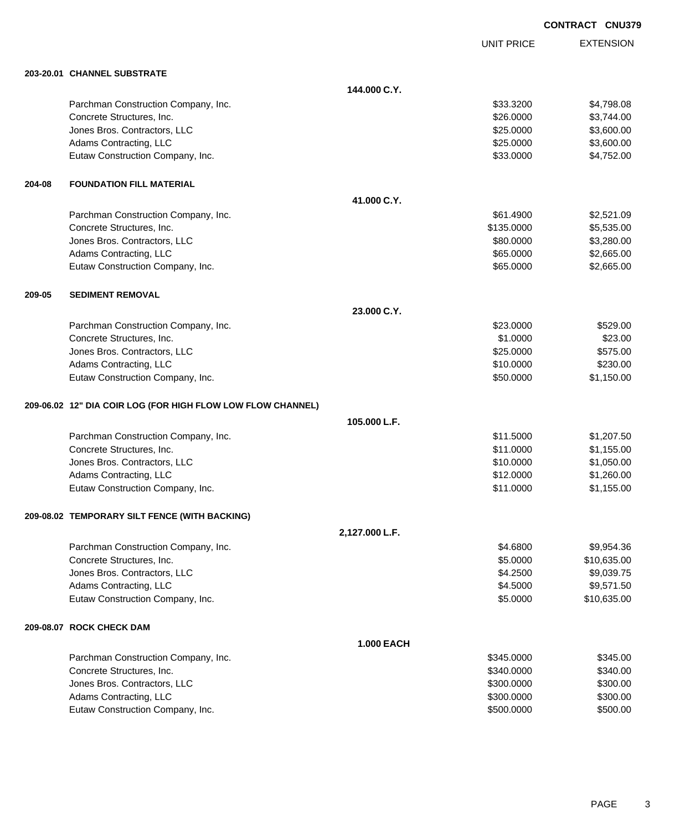EXTENSION **CONTRACT CNU379**

UNIT PRICE

|        | 203-20.01 CHANNEL SUBSTRATE                                 |                   |            |             |
|--------|-------------------------------------------------------------|-------------------|------------|-------------|
|        |                                                             | 144,000 C.Y.      |            |             |
|        | Parchman Construction Company, Inc.                         |                   | \$33.3200  | \$4,798.08  |
|        | Concrete Structures, Inc.                                   |                   | \$26.0000  | \$3,744.00  |
|        | Jones Bros. Contractors, LLC                                |                   | \$25.0000  | \$3,600.00  |
|        | Adams Contracting, LLC                                      |                   | \$25.0000  | \$3,600.00  |
|        | Eutaw Construction Company, Inc.                            |                   | \$33.0000  | \$4,752.00  |
| 204-08 | <b>FOUNDATION FILL MATERIAL</b>                             |                   |            |             |
|        |                                                             | 41.000 C.Y.       |            |             |
|        | Parchman Construction Company, Inc.                         |                   | \$61.4900  | \$2,521.09  |
|        | Concrete Structures, Inc.                                   |                   | \$135.0000 | \$5,535.00  |
|        | Jones Bros. Contractors, LLC                                |                   | \$80.0000  | \$3,280.00  |
|        | Adams Contracting, LLC                                      |                   | \$65.0000  | \$2,665.00  |
|        | Eutaw Construction Company, Inc.                            |                   | \$65.0000  | \$2,665.00  |
| 209-05 | <b>SEDIMENT REMOVAL</b>                                     |                   |            |             |
|        |                                                             | 23.000 C.Y.       |            |             |
|        | Parchman Construction Company, Inc.                         |                   | \$23.0000  | \$529.00    |
|        | Concrete Structures, Inc.                                   |                   | \$1.0000   | \$23.00     |
|        | Jones Bros. Contractors, LLC                                |                   | \$25.0000  | \$575.00    |
|        | Adams Contracting, LLC                                      |                   | \$10.0000  | \$230.00    |
|        | Eutaw Construction Company, Inc.                            |                   | \$50.0000  | \$1,150.00  |
|        | 209-06.02 12" DIA COIR LOG (FOR HIGH FLOW LOW FLOW CHANNEL) |                   |            |             |
|        |                                                             | 105.000 L.F.      |            |             |
|        | Parchman Construction Company, Inc.                         |                   | \$11.5000  | \$1,207.50  |
|        | Concrete Structures, Inc.                                   |                   | \$11.0000  | \$1,155.00  |
|        | Jones Bros. Contractors, LLC                                |                   | \$10.0000  | \$1,050.00  |
|        | Adams Contracting, LLC                                      |                   | \$12.0000  | \$1,260.00  |
|        | Eutaw Construction Company, Inc.                            |                   | \$11.0000  | \$1,155.00  |
|        | 209-08.02 TEMPORARY SILT FENCE (WITH BACKING)               |                   |            |             |
|        |                                                             | 2,127.000 L.F.    |            |             |
|        | Parchman Construction Company, Inc.                         |                   | \$4.6800   | \$9,954.36  |
|        | Concrete Structures, Inc.                                   |                   | \$5.0000   | \$10,635.00 |
|        | Jones Bros. Contractors, LLC                                |                   | \$4.2500   | \$9,039.75  |
|        | Adams Contracting, LLC                                      |                   | \$4.5000   | \$9,571.50  |
|        | Eutaw Construction Company, Inc.                            |                   | \$5.0000   | \$10,635.00 |
|        | 209-08.07 ROCK CHECK DAM                                    |                   |            |             |
|        |                                                             | <b>1.000 EACH</b> |            |             |
|        | Parchman Construction Company, Inc.                         |                   | \$345.0000 | \$345.00    |
|        | Concrete Structures, Inc.                                   |                   | \$340.0000 | \$340.00    |
|        | Jones Bros. Contractors, LLC                                |                   | \$300.0000 | \$300.00    |
|        | Adams Contracting, LLC                                      |                   | \$300.0000 | \$300.00    |
|        | Eutaw Construction Company, Inc.                            |                   | \$500.0000 | \$500.00    |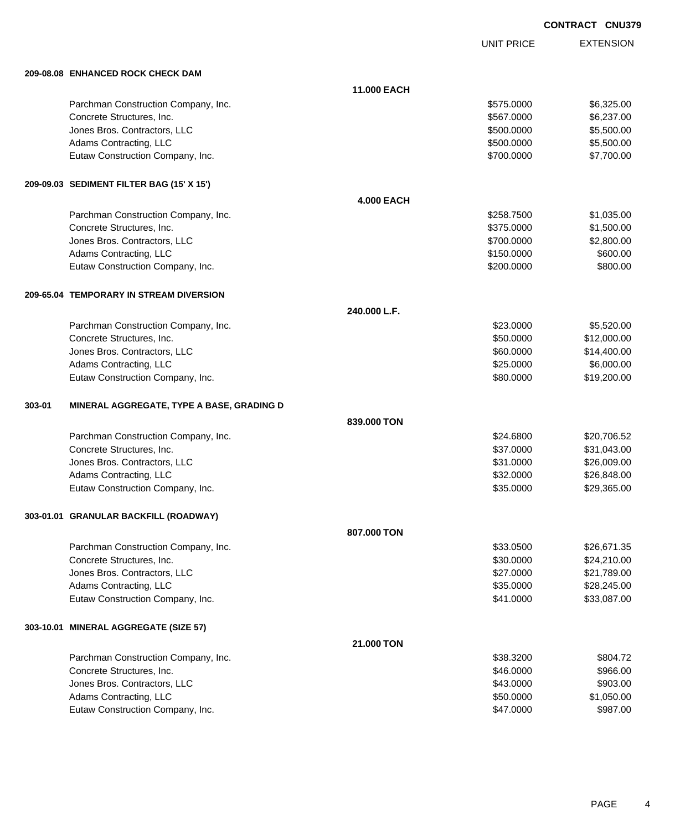UNIT PRICE EXTENSION

|        | 209-08.08 ENHANCED ROCK CHECK DAM         |                   |            |             |
|--------|-------------------------------------------|-------------------|------------|-------------|
|        |                                           | 11.000 EACH       |            |             |
|        | Parchman Construction Company, Inc.       |                   | \$575.0000 | \$6,325.00  |
|        | Concrete Structures, Inc.                 |                   | \$567.0000 | \$6,237.00  |
|        | Jones Bros. Contractors, LLC              |                   | \$500.0000 | \$5,500.00  |
|        | Adams Contracting, LLC                    |                   | \$500.0000 | \$5,500.00  |
|        | Eutaw Construction Company, Inc.          |                   | \$700.0000 | \$7,700.00  |
|        | 209-09.03 SEDIMENT FILTER BAG (15' X 15') |                   |            |             |
|        |                                           | <b>4.000 EACH</b> |            |             |
|        | Parchman Construction Company, Inc.       |                   | \$258.7500 | \$1,035.00  |
|        | Concrete Structures, Inc.                 |                   | \$375.0000 | \$1,500.00  |
|        | Jones Bros. Contractors, LLC              |                   | \$700.0000 | \$2,800.00  |
|        | Adams Contracting, LLC                    |                   | \$150.0000 | \$600.00    |
|        | Eutaw Construction Company, Inc.          |                   | \$200.0000 | \$800.00    |
|        | 209-65.04 TEMPORARY IN STREAM DIVERSION   |                   |            |             |
|        |                                           | 240.000 L.F.      |            |             |
|        | Parchman Construction Company, Inc.       |                   | \$23.0000  | \$5,520.00  |
|        | Concrete Structures, Inc.                 |                   | \$50.0000  | \$12,000.00 |
|        | Jones Bros. Contractors, LLC              |                   | \$60.0000  | \$14,400.00 |
|        | Adams Contracting, LLC                    |                   | \$25.0000  | \$6,000.00  |
|        | Eutaw Construction Company, Inc.          |                   | \$80.0000  | \$19,200.00 |
| 303-01 | MINERAL AGGREGATE, TYPE A BASE, GRADING D |                   |            |             |
|        |                                           | 839.000 TON       |            |             |
|        | Parchman Construction Company, Inc.       |                   | \$24.6800  | \$20,706.52 |
|        | Concrete Structures, Inc.                 |                   | \$37.0000  | \$31,043.00 |
|        | Jones Bros. Contractors, LLC              |                   | \$31.0000  | \$26,009.00 |
|        | Adams Contracting, LLC                    |                   | \$32.0000  | \$26,848.00 |
|        | Eutaw Construction Company, Inc.          |                   | \$35.0000  | \$29,365.00 |
|        | 303-01.01 GRANULAR BACKFILL (ROADWAY)     |                   |            |             |
|        |                                           | 807,000 TON       |            |             |
|        | Parchman Construction Company, Inc.       |                   | \$33.0500  | \$26,671.35 |
|        | Concrete Structures, Inc.                 |                   | \$30.0000  | \$24,210.00 |
|        | Jones Bros. Contractors, LLC              |                   | \$27.0000  | \$21,789.00 |
|        | Adams Contracting, LLC                    |                   | \$35.0000  | \$28,245.00 |
|        | Eutaw Construction Company, Inc.          |                   | \$41.0000  | \$33,087.00 |
|        | 303-10.01 MINERAL AGGREGATE (SIZE 57)     |                   |            |             |
|        |                                           | 21.000 TON        |            |             |
|        | Parchman Construction Company, Inc.       |                   | \$38.3200  | \$804.72    |
|        | Concrete Structures, Inc.                 |                   | \$46.0000  | \$966.00    |
|        | Jones Bros. Contractors, LLC              |                   | \$43.0000  | \$903.00    |
|        | Adams Contracting, LLC                    |                   | \$50.0000  | \$1,050.00  |
|        | Eutaw Construction Company, Inc.          |                   | \$47.0000  | \$987.00    |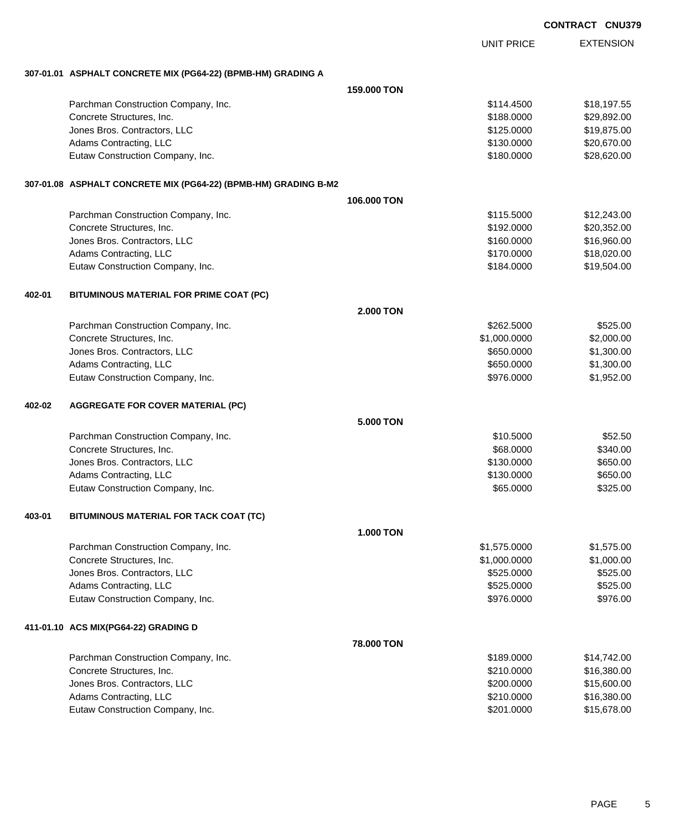| <b>CONTRACT CNU379</b> |
|------------------------|
|------------------------|

EXTENSION UNIT PRICE **307-01.01 ASPHALT CONCRETE MIX (PG64-22) (BPMB-HM) GRADING A 159.000 TON** Parchman Construction Company, Inc. 6. The Construction Company, Inc. 6. The Construction Company, Inc. 6. The Construction Company, Inc. 6. The Construction Company, Inc. 6. The Construction Company, Inc. 6. The Construct Concrete Structures, Inc. 6. The Concrete Structures, Inc. 6. The Concrete Structures, Inc. 6. The Concrete Structures, Inc. 6. The Concrete Structures, Inc. 6. The Concrete Structures, Inc. 6. The Concrete Structures, Inc Jones Bros. Contractors, LLC \$125.0000 \$19,875.00 Adams Contracting, LLC 6. 2006 120 120 2006 2007 12:0000 \$130.0000 \$20,670.00 Eutaw Construction Company, Inc. 6. The Construction Company, Inc. 6. The Construction Company, Inc. 6. The Construction Company, Inc. 6. The Construction Company, Inc. 6. The Construction Company, Inc. 6. The Construction **307-01.08 ASPHALT CONCRETE MIX (PG64-22) (BPMB-HM) GRADING B-M2 106.000 TON** Parchman Construction Company, Inc. 6. The Construction Company, Inc. 6. The Construction Company, Inc. 6. The Construction Company, Inc. 6. The Construction Company, Inc. 6. The Construction Company, Inc. 6. The Construct Concrete Structures, Inc. 620,352.00 Jones Bros. Contractors, LLC \$160.0000 \$16,960.00 Adams Contracting, LLC 6. 2008 6. 2009 6. 2009 6. 2010 6. 2010 6. 2010 6. 2010 6. 2010 6. 2010 6. 2010 6. 2010 Eutaw Construction Company, Inc. 6. The Construction Company, Inc. 6. The Construction Company, Inc. 6. The Construction Company, Inc. 6. The Construction Company, Inc. 6. The Construction Company, Inc. 6. The Construction **402-01 BITUMINOUS MATERIAL FOR PRIME COAT (PC) 2.000 TON** Parchman Construction Company, Inc. 6. The Construction Company, Inc. 6525.000 \$525.000 \$525.00 Concrete Structures, Inc. 6. 2000.000 \$2,000.000 \$2,000.000 \$2,000.000 \$2,000.000 \$2,000.00 versions and the set of the set of the set of the set of the set of the set of the set of the set of the set of the set of the set of the set of the set of the set of the set of the set of the set of the set of the set of Adams Contracting, LLC 6650.000 \$1,300.00 Eutaw Construction Company, Inc. 6. The Construction Company, Inc. 6. The Construction Company, Inc. 6. The Construction Company, Inc. 6. The Construction Company, Inc. 6. The Construction Company, Inc. 6. The Construction **402-02 AGGREGATE FOR COVER MATERIAL (PC) 5.000 TON** Parchman Construction Company, Inc. 6. The Construction Company, Inc. \$10.5000 \$52.50 Concrete Structures, Inc. 688.0000 \$340.00 dones Bros. Contractors, LLC 6650.000 \$650.00 \$650.00 Adams Contracting, LLC 6650.000 \$650.00 Eutaw Construction Company, Inc. 6325.000 \$325.00 **403-01 BITUMINOUS MATERIAL FOR TACK COAT (TC) 1.000 TON** Parchman Construction Company, Inc. 6. 2010 12:375.000 \$1,575.0000 \$1,575.000 \$1,575.00 Concrete Structures, Inc. 6. 2010. The structures of the structures, Inc. 6. 2010. The structures of the structures of the structures of the structures of the structures of the structures of the structures of the structure Jones Bros. Contractors, LLC \$525.0000 \$525.00 Adams Contracting, LLC 6525.000 \$525.000 \$525.000 \$525.000 \$525.000 \$525.000 \$525.000 \$525.000 \$525.00 Eutaw Construction Company, Inc. 6. The Construction Company, Inc. 6. The Construction Company, Inc. 6. The Construction Company, Inc. 6. The Construction Company, Inc. 6. The Construction Company, Inc. 6. The Construction **411-01.10 ACS MIX(PG64-22) GRADING D 78.000 TON** Parchman Construction Company, Inc. 6. 2010 12:30 12:30 12:30 12:30 12:30 12:30 12:30 12:30 12:30 12:30 12:30 1 Concrete Structures, Inc. 6. The Concrete Structures, Inc. 6. The Concrete Structures, Inc. 6. The Concrete Structures, Inc. 6. The Concrete Structures, Inc. 6. The Concrete Structures, Inc. 6. The Concrete Structures, Inc Jones Bros. Contractors, LLC \$200.0000 \$15,600.00 Adams Contracting, LLC 6. 2010.000 \$16,380.00 Eutaw Construction Company, Inc. 6. The Construction Company, Inc. 6. The Construction Company, Inc. 6. The Construction Company, Inc. 6. The Construction Company, Inc. 6. The Construction Company, Inc. 6. The Construction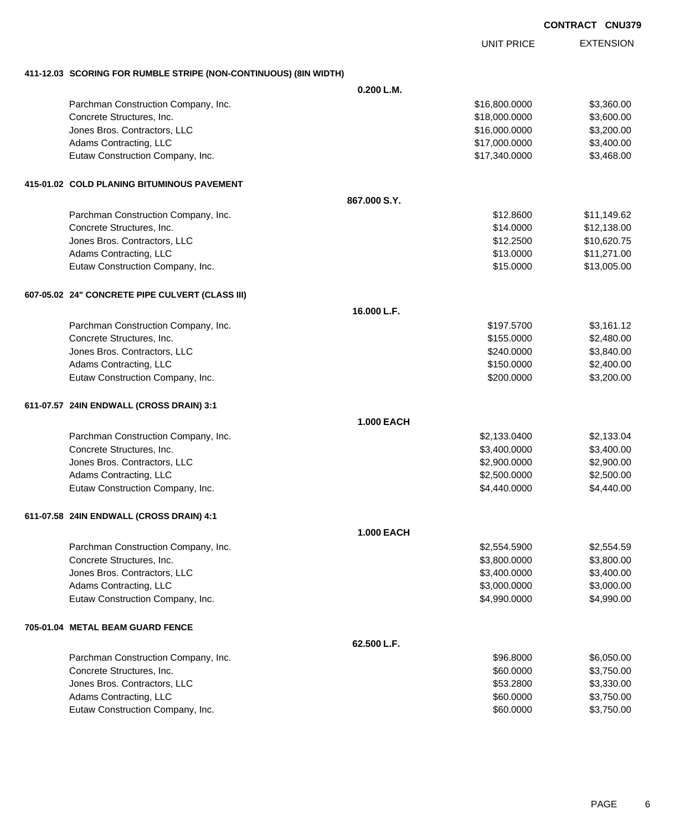UNIT PRICE

EXTENSION

**411-12.03 SCORING FOR RUMBLE STRIPE (NON-CONTINUOUS) (8IN WIDTH)**

|                                                 | 0.200 L.M.        |               |             |
|-------------------------------------------------|-------------------|---------------|-------------|
| Parchman Construction Company, Inc.             |                   | \$16,800.0000 | \$3,360.00  |
| Concrete Structures, Inc.                       |                   | \$18,000.0000 | \$3,600.00  |
| Jones Bros. Contractors, LLC                    |                   | \$16,000.0000 | \$3,200.00  |
| Adams Contracting, LLC                          |                   | \$17,000.0000 | \$3,400.00  |
| Eutaw Construction Company, Inc.                |                   | \$17,340.0000 | \$3,468.00  |
|                                                 |                   |               |             |
| 415-01.02 COLD PLANING BITUMINOUS PAVEMENT      |                   |               |             |
|                                                 | 867,000 S.Y.      |               |             |
| Parchman Construction Company, Inc.             |                   | \$12.8600     | \$11,149.62 |
| Concrete Structures, Inc.                       |                   | \$14.0000     | \$12,138.00 |
| Jones Bros. Contractors, LLC                    |                   | \$12.2500     | \$10,620.75 |
| Adams Contracting, LLC                          |                   | \$13.0000     | \$11,271.00 |
| Eutaw Construction Company, Inc.                |                   | \$15.0000     | \$13,005.00 |
| 607-05.02 24" CONCRETE PIPE CULVERT (CLASS III) |                   |               |             |
|                                                 | 16.000 L.F.       |               |             |
| Parchman Construction Company, Inc.             |                   | \$197.5700    | \$3,161.12  |
| Concrete Structures, Inc.                       |                   | \$155.0000    | \$2,480.00  |
| Jones Bros. Contractors, LLC                    |                   | \$240.0000    | \$3,840.00  |
| Adams Contracting, LLC                          |                   | \$150.0000    | \$2,400.00  |
| Eutaw Construction Company, Inc.                |                   | \$200.0000    | \$3,200.00  |
| 611-07.57 24IN ENDWALL (CROSS DRAIN) 3:1        |                   |               |             |
|                                                 | <b>1.000 EACH</b> |               |             |
| Parchman Construction Company, Inc.             |                   | \$2,133.0400  | \$2,133.04  |
| Concrete Structures, Inc.                       |                   | \$3,400.0000  | \$3,400.00  |
| Jones Bros. Contractors, LLC                    |                   | \$2,900.0000  | \$2,900.00  |
| Adams Contracting, LLC                          |                   | \$2,500.0000  | \$2,500.00  |
| Eutaw Construction Company, Inc.                |                   | \$4,440.0000  | \$4,440.00  |
| 611-07.58 24IN ENDWALL (CROSS DRAIN) 4:1        |                   |               |             |
|                                                 | <b>1.000 EACH</b> |               |             |
| Parchman Construction Company, Inc.             |                   | \$2,554.5900  | \$2,554.59  |
| Concrete Structures, Inc.                       |                   | \$3,800.0000  | \$3,800.00  |
| Jones Bros. Contractors, LLC                    |                   | \$3,400.0000  | \$3,400.00  |
| Adams Contracting, LLC                          |                   | \$3,000.0000  | \$3,000.00  |
| Eutaw Construction Company, Inc.                |                   | \$4,990.0000  | \$4,990.00  |
| 705-01.04 METAL BEAM GUARD FENCE                |                   |               |             |
|                                                 | 62.500 L.F.       |               |             |
| Parchman Construction Company, Inc.             |                   | \$96.8000     | \$6,050.00  |
| Concrete Structures, Inc.                       |                   | \$60.0000     | \$3,750.00  |
| Jones Bros. Contractors, LLC                    |                   | \$53.2800     | \$3,330.00  |
| Adams Contracting, LLC                          |                   | \$60.0000     | \$3,750.00  |
| Eutaw Construction Company, Inc.                |                   | \$60.0000     | \$3,750.00  |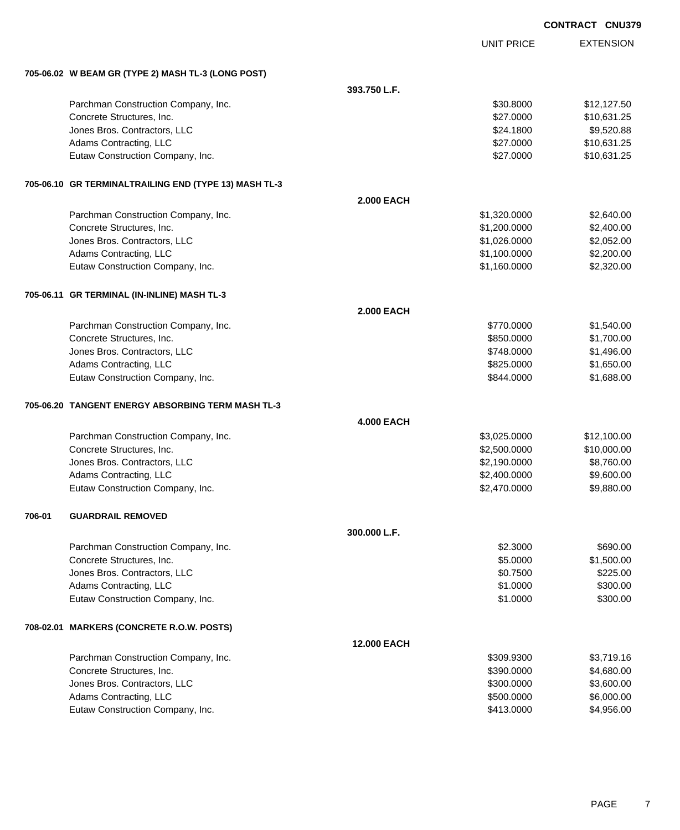|        |                                                       |                   |                   | <b>CONTRACT CNU379</b> |
|--------|-------------------------------------------------------|-------------------|-------------------|------------------------|
|        |                                                       |                   | <b>UNIT PRICE</b> | <b>EXTENSION</b>       |
|        | 705-06.02 W BEAM GR (TYPE 2) MASH TL-3 (LONG POST)    |                   |                   |                        |
|        |                                                       | 393.750 L.F.      |                   |                        |
|        | Parchman Construction Company, Inc.                   |                   | \$30.8000         | \$12,127.50            |
|        | Concrete Structures, Inc.                             |                   | \$27.0000         | \$10,631.25            |
|        | Jones Bros. Contractors, LLC                          |                   | \$24.1800         | \$9,520.88             |
|        | Adams Contracting, LLC                                |                   | \$27.0000         | \$10,631.25            |
|        | Eutaw Construction Company, Inc.                      |                   | \$27.0000         | \$10,631.25            |
|        | 705-06.10 GR TERMINALTRAILING END (TYPE 13) MASH TL-3 |                   |                   |                        |
|        |                                                       | <b>2.000 EACH</b> |                   |                        |
|        | Parchman Construction Company, Inc.                   |                   | \$1,320.0000      | \$2,640.00             |
|        | Concrete Structures, Inc.                             |                   | \$1,200.0000      | \$2,400.00             |
|        | Jones Bros. Contractors, LLC                          |                   | \$1,026.0000      | \$2,052.00             |
|        | Adams Contracting, LLC                                |                   | \$1,100.0000      | \$2,200.00             |
|        | Eutaw Construction Company, Inc.                      |                   | \$1,160.0000      | \$2,320.00             |
|        | 705-06.11 GR TERMINAL (IN-INLINE) MASH TL-3           |                   |                   |                        |
|        |                                                       | <b>2.000 EACH</b> |                   |                        |
|        | Parchman Construction Company, Inc.                   |                   | \$770.0000        | \$1,540.00             |
|        | Concrete Structures, Inc.                             |                   | \$850.0000        | \$1,700.00             |
|        | Jones Bros. Contractors, LLC                          |                   | \$748.0000        | \$1,496.00             |
|        | Adams Contracting, LLC                                |                   | \$825.0000        | \$1,650.00             |
|        | Eutaw Construction Company, Inc.                      |                   | \$844.0000        | \$1,688.00             |
|        | 705-06.20 TANGENT ENERGY ABSORBING TERM MASH TL-3     |                   |                   |                        |
|        |                                                       | <b>4.000 EACH</b> |                   |                        |
|        | Parchman Construction Company, Inc.                   |                   | \$3,025.0000      | \$12,100.00            |
|        | Concrete Structures, Inc.                             |                   | \$2,500.0000      | \$10,000.00            |
|        | Jones Bros. Contractors, LLC                          |                   | \$2,190.0000      | \$8,760.00             |
|        | Adams Contracting, LLC                                |                   | \$2,400.0000      | \$9,600.00             |
|        | Eutaw Construction Company, Inc.                      |                   | \$2,470.0000      | \$9,880.00             |
| 706-01 | <b>GUARDRAIL REMOVED</b>                              |                   |                   |                        |
|        |                                                       | 300.000 L.F.      |                   |                        |
|        | Parchman Construction Company, Inc.                   |                   | \$2.3000          | \$690.00               |
|        | Concrete Structures, Inc.                             |                   | \$5.0000          | \$1,500.00             |
|        | Jones Bros. Contractors, LLC                          |                   | \$0.7500          | \$225.00               |
|        | Adams Contracting, LLC                                |                   | \$1.0000          | \$300.00               |
|        | Eutaw Construction Company, Inc.                      |                   | \$1.0000          | \$300.00               |
|        | 708-02.01 MARKERS (CONCRETE R.O.W. POSTS)             |                   |                   |                        |
|        |                                                       | 12.000 EACH       |                   |                        |
|        | Parchman Construction Company, Inc.                   |                   | \$309.9300        | \$3,719.16             |
|        | Concrete Structures, Inc.                             |                   | \$390.0000        | \$4,680.00             |
|        | Jones Bros. Contractors, LLC                          |                   | \$300.0000        | \$3,600.00             |
|        | Adams Contracting, LLC                                |                   | \$500.0000        | \$6,000.00             |
|        | Eutaw Construction Company, Inc.                      |                   | \$413.0000        | \$4,956.00             |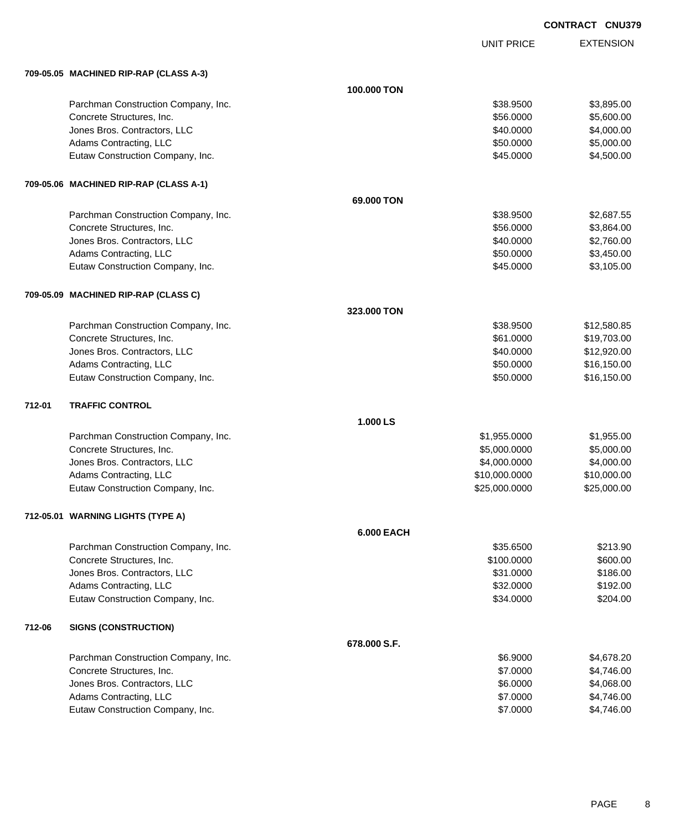EXTENSION **CONTRACT CNU379**

UNIT PRICE

|        | 709-05.05 MACHINED RIP-RAP (CLASS A-3) |                   |               |             |
|--------|----------------------------------------|-------------------|---------------|-------------|
|        |                                        | 100.000 TON       |               |             |
|        | Parchman Construction Company, Inc.    |                   | \$38.9500     | \$3,895.00  |
|        | Concrete Structures, Inc.              |                   | \$56.0000     | \$5,600.00  |
|        | Jones Bros. Contractors, LLC           |                   | \$40.0000     | \$4,000.00  |
|        | Adams Contracting, LLC                 |                   | \$50.0000     | \$5,000.00  |
|        | Eutaw Construction Company, Inc.       |                   | \$45.0000     | \$4,500.00  |
|        | 709-05.06 MACHINED RIP-RAP (CLASS A-1) |                   |               |             |
|        |                                        | 69,000 TON        |               |             |
|        | Parchman Construction Company, Inc.    |                   | \$38.9500     | \$2,687.55  |
|        | Concrete Structures, Inc.              |                   | \$56.0000     | \$3,864.00  |
|        | Jones Bros. Contractors, LLC           |                   | \$40.0000     | \$2,760.00  |
|        | Adams Contracting, LLC                 |                   | \$50.0000     | \$3,450.00  |
|        | Eutaw Construction Company, Inc.       |                   | \$45.0000     | \$3,105.00  |
|        | 709-05.09 MACHINED RIP-RAP (CLASS C)   |                   |               |             |
|        |                                        | 323,000 TON       |               |             |
|        | Parchman Construction Company, Inc.    |                   | \$38.9500     | \$12,580.85 |
|        | Concrete Structures, Inc.              |                   | \$61.0000     | \$19,703.00 |
|        | Jones Bros. Contractors, LLC           |                   | \$40.0000     | \$12,920.00 |
|        | Adams Contracting, LLC                 |                   | \$50.0000     | \$16,150.00 |
|        | Eutaw Construction Company, Inc.       |                   | \$50.0000     | \$16,150.00 |
| 712-01 | <b>TRAFFIC CONTROL</b>                 |                   |               |             |
|        |                                        | 1.000 LS          |               |             |
|        | Parchman Construction Company, Inc.    |                   | \$1,955.0000  | \$1,955.00  |
|        | Concrete Structures, Inc.              |                   | \$5,000.0000  | \$5,000.00  |
|        | Jones Bros. Contractors, LLC           |                   | \$4,000.0000  | \$4,000.00  |
|        | Adams Contracting, LLC                 |                   | \$10,000.0000 | \$10,000.00 |
|        | Eutaw Construction Company, Inc.       |                   | \$25,000.0000 | \$25,000.00 |
|        | 712-05.01 WARNING LIGHTS (TYPE A)      |                   |               |             |
|        |                                        | <b>6.000 EACH</b> |               |             |
|        | Parchman Construction Company, Inc.    |                   | \$35.6500     | \$213.90    |
|        | Concrete Structures, Inc.              |                   | \$100.0000    | \$600.00    |
|        | Jones Bros. Contractors, LLC           |                   | \$31.0000     | \$186.00    |
|        | Adams Contracting, LLC                 |                   | \$32.0000     | \$192.00    |
|        | Eutaw Construction Company, Inc.       |                   | \$34.0000     | \$204.00    |
| 712-06 | <b>SIGNS (CONSTRUCTION)</b>            |                   |               |             |
|        |                                        | 678.000 S.F.      |               |             |
|        | Parchman Construction Company, Inc.    |                   | \$6.9000      | \$4,678.20  |
|        | Concrete Structures, Inc.              |                   | \$7.0000      | \$4,746.00  |
|        | Jones Bros. Contractors, LLC           |                   | \$6.0000      | \$4,068.00  |
|        | Adams Contracting, LLC                 |                   | \$7.0000      | \$4,746.00  |
|        | Eutaw Construction Company, Inc.       |                   | \$7.0000      | \$4,746.00  |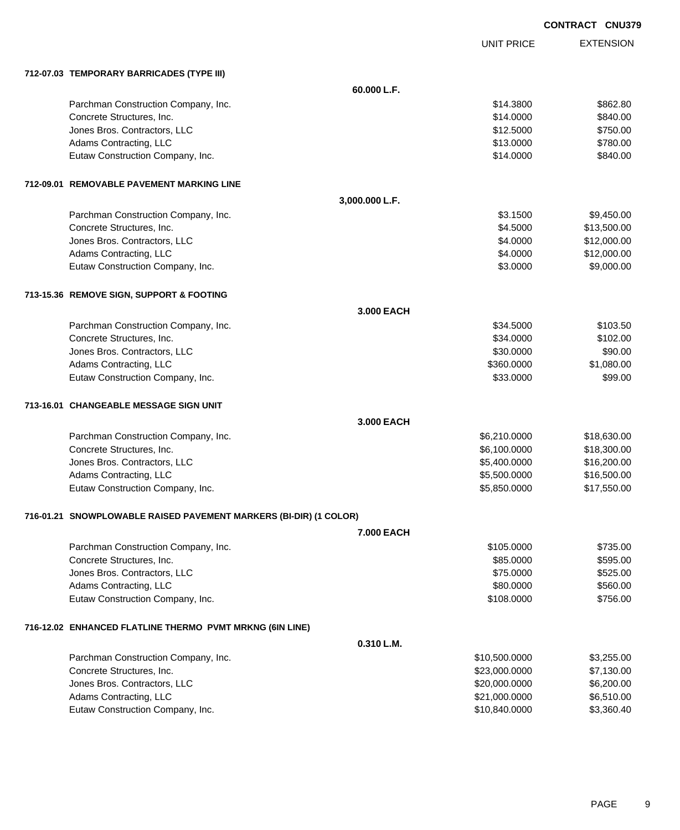UNIT PRICE

EXTENSION

|  | 712-07.03 TEMPORARY BARRICADES (TYPE III) |  |
|--|-------------------------------------------|--|
|  |                                           |  |

| 712-07.03 TEMPORARY BARRICADES (TYPE III)                           |                   |               |             |
|---------------------------------------------------------------------|-------------------|---------------|-------------|
|                                                                     | 60.000 L.F.       |               |             |
| Parchman Construction Company, Inc.                                 |                   | \$14.3800     | \$862.80    |
| Concrete Structures, Inc.                                           |                   | \$14.0000     | \$840.00    |
| Jones Bros. Contractors, LLC                                        |                   | \$12.5000     | \$750.00    |
| Adams Contracting, LLC                                              |                   | \$13.0000     | \$780.00    |
| Eutaw Construction Company, Inc.                                    |                   | \$14.0000     | \$840.00    |
| 712-09.01 REMOVABLE PAVEMENT MARKING LINE                           |                   |               |             |
|                                                                     | 3,000.000 L.F.    |               |             |
| Parchman Construction Company, Inc.                                 |                   | \$3.1500      | \$9,450.00  |
| Concrete Structures, Inc.                                           |                   | \$4.5000      | \$13,500.00 |
| Jones Bros. Contractors, LLC                                        |                   | \$4.0000      | \$12,000.00 |
| Adams Contracting, LLC                                              |                   | \$4.0000      | \$12,000.00 |
| Eutaw Construction Company, Inc.                                    |                   | \$3.0000      | \$9,000.00  |
| 713-15.36 REMOVE SIGN, SUPPORT & FOOTING                            |                   |               |             |
|                                                                     | 3.000 EACH        |               |             |
| Parchman Construction Company, Inc.                                 |                   | \$34.5000     | \$103.50    |
| Concrete Structures, Inc.                                           |                   | \$34.0000     | \$102.00    |
| Jones Bros. Contractors, LLC                                        |                   | \$30.0000     | \$90.00     |
| Adams Contracting, LLC                                              |                   | \$360.0000    | \$1,080.00  |
| Eutaw Construction Company, Inc.                                    |                   | \$33.0000     | \$99.00     |
| 713-16.01 CHANGEABLE MESSAGE SIGN UNIT                              |                   |               |             |
|                                                                     | 3.000 EACH        |               |             |
| Parchman Construction Company, Inc.                                 |                   | \$6,210.0000  | \$18,630.00 |
| Concrete Structures, Inc.                                           |                   | \$6,100.0000  | \$18,300.00 |
| Jones Bros. Contractors, LLC                                        |                   | \$5,400.0000  | \$16,200.00 |
| Adams Contracting, LLC                                              |                   | \$5,500.0000  | \$16,500.00 |
| Eutaw Construction Company, Inc.                                    |                   | \$5,850.0000  | \$17,550.00 |
| 716-01.21   SNOWPLOWABLE RAISED PAVEMENT MARKERS (BI-DIR) (1 COLOR) |                   |               |             |
|                                                                     | <b>7.000 EACH</b> |               |             |
| Parchman Construction Company, Inc.                                 |                   | \$105.0000    | \$735.00    |
| Concrete Structures, Inc.                                           |                   | \$85.0000     | \$595.00    |
| Jones Bros. Contractors, LLC                                        |                   | \$75.0000     | \$525.00    |
| Adams Contracting, LLC                                              |                   | \$80.0000     | \$560.00    |
| Eutaw Construction Company, Inc.                                    |                   | \$108.0000    | \$756.00    |
| 716-12.02 ENHANCED FLATLINE THERMO PVMT MRKNG (6IN LINE)            |                   |               |             |
|                                                                     | 0.310 L.M.        |               |             |
| Parchman Construction Company, Inc.                                 |                   | \$10,500.0000 | \$3,255.00  |
| Concrete Structures, Inc.                                           |                   | \$23,000.0000 | \$7,130.00  |
| Jones Bros. Contractors, LLC                                        |                   | \$20,000.0000 | \$6,200.00  |
| Adams Contracting, LLC                                              |                   | \$21,000.0000 | \$6,510.00  |
| Eutaw Construction Company, Inc.                                    |                   | \$10,840.0000 | \$3,360.40  |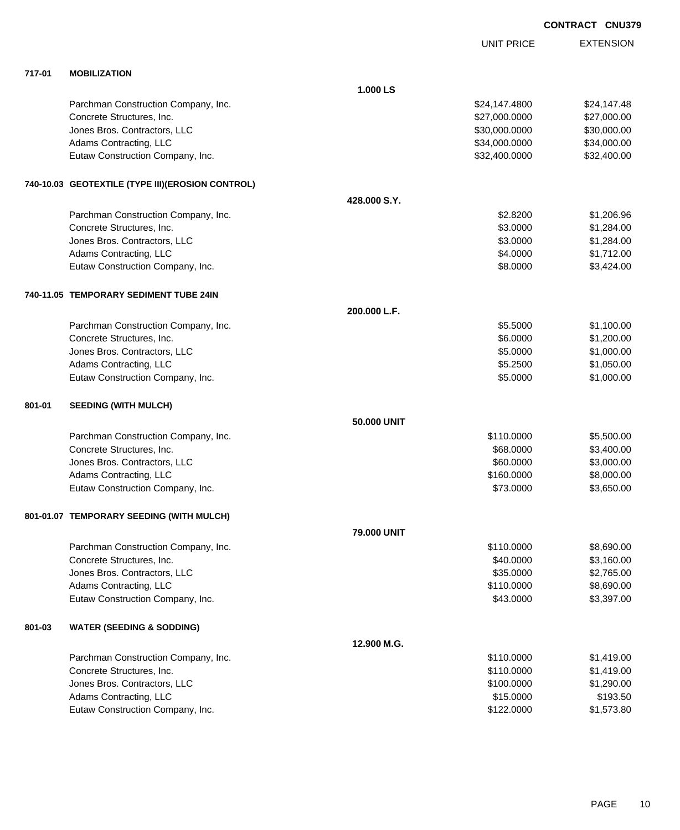|        |                                                  |                    | <b>UNIT PRICE</b> | <b>EXTENSION</b> |
|--------|--------------------------------------------------|--------------------|-------------------|------------------|
| 717-01 | <b>MOBILIZATION</b>                              |                    |                   |                  |
|        |                                                  | 1.000 LS           |                   |                  |
|        | Parchman Construction Company, Inc.              |                    | \$24,147.4800     | \$24,147.48      |
|        | Concrete Structures, Inc.                        |                    | \$27,000.0000     | \$27,000.00      |
|        | Jones Bros. Contractors, LLC                     |                    | \$30,000.0000     | \$30,000.00      |
|        | Adams Contracting, LLC                           |                    | \$34,000.0000     | \$34,000.00      |
|        | Eutaw Construction Company, Inc.                 |                    | \$32,400.0000     | \$32,400.00      |
|        | 740-10.03 GEOTEXTILE (TYPE III)(EROSION CONTROL) |                    |                   |                  |
|        |                                                  | 428,000 S.Y.       |                   |                  |
|        | Parchman Construction Company, Inc.              |                    | \$2.8200          | \$1,206.96       |
|        | Concrete Structures, Inc.                        |                    | \$3.0000          | \$1,284.00       |
|        | Jones Bros. Contractors, LLC                     |                    | \$3.0000          | \$1,284.00       |
|        | Adams Contracting, LLC                           |                    | \$4.0000          | \$1,712.00       |
|        | Eutaw Construction Company, Inc.                 |                    | \$8.0000          | \$3,424.00       |
|        | 740-11.05 TEMPORARY SEDIMENT TUBE 24IN           |                    |                   |                  |
|        |                                                  | 200.000 L.F.       |                   |                  |
|        | Parchman Construction Company, Inc.              |                    | \$5.5000          | \$1,100.00       |
|        | Concrete Structures, Inc.                        |                    | \$6.0000          | \$1,200.00       |
|        | Jones Bros. Contractors, LLC                     |                    | \$5.0000          | \$1,000.00       |
|        | Adams Contracting, LLC                           |                    | \$5.2500          | \$1,050.00       |
|        | Eutaw Construction Company, Inc.                 |                    | \$5.0000          | \$1,000.00       |
| 801-01 | <b>SEEDING (WITH MULCH)</b>                      |                    |                   |                  |
|        |                                                  | 50,000 UNIT        |                   |                  |
|        | Parchman Construction Company, Inc.              |                    | \$110.0000        | \$5,500.00       |
|        | Concrete Structures, Inc.                        |                    | \$68.0000         | \$3,400.00       |
|        | Jones Bros. Contractors, LLC                     |                    | \$60.0000         | \$3,000.00       |
|        | Adams Contracting, LLC                           |                    | \$160.0000        | \$8,000.00       |
|        | Eutaw Construction Company, Inc.                 |                    | \$73.0000         | \$3,650.00       |
|        | 801-01.07 TEMPORARY SEEDING (WITH MULCH)         |                    |                   |                  |
|        |                                                  | <b>79.000 UNIT</b> |                   |                  |
|        | Parchman Construction Company, Inc.              |                    | \$110,0000        | \$8,690.00       |
|        | Concrete Structures, Inc.                        |                    | \$40.0000         | \$3,160.00       |
|        | Jones Bros. Contractors, LLC                     |                    | \$35.0000         | \$2,765.00       |
|        | Adams Contracting, LLC                           |                    | \$110.0000        | \$8,690.00       |
|        | Eutaw Construction Company, Inc.                 |                    | \$43.0000         | \$3,397.00       |
| 801-03 | <b>WATER (SEEDING &amp; SODDING)</b>             |                    |                   |                  |
|        |                                                  | 12.900 M.G.        |                   |                  |
|        | Parchman Construction Company, Inc.              |                    | \$110.0000        | \$1,419.00       |
|        | Concrete Structures, Inc.                        |                    | \$110.0000        | \$1,419.00       |
|        | Jones Bros. Contractors, LLC                     |                    | \$100.0000        | \$1,290.00       |
|        | Adams Contracting, LLC                           |                    | \$15.0000         | \$193.50         |
|        | Eutaw Construction Company, Inc.                 |                    | \$122.0000        | \$1,573.80       |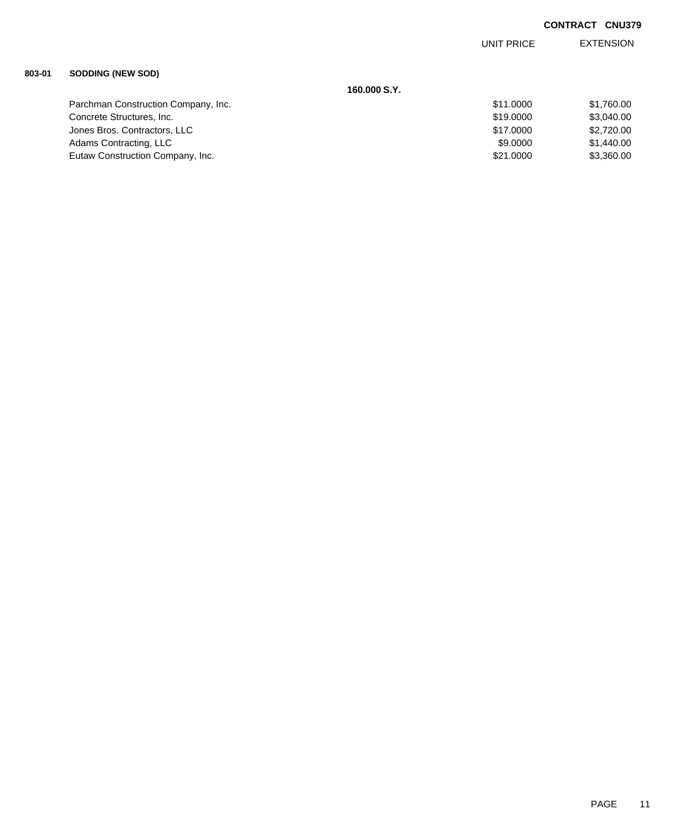EXTENSION UNIT PRICE

# **803-01 SODDING (NEW SOD)**

|                                     | 160,000 S.Y. |            |
|-------------------------------------|--------------|------------|
| Parchman Construction Company, Inc. | \$11,0000    | \$1,760.00 |
| Concrete Structures, Inc.           | \$19,0000    | \$3,040.00 |
| Jones Bros. Contractors, LLC        | \$17,0000    | \$2,720.00 |
| Adams Contracting, LLC              | \$9,0000     | \$1,440.00 |
| Eutaw Construction Company, Inc.    | \$21,0000    | \$3,360.00 |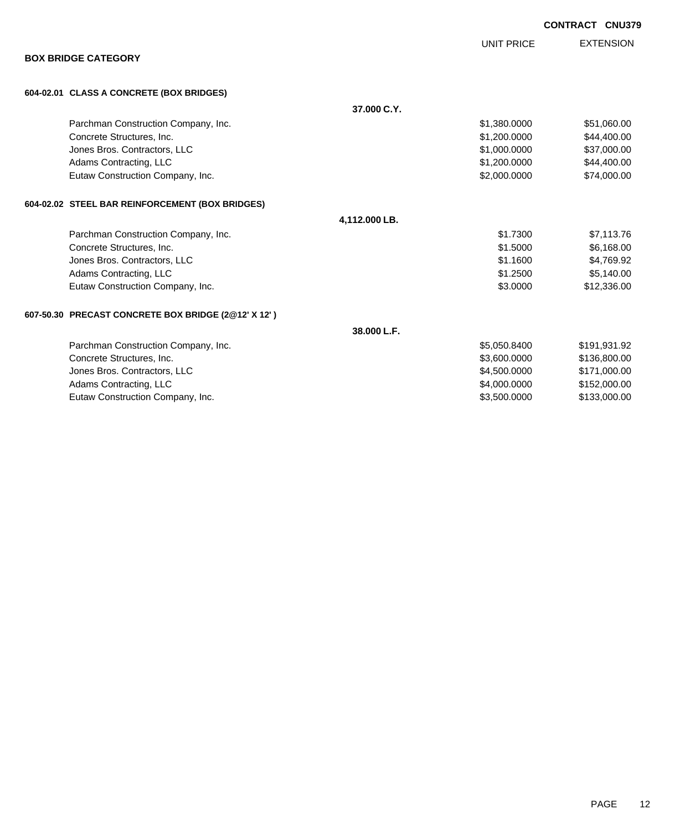|                                                     |               |                   | <b>CONTRACT CNU379</b> |                  |
|-----------------------------------------------------|---------------|-------------------|------------------------|------------------|
|                                                     |               | <b>UNIT PRICE</b> |                        | <b>EXTENSION</b> |
| <b>BOX BRIDGE CATEGORY</b>                          |               |                   |                        |                  |
| 604-02.01 CLASS A CONCRETE (BOX BRIDGES)            |               |                   |                        |                  |
|                                                     | 37.000 C.Y.   |                   |                        |                  |
| Parchman Construction Company, Inc.                 |               | \$1,380.0000      |                        | \$51,060.00      |
| Concrete Structures, Inc.                           |               | \$1,200.0000      |                        | \$44,400.00      |
| Jones Bros. Contractors, LLC                        |               | \$1,000.0000      |                        | \$37,000.00      |
| Adams Contracting, LLC                              |               | \$1,200.0000      |                        | \$44,400.00      |
| Eutaw Construction Company, Inc.                    |               | \$2,000.0000      |                        | \$74,000.00      |
| 604-02.02 STEEL BAR REINFORCEMENT (BOX BRIDGES)     |               |                   |                        |                  |
|                                                     | 4,112.000 LB. |                   |                        |                  |
| Parchman Construction Company, Inc.                 |               | \$1.7300          |                        | \$7,113.76       |
| Concrete Structures, Inc.                           |               | \$1,5000          |                        | \$6,168.00       |
| Jones Bros. Contractors, LLC                        |               | \$1.1600          |                        | \$4,769.92       |
| Adams Contracting, LLC                              |               | \$1,2500          |                        | \$5,140.00       |
| Eutaw Construction Company, Inc.                    |               | \$3.0000          |                        | \$12,336.00      |
| 607-50.30 PRECAST CONCRETE BOX BRIDGE (2@12' X 12') |               |                   |                        |                  |
|                                                     | 38.000 L.F.   |                   |                        |                  |
| Parchman Construction Company, Inc.                 |               | \$5,050.8400      |                        | \$191,931.92     |
| Concrete Structures, Inc.                           |               | \$3,600.0000      |                        | \$136,800.00     |
| Jones Bros. Contractors, LLC                        |               | \$4,500.0000      |                        | \$171,000.00     |
| Adams Contracting, LLC                              |               | \$4,000.0000      |                        | \$152,000.00     |
| Eutaw Construction Company, Inc.                    |               | \$3,500.0000      |                        | \$133,000.00     |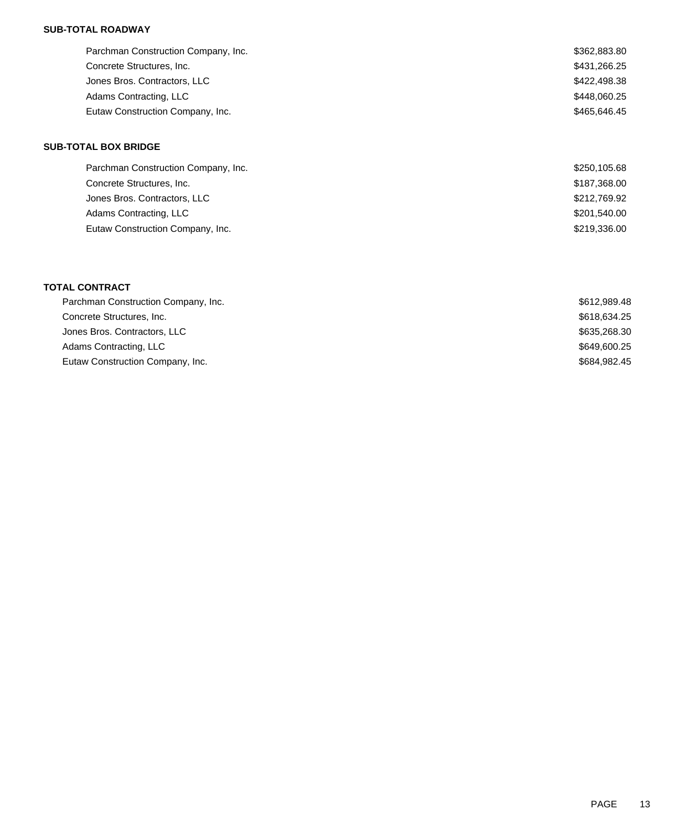### **SUB-TOTAL ROADWAY**

| Parchman Construction Company, Inc. | \$362,883.80 |
|-------------------------------------|--------------|
| Concrete Structures, Inc.           | \$431,266.25 |
| Jones Bros. Contractors, LLC        | \$422,498.38 |
| Adams Contracting, LLC              | \$448,060.25 |
| Eutaw Construction Company, Inc.    | \$465,646.45 |

### **SUB-TOTAL BOX BRIDGE**

| Parchman Construction Company, Inc. | \$250,105.68 |
|-------------------------------------|--------------|
| Concrete Structures, Inc.           | \$187,368.00 |
| Jones Bros. Contractors, LLC        | \$212,769.92 |
| Adams Contracting, LLC              | \$201,540.00 |
| Eutaw Construction Company, Inc.    | \$219,336.00 |

## **TOTAL CONTRACT**

| Parchman Construction Company, Inc. | \$612,989.48 |
|-------------------------------------|--------------|
| Concrete Structures, Inc.           | \$618,634.25 |
| Jones Bros. Contractors, LLC        | \$635,268.30 |
| Adams Contracting, LLC              | \$649,600.25 |
| Eutaw Construction Company, Inc.    | \$684,982.45 |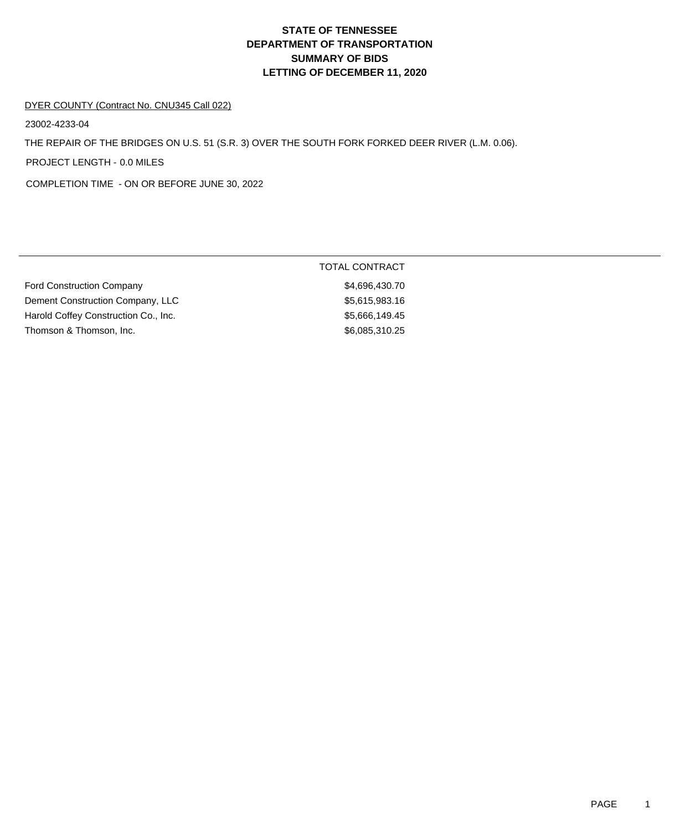# **DEPARTMENT OF TRANSPORTATION SUMMARY OF BIDS LETTING OF DECEMBER 11, 2020 STATE OF TENNESSEE**

#### DYER COUNTY (Contract No. CNU345 Call 022)

23002-4233-04

THE REPAIR OF THE BRIDGES ON U.S. 51 (S.R. 3) OVER THE SOUTH FORK FORKED DEER RIVER (L.M. 0.06).

PROJECT LENGTH - 0.0 MILES

COMPLETION TIME - ON OR BEFORE JUNE 30, 2022

|                                      | TOTAL CONTRACT |
|--------------------------------------|----------------|
| <b>Ford Construction Company</b>     | \$4,696,430.70 |
| Dement Construction Company, LLC     | \$5,615,983.16 |
| Harold Coffey Construction Co., Inc. | \$5,666,149.45 |
| Thomson & Thomson, Inc.              | \$6,085,310.25 |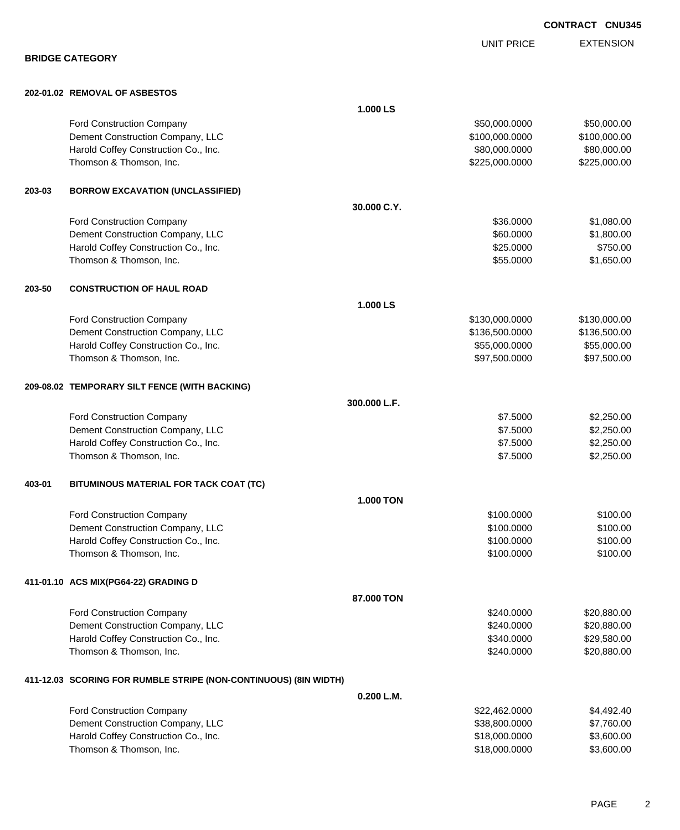|        |                                                                  |                  | <b>UNIT PRICE</b> | <b>EXTENSION</b> |
|--------|------------------------------------------------------------------|------------------|-------------------|------------------|
|        | <b>BRIDGE CATEGORY</b>                                           |                  |                   |                  |
|        | 202-01.02 REMOVAL OF ASBESTOS                                    |                  |                   |                  |
|        |                                                                  | 1.000 LS         |                   |                  |
|        | <b>Ford Construction Company</b>                                 |                  | \$50,000.0000     | \$50,000.00      |
|        | Dement Construction Company, LLC                                 |                  | \$100,000.0000    | \$100,000.00     |
|        | Harold Coffey Construction Co., Inc.                             |                  | \$80,000.0000     | \$80,000.00      |
|        | Thomson & Thomson, Inc.                                          |                  | \$225,000.0000    | \$225,000.00     |
| 203-03 | <b>BORROW EXCAVATION (UNCLASSIFIED)</b>                          |                  |                   |                  |
|        |                                                                  | 30.000 C.Y.      |                   |                  |
|        | <b>Ford Construction Company</b>                                 |                  | \$36.0000         | \$1,080.00       |
|        | Dement Construction Company, LLC                                 |                  | \$60.0000         | \$1,800.00       |
|        | Harold Coffey Construction Co., Inc.                             |                  | \$25.0000         | \$750.00         |
|        | Thomson & Thomson, Inc.                                          |                  | \$55.0000         | \$1,650.00       |
| 203-50 | <b>CONSTRUCTION OF HAUL ROAD</b>                                 |                  |                   |                  |
|        |                                                                  | 1.000 LS         |                   |                  |
|        | <b>Ford Construction Company</b>                                 |                  | \$130,000.0000    | \$130,000.00     |
|        | Dement Construction Company, LLC                                 |                  | \$136,500.0000    | \$136,500.00     |
|        | Harold Coffey Construction Co., Inc.                             |                  | \$55,000.0000     | \$55,000.00      |
|        | Thomson & Thomson, Inc.                                          |                  | \$97,500.0000     | \$97,500.00      |
|        | 209-08.02 TEMPORARY SILT FENCE (WITH BACKING)                    |                  |                   |                  |
|        |                                                                  | 300.000 L.F.     |                   |                  |
|        | Ford Construction Company                                        |                  | \$7.5000          | \$2,250.00       |
|        | Dement Construction Company, LLC                                 |                  | \$7.5000          | \$2,250.00       |
|        | Harold Coffey Construction Co., Inc.                             |                  | \$7.5000          | \$2,250.00       |
|        | Thomson & Thomson, Inc.                                          |                  | \$7.5000          | \$2,250.00       |
| 403-01 | BITUMINOUS MATERIAL FOR TACK COAT (TC)                           |                  |                   |                  |
|        |                                                                  | <b>1.000 TON</b> |                   |                  |
|        | <b>Ford Construction Company</b>                                 |                  | \$100.0000        | \$100.00         |
|        | Dement Construction Company, LLC                                 |                  | \$100.0000        | \$100.00         |
|        | Harold Coffey Construction Co., Inc.                             |                  | \$100.0000        | \$100.00         |
|        | Thomson & Thomson, Inc.                                          |                  | \$100.0000        | \$100.00         |
|        | 411-01.10 ACS MIX(PG64-22) GRADING D                             |                  |                   |                  |
|        |                                                                  | 87.000 TON       |                   |                  |
|        | <b>Ford Construction Company</b>                                 |                  | \$240.0000        | \$20,880.00      |
|        | Dement Construction Company, LLC                                 |                  | \$240.0000        | \$20,880.00      |
|        | Harold Coffey Construction Co., Inc.                             |                  | \$340.0000        | \$29,580.00      |
|        | Thomson & Thomson, Inc.                                          |                  | \$240.0000        | \$20,880.00      |
|        | 411-12.03 SCORING FOR RUMBLE STRIPE (NON-CONTINUOUS) (8IN WIDTH) |                  |                   |                  |
|        |                                                                  | 0.200 L.M.       |                   |                  |
|        | <b>Ford Construction Company</b>                                 |                  | \$22,462.0000     | \$4,492.40       |
|        | Dement Construction Company, LLC                                 |                  | \$38,800.0000     | \$7,760.00       |
|        | Harold Coffey Construction Co., Inc.                             |                  | \$18,000.0000     | \$3,600.00       |

Thomson & Thomson, Inc. 63,600.000 \$3,600.000 \$3,600.000 \$3,600.000 \$3,600.000 \$3,600.00

**CONTRACT CNU345**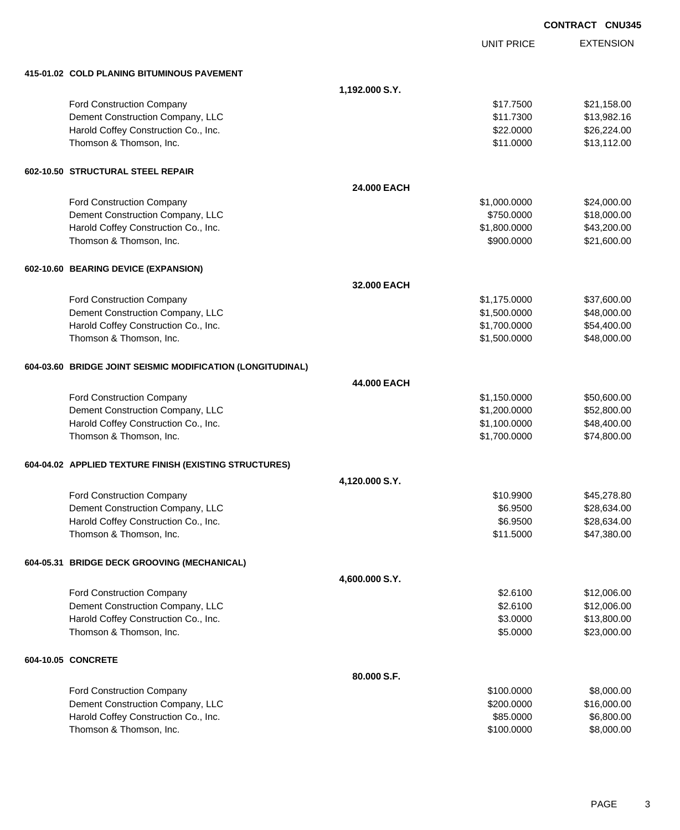|                                                                 |                |                         | <b>CONTRACT CNU345</b> |                          |
|-----------------------------------------------------------------|----------------|-------------------------|------------------------|--------------------------|
|                                                                 |                | <b>UNIT PRICE</b>       |                        | <b>EXTENSION</b>         |
| 415-01.02 COLD PLANING BITUMINOUS PAVEMENT                      |                |                         |                        |                          |
|                                                                 | 1,192.000 S.Y. |                         |                        |                          |
| Ford Construction Company                                       |                | \$17.7500               |                        | \$21,158.00              |
| Dement Construction Company, LLC                                |                | \$11.7300               |                        | \$13,982.16              |
| Harold Coffey Construction Co., Inc.                            |                | \$22.0000               |                        | \$26,224.00              |
| Thomson & Thomson, Inc.                                         |                | \$11.0000               |                        | \$13,112.00              |
| 602-10.50 STRUCTURAL STEEL REPAIR                               |                |                         |                        |                          |
|                                                                 | 24.000 EACH    |                         |                        |                          |
| Ford Construction Company                                       |                | \$1,000.0000            |                        | \$24,000.00              |
| Dement Construction Company, LLC                                |                | \$750.0000              |                        | \$18,000.00              |
| Harold Coffey Construction Co., Inc.                            |                | \$1,800.0000            |                        | \$43,200.00              |
| Thomson & Thomson, Inc.                                         |                | \$900.0000              |                        | \$21,600.00              |
| 602-10.60 BEARING DEVICE (EXPANSION)                            |                |                         |                        |                          |
|                                                                 | 32,000 EACH    |                         |                        |                          |
| Ford Construction Company                                       |                | \$1,175.0000            |                        | \$37,600.00              |
| Dement Construction Company, LLC                                |                | \$1,500.0000            |                        | \$48,000.00              |
| Harold Coffey Construction Co., Inc.                            |                | \$1,700.0000            |                        | \$54,400.00              |
| Thomson & Thomson, Inc.                                         |                | \$1,500.0000            |                        | \$48,000.00              |
| 604-03.60 BRIDGE JOINT SEISMIC MODIFICATION (LONGITUDINAL)      |                |                         |                        |                          |
|                                                                 | 44.000 EACH    |                         |                        |                          |
| Ford Construction Company                                       |                | \$1,150.0000            |                        | \$50,600.00              |
| Dement Construction Company, LLC                                |                | \$1,200.0000            |                        | \$52,800.00              |
| Harold Coffey Construction Co., Inc.                            |                | \$1,100.0000            |                        | \$48,400.00              |
| Thomson & Thomson, Inc.                                         |                | \$1,700.0000            |                        | \$74,800.00              |
| 604-04.02 APPLIED TEXTURE FINISH (EXISTING STRUCTURES)          |                |                         |                        |                          |
|                                                                 | 4,120.000 S.Y. |                         |                        |                          |
| Ford Construction Company                                       |                | \$10.9900               |                        | \$45,278.80              |
| Dement Construction Company, LLC                                |                | \$6.9500                |                        | \$28,634.00              |
| Harold Coffey Construction Co., Inc.                            |                | \$6.9500                |                        | \$28,634.00              |
| Thomson & Thomson, Inc.                                         |                | \$11.5000               |                        | \$47,380.00              |
| 604-05.31 BRIDGE DECK GROOVING (MECHANICAL)                     |                |                         |                        |                          |
|                                                                 | 4,600.000 S.Y. |                         |                        |                          |
| Ford Construction Company                                       |                | \$2.6100                |                        | \$12,006.00              |
| Dement Construction Company, LLC                                |                | \$2.6100                |                        | \$12,006.00              |
| Harold Coffey Construction Co., Inc.                            |                | \$3.0000                |                        | \$13,800.00              |
| Thomson & Thomson, Inc.                                         |                | \$5.0000                |                        | \$23,000.00              |
| 604-10.05 CONCRETE                                              |                |                         |                        |                          |
|                                                                 | 80.000 S.F.    |                         |                        |                          |
| Ford Construction Company                                       |                | \$100.0000              |                        | \$8,000.00               |
| Dement Construction Company, LLC                                |                | \$200.0000              |                        | \$16,000.00              |
| Harold Coffey Construction Co., Inc.<br>Thomson & Thomson, Inc. |                | \$85.0000<br>\$100.0000 |                        | \$6,800.00<br>\$8,000.00 |
|                                                                 |                |                         |                        |                          |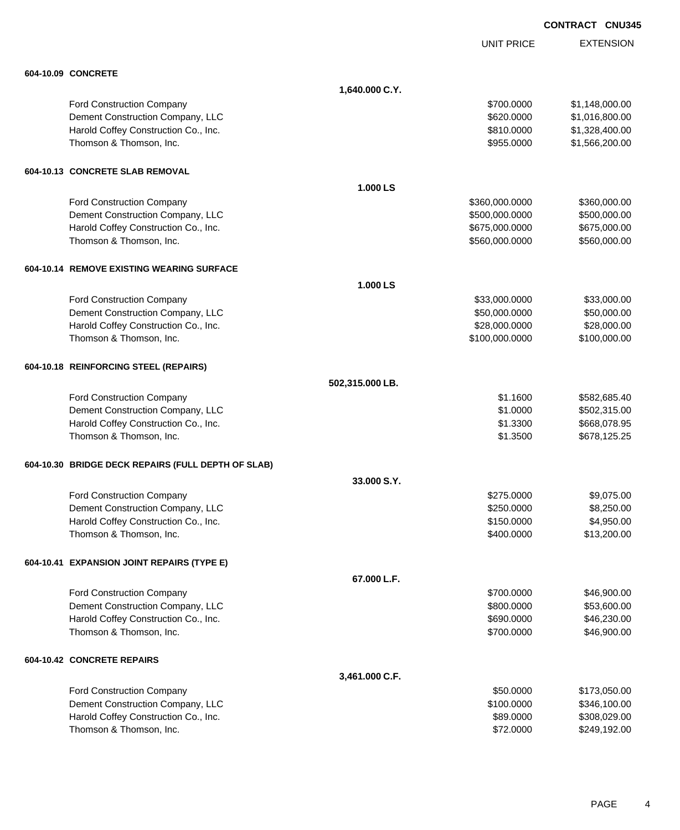UNIT PRICE EXTENSION

| 604-10.09 CONCRETE                                 |                 |                |                |
|----------------------------------------------------|-----------------|----------------|----------------|
|                                                    | 1,640.000 C.Y.  |                |                |
| Ford Construction Company                          |                 | \$700.0000     | \$1,148,000.00 |
| Dement Construction Company, LLC                   |                 | \$620.0000     | \$1,016,800.00 |
| Harold Coffey Construction Co., Inc.               |                 | \$810.0000     | \$1,328,400.00 |
| Thomson & Thomson, Inc.                            |                 | \$955.0000     | \$1,566,200.00 |
| 604-10.13 CONCRETE SLAB REMOVAL                    |                 |                |                |
|                                                    | 1.000 LS        |                |                |
| Ford Construction Company                          |                 | \$360,000.0000 | \$360,000.00   |
| Dement Construction Company, LLC                   |                 | \$500,000.0000 | \$500,000.00   |
| Harold Coffey Construction Co., Inc.               |                 | \$675,000.0000 | \$675,000.00   |
| Thomson & Thomson, Inc.                            |                 | \$560,000.0000 | \$560,000.00   |
| 604-10.14 REMOVE EXISTING WEARING SURFACE          |                 |                |                |
|                                                    | 1.000 LS        |                |                |
| Ford Construction Company                          |                 | \$33,000.0000  | \$33,000.00    |
| Dement Construction Company, LLC                   |                 | \$50,000.0000  | \$50,000.00    |
| Harold Coffey Construction Co., Inc.               |                 | \$28,000.0000  | \$28,000.00    |
| Thomson & Thomson, Inc.                            |                 | \$100,000.0000 | \$100,000.00   |
| 604-10.18 REINFORCING STEEL (REPAIRS)              |                 |                |                |
|                                                    | 502,315.000 LB. |                |                |
| <b>Ford Construction Company</b>                   |                 | \$1.1600       | \$582,685.40   |
| Dement Construction Company, LLC                   |                 | \$1.0000       | \$502,315.00   |
| Harold Coffey Construction Co., Inc.               |                 | \$1.3300       | \$668,078.95   |
| Thomson & Thomson, Inc.                            |                 | \$1.3500       | \$678,125.25   |
| 604-10.30 BRIDGE DECK REPAIRS (FULL DEPTH OF SLAB) |                 |                |                |
|                                                    | 33.000 S.Y.     |                |                |
| Ford Construction Company                          |                 | \$275.0000     | \$9,075.00     |
| Dement Construction Company, LLC                   |                 | \$250.0000     | \$8,250.00     |
| Harold Coffey Construction Co., Inc.               |                 | \$150.0000     | \$4,950.00     |
| Thomson & Thomson, Inc.                            |                 | \$400.0000     | \$13,200.00    |
| 604-10.41 EXPANSION JOINT REPAIRS (TYPE E)         |                 |                |                |
|                                                    | 67.000 L.F.     |                |                |
| Ford Construction Company                          |                 | \$700.0000     | \$46,900.00    |
| Dement Construction Company, LLC                   |                 | \$800.0000     | \$53,600.00    |
| Harold Coffey Construction Co., Inc.               |                 | \$690.0000     | \$46,230.00    |
| Thomson & Thomson, Inc.                            |                 | \$700.0000     | \$46,900.00    |
| 604-10.42 CONCRETE REPAIRS                         |                 |                |                |
|                                                    | 3,461.000 C.F.  |                |                |
| <b>Ford Construction Company</b>                   |                 | \$50.0000      | \$173,050.00   |
| Dement Construction Company, LLC                   |                 | \$100.0000     | \$346,100.00   |
| Harold Coffey Construction Co., Inc.               |                 | \$89.0000      | \$308,029.00   |
| Thomson & Thomson, Inc.                            |                 | \$72.0000      | \$249,192.00   |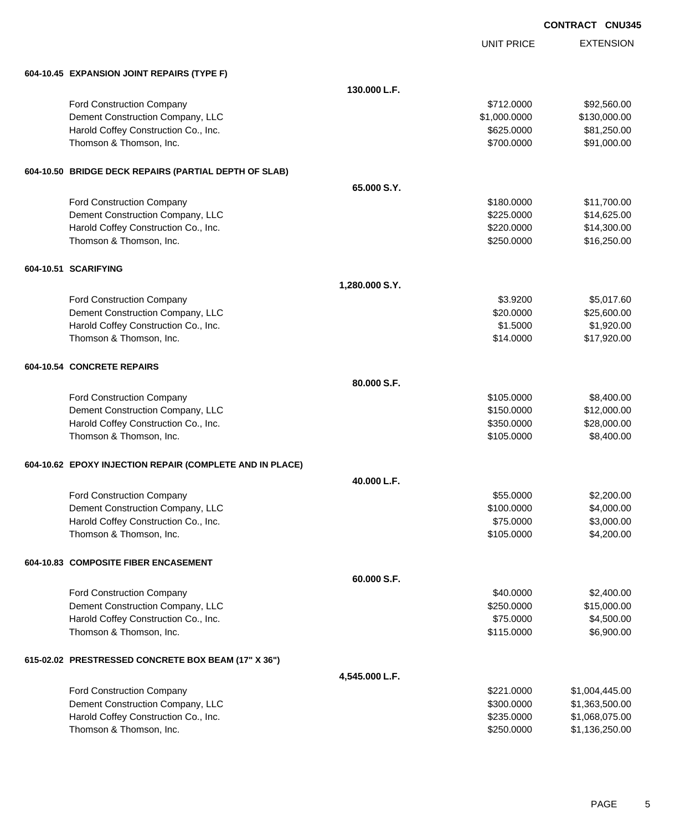UNIT PRICE EXTENSION

| 604-10.45 EXPANSION JOINT REPAIRS (TYPE F)               |                |              |                |
|----------------------------------------------------------|----------------|--------------|----------------|
|                                                          | 130.000 L.F.   |              |                |
| Ford Construction Company                                |                | \$712.0000   | \$92,560.00    |
| Dement Construction Company, LLC                         |                | \$1,000.0000 | \$130,000.00   |
| Harold Coffey Construction Co., Inc.                     |                | \$625.0000   | \$81,250.00    |
| Thomson & Thomson, Inc.                                  |                | \$700.0000   | \$91,000.00    |
| 604-10.50 BRIDGE DECK REPAIRS (PARTIAL DEPTH OF SLAB)    |                |              |                |
|                                                          | 65.000 S.Y.    |              |                |
| Ford Construction Company                                |                | \$180,0000   | \$11,700.00    |
| Dement Construction Company, LLC                         |                | \$225.0000   | \$14,625.00    |
| Harold Coffey Construction Co., Inc.                     |                | \$220.0000   | \$14,300.00    |
| Thomson & Thomson, Inc.                                  |                | \$250.0000   | \$16,250.00    |
| 604-10.51 SCARIFYING                                     |                |              |                |
|                                                          | 1,280.000 S.Y. |              |                |
| Ford Construction Company                                |                | \$3.9200     | \$5,017.60     |
| Dement Construction Company, LLC                         |                | \$20.0000    | \$25,600.00    |
| Harold Coffey Construction Co., Inc.                     |                | \$1.5000     | \$1,920.00     |
| Thomson & Thomson, Inc.                                  |                | \$14.0000    | \$17,920.00    |
| 604-10.54 CONCRETE REPAIRS                               |                |              |                |
|                                                          | 80.000 S.F.    |              |                |
| Ford Construction Company                                |                | \$105.0000   | \$8,400.00     |
| Dement Construction Company, LLC                         |                | \$150.0000   | \$12,000.00    |
| Harold Coffey Construction Co., Inc.                     |                | \$350.0000   | \$28,000.00    |
| Thomson & Thomson, Inc.                                  |                | \$105.0000   | \$8,400.00     |
| 604-10.62 EPOXY INJECTION REPAIR (COMPLETE AND IN PLACE) |                |              |                |
|                                                          | 40.000 L.F.    |              |                |
| Ford Construction Company                                |                | \$55.0000    | \$2,200.00     |
| Dement Construction Company, LLC                         |                | \$100.0000   | \$4,000.00     |
| Harold Coffey Construction Co., Inc.                     |                | \$75.0000    | \$3,000.00     |
| Thomson & Thomson, Inc.                                  |                | \$105.0000   | \$4,200.00     |
| 604-10.83 COMPOSITE FIBER ENCASEMENT                     |                |              |                |
|                                                          | 60.000 S.F.    |              |                |
| <b>Ford Construction Company</b>                         |                | \$40.0000    | \$2,400.00     |
| Dement Construction Company, LLC                         |                | \$250.0000   | \$15,000.00    |
| Harold Coffey Construction Co., Inc.                     |                | \$75.0000    | \$4,500.00     |
| Thomson & Thomson, Inc.                                  |                | \$115.0000   | \$6,900.00     |
| 615-02.02 PRESTRESSED CONCRETE BOX BEAM (17" X 36")      |                |              |                |
|                                                          | 4,545.000 L.F. |              |                |
| Ford Construction Company                                |                | \$221.0000   | \$1,004,445.00 |
| Dement Construction Company, LLC                         |                | \$300.0000   | \$1,363,500.00 |
| Harold Coffey Construction Co., Inc.                     |                | \$235.0000   | \$1,068,075.00 |
| Thomson & Thomson, Inc.                                  |                | \$250.0000   | \$1,136,250.00 |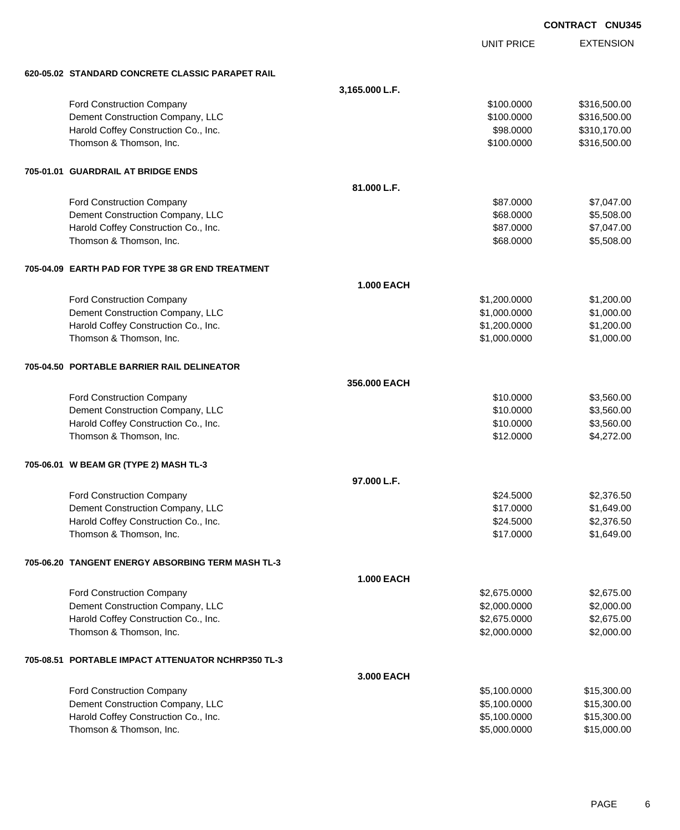EXTENSION **CONTRACT CNU345** UNIT PRICE **620-05.02 STANDARD CONCRETE CLASSIC PARAPET RAIL 3,165.000 L.F.** Ford Construction Company **6100.000 \$316,500.00** \$316,500.00 Dement Construction Company, LLC **but a state of the state of the state of the state of the state of the state of the state of the state of the state of the state of the state of the state of the state of the state of the** Harold Coffey Construction Co., Inc. 6. 2000 \$310,170.00 Thomson & Thomson, Inc. 6. The matrix of the state of the state of the state of the state of the state of the state of the state of the state of the state of the state of the state of the state of the state of the state of **705-01.01 GUARDRAIL AT BRIDGE ENDS 81.000 L.F.** Ford Construction Company 687.047.00 Dement Construction Company, LLC 68.0000 \$5,508.00 Harold Coffey Construction Co., Inc. 6. 2012 12:00 \$7,047.00 \$87.0000 \$7,047.00 Thomson & Thomson, Inc. 68.0000 \$5,508.00 **705-04.09 EARTH PAD FOR TYPE 38 GR END TREATMENT 1.000 EACH** Ford Construction Company 61,200.000 \$1,200.000 \$1,200.000 \$1,200.000 \$1,200.000 \$1,200.00 Dement Construction Company, LLC  $$1,000.000$   $$1,000.000$   $$1,000.00$ Harold Coffey Construction Co., Inc. 6. The Construction Co., Inc. 6. The Construction Co., Inc. 6. The Const Thomson & Thomson, Inc. 6. The matrix of the state of the state of the state of the state of the state of the state of the state of the state of the state of the state of the state of the state of the state of the state of **705-04.50 PORTABLE BARRIER RAIL DELINEATOR 356.000 EACH** Ford Construction Company 63,560.00 Dement Construction Company, LLC 6 and the state of the state of the state of the state of the state of the state of the state of the state of the state of the state of the state of the state of the state of the state of t Harold Coffey Construction Co., Inc. 6. The Construction Co., Inc. \$10.0000 \$3,560.00 Thomson & Thomson, Inc. 6. The Contract of the Contract of the Contract of the Contract of the Contract of the S4,272.000 \$4,272.00 **705-06.01 W BEAM GR (TYPE 2) MASH TL-3 97.000 L.F.** Ford Construction Company 62,376.50 Dement Construction Company, LLC 6. The construction Company, LLC 6. The construction Company, LLC Harold Coffey Construction Co., Inc. 6. The Construction Co., Inc. \$2,376.50 Thomson & Thomson, Inc. \$17.0000 \$1,649.00 **705-06.20 TANGENT ENERGY ABSORBING TERM MASH TL-3 1.000 EACH** Ford Construction Company 62,675.000 \$2,675.000 \$2,675.000 \$2,675.000 \$2,675.000 \$2,675.00 Dement Construction Company, LLC 6.000.000 \$2,000.000 \$2,000.000 \$2,000.000 \$2,000.000 \$2,000.00 Harold Coffey Construction Co., Inc. 6. 2012. The state of the state of the state of the state of the state of the state of the state of the state of the state of the state of the state of the state of the state of the sta Thomson & Thomson, Inc. 6. The matrix of the state of the state of the state of the state of the state of the state of the state of the state of the state of the state of the state of the state of the state of the state of **705-08.51 PORTABLE IMPACT ATTENUATOR NCHRP350 TL-3 3.000 EACH** Ford Construction Company 65,100.0000 \$15,300.00 Dement Construction Company, LLC 6.6 and the state of the state of the state of the state of the state of the state of the state of the state of the state of the state of the state of the state of the state of the state of Harold Coffey Construction Co., Inc. 6. 2002. [20] National Corresponding to the state of the state of the state of the state of the state of the state of the state of the state of the state of the state of the state of th

Thomson & Thomson, Inc. 6. The matrix of the state of the state of the state of the state of the state of the state of the state of the state of the state of the state of the state of the state of the state of the state of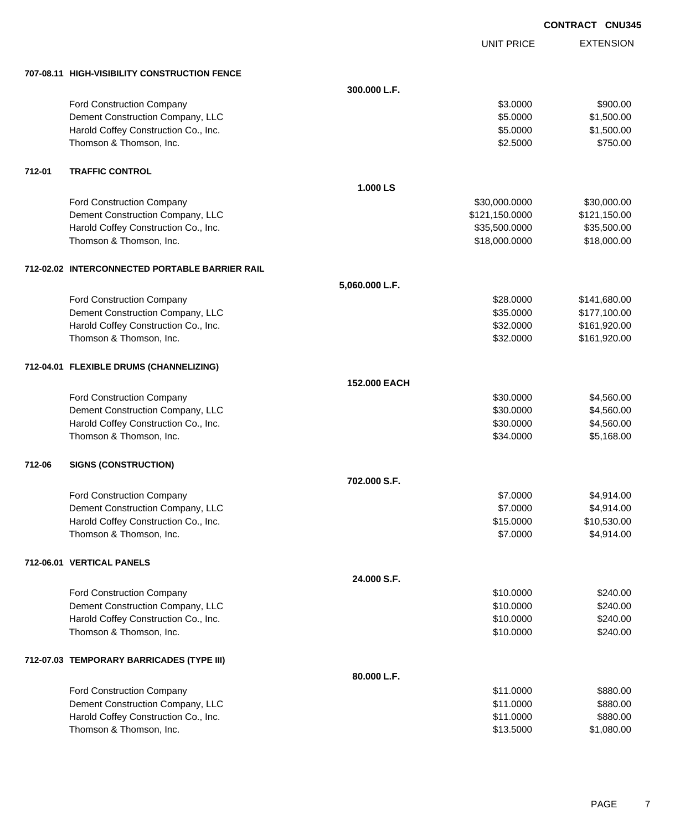| <b>CONTRACT</b> | <b>CNU345</b> |
|-----------------|---------------|
|                 |               |

UNIT PRICE

EXTENSION

|        | 707-08.11 HIGH-VISIBILITY CONSTRUCTION FENCE   |                |                |              |
|--------|------------------------------------------------|----------------|----------------|--------------|
|        |                                                | 300.000 L.F.   |                |              |
|        | <b>Ford Construction Company</b>               |                | \$3.0000       | \$900.00     |
|        | Dement Construction Company, LLC               |                | \$5.0000       | \$1,500.00   |
|        | Harold Coffey Construction Co., Inc.           |                | \$5.0000       | \$1,500.00   |
|        | Thomson & Thomson, Inc.                        |                | \$2.5000       | \$750.00     |
| 712-01 | <b>TRAFFIC CONTROL</b>                         |                |                |              |
|        |                                                | 1.000 LS       |                |              |
|        | <b>Ford Construction Company</b>               |                | \$30,000.0000  | \$30,000.00  |
|        | Dement Construction Company, LLC               |                | \$121,150.0000 | \$121,150.00 |
|        | Harold Coffey Construction Co., Inc.           |                | \$35,500.0000  | \$35,500.00  |
|        | Thomson & Thomson, Inc.                        |                | \$18,000.0000  | \$18,000.00  |
|        | 712-02.02 INTERCONNECTED PORTABLE BARRIER RAIL |                |                |              |
|        |                                                | 5,060.000 L.F. |                |              |
|        | <b>Ford Construction Company</b>               |                | \$28.0000      | \$141,680.00 |
|        | Dement Construction Company, LLC               |                | \$35.0000      | \$177,100.00 |
|        | Harold Coffey Construction Co., Inc.           |                | \$32.0000      | \$161,920.00 |
|        | Thomson & Thomson, Inc.                        |                | \$32.0000      | \$161,920.00 |
|        | 712-04.01 FLEXIBLE DRUMS (CHANNELIZING)        |                |                |              |
|        |                                                | 152.000 EACH   |                |              |
|        | <b>Ford Construction Company</b>               |                | \$30.0000      | \$4,560.00   |
|        | Dement Construction Company, LLC               |                | \$30.0000      | \$4,560.00   |
|        | Harold Coffey Construction Co., Inc.           |                | \$30.0000      | \$4,560.00   |
|        | Thomson & Thomson, Inc.                        |                | \$34.0000      | \$5,168.00   |
| 712-06 | <b>SIGNS (CONSTRUCTION)</b>                    |                |                |              |
|        |                                                | 702.000 S.F.   |                |              |
|        | <b>Ford Construction Company</b>               |                | \$7.0000       | \$4,914.00   |
|        | Dement Construction Company, LLC               |                | \$7.0000       | \$4,914.00   |
|        | Harold Coffey Construction Co., Inc.           |                | \$15.0000      | \$10,530.00  |
|        | Thomson & Thomson, Inc.                        |                | \$7.0000       | \$4,914.00   |
|        | 712-06.01 VERTICAL PANELS                      |                |                |              |
|        |                                                | 24.000 S.F.    |                |              |
|        | Ford Construction Company                      |                | \$10.0000      | \$240.00     |
|        | Dement Construction Company, LLC               |                | \$10.0000      | \$240.00     |
|        | Harold Coffey Construction Co., Inc.           |                | \$10.0000      | \$240.00     |
|        | Thomson & Thomson, Inc.                        |                | \$10.0000      | \$240.00     |
|        | 712-07.03 TEMPORARY BARRICADES (TYPE III)      |                |                |              |
|        |                                                | 80.000 L.F.    |                |              |
|        | Ford Construction Company                      |                | \$11.0000      | \$880.00     |
|        | Dement Construction Company, LLC               |                | \$11.0000      | \$880.00     |
|        | Harold Coffey Construction Co., Inc.           |                | \$11.0000      | \$880.00     |
|        | Thomson & Thomson, Inc.                        |                | \$13.5000      | \$1,080.00   |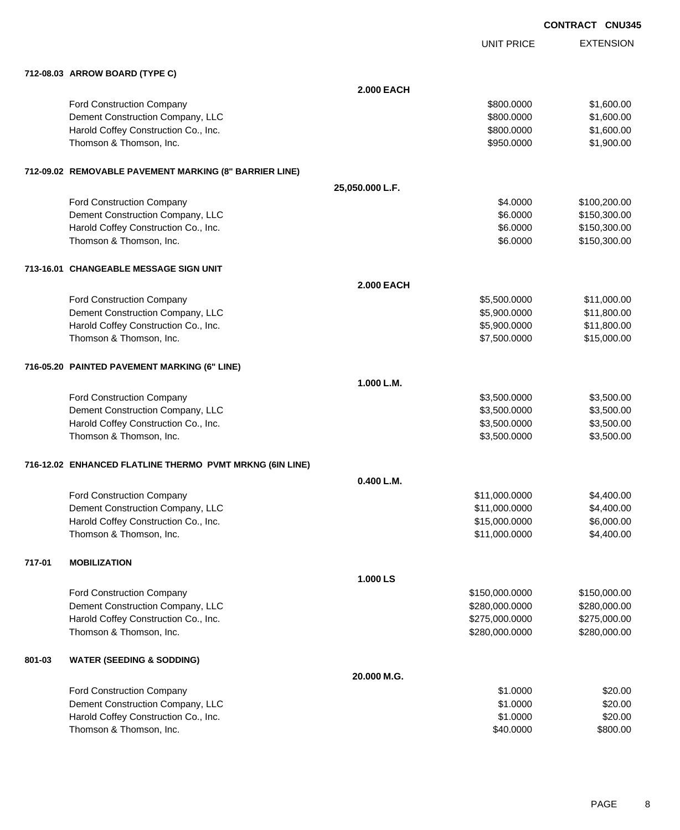| <b>CONTRACT CNU345</b> |  |
|------------------------|--|
|                        |  |

EXTENSION UNIT PRICE **712-08.03 ARROW BOARD (TYPE C) 2.000 EACH** Ford Construction Company 6800.000 \$1,600.00 Dement Construction Company, LLC 600.000 \$1,600.000 \$1,600.000 \$1,600.000 Harold Coffey Construction Co., Inc. 6. The Construction Co., Inc. 6. The Construction Co., Inc. 6. The Const Thomson & Thomson, Inc. 6. The matrix of the state of the state of the state of the state of the state of the state of the state of the state of the state of the state of the state of the state of the state of the state of **712-09.02 REMOVABLE PAVEMENT MARKING (8" BARRIER LINE) 25,050.000 L.F.** Ford Construction Company 64.0000 \$100,200.00 Dement Construction Company, LLC and the construction Company, LLC and the construction Company, LLC Harold Coffey Construction Co., Inc. 6. 2000 \$150,300.00 \$150,300.00 Thomson & Thomson, Inc. 6. The matrix of the state of the state of the state of the state of the state of the state of the state of the state of the state of the state of the state of the state of the state of the state of **713-16.01 CHANGEABLE MESSAGE SIGN UNIT 2.000 EACH** Ford Construction Company **65,500.000** \$11,000.00 Dement Construction Company, LLC 600000 \$11,800.000 \$11,800.000 \$11,800.00 Harold Coffey Construction Co., Inc. 6. The Construction Co., Inc. \$5,900.000 \$11,800.00 Thomson & Thomson, Inc. 6. The matrix of the state of the state of the state of the state of the state of the state of the state of the state of the state of the state of the state of the state of the state of the state of **716-05.20 PAINTED PAVEMENT MARKING (6" LINE) 1.000 L.M.** Ford Construction Company 63,500.000 \$3,500.000 \$3,500.000 \$3,500.000 \$3,500.000 \$3,500.00 Dement Construction Company, LLC 6 and the state of the state of the state  $$3,500.000$  \$3,500.000 \$3,500.00 Harold Coffey Construction Co., Inc. 6. 2012. The state of the state of the state of the state of the state of the state of the state of the state of the state of the state of the state of the state of the state of the sta Thomson & Thomson, Inc. 6. The state of the state of the state of the state of the state of the state of the state of the state of the state of the state of the state of the state of the state of the state of the state of **716-12.02 ENHANCED FLATLINE THERMO PVMT MRKNG (6IN LINE) 0.400 L.M.** Ford Construction Company 64,400.00 \$4,400.00 \$4,400.00 \$4,400.00 \$54,400.00 \$54,400.00 \$54,400.00 Dement Construction Company, LLC 6. The construction Company, LLC 6. The construction Company, LLC 6. The construction of the construction of the construction Company, LLC 6. The construction of the construction of the con Harold Coffey Construction Co., Inc. 6. 2000.000 \$6,000.000 \$6,000.000 \$6,000.000 \$6,000.00 Thomson & Thomson, Inc. 6. The matrix of the state of the state of the state of the state of the state of the state of the state of the state of the state of the state of the state of the state of the state of the state of **717-01 MOBILIZATION 1.000 LS** Ford Construction Company 6150,000 \$150,000 \$150,000 \$150,000 \$150,000 \$150,000.000 Dement Construction Company, LLC 6. 2000.000 \$280,000.000 \$280,000.000 \$280,000.000 \$280,000.00 Harold Coffey Construction Co., Inc. 6. 2012 12:00:000 \$275,000.000 \$275,000.000 \$275,000.00 Thomson & Thomson, Inc. 6. The matrix of the state of the state of the state of the state of the state of the state of the state of the state of the state of the state of the state of the state of the state of the state of **801-03 WATER (SEEDING & SODDING) 20.000 M.G.** Ford Construction Company 620.00 \$20.00 Dement Construction Company, LLC 6 and the state of the state of the state  $$1.0000$  \$20.00 Harold Coffey Construction Co., Inc. 6. The Construction Co., Inc. 6. The Construction Co., Inc. 6. The Const Thomson & Thomson, Inc. 66 (1992) 2008 12:00 12:00 12:00 12:00 12:00 12:00 12:00 12:00 12:00 12:00 12:00 12:00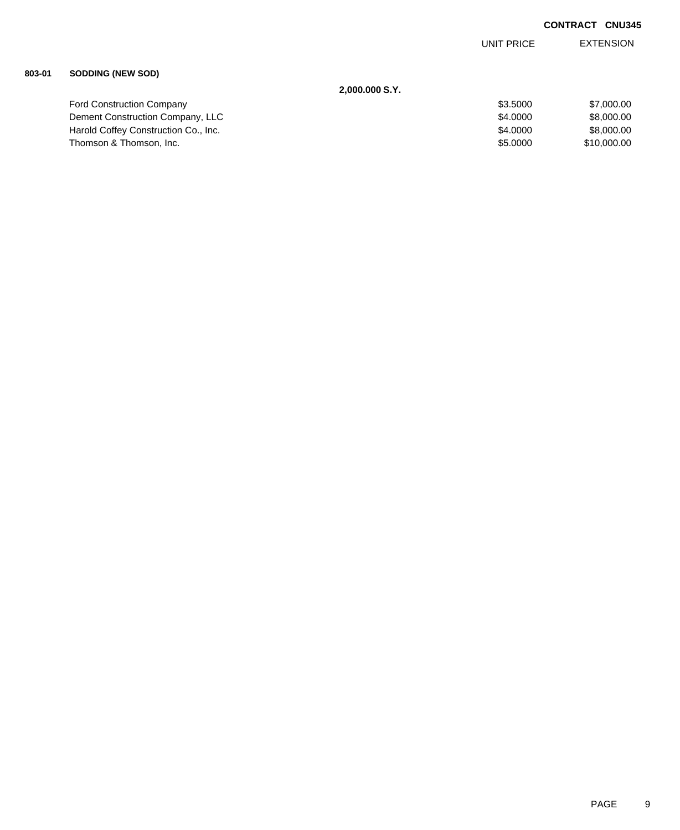EXTENSION UNIT PRICE

### **803-01 SODDING (NEW SOD)**

| 2,000.000 S.Y.                       |          |             |
|--------------------------------------|----------|-------------|
| <b>Ford Construction Company</b>     | \$3,5000 | \$7,000.00  |
| Dement Construction Company, LLC     | \$4,0000 | \$8,000.00  |
| Harold Coffey Construction Co., Inc. | \$4,0000 | \$8,000,00  |
| Thomson & Thomson, Inc.              | \$5,0000 | \$10,000,00 |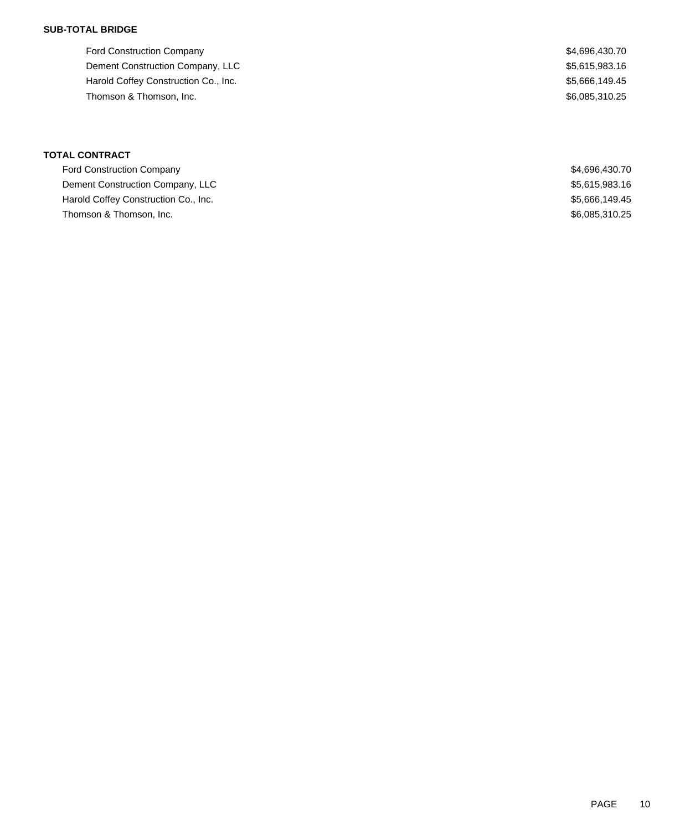### **SUB-TOTAL BRIDGE**

Ford Construction Company \$4,696,430.70 Dement Construction Company, LLC 6.615,983.16 Harold Coffey Construction Co., Inc. 6. The Construction Co., Inc. 6. The Construction Co., Inc. 6. The Construction Co., Inc. 6. The Construction Co., Inc. 6. The Construction Co., Inc. 6. The Construction Co., Inc. 6. Th Thomson & Thomson, Inc. 6. Thomson, Inc. 6. The Thomson & Thomson, Inc. 6. The Thomson & Thomson, Inc. 6. The Thomson  $\frac{1}{2}$ 

| <b>Ford Construction Company</b>     | \$4,696,430.70 |
|--------------------------------------|----------------|
| Dement Construction Company, LLC     | \$5,615,983.16 |
| Harold Coffey Construction Co., Inc. | \$5,666,149.45 |
| Thomson & Thomson, Inc.              | \$6,085,310.25 |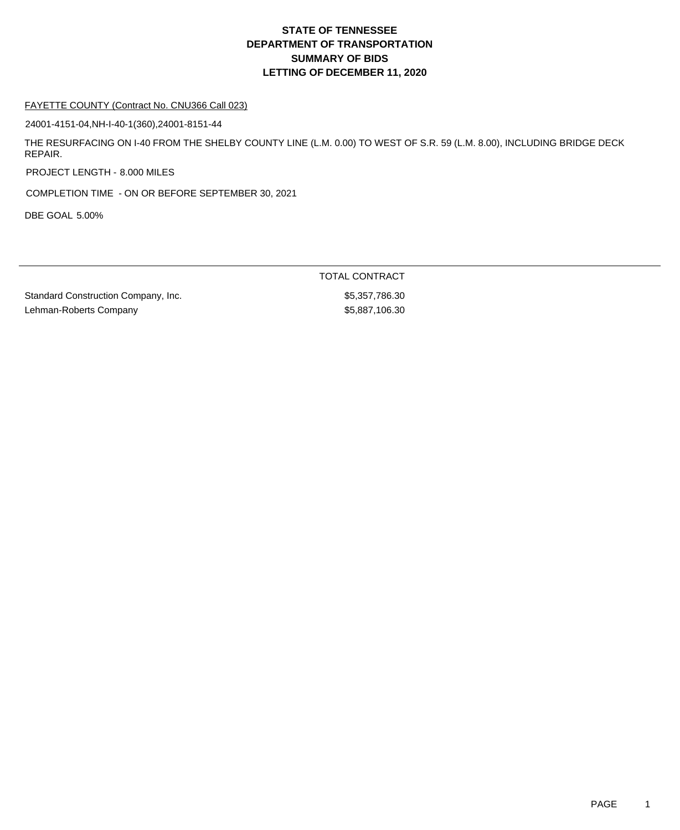#### FAYETTE COUNTY (Contract No. CNU366 Call 023)

24001-4151-04,NH-I-40-1(360),24001-8151-44

THE RESURFACING ON I-40 FROM THE SHELBY COUNTY LINE (L.M. 0.00) TO WEST OF S.R. 59 (L.M. 8.00), INCLUDING BRIDGE DECK REPAIR.

PROJECT LENGTH - 8.000 MILES

COMPLETION TIME - ON OR BEFORE SEPTEMBER 30, 2021

DBE GOAL 5.00%

TOTAL CONTRACT

Standard Construction Company, Inc. 6. The Standard Construction Company, Inc. 6. The Standard Standard Standard Lehman-Roberts Company **65,887,106.30**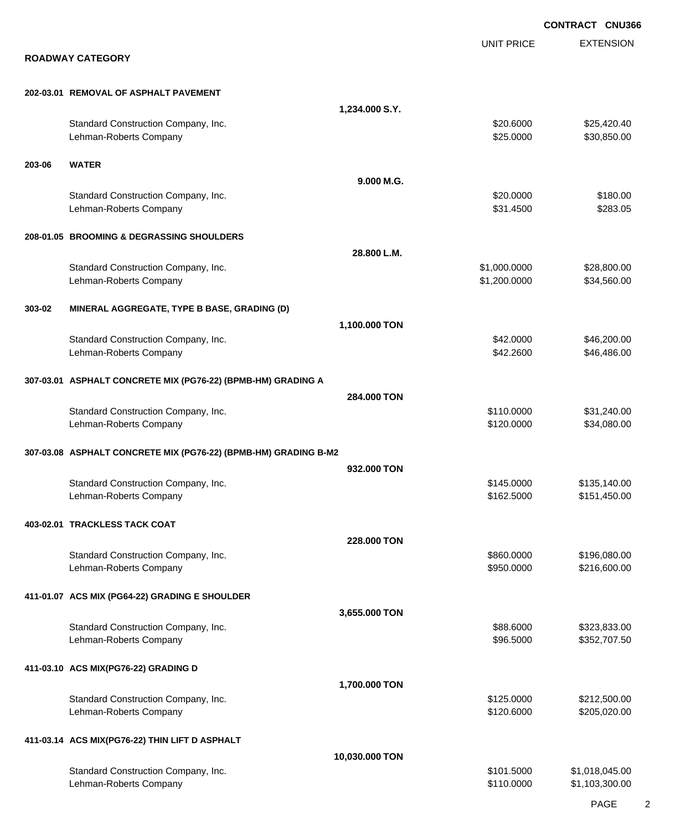|        |                                                                 |                |                        | <b>CONTRACT CNU366</b>     |
|--------|-----------------------------------------------------------------|----------------|------------------------|----------------------------|
|        |                                                                 |                | <b>UNIT PRICE</b>      | <b>EXTENSION</b>           |
|        | <b>ROADWAY CATEGORY</b>                                         |                |                        |                            |
|        | 202-03.01 REMOVAL OF ASPHALT PAVEMENT                           |                |                        |                            |
|        |                                                                 | 1,234.000 S.Y. |                        |                            |
|        | Standard Construction Company, Inc.<br>Lehman-Roberts Company   |                | \$20.6000<br>\$25.0000 | \$25,420.40<br>\$30,850.00 |
| 203-06 | <b>WATER</b>                                                    |                |                        |                            |
|        |                                                                 | 9.000 M.G.     |                        |                            |
|        | Standard Construction Company, Inc.                             |                | \$20.0000              | \$180.00                   |
|        | Lehman-Roberts Company                                          |                | \$31.4500              | \$283.05                   |
|        | 208-01.05 BROOMING & DEGRASSING SHOULDERS                       |                |                        |                            |
|        |                                                                 | 28.800 L.M.    |                        |                            |
|        | Standard Construction Company, Inc.                             |                | \$1,000.0000           | \$28,800.00                |
|        | Lehman-Roberts Company                                          |                | \$1,200.0000           | \$34,560.00                |
| 303-02 | MINERAL AGGREGATE, TYPE B BASE, GRADING (D)                     |                |                        |                            |
|        |                                                                 | 1,100.000 TON  |                        |                            |
|        | Standard Construction Company, Inc.                             |                | \$42.0000              | \$46,200.00                |
|        | Lehman-Roberts Company                                          |                | \$42.2600              | \$46,486.00                |
|        | 307-03.01 ASPHALT CONCRETE MIX (PG76-22) (BPMB-HM) GRADING A    |                |                        |                            |
|        |                                                                 | 284,000 TON    |                        |                            |
|        | Standard Construction Company, Inc.                             |                | \$110.0000             | \$31,240.00                |
|        | Lehman-Roberts Company                                          |                | \$120.0000             | \$34,080.00                |
|        | 307-03.08 ASPHALT CONCRETE MIX (PG76-22) (BPMB-HM) GRADING B-M2 |                |                        |                            |
|        |                                                                 | 932.000 TON    |                        |                            |
|        | Standard Construction Company, Inc.                             |                | \$145.0000             | \$135,140.00               |
|        | Lehman-Roberts Company                                          |                | \$162.5000             | \$151,450.00               |
|        | 403-02.01 TRACKLESS TACK COAT                                   |                |                        |                            |
|        |                                                                 | 228.000 TON    |                        |                            |
|        | Standard Construction Company, Inc.                             |                | \$860.0000             | \$196,080.00               |
|        | Lehman-Roberts Company                                          |                | \$950.0000             | \$216,600.00               |
|        | 411-01.07 ACS MIX (PG64-22) GRADING E SHOULDER                  |                |                        |                            |
|        |                                                                 | 3,655.000 TON  |                        |                            |
|        | Standard Construction Company, Inc.                             |                | \$88.6000              | \$323,833.00               |
|        | Lehman-Roberts Company                                          |                | \$96.5000              | \$352,707.50               |
|        | 411-03.10 ACS MIX(PG76-22) GRADING D                            |                |                        |                            |
|        |                                                                 | 1,700.000 TON  |                        |                            |
|        | Standard Construction Company, Inc.                             |                | \$125.0000             | \$212,500.00               |
|        | Lehman-Roberts Company                                          |                | \$120.6000             | \$205,020.00               |
|        | 411-03.14 ACS MIX(PG76-22) THIN LIFT D ASPHALT                  |                |                        |                            |
|        |                                                                 | 10,030.000 TON |                        |                            |
|        |                                                                 |                | \$101.5000             | \$1,018,045.00             |
|        | Standard Construction Company, Inc.<br>Lehman-Roberts Company   |                | \$110.0000             | \$1,103,300.00             |
|        |                                                                 |                |                        |                            |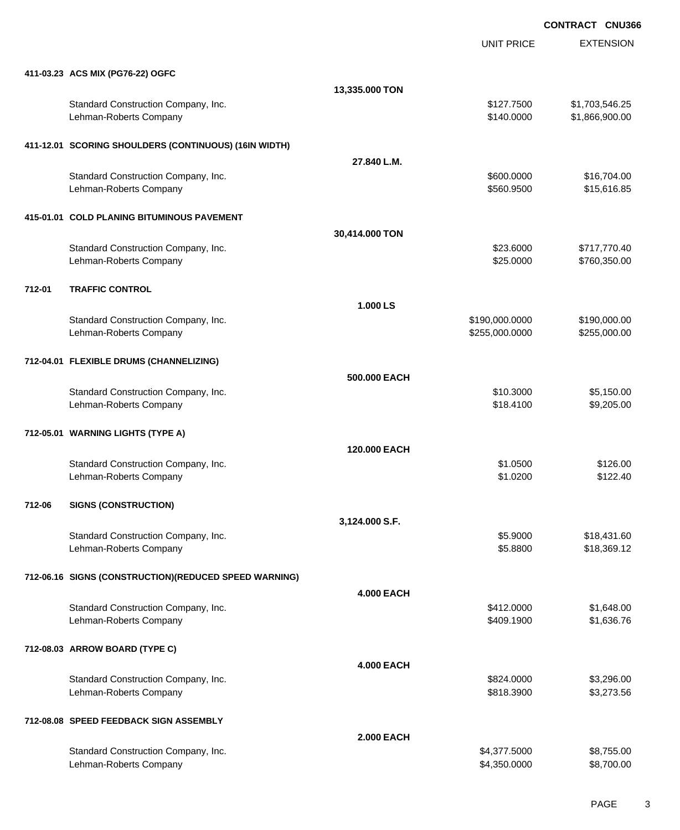EXTENSION **CONTRACT CNU366** UNIT PRICE **411-03.23 ACS MIX (PG76-22) OGFC 13,335.000 TON** Standard Construction Company, Inc. 6. The Construction Company, Inc. 6. The Construction Company, Inc. 6. The Construction Company, Inc. 6. The Construction Company, Inc. 6. The Construction Company, Inc. 6. The Construct Lehman-Roberts Company \$140.0000 \$1,866,900.00 **411-12.01 SCORING SHOULDERS (CONTINUOUS) (16IN WIDTH) 27.840 L.M.** Standard Construction Company, Inc. 600000 \$16,704.00 Lehman-Roberts Company \$560.9500 \$15,616.85 **415-01.01 COLD PLANING BITUMINOUS PAVEMENT 30,414.000 TON** Standard Construction Company, Inc. 6. The Construction Company, Inc. 6. The Construction Company, Inc. 6. The Construction Company, Inc. 6. The Construction Company, Inc. 6. The Construction Company, Inc. 6. The Construct Lehman-Roberts Company **\$25.000** \$760,350.00 **1.000 LS** Standard Construction Company, Inc. 6. 2008. The standard Construction Company, Inc. 6. 2010.000 \$190,000.000 \$190,000.00 Lehman-Roberts Company 6255,000 and the company state of the company for the company for the state of the company for the company for the company of the company for the company for the company of the company of the company **712-04.01 FLEXIBLE DRUMS (CHANNELIZING) 500.000 EACH** Standard Construction Company, Inc. 6. 1999 1. 1999 1. 1999 1. 1999 1. 1999 1. 1999 1. 1999 1. 1999 1. 1999 1. 1999 1. 1999 1. 1999 1. 1999 1. 1999 1. 1999 1. 1999 1. 1999 1. 1999 1. 1999 1. 1999 1. 1999 1. 1999 1. 1999 1. Lehman-Roberts Company **618.4100** \$9,205.00 **712-05.01 WARNING LIGHTS (TYPE A) 120.000 EACH** Standard Construction Company, Inc. 6. 2008 6.00 \$1.0500 \$1.0500 \$1.0500 \$126.00 Lehman-Roberts Company 6122.40

### **712-06 SIGNS (CONSTRUCTION)**

**712-01 TRAFFIC CONTROL**

**3,124.000 S.F.** Standard Construction Company, Inc. 6. The Standard Construction Company, Inc. 6. The Standard Construction Company, Inc. 6. The Standard Standard Standard Standard Standard Standard Standard Standard Standard Standard Sta Lehman-Roberts Company **\$18,369.12 Company** \$5.8800 \$18,369.12 **712-06.16 SIGNS (CONSTRUCTION)(REDUCED SPEED WARNING) 4.000 EACH** Standard Construction Company, Inc. 6. The Construction Company, Inc. 6. The Construction Company, Inc. 6. The Construction Company, Inc. 6. The Construction Company, Inc. 6. The Construction Company, Inc. 6. The Construct Lehman-Roberts Company 61,636.76 **712-08.03 ARROW BOARD (TYPE C) 4.000 EACH** Standard Construction Company, Inc. 6. The Construction Company, Inc. 6. The Construction Company, Inc. 6. The Construction Company, Inc. 6. The Construction Company, Inc. 6. The Construction Company, Inc. 6. The Construct Lehman-Roberts Company **6818.3900** \$3,273.56 **712-08.08 SPEED FEEDBACK SIGN ASSEMBLY**

|                                     | <b>2.000 EACH</b> |              |            |
|-------------------------------------|-------------------|--------------|------------|
| Standard Construction Company, Inc. |                   | \$4.377.5000 | \$8,755.00 |
| Lehman-Roberts Company              |                   | \$4.350.0000 | \$8,700.00 |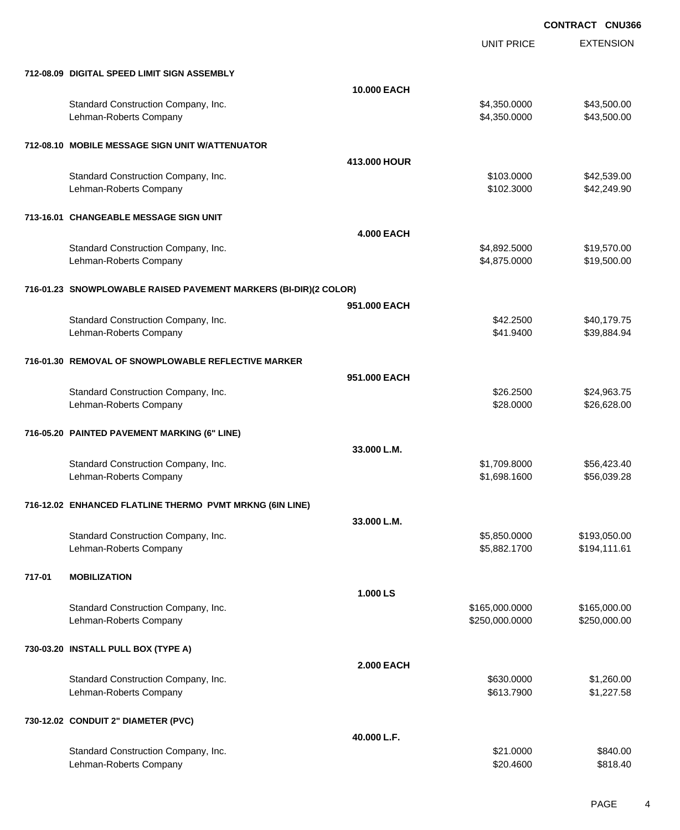UNIT PRICE EXTENSION

|  | 712-08.09 DIGITAL SPEED LIMIT SIGN ASSEMBLY |  |
|--|---------------------------------------------|--|

|        | 712-08.09 DIGITAL SPEED LIMIT SIGN ASSEMBLY                      |                   |                                  |                              |
|--------|------------------------------------------------------------------|-------------------|----------------------------------|------------------------------|
|        |                                                                  | 10.000 EACH       |                                  |                              |
|        | Standard Construction Company, Inc.<br>Lehman-Roberts Company    |                   | \$4,350.0000<br>\$4,350.0000     | \$43,500.00<br>\$43,500.00   |
|        | 712-08.10 MOBILE MESSAGE SIGN UNIT W/ATTENUATOR                  |                   |                                  |                              |
|        |                                                                  | 413,000 HOUR      |                                  |                              |
|        | Standard Construction Company, Inc.                              |                   | \$103.0000                       | \$42,539.00                  |
|        | Lehman-Roberts Company                                           |                   | \$102.3000                       | \$42,249.90                  |
|        | 713-16.01 CHANGEABLE MESSAGE SIGN UNIT                           |                   |                                  |                              |
|        |                                                                  | <b>4.000 EACH</b> |                                  |                              |
|        | Standard Construction Company, Inc.                              |                   | \$4,892.5000                     | \$19,570.00                  |
|        | Lehman-Roberts Company                                           |                   | \$4,875.0000                     | \$19,500.00                  |
|        | 716-01.23 SNOWPLOWABLE RAISED PAVEMENT MARKERS (BI-DIR)(2 COLOR) |                   |                                  |                              |
|        |                                                                  | 951.000 EACH      |                                  |                              |
|        | Standard Construction Company, Inc.                              |                   | \$42.2500                        | \$40,179.75                  |
|        | Lehman-Roberts Company                                           |                   | \$41.9400                        | \$39,884.94                  |
|        | 716-01.30 REMOVAL OF SNOWPLOWABLE REFLECTIVE MARKER              |                   |                                  |                              |
|        |                                                                  | 951.000 EACH      |                                  |                              |
|        | Standard Construction Company, Inc.                              |                   | \$26.2500                        | \$24,963.75                  |
|        | Lehman-Roberts Company                                           |                   | \$28.0000                        | \$26,628.00                  |
|        | 716-05.20 PAINTED PAVEMENT MARKING (6" LINE)                     |                   |                                  |                              |
|        |                                                                  | 33.000 L.M.       |                                  |                              |
|        | Standard Construction Company, Inc.                              |                   | \$1,709.8000                     | \$56,423.40                  |
|        | Lehman-Roberts Company                                           |                   | \$1,698.1600                     | \$56,039.28                  |
|        | 716-12.02 ENHANCED FLATLINE THERMO PVMT MRKNG (6IN LINE)         |                   |                                  |                              |
|        |                                                                  | 33.000 L.M.       |                                  |                              |
|        | Standard Construction Company, Inc.                              |                   | \$5,850.0000                     | \$193,050.00                 |
|        | Lehman-Roberts Company                                           |                   | \$5,882.1700                     | \$194,111.61                 |
| 717-01 | <b>MOBILIZATION</b>                                              |                   |                                  |                              |
|        |                                                                  |                   |                                  |                              |
|        |                                                                  |                   |                                  |                              |
|        |                                                                  | 1.000 LS          |                                  |                              |
|        | Standard Construction Company, Inc.<br>Lehman-Roberts Company    |                   | \$165,000.0000<br>\$250,000.0000 | \$165,000.00<br>\$250,000.00 |
|        |                                                                  |                   |                                  |                              |
|        | 730-03.20 INSTALL PULL BOX (TYPE A)                              |                   |                                  |                              |
|        |                                                                  | <b>2.000 EACH</b> |                                  |                              |
|        | Standard Construction Company, Inc.                              |                   | \$630.0000                       | \$1,260.00                   |
|        | Lehman-Roberts Company                                           |                   | \$613.7900                       | \$1,227.58                   |
|        | 730-12.02 CONDUIT 2" DIAMETER (PVC)                              |                   |                                  |                              |
|        |                                                                  | 40.000 L.F.       |                                  |                              |
|        | Standard Construction Company, Inc.<br>Lehman-Roberts Company    |                   | \$21.0000<br>\$20.4600           | \$840.00<br>\$818.40         |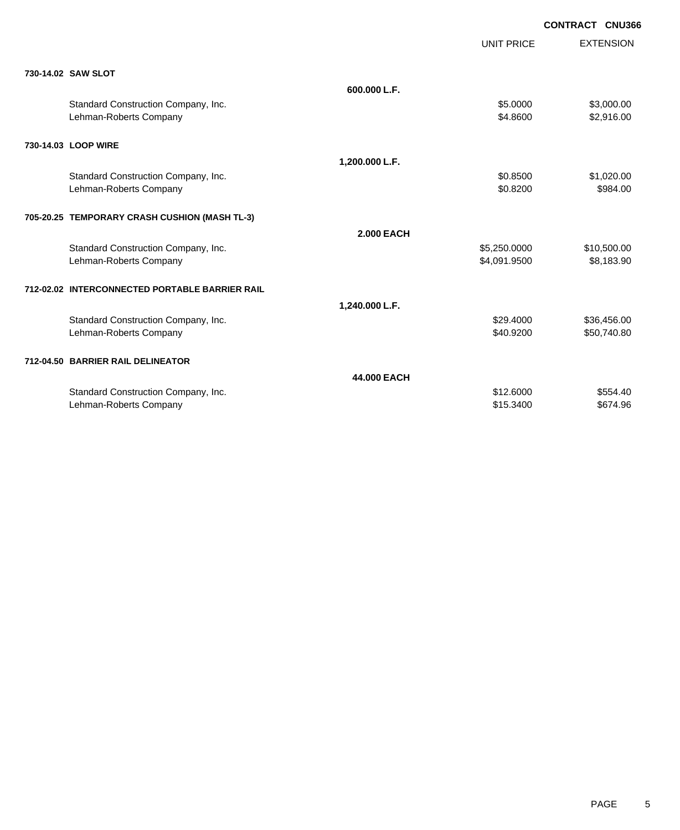|  | CONTRACT CNU366 |  |
|--|-----------------|--|
|  |                 |  |

|                                                |                   |                   | <b>CONTRACT CNU366</b> |
|------------------------------------------------|-------------------|-------------------|------------------------|
|                                                |                   | <b>UNIT PRICE</b> | <b>EXTENSION</b>       |
| 730-14.02 SAW SLOT                             |                   |                   |                        |
|                                                | 600.000 L.F.      |                   |                        |
| Standard Construction Company, Inc.            |                   | \$5.0000          | \$3,000.00             |
| Lehman-Roberts Company                         |                   | \$4.8600          | \$2,916.00             |
| 730-14.03 LOOP WIRE                            |                   |                   |                        |
|                                                | 1,200.000 L.F.    |                   |                        |
| Standard Construction Company, Inc.            |                   | \$0.8500          | \$1,020.00             |
| Lehman-Roberts Company                         |                   | \$0.8200          | \$984.00               |
| 705-20.25 TEMPORARY CRASH CUSHION (MASH TL-3)  |                   |                   |                        |
|                                                | <b>2.000 EACH</b> |                   |                        |
| Standard Construction Company, Inc.            |                   | \$5,250.0000      | \$10,500.00            |
| Lehman-Roberts Company                         |                   | \$4,091.9500      | \$8,183.90             |
| 712-02.02 INTERCONNECTED PORTABLE BARRIER RAIL |                   |                   |                        |
|                                                | 1,240.000 L.F.    |                   |                        |
| Standard Construction Company, Inc.            |                   | \$29.4000         | \$36,456.00            |
| Lehman-Roberts Company                         |                   | \$40.9200         | \$50,740.80            |
| 712-04.50 BARRIER RAIL DELINEATOR              |                   |                   |                        |
|                                                | 44.000 EACH       |                   |                        |
| Standard Construction Company, Inc.            |                   | \$12,6000         | \$554.40               |
| Lehman-Roberts Company                         |                   | \$15,3400         | \$674.96               |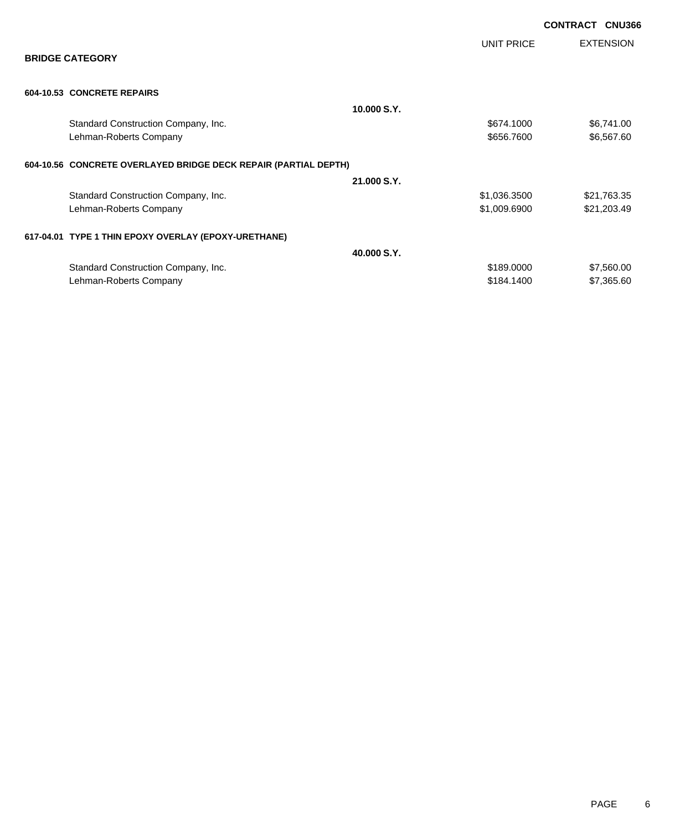|                                                                 |             |                   | <b>CONTRACT CNU366</b> |                  |
|-----------------------------------------------------------------|-------------|-------------------|------------------------|------------------|
| <b>BRIDGE CATEGORY</b>                                          |             | <b>UNIT PRICE</b> |                        | <b>EXTENSION</b> |
| 604-10.53 CONCRETE REPAIRS                                      |             |                   |                        |                  |
|                                                                 | 10,000 S.Y. |                   |                        |                  |
| Standard Construction Company, Inc.                             |             | \$674.1000        |                        | \$6,741.00       |
| Lehman-Roberts Company                                          |             | \$656.7600        |                        | \$6,567.60       |
| 604-10.56 CONCRETE OVERLAYED BRIDGE DECK REPAIR (PARTIAL DEPTH) |             |                   |                        |                  |
|                                                                 | 21.000 S.Y. |                   |                        |                  |
| Standard Construction Company, Inc.                             |             | \$1,036.3500      |                        | \$21,763.35      |
| Lehman-Roberts Company                                          |             | \$1,009.6900      |                        | \$21,203.49      |
| 617-04.01 TYPE 1 THIN EPOXY OVERLAY (EPOXY-URETHANE)            |             |                   |                        |                  |
|                                                                 | 40,000 S.Y. |                   |                        |                  |
| Standard Construction Company, Inc.                             |             | \$189.0000        |                        | \$7,560.00       |
| Lehman-Roberts Company                                          |             | \$184.1400        |                        | \$7,365.60       |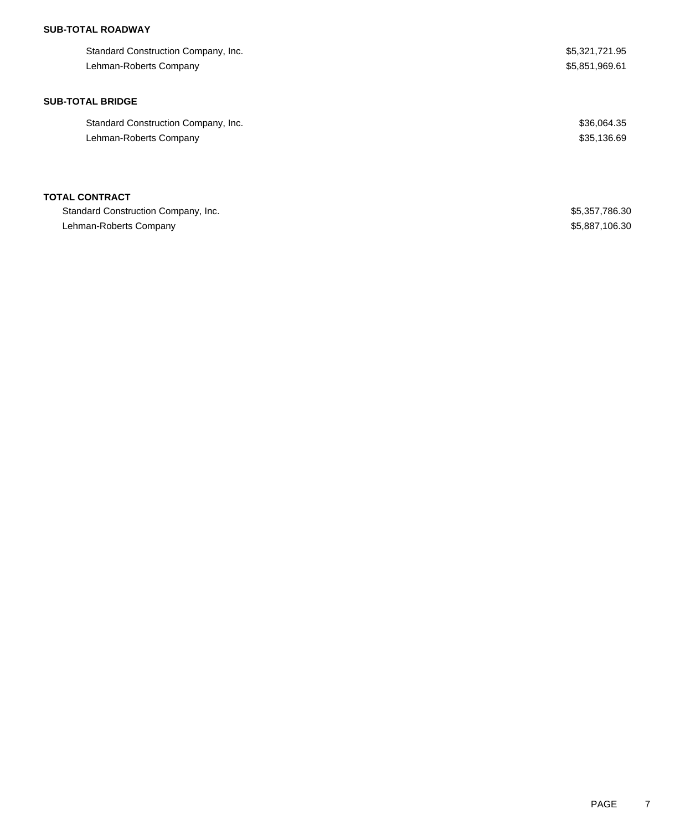## **SUB-TOTAL ROADWAY**

| Standard Construction Company, Inc. | \$5,321,721.95 |
|-------------------------------------|----------------|
| Lehman-Roberts Company              | \$5,851,969.61 |
|                                     |                |
| <b>SUB-TOTAL BRIDGE</b>             |                |
| Standard Construction Company, Inc. | \$36,064.35    |
| Lehman-Roberts Company              | \$35,136.69    |
|                                     |                |
| <b>TOTAL CONTRACT</b>               |                |
| Standard Construction Company, Inc. | \$5,357,786.30 |
| Lehman-Roberts Company              | \$5,887,106.30 |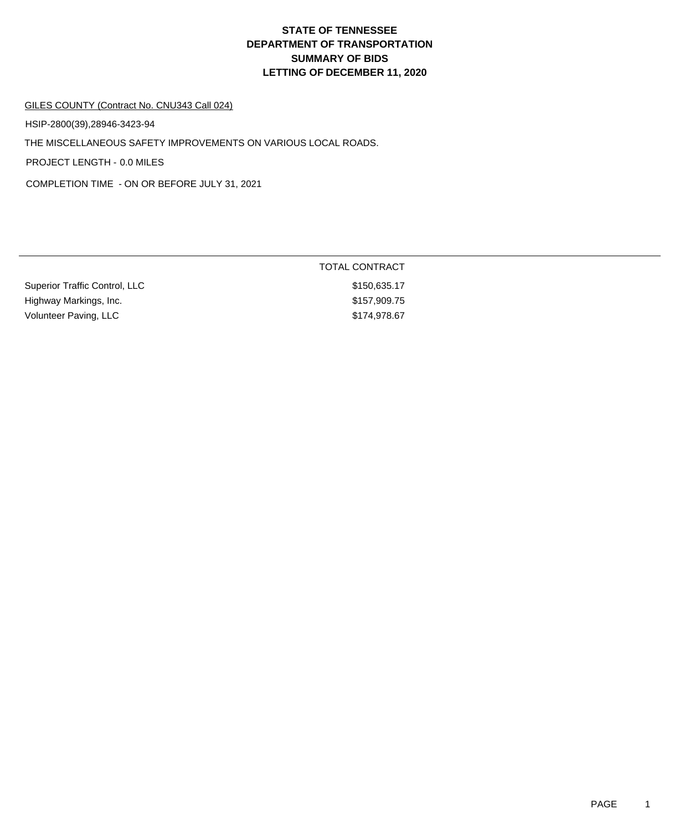#### GILES COUNTY (Contract No. CNU343 Call 024)

HSIP-2800(39),28946-3423-94

THE MISCELLANEOUS SAFETY IMPROVEMENTS ON VARIOUS LOCAL ROADS.

PROJECT LENGTH - 0.0 MILES

COMPLETION TIME - ON OR BEFORE JULY 31, 2021

|                               | TOTAL CONTRACT |
|-------------------------------|----------------|
| Superior Traffic Control, LLC | \$150,635.17   |
| Highway Markings, Inc.        | \$157,909.75   |
| Volunteer Paving, LLC         | \$174,978,67   |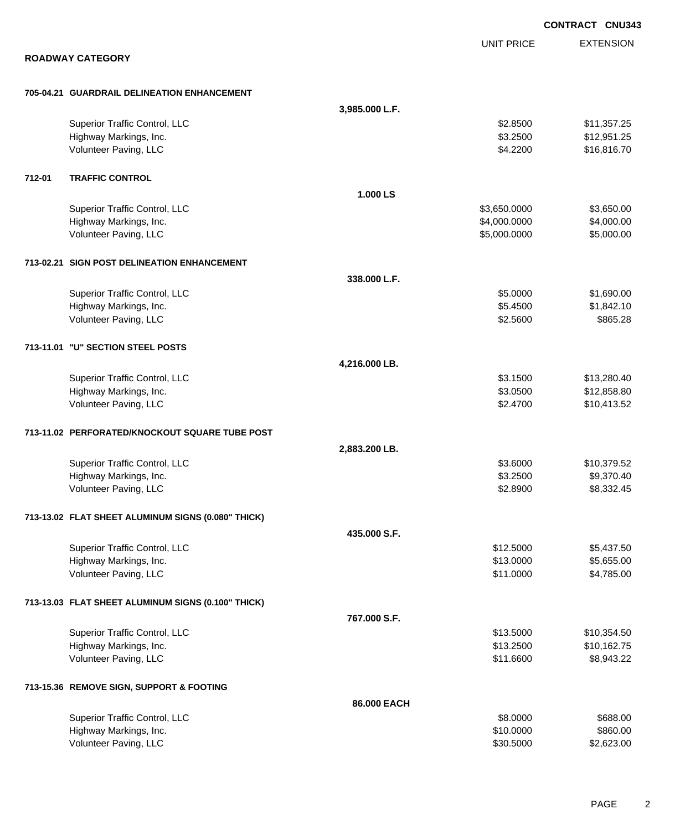|        |                                                    |                |                   | <b>CONTRACT CNU343</b> |
|--------|----------------------------------------------------|----------------|-------------------|------------------------|
|        |                                                    |                | <b>UNIT PRICE</b> | <b>EXTENSION</b>       |
|        | <b>ROADWAY CATEGORY</b>                            |                |                   |                        |
|        | 705-04.21 GUARDRAIL DELINEATION ENHANCEMENT        |                |                   |                        |
|        |                                                    | 3,985.000 L.F. |                   |                        |
|        | Superior Traffic Control, LLC                      |                | \$2.8500          | \$11,357.25            |
|        | Highway Markings, Inc.                             |                | \$3.2500          | \$12,951.25            |
|        | Volunteer Paving, LLC                              |                | \$4.2200          | \$16,816.70            |
| 712-01 | <b>TRAFFIC CONTROL</b>                             |                |                   |                        |
|        |                                                    | 1.000 LS       |                   |                        |
|        | Superior Traffic Control, LLC                      |                | \$3,650.0000      | \$3,650.00             |
|        | Highway Markings, Inc.                             |                | \$4,000.0000      | \$4,000.00             |
|        | Volunteer Paving, LLC                              |                | \$5,000.0000      | \$5,000.00             |
|        | 713-02.21 SIGN POST DELINEATION ENHANCEMENT        |                |                   |                        |
|        |                                                    | 338.000 L.F.   |                   |                        |
|        | Superior Traffic Control, LLC                      |                | \$5.0000          | \$1,690.00             |
|        | Highway Markings, Inc.                             |                | \$5.4500          | \$1,842.10             |
|        | Volunteer Paving, LLC                              |                | \$2.5600          | \$865.28               |
|        | 713-11.01 "U" SECTION STEEL POSTS                  |                |                   |                        |
|        |                                                    | 4,216.000 LB.  |                   |                        |
|        | Superior Traffic Control, LLC                      |                | \$3.1500          | \$13,280.40            |
|        | Highway Markings, Inc.                             |                | \$3.0500          | \$12,858.80            |
|        | Volunteer Paving, LLC                              |                | \$2.4700          | \$10,413.52            |
|        | 713-11.02 PERFORATED/KNOCKOUT SQUARE TUBE POST     |                |                   |                        |
|        |                                                    | 2,883.200 LB.  |                   |                        |
|        | Superior Traffic Control, LLC                      |                | \$3.6000          | \$10,379.52            |
|        | Highway Markings, Inc.                             |                | \$3.2500          | \$9,370.40             |
|        | Volunteer Paving, LLC                              |                | \$2.8900          | \$8,332.45             |
|        | 713-13.02 FLAT SHEET ALUMINUM SIGNS (0.080" THICK) |                |                   |                        |
|        |                                                    | 435.000 S.F.   |                   |                        |
|        | Superior Traffic Control, LLC                      |                | \$12.5000         | \$5,437.50             |
|        | Highway Markings, Inc.                             |                | \$13.0000         | \$5,655.00             |
|        | Volunteer Paving, LLC                              |                | \$11.0000         | \$4,785.00             |
|        | 713-13.03 FLAT SHEET ALUMINUM SIGNS (0.100" THICK) |                |                   |                        |
|        |                                                    | 767.000 S.F.   |                   |                        |
|        | Superior Traffic Control, LLC                      |                | \$13.5000         | \$10,354.50            |
|        | Highway Markings, Inc.                             |                | \$13.2500         | \$10,162.75            |
|        | Volunteer Paving, LLC                              |                | \$11.6600         | \$8,943.22             |
|        | 713-15.36 REMOVE SIGN, SUPPORT & FOOTING           |                |                   |                        |
|        |                                                    | 86.000 EACH    |                   |                        |
|        | Superior Traffic Control, LLC                      |                | \$8.0000          | \$688.00               |
|        | Highway Markings, Inc.                             |                | \$10.0000         | \$860.00               |
|        | Volunteer Paving, LLC                              |                | \$30.5000         | \$2,623.00             |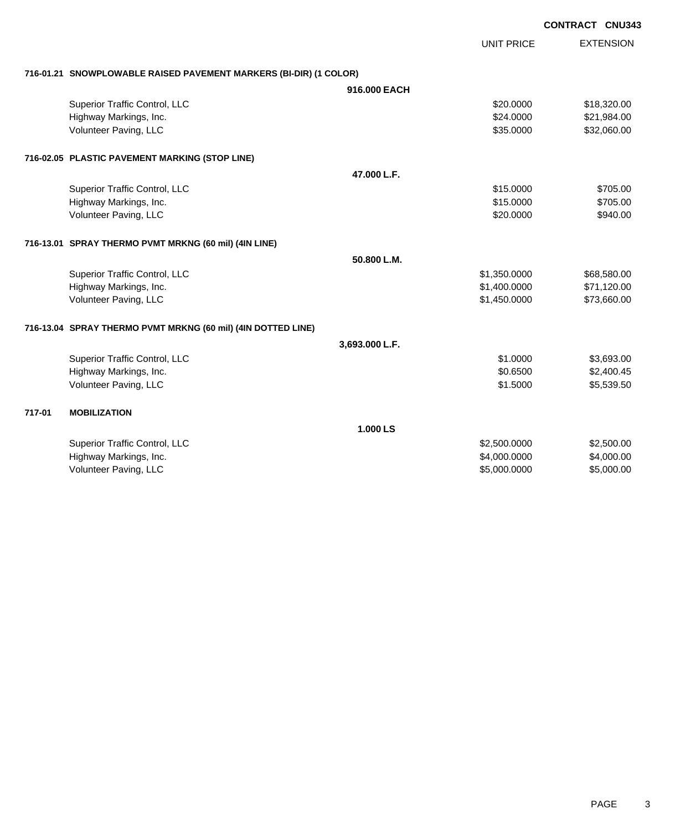|        |                                                                   |                |                   | CONTRACT CNU343 |                  |
|--------|-------------------------------------------------------------------|----------------|-------------------|-----------------|------------------|
|        |                                                                   |                | <b>UNIT PRICE</b> |                 | <b>EXTENSION</b> |
|        | 716-01.21 SNOWPLOWABLE RAISED PAVEMENT MARKERS (BI-DIR) (1 COLOR) |                |                   |                 |                  |
|        |                                                                   | 916,000 EACH   |                   |                 |                  |
|        | Superior Traffic Control, LLC                                     |                | \$20,0000         |                 | \$18,320.00      |
|        | Highway Markings, Inc.                                            |                | \$24.0000         |                 | \$21,984.00      |
|        | Volunteer Paving, LLC                                             |                | \$35.0000         |                 | \$32,060.00      |
|        | 716-02.05 PLASTIC PAVEMENT MARKING (STOP LINE)                    |                |                   |                 |                  |
|        |                                                                   | 47.000 L.F.    |                   |                 |                  |
|        | Superior Traffic Control, LLC                                     |                | \$15.0000         |                 | \$705.00         |
|        | Highway Markings, Inc.                                            |                | \$15.0000         |                 | \$705.00         |
|        | Volunteer Paving, LLC                                             |                | \$20.0000         |                 | \$940.00         |
|        | 716-13.01 SPRAY THERMO PVMT MRKNG (60 mil) (4IN LINE)             |                |                   |                 |                  |
|        |                                                                   | 50.800 L.M.    |                   |                 |                  |
|        | Superior Traffic Control, LLC                                     |                | \$1,350.0000      |                 | \$68,580.00      |
|        | Highway Markings, Inc.                                            |                | \$1,400.0000      |                 | \$71,120.00      |
|        | Volunteer Paving, LLC                                             |                | \$1,450.0000      |                 | \$73,660.00      |
|        | 716-13.04 SPRAY THERMO PVMT MRKNG (60 mil) (4IN DOTTED LINE)      |                |                   |                 |                  |
|        |                                                                   | 3,693.000 L.F. |                   |                 |                  |
|        | Superior Traffic Control, LLC                                     |                | \$1.0000          |                 | \$3,693.00       |
|        | Highway Markings, Inc.                                            |                | \$0.6500          |                 | \$2,400.45       |
|        | Volunteer Paving, LLC                                             |                | \$1.5000          |                 | \$5,539.50       |
| 717-01 | <b>MOBILIZATION</b>                                               |                |                   |                 |                  |
|        |                                                                   | 1.000 LS       |                   |                 |                  |
|        | Superior Traffic Control, LLC                                     |                | \$2,500.0000      |                 | \$2,500.00       |
|        | Highway Markings, Inc.                                            |                | \$4,000.0000      |                 | \$4,000.00       |
|        | Volunteer Paving, LLC                                             |                | \$5,000.0000      |                 | \$5,000.00       |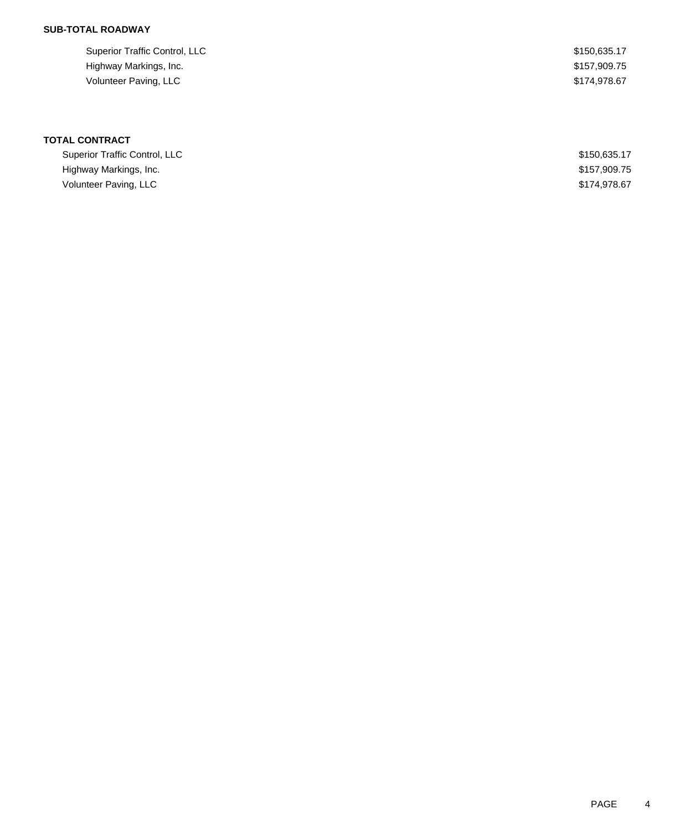## **SUB-TOTAL ROADWAY**

| Superior Traffic Control, LLC | \$150,635.17 |
|-------------------------------|--------------|
| Highway Markings, Inc.        | \$157,909.75 |
| Volunteer Paving, LLC         | \$174.978.67 |

| Superior Traffic Control, LLC | \$150,635.17 |
|-------------------------------|--------------|
| Highway Markings, Inc.        | \$157,909.75 |
| Volunteer Paving, LLC         | \$174,978,67 |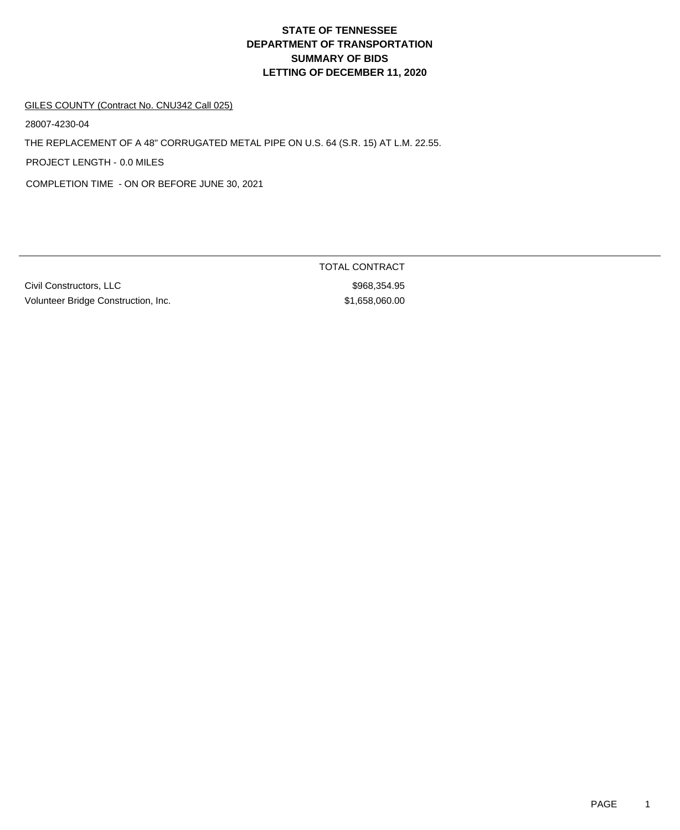#### GILES COUNTY (Contract No. CNU342 Call 025)

28007-4230-04

THE REPLACEMENT OF A 48" CORRUGATED METAL PIPE ON U.S. 64 (S.R. 15) AT L.M. 22.55.

PROJECT LENGTH - 0.0 MILES

COMPLETION TIME - ON OR BEFORE JUNE 30, 2021

Civil Constructors, LLC \$968,354.95 Volunteer Bridge Construction, Inc. 658,060.00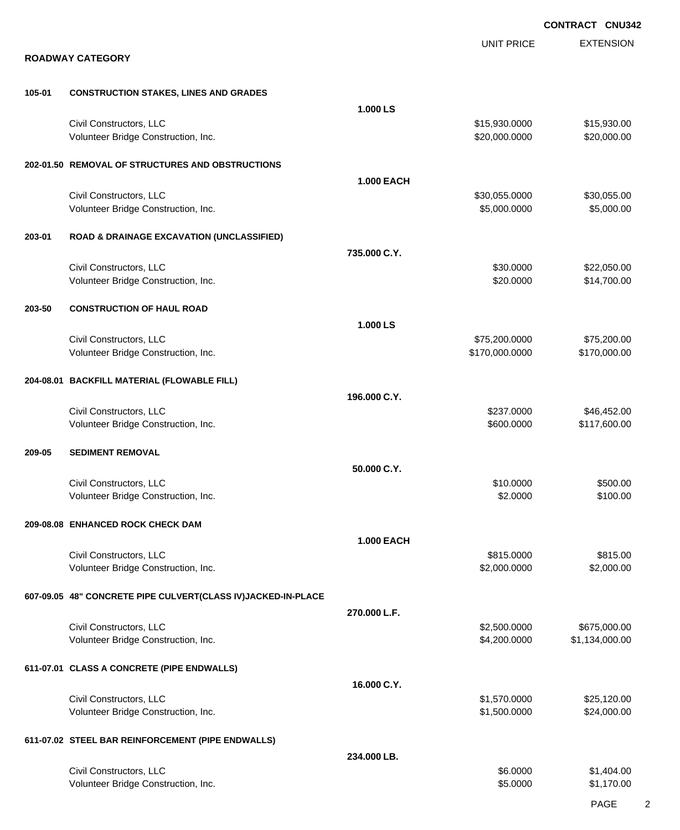|        |                                                                |                   |                                 | <b>CONTRACT CNU342</b>         |
|--------|----------------------------------------------------------------|-------------------|---------------------------------|--------------------------------|
|        | <b>ROADWAY CATEGORY</b>                                        |                   | <b>UNIT PRICE</b>               | <b>EXTENSION</b>               |
| 105-01 | <b>CONSTRUCTION STAKES, LINES AND GRADES</b>                   |                   |                                 |                                |
|        |                                                                | 1.000 LS          |                                 |                                |
|        | Civil Constructors, LLC<br>Volunteer Bridge Construction, Inc. |                   | \$15,930.0000<br>\$20,000.0000  | \$15,930.00<br>\$20,000.00     |
|        | 202-01.50 REMOVAL OF STRUCTURES AND OBSTRUCTIONS               |                   |                                 |                                |
|        | Civil Constructors, LLC<br>Volunteer Bridge Construction, Inc. | <b>1.000 EACH</b> | \$30,055.0000<br>\$5,000.0000   | \$30,055.00<br>\$5,000.00      |
| 203-01 | <b>ROAD &amp; DRAINAGE EXCAVATION (UNCLASSIFIED)</b>           |                   |                                 |                                |
|        |                                                                | 735.000 C.Y.      |                                 |                                |
|        | Civil Constructors, LLC<br>Volunteer Bridge Construction, Inc. |                   | \$30.0000<br>\$20.0000          | \$22,050.00<br>\$14,700.00     |
| 203-50 | <b>CONSTRUCTION OF HAUL ROAD</b>                               |                   |                                 |                                |
|        |                                                                | 1.000 LS          |                                 |                                |
|        | Civil Constructors, LLC<br>Volunteer Bridge Construction, Inc. |                   | \$75,200.0000<br>\$170,000.0000 | \$75,200.00<br>\$170,000.00    |
|        | 204-08.01 BACKFILL MATERIAL (FLOWABLE FILL)                    |                   |                                 |                                |
|        |                                                                | 196.000 C.Y.      |                                 |                                |
|        | Civil Constructors, LLC<br>Volunteer Bridge Construction, Inc. |                   | \$237.0000<br>\$600.0000        | \$46,452.00<br>\$117,600.00    |
| 209-05 | <b>SEDIMENT REMOVAL</b>                                        |                   |                                 |                                |
|        |                                                                | 50.000 C.Y.       |                                 |                                |
|        | Civil Constructors, LLC<br>Volunteer Bridge Construction, Inc. |                   | \$10.0000<br>\$2.0000           | \$500.00<br>\$100.00           |
|        | 209-08.08 ENHANCED ROCK CHECK DAM                              |                   |                                 |                                |
|        |                                                                | <b>1.000 EACH</b> |                                 |                                |
|        | Civil Constructors, LLC<br>Volunteer Bridge Construction, Inc. |                   | \$815.0000<br>\$2,000.0000      | \$815.00<br>\$2,000.00         |
|        | 607-09.05 48" CONCRETE PIPE CULVERT(CLASS IV)JACKED-IN-PLACE   |                   |                                 |                                |
|        |                                                                | 270.000 L.F.      |                                 |                                |
|        | Civil Constructors, LLC<br>Volunteer Bridge Construction, Inc. |                   | \$2,500.0000<br>\$4,200.0000    | \$675,000.00<br>\$1,134,000.00 |
|        | 611-07.01 CLASS A CONCRETE (PIPE ENDWALLS)                     |                   |                                 |                                |
|        |                                                                | 16.000 C.Y.       |                                 |                                |
|        | Civil Constructors, LLC<br>Volunteer Bridge Construction, Inc. |                   | \$1,570.0000<br>\$1,500.0000    | \$25,120.00<br>\$24,000.00     |
|        | 611-07.02 STEEL BAR REINFORCEMENT (PIPE ENDWALLS)              |                   |                                 |                                |
|        |                                                                | 234.000 LB.       |                                 |                                |
|        | Civil Constructors, LLC<br>Volunteer Bridge Construction, Inc. |                   | \$6.0000<br>\$5.0000            | \$1,404.00<br>\$1,170.00       |

PAGE 2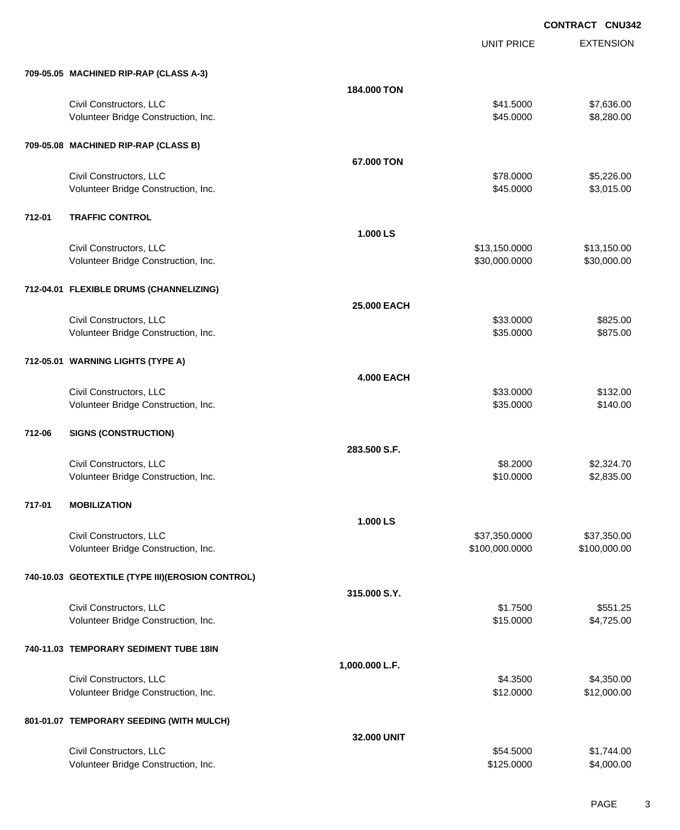| 709-05.05 MACHINED RIP-RAP (CLASS A-3)<br>184,000 TON<br>Civil Constructors, LLC<br>\$41.5000<br>\$7,636.00<br>Volunteer Bridge Construction, Inc.<br>\$45.0000<br>\$8,280.00<br>709-05.08 MACHINED RIP-RAP (CLASS B)<br>67.000 TON<br>Civil Constructors, LLC<br>\$5,226.00<br>\$78.0000<br>Volunteer Bridge Construction, Inc.<br>\$45.0000<br>\$3,015.00<br>712-01<br><b>TRAFFIC CONTROL</b><br>1.000 LS<br>Civil Constructors, LLC<br>\$13,150.00<br>\$13,150.0000<br>Volunteer Bridge Construction, Inc.<br>\$30,000.0000<br>\$30,000.00<br>712-04.01 FLEXIBLE DRUMS (CHANNELIZING)<br>25.000 EACH<br>Civil Constructors, LLC<br>\$33.0000<br>\$825.00<br>Volunteer Bridge Construction, Inc.<br>\$35.0000<br>\$875.00<br>712-05.01 WARNING LIGHTS (TYPE A)<br><b>4.000 EACH</b><br>Civil Constructors, LLC<br>\$33.0000<br>\$132.00<br>\$35.0000<br>Volunteer Bridge Construction, Inc.<br>\$140.00<br>712-06<br><b>SIGNS (CONSTRUCTION)</b><br>283.500 S.F.<br>Civil Constructors, LLC<br>\$8.2000<br>\$2,324.70<br>Volunteer Bridge Construction, Inc.<br>\$10.0000<br>\$2,835.00<br>717-01<br><b>MOBILIZATION</b><br>1.000 LS<br>Civil Constructors, LLC<br>\$37,350.0000<br>\$37,350.00<br>Volunteer Bridge Construction, Inc.<br>\$100,000.0000<br>\$100,000.00<br>740-10.03 GEOTEXTILE (TYPE III) (EROSION CONTROL)<br>315.000 S.Y.<br>Civil Constructors, LLC<br>\$1.7500<br>\$551.25<br>Volunteer Bridge Construction, Inc.<br>\$15.0000<br>\$4,725.00<br>740-11.03 TEMPORARY SEDIMENT TUBE 18IN<br>1,000.000 L.F.<br>Civil Constructors, LLC<br>\$4.3500<br>\$4,350.00<br>\$12,000.00<br>Volunteer Bridge Construction, Inc.<br>\$12.0000<br>801-01.07 TEMPORARY SEEDING (WITH MULCH)<br>32.000 UNIT<br>Civil Constructors, LLC<br>\$54.5000<br>\$1,744.00<br>\$4,000.00<br>Volunteer Bridge Construction, Inc.<br>\$125.0000 |  | <b>UNIT PRICE</b> | <b>EXTENSION</b> |
|----------------------------------------------------------------------------------------------------------------------------------------------------------------------------------------------------------------------------------------------------------------------------------------------------------------------------------------------------------------------------------------------------------------------------------------------------------------------------------------------------------------------------------------------------------------------------------------------------------------------------------------------------------------------------------------------------------------------------------------------------------------------------------------------------------------------------------------------------------------------------------------------------------------------------------------------------------------------------------------------------------------------------------------------------------------------------------------------------------------------------------------------------------------------------------------------------------------------------------------------------------------------------------------------------------------------------------------------------------------------------------------------------------------------------------------------------------------------------------------------------------------------------------------------------------------------------------------------------------------------------------------------------------------------------------------------------------------------------------------------------------------------------------------------------------------------------------------------|--|-------------------|------------------|
|                                                                                                                                                                                                                                                                                                                                                                                                                                                                                                                                                                                                                                                                                                                                                                                                                                                                                                                                                                                                                                                                                                                                                                                                                                                                                                                                                                                                                                                                                                                                                                                                                                                                                                                                                                                                                                              |  |                   |                  |
|                                                                                                                                                                                                                                                                                                                                                                                                                                                                                                                                                                                                                                                                                                                                                                                                                                                                                                                                                                                                                                                                                                                                                                                                                                                                                                                                                                                                                                                                                                                                                                                                                                                                                                                                                                                                                                              |  |                   |                  |
|                                                                                                                                                                                                                                                                                                                                                                                                                                                                                                                                                                                                                                                                                                                                                                                                                                                                                                                                                                                                                                                                                                                                                                                                                                                                                                                                                                                                                                                                                                                                                                                                                                                                                                                                                                                                                                              |  |                   |                  |
|                                                                                                                                                                                                                                                                                                                                                                                                                                                                                                                                                                                                                                                                                                                                                                                                                                                                                                                                                                                                                                                                                                                                                                                                                                                                                                                                                                                                                                                                                                                                                                                                                                                                                                                                                                                                                                              |  |                   |                  |
|                                                                                                                                                                                                                                                                                                                                                                                                                                                                                                                                                                                                                                                                                                                                                                                                                                                                                                                                                                                                                                                                                                                                                                                                                                                                                                                                                                                                                                                                                                                                                                                                                                                                                                                                                                                                                                              |  |                   |                  |
|                                                                                                                                                                                                                                                                                                                                                                                                                                                                                                                                                                                                                                                                                                                                                                                                                                                                                                                                                                                                                                                                                                                                                                                                                                                                                                                                                                                                                                                                                                                                                                                                                                                                                                                                                                                                                                              |  |                   |                  |
|                                                                                                                                                                                                                                                                                                                                                                                                                                                                                                                                                                                                                                                                                                                                                                                                                                                                                                                                                                                                                                                                                                                                                                                                                                                                                                                                                                                                                                                                                                                                                                                                                                                                                                                                                                                                                                              |  |                   |                  |
|                                                                                                                                                                                                                                                                                                                                                                                                                                                                                                                                                                                                                                                                                                                                                                                                                                                                                                                                                                                                                                                                                                                                                                                                                                                                                                                                                                                                                                                                                                                                                                                                                                                                                                                                                                                                                                              |  |                   |                  |
|                                                                                                                                                                                                                                                                                                                                                                                                                                                                                                                                                                                                                                                                                                                                                                                                                                                                                                                                                                                                                                                                                                                                                                                                                                                                                                                                                                                                                                                                                                                                                                                                                                                                                                                                                                                                                                              |  |                   |                  |
|                                                                                                                                                                                                                                                                                                                                                                                                                                                                                                                                                                                                                                                                                                                                                                                                                                                                                                                                                                                                                                                                                                                                                                                                                                                                                                                                                                                                                                                                                                                                                                                                                                                                                                                                                                                                                                              |  |                   |                  |
|                                                                                                                                                                                                                                                                                                                                                                                                                                                                                                                                                                                                                                                                                                                                                                                                                                                                                                                                                                                                                                                                                                                                                                                                                                                                                                                                                                                                                                                                                                                                                                                                                                                                                                                                                                                                                                              |  |                   |                  |
|                                                                                                                                                                                                                                                                                                                                                                                                                                                                                                                                                                                                                                                                                                                                                                                                                                                                                                                                                                                                                                                                                                                                                                                                                                                                                                                                                                                                                                                                                                                                                                                                                                                                                                                                                                                                                                              |  |                   |                  |
|                                                                                                                                                                                                                                                                                                                                                                                                                                                                                                                                                                                                                                                                                                                                                                                                                                                                                                                                                                                                                                                                                                                                                                                                                                                                                                                                                                                                                                                                                                                                                                                                                                                                                                                                                                                                                                              |  |                   |                  |
|                                                                                                                                                                                                                                                                                                                                                                                                                                                                                                                                                                                                                                                                                                                                                                                                                                                                                                                                                                                                                                                                                                                                                                                                                                                                                                                                                                                                                                                                                                                                                                                                                                                                                                                                                                                                                                              |  |                   |                  |
|                                                                                                                                                                                                                                                                                                                                                                                                                                                                                                                                                                                                                                                                                                                                                                                                                                                                                                                                                                                                                                                                                                                                                                                                                                                                                                                                                                                                                                                                                                                                                                                                                                                                                                                                                                                                                                              |  |                   |                  |
|                                                                                                                                                                                                                                                                                                                                                                                                                                                                                                                                                                                                                                                                                                                                                                                                                                                                                                                                                                                                                                                                                                                                                                                                                                                                                                                                                                                                                                                                                                                                                                                                                                                                                                                                                                                                                                              |  |                   |                  |
|                                                                                                                                                                                                                                                                                                                                                                                                                                                                                                                                                                                                                                                                                                                                                                                                                                                                                                                                                                                                                                                                                                                                                                                                                                                                                                                                                                                                                                                                                                                                                                                                                                                                                                                                                                                                                                              |  |                   |                  |
|                                                                                                                                                                                                                                                                                                                                                                                                                                                                                                                                                                                                                                                                                                                                                                                                                                                                                                                                                                                                                                                                                                                                                                                                                                                                                                                                                                                                                                                                                                                                                                                                                                                                                                                                                                                                                                              |  |                   |                  |
|                                                                                                                                                                                                                                                                                                                                                                                                                                                                                                                                                                                                                                                                                                                                                                                                                                                                                                                                                                                                                                                                                                                                                                                                                                                                                                                                                                                                                                                                                                                                                                                                                                                                                                                                                                                                                                              |  |                   |                  |
|                                                                                                                                                                                                                                                                                                                                                                                                                                                                                                                                                                                                                                                                                                                                                                                                                                                                                                                                                                                                                                                                                                                                                                                                                                                                                                                                                                                                                                                                                                                                                                                                                                                                                                                                                                                                                                              |  |                   |                  |
|                                                                                                                                                                                                                                                                                                                                                                                                                                                                                                                                                                                                                                                                                                                                                                                                                                                                                                                                                                                                                                                                                                                                                                                                                                                                                                                                                                                                                                                                                                                                                                                                                                                                                                                                                                                                                                              |  |                   |                  |
|                                                                                                                                                                                                                                                                                                                                                                                                                                                                                                                                                                                                                                                                                                                                                                                                                                                                                                                                                                                                                                                                                                                                                                                                                                                                                                                                                                                                                                                                                                                                                                                                                                                                                                                                                                                                                                              |  |                   |                  |
|                                                                                                                                                                                                                                                                                                                                                                                                                                                                                                                                                                                                                                                                                                                                                                                                                                                                                                                                                                                                                                                                                                                                                                                                                                                                                                                                                                                                                                                                                                                                                                                                                                                                                                                                                                                                                                              |  |                   |                  |
|                                                                                                                                                                                                                                                                                                                                                                                                                                                                                                                                                                                                                                                                                                                                                                                                                                                                                                                                                                                                                                                                                                                                                                                                                                                                                                                                                                                                                                                                                                                                                                                                                                                                                                                                                                                                                                              |  |                   |                  |
|                                                                                                                                                                                                                                                                                                                                                                                                                                                                                                                                                                                                                                                                                                                                                                                                                                                                                                                                                                                                                                                                                                                                                                                                                                                                                                                                                                                                                                                                                                                                                                                                                                                                                                                                                                                                                                              |  |                   |                  |
|                                                                                                                                                                                                                                                                                                                                                                                                                                                                                                                                                                                                                                                                                                                                                                                                                                                                                                                                                                                                                                                                                                                                                                                                                                                                                                                                                                                                                                                                                                                                                                                                                                                                                                                                                                                                                                              |  |                   |                  |
|                                                                                                                                                                                                                                                                                                                                                                                                                                                                                                                                                                                                                                                                                                                                                                                                                                                                                                                                                                                                                                                                                                                                                                                                                                                                                                                                                                                                                                                                                                                                                                                                                                                                                                                                                                                                                                              |  |                   |                  |
|                                                                                                                                                                                                                                                                                                                                                                                                                                                                                                                                                                                                                                                                                                                                                                                                                                                                                                                                                                                                                                                                                                                                                                                                                                                                                                                                                                                                                                                                                                                                                                                                                                                                                                                                                                                                                                              |  |                   |                  |
|                                                                                                                                                                                                                                                                                                                                                                                                                                                                                                                                                                                                                                                                                                                                                                                                                                                                                                                                                                                                                                                                                                                                                                                                                                                                                                                                                                                                                                                                                                                                                                                                                                                                                                                                                                                                                                              |  |                   |                  |
|                                                                                                                                                                                                                                                                                                                                                                                                                                                                                                                                                                                                                                                                                                                                                                                                                                                                                                                                                                                                                                                                                                                                                                                                                                                                                                                                                                                                                                                                                                                                                                                                                                                                                                                                                                                                                                              |  |                   |                  |
|                                                                                                                                                                                                                                                                                                                                                                                                                                                                                                                                                                                                                                                                                                                                                                                                                                                                                                                                                                                                                                                                                                                                                                                                                                                                                                                                                                                                                                                                                                                                                                                                                                                                                                                                                                                                                                              |  |                   |                  |
|                                                                                                                                                                                                                                                                                                                                                                                                                                                                                                                                                                                                                                                                                                                                                                                                                                                                                                                                                                                                                                                                                                                                                                                                                                                                                                                                                                                                                                                                                                                                                                                                                                                                                                                                                                                                                                              |  |                   |                  |
|                                                                                                                                                                                                                                                                                                                                                                                                                                                                                                                                                                                                                                                                                                                                                                                                                                                                                                                                                                                                                                                                                                                                                                                                                                                                                                                                                                                                                                                                                                                                                                                                                                                                                                                                                                                                                                              |  |                   |                  |
|                                                                                                                                                                                                                                                                                                                                                                                                                                                                                                                                                                                                                                                                                                                                                                                                                                                                                                                                                                                                                                                                                                                                                                                                                                                                                                                                                                                                                                                                                                                                                                                                                                                                                                                                                                                                                                              |  |                   |                  |
|                                                                                                                                                                                                                                                                                                                                                                                                                                                                                                                                                                                                                                                                                                                                                                                                                                                                                                                                                                                                                                                                                                                                                                                                                                                                                                                                                                                                                                                                                                                                                                                                                                                                                                                                                                                                                                              |  |                   |                  |
|                                                                                                                                                                                                                                                                                                                                                                                                                                                                                                                                                                                                                                                                                                                                                                                                                                                                                                                                                                                                                                                                                                                                                                                                                                                                                                                                                                                                                                                                                                                                                                                                                                                                                                                                                                                                                                              |  |                   |                  |
|                                                                                                                                                                                                                                                                                                                                                                                                                                                                                                                                                                                                                                                                                                                                                                                                                                                                                                                                                                                                                                                                                                                                                                                                                                                                                                                                                                                                                                                                                                                                                                                                                                                                                                                                                                                                                                              |  |                   |                  |
|                                                                                                                                                                                                                                                                                                                                                                                                                                                                                                                                                                                                                                                                                                                                                                                                                                                                                                                                                                                                                                                                                                                                                                                                                                                                                                                                                                                                                                                                                                                                                                                                                                                                                                                                                                                                                                              |  |                   |                  |
|                                                                                                                                                                                                                                                                                                                                                                                                                                                                                                                                                                                                                                                                                                                                                                                                                                                                                                                                                                                                                                                                                                                                                                                                                                                                                                                                                                                                                                                                                                                                                                                                                                                                                                                                                                                                                                              |  |                   |                  |
|                                                                                                                                                                                                                                                                                                                                                                                                                                                                                                                                                                                                                                                                                                                                                                                                                                                                                                                                                                                                                                                                                                                                                                                                                                                                                                                                                                                                                                                                                                                                                                                                                                                                                                                                                                                                                                              |  |                   |                  |
|                                                                                                                                                                                                                                                                                                                                                                                                                                                                                                                                                                                                                                                                                                                                                                                                                                                                                                                                                                                                                                                                                                                                                                                                                                                                                                                                                                                                                                                                                                                                                                                                                                                                                                                                                                                                                                              |  |                   |                  |
|                                                                                                                                                                                                                                                                                                                                                                                                                                                                                                                                                                                                                                                                                                                                                                                                                                                                                                                                                                                                                                                                                                                                                                                                                                                                                                                                                                                                                                                                                                                                                                                                                                                                                                                                                                                                                                              |  |                   |                  |
|                                                                                                                                                                                                                                                                                                                                                                                                                                                                                                                                                                                                                                                                                                                                                                                                                                                                                                                                                                                                                                                                                                                                                                                                                                                                                                                                                                                                                                                                                                                                                                                                                                                                                                                                                                                                                                              |  |                   |                  |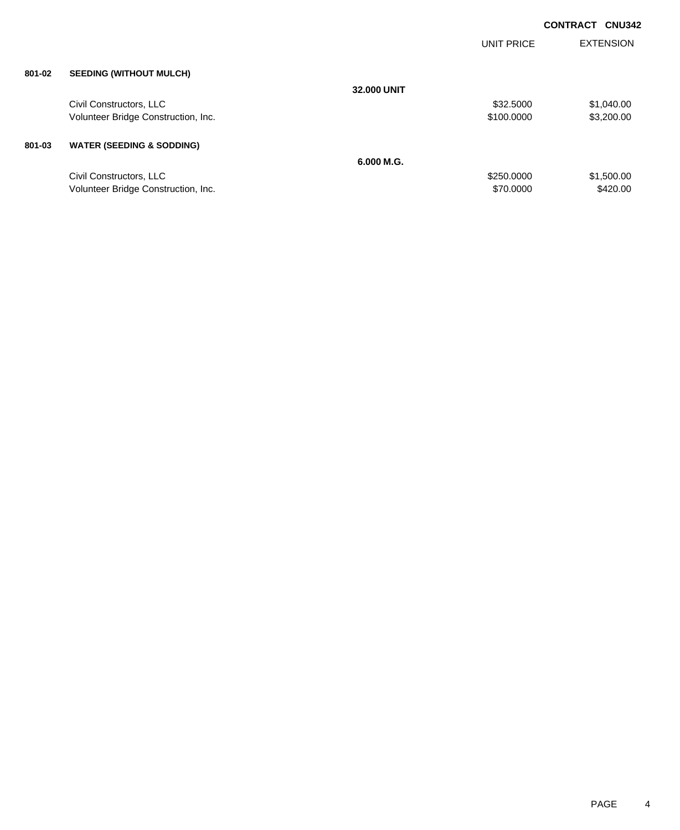|        |                                      |                    | UNIT PRICE | <b>EXTENSION</b> |
|--------|--------------------------------------|--------------------|------------|------------------|
| 801-02 | <b>SEEDING (WITHOUT MULCH)</b>       |                    |            |                  |
|        |                                      | <b>32,000 UNIT</b> |            |                  |
|        | Civil Constructors, LLC              |                    | \$32,5000  | \$1,040.00       |
|        | Volunteer Bridge Construction, Inc.  |                    | \$100.0000 | \$3,200.00       |
| 801-03 | <b>WATER (SEEDING &amp; SODDING)</b> |                    |            |                  |
|        |                                      | 6.000 M.G.         |            |                  |
|        | Civil Constructors, LLC              |                    | \$250.0000 | \$1,500.00       |
|        | Volunteer Bridge Construction, Inc.  |                    | \$70,0000  | \$420.00         |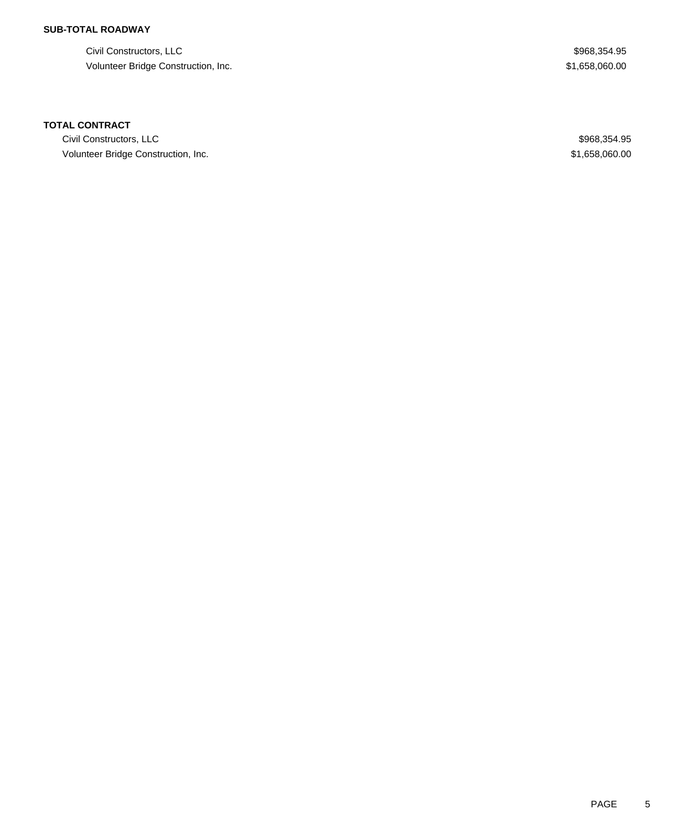## **SUB-TOTAL ROADWAY**

Civil Constructors, LLC  $$968,354.95$ Volunteer Bridge Construction, Inc. 658,060.00

### **TOTAL CONTRACT**

Civil Constructors, LLC \$968,354.95 Volunteer Bridge Construction, Inc. 658,060.00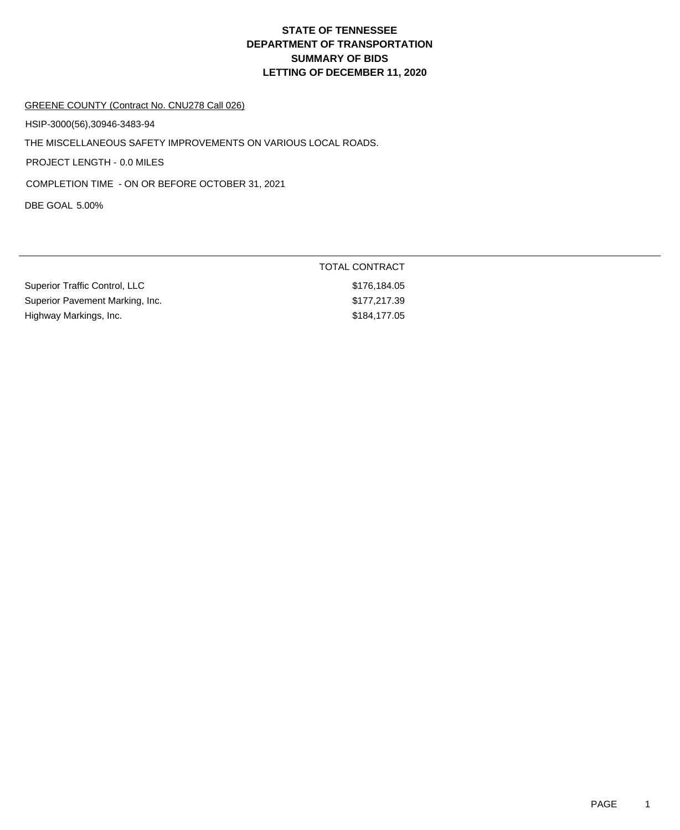#### GREENE COUNTY (Contract No. CNU278 Call 026)

HSIP-3000(56),30946-3483-94

THE MISCELLANEOUS SAFETY IMPROVEMENTS ON VARIOUS LOCAL ROADS.

PROJECT LENGTH - 0.0 MILES

COMPLETION TIME - ON OR BEFORE OCTOBER 31, 2021

DBE GOAL 5.00%

|                                 | TOTAL CONTRACT |  |
|---------------------------------|----------------|--|
| Superior Traffic Control, LLC   | \$176.184.05   |  |
| Superior Pavement Marking, Inc. | \$177.217.39   |  |
| Highway Markings, Inc.          | \$184,177.05   |  |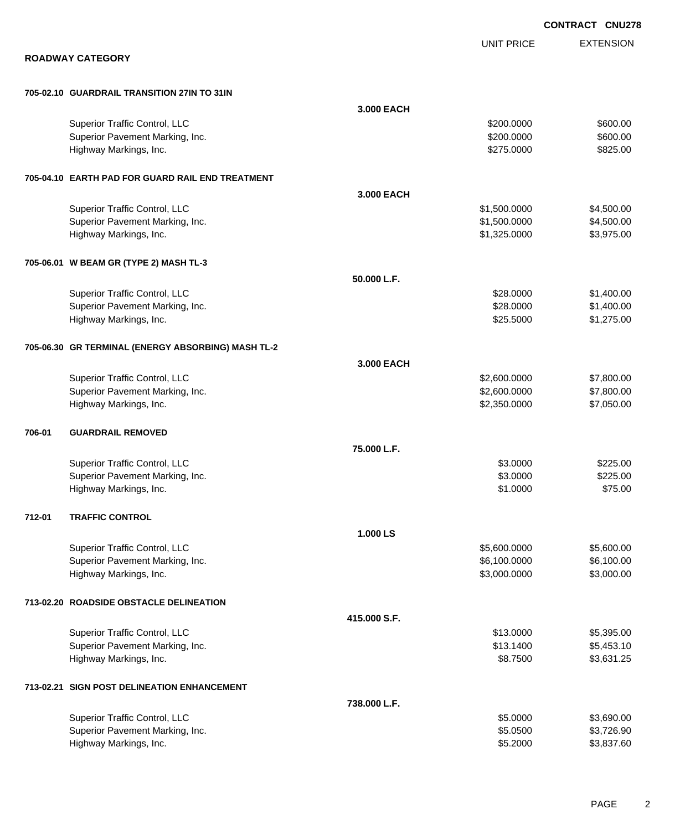EXTENSION **CONTRACT CNU278** UNIT PRICE **ROADWAY CATEGORY 705-02.10 GUARDRAIL TRANSITION 27IN TO 31IN 3.000 EACH** Superior Traffic Control, LLC 6600.00 \$600.00 Superior Pavement Marking, Inc. 6600.00 \$600.00 \$600.00 \$600.00 Highway Markings, Inc. 6825.00 \$825.00 \$825.00 \$825.00 \$825.00 \$825.00 \$825.00 \$ **705-04.10 EARTH PAD FOR GUARD RAIL END TREATMENT 3.000 EACH** Superior Traffic Control, LLC 66 and the state of the state of the state of the state of the state of the state of the state of the state of the state of the state of the state of the state of the state of the state of the Superior Pavement Marking, Inc. 6. The Superior Pavement Marking, Inc. 6. The Superior Pavement Marking, Inc. 1. The Superior St. 500.000 \$4,500.00 Highway Markings, Inc. 63,975.00 \$3,975.00 \$3,975.00 \$3,975.00 \$3,975.00 \$3,975.00 **705-06.01 W BEAM GR (TYPE 2) MASH TL-3 50.000 L.F.** Superior Traffic Control, LLC 6328.0000 \$1,400.00 Superior Pavement Marking, Inc. 6. The Superior Pavement Marking, Inc. 6. The Superior Pavement Marking, Inc. 6. The Superior St. 400.00 Highway Markings, Inc. \$25.5000 \$1,275.00 **705-06.30 GR TERMINAL (ENERGY ABSORBING) MASH TL-2 3.000 EACH** Superior Traffic Control, LLC 6.00000 \$7,800.000 \$2,600.0000 \$7,800.000 Superior Pavement Marking, Inc. 67,800.000 \$7,800.000 \$7,800.000 Highway Markings, Inc. 6. The Second State of the Second State of the Second State of State of State of State o **706-01 GUARDRAIL REMOVED 75.000 L.F.** Superior Traffic Control, LLC \$3.0000 \$225.00 Superior Pavement Marking, Inc. 6225.00 \$225.00 \$225.00 \$225.00 Highway Markings, Inc. \$1.0000 \$75.00 **712-01 TRAFFIC CONTROL 1.000 LS** Superior Traffic Control, LLC 6.600.000 \$5,600.000 \$5,600.000 \$5,600.000 \$5,600.000 \$5,600.00 Superior Pavement Marking, Inc. 6,100.000 \$6,100.000 \$6,100.000 \$6,100.000 \$6,100.00 Highway Markings, Inc. 6. The Same Control of the Same Control of the Same Control of S3,000.0000 \$3,000.000 \$3,000.00 **713-02.20 ROADSIDE OBSTACLE DELINEATION 415.000 S.F.** Superior Traffic Control, LLC 66 and the state of the state of the state of the state of the state of the state of the state of the state of the state of the state of the state of the state of the state of the state of the Superior Pavement Marking, Inc. 6. The Superior Pavement Marking, Inc. 6. The Superior Pavement Marking, Inc. 6. Highway Markings, Inc. \$8.7500 \$3,631.25 **713-02.21 SIGN POST DELINEATION ENHANCEMENT 738.000 L.F.** Superior Traffic Control, LLC 63,690.00 Superior Pavement Marking, Inc. 6. The Superior Pavement Marking, Inc. 6. The Superior Pavement Marking, Inc. 6. Superior S3,726.90

Highway Markings, Inc. \$5.2000 \$3,837.60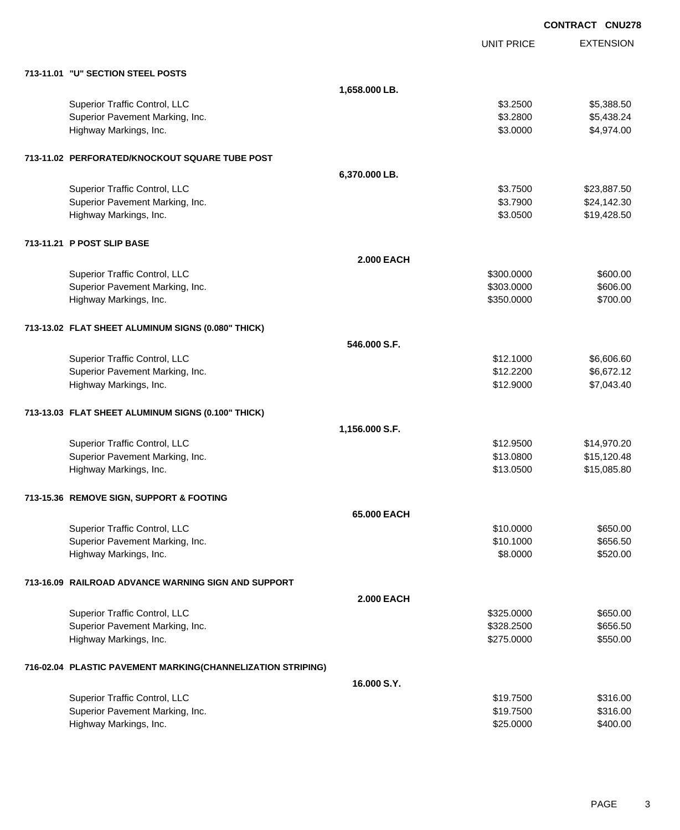|                                                             |                   | <b>CONTRACT CNU278</b> |                  |
|-------------------------------------------------------------|-------------------|------------------------|------------------|
|                                                             |                   | <b>UNIT PRICE</b>      | <b>EXTENSION</b> |
| 713-11.01 "U" SECTION STEEL POSTS                           |                   |                        |                  |
|                                                             | 1,658.000 LB.     |                        |                  |
| Superior Traffic Control, LLC                               |                   | \$3.2500               | \$5,388.50       |
| Superior Pavement Marking, Inc.                             |                   | \$3.2800               | \$5,438.24       |
| Highway Markings, Inc.                                      |                   | \$3.0000               | \$4,974.00       |
| 713-11.02 PERFORATED/KNOCKOUT SQUARE TUBE POST              |                   |                        |                  |
|                                                             | 6,370.000 LB.     |                        |                  |
| Superior Traffic Control, LLC                               |                   | \$3.7500               | \$23,887.50      |
| Superior Pavement Marking, Inc.                             |                   | \$3.7900               | \$24,142.30      |
| Highway Markings, Inc.                                      |                   | \$3.0500               | \$19,428.50      |
| 713-11.21 P POST SLIP BASE                                  |                   |                        |                  |
|                                                             | <b>2.000 EACH</b> |                        |                  |
| Superior Traffic Control, LLC                               |                   | \$300.0000             | \$600.00         |
| Superior Pavement Marking, Inc.                             |                   | \$303.0000             | \$606.00         |
| Highway Markings, Inc.                                      |                   | \$350.0000             | \$700.00         |
| 713-13.02 FLAT SHEET ALUMINUM SIGNS (0.080" THICK)          |                   |                        |                  |
|                                                             | 546.000 S.F.      |                        |                  |
| Superior Traffic Control, LLC                               |                   | \$12.1000              | \$6,606.60       |
| Superior Pavement Marking, Inc.                             |                   | \$12.2200              | \$6,672.12       |
| Highway Markings, Inc.                                      |                   | \$12.9000              | \$7,043.40       |
| 713-13.03 FLAT SHEET ALUMINUM SIGNS (0.100" THICK)          |                   |                        |                  |
|                                                             | 1,156.000 S.F.    |                        |                  |
| Superior Traffic Control, LLC                               |                   | \$12.9500              | \$14,970.20      |
| Superior Pavement Marking, Inc.                             |                   | \$13.0800              | \$15,120.48      |
| Highway Markings, Inc.                                      |                   | \$13.0500              | \$15,085.80      |
| 713-15.36 REMOVE SIGN, SUPPORT & FOOTING                    |                   |                        |                  |
|                                                             | 65.000 EACH       |                        |                  |
| Superior Traffic Control, LLC                               |                   | \$10.0000              | \$650.00         |
| Superior Pavement Marking, Inc.                             |                   | \$10.1000              | \$656.50         |
| Highway Markings, Inc.                                      |                   | \$8.0000               | \$520.00         |
| 713-16.09 RAILROAD ADVANCE WARNING SIGN AND SUPPORT         |                   |                        |                  |
|                                                             | <b>2.000 EACH</b> |                        |                  |
| Superior Traffic Control, LLC                               |                   | \$325.0000             | \$650.00         |
| Superior Pavement Marking, Inc.                             |                   | \$328.2500             | \$656.50         |
| Highway Markings, Inc.                                      |                   | \$275.0000             | \$550.00         |
| 716-02.04 PLASTIC PAVEMENT MARKING(CHANNELIZATION STRIPING) |                   |                        |                  |
|                                                             | 16,000 S.Y.       |                        |                  |
| Superior Traffic Control, LLC                               |                   | \$19.7500              | \$316.00         |
| Superior Pavement Marking, Inc.                             |                   | \$19.7500              | \$316.00         |
| Highway Markings, Inc.                                      |                   | \$25.0000              | \$400.00         |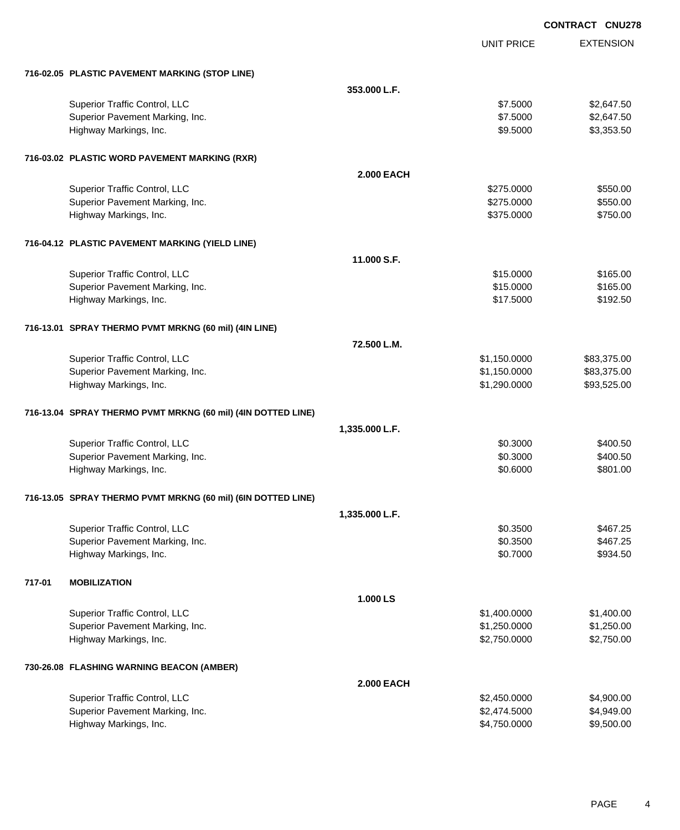|                                                              |                   |                   | <b>CONTRACT CNU278</b> |
|--------------------------------------------------------------|-------------------|-------------------|------------------------|
|                                                              |                   | <b>UNIT PRICE</b> | <b>EXTENSION</b>       |
| 716-02.05 PLASTIC PAVEMENT MARKING (STOP LINE)               |                   |                   |                        |
|                                                              | 353.000 L.F.      |                   |                        |
| Superior Traffic Control, LLC                                |                   | \$7.5000          | \$2,647.50             |
| Superior Pavement Marking, Inc.                              |                   | \$7.5000          | \$2,647.50             |
| Highway Markings, Inc.                                       |                   | \$9.5000          | \$3,353.50             |
| 716-03.02 PLASTIC WORD PAVEMENT MARKING (RXR)                |                   |                   |                        |
|                                                              | <b>2.000 EACH</b> |                   |                        |
| Superior Traffic Control, LLC                                |                   | \$275.0000        | \$550.00               |
| Superior Pavement Marking, Inc.                              |                   | \$275.0000        | \$550.00               |
| Highway Markings, Inc.                                       |                   | \$375.0000        | \$750.00               |
| 716-04.12 PLASTIC PAVEMENT MARKING (YIELD LINE)              |                   |                   |                        |
|                                                              | 11.000 S.F.       |                   |                        |
| Superior Traffic Control, LLC                                |                   | \$15.0000         | \$165.00               |
| Superior Pavement Marking, Inc.                              |                   | \$15.0000         | \$165.00               |
| Highway Markings, Inc.                                       |                   | \$17.5000         | \$192.50               |
| 716-13.01 SPRAY THERMO PVMT MRKNG (60 mil) (4IN LINE)        |                   |                   |                        |
|                                                              | 72.500 L.M.       |                   |                        |
| Superior Traffic Control, LLC                                |                   | \$1,150.0000      | \$83,375.00            |
| Superior Pavement Marking, Inc.                              |                   | \$1,150.0000      | \$83,375.00            |
| Highway Markings, Inc.                                       |                   | \$1,290.0000      | \$93,525.00            |
| 716-13.04 SPRAY THERMO PVMT MRKNG (60 mil) (4IN DOTTED LINE) |                   |                   |                        |
|                                                              | 1,335.000 L.F.    |                   |                        |
| Superior Traffic Control, LLC                                |                   | \$0.3000          | \$400.50               |
| Superior Pavement Marking, Inc.                              |                   | \$0.3000          | \$400.50               |
| Highway Markings, Inc.                                       |                   | \$0.6000          | \$801.00               |
| 716-13.05 SPRAY THERMO PVMT MRKNG (60 mil) (6IN DOTTED LINE) |                   |                   |                        |
|                                                              | 1,335.000 L.F.    |                   |                        |
| Superior Traffic Control, LLC                                |                   | \$0.3500          | \$467.25               |
| Superior Pavement Marking, Inc.                              |                   | \$0.3500          | \$467.25               |
| Highway Markings, Inc.                                       |                   | \$0.7000          | \$934.50               |
| 717-01<br><b>MOBILIZATION</b>                                |                   |                   |                        |
|                                                              | 1.000 LS          |                   |                        |
| Superior Traffic Control, LLC                                |                   | \$1,400.0000      | \$1,400.00             |
| Superior Pavement Marking, Inc.                              |                   | \$1,250.0000      | \$1,250.00             |
| Highway Markings, Inc.                                       |                   | \$2,750.0000      | \$2,750.00             |
| 730-26.08 FLASHING WARNING BEACON (AMBER)                    |                   |                   |                        |
|                                                              | <b>2.000 EACH</b> |                   |                        |
| Superior Traffic Control, LLC                                |                   | \$2,450.0000      | \$4,900.00             |
| Superior Pavement Marking, Inc.                              |                   | \$2,474.5000      | \$4,949.00             |
| Highway Markings, Inc.                                       |                   | \$4,750.0000      | \$9,500.00             |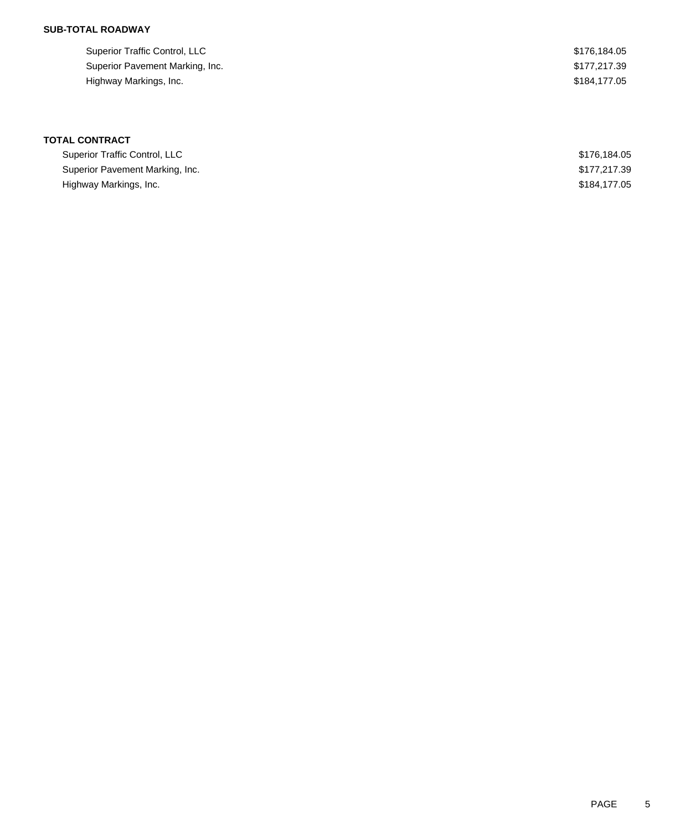## **SUB-TOTAL ROADWAY**

| Superior Traffic Control, LLC   | \$176.184.05 |
|---------------------------------|--------------|
| Superior Pavement Marking, Inc. | \$177.217.39 |
| Highway Markings, Inc.          | \$184.177.05 |

| Superior Traffic Control, LLC   | \$176,184,05 |
|---------------------------------|--------------|
| Superior Pavement Marking, Inc. | \$177,217.39 |
| Highway Markings, Inc.          | \$184,177,05 |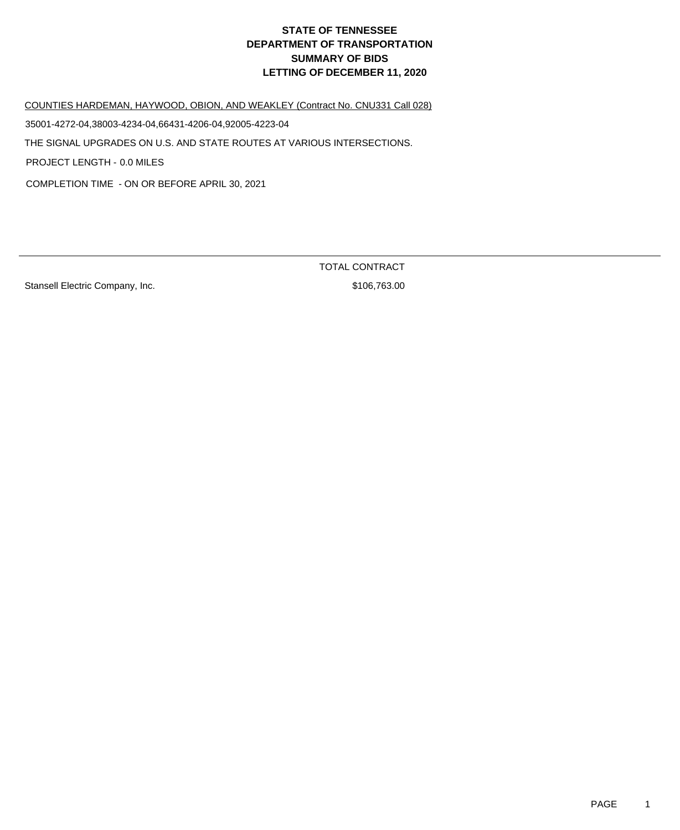COUNTIES HARDEMAN, HAYWOOD, OBION, AND WEAKLEY (Contract No. CNU331 Call 028)

35001-4272-04,38003-4234-04,66431-4206-04,92005-4223-04

THE SIGNAL UPGRADES ON U.S. AND STATE ROUTES AT VARIOUS INTERSECTIONS.

PROJECT LENGTH - 0.0 MILES

COMPLETION TIME - ON OR BEFORE APRIL 30, 2021

Stansell Electric Company, Inc. 6. The Stansell Electric Company, Inc. 6. The Stansell Stansell Stansell Standard Standard Standard Standard Standard Standard Standard Standard Standard Standard Standard Standard Standard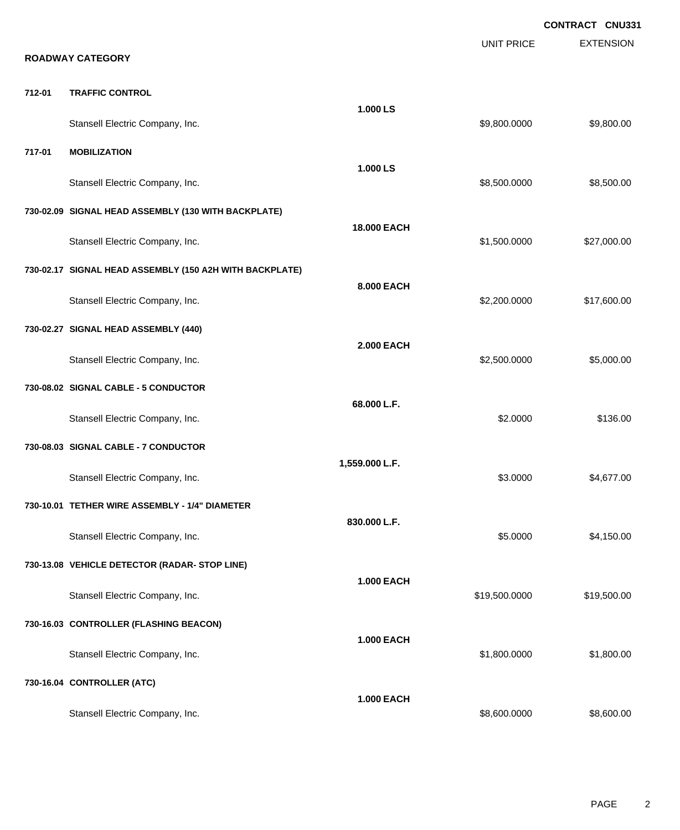|        | <b>ROADWAY CATEGORY</b>                                 |                   | <b>UNIT PRICE</b> | <b>CONTRACT CNU331</b><br><b>EXTENSION</b> |
|--------|---------------------------------------------------------|-------------------|-------------------|--------------------------------------------|
| 712-01 | <b>TRAFFIC CONTROL</b>                                  |                   |                   |                                            |
|        | Stansell Electric Company, Inc.                         | 1.000 LS          | \$9,800.0000      | \$9,800.00                                 |
| 717-01 | <b>MOBILIZATION</b>                                     |                   |                   |                                            |
|        | Stansell Electric Company, Inc.                         | 1.000LS           | \$8,500.0000      | \$8,500.00                                 |
|        | 730-02.09 SIGNAL HEAD ASSEMBLY (130 WITH BACKPLATE)     |                   |                   |                                            |
|        | Stansell Electric Company, Inc.                         | 18.000 EACH       | \$1,500.0000      | \$27,000.00                                |
|        | 730-02.17 SIGNAL HEAD ASSEMBLY (150 A2H WITH BACKPLATE) | 8.000 EACH        |                   |                                            |
|        | Stansell Electric Company, Inc.                         |                   | \$2,200.0000      | \$17,600.00                                |
|        | 730-02.27 SIGNAL HEAD ASSEMBLY (440)                    | <b>2.000 EACH</b> |                   |                                            |
|        | Stansell Electric Company, Inc.                         |                   | \$2,500.0000      | \$5,000.00                                 |
|        | 730-08.02 SIGNAL CABLE - 5 CONDUCTOR                    | 68.000 L.F.       |                   |                                            |
|        | Stansell Electric Company, Inc.                         |                   | \$2.0000          | \$136.00                                   |
|        | 730-08.03 SIGNAL CABLE - 7 CONDUCTOR                    | 1,559.000 L.F.    |                   |                                            |
|        | Stansell Electric Company, Inc.                         |                   | \$3.0000          | \$4,677.00                                 |
|        | 730-10.01 TETHER WIRE ASSEMBLY - 1/4" DIAMETER          | 830.000 L.F.      |                   |                                            |
|        | Stansell Electric Company, Inc.                         |                   | \$5.0000          | \$4,150.00                                 |
|        | 730-13.08 VEHICLE DETECTOR (RADAR- STOP LINE)           | <b>1.000 EACH</b> |                   |                                            |
|        | Stansell Electric Company, Inc.                         |                   | \$19,500.0000     | \$19,500.00                                |
|        | 730-16.03 CONTROLLER (FLASHING BEACON)                  | <b>1.000 EACH</b> |                   |                                            |
|        | Stansell Electric Company, Inc.                         |                   | \$1,800.0000      | \$1,800.00                                 |
|        | 730-16.04 CONTROLLER (ATC)                              | <b>1.000 EACH</b> |                   |                                            |
|        | Stansell Electric Company, Inc.                         |                   | \$8,600.0000      | \$8,600.00                                 |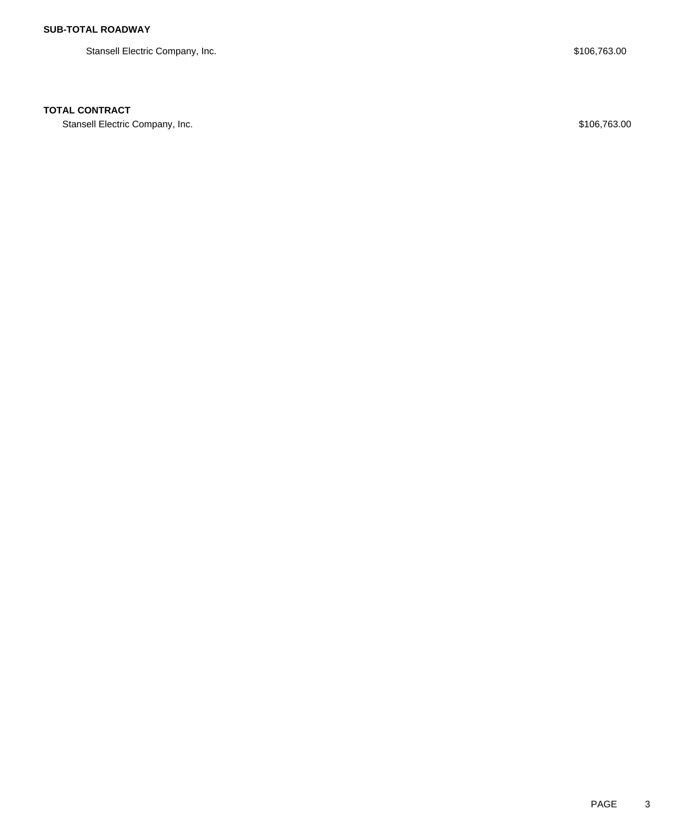Stansell Electric Company, Inc. 6. The Stansell Electric Company, Inc. 6. The Stansell Electric Company, Inc.

### **TOTAL CONTRACT**

Stansell Electric Company, Inc. 6. The Standard Company, Inc. 6. The Standard Company, Inc. 6. The Standard Company, Inc. 6. The Standard Company, Inc. 6. The Standard Company, Inc. 6. The Standard Company, Inc. 6. The Sta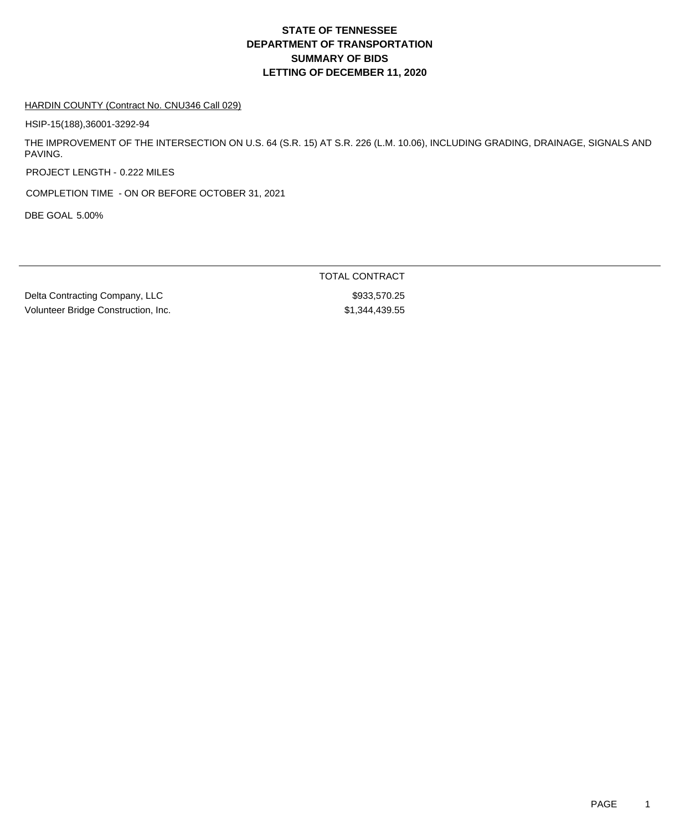#### HARDIN COUNTY (Contract No. CNU346 Call 029)

HSIP-15(188),36001-3292-94

THE IMPROVEMENT OF THE INTERSECTION ON U.S. 64 (S.R. 15) AT S.R. 226 (L.M. 10.06), INCLUDING GRADING, DRAINAGE, SIGNALS AND PAVING.

PROJECT LENGTH - 0.222 MILES

COMPLETION TIME - ON OR BEFORE OCTOBER 31, 2021

DBE GOAL 5.00%

Delta Contracting Company, LLC \$933,570.25 Volunteer Bridge Construction, Inc. 67.699.55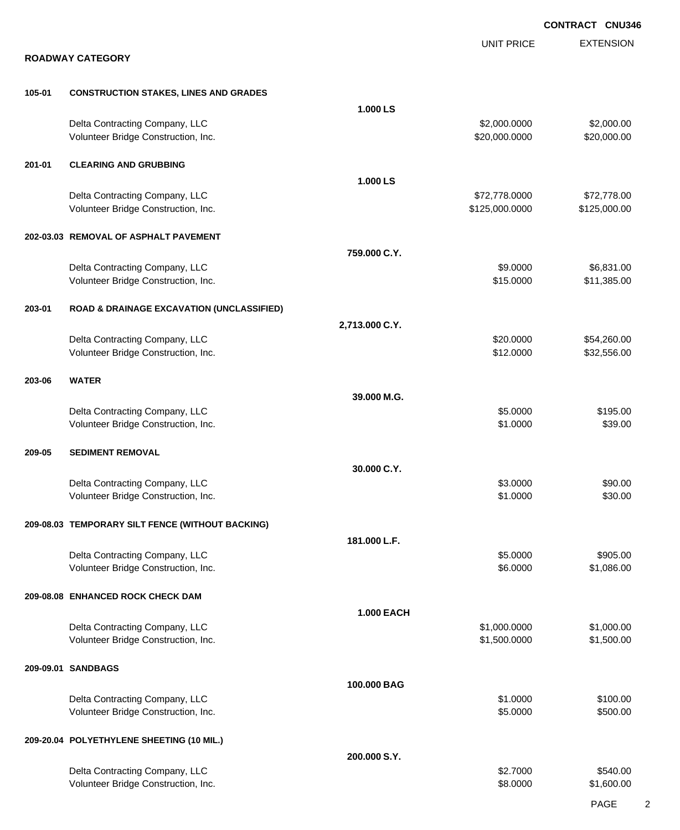|        |                                                                       |                   |                                 | <b>CONTRACT CNU346</b>      |
|--------|-----------------------------------------------------------------------|-------------------|---------------------------------|-----------------------------|
|        | <b>ROADWAY CATEGORY</b>                                               |                   | <b>UNIT PRICE</b>               | <b>EXTENSION</b>            |
|        |                                                                       |                   |                                 |                             |
| 105-01 | <b>CONSTRUCTION STAKES, LINES AND GRADES</b>                          |                   |                                 |                             |
|        |                                                                       | 1.000 LS          |                                 |                             |
|        | Delta Contracting Company, LLC<br>Volunteer Bridge Construction, Inc. |                   | \$2,000.0000<br>\$20,000.0000   | \$2,000.00<br>\$20,000.00   |
| 201-01 | <b>CLEARING AND GRUBBING</b>                                          |                   |                                 |                             |
|        |                                                                       | 1.000 LS          |                                 |                             |
|        | Delta Contracting Company, LLC<br>Volunteer Bridge Construction, Inc. |                   | \$72,778.0000<br>\$125,000.0000 | \$72,778.00<br>\$125,000.00 |
|        | 202-03.03 REMOVAL OF ASPHALT PAVEMENT                                 |                   |                                 |                             |
|        |                                                                       | 759.000 C.Y.      |                                 |                             |
|        | Delta Contracting Company, LLC<br>Volunteer Bridge Construction, Inc. |                   | \$9.0000<br>\$15.0000           | \$6,831.00<br>\$11,385.00   |
| 203-01 | <b>ROAD &amp; DRAINAGE EXCAVATION (UNCLASSIFIED)</b>                  |                   |                                 |                             |
|        |                                                                       | 2,713.000 C.Y.    |                                 |                             |
|        | Delta Contracting Company, LLC<br>Volunteer Bridge Construction, Inc. |                   | \$20.0000<br>\$12.0000          | \$54,260.00<br>\$32,556.00  |
| 203-06 | <b>WATER</b>                                                          |                   |                                 |                             |
|        |                                                                       | 39.000 M.G.       |                                 |                             |
|        | Delta Contracting Company, LLC<br>Volunteer Bridge Construction, Inc. |                   | \$5.0000<br>\$1.0000            | \$195.00<br>\$39.00         |
| 209-05 | <b>SEDIMENT REMOVAL</b>                                               |                   |                                 |                             |
|        |                                                                       | 30.000 C.Y.       |                                 |                             |
|        | Delta Contracting Company, LLC<br>Volunteer Bridge Construction, Inc. |                   | \$3.0000<br>\$1.0000            | \$90.00<br>\$30.00          |
|        | 209-08.03 TEMPORARY SILT FENCE (WITHOUT BACKING)                      |                   |                                 |                             |
|        |                                                                       | 181.000 L.F.      |                                 |                             |
|        | Delta Contracting Company, LLC<br>Volunteer Bridge Construction, Inc. |                   | \$5.0000<br>\$6.0000            | \$905.00<br>\$1,086.00      |
|        | 209-08.08 ENHANCED ROCK CHECK DAM                                     |                   |                                 |                             |
|        |                                                                       | <b>1.000 EACH</b> |                                 |                             |
|        | Delta Contracting Company, LLC<br>Volunteer Bridge Construction, Inc. |                   | \$1,000.0000<br>\$1,500.0000    | \$1,000.00<br>\$1,500.00    |
|        | 209-09.01 SANDBAGS                                                    |                   |                                 |                             |
|        |                                                                       | 100.000 BAG       |                                 |                             |
|        | Delta Contracting Company, LLC<br>Volunteer Bridge Construction, Inc. |                   | \$1.0000<br>\$5.0000            | \$100.00<br>\$500.00        |
|        | 209-20.04 POLYETHYLENE SHEETING (10 MIL.)                             |                   |                                 |                             |
|        |                                                                       | 200.000 S.Y.      |                                 |                             |
|        | Delta Contracting Company, LLC<br>Volunteer Bridge Construction, Inc. |                   | \$2.7000<br>\$8.0000            | \$540.00<br>\$1,600.00      |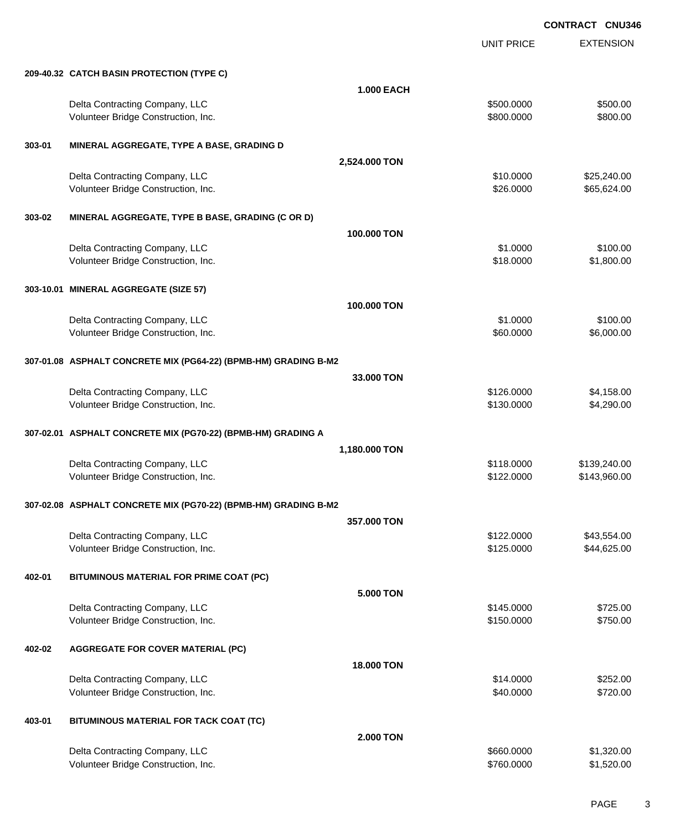UNIT PRICE

EXTENSION

|        | 209-40.32 CATCH BASIN PROTECTION (TYPE C)                       | <b>1.000 EACH</b> |            |              |  |
|--------|-----------------------------------------------------------------|-------------------|------------|--------------|--|
|        | Delta Contracting Company, LLC                                  |                   | \$500.0000 | \$500.00     |  |
|        | Volunteer Bridge Construction, Inc.                             |                   | \$800.0000 | \$800.00     |  |
| 303-01 | MINERAL AGGREGATE, TYPE A BASE, GRADING D                       |                   |            |              |  |
|        |                                                                 | 2,524.000 TON     |            |              |  |
|        | Delta Contracting Company, LLC                                  |                   | \$10.0000  | \$25,240.00  |  |
|        | Volunteer Bridge Construction, Inc.                             |                   | \$26.0000  | \$65,624.00  |  |
| 303-02 | MINERAL AGGREGATE, TYPE B BASE, GRADING (C OR D)                |                   |            |              |  |
|        |                                                                 | 100.000 TON       |            |              |  |
|        | Delta Contracting Company, LLC                                  |                   | \$1.0000   | \$100.00     |  |
|        | Volunteer Bridge Construction, Inc.                             |                   | \$18.0000  | \$1,800.00   |  |
|        | 303-10.01 MINERAL AGGREGATE (SIZE 57)                           |                   |            |              |  |
|        |                                                                 | 100.000 TON       |            |              |  |
|        | Delta Contracting Company, LLC                                  |                   | \$1.0000   | \$100.00     |  |
|        | Volunteer Bridge Construction, Inc.                             |                   | \$60.0000  | \$6,000.00   |  |
|        | 307-01.08 ASPHALT CONCRETE MIX (PG64-22) (BPMB-HM) GRADING B-M2 |                   |            |              |  |
|        |                                                                 | 33.000 TON        |            |              |  |
|        | Delta Contracting Company, LLC                                  |                   | \$126.0000 | \$4,158.00   |  |
|        | Volunteer Bridge Construction, Inc.                             |                   | \$130.0000 | \$4,290.00   |  |
|        | 307-02.01 ASPHALT CONCRETE MIX (PG70-22) (BPMB-HM) GRADING A    |                   |            |              |  |
|        |                                                                 | 1,180.000 TON     |            |              |  |
|        | Delta Contracting Company, LLC                                  |                   | \$118.0000 | \$139,240.00 |  |
|        | Volunteer Bridge Construction, Inc.                             |                   | \$122.0000 | \$143,960.00 |  |
|        | 307-02.08 ASPHALT CONCRETE MIX (PG70-22) (BPMB-HM) GRADING B-M2 |                   |            |              |  |
|        |                                                                 | 357.000 TON       |            |              |  |
|        | Delta Contracting Company, LLC                                  |                   | \$122.0000 | \$43,554.00  |  |
|        | Volunteer Bridge Construction, Inc.                             |                   | \$125.0000 | \$44,625.00  |  |
| 402-01 | BITUMINOUS MATERIAL FOR PRIME COAT (PC)                         |                   |            |              |  |
|        |                                                                 | <b>5.000 TON</b>  |            |              |  |
|        | Delta Contracting Company, LLC                                  |                   | \$145.0000 | \$725.00     |  |
|        | Volunteer Bridge Construction, Inc.                             |                   | \$150.0000 | \$750.00     |  |
| 402-02 | <b>AGGREGATE FOR COVER MATERIAL (PC)</b>                        |                   |            |              |  |
|        |                                                                 | <b>18.000 TON</b> |            |              |  |
|        | Delta Contracting Company, LLC                                  |                   | \$14.0000  | \$252.00     |  |
|        | Volunteer Bridge Construction, Inc.                             |                   | \$40.0000  | \$720.00     |  |
|        |                                                                 |                   |            |              |  |

# **403-01 BITUMINOUS MATERIAL FOR TACK COAT (TC)**

|                                     | <b>2.000 TON</b> |            |
|-------------------------------------|------------------|------------|
| Delta Contracting Company, LLC      | \$660,0000       | \$1,320,00 |
| Volunteer Bridge Construction, Inc. | \$760,0000       | \$1,520.00 |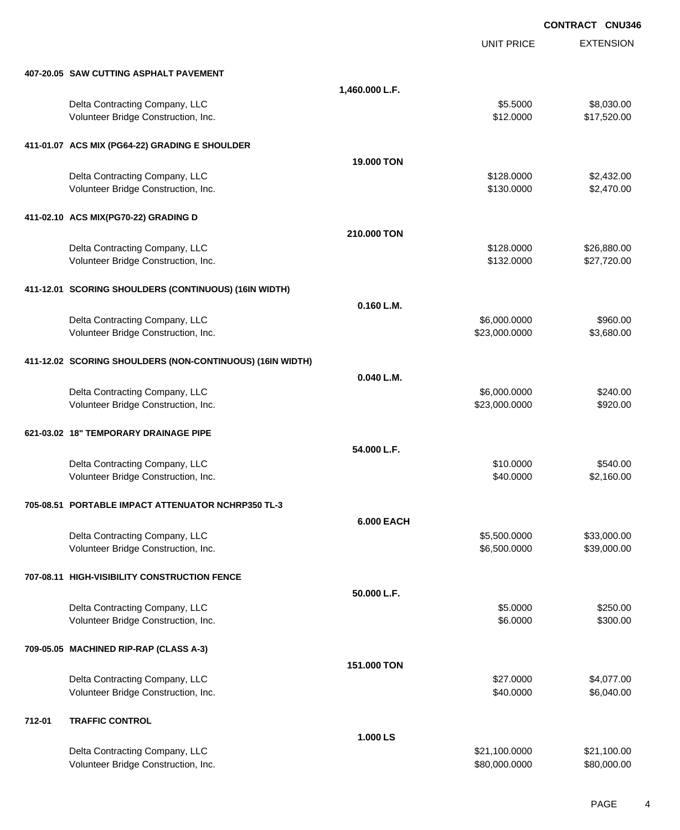EXTENSION **CONTRACT CNU346** UNIT PRICE **407-20.05 SAW CUTTING ASPHALT PAVEMENT 1,460.000 L.F.** Delta Contracting Company, LLC **6.5000** \$8,030.00 Volunteer Bridge Construction, Inc. 6. The Construction of the Construction, Inc. 6. The Construction of the Construction of the Construction of the Construction, Inc. 6. The Construction of the Construction of the Constru **411-01.07 ACS MIX (PG64-22) GRADING E SHOULDER 19.000 TON** Delta Contracting Company, LLC **1996 CONTRACTION 6128.0000** \$2,432.00 Volunteer Bridge Construction, Inc. 68 and the Construction, Inc. 68.470.000 \$2,470.00 **411-02.10 ACS MIX(PG70-22) GRADING D 210.000 TON** Delta Contracting Company, LLC **6.880.000** \$26,880.00 Volunteer Bridge Construction, Inc. 627,720.00 \$27,720.00 **411-12.01 SCORING SHOULDERS (CONTINUOUS) (16IN WIDTH) 0.160 L.M.** Delta Contracting Company, LLC 6.000.0000 \$960.000 \$960.000 \$960.000 Volunteer Bridge Construction, Inc. 63,680.00 \$3,680.00 \$23,000.0000 \$3,680.00 **411-12.02 SCORING SHOULDERS (NON-CONTINUOUS) (16IN WIDTH) 0.040 L.M.** Delta Contracting Company, LLC 6.000.0000 \$240.00 Volunteer Bridge Construction, Inc. 6920.00 \$920.00 \$920.00 \$920.00 **621-03.02 18" TEMPORARY DRAINAGE PIPE 54.000 L.F.** Delta Contracting Company, LLC 6510.000 \$540.00 Volunteer Bridge Construction, Inc. 6. The Construction of the Construction of the Construction, Inc. 6. The Construction of the Construction of the Construction, Inc. 6. The Construction of the Construction of the Constru **705-08.51 PORTABLE IMPACT ATTENUATOR NCHRP350 TL-3 6.000 EACH** Delta Contracting Company, LLC 6.500.000 \$5,500.000 \$33,000.00 Volunteer Bridge Construction, Inc. 6.600.000 \$6,500.000 \$39,000.00 **707-08.11 HIGH-VISIBILITY CONSTRUCTION FENCE 50.000 L.F.** Delta Contracting Company, LLC 6250.00 \$250.00 Volunteer Bridge Construction, Inc. 6300.00 \$300.00 \$300.00 \$300.00 **709-05.05 MACHINED RIP-RAP (CLASS A-3) 151.000 TON** Delta Contracting Company, LLC \$27.0000 \$4,077.00 Volunteer Bridge Construction, Inc. 6. 2012 12:30 12:30 12:30 12:30 12:30 12:30 12:30 12:30 12:30 12:30 12:30 13:30 13:30 13:30 13:30 13:30 13:30 13:30 13:30 13:30 13:30 13:30 13:30 13:30 13:30 13:30 13:30 13:30 13:30 13:3 **712-01 TRAFFIC CONTROL 1.000 LS** Delta Contracting Company, LLC 6. The Contraction of the Contraction of the S21,100.000 \$21,100.000 \$21,100.00

Volunteer Bridge Construction, Inc. 680,000.000 \$80,000.000 \$80,000.000 \$80,000.000 \$80,000.00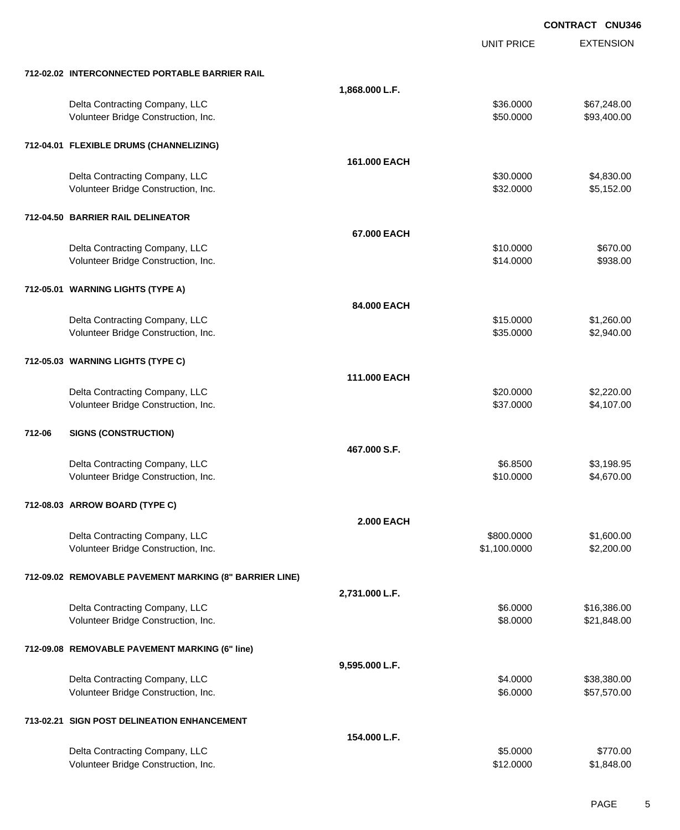EXTENSION **CONTRACT CNU346** UNIT PRICE **712-02.02 INTERCONNECTED PORTABLE BARRIER RAIL 1,868.000 L.F.** Delta Contracting Company, LLC \$36.0000 \$67,248.00 Volunteer Bridge Construction, Inc. 693,400.00 \$93,400.00 **712-04.01 FLEXIBLE DRUMS (CHANNELIZING) 161.000 EACH** Delta Contracting Company, LLC 6. The contraction of the contraction of the state of the state of the state of the state of the state of the state of the state of the state of the state of the state of the state of the sta Volunteer Bridge Construction, Inc. 6. 2012 12:30 and 2012 12:30 and 32.0000 \$5,152.00 **712-04.50 BARRIER RAIL DELINEATOR 67.000 EACH** Delta Contracting Company, LLC 6670.000 \$670.00 Volunteer Bridge Construction, Inc. 6938.00 \$938.00 \$938.00 **712-05.01 WARNING LIGHTS (TYPE A) 84.000 EACH** Delta Contracting Company, LLC \$15.0000 \$1,260.00 Volunteer Bridge Construction, Inc. 6. The Construction of the Construction, Inc. 6. The Construction of the Construction, Inc. 6. The Construction of the Construction, Inc. 6. The Construction of the Construction of the C **712-05.03 WARNING LIGHTS (TYPE C) 111.000 EACH** Delta Contracting Company, LLC \$20.0000 \$2,220.00 Volunteer Bridge Construction, Inc. 66 and the construction, Inc. 6537.0000 \$4,107.00 **712-06 SIGNS (CONSTRUCTION) 467.000 S.F.** Delta Contracting Company, LLC **6.8500** \$3,198.95 Volunteer Bridge Construction, Inc. 66 and the construction, Inc. 6510.000 \$4,670.00 **712-08.03 ARROW BOARD (TYPE C) 2.000 EACH** Delta Contracting Company, LLC **600.000 \$1,600.000 \$1,600.000 \$1,600.00** Volunteer Bridge Construction, Inc. 6. 2001. The state of the state of the state of the state of the state of the state of the state of the state of the state of the state of the state of the state of the state of the stat **712-09.02 REMOVABLE PAVEMENT MARKING (8" BARRIER LINE) 2,731.000 L.F.** Delta Contracting Company, LLC **6.0000 \$16,386.00** \$16,386.00 Volunteer Bridge Construction, Inc. 621,848.00 \$21,848.00 \$21,848.00 **712-09.08 REMOVABLE PAVEMENT MARKING (6" line) 9,595.000 L.F.** Delta Contracting Company, LLC **638,380.00** \$38,380.00 Volunteer Bridge Construction, Inc. 6. The Construction of the Construction of the Construction, Inc. 657,570.00 **713-02.21 SIGN POST DELINEATION ENHANCEMENT 154.000 L.F.** Delta Contracting Company, LLC 6770.00

Volunteer Bridge Construction, Inc. 6. The Construction of the Construction, Inc. 6. The Construction, Inc. 6. The Construction of the Construction of the Construction, Inc. 6. The Construction of the Construction of the C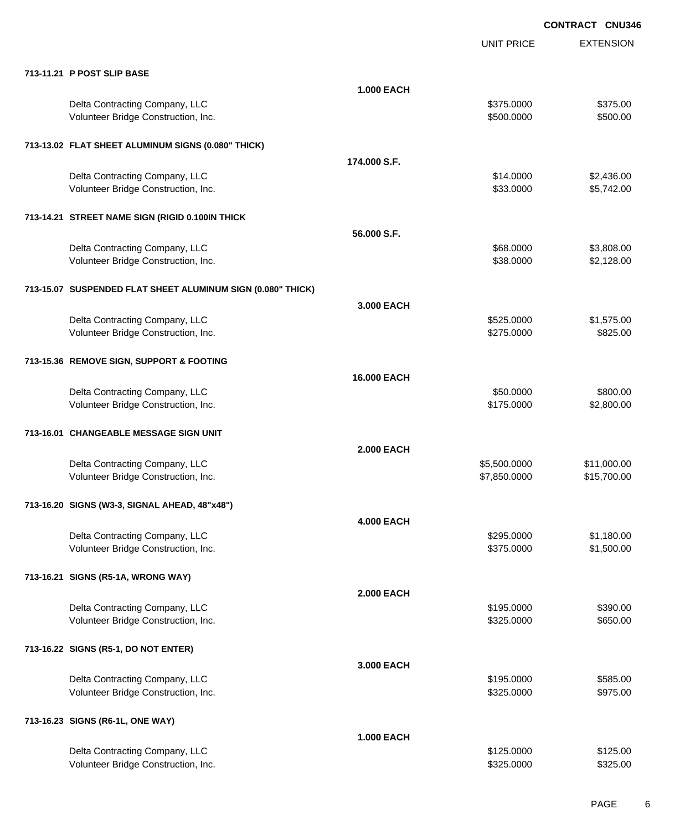|                                                             |                   | <b>UNIT PRICE</b> | <b>EXTENSION</b> |
|-------------------------------------------------------------|-------------------|-------------------|------------------|
| 713-11.21 P POST SLIP BASE                                  |                   |                   |                  |
|                                                             | <b>1.000 EACH</b> |                   |                  |
| Delta Contracting Company, LLC                              |                   | \$375.0000        | \$375.00         |
| Volunteer Bridge Construction, Inc.                         |                   | \$500.0000        | \$500.00         |
| 713-13.02 FLAT SHEET ALUMINUM SIGNS (0.080" THICK)          |                   |                   |                  |
|                                                             | 174.000 S.F.      |                   |                  |
| Delta Contracting Company, LLC                              |                   | \$14.0000         | \$2,436.00       |
| Volunteer Bridge Construction, Inc.                         |                   | \$33.0000         | \$5,742.00       |
| 713-14.21 STREET NAME SIGN (RIGID 0.100IN THICK             |                   |                   |                  |
|                                                             | 56,000 S.F.       |                   |                  |
| Delta Contracting Company, LLC                              |                   | \$68.0000         | \$3,808.00       |
| Volunteer Bridge Construction, Inc.                         |                   | \$38.0000         | \$2,128.00       |
| 713-15.07 SUSPENDED FLAT SHEET ALUMINUM SIGN (0.080" THICK) |                   |                   |                  |
|                                                             | 3.000 EACH        |                   |                  |
| Delta Contracting Company, LLC                              |                   | \$525.0000        | \$1,575.00       |
| Volunteer Bridge Construction, Inc.                         |                   | \$275.0000        | \$825.00         |
| 713-15.36 REMOVE SIGN, SUPPORT & FOOTING                    |                   |                   |                  |
|                                                             | 16.000 EACH       |                   |                  |
| Delta Contracting Company, LLC                              |                   | \$50.0000         | \$800.00         |
| Volunteer Bridge Construction, Inc.                         |                   | \$175.0000        | \$2,800.00       |
| 713-16.01 CHANGEABLE MESSAGE SIGN UNIT                      |                   |                   |                  |
|                                                             | <b>2.000 EACH</b> |                   |                  |
| Delta Contracting Company, LLC                              |                   | \$5,500.0000      | \$11,000.00      |
| Volunteer Bridge Construction, Inc.                         |                   | \$7,850.0000      | \$15,700.00      |
| 713-16.20 SIGNS (W3-3, SIGNAL AHEAD, 48"x48")               |                   |                   |                  |
|                                                             | <b>4.000 EACH</b> |                   |                  |
| Delta Contracting Company, LLC                              |                   | \$295.0000        | \$1,180.00       |
| Volunteer Bridge Construction, Inc.                         |                   | \$375.0000        | \$1,500.00       |
| 713-16.21 SIGNS (R5-1A, WRONG WAY)                          |                   |                   |                  |
|                                                             | <b>2.000 EACH</b> |                   |                  |
| Delta Contracting Company, LLC                              |                   | \$195.0000        | \$390.00         |
| Volunteer Bridge Construction, Inc.                         |                   | \$325.0000        | \$650.00         |
| 713-16.22 SIGNS (R5-1, DO NOT ENTER)                        |                   |                   |                  |
|                                                             | 3.000 EACH        |                   |                  |
| Delta Contracting Company, LLC                              |                   | \$195.0000        | \$585.00         |
| Volunteer Bridge Construction, Inc.                         |                   | \$325.0000        | \$975.00         |
| 713-16.23 SIGNS (R6-1L, ONE WAY)                            |                   |                   |                  |
|                                                             | <b>1.000 EACH</b> |                   |                  |
| Delta Contracting Company, LLC                              |                   | \$125.0000        | \$125.00         |
| Volunteer Bridge Construction, Inc.                         |                   | \$325.0000        | \$325.00         |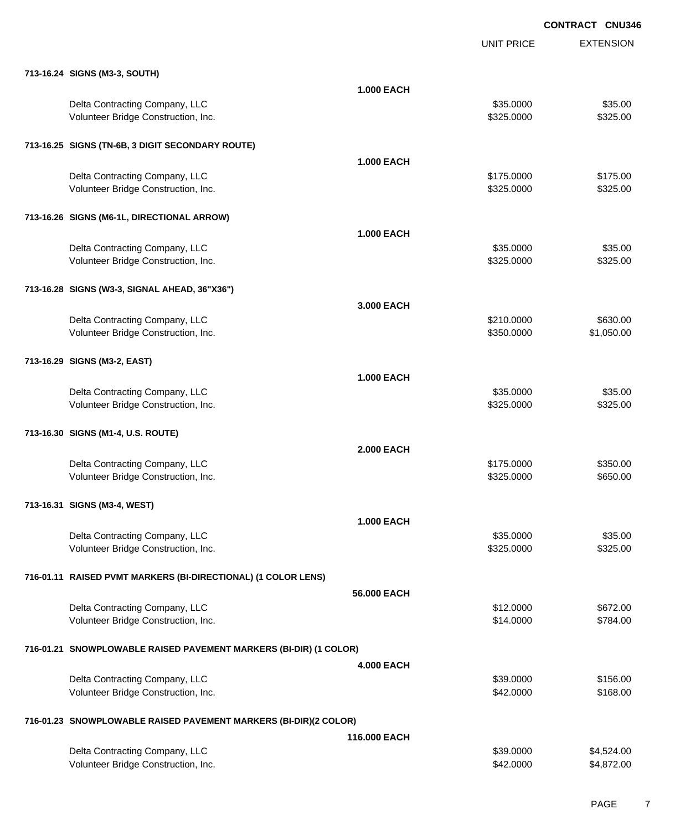|                                                                   |                   | <b>UNIT PRICE</b> | <b>EXTENSION</b> |
|-------------------------------------------------------------------|-------------------|-------------------|------------------|
| 713-16.24 SIGNS (M3-3, SOUTH)                                     |                   |                   |                  |
|                                                                   | <b>1.000 EACH</b> |                   |                  |
| Delta Contracting Company, LLC                                    |                   | \$35.0000         | \$35.00          |
| Volunteer Bridge Construction, Inc.                               |                   | \$325.0000        | \$325.00         |
| 713-16.25 SIGNS (TN-6B, 3 DIGIT SECONDARY ROUTE)                  |                   |                   |                  |
|                                                                   | <b>1.000 EACH</b> |                   |                  |
| Delta Contracting Company, LLC                                    |                   | \$175.0000        | \$175.00         |
| Volunteer Bridge Construction, Inc.                               |                   | \$325.0000        | \$325.00         |
| 713-16.26 SIGNS (M6-1L, DIRECTIONAL ARROW)                        |                   |                   |                  |
|                                                                   | <b>1.000 EACH</b> |                   |                  |
| Delta Contracting Company, LLC                                    |                   | \$35.0000         | \$35.00          |
| Volunteer Bridge Construction, Inc.                               |                   | \$325.0000        | \$325.00         |
| 713-16.28 SIGNS (W3-3, SIGNAL AHEAD, 36"X36")                     |                   |                   |                  |
|                                                                   | 3.000 EACH        |                   |                  |
| Delta Contracting Company, LLC                                    |                   | \$210.0000        | \$630.00         |
| Volunteer Bridge Construction, Inc.                               |                   | \$350.0000        | \$1,050.00       |
| 713-16.29 SIGNS (M3-2, EAST)                                      |                   |                   |                  |
|                                                                   | <b>1.000 EACH</b> |                   |                  |
| Delta Contracting Company, LLC                                    |                   | \$35.0000         | \$35.00          |
| Volunteer Bridge Construction, Inc.                               |                   | \$325.0000        | \$325.00         |
| 713-16.30 SIGNS (M1-4, U.S. ROUTE)                                |                   |                   |                  |
|                                                                   | <b>2.000 EACH</b> |                   |                  |
| Delta Contracting Company, LLC                                    |                   | \$175.0000        | \$350.00         |
| Volunteer Bridge Construction, Inc.                               |                   | \$325.0000        | \$650.00         |
| 713-16.31 SIGNS (M3-4, WEST)                                      |                   |                   |                  |
|                                                                   | <b>1.000 EACH</b> |                   |                  |
| Delta Contracting Company, LLC                                    |                   | \$35.0000         | \$35.00          |
| Volunteer Bridge Construction, Inc.                               |                   | \$325.0000        | \$325.00         |
| 716-01.11 RAISED PVMT MARKERS (BI-DIRECTIONAL) (1 COLOR LENS)     |                   |                   |                  |
|                                                                   | 56.000 EACH       |                   |                  |
| Delta Contracting Company, LLC                                    |                   | \$12.0000         | \$672.00         |
| Volunteer Bridge Construction, Inc.                               |                   | \$14.0000         | \$784.00         |
| 716-01.21 SNOWPLOWABLE RAISED PAVEMENT MARKERS (BI-DIR) (1 COLOR) |                   |                   |                  |
|                                                                   | <b>4.000 EACH</b> |                   |                  |
| Delta Contracting Company, LLC                                    |                   | \$39.0000         | \$156.00         |
| Volunteer Bridge Construction, Inc.                               |                   | \$42.0000         | \$168.00         |
| 716-01.23 SNOWPLOWABLE RAISED PAVEMENT MARKERS (BI-DIR)(2 COLOR)  |                   |                   |                  |
|                                                                   | 116.000 EACH      |                   |                  |
| Delta Contracting Company, LLC                                    |                   | \$39.0000         | \$4,524.00       |
| Volunteer Bridge Construction, Inc.                               |                   | \$42.0000         | \$4,872.00       |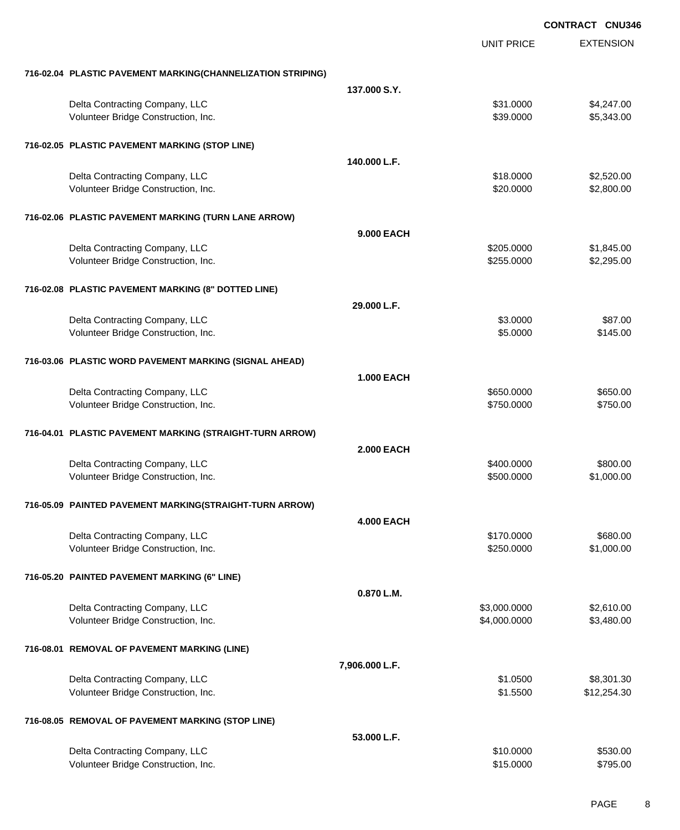|                                                             |                   |                   | <b>CONTRACT CNU346</b> |
|-------------------------------------------------------------|-------------------|-------------------|------------------------|
|                                                             |                   | <b>UNIT PRICE</b> | <b>EXTENSION</b>       |
| 716-02.04 PLASTIC PAVEMENT MARKING(CHANNELIZATION STRIPING) |                   |                   |                        |
|                                                             | 137.000 S.Y.      |                   |                        |
| Delta Contracting Company, LLC                              |                   | \$31.0000         | \$4,247.00             |
| Volunteer Bridge Construction, Inc.                         |                   | \$39.0000         | \$5,343.00             |
| 716-02.05 PLASTIC PAVEMENT MARKING (STOP LINE)              |                   |                   |                        |
|                                                             | 140.000 L.F.      |                   |                        |
| Delta Contracting Company, LLC                              |                   | \$18.0000         | \$2,520.00             |
| Volunteer Bridge Construction, Inc.                         |                   | \$20.0000         | \$2,800.00             |
| 716-02.06 PLASTIC PAVEMENT MARKING (TURN LANE ARROW)        |                   |                   |                        |
|                                                             | <b>9.000 EACH</b> |                   |                        |
| Delta Contracting Company, LLC                              |                   | \$205.0000        | \$1,845.00             |
| Volunteer Bridge Construction, Inc.                         |                   | \$255.0000        | \$2,295.00             |
| 716-02.08 PLASTIC PAVEMENT MARKING (8" DOTTED LINE)         |                   |                   |                        |
|                                                             | 29.000 L.F.       |                   |                        |
| Delta Contracting Company, LLC                              |                   | \$3.0000          | \$87.00                |
| Volunteer Bridge Construction, Inc.                         |                   | \$5.0000          | \$145.00               |
| 716-03.06 PLASTIC WORD PAVEMENT MARKING (SIGNAL AHEAD)      |                   |                   |                        |
|                                                             | <b>1.000 EACH</b> |                   |                        |
| Delta Contracting Company, LLC                              |                   | \$650.0000        | \$650.00               |
| Volunteer Bridge Construction, Inc.                         |                   | \$750.0000        | \$750.00               |
| 716-04.01 PLASTIC PAVEMENT MARKING (STRAIGHT-TURN ARROW)    |                   |                   |                        |
|                                                             | <b>2.000 EACH</b> |                   |                        |
| Delta Contracting Company, LLC                              |                   | \$400.0000        | \$800.00               |
| Volunteer Bridge Construction, Inc.                         |                   | \$500.0000        | \$1,000.00             |
| 716-05.09 PAINTED PAVEMENT MARKING(STRAIGHT-TURN ARROW)     |                   |                   |                        |
|                                                             | <b>4.000 EACH</b> |                   |                        |
| Delta Contracting Company, LLC                              |                   | \$170.0000        | \$680.00               |
| Volunteer Bridge Construction, Inc.                         |                   | \$250.0000        | \$1,000.00             |
| 716-05.20 PAINTED PAVEMENT MARKING (6" LINE)                |                   |                   |                        |
|                                                             | 0.870 L.M.        |                   |                        |
| Delta Contracting Company, LLC                              |                   | \$3,000.0000      | \$2,610.00             |
| Volunteer Bridge Construction, Inc.                         |                   | \$4,000.0000      | \$3,480.00             |
| 716-08.01 REMOVAL OF PAVEMENT MARKING (LINE)                |                   |                   |                        |
|                                                             | 7,906.000 L.F.    |                   |                        |
| Delta Contracting Company, LLC                              |                   | \$1.0500          | \$8,301.30             |
| Volunteer Bridge Construction, Inc.                         |                   | \$1.5500          | \$12,254.30            |
| 716-08.05 REMOVAL OF PAVEMENT MARKING (STOP LINE)           |                   |                   |                        |
|                                                             | 53.000 L.F.       |                   |                        |
| Delta Contracting Company, LLC                              |                   | \$10.0000         | \$530.00               |
| Volunteer Bridge Construction, Inc.                         |                   | \$15.0000         | \$795.00               |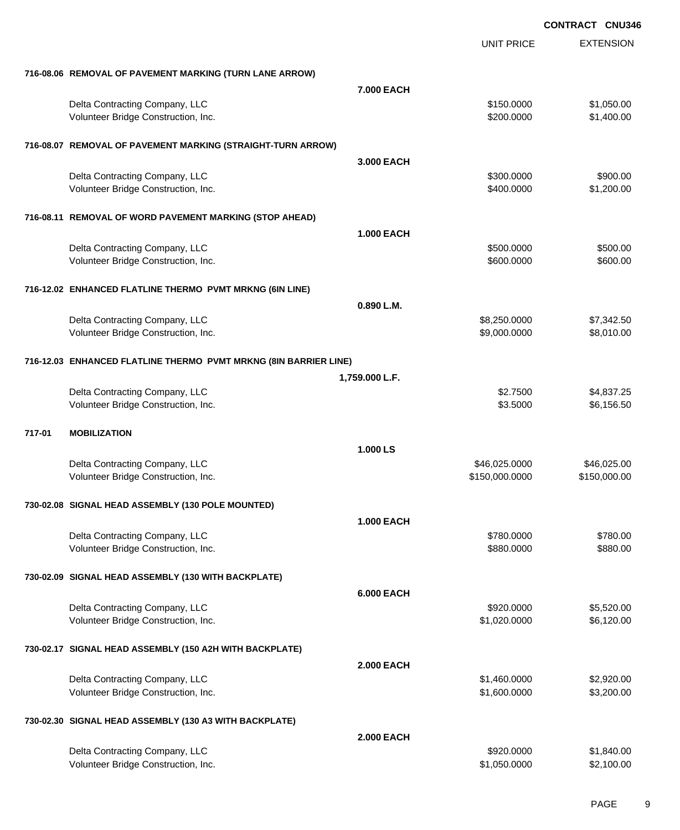|        |                                                                  |                   | <b>UNIT PRICE</b> | <b>EXTENSION</b> |
|--------|------------------------------------------------------------------|-------------------|-------------------|------------------|
|        | 716-08.06 REMOVAL OF PAVEMENT MARKING (TURN LANE ARROW)          |                   |                   |                  |
|        |                                                                  | 7.000 EACH        |                   |                  |
|        | Delta Contracting Company, LLC                                   |                   | \$150.0000        | \$1,050.00       |
|        | Volunteer Bridge Construction, Inc.                              |                   | \$200.0000        | \$1,400.00       |
|        | 716-08.07 REMOVAL OF PAVEMENT MARKING (STRAIGHT-TURN ARROW)      |                   |                   |                  |
|        |                                                                  | 3.000 EACH        |                   |                  |
|        | Delta Contracting Company, LLC                                   |                   | \$300.0000        | \$900.00         |
|        | Volunteer Bridge Construction, Inc.                              |                   | \$400.0000        | \$1,200.00       |
|        | 716-08.11 REMOVAL OF WORD PAVEMENT MARKING (STOP AHEAD)          |                   |                   |                  |
|        |                                                                  | <b>1.000 EACH</b> |                   |                  |
|        | Delta Contracting Company, LLC                                   |                   | \$500.0000        | \$500.00         |
|        | Volunteer Bridge Construction, Inc.                              |                   | \$600.0000        | \$600.00         |
|        | 716-12.02 ENHANCED FLATLINE THERMO PVMT MRKNG (6IN LINE)         |                   |                   |                  |
|        |                                                                  | 0.890 L.M.        |                   |                  |
|        | Delta Contracting Company, LLC                                   |                   | \$8,250.0000      | \$7,342.50       |
|        | Volunteer Bridge Construction, Inc.                              |                   | \$9,000.0000      | \$8,010.00       |
|        | 716-12.03 ENHANCED FLATLINE THERMO PVMT MRKNG (8IN BARRIER LINE) |                   |                   |                  |
|        |                                                                  | 1,759.000 L.F.    |                   |                  |
|        | Delta Contracting Company, LLC                                   |                   | \$2.7500          | \$4,837.25       |
|        | Volunteer Bridge Construction, Inc.                              |                   | \$3.5000          | \$6,156.50       |
| 717-01 | <b>MOBILIZATION</b>                                              |                   |                   |                  |
|        |                                                                  | 1.000 LS          |                   |                  |
|        | Delta Contracting Company, LLC                                   |                   | \$46,025.0000     | \$46,025.00      |
|        | Volunteer Bridge Construction, Inc.                              |                   | \$150,000.0000    | \$150,000.00     |
|        | 730-02.08 SIGNAL HEAD ASSEMBLY (130 POLE MOUNTED)                |                   |                   |                  |
|        |                                                                  | <b>1.000 EACH</b> |                   |                  |
|        | Delta Contracting Company, LLC                                   |                   | \$780.0000        | \$780.00         |
|        | Volunteer Bridge Construction, Inc.                              |                   | \$880.0000        | \$880.00         |
|        | 730-02.09 SIGNAL HEAD ASSEMBLY (130 WITH BACKPLATE)              |                   |                   |                  |
|        |                                                                  | <b>6.000 EACH</b> |                   |                  |
|        | Delta Contracting Company, LLC                                   |                   | \$920.0000        | \$5,520.00       |
|        | Volunteer Bridge Construction, Inc.                              |                   | \$1,020.0000      | \$6,120.00       |
|        | 730-02.17 SIGNAL HEAD ASSEMBLY (150 A2H WITH BACKPLATE)          |                   |                   |                  |
|        |                                                                  | <b>2.000 EACH</b> |                   |                  |
|        | Delta Contracting Company, LLC                                   |                   | \$1,460.0000      | \$2,920.00       |
|        | Volunteer Bridge Construction, Inc.                              |                   | \$1,600.0000      | \$3,200.00       |
|        | 730-02.30 SIGNAL HEAD ASSEMBLY (130 A3 WITH BACKPLATE)           |                   |                   |                  |
|        |                                                                  | <b>2.000 EACH</b> |                   |                  |
|        | Delta Contracting Company, LLC                                   |                   | \$920.0000        | \$1,840.00       |
|        | Volunteer Bridge Construction, Inc.                              |                   | \$1,050.0000      | \$2,100.00       |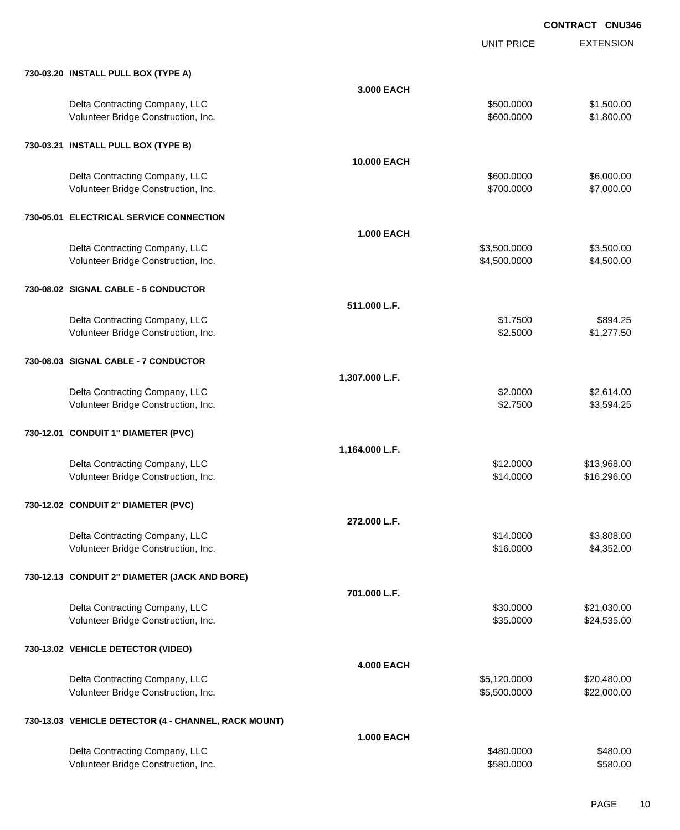UNIT PRICE

| 730-03.20 INSTALL PULL BOX (TYPE A)                                   |                   |                          |                          |
|-----------------------------------------------------------------------|-------------------|--------------------------|--------------------------|
|                                                                       | 3.000 EACH        |                          |                          |
| Delta Contracting Company, LLC<br>Volunteer Bridge Construction, Inc. |                   | \$500.0000<br>\$600.0000 | \$1,500.00<br>\$1,800.00 |
| 730-03.21 INSTALL PULL BOX (TYPE B)                                   |                   |                          |                          |
|                                                                       | 10.000 EACH       |                          |                          |
| Delta Contracting Company, LLC                                        |                   | \$600.0000               | \$6,000.00               |
| Volunteer Bridge Construction, Inc.                                   |                   | \$700.0000               | \$7,000.00               |
| 730-05.01 ELECTRICAL SERVICE CONNECTION                               |                   |                          |                          |
|                                                                       | <b>1.000 EACH</b> |                          |                          |
| Delta Contracting Company, LLC                                        |                   | \$3,500.0000             | \$3,500.00               |
| Volunteer Bridge Construction, Inc.                                   |                   | \$4,500.0000             | \$4,500.00               |
| 730-08.02 SIGNAL CABLE - 5 CONDUCTOR                                  |                   |                          |                          |
|                                                                       | 511.000 L.F.      |                          |                          |
| Delta Contracting Company, LLC                                        |                   | \$1.7500                 | \$894.25                 |
| Volunteer Bridge Construction, Inc.                                   |                   | \$2.5000                 | \$1,277.50               |
| 730-08.03 SIGNAL CABLE - 7 CONDUCTOR                                  |                   |                          |                          |
|                                                                       | 1,307.000 L.F.    |                          |                          |
| Delta Contracting Company, LLC                                        |                   | \$2.0000                 | \$2,614.00               |
| Volunteer Bridge Construction, Inc.                                   |                   | \$2.7500                 | \$3,594.25               |
|                                                                       |                   |                          |                          |
| 730-12.01 CONDUIT 1" DIAMETER (PVC)                                   |                   |                          |                          |
|                                                                       | 1,164.000 L.F.    |                          |                          |
| Delta Contracting Company, LLC                                        |                   | \$12.0000                | \$13,968.00              |
| Volunteer Bridge Construction, Inc.                                   |                   | \$14.0000                | \$16,296.00              |
| 730-12.02 CONDUIT 2" DIAMETER (PVC)                                   |                   |                          |                          |
|                                                                       | 272.000 L.F.      |                          |                          |
| Delta Contracting Company, LLC                                        |                   | \$14.0000                | \$3,808.00               |
| Volunteer Bridge Construction, Inc.                                   |                   | \$16.0000                | \$4,352.00               |
| 730-12.13 CONDUIT 2" DIAMETER (JACK AND BORE)                         |                   |                          |                          |
|                                                                       | 701.000 L.F.      |                          |                          |
| Delta Contracting Company, LLC                                        |                   | \$30.0000                | \$21,030.00              |
| Volunteer Bridge Construction, Inc.                                   |                   | \$35.0000                | \$24,535.00              |
| 730-13.02 VEHICLE DETECTOR (VIDEO)                                    |                   |                          |                          |
|                                                                       | <b>4.000 EACH</b> |                          |                          |
| Delta Contracting Company, LLC                                        |                   | \$5,120.0000             | \$20,480.00              |
| Volunteer Bridge Construction, Inc.                                   |                   | \$5,500.0000             | \$22,000.00              |
| 730-13.03 VEHICLE DETECTOR (4 - CHANNEL, RACK MOUNT)                  |                   |                          |                          |
|                                                                       | <b>1.000 EACH</b> |                          |                          |
| Delta Contracting Company, LLC<br>Volunteer Bridge Construction, Inc. |                   | \$480.0000<br>\$580.0000 | \$480.00<br>\$580.00     |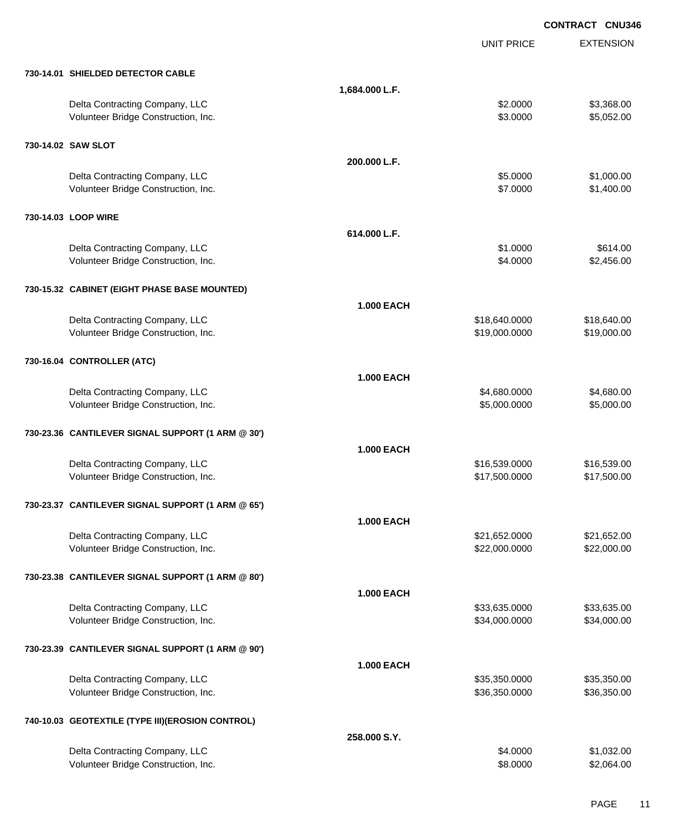EXTENSION **CONTRACT CNU346** UNIT PRICE **730-14.01 SHIELDED DETECTOR CABLE 1,684.000 L.F.** Delta Contracting Company, LLC \$2.0000 \$3,368.00 Volunteer Bridge Construction, Inc. 6. 2000 \$5,052.00 **730-14.02 SAW SLOT 200.000 L.F.** Delta Contracting Company, LLC **but a contracting Company, LLC** \$5.0000 \$1,000.00 Volunteer Bridge Construction, Inc. 63. The Construction of the Construction, Inc. 63. The Construction of the Construction, Inc. 63. The Construction of the Construction, Inc. 63. The Construction of the Construction of t **730-14.03 LOOP WIRE 614.000 L.F.** Delta Contracting Company, LLC 6614.00 Volunteer Bridge Construction, Inc. 6. 2000 \$2,456.00 **730-15.32 CABINET (EIGHT PHASE BASE MOUNTED) 1.000 EACH** Delta Contracting Company, LLC 6. 2012 12:00:000 \$18,640.0000 \$18,640.000 \$18,640.000 Volunteer Bridge Construction, Inc. 619,000.000 \$19,000.000 \$19,000.000 \$19,000.000 \$19,000.00 **730-16.04 CONTROLLER (ATC) 1.000 EACH** Delta Contracting Company, LLC 6.680.000 \$4,680.000 \$4,680.000 \$4,680.000 Volunteer Bridge Construction, Inc. 6. 2002.000 \$5,000.000 \$5,000.000 \$5,000.000 \$5,000.00 **730-23.36 CANTILEVER SIGNAL SUPPORT (1 ARM @ 30') 1.000 EACH** Delta Contracting Company, LLC 6.639.000 \$16,539.000 \$16,539.000 \$16,539.000 Volunteer Bridge Construction, Inc. 6. The Construction of the Construction of the Construction, Inc. 617,500.000 \$17,500.00 **730-23.37 CANTILEVER SIGNAL SUPPORT (1 ARM @ 65') 1.000 EACH** Delta Contracting Company, LLC 621,652.000 \$21,652.000 \$21,652.000 Volunteer Bridge Construction, Inc. 622,000.000 \$22,000.000 \$22,000.000 \$22,000.000 \$22,000.00 **730-23.38 CANTILEVER SIGNAL SUPPORT (1 ARM @ 80') 1.000 EACH** Delta Contracting Company, LLC 6. 2012 12:00:00 \$33,635.0000 \$33,635.000 \$33,635.000 Volunteer Bridge Construction, Inc. 634,000.000 \$34,000.000 \$34,000.000 \$34,000.000 \$34,000.00 **730-23.39 CANTILEVER SIGNAL SUPPORT (1 ARM @ 90') 1.000 EACH** Delta Contracting Company, LLC 6. 2012 12:35,350.000 \$35,350.0000 \$35,350.000 Volunteer Bridge Construction, Inc. 636,350.000 \$36,350.000 \$36,350.000 \$36,350.000 **740-10.03 GEOTEXTILE (TYPE III)(EROSION CONTROL) 258.000 S.Y.**

| \$4,0000 | \$1,032,00 |
|----------|------------|
| \$8,0000 | \$2,064.00 |
|          |            |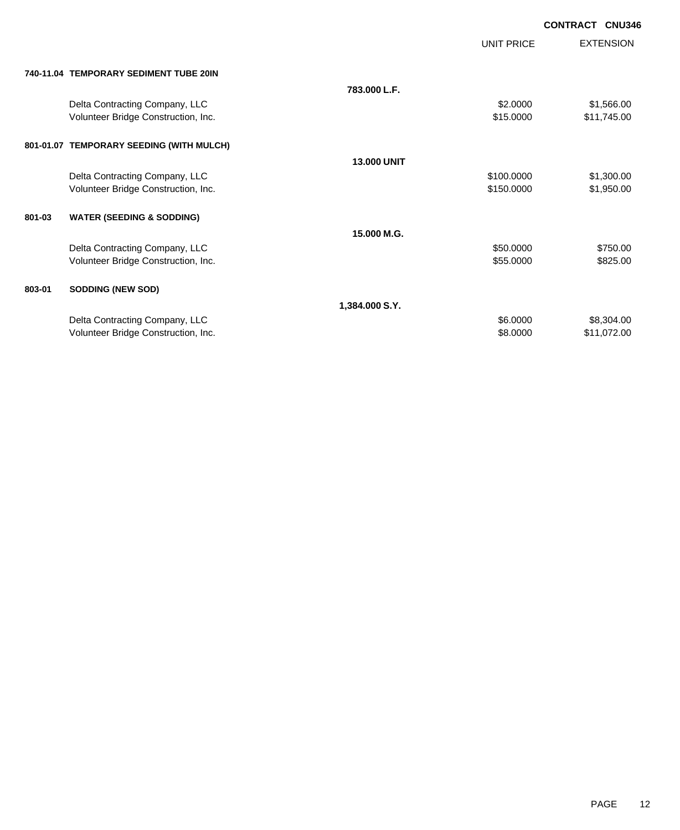| <b>CONTRACT CNU346</b> |  |
|------------------------|--|
|                        |  |

|        |                                          |                    | <b>UNIT PRICE</b> | <b>EXTENSION</b> |
|--------|------------------------------------------|--------------------|-------------------|------------------|
|        | 740-11.04 TEMPORARY SEDIMENT TUBE 20IN   |                    |                   |                  |
|        |                                          | 783.000 L.F.       |                   |                  |
|        | Delta Contracting Company, LLC           |                    | \$2.0000          | \$1,566.00       |
|        | Volunteer Bridge Construction, Inc.      |                    | \$15.0000         | \$11,745.00      |
|        | 801-01.07 TEMPORARY SEEDING (WITH MULCH) |                    |                   |                  |
|        |                                          | <b>13,000 UNIT</b> |                   |                  |
|        | Delta Contracting Company, LLC           |                    | \$100.0000        | \$1,300.00       |
|        | Volunteer Bridge Construction, Inc.      |                    | \$150.0000        | \$1,950.00       |
|        |                                          |                    |                   |                  |
| 801-03 | <b>WATER (SEEDING &amp; SODDING)</b>     |                    |                   |                  |
|        |                                          | 15.000 M.G.        |                   |                  |
|        | Delta Contracting Company, LLC           |                    | \$50.0000         | \$750.00         |
|        | Volunteer Bridge Construction, Inc.      |                    | \$55.0000         | \$825.00         |
|        |                                          |                    |                   |                  |
| 803-01 | <b>SODDING (NEW SOD)</b>                 |                    |                   |                  |
|        |                                          | 1,384.000 S.Y.     |                   |                  |
|        | Delta Contracting Company, LLC           |                    | \$6.0000          | \$8,304.00       |
|        | Volunteer Bridge Construction, Inc.      |                    | \$8.0000          | \$11,072.00      |
|        |                                          |                    |                   |                  |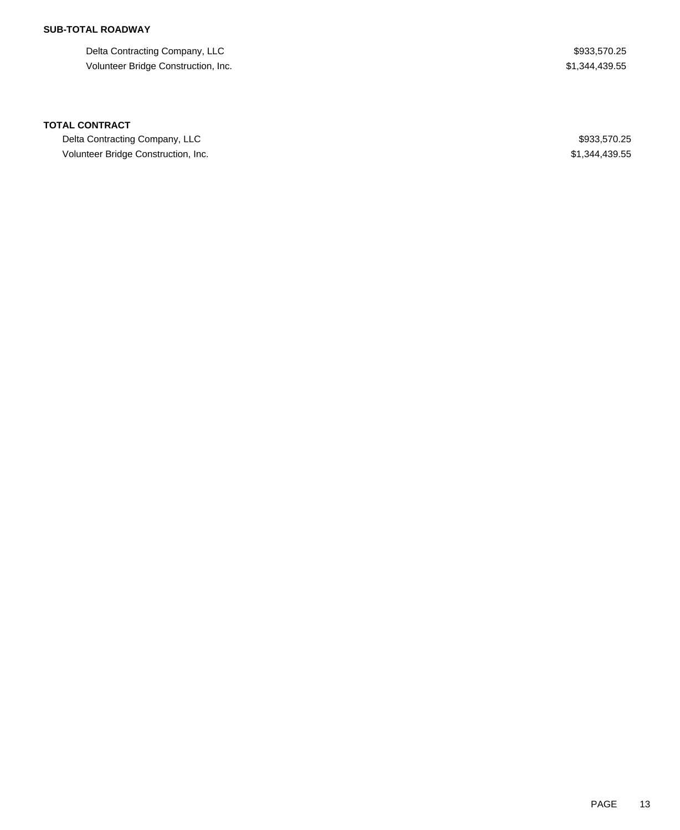## **SUB-TOTAL ROADWAY**

Delta Contracting Company, LLC  $$933,570.25$ Volunteer Bridge Construction, Inc. 61,344,439.55

### **TOTAL CONTRACT**

Delta Contracting Company, LLC  $$933,570.25$ Volunteer Bridge Construction, Inc. 6. The Construction of the Construction, Inc. 6. The Construction of the Construction of the Construction of the Construction of the Construction of the Construction of the Construction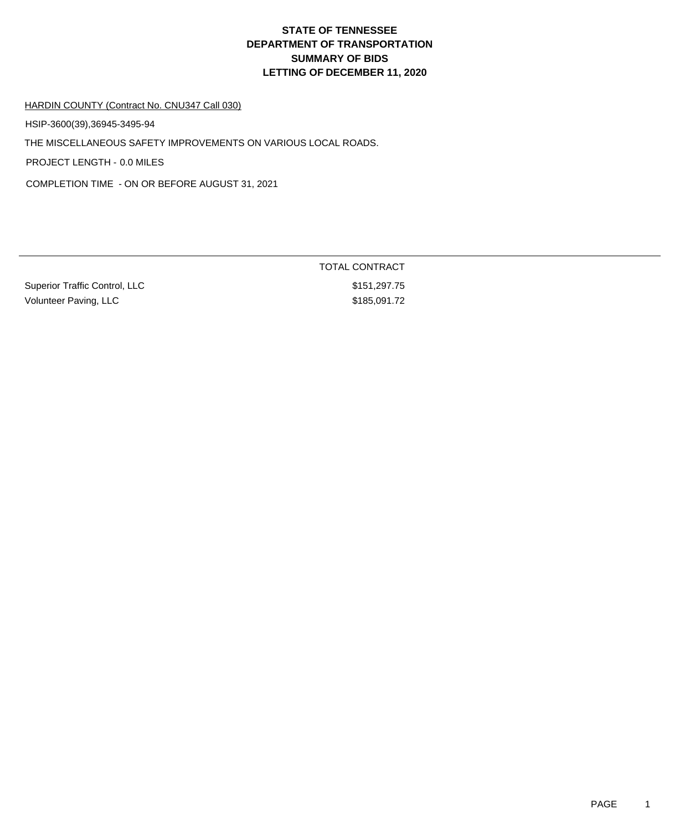# **DEPARTMENT OF TRANSPORTATION SUMMARY OF BIDS LETTING OF DECEMBER 11, 2020 STATE OF TENNESSEE**

### HARDIN COUNTY (Contract No. CNU347 Call 030)

HSIP-3600(39),36945-3495-94

THE MISCELLANEOUS SAFETY IMPROVEMENTS ON VARIOUS LOCAL ROADS.

PROJECT LENGTH - 0.0 MILES

COMPLETION TIME - ON OR BEFORE AUGUST 31, 2021

| <b>Superior Traffic Control, LLC</b> |
|--------------------------------------|
| Volunteer Paving, LLC                |

TOTAL CONTRACT  $$151,297.75$ 

 $$185,091.72$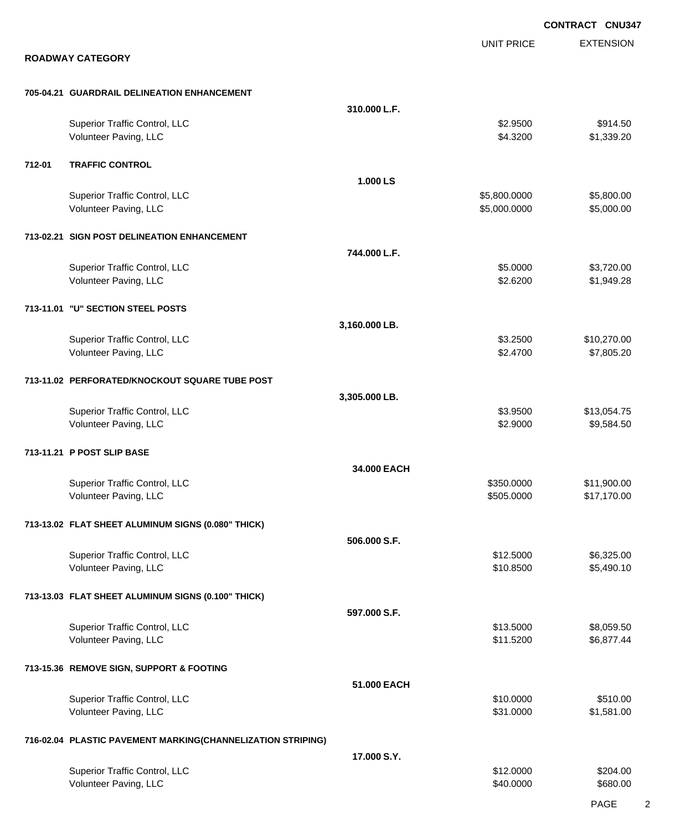EXTENSION **CONTRACT CNU347** UNIT PRICE **ROADWAY CATEGORY 705-04.21 GUARDRAIL DELINEATION ENHANCEMENT 310.000 L.F.** Superior Traffic Control, LLC \$914.50 Volunteer Paving, LLC 61,339.20 \$1,339.20 **712-01 TRAFFIC CONTROL 1.000 LS** Superior Traffic Control, LLC 6.600.000 \$5,800.000 \$5,800.000 \$5,800.000 \$5,800.000 \$5,800.00 Volunteer Paving, LLC 6.000.000 \$5,000.000 \$5,000.000 \$5,000.000 \$5,000.000 \$5,000.000 \$5,000.00 **713-02.21 SIGN POST DELINEATION ENHANCEMENT 744.000 L.F.** Superior Traffic Control, LLC 63,720.00 Volunteer Paving, LLC 61,949.28 **713-11.01 "U" SECTION STEEL POSTS 3,160.000 LB.** Superior Traffic Control, LLC 610,270.00 Volunteer Paving, LLC 67,805.20 **713-11.02 PERFORATED/KNOCKOUT SQUARE TUBE POST 3,305.000 LB.** Superior Traffic Control, LLC 613,054.75 Volunteer Paving, LLC 6. 2000 \$9,584.50 **713-11.21 P POST SLIP BASE 34.000 EACH** Superior Traffic Control, LLC 611,900.00 Volunteer Paving, LLC 61 2002 12:000 \$17,170.00 **713-13.02 FLAT SHEET ALUMINUM SIGNS (0.080" THICK) 506.000 S.F.** Superior Traffic Control, LLC 6325.00 Volunteer Paving, LLC 65,490.10 **713-13.03 FLAT SHEET ALUMINUM SIGNS (0.100" THICK) 597.000 S.F.** Superior Traffic Control, LLC 68,059.50 Volunteer Paving, LLC \$11.5200 \$6,877.44 **713-15.36 REMOVE SIGN, SUPPORT & FOOTING 51.000 EACH** Superior Traffic Control, LLC \$10.000 \$510.00 Volunteer Paving, LLC 61,581.000 \$1,581.000 \$1,581.000 \$1,581.000 \$1,581.000 \$1,581.00 **716-02.04 PLASTIC PAVEMENT MARKING(CHANNELIZATION STRIPING) 17.000 S.Y.** Superior Traffic Control, LLC \$12.0000 \$204.00 Volunteer Paving, LLC 680.000 \$680.00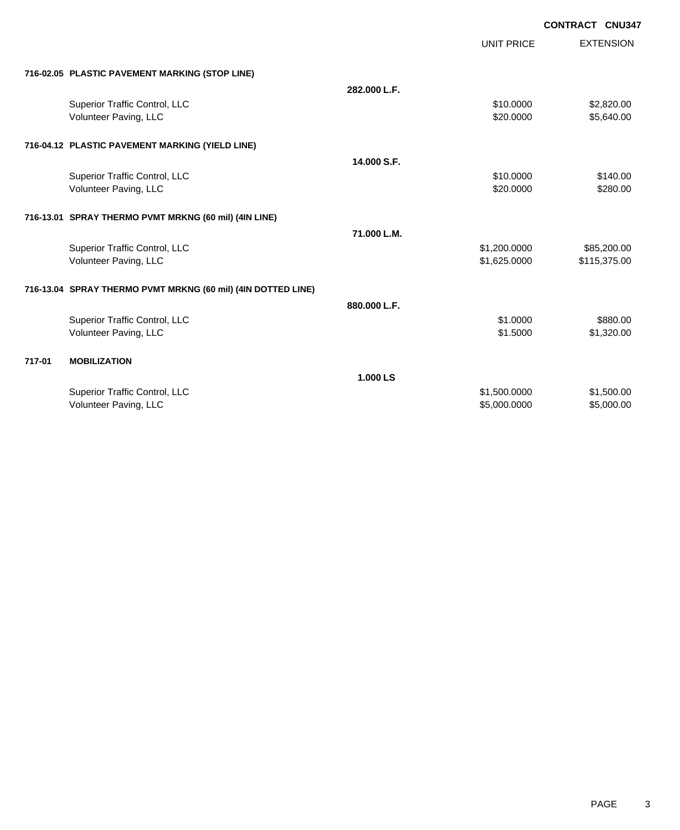| CONTRACT CNU347 |  |
|-----------------|--|
|-----------------|--|

|        |                                                              |              | <b>UNIT PRICE</b> | <b>EXTENSION</b> |
|--------|--------------------------------------------------------------|--------------|-------------------|------------------|
|        | 716-02.05 PLASTIC PAVEMENT MARKING (STOP LINE)               |              |                   |                  |
|        |                                                              | 282.000 L.F. |                   |                  |
|        | Superior Traffic Control, LLC                                |              | \$10.0000         | \$2,820.00       |
|        | Volunteer Paving, LLC                                        |              | \$20,0000         | \$5,640.00       |
|        | 716-04.12 PLASTIC PAVEMENT MARKING (YIELD LINE)              |              |                   |                  |
|        |                                                              | 14.000 S.F.  |                   |                  |
|        | Superior Traffic Control, LLC                                |              | \$10.0000         | \$140.00         |
|        | Volunteer Paving, LLC                                        |              | \$20.0000         | \$280.00         |
|        | 716-13.01 SPRAY THERMO PVMT MRKNG (60 mil) (4IN LINE)        |              |                   |                  |
|        |                                                              | 71.000 L.M.  |                   |                  |
|        | Superior Traffic Control, LLC                                |              | \$1,200.0000      | \$85,200.00      |
|        | Volunteer Paving, LLC                                        |              | \$1,625.0000      | \$115,375.00     |
|        | 716-13.04 SPRAY THERMO PVMT MRKNG (60 mil) (4IN DOTTED LINE) |              |                   |                  |
|        |                                                              | 880.000 L.F. |                   |                  |
|        | Superior Traffic Control, LLC                                |              | \$1,0000          | \$880.00         |
|        | Volunteer Paving, LLC                                        |              | \$1,5000          | \$1,320.00       |
| 717-01 | <b>MOBILIZATION</b>                                          |              |                   |                  |
|        |                                                              | 1.000 LS     |                   |                  |
|        | Superior Traffic Control, LLC                                |              | \$1,500.0000      | \$1,500.00       |
|        | Volunteer Paving, LLC                                        |              | \$5,000.0000      | \$5,000.00       |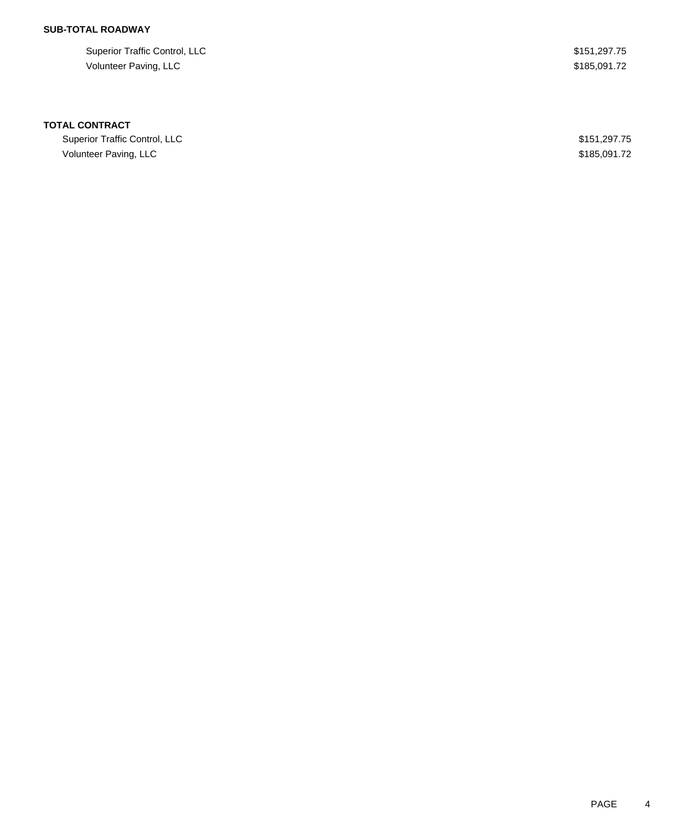# **SUB-TOTAL ROADWAY**

Superior Traffic Control, LLC \$151,297.75 Volunteer Paving, LLC \$185,091.72

### **TOTAL CONTRACT**

Superior Traffic Control, LLC **\$151,297.75** Volunteer Paving, LLC \$185,091.72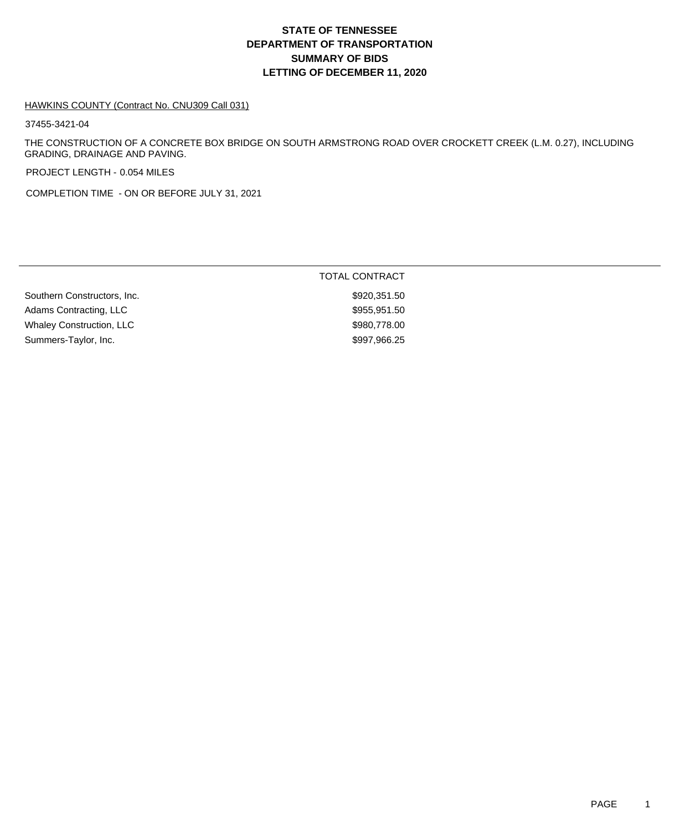# **DEPARTMENT OF TRANSPORTATION SUMMARY OF BIDS LETTING OF DECEMBER 11, 2020 STATE OF TENNESSEE**

#### HAWKINS COUNTY (Contract No. CNU309 Call 031)

37455-3421-04

THE CONSTRUCTION OF A CONCRETE BOX BRIDGE ON SOUTH ARMSTRONG ROAD OVER CROCKETT CREEK (L.M. 0.27), INCLUDING GRADING, DRAINAGE AND PAVING.

PROJECT LENGTH - 0.054 MILES

COMPLETION TIME - ON OR BEFORE JULY 31, 2021

| <b>TOTAL CONTRACT</b> |
|-----------------------|
| \$920,351.50          |
| \$955,951.50          |
| \$980,778.00          |
| \$997,966.25          |
|                       |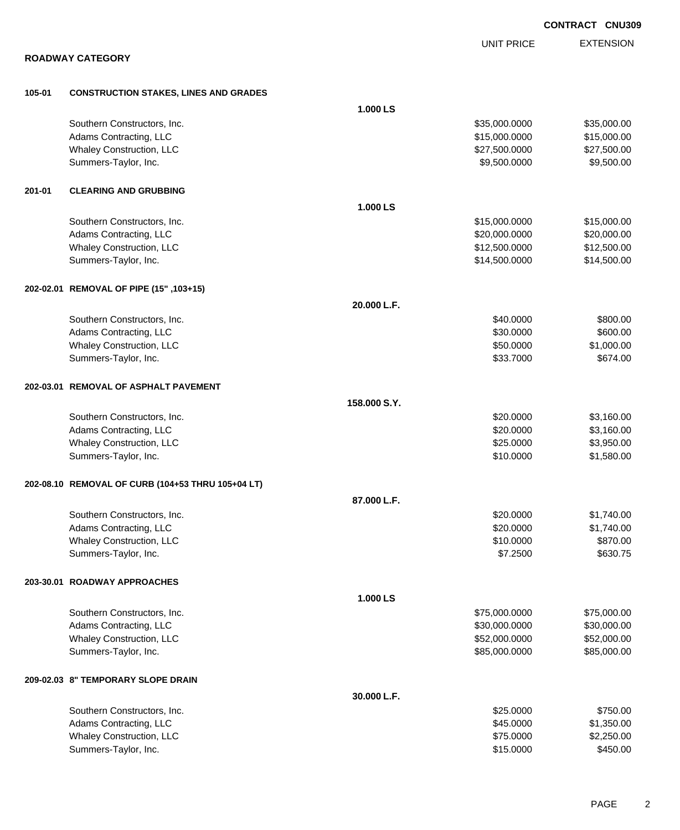EXTENSION UNIT PRICE **ROADWAY CATEGORY 105-01 CONSTRUCTION STAKES, LINES AND GRADES 1.000 LS** Southern Constructors, Inc. 6. The Constructors of the Constant of the Constructors, Inc. 635,000.000 \$35,000.000 \$35,000.00 Adams Contracting, LLC 6. 2012 12:00:000 \$15,000.000 \$15,000.000 \$15,000.000 \$15,000.00 Whaley Construction, LLC 627,500.000 \$27,500.000 \$27,500.000 \$27,500.000 \$27,500.000 \$27,500.00 Summers-Taylor, Inc. \$9,500.000 \$9,500.000 \$9,500.000 \$9,500.000 \$9,500.000 \$9,500.00 **201-01 CLEARING AND GRUBBING 1.000 LS** Southern Constructors, Inc. 6. The Constructors of the Constructors of the Constructors, Inc. 6. The Constructors of the Constructors of the Constructors of the Constructors of the Constructors of the Constructors of the C Adams Contracting, LLC 6. 20,000.000 \$20,000.000 \$20,000.000 \$20,000.000 \$20,000.000 \$20,000.00 Whaley Construction, LLC 612,500.000 \$12,500.000 \$12,500.000 \$12,500.000 \$12,500.000 \$12,500.00 Summers-Taylor, Inc. \$14,500.000 \$14,500.000 \$14,500.000 \$14,500.000 \$14,500.000 \$14,500.00 **202-02.01 REMOVAL OF PIPE (15" ,103+15) 20.000 L.F.** Southern Constructors, Inc. 6800.00 \$800.00 \$800.00 \$800.00 \$800.00 \$800.00 \$800.00 \$800.00 \$800.00 \$800.00 \$ Adams Contracting, LLC 600.000 \$600.00 Whaley Construction, LLC  $$50.0000$  \$1,000.00 Summers-Taylor, Inc. \$674.00 **202-03.01 REMOVAL OF ASPHALT PAVEMENT 158.000 S.Y.** Southern Constructors, Inc. 6. The Constructors of the Constructors, Inc. 6. The Constructors, Inc. 6. The Constructors of the Constructors of the Constructors of the Constructors of the Constructors of the Constructors of Adams Contracting, LLC 6. The state of the state of the state of the state of the state of the state of the state of the state of the state of the state of the state of the state of the state of the state of the state of t Whaley Construction, LLC 60000 \$3,950.00 Summers-Taylor, Inc. \$10.0000 \$1,580.00 **202-08.10 REMOVAL OF CURB (104+53 THRU 105+04 LT) 87.000 L.F.** Southern Constructors, Inc. 6. The Constructors of the Constructors, Inc. 6. The Constructors, Inc. 6. The Constructors of the Constructors of the Constructors of the Constructors of the Constructors of the Constructors of Adams Contracting, LLC 6. The state of the state of the state of the state of the state of the state of the state of the state of the state of the state of the state of the state of the state of the state of the state of t Whaley Construction, LLC 6870.00 Summers-Taylor, Inc. \$630.75 **203-30.01 ROADWAY APPROACHES 1.000 LS** Southern Constructors, Inc. 6. 2010 12:00:000 \$75,000.000 \$75,000.000 \$75,000.000 \$75,000.00 Adams Contracting, LLC 6. 2008. The state of the state of the state of the state of the state of the state of the state of the state of the state of the state of the state of the state of the state of the state of the stat Whaley Construction, LLC 652,000.000 \$52,000.000 \$52,000.000 \$52,000.000 \$52,000.000 \$52,000.00 Summers-Taylor, Inc. 685,000.000 \$85,000.000 \$85,000.000 \$85,000.000 \$85,000.000 \$85,000.00 **209-02.03 8" TEMPORARY SLOPE DRAIN 30.000 L.F.** Southern Constructors, Inc. 6. The Constructors of the Constructors, Inc. 6. The Constructors, Inc. 6. The Constructors of the Constructors of the Constructors of the Constructors of the Constructors of the Constructors of Adams Contracting, LLC 6. The state of the state of the state of the state of the state of the state of the state of the state of the state of the state of the state of the state of the state of the state of the state of t Whaley Construction, LLC 62,250.00 \$2,250.00 Summers-Taylor, Inc. \$15.000 \$450.00

**CONTRACT CNU309**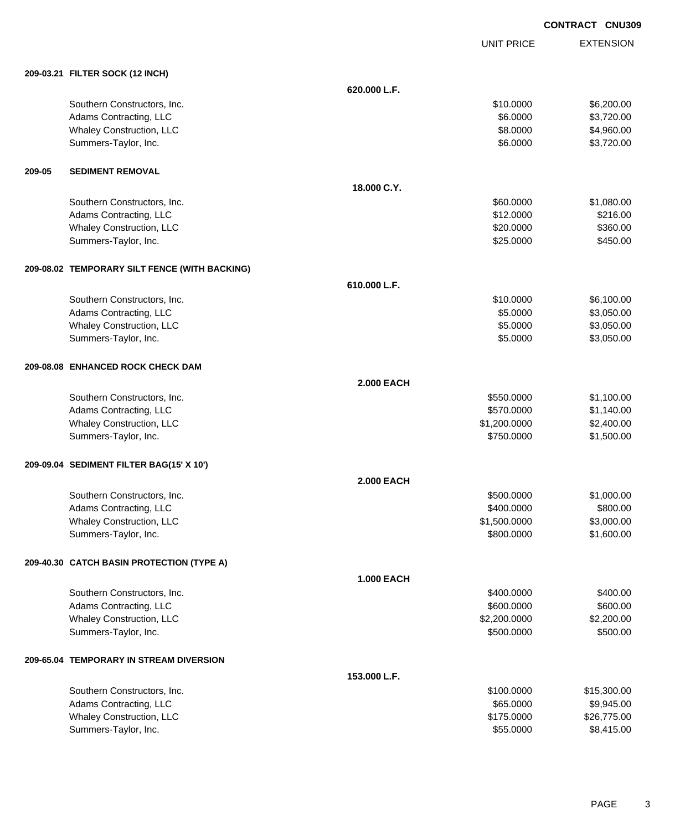UNIT PRICE

|        | 209-03.21 FILTER SOCK (12 INCH)               |                   |              |             |
|--------|-----------------------------------------------|-------------------|--------------|-------------|
|        |                                               | 620.000 L.F.      |              |             |
|        | Southern Constructors, Inc.                   |                   | \$10.0000    | \$6,200.00  |
|        | Adams Contracting, LLC                        |                   | \$6.0000     | \$3,720.00  |
|        | Whaley Construction, LLC                      |                   | \$8.0000     | \$4,960.00  |
|        | Summers-Taylor, Inc.                          |                   | \$6.0000     | \$3,720.00  |
| 209-05 | <b>SEDIMENT REMOVAL</b>                       |                   |              |             |
|        |                                               | 18.000 C.Y.       |              |             |
|        | Southern Constructors, Inc.                   |                   | \$60.0000    | \$1,080.00  |
|        | Adams Contracting, LLC                        |                   | \$12.0000    | \$216.00    |
|        | Whaley Construction, LLC                      |                   | \$20.0000    | \$360.00    |
|        | Summers-Taylor, Inc.                          |                   | \$25.0000    | \$450.00    |
|        | 209-08.02 TEMPORARY SILT FENCE (WITH BACKING) |                   |              |             |
|        |                                               | 610.000 L.F.      |              |             |
|        | Southern Constructors, Inc.                   |                   | \$10.0000    | \$6,100.00  |
|        | Adams Contracting, LLC                        |                   | \$5.0000     | \$3,050.00  |
|        | Whaley Construction, LLC                      |                   | \$5.0000     | \$3,050.00  |
|        | Summers-Taylor, Inc.                          |                   | \$5.0000     | \$3,050.00  |
|        | 209-08.08 ENHANCED ROCK CHECK DAM             |                   |              |             |
|        |                                               | <b>2.000 EACH</b> |              |             |
|        | Southern Constructors, Inc.                   |                   | \$550.0000   | \$1,100.00  |
|        | Adams Contracting, LLC                        |                   | \$570.0000   | \$1,140.00  |
|        | Whaley Construction, LLC                      |                   | \$1,200.0000 | \$2,400.00  |
|        | Summers-Taylor, Inc.                          |                   | \$750.0000   | \$1,500.00  |
|        | 209-09.04 SEDIMENT FILTER BAG(15' X 10')      |                   |              |             |
|        |                                               | <b>2.000 EACH</b> |              |             |
|        | Southern Constructors, Inc.                   |                   | \$500.0000   | \$1,000.00  |
|        | Adams Contracting, LLC                        |                   | \$400.0000   | \$800.00    |
|        | Whaley Construction, LLC                      |                   | \$1,500.0000 | \$3,000.00  |
|        | Summers-Taylor, Inc.                          |                   | \$800.0000   | \$1,600.00  |
|        | 209-40.30 CATCH BASIN PROTECTION (TYPE A)     |                   |              |             |
|        |                                               | <b>1.000 EACH</b> |              |             |
|        | Southern Constructors, Inc.                   |                   | \$400.0000   | \$400.00    |
|        | Adams Contracting, LLC                        |                   | \$600.0000   | \$600.00    |
|        | Whaley Construction, LLC                      |                   | \$2,200.0000 | \$2,200.00  |
|        | Summers-Taylor, Inc.                          |                   | \$500.0000   | \$500.00    |
|        | 209-65.04 TEMPORARY IN STREAM DIVERSION       |                   |              |             |
|        |                                               | 153.000 L.F.      |              |             |
|        | Southern Constructors, Inc.                   |                   | \$100.0000   | \$15,300.00 |
|        | Adams Contracting, LLC                        |                   | \$65.0000    | \$9,945.00  |
|        | Whaley Construction, LLC                      |                   | \$175.0000   | \$26,775.00 |
|        | Summers-Taylor, Inc.                          |                   | \$55.0000    | \$8,415.00  |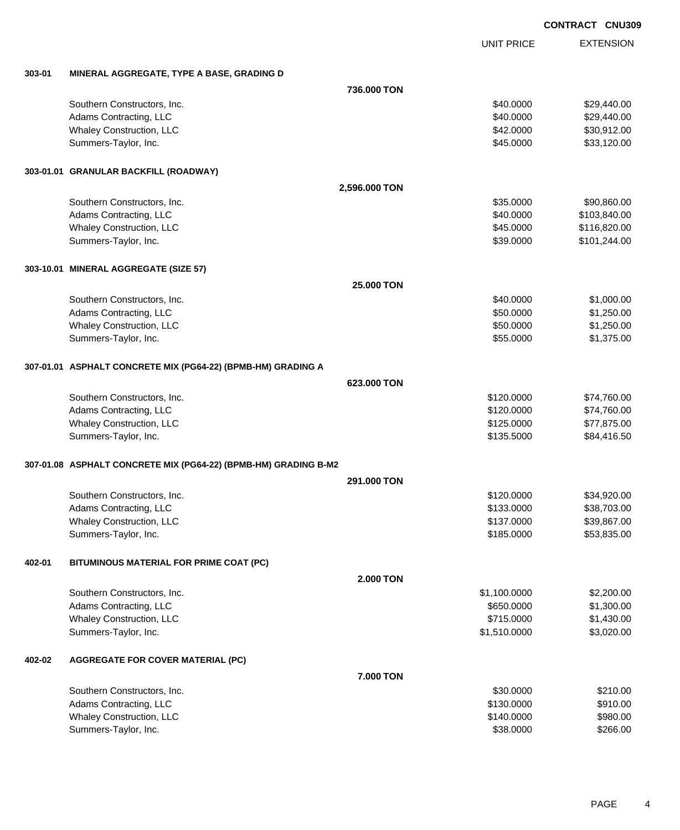EXTENSION UNIT PRICE

### **303-01 MINERAL AGGREGATE, TYPE A BASE, GRADING D**

|        |                                                                 | 736.000 TON   |              |              |
|--------|-----------------------------------------------------------------|---------------|--------------|--------------|
|        | Southern Constructors, Inc.                                     |               | \$40.0000    | \$29,440.00  |
|        | Adams Contracting, LLC                                          |               | \$40.0000    | \$29,440.00  |
|        | Whaley Construction, LLC                                        |               | \$42.0000    | \$30,912.00  |
|        | Summers-Taylor, Inc.                                            |               | \$45.0000    | \$33,120.00  |
|        |                                                                 |               |              |              |
|        | 303-01.01 GRANULAR BACKFILL (ROADWAY)                           |               |              |              |
|        |                                                                 | 2,596.000 TON |              |              |
|        | Southern Constructors, Inc.                                     |               | \$35.0000    | \$90,860.00  |
|        | Adams Contracting, LLC                                          |               | \$40.0000    | \$103,840.00 |
|        | <b>Whaley Construction, LLC</b>                                 |               | \$45.0000    | \$116,820.00 |
|        | Summers-Taylor, Inc.                                            |               | \$39.0000    | \$101,244.00 |
|        | 303-10.01 MINERAL AGGREGATE (SIZE 57)                           |               |              |              |
|        |                                                                 | 25.000 TON    |              |              |
|        | Southern Constructors, Inc.                                     |               | \$40.0000    | \$1,000.00   |
|        | Adams Contracting, LLC                                          |               | \$50.0000    | \$1,250.00   |
|        | <b>Whaley Construction, LLC</b>                                 |               | \$50.0000    | \$1,250.00   |
|        | Summers-Taylor, Inc.                                            |               | \$55.0000    | \$1,375.00   |
|        | 307-01.01 ASPHALT CONCRETE MIX (PG64-22) (BPMB-HM) GRADING A    |               |              |              |
|        |                                                                 | 623,000 TON   |              |              |
|        | Southern Constructors, Inc.                                     |               | \$120.0000   | \$74,760.00  |
|        | Adams Contracting, LLC                                          |               | \$120.0000   | \$74,760.00  |
|        | Whaley Construction, LLC                                        |               | \$125.0000   | \$77,875.00  |
|        | Summers-Taylor, Inc.                                            |               | \$135.5000   | \$84,416.50  |
|        |                                                                 |               |              |              |
|        | 307-01.08 ASPHALT CONCRETE MIX (PG64-22) (BPMB-HM) GRADING B-M2 | 291,000 TON   |              |              |
|        | Southern Constructors, Inc.                                     |               | \$120.0000   | \$34,920.00  |
|        | Adams Contracting, LLC                                          |               | \$133.0000   | \$38,703.00  |
|        | Whaley Construction, LLC                                        |               | \$137.0000   | \$39,867.00  |
|        | Summers-Taylor, Inc.                                            |               | \$185.0000   | \$53,835.00  |
|        |                                                                 |               |              |              |
| 402-01 | BITUMINOUS MATERIAL FOR PRIME COAT (PC)                         |               |              |              |
|        |                                                                 | 2.000 TON     |              |              |
|        | Southern Constructors, Inc.                                     |               | \$1,100.0000 | \$2,200.00   |
|        | Adams Contracting, LLC                                          |               | \$650.0000   | \$1,300.00   |
|        | Whaley Construction, LLC                                        |               | \$715.0000   | \$1,430.00   |
|        | Summers-Taylor, Inc.                                            |               | \$1,510.0000 | \$3,020.00   |
| 402-02 | <b>AGGREGATE FOR COVER MATERIAL (PC)</b>                        |               |              |              |
|        |                                                                 | 7.000 TON     |              |              |
|        | Southern Constructors, Inc.                                     |               | \$30.0000    | \$210.00     |
|        | Adams Contracting, LLC                                          |               | \$130.0000   | \$910.00     |
|        | Whaley Construction, LLC                                        |               | \$140.0000   | \$980.00     |
|        | Summers-Taylor, Inc.                                            |               | \$38.0000    | \$266.00     |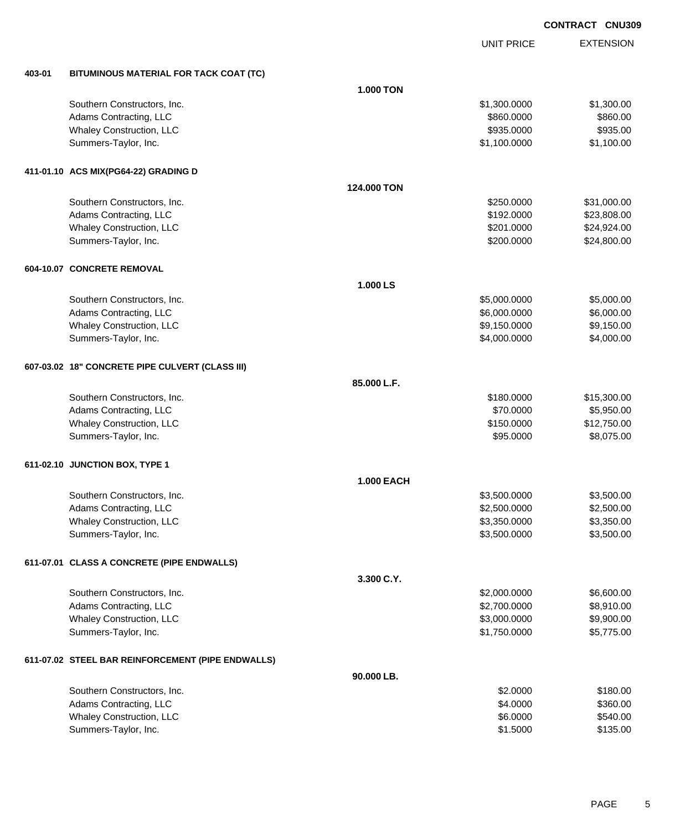EXTENSION **CONTRACT CNU309**

UNIT PRICE

| 403-01 | BITUMINOUS MATERIAL FOR TACK COAT (TC)            |                   |              |             |
|--------|---------------------------------------------------|-------------------|--------------|-------------|
|        |                                                   | <b>1.000 TON</b>  |              |             |
|        | Southern Constructors, Inc.                       |                   | \$1,300.0000 | \$1,300.00  |
|        | Adams Contracting, LLC                            |                   | \$860.0000   | \$860.00    |
|        | Whaley Construction, LLC                          |                   | \$935.0000   | \$935.00    |
|        | Summers-Taylor, Inc.                              |                   | \$1,100.0000 | \$1,100.00  |
|        | 411-01.10 ACS MIX(PG64-22) GRADING D              |                   |              |             |
|        |                                                   | 124.000 TON       |              |             |
|        | Southern Constructors, Inc.                       |                   | \$250.0000   | \$31,000.00 |
|        | Adams Contracting, LLC                            |                   | \$192.0000   | \$23,808.00 |
|        | Whaley Construction, LLC                          |                   | \$201.0000   | \$24,924.00 |
|        | Summers-Taylor, Inc.                              |                   | \$200.0000   | \$24,800.00 |
|        | 604-10.07 CONCRETE REMOVAL                        |                   |              |             |
|        |                                                   | 1.000 LS          |              |             |
|        | Southern Constructors, Inc.                       |                   | \$5,000.0000 | \$5,000.00  |
|        | Adams Contracting, LLC                            |                   | \$6,000.0000 | \$6,000.00  |
|        | Whaley Construction, LLC                          |                   | \$9,150.0000 | \$9,150.00  |
|        | Summers-Taylor, Inc.                              |                   | \$4,000.0000 | \$4,000.00  |
|        | 607-03.02 18" CONCRETE PIPE CULVERT (CLASS III)   |                   |              |             |
|        |                                                   | 85.000 L.F.       |              |             |
|        | Southern Constructors, Inc.                       |                   | \$180.0000   | \$15,300.00 |
|        | Adams Contracting, LLC                            |                   | \$70.0000    | \$5,950.00  |
|        | Whaley Construction, LLC                          |                   | \$150.0000   | \$12,750.00 |
|        | Summers-Taylor, Inc.                              |                   | \$95.0000    | \$8,075.00  |
|        | 611-02.10 JUNCTION BOX, TYPE 1                    |                   |              |             |
|        |                                                   | <b>1.000 EACH</b> |              |             |
|        | Southern Constructors, Inc.                       |                   | \$3,500.0000 | \$3,500.00  |
|        | Adams Contracting, LLC                            |                   | \$2,500.0000 | \$2,500.00  |
|        | Whaley Construction, LLC                          |                   | \$3,350.0000 | \$3,350.00  |
|        | Summers-Taylor, Inc.                              |                   | \$3,500.0000 | \$3,500.00  |
|        | 611-07.01 CLASS A CONCRETE (PIPE ENDWALLS)        |                   |              |             |
|        |                                                   | 3.300 C.Y.        |              |             |
|        | Southern Constructors, Inc.                       |                   | \$2,000.0000 | \$6,600.00  |
|        | Adams Contracting, LLC                            |                   | \$2,700.0000 | \$8,910.00  |
|        | Whaley Construction, LLC                          |                   | \$3,000.0000 | \$9,900.00  |
|        | Summers-Taylor, Inc.                              |                   | \$1,750.0000 | \$5,775.00  |
|        | 611-07.02 STEEL BAR REINFORCEMENT (PIPE ENDWALLS) |                   |              |             |
|        |                                                   | 90.000 LB.        |              |             |
|        | Southern Constructors, Inc.                       |                   | \$2.0000     | \$180.00    |
|        | Adams Contracting, LLC                            |                   | \$4.0000     | \$360.00    |
|        | Whaley Construction, LLC                          |                   | \$6.0000     | \$540.00    |
|        | Summers-Taylor, Inc.                              |                   | \$1.5000     | \$135.00    |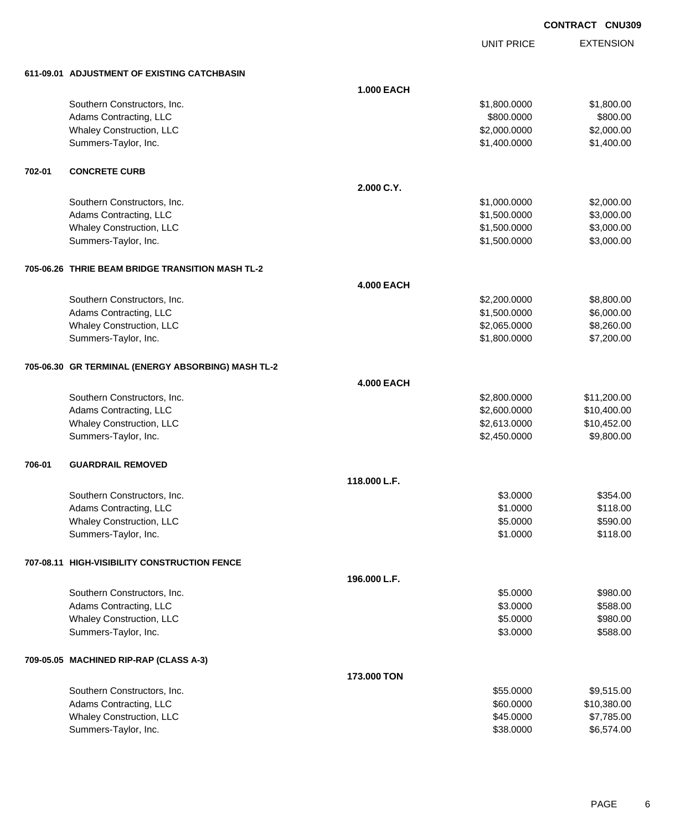UNIT PRICE EXTENSION

**611-09.01 ADJUSTMENT OF EXISTING CATCHBASIN**

|        | 611-09.01 ADJUSTMENT OF EXISTING CATCHBASIN        |                   |              |             |
|--------|----------------------------------------------------|-------------------|--------------|-------------|
|        |                                                    | <b>1.000 EACH</b> |              |             |
|        | Southern Constructors, Inc.                        |                   | \$1,800.0000 | \$1,800.00  |
|        | Adams Contracting, LLC                             |                   | \$800.0000   | \$800.00    |
|        | Whaley Construction, LLC                           |                   | \$2,000.0000 | \$2,000.00  |
|        | Summers-Taylor, Inc.                               |                   | \$1,400.0000 | \$1,400.00  |
|        |                                                    |                   |              |             |
| 702-01 | <b>CONCRETE CURB</b>                               |                   |              |             |
|        |                                                    | 2.000 C.Y.        |              |             |
|        | Southern Constructors, Inc.                        |                   | \$1,000.0000 | \$2,000.00  |
|        | Adams Contracting, LLC                             |                   | \$1,500.0000 | \$3,000.00  |
|        | Whaley Construction, LLC                           |                   | \$1,500.0000 | \$3,000.00  |
|        | Summers-Taylor, Inc.                               |                   | \$1,500.0000 | \$3,000.00  |
|        | 705-06.26 THRIE BEAM BRIDGE TRANSITION MASH TL-2   |                   |              |             |
|        |                                                    | <b>4.000 EACH</b> |              |             |
|        | Southern Constructors, Inc.                        |                   | \$2,200.0000 | \$8,800.00  |
|        | Adams Contracting, LLC                             |                   | \$1,500.0000 | \$6,000.00  |
|        | Whaley Construction, LLC                           |                   | \$2,065.0000 | \$8,260.00  |
|        | Summers-Taylor, Inc.                               |                   | \$1,800.0000 | \$7,200.00  |
|        |                                                    |                   |              |             |
|        | 705-06.30 GR TERMINAL (ENERGY ABSORBING) MASH TL-2 |                   |              |             |
|        |                                                    | <b>4.000 EACH</b> |              |             |
|        | Southern Constructors, Inc.                        |                   | \$2,800.0000 | \$11,200.00 |
|        | Adams Contracting, LLC                             |                   | \$2,600.0000 | \$10,400.00 |
|        | Whaley Construction, LLC                           |                   | \$2,613.0000 | \$10,452.00 |
|        | Summers-Taylor, Inc.                               |                   | \$2,450.0000 | \$9,800.00  |
| 706-01 | <b>GUARDRAIL REMOVED</b>                           |                   |              |             |
|        |                                                    | 118.000 L.F.      |              |             |
|        | Southern Constructors, Inc.                        |                   | \$3.0000     | \$354.00    |
|        | Adams Contracting, LLC                             |                   | \$1.0000     | \$118.00    |
|        | Whaley Construction, LLC                           |                   | \$5.0000     | \$590.00    |
|        | Summers-Taylor, Inc.                               |                   | \$1.0000     | \$118.00    |
|        | 707-08.11 HIGH-VISIBILITY CONSTRUCTION FENCE       |                   |              |             |
|        |                                                    | 196,000 L.F.      |              |             |
|        | Southern Constructors, Inc.                        |                   | \$5.0000     | \$980.00    |
|        | Adams Contracting, LLC                             |                   | \$3.0000     | \$588.00    |
|        | <b>Whaley Construction, LLC</b>                    |                   | \$5.0000     | \$980.00    |
|        | Summers-Taylor, Inc.                               |                   | \$3.0000     | \$588.00    |
|        | 709-05.05 MACHINED RIP-RAP (CLASS A-3)             |                   |              |             |
|        |                                                    | 173,000 TON       |              |             |
|        | Southern Constructors, Inc.                        |                   | \$55.0000    | \$9,515.00  |
|        | Adams Contracting, LLC                             |                   | \$60.0000    | \$10,380.00 |
|        | Whaley Construction, LLC                           |                   | \$45.0000    | \$7,785.00  |
|        | Summers-Taylor, Inc.                               |                   | \$38.0000    | \$6,574.00  |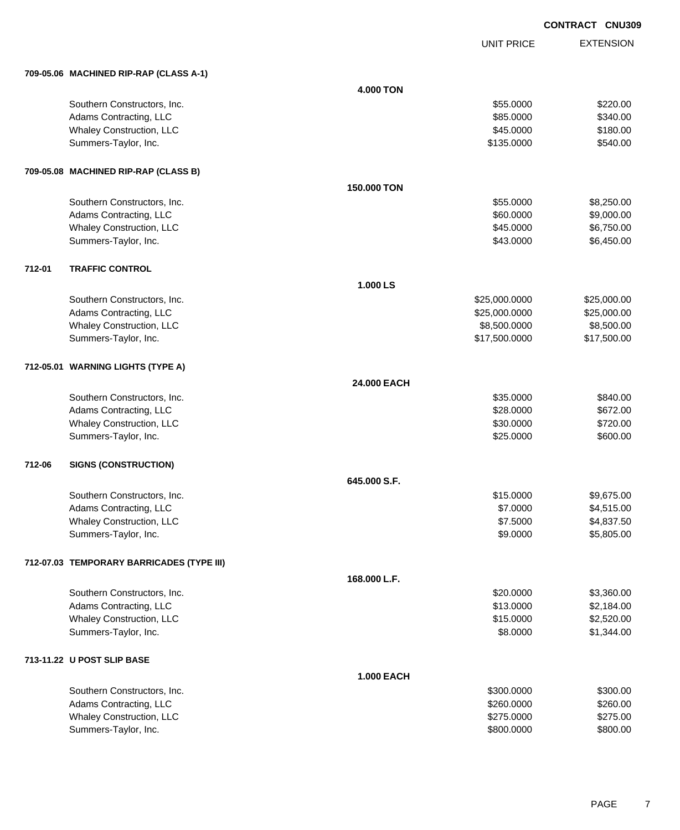UNIT PRICE EXTENSION

|        | 709-05.06 MACHINED RIP-RAP (CLASS A-1)    |                   |               |             |
|--------|-------------------------------------------|-------------------|---------------|-------------|
|        |                                           | <b>4.000 TON</b>  |               |             |
|        | Southern Constructors, Inc.               |                   | \$55.0000     | \$220.00    |
|        | Adams Contracting, LLC                    |                   | \$85.0000     | \$340.00    |
|        | Whaley Construction, LLC                  |                   | \$45.0000     | \$180.00    |
|        | Summers-Taylor, Inc.                      |                   | \$135.0000    | \$540.00    |
|        | 709-05.08 MACHINED RIP-RAP (CLASS B)      |                   |               |             |
|        |                                           | 150.000 TON       |               |             |
|        | Southern Constructors, Inc.               |                   | \$55.0000     | \$8,250.00  |
|        | Adams Contracting, LLC                    |                   | \$60.0000     | \$9,000.00  |
|        | Whaley Construction, LLC                  |                   | \$45.0000     | \$6,750.00  |
|        | Summers-Taylor, Inc.                      |                   | \$43.0000     | \$6,450.00  |
| 712-01 | <b>TRAFFIC CONTROL</b>                    |                   |               |             |
|        |                                           | 1.000 LS          |               |             |
|        | Southern Constructors, Inc.               |                   | \$25,000.0000 | \$25,000.00 |
|        | Adams Contracting, LLC                    |                   | \$25,000.0000 | \$25,000.00 |
|        | Whaley Construction, LLC                  |                   | \$8,500.0000  | \$8,500.00  |
|        | Summers-Taylor, Inc.                      |                   | \$17,500.0000 | \$17,500.00 |
|        | 712-05.01 WARNING LIGHTS (TYPE A)         |                   |               |             |
|        |                                           | 24.000 EACH       |               |             |
|        | Southern Constructors, Inc.               |                   | \$35.0000     | \$840.00    |
|        | Adams Contracting, LLC                    |                   | \$28.0000     | \$672.00    |
|        | Whaley Construction, LLC                  |                   | \$30.0000     | \$720.00    |
|        | Summers-Taylor, Inc.                      |                   | \$25.0000     | \$600.00    |
| 712-06 | <b>SIGNS (CONSTRUCTION)</b>               |                   |               |             |
|        |                                           | 645.000 S.F.      |               |             |
|        | Southern Constructors, Inc.               |                   | \$15.0000     | \$9,675.00  |
|        | Adams Contracting, LLC                    |                   | \$7.0000      | \$4,515.00  |
|        | Whaley Construction, LLC                  |                   | \$7.5000      | \$4,837.50  |
|        | Summers-Taylor, Inc.                      |                   | \$9.0000      | \$5,805.00  |
|        | 712-07.03 TEMPORARY BARRICADES (TYPE III) |                   |               |             |
|        |                                           | 168.000 L.F.      |               |             |
|        | Southern Constructors, Inc.               |                   | \$20.0000     | \$3,360.00  |
|        | Adams Contracting, LLC                    |                   | \$13.0000     | \$2,184.00  |
|        | Whaley Construction, LLC                  |                   | \$15.0000     | \$2,520.00  |
|        | Summers-Taylor, Inc.                      |                   | \$8.0000      | \$1,344.00  |
|        | 713-11.22 U POST SLIP BASE                |                   |               |             |
|        |                                           | <b>1.000 EACH</b> |               |             |
|        | Southern Constructors, Inc.               |                   | \$300.0000    | \$300.00    |
|        | Adams Contracting, LLC                    |                   | \$260.0000    | \$260.00    |
|        | Whaley Construction, LLC                  |                   | \$275.0000    | \$275.00    |
|        | Summers-Taylor, Inc.                      |                   | \$800.0000    | \$800.00    |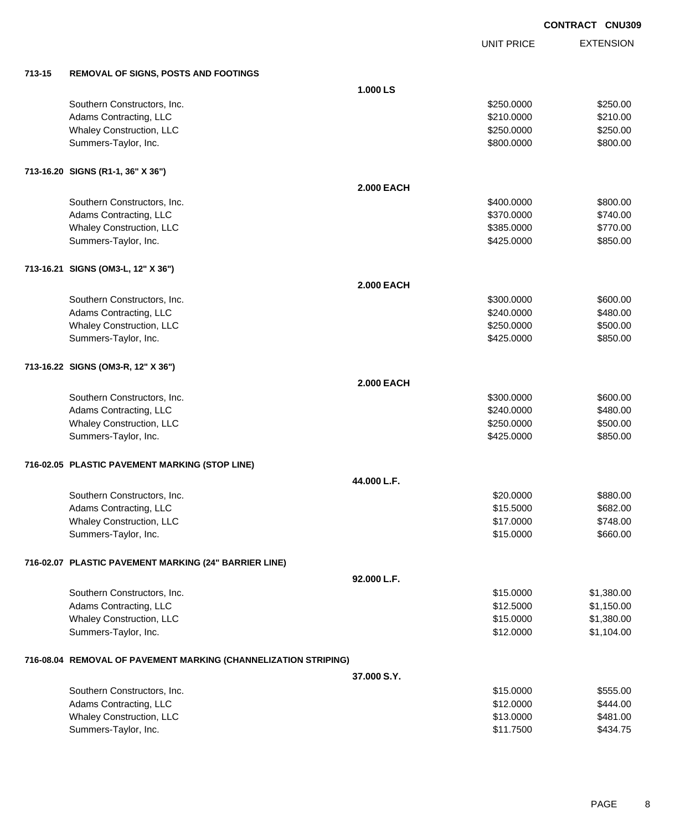UNIT PRICE

| 713-15 | <b>REMOVAL OF SIGNS, POSTS AND FOOTINGS</b> |  |
|--------|---------------------------------------------|--|
|        |                                             |  |

| 713-15 | <b>REMOVAL OF SIGNS, POSTS AND FOOTINGS</b>                     |                   |            |            |
|--------|-----------------------------------------------------------------|-------------------|------------|------------|
|        |                                                                 | 1.000 LS          |            |            |
|        | Southern Constructors, Inc.                                     |                   | \$250.0000 | \$250.00   |
|        | Adams Contracting, LLC                                          |                   | \$210.0000 | \$210.00   |
|        | Whaley Construction, LLC                                        |                   | \$250.0000 | \$250.00   |
|        | Summers-Taylor, Inc.                                            |                   | \$800.0000 | \$800.00   |
|        | 713-16.20 SIGNS (R1-1, 36" X 36")                               |                   |            |            |
|        |                                                                 | <b>2.000 EACH</b> |            |            |
|        | Southern Constructors, Inc.                                     |                   | \$400.0000 | \$800.00   |
|        | Adams Contracting, LLC                                          |                   | \$370.0000 | \$740.00   |
|        | Whaley Construction, LLC                                        |                   | \$385.0000 | \$770.00   |
|        | Summers-Taylor, Inc.                                            |                   | \$425.0000 | \$850.00   |
|        | 713-16.21 SIGNS (OM3-L, 12" X 36")                              |                   |            |            |
|        |                                                                 | <b>2.000 EACH</b> |            |            |
|        | Southern Constructors, Inc.                                     |                   | \$300.0000 | \$600.00   |
|        | Adams Contracting, LLC                                          |                   | \$240.0000 | \$480.00   |
|        | Whaley Construction, LLC                                        |                   | \$250.0000 | \$500.00   |
|        | Summers-Taylor, Inc.                                            |                   | \$425.0000 | \$850.00   |
|        | 713-16.22 SIGNS (OM3-R, 12" X 36")                              |                   |            |            |
|        |                                                                 | <b>2.000 EACH</b> |            |            |
|        | Southern Constructors, Inc.                                     |                   | \$300.0000 | \$600.00   |
|        | Adams Contracting, LLC                                          |                   | \$240.0000 | \$480.00   |
|        | Whaley Construction, LLC                                        |                   | \$250.0000 | \$500.00   |
|        | Summers-Taylor, Inc.                                            |                   | \$425.0000 | \$850.00   |
|        | 716-02.05 PLASTIC PAVEMENT MARKING (STOP LINE)                  |                   |            |            |
|        |                                                                 | 44.000 L.F.       |            |            |
|        | Southern Constructors, Inc.                                     |                   | \$20.0000  | \$880.00   |
|        | Adams Contracting, LLC                                          |                   | \$15.5000  | \$682.00   |
|        | Whaley Construction, LLC                                        |                   | \$17.0000  | \$748.00   |
|        | Summers-Taylor, Inc.                                            |                   | \$15.0000  | \$660.00   |
|        | 716-02.07 PLASTIC PAVEMENT MARKING (24" BARRIER LINE)           |                   |            |            |
|        |                                                                 | 92.000 L.F.       |            |            |
|        | Southern Constructors, Inc.                                     |                   | \$15.0000  | \$1,380.00 |
|        | Adams Contracting, LLC                                          |                   | \$12.5000  | \$1,150.00 |
|        | Whaley Construction, LLC                                        |                   | \$15.0000  | \$1,380.00 |
|        | Summers-Taylor, Inc.                                            |                   | \$12.0000  | \$1,104.00 |
|        | 716-08.04 REMOVAL OF PAVEMENT MARKING (CHANNELIZATION STRIPING) |                   |            |            |
|        |                                                                 | 37.000 S.Y.       |            |            |
|        | Southern Constructors, Inc.                                     |                   | \$15.0000  | \$555.00   |
|        | Adams Contracting, LLC                                          |                   | \$12.0000  | \$444.00   |
|        | Whaley Construction, LLC                                        |                   | \$13.0000  | \$481.00   |
|        | Summers-Taylor, Inc.                                            |                   | \$11.7500  | \$434.75   |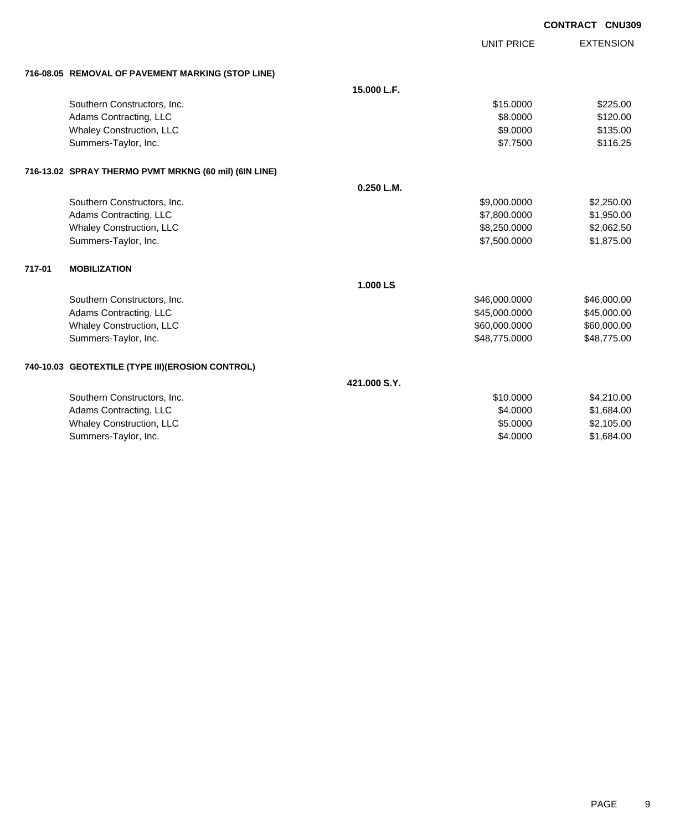|        |                                                       |              |                   | <b>CONTRACT CNU309</b> |
|--------|-------------------------------------------------------|--------------|-------------------|------------------------|
|        |                                                       |              | <b>UNIT PRICE</b> | <b>EXTENSION</b>       |
|        | 716-08.05 REMOVAL OF PAVEMENT MARKING (STOP LINE)     |              |                   |                        |
|        |                                                       | 15.000 L.F.  |                   |                        |
|        | Southern Constructors, Inc.                           |              | \$15.0000         | \$225.00               |
|        | Adams Contracting, LLC                                |              | \$8,0000          | \$120.00               |
|        | Whaley Construction, LLC                              |              | \$9.0000          | \$135.00               |
|        | Summers-Taylor, Inc.                                  |              | \$7.7500          | \$116.25               |
|        | 716-13.02 SPRAY THERMO PVMT MRKNG (60 mil) (6IN LINE) |              |                   |                        |
|        |                                                       | 0.250 L.M.   |                   |                        |
|        | Southern Constructors, Inc.                           |              | \$9,000.0000      | \$2,250.00             |
|        | Adams Contracting, LLC                                |              | \$7,800.0000      | \$1,950.00             |
|        | Whaley Construction, LLC                              |              | \$8,250.0000      | \$2,062.50             |
|        | Summers-Taylor, Inc.                                  |              | \$7,500.0000      | \$1,875.00             |
| 717-01 | <b>MOBILIZATION</b>                                   |              |                   |                        |
|        |                                                       | 1.000 LS     |                   |                        |
|        | Southern Constructors, Inc.                           |              | \$46,000.0000     | \$46,000.00            |
|        | Adams Contracting, LLC                                |              | \$45,000.0000     | \$45,000.00            |
|        | Whaley Construction, LLC                              |              | \$60,000.0000     | \$60,000.00            |
|        | Summers-Taylor, Inc.                                  |              | \$48,775.0000     | \$48,775.00            |
|        | 740-10.03 GEOTEXTILE (TYPE III)(EROSION CONTROL)      |              |                   |                        |
|        |                                                       | 421.000 S.Y. |                   |                        |
|        | Southern Constructors, Inc.                           |              | \$10.0000         | \$4,210.00             |
|        | Adams Contracting, LLC                                |              | \$4.0000          | \$1,684.00             |
|        | Whaley Construction, LLC                              |              | \$5.0000          | \$2,105.00             |
|        | Summers-Taylor, Inc.                                  |              | \$4.0000          | \$1,684.00             |
|        |                                                       |              |                   |                        |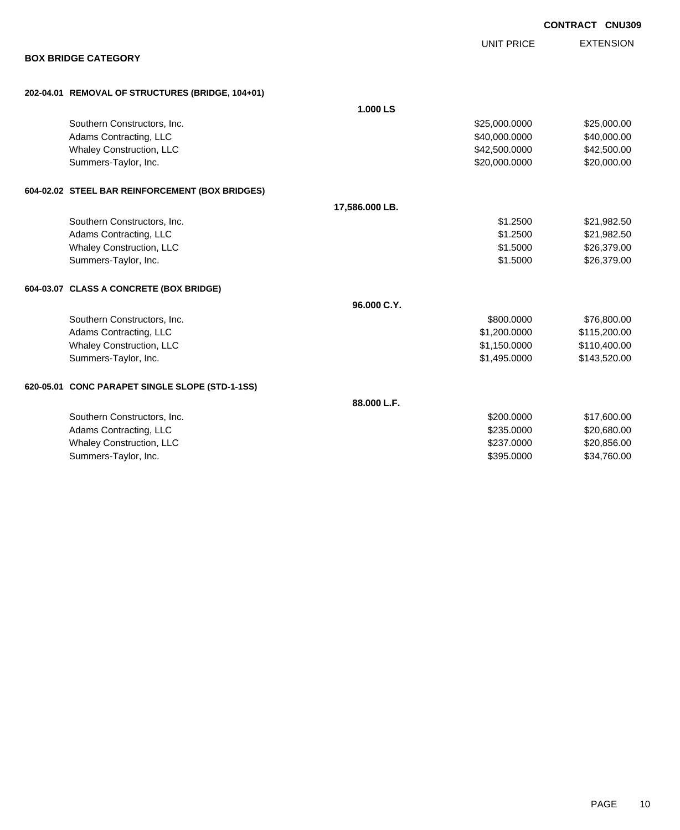| <b>BOX BRIDGE CATEGORY</b>                       |                |               |              |
|--------------------------------------------------|----------------|---------------|--------------|
| 202-04.01 REMOVAL OF STRUCTURES (BRIDGE, 104+01) |                |               |              |
|                                                  | 1.000 LS       |               |              |
| Southern Constructors, Inc.                      |                | \$25,000.0000 | \$25,000.00  |
| Adams Contracting, LLC                           |                | \$40,000.0000 | \$40,000.00  |
| Whaley Construction, LLC                         |                | \$42,500.0000 | \$42,500.00  |
| Summers-Taylor, Inc.                             |                | \$20,000.0000 | \$20,000.00  |
| 604-02.02 STEEL BAR REINFORCEMENT (BOX BRIDGES)  |                |               |              |
|                                                  | 17,586.000 LB. |               |              |
| Southern Constructors, Inc.                      |                | \$1,2500      | \$21,982.50  |
| Adams Contracting, LLC                           |                | \$1.2500      | \$21,982.50  |
| Whaley Construction, LLC                         |                | \$1.5000      | \$26,379.00  |
| Summers-Taylor, Inc.                             |                | \$1.5000      | \$26,379.00  |
| 604-03.07 CLASS A CONCRETE (BOX BRIDGE)          |                |               |              |
|                                                  | 96.000 C.Y.    |               |              |
| Southern Constructors, Inc.                      |                | \$800.0000    | \$76,800.00  |
| Adams Contracting, LLC                           |                | \$1,200.0000  | \$115,200.00 |
| Whaley Construction, LLC                         |                | \$1,150.0000  | \$110,400.00 |
| Summers-Taylor, Inc.                             |                | \$1,495.0000  | \$143,520.00 |
| 620-05.01 CONC PARAPET SINGLE SLOPE (STD-1-1SS)  |                |               |              |
|                                                  | 88.000 L.F.    |               |              |
| Southern Constructors, Inc.                      |                | \$200,0000    | \$17,600.00  |
| Adams Contracting, LLC                           |                | \$235.0000    | \$20,680.00  |
| Whaley Construction, LLC                         |                | \$237.0000    | \$20,856.00  |
| Summers-Taylor, Inc.                             |                | \$395,0000    | \$34,760.00  |

EXTENSION

**CONTRACT CNU309**

UNIT PRICE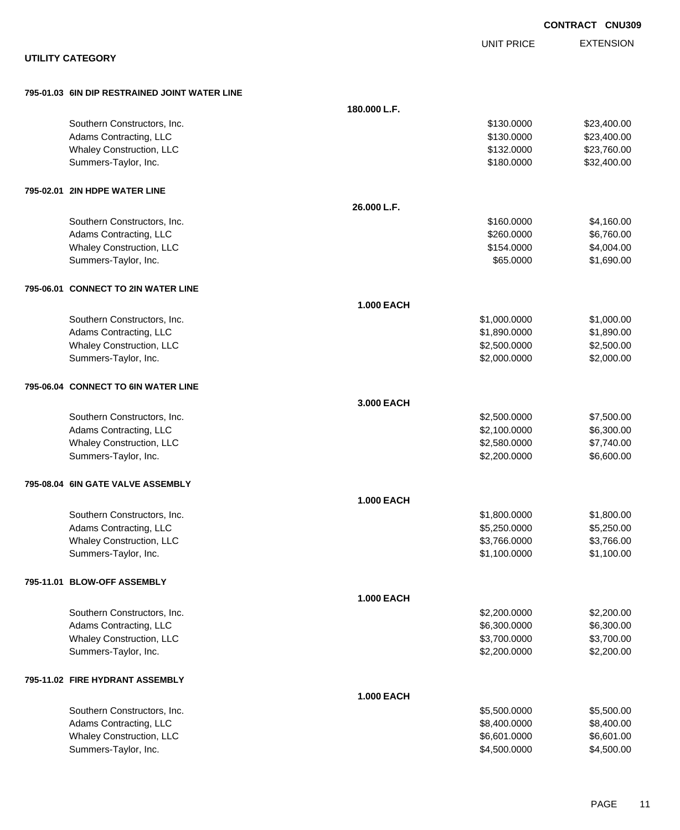|                                               |                   |                   | <b>CONTRACT CNU309</b> |
|-----------------------------------------------|-------------------|-------------------|------------------------|
|                                               |                   | <b>UNIT PRICE</b> | <b>EXTENSION</b>       |
| <b>UTILITY CATEGORY</b>                       |                   |                   |                        |
| 795-01.03 6IN DIP RESTRAINED JOINT WATER LINE |                   |                   |                        |
|                                               | 180.000 L.F.      |                   |                        |
| Southern Constructors, Inc.                   |                   | \$130.0000        | \$23,400.00            |
| Adams Contracting, LLC                        |                   | \$130.0000        | \$23,400.00            |
| Whaley Construction, LLC                      |                   | \$132.0000        | \$23,760.00            |
| Summers-Taylor, Inc.                          |                   | \$180.0000        | \$32,400.00            |
| 795-02.01 2IN HDPE WATER LINE                 |                   |                   |                        |
|                                               | 26.000 L.F.       |                   |                        |
| Southern Constructors, Inc.                   |                   | \$160.0000        | \$4,160.00             |
| Adams Contracting, LLC                        |                   | \$260.0000        | \$6,760.00             |
| Whaley Construction, LLC                      |                   | \$154.0000        | \$4,004.00             |
| Summers-Taylor, Inc.                          |                   | \$65.0000         | \$1,690.00             |
| 795-06.01 CONNECT TO 2IN WATER LINE           |                   |                   |                        |
|                                               | <b>1.000 EACH</b> |                   |                        |
| Southern Constructors, Inc.                   |                   | \$1,000.0000      | \$1,000.00             |
| Adams Contracting, LLC                        |                   | \$1,890.0000      | \$1,890.00             |
| Whaley Construction, LLC                      |                   | \$2,500.0000      | \$2,500.00             |
| Summers-Taylor, Inc.                          |                   | \$2,000.0000      | \$2,000.00             |
| 795-06.04 CONNECT TO 6IN WATER LINE           |                   |                   |                        |
|                                               | 3.000 EACH        |                   |                        |
| Southern Constructors, Inc.                   |                   | \$2,500.0000      | \$7,500.00             |
| Adams Contracting, LLC                        |                   | \$2,100.0000      | \$6,300.00             |
| Whaley Construction, LLC                      |                   | \$2,580.0000      | \$7,740.00             |
| Summers-Taylor, Inc.                          |                   | \$2,200.0000      | \$6,600.00             |
| 795-08.04 6IN GATE VALVE ASSEMBLY             |                   |                   |                        |
|                                               | <b>1.000 EACH</b> |                   |                        |
| Southern Constructors, Inc.                   |                   | \$1,800.0000      | \$1,800.00             |
| Adams Contracting, LLC                        |                   | \$5,250.0000      | \$5,250.00             |
| Whaley Construction, LLC                      |                   | \$3,766.0000      | \$3,766.00             |
| Summers-Taylor, Inc.                          |                   | \$1,100.0000      | \$1,100.00             |
| 795-11.01 BLOW-OFF ASSEMBLY                   |                   |                   |                        |
|                                               | <b>1.000 EACH</b> |                   |                        |
| Southern Constructors, Inc.                   |                   | \$2,200.0000      | \$2,200.00             |
| Adams Contracting, LLC                        |                   | \$6,300.0000      | \$6,300.00             |
| Whaley Construction, LLC                      |                   | \$3,700.0000      | \$3,700.00             |
| Summers-Taylor, Inc.                          |                   | \$2,200.0000      | \$2,200.00             |
| 795-11.02 FIRE HYDRANT ASSEMBLY               |                   |                   |                        |
|                                               | <b>1.000 EACH</b> |                   |                        |
| Southern Constructors, Inc.                   |                   | \$5,500.0000      | \$5,500.00             |
| Adams Contracting, LLC                        |                   | \$8,400.0000      | \$8,400.00             |
| Whaley Construction, LLC                      |                   | \$6,601.0000      | \$6,601.00             |
| Summers-Taylor, Inc.                          |                   | \$4,500.0000      | \$4,500.00             |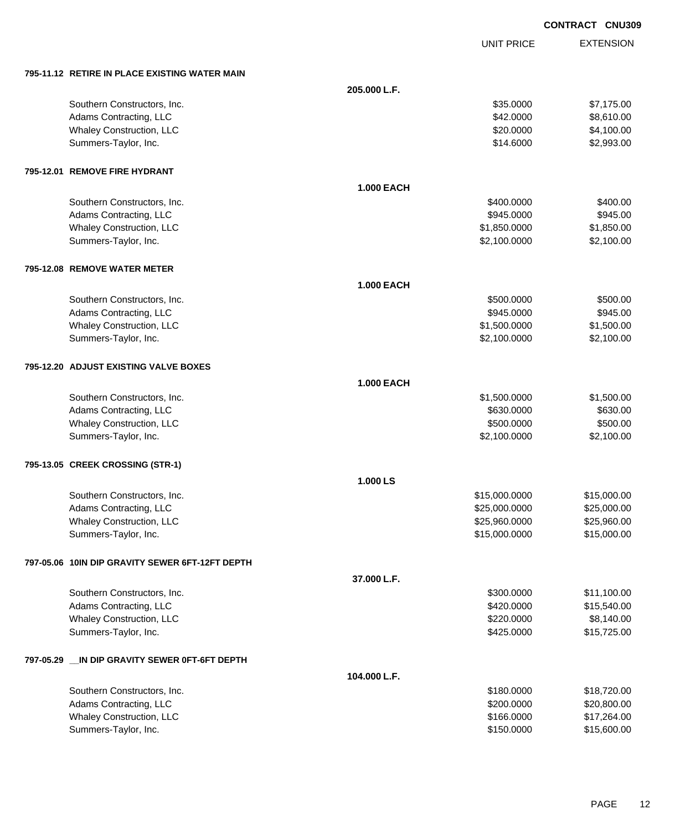| <b>CONTRACT CNU309</b> |  |
|------------------------|--|
|                        |  |

UNIT PRICE

| 795-11.12 RETIRE IN PLACE EXISTING WATER MAIN |  |
|-----------------------------------------------|--|

| 795-11.12 RETIRE IN PLACE EXISTING WATER MAIN                             |                   |               |             |
|---------------------------------------------------------------------------|-------------------|---------------|-------------|
|                                                                           | 205.000 L.F.      |               |             |
| Southern Constructors, Inc.                                               |                   | \$35.0000     | \$7,175.00  |
| Adams Contracting, LLC                                                    |                   | \$42.0000     | \$8,610.00  |
| Whaley Construction, LLC                                                  |                   | \$20.0000     | \$4,100.00  |
| Summers-Taylor, Inc.                                                      |                   | \$14.6000     | \$2,993.00  |
| 795-12.01 REMOVE FIRE HYDRANT                                             |                   |               |             |
|                                                                           | <b>1.000 EACH</b> |               |             |
| Southern Constructors, Inc.                                               |                   | \$400.0000    | \$400.00    |
| Adams Contracting, LLC                                                    |                   | \$945.0000    | \$945.00    |
| Whaley Construction, LLC                                                  |                   | \$1,850.0000  | \$1,850.00  |
| Summers-Taylor, Inc.                                                      |                   | \$2,100.0000  | \$2,100.00  |
| 795-12.08 REMOVE WATER METER                                              |                   |               |             |
|                                                                           | <b>1.000 EACH</b> |               |             |
| Southern Constructors, Inc.                                               |                   | \$500.0000    | \$500.00    |
| Adams Contracting, LLC                                                    |                   | \$945.0000    | \$945.00    |
| Whaley Construction, LLC                                                  |                   | \$1,500.0000  | \$1,500.00  |
| Summers-Taylor, Inc.                                                      |                   | \$2,100.0000  | \$2,100.00  |
| 795-12.20 ADJUST EXISTING VALVE BOXES                                     |                   |               |             |
|                                                                           | <b>1.000 EACH</b> |               |             |
| Southern Constructors, Inc.                                               |                   | \$1,500.0000  | \$1,500.00  |
| Adams Contracting, LLC                                                    |                   | \$630.0000    | \$630.00    |
| Whaley Construction, LLC                                                  |                   | \$500.0000    | \$500.00    |
| Summers-Taylor, Inc.                                                      |                   | \$2,100.0000  | \$2,100.00  |
| 795-13.05 CREEK CROSSING (STR-1)                                          |                   |               |             |
|                                                                           | 1.000 LS          |               |             |
| Southern Constructors, Inc.                                               |                   | \$15,000.0000 | \$15,000.00 |
| Adams Contracting, LLC                                                    |                   | \$25,000.0000 | \$25,000.00 |
| Whaley Construction, LLC                                                  |                   | \$25,960.0000 | \$25,960.00 |
| Summers-Taylor, Inc.                                                      |                   | \$15,000.0000 | \$15,000.00 |
| 797-05.06 10IN DIP GRAVITY SEWER 6FT-12FT DEPTH                           |                   |               |             |
|                                                                           | 37.000 L.F.       |               |             |
| Southern Constructors, Inc.                                               |                   | \$300.0000    | \$11,100.00 |
| Adams Contracting, LLC                                                    |                   | \$420.0000    | \$15,540.00 |
| Whaley Construction, LLC                                                  |                   | \$220.0000    | \$8,140.00  |
| Summers-Taylor, Inc.                                                      |                   | \$425.0000    | \$15,725.00 |
| 797-05.29 __IN                            DIP GRAVITY SEWER 0FT-6FT DEPTH |                   |               |             |
|                                                                           | 104.000 L.F.      |               |             |
| Southern Constructors, Inc.                                               |                   | \$180.0000    | \$18,720.00 |
| Adams Contracting, LLC                                                    |                   | \$200.0000    | \$20,800.00 |
| Whaley Construction, LLC                                                  |                   | \$166.0000    | \$17,264.00 |
| Summers-Taylor, Inc.                                                      |                   | \$150.0000    | \$15,600.00 |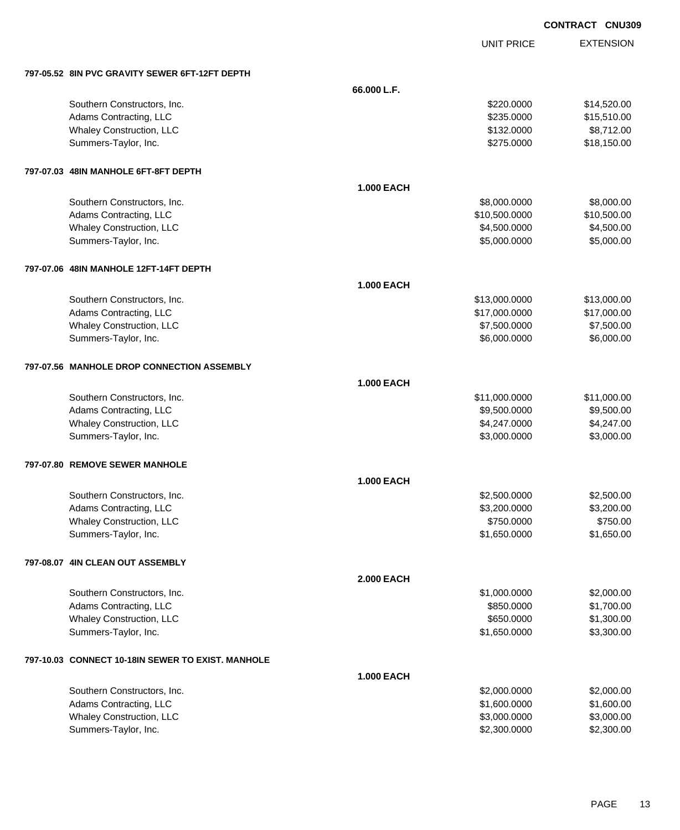UNIT PRICE

| 797-05.52 8IN PVC GRAVITY SEWER 6FT-12FT DEPTH        |                   |                              |                          |
|-------------------------------------------------------|-------------------|------------------------------|--------------------------|
|                                                       | 66.000 L.F.       |                              |                          |
| Southern Constructors, Inc.                           |                   | \$220.0000                   | \$14,520.00              |
| Adams Contracting, LLC                                |                   | \$235.0000                   | \$15,510.00              |
| Whaley Construction, LLC                              |                   | \$132.0000                   | \$8,712.00               |
| Summers-Taylor, Inc.                                  |                   | \$275.0000                   | \$18,150.00              |
|                                                       |                   |                              |                          |
| 797-07.03 48IN MANHOLE 6FT-8FT DEPTH                  |                   |                              |                          |
|                                                       | <b>1.000 EACH</b> |                              |                          |
|                                                       |                   | \$8,000.0000                 | \$8,000.00               |
| Southern Constructors, Inc.<br>Adams Contracting, LLC |                   | \$10,500.0000                | \$10,500.00              |
| Whaley Construction, LLC                              |                   | \$4,500.0000                 | \$4,500.00               |
| Summers-Taylor, Inc.                                  |                   | \$5,000.0000                 | \$5,000.00               |
|                                                       |                   |                              |                          |
| 797-07.06 48IN MANHOLE 12FT-14FT DEPTH                |                   |                              |                          |
|                                                       |                   |                              |                          |
|                                                       | <b>1.000 EACH</b> |                              |                          |
| Southern Constructors, Inc.                           |                   | \$13,000.0000                | \$13,000.00              |
| Adams Contracting, LLC                                |                   | \$17,000.0000                | \$17,000.00              |
| Whaley Construction, LLC                              |                   | \$7,500.0000                 | \$7,500.00               |
| Summers-Taylor, Inc.                                  |                   | \$6,000.0000                 | \$6,000.00               |
|                                                       |                   |                              |                          |
| 797-07.56 MANHOLE DROP CONNECTION ASSEMBLY            |                   |                              |                          |
|                                                       | <b>1.000 EACH</b> |                              |                          |
| Southern Constructors, Inc.                           |                   | \$11,000.0000                | \$11,000.00              |
| Adams Contracting, LLC                                |                   | \$9,500.0000                 | \$9,500.00               |
| Whaley Construction, LLC                              |                   | \$4,247.0000                 | \$4,247.00               |
| Summers-Taylor, Inc.                                  |                   | \$3,000.0000                 | \$3,000.00               |
|                                                       |                   |                              |                          |
| 797-07.80 REMOVE SEWER MANHOLE                        |                   |                              |                          |
|                                                       | <b>1.000 EACH</b> |                              |                          |
| Southern Constructors, Inc.                           |                   | \$2,500.0000                 | \$2,500.00               |
| Adams Contracting, LLC                                |                   | \$3,200.0000                 | \$3,200.00               |
| Whaley Construction, LLC                              |                   | \$750.0000                   | \$750.00                 |
| Summers-Taylor, Inc.                                  |                   | \$1,650.0000                 | \$1,650.00               |
|                                                       |                   |                              |                          |
| 797-08.07 4IN CLEAN OUT ASSEMBLY                      |                   |                              |                          |
|                                                       | <b>2.000 EACH</b> |                              |                          |
| Southern Constructors, Inc.                           |                   | \$1,000.0000                 | \$2,000.00               |
| Adams Contracting, LLC                                |                   | \$850.0000                   | \$1,700.00               |
| Whaley Construction, LLC                              |                   | \$650.0000                   | \$1,300.00               |
| Summers-Taylor, Inc.                                  |                   | \$1,650.0000                 | \$3,300.00               |
|                                                       |                   |                              |                          |
| 797-10.03 CONNECT 10-18IN SEWER TO EXIST. MANHOLE     |                   |                              |                          |
|                                                       | <b>1.000 EACH</b> |                              |                          |
|                                                       |                   |                              |                          |
| Southern Constructors, Inc.                           |                   | \$2,000.0000                 | \$2,000.00               |
| Adams Contracting, LLC                                |                   | \$1,600.0000                 | \$1,600.00               |
| Whaley Construction, LLC<br>Summers-Taylor, Inc.      |                   | \$3,000.0000<br>\$2,300.0000 | \$3,000.00<br>\$2,300.00 |
|                                                       |                   |                              |                          |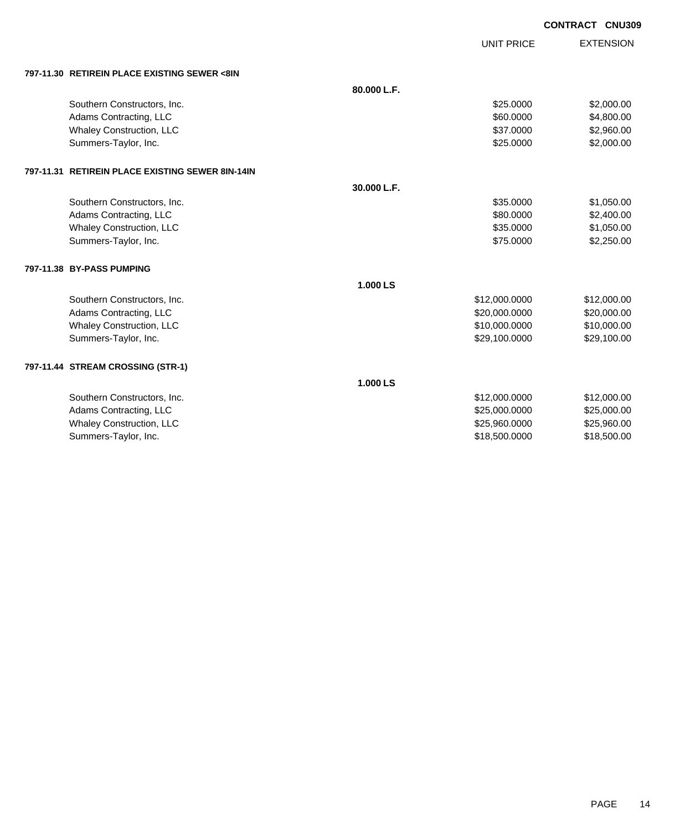|                                                  |             | UNIT PRICE    | <b>EXTENSION</b> |
|--------------------------------------------------|-------------|---------------|------------------|
| 797-11.30 RETIREIN PLACE EXISTING SEWER <8IN     |             |               |                  |
|                                                  | 80.000 L.F. |               |                  |
| Southern Constructors, Inc.                      |             | \$25.0000     | \$2,000.00       |
| Adams Contracting, LLC                           |             | \$60.0000     | \$4,800.00       |
| Whaley Construction, LLC                         |             | \$37.0000     | \$2,960.00       |
| Summers-Taylor, Inc.                             |             | \$25.0000     | \$2,000.00       |
| 797-11.31 RETIREIN PLACE EXISTING SEWER 8IN-14IN |             |               |                  |
|                                                  | 30.000 L.F. |               |                  |
| Southern Constructors, Inc.                      |             | \$35.0000     | \$1,050.00       |
| Adams Contracting, LLC                           |             | \$80,0000     | \$2,400.00       |
| Whaley Construction, LLC                         |             | \$35.0000     | \$1,050.00       |
| Summers-Taylor, Inc.                             |             | \$75.0000     | \$2,250.00       |
| 797-11.38 BY-PASS PUMPING                        |             |               |                  |
|                                                  | 1.000 LS    |               |                  |
| Southern Constructors, Inc.                      |             | \$12,000.0000 | \$12,000.00      |
| Adams Contracting, LLC                           |             | \$20,000.0000 | \$20,000.00      |
| Whaley Construction, LLC                         |             | \$10,000.0000 | \$10,000.00      |
| Summers-Taylor, Inc.                             |             | \$29,100.0000 | \$29,100.00      |
| 797-11.44 STREAM CROSSING (STR-1)                |             |               |                  |
|                                                  | 1.000 LS    |               |                  |
| Southern Constructors, Inc.                      |             | \$12,000.0000 | \$12,000.00      |
| Adams Contracting, LLC                           |             | \$25,000.0000 | \$25,000.00      |
| Whaley Construction, LLC                         |             | \$25,960.0000 | \$25,960.00      |
| Summers-Taylor, Inc.                             |             | \$18,500.0000 | \$18,500.00      |
|                                                  |             |               |                  |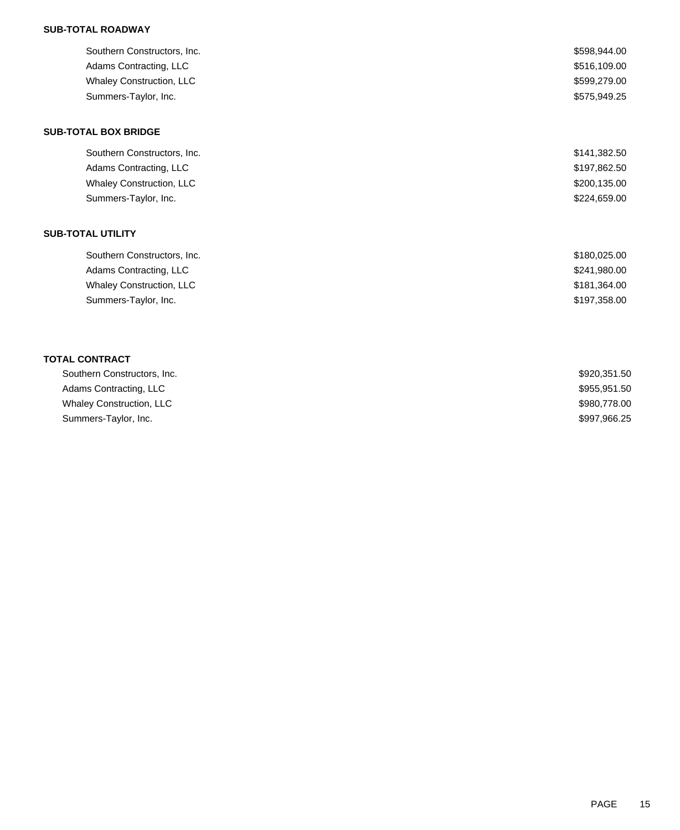## **SUB-TOTAL ROADWAY**

| Southern Constructors, Inc. | \$598,944.00 |
|-----------------------------|--------------|
| Adams Contracting, LLC      | \$516,109.00 |
| Whaley Construction, LLC    | \$599,279.00 |
| Summers-Taylor, Inc.        | \$575,949.25 |
| <b>SUB-TOTAL BOX BRIDGE</b> |              |
| Southern Constructors, Inc. | \$141,382.50 |
| Adams Contracting, LLC      | \$197,862.50 |
| Whaley Construction, LLC    | \$200,135.00 |
| Summers-Taylor, Inc.        | \$224,659.00 |
| <b>SUB-TOTAL UTILITY</b>    |              |
| Southern Constructors, Inc. | \$180,025.00 |
| Adams Contracting, LLC      | \$241,980.00 |
| Whaley Construction, LLC    | \$181,364.00 |
| Summers-Taylor, Inc.        | \$197,358.00 |
|                             |              |
| <b>TOTAL CONTRACT</b>       |              |
| Southern Constructors, Inc. | \$920,351.50 |
| Adams Contracting, LLC      | \$955,951.50 |

| <b>OUGHIUIII OUIIUNGUUIU, IIIU.</b> | 00.000.000   |
|-------------------------------------|--------------|
| Adams Contracting, LLC              | \$955,951.50 |
| <b>Whaley Construction, LLC</b>     | \$980,778.00 |
| Summers-Taylor, Inc.                | \$997,966.25 |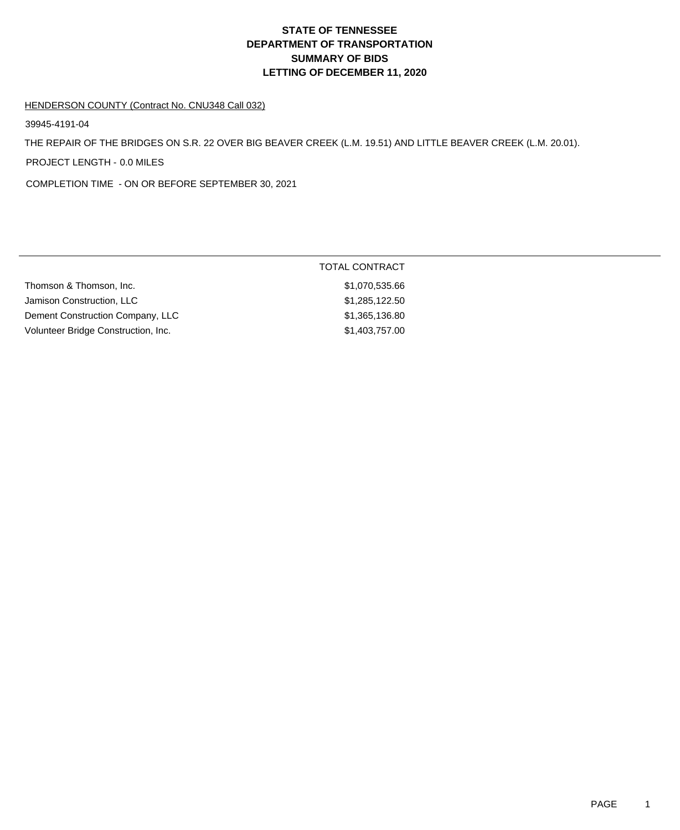# **DEPARTMENT OF TRANSPORTATION SUMMARY OF BIDS LETTING OF DECEMBER 11, 2020 STATE OF TENNESSEE**

#### HENDERSON COUNTY (Contract No. CNU348 Call 032)

39945-4191-04

THE REPAIR OF THE BRIDGES ON S.R. 22 OVER BIG BEAVER CREEK (L.M. 19.51) AND LITTLE BEAVER CREEK (L.M. 20.01).

PROJECT LENGTH - 0.0 MILES

COMPLETION TIME - ON OR BEFORE SEPTEMBER 30, 2021

|                                     | TOTAL CONTRACT |  |
|-------------------------------------|----------------|--|
| Thomson & Thomson, Inc.             | \$1,070,535.66 |  |
| Jamison Construction, LLC           | \$1,285,122.50 |  |
| Dement Construction Company, LLC    | \$1,365,136.80 |  |
| Volunteer Bridge Construction, Inc. | \$1,403,757.00 |  |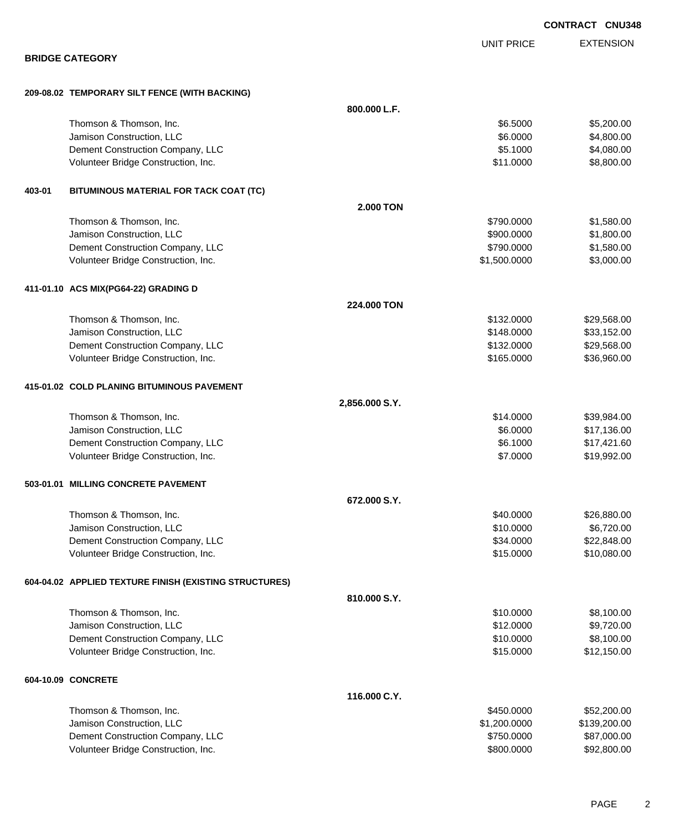|        |                                                        |                  |                   | <b>CONTRACT CNU34</b> |
|--------|--------------------------------------------------------|------------------|-------------------|-----------------------|
|        |                                                        |                  | <b>UNIT PRICE</b> | <b>EXTENSION</b>      |
|        | <b>BRIDGE CATEGORY</b>                                 |                  |                   |                       |
|        | 209-08.02 TEMPORARY SILT FENCE (WITH BACKING)          |                  |                   |                       |
|        |                                                        | 800.000 L.F.     |                   |                       |
|        | Thomson & Thomson, Inc.                                |                  | \$6.5000          | \$5,200.00            |
|        | Jamison Construction, LLC                              |                  | \$6.0000          | \$4,800.00            |
|        | Dement Construction Company, LLC                       |                  | \$5.1000          | \$4,080.00            |
|        | Volunteer Bridge Construction, Inc.                    |                  | \$11.0000         | \$8,800.00            |
| 403-01 | BITUMINOUS MATERIAL FOR TACK COAT (TC)                 |                  |                   |                       |
|        |                                                        | <b>2.000 TON</b> |                   |                       |
|        | Thomson & Thomson, Inc.                                |                  | \$790.0000        | \$1,580.00            |
|        | Jamison Construction, LLC                              |                  | \$900.0000        | \$1,800.00            |
|        | Dement Construction Company, LLC                       |                  | \$790.0000        | \$1,580.00            |
|        | Volunteer Bridge Construction, Inc.                    |                  | \$1,500.0000      | \$3,000.00            |
|        | 411-01.10 ACS MIX(PG64-22) GRADING D                   |                  |                   |                       |
|        |                                                        | 224,000 TON      |                   |                       |
|        | Thomson & Thomson, Inc.                                |                  | \$132.0000        | \$29,568.00           |
|        | Jamison Construction, LLC                              |                  | \$148.0000        | \$33,152.00           |
|        | Dement Construction Company, LLC                       |                  | \$132.0000        | \$29,568.00           |
|        | Volunteer Bridge Construction, Inc.                    |                  | \$165.0000        | \$36,960.00           |
|        | 415-01.02 COLD PLANING BITUMINOUS PAVEMENT             |                  |                   |                       |
|        |                                                        | 2,856.000 S.Y.   |                   |                       |
|        | Thomson & Thomson, Inc.                                |                  | \$14.0000         | \$39,984.00           |
|        | Jamison Construction, LLC                              |                  | \$6.0000          | \$17,136.00           |
|        | Dement Construction Company, LLC                       |                  | \$6.1000          | \$17,421.60           |
|        | Volunteer Bridge Construction, Inc.                    |                  | \$7.0000          | \$19,992.00           |
|        | 503-01.01 MILLING CONCRETE PAVEMENT                    |                  |                   |                       |
|        |                                                        | 672.000 S.Y.     |                   |                       |
|        | Thomson & Thomson, Inc.                                |                  | \$40.0000         | \$26,880.00           |
|        | Jamison Construction, LLC                              |                  | \$10.0000         | \$6,720.00            |
|        | Dement Construction Company, LLC                       |                  | \$34.0000         | \$22,848.00           |
|        | Volunteer Bridge Construction, Inc.                    |                  | \$15.0000         | \$10,080.00           |
|        | 604-04.02 APPLIED TEXTURE FINISH (EXISTING STRUCTURES) |                  |                   |                       |
|        |                                                        | 810.000 S.Y.     |                   |                       |
|        | Thomson & Thomson, Inc.                                |                  | \$10.0000         | \$8,100.00            |
|        | Jamison Construction, LLC                              |                  | \$12.0000         | \$9,720.00            |
|        | Dement Construction Company, LLC                       |                  | \$10.0000         | \$8,100.00            |
|        | Volunteer Bridge Construction, Inc.                    |                  | \$15.0000         | \$12,150.00           |
|        | 604-10.09 CONCRETE                                     |                  |                   |                       |
|        |                                                        | 116,000 C.Y.     |                   |                       |
|        | Thomson & Thomson, Inc.                                |                  | \$450.0000        | \$52,200.00           |
|        | Jamison Construction, LLC                              |                  | \$1,200.0000      | \$139,200.00          |
|        | Dement Construction Company, LLC                       |                  | \$750.0000        | \$87,000.00           |
|        | Volunteer Bridge Construction, Inc.                    |                  | \$800.0000        | \$92,800.00           |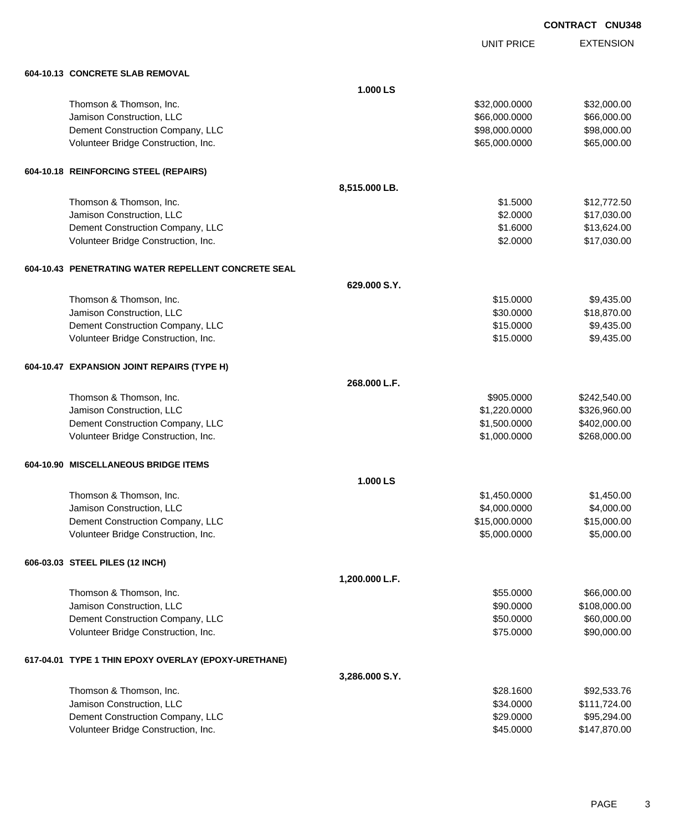UNIT PRICE

| 604-10.13 CONCRETE SLAB REMOVAL |
|---------------------------------|
|                                 |

| 604-10.13 CONCRETE SLAB REMOVAL                      |                |               |              |
|------------------------------------------------------|----------------|---------------|--------------|
|                                                      | 1.000 LS       |               |              |
| Thomson & Thomson, Inc.                              |                | \$32,000.0000 | \$32,000.00  |
| Jamison Construction, LLC                            |                | \$66,000.0000 | \$66,000.00  |
| Dement Construction Company, LLC                     |                | \$98,000.0000 | \$98,000.00  |
| Volunteer Bridge Construction, Inc.                  |                | \$65,000.0000 | \$65,000.00  |
| 604-10.18 REINFORCING STEEL (REPAIRS)                |                |               |              |
|                                                      | 8,515.000 LB.  |               |              |
| Thomson & Thomson, Inc.                              |                | \$1.5000      | \$12,772.50  |
| Jamison Construction, LLC                            |                | \$2.0000      | \$17,030.00  |
| Dement Construction Company, LLC                     |                | \$1.6000      | \$13,624.00  |
| Volunteer Bridge Construction, Inc.                  |                | \$2.0000      | \$17,030.00  |
| 604-10.43 PENETRATING WATER REPELLENT CONCRETE SEAL  |                |               |              |
|                                                      | 629.000 S.Y.   |               |              |
| Thomson & Thomson, Inc.                              |                | \$15.0000     | \$9,435.00   |
| Jamison Construction, LLC                            |                | \$30.0000     | \$18,870.00  |
| Dement Construction Company, LLC                     |                | \$15.0000     | \$9,435.00   |
| Volunteer Bridge Construction, Inc.                  |                | \$15.0000     | \$9,435.00   |
| 604-10.47 EXPANSION JOINT REPAIRS (TYPE H)           |                |               |              |
|                                                      | 268.000 L.F.   |               |              |
| Thomson & Thomson, Inc.                              |                | \$905.0000    | \$242,540.00 |
| Jamison Construction, LLC                            |                | \$1,220.0000  | \$326,960.00 |
| Dement Construction Company, LLC                     |                | \$1,500.0000  | \$402,000.00 |
| Volunteer Bridge Construction, Inc.                  |                | \$1,000.0000  | \$268,000.00 |
| 604-10.90 MISCELLANEOUS BRIDGE ITEMS                 |                |               |              |
|                                                      | 1.000 LS       |               |              |
| Thomson & Thomson, Inc.                              |                | \$1,450.0000  | \$1,450.00   |
| Jamison Construction, LLC                            |                | \$4,000.0000  | \$4,000.00   |
| Dement Construction Company, LLC                     |                | \$15,000.0000 | \$15,000.00  |
| Volunteer Bridge Construction, Inc.                  |                | \$5,000.0000  | \$5,000.00   |
| 606-03.03 STEEL PILES (12 INCH)                      |                |               |              |
|                                                      | 1,200.000 L.F. |               |              |
| Thomson & Thomson, Inc.                              |                | \$55.0000     | \$66,000.00  |
| Jamison Construction, LLC                            |                | \$90.0000     | \$108,000.00 |
| Dement Construction Company, LLC                     |                | \$50.0000     | \$60,000.00  |
| Volunteer Bridge Construction, Inc.                  |                | \$75.0000     | \$90,000.00  |
| 617-04.01 TYPE 1 THIN EPOXY OVERLAY (EPOXY-URETHANE) |                |               |              |
|                                                      | 3,286.000 S.Y. |               |              |
| Thomson & Thomson, Inc.                              |                | \$28.1600     | \$92,533.76  |
| Jamison Construction, LLC                            |                | \$34.0000     | \$111,724.00 |
| Dement Construction Company, LLC                     |                | \$29.0000     | \$95,294.00  |
| Volunteer Bridge Construction, Inc.                  |                | \$45.0000     | \$147,870.00 |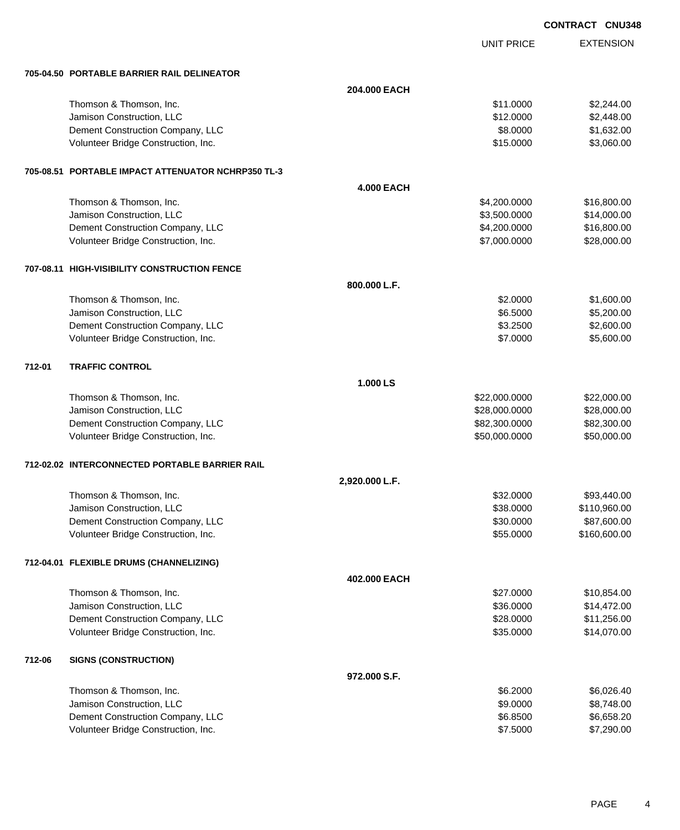|        |                                                    |                   |                   | <b>CONTRACT CNU348</b> |                  |
|--------|----------------------------------------------------|-------------------|-------------------|------------------------|------------------|
|        |                                                    |                   | <b>UNIT PRICE</b> |                        | <b>EXTENSION</b> |
|        | 705-04.50 PORTABLE BARRIER RAIL DELINEATOR         |                   |                   |                        |                  |
|        |                                                    | 204.000 EACH      |                   |                        |                  |
|        | Thomson & Thomson, Inc.                            |                   | \$11.0000         |                        | \$2,244.00       |
|        | Jamison Construction, LLC                          |                   | \$12.0000         |                        | \$2,448.00       |
|        | Dement Construction Company, LLC                   |                   | \$8.0000          |                        | \$1,632.00       |
|        | Volunteer Bridge Construction, Inc.                |                   | \$15.0000         |                        | \$3,060.00       |
|        | 705-08.51 PORTABLE IMPACT ATTENUATOR NCHRP350 TL-3 |                   |                   |                        |                  |
|        |                                                    | <b>4.000 EACH</b> |                   |                        |                  |
|        | Thomson & Thomson, Inc.                            |                   | \$4,200.0000      |                        | \$16,800.00      |
|        | Jamison Construction, LLC                          |                   | \$3,500.0000      |                        | \$14,000.00      |
|        | Dement Construction Company, LLC                   |                   | \$4,200.0000      |                        | \$16,800.00      |
|        | Volunteer Bridge Construction, Inc.                |                   | \$7,000.0000      |                        | \$28,000.00      |
|        | 707-08.11 HIGH-VISIBILITY CONSTRUCTION FENCE       |                   |                   |                        |                  |
|        |                                                    | 800.000 L.F.      |                   |                        |                  |
|        | Thomson & Thomson, Inc.                            |                   | \$2.0000          |                        | \$1,600.00       |
|        | Jamison Construction, LLC                          |                   | \$6.5000          |                        | \$5,200.00       |
|        | Dement Construction Company, LLC                   |                   | \$3.2500          |                        | \$2,600.00       |
|        | Volunteer Bridge Construction, Inc.                |                   | \$7.0000          |                        | \$5,600.00       |
| 712-01 | <b>TRAFFIC CONTROL</b>                             |                   |                   |                        |                  |
|        |                                                    | 1.000 LS          |                   |                        |                  |
|        | Thomson & Thomson, Inc.                            |                   | \$22,000.0000     |                        | \$22,000.00      |
|        | Jamison Construction, LLC                          |                   | \$28,000.0000     |                        | \$28,000.00      |
|        | Dement Construction Company, LLC                   |                   | \$82,300.0000     |                        | \$82,300.00      |
|        | Volunteer Bridge Construction, Inc.                |                   | \$50,000.0000     |                        | \$50,000.00      |
|        | 712-02.02 INTERCONNECTED PORTABLE BARRIER RAIL     |                   |                   |                        |                  |
|        |                                                    | 2,920.000 L.F.    |                   |                        |                  |
|        | Thomson & Thomson, Inc.                            |                   | \$32.0000         |                        | \$93,440.00      |
|        | Jamison Construction, LLC                          |                   | \$38.0000         |                        | \$110,960.00     |
|        | Dement Construction Company, LLC                   |                   | \$30.0000         |                        | \$87,600.00      |
|        | Volunteer Bridge Construction, Inc.                |                   | \$55.0000         |                        | \$160,600.00     |
|        | 712-04.01 FLEXIBLE DRUMS (CHANNELIZING)            |                   |                   |                        |                  |
|        |                                                    | 402.000 EACH      |                   |                        |                  |
|        | Thomson & Thomson, Inc.                            |                   | \$27.0000         |                        | \$10,854.00      |
|        | Jamison Construction, LLC                          |                   | \$36.0000         |                        | \$14,472.00      |
|        | Dement Construction Company, LLC                   |                   | \$28.0000         |                        | \$11,256.00      |
|        | Volunteer Bridge Construction, Inc.                |                   | \$35.0000         |                        | \$14,070.00      |
| 712-06 | <b>SIGNS (CONSTRUCTION)</b>                        |                   |                   |                        |                  |
|        |                                                    | 972.000 S.F.      |                   |                        |                  |
|        | Thomson & Thomson, Inc.                            |                   | \$6.2000          |                        | \$6,026.40       |
|        | Jamison Construction, LLC                          |                   | \$9.0000          |                        | \$8,748.00       |
|        | Dement Construction Company, LLC                   |                   | \$6.8500          |                        | \$6,658.20       |

Volunteer Bridge Construction, Inc. \$7.5000 \$7,290.00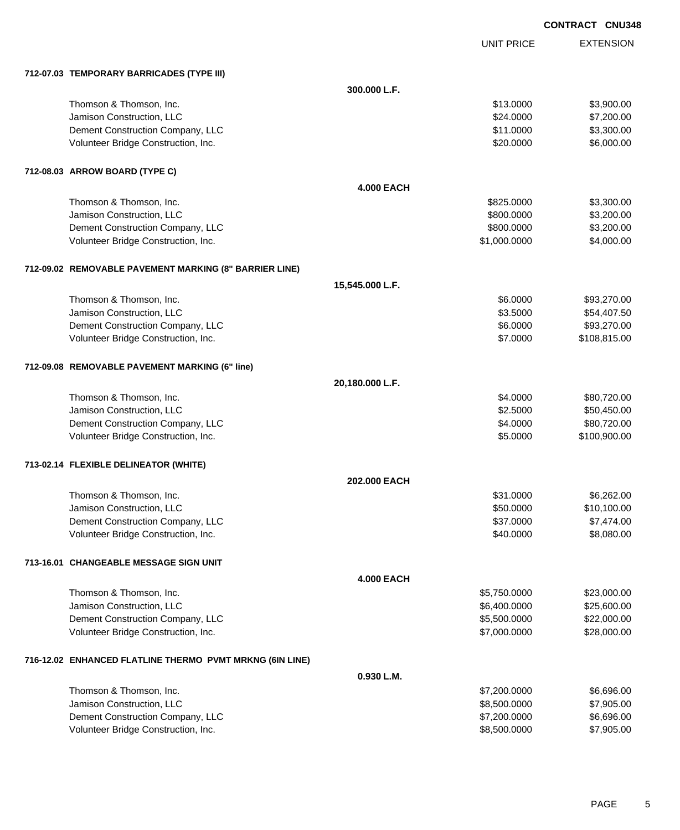EXTENSION **CONTRACT CNU348**

UNIT PRICE

| 712-07.03 TEMPORARY BARRICADES (TYPE III)                |                   |              |              |
|----------------------------------------------------------|-------------------|--------------|--------------|
|                                                          | 300.000 L.F.      |              |              |
| Thomson & Thomson, Inc.                                  |                   | \$13.0000    | \$3,900.00   |
| Jamison Construction, LLC                                |                   | \$24.0000    | \$7,200.00   |
| Dement Construction Company, LLC                         |                   | \$11.0000    | \$3,300.00   |
| Volunteer Bridge Construction, Inc.                      |                   | \$20.0000    | \$6,000.00   |
| 712-08.03 ARROW BOARD (TYPE C)                           |                   |              |              |
|                                                          | <b>4.000 EACH</b> |              |              |
| Thomson & Thomson, Inc.                                  |                   | \$825.0000   | \$3,300.00   |
| Jamison Construction, LLC                                |                   | \$800.0000   | \$3,200.00   |
| Dement Construction Company, LLC                         |                   | \$800.0000   | \$3,200.00   |
| Volunteer Bridge Construction, Inc.                      |                   | \$1,000.0000 | \$4,000.00   |
| 712-09.02 REMOVABLE PAVEMENT MARKING (8" BARRIER LINE)   |                   |              |              |
|                                                          | 15,545.000 L.F.   |              |              |
| Thomson & Thomson, Inc.                                  |                   | \$6.0000     | \$93,270.00  |
| Jamison Construction, LLC                                |                   | \$3.5000     | \$54,407.50  |
| Dement Construction Company, LLC                         |                   | \$6.0000     | \$93,270.00  |
| Volunteer Bridge Construction, Inc.                      |                   | \$7.0000     | \$108,815.00 |
| 712-09.08 REMOVABLE PAVEMENT MARKING (6" line)           |                   |              |              |
|                                                          | 20,180.000 L.F.   |              |              |
| Thomson & Thomson, Inc.                                  |                   | \$4.0000     | \$80,720.00  |
| Jamison Construction, LLC                                |                   | \$2.5000     | \$50,450.00  |
| Dement Construction Company, LLC                         |                   | \$4.0000     | \$80,720.00  |
| Volunteer Bridge Construction, Inc.                      |                   | \$5.0000     | \$100,900.00 |
| 713-02.14 FLEXIBLE DELINEATOR (WHITE)                    |                   |              |              |
|                                                          | 202.000 EACH      |              |              |
| Thomson & Thomson, Inc.                                  |                   | \$31.0000    | \$6,262.00   |
| Jamison Construction, LLC                                |                   | \$50.0000    | \$10,100.00  |
| Dement Construction Company, LLC                         |                   | \$37.0000    | \$7,474.00   |
| Volunteer Bridge Construction, Inc.                      |                   | \$40.0000    | \$8,080.00   |
| 713-16.01 CHANGEABLE MESSAGE SIGN UNIT                   |                   |              |              |
|                                                          | <b>4.000 EACH</b> |              |              |
| Thomson & Thomson, Inc.                                  |                   | \$5,750.0000 | \$23,000.00  |
| Jamison Construction, LLC                                |                   | \$6,400.0000 | \$25,600.00  |
| Dement Construction Company, LLC                         |                   | \$5,500.0000 | \$22,000.00  |
| Volunteer Bridge Construction, Inc.                      |                   | \$7,000.0000 | \$28,000.00  |
| 716-12.02 ENHANCED FLATLINE THERMO PVMT MRKNG (6IN LINE) |                   |              |              |
|                                                          | 0.930 L.M.        |              |              |
| Thomson & Thomson, Inc.                                  |                   | \$7,200.0000 | \$6,696.00   |
| Jamison Construction, LLC                                |                   | \$8,500.0000 | \$7,905.00   |
| Dement Construction Company, LLC                         |                   | \$7,200.0000 | \$6,696.00   |
| Volunteer Bridge Construction, Inc.                      |                   | \$8,500.0000 | \$7,905.00   |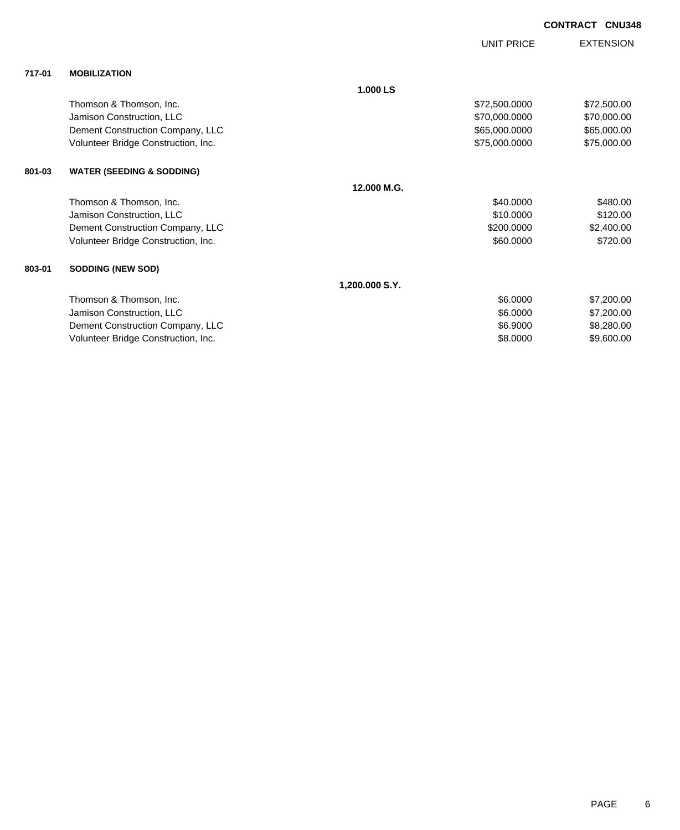|        |                                      |                | <b>UNIT PRICE</b> | <b>EXTENSION</b> |
|--------|--------------------------------------|----------------|-------------------|------------------|
| 717-01 | <b>MOBILIZATION</b>                  |                |                   |                  |
|        |                                      | 1.000 LS       |                   |                  |
|        | Thomson & Thomson, Inc.              |                | \$72,500.0000     | \$72,500.00      |
|        | Jamison Construction, LLC            |                | \$70,000.0000     | \$70,000.00      |
|        | Dement Construction Company, LLC     |                | \$65,000.0000     | \$65,000.00      |
|        | Volunteer Bridge Construction, Inc.  |                | \$75,000.0000     | \$75,000.00      |
| 801-03 | <b>WATER (SEEDING &amp; SODDING)</b> |                |                   |                  |
|        |                                      | 12.000 M.G.    |                   |                  |
|        | Thomson & Thomson, Inc.              |                | \$40,0000         | \$480.00         |
|        | Jamison Construction, LLC            |                | \$10.0000         | \$120.00         |
|        | Dement Construction Company, LLC     |                | \$200.0000        | \$2,400.00       |
|        | Volunteer Bridge Construction, Inc.  |                | \$60.0000         | \$720.00         |
| 803-01 | <b>SODDING (NEW SOD)</b>             |                |                   |                  |
|        |                                      | 1,200.000 S.Y. |                   |                  |
|        | Thomson & Thomson, Inc.              |                | \$6.0000          | \$7,200.00       |
|        | Jamison Construction, LLC            |                | \$6.0000          | \$7,200.00       |
|        | Dement Construction Company, LLC     |                | \$6.9000          | \$8,280.00       |
|        | Volunteer Bridge Construction, Inc.  |                | \$8.0000          | \$9,600.00       |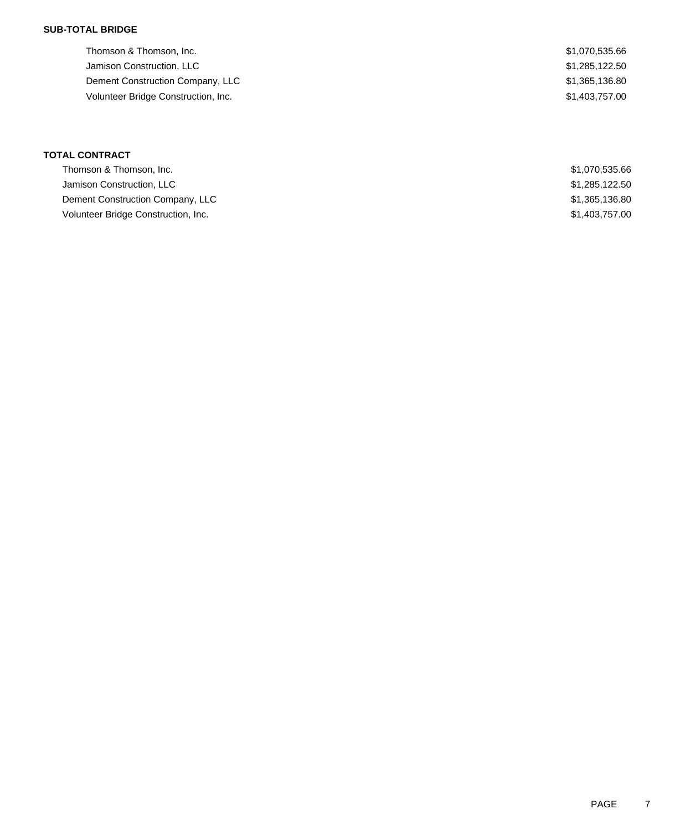### **SUB-TOTAL BRIDGE**

Thomson & Thomson, Inc. 66 and the state of the state of the state of the state of the state of the state of the state of the state of the state of the state of the state of the state of the state of the state of the state Jamison Construction, LLC \$1,285,122.50 Dement Construction Company, LLC \$1,365,136.80 Volunteer Bridge Construction, Inc. 61,403,757.00

| <b>TOTAL CONTRACT</b>               |                |
|-------------------------------------|----------------|
| Thomson & Thomson, Inc.             | \$1,070,535.66 |
| Jamison Construction, LLC           | \$1,285,122.50 |
| Dement Construction Company, LLC    | \$1,365,136.80 |
| Volunteer Bridge Construction, Inc. | \$1,403,757.00 |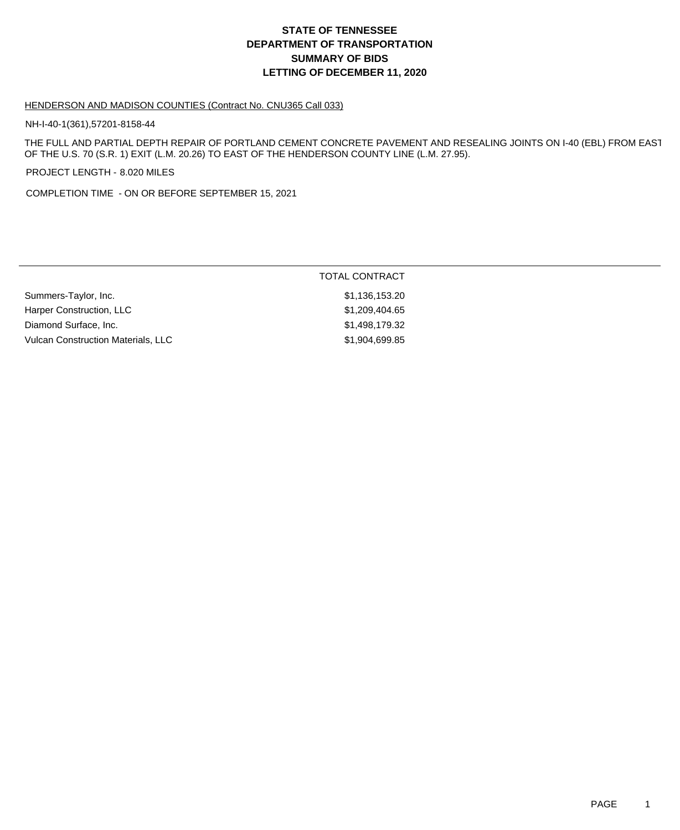# **DEPARTMENT OF TRANSPORTATION SUMMARY OF BIDS LETTING OF DECEMBER 11, 2020 STATE OF TENNESSEE**

### HENDERSON AND MADISON COUNTIES (Contract No. CNU365 Call 033)

NH-I-40-1(361),57201-8158-44

THE FULL AND PARTIAL DEPTH REPAIR OF PORTLAND CEMENT CONCRETE PAVEMENT AND RESEALING JOINTS ON I-40 (EBL) FROM EAST OF THE U.S. 70 (S.R. 1) EXIT (L.M. 20.26) TO EAST OF THE HENDERSON COUNTY LINE (L.M. 27.95).

PROJECT LENGTH - 8.020 MILES

COMPLETION TIME - ON OR BEFORE SEPTEMBER 15, 2021

|                                           | TOTAL CONTRACT |
|-------------------------------------------|----------------|
| Summers-Taylor, Inc.                      | \$1,136,153.20 |
| Harper Construction, LLC                  | \$1,209,404.65 |
| Diamond Surface, Inc.                     | \$1,498,179.32 |
| <b>Vulcan Construction Materials, LLC</b> | \$1,904,699.85 |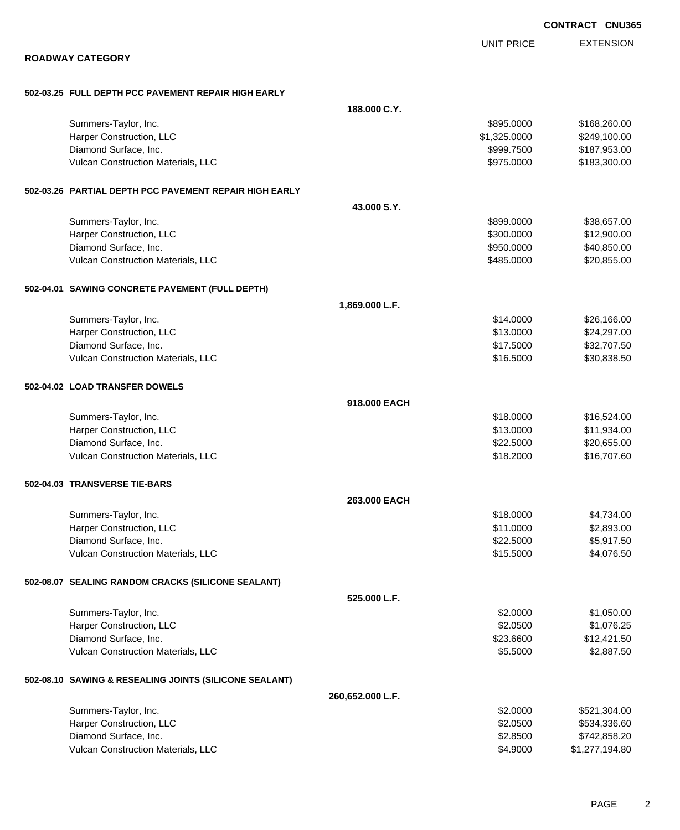|                                                        |                  |                   | <b>CONTRACT CNU365</b> |
|--------------------------------------------------------|------------------|-------------------|------------------------|
|                                                        |                  | <b>UNIT PRICE</b> | <b>EXTENSION</b>       |
| <b>ROADWAY CATEGORY</b>                                |                  |                   |                        |
| 502-03.25 FULL DEPTH PCC PAVEMENT REPAIR HIGH EARLY    |                  |                   |                        |
|                                                        | 188.000 C.Y.     |                   |                        |
| Summers-Taylor, Inc.                                   |                  | \$895.0000        | \$168,260.00           |
| Harper Construction, LLC                               |                  | \$1,325.0000      | \$249,100.00           |
| Diamond Surface, Inc.                                  |                  | \$999.7500        | \$187,953.00           |
| Vulcan Construction Materials, LLC                     |                  | \$975.0000        | \$183,300.00           |
| 502-03.26 PARTIAL DEPTH PCC PAVEMENT REPAIR HIGH EARLY |                  |                   |                        |
|                                                        | 43.000 S.Y.      |                   |                        |
| Summers-Taylor, Inc.                                   |                  | \$899.0000        | \$38,657.00            |
| Harper Construction, LLC                               |                  | \$300.0000        | \$12,900.00            |
| Diamond Surface, Inc.                                  |                  | \$950.0000        | \$40,850.00            |
| Vulcan Construction Materials, LLC                     |                  | \$485.0000        | \$20,855.00            |
| 502-04.01 SAWING CONCRETE PAVEMENT (FULL DEPTH)        |                  |                   |                        |
|                                                        | 1,869.000 L.F.   |                   |                        |
| Summers-Taylor, Inc.                                   |                  | \$14.0000         | \$26,166.00            |
| Harper Construction, LLC                               |                  | \$13.0000         | \$24,297.00            |
| Diamond Surface, Inc.                                  |                  | \$17.5000         | \$32,707.50            |
| Vulcan Construction Materials, LLC                     |                  | \$16.5000         | \$30,838.50            |
| 502-04.02 LOAD TRANSFER DOWELS                         |                  |                   |                        |
|                                                        | 918.000 EACH     |                   |                        |
| Summers-Taylor, Inc.                                   |                  | \$18.0000         | \$16,524.00            |
| Harper Construction, LLC                               |                  | \$13.0000         | \$11,934.00            |
| Diamond Surface, Inc.                                  |                  | \$22.5000         | \$20,655.00            |
| Vulcan Construction Materials, LLC                     |                  | \$18.2000         | \$16,707.60            |
| 502-04.03 TRANSVERSE TIE-BARS                          |                  |                   |                        |
|                                                        | 263.000 EACH     |                   |                        |
| Summers-Taylor, Inc.                                   |                  | \$18.0000         | \$4,734.00             |
| Harper Construction, LLC                               |                  | \$11.0000         | \$2,893.00             |
| Diamond Surface, Inc.                                  |                  | \$22.5000         | \$5,917.50             |
| Vulcan Construction Materials, LLC                     |                  | \$15.5000         | \$4,076.50             |
| 502-08.07 SEALING RANDOM CRACKS (SILICONE SEALANT)     |                  |                   |                        |
|                                                        | 525.000 L.F.     |                   |                        |
| Summers-Taylor, Inc.                                   |                  | \$2.0000          | \$1,050.00             |
| Harper Construction, LLC                               |                  | \$2.0500          | \$1,076.25             |
| Diamond Surface, Inc.                                  |                  | \$23.6600         | \$12,421.50            |
| Vulcan Construction Materials, LLC                     |                  | \$5.5000          | \$2,887.50             |
| 502-08.10 SAWING & RESEALING JOINTS (SILICONE SEALANT) |                  |                   |                        |
|                                                        | 260,652.000 L.F. |                   |                        |
| Summers-Taylor, Inc.                                   |                  | \$2.0000          | \$521,304.00           |
| Harper Construction, LLC                               |                  | \$2.0500          | \$534,336.60           |
| Diamond Surface, Inc.                                  |                  | \$2.8500          | \$742,858.20           |
| Vulcan Construction Materials, LLC                     |                  | \$4.9000          | \$1,277,194.80         |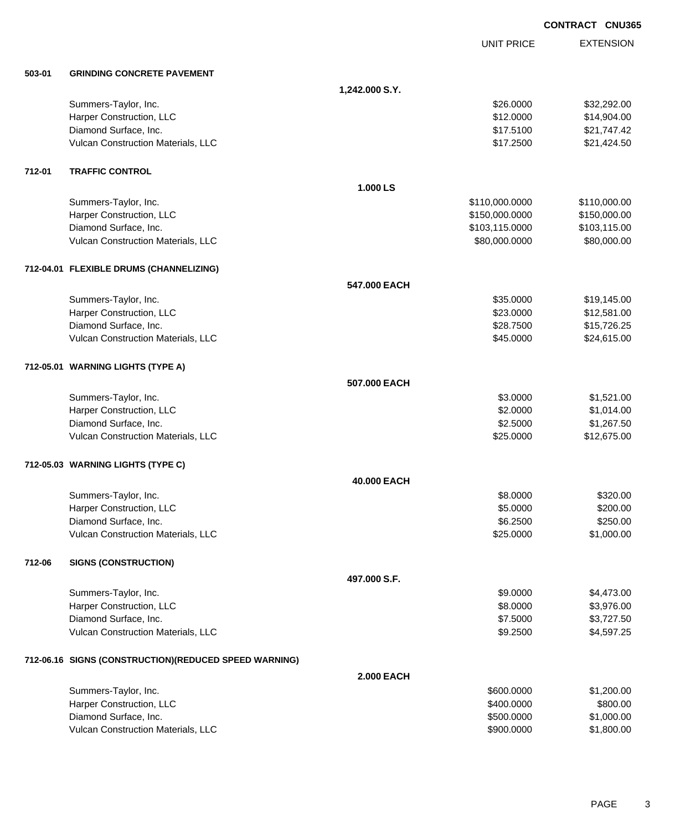|        |                                                        |                   |                   | <b>CONTRACT CNU365</b> |
|--------|--------------------------------------------------------|-------------------|-------------------|------------------------|
|        |                                                        |                   | <b>UNIT PRICE</b> | <b>EXTENSION</b>       |
| 503-01 | <b>GRINDING CONCRETE PAVEMENT</b>                      |                   |                   |                        |
|        |                                                        | 1,242.000 S.Y.    |                   |                        |
|        | Summers-Taylor, Inc.                                   |                   | \$26.0000         | \$32,292.00            |
|        | Harper Construction, LLC                               |                   | \$12.0000         | \$14,904.00            |
|        | Diamond Surface, Inc.                                  |                   | \$17.5100         | \$21,747.42            |
|        | Vulcan Construction Materials, LLC                     |                   | \$17.2500         | \$21,424.50            |
| 712-01 | <b>TRAFFIC CONTROL</b>                                 |                   |                   |                        |
|        |                                                        | 1.000 LS          |                   |                        |
|        | Summers-Taylor, Inc.                                   |                   | \$110,000.0000    | \$110,000.00           |
|        | Harper Construction, LLC                               |                   | \$150,000.0000    | \$150,000.00           |
|        | Diamond Surface, Inc.                                  |                   | \$103,115.0000    | \$103,115.00           |
|        | Vulcan Construction Materials, LLC                     |                   | \$80,000.0000     | \$80,000.00            |
|        | 712-04.01 FLEXIBLE DRUMS (CHANNELIZING)                |                   |                   |                        |
|        |                                                        | 547,000 EACH      |                   |                        |
|        | Summers-Taylor, Inc.                                   |                   | \$35.0000         | \$19,145.00            |
|        | Harper Construction, LLC                               |                   | \$23.0000         | \$12,581.00            |
|        | Diamond Surface, Inc.                                  |                   | \$28.7500         | \$15,726.25            |
|        | Vulcan Construction Materials, LLC                     |                   | \$45.0000         | \$24,615.00            |
|        | 712-05.01 WARNING LIGHTS (TYPE A)                      |                   |                   |                        |
|        |                                                        | 507.000 EACH      |                   |                        |
|        | Summers-Taylor, Inc.                                   |                   | \$3.0000          | \$1,521.00             |
|        | Harper Construction, LLC                               |                   | \$2.0000          | \$1,014.00             |
|        | Diamond Surface, Inc.                                  |                   | \$2.5000          | \$1,267.50             |
|        | Vulcan Construction Materials, LLC                     |                   | \$25.0000         | \$12,675.00            |
|        | 712-05.03 WARNING LIGHTS (TYPE C)                      |                   |                   |                        |
|        |                                                        | 40.000 EACH       |                   |                        |
|        | Summers-Taylor, Inc.                                   |                   | \$8.0000          | \$320.00               |
|        | Harper Construction, LLC                               |                   | \$5.0000          | \$200.00               |
|        | Diamond Surface, Inc.                                  |                   | \$6.2500          | \$250.00               |
|        | Vulcan Construction Materials, LLC                     |                   | \$25.0000         | \$1,000.00             |
| 712-06 | <b>SIGNS (CONSTRUCTION)</b>                            |                   |                   |                        |
|        |                                                        | 497.000 S.F.      |                   |                        |
|        | Summers-Taylor, Inc.                                   |                   | \$9.0000          | \$4,473.00             |
|        | Harper Construction, LLC                               |                   | \$8.0000          | \$3,976.00             |
|        | Diamond Surface, Inc.                                  |                   | \$7.5000          | \$3,727.50             |
|        | Vulcan Construction Materials, LLC                     |                   | \$9.2500          | \$4,597.25             |
|        | 712-06.16 SIGNS (CONSTRUCTION) (REDUCED SPEED WARNING) |                   |                   |                        |
|        |                                                        | <b>2.000 EACH</b> |                   |                        |
|        | Summers-Taylor, Inc.                                   |                   | \$600.0000        | \$1,200.00             |
|        | Harper Construction, LLC                               |                   | \$400.0000        | \$800.00               |
|        | Diamond Surface, Inc.                                  |                   | \$500.0000        | \$1,000.00             |
|        | Vulcan Construction Materials, LLC                     |                   | \$900.0000        | \$1,800.00             |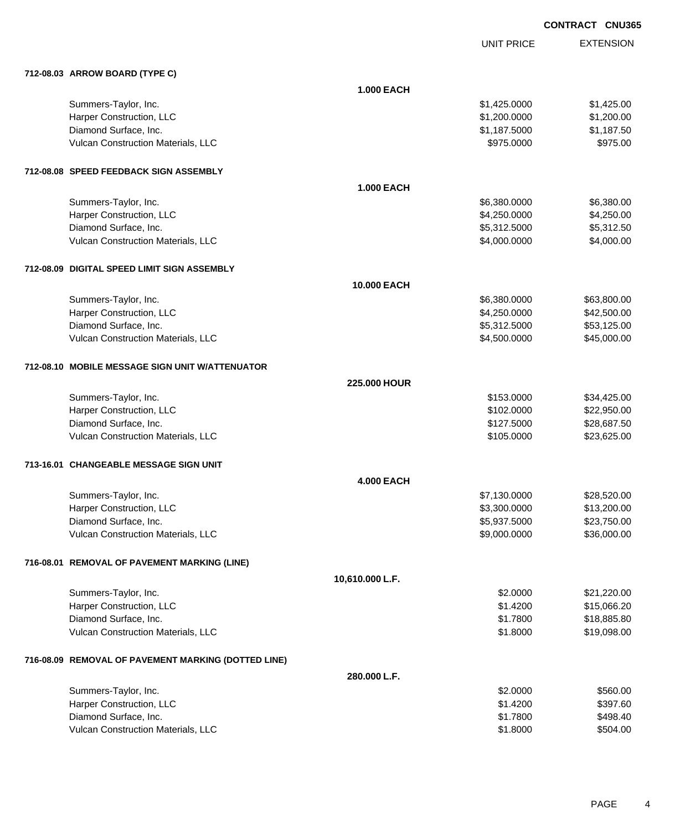UNIT PRICE

EXTENSION

|  | 712-08.03 ARROW BOARD (TYPE C)                      |                   |              |             |
|--|-----------------------------------------------------|-------------------|--------------|-------------|
|  |                                                     | <b>1.000 EACH</b> |              |             |
|  | Summers-Taylor, Inc.                                |                   | \$1,425.0000 | \$1,425.00  |
|  | Harper Construction, LLC                            |                   | \$1,200.0000 | \$1,200.00  |
|  | Diamond Surface, Inc.                               |                   | \$1,187.5000 | \$1,187.50  |
|  | Vulcan Construction Materials, LLC                  |                   | \$975.0000   | \$975.00    |
|  | 712-08.08 SPEED FEEDBACK SIGN ASSEMBLY              |                   |              |             |
|  |                                                     | <b>1.000 EACH</b> |              |             |
|  | Summers-Taylor, Inc.                                |                   | \$6,380.0000 | \$6,380.00  |
|  | Harper Construction, LLC                            |                   | \$4,250.0000 | \$4,250.00  |
|  | Diamond Surface, Inc.                               |                   | \$5,312.5000 | \$5,312.50  |
|  | Vulcan Construction Materials, LLC                  |                   | \$4,000.0000 | \$4,000.00  |
|  | 712-08.09 DIGITAL SPEED LIMIT SIGN ASSEMBLY         |                   |              |             |
|  |                                                     | 10.000 EACH       |              |             |
|  | Summers-Taylor, Inc.                                |                   | \$6,380.0000 | \$63,800.00 |
|  | Harper Construction, LLC                            |                   | \$4,250.0000 | \$42,500.00 |
|  | Diamond Surface, Inc.                               |                   | \$5,312.5000 | \$53,125.00 |
|  | Vulcan Construction Materials, LLC                  |                   | \$4,500.0000 | \$45,000.00 |
|  | 712-08.10 MOBILE MESSAGE SIGN UNIT W/ATTENUATOR     |                   |              |             |
|  |                                                     | 225.000 HOUR      |              |             |
|  | Summers-Taylor, Inc.                                |                   | \$153.0000   | \$34,425.00 |
|  | Harper Construction, LLC                            |                   | \$102.0000   | \$22,950.00 |
|  | Diamond Surface, Inc.                               |                   | \$127.5000   | \$28,687.50 |
|  | Vulcan Construction Materials, LLC                  |                   | \$105.0000   | \$23,625.00 |
|  | 713-16.01 CHANGEABLE MESSAGE SIGN UNIT              |                   |              |             |
|  |                                                     | <b>4.000 EACH</b> |              |             |
|  | Summers-Taylor, Inc.                                |                   | \$7,130.0000 | \$28,520.00 |
|  | Harper Construction, LLC                            |                   | \$3,300.0000 | \$13,200.00 |
|  | Diamond Surface, Inc.                               |                   | \$5,937.5000 | \$23,750.00 |
|  | Vulcan Construction Materials, LLC                  |                   | \$9,000.0000 | \$36,000.00 |
|  | 716-08.01 REMOVAL OF PAVEMENT MARKING (LINE)        |                   |              |             |
|  |                                                     | 10,610.000 L.F.   |              |             |
|  | Summers-Taylor, Inc.                                |                   | \$2.0000     | \$21,220.00 |
|  | Harper Construction, LLC                            |                   | \$1.4200     | \$15,066.20 |
|  | Diamond Surface, Inc.                               |                   | \$1.7800     | \$18,885.80 |
|  | Vulcan Construction Materials, LLC                  |                   | \$1.8000     | \$19,098.00 |
|  | 716-08.09 REMOVAL OF PAVEMENT MARKING (DOTTED LINE) |                   |              |             |
|  |                                                     | 280.000 L.F.      |              |             |
|  | Summers-Taylor, Inc.                                |                   | \$2.0000     | \$560.00    |
|  | Harper Construction, LLC                            |                   | \$1.4200     | \$397.60    |
|  | Diamond Surface, Inc.                               |                   | \$1.7800     | \$498.40    |

Vulcan Construction Materials, LLC 6504.00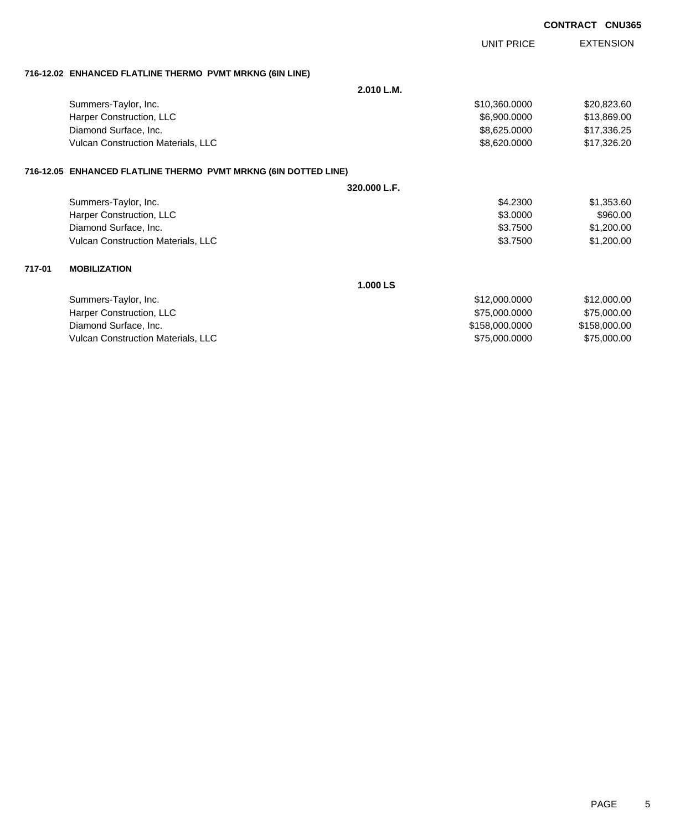| <b>EXTENSION</b><br><b>UNIT PRICE</b><br>716-12.02 ENHANCED FLATLINE THERMO PVMT MRKNG (6IN LINE)<br>2.010 L.M.<br>Summers-Taylor, Inc.<br>\$10,360.0000<br>\$20,823.60<br>Harper Construction, LLC<br>\$6,900.0000<br>\$13,869.00<br>Diamond Surface, Inc.<br>\$8,625.0000<br>\$17,336.25<br>Vulcan Construction Materials, LLC<br>\$8,620.0000<br>\$17,326.20<br>716-12.05 ENHANCED FLATLINE THERMO PVMT MRKNG (6IN DOTTED LINE)<br>320.000 L.F.<br>Summers-Taylor, Inc.<br>\$4.2300<br>\$1,353.60<br>Harper Construction, LLC<br>\$3.0000<br>\$960.00 | <b>CNU365</b> |
|----------------------------------------------------------------------------------------------------------------------------------------------------------------------------------------------------------------------------------------------------------------------------------------------------------------------------------------------------------------------------------------------------------------------------------------------------------------------------------------------------------------------------------------------------------|---------------|
|                                                                                                                                                                                                                                                                                                                                                                                                                                                                                                                                                          |               |
|                                                                                                                                                                                                                                                                                                                                                                                                                                                                                                                                                          |               |
|                                                                                                                                                                                                                                                                                                                                                                                                                                                                                                                                                          |               |
|                                                                                                                                                                                                                                                                                                                                                                                                                                                                                                                                                          |               |
|                                                                                                                                                                                                                                                                                                                                                                                                                                                                                                                                                          |               |
|                                                                                                                                                                                                                                                                                                                                                                                                                                                                                                                                                          |               |
|                                                                                                                                                                                                                                                                                                                                                                                                                                                                                                                                                          |               |
|                                                                                                                                                                                                                                                                                                                                                                                                                                                                                                                                                          |               |
|                                                                                                                                                                                                                                                                                                                                                                                                                                                                                                                                                          |               |
|                                                                                                                                                                                                                                                                                                                                                                                                                                                                                                                                                          |               |
|                                                                                                                                                                                                                                                                                                                                                                                                                                                                                                                                                          |               |
| Diamond Surface, Inc.<br>\$3.7500<br>\$1,200.00                                                                                                                                                                                                                                                                                                                                                                                                                                                                                                          |               |
| Vulcan Construction Materials, LLC<br>\$3.7500<br>\$1,200.00                                                                                                                                                                                                                                                                                                                                                                                                                                                                                             |               |
| 717-01<br><b>MOBILIZATION</b>                                                                                                                                                                                                                                                                                                                                                                                                                                                                                                                            |               |
| 1.000LS                                                                                                                                                                                                                                                                                                                                                                                                                                                                                                                                                  |               |
| Summers-Taylor, Inc.<br>\$12,000.0000<br>\$12,000.00                                                                                                                                                                                                                                                                                                                                                                                                                                                                                                     |               |
| Harper Construction, LLC<br>\$75,000.00<br>\$75,000.0000                                                                                                                                                                                                                                                                                                                                                                                                                                                                                                 |               |
| Diamond Surface, Inc.<br>\$158,000.0000<br>\$158,000.00                                                                                                                                                                                                                                                                                                                                                                                                                                                                                                  |               |

Vulcan Construction Materials, LLC 600000 \$75,000.0000 \$75,000.0000 \$75,000.000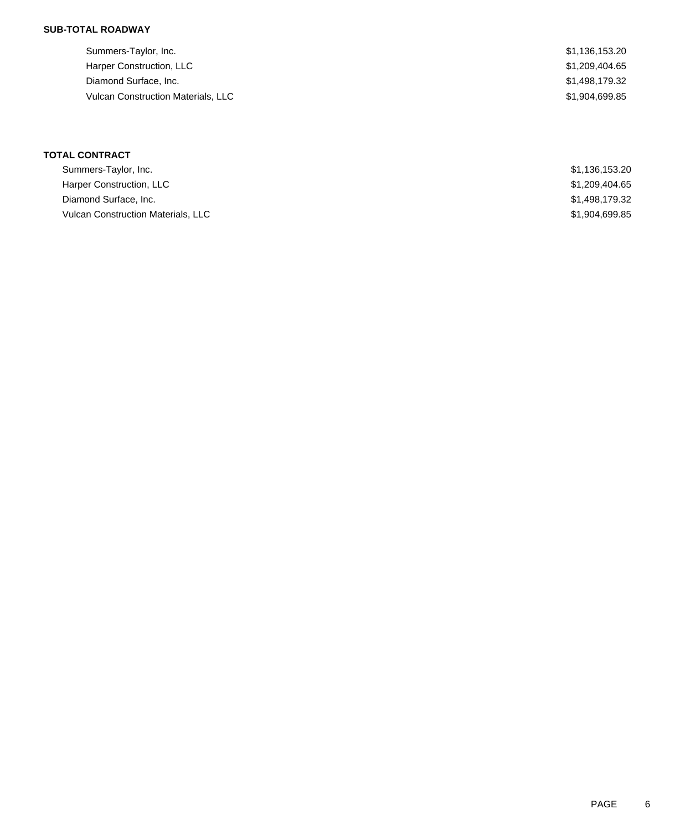## **SUB-TOTAL ROADWAY**

| Summers-Taylor, Inc.                      | \$1,136,153.20 |
|-------------------------------------------|----------------|
| Harper Construction, LLC                  | \$1,209,404.65 |
| Diamond Surface, Inc.                     | \$1,498,179.32 |
| <b>Vulcan Construction Materials, LLC</b> | \$1,904,699.85 |
|                                           |                |

# **TOTAL CONTRACT**

| Summers-Taylor, Inc.                      | \$1,136,153.20 |
|-------------------------------------------|----------------|
| Harper Construction, LLC                  | \$1,209,404.65 |
| Diamond Surface, Inc.                     | \$1,498,179.32 |
| <b>Vulcan Construction Materials, LLC</b> | \$1,904,699.85 |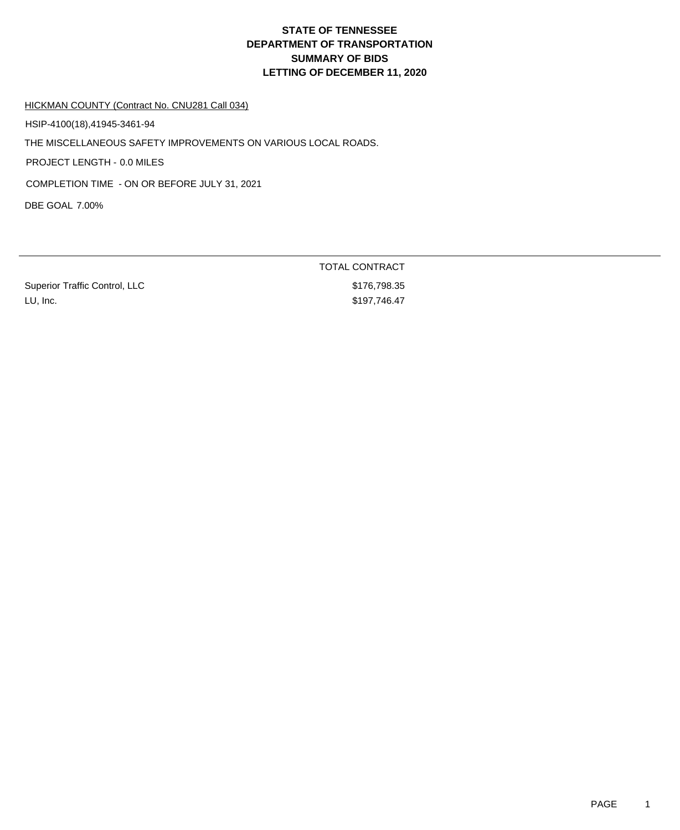HICKMAN COUNTY (Contract No. CNU281 Call 034)

HSIP-4100(18),41945-3461-94

THE MISCELLANEOUS SAFETY IMPROVEMENTS ON VARIOUS LOCAL ROADS.

PROJECT LENGTH - 0.0 MILES

COMPLETION TIME - ON OR BEFORE JULY 31, 2021

DBE GOAL 7.00%

Superior Traffic Control, LLC \$176,798.35 LU, Inc. \$197,746.47

TOTAL CONTRACT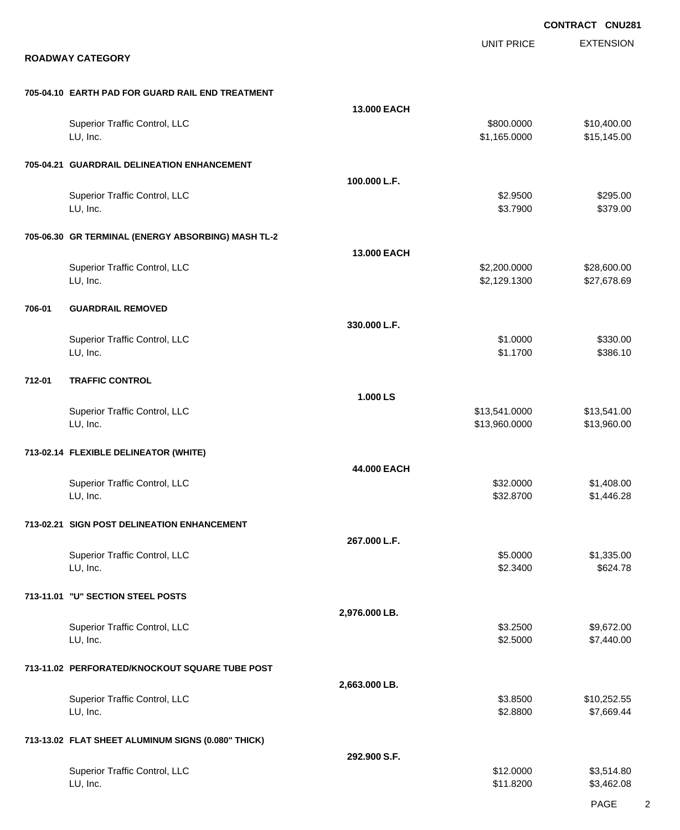EXTENSION **CONTRACT CNU281** UNIT PRICE **ROADWAY CATEGORY 705-04.10 EARTH PAD FOR GUARD RAIL END TREATMENT 13.000 EACH** Superior Traffic Control, LLC 610 and the state of the state of the state of the state of the state of the state of the state of the state of the state of the state of the state of the state of the state of the state of th LU, Inc. \$1,165.0000 \$15,145.00 **705-04.21 GUARDRAIL DELINEATION ENHANCEMENT 100.000 L.F.** Superior Traffic Control, LLC 6295.00 \$2.9500 \$2.9500 \$2.9500 \$2.9500 \$2.9500 \$2.9500 \$2.9500 \$2.9500 \$2.9500 \$2.9500 \$2.9500 \$2.9500 \$2.9500 \$2.9500 \$2.9500 \$2.9500 \$2.9500 \$2.9500 \$2.9500 \$2.9500 \$2.9500 \$2.9500 \$2.9500 لى الله عن الله عن الله عن الله عن الله عن الله عن الله عن الله عن الله عن الله عن الله عن الله عن الله عن الل **705-06.30 GR TERMINAL (ENERGY ABSORBING) MASH TL-2 13.000 EACH** Superior Traffic Control, LLC 6.0000 \$28,600.00 LU, Inc. \$2,129.1300 \$27,678.69 **706-01 GUARDRAIL REMOVED 330.000 L.F.** Superior Traffic Control, LLC \$330.00 LU, Inc. \$1.1700 \$386.10 **712-01 TRAFFIC CONTROL 1.000 LS** Superior Traffic Control, LLC 613,541.000 \$13,541.000 \$13,541.000 LU, Inc. \$13,960.0000 \$13,960.00 **713-02.14 FLEXIBLE DELINEATOR (WHITE) 44.000 EACH** Superior Traffic Control, LLC 632.0000 \$1,408.00 LU, Inc. \$32.8700 \$1,446.28 **713-02.21 SIGN POST DELINEATION ENHANCEMENT 267.000 L.F.** Superior Traffic Control, LLC 66 and the state of the state of the state of the state of the state of the state of the state of the state of the state of the state of the state of the state of the state of the state of the لى الله بن المركز المركز المركز المركز المركز المركز المركز المركز المركز المركز المركز المركز المركز المركز ال **713-11.01 "U" SECTION STEEL POSTS 2,976.000 LB.** Superior Traffic Control, LLC 66 and the state of the state of the state of the state of the state of the state of the state of the state of the state of the state of the state of the state of the state of the state of the LU, Inc. \$2.5000 \$7,440.00 **713-11.02 PERFORATED/KNOCKOUT SQUARE TUBE POST 2,663.000 LB.** Superior Traffic Control, LLC 610,252.55 LU, Inc. \$2.8800 \$7,669.44 **713-13.02 FLAT SHEET ALUMINUM SIGNS (0.080" THICK) 292.900 S.F.** Superior Traffic Control, LLC 63,514.80 LU, Inc. \$11.8200 \$3,462.08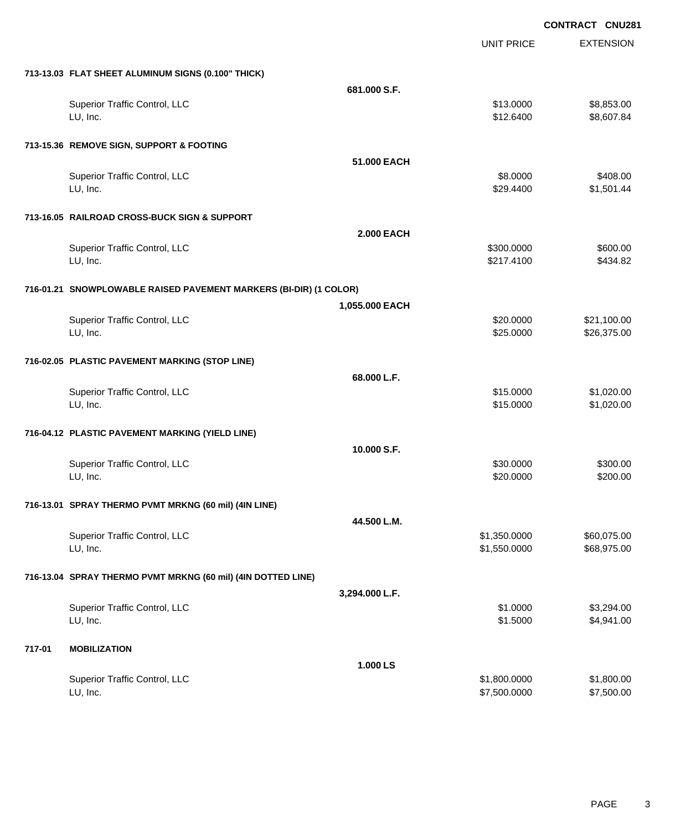|        |                                                                   |                   |                   | <b>CONTRACT CNU281</b> |                  |
|--------|-------------------------------------------------------------------|-------------------|-------------------|------------------------|------------------|
|        |                                                                   |                   | <b>UNIT PRICE</b> |                        | <b>EXTENSION</b> |
|        | 713-13.03 FLAT SHEET ALUMINUM SIGNS (0.100" THICK)                |                   |                   |                        |                  |
|        |                                                                   | 681.000 S.F.      |                   |                        |                  |
|        | Superior Traffic Control, LLC                                     |                   | \$13.0000         |                        | \$8,853.00       |
|        | LU, Inc.                                                          |                   | \$12.6400         |                        | \$8,607.84       |
|        | 713-15.36 REMOVE SIGN, SUPPORT & FOOTING                          |                   |                   |                        |                  |
|        |                                                                   | 51,000 EACH       |                   |                        |                  |
|        | Superior Traffic Control, LLC                                     |                   | \$8.0000          |                        | \$408.00         |
|        | LU, Inc.                                                          |                   | \$29.4400         |                        | \$1,501.44       |
|        | 713-16.05 RAILROAD CROSS-BUCK SIGN & SUPPORT                      |                   |                   |                        |                  |
|        |                                                                   | <b>2.000 EACH</b> |                   |                        |                  |
|        | Superior Traffic Control, LLC                                     |                   | \$300.0000        |                        | \$600.00         |
|        | LU, Inc.                                                          |                   | \$217.4100        |                        | \$434.82         |
|        | 716-01.21 SNOWPLOWABLE RAISED PAVEMENT MARKERS (BI-DIR) (1 COLOR) |                   |                   |                        |                  |
|        |                                                                   | 1,055.000 EACH    |                   |                        |                  |
|        | Superior Traffic Control, LLC                                     |                   | \$20.0000         |                        | \$21,100.00      |
|        | LU, Inc.                                                          |                   | \$25.0000         |                        | \$26,375.00      |
|        | 716-02.05 PLASTIC PAVEMENT MARKING (STOP LINE)                    |                   |                   |                        |                  |
|        |                                                                   | 68.000 L.F.       |                   |                        |                  |
|        | Superior Traffic Control, LLC                                     |                   | \$15.0000         |                        | \$1,020.00       |
|        | LU, Inc.                                                          |                   | \$15.0000         |                        | \$1,020.00       |
|        | 716-04.12 PLASTIC PAVEMENT MARKING (YIELD LINE)                   |                   |                   |                        |                  |
|        |                                                                   | 10.000 S.F.       |                   |                        |                  |
|        | Superior Traffic Control, LLC                                     |                   | \$30.0000         |                        | \$300.00         |
|        | LU, Inc.                                                          |                   | \$20.0000         |                        | \$200.00         |
|        | 716-13.01 SPRAY THERMO PVMT MRKNG (60 mil) (4IN LINE)             |                   |                   |                        |                  |
|        |                                                                   | 44.500 L.M.       |                   |                        |                  |
|        | Superior Traffic Control, LLC                                     |                   | \$1,350.0000      |                        | \$60,075.00      |
|        | LU, Inc.                                                          |                   | \$1,550.0000      |                        | \$68,975.00      |
|        | 716-13.04 SPRAY THERMO PVMT MRKNG (60 mil) (4IN DOTTED LINE)      |                   |                   |                        |                  |
|        |                                                                   | 3,294.000 L.F.    |                   |                        |                  |
|        | Superior Traffic Control, LLC                                     |                   | \$1.0000          |                        | \$3,294.00       |
|        | LU, Inc.                                                          |                   | \$1.5000          |                        | \$4,941.00       |
| 717-01 | <b>MOBILIZATION</b>                                               |                   |                   |                        |                  |
|        |                                                                   | 1.000 LS          |                   |                        |                  |
|        | Superior Traffic Control, LLC                                     |                   | \$1,800.0000      |                        | \$1,800.00       |
|        | LU, Inc.                                                          |                   | \$7,500.0000      |                        | \$7,500.00       |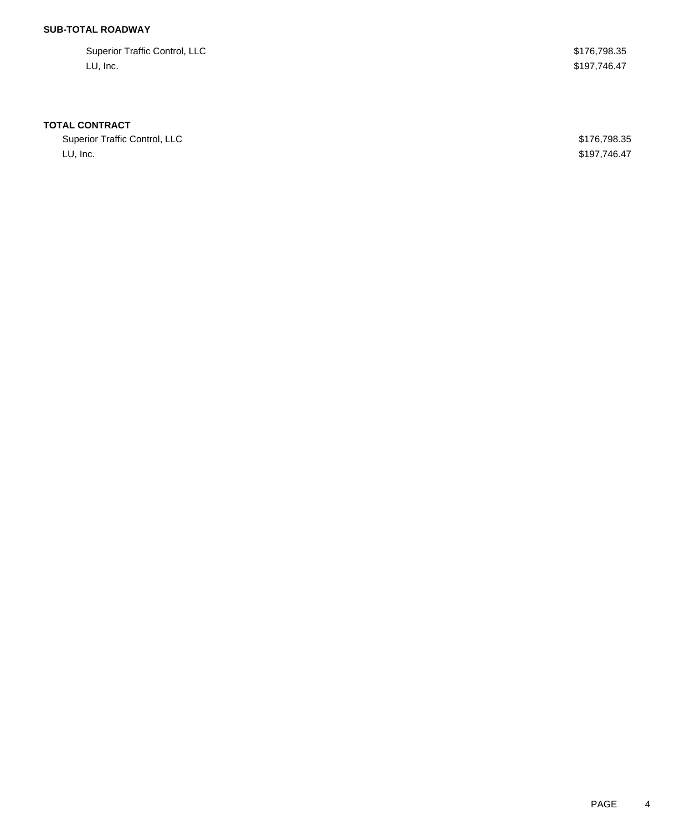## **SUB-TOTAL ROADWAY**

| Superior Traffic Control, LLC | \$176,798.35 |
|-------------------------------|--------------|
| LU, Inc.                      | \$197,746.47 |

## **TOTAL CONTRACT**

Superior Traffic Control, LLC 600 and 200 and 200 and 200 and 200 and 200 and 200 and 200 and 200 and 200 and 200 and 200 and 200 and 200 and 200 and 200 and 200 and 200 and 200 and 200 and 200 and 200 and 200 and 200 and LU, Inc. \$197,746.47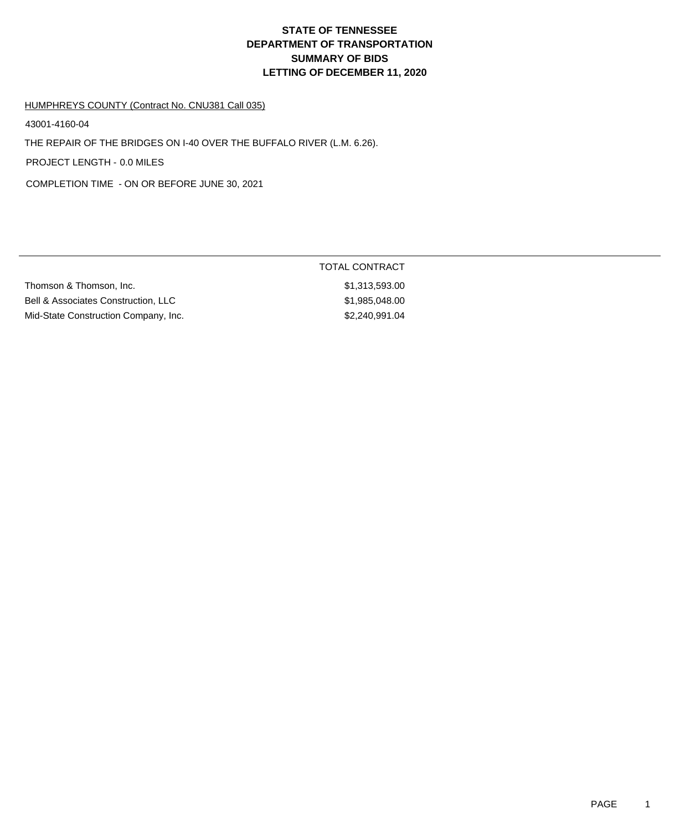### HUMPHREYS COUNTY (Contract No. CNU381 Call 035)

43001-4160-04

THE REPAIR OF THE BRIDGES ON I-40 OVER THE BUFFALO RIVER (L.M. 6.26).

PROJECT LENGTH - 0.0 MILES

COMPLETION TIME - ON OR BEFORE JUNE 30, 2021

| Thomson & Thomson, Inc.              | \$1,313,593.00 |
|--------------------------------------|----------------|
| Bell & Associates Construction, LLC  | \$1,985,048.00 |
| Mid-State Construction Company, Inc. | \$2,240,991,04 |

# TOTAL CONTRACT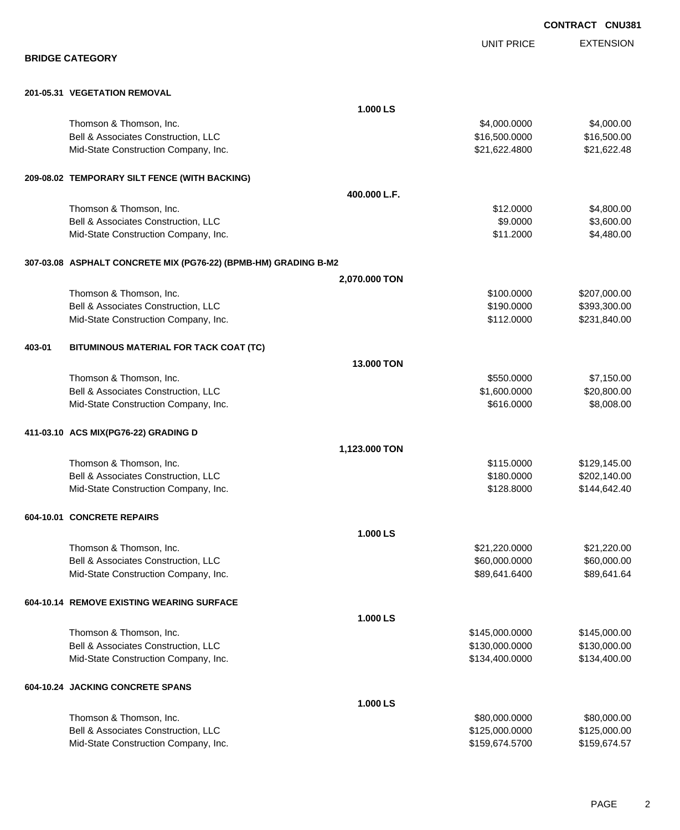|        |                                                                 |               |                                | <b>CONTRACT CNU381</b> |                            |
|--------|-----------------------------------------------------------------|---------------|--------------------------------|------------------------|----------------------------|
|        |                                                                 |               | <b>UNIT PRICE</b>              |                        | <b>EXTENSION</b>           |
|        | <b>BRIDGE CATEGORY</b>                                          |               |                                |                        |                            |
|        |                                                                 |               |                                |                        |                            |
|        | 201-05.31 VEGETATION REMOVAL                                    |               |                                |                        |                            |
|        |                                                                 | 1.000 LS      |                                |                        |                            |
|        | Thomson & Thomson, Inc.<br>Bell & Associates Construction, LLC  |               | \$4,000.0000                   |                        | \$4,000.00                 |
|        | Mid-State Construction Company, Inc.                            |               | \$16,500.0000<br>\$21,622.4800 |                        | \$16,500.00<br>\$21,622.48 |
|        |                                                                 |               |                                |                        |                            |
|        | 209-08.02 TEMPORARY SILT FENCE (WITH BACKING)                   |               |                                |                        |                            |
|        |                                                                 | 400.000 L.F.  |                                |                        |                            |
|        | Thomson & Thomson, Inc.                                         |               | \$12.0000                      |                        | \$4,800.00                 |
|        | Bell & Associates Construction, LLC                             |               | \$9.0000                       |                        | \$3,600.00                 |
|        | Mid-State Construction Company, Inc.                            |               | \$11.2000                      |                        | \$4,480.00                 |
|        | 307-03.08 ASPHALT CONCRETE MIX (PG76-22) (BPMB-HM) GRADING B-M2 |               |                                |                        |                            |
|        |                                                                 | 2,070.000 TON |                                |                        |                            |
|        | Thomson & Thomson, Inc.                                         |               | \$100.0000                     |                        | \$207,000.00               |
|        | Bell & Associates Construction, LLC                             |               | \$190.0000                     |                        | \$393,300.00               |
|        | Mid-State Construction Company, Inc.                            |               | \$112.0000                     |                        | \$231,840.00               |
|        |                                                                 |               |                                |                        |                            |
| 403-01 | BITUMINOUS MATERIAL FOR TACK COAT (TC)                          |               |                                |                        |                            |
|        |                                                                 | 13.000 TON    |                                |                        |                            |
|        | Thomson & Thomson, Inc.                                         |               | \$550.0000                     |                        | \$7,150.00                 |
|        | Bell & Associates Construction, LLC                             |               | \$1,600.0000                   |                        | \$20,800.00                |
|        | Mid-State Construction Company, Inc.                            |               | \$616.0000                     |                        | \$8,008.00                 |
|        | 411-03.10 ACS MIX(PG76-22) GRADING D                            |               |                                |                        |                            |
|        |                                                                 | 1,123.000 TON |                                |                        |                            |
|        | Thomson & Thomson, Inc.                                         |               | \$115.0000                     |                        | \$129,145.00               |
|        | Bell & Associates Construction, LLC                             |               | \$180.0000                     |                        | \$202,140.00               |
|        | Mid-State Construction Company, Inc.                            |               | \$128.8000                     |                        | \$144,642.40               |
|        | 604-10.01 CONCRETE REPAIRS                                      |               |                                |                        |                            |
|        |                                                                 | 1.000 LS      |                                |                        |                            |
|        | Thomson & Thomson, Inc.                                         |               | \$21,220.0000                  |                        | \$21,220.00                |
|        | Bell & Associates Construction, LLC                             |               | \$60,000.0000                  |                        | \$60,000.00                |
|        | Mid-State Construction Company, Inc.                            |               | \$89,641.6400                  |                        | \$89,641.64                |
|        | 604-10.14 REMOVE EXISTING WEARING SURFACE                       |               |                                |                        |                            |
|        |                                                                 | 1.000 LS      |                                |                        |                            |
|        | Thomson & Thomson, Inc.                                         |               | \$145,000.0000                 |                        | \$145,000.00               |
|        | Bell & Associates Construction, LLC                             |               | \$130,000.0000                 |                        | \$130,000.00               |
|        | Mid-State Construction Company, Inc.                            |               | \$134,400.0000                 |                        | \$134,400.00               |
|        | 604-10.24 JACKING CONCRETE SPANS                                |               |                                |                        |                            |
|        |                                                                 | 1.000 LS      |                                |                        |                            |
|        | Thomson & Thomson, Inc.                                         |               | \$80,000.0000                  |                        | \$80,000.00                |
|        |                                                                 |               |                                |                        |                            |

| Thomson & Thomson, Inc.              | \$80,000,0000  | \$80,000.00  |
|--------------------------------------|----------------|--------------|
| Bell & Associates Construction. LLC  | \$125.000.0000 | \$125,000.00 |
| Mid-State Construction Company, Inc. | \$159.674.5700 | \$159.674.57 |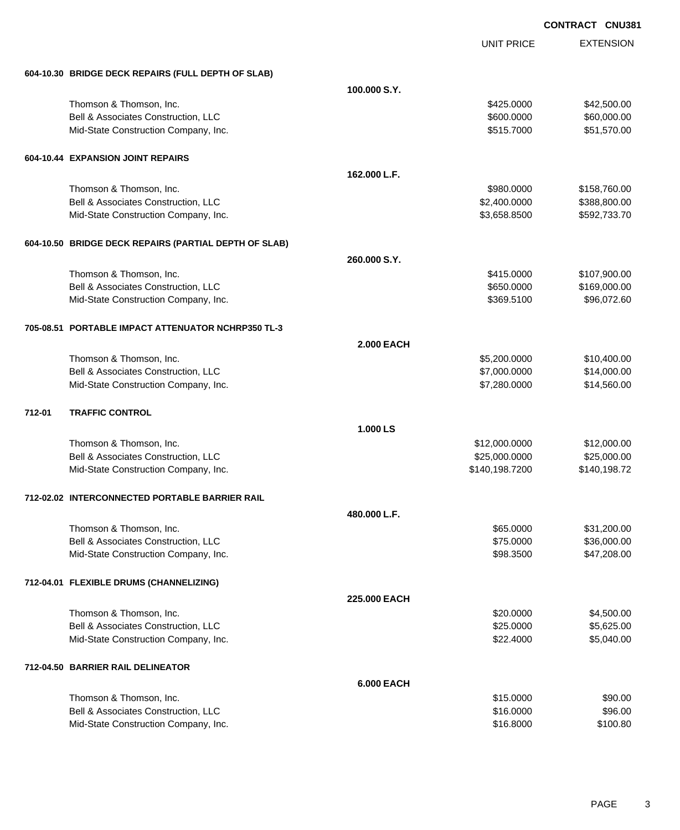|        |                                                       |                   | <b>UNIT PRICE</b> | <b>EXTENSION</b> |
|--------|-------------------------------------------------------|-------------------|-------------------|------------------|
|        | 604-10.30 BRIDGE DECK REPAIRS (FULL DEPTH OF SLAB)    |                   |                   |                  |
|        |                                                       | 100.000 S.Y.      |                   |                  |
|        | Thomson & Thomson, Inc.                               |                   | \$425.0000        | \$42,500.00      |
|        | Bell & Associates Construction, LLC                   |                   | \$600.0000        | \$60,000.00      |
|        | Mid-State Construction Company, Inc.                  |                   | \$515.7000        | \$51,570.00      |
|        | 604-10.44 EXPANSION JOINT REPAIRS                     |                   |                   |                  |
|        |                                                       | 162.000 L.F.      |                   |                  |
|        | Thomson & Thomson, Inc.                               |                   | \$980.0000        | \$158,760.00     |
|        | Bell & Associates Construction, LLC                   |                   | \$2,400.0000      | \$388,800.00     |
|        | Mid-State Construction Company, Inc.                  |                   | \$3,658.8500      | \$592,733.70     |
|        | 604-10.50 BRIDGE DECK REPAIRS (PARTIAL DEPTH OF SLAB) |                   |                   |                  |
|        |                                                       | 260.000 S.Y.      |                   |                  |
|        | Thomson & Thomson, Inc.                               |                   | \$415.0000        | \$107,900.00     |
|        | Bell & Associates Construction, LLC                   |                   | \$650.0000        | \$169,000.00     |
|        | Mid-State Construction Company, Inc.                  |                   | \$369.5100        | \$96,072.60      |
|        | 705-08.51 PORTABLE IMPACT ATTENUATOR NCHRP350 TL-3    |                   |                   |                  |
|        |                                                       | <b>2.000 EACH</b> |                   |                  |
|        | Thomson & Thomson, Inc.                               |                   | \$5,200.0000      | \$10,400.00      |
|        | Bell & Associates Construction, LLC                   |                   | \$7,000.0000      | \$14,000.00      |
|        | Mid-State Construction Company, Inc.                  |                   | \$7,280.0000      | \$14,560.00      |
| 712-01 | <b>TRAFFIC CONTROL</b>                                |                   |                   |                  |
|        |                                                       | 1.000 LS          |                   |                  |
|        | Thomson & Thomson, Inc.                               |                   | \$12,000.0000     | \$12,000.00      |
|        | Bell & Associates Construction, LLC                   |                   | \$25,000.0000     | \$25,000.00      |
|        | Mid-State Construction Company, Inc.                  |                   | \$140,198.7200    | \$140,198.72     |
|        | 712-02.02 INTERCONNECTED PORTABLE BARRIER RAIL        |                   |                   |                  |
|        |                                                       | 480.000 L.F.      |                   |                  |
|        | Thomson & Thomson, Inc.                               |                   | \$65.0000         | \$31,200.00      |
|        | Bell & Associates Construction, LLC                   |                   | \$75.0000         | \$36,000.00      |
|        | Mid-State Construction Company, Inc.                  |                   | \$98.3500         | \$47,208.00      |
|        | 712-04.01 FLEXIBLE DRUMS (CHANNELIZING)               |                   |                   |                  |
|        |                                                       | 225,000 EACH      |                   |                  |
|        | Thomson & Thomson, Inc.                               |                   | \$20.0000         | \$4,500.00       |
|        | Bell & Associates Construction, LLC                   |                   | \$25.0000         | \$5,625.00       |
|        | Mid-State Construction Company, Inc.                  |                   | \$22.4000         | \$5,040.00       |
|        | 712-04.50 BARRIER RAIL DELINEATOR                     |                   |                   |                  |
|        |                                                       | <b>6.000 EACH</b> |                   |                  |
|        | Thomson & Thomson, Inc.                               |                   | \$15.0000         | \$90.00          |
|        | Bell & Associates Construction, LLC                   |                   | \$16.0000         | \$96.00          |
|        | Mid-State Construction Company, Inc.                  |                   | \$16.8000         | \$100.80         |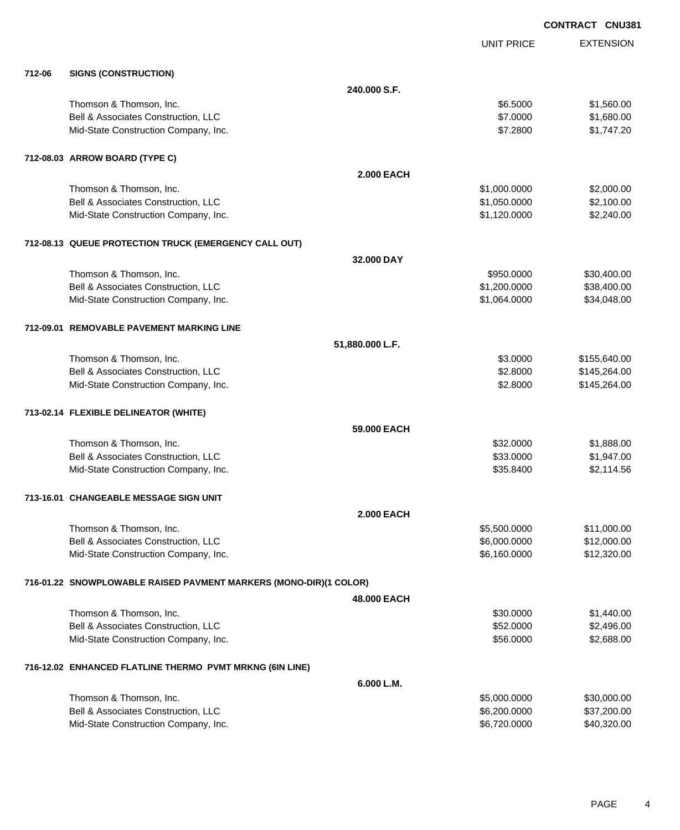EXTENSION **CONTRACT CNU381** UNIT PRICE **240.000 S.F.** Thomson & Thomson, Inc. 6. 6.5000 \$1,560.00 Bell & Associates Construction, LLC 60000 \$1,680.00 Mid-State Construction Company, Inc. 6. The State Construction Company, Inc. 6. The State Construction Company, Inc.

**712-06 SIGNS (CONSTRUCTION)**

| 712-08.03 ARROW BOARD (TYPE C)                        |                   |              |             |
|-------------------------------------------------------|-------------------|--------------|-------------|
|                                                       | <b>2.000 EACH</b> |              |             |
| Thomson & Thomson, Inc.                               |                   | \$1,000,0000 | \$2,000.00  |
| <b>Bell &amp; Associates Construction, LLC</b>        |                   | \$1,050.0000 | \$2,100.00  |
| Mid-State Construction Company, Inc.                  |                   | \$1,120.0000 | \$2,240.00  |
| 712-08.13 QUEUE PROTECTION TRUCK (EMERGENCY CALL OUT) |                   |              |             |
|                                                       | 32,000 DAY        |              |             |
| Thomson & Thomson, Inc.                               |                   | \$950,0000   | \$30,400.00 |
| <b>Bell &amp; Associates Construction, LLC</b>        |                   | \$1,200,0000 | \$38,400,00 |
| Mid-State Construction Company, Inc.                  |                   | \$1,064.0000 | \$34,048.00 |
|                                                       |                   |              |             |

#### **712-09.01 REMOVABLE PAVEMENT MARKING LINE**

|                                                                   | 51,880.000 L.F.   |              |              |
|-------------------------------------------------------------------|-------------------|--------------|--------------|
| Thomson & Thomson, Inc.                                           |                   | \$3.0000     | \$155,640.00 |
| Bell & Associates Construction, LLC                               |                   | \$2.8000     | \$145,264.00 |
| Mid-State Construction Company, Inc.                              |                   | \$2,8000     | \$145,264.00 |
| 713-02.14 FLEXIBLE DELINEATOR (WHITE)                             |                   |              |              |
|                                                                   | 59.000 EACH       |              |              |
| Thomson & Thomson, Inc.                                           |                   | \$32,0000    | \$1,888.00   |
| Bell & Associates Construction, LLC                               |                   | \$33,0000    | \$1,947.00   |
| Mid-State Construction Company, Inc.                              |                   | \$35.8400    | \$2,114.56   |
| 713-16.01 CHANGEABLE MESSAGE SIGN UNIT                            |                   |              |              |
|                                                                   | <b>2.000 EACH</b> |              |              |
| Thomson & Thomson, Inc.                                           |                   | \$5,500.0000 | \$11,000.00  |
| Bell & Associates Construction, LLC                               |                   | \$6,000.0000 | \$12,000.00  |
| Mid-State Construction Company, Inc.                              |                   | \$6,160,0000 | \$12,320.00  |
| 716-01.22 SNOWPLOWABLE RAISED PAVMENT MARKERS (MONO-DIR)(1 COLOR) |                   |              |              |
|                                                                   | 48,000 EACH       |              |              |
| Thomson & Thomson, Inc.                                           |                   | \$30.0000    | \$1,440.00   |
| Bell & Associates Construction, LLC                               |                   | \$52.0000    | \$2,496.00   |
| Mid-State Construction Company, Inc.                              |                   | \$56,0000    | \$2,688.00   |
| 716-12.02 ENHANCED FLATLINE THERMO PVMT MRKNG (6IN LINE)          |                   |              |              |
|                                                                   | 6.000 L.M.        |              |              |

| Thomson & Thomson, Inc.              | \$5,000,0000 | \$30,000.00 |
|--------------------------------------|--------------|-------------|
| Bell & Associates Construction, LLC  | \$6,200,0000 | \$37,200.00 |
| Mid-State Construction Company, Inc. | \$6.720,0000 | \$40.320.00 |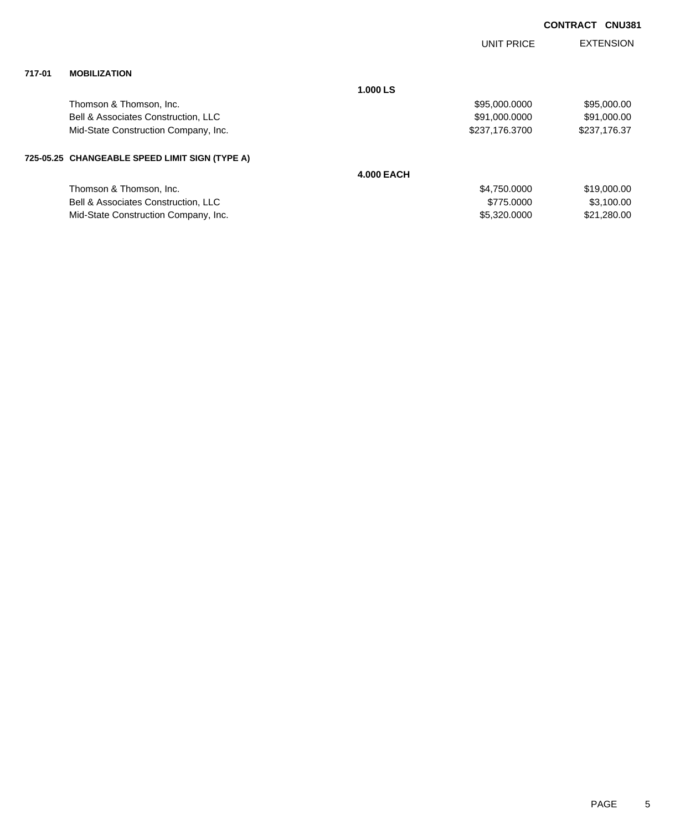| <b>CONTRACT CNU381</b> |  |
|------------------------|--|
|                        |  |

|        |                                                |                   | <b>UNIT PRICE</b> | <b>EXTENSION</b> |
|--------|------------------------------------------------|-------------------|-------------------|------------------|
| 717-01 | <b>MOBILIZATION</b>                            |                   |                   |                  |
|        |                                                | 1.000 LS          |                   |                  |
|        | Thomson & Thomson, Inc.                        |                   | \$95,000.0000     | \$95,000.00      |
|        | Bell & Associates Construction, LLC            |                   | \$91,000.0000     | \$91,000.00      |
|        | Mid-State Construction Company, Inc.           |                   | \$237,176.3700    | \$237,176.37     |
|        | 725-05.25 CHANGEABLE SPEED LIMIT SIGN (TYPE A) |                   |                   |                  |
|        |                                                | <b>4.000 EACH</b> |                   |                  |
|        | Thomson & Thomson, Inc.                        |                   | \$4,750.0000      | \$19,000.00      |
|        | Bell & Associates Construction, LLC            |                   | \$775,0000        | \$3,100.00       |
|        | Mid-State Construction Company, Inc.           |                   | \$5,320.0000      | \$21,280.00      |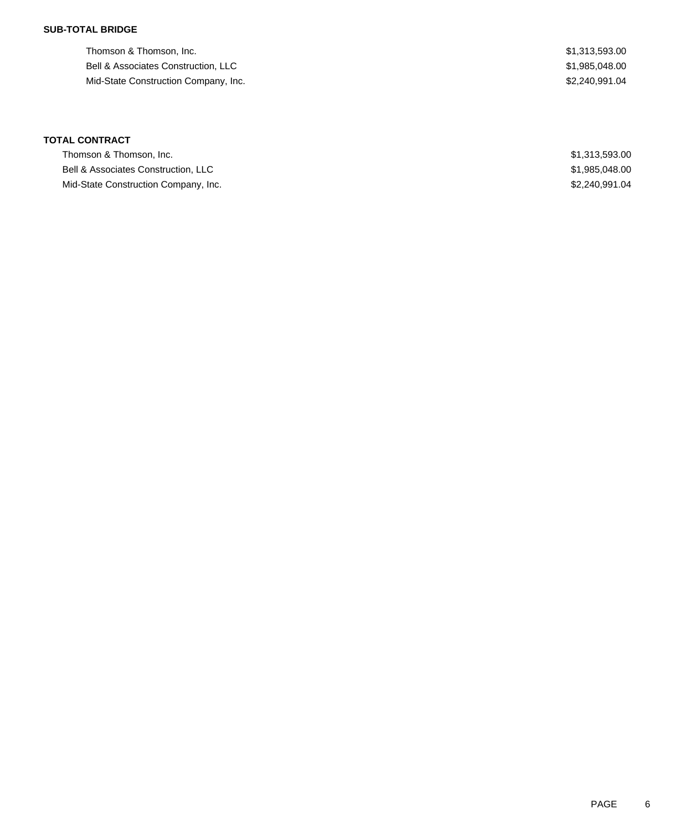## **SUB-TOTAL BRIDGE**

Thomson & Thomson, Inc. 6. 2010 12:313,593.00 Bell & Associates Construction, LLC 600 and 200 and 200 and 200 and 200 and 200 and 31,985,048.00 Mid-State Construction Company, Inc. 6. The state of the state of the state of the state of the state of the state of the state of the state of the state of the state of the state of the state of the state of the state of

# **TOTAL CONTRACT**

| Thomson & Thomson, Inc.              | \$1,313,593.00 |
|--------------------------------------|----------------|
| Bell & Associates Construction, LLC  | \$1,985,048.00 |
| Mid-State Construction Company, Inc. | \$2,240,991.04 |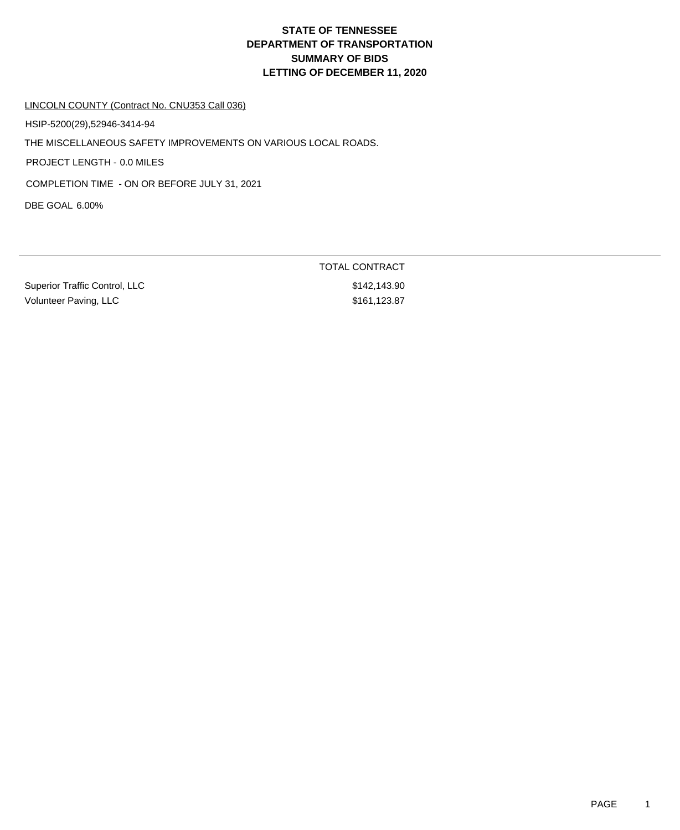## LINCOLN COUNTY (Contract No. CNU353 Call 036)

HSIP-5200(29),52946-3414-94

THE MISCELLANEOUS SAFETY IMPROVEMENTS ON VARIOUS LOCAL ROADS.

PROJECT LENGTH - 0.0 MILES

COMPLETION TIME - ON OR BEFORE JULY 31, 2021

DBE GOAL 6.00%

Superior Traffic Control, LLC \$142,143.90 Volunteer Paving, LLC \$161,123.87

TOTAL CONTRACT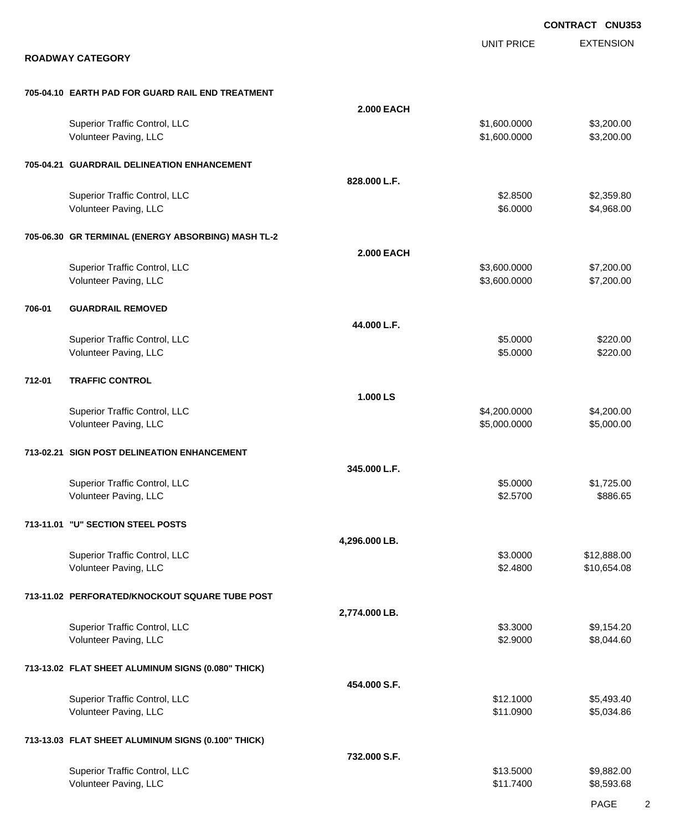|        |                                                        |                   |                              | <b>CONTRACT CNU353</b>     |
|--------|--------------------------------------------------------|-------------------|------------------------------|----------------------------|
|        | <b>ROADWAY CATEGORY</b>                                |                   | <b>UNIT PRICE</b>            | <b>EXTENSION</b>           |
|        | 705-04.10 EARTH PAD FOR GUARD RAIL END TREATMENT       |                   |                              |                            |
|        |                                                        | <b>2.000 EACH</b> |                              |                            |
|        | Superior Traffic Control, LLC<br>Volunteer Paving, LLC |                   | \$1,600.0000<br>\$1,600.0000 | \$3,200.00<br>\$3,200.00   |
|        | 705-04.21 GUARDRAIL DELINEATION ENHANCEMENT            |                   |                              |                            |
|        |                                                        | 828.000 L.F.      |                              |                            |
|        | Superior Traffic Control, LLC<br>Volunteer Paving, LLC |                   | \$2.8500<br>\$6.0000         | \$2,359.80<br>\$4,968.00   |
|        | 705-06.30 GR TERMINAL (ENERGY ABSORBING) MASH TL-2     |                   |                              |                            |
|        |                                                        | <b>2.000 EACH</b> |                              |                            |
|        | Superior Traffic Control, LLC<br>Volunteer Paving, LLC |                   | \$3,600.0000<br>\$3,600.0000 | \$7,200.00<br>\$7,200.00   |
| 706-01 | <b>GUARDRAIL REMOVED</b>                               |                   |                              |                            |
|        |                                                        | 44.000 L.F.       |                              |                            |
|        | Superior Traffic Control, LLC<br>Volunteer Paving, LLC |                   | \$5.0000<br>\$5.0000         | \$220.00<br>\$220.00       |
| 712-01 | <b>TRAFFIC CONTROL</b>                                 |                   |                              |                            |
|        |                                                        | 1.000 LS          |                              |                            |
|        | Superior Traffic Control, LLC<br>Volunteer Paving, LLC |                   | \$4,200.0000<br>\$5,000.0000 | \$4,200.00<br>\$5,000.00   |
|        | 713-02.21 SIGN POST DELINEATION ENHANCEMENT            |                   |                              |                            |
|        |                                                        | 345.000 L.F.      |                              |                            |
|        | Superior Traffic Control, LLC<br>Volunteer Paving, LLC |                   | \$5.0000<br>\$2.5700         | \$1,725.00<br>\$886.65     |
|        | 713-11.01 "U" SECTION STEEL POSTS                      |                   |                              |                            |
|        |                                                        | 4,296.000 LB.     |                              |                            |
|        | Superior Traffic Control, LLC<br>Volunteer Paving, LLC |                   | \$3.0000<br>\$2.4800         | \$12,888.00<br>\$10,654.08 |
|        | 713-11.02 PERFORATED/KNOCKOUT SQUARE TUBE POST         |                   |                              |                            |
|        |                                                        | 2,774.000 LB.     | \$3.3000                     |                            |
|        | Superior Traffic Control, LLC<br>Volunteer Paving, LLC |                   | \$2.9000                     | \$9,154.20<br>\$8,044.60   |
|        | 713-13.02 FLAT SHEET ALUMINUM SIGNS (0.080" THICK)     |                   |                              |                            |
|        |                                                        | 454.000 S.F.      |                              |                            |
|        | Superior Traffic Control, LLC<br>Volunteer Paving, LLC |                   | \$12.1000<br>\$11.0900       | \$5,493.40<br>\$5,034.86   |
|        | 713-13.03 FLAT SHEET ALUMINUM SIGNS (0.100" THICK)     |                   |                              |                            |
|        |                                                        | 732.000 S.F.      |                              |                            |
|        | Superior Traffic Control, LLC<br>Volunteer Paving, LLC |                   | \$13.5000<br>\$11.7400       | \$9,882.00<br>\$8,593.68   |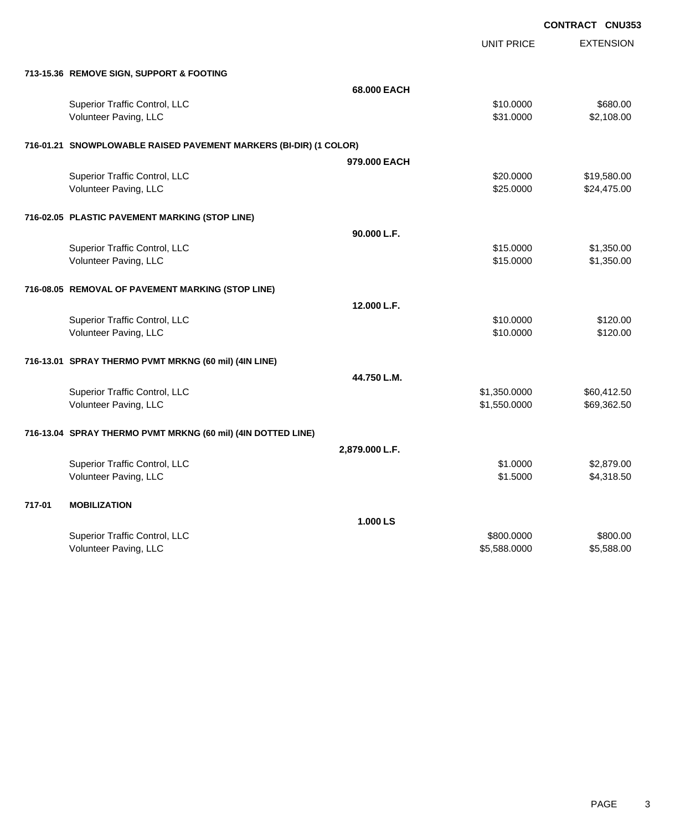|                                                                   | <b>UNIT PRICE</b> | <b>EXTENSION</b> |
|-------------------------------------------------------------------|-------------------|------------------|
| 713-15.36 REMOVE SIGN, SUPPORT & FOOTING                          |                   |                  |
|                                                                   | 68.000 EACH       |                  |
| Superior Traffic Control, LLC                                     | \$10.0000         | \$680.00         |
| Volunteer Paving, LLC                                             | \$31.0000         | \$2,108.00       |
| 716-01.21 SNOWPLOWABLE RAISED PAVEMENT MARKERS (BI-DIR) (1 COLOR) |                   |                  |
|                                                                   | 979,000 EACH      |                  |
| Superior Traffic Control, LLC                                     | \$20.0000         | \$19,580.00      |
| Volunteer Paving, LLC                                             | \$25.0000         | \$24,475.00      |
| 716-02.05 PLASTIC PAVEMENT MARKING (STOP LINE)                    |                   |                  |
|                                                                   | 90.000 L.F.       |                  |
| Superior Traffic Control, LLC                                     | \$15.0000         | \$1,350.00       |
| Volunteer Paving, LLC                                             | \$15.0000         | \$1,350.00       |
| 716-08.05 REMOVAL OF PAVEMENT MARKING (STOP LINE)                 |                   |                  |
|                                                                   | 12.000 L.F.       |                  |
| Superior Traffic Control, LLC                                     | \$10.0000         | \$120.00         |
| Volunteer Paving, LLC                                             | \$10.0000         | \$120.00         |
| 716-13.01 SPRAY THERMO PVMT MRKNG (60 mil) (4IN LINE)             |                   |                  |
|                                                                   | 44.750 L.M.       |                  |
| Superior Traffic Control, LLC                                     | \$1,350.0000      | \$60,412.50      |
| Volunteer Paving, LLC                                             | \$1,550.0000      | \$69,362.50      |
| 716-13.04 SPRAY THERMO PVMT MRKNG (60 mil) (4IN DOTTED LINE)      |                   |                  |
|                                                                   | 2,879.000 L.F.    |                  |
| Superior Traffic Control, LLC                                     | \$1.0000          | \$2,879.00       |
| Volunteer Paving, LLC                                             | \$1.5000          | \$4,318.50       |
| 717-01<br><b>MOBILIZATION</b>                                     |                   |                  |
|                                                                   | 1.000 LS          |                  |
| Superior Traffic Control, LLC                                     | \$800.0000        | \$800.00         |
| Volunteer Paving, LLC                                             | \$5,588.0000      | \$5,588.00       |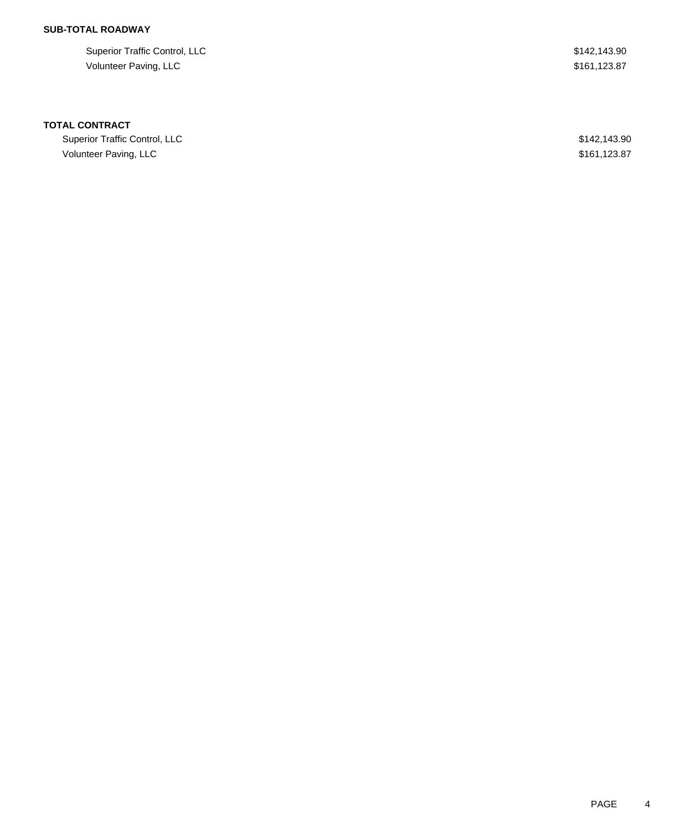## **SUB-TOTAL ROADWAY**

| Superior Traffic Control, LLC | \$142,143.90 |
|-------------------------------|--------------|
| Volunteer Paving, LLC         | \$161.123.87 |

## **TOTAL CONTRACT**

| Superior Traffic Control, LLC | \$142,143.90 |
|-------------------------------|--------------|
| Volunteer Paving, LLC         | \$161,123.87 |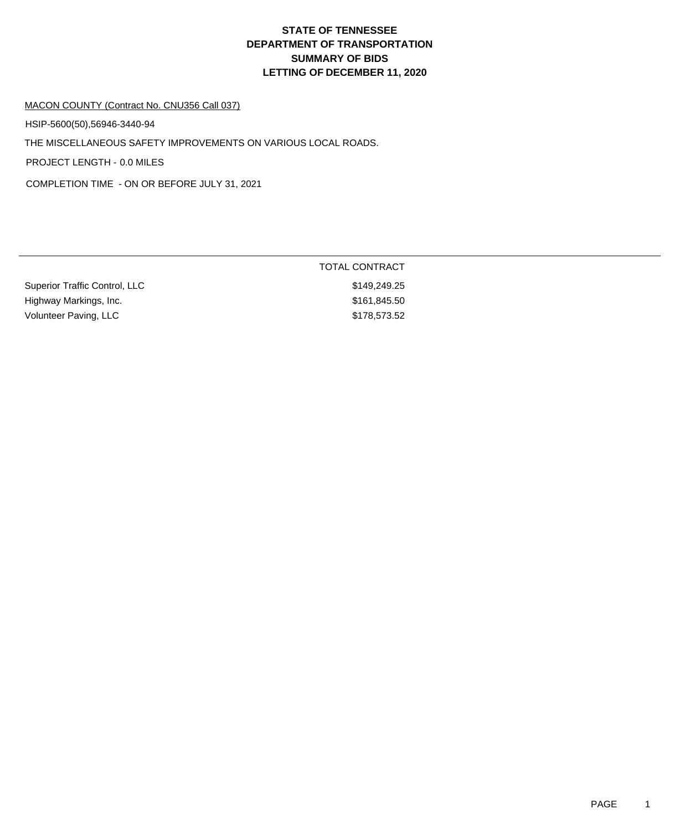## MACON COUNTY (Contract No. CNU356 Call 037)

HSIP-5600(50),56946-3440-94

THE MISCELLANEOUS SAFETY IMPROVEMENTS ON VARIOUS LOCAL ROADS.

PROJECT LENGTH - 0.0 MILES

COMPLETION TIME - ON OR BEFORE JULY 31, 2021

|                               | <b>TOTAL CONTRACT</b> |
|-------------------------------|-----------------------|
| Superior Traffic Control, LLC | \$149,249.25          |
| Highway Markings, Inc.        | \$161,845.50          |
| Volunteer Paving, LLC         | \$178,573.52          |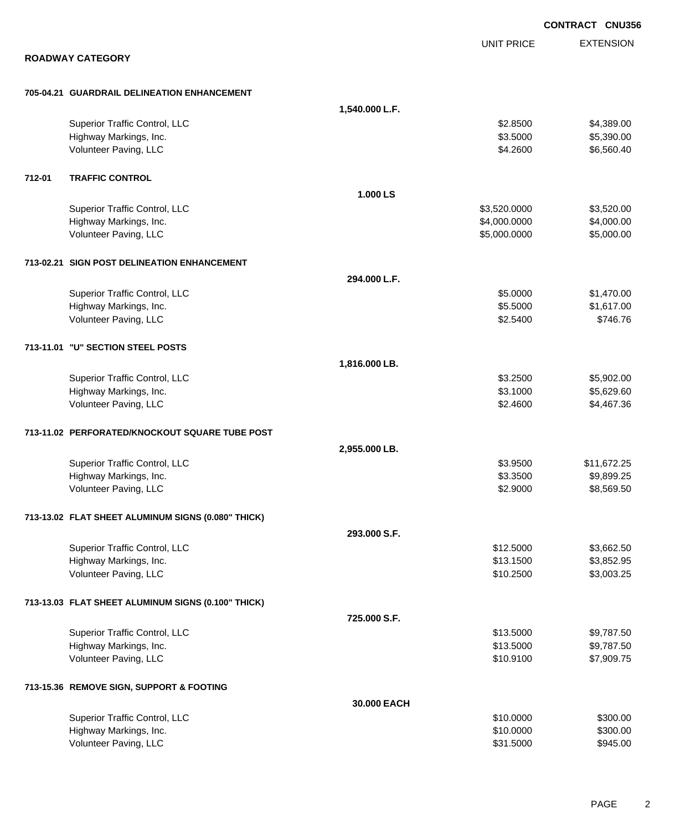EXTENSION **CONTRACT CNU356** UNIT PRICE **ROADWAY CATEGORY 705-04.21 GUARDRAIL DELINEATION ENHANCEMENT 1,540.000 L.F.** Superior Traffic Control, LLC 63.8500 \$4,389.00 Highway Markings, Inc. 66 and the control of the control of the control of the control of the control of the control of the control of the control of the control of the control of the control of the control of the control Volunteer Paving, LLC 65,560.40 **712-01 TRAFFIC CONTROL 1.000 LS** Superior Traffic Control, LLC 63,520.000 \$3,520.000 \$3,520.000 Highway Markings, Inc. 66 and the control of the control of the control of the control of the control of the control of the control of the control of the control of the control of the control of the control of the control Volunteer Paving, LLC 6.000.000 \$5,000.000 \$5,000.000 \$5,000.000 \$5,000.000 \$5,000.000 \$5,000.00 **713-02.21 SIGN POST DELINEATION ENHANCEMENT 294.000 L.F.** Superior Traffic Control, LLC 65.0000 \$1,470.00 Highway Markings, Inc. \$5.5000 \$1,617.00 Volunteer Paving, LLC \$746.76 **713-11.01 "U" SECTION STEEL POSTS 1,816.000 LB.** Superior Traffic Control, LLC 65,902.00 \$5,902.00 \$5,902.00 \$5,902.00 \$5,902.00 \$5,902.00 \$5,902.00 \$5,902.00 Highway Markings, Inc. 6. 1999 1. 1999 1. 1999 1. 1999 1. 1999 1. 1999 1. 1999 1. 1999 1. 1999 1. 1999 1. 1999 1 Volunteer Paving, LLC 63.4600 \$4,467.36 **713-11.02 PERFORATED/KNOCKOUT SQUARE TUBE POST 2,955.000 LB.** Superior Traffic Control, LLC **\$3.9500** \$11,672.25 Highway Markings, Inc. \$3.3500 \$9,899.25 Volunteer Paving, LLC 68,569.50 **713-13.02 FLAT SHEET ALUMINUM SIGNS (0.080" THICK) 293.000 S.F.** Superior Traffic Control, LLC 63,662.50 Highway Markings, Inc. \$13.1500 \$3,852.95 Volunteer Paving, LLC \$1,003.25 **713-13.03 FLAT SHEET ALUMINUM SIGNS (0.100" THICK) 725.000 S.F.** Superior Traffic Control, LLC 66 and the state of the state of the state of the state of the state of the state of the state of the state of the state of the state of the state of the state of the state of the state of the Highway Markings, Inc. \$13.5000 \$9,787.50 Volunteer Paving, LLC 6. The state of the state of the state of the state of the state of the state of the state of the state of the state of the state of the state of the state of the state of the state of the state of th **713-15.36 REMOVE SIGN, SUPPORT & FOOTING 30.000 EACH** Superior Traffic Control, LLC \$10.0000 \$300.00 Highway Markings, Inc. \$10.0000 \$300.00 Volunteer Paving, LLC \$945.00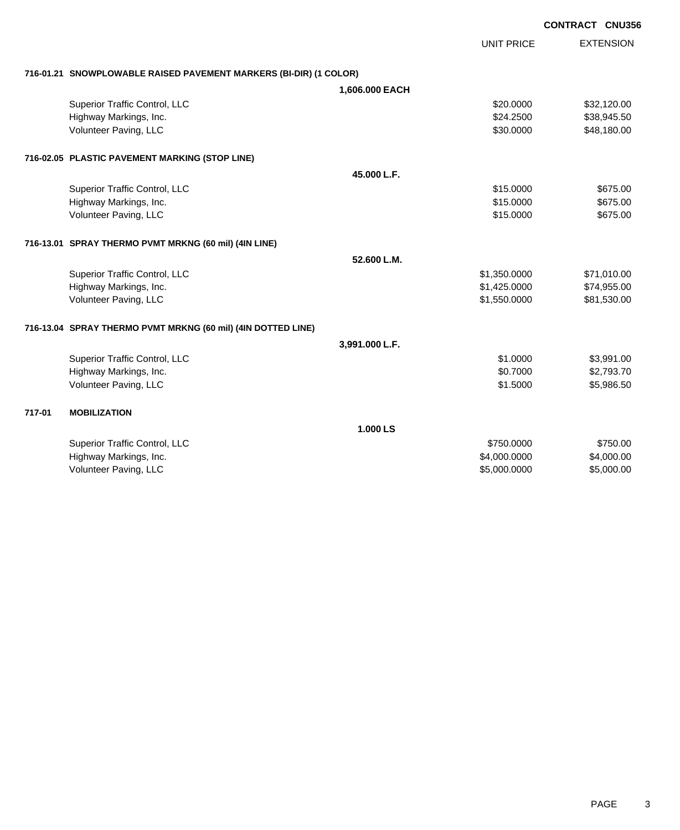|        |                                                                   |                |                   | <b>CONTRACT CNU356</b> |                  |
|--------|-------------------------------------------------------------------|----------------|-------------------|------------------------|------------------|
|        |                                                                   |                | <b>UNIT PRICE</b> |                        | <b>EXTENSION</b> |
|        | 716-01.21 SNOWPLOWABLE RAISED PAVEMENT MARKERS (BI-DIR) (1 COLOR) |                |                   |                        |                  |
|        |                                                                   | 1,606.000 EACH |                   |                        |                  |
|        | Superior Traffic Control, LLC                                     |                | \$20.0000         |                        | \$32,120.00      |
|        | Highway Markings, Inc.                                            |                | \$24.2500         |                        | \$38,945.50      |
|        | Volunteer Paving, LLC                                             |                | \$30.0000         |                        | \$48,180.00      |
|        | 716-02.05 PLASTIC PAVEMENT MARKING (STOP LINE)                    |                |                   |                        |                  |
|        |                                                                   | 45.000 L.F.    |                   |                        |                  |
|        | Superior Traffic Control, LLC                                     |                | \$15.0000         |                        | \$675.00         |
|        | Highway Markings, Inc.                                            |                | \$15.0000         |                        | \$675.00         |
|        | Volunteer Paving, LLC                                             |                | \$15.0000         |                        | \$675.00         |
|        | 716-13.01 SPRAY THERMO PVMT MRKNG (60 mil) (4IN LINE)             |                |                   |                        |                  |
|        |                                                                   | 52.600 L.M.    |                   |                        |                  |
|        | Superior Traffic Control, LLC                                     |                | \$1,350.0000      |                        | \$71,010.00      |
|        | Highway Markings, Inc.                                            |                | \$1,425.0000      |                        | \$74,955.00      |
|        | Volunteer Paving, LLC                                             |                | \$1,550.0000      |                        | \$81,530.00      |
|        | 716-13.04 SPRAY THERMO PVMT MRKNG (60 mil) (4IN DOTTED LINE)      |                |                   |                        |                  |
|        |                                                                   | 3,991.000 L.F. |                   |                        |                  |
|        | Superior Traffic Control, LLC                                     |                | \$1.0000          |                        | \$3,991.00       |
|        | Highway Markings, Inc.                                            |                | \$0.7000          |                        | \$2,793.70       |
|        | Volunteer Paving, LLC                                             |                | \$1.5000          |                        | \$5,986.50       |
| 717-01 | <b>MOBILIZATION</b>                                               |                |                   |                        |                  |
|        |                                                                   | 1.000 LS       |                   |                        |                  |
|        | Superior Traffic Control, LLC                                     |                | \$750.0000        |                        | \$750.00         |
|        | Highway Markings, Inc.                                            |                | \$4,000.0000      |                        | \$4,000.00       |
|        | Volunteer Paving, LLC                                             |                | \$5,000.0000      |                        | \$5,000.00       |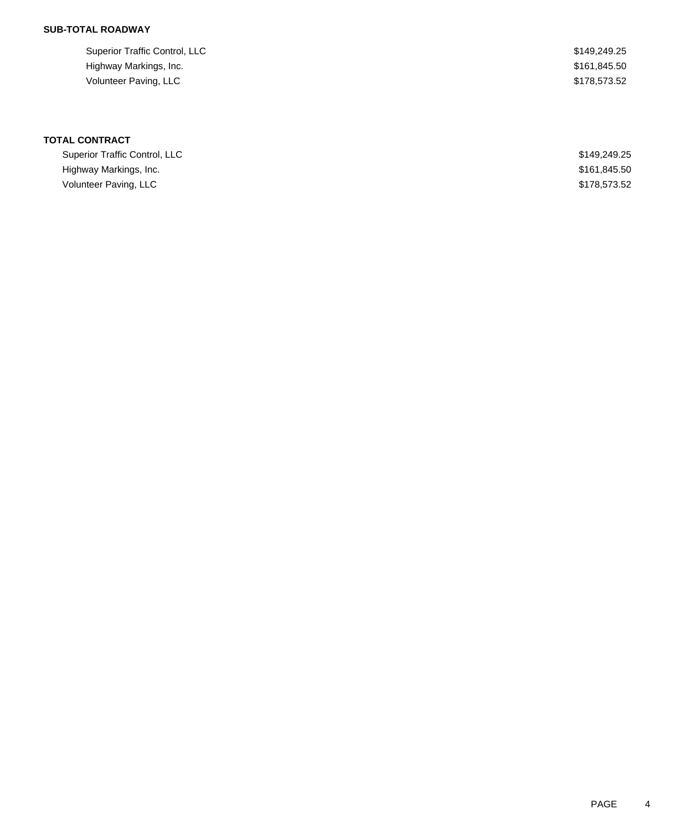## **SUB-TOTAL ROADWAY**

| Superior Traffic Control, LLC | \$149,249.25 |
|-------------------------------|--------------|
| Highway Markings, Inc.        | \$161,845.50 |
| Volunteer Paving, LLC         | \$178,573.52 |

# **TOTAL CONTRACT**

| Superior Traffic Control, LLC | \$149,249.25 |
|-------------------------------|--------------|
| Highway Markings, Inc.        | \$161.845.50 |
| Volunteer Paving, LLC         | \$178,573,52 |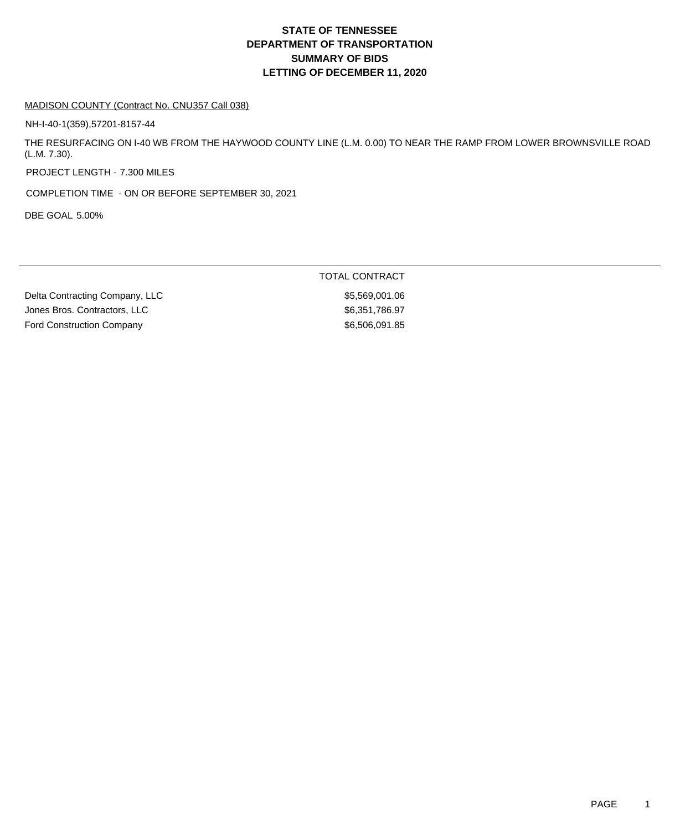### MADISON COUNTY (Contract No. CNU357 Call 038)

NH-I-40-1(359),57201-8157-44

THE RESURFACING ON I-40 WB FROM THE HAYWOOD COUNTY LINE (L.M. 0.00) TO NEAR THE RAMP FROM LOWER BROWNSVILLE ROAD (L.M. 7.30).

PROJECT LENGTH - 7.300 MILES

COMPLETION TIME - ON OR BEFORE SEPTEMBER 30, 2021

DBE GOAL 5.00%

## TOTAL CONTRACT

Delta Contracting Company, LLC \$5,569,001.06 Jones Bros. Contractors, LLC \$6,351,786.97 Ford Construction Company **\$6,506,091.85**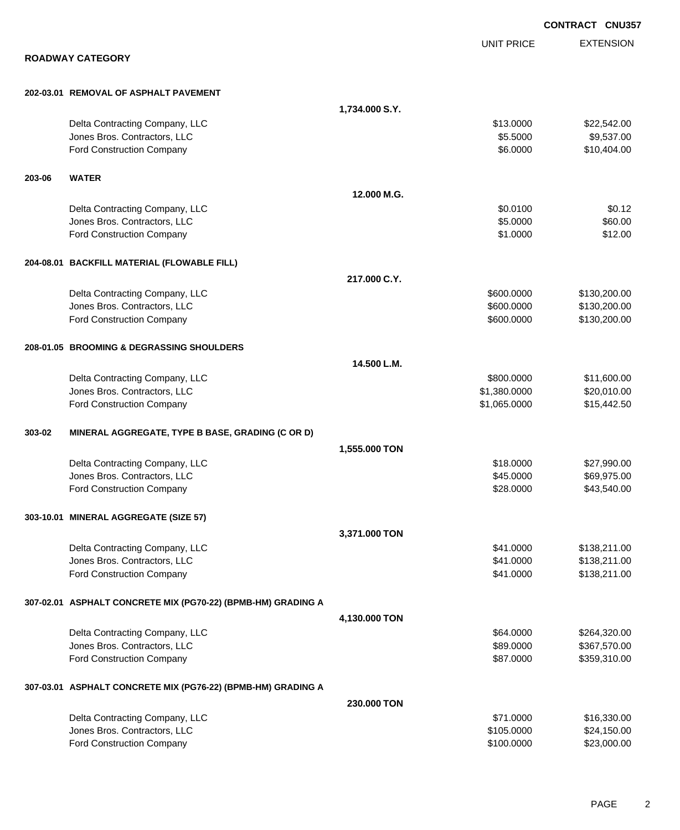|        |                                                              |                |                   | <b>CONTRACT CNU357</b> |
|--------|--------------------------------------------------------------|----------------|-------------------|------------------------|
|        |                                                              |                | <b>UNIT PRICE</b> | <b>EXTENSION</b>       |
|        | <b>ROADWAY CATEGORY</b>                                      |                |                   |                        |
|        | 202-03.01 REMOVAL OF ASPHALT PAVEMENT                        |                |                   |                        |
|        |                                                              | 1,734.000 S.Y. |                   |                        |
|        | Delta Contracting Company, LLC                               |                | \$13.0000         | \$22,542.00            |
|        | Jones Bros. Contractors, LLC                                 |                | \$5.5000          | \$9,537.00             |
|        | Ford Construction Company                                    |                | \$6.0000          | \$10,404.00            |
| 203-06 | <b>WATER</b>                                                 |                |                   |                        |
|        |                                                              | 12.000 M.G.    |                   |                        |
|        | Delta Contracting Company, LLC                               |                | \$0.0100          | \$0.12                 |
|        | Jones Bros. Contractors, LLC                                 |                | \$5.0000          | \$60.00                |
|        | Ford Construction Company                                    |                | \$1.0000          | \$12.00                |
|        | 204-08.01 BACKFILL MATERIAL (FLOWABLE FILL)                  |                |                   |                        |
|        |                                                              | 217.000 C.Y.   |                   |                        |
|        | Delta Contracting Company, LLC                               |                | \$600.0000        | \$130,200.00           |
|        | Jones Bros. Contractors, LLC                                 |                | \$600.0000        | \$130,200.00           |
|        | Ford Construction Company                                    |                | \$600.0000        | \$130,200.00           |
|        | 208-01.05 BROOMING & DEGRASSING SHOULDERS                    |                |                   |                        |
|        |                                                              | 14.500 L.M.    |                   |                        |
|        | Delta Contracting Company, LLC                               |                | \$800.0000        | \$11,600.00            |
|        | Jones Bros. Contractors, LLC                                 |                | \$1,380.0000      | \$20,010.00            |
|        | Ford Construction Company                                    |                | \$1,065.0000      | \$15,442.50            |
| 303-02 | MINERAL AGGREGATE, TYPE B BASE, GRADING (C OR D)             |                |                   |                        |
|        |                                                              | 1,555.000 TON  |                   |                        |
|        | Delta Contracting Company, LLC                               |                | \$18.0000         | \$27,990.00            |
|        | Jones Bros. Contractors, LLC                                 |                | \$45.0000         | \$69,975.00            |
|        | <b>Ford Construction Company</b>                             |                | \$28.0000         | \$43,540.00            |
|        | 303-10.01 MINERAL AGGREGATE (SIZE 57)                        |                |                   |                        |
|        |                                                              | 3,371.000 TON  |                   |                        |
|        | Delta Contracting Company, LLC                               |                | \$41.0000         | \$138,211.00           |
|        | Jones Bros. Contractors, LLC                                 |                | \$41.0000         | \$138,211.00           |
|        | Ford Construction Company                                    |                | \$41.0000         | \$138,211.00           |
|        | 307-02.01 ASPHALT CONCRETE MIX (PG70-22) (BPMB-HM) GRADING A |                |                   |                        |
|        |                                                              | 4,130.000 TON  |                   |                        |
|        | Delta Contracting Company, LLC                               |                | \$64.0000         | \$264,320.00           |
|        | Jones Bros. Contractors, LLC                                 |                | \$89.0000         | \$367,570.00           |
|        | Ford Construction Company                                    |                | \$87.0000         | \$359,310.00           |
|        | 307-03.01 ASPHALT CONCRETE MIX (PG76-22) (BPMB-HM) GRADING A |                |                   |                        |
|        |                                                              | 230.000 TON    |                   |                        |
|        | Delta Contracting Company, LLC                               |                | \$71.0000         | \$16,330.00            |
|        | Jones Bros. Contractors, LLC                                 |                | \$105.0000        | \$24,150.00            |
|        | Ford Construction Company                                    |                | \$100.0000        | \$23,000.00            |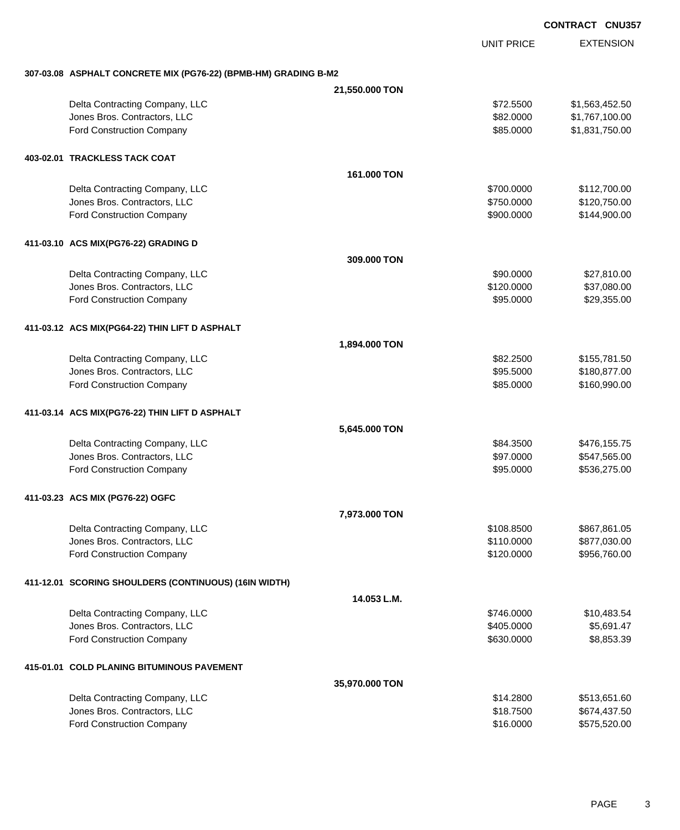UNIT PRICE EXTENSION

**307-03.08 ASPHALT CONCRETE MIX (PG76-22) (BPMB-HM) GRADING B-M2**

| 307-03.08 ASPHALT CONCRETE MIX (PG76-22) (BPMB-HM) GRADING B-M2 |                |            |                |
|-----------------------------------------------------------------|----------------|------------|----------------|
|                                                                 | 21,550.000 TON |            |                |
| Delta Contracting Company, LLC                                  |                | \$72.5500  | \$1,563,452.50 |
| Jones Bros. Contractors, LLC                                    |                | \$82.0000  | \$1,767,100.00 |
| Ford Construction Company                                       |                | \$85.0000  | \$1,831,750.00 |
| 403-02.01 TRACKLESS TACK COAT                                   |                |            |                |
|                                                                 | 161,000 TON    |            |                |
| Delta Contracting Company, LLC                                  |                | \$700.0000 | \$112,700.00   |
| Jones Bros. Contractors, LLC                                    |                | \$750.0000 | \$120,750.00   |
| <b>Ford Construction Company</b>                                |                | \$900.0000 | \$144,900.00   |
|                                                                 |                |            |                |
| 411-03.10 ACS MIX(PG76-22) GRADING D                            |                |            |                |
|                                                                 | 309,000 TON    |            |                |
| Delta Contracting Company, LLC                                  |                | \$90.0000  | \$27,810.00    |
| Jones Bros. Contractors, LLC                                    |                | \$120.0000 | \$37,080.00    |
| <b>Ford Construction Company</b>                                |                | \$95.0000  | \$29,355.00    |
| 411-03.12 ACS MIX(PG64-22) THIN LIFT D ASPHALT                  |                |            |                |
|                                                                 | 1,894.000 TON  |            |                |
| Delta Contracting Company, LLC                                  |                | \$82.2500  | \$155,781.50   |
| Jones Bros. Contractors, LLC                                    |                | \$95.5000  | \$180,877.00   |
| Ford Construction Company                                       |                | \$85.0000  | \$160,990.00   |
| 411-03.14 ACS MIX(PG76-22) THIN LIFT D ASPHALT                  |                |            |                |
|                                                                 | 5,645.000 TON  |            |                |
| Delta Contracting Company, LLC                                  |                | \$84.3500  | \$476,155.75   |
| Jones Bros. Contractors, LLC                                    |                | \$97.0000  | \$547,565.00   |
| Ford Construction Company                                       |                | \$95.0000  | \$536,275.00   |
| 411-03.23 ACS MIX (PG76-22) OGFC                                |                |            |                |
|                                                                 | 7,973.000 TON  |            |                |
| Delta Contracting Company, LLC                                  |                | \$108.8500 | \$867,861.05   |
| Jones Bros. Contractors, LLC                                    |                | \$110.0000 | \$877,030.00   |
| <b>Ford Construction Company</b>                                |                | \$120.0000 | \$956,760.00   |
| 411-12.01 SCORING SHOULDERS (CONTINUOUS) (16IN WIDTH)           |                |            |                |
|                                                                 | 14.053 L.M.    |            |                |
| Delta Contracting Company, LLC                                  |                | \$746.0000 | \$10,483.54    |
| Jones Bros. Contractors, LLC                                    |                | \$405.0000 | \$5,691.47     |
| <b>Ford Construction Company</b>                                |                | \$630.0000 | \$8,853.39     |
| 415-01.01 COLD PLANING BITUMINOUS PAVEMENT                      |                |            |                |
|                                                                 | 35,970.000 TON |            |                |
| Delta Contracting Company, LLC                                  |                | \$14.2800  | \$513,651.60   |
| Jones Bros. Contractors, LLC                                    |                | \$18.7500  | \$674,437.50   |
| Ford Construction Company                                       |                | \$16.0000  | \$575,520.00   |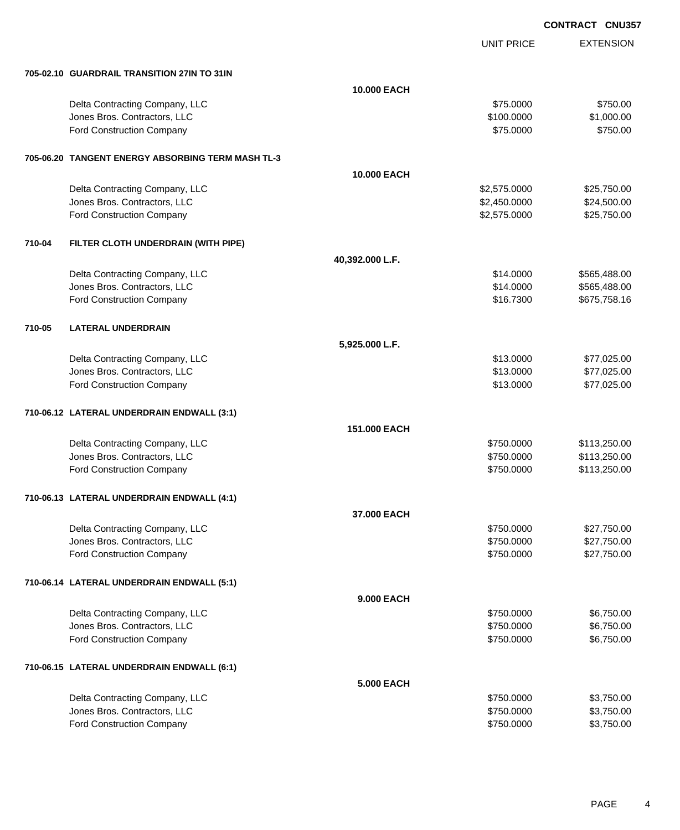UNIT PRICE EXTENSION

|        | 705-02.10 GUARDRAIL TRANSITION 27IN TO 31IN       |                 |              |              |
|--------|---------------------------------------------------|-----------------|--------------|--------------|
|        |                                                   | 10.000 EACH     |              |              |
|        | Delta Contracting Company, LLC                    |                 | \$75.0000    | \$750.00     |
|        | Jones Bros. Contractors, LLC                      |                 | \$100.0000   | \$1,000.00   |
|        | Ford Construction Company                         |                 | \$75.0000    | \$750.00     |
|        |                                                   |                 |              |              |
|        | 705-06.20 TANGENT ENERGY ABSORBING TERM MASH TL-3 |                 |              |              |
|        |                                                   | 10.000 EACH     |              |              |
|        | Delta Contracting Company, LLC                    |                 | \$2,575.0000 | \$25,750.00  |
|        | Jones Bros. Contractors, LLC                      |                 | \$2,450.0000 | \$24,500.00  |
|        | Ford Construction Company                         |                 | \$2,575.0000 | \$25,750.00  |
| 710-04 | FILTER CLOTH UNDERDRAIN (WITH PIPE)               |                 |              |              |
|        |                                                   | 40,392.000 L.F. |              |              |
|        | Delta Contracting Company, LLC                    |                 | \$14.0000    | \$565,488.00 |
|        | Jones Bros. Contractors, LLC                      |                 | \$14.0000    | \$565,488.00 |
|        | Ford Construction Company                         |                 | \$16.7300    | \$675,758.16 |
| 710-05 | <b>LATERAL UNDERDRAIN</b>                         |                 |              |              |
|        |                                                   | 5,925.000 L.F.  |              |              |
|        | Delta Contracting Company, LLC                    |                 | \$13.0000    | \$77,025.00  |
|        | Jones Bros. Contractors, LLC                      |                 | \$13.0000    | \$77,025.00  |
|        | Ford Construction Company                         |                 | \$13.0000    | \$77,025.00  |
|        | 710-06.12 LATERAL UNDERDRAIN ENDWALL (3:1)        |                 |              |              |
|        |                                                   | 151.000 EACH    |              |              |
|        | Delta Contracting Company, LLC                    |                 | \$750.0000   | \$113,250.00 |
|        | Jones Bros. Contractors, LLC                      |                 | \$750.0000   | \$113,250.00 |
|        | Ford Construction Company                         |                 | \$750.0000   | \$113,250.00 |
|        | 710-06.13 LATERAL UNDERDRAIN ENDWALL (4:1)        |                 |              |              |
|        |                                                   | 37.000 EACH     |              |              |
|        | Delta Contracting Company, LLC                    |                 | \$750.0000   | \$27,750.00  |
|        | Jones Bros. Contractors, LLC                      |                 | \$750.0000   | \$27,750.00  |
|        | Ford Construction Company                         |                 | \$750.0000   | \$27,750.00  |
|        | 710-06.14 LATERAL UNDERDRAIN ENDWALL (5:1)        |                 |              |              |
|        |                                                   | 9.000 EACH      |              |              |
|        | Delta Contracting Company, LLC                    |                 | \$750.0000   | \$6,750.00   |
|        | Jones Bros. Contractors, LLC                      |                 | \$750.0000   | \$6,750.00   |
|        | Ford Construction Company                         |                 | \$750.0000   | \$6,750.00   |
|        | 710-06.15 LATERAL UNDERDRAIN ENDWALL (6:1)        |                 |              |              |
|        |                                                   | 5.000 EACH      |              |              |
|        | Delta Contracting Company, LLC                    |                 | \$750.0000   | \$3,750.00   |
|        | Jones Bros. Contractors, LLC                      |                 | \$750.0000   | \$3,750.00   |
|        | Ford Construction Company                         |                 | \$750.0000   | \$3,750.00   |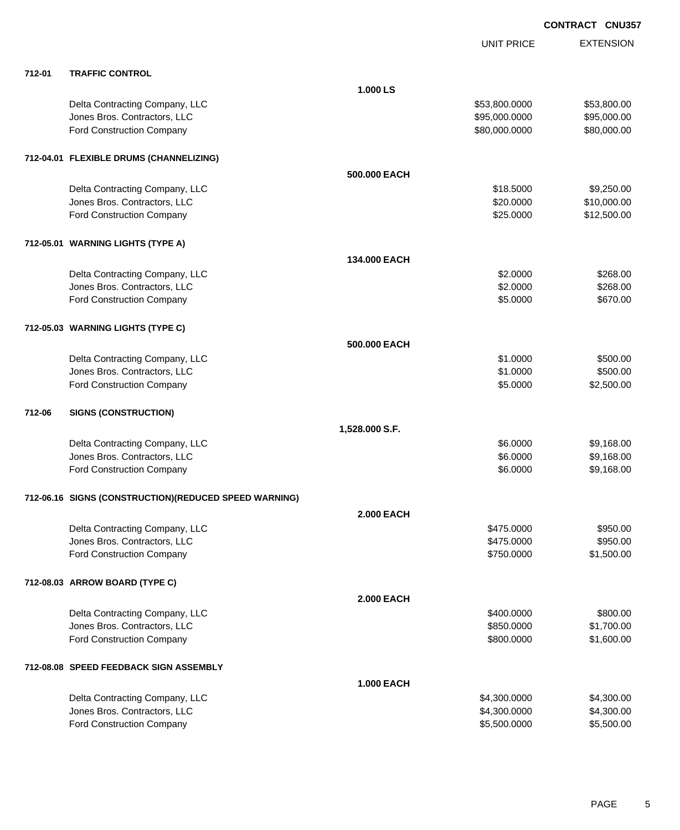|        |                                                       |                   | <b>UNIT PRICE</b> | <b>EXTENSION</b> |
|--------|-------------------------------------------------------|-------------------|-------------------|------------------|
| 712-01 | <b>TRAFFIC CONTROL</b>                                |                   |                   |                  |
|        |                                                       | 1.000 LS          |                   |                  |
|        | Delta Contracting Company, LLC                        |                   | \$53,800.0000     | \$53,800.00      |
|        | Jones Bros. Contractors, LLC                          |                   | \$95,000.0000     | \$95,000.00      |
|        | Ford Construction Company                             |                   | \$80,000.0000     | \$80,000.00      |
|        | 712-04.01 FLEXIBLE DRUMS (CHANNELIZING)               |                   |                   |                  |
|        |                                                       | 500.000 EACH      |                   |                  |
|        | Delta Contracting Company, LLC                        |                   | \$18.5000         | \$9,250.00       |
|        | Jones Bros. Contractors, LLC                          |                   | \$20.0000         | \$10,000.00      |
|        | Ford Construction Company                             |                   | \$25.0000         | \$12,500.00      |
|        | 712-05.01 WARNING LIGHTS (TYPE A)                     |                   |                   |                  |
|        |                                                       | 134,000 EACH      |                   |                  |
|        | Delta Contracting Company, LLC                        |                   | \$2.0000          | \$268.00         |
|        | Jones Bros. Contractors, LLC                          |                   | \$2.0000          | \$268.00         |
|        | Ford Construction Company                             |                   | \$5.0000          | \$670.00         |
|        | 712-05.03 WARNING LIGHTS (TYPE C)                     |                   |                   |                  |
|        |                                                       | 500.000 EACH      |                   |                  |
|        | Delta Contracting Company, LLC                        |                   | \$1.0000          | \$500.00         |
|        | Jones Bros. Contractors, LLC                          |                   | \$1.0000          | \$500.00         |
|        | Ford Construction Company                             |                   | \$5.0000          | \$2,500.00       |
| 712-06 | <b>SIGNS (CONSTRUCTION)</b>                           |                   |                   |                  |
|        |                                                       | 1,528.000 S.F.    |                   |                  |
|        | Delta Contracting Company, LLC                        |                   | \$6.0000          | \$9,168.00       |
|        | Jones Bros. Contractors, LLC                          |                   | \$6.0000          | \$9,168.00       |
|        | <b>Ford Construction Company</b>                      |                   | \$6.0000          | \$9,168.00       |
|        | 712-06.16 SIGNS (CONSTRUCTION)(REDUCED SPEED WARNING) |                   |                   |                  |
|        |                                                       | <b>2.000 EACH</b> |                   |                  |
|        | Delta Contracting Company, LLC                        |                   | \$475.0000        | \$950.00         |
|        | Jones Bros. Contractors, LLC                          |                   | \$475.0000        | \$950.00         |
|        | Ford Construction Company                             |                   | \$750.0000        | \$1,500.00       |
|        | 712-08.03 ARROW BOARD (TYPE C)                        |                   |                   |                  |
|        |                                                       | <b>2.000 EACH</b> |                   |                  |
|        | Delta Contracting Company, LLC                        |                   | \$400.0000        | \$800.00         |
|        | Jones Bros. Contractors, LLC                          |                   | \$850.0000        | \$1,700.00       |
|        | Ford Construction Company                             |                   | \$800.0000        | \$1,600.00       |
|        | 712-08.08 SPEED FEEDBACK SIGN ASSEMBLY                |                   |                   |                  |
|        |                                                       | <b>1.000 EACH</b> |                   |                  |
|        | Delta Contracting Company, LLC                        |                   | \$4,300.0000      | \$4,300.00       |
|        | Jones Bros. Contractors, LLC                          |                   | \$4,300.0000      | \$4,300.00       |
|        | Ford Construction Company                             |                   | \$5,500.0000      | \$5,500.00       |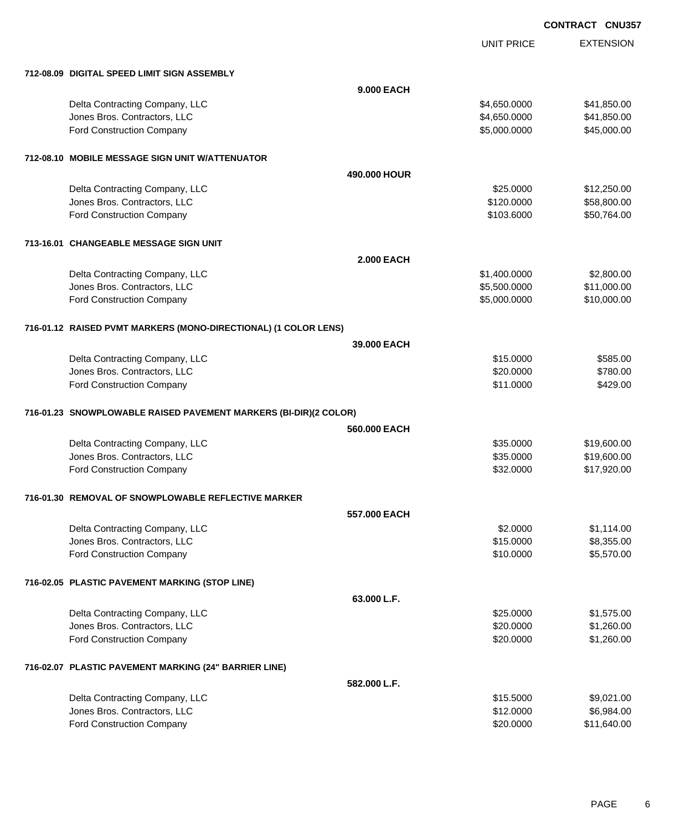UNIT PRICE

EXTENSION

| 712-08.09 DIGITAL SPEED LIMIT SIGN ASSEMBLY                      |                   |              |             |
|------------------------------------------------------------------|-------------------|--------------|-------------|
|                                                                  | <b>9.000 EACH</b> |              |             |
| Delta Contracting Company, LLC                                   |                   | \$4,650.0000 | \$41,850.00 |
| Jones Bros. Contractors, LLC                                     |                   | \$4,650.0000 | \$41,850.00 |
| <b>Ford Construction Company</b>                                 |                   | \$5,000.0000 | \$45,000.00 |
| 712-08.10 MOBILE MESSAGE SIGN UNIT W/ATTENUATOR                  |                   |              |             |
|                                                                  | 490,000 HOUR      |              |             |
| Delta Contracting Company, LLC                                   |                   | \$25.0000    | \$12,250.00 |
| Jones Bros. Contractors, LLC                                     |                   | \$120.0000   | \$58,800.00 |
| <b>Ford Construction Company</b>                                 |                   | \$103.6000   | \$50,764.00 |
| 713-16.01 CHANGEABLE MESSAGE SIGN UNIT                           |                   |              |             |
|                                                                  | <b>2.000 EACH</b> |              |             |
| Delta Contracting Company, LLC                                   |                   | \$1,400.0000 | \$2,800.00  |
| Jones Bros. Contractors, LLC                                     |                   | \$5,500.0000 | \$11,000.00 |
| Ford Construction Company                                        |                   | \$5,000.0000 | \$10,000.00 |
| 716-01.12 RAISED PVMT MARKERS (MONO-DIRECTIONAL) (1 COLOR LENS)  |                   |              |             |
|                                                                  | 39,000 EACH       |              |             |
| Delta Contracting Company, LLC                                   |                   | \$15.0000    | \$585.00    |
| Jones Bros. Contractors, LLC                                     |                   | \$20.0000    | \$780.00    |
| Ford Construction Company                                        |                   | \$11.0000    | \$429.00    |
| 716-01.23 SNOWPLOWABLE RAISED PAVEMENT MARKERS (BI-DIR)(2 COLOR) |                   |              |             |
|                                                                  | 560,000 EACH      |              |             |
| Delta Contracting Company, LLC                                   |                   | \$35.0000    | \$19,600.00 |
| Jones Bros. Contractors, LLC                                     |                   | \$35.0000    | \$19,600.00 |
| Ford Construction Company                                        |                   | \$32.0000    | \$17,920.00 |
| 716-01.30 REMOVAL OF SNOWPLOWABLE REFLECTIVE MARKER              |                   |              |             |
|                                                                  | 557,000 EACH      |              |             |
| Delta Contracting Company, LLC                                   |                   | \$2.0000     | \$1,114.00  |
| Jones Bros. Contractors, LLC                                     |                   | \$15.0000    | \$8,355.00  |
| <b>Ford Construction Company</b>                                 |                   | \$10.0000    | \$5,570.00  |
| 716-02.05 PLASTIC PAVEMENT MARKING (STOP LINE)                   |                   |              |             |
|                                                                  | 63.000 L.F.       |              |             |
| Delta Contracting Company, LLC                                   |                   | \$25.0000    | \$1,575.00  |
| Jones Bros. Contractors, LLC                                     |                   | \$20.0000    | \$1,260.00  |
| <b>Ford Construction Company</b>                                 |                   | \$20.0000    | \$1,260.00  |
| 716-02.07 PLASTIC PAVEMENT MARKING (24" BARRIER LINE)            |                   |              |             |
|                                                                  | 582.000 L.F.      |              |             |
| Delta Contracting Company, LLC                                   |                   | \$15.5000    | \$9,021.00  |
| Jones Bros. Contractors, LLC                                     |                   | \$12.0000    | \$6,984.00  |
| <b>Ford Construction Company</b>                                 |                   | \$20.0000    | \$11,640.00 |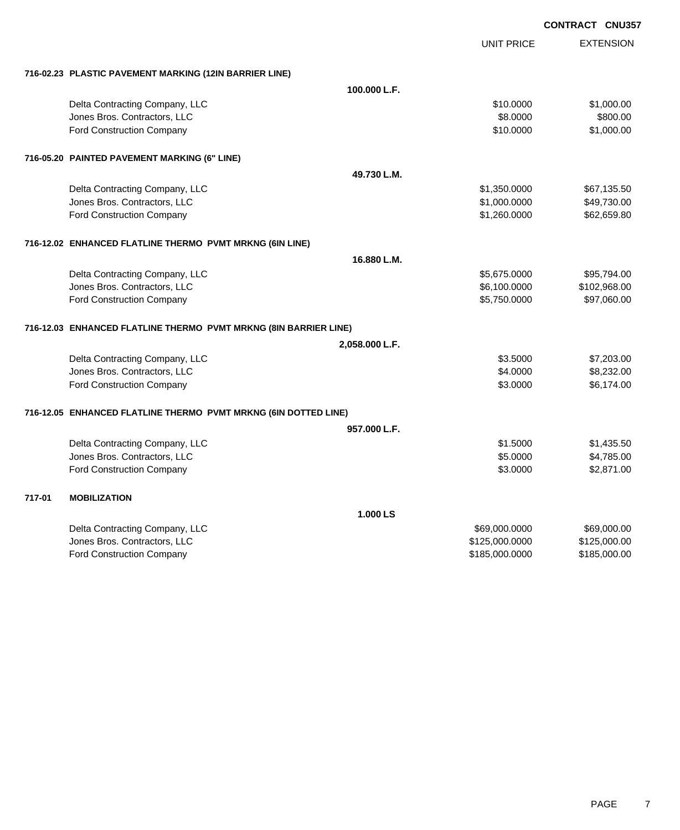EXTENSION **CONTRACT CNU357** UNIT PRICE **716-02.23 PLASTIC PAVEMENT MARKING (12IN BARRIER LINE) 100.000 L.F.** Delta Contracting Company, LLC 61.000.00 \$1,000.00 \$1,000.00 Jones Bros. Contractors, LLC \$8.0000 \$800.00 Ford Construction Company 61,000.00 \$1,000.00 \$1,000.00 \$1,000.00 \$1,000.00 \$1,000.00 \$1,000.00 \$1,000.00 \$1,000 **716-05.20 PAINTED PAVEMENT MARKING (6" LINE) 49.730 L.M.** Delta Contracting Company, LLC 667,1350.000 \$1,350.0000 \$67,135.50 Jones Bros. Contractors, LLC \$1,000.0000 \$49,730.00 Ford Construction Company 62,659.80 **716-12.02 ENHANCED FLATLINE THERMO PVMT MRKNG (6IN LINE) 16.880 L.M.** Delta Contracting Company, LLC 65,675.0000 \$95,794.00 Jones Bros. Contractors, LLC \$6,100.0000 \$102,968.00 Ford Construction Company 65,750.0000 \$97,060.00 **716-12.03 ENHANCED FLATLINE THERMO PVMT MRKNG (8IN BARRIER LINE) 2,058.000 L.F.** Delta Contracting Company, LLC **6.6 and 7.203.00** \$7,203.00 Jones Bros. Contractors, LLC \$4.0000 \$8,232.00 Ford Construction Company 6,174.00 **716-12.05 ENHANCED FLATLINE THERMO PVMT MRKNG (6IN DOTTED LINE) 957.000 L.F.** Delta Contracting Company, LLC 61,435.50 Jones Bros. Contractors, LLC \$5.0000 \$4,785.00 Ford Construction Company 62,871.00 **717-01 MOBILIZATION 1.000 LS** Delta Contracting Company, LLC 669,000.000 \$69,000.000 \$69,000.000 \$69,000.000 \$69,000.000 \$69,000.00 Jones Bros. Contractors, LLC \$125,000.0000 \$125,000.00

Ford Construction Company 6185,000.000 \$185,000.000 \$185,000.000 \$185,000.000 \$185,000.00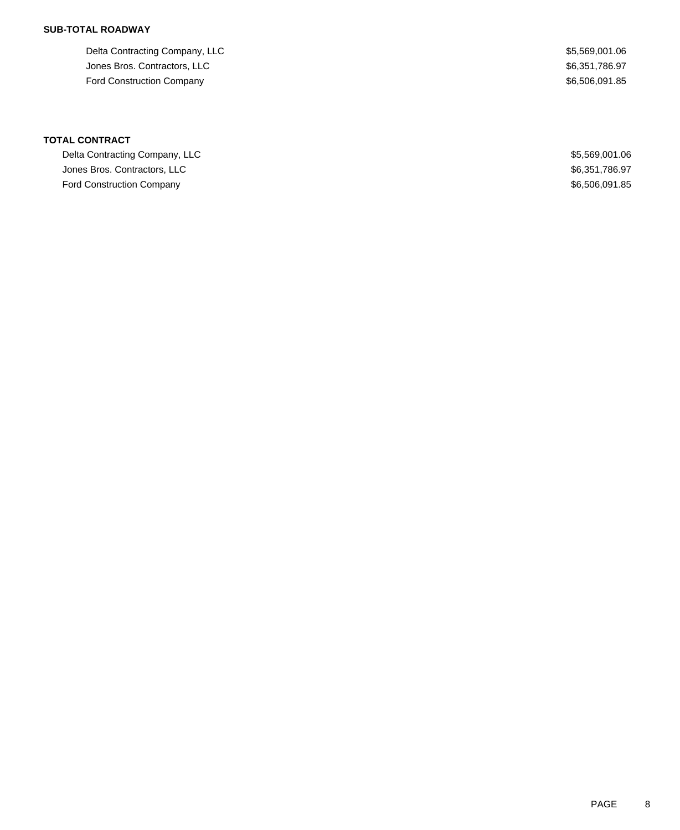## **SUB-TOTAL ROADWAY**

Delta Contracting Company, LLC 65,569,001.06 Jones Bros. Contractors, LLC \$6,351,786.97 Ford Construction Company **\$6,506,091.85** 

**TOTAL CONTRACT**

Delta Contracting Company, LLC \$5,569,001.06 Jones Bros. Contractors, LLC \$6,351,786.97 Ford Construction Company \$6,506,091.85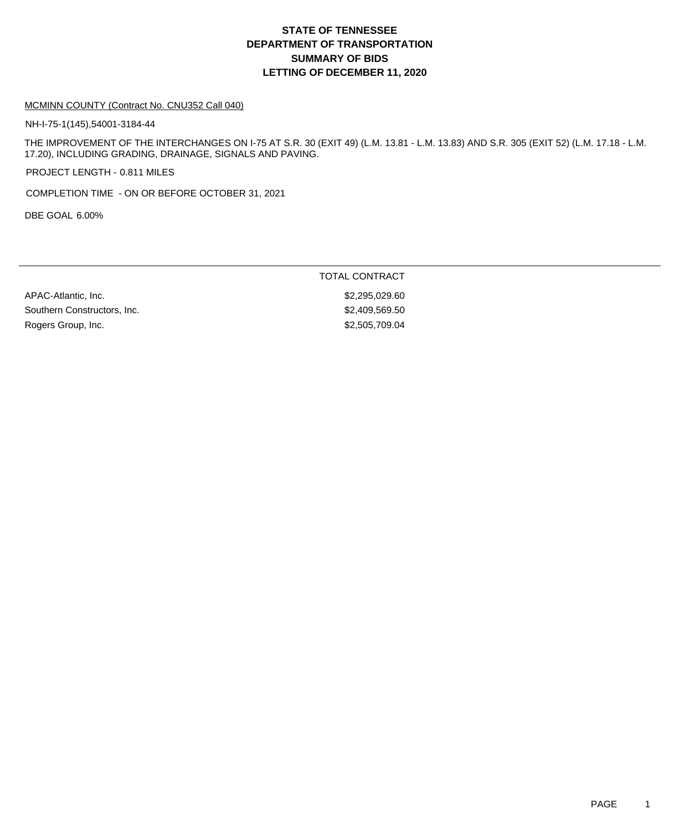### MCMINN COUNTY (Contract No. CNU352 Call 040)

NH-I-75-1(145),54001-3184-44

THE IMPROVEMENT OF THE INTERCHANGES ON I-75 AT S.R. 30 (EXIT 49) (L.M. 13.81 - L.M. 13.83) AND S.R. 305 (EXIT 52) (L.M. 17.18 - L.M. 17.20), INCLUDING GRADING, DRAINAGE, SIGNALS AND PAVING.

PROJECT LENGTH - 0.811 MILES

COMPLETION TIME - ON OR BEFORE OCTOBER 31, 2021

DBE GOAL 6.00%

TOTAL CONTRACT

APAC-Atlantic, Inc. 60. 2010 12:20:30 12:20:30 12:20:30 12:20:30 12:20:30 12:20:30 12:20:30 12:20:30 12:20:30 Southern Constructors, Inc. 69.69.50 \$2,409,569.50 Rogers Group, Inc. 6. 2006 12:30 12:30 12:30 12:30 12:30 12:30 12:30 12:30 12:30 12:30 12:30 12:30 12:30 12:30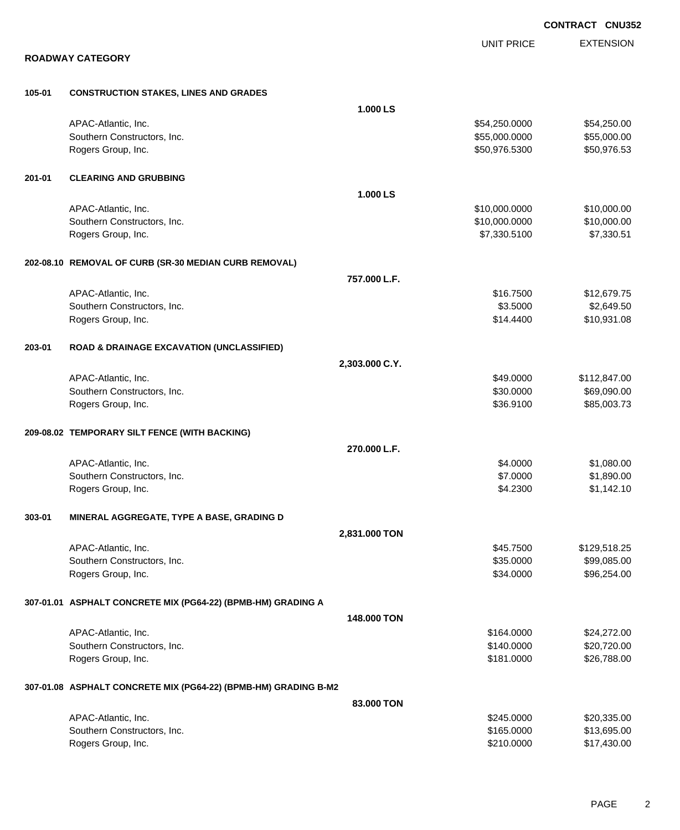|        |                                                                 |                |                   | <b>CONTRACT CNU352</b> |
|--------|-----------------------------------------------------------------|----------------|-------------------|------------------------|
|        |                                                                 |                | <b>UNIT PRICE</b> | <b>EXTENSION</b>       |
|        | <b>ROADWAY CATEGORY</b>                                         |                |                   |                        |
| 105-01 | <b>CONSTRUCTION STAKES, LINES AND GRADES</b>                    |                |                   |                        |
|        |                                                                 | 1.000 LS       |                   |                        |
|        | APAC-Atlantic, Inc.                                             |                | \$54,250.0000     | \$54,250.00            |
|        | Southern Constructors, Inc.                                     |                | \$55,000.0000     | \$55,000.00            |
|        | Rogers Group, Inc.                                              |                | \$50,976.5300     | \$50,976.53            |
| 201-01 | <b>CLEARING AND GRUBBING</b>                                    |                |                   |                        |
|        |                                                                 | 1.000 LS       |                   |                        |
|        | APAC-Atlantic, Inc.                                             |                | \$10,000.0000     | \$10,000.00            |
|        | Southern Constructors, Inc.                                     |                | \$10,000.0000     | \$10,000.00            |
|        | Rogers Group, Inc.                                              |                | \$7,330.5100      | \$7,330.51             |
|        | 202-08.10 REMOVAL OF CURB (SR-30 MEDIAN CURB REMOVAL)           |                |                   |                        |
|        |                                                                 | 757.000 L.F.   |                   |                        |
|        | APAC-Atlantic, Inc.                                             |                | \$16.7500         | \$12,679.75            |
|        | Southern Constructors, Inc.                                     |                | \$3.5000          | \$2,649.50             |
|        | Rogers Group, Inc.                                              |                | \$14.4400         | \$10,931.08            |
| 203-01 | <b>ROAD &amp; DRAINAGE EXCAVATION (UNCLASSIFIED)</b>            |                |                   |                        |
|        |                                                                 | 2,303.000 C.Y. |                   |                        |
|        | APAC-Atlantic, Inc.                                             |                | \$49.0000         | \$112,847.00           |
|        | Southern Constructors, Inc.                                     |                | \$30.0000         | \$69,090.00            |
|        | Rogers Group, Inc.                                              |                | \$36.9100         | \$85,003.73            |
|        | 209-08.02 TEMPORARY SILT FENCE (WITH BACKING)                   |                |                   |                        |
|        |                                                                 | 270.000 L.F.   |                   |                        |
|        | APAC-Atlantic, Inc.                                             |                | \$4.0000          | \$1,080.00             |
|        | Southern Constructors, Inc.                                     |                | \$7.0000          | \$1,890.00             |
|        | Rogers Group, Inc.                                              |                | \$4.2300          | \$1,142.10             |
| 303-01 | MINERAL AGGREGATE, TYPE A BASE, GRADING D                       |                |                   |                        |
|        |                                                                 | 2,831.000 TON  |                   |                        |
|        | APAC-Atlantic, Inc.                                             |                | \$45.7500         | \$129,518.25           |
|        | Southern Constructors, Inc.                                     |                | \$35.0000         | \$99,085.00            |
|        | Rogers Group, Inc.                                              |                | \$34.0000         | \$96,254.00            |
|        | 307-01.01 ASPHALT CONCRETE MIX (PG64-22) (BPMB-HM) GRADING A    |                |                   |                        |
|        |                                                                 | 148.000 TON    |                   |                        |
|        | APAC-Atlantic, Inc.                                             |                | \$164.0000        | \$24,272.00            |
|        | Southern Constructors, Inc.                                     |                | \$140.0000        | \$20,720.00            |
|        | Rogers Group, Inc.                                              |                | \$181.0000        | \$26,788.00            |
|        | 307-01.08 ASPHALT CONCRETE MIX (PG64-22) (BPMB-HM) GRADING B-M2 |                |                   |                        |
|        |                                                                 | 83.000 TON     |                   |                        |
|        | APAC-Atlantic, Inc.                                             |                | \$245.0000        | \$20,335.00            |
|        | Southern Constructors, Inc.                                     |                | \$165.0000        | \$13,695.00            |
|        | Rogers Group, Inc.                                              |                | \$210.0000        | \$17,430.00            |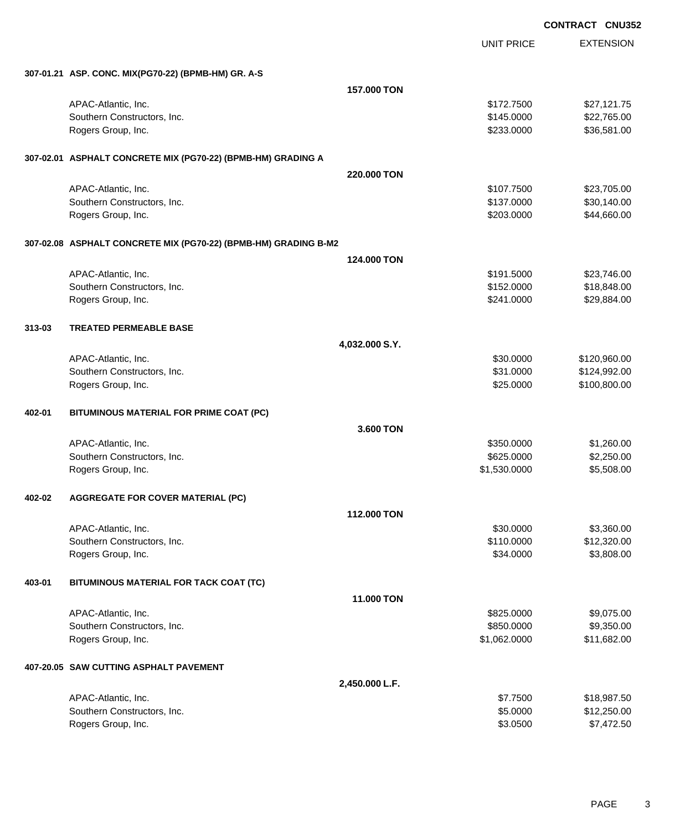|        |                                                                 |                |                   | <b>CONTRACT CNU35</b> |
|--------|-----------------------------------------------------------------|----------------|-------------------|-----------------------|
|        |                                                                 |                | <b>UNIT PRICE</b> | <b>EXTENSION</b>      |
|        | 307-01.21 ASP. CONC. MIX(PG70-22) (BPMB-HM) GR. A-S             |                |                   |                       |
|        |                                                                 | 157.000 TON    |                   |                       |
|        | APAC-Atlantic, Inc.                                             |                | \$172.7500        | \$27,121.75           |
|        | Southern Constructors, Inc.                                     |                | \$145.0000        | \$22,765.00           |
|        | Rogers Group, Inc.                                              |                | \$233.0000        | \$36,581.00           |
|        | 307-02.01 ASPHALT CONCRETE MIX (PG70-22) (BPMB-HM) GRADING A    |                |                   |                       |
|        |                                                                 | 220,000 TON    |                   |                       |
|        | APAC-Atlantic, Inc.                                             |                | \$107.7500        | \$23,705.00           |
|        | Southern Constructors, Inc.                                     |                | \$137.0000        | \$30,140.00           |
|        | Rogers Group, Inc.                                              |                | \$203.0000        | \$44,660.00           |
|        | 307-02.08 ASPHALT CONCRETE MIX (PG70-22) (BPMB-HM) GRADING B-M2 |                |                   |                       |
|        |                                                                 | 124.000 TON    |                   |                       |
|        | APAC-Atlantic, Inc.                                             |                | \$191.5000        | \$23,746.00           |
|        | Southern Constructors, Inc.                                     |                | \$152.0000        | \$18,848.00           |
|        | Rogers Group, Inc.                                              |                | \$241.0000        | \$29,884.00           |
| 313-03 | <b>TREATED PERMEABLE BASE</b>                                   |                |                   |                       |
|        |                                                                 | 4,032.000 S.Y. |                   |                       |
|        | APAC-Atlantic, Inc.                                             |                | \$30.0000         | \$120,960.00          |
|        | Southern Constructors, Inc.                                     |                | \$31.0000         | \$124,992.00          |
|        | Rogers Group, Inc.                                              |                | \$25.0000         | \$100,800.00          |
| 402-01 | BITUMINOUS MATERIAL FOR PRIME COAT (PC)                         |                |                   |                       |
|        |                                                                 | 3.600 TON      |                   |                       |
|        | APAC-Atlantic, Inc.                                             |                | \$350.0000        | \$1,260.00            |
|        | Southern Constructors, Inc.                                     |                | \$625.0000        | \$2,250.00            |
|        | Rogers Group, Inc.                                              |                | \$1,530.0000      | \$5,508.00            |
| 402-02 | <b>AGGREGATE FOR COVER MATERIAL (PC)</b>                        |                |                   |                       |
|        |                                                                 | 112.000 TON    |                   |                       |
|        | APAC-Atlantic, Inc.                                             |                | \$30.0000         | \$3,360.00            |
|        | Southern Constructors, Inc.                                     |                | \$110.0000        | \$12,320.00           |
|        | Rogers Group, Inc.                                              |                | \$34.0000         | \$3,808.00            |
| 403-01 | BITUMINOUS MATERIAL FOR TACK COAT (TC)                          |                |                   |                       |
|        |                                                                 | 11.000 TON     |                   |                       |
|        | APAC-Atlantic, Inc.                                             |                | \$825.0000        | \$9,075.00            |
|        | Southern Constructors, Inc.                                     |                | \$850.0000        | \$9,350.00            |
|        | Rogers Group, Inc.                                              |                | \$1,062.0000      | \$11,682.00           |
|        | 407-20.05 SAW CUTTING ASPHALT PAVEMENT                          |                |                   |                       |
|        |                                                                 | 2,450.000 L.F. |                   |                       |
|        | APAC-Atlantic, Inc.                                             |                | \$7.7500          | \$18,987.50           |
|        | Southern Constructors, Inc.                                     |                | \$5.0000          | \$12,250.00           |

Rogers Group, Inc. \$3.0500 \$7,472.50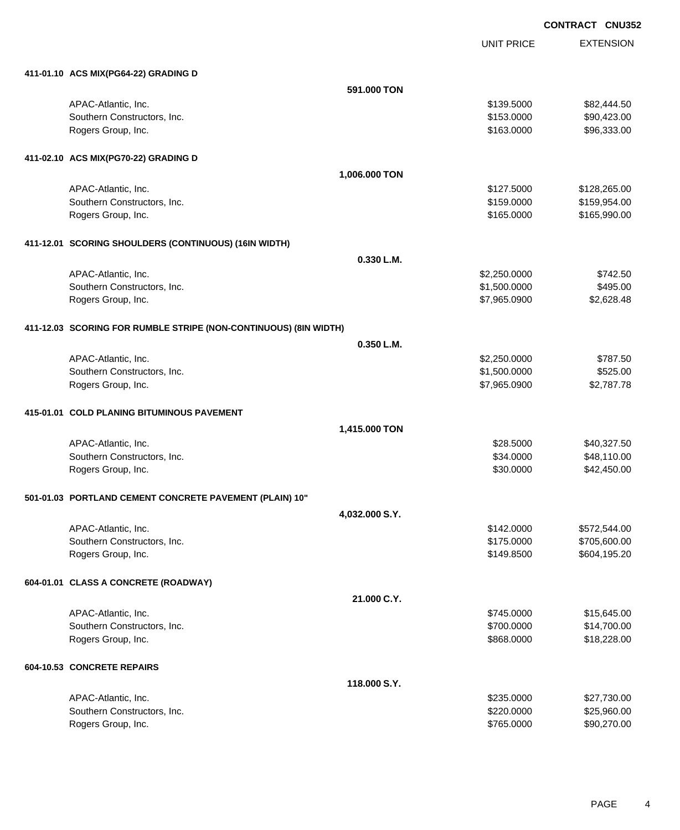UNIT PRICE EXTENSION

| 411-01.10 ACS MIX(PG64-22) GRADING D                             |                |                          |                              |
|------------------------------------------------------------------|----------------|--------------------------|------------------------------|
|                                                                  | 591.000 TON    |                          |                              |
| APAC-Atlantic, Inc.                                              |                | \$139.5000               | \$82,444.50                  |
| Southern Constructors, Inc.                                      |                | \$153.0000               | \$90,423.00                  |
| Rogers Group, Inc.                                               |                | \$163.0000               | \$96,333.00                  |
| 411-02.10 ACS MIX(PG70-22) GRADING D                             |                |                          |                              |
|                                                                  | 1,006.000 TON  |                          |                              |
| APAC-Atlantic, Inc.                                              |                | \$127.5000               | \$128,265.00                 |
| Southern Constructors, Inc.                                      |                | \$159.0000               | \$159,954.00                 |
| Rogers Group, Inc.                                               |                | \$165.0000               | \$165,990.00                 |
| 411-12.01 SCORING SHOULDERS (CONTINUOUS) (16IN WIDTH)            |                |                          |                              |
|                                                                  | 0.330 L.M.     |                          |                              |
| APAC-Atlantic, Inc.                                              |                | \$2,250.0000             | \$742.50                     |
| Southern Constructors, Inc.                                      |                | \$1,500.0000             | \$495.00                     |
| Rogers Group, Inc.                                               |                | \$7,965.0900             | \$2,628.48                   |
| 411-12.03 SCORING FOR RUMBLE STRIPE (NON-CONTINUOUS) (8IN WIDTH) |                |                          |                              |
|                                                                  | 0.350 L.M.     |                          |                              |
| APAC-Atlantic, Inc.                                              |                | \$2,250.0000             | \$787.50                     |
| Southern Constructors, Inc.                                      |                | \$1,500.0000             | \$525.00                     |
| Rogers Group, Inc.                                               |                | \$7,965.0900             | \$2,787.78                   |
| 415-01.01 COLD PLANING BITUMINOUS PAVEMENT                       |                |                          |                              |
|                                                                  | 1,415.000 TON  |                          |                              |
| APAC-Atlantic, Inc.                                              |                | \$28.5000                | \$40,327.50                  |
| Southern Constructors, Inc.                                      |                | \$34.0000                | \$48,110.00                  |
| Rogers Group, Inc.                                               |                | \$30.0000                | \$42,450.00                  |
| 501-01.03 PORTLAND CEMENT CONCRETE PAVEMENT (PLAIN) 10"          |                |                          |                              |
|                                                                  | 4,032.000 S.Y. |                          |                              |
| APAC-Atlantic, Inc.                                              |                | \$142.0000               | \$572,544.00                 |
| Southern Constructors, Inc.                                      |                | \$175.0000<br>\$149.8500 | \$705,600.00<br>\$604,195.20 |
| Rogers Group, Inc.                                               |                |                          |                              |
| 604-01.01 CLASS A CONCRETE (ROADWAY)                             |                |                          |                              |
|                                                                  | 21.000 C.Y.    |                          |                              |
| APAC-Atlantic, Inc.                                              |                | \$745.0000               | \$15,645.00                  |
| Southern Constructors, Inc.<br>Rogers Group, Inc.                |                | \$700.0000<br>\$868.0000 | \$14,700.00                  |
|                                                                  |                |                          | \$18,228.00                  |
| 604-10.53 CONCRETE REPAIRS                                       |                |                          |                              |
|                                                                  | 118.000 S.Y.   |                          |                              |
| APAC-Atlantic, Inc.                                              |                | \$235.0000               | \$27,730.00                  |
| Southern Constructors, Inc.                                      |                | \$220.0000               | \$25,960.00                  |
| Rogers Group, Inc.                                               |                | \$765.0000               | \$90,270.00                  |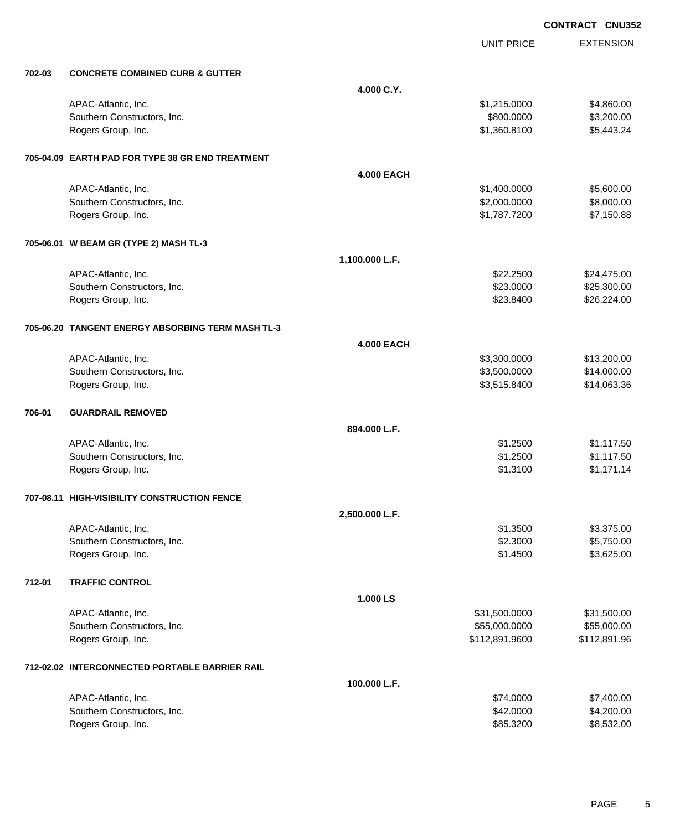|        |                                                   |                   | <b>UNIT PRICE</b> | <b>EXTENSION</b> |
|--------|---------------------------------------------------|-------------------|-------------------|------------------|
| 702-03 | <b>CONCRETE COMBINED CURB &amp; GUTTER</b>        |                   |                   |                  |
|        |                                                   | 4.000 C.Y.        |                   |                  |
|        | APAC-Atlantic, Inc.                               |                   | \$1,215.0000      | \$4,860.00       |
|        | Southern Constructors, Inc.                       |                   | \$800.0000        | \$3,200.00       |
|        | Rogers Group, Inc.                                |                   | \$1,360.8100      | \$5,443.24       |
|        | 705-04.09 EARTH PAD FOR TYPE 38 GR END TREATMENT  |                   |                   |                  |
|        |                                                   | <b>4.000 EACH</b> |                   |                  |
|        | APAC-Atlantic, Inc.                               |                   | \$1,400.0000      | \$5,600.00       |
|        | Southern Constructors, Inc.                       |                   | \$2,000.0000      | \$8,000.00       |
|        | Rogers Group, Inc.                                |                   | \$1,787.7200      | \$7,150.88       |
|        | 705-06.01 W BEAM GR (TYPE 2) MASH TL-3            |                   |                   |                  |
|        |                                                   | 1,100.000 L.F.    |                   |                  |
|        | APAC-Atlantic, Inc.                               |                   | \$22.2500         | \$24,475.00      |
|        | Southern Constructors, Inc.                       |                   | \$23.0000         | \$25,300.00      |
|        | Rogers Group, Inc.                                |                   | \$23.8400         | \$26,224.00      |
|        | 705-06.20 TANGENT ENERGY ABSORBING TERM MASH TL-3 |                   |                   |                  |
|        |                                                   | <b>4.000 EACH</b> |                   |                  |
|        | APAC-Atlantic, Inc.                               |                   | \$3,300.0000      | \$13,200.00      |
|        | Southern Constructors, Inc.                       |                   | \$3,500.0000      | \$14,000.00      |
|        | Rogers Group, Inc.                                |                   | \$3,515.8400      | \$14,063.36      |
| 706-01 | <b>GUARDRAIL REMOVED</b>                          |                   |                   |                  |
|        |                                                   | 894.000 L.F.      |                   |                  |
|        | APAC-Atlantic, Inc.                               |                   | \$1.2500          | \$1,117.50       |
|        | Southern Constructors, Inc.                       |                   | \$1.2500          | \$1,117.50       |
|        | Rogers Group, Inc.                                |                   | \$1.3100          | \$1,171.14       |
|        | 707-08.11 HIGH-VISIBILITY CONSTRUCTION FENCE      |                   |                   |                  |
|        |                                                   | 2,500.000 L.F.    |                   |                  |
|        | APAC-Atlantic, Inc.                               |                   | \$1.3500          | \$3,375.00       |
|        | Southern Constructors, Inc.                       |                   | \$2.3000          | \$5,750.00       |
|        | Rogers Group, Inc.                                |                   | \$1.4500          | \$3,625.00       |
| 712-01 | <b>TRAFFIC CONTROL</b>                            |                   |                   |                  |
|        |                                                   | 1.000 LS          |                   |                  |
|        | APAC-Atlantic, Inc.                               |                   | \$31,500.0000     | \$31,500.00      |
|        | Southern Constructors, Inc.                       |                   | \$55,000.0000     | \$55,000.00      |
|        | Rogers Group, Inc.                                |                   | \$112,891.9600    | \$112,891.96     |
|        | 712-02.02 INTERCONNECTED PORTABLE BARRIER RAIL    |                   |                   |                  |
|        |                                                   | 100.000 L.F.      |                   |                  |
|        | APAC-Atlantic, Inc.                               |                   | \$74.0000         | \$7,400.00       |
|        | Southern Constructors, Inc.                       |                   | \$42.0000         | \$4,200.00       |
|        | Rogers Group, Inc.                                |                   | \$85.3200         | \$8,532.00       |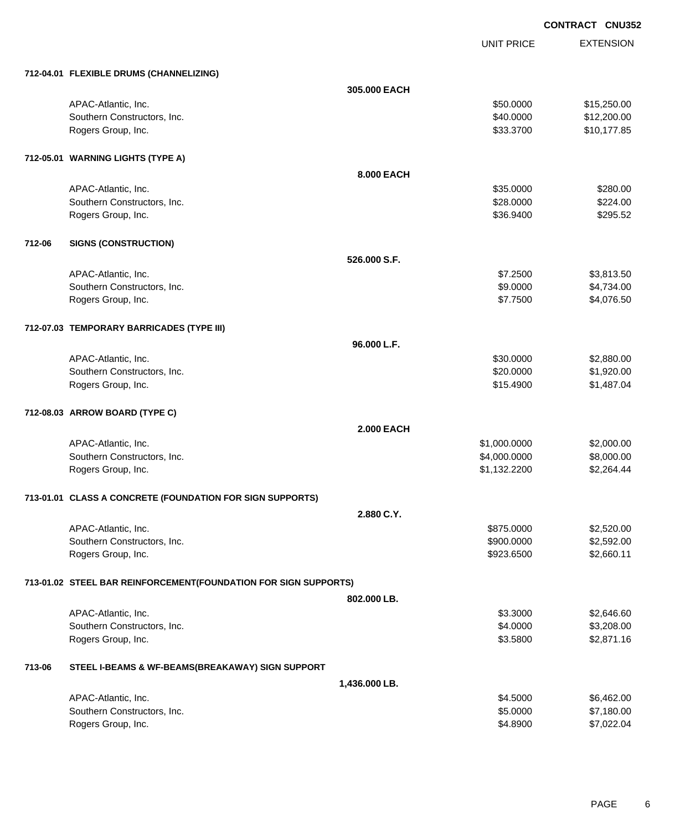UNIT PRICE

EXTENSION

|        | 712-04.01 FLEXIBLE DRUMS (CHANNELIZING)                         |                   |              |             |
|--------|-----------------------------------------------------------------|-------------------|--------------|-------------|
|        |                                                                 | 305,000 EACH      |              |             |
|        | APAC-Atlantic, Inc.                                             |                   | \$50.0000    | \$15,250.00 |
|        | Southern Constructors, Inc.                                     |                   | \$40.0000    | \$12,200.00 |
|        | Rogers Group, Inc.                                              |                   | \$33.3700    | \$10,177.85 |
|        | 712-05.01 WARNING LIGHTS (TYPE A)                               |                   |              |             |
|        |                                                                 | 8.000 EACH        |              |             |
|        | APAC-Atlantic, Inc.                                             |                   | \$35.0000    | \$280.00    |
|        | Southern Constructors, Inc.                                     |                   | \$28.0000    | \$224.00    |
|        | Rogers Group, Inc.                                              |                   | \$36.9400    | \$295.52    |
| 712-06 | <b>SIGNS (CONSTRUCTION)</b>                                     |                   |              |             |
|        |                                                                 | 526,000 S.F.      |              |             |
|        | APAC-Atlantic, Inc.                                             |                   | \$7.2500     | \$3,813.50  |
|        | Southern Constructors, Inc.                                     |                   | \$9.0000     | \$4,734.00  |
|        | Rogers Group, Inc.                                              |                   | \$7.7500     | \$4,076.50  |
|        | 712-07.03 TEMPORARY BARRICADES (TYPE III)                       |                   |              |             |
|        |                                                                 | 96.000 L.F.       |              |             |
|        | APAC-Atlantic, Inc.                                             |                   | \$30.0000    | \$2,880.00  |
|        | Southern Constructors, Inc.                                     |                   | \$20.0000    | \$1,920.00  |
|        | Rogers Group, Inc.                                              |                   | \$15.4900    | \$1,487.04  |
|        | 712-08.03 ARROW BOARD (TYPE C)                                  |                   |              |             |
|        |                                                                 | <b>2.000 EACH</b> |              |             |
|        | APAC-Atlantic, Inc.                                             |                   | \$1,000.0000 | \$2,000.00  |
|        | Southern Constructors, Inc.                                     |                   | \$4,000.0000 | \$8,000.00  |
|        | Rogers Group, Inc.                                              |                   | \$1,132.2200 | \$2,264.44  |
|        | 713-01.01 CLASS A CONCRETE (FOUNDATION FOR SIGN SUPPORTS)       |                   |              |             |
|        |                                                                 | 2.880 C.Y.        |              |             |
|        | APAC-Atlantic, Inc.                                             |                   | \$875.0000   | \$2,520.00  |
|        | Southern Constructors, Inc.                                     |                   | \$900.0000   | \$2,592.00  |
|        | Rogers Group, Inc.                                              |                   | \$923.6500   | \$2,660.11  |
|        | 713-01.02 STEEL BAR REINFORCEMENT(FOUNDATION FOR SIGN SUPPORTS) |                   |              |             |
|        |                                                                 | 802.000 LB.       |              |             |
|        | APAC-Atlantic, Inc.                                             |                   | \$3.3000     | \$2,646.60  |
|        | Southern Constructors, Inc.                                     |                   | \$4.0000     | \$3,208.00  |
|        | Rogers Group, Inc.                                              |                   | \$3.5800     | \$2,871.16  |
| 713-06 | STEEL I-BEAMS & WF-BEAMS(BREAKAWAY) SIGN SUPPORT                |                   |              |             |
|        |                                                                 | 1,436.000 LB.     |              |             |
|        | APAC-Atlantic, Inc.                                             |                   | \$4.5000     | \$6,462.00  |
|        | Southern Constructors, Inc.                                     |                   | \$5.0000     | \$7,180.00  |
|        | Rogers Group, Inc.                                              |                   | \$4.8900     | \$7,022.04  |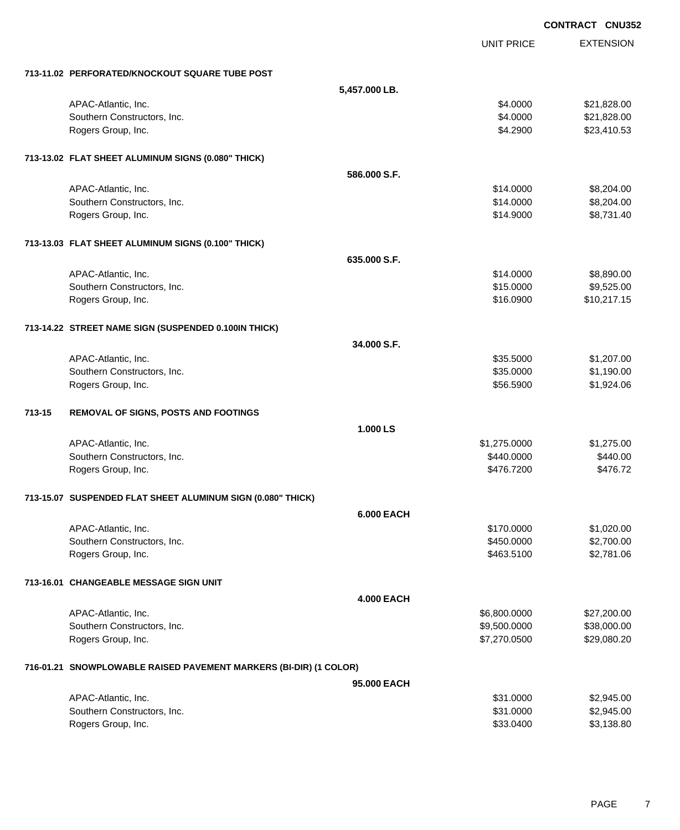|        |                                                                   |                   |                   | <b>CONTRACT CNU352</b> |
|--------|-------------------------------------------------------------------|-------------------|-------------------|------------------------|
|        |                                                                   |                   | <b>UNIT PRICE</b> | <b>EXTENSION</b>       |
|        | 713-11.02 PERFORATED/KNOCKOUT SQUARE TUBE POST                    |                   |                   |                        |
|        |                                                                   | 5,457.000 LB.     |                   |                        |
|        | APAC-Atlantic, Inc.                                               |                   | \$4.0000          | \$21,828.00            |
|        | Southern Constructors, Inc.                                       |                   | \$4.0000          | \$21,828.00            |
|        | Rogers Group, Inc.                                                |                   | \$4.2900          | \$23,410.53            |
|        | 713-13.02 FLAT SHEET ALUMINUM SIGNS (0.080" THICK)                |                   |                   |                        |
|        |                                                                   | 586.000 S.F.      |                   |                        |
|        | APAC-Atlantic, Inc.                                               |                   | \$14.0000         | \$8,204.00             |
|        | Southern Constructors, Inc.                                       |                   | \$14.0000         | \$8,204.00             |
|        | Rogers Group, Inc.                                                |                   | \$14.9000         | \$8,731.40             |
|        | 713-13.03 FLAT SHEET ALUMINUM SIGNS (0.100" THICK)                |                   |                   |                        |
|        |                                                                   | 635,000 S.F.      |                   |                        |
|        | APAC-Atlantic, Inc.                                               |                   | \$14.0000         | \$8,890.00             |
|        | Southern Constructors, Inc.                                       |                   | \$15.0000         | \$9,525.00             |
|        | Rogers Group, Inc.                                                |                   | \$16.0900         | \$10,217.15            |
|        | 713-14.22 STREET NAME SIGN (SUSPENDED 0.100IN THICK)              |                   |                   |                        |
|        |                                                                   | 34.000 S.F.       |                   |                        |
|        | APAC-Atlantic, Inc.                                               |                   | \$35.5000         | \$1,207.00             |
|        | Southern Constructors, Inc.                                       |                   | \$35.0000         | \$1,190.00             |
|        | Rogers Group, Inc.                                                |                   | \$56.5900         | \$1,924.06             |
| 713-15 | REMOVAL OF SIGNS, POSTS AND FOOTINGS                              |                   |                   |                        |
|        |                                                                   | 1.000 LS          |                   |                        |
|        | APAC-Atlantic, Inc.                                               |                   | \$1,275.0000      | \$1,275.00             |
|        | Southern Constructors, Inc.                                       |                   | \$440.0000        | \$440.00               |
|        | Rogers Group, Inc.                                                |                   | \$476.7200        | \$476.72               |
|        | 713-15.07 SUSPENDED FLAT SHEET ALUMINUM SIGN (0.080" THICK)       |                   |                   |                        |
|        |                                                                   | <b>6.000 EACH</b> |                   |                        |
|        | APAC-Atlantic, Inc.                                               |                   | \$170.0000        | \$1,020.00             |
|        | Southern Constructors, Inc.                                       |                   | \$450.0000        | \$2,700.00             |
|        | Rogers Group, Inc.                                                |                   | \$463.5100        | \$2,781.06             |
|        | 713-16.01 CHANGEABLE MESSAGE SIGN UNIT                            |                   |                   |                        |
|        |                                                                   | <b>4.000 EACH</b> |                   |                        |
|        | APAC-Atlantic, Inc.                                               |                   | \$6,800.0000      | \$27,200.00            |
|        | Southern Constructors, Inc.                                       |                   | \$9,500.0000      | \$38,000.00            |
|        | Rogers Group, Inc.                                                |                   | \$7,270.0500      | \$29,080.20            |
|        | 716-01.21 SNOWPLOWABLE RAISED PAVEMENT MARKERS (BI-DIR) (1 COLOR) |                   |                   |                        |
|        |                                                                   | 95,000 EACH       |                   |                        |
|        | APAC-Atlantic, Inc.                                               |                   | \$31.0000         | \$2,945.00             |
|        | Southern Constructors, Inc.                                       |                   | \$31.0000         | \$2,945.00             |
|        | Rogers Group, Inc.                                                |                   | \$33.0400         | \$3,138.80             |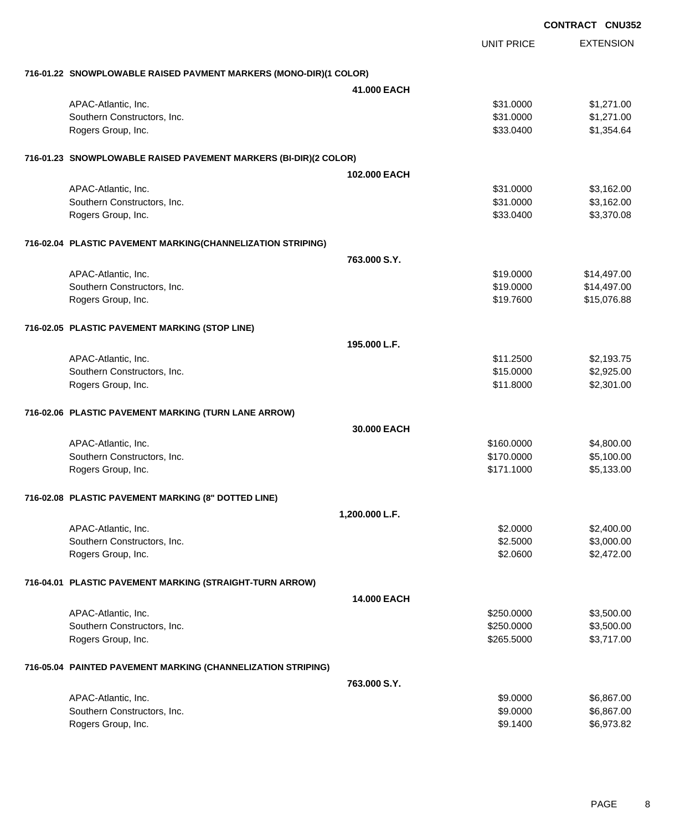|                                                                   |                    |                   | <b>CONTRACT CNU352</b> |                  |
|-------------------------------------------------------------------|--------------------|-------------------|------------------------|------------------|
|                                                                   |                    | <b>UNIT PRICE</b> |                        | <b>EXTENSION</b> |
| 716-01.22 SNOWPLOWABLE RAISED PAVMENT MARKERS (MONO-DIR)(1 COLOR) |                    |                   |                        |                  |
|                                                                   | 41.000 EACH        |                   |                        |                  |
| APAC-Atlantic, Inc.                                               |                    | \$31.0000         |                        | \$1,271.00       |
| Southern Constructors, Inc.                                       |                    | \$31.0000         |                        | \$1,271.00       |
| Rogers Group, Inc.                                                |                    | \$33.0400         |                        | \$1,354.64       |
| 716-01.23 SNOWPLOWABLE RAISED PAVEMENT MARKERS (BI-DIR)(2 COLOR)  |                    |                   |                        |                  |
|                                                                   | 102,000 EACH       |                   |                        |                  |
| APAC-Atlantic, Inc.                                               |                    | \$31.0000         |                        | \$3,162.00       |
| Southern Constructors, Inc.                                       |                    | \$31.0000         |                        | \$3,162.00       |
| Rogers Group, Inc.                                                |                    | \$33.0400         |                        | \$3,370.08       |
| 716-02.04 PLASTIC PAVEMENT MARKING(CHANNELIZATION STRIPING)       |                    |                   |                        |                  |
|                                                                   | 763,000 S.Y.       |                   |                        |                  |
| APAC-Atlantic, Inc.                                               |                    | \$19.0000         |                        | \$14,497.00      |
| Southern Constructors, Inc.                                       |                    | \$19.0000         |                        | \$14,497.00      |
| Rogers Group, Inc.                                                |                    | \$19.7600         |                        | \$15,076.88      |
| 716-02.05 PLASTIC PAVEMENT MARKING (STOP LINE)                    |                    |                   |                        |                  |
|                                                                   | 195,000 L.F.       |                   |                        |                  |
| APAC-Atlantic, Inc.                                               |                    | \$11.2500         |                        | \$2,193.75       |
| Southern Constructors, Inc.                                       |                    | \$15.0000         |                        | \$2,925.00       |
| Rogers Group, Inc.                                                |                    | \$11.8000         |                        | \$2,301.00       |
| 716-02.06 PLASTIC PAVEMENT MARKING (TURN LANE ARROW)              |                    |                   |                        |                  |
|                                                                   | 30,000 EACH        |                   |                        |                  |
| APAC-Atlantic, Inc.                                               |                    | \$160.0000        |                        | \$4,800.00       |
| Southern Constructors, Inc.                                       |                    | \$170.0000        |                        | \$5,100.00       |
| Rogers Group, Inc.                                                |                    | \$171.1000        |                        | \$5,133.00       |
| 716-02.08 PLASTIC PAVEMENT MARKING (8" DOTTED LINE)               |                    |                   |                        |                  |
|                                                                   | 1,200.000 L.F.     |                   |                        |                  |
| APAC-Atlantic, Inc.                                               |                    | \$2.0000          |                        | \$2,400.00       |
| Southern Constructors, Inc.                                       |                    | \$2.5000          |                        | \$3,000.00       |
| Rogers Group, Inc.                                                |                    | \$2.0600          |                        | \$2,472.00       |
| 716-04.01 PLASTIC PAVEMENT MARKING (STRAIGHT-TURN ARROW)          |                    |                   |                        |                  |
|                                                                   | <b>14.000 EACH</b> |                   |                        |                  |
| APAC-Atlantic, Inc.                                               |                    | \$250.0000        |                        | \$3,500.00       |
| Southern Constructors, Inc.                                       |                    | \$250.0000        |                        | \$3,500.00       |
| Rogers Group, Inc.                                                |                    | \$265.5000        |                        | \$3,717.00       |
| 716-05.04 PAINTED PAVEMENT MARKING (CHANNELIZATION STRIPING)      |                    |                   |                        |                  |
|                                                                   | 763,000 S.Y.       |                   |                        |                  |
| APAC-Atlantic, Inc.                                               |                    | \$9.0000          |                        | \$6,867.00       |
| Southern Constructors, Inc.                                       |                    | \$9.0000          |                        | \$6,867.00       |
| Rogers Group, Inc.                                                |                    | \$9.1400          |                        | \$6,973.82       |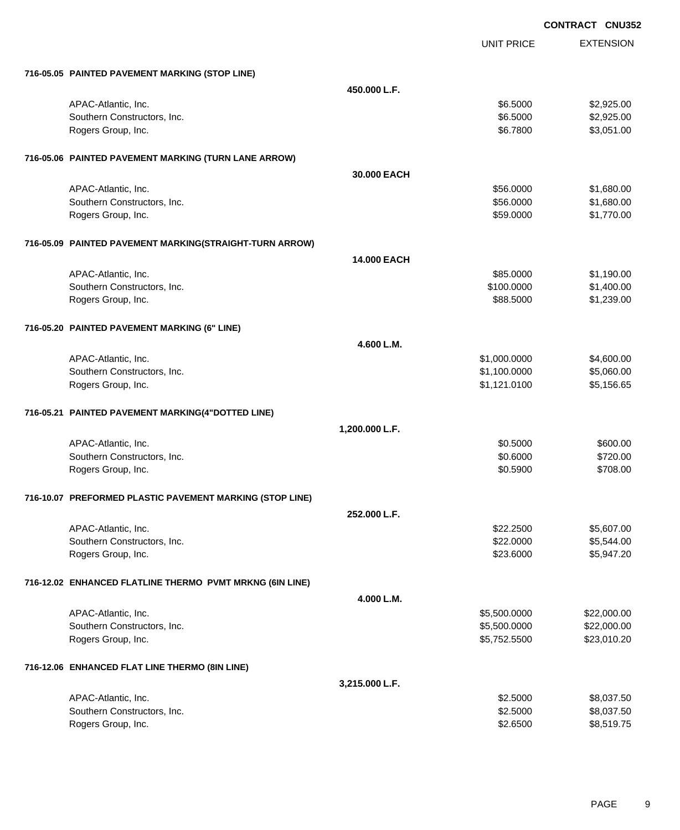|                                                          |                |                   | <b>CONTRACT CNU352</b> |
|----------------------------------------------------------|----------------|-------------------|------------------------|
|                                                          |                | <b>UNIT PRICE</b> | <b>EXTENSION</b>       |
|                                                          |                |                   |                        |
| 716-05.05 PAINTED PAVEMENT MARKING (STOP LINE)           | 450.000 L.F.   |                   |                        |
| APAC-Atlantic, Inc.                                      |                | \$6.5000          | \$2,925.00             |
| Southern Constructors, Inc.                              |                | \$6.5000          | \$2,925.00             |
| Rogers Group, Inc.                                       |                | \$6.7800          | \$3,051.00             |
|                                                          |                |                   |                        |
| 716-05.06 PAINTED PAVEMENT MARKING (TURN LANE ARROW)     |                |                   |                        |
|                                                          | 30,000 EACH    |                   |                        |
| APAC-Atlantic, Inc.                                      |                | \$56.0000         | \$1,680.00             |
| Southern Constructors, Inc.                              |                | \$56.0000         | \$1,680.00             |
| Rogers Group, Inc.                                       |                | \$59.0000         | \$1,770.00             |
| 716-05.09 PAINTED PAVEMENT MARKING(STRAIGHT-TURN ARROW)  |                |                   |                        |
|                                                          | 14.000 EACH    |                   |                        |
| APAC-Atlantic, Inc.                                      |                | \$85.0000         | \$1,190.00             |
| Southern Constructors, Inc.                              |                | \$100.0000        | \$1,400.00             |
| Rogers Group, Inc.                                       |                | \$88.5000         | \$1,239.00             |
|                                                          |                |                   |                        |
| 716-05.20 PAINTED PAVEMENT MARKING (6" LINE)             |                |                   |                        |
|                                                          | 4.600 L.M.     |                   |                        |
| APAC-Atlantic, Inc.                                      |                | \$1,000.0000      | \$4,600.00             |
| Southern Constructors, Inc.                              |                | \$1,100.0000      | \$5,060.00             |
| Rogers Group, Inc.                                       |                | \$1,121.0100      | \$5,156.65             |
| 716-05.21 PAINTED PAVEMENT MARKING(4"DOTTED LINE)        |                |                   |                        |
|                                                          | 1,200.000 L.F. |                   |                        |
| APAC-Atlantic, Inc.                                      |                | \$0.5000          | \$600.00               |
| Southern Constructors, Inc.                              |                | \$0.6000          | \$720.00               |
| Rogers Group, Inc.                                       |                | \$0.5900          | \$708.00               |
| 716-10.07 PREFORMED PLASTIC PAVEMENT MARKING (STOP LINE) |                |                   |                        |
|                                                          | 252.000 L.F.   |                   |                        |
| APAC-Atlantic, Inc.                                      |                | \$22.2500         | \$5,607.00             |
| Southern Constructors, Inc.                              |                | \$22.0000         | \$5,544.00             |
| Rogers Group, Inc.                                       |                | \$23.6000         | \$5,947.20             |
|                                                          |                |                   |                        |
| 716-12.02 ENHANCED FLATLINE THERMO PVMT MRKNG (6IN LINE) |                |                   |                        |
|                                                          | 4.000 L.M.     |                   |                        |
| APAC-Atlantic, Inc.                                      |                | \$5,500.0000      | \$22,000.00            |
| Southern Constructors, Inc.                              |                | \$5,500.0000      | \$22,000.00            |
| Rogers Group, Inc.                                       |                | \$5,752.5500      | \$23,010.20            |
| 716-12.06 ENHANCED FLAT LINE THERMO (8IN LINE)           |                |                   |                        |
|                                                          | 3,215.000 L.F. |                   |                        |
| APAC-Atlantic, Inc.                                      |                | \$2.5000          | \$8,037.50             |
| Southern Constructors, Inc.                              |                | \$2.5000          | \$8,037.50             |
| Rogers Group, Inc.                                       |                | \$2.6500          | \$8,519.75             |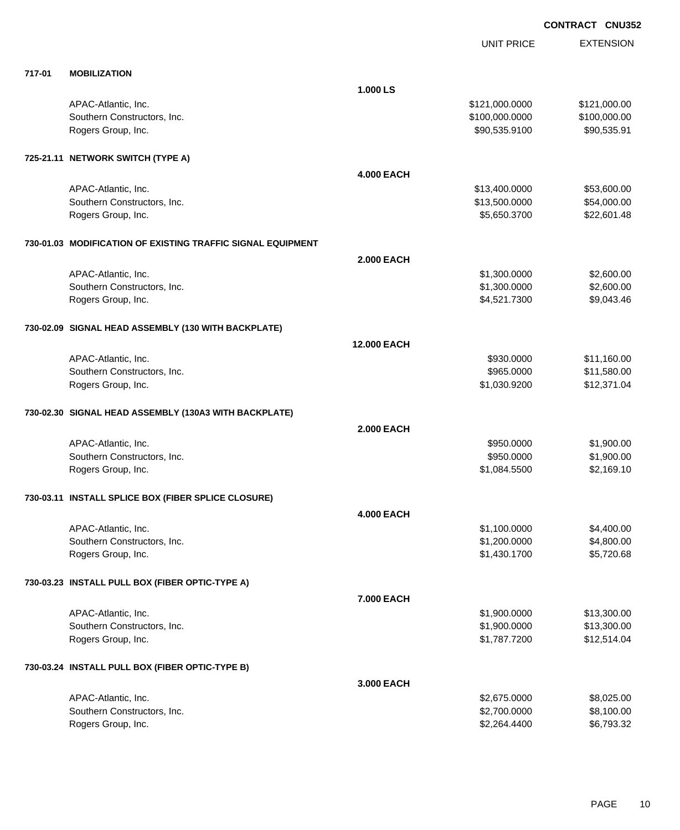|        |                                                             |                    | <b>UNIT PRICE</b> | <b>EXTENSION</b> |
|--------|-------------------------------------------------------------|--------------------|-------------------|------------------|
| 717-01 | <b>MOBILIZATION</b>                                         |                    |                   |                  |
|        |                                                             | 1.000 LS           |                   |                  |
|        | APAC-Atlantic, Inc.                                         |                    | \$121,000.0000    | \$121,000.00     |
|        | Southern Constructors, Inc.                                 |                    | \$100,000.0000    | \$100,000.00     |
|        | Rogers Group, Inc.                                          |                    | \$90,535.9100     | \$90,535.91      |
|        | 725-21.11 NETWORK SWITCH (TYPE A)                           |                    |                   |                  |
|        |                                                             | <b>4.000 EACH</b>  |                   |                  |
|        | APAC-Atlantic, Inc.                                         |                    | \$13,400.0000     | \$53,600.00      |
|        | Southern Constructors, Inc.                                 |                    | \$13,500.0000     | \$54,000.00      |
|        | Rogers Group, Inc.                                          |                    | \$5,650.3700      | \$22,601.48      |
|        | 730-01.03 MODIFICATION OF EXISTING TRAFFIC SIGNAL EQUIPMENT |                    |                   |                  |
|        |                                                             | <b>2.000 EACH</b>  |                   |                  |
|        | APAC-Atlantic, Inc.                                         |                    | \$1,300.0000      | \$2,600.00       |
|        | Southern Constructors, Inc.                                 |                    | \$1,300.0000      | \$2,600.00       |
|        | Rogers Group, Inc.                                          |                    | \$4,521.7300      | \$9,043.46       |
|        | 730-02.09 SIGNAL HEAD ASSEMBLY (130 WITH BACKPLATE)         |                    |                   |                  |
|        |                                                             | <b>12.000 EACH</b> |                   |                  |
|        | APAC-Atlantic, Inc.                                         |                    | \$930.0000        | \$11,160.00      |
|        | Southern Constructors, Inc.                                 |                    | \$965.0000        | \$11,580.00      |
|        | Rogers Group, Inc.                                          |                    | \$1,030.9200      | \$12,371.04      |
|        | 730-02.30 SIGNAL HEAD ASSEMBLY (130A3 WITH BACKPLATE)       |                    |                   |                  |
|        |                                                             | <b>2.000 EACH</b>  |                   |                  |
|        | APAC-Atlantic, Inc.                                         |                    | \$950.0000        | \$1,900.00       |
|        | Southern Constructors, Inc.                                 |                    | \$950.0000        | \$1,900.00       |
|        | Rogers Group, Inc.                                          |                    | \$1,084.5500      | \$2,169.10       |
|        | 730-03.11 INSTALL SPLICE BOX (FIBER SPLICE CLOSURE)         |                    |                   |                  |
|        |                                                             | <b>4.000 EACH</b>  |                   |                  |
|        | APAC-Atlantic, Inc.                                         |                    | \$1,100.0000      | \$4,400.00       |
|        | Southern Constructors, Inc.                                 |                    | \$1,200.0000      | \$4,800.00       |
|        | Rogers Group, Inc.                                          |                    | \$1,430.1700      | \$5,720.68       |
|        | 730-03.23 INSTALL PULL BOX (FIBER OPTIC-TYPE A)             |                    |                   |                  |
|        |                                                             | 7.000 EACH         |                   |                  |
|        | APAC-Atlantic, Inc.                                         |                    | \$1,900.0000      | \$13,300.00      |
|        | Southern Constructors, Inc.                                 |                    | \$1,900.0000      | \$13,300.00      |
|        | Rogers Group, Inc.                                          |                    | \$1,787.7200      | \$12,514.04      |
|        | 730-03.24 INSTALL PULL BOX (FIBER OPTIC-TYPE B)             |                    |                   |                  |
|        |                                                             | 3.000 EACH         |                   |                  |
|        | APAC-Atlantic, Inc.                                         |                    | \$2,675.0000      | \$8,025.00       |
|        | Southern Constructors, Inc.                                 |                    | \$2,700.0000      | \$8,100.00       |
|        | Rogers Group, Inc.                                          |                    | \$2,264.4400      | \$6,793.32       |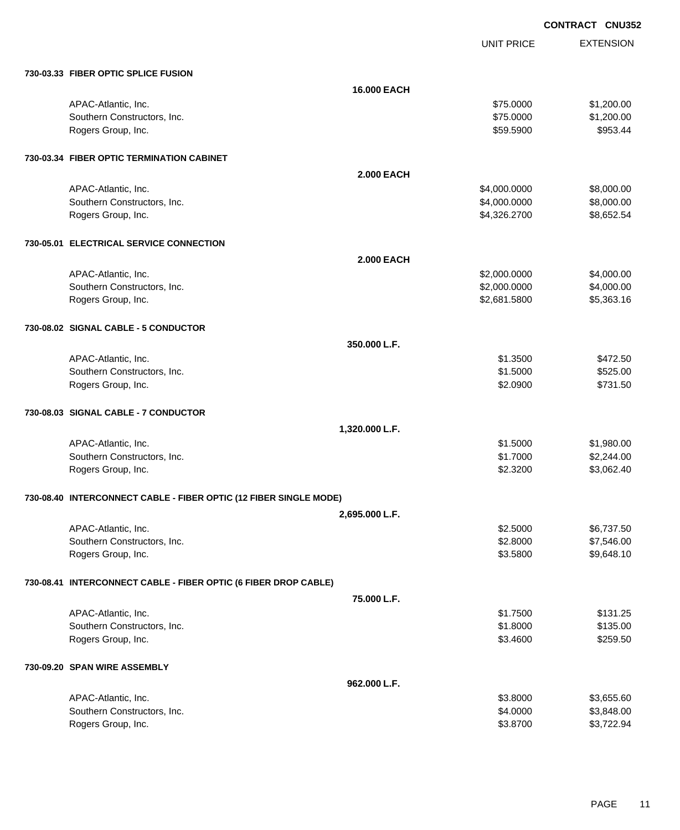UNIT PRICE EXTENSION

| 730-03.33 FIBER OPTIC SPLICE FUSION                               |                    |              |            |
|-------------------------------------------------------------------|--------------------|--------------|------------|
|                                                                   | <b>16.000 EACH</b> |              |            |
| APAC-Atlantic, Inc.                                               |                    | \$75.0000    | \$1,200.00 |
| Southern Constructors, Inc.                                       |                    | \$75.0000    | \$1,200.00 |
| Rogers Group, Inc.                                                |                    | \$59.5900    | \$953.44   |
| 730-03.34 FIBER OPTIC TERMINATION CABINET                         |                    |              |            |
|                                                                   | <b>2.000 EACH</b>  |              |            |
| APAC-Atlantic, Inc.                                               |                    | \$4,000.0000 | \$8,000.00 |
| Southern Constructors, Inc.                                       |                    | \$4,000.0000 | \$8,000.00 |
| Rogers Group, Inc.                                                |                    | \$4,326.2700 | \$8,652.54 |
| 730-05.01 ELECTRICAL SERVICE CONNECTION                           |                    |              |            |
|                                                                   | <b>2.000 EACH</b>  |              |            |
| APAC-Atlantic, Inc.                                               |                    | \$2,000.0000 | \$4,000.00 |
| Southern Constructors, Inc.                                       |                    | \$2,000.0000 | \$4,000.00 |
| Rogers Group, Inc.                                                |                    | \$2,681.5800 | \$5,363.16 |
| 730-08.02 SIGNAL CABLE - 5 CONDUCTOR                              |                    |              |            |
|                                                                   | 350.000 L.F.       |              |            |
| APAC-Atlantic, Inc.                                               |                    | \$1.3500     | \$472.50   |
| Southern Constructors, Inc.                                       |                    | \$1.5000     | \$525.00   |
| Rogers Group, Inc.                                                |                    | \$2.0900     | \$731.50   |
| 730-08.03 SIGNAL CABLE - 7 CONDUCTOR                              |                    |              |            |
|                                                                   | 1,320.000 L.F.     |              |            |
| APAC-Atlantic, Inc.                                               |                    | \$1.5000     | \$1,980.00 |
| Southern Constructors, Inc.                                       |                    | \$1.7000     | \$2,244.00 |
| Rogers Group, Inc.                                                |                    | \$2.3200     | \$3,062.40 |
| 730-08.40 INTERCONNECT CABLE - FIBER OPTIC (12 FIBER SINGLE MODE) |                    |              |            |
|                                                                   | 2,695.000 L.F.     |              |            |
| APAC-Atlantic, Inc.                                               |                    | \$2.5000     | \$6,737.50 |
| Southern Constructors, Inc.                                       |                    | \$2.8000     | \$7,546.00 |
| Rogers Group, Inc.                                                |                    | \$3.5800     | \$9,648.10 |
| 730-08.41 INTERCONNECT CABLE - FIBER OPTIC (6 FIBER DROP CABLE)   |                    |              |            |
|                                                                   | 75.000 L.F.        |              |            |
| APAC-Atlantic, Inc.                                               |                    | \$1.7500     | \$131.25   |
| Southern Constructors, Inc.                                       |                    | \$1.8000     | \$135.00   |
| Rogers Group, Inc.                                                |                    | \$3.4600     | \$259.50   |
| 730-09.20 SPAN WIRE ASSEMBLY                                      |                    |              |            |
|                                                                   | 962.000 L.F.       |              |            |
| APAC-Atlantic, Inc.                                               |                    | \$3.8000     | \$3,655.60 |
| Southern Constructors, Inc.                                       |                    | \$4.0000     | \$3,848.00 |
| Rogers Group, Inc.                                                |                    | \$3.8700     | \$3,722.94 |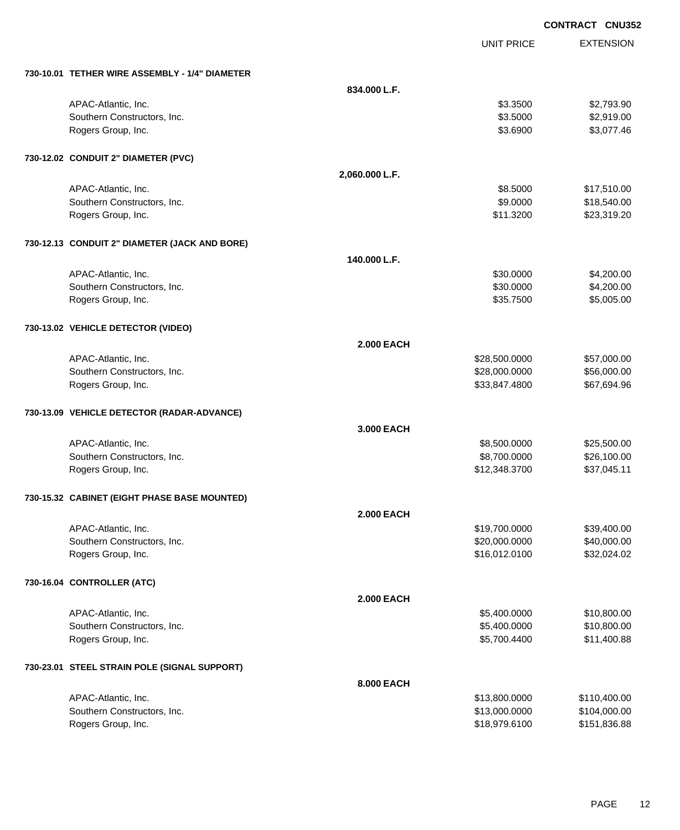|                                                |                   |                   | <b>CONTRACT CNU352</b> |
|------------------------------------------------|-------------------|-------------------|------------------------|
|                                                |                   | <b>UNIT PRICE</b> | <b>EXTENSION</b>       |
| 730-10.01 TETHER WIRE ASSEMBLY - 1/4" DIAMETER |                   |                   |                        |
|                                                | 834.000 L.F.      |                   |                        |
| APAC-Atlantic, Inc.                            |                   | \$3.3500          | \$2,793.90             |
| Southern Constructors, Inc.                    |                   | \$3.5000          | \$2,919.00             |
| Rogers Group, Inc.                             |                   | \$3.6900          | \$3,077.46             |
| 730-12.02 CONDUIT 2" DIAMETER (PVC)            |                   |                   |                        |
|                                                | 2,060.000 L.F.    |                   |                        |
| APAC-Atlantic, Inc.                            |                   | \$8.5000          | \$17,510.00            |
| Southern Constructors, Inc.                    |                   | \$9.0000          | \$18,540.00            |
| Rogers Group, Inc.                             |                   | \$11.3200         | \$23,319.20            |
| 730-12.13 CONDUIT 2" DIAMETER (JACK AND BORE)  |                   |                   |                        |
|                                                | 140.000 L.F.      |                   |                        |
| APAC-Atlantic, Inc.                            |                   | \$30.0000         | \$4,200.00             |
| Southern Constructors, Inc.                    |                   | \$30.0000         | \$4,200.00             |
| Rogers Group, Inc.                             |                   | \$35.7500         | \$5,005.00             |
| 730-13.02 VEHICLE DETECTOR (VIDEO)             |                   |                   |                        |
|                                                | <b>2.000 EACH</b> |                   |                        |
| APAC-Atlantic, Inc.                            |                   | \$28,500.0000     | \$57,000.00            |
| Southern Constructors, Inc.                    |                   | \$28,000.0000     | \$56,000.00            |
| Rogers Group, Inc.                             |                   | \$33,847.4800     | \$67,694.96            |
| 730-13.09 VEHICLE DETECTOR (RADAR-ADVANCE)     |                   |                   |                        |
|                                                | 3.000 EACH        |                   |                        |
| APAC-Atlantic, Inc.                            |                   | \$8,500.0000      | \$25,500.00            |
| Southern Constructors, Inc.                    |                   | \$8,700.0000      | \$26,100.00            |
| Rogers Group, Inc.                             |                   | \$12,348.3700     | \$37,045.11            |
| 730-15.32 CABINET (EIGHT PHASE BASE MOUNTED)   |                   |                   |                        |
|                                                | <b>2.000 EACH</b> |                   |                        |
| APAC-Atlantic, Inc.                            |                   | \$19,700.0000     | \$39,400.00            |
| Southern Constructors, Inc.                    |                   | \$20,000.0000     | \$40,000.00            |
| Rogers Group, Inc.                             |                   | \$16,012.0100     | \$32,024.02            |
| 730-16.04 CONTROLLER (ATC)                     |                   |                   |                        |
|                                                | <b>2.000 EACH</b> |                   |                        |
| APAC-Atlantic, Inc.                            |                   | \$5,400.0000      | \$10,800.00            |
| Southern Constructors, Inc.                    |                   | \$5,400.0000      | \$10,800.00            |
| Rogers Group, Inc.                             |                   | \$5,700.4400      | \$11,400.88            |
| 730-23.01 STEEL STRAIN POLE (SIGNAL SUPPORT)   |                   |                   |                        |
|                                                | 8.000 EACH        |                   |                        |
| APAC-Atlantic, Inc.                            |                   | \$13,800.0000     | \$110,400.00           |
| Southern Constructors, Inc.                    |                   | \$13,000.0000     | \$104,000.00           |
| Rogers Group, Inc.                             |                   | \$18,979.6100     | \$151,836.88           |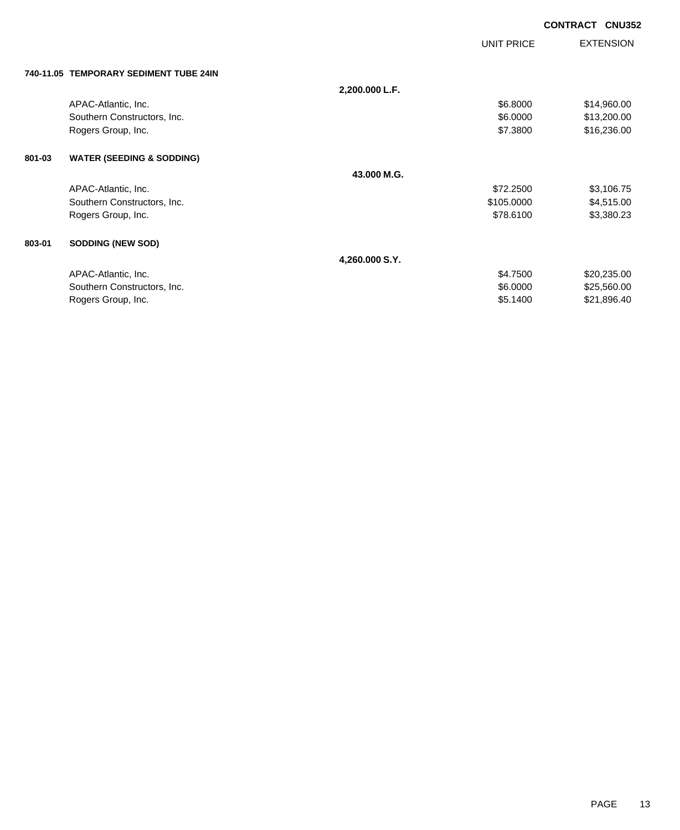|        |                                        |                |            | <b>CONTRACT</b><br><b>CNU352</b> |
|--------|----------------------------------------|----------------|------------|----------------------------------|
|        |                                        |                | UNIT PRICE | <b>EXTENSION</b>                 |
|        | 740-11.05 TEMPORARY SEDIMENT TUBE 24IN |                |            |                                  |
|        |                                        | 2,200.000 L.F. |            |                                  |
|        | APAC-Atlantic, Inc.                    |                | \$6.8000   | \$14,960.00                      |
|        | Southern Constructors, Inc.            |                | \$6.0000   | \$13,200.00                      |
|        | Rogers Group, Inc.                     |                | \$7.3800   | \$16,236.00                      |
| 801-03 | <b>WATER (SEEDING &amp; SODDING)</b>   |                |            |                                  |
|        |                                        | 43.000 M.G.    |            |                                  |
|        | APAC-Atlantic, Inc.                    |                | \$72.2500  | \$3,106.75                       |
|        | Southern Constructors, Inc.            |                | \$105.0000 | \$4,515.00                       |
|        | Rogers Group, Inc.                     |                | \$78.6100  | \$3,380.23                       |
| 803-01 | <b>SODDING (NEW SOD)</b>               |                |            |                                  |
|        |                                        | 4,260.000 S.Y. |            |                                  |
|        | APAC-Atlantic, Inc.                    |                | \$4.7500   | \$20,235.00                      |
|        | Southern Constructors, Inc.            |                | \$6.0000   | \$25,560.00                      |
|        | Rogers Group, Inc.                     |                | \$5.1400   | \$21,896.40                      |
|        |                                        |                |            |                                  |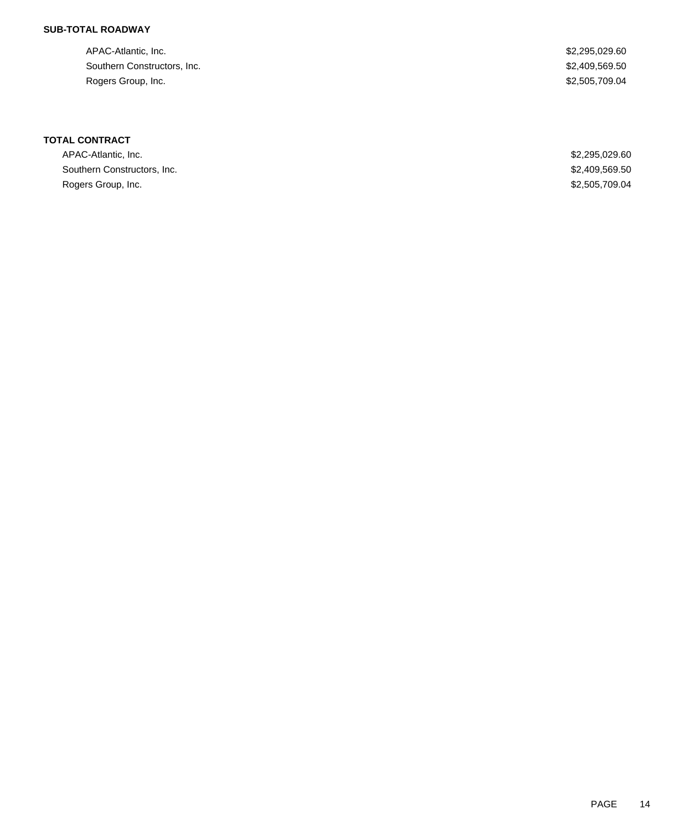### **SUB-TOTAL ROADWAY**

APAC-Atlantic, Inc. \$2,295,029.60 Southern Constructors, Inc. 62,409,569.50 Rogers Group, Inc. \$2,505,709.04

# **TOTAL CONTRACT**

| APAC-Atlantic, Inc.         | \$2,295,029.60 |
|-----------------------------|----------------|
| Southern Constructors, Inc. | \$2,409,569.50 |
| Rogers Group, Inc.          | \$2,505,709.04 |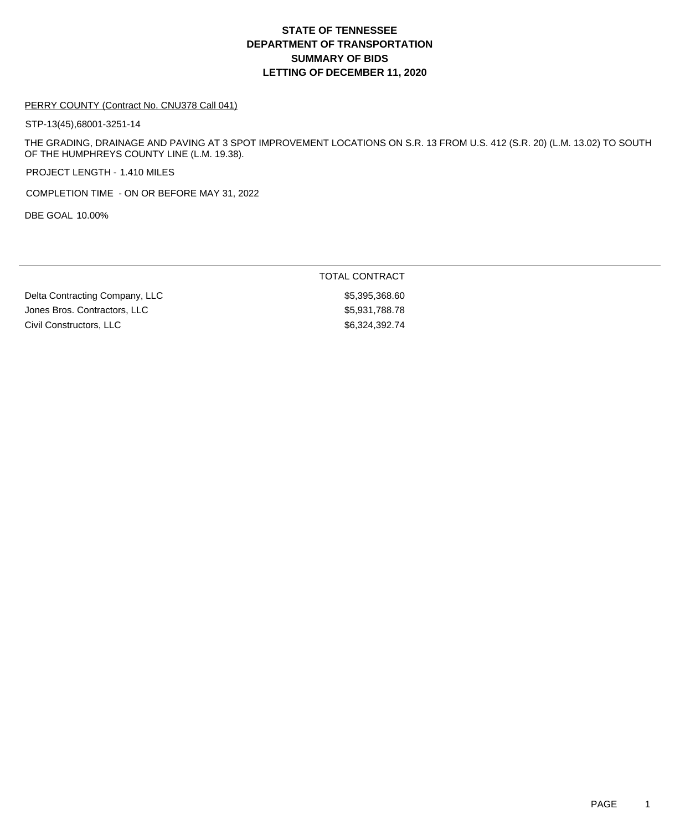# **DEPARTMENT OF TRANSPORTATION SUMMARY OF BIDS LETTING OF DECEMBER 11, 2020 STATE OF TENNESSEE**

#### PERRY COUNTY (Contract No. CNU378 Call 041)

STP-13(45),68001-3251-14

THE GRADING, DRAINAGE AND PAVING AT 3 SPOT IMPROVEMENT LOCATIONS ON S.R. 13 FROM U.S. 412 (S.R. 20) (L.M. 13.02) TO SOUTH OF THE HUMPHREYS COUNTY LINE (L.M. 19.38).

PROJECT LENGTH - 1.410 MILES

COMPLETION TIME - ON OR BEFORE MAY 31, 2022

DBE GOAL 10.00%

TOTAL CONTRACT

Delta Contracting Company, LLC \$5,395,368.60 Jones Bros. Contractors, LLC \$5,931,788.78 Civil Constructors, LLC \$6,324,392.74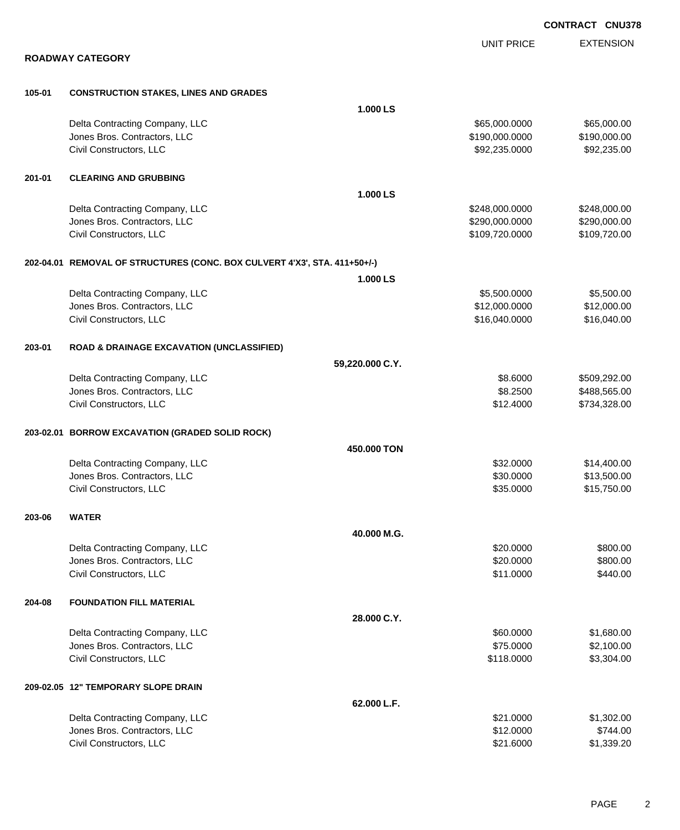|        |                                                                           |                 |                   | <b>CONTRACT CNU378</b> |
|--------|---------------------------------------------------------------------------|-----------------|-------------------|------------------------|
|        |                                                                           |                 | <b>UNIT PRICE</b> | <b>EXTENSION</b>       |
|        | <b>ROADWAY CATEGORY</b>                                                   |                 |                   |                        |
| 105-01 | <b>CONSTRUCTION STAKES, LINES AND GRADES</b>                              |                 |                   |                        |
|        |                                                                           | 1.000 LS        |                   |                        |
|        | Delta Contracting Company, LLC                                            |                 | \$65,000.0000     | \$65,000.00            |
|        | Jones Bros. Contractors, LLC                                              |                 | \$190,000.0000    | \$190,000.00           |
|        | Civil Constructors, LLC                                                   |                 | \$92,235.0000     | \$92,235.00            |
| 201-01 | <b>CLEARING AND GRUBBING</b>                                              |                 |                   |                        |
|        |                                                                           | 1.000 LS        |                   |                        |
|        | Delta Contracting Company, LLC                                            |                 | \$248,000.0000    | \$248,000.00           |
|        | Jones Bros. Contractors, LLC                                              |                 | \$290,000.0000    | \$290,000.00           |
|        | Civil Constructors, LLC                                                   |                 | \$109,720.0000    | \$109,720.00           |
|        | 202-04.01 REMOVAL OF STRUCTURES (CONC. BOX CULVERT 4'X3', STA. 411+50+/-) |                 |                   |                        |
|        |                                                                           | 1.000 LS        |                   |                        |
|        | Delta Contracting Company, LLC                                            |                 | \$5,500.0000      | \$5,500.00             |
|        | Jones Bros. Contractors, LLC                                              |                 | \$12,000.0000     | \$12,000.00            |
|        | Civil Constructors, LLC                                                   |                 | \$16,040.0000     | \$16,040.00            |
| 203-01 | <b>ROAD &amp; DRAINAGE EXCAVATION (UNCLASSIFIED)</b>                      |                 |                   |                        |
|        |                                                                           | 59,220.000 C.Y. |                   |                        |
|        | Delta Contracting Company, LLC                                            |                 | \$8.6000          | \$509,292.00           |
|        | Jones Bros. Contractors, LLC                                              |                 | \$8.2500          | \$488,565.00           |
|        | Civil Constructors, LLC                                                   |                 | \$12.4000         | \$734,328.00           |
|        | 203-02.01 BORROW EXCAVATION (GRADED SOLID ROCK)                           |                 |                   |                        |
|        |                                                                           | 450.000 TON     |                   |                        |
|        | Delta Contracting Company, LLC                                            |                 | \$32.0000         | \$14,400.00            |
|        | Jones Bros. Contractors, LLC                                              |                 | \$30.0000         | \$13,500.00            |
|        | Civil Constructors, LLC                                                   |                 | \$35.0000         | \$15,750.00            |
| 203-06 | <b>WATER</b>                                                              |                 |                   |                        |
|        |                                                                           | 40.000 M.G.     |                   |                        |
|        | Delta Contracting Company, LLC                                            |                 | \$20.0000         | \$800.00               |
|        | Jones Bros. Contractors, LLC                                              |                 | \$20.0000         | \$800.00               |
|        | Civil Constructors, LLC                                                   |                 | \$11.0000         | \$440.00               |
| 204-08 | <b>FOUNDATION FILL MATERIAL</b>                                           |                 |                   |                        |
|        |                                                                           | 28.000 C.Y.     |                   |                        |
|        | Delta Contracting Company, LLC                                            |                 | \$60.0000         | \$1,680.00             |
|        | Jones Bros. Contractors, LLC                                              |                 | \$75.0000         | \$2,100.00             |
|        | Civil Constructors, LLC                                                   |                 | \$118.0000        | \$3,304.00             |
|        | 209-02.05 12" TEMPORARY SLOPE DRAIN                                       |                 |                   |                        |
|        |                                                                           | 62.000 L.F.     |                   |                        |
|        | Delta Contracting Company, LLC                                            |                 | \$21.0000         | \$1,302.00             |
|        | Jones Bros. Contractors, LLC                                              |                 | \$12.0000         | \$744.00               |
|        | Civil Constructors, LLC                                                   |                 | \$21.6000         | \$1,339.20             |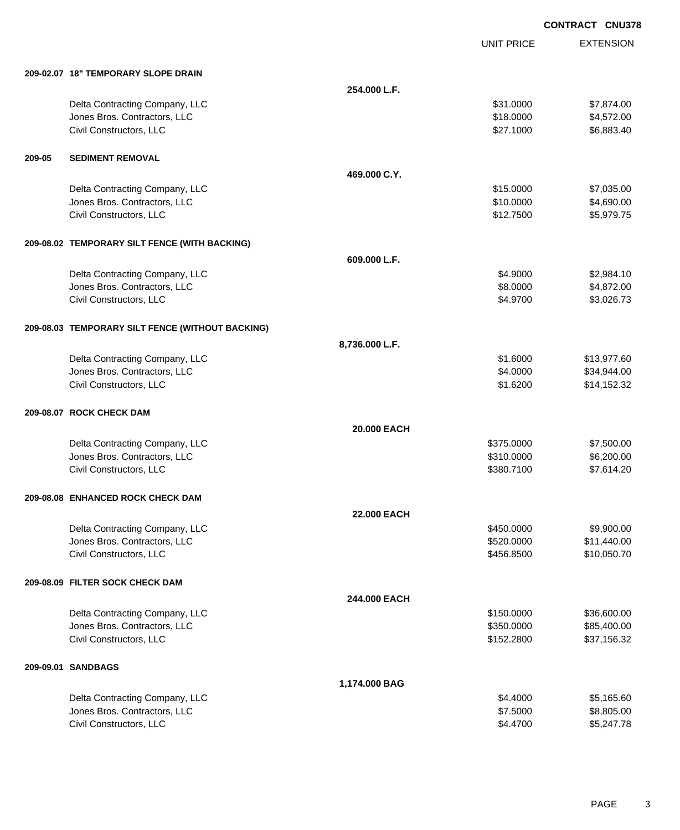EXTENSION **CONTRACT CNU378** UNIT PRICE **209-02.07 18" TEMPORARY SLOPE DRAIN 254.000 L.F.** Delta Contracting Company, LLC 631.0000 \$7,874.00 Jones Bros. Contractors, LLC \$18.0000 \$4,572.00 Civil Constructors, LLC 6,883.40 **209-05 SEDIMENT REMOVAL 469.000 C.Y.** Delta Contracting Company, LLC 61 and the contracting Company, LLC 615.0000 \$7,035.00 Jones Bros. Contractors, LLC \$10.0000 \$4,690.00 Civil Constructors, LLC 65,979.75 **209-08.02 TEMPORARY SILT FENCE (WITH BACKING) 609.000 L.F.** Delta Contracting Company, LLC **64.9000** \$2,984.10 Jones Bros. Contractors, LLC \$8.0000 \$4,872.00 Civil Constructors, LLC 63,026.73 **209-08.03 TEMPORARY SILT FENCE (WITHOUT BACKING) 8,736.000 L.F.** Delta Contracting Company, LLC **61.6000** \$13,977.60 Jones Bros. Contractors, LLC \$4.0000 \$34,944.00 Civil Constructors, LLC 61.6200 \$14,152.32 **209-08.07 ROCK CHECK DAM 20.000 EACH** Delta Contracting Company, LLC \$375.0000 \$7,500.00 Jones Bros. Contractors, LLC \$310.0000 \$6,200.00 Civil Constructors, LLC 67,614.20 **209-08.08 ENHANCED ROCK CHECK DAM 22.000 EACH** Delta Contracting Company, LLC **Contraction Contraction Contraction** Contraction Contraction Contraction Contraction Contraction Contraction Contraction Contraction Contraction Contraction Contraction Contraction Contracti Jones Bros. Contractors, LLC \$520.0000 \$11,440.00 Civil Constructors, LLC 610,050.70 **209-08.09 FILTER SOCK CHECK DAM 244.000 EACH** Delta Contracting Company, LLC 6. The contraction of the state of the state of the state of the state of the state of the state of the state of the state of the state of the state of the state of the state of the state of Jones Bros. Contractors, LLC \$350.0000 \$85,400.00 Civil Constructors, LLC 637,156.32 **209-09.01 SANDBAGS 1,174.000 BAG**

| Delta Contracting Company, LLC | \$4,4000 | \$5.165.60 |
|--------------------------------|----------|------------|
| Jones Bros. Contractors, LLC   | \$7,5000 | \$8,805.00 |
| Civil Constructors. LLC        | \$4,4700 | \$5,247.78 |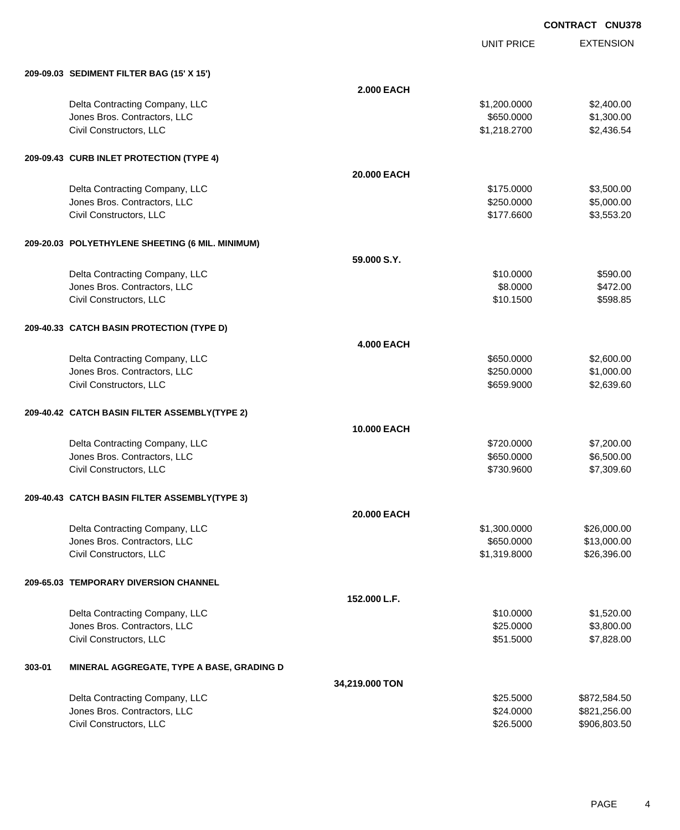UNIT PRICE EXTENSION

| 209-09.03 SEDIMENT FILTER BAG (15' X 15') |  |
|-------------------------------------------|--|

|        | 209-09.03 SEDIMENT FILTER BAG (15' X 15')        |                   |              |              |
|--------|--------------------------------------------------|-------------------|--------------|--------------|
|        |                                                  | <b>2.000 EACH</b> |              |              |
|        | Delta Contracting Company, LLC                   |                   | \$1,200.0000 | \$2,400.00   |
|        | Jones Bros. Contractors, LLC                     |                   | \$650.0000   | \$1,300.00   |
|        | Civil Constructors, LLC                          |                   | \$1,218.2700 | \$2,436.54   |
|        | 209-09.43 CURB INLET PROTECTION (TYPE 4)         |                   |              |              |
|        |                                                  | 20.000 EACH       |              |              |
|        | Delta Contracting Company, LLC                   |                   | \$175.0000   | \$3,500.00   |
|        | Jones Bros. Contractors, LLC                     |                   | \$250.0000   | \$5,000.00   |
|        | Civil Constructors, LLC                          |                   | \$177.6600   | \$3,553.20   |
|        | 209-20.03 POLYETHYLENE SHEETING (6 MIL. MINIMUM) |                   |              |              |
|        |                                                  | 59.000 S.Y.       |              |              |
|        | Delta Contracting Company, LLC                   |                   | \$10.0000    | \$590.00     |
|        | Jones Bros. Contractors, LLC                     |                   | \$8.0000     | \$472.00     |
|        | Civil Constructors, LLC                          |                   | \$10.1500    | \$598.85     |
|        | 209-40.33 CATCH BASIN PROTECTION (TYPE D)        |                   |              |              |
|        |                                                  | <b>4.000 EACH</b> |              |              |
|        | Delta Contracting Company, LLC                   |                   | \$650.0000   | \$2,600.00   |
|        | Jones Bros. Contractors, LLC                     |                   | \$250.0000   | \$1,000.00   |
|        | Civil Constructors, LLC                          |                   | \$659.9000   | \$2,639.60   |
|        | 209-40.42 CATCH BASIN FILTER ASSEMBLY(TYPE 2)    |                   |              |              |
|        |                                                  | 10.000 EACH       |              |              |
|        | Delta Contracting Company, LLC                   |                   | \$720.0000   | \$7,200.00   |
|        | Jones Bros. Contractors, LLC                     |                   | \$650.0000   | \$6,500.00   |
|        | Civil Constructors, LLC                          |                   | \$730.9600   | \$7,309.60   |
|        | 209-40.43 CATCH BASIN FILTER ASSEMBLY(TYPE 3)    |                   |              |              |
|        |                                                  | 20.000 EACH       |              |              |
|        | Delta Contracting Company, LLC                   |                   | \$1,300.0000 | \$26,000.00  |
|        | Jones Bros. Contractors, LLC                     |                   | \$650.0000   | \$13,000.00  |
|        | Civil Constructors, LLC                          |                   | \$1,319.8000 | \$26,396.00  |
|        | 209-65.03 TEMPORARY DIVERSION CHANNEL            |                   |              |              |
|        |                                                  | 152.000 L.F.      |              |              |
|        | Delta Contracting Company, LLC                   |                   | \$10.0000    | \$1,520.00   |
|        | Jones Bros. Contractors, LLC                     |                   | \$25.0000    | \$3,800.00   |
|        | Civil Constructors, LLC                          |                   | \$51.5000    | \$7,828.00   |
| 303-01 | MINERAL AGGREGATE, TYPE A BASE, GRADING D        |                   |              |              |
|        |                                                  | 34,219.000 TON    |              |              |
|        | Delta Contracting Company, LLC                   |                   | \$25.5000    | \$872,584.50 |
|        | Jones Bros. Contractors, LLC                     |                   | \$24.0000    | \$821,256.00 |
|        | Civil Constructors, LLC                          |                   | \$26.5000    | \$906,803.50 |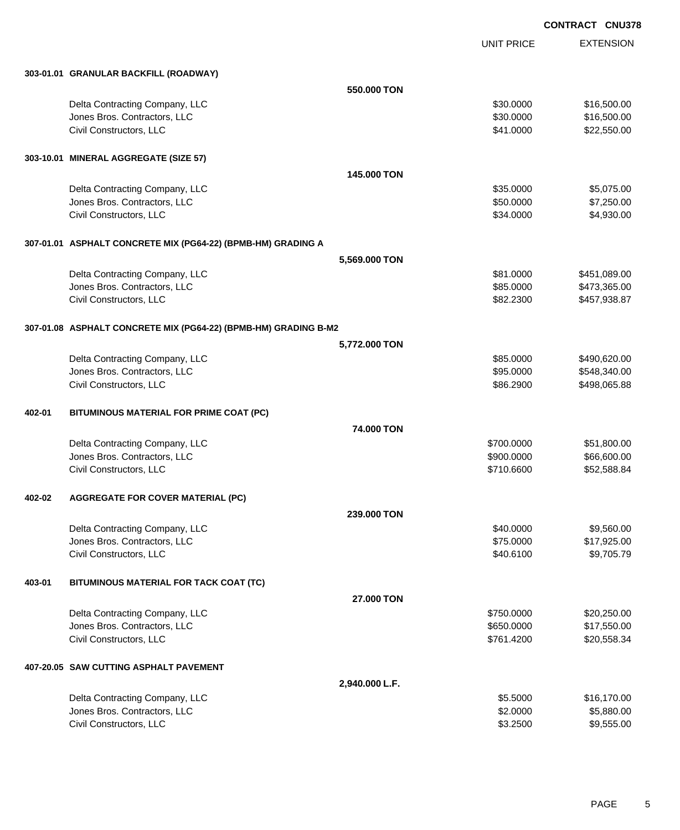UNIT PRICE EXTENSION

|        | 303-01.01 GRANULAR BACKFILL (ROADWAY)                           |                    |            |              |
|--------|-----------------------------------------------------------------|--------------------|------------|--------------|
|        |                                                                 | 550,000 TON        |            |              |
|        | Delta Contracting Company, LLC                                  |                    | \$30.0000  | \$16,500.00  |
|        | Jones Bros. Contractors, LLC                                    |                    | \$30.0000  | \$16,500.00  |
|        | Civil Constructors, LLC                                         |                    | \$41.0000  | \$22,550.00  |
|        |                                                                 |                    |            |              |
|        | 303-10.01 MINERAL AGGREGATE (SIZE 57)                           |                    |            |              |
|        |                                                                 | 145,000 TON        |            |              |
|        | Delta Contracting Company, LLC                                  |                    | \$35.0000  | \$5,075.00   |
|        | Jones Bros. Contractors, LLC                                    |                    | \$50.0000  | \$7,250.00   |
|        | Civil Constructors, LLC                                         |                    | \$34.0000  | \$4,930.00   |
|        | 307-01.01 ASPHALT CONCRETE MIX (PG64-22) (BPMB-HM) GRADING A    |                    |            |              |
|        |                                                                 | 5,569.000 TON      |            |              |
|        | Delta Contracting Company, LLC                                  |                    | \$81.0000  | \$451,089.00 |
|        | Jones Bros. Contractors, LLC                                    |                    | \$85.0000  | \$473,365.00 |
|        | Civil Constructors, LLC                                         |                    | \$82.2300  | \$457,938.87 |
|        | 307-01.08 ASPHALT CONCRETE MIX (PG64-22) (BPMB-HM) GRADING B-M2 |                    |            |              |
|        |                                                                 | 5,772.000 TON      |            |              |
|        | Delta Contracting Company, LLC                                  |                    | \$85.0000  | \$490,620.00 |
|        | Jones Bros. Contractors, LLC                                    |                    | \$95.0000  | \$548,340.00 |
|        | Civil Constructors, LLC                                         |                    | \$86.2900  | \$498,065.88 |
| 402-01 | BITUMINOUS MATERIAL FOR PRIME COAT (PC)                         |                    |            |              |
|        |                                                                 | 74.000 TON         |            |              |
|        | Delta Contracting Company, LLC                                  |                    | \$700.0000 | \$51,800.00  |
|        | Jones Bros. Contractors, LLC                                    |                    | \$900.0000 | \$66,600.00  |
|        | Civil Constructors, LLC                                         |                    | \$710.6600 | \$52,588.84  |
|        |                                                                 |                    |            |              |
| 402-02 | <b>AGGREGATE FOR COVER MATERIAL (PC)</b>                        |                    |            |              |
|        |                                                                 | <b>239,000 TON</b> |            |              |
|        | Delta Contracting Company, LLC                                  |                    | \$40.0000  | \$9,560.00   |
|        | Jones Bros. Contractors, LLC                                    |                    | \$75.0000  | \$17,925.00  |
|        | Civil Constructors, LLC                                         |                    | \$40.6100  | \$9,705.79   |
| 403-01 | BITUMINOUS MATERIAL FOR TACK COAT (TC)                          |                    |            |              |
|        |                                                                 | 27.000 TON         |            |              |
|        | Delta Contracting Company, LLC                                  |                    | \$750.0000 | \$20,250.00  |
|        | Jones Bros. Contractors, LLC                                    |                    | \$650.0000 | \$17,550.00  |
|        | Civil Constructors, LLC                                         |                    | \$761.4200 | \$20,558.34  |
|        | 407-20.05 SAW CUTTING ASPHALT PAVEMENT                          |                    |            |              |
|        |                                                                 | 2,940.000 L.F.     |            |              |
|        | Delta Contracting Company, LLC                                  |                    | \$5.5000   | \$16,170.00  |
|        | Jones Bros. Contractors, LLC                                    |                    | \$2.0000   | \$5,880.00   |
|        | Civil Constructors, LLC                                         |                    | \$3.2500   | \$9,555.00   |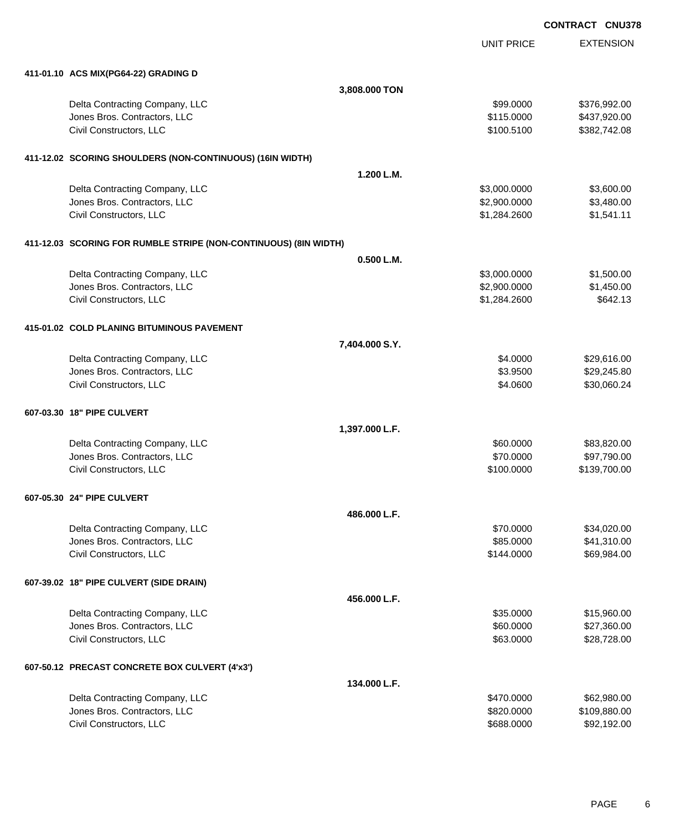UNIT PRICE

| 411-01.10 ACS MIX(PG64-22) GRADING D                             |                |              |              |
|------------------------------------------------------------------|----------------|--------------|--------------|
|                                                                  | 3,808.000 TON  |              |              |
| Delta Contracting Company, LLC                                   |                | \$99.0000    | \$376,992.00 |
| Jones Bros. Contractors, LLC                                     |                | \$115.0000   | \$437,920.00 |
| Civil Constructors, LLC                                          |                | \$100.5100   | \$382,742.08 |
| 411-12.02 SCORING SHOULDERS (NON-CONTINUOUS) (16IN WIDTH)        |                |              |              |
|                                                                  | 1.200 L.M.     |              |              |
| Delta Contracting Company, LLC                                   |                | \$3,000.0000 | \$3,600.00   |
| Jones Bros. Contractors, LLC                                     |                | \$2,900.0000 | \$3,480.00   |
| Civil Constructors, LLC                                          |                | \$1,284.2600 | \$1,541.11   |
| 411-12.03 SCORING FOR RUMBLE STRIPE (NON-CONTINUOUS) (8IN WIDTH) |                |              |              |
|                                                                  | 0.500 L.M.     |              |              |
| Delta Contracting Company, LLC                                   |                | \$3,000.0000 | \$1,500.00   |
| Jones Bros. Contractors, LLC                                     |                | \$2,900.0000 | \$1,450.00   |
| Civil Constructors, LLC                                          |                | \$1,284.2600 | \$642.13     |
| 415-01.02 COLD PLANING BITUMINOUS PAVEMENT                       |                |              |              |
|                                                                  | 7,404.000 S.Y. |              |              |
| Delta Contracting Company, LLC                                   |                | \$4.0000     | \$29,616.00  |
| Jones Bros. Contractors, LLC                                     |                | \$3.9500     | \$29,245.80  |
| Civil Constructors, LLC                                          |                | \$4.0600     | \$30,060.24  |
| 607-03.30 18" PIPE CULVERT                                       |                |              |              |
|                                                                  | 1,397.000 L.F. |              |              |
| Delta Contracting Company, LLC                                   |                | \$60.0000    | \$83,820.00  |
| Jones Bros. Contractors, LLC                                     |                | \$70.0000    | \$97,790.00  |
| Civil Constructors, LLC                                          |                | \$100.0000   | \$139,700.00 |
| 607-05.30 24" PIPE CULVERT                                       |                |              |              |
|                                                                  | 486.000 L.F.   |              |              |
| Delta Contracting Company, LLC                                   |                | \$70,0000    | \$34,020.00  |
| Jones Bros. Contractors, LLC                                     |                | \$85.0000    | \$41,310.00  |
| Civil Constructors, LLC                                          |                | \$144.0000   | \$69,984.00  |
| 607-39.02 18" PIPE CULVERT (SIDE DRAIN)                          |                |              |              |
|                                                                  | 456.000 L.F.   |              |              |
| Delta Contracting Company, LLC                                   |                | \$35.0000    | \$15,960.00  |
| Jones Bros. Contractors, LLC                                     |                | \$60.0000    | \$27,360.00  |
| Civil Constructors, LLC                                          |                | \$63.0000    | \$28,728.00  |
| 607-50.12 PRECAST CONCRETE BOX CULVERT (4'x3')                   |                |              |              |
|                                                                  | 134.000 L.F.   |              |              |
| Delta Contracting Company, LLC                                   |                | \$470.0000   | \$62,980.00  |
| Jones Bros. Contractors, LLC                                     |                | \$820.0000   | \$109,880.00 |
| Civil Constructors, LLC                                          |                | \$688.0000   | \$92,192.00  |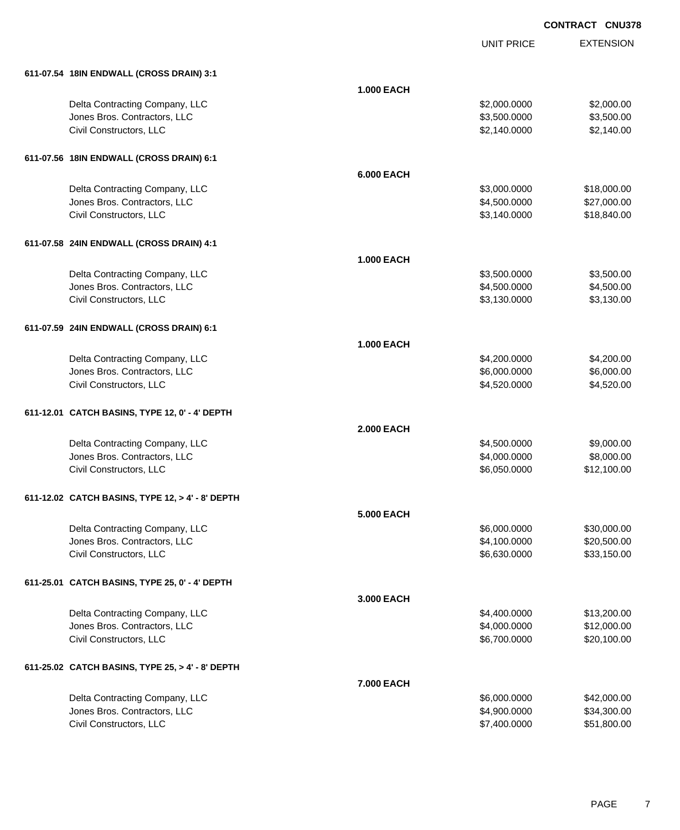|                                                  |                   | <b>UNIT PRICE</b> | <b>EXTENSION</b> |
|--------------------------------------------------|-------------------|-------------------|------------------|
| 611-07.54 18IN ENDWALL (CROSS DRAIN) 3:1         |                   |                   |                  |
|                                                  | <b>1.000 EACH</b> |                   |                  |
| Delta Contracting Company, LLC                   |                   | \$2,000.0000      | \$2,000.00       |
| Jones Bros. Contractors, LLC                     |                   | \$3,500.0000      | \$3,500.00       |
| Civil Constructors, LLC                          |                   | \$2,140.0000      | \$2,140.00       |
| 611-07.56 18IN ENDWALL (CROSS DRAIN) 6:1         |                   |                   |                  |
|                                                  | <b>6.000 EACH</b> |                   |                  |
| Delta Contracting Company, LLC                   |                   | \$3,000.0000      | \$18,000.00      |
| Jones Bros. Contractors, LLC                     |                   | \$4,500.0000      | \$27,000.00      |
| Civil Constructors, LLC                          |                   | \$3,140.0000      | \$18,840.00      |
| 611-07.58 24IN ENDWALL (CROSS DRAIN) 4:1         |                   |                   |                  |
|                                                  | <b>1.000 EACH</b> |                   |                  |
| Delta Contracting Company, LLC                   |                   | \$3,500.0000      | \$3,500.00       |
| Jones Bros. Contractors, LLC                     |                   | \$4,500.0000      | \$4,500.00       |
| Civil Constructors, LLC                          |                   | \$3,130.0000      | \$3,130.00       |
| 611-07.59 24IN ENDWALL (CROSS DRAIN) 6:1         |                   |                   |                  |
|                                                  | <b>1.000 EACH</b> |                   |                  |
| Delta Contracting Company, LLC                   |                   | \$4,200.0000      | \$4,200.00       |
| Jones Bros. Contractors, LLC                     |                   | \$6,000.0000      | \$6,000.00       |
| Civil Constructors, LLC                          |                   | \$4,520.0000      | \$4,520.00       |
| 611-12.01 CATCH BASINS, TYPE 12, 0' - 4' DEPTH   |                   |                   |                  |
|                                                  | <b>2.000 EACH</b> |                   |                  |
| Delta Contracting Company, LLC                   |                   | \$4,500.0000      | \$9,000.00       |
| Jones Bros. Contractors, LLC                     |                   | \$4,000.0000      | \$8,000.00       |
| Civil Constructors, LLC                          |                   | \$6,050.0000      | \$12,100.00      |
| 611-12.02 CATCH BASINS, TYPE 12, > 4' - 8' DEPTH |                   |                   |                  |
|                                                  | <b>5.000 EACH</b> |                   |                  |
| Delta Contracting Company, LLC                   |                   | \$6,000.0000      | \$30,000.00      |
| Jones Bros. Contractors, LLC                     |                   | \$4,100.0000      | \$20,500.00      |
| Civil Constructors, LLC                          |                   | \$6,630.0000      | \$33,150.00      |
| 611-25.01 CATCH BASINS, TYPE 25, 0' - 4' DEPTH   |                   |                   |                  |
|                                                  | 3.000 EACH        |                   |                  |
| Delta Contracting Company, LLC                   |                   | \$4,400.0000      | \$13,200.00      |
| Jones Bros. Contractors, LLC                     |                   | \$4,000.0000      | \$12,000.00      |
| Civil Constructors, LLC                          |                   | \$6,700.0000      | \$20,100.00      |
| 611-25.02 CATCH BASINS, TYPE 25, > 4' - 8' DEPTH |                   |                   |                  |
|                                                  | 7.000 EACH        |                   |                  |
| Delta Contracting Company, LLC                   |                   | \$6,000.0000      | \$42,000.00      |
| Jones Bros. Contractors, LLC                     |                   | \$4,900.0000      | \$34,300.00      |
| Civil Constructors, LLC                          |                   | \$7,400.0000      | \$51,800.00      |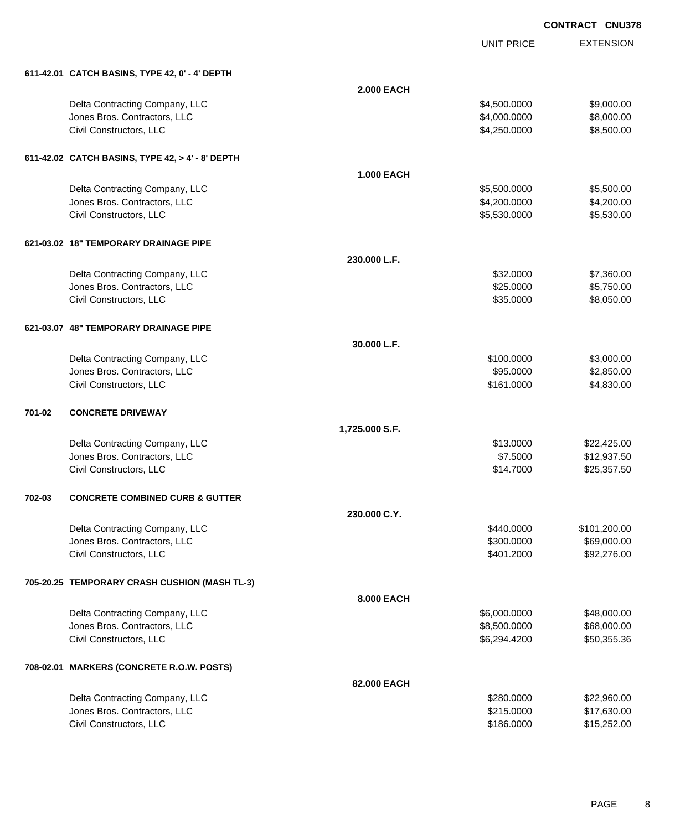UNIT PRICE

| 611-42.01 CATCH BASINS, TYPE 42, 0' - 4' DEPTH |
|------------------------------------------------|
|                                                |

|        | 611-42.01 CATCH BASINS, TYPE 42, 0' - 4' DEPTH          |                   |                              |                            |
|--------|---------------------------------------------------------|-------------------|------------------------------|----------------------------|
|        |                                                         | <b>2.000 EACH</b> |                              |                            |
|        | Delta Contracting Company, LLC                          |                   | \$4,500.0000                 | \$9,000.00                 |
|        | Jones Bros. Contractors, LLC                            |                   | \$4,000.0000                 | \$8,000.00                 |
|        | Civil Constructors, LLC                                 |                   | \$4,250.0000                 | \$8,500.00                 |
|        | 611-42.02 CATCH BASINS, TYPE 42, > 4' - 8' DEPTH        |                   |                              |                            |
|        |                                                         | <b>1.000 EACH</b> |                              |                            |
|        | Delta Contracting Company, LLC                          |                   | \$5,500.0000                 | \$5,500.00                 |
|        | Jones Bros. Contractors, LLC                            |                   | \$4,200.0000                 | \$4,200.00                 |
|        | Civil Constructors, LLC                                 |                   | \$5,530.0000                 | \$5,530.00                 |
|        | 621-03.02 18" TEMPORARY DRAINAGE PIPE                   |                   |                              |                            |
|        |                                                         | 230.000 L.F.      |                              |                            |
|        | Delta Contracting Company, LLC                          |                   | \$32.0000                    | \$7,360.00                 |
|        | Jones Bros. Contractors, LLC                            |                   | \$25.0000                    | \$5,750.00                 |
|        | Civil Constructors, LLC                                 |                   | \$35.0000                    | \$8,050.00                 |
|        | 621-03.07 48" TEMPORARY DRAINAGE PIPE                   |                   |                              |                            |
|        |                                                         | 30.000 L.F.       |                              |                            |
|        | Delta Contracting Company, LLC                          |                   | \$100.0000                   | \$3,000.00                 |
|        | Jones Bros. Contractors, LLC                            |                   | \$95.0000                    | \$2,850.00                 |
|        | Civil Constructors, LLC                                 |                   | \$161.0000                   | \$4,830.00                 |
| 701-02 | <b>CONCRETE DRIVEWAY</b>                                |                   |                              |                            |
|        |                                                         | 1,725.000 S.F.    |                              |                            |
|        | Delta Contracting Company, LLC                          |                   | \$13.0000                    | \$22,425.00                |
|        | Jones Bros. Contractors, LLC                            |                   | \$7.5000                     | \$12,937.50                |
|        | Civil Constructors, LLC                                 |                   | \$14.7000                    | \$25,357.50                |
| 702-03 | <b>CONCRETE COMBINED CURB &amp; GUTTER</b>              |                   |                              |                            |
|        |                                                         | 230.000 C.Y.      |                              |                            |
|        | Delta Contracting Company, LLC                          |                   | \$440.0000                   | \$101,200.00               |
|        | Jones Bros. Contractors, LLC<br>Civil Constructors, LLC |                   | \$300.0000                   | \$69,000.00                |
|        |                                                         |                   | \$401.2000                   | \$92,276.00                |
|        | 705-20.25 TEMPORARY CRASH CUSHION (MASH TL-3)           |                   |                              |                            |
|        |                                                         | 8.000 EACH        |                              |                            |
|        | Delta Contracting Company, LLC                          |                   | \$6,000.0000                 | \$48,000.00                |
|        | Jones Bros. Contractors, LLC<br>Civil Constructors, LLC |                   | \$8,500.0000<br>\$6,294.4200 | \$68,000.00<br>\$50,355.36 |
|        |                                                         |                   |                              |                            |
|        | 708-02.01 MARKERS (CONCRETE R.O.W. POSTS)               |                   |                              |                            |
|        |                                                         | 82.000 EACH       |                              |                            |
|        | Delta Contracting Company, LLC                          |                   | \$280.0000                   | \$22,960.00                |
|        | Jones Bros. Contractors, LLC<br>Civil Constructors, LLC |                   | \$215.0000<br>\$186.0000     | \$17,630.00                |
|        |                                                         |                   |                              | \$15,252.00                |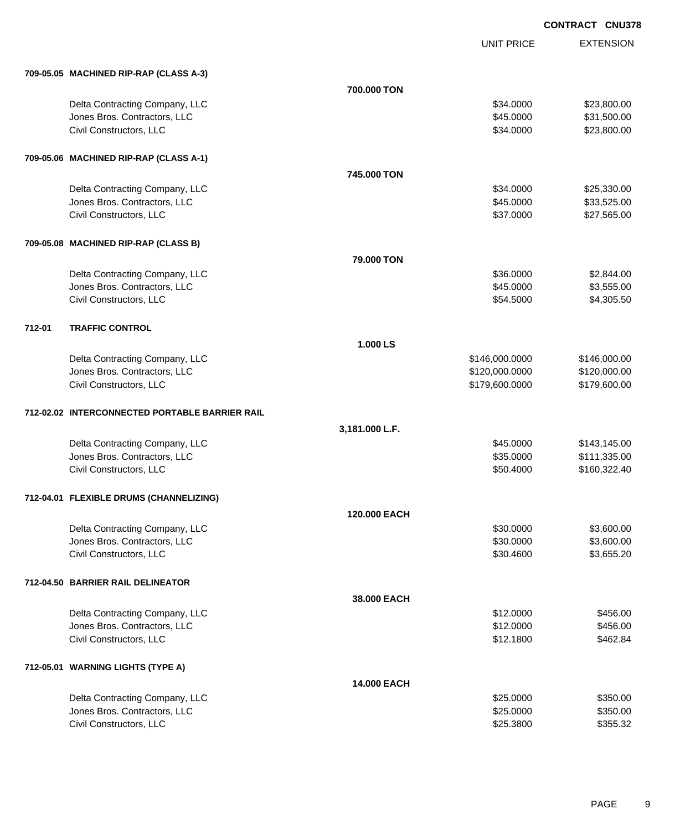|        |                                                |                | <b>UNIT PRICE</b> | <b>EXTENSION</b> |
|--------|------------------------------------------------|----------------|-------------------|------------------|
|        | 709-05.05 MACHINED RIP-RAP (CLASS A-3)         |                |                   |                  |
|        |                                                | 700.000 TON    |                   |                  |
|        | Delta Contracting Company, LLC                 |                | \$34.0000         | \$23,800.00      |
|        | Jones Bros. Contractors, LLC                   |                | \$45.0000         | \$31,500.00      |
|        | Civil Constructors, LLC                        |                | \$34.0000         | \$23,800.00      |
|        | 709-05.06 MACHINED RIP-RAP (CLASS A-1)         |                |                   |                  |
|        |                                                | 745.000 TON    |                   |                  |
|        | Delta Contracting Company, LLC                 |                | \$34.0000         | \$25,330.00      |
|        | Jones Bros. Contractors, LLC                   |                | \$45.0000         | \$33,525.00      |
|        | Civil Constructors, LLC                        |                | \$37.0000         | \$27,565.00      |
|        | 709-05.08 MACHINED RIP-RAP (CLASS B)           |                |                   |                  |
|        |                                                | 79.000 TON     |                   |                  |
|        | Delta Contracting Company, LLC                 |                | \$36.0000         | \$2,844.00       |
|        | Jones Bros. Contractors, LLC                   |                | \$45.0000         | \$3,555.00       |
|        | Civil Constructors, LLC                        |                | \$54.5000         | \$4,305.50       |
| 712-01 | <b>TRAFFIC CONTROL</b>                         |                |                   |                  |
|        |                                                | 1.000 LS       |                   |                  |
|        | Delta Contracting Company, LLC                 |                | \$146,000.0000    | \$146,000.00     |
|        | Jones Bros. Contractors, LLC                   |                | \$120,000.0000    | \$120,000.00     |
|        | Civil Constructors, LLC                        |                | \$179,600.0000    | \$179,600.00     |
|        | 712-02.02 INTERCONNECTED PORTABLE BARRIER RAIL |                |                   |                  |
|        |                                                | 3,181.000 L.F. |                   |                  |
|        | Delta Contracting Company, LLC                 |                | \$45.0000         | \$143,145.00     |
|        | Jones Bros. Contractors, LLC                   |                | \$35.0000         | \$111,335.00     |
|        | Civil Constructors, LLC                        |                | \$50.4000         | \$160,322.40     |
|        | 712-04.01 FLEXIBLE DRUMS (CHANNELIZING)        |                |                   |                  |
|        |                                                | 120.000 EACH   |                   |                  |
|        | Delta Contracting Company, LLC                 |                | \$30.0000         | \$3,600.00       |
|        | Jones Bros. Contractors, LLC                   |                | \$30.0000         | \$3,600.00       |
|        | Civil Constructors, LLC                        |                | \$30.4600         | \$3,655.20       |
|        | 712-04.50 BARRIER RAIL DELINEATOR              |                |                   |                  |
|        |                                                | 38.000 EACH    |                   |                  |
|        | Delta Contracting Company, LLC                 |                | \$12.0000         | \$456.00         |
|        | Jones Bros. Contractors, LLC                   |                | \$12.0000         | \$456.00         |
|        | Civil Constructors, LLC                        |                | \$12.1800         | \$462.84         |
|        | 712-05.01 WARNING LIGHTS (TYPE A)              |                |                   |                  |
|        |                                                | 14.000 EACH    |                   |                  |
|        | Delta Contracting Company, LLC                 |                | \$25.0000         | \$350.00         |
|        | Jones Bros. Contractors, LLC                   |                | \$25.0000         | \$350.00         |
|        | Civil Constructors, LLC                        |                | \$25.3800         | \$355.32         |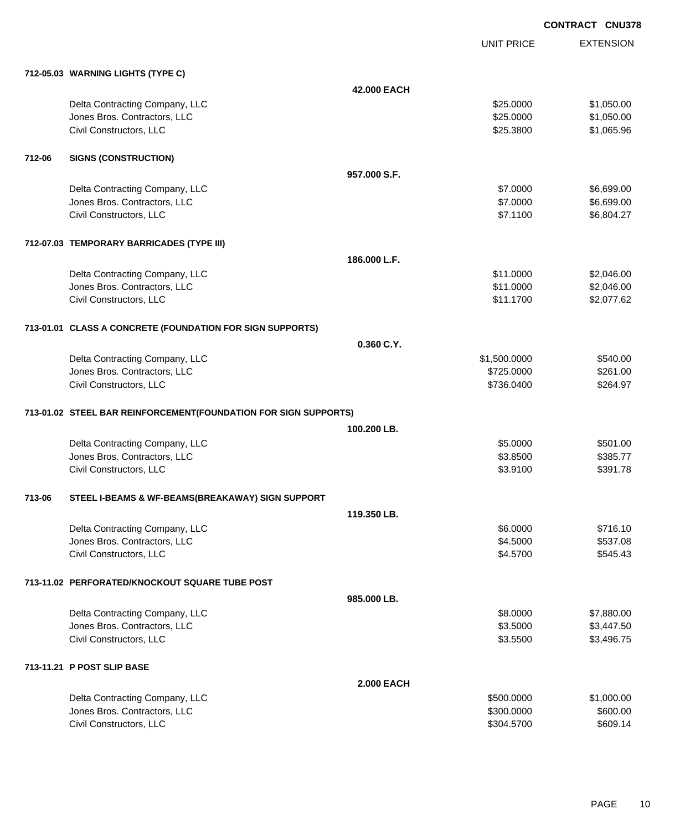UNIT PRICE

|        | 712-05.03 WARNING LIGHTS (TYPE C)                               |                   |              |            |
|--------|-----------------------------------------------------------------|-------------------|--------------|------------|
|        |                                                                 | 42.000 EACH       |              |            |
|        | Delta Contracting Company, LLC                                  |                   | \$25.0000    | \$1,050.00 |
|        | Jones Bros. Contractors, LLC                                    |                   | \$25.0000    | \$1,050.00 |
|        | Civil Constructors, LLC                                         |                   | \$25.3800    | \$1,065.96 |
| 712-06 | <b>SIGNS (CONSTRUCTION)</b>                                     |                   |              |            |
|        |                                                                 | 957.000 S.F.      |              |            |
|        | Delta Contracting Company, LLC                                  |                   | \$7.0000     | \$6,699.00 |
|        | Jones Bros. Contractors, LLC                                    |                   | \$7.0000     | \$6,699.00 |
|        | Civil Constructors, LLC                                         |                   | \$7.1100     | \$6,804.27 |
|        | 712-07.03 TEMPORARY BARRICADES (TYPE III)                       |                   |              |            |
|        |                                                                 | 186,000 L.F.      |              |            |
|        | Delta Contracting Company, LLC                                  |                   | \$11.0000    | \$2,046.00 |
|        | Jones Bros. Contractors, LLC                                    |                   | \$11.0000    | \$2,046.00 |
|        | Civil Constructors, LLC                                         |                   | \$11.1700    | \$2,077.62 |
|        | 713-01.01 CLASS A CONCRETE (FOUNDATION FOR SIGN SUPPORTS)       |                   |              |            |
|        |                                                                 | 0.360 C.Y.        |              |            |
|        | Delta Contracting Company, LLC                                  |                   | \$1,500.0000 | \$540.00   |
|        | Jones Bros. Contractors, LLC                                    |                   | \$725.0000   | \$261.00   |
|        | Civil Constructors, LLC                                         |                   | \$736.0400   | \$264.97   |
|        | 713-01.02 STEEL BAR REINFORCEMENT(FOUNDATION FOR SIGN SUPPORTS) |                   |              |            |
|        |                                                                 | 100.200 LB.       |              |            |
|        | Delta Contracting Company, LLC                                  |                   | \$5.0000     | \$501.00   |
|        | Jones Bros. Contractors, LLC                                    |                   | \$3.8500     | \$385.77   |
|        | Civil Constructors, LLC                                         |                   | \$3.9100     | \$391.78   |
| 713-06 | STEEL I-BEAMS & WF-BEAMS(BREAKAWAY) SIGN SUPPORT                |                   |              |            |
|        |                                                                 | 119.350 LB.       |              |            |
|        | Delta Contracting Company, LLC                                  |                   | \$6.0000     | \$716.10   |
|        | Jones Bros. Contractors, LLC                                    |                   | \$4.5000     | \$537.08   |
|        | Civil Constructors, LLC                                         |                   | \$4.5700     | \$545.43   |
|        | 713-11.02 PERFORATED/KNOCKOUT SQUARE TUBE POST                  |                   |              |            |
|        |                                                                 | 985.000 LB.       |              |            |
|        | Delta Contracting Company, LLC                                  |                   | \$8.0000     | \$7,880.00 |
|        | Jones Bros. Contractors, LLC                                    |                   | \$3.5000     | \$3,447.50 |
|        | Civil Constructors, LLC                                         |                   | \$3.5500     | \$3,496.75 |
|        | 713-11.21 P POST SLIP BASE                                      |                   |              |            |
|        |                                                                 | <b>2.000 EACH</b> |              |            |
|        | Delta Contracting Company, LLC                                  |                   | \$500.0000   | \$1,000.00 |
|        | Jones Bros. Contractors, LLC                                    |                   | \$300.0000   | \$600.00   |
|        | Civil Constructors, LLC                                         |                   | \$304.5700   | \$609.14   |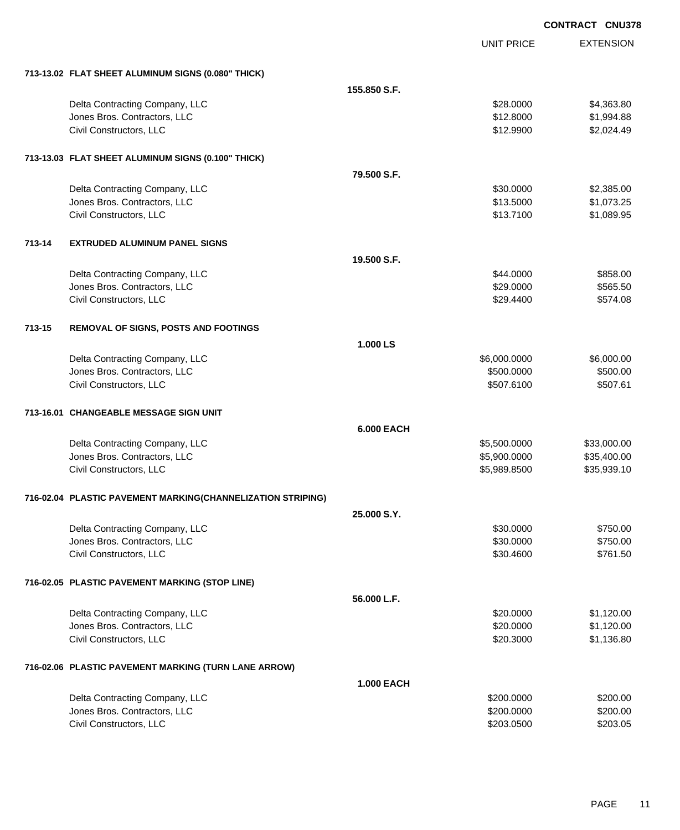|        |                                                             |                   |                   | <b>CONTRACT CNU378</b> |                  |
|--------|-------------------------------------------------------------|-------------------|-------------------|------------------------|------------------|
|        |                                                             |                   | <b>UNIT PRICE</b> |                        | <b>EXTENSION</b> |
|        | 713-13.02 FLAT SHEET ALUMINUM SIGNS (0.080" THICK)          |                   |                   |                        |                  |
|        |                                                             | 155,850 S.F.      |                   |                        |                  |
|        | Delta Contracting Company, LLC                              |                   | \$28.0000         |                        | \$4,363.80       |
|        | Jones Bros. Contractors, LLC                                |                   | \$12.8000         |                        | \$1,994.88       |
|        | Civil Constructors, LLC                                     |                   | \$12.9900         |                        | \$2,024.49       |
|        | 713-13.03 FLAT SHEET ALUMINUM SIGNS (0.100" THICK)          |                   |                   |                        |                  |
|        |                                                             | 79.500 S.F.       |                   |                        |                  |
|        | Delta Contracting Company, LLC                              |                   | \$30.0000         |                        | \$2,385.00       |
|        | Jones Bros. Contractors, LLC                                |                   | \$13.5000         |                        | \$1,073.25       |
|        | Civil Constructors, LLC                                     |                   | \$13.7100         |                        | \$1,089.95       |
| 713-14 | <b>EXTRUDED ALUMINUM PANEL SIGNS</b>                        |                   |                   |                        |                  |
|        |                                                             | 19.500 S.F.       |                   |                        |                  |
|        | Delta Contracting Company, LLC                              |                   | \$44.0000         |                        | \$858.00         |
|        | Jones Bros. Contractors, LLC                                |                   | \$29.0000         |                        | \$565.50         |
|        | Civil Constructors, LLC                                     |                   | \$29.4400         |                        | \$574.08         |
| 713-15 | <b>REMOVAL OF SIGNS, POSTS AND FOOTINGS</b>                 |                   |                   |                        |                  |
|        |                                                             | 1.000 LS          |                   |                        |                  |
|        | Delta Contracting Company, LLC                              |                   | \$6,000.0000      |                        | \$6,000.00       |
|        | Jones Bros. Contractors, LLC                                |                   | \$500.0000        |                        | \$500.00         |
|        | Civil Constructors, LLC                                     |                   | \$507.6100        |                        | \$507.61         |
|        | 713-16.01 CHANGEABLE MESSAGE SIGN UNIT                      |                   |                   |                        |                  |
|        |                                                             | <b>6.000 EACH</b> |                   |                        |                  |
|        | Delta Contracting Company, LLC                              |                   | \$5,500.0000      |                        | \$33,000.00      |
|        | Jones Bros. Contractors, LLC                                |                   | \$5,900.0000      |                        | \$35,400.00      |
|        | Civil Constructors, LLC                                     |                   | \$5,989.8500      |                        | \$35,939.10      |
|        | 716-02.04 PLASTIC PAVEMENT MARKING(CHANNELIZATION STRIPING) |                   |                   |                        |                  |
|        |                                                             | 25.000 S.Y.       |                   |                        |                  |
|        | Delta Contracting Company, LLC                              |                   | \$30.0000         |                        | \$750.00         |
|        | Jones Bros. Contractors, LLC                                |                   | \$30.0000         |                        | \$750.00         |
|        | Civil Constructors, LLC                                     |                   | \$30.4600         |                        | \$761.50         |
|        | 716-02.05 PLASTIC PAVEMENT MARKING (STOP LINE)              |                   |                   |                        |                  |
|        |                                                             | 56.000 L.F.       |                   |                        |                  |
|        | Delta Contracting Company, LLC                              |                   | \$20.0000         |                        | \$1,120.00       |
|        | Jones Bros. Contractors, LLC                                |                   | \$20.0000         |                        | \$1,120.00       |
|        | Civil Constructors, LLC                                     |                   | \$20.3000         |                        | \$1,136.80       |
|        | 716-02.06 PLASTIC PAVEMENT MARKING (TURN LANE ARROW)        |                   |                   |                        |                  |
|        |                                                             | <b>1.000 EACH</b> |                   |                        |                  |
|        | Delta Contracting Company, LLC                              |                   | \$200.0000        |                        | \$200.00         |
|        | Jones Bros. Contractors, LLC                                |                   | \$200.0000        |                        | \$200.00         |
|        | Civil Constructors, LLC                                     |                   | \$203.0500        |                        | \$203.05         |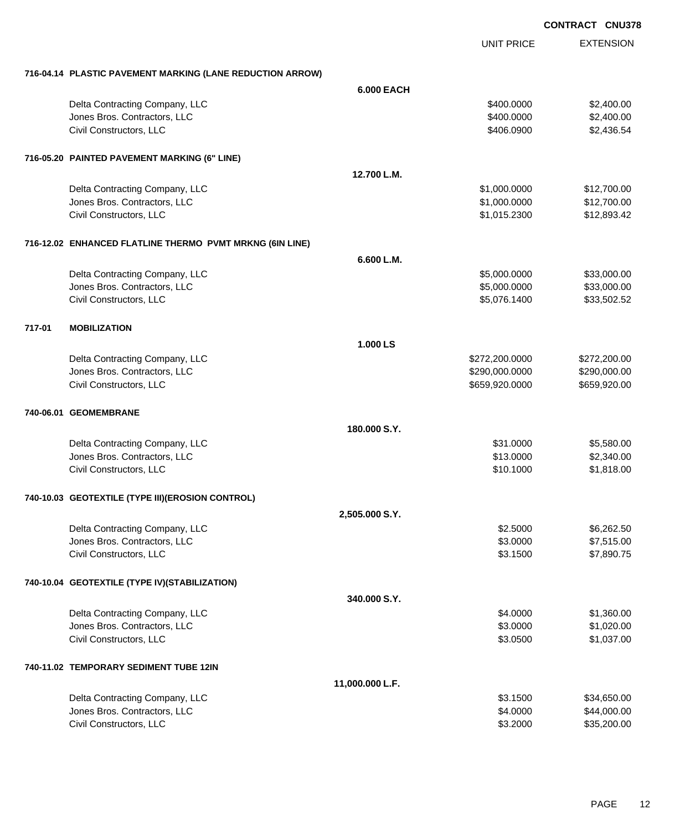EXTENSION UNIT PRICE **716-04.14 PLASTIC PAVEMENT MARKING (LANE REDUCTION ARROW) 6.000 EACH** Delta Contracting Company, LLC **6.6 and 7.6 and 7.6 and 7.6 and 7.6 and 7.6 and 7.6 and 7.6 and 7.6 and 7.6 and 7.6 and 7.6 and 7.6 and 7.6 and 7.6 and 7.6 and 7.6 and 7.6 and 7.6 and 7.6 and 7.6 and 7.6 and 7.6 and 7.6 an** Jones Bros. Contractors, LLC \$400.0000 \$2,400.00 Civil Constructors, LLC 6.649 and 2.436.54 and 2.436.54 and 3.406.0900 \$2,436.54 **716-05.20 PAINTED PAVEMENT MARKING (6" LINE) 12.700 L.M.** Delta Contracting Company, LLC 6. 2012 12:00:000 \$1,000.0000 \$12,700.000 \$12,700.00 Jones Bros. Contractors, LLC \$1,000.0000 \$12,700.00 Civil Constructors, LLC \$1,015.2300 \$12,893.42 **716-12.02 ENHANCED FLATLINE THERMO PVMT MRKNG (6IN LINE) 6.600 L.M.** Delta Contracting Company, LLC 6.000.000 \$5,000.000 \$33,000.000 \$33,000.000 \$55,000 \$55,000.000 \$53,000.00 Jones Bros. Contractors, LLC \$5,000.0000 \$33,000.00 Civil Constructors, LLC \$5,076.1400 \$33,502.52 **717-01 MOBILIZATION 1.000 LS** Delta Contracting Company, LLC 6. 2008. The state of the state of the state of the state of the state of the state of the state of the state of the state of the state of the state of the state of the state of the state of Jones Bros. Contractors, LLC \$290,000.0000 \$290,000.00 Civil Constructors, LLC 659,920.000 \$659,920.000 \$659,920.000 \$659,920.000 \$659,920.000 \$659,920.00 **740-06.01 GEOMEMBRANE 180.000 S.Y.** Delta Contracting Company, LLC **6.680.000** \$5,580.00 Jones Bros. Contractors, LLC \$13.0000 \$2,340.00 Civil Constructors, LLC 61,818.00 **740-10.03 GEOTEXTILE (TYPE III)(EROSION CONTROL) 2,505.000 S.Y.** Delta Contracting Company, LLC **6.262.500 \$6,262.50** \$6,262.50 Jones Bros. Contractors, LLC \$3.0000 \$7,515.00 Civil Constructors, LLC 63.1500 \$7,890.75 **740-10.04 GEOTEXTILE (TYPE IV)(STABILIZATION) 340.000 S.Y.** Delta Contracting Company, LLC **64.0000** \$1,360.00 Jones Bros. Contractors, LLC \$3.0000 \$1,020.00 Civil Constructors, LLC 61,037.00 **740-11.02 TEMPORARY SEDIMENT TUBE 12IN 11,000.000 L.F.** Delta Contracting Company, LLC **63.1500** \$34,650.00 Jones Bros. Contractors, LLC \$4.0000 \$44,000.00 Civil Constructors, LLC 635,200.00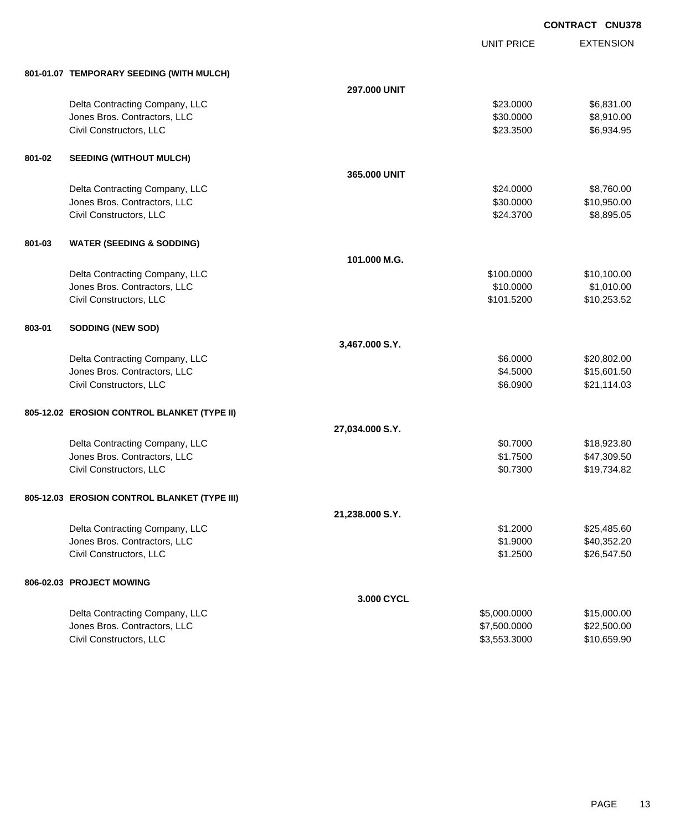UNIT PRICE

| 801-01.07 TEMPORARY SEEDING (WITH MULCH) |  |
|------------------------------------------|--|
|                                          |  |

|        | 801-01.07 TEMPORARY SEEDING (WITH MULCH)     |                 |              |             |
|--------|----------------------------------------------|-----------------|--------------|-------------|
|        |                                              | 297.000 UNIT    |              |             |
|        | Delta Contracting Company, LLC               |                 | \$23.0000    | \$6,831.00  |
|        | Jones Bros. Contractors, LLC                 |                 | \$30.0000    | \$8,910.00  |
|        | Civil Constructors, LLC                      |                 | \$23.3500    | \$6,934.95  |
| 801-02 | <b>SEEDING (WITHOUT MULCH)</b>               |                 |              |             |
|        |                                              | 365.000 UNIT    |              |             |
|        | Delta Contracting Company, LLC               |                 | \$24.0000    | \$8,760.00  |
|        | Jones Bros. Contractors, LLC                 |                 | \$30.0000    | \$10,950.00 |
|        | Civil Constructors, LLC                      |                 | \$24.3700    | \$8,895.05  |
| 801-03 | <b>WATER (SEEDING &amp; SODDING)</b>         |                 |              |             |
|        |                                              | 101.000 M.G.    |              |             |
|        | Delta Contracting Company, LLC               |                 | \$100.0000   | \$10,100.00 |
|        | Jones Bros. Contractors, LLC                 |                 | \$10.0000    | \$1,010.00  |
|        | Civil Constructors, LLC                      |                 | \$101.5200   | \$10,253.52 |
| 803-01 | <b>SODDING (NEW SOD)</b>                     |                 |              |             |
|        |                                              | 3,467.000 S.Y.  |              |             |
|        | Delta Contracting Company, LLC               |                 | \$6.0000     | \$20,802.00 |
|        | Jones Bros. Contractors, LLC                 |                 | \$4.5000     | \$15,601.50 |
|        | Civil Constructors, LLC                      |                 | \$6.0900     | \$21,114.03 |
|        | 805-12.02 EROSION CONTROL BLANKET (TYPE II)  |                 |              |             |
|        |                                              | 27,034.000 S.Y. |              |             |
|        | Delta Contracting Company, LLC               |                 | \$0.7000     | \$18,923.80 |
|        | Jones Bros. Contractors, LLC                 |                 | \$1.7500     | \$47,309.50 |
|        | Civil Constructors, LLC                      |                 | \$0.7300     | \$19,734.82 |
|        | 805-12.03 EROSION CONTROL BLANKET (TYPE III) |                 |              |             |
|        |                                              | 21,238.000 S.Y. |              |             |
|        | Delta Contracting Company, LLC               |                 | \$1.2000     | \$25,485.60 |
|        | Jones Bros. Contractors, LLC                 |                 | \$1.9000     | \$40,352.20 |
|        | Civil Constructors, LLC                      |                 | \$1.2500     | \$26,547.50 |
|        | 806-02.03 PROJECT MOWING                     |                 |              |             |
|        |                                              | 3.000 CYCL      |              |             |
|        | Delta Contracting Company, LLC               |                 | \$5,000.0000 | \$15,000.00 |
|        | Jones Bros. Contractors, LLC                 |                 | \$7,500.0000 | \$22,500.00 |
|        | Civil Constructors, LLC                      |                 | \$3,553.3000 | \$10,659.90 |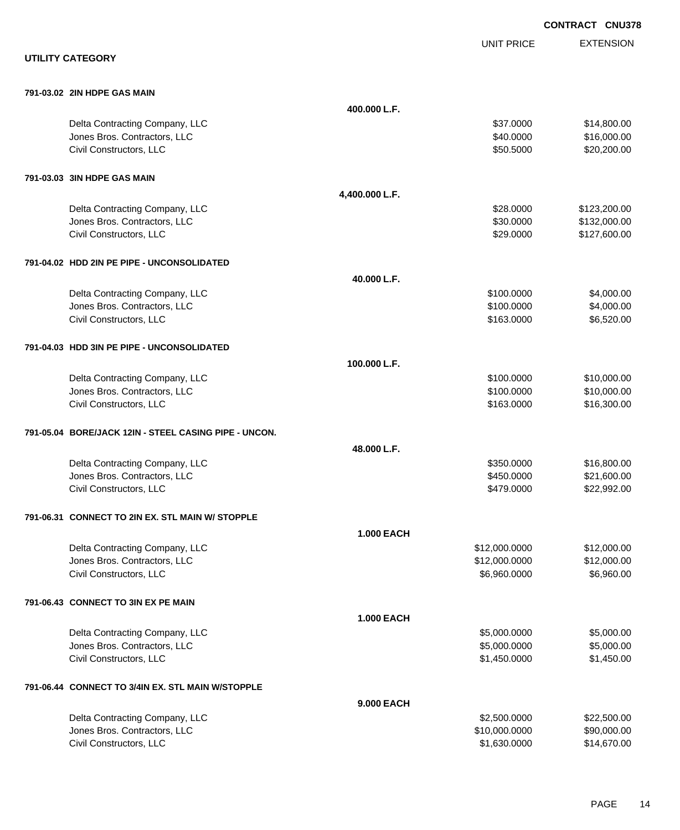|                                                       |                   |                   | <b>CONTRACT CNU378</b> |
|-------------------------------------------------------|-------------------|-------------------|------------------------|
|                                                       |                   | <b>UNIT PRICE</b> | <b>EXTENSION</b>       |
| <b>UTILITY CATEGORY</b>                               |                   |                   |                        |
| 791-03.02 2IN HDPE GAS MAIN                           |                   |                   |                        |
|                                                       | 400.000 L.F.      |                   |                        |
| Delta Contracting Company, LLC                        |                   | \$37.0000         | \$14,800.00            |
| Jones Bros. Contractors, LLC                          |                   | \$40.0000         | \$16,000.00            |
| Civil Constructors, LLC                               |                   | \$50.5000         | \$20,200.00            |
| 791-03.03 3IN HDPE GAS MAIN                           |                   |                   |                        |
|                                                       | 4,400.000 L.F.    |                   |                        |
| Delta Contracting Company, LLC                        |                   | \$28.0000         | \$123,200.00           |
| Jones Bros. Contractors, LLC                          |                   | \$30.0000         | \$132,000.00           |
| Civil Constructors, LLC                               |                   | \$29.0000         | \$127,600.00           |
| 791-04.02 HDD 2IN PE PIPE - UNCONSOLIDATED            |                   |                   |                        |
|                                                       | 40.000 L.F.       |                   |                        |
| Delta Contracting Company, LLC                        |                   | \$100.0000        | \$4,000.00             |
| Jones Bros. Contractors, LLC                          |                   | \$100.0000        | \$4,000.00             |
| Civil Constructors, LLC                               |                   | \$163.0000        | \$6,520.00             |
| 791-04.03 HDD 3IN PE PIPE - UNCONSOLIDATED            |                   |                   |                        |
|                                                       | 100.000 L.F.      |                   |                        |
| Delta Contracting Company, LLC                        |                   | \$100.0000        | \$10,000.00            |
| Jones Bros. Contractors, LLC                          |                   | \$100.0000        | \$10,000.00            |
| Civil Constructors, LLC                               |                   | \$163.0000        | \$16,300.00            |
| 791-05.04 BORE/JACK 12IN - STEEL CASING PIPE - UNCON. |                   |                   |                        |
|                                                       | 48.000 L.F.       |                   |                        |
| Delta Contracting Company, LLC                        |                   | \$350.0000        | \$16,800.00            |
| Jones Bros. Contractors, LLC                          |                   | \$450.0000        | \$21,600.00            |
| Civil Constructors, LLC                               |                   | \$479.0000        | \$22,992.00            |
| 791-06.31 CONNECT TO 2IN EX. STL MAIN W/ STOPPLE      |                   |                   |                        |
|                                                       | <b>1.000 EACH</b> |                   |                        |
| Delta Contracting Company, LLC                        |                   | \$12,000.0000     | \$12,000.00            |
| Jones Bros. Contractors, LLC                          |                   | \$12,000.0000     | \$12,000.00            |
| Civil Constructors, LLC                               |                   | \$6,960.0000      | \$6,960.00             |
| 791-06.43 CONNECT TO 3IN EX PE MAIN                   |                   |                   |                        |
|                                                       | <b>1.000 EACH</b> |                   |                        |
| Delta Contracting Company, LLC                        |                   | \$5,000.0000      | \$5,000.00             |
| Jones Bros. Contractors, LLC                          |                   | \$5,000.0000      | \$5,000.00             |
| Civil Constructors, LLC                               |                   | \$1,450.0000      | \$1,450.00             |
| 791-06.44 CONNECT TO 3/4IN EX. STL MAIN W/STOPPLE     |                   |                   |                        |
|                                                       | 9.000 EACH        |                   |                        |
| Delta Contracting Company, LLC                        |                   | \$2,500.0000      | \$22,500.00            |
| Jones Bros. Contractors, LLC                          |                   | \$10,000.0000     | \$90,000.00            |
| Civil Constructors, LLC                               |                   | \$1,630.0000      | \$14,670.00            |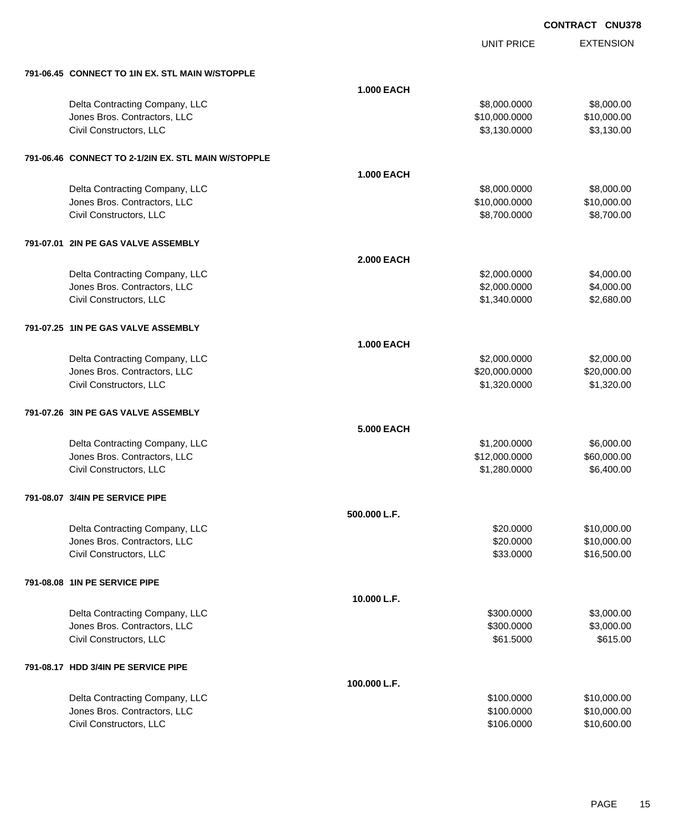UNIT PRICE

| 791-06.45 CONNECT TO 1IN EX. STL MAIN W/STOPPLE     |                   |               |             |
|-----------------------------------------------------|-------------------|---------------|-------------|
|                                                     | <b>1.000 EACH</b> |               |             |
| Delta Contracting Company, LLC                      |                   | \$8,000.0000  | \$8,000.00  |
| Jones Bros. Contractors, LLC                        |                   | \$10,000.0000 | \$10,000.00 |
| Civil Constructors, LLC                             |                   | \$3,130.0000  | \$3,130.00  |
| 791-06.46 CONNECT TO 2-1/2IN EX. STL MAIN W/STOPPLE |                   |               |             |
|                                                     | <b>1.000 EACH</b> |               |             |
| Delta Contracting Company, LLC                      |                   | \$8,000.0000  | \$8,000.00  |
| Jones Bros. Contractors, LLC                        |                   | \$10,000.0000 | \$10,000.00 |
| Civil Constructors, LLC                             |                   | \$8,700.0000  | \$8,700.00  |
| 791-07.01 2IN PE GAS VALVE ASSEMBLY                 |                   |               |             |
|                                                     | <b>2.000 EACH</b> |               |             |
| Delta Contracting Company, LLC                      |                   | \$2,000.0000  | \$4,000.00  |
| Jones Bros. Contractors, LLC                        |                   | \$2,000.0000  | \$4,000.00  |
| Civil Constructors, LLC                             |                   | \$1,340.0000  | \$2,680.00  |
| 791-07.25 1IN PE GAS VALVE ASSEMBLY                 |                   |               |             |
|                                                     | <b>1.000 EACH</b> |               |             |
| Delta Contracting Company, LLC                      |                   | \$2,000.0000  | \$2,000.00  |
| Jones Bros. Contractors, LLC                        |                   | \$20,000.0000 | \$20,000.00 |
| Civil Constructors, LLC                             |                   | \$1,320.0000  | \$1,320.00  |
| 791-07.26 3IN PE GAS VALVE ASSEMBLY                 |                   |               |             |
|                                                     | 5.000 EACH        |               |             |
| Delta Contracting Company, LLC                      |                   | \$1,200.0000  | \$6,000.00  |
| Jones Bros. Contractors, LLC                        |                   | \$12,000.0000 | \$60,000.00 |
| Civil Constructors, LLC                             |                   | \$1,280.0000  | \$6,400.00  |
| 791-08.07 3/4IN PE SERVICE PIPE                     |                   |               |             |
|                                                     | 500.000 L.F.      |               |             |
| Delta Contracting Company, LLC                      |                   | \$20.0000     | \$10,000.00 |
| Jones Bros. Contractors, LLC                        |                   | \$20.0000     | \$10,000.00 |
| Civil Constructors, LLC                             |                   | \$33.0000     | \$16,500.00 |
| 791-08.08 1IN PE SERVICE PIPE                       |                   |               |             |
|                                                     | 10.000 L.F.       |               |             |
| Delta Contracting Company, LLC                      |                   | \$300.0000    | \$3,000.00  |
| Jones Bros. Contractors, LLC                        |                   | \$300.0000    | \$3,000.00  |
| Civil Constructors, LLC                             |                   | \$61.5000     | \$615.00    |
| 791-08.17 HDD 3/4IN PE SERVICE PIPE                 |                   |               |             |
|                                                     | 100.000 L.F.      |               |             |
| Delta Contracting Company, LLC                      |                   | \$100.0000    | \$10,000.00 |
| Jones Bros. Contractors, LLC                        |                   | \$100.0000    | \$10,000.00 |
| Civil Constructors, LLC                             |                   | \$106.0000    | \$10,600.00 |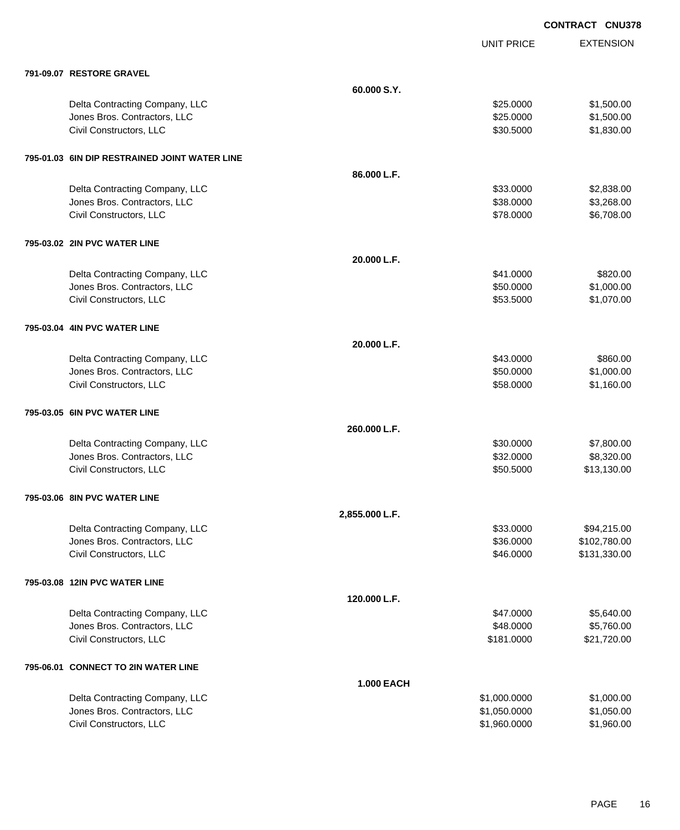|                                               |                   | <b>UNIT PRICE</b> | <b>EXTENSION</b> |
|-----------------------------------------------|-------------------|-------------------|------------------|
| 791-09.07 RESTORE GRAVEL                      |                   |                   |                  |
|                                               | 60.000 S.Y.       |                   |                  |
| Delta Contracting Company, LLC                |                   | \$25.0000         | \$1,500.00       |
| Jones Bros. Contractors, LLC                  |                   | \$25.0000         | \$1,500.00       |
| Civil Constructors, LLC                       |                   | \$30.5000         | \$1,830.00       |
| 795-01.03 6IN DIP RESTRAINED JOINT WATER LINE |                   |                   |                  |
|                                               | 86.000 L.F.       |                   |                  |
| Delta Contracting Company, LLC                |                   | \$33.0000         | \$2,838.00       |
| Jones Bros. Contractors, LLC                  |                   | \$38.0000         | \$3,268.00       |
| Civil Constructors, LLC                       |                   | \$78.0000         | \$6,708.00       |
| 795-03.02 2IN PVC WATER LINE                  |                   |                   |                  |
|                                               | 20.000 L.F.       |                   |                  |
| Delta Contracting Company, LLC                |                   | \$41.0000         | \$820.00         |
| Jones Bros. Contractors, LLC                  |                   | \$50.0000         | \$1,000.00       |
| Civil Constructors, LLC                       |                   | \$53.5000         | \$1,070.00       |
| 795-03.04 4IN PVC WATER LINE                  |                   |                   |                  |
|                                               | 20.000 L.F.       |                   |                  |
| Delta Contracting Company, LLC                |                   | \$43.0000         | \$860.00         |
| Jones Bros. Contractors, LLC                  |                   | \$50.0000         | \$1,000.00       |
| Civil Constructors, LLC                       |                   | \$58.0000         | \$1,160.00       |
| 795-03.05 6IN PVC WATER LINE                  |                   |                   |                  |
|                                               | 260,000 L.F.      |                   |                  |
| Delta Contracting Company, LLC                |                   | \$30.0000         | \$7,800.00       |
| Jones Bros. Contractors, LLC                  |                   | \$32.0000         | \$8,320.00       |
| Civil Constructors, LLC                       |                   | \$50.5000         | \$13,130.00      |
| 795-03.06 8IN PVC WATER LINE                  |                   |                   |                  |
|                                               | 2,855.000 L.F.    |                   |                  |
| Delta Contracting Company, LLC                |                   | \$33.0000         | \$94,215.00      |
| Jones Bros. Contractors, LLC                  |                   | \$36.0000         | \$102,780.00     |
| Civil Constructors, LLC                       |                   | \$46.0000         | \$131,330.00     |
| 795-03.08 12IN PVC WATER LINE                 |                   |                   |                  |
|                                               | 120.000 L.F.      |                   |                  |
| Delta Contracting Company, LLC                |                   | \$47.0000         | \$5,640.00       |
| Jones Bros. Contractors, LLC                  |                   | \$48.0000         | \$5,760.00       |
| Civil Constructors, LLC                       |                   | \$181.0000        | \$21,720.00      |
| 795-06.01 CONNECT TO 2IN WATER LINE           |                   |                   |                  |
|                                               | <b>1.000 EACH</b> |                   |                  |
| Delta Contracting Company, LLC                |                   | \$1,000.0000      | \$1,000.00       |
| Jones Bros. Contractors, LLC                  |                   | \$1,050.0000      | \$1,050.00       |
| Civil Constructors, LLC                       |                   | \$1,960.0000      | \$1,960.00       |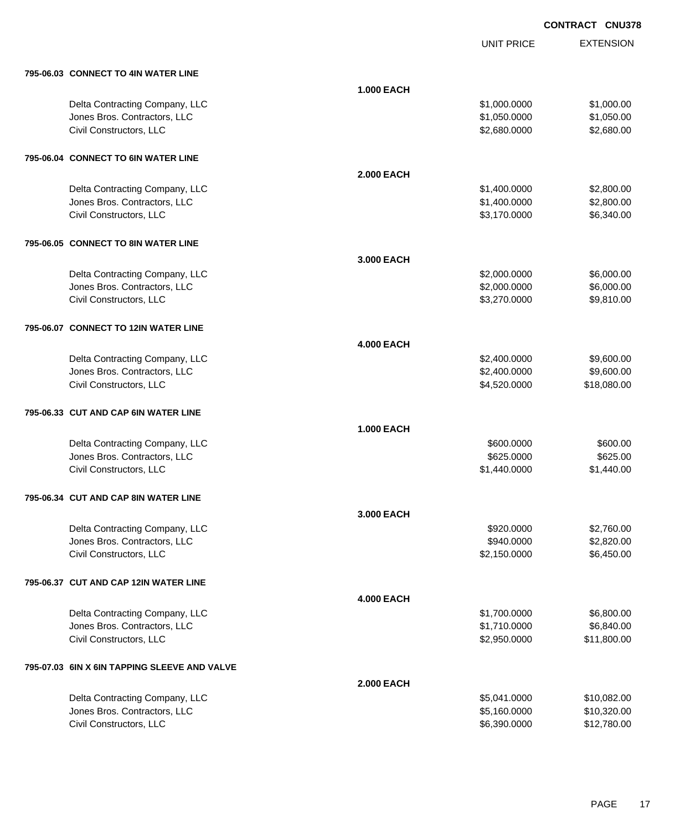UNIT PRICE EXTENSION

| 795-06.03 CONNECT TO 4IN WATER LINE          |                   |              |             |
|----------------------------------------------|-------------------|--------------|-------------|
|                                              | <b>1.000 EACH</b> |              |             |
| Delta Contracting Company, LLC               |                   | \$1,000.0000 | \$1,000.00  |
| Jones Bros. Contractors, LLC                 |                   | \$1,050.0000 | \$1,050.00  |
| Civil Constructors, LLC                      |                   | \$2,680.0000 | \$2,680.00  |
|                                              |                   |              |             |
| 795-06.04 CONNECT TO 6IN WATER LINE          |                   |              |             |
|                                              | <b>2.000 EACH</b> |              |             |
| Delta Contracting Company, LLC               |                   | \$1,400.0000 | \$2,800.00  |
| Jones Bros. Contractors, LLC                 |                   | \$1,400.0000 | \$2,800.00  |
| Civil Constructors, LLC                      |                   | \$3,170.0000 | \$6,340.00  |
| 795-06.05 CONNECT TO 8IN WATER LINE          |                   |              |             |
|                                              | 3.000 EACH        |              |             |
| Delta Contracting Company, LLC               |                   | \$2,000.0000 | \$6,000.00  |
| Jones Bros. Contractors, LLC                 |                   | \$2,000.0000 | \$6,000.00  |
| Civil Constructors, LLC                      |                   | \$3,270.0000 | \$9,810.00  |
|                                              |                   |              |             |
| 795-06.07 CONNECT TO 12IN WATER LINE         |                   |              |             |
|                                              | <b>4.000 EACH</b> |              |             |
| Delta Contracting Company, LLC               |                   | \$2,400.0000 | \$9,600.00  |
| Jones Bros. Contractors, LLC                 |                   | \$2,400.0000 | \$9,600.00  |
| Civil Constructors, LLC                      |                   | \$4,520.0000 | \$18,080.00 |
|                                              |                   |              |             |
| 795-06.33 CUT AND CAP 6IN WATER LINE         |                   |              |             |
|                                              | <b>1.000 EACH</b> |              |             |
| Delta Contracting Company, LLC               |                   | \$600.0000   | \$600.00    |
| Jones Bros. Contractors, LLC                 |                   | \$625.0000   | \$625.00    |
| Civil Constructors, LLC                      |                   | \$1,440.0000 | \$1,440.00  |
| 795-06.34 CUT AND CAP 8IN WATER LINE         |                   |              |             |
|                                              | 3.000 EACH        |              |             |
| Delta Contracting Company, LLC               |                   | \$920,0000   | \$2,760.00  |
| Jones Bros. Contractors, LLC                 |                   | \$940.0000   | \$2,820.00  |
| Civil Constructors, LLC                      |                   | \$2,150.0000 | \$6,450.00  |
| 795-06.37 CUT AND CAP 12IN WATER LINE        |                   |              |             |
|                                              | <b>4.000 EACH</b> |              |             |
| Delta Contracting Company, LLC               |                   | \$1,700.0000 | \$6,800.00  |
| Jones Bros. Contractors, LLC                 |                   | \$1,710.0000 | \$6,840.00  |
| Civil Constructors, LLC                      |                   | \$2,950.0000 | \$11,800.00 |
|                                              |                   |              |             |
| 795-07.03 6IN X 6IN TAPPING SLEEVE AND VALVE |                   |              |             |
|                                              | <b>2.000 EACH</b> |              |             |
| Delta Contracting Company, LLC               |                   | \$5,041.0000 | \$10,082.00 |
| Jones Bros. Contractors, LLC                 |                   | \$5,160.0000 | \$10,320.00 |
| Civil Constructors, LLC                      |                   | \$6,390.0000 | \$12,780.00 |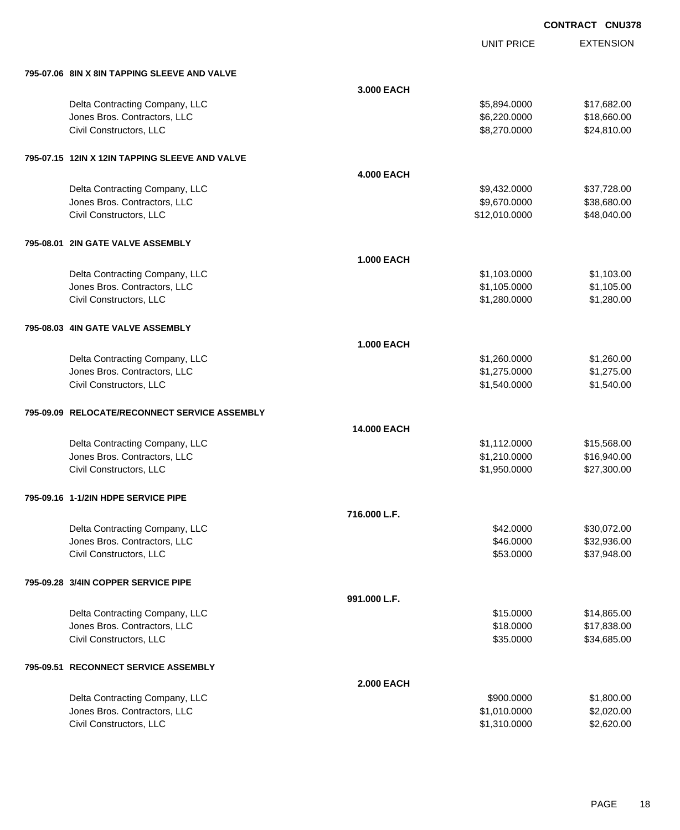UNIT PRICE

| 795-07.06 8IN X 8IN TAPPING SLEEVE AND VALVE   |                   |               |             |
|------------------------------------------------|-------------------|---------------|-------------|
|                                                | 3.000 EACH        |               |             |
| Delta Contracting Company, LLC                 |                   | \$5,894.0000  | \$17,682.00 |
| Jones Bros. Contractors, LLC                   |                   | \$6,220.0000  | \$18,660.00 |
| Civil Constructors, LLC                        |                   | \$8,270.0000  | \$24,810.00 |
| 795-07.15 12IN X 12IN TAPPING SLEEVE AND VALVE |                   |               |             |
|                                                | <b>4.000 EACH</b> |               |             |
| Delta Contracting Company, LLC                 |                   | \$9,432.0000  | \$37,728.00 |
| Jones Bros. Contractors, LLC                   |                   | \$9,670.0000  | \$38,680.00 |
| Civil Constructors, LLC                        |                   | \$12,010.0000 | \$48,040.00 |
| 795-08.01 2IN GATE VALVE ASSEMBLY              |                   |               |             |
|                                                | <b>1.000 EACH</b> |               |             |
| Delta Contracting Company, LLC                 |                   | \$1,103.0000  | \$1,103.00  |
| Jones Bros. Contractors, LLC                   |                   | \$1,105.0000  | \$1,105.00  |
| Civil Constructors, LLC                        |                   | \$1,280.0000  | \$1,280.00  |
| 795-08.03 4IN GATE VALVE ASSEMBLY              |                   |               |             |
|                                                | <b>1.000 EACH</b> |               |             |
| Delta Contracting Company, LLC                 |                   | \$1,260.0000  | \$1,260.00  |
| Jones Bros. Contractors, LLC                   |                   | \$1,275.0000  | \$1,275.00  |
| Civil Constructors, LLC                        |                   | \$1,540.0000  | \$1,540.00  |
| 795-09.09 RELOCATE/RECONNECT SERVICE ASSEMBLY  |                   |               |             |
|                                                | 14.000 EACH       |               |             |
| Delta Contracting Company, LLC                 |                   | \$1,112.0000  | \$15,568.00 |
| Jones Bros. Contractors, LLC                   |                   | \$1,210.0000  | \$16,940.00 |
| Civil Constructors, LLC                        |                   | \$1,950.0000  | \$27,300.00 |
| 795-09.16 1-1/2IN HDPE SERVICE PIPE            |                   |               |             |
|                                                | 716.000 L.F.      |               |             |
| Delta Contracting Company, LLC                 |                   | \$42.0000     | \$30,072.00 |
| Jones Bros. Contractors, LLC                   |                   | \$46.0000     | \$32,936.00 |
| Civil Constructors, LLC                        |                   | \$53.0000     | \$37,948.00 |
| 795-09.28 3/4IN COPPER SERVICE PIPE            |                   |               |             |
|                                                | 991.000 L.F.      |               |             |
| Delta Contracting Company, LLC                 |                   | \$15.0000     | \$14,865.00 |
| Jones Bros. Contractors, LLC                   |                   | \$18.0000     | \$17,838.00 |
| Civil Constructors, LLC                        |                   | \$35.0000     | \$34,685.00 |
| 795-09.51 RECONNECT SERVICE ASSEMBLY           |                   |               |             |
|                                                | <b>2.000 EACH</b> |               |             |
| Delta Contracting Company, LLC                 |                   | \$900.0000    | \$1,800.00  |
| Jones Bros. Contractors, LLC                   |                   | \$1,010.0000  | \$2,020.00  |
| Civil Constructors, LLC                        |                   | \$1,310.0000  | \$2,620.00  |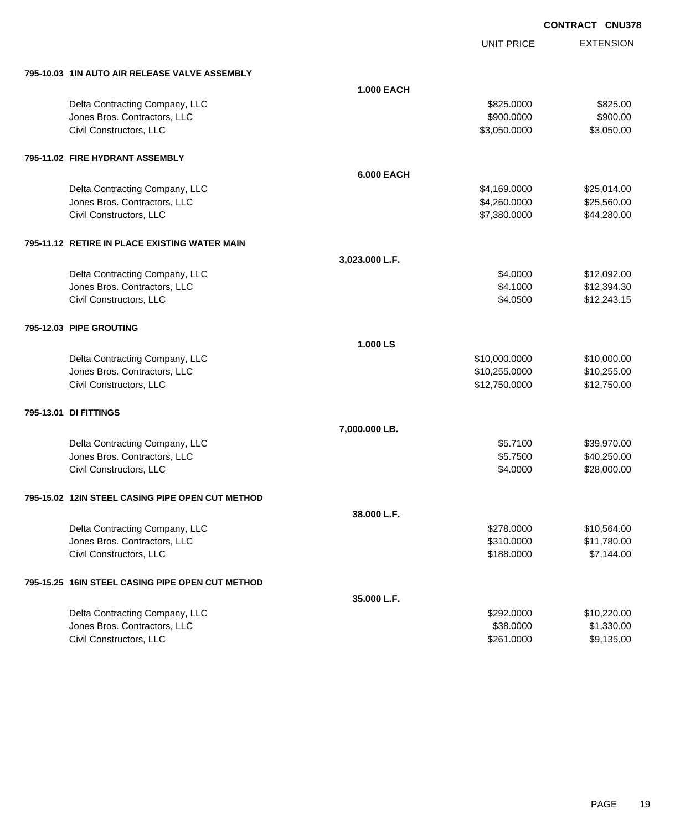UNIT PRICE EXTENSION

**795-10.03 1IN AUTO AIR RELEASE VALVE ASSEMBLY**

| 795-10.03 TIN AUTO AIR RELEASE VALVE ASSEMBLY    |                   |               |             |
|--------------------------------------------------|-------------------|---------------|-------------|
|                                                  | <b>1.000 EACH</b> |               |             |
| Delta Contracting Company, LLC                   |                   | \$825.0000    | \$825.00    |
| Jones Bros. Contractors, LLC                     |                   | \$900.0000    | \$900.00    |
| Civil Constructors, LLC                          |                   | \$3,050.0000  | \$3,050.00  |
|                                                  |                   |               |             |
| 795-11.02 FIRE HYDRANT ASSEMBLY                  |                   |               |             |
|                                                  | <b>6.000 EACH</b> |               |             |
| Delta Contracting Company, LLC                   |                   | \$4,169.0000  | \$25,014.00 |
| Jones Bros. Contractors, LLC                     |                   | \$4,260.0000  | \$25,560.00 |
| Civil Constructors, LLC                          |                   | \$7,380.0000  | \$44,280.00 |
|                                                  |                   |               |             |
| 795-11.12 RETIRE IN PLACE EXISTING WATER MAIN    |                   |               |             |
|                                                  | 3,023.000 L.F.    |               |             |
| Delta Contracting Company, LLC                   |                   | \$4.0000      | \$12,092.00 |
| Jones Bros. Contractors, LLC                     |                   | \$4.1000      | \$12,394.30 |
| Civil Constructors, LLC                          |                   | \$4.0500      | \$12,243.15 |
|                                                  |                   |               |             |
| 795-12.03 PIPE GROUTING                          |                   |               |             |
|                                                  | 1.000 LS          |               |             |
| Delta Contracting Company, LLC                   |                   | \$10,000.0000 | \$10,000.00 |
| Jones Bros. Contractors, LLC                     |                   | \$10,255.0000 | \$10,255.00 |
| Civil Constructors, LLC                          |                   | \$12,750.0000 | \$12,750.00 |
|                                                  |                   |               |             |
| 795-13.01 DI FITTINGS                            |                   |               |             |
|                                                  | 7,000.000 LB.     |               |             |
| Delta Contracting Company, LLC                   |                   | \$5.7100      | \$39,970.00 |
| Jones Bros. Contractors, LLC                     |                   | \$5.7500      | \$40,250.00 |
| Civil Constructors, LLC                          |                   | \$4.0000      | \$28,000.00 |
| 795-15.02 12IN STEEL CASING PIPE OPEN CUT METHOD |                   |               |             |
|                                                  | 38.000 L.F.       |               |             |
| Delta Contracting Company, LLC                   |                   | \$278.0000    | \$10,564.00 |
| Jones Bros. Contractors. LLC                     |                   |               |             |
|                                                  |                   | \$310.0000    | \$11,780.00 |
| Civil Constructors, LLC                          |                   | \$188.0000    | \$7,144.00  |
| 795-15.25 16IN STEEL CASING PIPE OPEN CUT METHOD |                   |               |             |
|                                                  | 35.000 L.F.       |               |             |
| Delta Contracting Company, LLC                   |                   | \$292.0000    | \$10,220.00 |
| Jones Bros. Contractors, LLC                     |                   | \$38.0000     | \$1,330.00  |
| Civil Constructors, LLC                          |                   | \$261.0000    | \$9,135.00  |
|                                                  |                   |               |             |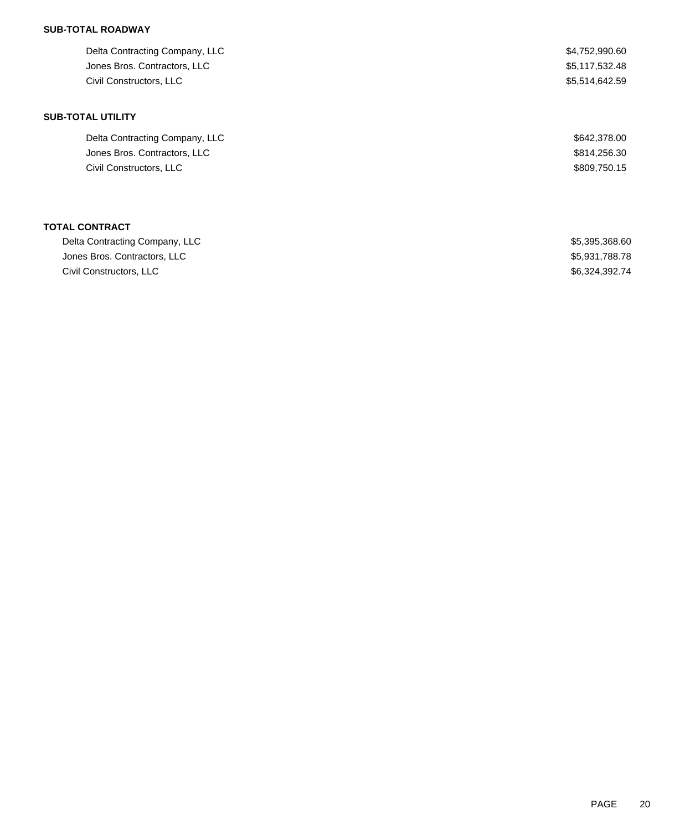### **SUB-TOTAL ROADWAY**

| Delta Contracting Company, LLC | \$4,752,990.60 |
|--------------------------------|----------------|
| Jones Bros. Contractors, LLC   | \$5,117,532.48 |
| Civil Constructors, LLC        | \$5,514,642.59 |
| <b>SUB-TOTAL UTILITY</b>       |                |
| Delta Contracting Company, LLC | \$642,378.00   |
| Jones Bros. Contractors, LLC   | \$814,256.30   |
| Civil Constructors, LLC        | \$809,750.15   |
|                                |                |
| <b>TOTAL CONTRACT</b>          |                |
|                                |                |

| Delta Contracting Company, LLC | \$5,395,368.60 |
|--------------------------------|----------------|
| Jones Bros. Contractors, LLC   | \$5.931.788.78 |
| Civil Constructors, LLC        | \$6.324.392.74 |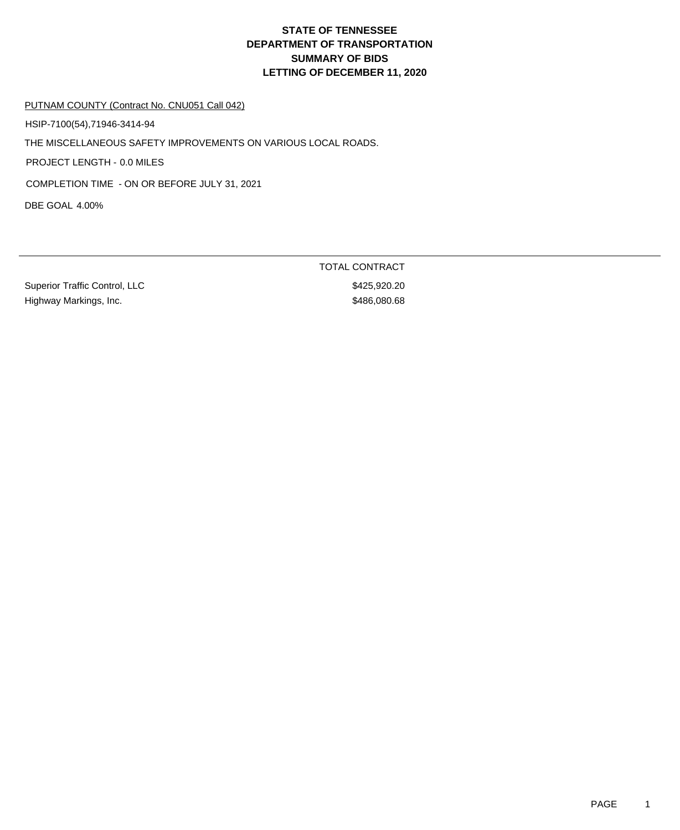# **DEPARTMENT OF TRANSPORTATION SUMMARY OF BIDS LETTING OF DECEMBER 11, 2020 STATE OF TENNESSEE**

#### PUTNAM COUNTY (Contract No. CNU051 Call 042)

HSIP-7100(54),71946-3414-94

THE MISCELLANEOUS SAFETY IMPROVEMENTS ON VARIOUS LOCAL ROADS.

PROJECT LENGTH - 0.0 MILES

COMPLETION TIME - ON OR BEFORE JULY 31, 2021

DBE GOAL 4.00%

Superior Traffic Control, LLC \$425,920.20 Highway Markings, Inc. 686 and the state of the state of the state of the state of the state of the state of the state of the state of the state of the state of the state of the state of the state of the state of the state

TOTAL CONTRACT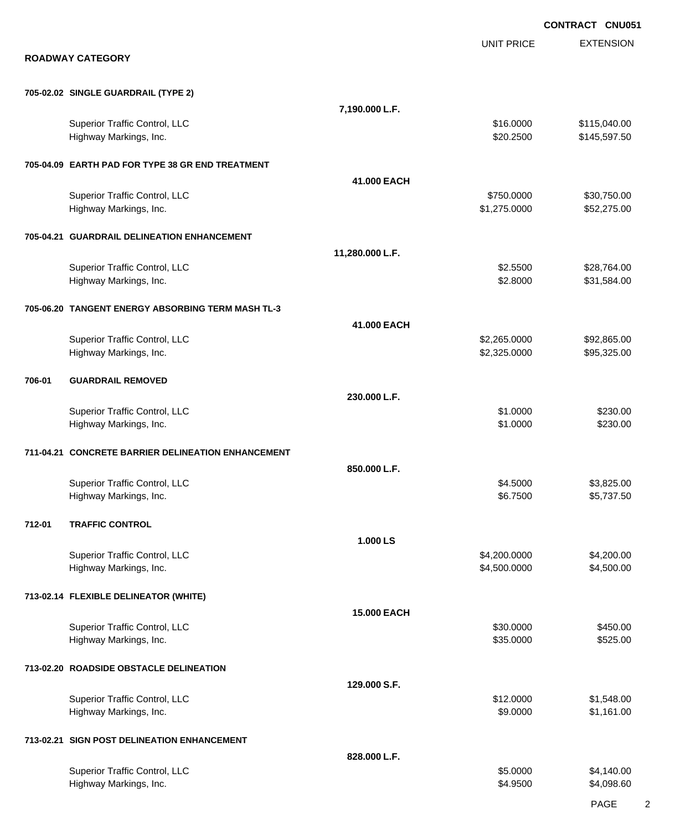|        |                                                         |                    |                              | <b>CONTRACT CNU051</b>       |
|--------|---------------------------------------------------------|--------------------|------------------------------|------------------------------|
|        | <b>ROADWAY CATEGORY</b>                                 |                    | <b>UNIT PRICE</b>            | <b>EXTENSION</b>             |
|        | 705-02.02 SINGLE GUARDRAIL (TYPE 2)                     |                    |                              |                              |
|        |                                                         | 7,190.000 L.F.     |                              |                              |
|        | Superior Traffic Control, LLC<br>Highway Markings, Inc. |                    | \$16.0000<br>\$20.2500       | \$115,040.00<br>\$145,597.50 |
|        | 705-04.09 EARTH PAD FOR TYPE 38 GR END TREATMENT        |                    |                              |                              |
|        |                                                         | 41.000 EACH        |                              |                              |
|        | Superior Traffic Control, LLC<br>Highway Markings, Inc. |                    | \$750.0000<br>\$1,275.0000   | \$30,750.00<br>\$52,275.00   |
|        | 705-04.21 GUARDRAIL DELINEATION ENHANCEMENT             |                    |                              |                              |
|        |                                                         | 11,280.000 L.F.    |                              |                              |
|        | Superior Traffic Control, LLC<br>Highway Markings, Inc. |                    | \$2.5500<br>\$2.8000         | \$28,764.00<br>\$31,584.00   |
|        | 705-06.20 TANGENT ENERGY ABSORBING TERM MASH TL-3       |                    |                              |                              |
|        |                                                         | 41.000 EACH        |                              |                              |
|        | Superior Traffic Control, LLC<br>Highway Markings, Inc. |                    | \$2,265.0000<br>\$2,325.0000 | \$92,865.00<br>\$95,325.00   |
| 706-01 | <b>GUARDRAIL REMOVED</b>                                |                    |                              |                              |
|        |                                                         | 230.000 L.F.       |                              |                              |
|        | Superior Traffic Control, LLC<br>Highway Markings, Inc. |                    | \$1.0000<br>\$1.0000         | \$230.00<br>\$230.00         |
|        | 711-04.21 CONCRETE BARRIER DELINEATION ENHANCEMENT      |                    |                              |                              |
|        |                                                         | 850.000 L.F.       | \$4.5000                     |                              |
|        | Superior Traffic Control, LLC<br>Highway Markings, Inc. |                    | \$6.7500                     | \$3,825.00<br>\$5,737.50     |
| 712-01 | <b>TRAFFIC CONTROL</b>                                  |                    |                              |                              |
|        |                                                         | 1.000 LS           |                              |                              |
|        | Superior Traffic Control, LLC<br>Highway Markings, Inc. |                    | \$4,200.0000<br>\$4,500.0000 | \$4,200.00<br>\$4,500.00     |
|        | 713-02.14 FLEXIBLE DELINEATOR (WHITE)                   |                    |                              |                              |
|        |                                                         | <b>15.000 EACH</b> |                              |                              |
|        | Superior Traffic Control, LLC<br>Highway Markings, Inc. |                    | \$30.0000<br>\$35.0000       | \$450.00<br>\$525.00         |
|        | 713-02.20 ROADSIDE OBSTACLE DELINEATION                 |                    |                              |                              |
|        |                                                         | 129.000 S.F.       |                              |                              |
|        | Superior Traffic Control, LLC<br>Highway Markings, Inc. |                    | \$12.0000<br>\$9.0000        | \$1,548.00<br>\$1,161.00     |
|        | 713-02.21 SIGN POST DELINEATION ENHANCEMENT             |                    |                              |                              |
|        |                                                         | 828.000 L.F.       |                              |                              |
|        | Superior Traffic Control, LLC<br>Highway Markings, Inc. |                    | \$5.0000<br>\$4.9500         | \$4,140.00<br>\$4,098.60     |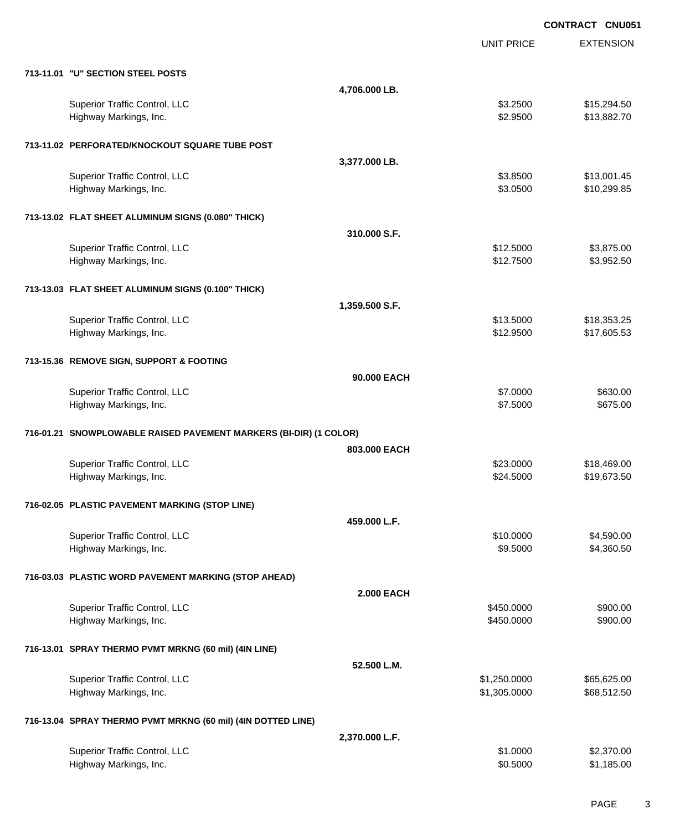EXTENSION **CONTRACT CNU051** UNIT PRICE **713-11.01 "U" SECTION STEEL POSTS 4,706.000 LB.** Superior Traffic Control, LLC **\$3.2500** \$15,294.50 Highway Markings, Inc. 6. The Second Studies of the Second Studies of the Second Studies of Second Studies and S **713-11.02 PERFORATED/KNOCKOUT SQUARE TUBE POST 3,377.000 LB.** Superior Traffic Control, LLC **\$3.8500** \$13,001.45 Highway Markings, Inc. 6. The Second Studies of the Second Studies of the Second Studies of Second Studies and S **713-13.02 FLAT SHEET ALUMINUM SIGNS (0.080" THICK) 310.000 S.F.** Superior Traffic Control, LLC 63,875.00 Highway Markings, Inc. \$12.7500 \$3,952.50 **713-13.03 FLAT SHEET ALUMINUM SIGNS (0.100" THICK) 1,359.500 S.F.** Superior Traffic Control, LLC **\$13.5000** \$18,353.25 Highway Markings, Inc. 69.53 and the state of the state of the state of the state of the state of the state of the state of the state of the state of the state of the state of the state of the state of the state of the sta **713-15.36 REMOVE SIGN, SUPPORT & FOOTING 90.000 EACH** Superior Traffic Control, LLC 6630.00 Highway Markings, Inc. 6675.000 \$675.00 \$675.00 \$675.00 **716-01.21 SNOWPLOWABLE RAISED PAVEMENT MARKERS (BI-DIR) (1 COLOR) 803.000 EACH** Superior Traffic Control, LLC **\$23.0000** \$18,469.00 Highway Markings, Inc. \$21.5000 \$19,673.50 **716-02.05 PLASTIC PAVEMENT MARKING (STOP LINE) 459.000 L.F.** Superior Traffic Control, LLC **\$1,590.00** \$4,590.00 Highway Markings, Inc. 66 and the control of the control of the control of the control of the control of the control of the control of the control of the control of the control of the control of the control of the control **716-03.03 PLASTIC WORD PAVEMENT MARKING (STOP AHEAD) 2.000 EACH** Superior Traffic Control, LLC 6900.00 Highway Markings, Inc. \$450.0000 \$900.00 **716-13.01 SPRAY THERMO PVMT MRKNG (60 mil) (4IN LINE) 52.500 L.M.** Superior Traffic Control, LLC 665,625.00 \$65,625.00 \$1,250.0000 \$65,625.00 Highway Markings, Inc. 688,512.50 and the state of the state of the state of the state of the state of the state of the state of the state of the state of the state of the state of the state of the state of the state of th **716-13.04 SPRAY THERMO PVMT MRKNG (60 mil) (4IN DOTTED LINE) 2,370.000 L.F.** Superior Traffic Control, LLC 6 and the state of the state of the state of the state of the state of the state of the state of the state of the state of the state of the state of the state of the state of the state of the

Highway Markings, Inc. \$0.5000 \$1,185.00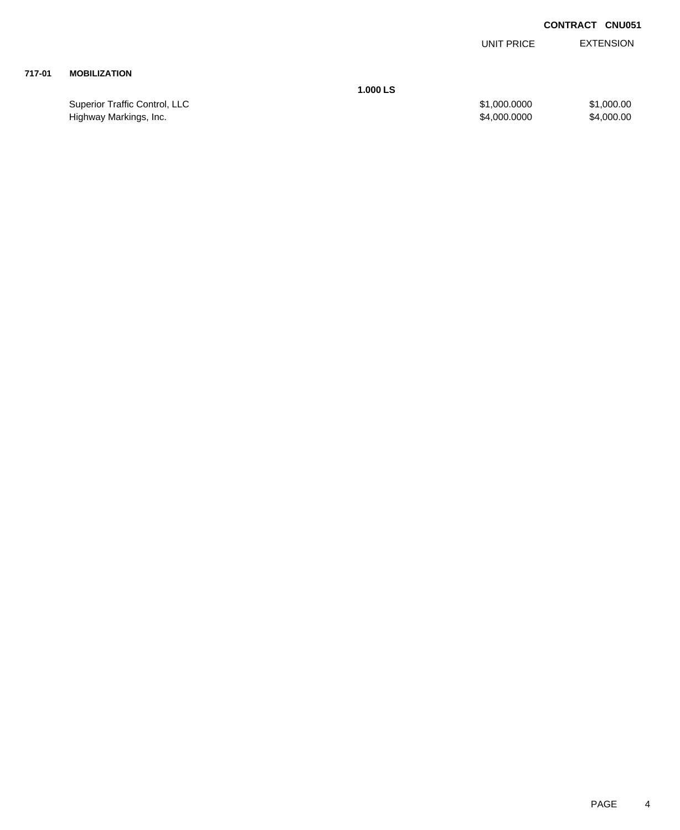EXTENSION UNIT PRICE

### **717-01 MOBILIZATION**

**1.000 LS**

Superior Traffic Control, LLC 61,000.000 \$1,000.000 \$1,000.000 \$1,000.000 Highway Markings, Inc. 64,000.000 \$4,000.000 \$4,000.000 \$4,000.000 \$4,000.000 \$4,000.00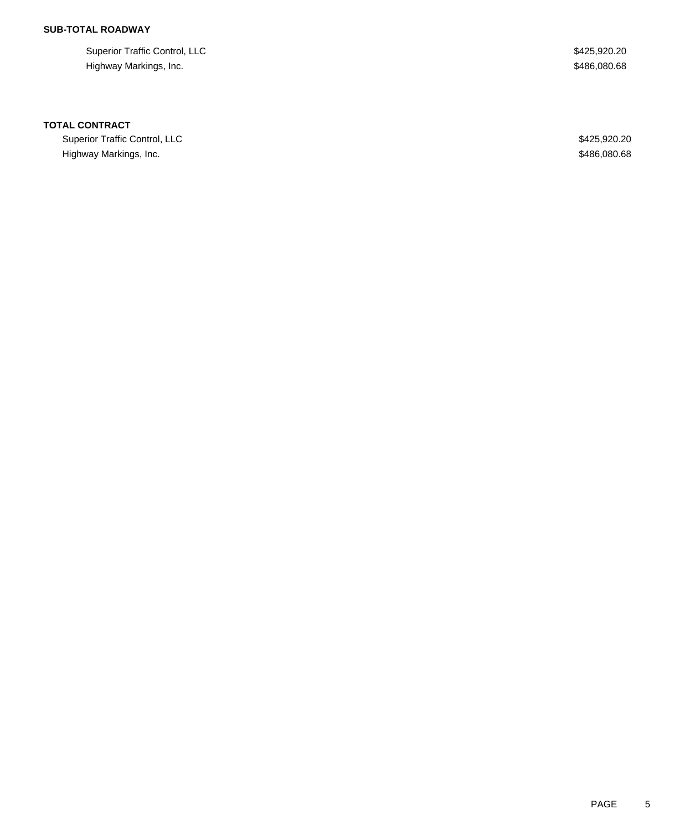# **SUB-TOTAL ROADWAY**

Superior Traffic Control, LLC \$425,920.20 Highway Markings, Inc. 686,080.68

#### **TOTAL CONTRACT**

Superior Traffic Control, LLC 600 and 200 and 200 and 200 and 200 and 200 and 200 and 200 and 200 and 200 and 200 and 200 and 200 and 200 and 200 and 200 and 200 and 200 and 200 and 200 and 200 and 200 and 200 and 200 and Highway Markings, Inc. 686,080.68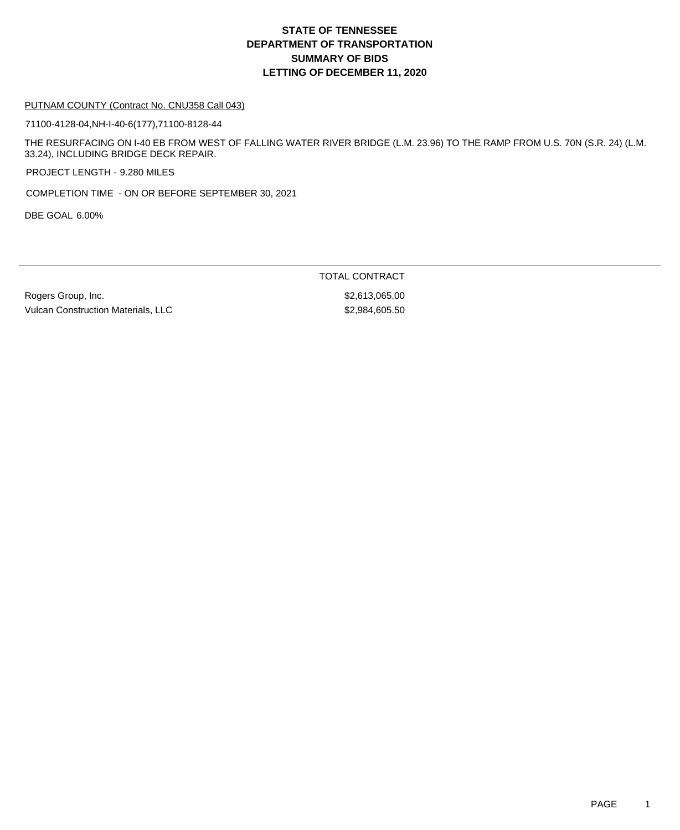# **DEPARTMENT OF TRANSPORTATION SUMMARY OF BIDS LETTING OF DECEMBER 11, 2020 STATE OF TENNESSEE**

#### PUTNAM COUNTY (Contract No. CNU358 Call 043)

71100-4128-04,NH-I-40-6(177),71100-8128-44

THE RESURFACING ON I-40 EB FROM WEST OF FALLING WATER RIVER BRIDGE (L.M. 23.96) TO THE RAMP FROM U.S. 70N (S.R. 24) (L.M. 33.24), INCLUDING BRIDGE DECK REPAIR.

PROJECT LENGTH - 9.280 MILES

COMPLETION TIME - ON OR BEFORE SEPTEMBER 30, 2021

DBE GOAL 6.00%

TOTAL CONTRACT

Rogers Group, Inc. \$2,613,065.00 Vulcan Construction Materials, LLC \$2,984,605.50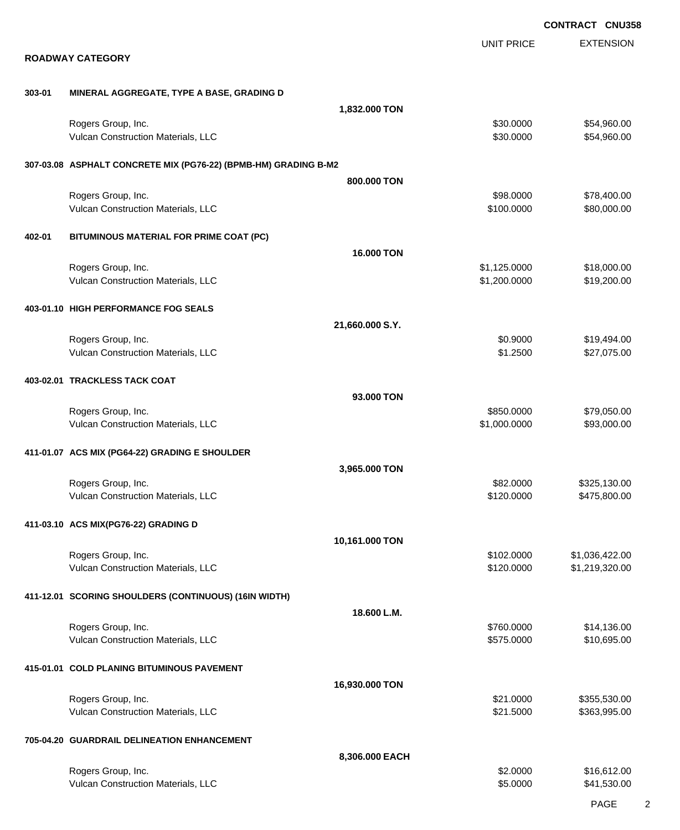|        |                                                                 |                   |                              | <b>CONTRACT CNU358</b>           |
|--------|-----------------------------------------------------------------|-------------------|------------------------------|----------------------------------|
|        | <b>ROADWAY CATEGORY</b>                                         |                   | <b>UNIT PRICE</b>            | <b>EXTENSION</b>                 |
| 303-01 | MINERAL AGGREGATE, TYPE A BASE, GRADING D                       |                   |                              |                                  |
|        |                                                                 | 1,832.000 TON     |                              |                                  |
|        | Rogers Group, Inc.<br>Vulcan Construction Materials, LLC        |                   | \$30.0000<br>\$30.0000       | \$54,960.00<br>\$54,960.00       |
|        | 307-03.08 ASPHALT CONCRETE MIX (PG76-22) (BPMB-HM) GRADING B-M2 |                   |                              |                                  |
|        |                                                                 | 800.000 TON       |                              |                                  |
|        | Rogers Group, Inc.<br>Vulcan Construction Materials, LLC        |                   | \$98.0000<br>\$100.0000      | \$78,400.00<br>\$80,000.00       |
| 402-01 | BITUMINOUS MATERIAL FOR PRIME COAT (PC)                         |                   |                              |                                  |
|        |                                                                 | <b>16,000 TON</b> |                              |                                  |
|        | Rogers Group, Inc.<br>Vulcan Construction Materials, LLC        |                   | \$1,125.0000<br>\$1,200.0000 | \$18,000.00<br>\$19,200.00       |
|        | 403-01.10 HIGH PERFORMANCE FOG SEALS                            |                   |                              |                                  |
|        |                                                                 | 21,660.000 S.Y.   |                              |                                  |
|        | Rogers Group, Inc.<br>Vulcan Construction Materials, LLC        |                   | \$0.9000<br>\$1.2500         | \$19,494.00<br>\$27,075.00       |
|        | 403-02.01 TRACKLESS TACK COAT                                   |                   |                              |                                  |
|        |                                                                 | 93,000 TON        |                              |                                  |
|        | Rogers Group, Inc.<br>Vulcan Construction Materials, LLC        |                   | \$850.0000<br>\$1,000.0000   | \$79,050.00<br>\$93,000.00       |
|        | 411-01.07 ACS MIX (PG64-22) GRADING E SHOULDER                  |                   |                              |                                  |
|        |                                                                 | 3,965.000 TON     |                              |                                  |
|        | Rogers Group, Inc.<br>Vulcan Construction Materials, LLC        |                   | \$82.0000<br>\$120.0000      | \$325,130.00<br>\$475,800.00     |
|        | 411-03.10 ACS MIX(PG76-22) GRADING D                            |                   |                              |                                  |
|        |                                                                 | 10,161.000 TON    |                              |                                  |
|        | Rogers Group, Inc.<br>Vulcan Construction Materials, LLC        |                   | \$102.0000<br>\$120.0000     | \$1,036,422.00<br>\$1,219,320.00 |
|        | 411-12.01 SCORING SHOULDERS (CONTINUOUS) (16IN WIDTH)           |                   |                              |                                  |
|        |                                                                 | 18.600 L.M.       |                              |                                  |
|        | Rogers Group, Inc.<br>Vulcan Construction Materials, LLC        |                   | \$760.0000<br>\$575.0000     | \$14,136.00<br>\$10,695.00       |
|        | 415-01.01 COLD PLANING BITUMINOUS PAVEMENT                      |                   |                              |                                  |
|        |                                                                 | 16,930.000 TON    |                              |                                  |
|        | Rogers Group, Inc.<br>Vulcan Construction Materials, LLC        |                   | \$21.0000<br>\$21.5000       | \$355,530.00<br>\$363,995.00     |
|        | 705-04.20 GUARDRAIL DELINEATION ENHANCEMENT                     |                   |                              |                                  |
|        |                                                                 | 8,306.000 EACH    |                              |                                  |
|        | Rogers Group, Inc.<br>Vulcan Construction Materials, LLC        |                   | \$2.0000<br>\$5.0000         | \$16,612.00<br>\$41,530.00       |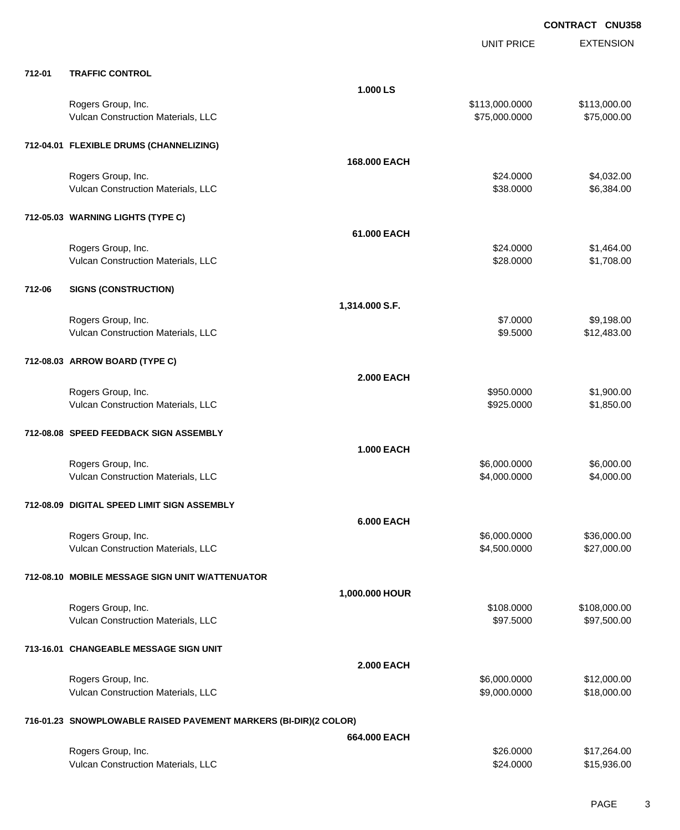|        |                                                                  |                   | <b>UNIT PRICE</b>      | <b>EXTENSION</b>         |
|--------|------------------------------------------------------------------|-------------------|------------------------|--------------------------|
| 712-01 | <b>TRAFFIC CONTROL</b>                                           |                   |                        |                          |
|        |                                                                  | 1.000 LS          |                        |                          |
|        | Rogers Group, Inc.                                               |                   | \$113,000.0000         | \$113,000.00             |
|        | Vulcan Construction Materials, LLC                               |                   | \$75,000.0000          | \$75,000.00              |
|        | 712-04.01 FLEXIBLE DRUMS (CHANNELIZING)                          |                   |                        |                          |
|        |                                                                  | 168,000 EACH      |                        |                          |
|        | Rogers Group, Inc.                                               |                   | \$24.0000              | \$4,032.00               |
|        | Vulcan Construction Materials, LLC                               |                   | \$38.0000              | \$6,384.00               |
|        | 712-05.03 WARNING LIGHTS (TYPE C)                                |                   |                        |                          |
|        |                                                                  | 61.000 EACH       |                        |                          |
|        |                                                                  |                   |                        |                          |
|        | Rogers Group, Inc.<br>Vulcan Construction Materials, LLC         |                   | \$24.0000<br>\$28.0000 | \$1,464.00<br>\$1,708.00 |
|        |                                                                  |                   |                        |                          |
| 712-06 | <b>SIGNS (CONSTRUCTION)</b>                                      |                   |                        |                          |
|        |                                                                  | 1,314.000 S.F.    |                        |                          |
|        | Rogers Group, Inc.                                               |                   | \$7.0000               | \$9,198.00               |
|        | Vulcan Construction Materials, LLC                               |                   | \$9.5000               | \$12,483.00              |
|        | 712-08.03 ARROW BOARD (TYPE C)                                   |                   |                        |                          |
|        |                                                                  | <b>2.000 EACH</b> |                        |                          |
|        | Rogers Group, Inc.                                               |                   | \$950.0000             | \$1,900.00               |
|        | Vulcan Construction Materials, LLC                               |                   | \$925.0000             | \$1,850.00               |
|        |                                                                  |                   |                        |                          |
|        | 712-08.08 SPEED FEEDBACK SIGN ASSEMBLY                           |                   |                        |                          |
|        |                                                                  | <b>1.000 EACH</b> |                        |                          |
|        | Rogers Group, Inc.                                               |                   | \$6,000.0000           | \$6,000.00               |
|        | Vulcan Construction Materials, LLC                               |                   | \$4,000.0000           | \$4,000.00               |
|        | 712-08.09 DIGITAL SPEED LIMIT SIGN ASSEMBLY                      |                   |                        |                          |
|        |                                                                  | <b>6.000 EACH</b> |                        |                          |
|        | Rogers Group, Inc.                                               |                   | \$6,000.0000           | \$36,000.00              |
|        | Vulcan Construction Materials, LLC                               |                   | \$4,500.0000           | \$27,000.00              |
|        |                                                                  |                   |                        |                          |
|        | 712-08.10 MOBILE MESSAGE SIGN UNIT W/ATTENUATOR                  |                   |                        |                          |
|        |                                                                  | 1,000.000 HOUR    |                        |                          |
|        | Rogers Group, Inc.                                               |                   | \$108.0000             | \$108,000.00             |
|        | Vulcan Construction Materials, LLC                               |                   | \$97.5000              | \$97,500.00              |
|        | 713-16.01 CHANGEABLE MESSAGE SIGN UNIT                           |                   |                        |                          |
|        |                                                                  | 2.000 EACH        |                        |                          |
|        | Rogers Group, Inc.                                               |                   | \$6,000.0000           | \$12,000.00              |
|        | Vulcan Construction Materials, LLC                               |                   | \$9,000.0000           | \$18,000.00              |
|        |                                                                  |                   |                        |                          |
|        | 716-01.23 SNOWPLOWABLE RAISED PAVEMENT MARKERS (BI-DIR)(2 COLOR) |                   |                        |                          |
|        |                                                                  | 664.000 EACH      |                        |                          |
|        | Rogers Group, Inc.                                               |                   | \$26.0000              | \$17,264.00              |
|        | Vulcan Construction Materials, LLC                               |                   | \$24.0000              | \$15,936.00              |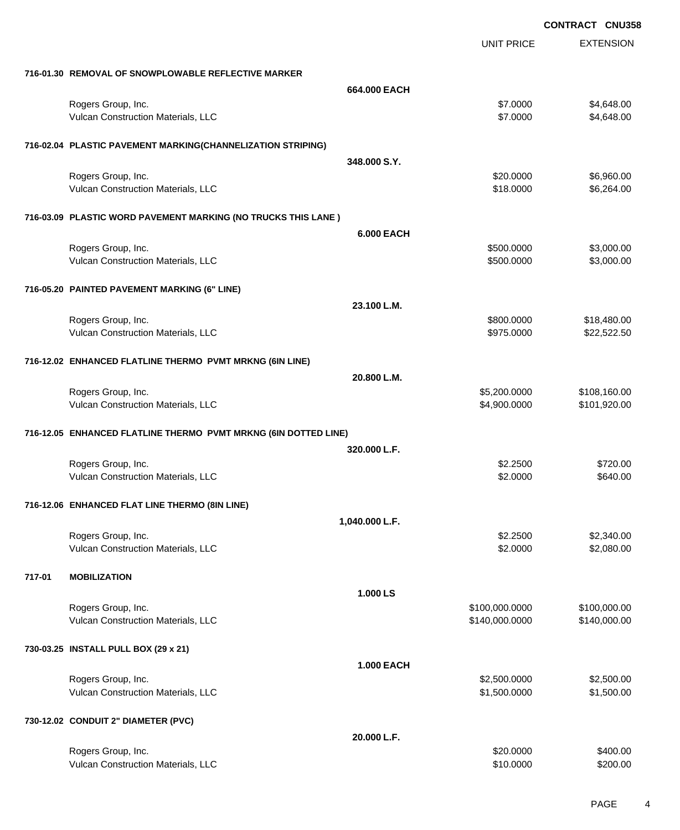|        |                                                                 |                   |                   | <b>CONTRACT CNU358</b> |
|--------|-----------------------------------------------------------------|-------------------|-------------------|------------------------|
|        |                                                                 |                   | <b>UNIT PRICE</b> | <b>EXTENSION</b>       |
|        | 716-01.30 REMOVAL OF SNOWPLOWABLE REFLECTIVE MARKER             |                   |                   |                        |
|        |                                                                 | 664.000 EACH      |                   |                        |
|        | Rogers Group, Inc.                                              |                   | \$7.0000          | \$4,648.00             |
|        | Vulcan Construction Materials, LLC                              |                   | \$7.0000          | \$4,648.00             |
|        | 716-02.04 PLASTIC PAVEMENT MARKING(CHANNELIZATION STRIPING)     |                   |                   |                        |
|        |                                                                 | 348.000 S.Y.      |                   |                        |
|        | Rogers Group, Inc.                                              |                   | \$20.0000         | \$6,960.00             |
|        | Vulcan Construction Materials, LLC                              |                   | \$18.0000         | \$6,264.00             |
|        | 716-03.09 PLASTIC WORD PAVEMENT MARKING (NO TRUCKS THIS LANE)   |                   |                   |                        |
|        |                                                                 | <b>6.000 EACH</b> |                   |                        |
|        | Rogers Group, Inc.                                              |                   | \$500.0000        | \$3,000.00             |
|        | Vulcan Construction Materials, LLC                              |                   | \$500.0000        | \$3,000.00             |
|        | 716-05.20 PAINTED PAVEMENT MARKING (6" LINE)                    |                   |                   |                        |
|        |                                                                 | 23.100 L.M.       |                   |                        |
|        | Rogers Group, Inc.                                              |                   | \$800.0000        | \$18,480.00            |
|        | Vulcan Construction Materials, LLC                              |                   | \$975.0000        | \$22,522.50            |
|        | 716-12.02 ENHANCED FLATLINE THERMO PVMT MRKNG (6IN LINE)        |                   |                   |                        |
|        |                                                                 | 20.800 L.M.       |                   |                        |
|        | Rogers Group, Inc.                                              |                   | \$5,200.0000      | \$108,160.00           |
|        | Vulcan Construction Materials, LLC                              |                   | \$4,900.0000      | \$101,920.00           |
|        | 716-12.05 ENHANCED FLATLINE THERMO PVMT MRKNG (6IN DOTTED LINE) |                   |                   |                        |
|        |                                                                 | 320.000 L.F.      |                   |                        |
|        | Rogers Group, Inc.                                              |                   | \$2.2500          | \$720.00               |
|        | Vulcan Construction Materials, LLC                              |                   | \$2.0000          | \$640.00               |
|        | 716-12.06 ENHANCED FLAT LINE THERMO (8IN LINE)                  |                   |                   |                        |
|        |                                                                 | 1,040.000 L.F.    |                   |                        |
|        | Rogers Group, Inc.                                              |                   | \$2.2500          | \$2,340.00             |
|        | Vulcan Construction Materials, LLC                              |                   | \$2.0000          | \$2,080.00             |
| 717-01 | <b>MOBILIZATION</b>                                             |                   |                   |                        |
|        |                                                                 | 1.000 LS          |                   |                        |
|        | Rogers Group, Inc.                                              |                   | \$100,000.0000    | \$100,000.00           |
|        | Vulcan Construction Materials, LLC                              |                   | \$140,000.0000    | \$140,000.00           |
|        | 730-03.25 INSTALL PULL BOX (29 x 21)                            |                   |                   |                        |
|        |                                                                 | <b>1.000 EACH</b> |                   |                        |
|        | Rogers Group, Inc.                                              |                   | \$2,500.0000      | \$2,500.00             |
|        | Vulcan Construction Materials, LLC                              |                   | \$1,500.0000      | \$1,500.00             |
|        | 730-12.02 CONDUIT 2" DIAMETER (PVC)                             |                   |                   |                        |
|        |                                                                 | 20.000 L.F.       |                   |                        |
|        | Rogers Group, Inc.<br>Vulcan Construction Materials, LLC        |                   | \$20.0000         | \$400.00               |
|        |                                                                 |                   | \$10.0000         | \$200.00               |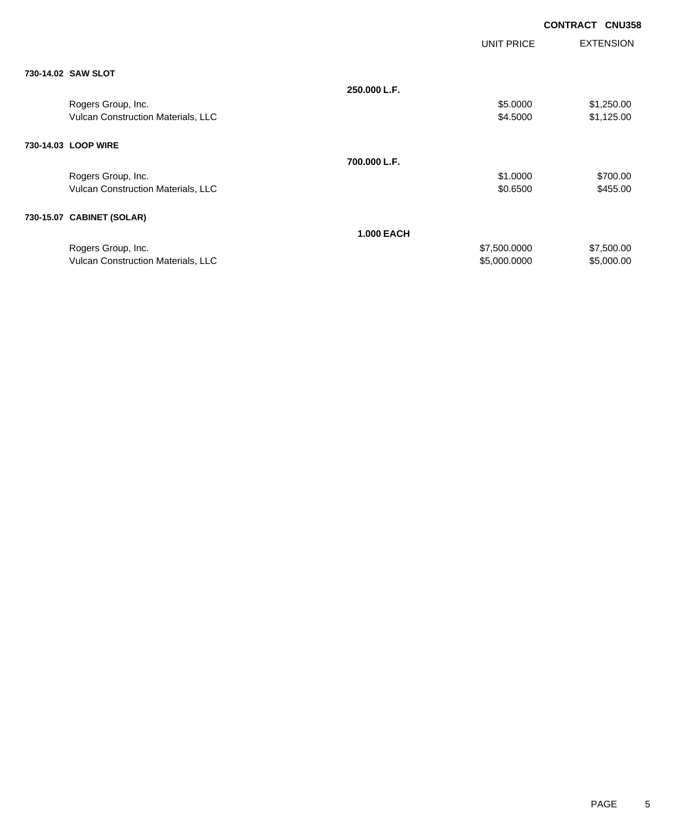|                                           |                   |                   | <b>CONTRACT CNU358</b> |
|-------------------------------------------|-------------------|-------------------|------------------------|
|                                           |                   | <b>UNIT PRICE</b> | <b>EXTENSION</b>       |
| 730-14.02 SAW SLOT                        |                   |                   |                        |
|                                           | 250.000 L.F.      |                   |                        |
| Rogers Group, Inc.                        |                   | \$5.0000          | \$1,250.00             |
| Vulcan Construction Materials, LLC        |                   | \$4.5000          | \$1,125.00             |
| 730-14.03 LOOP WIRE                       |                   |                   |                        |
|                                           | 700.000 L.F.      |                   |                        |
| Rogers Group, Inc.                        |                   | \$1.0000          | \$700.00               |
| Vulcan Construction Materials, LLC        |                   | \$0.6500          | \$455.00               |
| 730-15.07 CABINET (SOLAR)                 |                   |                   |                        |
|                                           | <b>1.000 EACH</b> |                   |                        |
| Rogers Group, Inc.                        |                   | \$7,500.0000      | \$7,500.00             |
| <b>Vulcan Construction Materials, LLC</b> |                   | \$5,000.0000      | \$5,000.00             |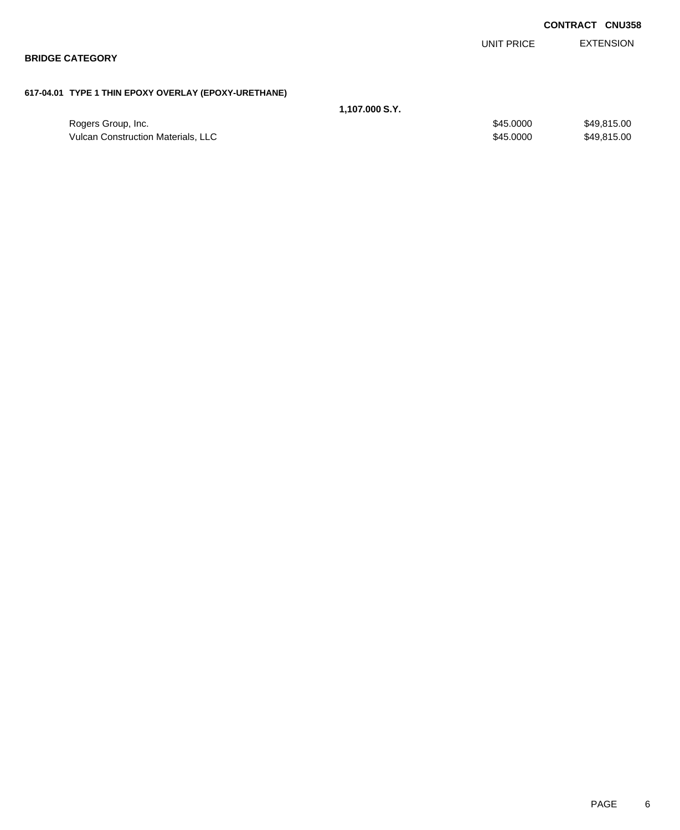|                                                      |                |            | <b>CONTRACT CNU358</b> |
|------------------------------------------------------|----------------|------------|------------------------|
|                                                      |                | UNIT PRICE | <b>EXTENSION</b>       |
| <b>BRIDGE CATEGORY</b>                               |                |            |                        |
|                                                      |                |            |                        |
| 617-04.01 TYPE 1 THIN EPOXY OVERLAY (EPOXY-URETHANE) |                |            |                        |
|                                                      | 1,107.000 S.Y. |            |                        |
| Rogers Group, Inc.                                   |                | \$45.0000  | \$49,815.00            |

Vulcan Construction Materials, LLC 6000 \$49,815.00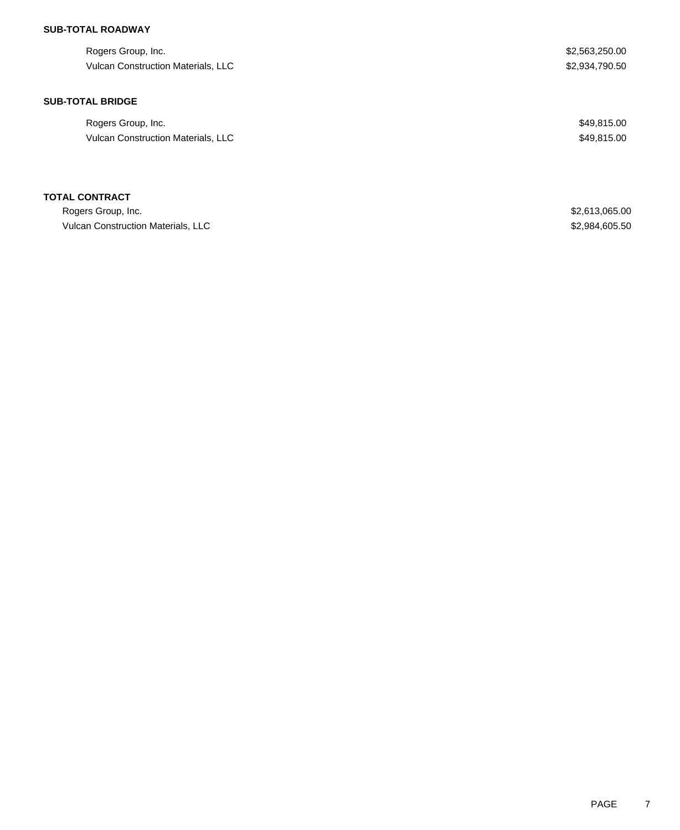### **SUB-TOTAL ROADWAY**

| Rogers Group, Inc.<br><b>Vulcan Construction Materials, LLC</b> | \$2,563,250.00<br>\$2,934,790.50 |
|-----------------------------------------------------------------|----------------------------------|
| <b>SUB-TOTAL BRIDGE</b>                                         |                                  |
| Rogers Group, Inc.                                              | \$49,815.00                      |
| <b>Vulcan Construction Materials, LLC</b>                       | \$49,815.00                      |
|                                                                 |                                  |
| <b>TOTAL CONTRACT</b>                                           |                                  |
| Rogers Group, Inc.                                              | \$2,613,065.00                   |
| Vulcan Construction Materials, LLC                              | \$2,984,605.50                   |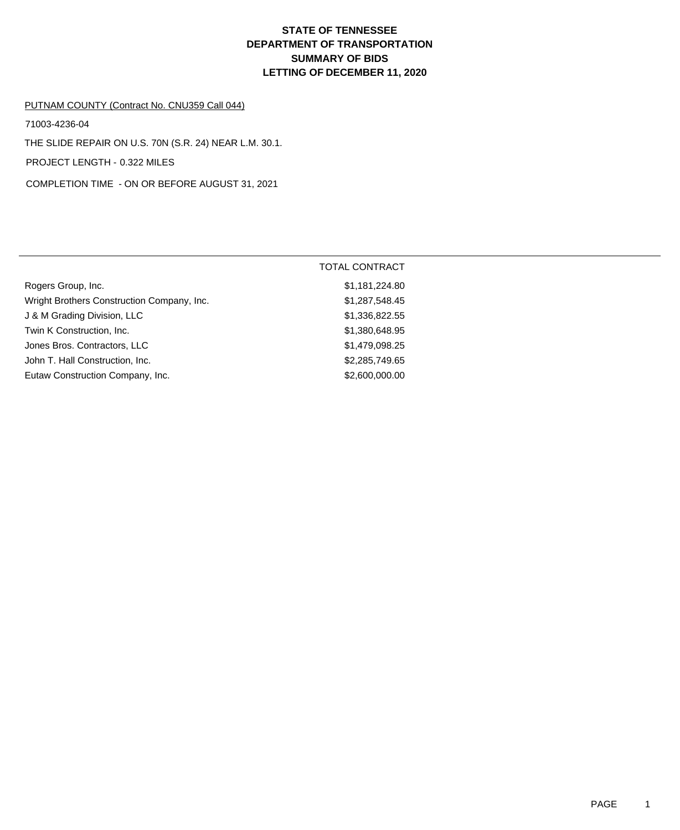# **DEPARTMENT OF TRANSPORTATION SUMMARY OF BIDS LETTING OF DECEMBER 11, 2020 STATE OF TENNESSEE**

### PUTNAM COUNTY (Contract No. CNU359 Call 044)

71003-4236-04

THE SLIDE REPAIR ON U.S. 70N (S.R. 24) NEAR L.M. 30.1.

PROJECT LENGTH - 0.322 MILES

COMPLETION TIME - ON OR BEFORE AUGUST 31, 2021

|                                            | <b>TOTAL CONTRACT</b> |
|--------------------------------------------|-----------------------|
| Rogers Group, Inc.                         | \$1,181,224.80        |
| Wright Brothers Construction Company, Inc. | \$1,287,548.45        |
| J & M Grading Division, LLC                | \$1,336,822.55        |
| Twin K Construction, Inc.                  | \$1,380,648.95        |
| Jones Bros. Contractors, LLC               | \$1,479,098.25        |
| John T. Hall Construction, Inc.            | \$2,285,749.65        |
| Eutaw Construction Company, Inc.           | \$2,600,000.00        |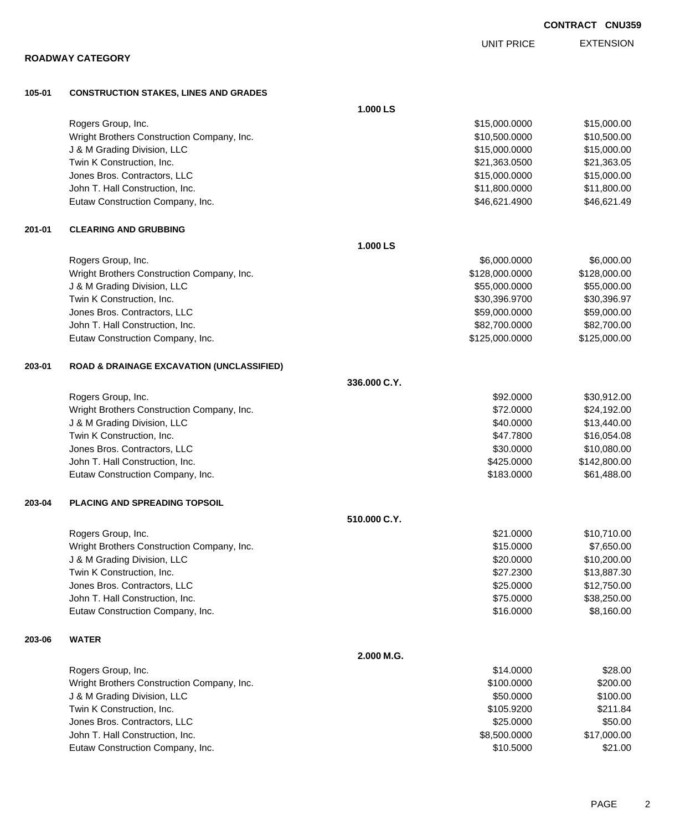|        | <b>ROADWAY CATEGORY</b>                                             |              | UNII PRIUE                      | <b>EATENSIUM</b>            |
|--------|---------------------------------------------------------------------|--------------|---------------------------------|-----------------------------|
| 105-01 | <b>CONSTRUCTION STAKES, LINES AND GRADES</b>                        |              |                                 |                             |
|        |                                                                     | 1.000 LS     |                                 |                             |
|        | Rogers Group, Inc.                                                  |              | \$15,000.0000                   | \$15,000.00                 |
|        | Wright Brothers Construction Company, Inc.                          |              | \$10,500.0000                   | \$10,500.00                 |
|        | J & M Grading Division, LLC                                         |              | \$15,000.0000                   | \$15,000.00                 |
|        | Twin K Construction, Inc.                                           |              | \$21,363.0500                   | \$21,363.05                 |
|        | Jones Bros. Contractors, LLC                                        |              | \$15,000.0000                   | \$15,000.00                 |
|        | John T. Hall Construction, Inc.                                     |              | \$11,800.0000                   | \$11,800.00                 |
|        | Eutaw Construction Company, Inc.                                    |              | \$46,621.4900                   | \$46,621.49                 |
| 201-01 | <b>CLEARING AND GRUBBING</b>                                        |              |                                 |                             |
|        |                                                                     | 1.000 LS     |                                 |                             |
|        | Rogers Group, Inc.                                                  |              | \$6,000.0000                    | \$6,000.00                  |
|        | Wright Brothers Construction Company, Inc.                          |              | \$128,000.0000                  | \$128,000.00                |
|        | J & M Grading Division, LLC                                         |              | \$55,000.0000                   | \$55,000.00                 |
|        | Twin K Construction, Inc.                                           |              | \$30,396.9700                   | \$30,396.97                 |
|        | Jones Bros. Contractors, LLC                                        |              | \$59,000.0000                   | \$59,000.00                 |
|        | John T. Hall Construction, Inc.<br>Eutaw Construction Company, Inc. |              | \$82,700.0000<br>\$125,000.0000 | \$82,700.00<br>\$125,000.00 |
|        |                                                                     |              |                                 |                             |
| 203-01 | <b>ROAD &amp; DRAINAGE EXCAVATION (UNCLASSIFIED)</b>                |              |                                 |                             |
|        |                                                                     | 336,000 C.Y. |                                 |                             |
|        | Rogers Group, Inc.                                                  |              | \$92.0000                       | \$30,912.00                 |
|        | Wright Brothers Construction Company, Inc.                          |              | \$72.0000                       | \$24,192.00                 |
|        | J & M Grading Division, LLC<br>Twin K Construction, Inc.            |              | \$40.0000<br>\$47.7800          | \$13,440.00                 |
|        | Jones Bros. Contractors, LLC                                        |              | \$30.0000                       | \$16,054.08<br>\$10,080.00  |
|        | John T. Hall Construction, Inc.                                     |              | \$425.0000                      | \$142,800.00                |
|        | Eutaw Construction Company, Inc.                                    |              | \$183.0000                      | \$61,488.00                 |
| 203-04 | PLACING AND SPREADING TOPSOIL                                       |              |                                 |                             |
|        |                                                                     | 510.000 C.Y. |                                 |                             |
|        | Rogers Group, Inc.                                                  |              | \$21.0000                       | \$10,710.00                 |
|        | Wright Brothers Construction Company, Inc.                          |              | \$15.0000                       | \$7,650.00                  |
|        | J & M Grading Division, LLC                                         |              | \$20.0000                       | \$10,200.00                 |
|        | Twin K Construction, Inc.                                           |              | \$27.2300                       | \$13,887.30                 |
|        | Jones Bros. Contractors, LLC                                        |              | \$25.0000                       | \$12,750.00                 |
|        | John T. Hall Construction, Inc.                                     |              | \$75.0000                       | \$38,250.00                 |
|        | Eutaw Construction Company, Inc.                                    |              | \$16.0000                       | \$8,160.00                  |
| 203-06 | <b>WATER</b>                                                        |              |                                 |                             |
|        |                                                                     | 2.000 M.G.   |                                 |                             |
|        | Rogers Group, Inc.                                                  |              | \$14.0000                       | \$28.00                     |
|        | Wright Brothers Construction Company, Inc.                          |              | \$100.0000                      | \$200.00                    |
|        | J & M Grading Division, LLC                                         |              | \$50.0000                       | \$100.00                    |
|        | Twin K Construction, Inc.                                           |              | \$105.9200                      | \$211.84                    |
|        | Jones Bros. Contractors, LLC                                        |              | \$25.0000                       | \$50.00                     |
|        | John T. Hall Construction, Inc.                                     |              | \$8,500.0000                    | \$17,000.00                 |
|        | Eutaw Construction Company, Inc.                                    |              | \$10.5000                       | \$21.00                     |

EXTENSION UNIT PRICE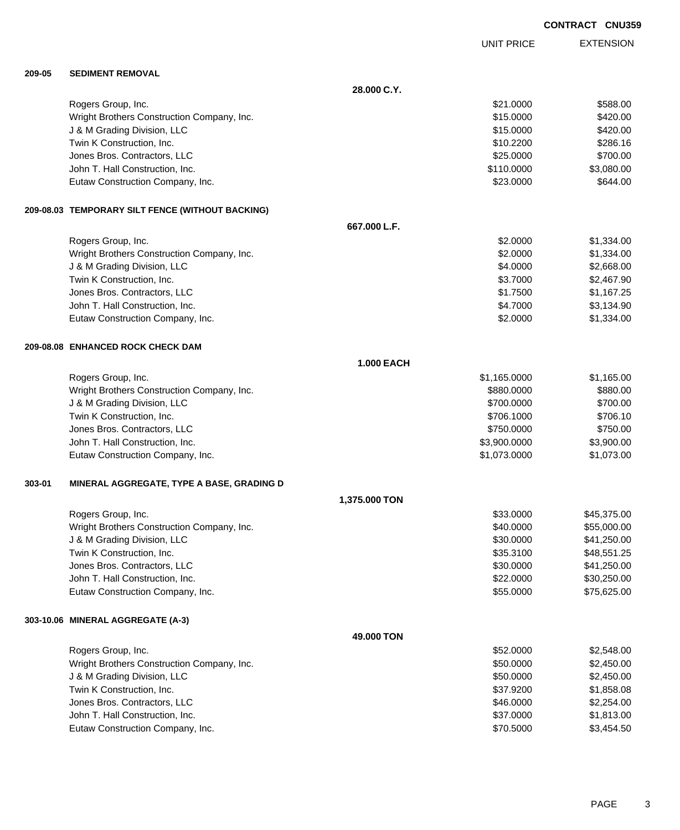EXTENSION UNIT PRICE

#### **209-05 SEDIMENT REMOVAL**

|        |                                                  | 28.000 C.Y.       |              |             |
|--------|--------------------------------------------------|-------------------|--------------|-------------|
|        | Rogers Group, Inc.                               |                   | \$21.0000    | \$588.00    |
|        | Wright Brothers Construction Company, Inc.       |                   | \$15.0000    | \$420.00    |
|        | J & M Grading Division, LLC                      |                   | \$15.0000    | \$420.00    |
|        | Twin K Construction, Inc.                        |                   | \$10.2200    | \$286.16    |
|        | Jones Bros. Contractors, LLC                     |                   | \$25.0000    | \$700.00    |
|        | John T. Hall Construction, Inc.                  |                   | \$110.0000   | \$3,080.00  |
|        | Eutaw Construction Company, Inc.                 |                   | \$23.0000    | \$644.00    |
|        | 209-08.03 TEMPORARY SILT FENCE (WITHOUT BACKING) |                   |              |             |
|        |                                                  | 667.000 L.F.      |              |             |
|        | Rogers Group, Inc.                               |                   | \$2.0000     | \$1,334.00  |
|        | Wright Brothers Construction Company, Inc.       |                   | \$2.0000     | \$1,334.00  |
|        | J & M Grading Division, LLC                      |                   | \$4.0000     | \$2,668.00  |
|        | Twin K Construction, Inc.                        |                   | \$3.7000     | \$2,467.90  |
|        | Jones Bros. Contractors, LLC                     |                   | \$1.7500     | \$1,167.25  |
|        | John T. Hall Construction, Inc.                  |                   | \$4.7000     | \$3,134.90  |
|        | Eutaw Construction Company, Inc.                 |                   | \$2.0000     | \$1,334.00  |
|        | 209-08.08 ENHANCED ROCK CHECK DAM                |                   |              |             |
|        |                                                  | <b>1.000 EACH</b> |              |             |
|        | Rogers Group, Inc.                               |                   | \$1,165.0000 | \$1,165.00  |
|        | Wright Brothers Construction Company, Inc.       |                   | \$880.0000   | \$880.00    |
|        | J & M Grading Division, LLC                      |                   | \$700.0000   | \$700.00    |
|        | Twin K Construction, Inc.                        |                   | \$706.1000   | \$706.10    |
|        | Jones Bros. Contractors, LLC                     |                   | \$750.0000   | \$750.00    |
|        | John T. Hall Construction, Inc.                  |                   | \$3,900.0000 | \$3,900.00  |
|        | Eutaw Construction Company, Inc.                 |                   | \$1,073.0000 | \$1,073.00  |
| 303-01 | MINERAL AGGREGATE, TYPE A BASE, GRADING D        |                   |              |             |
|        |                                                  | 1,375.000 TON     |              |             |
|        | Rogers Group, Inc.                               |                   | \$33.0000    | \$45,375.00 |
|        | Wright Brothers Construction Company, Inc.       |                   | \$40.0000    | \$55,000.00 |
|        | J & M Grading Division, LLC                      |                   | \$30.0000    | \$41,250.00 |
|        | Twin K Construction, Inc.                        |                   | \$35.3100    | \$48,551.25 |
|        | Jones Bros. Contractors, LLC                     |                   | \$30.0000    | \$41,250.00 |
|        | John T. Hall Construction, Inc.                  |                   | \$22.0000    | \$30,250.00 |
|        | Eutaw Construction Company, Inc.                 |                   | \$55.0000    | \$75,625.00 |
|        | 303-10.06 MINERAL AGGREGATE (A-3)                |                   |              |             |
|        |                                                  | 49.000 TON        |              |             |
|        | Rogers Group, Inc.                               |                   | \$52.0000    | \$2,548.00  |
|        | Wright Brothers Construction Company, Inc.       |                   | \$50.0000    | \$2,450.00  |
|        | J & M Grading Division, LLC                      |                   | \$50.0000    | \$2,450.00  |
|        | Twin K Construction, Inc.                        |                   | \$37.9200    | \$1,858.08  |
|        | Jones Bros. Contractors, LLC                     |                   | \$46.0000    | \$2,254.00  |
|        | John T. Hall Construction, Inc.                  |                   | \$37.0000    | \$1,813.00  |
|        | Eutaw Construction Company, Inc.                 |                   | \$70.5000    | \$3,454.50  |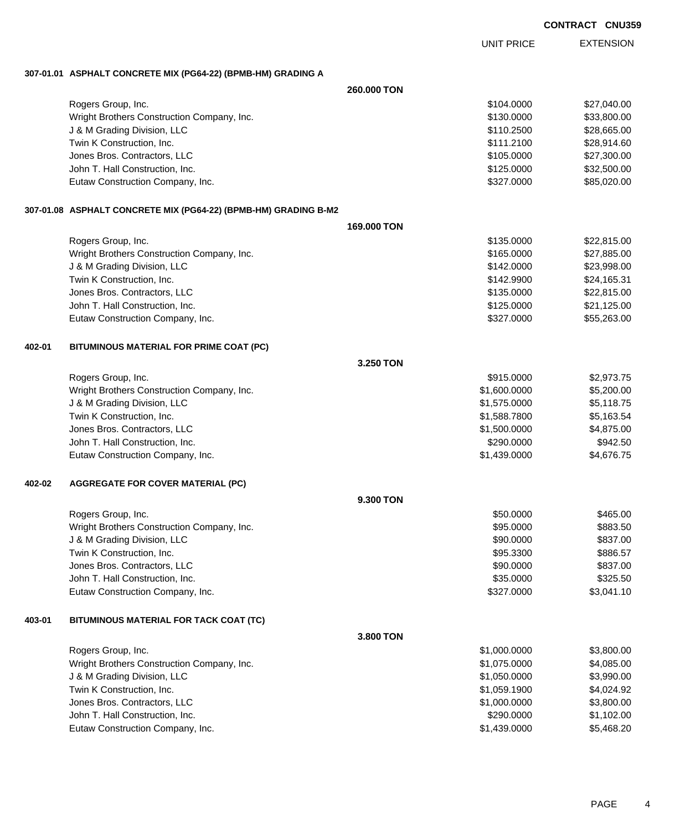EXTENSION UNIT PRICE

### **307-01.01 ASPHALT CONCRETE MIX (PG64-22) (BPMB-HM) GRADING A**

|        |                                                                 | 260,000 TON |              |             |
|--------|-----------------------------------------------------------------|-------------|--------------|-------------|
|        | Rogers Group, Inc.                                              |             | \$104.0000   | \$27,040.00 |
|        | Wright Brothers Construction Company, Inc.                      |             | \$130.0000   | \$33,800.00 |
|        | J & M Grading Division, LLC                                     |             | \$110.2500   | \$28,665.00 |
|        | Twin K Construction, Inc.                                       |             | \$111.2100   | \$28,914.60 |
|        | Jones Bros. Contractors, LLC                                    |             | \$105.0000   | \$27,300.00 |
|        | John T. Hall Construction, Inc.                                 |             | \$125.0000   | \$32,500.00 |
|        | Eutaw Construction Company, Inc.                                |             | \$327.0000   | \$85,020.00 |
|        | 307-01.08 ASPHALT CONCRETE MIX (PG64-22) (BPMB-HM) GRADING B-M2 |             |              |             |
|        |                                                                 | 169.000 TON |              |             |
|        | Rogers Group, Inc.                                              |             | \$135.0000   | \$22,815.00 |
|        | Wright Brothers Construction Company, Inc.                      |             | \$165.0000   | \$27,885.00 |
|        | J & M Grading Division, LLC                                     |             | \$142.0000   | \$23,998.00 |
|        | Twin K Construction, Inc.                                       |             | \$142.9900   | \$24,165.31 |
|        | Jones Bros. Contractors, LLC                                    |             | \$135.0000   | \$22,815.00 |
|        | John T. Hall Construction, Inc.                                 |             | \$125.0000   | \$21,125.00 |
|        | Eutaw Construction Company, Inc.                                |             | \$327.0000   | \$55,263.00 |
| 402-01 | BITUMINOUS MATERIAL FOR PRIME COAT (PC)                         |             |              |             |
|        |                                                                 | 3.250 TON   |              |             |
|        | Rogers Group, Inc.                                              |             | \$915.0000   | \$2,973.75  |
|        | Wright Brothers Construction Company, Inc.                      |             | \$1,600.0000 | \$5,200.00  |
|        | J & M Grading Division, LLC                                     |             | \$1,575.0000 | \$5,118.75  |
|        | Twin K Construction, Inc.                                       |             | \$1,588.7800 | \$5,163.54  |
|        | Jones Bros. Contractors, LLC                                    |             | \$1,500.0000 | \$4,875.00  |
|        | John T. Hall Construction, Inc.                                 |             | \$290.0000   | \$942.50    |
|        | Eutaw Construction Company, Inc.                                |             | \$1,439.0000 | \$4,676.75  |
| 402-02 | <b>AGGREGATE FOR COVER MATERIAL (PC)</b>                        |             |              |             |
|        |                                                                 | 9.300 TON   |              |             |
|        | Rogers Group, Inc.                                              |             | \$50.0000    | \$465.00    |
|        | Wright Brothers Construction Company, Inc.                      |             | \$95.0000    | \$883.50    |
|        | J & M Grading Division, LLC                                     |             | \$90.0000    | \$837.00    |
|        | Twin K Construction, Inc.                                       |             | \$95.3300    | \$886.57    |
|        | Jones Bros. Contractors, LLC                                    |             | \$90.0000    | \$837.00    |
|        | John T. Hall Construction, Inc.                                 |             | \$35.0000    | \$325.50    |
|        | Eutaw Construction Company, Inc.                                |             | \$327.0000   | \$3,041.10  |
| 403-01 | BITUMINOUS MATERIAL FOR TACK COAT (TC)                          |             |              |             |
|        |                                                                 | 3.800 TON   |              |             |
|        | Rogers Group, Inc.                                              |             | \$1,000.0000 | \$3,800.00  |
|        | Wright Brothers Construction Company, Inc.                      |             | \$1,075.0000 | \$4,085.00  |
|        | J & M Grading Division, LLC                                     |             | \$1,050.0000 | \$3,990.00  |
|        | Twin K Construction, Inc.                                       |             | \$1,059.1900 | \$4,024.92  |
|        | Jones Bros. Contractors, LLC                                    |             | \$1,000.0000 | \$3,800.00  |
|        | John T. Hall Construction, Inc.                                 |             | \$290.0000   | \$1,102.00  |
|        | Eutaw Construction Company, Inc.                                |             | \$1,439.0000 | \$5,468.20  |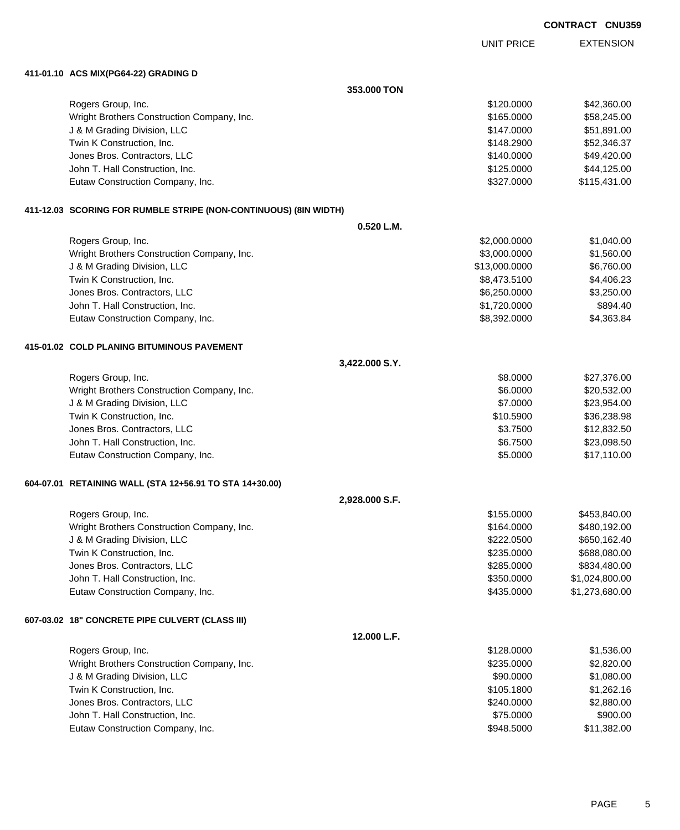EXTENSION UNIT PRICE

### **411-01.10 ACS MIX(PG64-22) GRADING D**

|                                                                  | 353.000 TON    |                |  |
|------------------------------------------------------------------|----------------|----------------|--|
| Rogers Group, Inc.                                               | \$120.0000     | \$42,360.00    |  |
| Wright Brothers Construction Company, Inc.                       | \$165.0000     | \$58,245.00    |  |
| J & M Grading Division, LLC                                      | \$147.0000     | \$51,891.00    |  |
| Twin K Construction, Inc.                                        | \$148.2900     | \$52,346.37    |  |
| Jones Bros. Contractors, LLC                                     | \$140.0000     | \$49,420.00    |  |
| John T. Hall Construction, Inc.                                  | \$125.0000     | \$44,125.00    |  |
| Eutaw Construction Company, Inc.                                 | \$327.0000     | \$115,431.00   |  |
| 411-12.03 SCORING FOR RUMBLE STRIPE (NON-CONTINUOUS) (8IN WIDTH) |                |                |  |
|                                                                  | 0.520 L.M.     |                |  |
| Rogers Group, Inc.                                               | \$2,000.0000   | \$1,040.00     |  |
| Wright Brothers Construction Company, Inc.                       | \$3,000.0000   | \$1,560.00     |  |
| J & M Grading Division, LLC                                      | \$13,000.0000  | \$6,760.00     |  |
| Twin K Construction, Inc.                                        | \$8,473.5100   | \$4,406.23     |  |
| Jones Bros. Contractors, LLC                                     | \$6,250.0000   | \$3,250.00     |  |
| John T. Hall Construction, Inc.                                  | \$1,720.0000   | \$894.40       |  |
| Eutaw Construction Company, Inc.                                 | \$8,392.0000   | \$4,363.84     |  |
| 415-01.02 COLD PLANING BITUMINOUS PAVEMENT                       |                |                |  |
|                                                                  | 3,422.000 S.Y. |                |  |
| Rogers Group, Inc.                                               | \$8.0000       | \$27,376.00    |  |
| Wright Brothers Construction Company, Inc.                       | \$6.0000       | \$20,532.00    |  |
| J & M Grading Division, LLC                                      | \$7.0000       | \$23,954.00    |  |
| Twin K Construction, Inc.                                        | \$10.5900      | \$36,238.98    |  |
| Jones Bros. Contractors, LLC                                     | \$3.7500       | \$12,832.50    |  |
| John T. Hall Construction, Inc.                                  | \$6.7500       | \$23,098.50    |  |
| Eutaw Construction Company, Inc.                                 | \$5.0000       | \$17,110.00    |  |
| 604-07.01 RETAINING WALL (STA 12+56.91 TO STA 14+30.00)          |                |                |  |
|                                                                  | 2,928.000 S.F. |                |  |
| Rogers Group, Inc.                                               | \$155.0000     | \$453,840.00   |  |
| Wright Brothers Construction Company, Inc.                       | \$164.0000     | \$480,192.00   |  |
| J & M Grading Division, LLC                                      | \$222.0500     | \$650,162.40   |  |
| Twin K Construction, Inc.                                        | \$235.0000     | \$688,080.00   |  |
| Jones Bros. Contractors, LLC                                     | \$285.0000     | \$834,480.00   |  |
| John T. Hall Construction, Inc.                                  | \$350.0000     | \$1,024,800.00 |  |
| Eutaw Construction Company, Inc.                                 | \$435.0000     | \$1,273,680.00 |  |
| 607-03.02 18" CONCRETE PIPE CULVERT (CLASS III)                  |                |                |  |
|                                                                  | 12.000 L.F.    |                |  |
| Rogers Group, Inc.                                               | \$128.0000     | \$1,536.00     |  |
| Wright Brothers Construction Company, Inc.                       | \$235.0000     | \$2,820.00     |  |
| J & M Grading Division, LLC                                      | \$90.0000      | \$1,080.00     |  |
| Twin K Construction, Inc.                                        | \$105.1800     | \$1,262.16     |  |
| Jones Bros. Contractors, LLC                                     | \$240.0000     | \$2,880.00     |  |
| John T. Hall Construction, Inc.                                  | \$75.0000      | \$900.00       |  |
| Eutaw Construction Company, Inc.                                 | \$948.5000     | \$11,382.00    |  |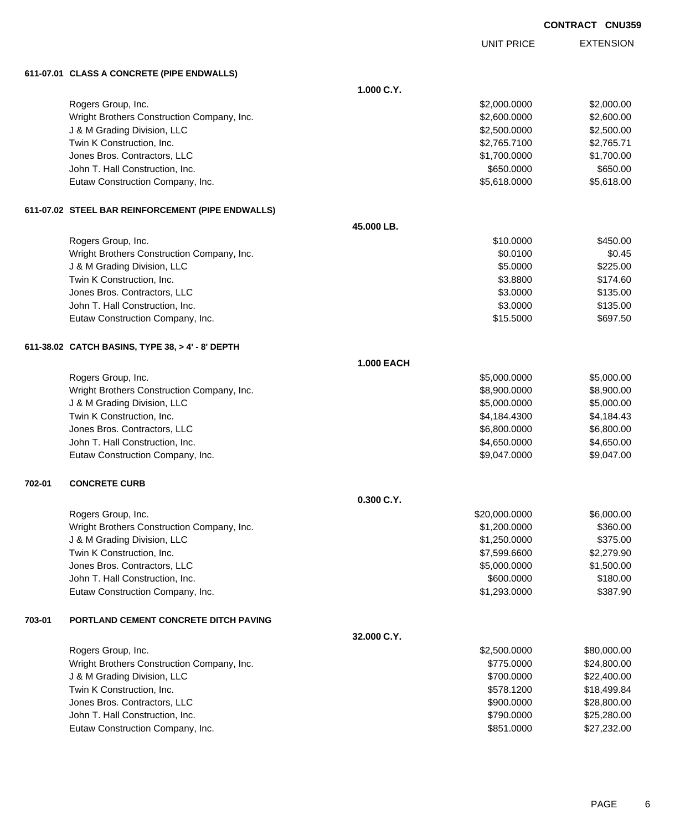|        |                                                   |                   | <b>UNIT PRICE</b> | <b>EXTENSION</b> |
|--------|---------------------------------------------------|-------------------|-------------------|------------------|
|        | 611-07.01 CLASS A CONCRETE (PIPE ENDWALLS)        |                   |                   |                  |
|        |                                                   | 1.000 C.Y.        |                   |                  |
|        | Rogers Group, Inc.                                |                   | \$2,000.0000      | \$2,000.00       |
|        | Wright Brothers Construction Company, Inc.        |                   | \$2,600.0000      | \$2,600.00       |
|        | J & M Grading Division, LLC                       |                   | \$2,500.0000      | \$2,500.00       |
|        | Twin K Construction, Inc.                         |                   | \$2,765.7100      | \$2,765.71       |
|        | Jones Bros. Contractors, LLC                      |                   | \$1,700.0000      | \$1,700.00       |
|        | John T. Hall Construction, Inc.                   |                   | \$650.0000        | \$650.00         |
|        | Eutaw Construction Company, Inc.                  |                   | \$5,618.0000      | \$5,618.00       |
|        | 611-07.02 STEEL BAR REINFORCEMENT (PIPE ENDWALLS) |                   |                   |                  |
|        |                                                   | 45.000 LB.        |                   |                  |
|        | Rogers Group, Inc.                                |                   | \$10.0000         | \$450.00         |
|        | Wright Brothers Construction Company, Inc.        |                   | \$0.0100          | \$0.45           |
|        | J & M Grading Division, LLC                       |                   | \$5.0000          | \$225.00         |
|        | Twin K Construction, Inc.                         |                   | \$3.8800          | \$174.60         |
|        | Jones Bros. Contractors, LLC                      |                   | \$3.0000          | \$135.00         |
|        | John T. Hall Construction, Inc.                   |                   | \$3.0000          | \$135.00         |
|        | Eutaw Construction Company, Inc.                  |                   | \$15.5000         | \$697.50         |
|        | 611-38.02 CATCH BASINS, TYPE 38, > 4' - 8' DEPTH  |                   |                   |                  |
|        |                                                   | <b>1.000 EACH</b> |                   |                  |
|        | Rogers Group, Inc.                                |                   | \$5,000.0000      | \$5,000.00       |
|        | Wright Brothers Construction Company, Inc.        |                   | \$8,900.0000      | \$8,900.00       |
|        | J & M Grading Division, LLC                       |                   | \$5,000.0000      | \$5,000.00       |
|        | Twin K Construction, Inc.                         |                   | \$4,184.4300      | \$4,184.43       |
|        | Jones Bros. Contractors, LLC                      |                   | \$6,800.0000      | \$6,800.00       |
|        | John T. Hall Construction, Inc.                   |                   | \$4,650.0000      | \$4,650.00       |
|        | Eutaw Construction Company, Inc.                  |                   | \$9,047.0000      | \$9,047.00       |
| 702-01 | <b>CONCRETE CURB</b>                              |                   |                   |                  |
|        |                                                   | 0.300 C.Y.        |                   |                  |
|        | Rogers Group, Inc.                                |                   | \$20,000.0000     | \$6,000.00       |
|        | Wright Brothers Construction Company, Inc.        |                   | \$1,200.0000      | \$360.00         |
|        | J & M Grading Division, LLC                       |                   | \$1,250.0000      | \$375.00         |
|        | Twin K Construction, Inc.                         |                   | \$7,599.6600      | \$2,279.90       |
|        | Jones Bros. Contractors, LLC                      |                   | \$5,000.0000      | \$1,500.00       |
|        | John T. Hall Construction, Inc.                   |                   | \$600.0000        | \$180.00         |
|        | Eutaw Construction Company, Inc.                  |                   | \$1,293.0000      | \$387.90         |
| 703-01 | PORTLAND CEMENT CONCRETE DITCH PAVING             |                   |                   |                  |
|        |                                                   | 32.000 C.Y.       |                   |                  |
|        | Rogers Group, Inc.                                |                   | \$2,500.0000      | \$80,000.00      |
|        | Wright Brothers Construction Company, Inc.        |                   | \$775.0000        | \$24,800.00      |
|        | J & M Grading Division, LLC                       |                   | \$700.0000        | \$22,400.00      |
|        | Twin K Construction, Inc.                         |                   | \$578.1200        | \$18,499.84      |
|        | Jones Bros. Contractors, LLC                      |                   | \$900.0000        | \$28,800.00      |
|        | John T. Hall Construction, Inc.                   |                   | \$790.0000        | \$25,280.00      |

Eutaw Construction Company, Inc. 6. The Construction Company, Inc. 6. The Construction Company, Inc.

**CONTRACT CNU359**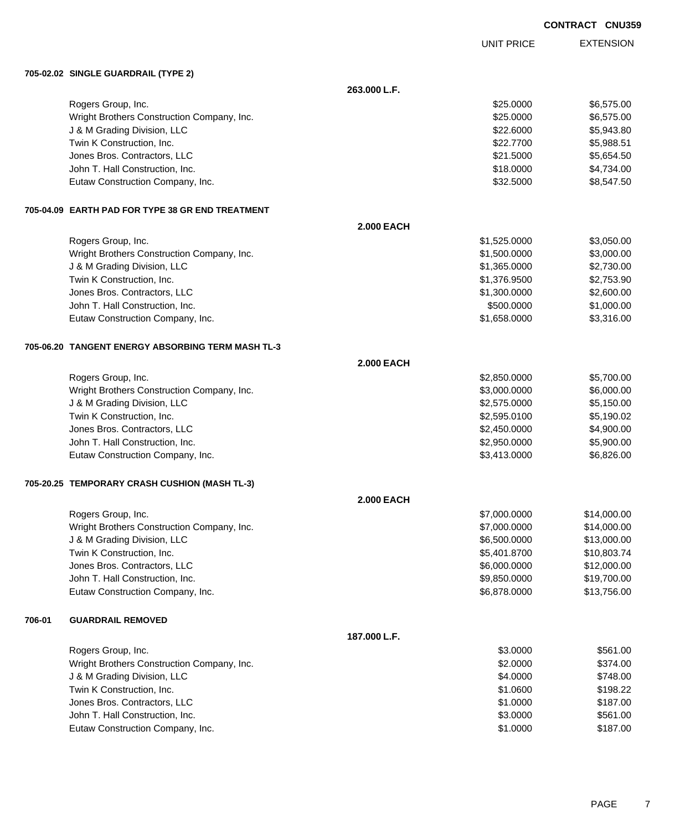**EXTENSION** UNIT PRICE **705-02.02 SINGLE GUARDRAIL (TYPE 2) 263.000 L.F.** Rogers Group, Inc. \$25.000 \$6,575.00 Wright Brothers Construction Company, Inc.  $$25.000$  \$6,575.00 J & M Grading Division, LLC \$22.6000 \$5,943.80 Twin K Construction, Inc. 6. The Construction, Inc. 6. The Construction, Inc. 6. The Construction, Inc. 6. The Construction of the Construction, Inc. 6. The Construction of the Construction of the Construction of the Const Jones Bros. Contractors, LLC \$21.5000 \$5,654.50 John T. Hall Construction, Inc. 66 and the state of the state of the state of the state of the state of the state of the state of the state of the state of the state of the state of the state of the state of the state of t Eutaw Construction Company, Inc. 6. The Construction Company, Inc. 6. The Construction Company, Inc. 6. The Construction Company, Inc. 6. The Construction Company, Inc. 6. The Construction Company, Inc. 6. The Construction **705-04.09 EARTH PAD FOR TYPE 38 GR END TREATMENT 2.000 EACH** Rogers Group, Inc. \$1,525.0000 \$3,050.00 Wright Brothers Construction Company, Inc. 6. The Construction Company, Inc. \$1,500.000 \$3,000.00 J & M Grading Division, LLC \$1,365.0000 \$2,730.00 Twin K Construction, Inc. \$1,376.9500 \$2,753.90 Jones Bros. Contractors, LLC \$1,300.0000 \$2,600.00 John T. Hall Construction, Inc. 6. The Construction, Inc. 6. The Construction of the Construction, Inc. 6. The Construction of the Construction of the Construction of the Construction of the Construction of the Constructio Eutaw Construction Company, Inc. 6. The Construction Company, Inc. 6. The Construction Company, Inc. 6. The Construction Company, Inc. 6. The Construction Company, Inc. 6. The Construction Company, Inc. 6. The Construction **705-06.20 TANGENT ENERGY ABSORBING TERM MASH TL-3 2.000 EACH** Rogers Group, Inc. \$2,850.0000 \$5,700.00 Wright Brothers Construction Company, Inc. 6. 2008. The state of the state of the state of the state of the state of the state of the state of the state of the state of the state of the state of the state of the state of t J & M Grading Division, LLC \$2,575.0000 \$5,150.00 Twin K Construction, Inc. \$2,595.0100 \$5,190.02 Jones Bros. Contractors, LLC \$2,450.0000 \$4,900.00 John T. Hall Construction, Inc. \$2,950.0000 \$5,900.00 Eutaw Construction Company, Inc. 6.6226.00 \$5,413.0000 \$6,826.00 **705-20.25 TEMPORARY CRASH CUSHION (MASH TL-3) 2.000 EACH** Rogers Group, Inc. \$7,000.0000 \$14,000.000 \$14,000.000 \$14,000.000 \$14,000.000 \$15,000.000 \$15,000.00 \$14,000 Wright Brothers Construction Company, Inc. 6. The Construction Company, Inc. 6. The Construction Company, Inc. 6. The Construction Company, Inc. 6. The Construction Company, Inc. 6. The Construction Company, Inc. 6. The Co J & M Grading Division, LLC \$6,500.0000 \$13,000.00 Twin K Construction, Inc. 6.6 and the state of the state of the state of the state of the state of the state of the state of the state of the state of the state of the state of the state of the state of the state of the st Jones Bros. Contractors, LLC \$6,000.0000 \$12,000.00 John T. Hall Construction, Inc. 6. The Construction of the Construction of the Construction, Inc. 6. The Construction of the Construction of the Construction of the Construction of the Construction of the Construction of t Eutaw Construction Company, Inc. 6. The Construction Company, Inc. 6.6878.0000 \$13,756.00 **706-01 GUARDRAIL REMOVED 187.000 L.F.** Rogers Group, Inc. \$561.00 \$561.00 \$561.00 \$561.00 \$561.00 \$561.00 \$561.00 \$561.00 \$561.00 \$561.00 \$561.00 \$56 Wright Brothers Construction Company, Inc. 6374.00 \$374.00 J & M Grading Division, LLC 6 and the Contract of the Contract of the State of the State of the State of the State of State of the State of State of State of State of State of the State of State of State of State of State Twin K Construction, Inc. 6. The Construction of the Construction, Inc. 6. The Construction, Inc. 6.198.22 Jones Bros. Contractors, LLC \$1.0000 \$187.00 John T. Hall Construction, Inc. 6561.00 Eutaw Construction Company, Inc. 6. 2012 12:30 12:30 12:30 12:30 12:30 12:30 12:30 12:30 12:30 12:30 12:30 12:30 12:30 12:30 12:30 12:30 12:30 12:30 12:30 12:30 12:30 12:30 12:30 12:30 12:30 12:30 12:30 12:30 12:30 12:30 1

**CONTRACT CNU359**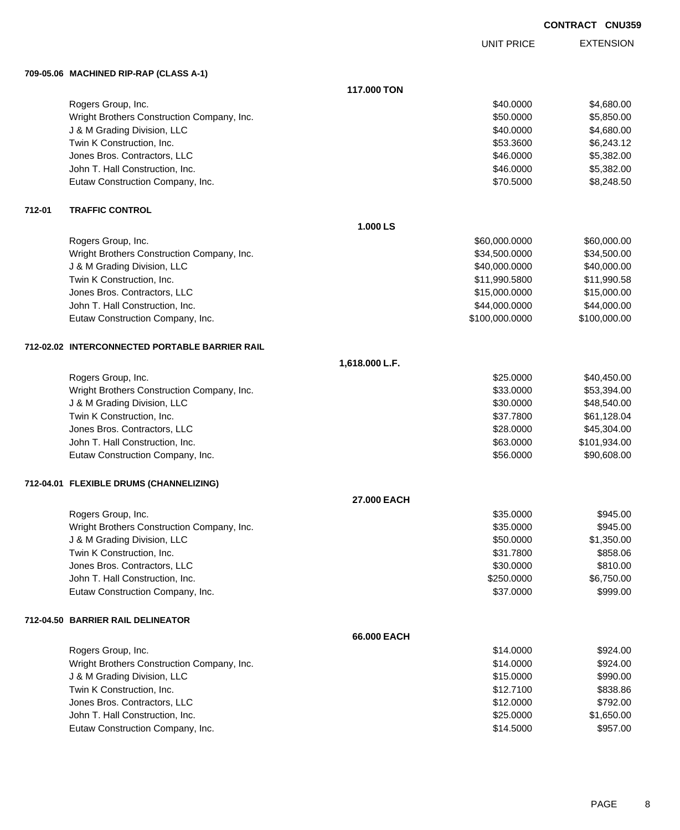EXTENSION UNIT PRICE

### **709-05.06 MACHINED RIP-RAP (CLASS A-1)**

|        |                                                | 117.000 TON    |                |              |
|--------|------------------------------------------------|----------------|----------------|--------------|
|        | Rogers Group, Inc.                             |                | \$40.0000      | \$4,680.00   |
|        | Wright Brothers Construction Company, Inc.     |                | \$50.0000      | \$5,850.00   |
|        | J & M Grading Division, LLC                    |                | \$40.0000      | \$4,680.00   |
|        | Twin K Construction, Inc.                      |                | \$53.3600      | \$6,243.12   |
|        | Jones Bros. Contractors, LLC                   |                | \$46.0000      | \$5,382.00   |
|        | John T. Hall Construction, Inc.                |                | \$46.0000      | \$5,382.00   |
|        | Eutaw Construction Company, Inc.               |                | \$70.5000      | \$8,248.50   |
| 712-01 | <b>TRAFFIC CONTROL</b>                         |                |                |              |
|        |                                                | 1.000 LS       |                |              |
|        | Rogers Group, Inc.                             |                | \$60,000.0000  | \$60,000.00  |
|        | Wright Brothers Construction Company, Inc.     |                | \$34,500.0000  | \$34,500.00  |
|        | J & M Grading Division, LLC                    |                | \$40,000.0000  | \$40,000.00  |
|        | Twin K Construction, Inc.                      |                | \$11,990.5800  | \$11,990.58  |
|        | Jones Bros. Contractors, LLC                   |                | \$15,000.0000  | \$15,000.00  |
|        | John T. Hall Construction, Inc.                |                | \$44,000.0000  | \$44,000.00  |
|        | Eutaw Construction Company, Inc.               |                | \$100,000.0000 | \$100,000.00 |
|        | 712-02.02 INTERCONNECTED PORTABLE BARRIER RAIL |                |                |              |
|        |                                                | 1,618.000 L.F. |                |              |
|        | Rogers Group, Inc.                             |                | \$25.0000      | \$40,450.00  |
|        | Wright Brothers Construction Company, Inc.     |                | \$33.0000      | \$53,394.00  |
|        | J & M Grading Division, LLC                    |                | \$30.0000      | \$48,540.00  |
|        | Twin K Construction, Inc.                      |                | \$37.7800      | \$61,128.04  |
|        | Jones Bros. Contractors, LLC                   |                | \$28.0000      | \$45,304.00  |
|        | John T. Hall Construction, Inc.                |                | \$63.0000      | \$101,934.00 |
|        | Eutaw Construction Company, Inc.               |                | \$56.0000      | \$90,608.00  |
|        | 712-04.01 FLEXIBLE DRUMS (CHANNELIZING)        |                |                |              |
|        |                                                | 27.000 EACH    |                |              |
|        | Rogers Group, Inc.                             |                | \$35.0000      | \$945.00     |
|        | Wright Brothers Construction Company, Inc.     |                | \$35.0000      | \$945.00     |
|        | J & M Grading Division, LLC                    |                | \$50.0000      | \$1,350.00   |
|        | Twin K Construction, Inc.                      |                | \$31.7800      | \$858.06     |
|        | Jones Bros. Contractors, LLC                   |                | \$30.0000      | \$810.00     |
|        | John T. Hall Construction, Inc.                |                | \$250.0000     | \$6,750.00   |
|        | Eutaw Construction Company, Inc.               |                | \$37.0000      | \$999.00     |
|        | 712-04.50 BARRIER RAIL DELINEATOR              |                |                |              |
|        |                                                | 66.000 EACH    |                |              |
|        | Rogers Group, Inc.                             |                | \$14.0000      | \$924.00     |
|        | Wright Brothers Construction Company, Inc.     |                | \$14.0000      | \$924.00     |
|        | J & M Grading Division, LLC                    |                | \$15.0000      | \$990.00     |
|        | Twin K Construction, Inc.                      |                | \$12.7100      | \$838.86     |
|        | Jones Bros. Contractors, LLC                   |                | \$12.0000      | \$792.00     |
|        | John T. Hall Construction, Inc.                |                | \$25.0000      | \$1,650.00   |
|        | Eutaw Construction Company, Inc.               |                | \$14.5000      | \$957.00     |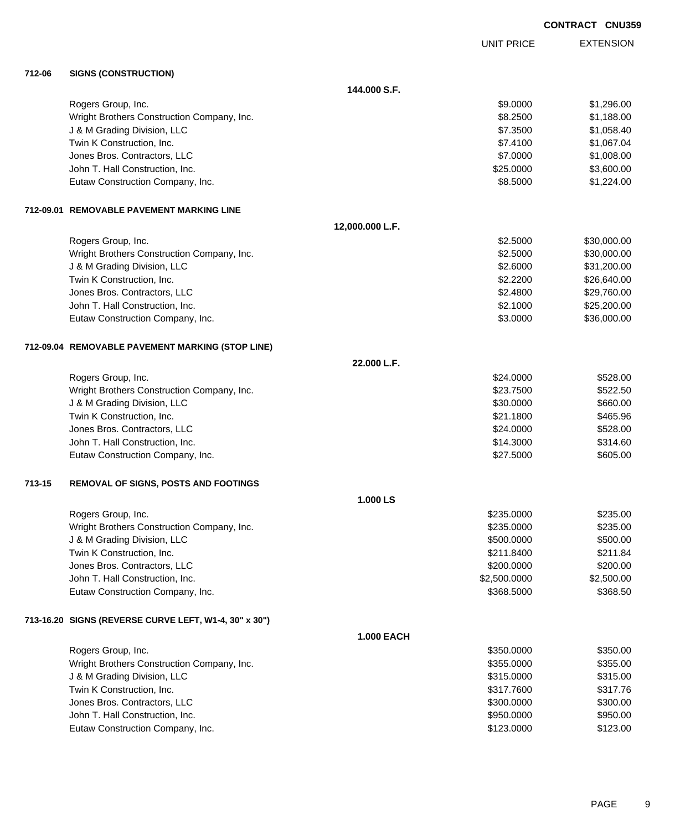EXTENSION UNIT PRICE

### **712-06 SIGNS (CONSTRUCTION)**

|        |                                                       | 144,000 S.F.      |              |             |
|--------|-------------------------------------------------------|-------------------|--------------|-------------|
|        | Rogers Group, Inc.                                    |                   | \$9.0000     | \$1,296.00  |
|        | Wright Brothers Construction Company, Inc.            |                   | \$8.2500     | \$1,188.00  |
|        | J & M Grading Division, LLC                           |                   | \$7.3500     | \$1,058.40  |
|        | Twin K Construction, Inc.                             |                   | \$7.4100     | \$1,067.04  |
|        | Jones Bros. Contractors, LLC                          |                   | \$7.0000     | \$1,008.00  |
|        | John T. Hall Construction, Inc.                       |                   | \$25.0000    | \$3,600.00  |
|        | Eutaw Construction Company, Inc.                      |                   | \$8.5000     | \$1,224.00  |
|        | 712-09.01 REMOVABLE PAVEMENT MARKING LINE             |                   |              |             |
|        |                                                       | 12,000.000 L.F.   |              |             |
|        | Rogers Group, Inc.                                    |                   | \$2.5000     | \$30,000.00 |
|        | Wright Brothers Construction Company, Inc.            |                   | \$2.5000     | \$30,000.00 |
|        | J & M Grading Division, LLC                           |                   | \$2.6000     | \$31,200.00 |
|        | Twin K Construction, Inc.                             |                   | \$2.2200     | \$26,640.00 |
|        | Jones Bros. Contractors, LLC                          |                   | \$2.4800     | \$29,760.00 |
|        | John T. Hall Construction, Inc.                       |                   | \$2.1000     | \$25,200.00 |
|        | Eutaw Construction Company, Inc.                      |                   | \$3.0000     | \$36,000.00 |
|        | 712-09.04 REMOVABLE PAVEMENT MARKING (STOP LINE)      |                   |              |             |
|        |                                                       | 22.000 L.F.       |              |             |
|        | Rogers Group, Inc.                                    |                   | \$24.0000    | \$528.00    |
|        | Wright Brothers Construction Company, Inc.            |                   | \$23.7500    | \$522.50    |
|        | J & M Grading Division, LLC                           |                   | \$30.0000    | \$660.00    |
|        | Twin K Construction, Inc.                             |                   | \$21.1800    | \$465.96    |
|        | Jones Bros. Contractors, LLC                          |                   | \$24.0000    | \$528.00    |
|        | John T. Hall Construction, Inc.                       |                   | \$14.3000    | \$314.60    |
|        | Eutaw Construction Company, Inc.                      |                   | \$27.5000    | \$605.00    |
| 713-15 | <b>REMOVAL OF SIGNS, POSTS AND FOOTINGS</b>           |                   |              |             |
|        |                                                       | 1.000 LS          |              |             |
|        | Rogers Group, Inc.                                    |                   | \$235.0000   | \$235.00    |
|        | Wright Brothers Construction Company, Inc.            |                   | \$235,0000   | \$235.00    |
|        | J & M Grading Division, LLC                           |                   | \$500.0000   | \$500.00    |
|        | Twin K Construction, Inc.                             |                   | \$211.8400   | \$211.84    |
|        | Jones Bros. Contractors, LLC                          |                   | \$200.0000   | \$200.00    |
|        | John T. Hall Construction, Inc.                       |                   | \$2,500.0000 | \$2,500.00  |
|        | Eutaw Construction Company, Inc.                      |                   | \$368.5000   | \$368.50    |
|        | 713-16.20 SIGNS (REVERSE CURVE LEFT, W1-4, 30" x 30") |                   |              |             |
|        |                                                       | <b>1.000 EACH</b> |              |             |
|        | Rogers Group, Inc.                                    |                   | \$350.0000   | \$350.00    |
|        | Wright Brothers Construction Company, Inc.            |                   | \$355.0000   | \$355.00    |
|        | J & M Grading Division, LLC                           |                   | \$315.0000   | \$315.00    |
|        | Twin K Construction, Inc.                             |                   | \$317.7600   | \$317.76    |
|        | Jones Bros. Contractors, LLC                          |                   | \$300.0000   | \$300.00    |
|        | John T. Hall Construction, Inc.                       |                   | \$950.0000   | \$950.00    |
|        | Eutaw Construction Company, Inc.                      |                   | \$123.0000   | \$123.00    |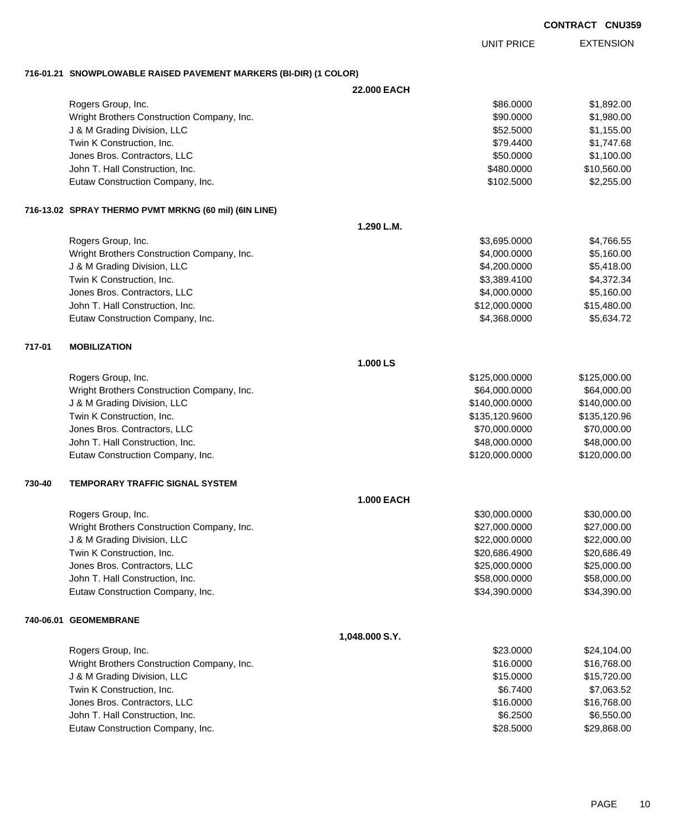EXTENSION UNIT PRICE

### **716-01.21 SNOWPLOWABLE RAISED PAVEMENT MARKERS (BI-DIR) (1 COLOR)**

|        |                                                       | 22.000 EACH       |                |              |
|--------|-------------------------------------------------------|-------------------|----------------|--------------|
|        | Rogers Group, Inc.                                    |                   | \$86.0000      | \$1,892.00   |
|        | Wright Brothers Construction Company, Inc.            |                   | \$90.0000      | \$1,980.00   |
|        | J & M Grading Division, LLC                           |                   | \$52.5000      | \$1,155.00   |
|        | Twin K Construction, Inc.                             |                   | \$79.4400      | \$1,747.68   |
|        | Jones Bros. Contractors, LLC                          |                   | \$50.0000      | \$1,100.00   |
|        | John T. Hall Construction, Inc.                       |                   | \$480.0000     | \$10,560.00  |
|        | Eutaw Construction Company, Inc.                      |                   | \$102.5000     | \$2,255.00   |
|        | 716-13.02 SPRAY THERMO PVMT MRKNG (60 mil) (6IN LINE) |                   |                |              |
|        |                                                       | 1.290 L.M.        |                |              |
|        | Rogers Group, Inc.                                    |                   | \$3,695.0000   | \$4,766.55   |
|        | Wright Brothers Construction Company, Inc.            |                   | \$4,000.0000   | \$5,160.00   |
|        | J & M Grading Division, LLC                           |                   | \$4,200.0000   | \$5,418.00   |
|        | Twin K Construction, Inc.                             |                   | \$3,389.4100   | \$4,372.34   |
|        | Jones Bros. Contractors, LLC                          |                   | \$4,000.0000   | \$5,160.00   |
|        | John T. Hall Construction, Inc.                       |                   | \$12,000.0000  | \$15,480.00  |
|        | Eutaw Construction Company, Inc.                      |                   | \$4,368.0000   | \$5,634.72   |
| 717-01 | <b>MOBILIZATION</b>                                   |                   |                |              |
|        |                                                       | 1.000 LS          |                |              |
|        | Rogers Group, Inc.                                    |                   | \$125,000.0000 | \$125,000.00 |
|        | Wright Brothers Construction Company, Inc.            |                   | \$64,000.0000  | \$64,000.00  |
|        | J & M Grading Division, LLC                           |                   | \$140,000.0000 | \$140,000.00 |
|        | Twin K Construction, Inc.                             |                   | \$135,120.9600 | \$135,120.96 |
|        | Jones Bros. Contractors, LLC                          |                   | \$70,000.0000  | \$70,000.00  |
|        | John T. Hall Construction, Inc.                       |                   | \$48,000.0000  | \$48,000.00  |
|        | Eutaw Construction Company, Inc.                      |                   | \$120,000.0000 | \$120,000.00 |
| 730-40 | <b>TEMPORARY TRAFFIC SIGNAL SYSTEM</b>                |                   |                |              |
|        |                                                       | <b>1.000 EACH</b> |                |              |
|        | Rogers Group, Inc.                                    |                   | \$30,000.0000  | \$30,000.00  |
|        | Wright Brothers Construction Company, Inc.            |                   | \$27,000.0000  | \$27,000.00  |
|        | J & M Grading Division, LLC                           |                   | \$22,000.0000  | \$22,000.00  |
|        | Twin K Construction, Inc.                             |                   | \$20,686.4900  | \$20,686.49  |
|        | Jones Bros. Contractors, LLC                          |                   | \$25,000.0000  | \$25,000.00  |
|        | John T. Hall Construction, Inc.                       |                   | \$58,000.0000  | \$58,000.00  |
|        | Eutaw Construction Company, Inc.                      |                   | \$34,390.0000  | \$34,390.00  |
|        | 740-06.01 GEOMEMBRANE                                 |                   |                |              |
|        |                                                       | 1,048.000 S.Y.    |                |              |
|        | Rogers Group, Inc.                                    |                   | \$23.0000      | \$24,104.00  |
|        | Wright Brothers Construction Company, Inc.            |                   | \$16.0000      | \$16,768.00  |
|        | J & M Grading Division, LLC                           |                   | \$15.0000      | \$15,720.00  |
|        | Twin K Construction, Inc.                             |                   | \$6.7400       | \$7,063.52   |
|        | Jones Bros. Contractors, LLC                          |                   | \$16.0000      | \$16,768.00  |
|        | John T. Hall Construction, Inc.                       |                   | \$6.2500       | \$6,550.00   |
|        | Eutaw Construction Company, Inc.                      |                   | \$28.5000      | \$29,868.00  |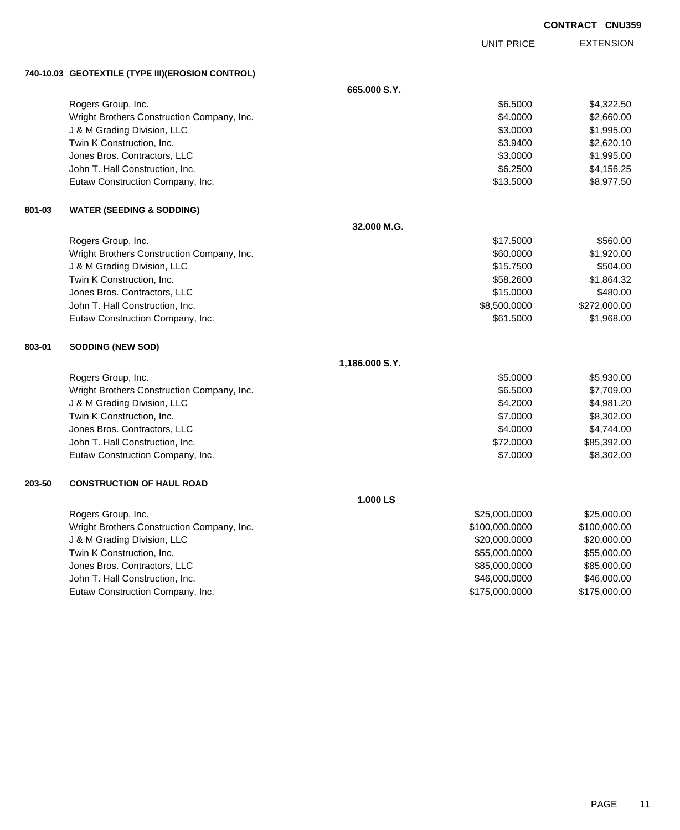|        |                                                    |                | <b>UNIT PRICE</b> | <b>EXTENSION</b> |
|--------|----------------------------------------------------|----------------|-------------------|------------------|
|        | 740-10.03   GEOTEXTILE (TYPE III)(EROSION CONTROL) |                |                   |                  |
|        |                                                    | 665,000 S.Y.   |                   |                  |
|        | Rogers Group, Inc.                                 |                | \$6.5000          | \$4,322.50       |
|        | Wright Brothers Construction Company, Inc.         |                | \$4.0000          | \$2,660.00       |
|        | J & M Grading Division, LLC                        |                | \$3.0000          | \$1,995.00       |
|        | Twin K Construction, Inc.                          |                | \$3.9400          | \$2,620.10       |
|        | Jones Bros. Contractors, LLC                       |                | \$3.0000          | \$1,995.00       |
|        | John T. Hall Construction, Inc.                    |                | \$6.2500          | \$4,156.25       |
|        | Eutaw Construction Company, Inc.                   |                | \$13.5000         | \$8,977.50       |
| 801-03 | <b>WATER (SEEDING &amp; SODDING)</b>               |                |                   |                  |
|        |                                                    | 32.000 M.G.    |                   |                  |
|        | Rogers Group, Inc.                                 |                | \$17.5000         | \$560.00         |
|        | Wright Brothers Construction Company, Inc.         |                | \$60.0000         | \$1,920.00       |
|        | J & M Grading Division, LLC                        |                | \$15.7500         | \$504.00         |
|        | Twin K Construction, Inc.                          |                | \$58.2600         | \$1,864.32       |
|        | Jones Bros. Contractors, LLC                       |                | \$15.0000         | \$480.00         |
|        | John T. Hall Construction, Inc.                    |                | \$8,500.0000      | \$272,000.00     |
|        | Eutaw Construction Company, Inc.                   |                | \$61.5000         | \$1,968.00       |
| 803-01 | <b>SODDING (NEW SOD)</b>                           |                |                   |                  |
|        |                                                    | 1,186.000 S.Y. |                   |                  |
|        | Rogers Group, Inc.                                 |                | \$5.0000          | \$5,930.00       |
|        | Wright Brothers Construction Company, Inc.         |                | \$6.5000          | \$7,709.00       |
|        | J & M Grading Division, LLC                        |                | \$4.2000          | \$4,981.20       |
|        | Twin K Construction, Inc.                          |                | \$7.0000          | \$8,302.00       |
|        | Jones Bros. Contractors, LLC                       |                | \$4.0000          | \$4,744.00       |
|        | John T. Hall Construction, Inc.                    |                | \$72.0000         | \$85,392.00      |
|        | Eutaw Construction Company, Inc.                   |                | \$7.0000          | \$8,302.00       |
| 203-50 | <b>CONSTRUCTION OF HAUL ROAD</b>                   |                |                   |                  |
|        |                                                    | 1.000 LS       |                   |                  |
|        | Rogers Group, Inc.                                 |                | \$25,000.0000     | \$25,000.00      |
|        | Wright Brothers Construction Company, Inc.         |                | \$100,000.0000    | \$100,000.00     |
|        | J & M Grading Division, LLC                        |                | \$20,000.0000     | \$20,000.00      |
|        | Twin K Construction, Inc.                          |                | \$55,000.0000     | \$55,000.00      |
|        | Jones Bros. Contractors, LLC                       |                | \$85,000.0000     | \$85,000.00      |
|        | John T. Hall Construction, Inc.                    |                | \$46,000.0000     | \$46,000.00      |

Eutaw Construction Company, Inc. 6. 2012 12:30 12:30 12:30 12:30 12:30 12:30 12:30 12:30 12:30 12:30 12:30 12:30 12:30 12:30 12:30 12:30 12:30 12:30 12:30 12:30 12:30 12:30 12:30 12:30 12:30 12:30 12:30 12:30 12:30 12:30 1

**CONTRACT CNU359**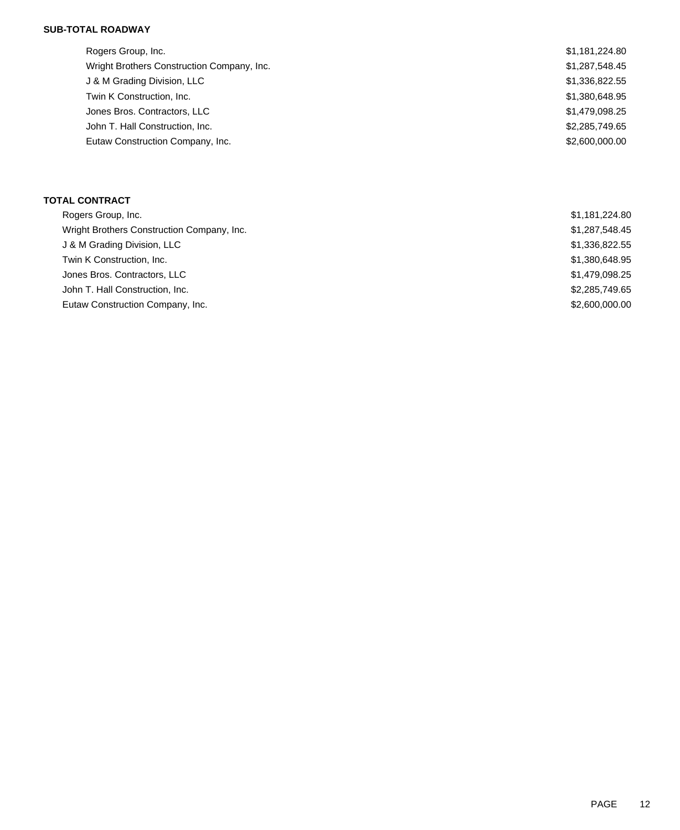## **SUB-TOTAL ROADWAY**

| Rogers Group, Inc.                         | \$1,181,224.80 |
|--------------------------------------------|----------------|
| Wright Brothers Construction Company, Inc. | \$1,287,548.45 |
| J & M Grading Division, LLC                | \$1,336,822.55 |
| Twin K Construction, Inc.                  | \$1,380,648.95 |
| Jones Bros. Contractors, LLC               | \$1,479,098.25 |
| John T. Hall Construction, Inc.            | \$2,285,749.65 |
| Eutaw Construction Company, Inc.           | \$2,600,000.00 |
|                                            |                |

### **TOTAL CONTRACT**

| Rogers Group, Inc.                         | \$1,181,224.80 |
|--------------------------------------------|----------------|
| Wright Brothers Construction Company, Inc. | \$1,287,548.45 |
| J & M Grading Division, LLC                | \$1,336,822.55 |
| Twin K Construction, Inc.                  | \$1,380,648.95 |
| Jones Bros. Contractors, LLC               | \$1,479,098.25 |
| John T. Hall Construction, Inc.            | \$2,285,749.65 |
| Eutaw Construction Company, Inc.           | \$2,600,000,00 |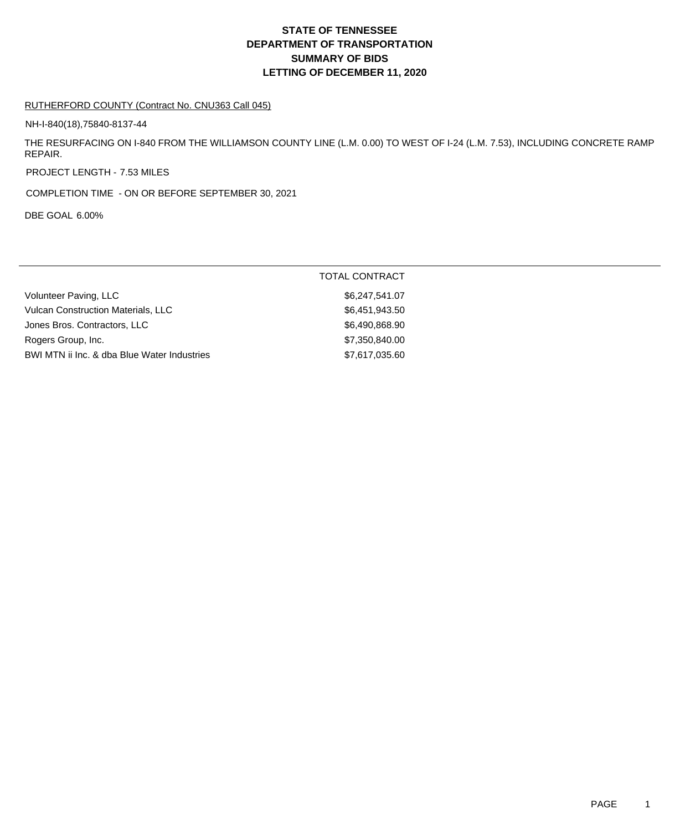# **DEPARTMENT OF TRANSPORTATION SUMMARY OF BIDS LETTING OF DECEMBER 11, 2020 STATE OF TENNESSEE**

### RUTHERFORD COUNTY (Contract No. CNU363 Call 045)

NH-I-840(18),75840-8137-44

THE RESURFACING ON I-840 FROM THE WILLIAMSON COUNTY LINE (L.M. 0.00) TO WEST OF I-24 (L.M. 7.53), INCLUDING CONCRETE RAMP REPAIR.

PROJECT LENGTH - 7.53 MILES

COMPLETION TIME - ON OR BEFORE SEPTEMBER 30, 2021

DBE GOAL 6.00%

|                                             | <b>TOTAL CONTRACT</b> |
|---------------------------------------------|-----------------------|
| Volunteer Paving, LLC                       | \$6,247,541.07        |
| <b>Vulcan Construction Materials, LLC</b>   | \$6,451,943.50        |
| Jones Bros. Contractors, LLC                | \$6,490,868.90        |
| Rogers Group, Inc.                          | \$7,350,840.00        |
| BWI MTN ii Inc. & dba Blue Water Industries | \$7,617,035.60        |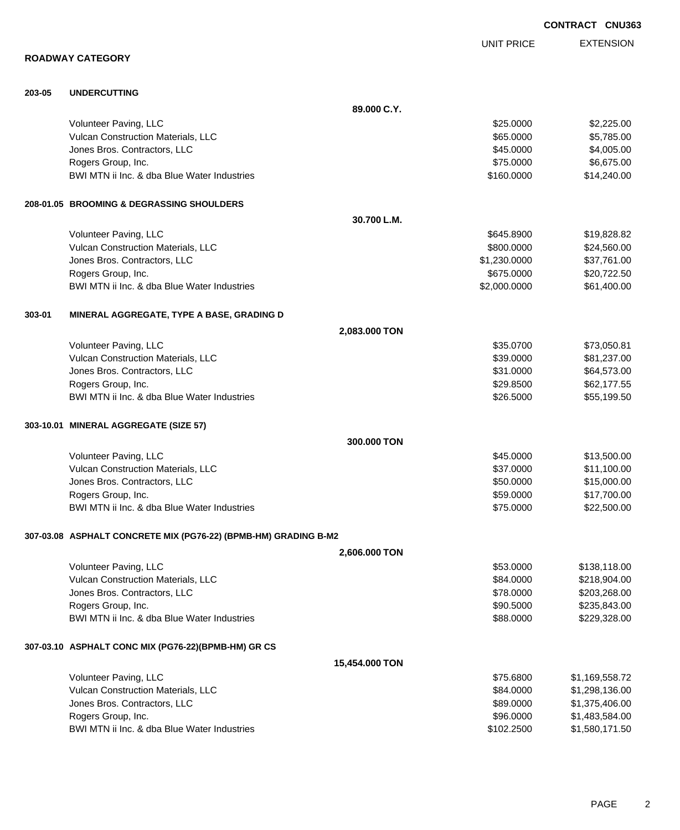|        |                                                                 |                |                   | <b>CONTRACT CNU363</b> |
|--------|-----------------------------------------------------------------|----------------|-------------------|------------------------|
|        |                                                                 |                | <b>UNIT PRICE</b> | <b>EXTENSION</b>       |
|        | <b>ROADWAY CATEGORY</b>                                         |                |                   |                        |
| 203-05 | <b>UNDERCUTTING</b>                                             |                |                   |                        |
|        |                                                                 | 89.000 C.Y.    |                   |                        |
|        | Volunteer Paving, LLC                                           |                | \$25.0000         | \$2,225.00             |
|        | Vulcan Construction Materials, LLC                              |                | \$65.0000         | \$5,785.00             |
|        | Jones Bros. Contractors, LLC                                    |                | \$45.0000         | \$4,005.00             |
|        | Rogers Group, Inc.                                              |                | \$75.0000         | \$6,675.00             |
|        | BWI MTN ii Inc. & dba Blue Water Industries                     |                | \$160.0000        | \$14,240.00            |
|        | 208-01.05 BROOMING & DEGRASSING SHOULDERS                       |                |                   |                        |
|        |                                                                 | 30.700 L.M.    |                   |                        |
|        | Volunteer Paving, LLC                                           |                | \$645.8900        | \$19,828.82            |
|        | Vulcan Construction Materials, LLC                              |                | \$800.0000        | \$24,560.00            |
|        | Jones Bros. Contractors, LLC                                    |                | \$1,230.0000      | \$37,761.00            |
|        | Rogers Group, Inc.                                              |                | \$675.0000        | \$20,722.50            |
|        | BWI MTN ii Inc. & dba Blue Water Industries                     |                | \$2,000.0000      | \$61,400.00            |
| 303-01 | MINERAL AGGREGATE, TYPE A BASE, GRADING D                       |                |                   |                        |
|        |                                                                 | 2,083.000 TON  |                   |                        |
|        | Volunteer Paving, LLC                                           |                | \$35.0700         | \$73,050.81            |
|        | Vulcan Construction Materials, LLC                              |                | \$39.0000         | \$81,237.00            |
|        | Jones Bros. Contractors, LLC                                    |                | \$31.0000         | \$64,573.00            |
|        | Rogers Group, Inc.                                              |                | \$29.8500         | \$62,177.55            |
|        | BWI MTN ii Inc. & dba Blue Water Industries                     |                | \$26.5000         | \$55,199.50            |
|        | 303-10.01 MINERAL AGGREGATE (SIZE 57)                           |                |                   |                        |
|        |                                                                 | 300.000 TON    |                   |                        |
|        | Volunteer Paving, LLC                                           |                | \$45.0000         | \$13,500.00            |
|        | Vulcan Construction Materials, LLC                              |                | \$37.0000         | \$11,100.00            |
|        | Jones Bros. Contractors, LLC                                    |                | \$50.0000         | \$15,000.00            |
|        | Rogers Group, Inc.                                              |                | \$59.0000         | \$17,700.00            |
|        | BWI MTN ii Inc. & dba Blue Water Industries                     |                | \$75.0000         | \$22,500.00            |
|        | 307-03.08 ASPHALT CONCRETE MIX (PG76-22) (BPMB-HM) GRADING B-M2 |                |                   |                        |
|        |                                                                 | 2,606.000 TON  |                   |                        |
|        | Volunteer Paving, LLC                                           |                | \$53.0000         | \$138,118.00           |
|        | Vulcan Construction Materials, LLC                              |                | \$84.0000         | \$218,904.00           |
|        | Jones Bros. Contractors, LLC                                    |                | \$78.0000         | \$203,268.00           |
|        | Rogers Group, Inc.                                              |                | \$90.5000         | \$235,843.00           |
|        | BWI MTN ii Inc. & dba Blue Water Industries                     |                | \$88.0000         | \$229,328.00           |
|        | 307-03.10 ASPHALT CONC MIX (PG76-22)(BPMB-HM) GR CS             |                |                   |                        |
|        |                                                                 | 15,454.000 TON |                   |                        |
|        | Volunteer Paving, LLC                                           |                | \$75.6800         | \$1,169,558.72         |
|        | Vulcan Construction Materials, LLC                              |                | \$84.0000         | \$1,298,136.00         |
|        | Jones Bros. Contractors, LLC                                    |                | \$89.0000         | \$1,375,406.00         |
|        | Rogers Group, Inc.                                              |                | \$96.0000         | \$1,483,584.00         |
|        | BWI MTN ii Inc. & dba Blue Water Industries                     |                | \$102.2500        | \$1,580,171.50         |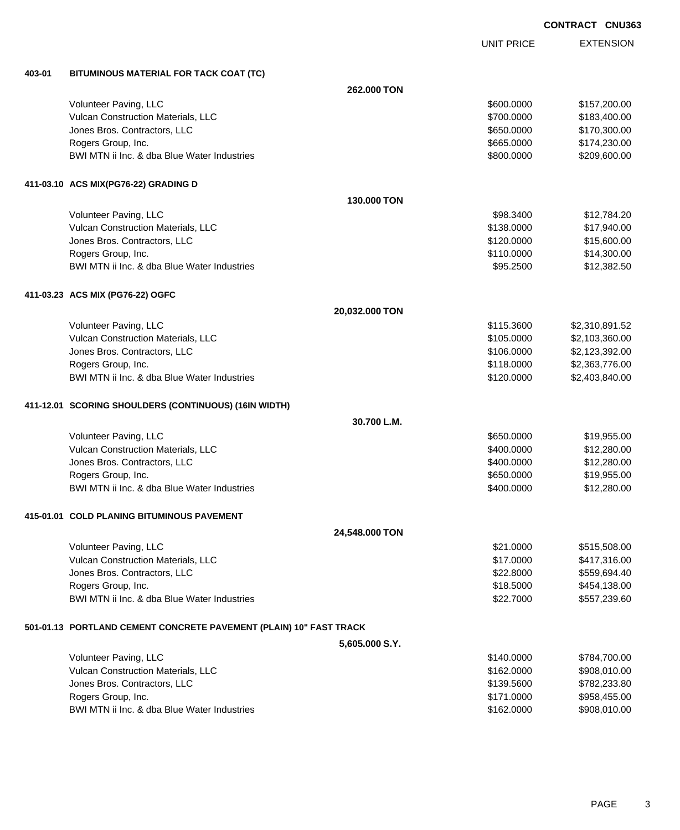UNIT PRICE

EXTENSION

**403-01 BITUMINOUS MATERIAL FOR TACK COAT (TC)**

| 403-01 | BITUMINOUS MATERIAL FOR TACK COAT (TC)                               |                    |            |                |
|--------|----------------------------------------------------------------------|--------------------|------------|----------------|
|        |                                                                      | <b>262,000 TON</b> |            |                |
|        | Volunteer Paving, LLC                                                |                    | \$600.0000 | \$157,200.00   |
|        | Vulcan Construction Materials, LLC                                   |                    | \$700.0000 | \$183,400.00   |
|        | Jones Bros. Contractors, LLC                                         |                    | \$650.0000 | \$170,300.00   |
|        | Rogers Group, Inc.                                                   |                    | \$665.0000 | \$174,230.00   |
|        | BWI MTN ii Inc. & dba Blue Water Industries                          |                    | \$800.0000 | \$209,600.00   |
|        | 411-03.10 ACS MIX(PG76-22) GRADING D                                 |                    |            |                |
|        |                                                                      | 130.000 TON        |            |                |
|        | Volunteer Paving, LLC                                                |                    | \$98.3400  | \$12,784.20    |
|        | Vulcan Construction Materials, LLC                                   |                    | \$138.0000 | \$17,940.00    |
|        | Jones Bros. Contractors, LLC                                         |                    | \$120.0000 | \$15,600.00    |
|        | Rogers Group, Inc.                                                   |                    | \$110.0000 | \$14,300.00    |
|        | BWI MTN ii Inc. & dba Blue Water Industries                          |                    | \$95.2500  | \$12,382.50    |
|        | 411-03.23 ACS MIX (PG76-22) OGFC                                     |                    |            |                |
|        |                                                                      | 20,032.000 TON     |            |                |
|        | Volunteer Paving, LLC                                                |                    | \$115.3600 | \$2,310,891.52 |
|        | Vulcan Construction Materials, LLC                                   |                    | \$105.0000 | \$2,103,360.00 |
|        | Jones Bros. Contractors, LLC                                         |                    | \$106.0000 | \$2,123,392.00 |
|        | Rogers Group, Inc.                                                   |                    | \$118.0000 | \$2,363,776.00 |
|        | BWI MTN ii Inc. & dba Blue Water Industries                          |                    | \$120.0000 | \$2,403,840.00 |
|        | 411-12.01 SCORING SHOULDERS (CONTINUOUS) (16IN WIDTH)                |                    |            |                |
|        |                                                                      | 30.700 L.M.        |            |                |
|        | Volunteer Paving, LLC                                                |                    | \$650.0000 | \$19,955.00    |
|        | Vulcan Construction Materials, LLC                                   |                    | \$400.0000 | \$12,280.00    |
|        | Jones Bros. Contractors, LLC                                         |                    | \$400.0000 | \$12,280.00    |
|        | Rogers Group, Inc.                                                   |                    | \$650.0000 | \$19,955.00    |
|        | BWI MTN ii Inc. & dba Blue Water Industries                          |                    | \$400.0000 | \$12,280.00    |
|        | 415-01.01 COLD PLANING BITUMINOUS PAVEMENT                           |                    |            |                |
|        |                                                                      | 24,548.000 TON     |            |                |
|        | Volunteer Paving, LLC                                                |                    | \$21.0000  | \$515,508.00   |
|        | Vulcan Construction Materials, LLC                                   |                    | \$17.0000  | \$417,316.00   |
|        | Jones Bros. Contractors, LLC                                         |                    | \$22.8000  | \$559,694.40   |
|        | Rogers Group, Inc.                                                   |                    | \$18.5000  | \$454,138.00   |
|        | BWI MTN ii Inc. & dba Blue Water Industries                          |                    | \$22.7000  | \$557,239.60   |
|        | 501-01.13   PORTLAND CEMENT CONCRETE PAVEMENT (PLAIN) 10" FAST TRACK |                    |            |                |
|        |                                                                      | 5,605.000 S.Y.     |            |                |
|        | Volunteer Paving, LLC                                                |                    | \$140.0000 | \$784,700.00   |
|        | Vulcan Construction Materials, LLC                                   |                    | \$162.0000 | \$908,010.00   |
|        | Jones Bros. Contractors, LLC                                         |                    | \$139.5600 | \$782,233.80   |
|        | Rogers Group, Inc.                                                   |                    | \$171.0000 | \$958,455.00   |
|        | BWI MTN ii Inc. & dba Blue Water Industries                          |                    | \$162.0000 | \$908,010.00   |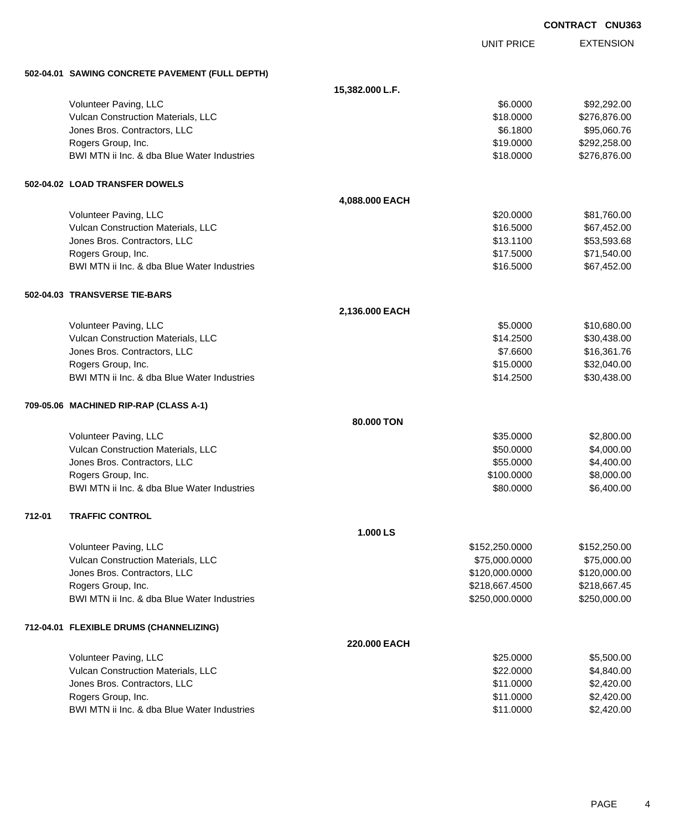EXTENSION **CONTRACT CNU363** UNIT PRICE **502-04.01 SAWING CONCRETE PAVEMENT (FULL DEPTH) 15,382.000 L.F.** Volunteer Paving, LLC 6.0000 \$92,292.00 Vulcan Construction Materials, LLC 60000 \$276,876.00 Jones Bros. Contractors, LLC 6.1800 \$95,060.76 Rogers Group, Inc. \$19.0000 \$292,258.00 BWI MTN ii Inc. & dba Blue Water Industries **\$18.0000 \$276,876.00** \$276,876.00 **502-04.02 LOAD TRANSFER DOWELS 4,088.000 EACH** Volunteer Paving, LLC 681,760.00 Vulcan Construction Materials, LLC 667,452.00 \$67,452.00 Jones Bros. Contractors, LLC \$13.1100 \$53,593.68 Rogers Group, Inc. \$17.540.00 \$71,540.00 BWI MTN ii Inc. & dba Blue Water Industries **\$16.5000** \$67,452.00 **502-04.03 TRANSVERSE TIE-BARS 2,136.000 EACH** Volunteer Paving, LLC 680.00 \$10,680.00 Vulcan Construction Materials, LLC 600 and the state of the state of the state of the state of the state of the state of the state of the state of the state of the state of the state of the state of the state of the state Jones Bros. Contractors, LLC \$7.6600 \$16,361.76 Rogers Group, Inc. \$15.0000 \$32,040.00 BWI MTN ii Inc. & dba Blue Water Industries **\$14.2500** \$30,438.00 **709-05.06 MACHINED RIP-RAP (CLASS A-1) 80.000 TON** Volunteer Paving, LLC 6. The state of the state of the state of the state of the state of the state of the state of the state of the state of the state of the state of the state of the state of the state of the state of th Vulcan Construction Materials, LLC 60000 \$4,000.00 Jones Bros. Contractors, LLC \$55.0000 \$4,400.00 Rogers Group, Inc. 6. 2008. The State of the State of the State of the State of State of the State of State of State of State of State of State of State of State of State of State of State of State of State of State of Sta BWI MTN ii Inc. & dba Blue Water Industries **\$80.0000 \$6,400.00** \$6,400.00 **712-01 TRAFFIC CONTROL 1.000 LS** Volunteer Paving, LLC 6. 2012 12:250.000 \$152,250.000 \$152,250.000 \$152,250.000 Vulcan Construction Materials, LLC 600000 \$75,000.000 \$75,000.000 \$75,000.000 Jones Bros. Contractors, LLC \$120,000.0000 \$120,000.00 Rogers Group, Inc. \$218,667.4500 \$218,667.4500 \$218,667.4500 \$218,667.4500 \$218,667.45 BWI MTN ii Inc. & dba Blue Water Industries **\$250,000 \$250,000 \$250,000 \$250,000.000** \$250,000.00 **712-04.01 FLEXIBLE DRUMS (CHANNELIZING) 220.000 EACH** Volunteer Paving, LLC 6. 2012 12:00 12:00 12:00 12:00 12:00 12:00 12:00 12:00 12:00 12:00 12:00 12:00 12:00 12:00 12:00 12:00 12:00 12:00 12:00 12:00 12:00 12:00 12:00 12:00 12:00 12:00 12:00 12:00 12:00 12:00 12:00 12:00 Vulcan Construction Materials, LLC 60000 \$4,840.00 Jones Bros. Contractors, LLC \$11.0000 \$2,420.00

Rogers Group, Inc. \$11.0000 \$2,420.00 BWI MTN ii Inc. & dba Blue Water Industries **\$11.0000** \$2,420.00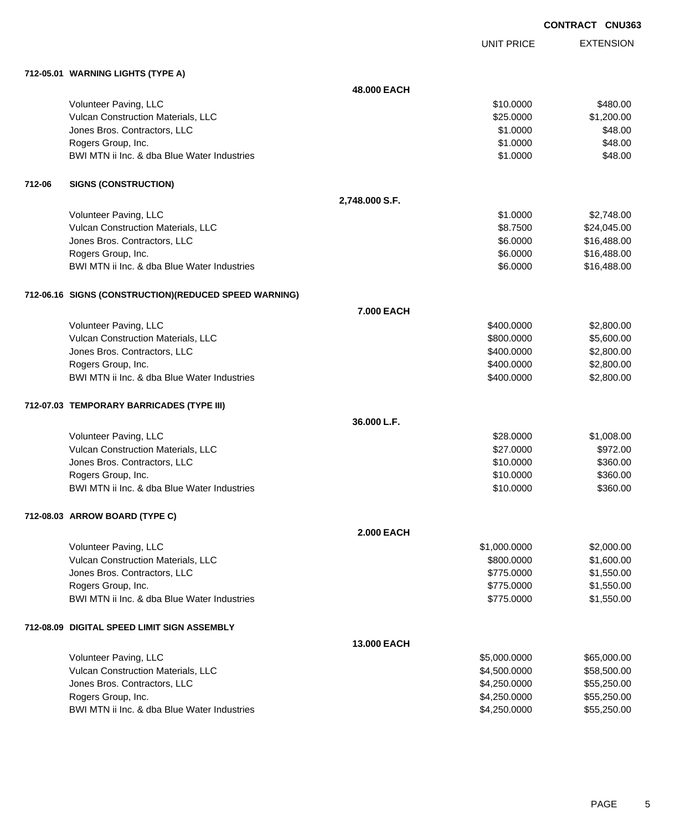UNIT PRICE

EXTENSION

**712-05.01 WARNING LIGHTS (TYPE A)**

|        | TIZ-00.01 WARNING LIGHTS (TTPE A)                      |                   |              |             |
|--------|--------------------------------------------------------|-------------------|--------------|-------------|
|        |                                                        | 48.000 EACH       |              |             |
|        | Volunteer Paving, LLC                                  |                   | \$10.0000    | \$480.00    |
|        | Vulcan Construction Materials, LLC                     |                   | \$25.0000    | \$1,200.00  |
|        | Jones Bros. Contractors, LLC                           |                   | \$1.0000     | \$48.00     |
|        | Rogers Group, Inc.                                     |                   | \$1.0000     | \$48.00     |
|        | BWI MTN ii Inc. & dba Blue Water Industries            |                   | \$1.0000     | \$48.00     |
| 712-06 | <b>SIGNS (CONSTRUCTION)</b>                            |                   |              |             |
|        |                                                        | 2,748.000 S.F.    |              |             |
|        | Volunteer Paving, LLC                                  |                   | \$1.0000     | \$2,748.00  |
|        | Vulcan Construction Materials, LLC                     |                   | \$8.7500     | \$24,045.00 |
|        | Jones Bros. Contractors, LLC                           |                   | \$6.0000     | \$16,488.00 |
|        | Rogers Group, Inc.                                     |                   | \$6.0000     | \$16,488.00 |
|        | BWI MTN ii Inc. & dba Blue Water Industries            |                   | \$6.0000     | \$16,488.00 |
|        | 712-06.16 SIGNS (CONSTRUCTION) (REDUCED SPEED WARNING) |                   |              |             |
|        |                                                        | 7.000 EACH        |              |             |
|        | Volunteer Paving, LLC                                  |                   | \$400.0000   | \$2,800.00  |
|        | Vulcan Construction Materials, LLC                     |                   | \$800.0000   | \$5,600.00  |
|        | Jones Bros. Contractors, LLC                           |                   | \$400.0000   | \$2,800.00  |
|        | Rogers Group, Inc.                                     |                   | \$400.0000   | \$2,800.00  |
|        | BWI MTN ii Inc. & dba Blue Water Industries            |                   | \$400.0000   | \$2,800.00  |
|        | 712-07.03 TEMPORARY BARRICADES (TYPE III)              |                   |              |             |
|        |                                                        | 36.000 L.F.       |              |             |
|        | Volunteer Paving, LLC                                  |                   | \$28.0000    | \$1,008.00  |
|        | Vulcan Construction Materials, LLC                     |                   | \$27.0000    | \$972.00    |
|        | Jones Bros. Contractors, LLC                           |                   | \$10.0000    | \$360.00    |
|        | Rogers Group, Inc.                                     |                   | \$10.0000    | \$360.00    |
|        | BWI MTN ii Inc. & dba Blue Water Industries            |                   | \$10.0000    | \$360.00    |
|        | 712-08.03 ARROW BOARD (TYPE C)                         |                   |              |             |
|        |                                                        | <b>2.000 EACH</b> |              |             |
|        | Volunteer Paving, LLC                                  |                   | \$1,000.0000 | \$2,000.00  |
|        | Vulcan Construction Materials, LLC                     |                   | \$800.0000   | \$1,600.00  |
|        | Jones Bros. Contractors, LLC                           |                   | \$775.0000   | \$1,550.00  |
|        | Rogers Group, Inc.                                     |                   | \$775.0000   | \$1,550.00  |
|        | BWI MTN ii Inc. & dba Blue Water Industries            |                   | \$775.0000   | \$1,550.00  |
|        | 712-08.09 DIGITAL SPEED LIMIT SIGN ASSEMBLY            |                   |              |             |
|        |                                                        | 13.000 EACH       |              |             |
|        | Volunteer Paving, LLC                                  |                   | \$5,000.0000 | \$65,000.00 |
|        | Vulcan Construction Materials, LLC                     |                   | \$4,500.0000 | \$58,500.00 |
|        | Jones Bros. Contractors, LLC                           |                   | \$4,250.0000 | \$55,250.00 |
|        | Rogers Group, Inc.                                     |                   | \$4,250.0000 | \$55,250.00 |
|        | BWI MTN ii Inc. & dba Blue Water Industries            |                   | \$4,250.0000 | \$55,250.00 |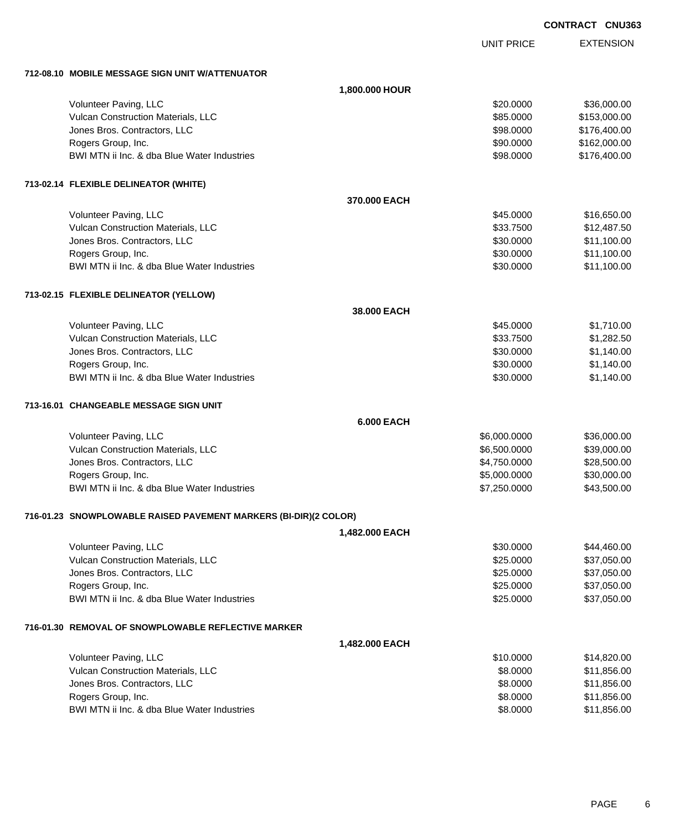UNIT PRICE

EXTENSION

**712-08.10 MOBILE MESSAGE SIGN UNIT W/ATTENUATOR**

|                                                                  | 1,800.000 HOUR    |              |              |
|------------------------------------------------------------------|-------------------|--------------|--------------|
| Volunteer Paving, LLC                                            |                   | \$20.0000    | \$36,000.00  |
| Vulcan Construction Materials, LLC                               |                   | \$85.0000    | \$153,000.00 |
| Jones Bros. Contractors, LLC                                     |                   | \$98.0000    | \$176,400.00 |
| Rogers Group, Inc.                                               |                   | \$90.0000    | \$162,000.00 |
| BWI MTN ii Inc. & dba Blue Water Industries                      |                   | \$98.0000    | \$176,400.00 |
| 713-02.14 FLEXIBLE DELINEATOR (WHITE)                            |                   |              |              |
|                                                                  | 370.000 EACH      |              |              |
| Volunteer Paving, LLC                                            |                   | \$45.0000    | \$16,650.00  |
| Vulcan Construction Materials, LLC                               |                   | \$33.7500    | \$12,487.50  |
| Jones Bros. Contractors, LLC                                     |                   | \$30.0000    | \$11,100.00  |
| Rogers Group, Inc.                                               |                   | \$30.0000    | \$11,100.00  |
| BWI MTN ii Inc. & dba Blue Water Industries                      |                   | \$30.0000    | \$11,100.00  |
| 713-02.15 FLEXIBLE DELINEATOR (YELLOW)                           |                   |              |              |
|                                                                  | 38.000 EACH       |              |              |
| Volunteer Paving, LLC                                            |                   | \$45.0000    | \$1,710.00   |
| Vulcan Construction Materials, LLC                               |                   | \$33.7500    | \$1,282.50   |
| Jones Bros. Contractors, LLC                                     |                   | \$30.0000    | \$1,140.00   |
| Rogers Group, Inc.                                               |                   | \$30.0000    | \$1,140.00   |
| BWI MTN ii Inc. & dba Blue Water Industries                      |                   | \$30.0000    | \$1,140.00   |
| 713-16.01 CHANGEABLE MESSAGE SIGN UNIT                           |                   |              |              |
|                                                                  | <b>6.000 EACH</b> |              |              |
| Volunteer Paving, LLC                                            |                   | \$6,000.0000 | \$36,000.00  |
| Vulcan Construction Materials, LLC                               |                   | \$6,500.0000 | \$39,000.00  |
| Jones Bros. Contractors, LLC                                     |                   | \$4,750.0000 | \$28,500.00  |
| Rogers Group, Inc.                                               |                   | \$5,000.0000 | \$30,000.00  |
| BWI MTN ii Inc. & dba Blue Water Industries                      |                   | \$7,250.0000 | \$43,500.00  |
| 716-01.23 SNOWPLOWABLE RAISED PAVEMENT MARKERS (BI-DIR)(2 COLOR) |                   |              |              |
|                                                                  | 1,482.000 EACH    |              |              |
| Volunteer Paving, LLC                                            |                   | \$30.0000    | \$44,460.00  |
| Vulcan Construction Materials, LLC                               |                   | \$25.0000    | \$37,050.00  |
| Jones Bros. Contractors, LLC                                     |                   | \$25.0000    | \$37,050.00  |
| Rogers Group, Inc.                                               |                   | \$25.0000    | \$37,050.00  |
| BWI MTN ii Inc. & dba Blue Water Industries                      |                   | \$25.0000    | \$37,050.00  |
| 716-01.30 REMOVAL OF SNOWPLOWABLE REFLECTIVE MARKER              |                   |              |              |
|                                                                  | 1,482.000 EACH    |              |              |
| Volunteer Paving, LLC                                            |                   | \$10.0000    | \$14,820.00  |
| Vulcan Construction Materials, LLC                               |                   | \$8.0000     | \$11,856.00  |
| Jones Bros. Contractors, LLC                                     |                   | \$8.0000     | \$11,856.00  |
| Rogers Group, Inc.                                               |                   | \$8.0000     | \$11,856.00  |
| BWI MTN ii Inc. & dba Blue Water Industries                      |                   | \$8.0000     | \$11,856.00  |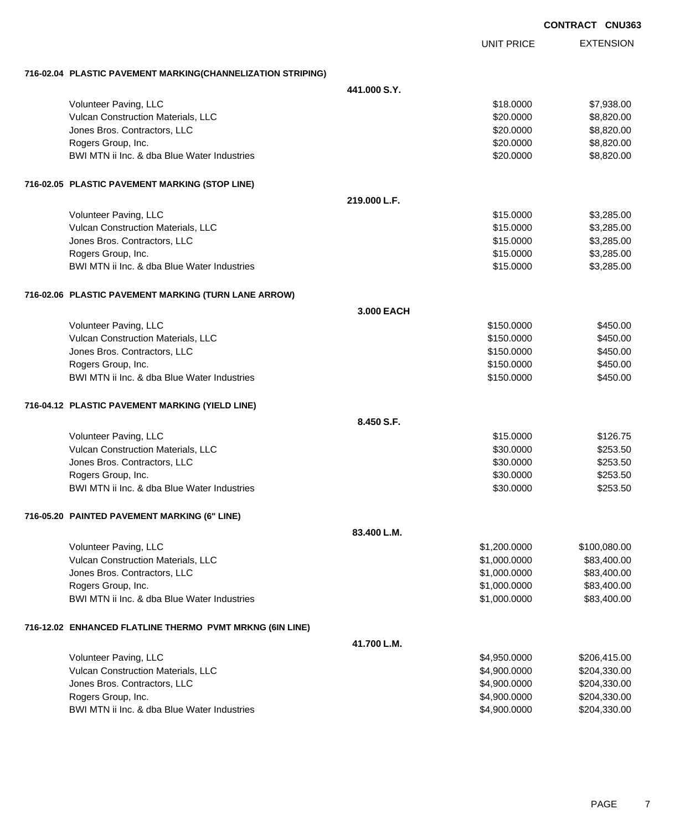| <b>CONTRACT</b> | <b>CNU363</b> |
|-----------------|---------------|
|                 |               |

EXTENSION UNIT PRICE **716-02.04 PLASTIC PAVEMENT MARKING(CHANNELIZATION STRIPING) 441.000 S.Y.** Volunteer Paving, LLC 6. The state of the state of the state of the state of the state of the state of the state of the state of the state of the state of the state of the state of the state of the state of the state of th Vulcan Construction Materials, LLC 60000 \$8,820.000 \$8,820.000 \$8,820.000 Jones Bros. Contractors, LLC 6. 20000 \$8,820.000 \$8,820.000 \$8,820.000 \$8,820.000 \$8,820.000 \$8,820.00 Rogers Group, Inc. \$20.000 \$8,820.00 BWI MTN ii Inc. & dba Blue Water Industries **\$20.000 \$8,820.000 \$8,820.00 716-02.05 PLASTIC PAVEMENT MARKING (STOP LINE) 219.000 L.F.** Volunteer Paving, LLC \$15.0000 \$3,285.00 Vulcan Construction Materials, LLC 6. The state of the state of the state of the state of the state of the state of the state of the state of the state of the state of the state of the state of the state of the state of th dones Bros. Contractors, LLC 6. 2009 6. 2009 6. 2010 6. 2010 6. 2010 6. 2010 6. 2010 6. 2010 6. 2010 6. 2010 6. 3.285.00 Rogers Group, Inc. \$1,285.00 BWI MTN ii Inc. & dba Blue Water Industries \$15.0000 \$3,285.00 **716-02.06 PLASTIC PAVEMENT MARKING (TURN LANE ARROW) 3.000 EACH** Volunteer Paving, LLC 6450.000 \$450.000 \$450.000 \$450.000 \$450.000 \$450.000 \$450.00 Vulcan Construction Materials, LLC 6450.000 \$450.000 \$450.000 \$450.000 dones Bros. Contractors, LLC 6450.000 \$450.000 \$450.000 \$450.000 \$450.000 \$450.00 Rogers Group, Inc. \$150.000 \$450.00 \$450.00 \$450.00 \$450.00 \$450.00 \$450.00 \$450.00 \$450.00 \$450.00 \$450.00 \$450.00 \$450.00 \$450.00 \$450.00 \$450.00 \$450.00 \$450.00 \$450.00 \$450.00 \$450.00 \$450.00 \$450.00 \$50.00 \$50.00 \$50. BWI MTN ii Inc. & dba Blue Water Industries **\$150.0000 \$450.000 \$450.000** \$450.000 **716-04.12 PLASTIC PAVEMENT MARKING (YIELD LINE) 8.450 S.F.** Volunteer Paving, LLC 6126.75 Vulcan Construction Materials, LLC 60000 \$253.50 Jones Bros. Contractors, LLC 6. The state of the state of the state of the state of the state of the state of the state of the state of the state of the state of the state of the state of the state of the state of the stat Rogers Group, Inc. \$253.50 BWI MTN ii Inc. & dba Blue Water Industries **\$20.000 \$253.50** \$253.50 **716-05.20 PAINTED PAVEMENT MARKING (6" LINE) 83.400 L.M.** Volunteer Paving, LLC 6.00000 \$1,200.0000 \$100,080.00 Vulcan Construction Materials, LLC 600000 \$83,400.000 \$83,400.000 \$83,400.00 Jones Bros. Contractors, LLC \$1,000.0000 \$83,400.00 Rogers Group, Inc. \$1,000.0000 \$83,400.00 BWI MTN ii Inc. & dba Blue Water Industries **\$1,000.000 \$83,400.000 \$83,400.00 716-12.02 ENHANCED FLATLINE THERMO PVMT MRKNG (6IN LINE) 41.700 L.M.** Volunteer Paving, LLC 6.415.00 \$206,415.00 \$206,415.00 \$206,415.00 Vulcan Construction Materials, LLC 600000 \$204,330.00 Jones Bros. Contractors, LLC \$4,900.0000 \$204,330.00 Rogers Group, Inc. \$4,900.0000 \$204,330.00

BWI MTN ii Inc. & dba Blue Water Industries **\$4,900.000 \$204,330.00** \$204,330.00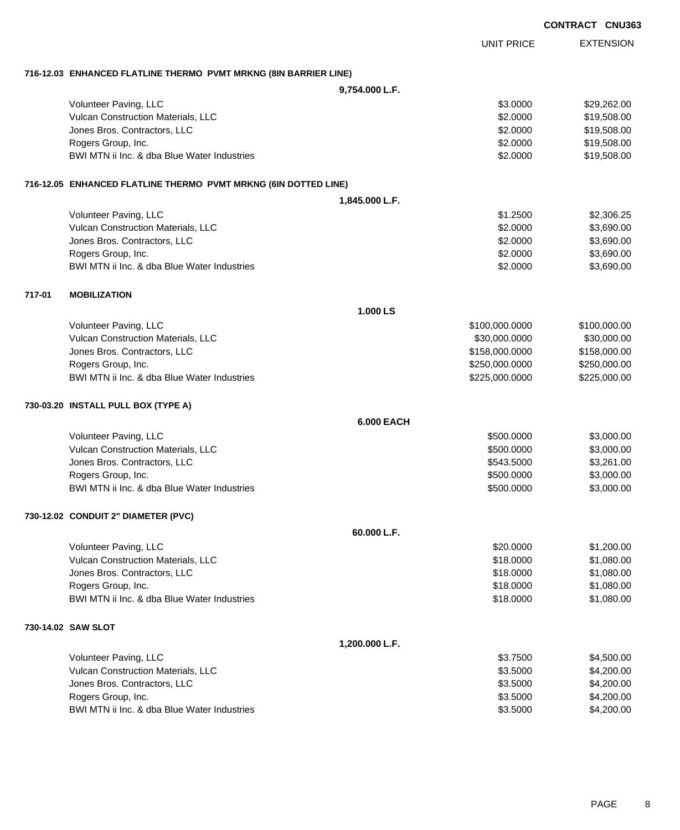|        |                                                                  |                   | <b>UNIT PRICE</b> | <b>EXTENSION</b> |
|--------|------------------------------------------------------------------|-------------------|-------------------|------------------|
|        | 716-12.03 ENHANCED FLATLINE THERMO PVMT MRKNG (8IN BARRIER LINE) |                   |                   |                  |
|        |                                                                  | 9,754.000 L.F.    |                   |                  |
|        | Volunteer Paving, LLC                                            |                   | \$3.0000          | \$29,262.00      |
|        | Vulcan Construction Materials, LLC                               |                   | \$2.0000          | \$19,508.00      |
|        | Jones Bros. Contractors, LLC                                     |                   | \$2.0000          | \$19,508.00      |
|        | Rogers Group, Inc.                                               |                   | \$2.0000          | \$19,508.00      |
|        | BWI MTN ii Inc. & dba Blue Water Industries                      |                   | \$2.0000          | \$19,508.00      |
|        | 716-12.05 ENHANCED FLATLINE THERMO PVMT MRKNG (6IN DOTTED LINE)  |                   |                   |                  |
|        |                                                                  | 1,845.000 L.F.    |                   |                  |
|        | Volunteer Paving, LLC                                            |                   | \$1.2500          | \$2,306.25       |
|        | Vulcan Construction Materials, LLC                               |                   | \$2.0000          | \$3,690.00       |
|        | Jones Bros. Contractors, LLC                                     |                   | \$2.0000          | \$3,690.00       |
|        | Rogers Group, Inc.                                               |                   | \$2.0000          | \$3,690.00       |
|        | BWI MTN ii Inc. & dba Blue Water Industries                      |                   | \$2.0000          | \$3,690.00       |
| 717-01 | <b>MOBILIZATION</b>                                              |                   |                   |                  |
|        |                                                                  | 1.000 LS          |                   |                  |
|        | Volunteer Paving, LLC                                            |                   | \$100,000.0000    | \$100,000.00     |
|        | Vulcan Construction Materials, LLC                               |                   | \$30,000.0000     | \$30,000.00      |
|        | Jones Bros. Contractors, LLC                                     |                   | \$158,000.0000    | \$158,000.00     |
|        | Rogers Group, Inc.                                               |                   | \$250,000.0000    | \$250,000.00     |
|        | BWI MTN ii Inc. & dba Blue Water Industries                      |                   | \$225,000.0000    | \$225,000.00     |
|        | 730-03.20 INSTALL PULL BOX (TYPE A)                              |                   |                   |                  |
|        |                                                                  | <b>6.000 EACH</b> |                   |                  |
|        | Volunteer Paving, LLC                                            |                   | \$500.0000        | \$3,000.00       |
|        | Vulcan Construction Materials, LLC                               |                   | \$500.0000        | \$3,000.00       |
|        | Jones Bros. Contractors, LLC                                     |                   | \$543.5000        | \$3,261.00       |
|        | Rogers Group, Inc.                                               |                   | \$500.0000        | \$3,000.00       |
|        | BWI MTN ii Inc. & dba Blue Water Industries                      |                   | \$500.0000        | \$3,000.00       |
|        | 730-12.02 CONDUIT 2" DIAMETER (PVC)                              |                   |                   |                  |
|        |                                                                  | 60.000 L.F.       |                   |                  |
|        | Volunteer Paving, LLC                                            |                   | \$20.0000         | \$1,200.00       |
|        | Vulcan Construction Materials, LLC                               |                   | \$18.0000         | \$1,080.00       |
|        | Jones Bros. Contractors, LLC                                     |                   | \$18.0000         | \$1,080.00       |
|        | Rogers Group, Inc.                                               |                   | \$18.0000         | \$1,080.00       |
|        | BWI MTN ii Inc. & dba Blue Water Industries                      |                   | \$18.0000         | \$1,080.00       |
|        | 730-14.02 SAW SLOT                                               |                   |                   |                  |
|        |                                                                  | 1,200.000 L.F.    |                   |                  |
|        | Volunteer Paving, LLC                                            |                   | \$3.7500          | \$4,500.00       |
|        | Vulcan Construction Materials, LLC                               |                   | \$3.5000          | \$4,200.00       |

Jones Bros. Contractors, LLC \$3.5000 \$4,200.00 Rogers Group, Inc. \$4,200.00 BWI MTN ii Inc. & dba Blue Water Industries  $$3.5000$  \$4,200.00

#### **CONTRACT CNU363**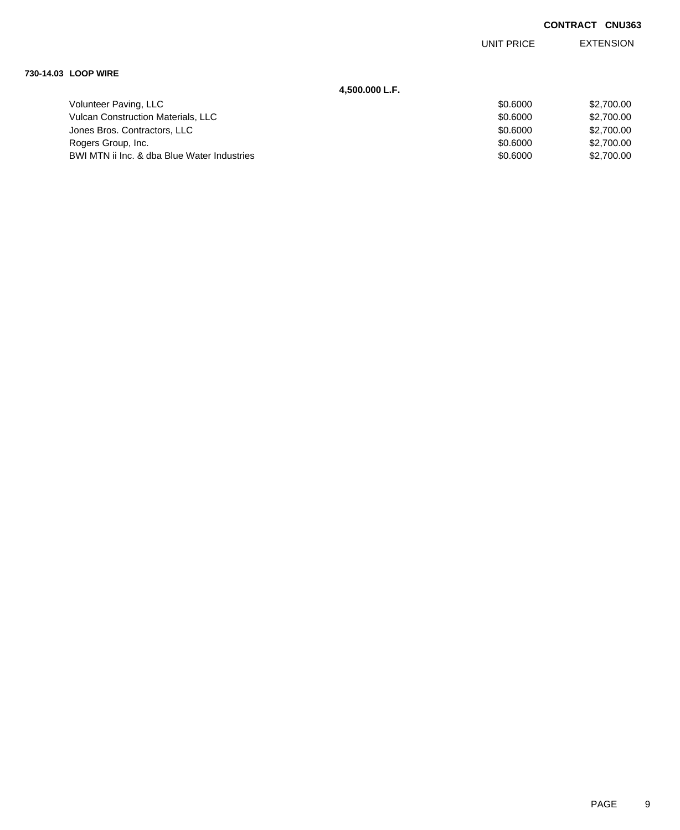EXTENSION UNIT PRICE

### **730-14.03 LOOP WIRE**

**4,500.000 L.F.**

| Volunteer Paving, LLC                       | \$0,6000 | \$2.700.00 |
|---------------------------------------------|----------|------------|
| <b>Vulcan Construction Materials, LLC</b>   | \$0.6000 | \$2,700,00 |
| Jones Bros. Contractors, LLC                | \$0,6000 | \$2,700,00 |
| Rogers Group, Inc.                          | \$0.6000 | \$2,700,00 |
| BWI MTN ii Inc. & dba Blue Water Industries | \$0.6000 | \$2,700.00 |
|                                             |          |            |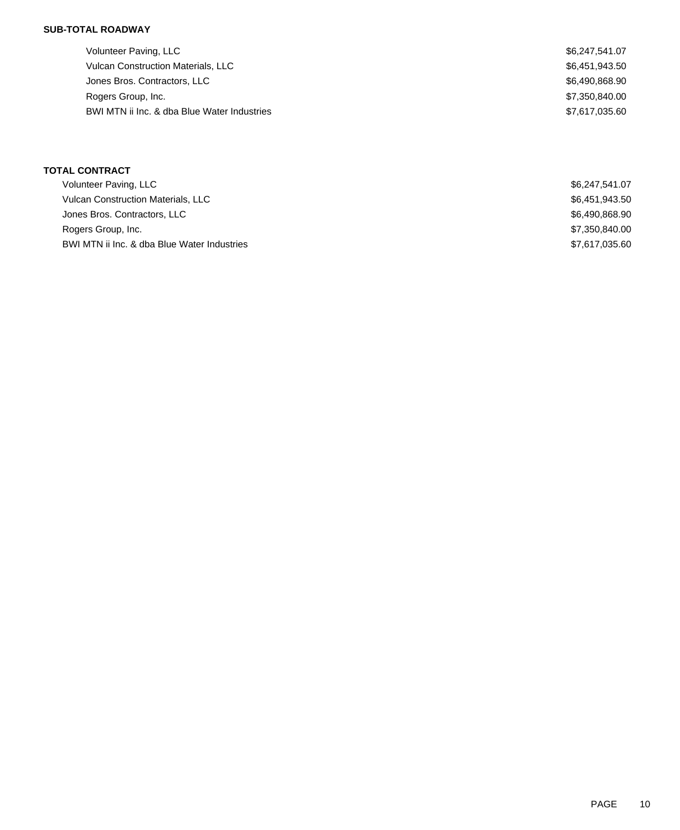## **SUB-TOTAL ROADWAY**

| Volunteer Paving, LLC                       | \$6,247,541.07 |
|---------------------------------------------|----------------|
| <b>Vulcan Construction Materials, LLC</b>   | \$6,451,943.50 |
| Jones Bros. Contractors, LLC                | \$6,490,868.90 |
| Rogers Group, Inc.                          | \$7,350,840,00 |
| BWI MTN ii Inc. & dba Blue Water Industries | \$7,617,035.60 |

## **TOTAL CONTRACT**

| Volunteer Paving, LLC                       | \$6,247,541.07 |
|---------------------------------------------|----------------|
| <b>Vulcan Construction Materials, LLC</b>   | \$6,451,943.50 |
| Jones Bros. Contractors, LLC                | \$6,490,868.90 |
| Rogers Group, Inc.                          | \$7,350,840.00 |
| BWI MTN ii Inc. & dba Blue Water Industries | \$7,617,035.60 |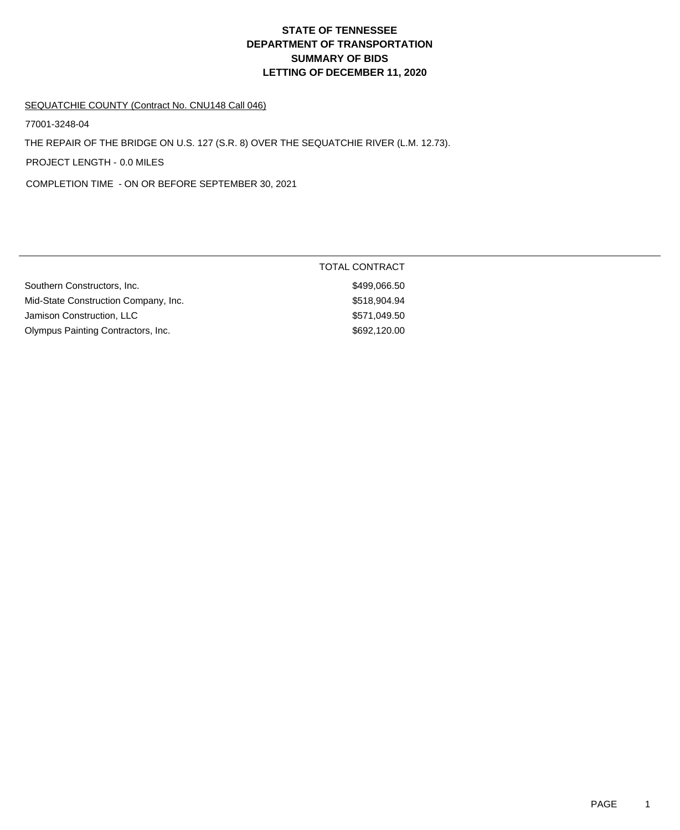# **DEPARTMENT OF TRANSPORTATION SUMMARY OF BIDS LETTING OF DECEMBER 11, 2020 STATE OF TENNESSEE**

### SEQUATCHIE COUNTY (Contract No. CNU148 Call 046)

77001-3248-04

THE REPAIR OF THE BRIDGE ON U.S. 127 (S.R. 8) OVER THE SEQUATCHIE RIVER (L.M. 12.73).

PROJECT LENGTH - 0.0 MILES

COMPLETION TIME - ON OR BEFORE SEPTEMBER 30, 2021

|                                      | <b>TOTAL CONTRACT</b> |
|--------------------------------------|-----------------------|
| Southern Constructors, Inc.          | \$499,066.50          |
| Mid-State Construction Company, Inc. | \$518,904.94          |
| Jamison Construction, LLC            | \$571,049.50          |
| Olympus Painting Contractors, Inc.   | \$692,120.00          |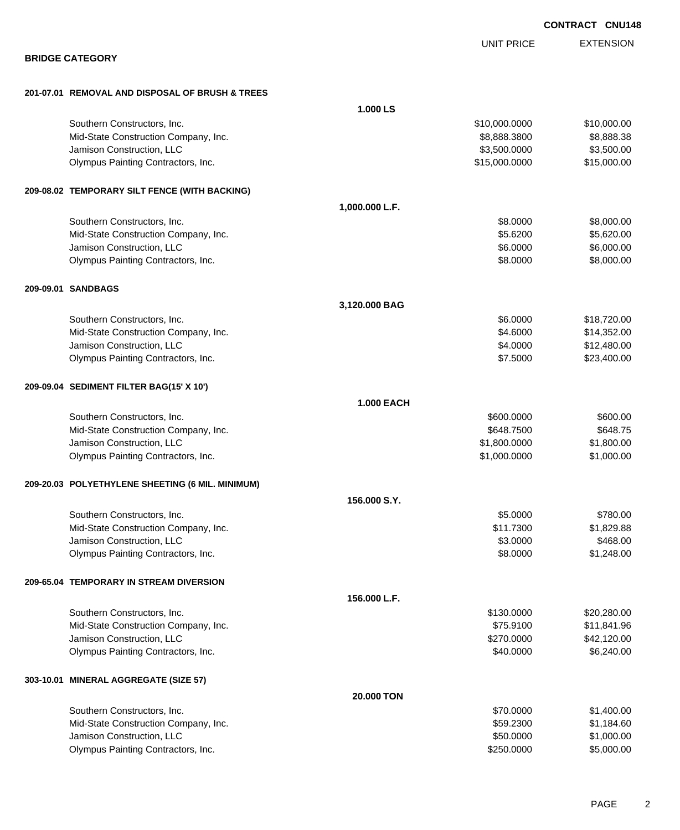| <b>BRIDGE CATEGORY</b>                                          |                   | UNII FRIUE                    | LATLINOIVIN               |
|-----------------------------------------------------------------|-------------------|-------------------------------|---------------------------|
|                                                                 |                   |                               |                           |
| 201-07.01 REMOVAL AND DISPOSAL OF BRUSH & TREES                 |                   |                               |                           |
|                                                                 | 1.000 LS          |                               |                           |
| Southern Constructors, Inc.                                     |                   | \$10,000.0000                 | \$10,000.00               |
| Mid-State Construction Company, Inc.                            |                   | \$8,888.3800                  | \$8,888.38                |
| Jamison Construction, LLC<br>Olympus Painting Contractors, Inc. |                   | \$3,500.0000<br>\$15,000.0000 | \$3,500.00<br>\$15,000.00 |
|                                                                 |                   |                               |                           |
| 209-08.02 TEMPORARY SILT FENCE (WITH BACKING)                   |                   |                               |                           |
|                                                                 | 1,000.000 L.F.    |                               |                           |
| Southern Constructors, Inc.                                     |                   | \$8.0000                      | \$8,000.00                |
| Mid-State Construction Company, Inc.                            |                   | \$5.6200                      | \$5,620.00                |
| Jamison Construction, LLC                                       |                   | \$6.0000                      | \$6,000.00                |
| Olympus Painting Contractors, Inc.                              |                   | \$8.0000                      | \$8,000.00                |
| 209-09.01 SANDBAGS                                              |                   |                               |                           |
|                                                                 | 3,120.000 BAG     |                               |                           |
| Southern Constructors, Inc.                                     |                   | \$6.0000                      | \$18,720.00               |
| Mid-State Construction Company, Inc.                            |                   | \$4.6000                      | \$14,352.00               |
| Jamison Construction, LLC                                       |                   | \$4.0000                      | \$12,480.00               |
| Olympus Painting Contractors, Inc.                              |                   | \$7.5000                      | \$23,400.00               |
| 209-09.04 SEDIMENT FILTER BAG(15' X 10')                        |                   |                               |                           |
|                                                                 | <b>1.000 EACH</b> |                               |                           |
| Southern Constructors, Inc.                                     |                   | \$600.0000                    | \$600.00                  |
| Mid-State Construction Company, Inc.                            |                   | \$648.7500                    | \$648.75                  |
| Jamison Construction, LLC                                       |                   | \$1,800.0000                  | \$1,800.00                |
| Olympus Painting Contractors, Inc.                              |                   | \$1,000.0000                  | \$1,000.00                |
| 209-20.03 POLYETHYLENE SHEETING (6 MIL. MINIMUM)                |                   |                               |                           |
|                                                                 | 156,000 S.Y.      |                               |                           |
| Southern Constructors, Inc.                                     |                   | \$5.0000                      | \$780.00                  |
| Mid-State Construction Company, Inc.                            |                   | \$11.7300                     | \$1,829.88                |
| Jamison Construction, LLC                                       |                   | \$3.0000                      | \$468.00                  |
| Olympus Painting Contractors, Inc.                              |                   | \$8.0000                      | \$1,248.00                |
| 209-65.04 TEMPORARY IN STREAM DIVERSION                         |                   |                               |                           |
|                                                                 | 156.000 L.F.      |                               |                           |
| Southern Constructors, Inc.                                     |                   | \$130.0000                    | \$20,280.00               |
| Mid-State Construction Company, Inc.                            |                   | \$75.9100                     | \$11,841.96               |
| Jamison Construction, LLC                                       |                   | \$270.0000                    | \$42,120.00               |
| Olympus Painting Contractors, Inc.                              |                   | \$40.0000                     | \$6,240.00                |
| 303-10.01 MINERAL AGGREGATE (SIZE 57)                           |                   |                               |                           |
|                                                                 | 20.000 TON        |                               |                           |
| Southern Constructors, Inc.                                     |                   | \$70.0000                     | \$1,400.00                |
| Mid-State Construction Company, Inc.                            |                   | \$59.2300                     | \$1,184.60                |
| Jamison Construction, LLC                                       |                   | \$50.0000                     | \$1,000.00                |

Olympus Painting Contractors, Inc. 6. The Contractors of the Contractors, Inc. 65,000.00

**CONTRACT CNU148**

EXTENSION UNIT PRICE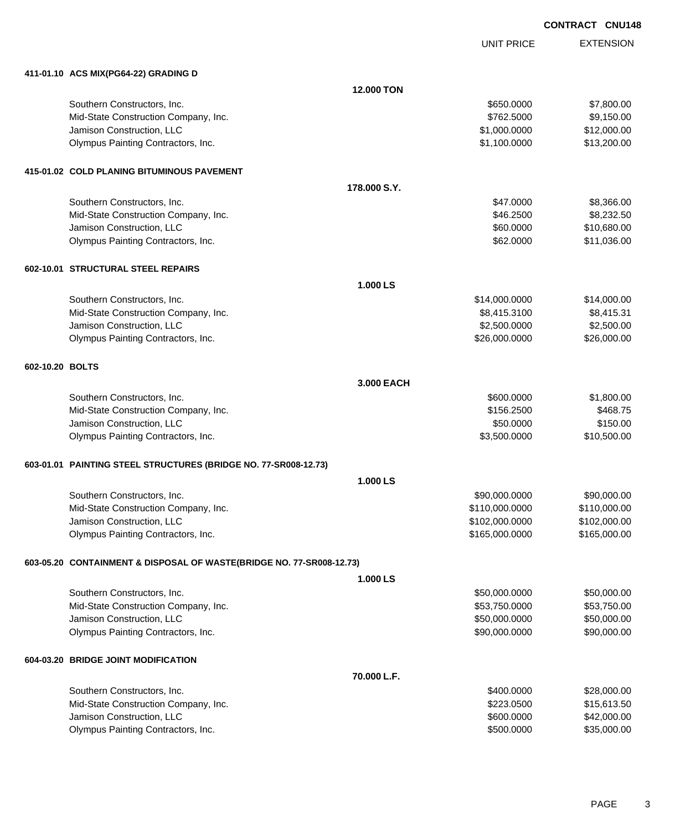UNIT PRICE

EXTENSION

|                 | 411-01.10 ACS MIX(PG64-22) GRADING D                                 |                   |                |              |  |  |
|-----------------|----------------------------------------------------------------------|-------------------|----------------|--------------|--|--|
|                 |                                                                      | <b>12.000 TON</b> |                |              |  |  |
|                 | Southern Constructors, Inc.                                          |                   | \$650.0000     | \$7,800.00   |  |  |
|                 | Mid-State Construction Company, Inc.                                 |                   | \$762.5000     | \$9,150.00   |  |  |
|                 | Jamison Construction, LLC                                            |                   | \$1,000.0000   | \$12,000.00  |  |  |
|                 | Olympus Painting Contractors, Inc.                                   |                   | \$1,100.0000   | \$13,200.00  |  |  |
|                 | 415-01.02 COLD PLANING BITUMINOUS PAVEMENT                           |                   |                |              |  |  |
|                 |                                                                      | 178.000 S.Y.      |                |              |  |  |
|                 | Southern Constructors, Inc.                                          |                   | \$47.0000      | \$8,366.00   |  |  |
|                 | Mid-State Construction Company, Inc.                                 |                   | \$46.2500      | \$8,232.50   |  |  |
|                 | Jamison Construction, LLC                                            |                   | \$60.0000      | \$10,680.00  |  |  |
|                 | Olympus Painting Contractors, Inc.                                   |                   | \$62.0000      | \$11,036.00  |  |  |
|                 | 602-10.01 STRUCTURAL STEEL REPAIRS                                   |                   |                |              |  |  |
|                 |                                                                      | 1.000 LS          |                |              |  |  |
|                 | Southern Constructors, Inc.                                          |                   | \$14,000.0000  | \$14,000.00  |  |  |
|                 | Mid-State Construction Company, Inc.                                 |                   | \$8,415.3100   | \$8,415.31   |  |  |
|                 | Jamison Construction, LLC                                            |                   | \$2,500.0000   | \$2,500.00   |  |  |
|                 | Olympus Painting Contractors, Inc.                                   |                   | \$26,000.0000  | \$26,000.00  |  |  |
| 602-10.20 BOLTS |                                                                      |                   |                |              |  |  |
|                 | 3.000 EACH                                                           |                   |                |              |  |  |
|                 | Southern Constructors, Inc.                                          |                   | \$600.0000     | \$1,800.00   |  |  |
|                 | Mid-State Construction Company, Inc.                                 |                   | \$156.2500     | \$468.75     |  |  |
|                 | Jamison Construction, LLC                                            |                   | \$50.0000      | \$150.00     |  |  |
|                 | Olympus Painting Contractors, Inc.                                   |                   | \$3,500.0000   | \$10,500.00  |  |  |
|                 | 603-01.01 PAINTING STEEL STRUCTURES (BRIDGE NO. 77-SR008-12.73)      |                   |                |              |  |  |
|                 |                                                                      | 1.000 LS          |                |              |  |  |
|                 | Southern Constructors, Inc.                                          |                   | \$90,000.0000  | \$90,000.00  |  |  |
|                 | Mid-State Construction Company, Inc.                                 |                   | \$110,000.0000 | \$110,000.00 |  |  |
|                 | Jamison Construction, LLC                                            |                   | \$102,000.0000 | \$102,000.00 |  |  |
|                 | Olympus Painting Contractors, Inc.                                   |                   | \$165,000.0000 | \$165,000.00 |  |  |
|                 | 603-05.20 CONTAINMENT & DISPOSAL OF WASTE(BRIDGE NO. 77-SR008-12.73) |                   |                |              |  |  |
|                 |                                                                      | 1.000 LS          |                |              |  |  |
|                 | Southern Constructors, Inc.                                          |                   | \$50,000.0000  | \$50,000.00  |  |  |
|                 | Mid-State Construction Company, Inc.                                 |                   | \$53,750.0000  | \$53,750.00  |  |  |
|                 | Jamison Construction, LLC                                            |                   | \$50,000.0000  | \$50,000.00  |  |  |
|                 | Olympus Painting Contractors, Inc.                                   |                   | \$90,000.0000  | \$90,000.00  |  |  |
|                 | 604-03.20 BRIDGE JOINT MODIFICATION                                  |                   |                |              |  |  |
|                 |                                                                      | 70.000 L.F.       |                |              |  |  |
|                 | Southern Constructors, Inc.                                          |                   | \$400.0000     | \$28,000.00  |  |  |
|                 | Mid-State Construction Company, Inc.                                 |                   | \$223.0500     | \$15,613.50  |  |  |
|                 | Jamison Construction, LLC                                            |                   | \$600.0000     | \$42,000.00  |  |  |
|                 | Olympus Painting Contractors, Inc.                                   |                   | \$500.0000     | \$35,000.00  |  |  |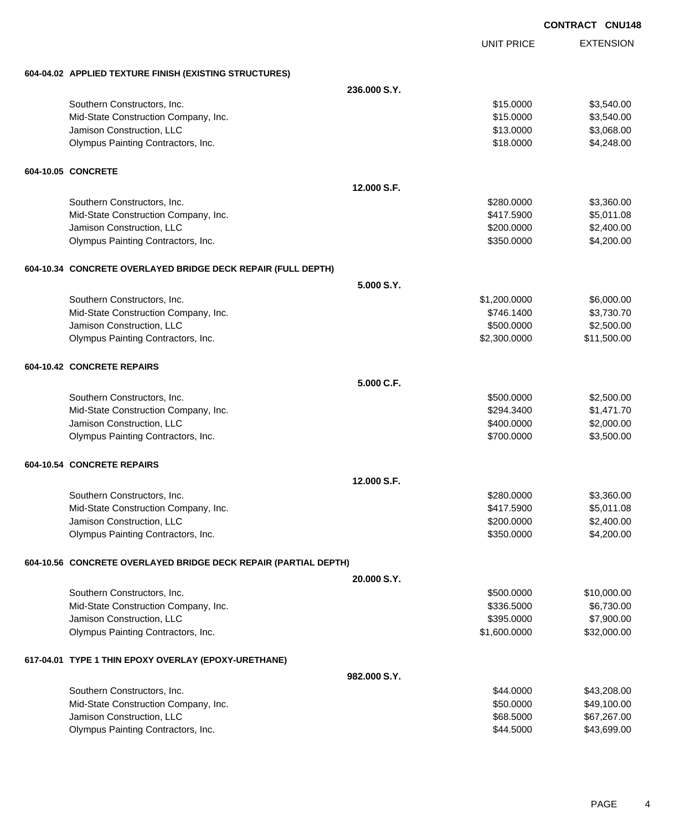|                                                                 |              |                   | <b>CONTRACT CNU148</b> |
|-----------------------------------------------------------------|--------------|-------------------|------------------------|
|                                                                 |              | <b>UNIT PRICE</b> | <b>EXTENSION</b>       |
| 604-04.02 APPLIED TEXTURE FINISH (EXISTING STRUCTURES)          |              |                   |                        |
|                                                                 | 236,000 S.Y. |                   |                        |
| Southern Constructors, Inc.                                     |              | \$15.0000         | \$3,540.00             |
| Mid-State Construction Company, Inc.                            |              | \$15.0000         | \$3,540.00             |
| Jamison Construction, LLC                                       |              | \$13.0000         | \$3,068.00             |
| Olympus Painting Contractors, Inc.                              |              | \$18.0000         | \$4,248.00             |
| 604-10.05 CONCRETE                                              |              |                   |                        |
|                                                                 | 12.000 S.F.  |                   |                        |
| Southern Constructors, Inc.                                     |              | \$280.0000        | \$3,360.00             |
| Mid-State Construction Company, Inc.                            |              | \$417.5900        | \$5,011.08             |
| Jamison Construction, LLC                                       |              | \$200.0000        | \$2,400.00             |
| Olympus Painting Contractors, Inc.                              |              | \$350.0000        | \$4,200.00             |
| 604-10.34 CONCRETE OVERLAYED BRIDGE DECK REPAIR (FULL DEPTH)    |              |                   |                        |
|                                                                 | 5.000 S.Y.   |                   |                        |
| Southern Constructors, Inc.                                     |              | \$1,200.0000      | \$6,000.00             |
| Mid-State Construction Company, Inc.                            |              | \$746.1400        | \$3,730.70             |
| Jamison Construction, LLC                                       |              | \$500.0000        | \$2,500.00             |
| Olympus Painting Contractors, Inc.                              |              | \$2,300.0000      | \$11,500.00            |
| 604-10.42 CONCRETE REPAIRS                                      |              |                   |                        |
|                                                                 | 5.000 C.F.   |                   |                        |
| Southern Constructors, Inc.                                     |              | \$500.0000        | \$2,500.00             |
| Mid-State Construction Company, Inc.                            |              | \$294.3400        | \$1,471.70             |
| Jamison Construction, LLC                                       |              | \$400.0000        | \$2,000.00             |
| Olympus Painting Contractors, Inc.                              |              | \$700.0000        | \$3,500.00             |
| 604-10.54 CONCRETE REPAIRS                                      |              |                   |                        |
|                                                                 | 12.000 S.F.  |                   |                        |
| Southern Constructors, Inc.                                     |              | \$280.0000        | \$3,360.00             |
| Mid-State Construction Company, Inc.                            |              | \$417.5900        | \$5,011.08             |
| Jamison Construction, LLC                                       |              | \$200.0000        | \$2,400.00             |
| Olympus Painting Contractors, Inc.                              |              | \$350.0000        | \$4,200.00             |
| 604-10.56 CONCRETE OVERLAYED BRIDGE DECK REPAIR (PARTIAL DEPTH) |              |                   |                        |
|                                                                 | 20.000 S.Y.  |                   |                        |
| Southern Constructors, Inc.                                     |              | \$500.0000        | \$10,000.00            |
| Mid-State Construction Company, Inc.                            |              | \$336.5000        | \$6,730.00             |
| Jamison Construction, LLC                                       |              | \$395.0000        | \$7,900.00             |
| Olympus Painting Contractors, Inc.                              |              | \$1,600.0000      | \$32,000.00            |
| 617-04.01 TYPE 1 THIN EPOXY OVERLAY (EPOXY-URETHANE)            |              |                   |                        |
|                                                                 | 982.000 S.Y. |                   |                        |
| Southern Constructors, Inc.                                     |              | \$44.0000         | \$43,208.00            |
| Mid-State Construction Company, Inc.                            |              | \$50.0000         | \$49,100.00            |
| Jamison Construction, LLC                                       |              | \$68.5000         | \$67,267.00            |
| Olympus Painting Contractors, Inc.                              |              | \$44.5000         | \$43,699.00            |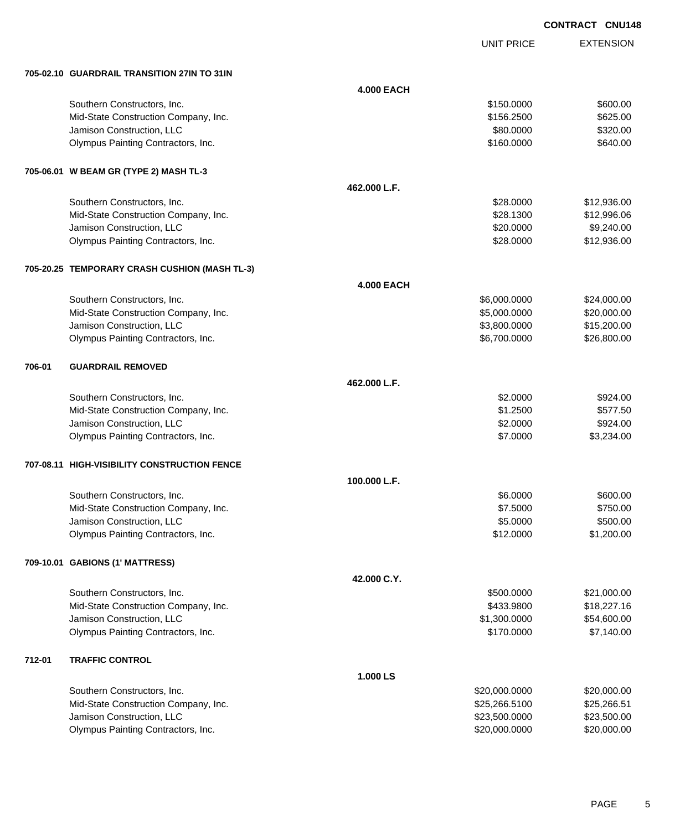UNIT PRICE

EXTENSION

|        | 705-02.10 GUARDRAIL TRANSITION 27IN TO 31IN   |                   |               |             |
|--------|-----------------------------------------------|-------------------|---------------|-------------|
|        |                                               | <b>4.000 EACH</b> |               |             |
|        | Southern Constructors, Inc.                   |                   | \$150.0000    | \$600.00    |
|        | Mid-State Construction Company, Inc.          |                   | \$156.2500    | \$625.00    |
|        | Jamison Construction, LLC                     |                   | \$80.0000     | \$320.00    |
|        | Olympus Painting Contractors, Inc.            |                   | \$160.0000    | \$640.00    |
|        |                                               |                   |               |             |
|        | 705-06.01 W BEAM GR (TYPE 2) MASH TL-3        |                   |               |             |
|        |                                               | 462.000 L.F.      |               |             |
|        | Southern Constructors, Inc.                   |                   | \$28.0000     | \$12,936.00 |
|        | Mid-State Construction Company, Inc.          |                   | \$28.1300     | \$12,996.06 |
|        | Jamison Construction, LLC                     |                   | \$20.0000     | \$9,240.00  |
|        | Olympus Painting Contractors, Inc.            |                   | \$28.0000     | \$12,936.00 |
|        | 705-20.25 TEMPORARY CRASH CUSHION (MASH TL-3) |                   |               |             |
|        |                                               | <b>4.000 EACH</b> |               |             |
|        | Southern Constructors, Inc.                   |                   | \$6,000.0000  | \$24,000.00 |
|        | Mid-State Construction Company, Inc.          |                   | \$5,000.0000  | \$20,000.00 |
|        | Jamison Construction, LLC                     |                   | \$3,800.0000  | \$15,200.00 |
|        | Olympus Painting Contractors, Inc.            |                   | \$6,700.0000  | \$26,800.00 |
| 706-01 | <b>GUARDRAIL REMOVED</b>                      |                   |               |             |
|        |                                               | 462.000 L.F.      |               |             |
|        | Southern Constructors, Inc.                   |                   | \$2.0000      | \$924.00    |
|        | Mid-State Construction Company, Inc.          |                   | \$1.2500      | \$577.50    |
|        | Jamison Construction, LLC                     |                   | \$2.0000      | \$924.00    |
|        | Olympus Painting Contractors, Inc.            |                   | \$7.0000      | \$3,234.00  |
|        | 707-08.11 HIGH-VISIBILITY CONSTRUCTION FENCE  |                   |               |             |
|        |                                               | 100.000 L.F.      |               |             |
|        | Southern Constructors, Inc.                   |                   | \$6.0000      | \$600.00    |
|        | Mid-State Construction Company, Inc.          |                   | \$7.5000      | \$750.00    |
|        | Jamison Construction, LLC                     |                   | \$5.0000      | \$500.00    |
|        | Olympus Painting Contractors, Inc.            |                   | \$12.0000     | \$1,200.00  |
|        | 709-10.01 GABIONS (1' MATTRESS)               |                   |               |             |
|        |                                               | 42.000 C.Y.       |               |             |
|        | Southern Constructors, Inc.                   |                   | \$500.0000    | \$21,000.00 |
|        | Mid-State Construction Company, Inc.          |                   | \$433.9800    | \$18,227.16 |
|        | Jamison Construction, LLC                     |                   | \$1,300.0000  | \$54,600.00 |
|        | Olympus Painting Contractors, Inc.            |                   | \$170.0000    | \$7,140.00  |
|        | <b>TRAFFIC CONTROL</b>                        |                   |               |             |
| 712-01 |                                               | 1.000 LS          |               |             |
|        | Southern Constructors, Inc.                   |                   | \$20,000.0000 | \$20,000.00 |
|        | Mid-State Construction Company, Inc.          |                   | \$25,266.5100 | \$25,266.51 |
|        | Jamison Construction, LLC                     |                   | \$23,500.0000 | \$23,500.00 |
|        | Olympus Painting Contractors, Inc.            |                   | \$20,000.0000 | \$20,000.00 |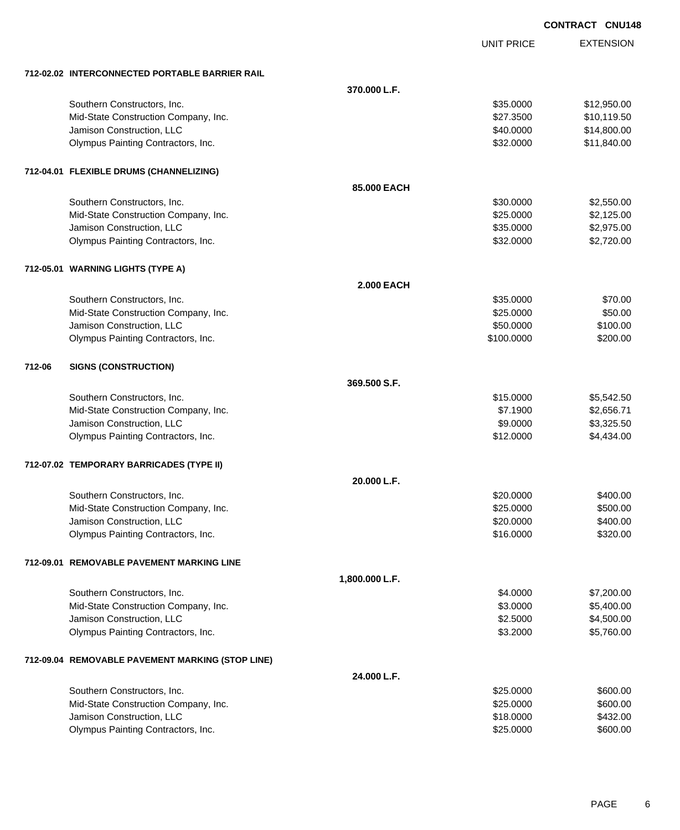| <b>CONTRACT</b> | <b>CNU148</b> |
|-----------------|---------------|
|                 |               |

|        |                                                                 |                   | <b>UNIT PRICE</b>      | <b>EXTENSION</b>     |
|--------|-----------------------------------------------------------------|-------------------|------------------------|----------------------|
|        |                                                                 |                   |                        |                      |
|        | 712-02.02 INTERCONNECTED PORTABLE BARRIER RAIL                  | 370.000 L.F.      |                        |                      |
|        | Southern Constructors, Inc.                                     |                   | \$35.0000              | \$12,950.00          |
|        | Mid-State Construction Company, Inc.                            |                   | \$27.3500              | \$10,119.50          |
|        | Jamison Construction, LLC                                       |                   | \$40.0000              | \$14,800.00          |
|        | Olympus Painting Contractors, Inc.                              |                   | \$32.0000              | \$11,840.00          |
|        |                                                                 |                   |                        |                      |
|        | 712-04.01 FLEXIBLE DRUMS (CHANNELIZING)                         |                   |                        |                      |
|        |                                                                 | 85,000 EACH       |                        |                      |
|        | Southern Constructors, Inc.                                     |                   | \$30.0000              | \$2,550.00           |
|        | Mid-State Construction Company, Inc.                            |                   | \$25.0000              | \$2,125.00           |
|        | Jamison Construction, LLC                                       |                   | \$35.0000              | \$2,975.00           |
|        | Olympus Painting Contractors, Inc.                              |                   | \$32.0000              | \$2,720.00           |
|        | 712-05.01 WARNING LIGHTS (TYPE A)                               |                   |                        |                      |
|        |                                                                 | <b>2.000 EACH</b> |                        |                      |
|        | Southern Constructors, Inc.                                     |                   | \$35.0000              | \$70.00              |
|        | Mid-State Construction Company, Inc.                            |                   | \$25.0000              | \$50.00              |
|        | Jamison Construction, LLC                                       |                   | \$50.0000              | \$100.00             |
|        | Olympus Painting Contractors, Inc.                              |                   | \$100.0000             | \$200.00             |
|        |                                                                 |                   |                        |                      |
| 712-06 | <b>SIGNS (CONSTRUCTION)</b>                                     |                   |                        |                      |
|        |                                                                 | 369.500 S.F.      |                        |                      |
|        | Southern Constructors, Inc.                                     |                   | \$15.0000              | \$5,542.50           |
|        | Mid-State Construction Company, Inc.                            |                   | \$7.1900               | \$2,656.71           |
|        | Jamison Construction, LLC                                       |                   | \$9.0000               | \$3,325.50           |
|        | Olympus Painting Contractors, Inc.                              |                   | \$12.0000              | \$4,434.00           |
|        | 712-07.02 TEMPORARY BARRICADES (TYPE II)                        |                   |                        |                      |
|        |                                                                 | 20.000 L.F.       |                        |                      |
|        | Southern Constructors, Inc.                                     |                   | \$20.0000              | \$400.00             |
|        | Mid-State Construction Company, Inc.                            |                   | \$25.0000              | \$500.00             |
|        | Jamison Construction, LLC                                       |                   | \$20,0000              | \$400.00             |
|        | Olympus Painting Contractors, Inc.                              |                   | \$16.0000              | \$320.00             |
|        | 712-09.01 REMOVABLE PAVEMENT MARKING LINE                       |                   |                        |                      |
|        |                                                                 | 1,800.000 L.F.    |                        |                      |
|        | Southern Constructors, Inc.                                     |                   | \$4.0000               | \$7,200.00           |
|        | Mid-State Construction Company, Inc.                            |                   | \$3.0000               | \$5,400.00           |
|        | Jamison Construction, LLC                                       |                   | \$2.5000               | \$4,500.00           |
|        | Olympus Painting Contractors, Inc.                              |                   | \$3.2000               | \$5,760.00           |
|        |                                                                 |                   |                        |                      |
|        | 712-09.04 REMOVABLE PAVEMENT MARKING (STOP LINE)                |                   |                        |                      |
|        |                                                                 | 24.000 L.F.       |                        |                      |
|        | Southern Constructors, Inc.                                     |                   | \$25.0000              | \$600.00             |
|        | Mid-State Construction Company, Inc.                            |                   | \$25.0000              | \$600.00             |
|        | Jamison Construction, LLC<br>Olympus Painting Contractors, Inc. |                   | \$18.0000<br>\$25.0000 | \$432.00<br>\$600.00 |
|        |                                                                 |                   |                        |                      |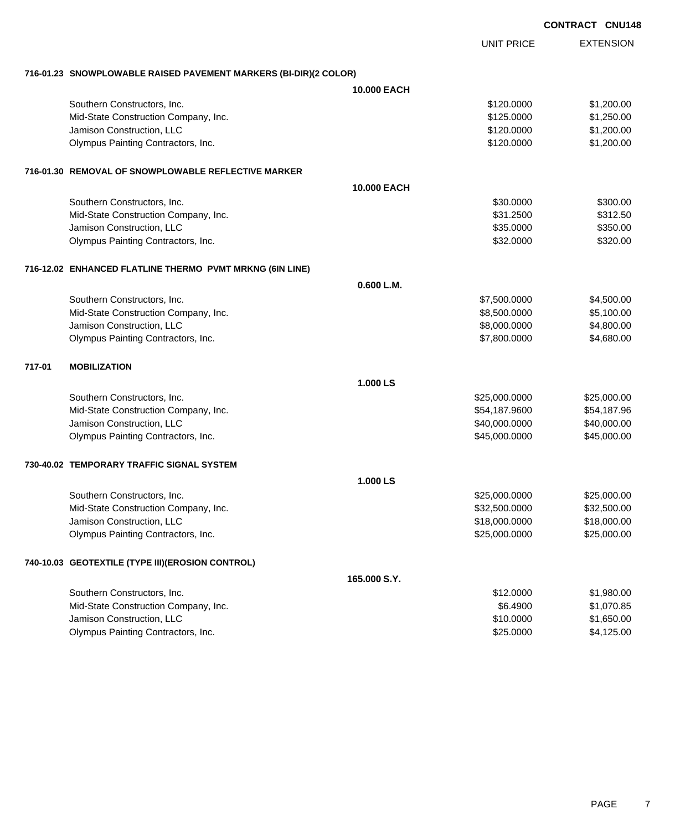|        |                                                                  |                    | <b>CONTRACT CNU148</b> |  |                  |
|--------|------------------------------------------------------------------|--------------------|------------------------|--|------------------|
|        |                                                                  |                    | <b>UNIT PRICE</b>      |  | <b>EXTENSION</b> |
|        | 716-01.23 SNOWPLOWABLE RAISED PAVEMENT MARKERS (BI-DIR)(2 COLOR) |                    |                        |  |                  |
|        |                                                                  | <b>10.000 EACH</b> |                        |  |                  |
|        | Southern Constructors, Inc.                                      |                    | \$120.0000             |  | \$1,200.00       |
|        | Mid-State Construction Company, Inc.                             |                    | \$125.0000             |  | \$1,250.00       |
|        | Jamison Construction, LLC                                        |                    | \$120.0000             |  | \$1,200.00       |
|        | Olympus Painting Contractors, Inc.                               |                    | \$120.0000             |  | \$1,200.00       |
|        | 716-01.30 REMOVAL OF SNOWPLOWABLE REFLECTIVE MARKER              |                    |                        |  |                  |
|        |                                                                  | <b>10.000 EACH</b> |                        |  |                  |
|        | Southern Constructors, Inc.                                      |                    | \$30.0000              |  | \$300.00         |
|        | Mid-State Construction Company, Inc.                             |                    | \$31.2500              |  | \$312.50         |
|        | Jamison Construction, LLC                                        |                    | \$35.0000              |  | \$350.00         |
|        | Olympus Painting Contractors, Inc.                               |                    | \$32.0000              |  | \$320.00         |
|        | 716-12.02 ENHANCED FLATLINE THERMO PVMT MRKNG (6IN LINE)         |                    |                        |  |                  |
|        |                                                                  | 0.600 L.M.         |                        |  |                  |
|        | Southern Constructors, Inc.                                      |                    | \$7,500.0000           |  | \$4,500.00       |
|        | Mid-State Construction Company, Inc.                             |                    | \$8,500.0000           |  | \$5,100.00       |
|        | Jamison Construction, LLC                                        |                    | \$8,000.0000           |  | \$4,800.00       |
|        | Olympus Painting Contractors, Inc.                               |                    | \$7,800.0000           |  | \$4,680.00       |
| 717-01 | <b>MOBILIZATION</b>                                              |                    |                        |  |                  |
|        |                                                                  | 1.000 LS           |                        |  |                  |
|        | Southern Constructors, Inc.                                      |                    | \$25,000.0000          |  | \$25,000.00      |
|        | Mid-State Construction Company, Inc.                             |                    | \$54,187.9600          |  | \$54,187.96      |
|        | Jamison Construction, LLC                                        |                    | \$40,000.0000          |  | \$40,000.00      |
|        | Olympus Painting Contractors, Inc.                               |                    | \$45,000.0000          |  | \$45,000.00      |
|        | 730-40.02   TEMPORARY TRAFFIC SIGNAL SYSTEM                      |                    |                        |  |                  |
|        |                                                                  | 1.000 LS           |                        |  |                  |
|        | Southern Constructors, Inc.                                      |                    | \$25,000.0000          |  | \$25,000.00      |
|        | Mid-State Construction Company, Inc.                             |                    | \$32,500.0000          |  | \$32,500.00      |
|        | Jamison Construction, LLC                                        |                    | \$18,000.0000          |  | \$18,000.00      |
|        | Olympus Painting Contractors, Inc.                               |                    | \$25,000.0000          |  | \$25,000.00      |
|        | 740-10.03 GEOTEXTILE (TYPE III)(EROSION CONTROL)                 |                    |                        |  |                  |
|        |                                                                  | 165.000 S.Y.       |                        |  |                  |
|        | Southern Constructors, Inc.                                      |                    | \$12.0000              |  | \$1,980.00       |
|        | Mid-State Construction Company, Inc.                             |                    | \$6.4900               |  | \$1,070.85       |
|        | Jamison Construction, LLC                                        |                    | \$10.0000              |  | \$1,650.00       |

Olympus Painting Contractors, Inc. 64,125.00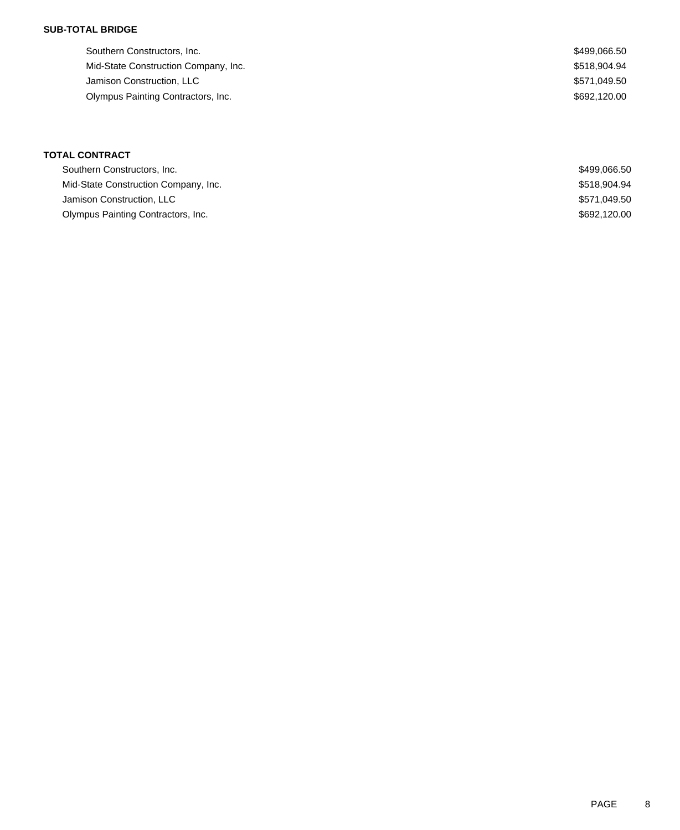## **SUB-TOTAL BRIDGE**

| Southern Constructors, Inc.          | \$499,066.50 |
|--------------------------------------|--------------|
| Mid-State Construction Company, Inc. | \$518.904.94 |
| Jamison Construction, LLC            | \$571.049.50 |
| Olympus Painting Contractors, Inc.   | \$692,120.00 |
|                                      |              |

## **TOTAL CONTRACT**

| Southern Constructors, Inc.          | \$499.066.50 |
|--------------------------------------|--------------|
| Mid-State Construction Company, Inc. | \$518.904.94 |
| Jamison Construction, LLC            | \$571.049.50 |
| Olympus Painting Contractors, Inc.   | \$692.120.00 |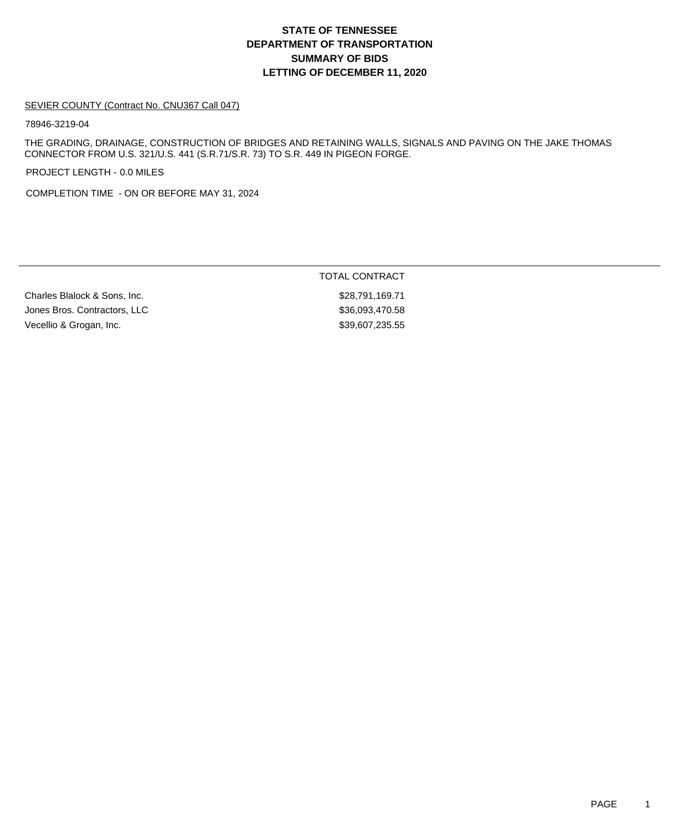# **DEPARTMENT OF TRANSPORTATION SUMMARY OF BIDS LETTING OF DECEMBER 11, 2020 STATE OF TENNESSEE**

#### SEVIER COUNTY (Contract No. CNU367 Call 047)

78946-3219-04

THE GRADING, DRAINAGE, CONSTRUCTION OF BRIDGES AND RETAINING WALLS, SIGNALS AND PAVING ON THE JAKE THOMAS CONNECTOR FROM U.S. 321/U.S. 441 (S.R.71/S.R. 73) TO S.R. 449 IN PIGEON FORGE.

PROJECT LENGTH - 0.0 MILES

COMPLETION TIME - ON OR BEFORE MAY 31, 2024

Charles Blalock & Sons, Inc. 6. The South of the Superintendent States Assembly to the Superintendent States A Jones Bros. Contractors, LLC \$36,093,470.58 Vecellio & Grogan, Inc. 6. 2010 12:35:55 St. 6. 2010 12:35:55 St. 5. 39,607,235.55

TOTAL CONTRACT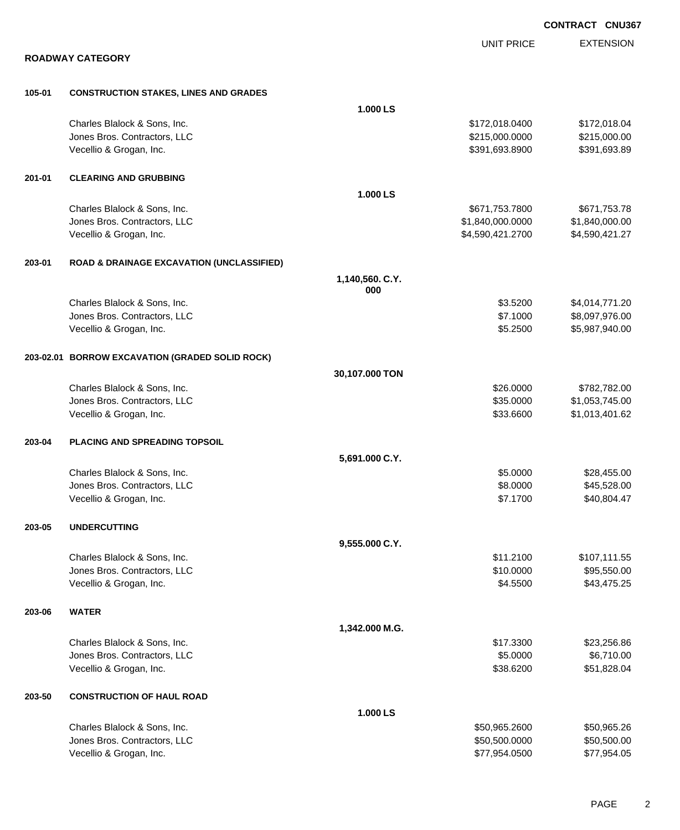|        |                                                         |                        |                        | <b>CONTRACT CNU367</b>           |
|--------|---------------------------------------------------------|------------------------|------------------------|----------------------------------|
|        |                                                         |                        | <b>UNIT PRICE</b>      | <b>EXTENSION</b>                 |
|        | <b>ROADWAY CATEGORY</b>                                 |                        |                        |                                  |
| 105-01 | <b>CONSTRUCTION STAKES, LINES AND GRADES</b>            |                        |                        |                                  |
|        |                                                         | 1.000 LS               |                        |                                  |
|        | Charles Blalock & Sons, Inc.                            |                        | \$172,018.0400         | \$172,018.04                     |
|        | Jones Bros. Contractors, LLC                            |                        | \$215,000.0000         | \$215,000.00                     |
|        | Vecellio & Grogan, Inc.                                 |                        | \$391,693.8900         | \$391,693.89                     |
| 201-01 | <b>CLEARING AND GRUBBING</b>                            |                        |                        |                                  |
|        |                                                         | 1.000 LS               |                        |                                  |
|        | Charles Blalock & Sons, Inc.                            |                        | \$671,753.7800         | \$671,753.78                     |
|        | Jones Bros. Contractors, LLC                            |                        | \$1,840,000.0000       | \$1,840,000.00                   |
|        | Vecellio & Grogan, Inc.                                 |                        | \$4,590,421.2700       | \$4,590,421.27                   |
| 203-01 | <b>ROAD &amp; DRAINAGE EXCAVATION (UNCLASSIFIED)</b>    |                        |                        |                                  |
|        |                                                         | 1,140,560. C.Y.<br>000 |                        |                                  |
|        | Charles Blalock & Sons, Inc.                            |                        | \$3.5200               | \$4,014,771.20                   |
|        | Jones Bros. Contractors, LLC                            |                        | \$7.1000               | \$8,097,976.00                   |
|        | Vecellio & Grogan, Inc.                                 |                        | \$5.2500               | \$5,987,940.00                   |
|        |                                                         |                        |                        |                                  |
|        | 203-02.01 BORROW EXCAVATION (GRADED SOLID ROCK)         |                        |                        |                                  |
|        |                                                         | 30,107.000 TON         |                        |                                  |
|        | Charles Blalock & Sons, Inc.                            |                        | \$26.0000              | \$782,782.00                     |
|        | Jones Bros. Contractors, LLC<br>Vecellio & Grogan, Inc. |                        | \$35.0000<br>\$33.6600 | \$1,053,745.00<br>\$1,013,401.62 |
|        |                                                         |                        |                        |                                  |
| 203-04 | PLACING AND SPREADING TOPSOIL                           |                        |                        |                                  |
|        |                                                         | 5,691.000 C.Y.         |                        |                                  |
|        | Charles Blalock & Sons, Inc.                            |                        | \$5.0000               | \$28,455.00                      |
|        | Jones Bros. Contractors, LLC                            |                        | \$8.0000               | \$45,528.00                      |
|        | Vecellio & Grogan, Inc.                                 |                        | \$7.1700               | \$40,804.47                      |
| 203-05 | <b>UNDERCUTTING</b>                                     |                        |                        |                                  |
|        |                                                         | 9,555.000 C.Y.         |                        |                                  |
|        | Charles Blalock & Sons, Inc.                            |                        | \$11.2100              | \$107,111.55                     |
|        | Jones Bros. Contractors, LLC                            |                        | \$10.0000              | \$95,550.00                      |
|        | Vecellio & Grogan, Inc.                                 |                        | \$4.5500               | \$43,475.25                      |
| 203-06 | <b>WATER</b>                                            |                        |                        |                                  |
|        |                                                         | 1,342.000 M.G.         |                        |                                  |
|        | Charles Blalock & Sons, Inc.                            |                        | \$17.3300              | \$23,256.86                      |
|        | Jones Bros. Contractors, LLC                            |                        | \$5.0000               | \$6,710.00                       |
|        | Vecellio & Grogan, Inc.                                 |                        | \$38.6200              | \$51,828.04                      |
| 203-50 | <b>CONSTRUCTION OF HAUL ROAD</b>                        |                        |                        |                                  |
|        |                                                         | 1.000 LS               |                        |                                  |
|        | Charles Blalock & Sons, Inc.                            |                        | \$50,965.2600          | \$50,965.26                      |
|        | Jones Bros. Contractors, LLC                            |                        | \$50,500.0000          | \$50,500.00                      |
|        | Vecellio & Grogan, Inc.                                 |                        | \$77,954.0500          | \$77,954.05                      |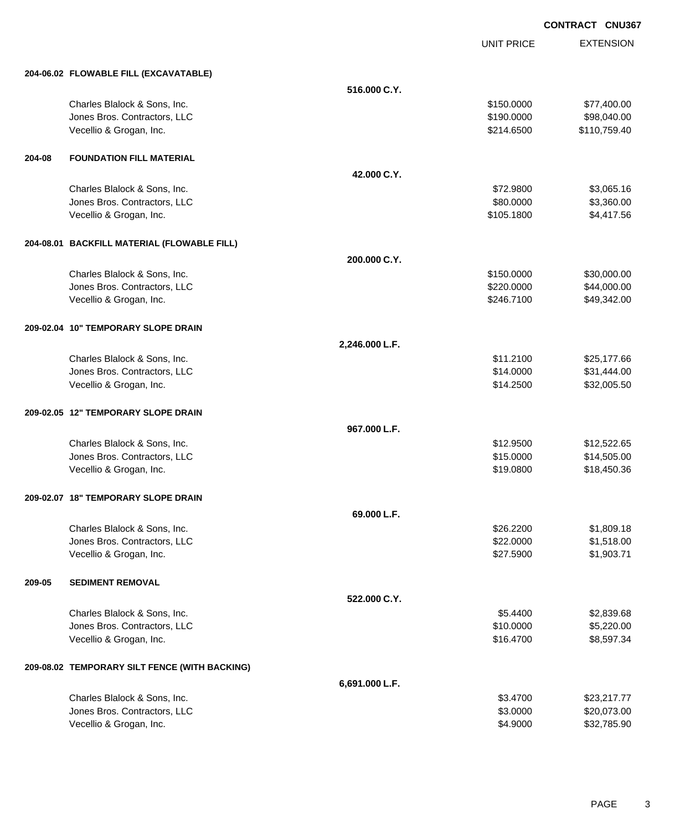UNIT PRICE

EXTENSION

|        | 204-06.02 FLOWABLE FILL (EXCAVATABLE)                        |                |                        |                            |
|--------|--------------------------------------------------------------|----------------|------------------------|----------------------------|
|        |                                                              | 516.000 C.Y.   |                        |                            |
|        | Charles Blalock & Sons, Inc.                                 |                | \$150.0000             | \$77,400.00                |
|        | Jones Bros. Contractors, LLC                                 |                | \$190.0000             | \$98,040.00                |
|        | Vecellio & Grogan, Inc.                                      |                | \$214.6500             | \$110,759.40               |
|        |                                                              |                |                        |                            |
| 204-08 | <b>FOUNDATION FILL MATERIAL</b>                              |                |                        |                            |
|        |                                                              | 42.000 C.Y.    |                        |                            |
|        | Charles Blalock & Sons, Inc.                                 |                | \$72.9800              | \$3,065.16                 |
|        | Jones Bros. Contractors, LLC                                 |                | \$80.0000              | \$3,360.00                 |
|        | Vecellio & Grogan, Inc.                                      |                | \$105.1800             | \$4,417.56                 |
|        | 204-08.01 BACKFILL MATERIAL (FLOWABLE FILL)                  |                |                        |                            |
|        |                                                              | 200.000 C.Y.   |                        |                            |
|        | Charles Blalock & Sons, Inc.                                 |                | \$150.0000             | \$30,000.00                |
|        | Jones Bros. Contractors, LLC                                 |                | \$220.0000             | \$44,000.00                |
|        | Vecellio & Grogan, Inc.                                      |                | \$246.7100             | \$49,342.00                |
|        | 209-02.04 10" TEMPORARY SLOPE DRAIN                          |                |                        |                            |
|        |                                                              | 2,246.000 L.F. |                        |                            |
|        |                                                              |                |                        |                            |
|        | Charles Blalock & Sons, Inc.<br>Jones Bros. Contractors, LLC |                | \$11.2100<br>\$14.0000 | \$25,177.66<br>\$31,444.00 |
|        | Vecellio & Grogan, Inc.                                      |                | \$14.2500              | \$32,005.50                |
|        |                                                              |                |                        |                            |
|        | 209-02.05 12" TEMPORARY SLOPE DRAIN                          |                |                        |                            |
|        |                                                              | 967.000 L.F.   |                        |                            |
|        | Charles Blalock & Sons, Inc.                                 |                | \$12.9500              | \$12,522.65                |
|        | Jones Bros. Contractors, LLC                                 |                | \$15.0000              | \$14,505.00                |
|        | Vecellio & Grogan, Inc.                                      |                | \$19.0800              | \$18,450.36                |
|        | 209-02.07 18" TEMPORARY SLOPE DRAIN                          |                |                        |                            |
|        |                                                              | 69.000 L.F.    |                        |                            |
|        | Charles Blalock & Sons, Inc.                                 |                | \$26.2200              | \$1,809.18                 |
|        | Jones Bros. Contractors, LLC                                 |                | \$22.0000              | \$1,518.00                 |
|        | Vecellio & Grogan, Inc.                                      |                | \$27.5900              | \$1,903.71                 |
| 209-05 | <b>SEDIMENT REMOVAL</b>                                      |                |                        |                            |
|        |                                                              | 522.000 C.Y.   |                        |                            |
|        | Charles Blalock & Sons, Inc.                                 |                | \$5.4400               | \$2,839.68                 |
|        | Jones Bros. Contractors, LLC                                 |                | \$10.0000              | \$5,220.00                 |
|        | Vecellio & Grogan, Inc.                                      |                | \$16.4700              | \$8,597.34                 |
|        | 209-08.02 TEMPORARY SILT FENCE (WITH BACKING)                |                |                        |                            |
|        |                                                              | 6,691.000 L.F. |                        |                            |
|        | Charles Blalock & Sons, Inc.                                 |                | \$3.4700               | \$23,217.77                |
|        | Jones Bros. Contractors, LLC                                 |                | \$3.0000               | \$20,073.00                |
|        | Vecellio & Grogan, Inc.                                      |                | \$4.9000               | \$32,785.90                |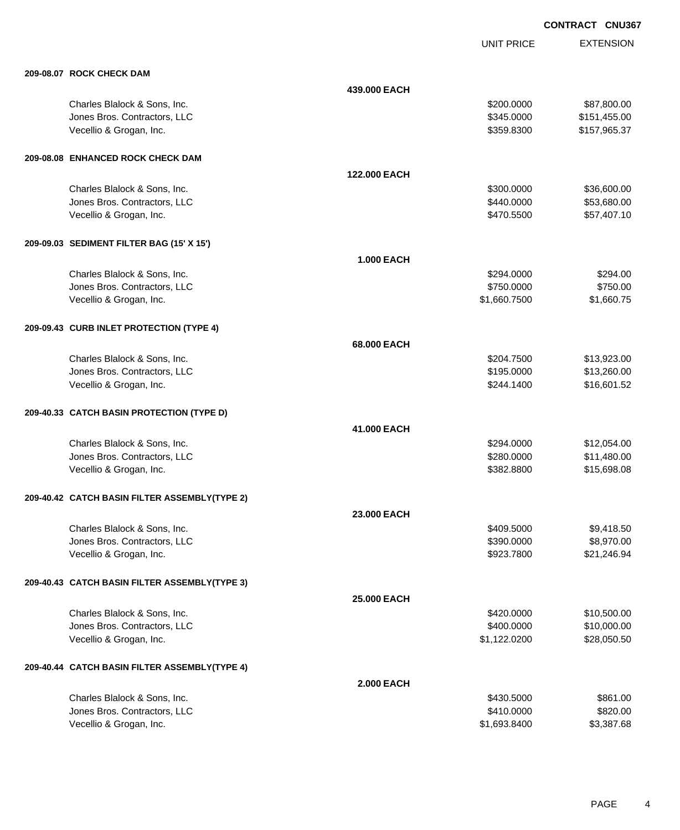|                                               |                    | <b>UNIT PRICE</b> | <b>EXTENSION</b> |
|-----------------------------------------------|--------------------|-------------------|------------------|
| 209-08.07 ROCK CHECK DAM                      |                    |                   |                  |
|                                               | 439,000 EACH       |                   |                  |
| Charles Blalock & Sons, Inc.                  |                    | \$200.0000        | \$87,800.00      |
| Jones Bros. Contractors, LLC                  |                    | \$345.0000        | \$151,455.00     |
| Vecellio & Grogan, Inc.                       |                    | \$359.8300        | \$157,965.37     |
| 209-08.08 ENHANCED ROCK CHECK DAM             |                    |                   |                  |
|                                               | 122,000 EACH       |                   |                  |
| Charles Blalock & Sons, Inc.                  |                    | \$300.0000        | \$36,600.00      |
| Jones Bros. Contractors, LLC                  |                    | \$440.0000        | \$53,680.00      |
| Vecellio & Grogan, Inc.                       |                    | \$470.5500        | \$57,407.10      |
| 209-09.03 SEDIMENT FILTER BAG (15' X 15')     |                    |                   |                  |
|                                               | <b>1.000 EACH</b>  |                   |                  |
| Charles Blalock & Sons, Inc.                  |                    | \$294.0000        | \$294.00         |
| Jones Bros. Contractors, LLC                  |                    | \$750.0000        | \$750.00         |
| Vecellio & Grogan, Inc.                       |                    | \$1,660.7500      | \$1,660.75       |
| 209-09.43 CURB INLET PROTECTION (TYPE 4)      |                    |                   |                  |
|                                               | 68,000 EACH        |                   |                  |
| Charles Blalock & Sons, Inc.                  |                    | \$204.7500        | \$13,923.00      |
| Jones Bros. Contractors, LLC                  |                    | \$195.0000        | \$13,260.00      |
| Vecellio & Grogan, Inc.                       |                    | \$244.1400        | \$16,601.52      |
| 209-40.33 CATCH BASIN PROTECTION (TYPE D)     |                    |                   |                  |
|                                               | 41.000 EACH        |                   |                  |
| Charles Blalock & Sons, Inc.                  |                    | \$294.0000        | \$12,054.00      |
| Jones Bros. Contractors, LLC                  |                    | \$280.0000        | \$11,480.00      |
| Vecellio & Grogan, Inc.                       |                    | \$382.8800        | \$15,698.08      |
| 209-40.42 CATCH BASIN FILTER ASSEMBLY(TYPE 2) |                    |                   |                  |
|                                               | 23.000 EACH        |                   |                  |
| Charles Blalock & Sons, Inc.                  |                    | \$409,5000        | \$9,418.50       |
| Jones Bros. Contractors, LLC                  |                    | \$390.0000        | \$8,970.00       |
| Vecellio & Grogan, Inc.                       |                    | \$923.7800        | \$21,246.94      |
| 209-40.43 CATCH BASIN FILTER ASSEMBLY(TYPE 3) |                    |                   |                  |
|                                               | <b>25.000 EACH</b> |                   |                  |
| Charles Blalock & Sons, Inc.                  |                    | \$420.0000        | \$10,500.00      |
| Jones Bros. Contractors, LLC                  |                    | \$400.0000        | \$10,000.00      |
| Vecellio & Grogan, Inc.                       |                    | \$1,122.0200      | \$28,050.50      |
| 209-40.44 CATCH BASIN FILTER ASSEMBLY(TYPE 4) |                    |                   |                  |
|                                               | <b>2.000 EACH</b>  |                   |                  |
| Charles Blalock & Sons, Inc.                  |                    | \$430.5000        | \$861.00         |
| Jones Bros. Contractors, LLC                  |                    | \$410.0000        | \$820.00         |
| Vecellio & Grogan, Inc.                       |                    | \$1,693.8400      | \$3,387.68       |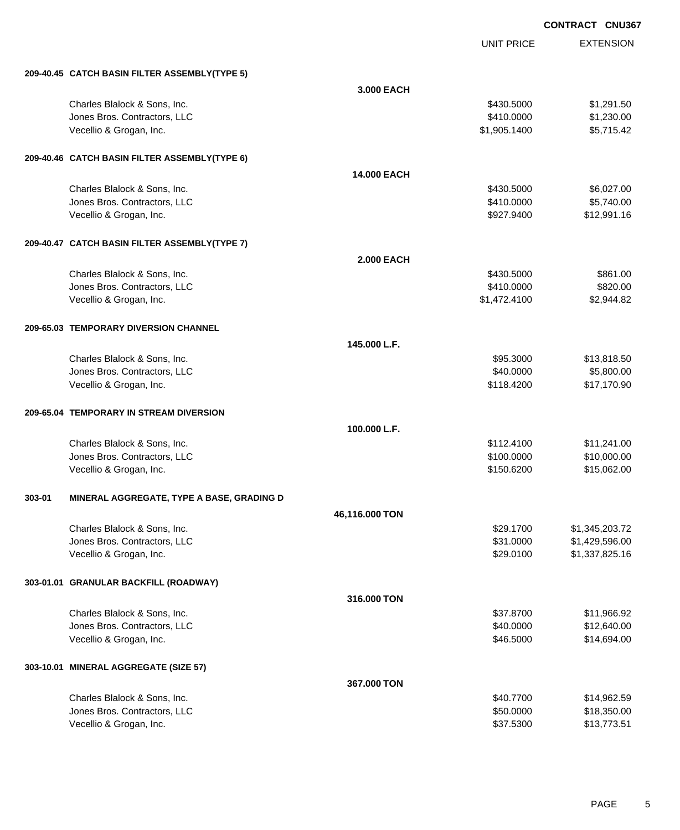EXTENSION **CONTRACT CNU367** UNIT PRICE **209-40.45 CATCH BASIN FILTER ASSEMBLY(TYPE 5) 3.000 EACH** Charles Blalock & Sons, Inc. 6. 2011.50 \$1,291.50 \$430.5000 \$1,291.50 Jones Bros. Contractors, LLC \$410.0000 \$1,230.00 Vecellio & Grogan, Inc. \$1,905.1400 \$5,715.42 **209-40.46 CATCH BASIN FILTER ASSEMBLY(TYPE 6) 14.000 EACH** Charles Blalock & Sons, Inc. 6. 2012 1.00 \$6,027.00 Jones Bros. Contractors, LLC \$410.0000 \$5,740.00 Vecellio & Grogan, Inc. 612,991.16 **209-40.47 CATCH BASIN FILTER ASSEMBLY(TYPE 7) 2.000 EACH** Charles Blalock & Sons, Inc. 661.000 \$861.00 Jones Bros. Contractors, LLC \$410.0000 \$820.00 Vecellio & Grogan, Inc. \$1,472.4100 \$2,944.82 **209-65.03 TEMPORARY DIVERSION CHANNEL 145.000 L.F.** Charles Blalock & Sons, Inc. 6. 2012 12:30 12:30 12:30 13:30 14:30 14:30 14:30 15:3000 \$13,818.50 dones Bros. Contractors, LLC 660000 \$5,800.00 Vecellio & Grogan, Inc. 617,170.90 **209-65.04 TEMPORARY IN STREAM DIVERSION 100.000 L.F.** Charles Blalock & Sons, Inc. \$112.4100 \$11,241.00 Jones Bros. Contractors, LLC \$100.0000 \$10,000.00 Vecellio & Grogan, Inc. 62.00 \$15,062.00 \$15,062.00 \$150.6200 \$15,062.00 **303-01 MINERAL AGGREGATE, TYPE A BASE, GRADING D 46,116.000 TON** Charles Blalock & Sons, Inc. \$29.1700 \$1,345,203.72 Jones Bros. Contractors, LLC \$31.0000 \$1,429,596.00 Vecellio & Grogan, Inc. 6. 2012. The State of the State of the State of the State of State of State of State of State of State of State of State of State of State of State of State of State of State of State of State of St **303-01.01 GRANULAR BACKFILL (ROADWAY) 316.000 TON** Charles Blalock & Sons, Inc. \$37.8700 \$11,966.92 Jones Bros. Contractors, LLC \$40.0000 \$12,640.00 Vecellio & Grogan, Inc. \$46.5000 \$14,694.00 **303-10.01 MINERAL AGGREGATE (SIZE 57) 367.000 TON** Charles Blalock & Sons, Inc. \$40.7700 \$14,962.59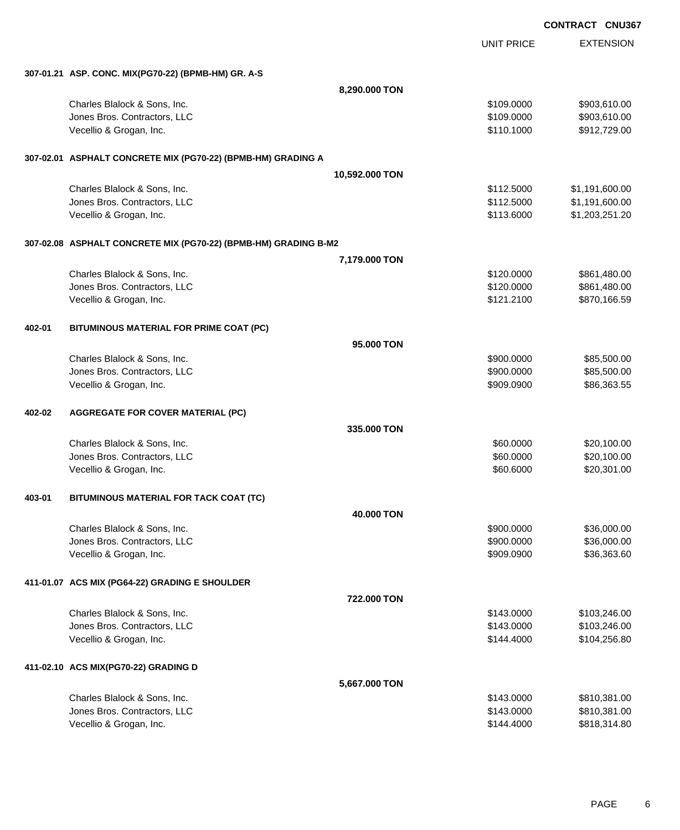EXTENSION **CONTRACT CNU367** UNIT PRICE **307-01.21 ASP. CONC. MIX(PG70-22) (BPMB-HM) GR. A-S 8,290.000 TON** Charles Blalock & Sons, Inc. 6. 2009.000 \$903,610.00 Jones Bros. Contractors, LLC \$109.0000 \$903,610.00 Vecellio & Grogan, Inc. 6. The Second State of the Second State of the Second State of Second State of Second State of Second State of Second State of Second State of Second State of Second State of Second State of Second **307-02.01 ASPHALT CONCRETE MIX (PG70-22) (BPMB-HM) GRADING A 10,592.000 TON** Charles Blalock & Sons, Inc. \$112.5000 \$1,191,600.00 Jones Bros. Contractors, LLC \$112.5000 \$1,191,600.00 Vecellio & Grogan, Inc. 6. 2008. The State of the State of the State of State of State of State of State of St **307-02.08 ASPHALT CONCRETE MIX (PG70-22) (BPMB-HM) GRADING B-M2 7,179.000 TON** Charles Blalock & Sons, Inc. 6. 2010. The State of the State of the State of the State of the State of the State of the State of the State of the State of the State of the State of the State of the State of the State of th Jones Bros. Contractors, LLC \$120.0000 \$861,480.00 Vecellio & Grogan, Inc. 66.59 (1999) 12.1.2100 (1999) 12.1.2100 (1999) 12.1.2100 (1999) 12.1.2100 (1999) 12.1.2100 (1999) 12.1.2100 (1999) 12.1.2100 (1999) 12.1.2100 (1999) 12.1.2100 (1999) 12.1.2100 (1999) 12.1.2100 (1999 **402-01 BITUMINOUS MATERIAL FOR PRIME COAT (PC) 95.000 TON** Charles Blalock & Sons, Inc. 6. 2012 12:30 12:30 12:30 12:30 12:30 12:30 12:30 12:30 12:30 12:30 13:30 13:30 13:30 13:30 13:30 13:30 13:30 13:30 13:30 13:30 13:30 13:30 13:30 13:30 13:30 13:30 13:30 13:30 13:30 13:30 13:30 versions and the set of the set of the set of the set of the set of the set of the set of the set of the set of the set of the set of the set of the set of the set of the set of the set of the set of the set of the set of Vecellio & Grogan, Inc. 686,363.55 **402-02 AGGREGATE FOR COVER MATERIAL (PC) 335.000 TON** Charles Blalock & Sons, Inc. 60.0000 \$20,100.00 versions and the set of the set of the set of the set of the set of the set of the set of the set of the set of the set of the set of the set of the set of the set of the set of the set of the set of the set of the set of Vecellio & Grogan, Inc. \$60.6000 \$20,301.00 **403-01 BITUMINOUS MATERIAL FOR TACK COAT (TC) 40.000 TON** Charles Blalock & Sons, Inc. 6. 2010 12:36:000.000 \$36,000.000 \$36,000.000 \$36,000.00  $Jones\ Bros.$  Contractors, LLC  $$900.000$   $$36,000.00$ Vecellio & Grogan, Inc. 636,363.60 **411-01.07 ACS MIX (PG64-22) GRADING E SHOULDER 722.000 TON** Charles Blalock & Sons, Inc. 6. 2012 12:30 12:30 12:30 12:30 12:30 12:30 12:30 12:30 12:30 12:30 12:30 12:30 1 Jones Bros. Contractors, LLC \$143.0000 \$103,246.00 Vecellio & Grogan, Inc. 6. 2014.256.80 **411-02.10 ACS MIX(PG70-22) GRADING D 5,667.000 TON**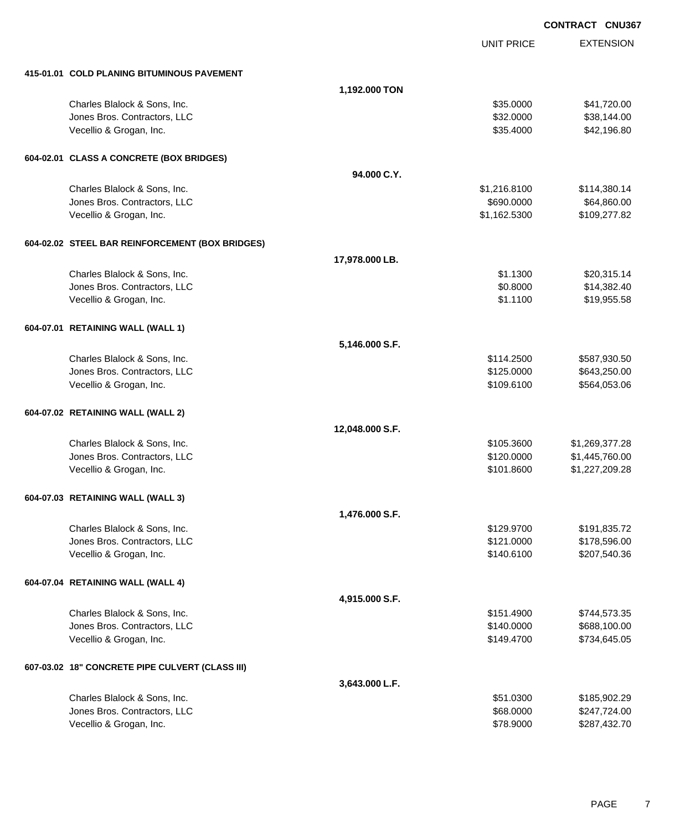EXTENSION UNIT PRICE **415-01.01 COLD PLANING BITUMINOUS PAVEMENT 1,192.000 TON** Charles Blalock & Sons, Inc. 6. 2010 12:30 12:30 12:30 13:30 14:30 14:30 14:30 15:30 16:30 16:30 16:30 16:30 16:30 16:30 16:30 16:30 16:30 16:30 16:30 16:30 16:30 16:30 16:30 16:30 16:30 16:30 16:30 16:30 16:30 16:30 16:30 Jones Bros. Contractors, LLC \$32.0000 \$38,144.00 Vecellio & Grogan, Inc. \$35.4000 \$42,196.80 **604-02.01 CLASS A CONCRETE (BOX BRIDGES) 94.000 C.Y.** Charles Blalock & Sons, Inc. \$1,216.8100 \$114,380.14  $Jones\ Bros.$  Contractors, LLC  $$690.0000$   $$64,860.00$ Vecellio & Grogan, Inc. 6. 2012. The State of the State of the State of State of State of State of State of State of State of State of State of State of State of State of State of State of State of State of State of State **604-02.02 STEEL BAR REINFORCEMENT (BOX BRIDGES) 17,978.000 LB.** Charles Blalock & Sons, Inc. 6. 2009. The State of the State of the State of State of State of State of State o Jones Bros. Contractors, LLC \$0.8000 \$14,382.40 Vecellio & Grogan, Inc. \$1.1100 \$19,955.58 **604-07.01 RETAINING WALL (WALL 1) 5,146.000 S.F.** Charles Blalock & Sons, Inc. 6. 2012 12:300 \$587,930.50 Jones Bros. Contractors, LLC \$125.0000 \$643,250.00 Vecellio & Grogan, Inc. 6109.6100 \$564,053.06 **604-07.02 RETAINING WALL (WALL 2) 12,048.000 S.F.** Charles Blalock & Sons, Inc. \$105.3600 \$1,269,377.28 Jones Bros. Contractors, LLC \$120.0000 \$1,445,760.00 Vecellio & Grogan, Inc. 6. 2011.8600 \$1,227,209.28 **604-07.03 RETAINING WALL (WALL 3) 1,476.000 S.F.** Charles Blalock & Sons, Inc. \$129.9700 \$191,835.72 Jones Bros. Contractors, LLC \$121.0000 \$178,596.00 Vecellio & Grogan, Inc. 6. 2007.540.36 (1990) 12:36 (1991) 12:36 (1991) 13:36 (1991) 13:36 (1992) 13:36 (1992) **604-07.04 RETAINING WALL (WALL 4) 4,915.000 S.F.** Charles Blalock & Sons, Inc. 6. 2012 12:35 12:35 12:35 12:35 151.4900 \$744,573.35 Jones Bros. Contractors, LLC \$140.0000 \$688,100.00 Vecellio & Grogan, Inc. 6. 2012. The State of the State of the State of State of State of State of State of State of State of State of State of State of State of State of State of State of State of State of State of State **607-03.02 18" CONCRETE PIPE CULVERT (CLASS III) 3,643.000 L.F.**

| Charles Blalock & Sons, Inc. | \$51.0300 | \$185,902,29 |
|------------------------------|-----------|--------------|
| Jones Bros. Contractors, LLC | \$68,0000 | \$247.724.00 |
| Vecellio & Grogan, Inc.      | \$78,9000 | \$287.432.70 |

**CONTRACT CNU367**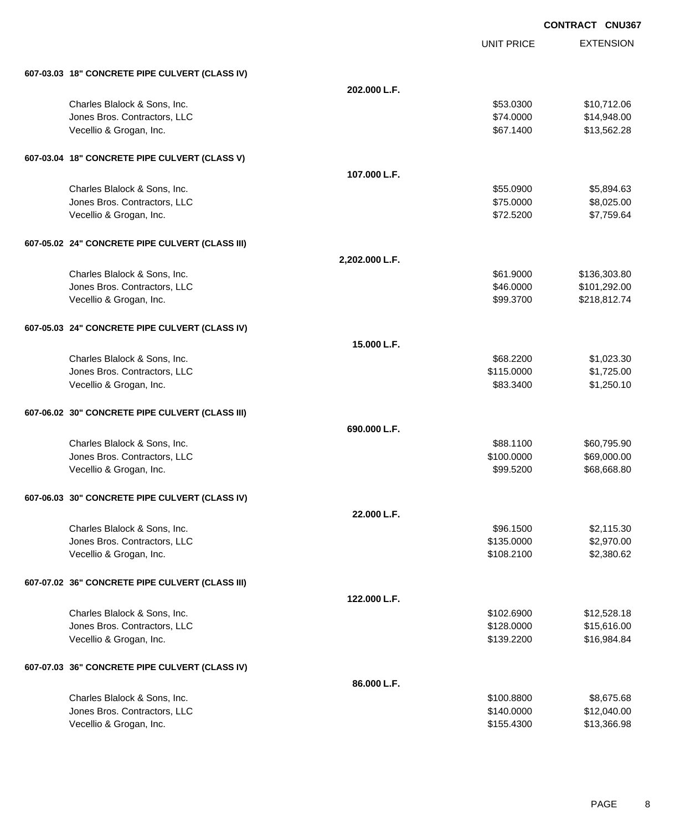EXTENSION **CONTRACT CNU367** UNIT PRICE **607-03.03 18" CONCRETE PIPE CULVERT (CLASS IV) 202.000 L.F.** Charles Blalock & Sons, Inc. \$53.0300 \$10,712.06 Jones Bros. Contractors, LLC \$74.0000 \$14,948.00 Vecellio & Grogan, Inc. \$67.1400 \$13,562.28 **607-03.04 18" CONCRETE PIPE CULVERT (CLASS V) 107.000 L.F.** Charles Blalock & Sons, Inc. \$55.0900 \$5,894.63 dones Bros. Contractors, LLC 66,025.000 \$8,025.00 Vecellio & Grogan, Inc. \$7,759.64 **607-05.02 24" CONCRETE PIPE CULVERT (CLASS III) 2,202.000 L.F.** Charles Blalock & Sons, Inc. \$61.9000 \$136,303.80 Jones Bros. Contractors, LLC 6. The state of the state of the state of the state of the state of the state of the state of the state of the state of the state of the state of the state of the state of the state of the stat Vecellio & Grogan, Inc. 6. 2018. 2019. The Second State of the Second State of State of State of State of State of State of State of State of State of State of State of State of State of State of State of State of State of **607-05.03 24" CONCRETE PIPE CULVERT (CLASS IV) 15.000 L.F.** Charles Blalock & Sons, Inc. \$68.2200 \$1,023.30 Jones Bros. Contractors, LLC \$115.0000 \$1,725.00 Vecellio & Grogan, Inc. \$83.3400 \$1,250.10 **607-06.02 30" CONCRETE PIPE CULVERT (CLASS III) 690.000 L.F.** Charles Blalock & Sons, Inc. 6. The Sons of the Sons, Inc. \$88.1100 \$60,795.90  $Jones\ Bros.$  Contractors, LLC  $$100.0000$   $$69,000.00$ Vecellio & Grogan, Inc. \$99.5200 \$68,668.80 **607-06.03 30" CONCRETE PIPE CULVERT (CLASS IV) 22.000 L.F.** Charles Blalock & Sons, Inc. \$96.1500 \$2,115.30 Jones Bros. Contractors, LLC \$135.0000 \$2,970.00 Vecellio & Grogan, Inc. 63.380.62 (1992) 12.580.62 (1993) 12.580.62 (1994) 12.580.62 **607-07.02 36" CONCRETE PIPE CULVERT (CLASS III) 122.000 L.F.** Charles Blalock & Sons, Inc. \$102.6900 \$12,528.18 Jones Bros. Contractors, LLC \$128.0000 \$15,616.00 Vecellio & Grogan, Inc. 6. 2010 12:339.2200 \$139.2200 \$16,984.84 **607-07.03 36" CONCRETE PIPE CULVERT (CLASS IV) 86.000 L.F.**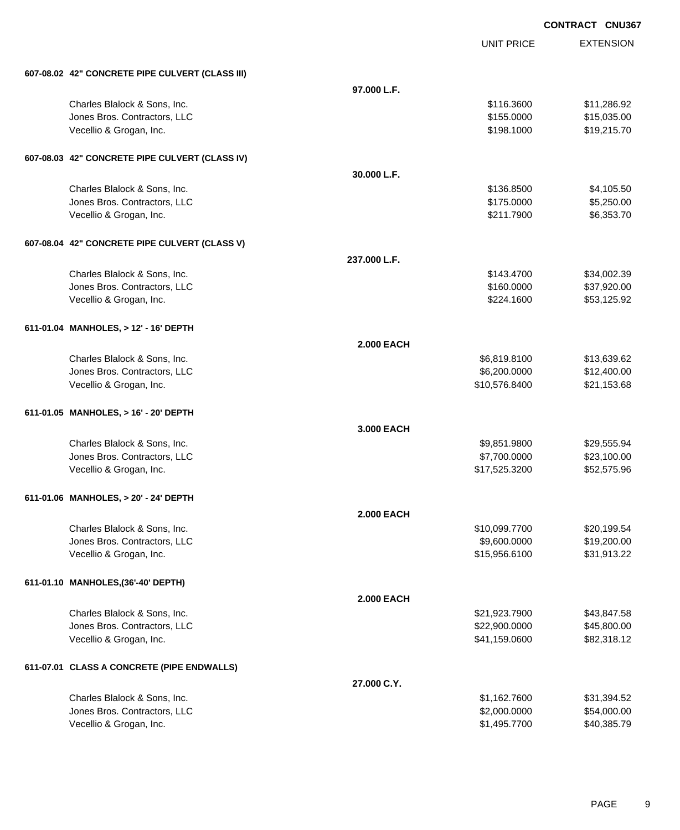UNIT PRICE

| 607-08.02 42" CONCRETE PIPE CULVERT (CLASS III)              |                   |                               |                            |
|--------------------------------------------------------------|-------------------|-------------------------------|----------------------------|
|                                                              | 97.000 L.F.       |                               |                            |
| Charles Blalock & Sons, Inc.                                 |                   | \$116.3600                    | \$11,286.92                |
| Jones Bros. Contractors, LLC                                 |                   | \$155.0000                    | \$15,035.00                |
| Vecellio & Grogan, Inc.                                      |                   | \$198.1000                    | \$19,215.70                |
| 607-08.03 42" CONCRETE PIPE CULVERT (CLASS IV)               |                   |                               |                            |
|                                                              | 30.000 L.F.       |                               |                            |
| Charles Blalock & Sons, Inc.                                 |                   | \$136.8500                    | \$4,105.50                 |
| Jones Bros. Contractors, LLC                                 |                   | \$175.0000                    | \$5,250.00                 |
| Vecellio & Grogan, Inc.                                      |                   | \$211.7900                    | \$6,353.70                 |
| 607-08.04 42" CONCRETE PIPE CULVERT (CLASS V)                |                   |                               |                            |
|                                                              | 237.000 L.F.      |                               |                            |
| Charles Blalock & Sons, Inc.                                 |                   | \$143.4700                    | \$34,002.39                |
| Jones Bros. Contractors, LLC                                 |                   | \$160.0000                    | \$37,920.00                |
| Vecellio & Grogan, Inc.                                      |                   | \$224.1600                    | \$53,125.92                |
| 611-01.04 MANHOLES, > 12' - 16' DEPTH                        |                   |                               |                            |
|                                                              | <b>2.000 EACH</b> |                               |                            |
| Charles Blalock & Sons, Inc.                                 |                   | \$6,819.8100                  | \$13,639.62                |
| Jones Bros. Contractors, LLC                                 |                   | \$6,200.0000                  | \$12,400.00                |
| Vecellio & Grogan, Inc.                                      |                   | \$10,576.8400                 | \$21,153.68                |
| 611-01.05 MANHOLES, > 16' - 20' DEPTH                        |                   |                               |                            |
|                                                              | 3.000 EACH        |                               |                            |
| Charles Blalock & Sons, Inc.<br>Jones Bros. Contractors, LLC |                   | \$9,851.9800<br>\$7,700.0000  | \$29,555.94<br>\$23,100.00 |
| Vecellio & Grogan, Inc.                                      |                   | \$17,525.3200                 | \$52,575.96                |
|                                                              |                   |                               |                            |
| 611-01.06 MANHOLES, > 20' - 24' DEPTH                        |                   |                               |                            |
| Charles Blalock & Sons, Inc.                                 | <b>2.000 EACH</b> |                               |                            |
| Jones Bros. Contractors, LLC                                 |                   | \$10,099.7700<br>\$9,600.0000 | \$20,199.54<br>\$19,200.00 |
| Vecellio & Grogan, Inc.                                      |                   | \$15,956.6100                 | \$31,913.22                |
| 611-01.10 MANHOLES, (36'-40' DEPTH)                          |                   |                               |                            |
|                                                              | <b>2.000 EACH</b> |                               |                            |
| Charles Blalock & Sons, Inc.                                 |                   | \$21,923.7900                 | \$43,847.58                |
| Jones Bros. Contractors, LLC                                 |                   | \$22,900.0000                 | \$45,800.00                |
| Vecellio & Grogan, Inc.                                      |                   | \$41,159.0600                 | \$82,318.12                |
| 611-07.01 CLASS A CONCRETE (PIPE ENDWALLS)                   |                   |                               |                            |
|                                                              | 27.000 C.Y.       |                               |                            |
| Charles Blalock & Sons, Inc.                                 |                   | \$1,162.7600                  | \$31,394.52                |
| Jones Bros. Contractors, LLC                                 |                   | \$2,000.0000                  | \$54,000.00                |
| Vecellio & Grogan, Inc.                                      |                   | \$1,495.7700                  | \$40,385.79                |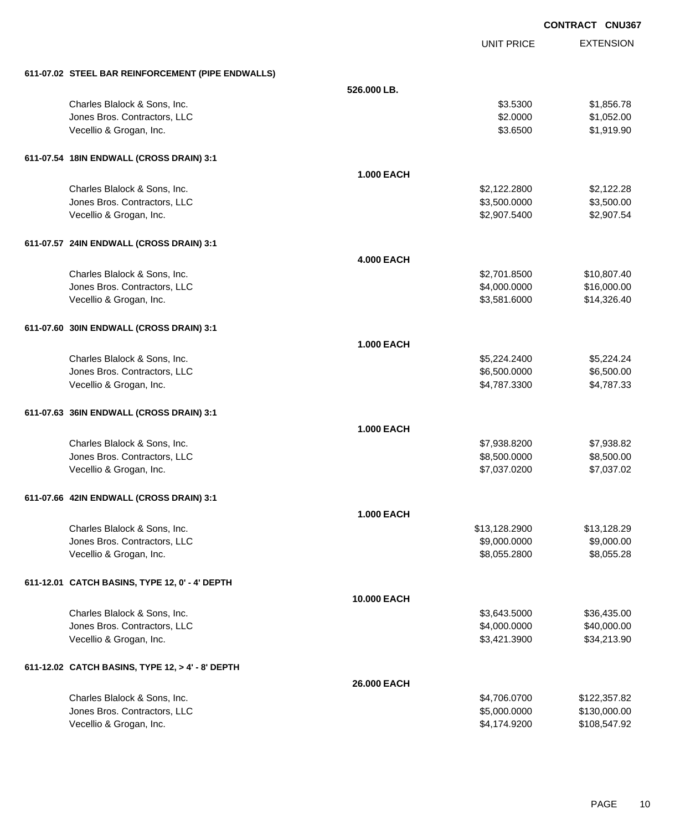|                                                   |                   |                   | <b>CONTRACT CNU367</b> |
|---------------------------------------------------|-------------------|-------------------|------------------------|
|                                                   |                   | <b>UNIT PRICE</b> | <b>EXTENSION</b>       |
| 611-07.02 STEEL BAR REINFORCEMENT (PIPE ENDWALLS) |                   |                   |                        |
|                                                   | 526,000 LB.       |                   |                        |
| Charles Blalock & Sons, Inc.                      |                   | \$3.5300          | \$1,856.78             |
| Jones Bros. Contractors, LLC                      |                   | \$2.0000          | \$1,052.00             |
| Vecellio & Grogan, Inc.                           |                   | \$3.6500          | \$1,919.90             |
| 611-07.54 18IN ENDWALL (CROSS DRAIN) 3:1          |                   |                   |                        |
|                                                   | <b>1.000 EACH</b> |                   |                        |
| Charles Blalock & Sons, Inc.                      |                   | \$2,122.2800      | \$2,122.28             |
| Jones Bros. Contractors, LLC                      |                   | \$3,500.0000      | \$3,500.00             |
| Vecellio & Grogan, Inc.                           |                   | \$2,907.5400      | \$2,907.54             |
| 611-07.57 24IN ENDWALL (CROSS DRAIN) 3:1          |                   |                   |                        |
|                                                   | <b>4.000 EACH</b> |                   |                        |
| Charles Blalock & Sons, Inc.                      |                   | \$2,701.8500      | \$10,807.40            |
| Jones Bros. Contractors, LLC                      |                   | \$4,000.0000      | \$16,000.00            |
| Vecellio & Grogan, Inc.                           |                   | \$3,581.6000      | \$14,326.40            |
| 611-07.60 30IN ENDWALL (CROSS DRAIN) 3:1          |                   |                   |                        |
|                                                   | <b>1.000 EACH</b> |                   |                        |
| Charles Blalock & Sons, Inc.                      |                   | \$5,224.2400      | \$5,224.24             |
| Jones Bros. Contractors, LLC                      |                   | \$6,500.0000      | \$6,500.00             |
| Vecellio & Grogan, Inc.                           |                   | \$4,787.3300      | \$4,787.33             |
| 611-07.63 36IN ENDWALL (CROSS DRAIN) 3:1          |                   |                   |                        |
|                                                   | <b>1.000 EACH</b> |                   |                        |
| Charles Blalock & Sons, Inc.                      |                   | \$7,938.8200      | \$7,938.82             |
| Jones Bros. Contractors, LLC                      |                   | \$8,500.0000      | \$8,500.00             |
| Vecellio & Grogan, Inc.                           |                   | \$7,037.0200      | \$7,037.02             |
| 611-07.66 42IN ENDWALL (CROSS DRAIN) 3:1          |                   |                   |                        |
|                                                   | <b>1.000 EACH</b> |                   |                        |
| Charles Blalock & Sons, Inc.                      |                   | \$13,128.2900     | \$13,128.29            |
| Jones Bros. Contractors, LLC                      |                   | \$9,000.0000      | \$9,000.00             |
| Vecellio & Grogan, Inc.                           |                   | \$8,055.2800      | \$8,055.28             |
| 611-12.01 CATCH BASINS, TYPE 12, 0' - 4' DEPTH    |                   |                   |                        |
|                                                   | 10.000 EACH       |                   |                        |
| Charles Blalock & Sons, Inc.                      |                   | \$3,643.5000      | \$36,435.00            |
| Jones Bros. Contractors, LLC                      |                   | \$4,000.0000      | \$40,000.00            |
| Vecellio & Grogan, Inc.                           |                   | \$3,421.3900      | \$34,213.90            |
| 611-12.02 CATCH BASINS, TYPE 12, > 4' - 8' DEPTH  |                   |                   |                        |
|                                                   | 26.000 EACH       |                   |                        |
| Charles Blalock & Sons, Inc.                      |                   | \$4,706.0700      | \$122,357.82           |
| Jones Bros. Contractors, LLC                      |                   | \$5,000.0000      | \$130,000.00           |

Vecellio & Grogan, Inc. \$4,174.9200 \$108,547.92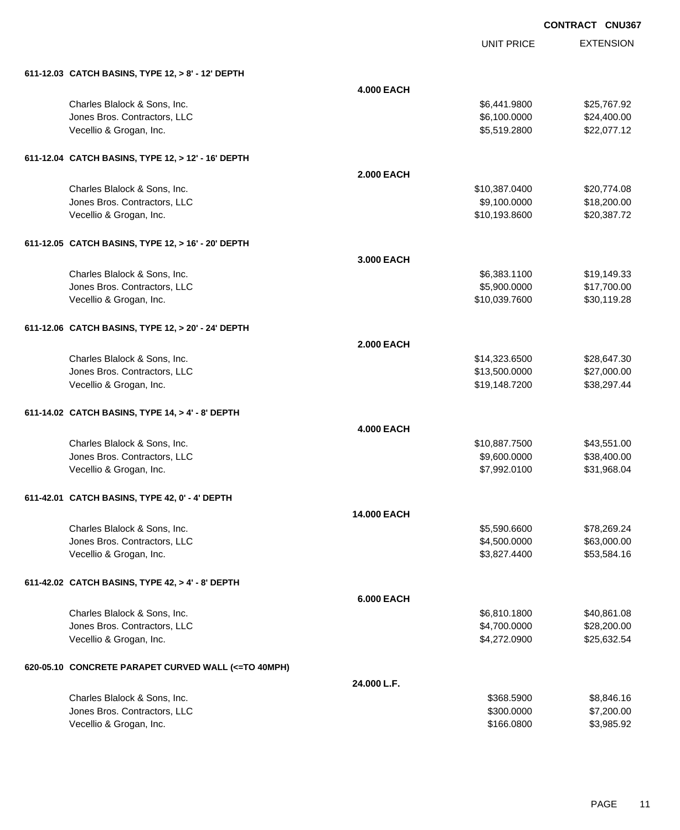UNIT PRICE

| 611-12.03 CATCH BASINS, TYPE 12, > 8' - 12' DEPTH   |                    |               |             |
|-----------------------------------------------------|--------------------|---------------|-------------|
|                                                     | <b>4.000 EACH</b>  |               |             |
| Charles Blalock & Sons, Inc.                        |                    | \$6,441.9800  | \$25,767.92 |
| Jones Bros. Contractors, LLC                        |                    | \$6,100.0000  | \$24,400.00 |
| Vecellio & Grogan, Inc.                             |                    | \$5,519.2800  | \$22,077.12 |
| 611-12.04 CATCH BASINS, TYPE 12, > 12' - 16' DEPTH  |                    |               |             |
|                                                     | <b>2.000 EACH</b>  |               |             |
| Charles Blalock & Sons, Inc.                        |                    | \$10,387.0400 | \$20,774.08 |
| Jones Bros. Contractors, LLC                        |                    | \$9,100.0000  | \$18,200.00 |
| Vecellio & Grogan, Inc.                             |                    | \$10,193.8600 | \$20,387.72 |
| 611-12.05 CATCH BASINS, TYPE 12, > 16' - 20' DEPTH  |                    |               |             |
|                                                     | 3.000 EACH         |               |             |
| Charles Blalock & Sons, Inc.                        |                    | \$6,383.1100  | \$19,149.33 |
| Jones Bros. Contractors, LLC                        |                    | \$5,900.0000  | \$17,700.00 |
| Vecellio & Grogan, Inc.                             |                    | \$10,039.7600 | \$30,119.28 |
| 611-12.06 CATCH BASINS, TYPE 12, > 20' - 24' DEPTH  |                    |               |             |
|                                                     | <b>2.000 EACH</b>  |               |             |
| Charles Blalock & Sons, Inc.                        |                    | \$14,323.6500 | \$28,647.30 |
| Jones Bros. Contractors, LLC                        |                    | \$13,500.0000 | \$27,000.00 |
| Vecellio & Grogan, Inc.                             |                    | \$19,148.7200 | \$38,297.44 |
| 611-14.02 CATCH BASINS, TYPE 14, > 4' - 8' DEPTH    |                    |               |             |
|                                                     | <b>4.000 EACH</b>  |               |             |
| Charles Blalock & Sons, Inc.                        |                    | \$10,887.7500 | \$43,551.00 |
| Jones Bros. Contractors, LLC                        |                    | \$9,600.0000  | \$38,400.00 |
| Vecellio & Grogan, Inc.                             |                    | \$7,992.0100  | \$31,968.04 |
| 611-42.01 CATCH BASINS, TYPE 42, 0' - 4' DEPTH      |                    |               |             |
|                                                     | <b>14.000 EACH</b> |               |             |
| Charles Blalock & Sons, Inc.                        |                    | \$5,590.6600  | \$78,269.24 |
| Jones Bros. Contractors, LLC                        |                    | \$4,500.0000  | \$63,000.00 |
| Vecellio & Grogan, Inc.                             |                    | \$3,827.4400  | \$53,584.16 |
| 611-42.02 CATCH BASINS, TYPE 42, > 4' - 8' DEPTH    |                    |               |             |
|                                                     | <b>6.000 EACH</b>  |               |             |
| Charles Blalock & Sons, Inc.                        |                    | \$6,810.1800  | \$40,861.08 |
| Jones Bros. Contractors, LLC                        |                    | \$4,700.0000  | \$28,200.00 |
| Vecellio & Grogan, Inc.                             |                    | \$4,272.0900  | \$25,632.54 |
| 620-05.10 CONCRETE PARAPET CURVED WALL (<=TO 40MPH) |                    |               |             |
|                                                     | 24.000 L.F.        |               |             |
| Charles Blalock & Sons, Inc.                        |                    | \$368.5900    | \$8,846.16  |
| Jones Bros. Contractors, LLC                        |                    | \$300.0000    | \$7,200.00  |
| Vecellio & Grogan, Inc.                             |                    | \$166.0800    | \$3,985.92  |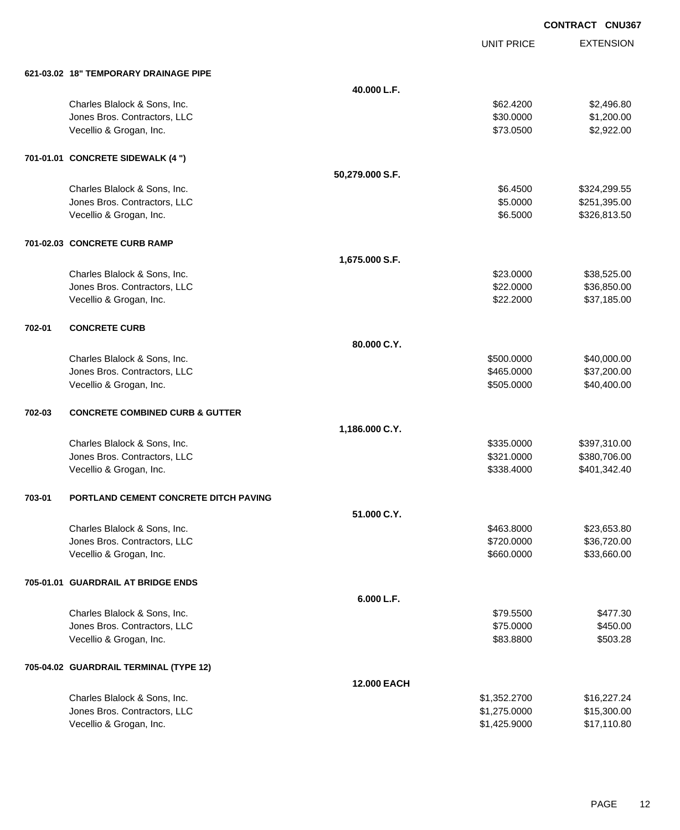UNIT PRICE EXTENSION

|        | 621-03.02 18" TEMPORARY DRAINAGE PIPE      |                    |              |              |
|--------|--------------------------------------------|--------------------|--------------|--------------|
|        |                                            | 40.000 L.F.        |              |              |
|        | Charles Blalock & Sons, Inc.               |                    | \$62.4200    | \$2,496.80   |
|        | Jones Bros. Contractors, LLC               |                    | \$30.0000    | \$1,200.00   |
|        | Vecellio & Grogan, Inc.                    |                    | \$73.0500    | \$2,922.00   |
|        | 701-01.01 CONCRETE SIDEWALK (4 ")          |                    |              |              |
|        |                                            | 50,279.000 S.F.    |              |              |
|        | Charles Blalock & Sons, Inc.               |                    | \$6.4500     | \$324,299.55 |
|        | Jones Bros. Contractors, LLC               |                    | \$5.0000     | \$251,395.00 |
|        | Vecellio & Grogan, Inc.                    |                    | \$6.5000     | \$326,813.50 |
|        | 701-02.03 CONCRETE CURB RAMP               |                    |              |              |
|        |                                            | 1,675.000 S.F.     |              |              |
|        | Charles Blalock & Sons, Inc.               |                    | \$23.0000    | \$38,525.00  |
|        | Jones Bros. Contractors, LLC               |                    | \$22.0000    | \$36,850.00  |
|        | Vecellio & Grogan, Inc.                    |                    | \$22.2000    | \$37,185.00  |
| 702-01 | <b>CONCRETE CURB</b>                       |                    |              |              |
|        |                                            | 80.000 C.Y.        |              |              |
|        | Charles Blalock & Sons, Inc.               |                    | \$500.0000   | \$40,000.00  |
|        | Jones Bros. Contractors, LLC               |                    | \$465.0000   | \$37,200.00  |
|        | Vecellio & Grogan, Inc.                    |                    | \$505.0000   | \$40,400.00  |
| 702-03 | <b>CONCRETE COMBINED CURB &amp; GUTTER</b> |                    |              |              |
|        |                                            | 1,186.000 C.Y.     |              |              |
|        | Charles Blalock & Sons, Inc.               |                    | \$335.0000   | \$397,310.00 |
|        | Jones Bros. Contractors, LLC               |                    | \$321.0000   | \$380,706.00 |
|        | Vecellio & Grogan, Inc.                    |                    | \$338.4000   | \$401,342.40 |
| 703-01 | PORTLAND CEMENT CONCRETE DITCH PAVING      |                    |              |              |
|        |                                            | 51.000 C.Y.        |              |              |
|        | Charles Blalock & Sons, Inc.               |                    | \$463.8000   | \$23,653.80  |
|        | Jones Bros. Contractors, LLC               |                    | \$720.0000   | \$36,720.00  |
|        | Vecellio & Grogan, Inc.                    |                    | \$660.0000   | \$33,660.00  |
|        | 705-01.01 GUARDRAIL AT BRIDGE ENDS         |                    |              |              |
|        |                                            | 6.000 L.F.         |              |              |
|        | Charles Blalock & Sons, Inc.               |                    | \$79.5500    | \$477.30     |
|        | Jones Bros. Contractors, LLC               |                    | \$75.0000    | \$450.00     |
|        | Vecellio & Grogan, Inc.                    |                    | \$83.8800    | \$503.28     |
|        | 705-04.02 GUARDRAIL TERMINAL (TYPE 12)     |                    |              |              |
|        |                                            | <b>12.000 EACH</b> |              |              |
|        | Charles Blalock & Sons, Inc.               |                    | \$1,352.2700 | \$16,227.24  |
|        | Jones Bros. Contractors, LLC               |                    | \$1,275.0000 | \$15,300.00  |
|        | Vecellio & Grogan, Inc.                    |                    | \$1,425.9000 | \$17,110.80  |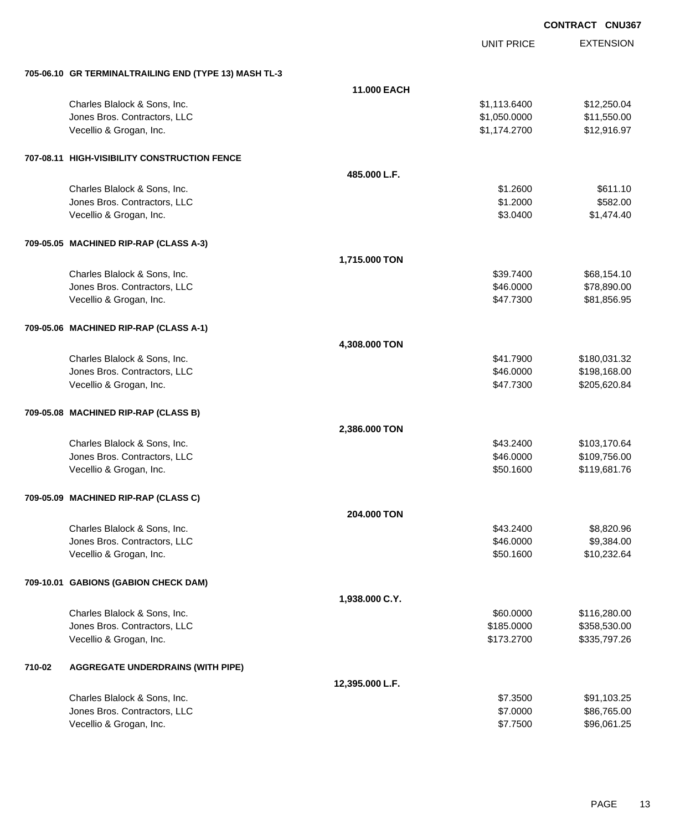|                                                       |                    |                   | <b>CONTRACT CNU367</b> |
|-------------------------------------------------------|--------------------|-------------------|------------------------|
|                                                       |                    | <b>UNIT PRICE</b> | <b>EXTENSION</b>       |
| 705-06.10 GR TERMINALTRAILING END (TYPE 13) MASH TL-3 |                    |                   |                        |
|                                                       | <b>11.000 EACH</b> |                   |                        |
| Charles Blalock & Sons, Inc.                          |                    | \$1,113.6400      | \$12,250.04            |
| Jones Bros. Contractors, LLC                          |                    | \$1,050.0000      | \$11,550.00            |
| Vecellio & Grogan, Inc.                               |                    | \$1,174.2700      | \$12,916.97            |
| 707-08.11 HIGH-VISIBILITY CONSTRUCTION FENCE          |                    |                   |                        |
|                                                       | 485,000 L.F.       |                   |                        |
| Charles Blalock & Sons, Inc.                          |                    | \$1.2600          | \$611.10               |
| Jones Bros. Contractors, LLC                          |                    | \$1.2000          | \$582.00               |
| Vecellio & Grogan, Inc.                               |                    | \$3.0400          | \$1,474.40             |
| 709-05.05 MACHINED RIP-RAP (CLASS A-3)                |                    |                   |                        |
|                                                       | 1,715.000 TON      |                   |                        |
| Charles Blalock & Sons, Inc.                          |                    | \$39.7400         | \$68,154.10            |
| Jones Bros. Contractors, LLC                          |                    | \$46.0000         | \$78,890.00            |
| Vecellio & Grogan, Inc.                               |                    | \$47.7300         | \$81,856.95            |
| 709-05.06 MACHINED RIP-RAP (CLASS A-1)                |                    |                   |                        |
|                                                       | 4,308.000 TON      |                   |                        |
| Charles Blalock & Sons, Inc.                          |                    | \$41.7900         | \$180,031.32           |
| Jones Bros. Contractors, LLC                          |                    | \$46.0000         | \$198,168.00           |
| Vecellio & Grogan, Inc.                               |                    | \$47.7300         | \$205,620.84           |
| 709-05.08 MACHINED RIP-RAP (CLASS B)                  |                    |                   |                        |
|                                                       | 2,386.000 TON      |                   |                        |
| Charles Blalock & Sons, Inc.                          |                    | \$43.2400         | \$103,170.64           |
| Jones Bros. Contractors, LLC                          |                    | \$46.0000         | \$109,756.00           |
| Vecellio & Grogan, Inc.                               |                    | \$50.1600         | \$119,681.76           |
| 709-05.09 MACHINED RIP-RAP (CLASS C)                  |                    |                   |                        |
|                                                       | 204.000 TON        |                   |                        |
| Charles Blalock & Sons, Inc.                          |                    | \$43.2400         | \$8,820.96             |
| Jones Bros. Contractors, LLC                          |                    | \$46.0000         | \$9,384.00             |
| Vecellio & Grogan, Inc.                               |                    | \$50.1600         | \$10,232.64            |
| 709-10.01 GABIONS (GABION CHECK DAM)                  |                    |                   |                        |
|                                                       | 1,938.000 C.Y.     |                   |                        |
| Charles Blalock & Sons, Inc.                          |                    | \$60.0000         | \$116,280.00           |
| Jones Bros. Contractors, LLC                          |                    | \$185.0000        | \$358,530.00           |
| Vecellio & Grogan, Inc.                               |                    | \$173.2700        | \$335,797.26           |

#### **710-02 AGGREGATE UNDERDRAINS (WITH PIPE)**

| 12.395.000 L.F.              |          |             |
|------------------------------|----------|-------------|
| Charles Blalock & Sons, Inc. | \$7,3500 | \$91.103.25 |
| Jones Bros, Contractors, LLC | \$7,0000 | \$86,765,00 |
| Vecellio & Grogan, Inc.      | \$7.7500 | \$96,061.25 |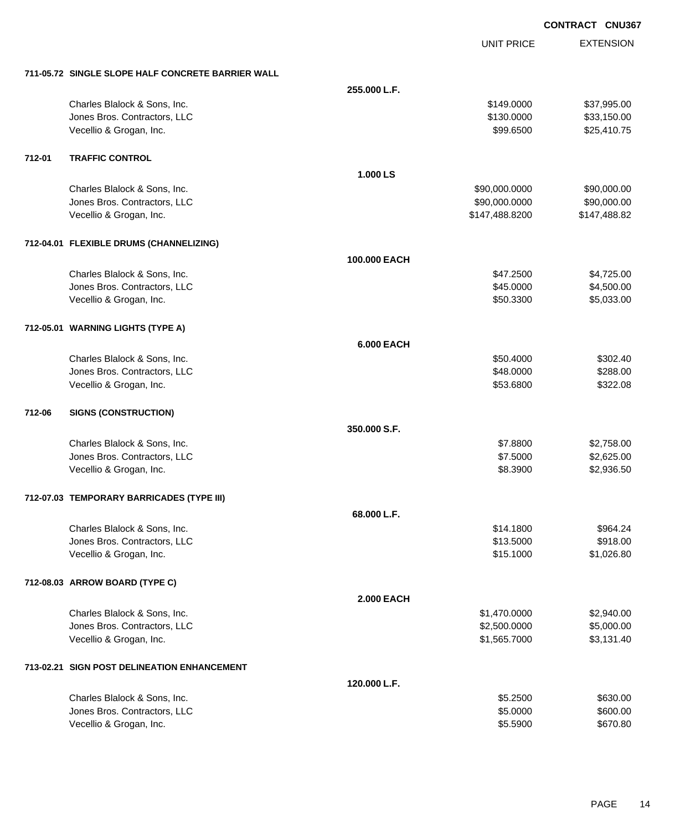|        |                                                   |                   | <b>UNIT PRICE</b> | <b>EXTENSION</b> |
|--------|---------------------------------------------------|-------------------|-------------------|------------------|
|        | 711-05.72 SINGLE SLOPE HALF CONCRETE BARRIER WALL |                   |                   |                  |
|        |                                                   | 255.000 L.F.      |                   |                  |
|        | Charles Blalock & Sons, Inc.                      |                   | \$149.0000        | \$37,995.00      |
|        | Jones Bros. Contractors, LLC                      |                   | \$130.0000        | \$33,150.00      |
|        | Vecellio & Grogan, Inc.                           |                   | \$99.6500         | \$25,410.75      |
| 712-01 | <b>TRAFFIC CONTROL</b>                            |                   |                   |                  |
|        |                                                   | 1.000 LS          |                   |                  |
|        | Charles Blalock & Sons, Inc.                      |                   | \$90,000.0000     | \$90,000.00      |
|        | Jones Bros. Contractors, LLC                      |                   | \$90,000.0000     | \$90,000.00      |
|        | Vecellio & Grogan, Inc.                           |                   | \$147,488.8200    | \$147,488.82     |
|        | 712-04.01 FLEXIBLE DRUMS (CHANNELIZING)           |                   |                   |                  |
|        |                                                   | 100.000 EACH      |                   |                  |
|        | Charles Blalock & Sons, Inc.                      |                   | \$47.2500         | \$4,725.00       |
|        | Jones Bros. Contractors, LLC                      |                   | \$45.0000         | \$4,500.00       |
|        | Vecellio & Grogan, Inc.                           |                   | \$50.3300         | \$5,033.00       |
|        | 712-05.01 WARNING LIGHTS (TYPE A)                 |                   |                   |                  |
|        |                                                   | <b>6.000 EACH</b> |                   |                  |
|        | Charles Blalock & Sons, Inc.                      |                   | \$50.4000         | \$302.40         |
|        | Jones Bros. Contractors, LLC                      |                   | \$48.0000         | \$288.00         |
|        | Vecellio & Grogan, Inc.                           |                   | \$53.6800         | \$322.08         |
| 712-06 | <b>SIGNS (CONSTRUCTION)</b>                       |                   |                   |                  |
|        |                                                   | 350.000 S.F.      |                   |                  |
|        | Charles Blalock & Sons, Inc.                      |                   | \$7.8800          | \$2,758.00       |
|        | Jones Bros. Contractors, LLC                      |                   | \$7.5000          | \$2,625.00       |
|        | Vecellio & Grogan, Inc.                           |                   | \$8.3900          | \$2,936.50       |
|        | 712-07.03 TEMPORARY BARRICADES (TYPE III)         |                   |                   |                  |
|        |                                                   | 68.000 L.F.       |                   |                  |
|        | Charles Blalock & Sons, Inc.                      |                   | \$14.1800         | \$964.24         |
|        | Jones Bros. Contractors, LLC                      |                   | \$13.5000         | \$918.00         |
|        | Vecellio & Grogan, Inc.                           |                   | \$15.1000         | \$1,026.80       |
|        | 712-08.03 ARROW BOARD (TYPE C)                    |                   |                   |                  |
|        |                                                   | <b>2.000 EACH</b> |                   |                  |
|        | Charles Blalock & Sons, Inc.                      |                   | \$1,470.0000      | \$2,940.00       |
|        | Jones Bros. Contractors, LLC                      |                   | \$2,500.0000      | \$5,000.00       |
|        | Vecellio & Grogan, Inc.                           |                   | \$1,565.7000      | \$3,131.40       |
|        | 713-02.21 SIGN POST DELINEATION ENHANCEMENT       |                   |                   |                  |
|        |                                                   | 120.000 L.F.      |                   |                  |

| Charles Blalock & Sons, Inc. | \$5,2500 | \$630.00 |
|------------------------------|----------|----------|
| Jones Bros. Contractors, LLC | \$5,0000 | \$600.00 |
| Vecellio & Grogan, Inc.      | \$5.5900 | \$670.80 |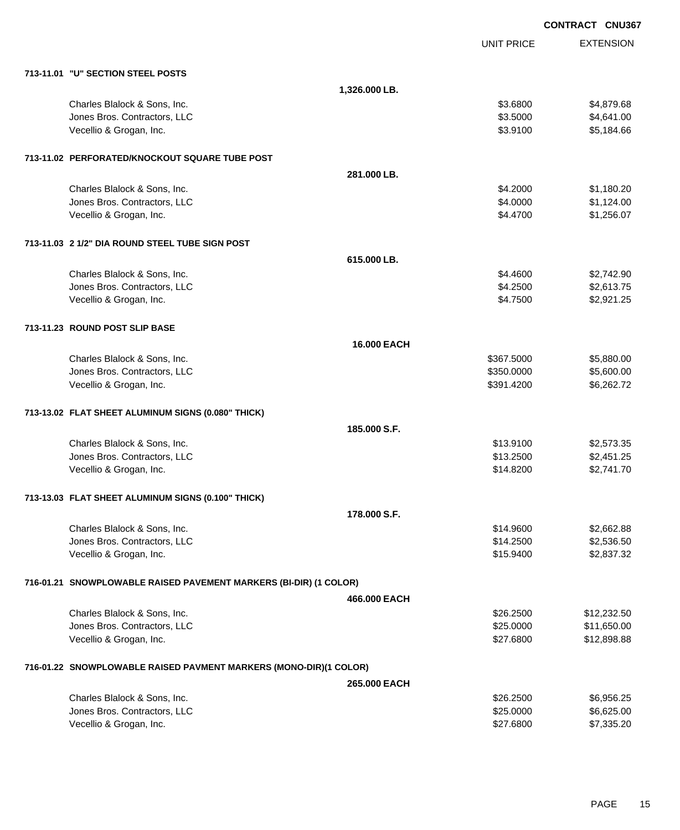|                                                                   |                    | <b>CONTRACT CNU367</b> |                  |
|-------------------------------------------------------------------|--------------------|------------------------|------------------|
|                                                                   |                    | <b>UNIT PRICE</b>      | <b>EXTENSION</b> |
| 713-11.01 "U" SECTION STEEL POSTS                                 |                    |                        |                  |
|                                                                   | 1,326.000 LB.      |                        |                  |
| Charles Blalock & Sons, Inc.                                      |                    | \$3.6800               | \$4,879.68       |
| Jones Bros. Contractors, LLC                                      |                    | \$3.5000               | \$4,641.00       |
| Vecellio & Grogan, Inc.                                           |                    | \$3.9100               | \$5,184.66       |
| 713-11.02 PERFORATED/KNOCKOUT SQUARE TUBE POST                    |                    |                        |                  |
|                                                                   | 281.000 LB.        |                        |                  |
| Charles Blalock & Sons, Inc.                                      |                    | \$4.2000               | \$1,180.20       |
| Jones Bros. Contractors, LLC                                      |                    | \$4.0000               | \$1,124.00       |
| Vecellio & Grogan, Inc.                                           |                    | \$4.4700               | \$1,256.07       |
| 713-11.03 2 1/2" DIA ROUND STEEL TUBE SIGN POST                   |                    |                        |                  |
|                                                                   | 615.000 LB.        |                        |                  |
| Charles Blalock & Sons, Inc.                                      |                    | \$4.4600               | \$2,742.90       |
| Jones Bros. Contractors, LLC                                      |                    | \$4.2500               | \$2,613.75       |
| Vecellio & Grogan, Inc.                                           |                    | \$4.7500               | \$2,921.25       |
| 713-11.23 ROUND POST SLIP BASE                                    |                    |                        |                  |
|                                                                   | <b>16,000 EACH</b> |                        |                  |
| Charles Blalock & Sons, Inc.                                      |                    | \$367.5000             | \$5,880.00       |
| Jones Bros. Contractors, LLC                                      |                    | \$350.0000             | \$5,600.00       |
| Vecellio & Grogan, Inc.                                           |                    | \$391.4200             | \$6,262.72       |
| 713-13.02 FLAT SHEET ALUMINUM SIGNS (0.080" THICK)                |                    |                        |                  |
|                                                                   | 185,000 S.F.       |                        |                  |
| Charles Blalock & Sons, Inc.                                      |                    | \$13.9100              | \$2,573.35       |
| Jones Bros. Contractors, LLC                                      |                    | \$13.2500              | \$2,451.25       |
| Vecellio & Grogan, Inc.                                           |                    | \$14.8200              | \$2,741.70       |
| 713-13.03 FLAT SHEET ALUMINUM SIGNS (0.100" THICK)                |                    |                        |                  |
|                                                                   | 178.000 S.F.       |                        |                  |
| Charles Blalock & Sons, Inc.                                      |                    | \$14.9600              | \$2,662.88       |
| Jones Bros. Contractors, LLC                                      |                    | \$14.2500              | \$2,536.50       |
| Vecellio & Grogan, Inc.                                           |                    | \$15.9400              | \$2,837.32       |
| 716-01.21 SNOWPLOWABLE RAISED PAVEMENT MARKERS (BI-DIR) (1 COLOR) |                    |                        |                  |
|                                                                   | 466,000 EACH       |                        |                  |
| Charles Blalock & Sons, Inc.                                      |                    | \$26.2500              | \$12,232.50      |
| Jones Bros. Contractors, LLC                                      |                    | \$25.0000              | \$11,650.00      |
| Vecellio & Grogan, Inc.                                           |                    | \$27.6800              | \$12,898.88      |
| 716-01.22 SNOWPLOWABLE RAISED PAVMENT MARKERS (MONO-DIR)(1 COLOR) |                    |                        |                  |
|                                                                   | 265.000 EACH       |                        |                  |
| Charles Blalock & Sons, Inc.                                      |                    | \$26.2500              | \$6,956.25       |
| Jones Bros. Contractors, LLC                                      |                    | \$25.0000              | \$6,625.00       |
| Vecellio & Grogan, Inc.                                           |                    | \$27.6800              | \$7,335.20       |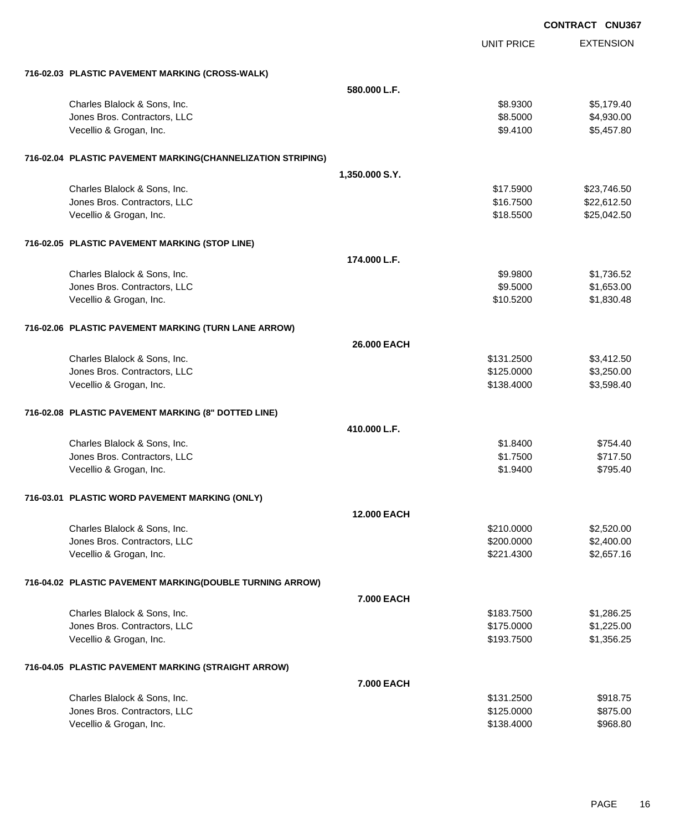|                                                             |                    |                   | <b>CONTRACT CNU367</b> |
|-------------------------------------------------------------|--------------------|-------------------|------------------------|
|                                                             |                    | <b>UNIT PRICE</b> | <b>EXTENSION</b>       |
| 716-02.03 PLASTIC PAVEMENT MARKING (CROSS-WALK)             |                    |                   |                        |
|                                                             | 580.000 L.F.       |                   |                        |
| Charles Blalock & Sons, Inc.                                |                    | \$8.9300          | \$5,179.40             |
| Jones Bros. Contractors, LLC                                |                    | \$8.5000          | \$4,930.00             |
| Vecellio & Grogan, Inc.                                     |                    | \$9.4100          | \$5,457.80             |
| 716-02.04 PLASTIC PAVEMENT MARKING(CHANNELIZATION STRIPING) |                    |                   |                        |
|                                                             | 1,350.000 S.Y.     |                   |                        |
| Charles Blalock & Sons, Inc.                                |                    | \$17.5900         | \$23,746.50            |
| Jones Bros. Contractors, LLC                                |                    | \$16.7500         | \$22,612.50            |
| Vecellio & Grogan, Inc.                                     |                    | \$18.5500         | \$25,042.50            |
| 716-02.05 PLASTIC PAVEMENT MARKING (STOP LINE)              |                    |                   |                        |
|                                                             | 174.000 L.F.       |                   |                        |
| Charles Blalock & Sons, Inc.                                |                    | \$9.9800          | \$1,736.52             |
| Jones Bros. Contractors, LLC                                |                    | \$9.5000          | \$1,653.00             |
| Vecellio & Grogan, Inc.                                     |                    | \$10.5200         | \$1,830.48             |
| 716-02.06 PLASTIC PAVEMENT MARKING (TURN LANE ARROW)        |                    |                   |                        |
|                                                             | 26,000 EACH        |                   |                        |
| Charles Blalock & Sons, Inc.                                |                    | \$131.2500        | \$3,412.50             |
| Jones Bros. Contractors, LLC                                |                    | \$125.0000        | \$3,250.00             |
| Vecellio & Grogan, Inc.                                     |                    | \$138.4000        | \$3,598.40             |
| 716-02.08 PLASTIC PAVEMENT MARKING (8" DOTTED LINE)         |                    |                   |                        |
|                                                             | 410.000 L.F.       |                   |                        |
| Charles Blalock & Sons, Inc.                                |                    | \$1.8400          | \$754.40               |
| Jones Bros. Contractors, LLC                                |                    | \$1.7500          | \$717.50               |
| Vecellio & Grogan, Inc.                                     |                    | \$1.9400          | \$795.40               |
| 716-03.01 PLASTIC WORD PAVEMENT MARKING (ONLY)              |                    |                   |                        |
|                                                             | <b>12,000 EACH</b> |                   |                        |
| Charles Blalock & Sons, Inc.                                |                    | \$210.0000        | \$2,520.00             |
| Jones Bros. Contractors, LLC                                |                    | \$200.0000        | \$2,400.00             |
| Vecellio & Grogan, Inc.                                     |                    | \$221.4300        | \$2,657.16             |
| 716-04.02 PLASTIC PAVEMENT MARKING(DOUBLE TURNING ARROW)    |                    |                   |                        |
|                                                             | <b>7.000 EACH</b>  |                   |                        |
| Charles Blalock & Sons, Inc.                                |                    | \$183.7500        | \$1,286.25             |
| Jones Bros. Contractors, LLC                                |                    | \$175.0000        | \$1,225.00             |
| Vecellio & Grogan, Inc.                                     |                    | \$193.7500        | \$1,356.25             |
| 716-04.05 PLASTIC PAVEMENT MARKING (STRAIGHT ARROW)         |                    |                   |                        |
|                                                             | 7.000 EACH         |                   |                        |
| Charles Blalock & Sons, Inc.                                |                    | \$131.2500        | \$918.75               |
| Jones Bros. Contractors, LLC                                |                    | \$125.0000        | \$875.00               |
| Vecellio & Grogan, Inc.                                     |                    | \$138.4000        | \$968.80               |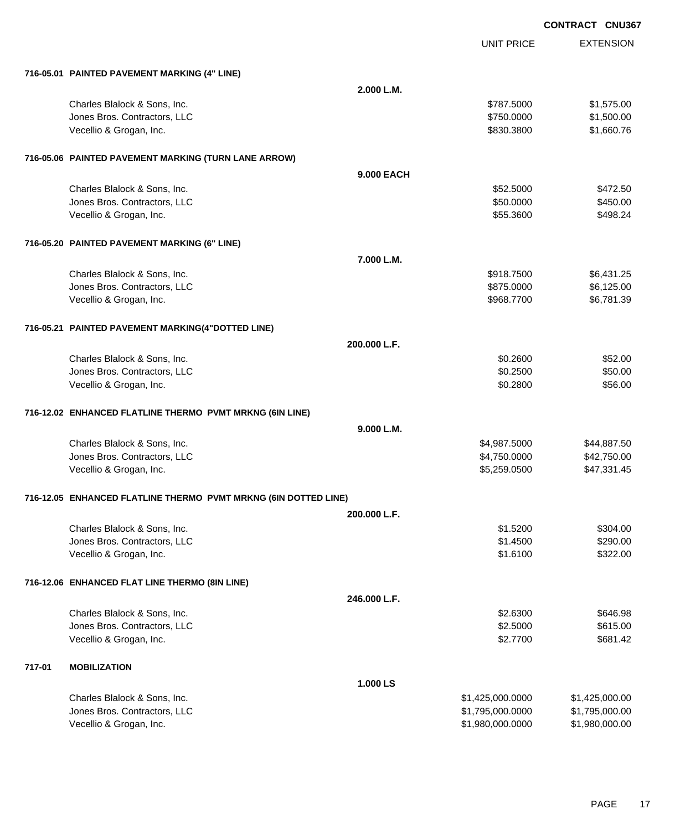|        |                                                                 |                   | <b>UNIT PRICE</b> | <b>EXTENSION</b> |
|--------|-----------------------------------------------------------------|-------------------|-------------------|------------------|
|        | 716-05.01 PAINTED PAVEMENT MARKING (4" LINE)                    |                   |                   |                  |
|        |                                                                 | 2.000 L.M.        |                   |                  |
|        | Charles Blalock & Sons, Inc.                                    |                   | \$787.5000        | \$1,575.00       |
|        | Jones Bros. Contractors, LLC                                    |                   | \$750.0000        | \$1,500.00       |
|        | Vecellio & Grogan, Inc.                                         |                   | \$830.3800        | \$1,660.76       |
|        | 716-05.06 PAINTED PAVEMENT MARKING (TURN LANE ARROW)            |                   |                   |                  |
|        |                                                                 | <b>9.000 EACH</b> |                   |                  |
|        | Charles Blalock & Sons, Inc.                                    |                   | \$52.5000         | \$472.50         |
|        | Jones Bros. Contractors, LLC                                    |                   | \$50.0000         | \$450.00         |
|        | Vecellio & Grogan, Inc.                                         |                   | \$55.3600         | \$498.24         |
|        | 716-05.20 PAINTED PAVEMENT MARKING (6" LINE)                    |                   |                   |                  |
|        |                                                                 | 7.000 L.M.        |                   |                  |
|        | Charles Blalock & Sons, Inc.                                    |                   | \$918.7500        | \$6,431.25       |
|        | Jones Bros. Contractors, LLC                                    |                   | \$875.0000        | \$6,125.00       |
|        | Vecellio & Grogan, Inc.                                         |                   | \$968.7700        | \$6,781.39       |
|        | 716-05.21 PAINTED PAVEMENT MARKING(4"DOTTED LINE)               |                   |                   |                  |
|        |                                                                 | 200.000 L.F.      |                   |                  |
|        | Charles Blalock & Sons, Inc.                                    |                   | \$0.2600          | \$52.00          |
|        | Jones Bros. Contractors, LLC                                    |                   | \$0.2500          | \$50.00          |
|        | Vecellio & Grogan, Inc.                                         |                   | \$0.2800          | \$56.00          |
|        | 716-12.02 ENHANCED FLATLINE THERMO PVMT MRKNG (6IN LINE)        |                   |                   |                  |
|        |                                                                 | 9.000 L.M.        |                   |                  |
|        | Charles Blalock & Sons, Inc.                                    |                   | \$4,987.5000      | \$44,887.50      |
|        | Jones Bros. Contractors, LLC                                    |                   | \$4,750.0000      | \$42,750.00      |
|        | Vecellio & Grogan, Inc.                                         |                   | \$5,259.0500      | \$47,331.45      |
|        | 716-12.05 ENHANCED FLATLINE THERMO PVMT MRKNG (6IN DOTTED LINE) |                   |                   |                  |
|        |                                                                 | 200.000 L.F.      |                   |                  |
|        | Charles Blalock & Sons, Inc.                                    |                   | \$1.5200          | \$304.00         |
|        | Jones Bros. Contractors, LLC                                    |                   | \$1.4500          | \$290.00         |
|        | Vecellio & Grogan, Inc.                                         |                   | \$1.6100          | \$322.00         |
|        | 716-12.06 ENHANCED FLAT LINE THERMO (8IN LINE)                  |                   |                   |                  |
|        |                                                                 | 246.000 L.F.      |                   |                  |
|        | Charles Blalock & Sons, Inc.                                    |                   | \$2.6300          | \$646.98         |
|        | Jones Bros. Contractors, LLC                                    |                   | \$2.5000          | \$615.00         |
|        | Vecellio & Grogan, Inc.                                         |                   | \$2.7700          | \$681.42         |
| 717-01 | <b>MOBILIZATION</b>                                             |                   |                   |                  |
|        |                                                                 | 1.000 LS          |                   |                  |
|        | Charles Blalock & Sons, Inc.                                    |                   | \$1,425,000.0000  | \$1,425,000.00   |
|        | Jones Bros. Contractors, LLC                                    |                   | \$1,795,000.0000  | \$1,795,000.00   |
|        | Vecellio & Grogan, Inc.                                         |                   | \$1,980,000.0000  | \$1,980,000.00   |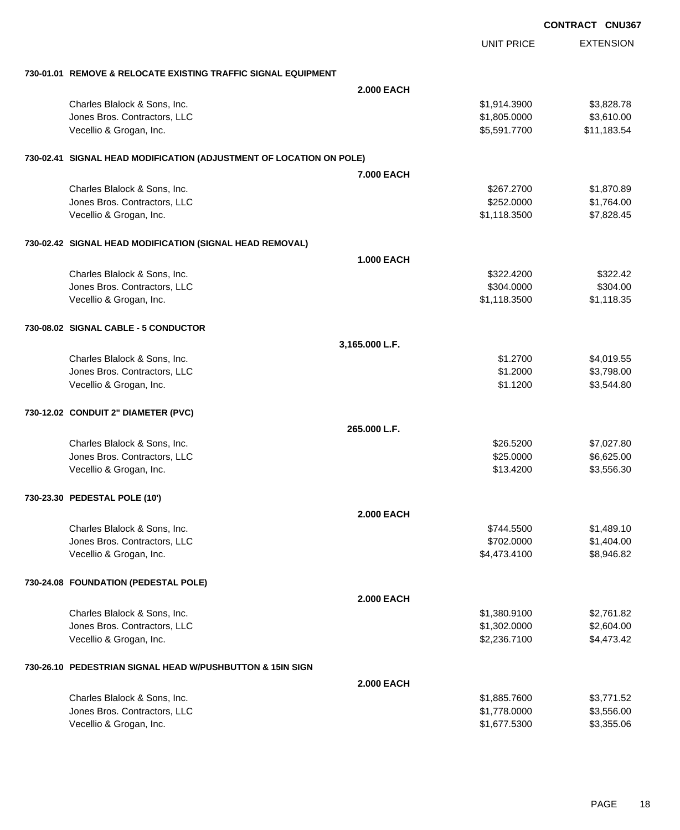|                                                                     |                   |                   | <b>CONTRACT CNU367</b> |
|---------------------------------------------------------------------|-------------------|-------------------|------------------------|
|                                                                     |                   | <b>UNIT PRICE</b> | <b>EXTENSION</b>       |
| 730-01.01 REMOVE & RELOCATE EXISTING TRAFFIC SIGNAL EQUIPMENT       |                   |                   |                        |
|                                                                     | <b>2.000 EACH</b> |                   |                        |
| Charles Blalock & Sons, Inc.                                        |                   | \$1,914.3900      | \$3,828.78             |
| Jones Bros. Contractors, LLC                                        |                   | \$1,805.0000      | \$3,610.00             |
| Vecellio & Grogan, Inc.                                             |                   | \$5,591.7700      | \$11,183.54            |
| 730-02.41 SIGNAL HEAD MODIFICATION (ADJUSTMENT OF LOCATION ON POLE) |                   |                   |                        |
|                                                                     | 7.000 EACH        |                   |                        |
| Charles Blalock & Sons, Inc.                                        |                   | \$267.2700        | \$1,870.89             |
| Jones Bros. Contractors, LLC                                        |                   | \$252.0000        | \$1,764.00             |
| Vecellio & Grogan, Inc.                                             |                   | \$1,118.3500      | \$7,828.45             |
| 730-02.42 SIGNAL HEAD MODIFICATION (SIGNAL HEAD REMOVAL)            |                   |                   |                        |
|                                                                     | <b>1.000 EACH</b> |                   |                        |
| Charles Blalock & Sons, Inc.                                        |                   | \$322.4200        | \$322.42               |
| Jones Bros. Contractors, LLC                                        |                   | \$304.0000        | \$304.00               |
| Vecellio & Grogan, Inc.                                             |                   | \$1,118.3500      | \$1,118.35             |
| 730-08.02 SIGNAL CABLE - 5 CONDUCTOR                                |                   |                   |                        |
|                                                                     | 3,165.000 L.F.    |                   |                        |
| Charles Blalock & Sons, Inc.                                        |                   | \$1,2700          | \$4,019.55             |
| Jones Bros. Contractors, LLC                                        |                   | \$1.2000          | \$3,798.00             |
| Vecellio & Grogan, Inc.                                             |                   | \$1.1200          | \$3,544.80             |
| 730-12.02 CONDUIT 2" DIAMETER (PVC)                                 |                   |                   |                        |
|                                                                     | 265,000 L.F.      |                   |                        |
| Charles Blalock & Sons, Inc.                                        |                   | \$26.5200         | \$7,027.80             |
| Jones Bros. Contractors, LLC                                        |                   | \$25.0000         | \$6,625.00             |
| Vecellio & Grogan, Inc.                                             |                   | \$13.4200         | \$3,556.30             |
| 730-23.30 PEDESTAL POLE (10')                                       |                   |                   |                        |
|                                                                     | <b>2.000 EACH</b> |                   |                        |
| Charles Blalock & Sons, Inc.                                        |                   | \$744.5500        | \$1,489.10             |
| Jones Bros. Contractors, LLC                                        |                   | \$702.0000        | \$1,404.00             |
| Vecellio & Grogan, Inc.                                             |                   | \$4,473.4100      | \$8,946.82             |
| 730-24.08 FOUNDATION (PEDESTAL POLE)                                |                   |                   |                        |
|                                                                     | <b>2.000 EACH</b> |                   |                        |
| Charles Blalock & Sons, Inc.                                        |                   | \$1,380.9100      | \$2,761.82             |
| Jones Bros. Contractors, LLC                                        |                   | \$1,302.0000      | \$2,604.00             |
| Vecellio & Grogan, Inc.                                             |                   | \$2,236.7100      | \$4,473.42             |
| 730-26.10 PEDESTRIAN SIGNAL HEAD W/PUSHBUTTON & 15IN SIGN           |                   |                   |                        |
|                                                                     | <b>2.000 EACH</b> |                   |                        |
| Charles Blalock & Sons, Inc.                                        |                   | \$1,885.7600      | \$3,771.52             |
| Jones Bros. Contractors, LLC                                        |                   | \$1,778.0000      | \$3,556.00             |
| Vecellio & Grogan, Inc.                                             |                   | \$1,677.5300      | \$3,355.06             |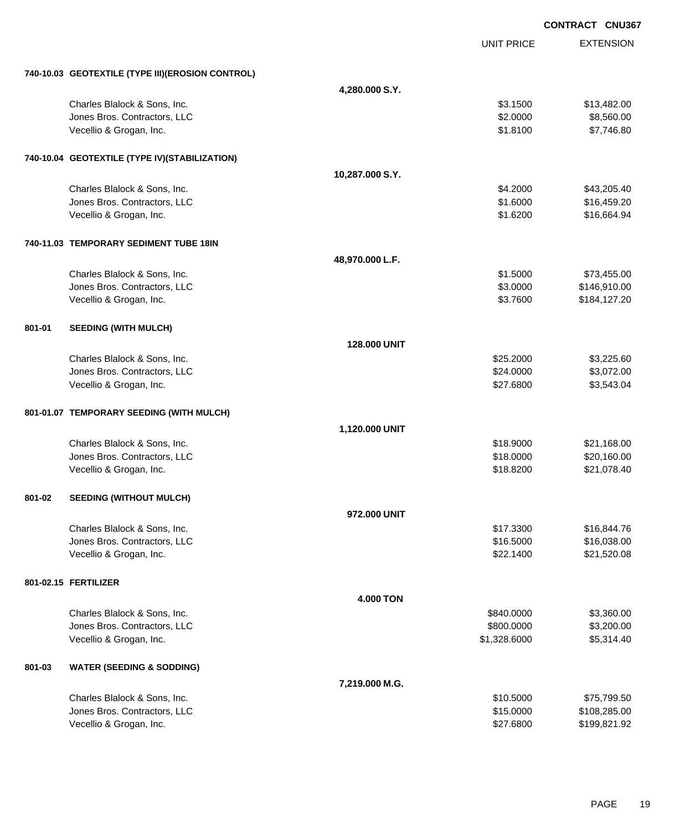|        |                                                  |                  |                   | <b>CONTRACT CNU367</b> |
|--------|--------------------------------------------------|------------------|-------------------|------------------------|
|        |                                                  |                  | <b>UNIT PRICE</b> | <b>EXTENSION</b>       |
|        | 740-10.03 GEOTEXTILE (TYPE III)(EROSION CONTROL) |                  |                   |                        |
|        |                                                  | 4,280.000 S.Y.   |                   |                        |
|        | Charles Blalock & Sons, Inc.                     |                  | \$3.1500          | \$13,482.00            |
|        | Jones Bros. Contractors, LLC                     |                  | \$2.0000          | \$8,560.00             |
|        | Vecellio & Grogan, Inc.                          |                  | \$1.8100          | \$7,746.80             |
|        | 740-10.04 GEOTEXTILE (TYPE IV)(STABILIZATION)    |                  |                   |                        |
|        |                                                  | 10,287.000 S.Y.  |                   |                        |
|        | Charles Blalock & Sons, Inc.                     |                  | \$4.2000          | \$43,205.40            |
|        | Jones Bros. Contractors, LLC                     |                  | \$1.6000          | \$16,459.20            |
|        | Vecellio & Grogan, Inc.                          |                  | \$1.6200          | \$16,664.94            |
|        | 740-11.03 TEMPORARY SEDIMENT TUBE 18IN           |                  |                   |                        |
|        |                                                  | 48,970.000 L.F.  |                   |                        |
|        | Charles Blalock & Sons, Inc.                     |                  | \$1.5000          | \$73,455.00            |
|        | Jones Bros. Contractors, LLC                     |                  | \$3.0000          | \$146,910.00           |
|        | Vecellio & Grogan, Inc.                          |                  | \$3.7600          | \$184,127.20           |
| 801-01 | <b>SEEDING (WITH MULCH)</b>                      |                  |                   |                        |
|        |                                                  | 128.000 UNIT     |                   |                        |
|        | Charles Blalock & Sons, Inc.                     |                  | \$25.2000         | \$3,225.60             |
|        | Jones Bros. Contractors, LLC                     |                  | \$24.0000         | \$3,072.00             |
|        | Vecellio & Grogan, Inc.                          |                  | \$27.6800         | \$3,543.04             |
|        | 801-01.07 TEMPORARY SEEDING (WITH MULCH)         |                  |                   |                        |
|        |                                                  | 1,120.000 UNIT   |                   |                        |
|        | Charles Blalock & Sons, Inc.                     |                  | \$18.9000         | \$21,168.00            |
|        | Jones Bros. Contractors, LLC                     |                  | \$18.0000         | \$20,160.00            |
|        | Vecellio & Grogan, Inc.                          |                  | \$18.8200         | \$21,078.40            |
| 801-02 | <b>SEEDING (WITHOUT MULCH)</b>                   |                  |                   |                        |
|        |                                                  | 972.000 UNIT     |                   |                        |
|        | Charles Blalock & Sons, Inc.                     |                  | \$17.3300         | \$16,844.76            |
|        | Jones Bros. Contractors, LLC                     |                  | \$16.5000         | \$16,038.00            |
|        | Vecellio & Grogan, Inc.                          |                  | \$22.1400         | \$21,520.08            |
|        | 801-02.15 FERTILIZER                             |                  |                   |                        |
|        |                                                  | <b>4.000 TON</b> |                   |                        |
|        | Charles Blalock & Sons, Inc.                     |                  | \$840.0000        | \$3,360.00             |
|        | Jones Bros. Contractors, LLC                     |                  | \$800.0000        | \$3,200.00             |
|        | Vecellio & Grogan, Inc.                          |                  | \$1,328.6000      | \$5,314.40             |
| 801-03 | <b>WATER (SEEDING &amp; SODDING)</b>             |                  |                   |                        |
|        |                                                  | 7,219.000 M.G.   |                   |                        |
|        | Charles Blalock & Sons, Inc.                     |                  | \$10.5000         | \$75,799.50            |
|        | Jones Bros. Contractors, LLC                     |                  | \$15.0000         | \$108,285.00           |
|        | Vecellio & Grogan, Inc.                          |                  | \$27.6800         | \$199,821.92           |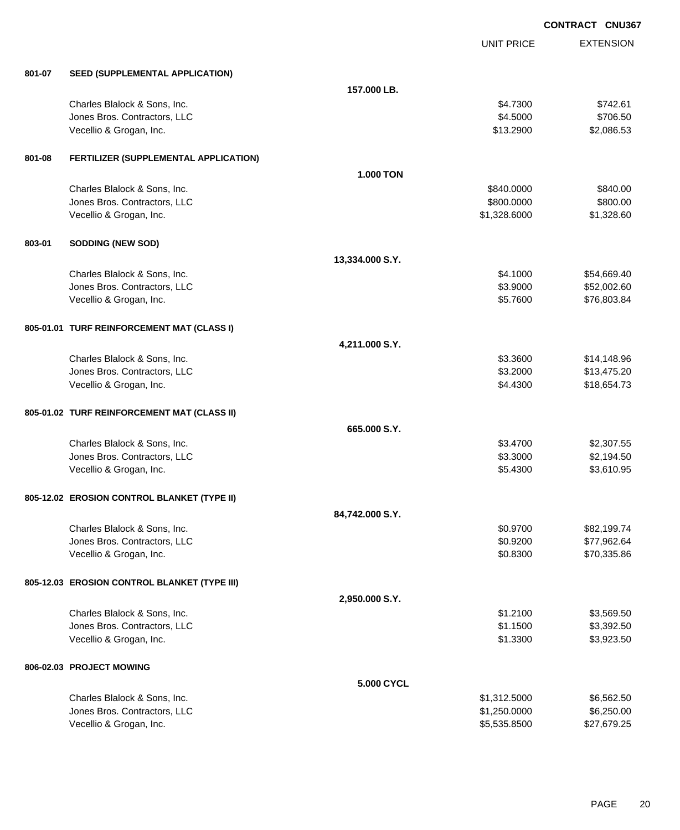|        |                                              | <b>CONTRACT CNU367</b> |                   |                  |
|--------|----------------------------------------------|------------------------|-------------------|------------------|
|        |                                              |                        | <b>UNIT PRICE</b> | <b>EXTENSION</b> |
| 801-07 | SEED (SUPPLEMENTAL APPLICATION)              |                        |                   |                  |
|        |                                              | 157.000 LB.            |                   |                  |
|        | Charles Blalock & Sons, Inc.                 |                        | \$4.7300          | \$742.61         |
|        | Jones Bros. Contractors, LLC                 |                        | \$4.5000          | \$706.50         |
|        | Vecellio & Grogan, Inc.                      |                        | \$13.2900         | \$2,086.53       |
| 801-08 | FERTILIZER (SUPPLEMENTAL APPLICATION)        |                        |                   |                  |
|        |                                              | <b>1.000 TON</b>       |                   |                  |
|        | Charles Blalock & Sons, Inc.                 |                        | \$840.0000        | \$840.00         |
|        | Jones Bros. Contractors, LLC                 |                        | \$800.0000        | \$800.00         |
|        | Vecellio & Grogan, Inc.                      |                        | \$1,328.6000      | \$1,328.60       |
| 803-01 | <b>SODDING (NEW SOD)</b>                     |                        |                   |                  |
|        |                                              | 13,334.000 S.Y.        |                   |                  |
|        | Charles Blalock & Sons, Inc.                 |                        | \$4.1000          | \$54,669.40      |
|        | Jones Bros. Contractors, LLC                 |                        | \$3.9000          | \$52,002.60      |
|        | Vecellio & Grogan, Inc.                      |                        | \$5.7600          | \$76,803.84      |
|        | 805-01.01 TURF REINFORCEMENT MAT (CLASS I)   |                        |                   |                  |
|        |                                              | 4,211.000 S.Y.         |                   |                  |
|        | Charles Blalock & Sons, Inc.                 |                        | \$3.3600          | \$14,148.96      |
|        | Jones Bros. Contractors, LLC                 |                        | \$3.2000          | \$13,475.20      |
|        | Vecellio & Grogan, Inc.                      |                        | \$4.4300          | \$18,654.73      |
|        | 805-01.02 TURF REINFORCEMENT MAT (CLASS II)  |                        |                   |                  |
|        |                                              | 665,000 S.Y.           |                   |                  |
|        | Charles Blalock & Sons, Inc.                 |                        | \$3.4700          | \$2,307.55       |
|        | Jones Bros. Contractors, LLC                 |                        | \$3.3000          | \$2,194.50       |
|        | Vecellio & Grogan, Inc.                      |                        | \$5.4300          | \$3,610.95       |
|        | 805-12.02 EROSION CONTROL BLANKET (TYPE II)  |                        |                   |                  |
|        |                                              | 84,742.000 S.Y.        |                   |                  |
|        | Charles Blalock & Sons, Inc.                 |                        | \$0.9700          | \$82,199.74      |
|        | Jones Bros. Contractors, LLC                 |                        | \$0.9200          | \$77,962.64      |
|        | Vecellio & Grogan, Inc.                      |                        | \$0.8300          | \$70,335.86      |
|        | 805-12.03 EROSION CONTROL BLANKET (TYPE III) |                        |                   |                  |
|        |                                              | 2,950.000 S.Y.         |                   |                  |
|        | Charles Blalock & Sons, Inc.                 |                        | \$1.2100          | \$3,569.50       |
|        | Jones Bros. Contractors, LLC                 |                        | \$1.1500          | \$3,392.50       |
|        | Vecellio & Grogan, Inc.                      |                        | \$1.3300          | \$3,923.50       |
|        | 806-02.03 PROJECT MOWING                     |                        |                   |                  |
|        |                                              | 5.000 CYCL             |                   |                  |
|        | Charles Blalock & Sons, Inc.                 |                        | \$1,312.5000      | \$6,562.50       |
|        | Jones Bros. Contractors, LLC                 |                        | \$1,250.0000      | \$6,250.00       |
|        | Vecellio & Grogan, Inc.                      |                        | \$5,535.8500      | \$27,679.25      |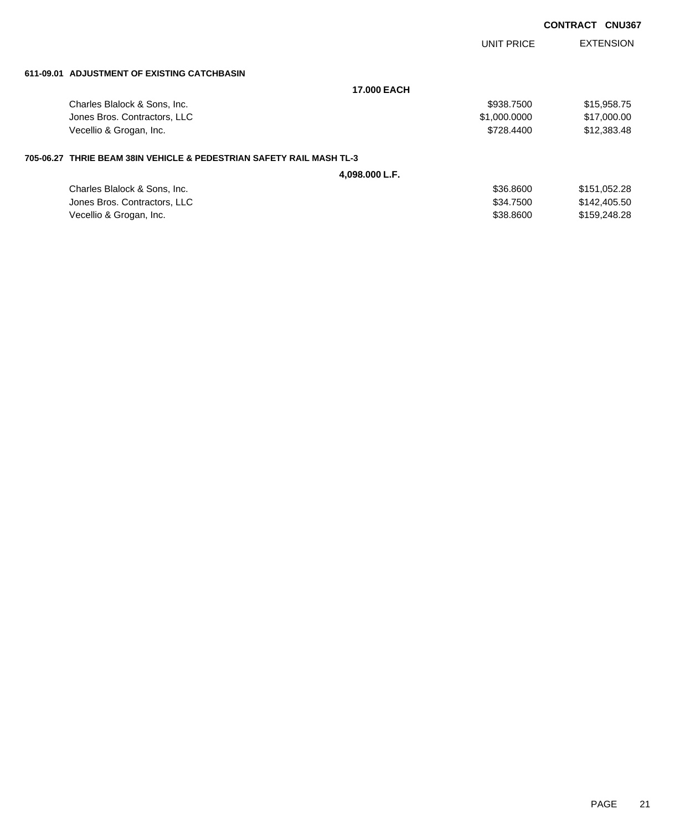|                                                                        |                    | UNIT PRICE   | <b>EXTENSION</b> |
|------------------------------------------------------------------------|--------------------|--------------|------------------|
| 611-09.01 ADJUSTMENT OF EXISTING CATCHBASIN                            |                    |              |                  |
|                                                                        | <b>17,000 EACH</b> |              |                  |
| Charles Blalock & Sons, Inc.                                           |                    | \$938.7500   | \$15,958.75      |
| Jones Bros. Contractors, LLC                                           |                    | \$1,000.0000 | \$17,000.00      |
| Vecellio & Grogan, Inc.                                                |                    | \$728,4400   | \$12,383.48      |
| 705-06.27   THRIE BEAM 38IN VEHICLE & PEDESTRIAN SAFETY RAIL MASH TL-3 |                    |              |                  |
|                                                                        | 4,098.000 L.F.     |              |                  |
| Charles Blalock & Sons, Inc.                                           |                    | \$36,8600    | \$151,052.28     |
| Jones Bros. Contractors, LLC                                           |                    | \$34,7500    | \$142,405.50     |
| Vecellio & Grogan, Inc.                                                |                    | \$38,8600    | \$159,248.28     |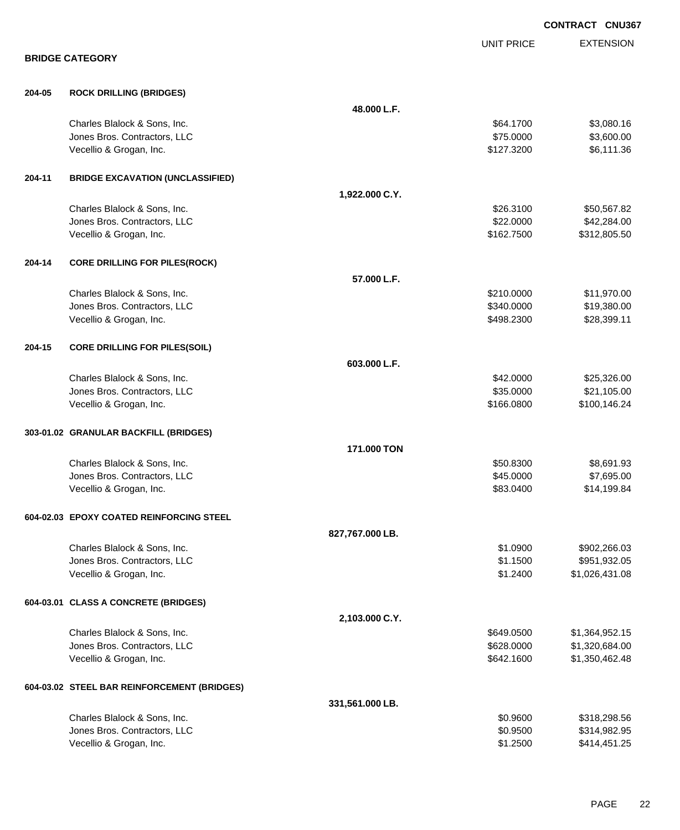|        |                                                              |                 |                        | <b>CONTRACT CNU367</b>   |
|--------|--------------------------------------------------------------|-----------------|------------------------|--------------------------|
|        |                                                              |                 | <b>UNIT PRICE</b>      | <b>EXTENSION</b>         |
|        | <b>BRIDGE CATEGORY</b>                                       |                 |                        |                          |
| 204-05 | <b>ROCK DRILLING (BRIDGES)</b>                               |                 |                        |                          |
|        |                                                              | 48.000 L.F.     |                        |                          |
|        | Charles Blalock & Sons, Inc.<br>Jones Bros. Contractors, LLC |                 | \$64.1700<br>\$75.0000 | \$3,080.16               |
|        | Vecellio & Grogan, Inc.                                      |                 | \$127.3200             | \$3,600.00<br>\$6,111.36 |
| 204-11 |                                                              |                 |                        |                          |
|        | <b>BRIDGE EXCAVATION (UNCLASSIFIED)</b>                      | 1,922.000 C.Y.  |                        |                          |
|        | Charles Blalock & Sons, Inc.                                 |                 | \$26.3100              | \$50,567.82              |
|        | Jones Bros. Contractors, LLC                                 |                 | \$22.0000              | \$42,284.00              |
|        | Vecellio & Grogan, Inc.                                      |                 | \$162.7500             | \$312,805.50             |
| 204-14 | <b>CORE DRILLING FOR PILES(ROCK)</b>                         |                 |                        |                          |
|        |                                                              | 57.000 L.F.     |                        |                          |
|        | Charles Blalock & Sons, Inc.                                 |                 | \$210.0000             | \$11,970.00              |
|        | Jones Bros. Contractors, LLC                                 |                 | \$340.0000             | \$19,380.00              |
|        | Vecellio & Grogan, Inc.                                      |                 | \$498.2300             | \$28,399.11              |
| 204-15 | <b>CORE DRILLING FOR PILES(SOIL)</b>                         |                 |                        |                          |
|        |                                                              | 603.000 L.F.    |                        |                          |
|        | Charles Blalock & Sons, Inc.                                 |                 | \$42.0000              | \$25,326.00              |
|        | Jones Bros. Contractors, LLC                                 |                 | \$35.0000              | \$21,105.00              |
|        | Vecellio & Grogan, Inc.                                      |                 | \$166.0800             | \$100,146.24             |
|        | 303-01.02 GRANULAR BACKFILL (BRIDGES)                        |                 |                        |                          |
|        |                                                              | 171,000 TON     |                        |                          |
|        | Charles Blalock & Sons, Inc.                                 |                 | \$50.8300              | \$8,691.93               |
|        | Jones Bros. Contractors, LLC                                 |                 | \$45.0000              | \$7,695.00               |
|        | Vecellio & Grogan, Inc.                                      |                 | \$83.0400              | \$14,199.84              |
|        | 604-02.03 EPOXY COATED REINFORCING STEEL                     |                 |                        |                          |
|        |                                                              | 827,767.000 LB. |                        |                          |
|        | Charles Blalock & Sons, Inc.                                 |                 | \$1.0900               | \$902,266.03             |
|        | Jones Bros. Contractors, LLC                                 |                 | \$1.1500               | \$951,932.05             |
|        | Vecellio & Grogan, Inc.                                      |                 | \$1.2400               | \$1,026,431.08           |
|        | 604-03.01 CLASS A CONCRETE (BRIDGES)                         |                 |                        |                          |
|        |                                                              | 2,103.000 C.Y.  |                        |                          |
|        | Charles Blalock & Sons, Inc.                                 |                 | \$649.0500             | \$1,364,952.15           |
|        | Jones Bros. Contractors, LLC                                 |                 | \$628.0000             | \$1,320,684.00           |
|        | Vecellio & Grogan, Inc.                                      |                 | \$642.1600             | \$1,350,462.48           |
|        | 604-03.02 STEEL BAR REINFORCEMENT (BRIDGES)                  |                 |                        |                          |
|        |                                                              | 331,561.000 LB. |                        |                          |
|        | Charles Blalock & Sons, Inc.                                 |                 | \$0.9600               | \$318,298.56             |
|        | Jones Bros. Contractors, LLC                                 |                 | \$0.9500               | \$314,982.95             |
|        | Vecellio & Grogan, Inc.                                      |                 | \$1.2500               | \$414,451.25             |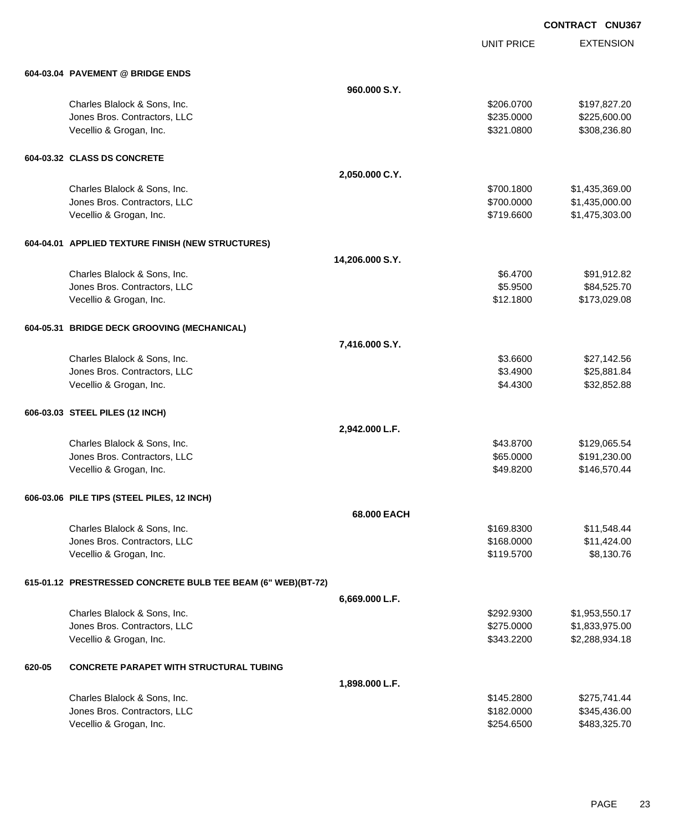UNIT PRICE

|        | 604-03.04 PAVEMENT @ BRIDGE ENDS                             |                 |            |                |
|--------|--------------------------------------------------------------|-----------------|------------|----------------|
|        |                                                              | 960,000 S.Y.    |            |                |
|        | Charles Blalock & Sons, Inc.                                 |                 | \$206.0700 | \$197,827.20   |
|        | Jones Bros. Contractors, LLC                                 |                 | \$235.0000 | \$225,600.00   |
|        | Vecellio & Grogan, Inc.                                      |                 | \$321.0800 | \$308,236.80   |
|        | 604-03.32 CLASS DS CONCRETE                                  |                 |            |                |
|        |                                                              | 2,050.000 C.Y.  |            |                |
|        | Charles Blalock & Sons, Inc.                                 |                 | \$700.1800 | \$1,435,369.00 |
|        | Jones Bros. Contractors, LLC                                 |                 | \$700.0000 | \$1,435,000.00 |
|        | Vecellio & Grogan, Inc.                                      |                 | \$719.6600 | \$1,475,303.00 |
|        | 604-04.01 APPLIED TEXTURE FINISH (NEW STRUCTURES)            |                 |            |                |
|        |                                                              | 14,206.000 S.Y. |            |                |
|        | Charles Blalock & Sons, Inc.                                 |                 | \$6.4700   | \$91,912.82    |
|        | Jones Bros. Contractors, LLC                                 |                 | \$5.9500   | \$84,525.70    |
|        | Vecellio & Grogan, Inc.                                      |                 | \$12.1800  | \$173,029.08   |
|        | 604-05.31 BRIDGE DECK GROOVING (MECHANICAL)                  |                 |            |                |
|        |                                                              | 7,416.000 S.Y.  |            |                |
|        | Charles Blalock & Sons, Inc.                                 |                 | \$3.6600   | \$27,142.56    |
|        | Jones Bros. Contractors, LLC                                 |                 | \$3.4900   | \$25,881.84    |
|        | Vecellio & Grogan, Inc.                                      |                 | \$4.4300   | \$32,852.88    |
|        | 606-03.03 STEEL PILES (12 INCH)                              |                 |            |                |
|        |                                                              | 2,942.000 L.F.  |            |                |
|        | Charles Blalock & Sons, Inc.                                 |                 | \$43.8700  | \$129,065.54   |
|        | Jones Bros. Contractors, LLC                                 |                 | \$65.0000  | \$191,230.00   |
|        | Vecellio & Grogan, Inc.                                      |                 | \$49.8200  | \$146,570.44   |
|        | 606-03.06 PILE TIPS (STEEL PILES, 12 INCH)                   |                 |            |                |
|        |                                                              | 68.000 EACH     |            |                |
|        | Charles Blalock & Sons, Inc.                                 |                 | \$169.8300 | \$11,548.44    |
|        | Jones Bros. Contractors, LLC                                 |                 | \$168.0000 | \$11,424.00    |
|        | Vecellio & Grogan, Inc.                                      |                 | \$119.5700 | \$8,130.76     |
|        | 615-01.12 PRESTRESSED CONCRETE BULB TEE BEAM (6" WEB)(BT-72) |                 |            |                |
|        |                                                              | 6,669.000 L.F.  |            |                |
|        | Charles Blalock & Sons, Inc.                                 |                 | \$292,9300 | \$1,953,550.17 |
|        | Jones Bros. Contractors, LLC                                 |                 | \$275.0000 | \$1,833,975.00 |
|        | Vecellio & Grogan, Inc.                                      |                 | \$343.2200 | \$2,288,934.18 |
| 620-05 | <b>CONCRETE PARAPET WITH STRUCTURAL TUBING</b>               |                 |            |                |
|        |                                                              | 1,898.000 L.F.  |            |                |
|        | Charles Blalock & Sons, Inc.                                 |                 | \$145.2800 | \$275,741.44   |
|        | Jones Bros. Contractors, LLC                                 |                 | \$182.0000 | \$345,436.00   |
|        | Vecellio & Grogan, Inc.                                      |                 | \$254.6500 | \$483,325.70   |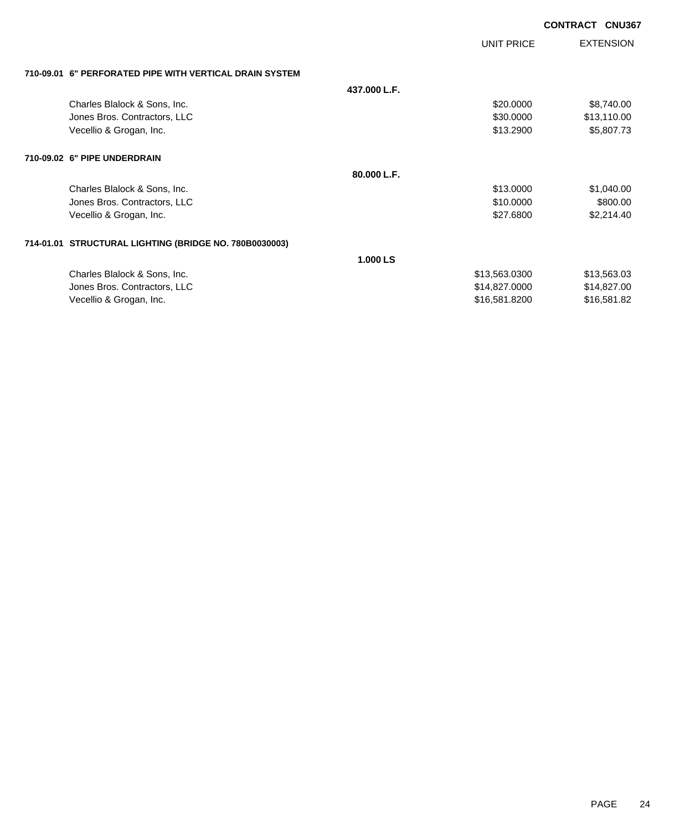| <b>EXTENSION</b><br><b>UNIT PRICE</b><br>710-09.01 6" PERFORATED PIPE WITH VERTICAL DRAIN SYSTEM<br>437.000 L.F.<br>Charles Blalock & Sons, Inc.<br>\$20.0000<br>\$8,740.00<br>Jones Bros. Contractors, LLC<br>\$30.0000<br>\$13,110.00<br>Vecellio & Grogan, Inc.<br>\$13.2900<br>\$5,807.73<br>710-09.02 6" PIPE UNDERDRAIN<br>80.000 L.F.<br>Charles Blalock & Sons, Inc.<br>\$13.0000<br>\$1,040.00<br>Jones Bros. Contractors, LLC<br>\$10.0000<br>\$800.00<br>Vecellio & Grogan, Inc.<br>\$27.6800<br>\$2,214.40<br>714-01.01 STRUCTURAL LIGHTING (BRIDGE NO. 780B0030003)<br>1.000 LS<br>Charles Blalock & Sons, Inc.<br>\$13,563.0300<br>\$13,563.03<br>Jones Bros. Contractors, LLC<br>\$14,827.0000<br>\$14,827.00 |                         |               | <b>CONTRACT CNU367</b> |  |
|------------------------------------------------------------------------------------------------------------------------------------------------------------------------------------------------------------------------------------------------------------------------------------------------------------------------------------------------------------------------------------------------------------------------------------------------------------------------------------------------------------------------------------------------------------------------------------------------------------------------------------------------------------------------------------------------------------------------------|-------------------------|---------------|------------------------|--|
|                                                                                                                                                                                                                                                                                                                                                                                                                                                                                                                                                                                                                                                                                                                              |                         |               |                        |  |
|                                                                                                                                                                                                                                                                                                                                                                                                                                                                                                                                                                                                                                                                                                                              |                         |               |                        |  |
|                                                                                                                                                                                                                                                                                                                                                                                                                                                                                                                                                                                                                                                                                                                              |                         |               |                        |  |
|                                                                                                                                                                                                                                                                                                                                                                                                                                                                                                                                                                                                                                                                                                                              |                         |               |                        |  |
|                                                                                                                                                                                                                                                                                                                                                                                                                                                                                                                                                                                                                                                                                                                              |                         |               |                        |  |
|                                                                                                                                                                                                                                                                                                                                                                                                                                                                                                                                                                                                                                                                                                                              |                         |               |                        |  |
|                                                                                                                                                                                                                                                                                                                                                                                                                                                                                                                                                                                                                                                                                                                              |                         |               |                        |  |
|                                                                                                                                                                                                                                                                                                                                                                                                                                                                                                                                                                                                                                                                                                                              |                         |               |                        |  |
|                                                                                                                                                                                                                                                                                                                                                                                                                                                                                                                                                                                                                                                                                                                              |                         |               |                        |  |
|                                                                                                                                                                                                                                                                                                                                                                                                                                                                                                                                                                                                                                                                                                                              |                         |               |                        |  |
|                                                                                                                                                                                                                                                                                                                                                                                                                                                                                                                                                                                                                                                                                                                              |                         |               |                        |  |
|                                                                                                                                                                                                                                                                                                                                                                                                                                                                                                                                                                                                                                                                                                                              |                         |               |                        |  |
|                                                                                                                                                                                                                                                                                                                                                                                                                                                                                                                                                                                                                                                                                                                              |                         |               |                        |  |
|                                                                                                                                                                                                                                                                                                                                                                                                                                                                                                                                                                                                                                                                                                                              |                         |               |                        |  |
|                                                                                                                                                                                                                                                                                                                                                                                                                                                                                                                                                                                                                                                                                                                              |                         |               |                        |  |
| \$16,581.82                                                                                                                                                                                                                                                                                                                                                                                                                                                                                                                                                                                                                                                                                                                  | Vecellio & Grogan, Inc. | \$16,581.8200 |                        |  |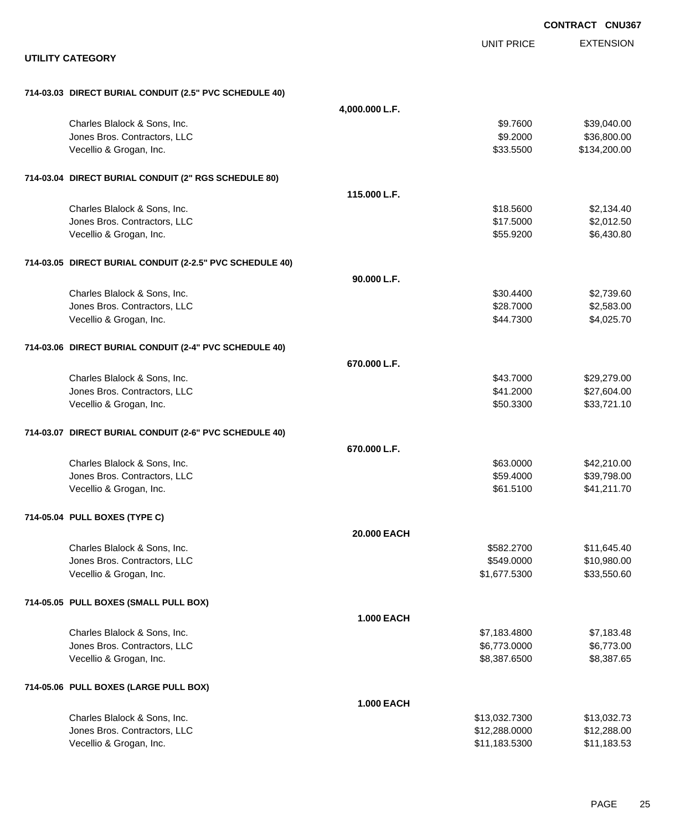|                                                          |                   | <b>CONTRACT CNU367</b> |
|----------------------------------------------------------|-------------------|------------------------|
|                                                          | <b>UNIT PRICE</b> | <b>EXTENSION</b>       |
| <b>UTILITY CATEGORY</b>                                  |                   |                        |
| 714-03.03 DIRECT BURIAL CONDUIT (2.5" PVC SCHEDULE 40)   |                   |                        |
| 4,000.000 L.F.                                           |                   |                        |
| Charles Blalock & Sons, Inc.                             | \$9.7600          | \$39,040.00            |
| Jones Bros. Contractors, LLC                             | \$9.2000          | \$36,800.00            |
| Vecellio & Grogan, Inc.                                  | \$33.5500         | \$134,200.00           |
| 714-03.04 DIRECT BURIAL CONDUIT (2" RGS SCHEDULE 80)     |                   |                        |
| 115,000 L.F.                                             |                   |                        |
| Charles Blalock & Sons, Inc.                             | \$18,5600         | \$2,134.40             |
| Jones Bros. Contractors, LLC                             | \$17.5000         | \$2,012.50             |
| Vecellio & Grogan, Inc.                                  | \$55.9200         | \$6,430.80             |
| 714-03.05 DIRECT BURIAL CONDUIT (2-2.5" PVC SCHEDULE 40) |                   |                        |
| 90.000 L.F.                                              |                   |                        |
| Charles Blalock & Sons, Inc.                             | \$30.4400         | \$2,739.60             |
| Jones Bros. Contractors, LLC                             | \$28.7000         | \$2,583.00             |
| Vecellio & Grogan, Inc.                                  | \$44.7300         | \$4,025.70             |
| 714-03.06 DIRECT BURIAL CONDUIT (2-4" PVC SCHEDULE 40)   |                   |                        |
| 670.000 L.F.                                             |                   |                        |
| Charles Blalock & Sons, Inc.                             | \$43.7000         | \$29,279.00            |
| Jones Bros. Contractors, LLC                             | \$41.2000         | \$27,604.00            |
| Vecellio & Grogan, Inc.                                  | \$50.3300         | \$33,721.10            |
| 714-03.07 DIRECT BURIAL CONDUIT (2-6" PVC SCHEDULE 40)   |                   |                        |
| 670.000 L.F.                                             |                   |                        |
| Charles Blalock & Sons, Inc.                             | \$63.0000         | \$42,210.00            |
| Jones Bros. Contractors, LLC                             | \$59.4000         | \$39,798.00            |
| Vecellio & Grogan, Inc.                                  | \$61.5100         | \$41,211.70            |
| 714-05.04 PULL BOXES (TYPE C)                            |                   |                        |
| 20.000 EACH                                              |                   |                        |
| Charles Blalock & Sons, Inc.                             | \$582.2700        | \$11,645.40            |
| Jones Bros. Contractors, LLC                             | \$549.0000        | \$10,980.00            |
| Vecellio & Grogan, Inc.                                  | \$1,677.5300      | \$33,550.60            |
| 714-05.05 PULL BOXES (SMALL PULL BOX)                    |                   |                        |
| <b>1.000 EACH</b>                                        |                   |                        |
| Charles Blalock & Sons, Inc.                             | \$7,183.4800      | \$7,183.48             |
| Jones Bros. Contractors, LLC                             | \$6,773.0000      | \$6,773.00             |
| Vecellio & Grogan, Inc.                                  | \$8,387.6500      | \$8,387.65             |
| 714-05.06 PULL BOXES (LARGE PULL BOX)                    |                   |                        |
| <b>1.000 EACH</b>                                        |                   |                        |
| Charles Blalock & Sons, Inc.                             | \$13,032.7300     | \$13,032.73            |
| Jones Bros. Contractors, LLC                             | \$12,288.0000     | \$12,288.00            |
| Vecellio & Grogan, Inc.                                  | \$11,183.5300     | \$11,183.53            |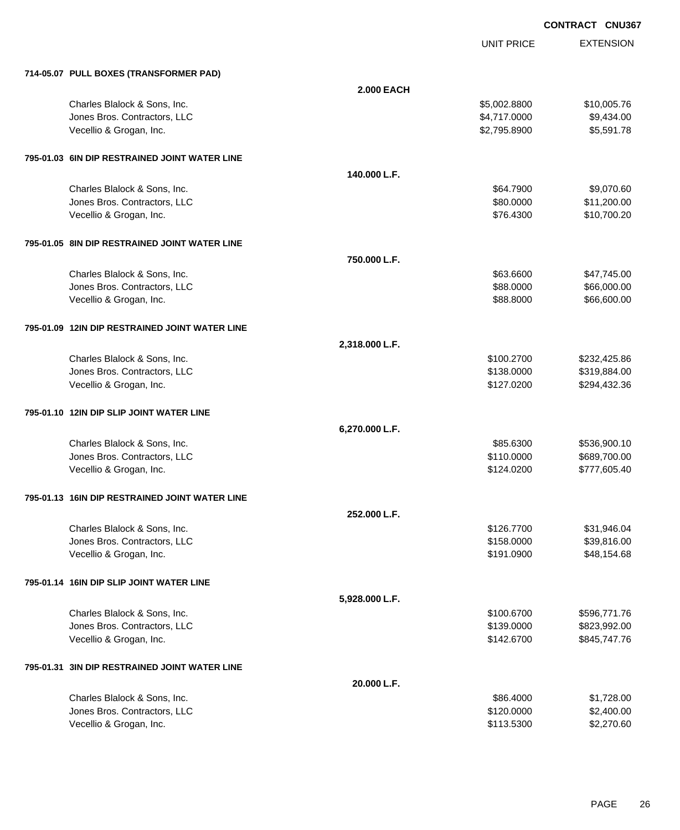UNIT PRICE

| 714-05.07 PULL BOXES (TRANSFORMER PAD)         |                   |              |              |
|------------------------------------------------|-------------------|--------------|--------------|
|                                                | <b>2.000 EACH</b> |              |              |
| Charles Blalock & Sons, Inc.                   |                   | \$5,002.8800 | \$10,005.76  |
| Jones Bros. Contractors, LLC                   |                   | \$4,717.0000 | \$9,434.00   |
| Vecellio & Grogan, Inc.                        |                   | \$2,795.8900 | \$5,591.78   |
| 795-01.03 6IN DIP RESTRAINED JOINT WATER LINE  |                   |              |              |
|                                                | 140.000 L.F.      |              |              |
| Charles Blalock & Sons, Inc.                   |                   | \$64.7900    | \$9,070.60   |
| Jones Bros. Contractors, LLC                   |                   | \$80.0000    | \$11,200.00  |
| Vecellio & Grogan, Inc.                        |                   | \$76.4300    | \$10,700.20  |
| 795-01.05 8IN DIP RESTRAINED JOINT WATER LINE  |                   |              |              |
|                                                | 750.000 L.F.      |              |              |
| Charles Blalock & Sons, Inc.                   |                   | \$63,6600    | \$47,745.00  |
| Jones Bros. Contractors, LLC                   |                   | \$88.0000    | \$66,000.00  |
| Vecellio & Grogan, Inc.                        |                   | \$88.8000    | \$66,600.00  |
| 795-01.09 12IN DIP RESTRAINED JOINT WATER LINE |                   |              |              |
|                                                | 2,318.000 L.F.    |              |              |
| Charles Blalock & Sons, Inc.                   |                   | \$100.2700   | \$232,425.86 |
| Jones Bros. Contractors, LLC                   |                   | \$138.0000   | \$319,884.00 |
| Vecellio & Grogan, Inc.                        |                   | \$127.0200   | \$294,432.36 |
| 795-01.10 12IN DIP SLIP JOINT WATER LINE       |                   |              |              |
|                                                | 6,270.000 L.F.    |              |              |
| Charles Blalock & Sons, Inc.                   |                   | \$85.6300    | \$536,900.10 |
| Jones Bros. Contractors, LLC                   |                   | \$110.0000   | \$689,700.00 |
| Vecellio & Grogan, Inc.                        |                   | \$124.0200   | \$777,605.40 |
| 795-01.13 16IN DIP RESTRAINED JOINT WATER LINE |                   |              |              |
|                                                | 252.000 L.F.      |              |              |
| Charles Blalock & Sons, Inc.                   |                   | \$126.7700   | \$31,946.04  |
| Jones Bros. Contractors, LLC                   |                   | \$158.0000   | \$39,816.00  |
| Vecellio & Grogan, Inc.                        |                   | \$191.0900   | \$48,154.68  |
| 795-01.14 16IN DIP SLIP JOINT WATER LINE       |                   |              |              |
|                                                | 5,928.000 L.F.    |              |              |
| Charles Blalock & Sons, Inc.                   |                   | \$100.6700   | \$596,771.76 |
| Jones Bros. Contractors, LLC                   |                   | \$139.0000   | \$823,992.00 |
| Vecellio & Grogan, Inc.                        |                   | \$142.6700   | \$845,747.76 |
| 795-01.31 3IN DIP RESTRAINED JOINT WATER LINE  |                   |              |              |
|                                                | 20.000 L.F.       |              |              |
| Charles Blalock & Sons, Inc.                   |                   | \$86.4000    | \$1,728.00   |
| Jones Bros. Contractors, LLC                   |                   | \$120.0000   | \$2,400.00   |
| Vecellio & Grogan, Inc.                        |                   | \$113.5300   | \$2,270.60   |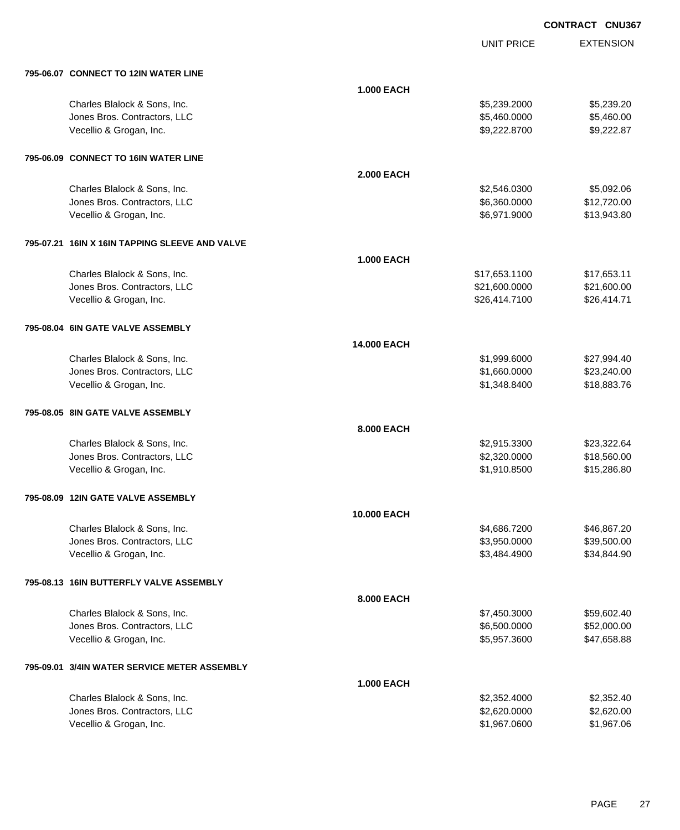UNIT PRICE EXTENSION

| 795-06.07 CONNECT TO 12IN WATER LINE           |                    |               |             |
|------------------------------------------------|--------------------|---------------|-------------|
|                                                | <b>1.000 EACH</b>  |               |             |
| Charles Blalock & Sons, Inc.                   |                    | \$5,239.2000  | \$5,239.20  |
| Jones Bros. Contractors, LLC                   |                    | \$5,460.0000  | \$5,460.00  |
| Vecellio & Grogan, Inc.                        |                    | \$9,222.8700  | \$9,222.87  |
| 795-06.09 CONNECT TO 16IN WATER LINE           |                    |               |             |
|                                                | <b>2.000 EACH</b>  |               |             |
| Charles Blalock & Sons, Inc.                   |                    | \$2,546.0300  | \$5,092.06  |
| Jones Bros. Contractors, LLC                   |                    | \$6,360.0000  | \$12,720.00 |
| Vecellio & Grogan, Inc.                        |                    | \$6,971.9000  | \$13,943.80 |
| 795-07.21 16IN X 16IN TAPPING SLEEVE AND VALVE |                    |               |             |
|                                                | <b>1.000 EACH</b>  |               |             |
| Charles Blalock & Sons, Inc.                   |                    | \$17,653.1100 | \$17,653.11 |
| Jones Bros. Contractors, LLC                   |                    | \$21,600.0000 | \$21,600.00 |
| Vecellio & Grogan, Inc.                        |                    | \$26,414.7100 | \$26,414.71 |
| 795-08.04 6IN GATE VALVE ASSEMBLY              |                    |               |             |
|                                                | <b>14.000 EACH</b> |               |             |
| Charles Blalock & Sons, Inc.                   |                    | \$1,999.6000  | \$27,994.40 |
| Jones Bros. Contractors, LLC                   |                    | \$1,660.0000  | \$23,240.00 |
| Vecellio & Grogan, Inc.                        |                    | \$1,348.8400  | \$18,883.76 |
| 795-08.05 8IN GATE VALVE ASSEMBLY              |                    |               |             |
|                                                | 8.000 EACH         |               |             |
| Charles Blalock & Sons, Inc.                   |                    | \$2,915.3300  | \$23,322.64 |
| Jones Bros. Contractors, LLC                   |                    | \$2,320.0000  | \$18,560.00 |
| Vecellio & Grogan, Inc.                        |                    | \$1,910.8500  | \$15,286.80 |
| 795-08.09 12IN GATE VALVE ASSEMBLY             |                    |               |             |
|                                                | 10.000 EACH        |               |             |
| Charles Blalock & Sons, Inc.                   |                    | \$4,686.7200  | \$46,867.20 |
| Jones Bros. Contractors, LLC                   |                    | \$3,950.0000  | \$39,500.00 |
| Vecellio & Grogan, Inc.                        |                    | \$3,484.4900  | \$34,844.90 |
| 795-08.13 16IN BUTTERFLY VALVE ASSEMBLY        |                    |               |             |
|                                                | 8.000 EACH         |               |             |
| Charles Blalock & Sons, Inc.                   |                    | \$7,450.3000  | \$59,602.40 |
| Jones Bros. Contractors, LLC                   |                    | \$6,500.0000  | \$52,000.00 |
| Vecellio & Grogan, Inc.                        |                    | \$5,957.3600  | \$47,658.88 |
| 795-09.01 3/4IN WATER SERVICE METER ASSEMBLY   |                    |               |             |
|                                                | <b>1.000 EACH</b>  |               |             |
| Charles Blalock & Sons, Inc.                   |                    | \$2,352.4000  | \$2,352.40  |
| Jones Bros. Contractors, LLC                   |                    | \$2,620.0000  | \$2,620.00  |
| Vecellio & Grogan, Inc.                        |                    | \$1,967.0600  | \$1,967.06  |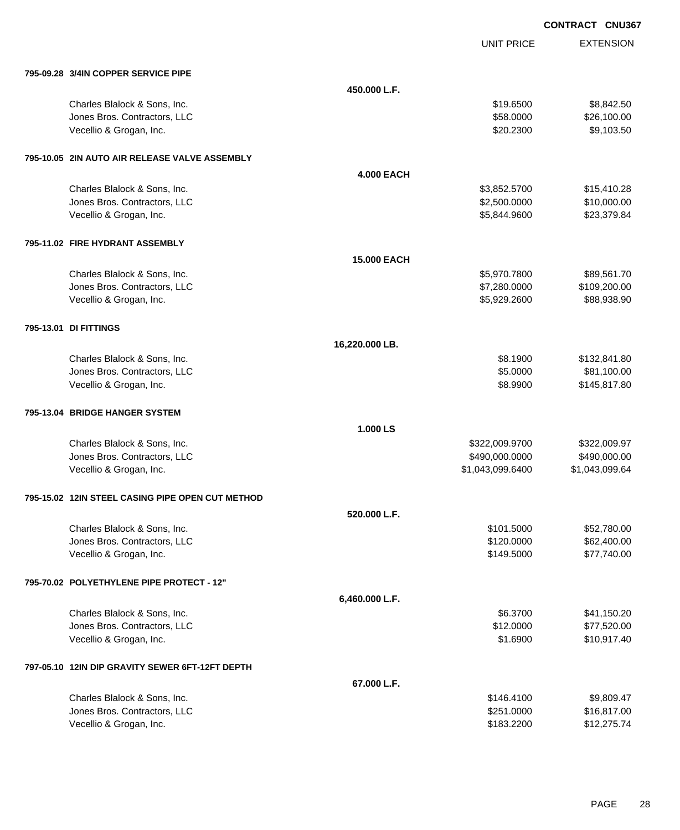UNIT PRICE

| 795-09.28 3/4IN COPPER SERVICE PIPE              |                    |                  |                |
|--------------------------------------------------|--------------------|------------------|----------------|
|                                                  | 450.000 L.F.       |                  |                |
| Charles Blalock & Sons, Inc.                     |                    | \$19.6500        | \$8,842.50     |
| Jones Bros. Contractors, LLC                     |                    | \$58.0000        | \$26,100.00    |
| Vecellio & Grogan, Inc.                          |                    | \$20.2300        | \$9,103.50     |
| 795-10.05 2IN AUTO AIR RELEASE VALVE ASSEMBLY    |                    |                  |                |
|                                                  | <b>4.000 EACH</b>  |                  |                |
| Charles Blalock & Sons, Inc.                     |                    | \$3,852.5700     | \$15,410.28    |
| Jones Bros. Contractors, LLC                     |                    | \$2,500.0000     | \$10,000.00    |
| Vecellio & Grogan, Inc.                          |                    | \$5,844.9600     | \$23,379.84    |
| 795-11.02 FIRE HYDRANT ASSEMBLY                  |                    |                  |                |
|                                                  | <b>15,000 EACH</b> |                  |                |
| Charles Blalock & Sons, Inc.                     |                    | \$5,970.7800     | \$89,561.70    |
| Jones Bros. Contractors, LLC                     |                    | \$7,280.0000     | \$109,200.00   |
| Vecellio & Grogan, Inc.                          |                    | \$5,929.2600     | \$88,938.90    |
| 795-13.01 DI FITTINGS                            |                    |                  |                |
|                                                  | 16,220.000 LB.     |                  |                |
| Charles Blalock & Sons, Inc.                     |                    | \$8.1900         | \$132,841.80   |
| Jones Bros. Contractors, LLC                     |                    | \$5.0000         | \$81,100.00    |
| Vecellio & Grogan, Inc.                          |                    | \$8.9900         | \$145,817.80   |
| 795-13.04 BRIDGE HANGER SYSTEM                   |                    |                  |                |
|                                                  | 1.000 LS           |                  |                |
| Charles Blalock & Sons, Inc.                     |                    | \$322,009.9700   | \$322,009.97   |
| Jones Bros. Contractors, LLC                     |                    | \$490,000.0000   | \$490,000.00   |
| Vecellio & Grogan, Inc.                          |                    | \$1,043,099.6400 | \$1,043,099.64 |
| 795-15.02 12IN STEEL CASING PIPE OPEN CUT METHOD |                    |                  |                |
|                                                  | 520.000 L.F.       |                  |                |
| Charles Blalock & Sons, Inc.                     |                    | \$101.5000       | \$52,780.00    |
| Jones Bros. Contractors, LLC                     |                    | \$120.0000       | \$62,400.00    |
| Vecellio & Grogan, Inc.                          |                    | \$149.5000       | \$77,740.00    |
| 795-70.02 POLYETHYLENE PIPE PROTECT - 12"        |                    |                  |                |
|                                                  | 6,460.000 L.F.     |                  |                |
| Charles Blalock & Sons, Inc.                     |                    | \$6.3700         | \$41,150.20    |
| Jones Bros. Contractors, LLC                     |                    | \$12.0000        | \$77,520.00    |
| Vecellio & Grogan, Inc.                          |                    | \$1.6900         | \$10,917.40    |
| 797-05.10 12IN DIP GRAVITY SEWER 6FT-12FT DEPTH  |                    |                  |                |
|                                                  | 67.000 L.F.        |                  |                |
| Charles Blalock & Sons, Inc.                     |                    | \$146.4100       | \$9,809.47     |
| Jones Bros. Contractors, LLC                     |                    | \$251.0000       | \$16,817.00    |
| Vecellio & Grogan, Inc.                          |                    | \$183.2200       | \$12,275.74    |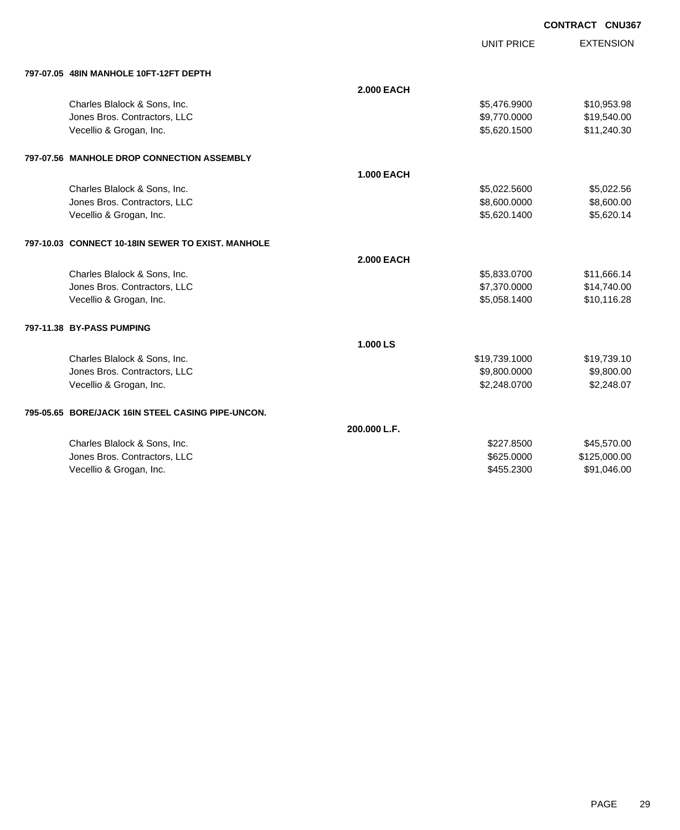UNIT PRICE

| 797-07.05 48IN MANHOLE 10FT-12FT DEPTH |
|----------------------------------------|
|                                        |

| 797-07.05   48IN MANHOLE 10FT-12FT DEPTH          |                   |               |              |
|---------------------------------------------------|-------------------|---------------|--------------|
|                                                   | <b>2.000 EACH</b> |               |              |
| Charles Blalock & Sons, Inc.                      |                   | \$5,476.9900  | \$10,953.98  |
| Jones Bros. Contractors, LLC                      |                   | \$9,770.0000  | \$19,540.00  |
| Vecellio & Grogan, Inc.                           |                   | \$5,620.1500  | \$11,240.30  |
| 797-07.56 MANHOLE DROP CONNECTION ASSEMBLY        |                   |               |              |
|                                                   | <b>1.000 EACH</b> |               |              |
| Charles Blalock & Sons, Inc.                      |                   | \$5,022.5600  | \$5,022.56   |
| Jones Bros. Contractors, LLC                      |                   | \$8,600.0000  | \$8,600.00   |
| Vecellio & Grogan, Inc.                           |                   | \$5,620.1400  | \$5,620.14   |
| 797-10.03 CONNECT 10-18IN SEWER TO EXIST. MANHOLE |                   |               |              |
|                                                   | <b>2.000 EACH</b> |               |              |
| Charles Blalock & Sons, Inc.                      |                   | \$5,833.0700  | \$11,666.14  |
| Jones Bros. Contractors, LLC                      |                   | \$7,370.0000  | \$14,740.00  |
| Vecellio & Grogan, Inc.                           |                   | \$5,058.1400  | \$10,116.28  |
| 797-11.38 BY-PASS PUMPING                         |                   |               |              |
|                                                   | 1.000 LS          |               |              |
| Charles Blalock & Sons, Inc.                      |                   | \$19,739.1000 | \$19,739.10  |
| Jones Bros. Contractors, LLC                      |                   | \$9,800.0000  | \$9,800.00   |
| Vecellio & Grogan, Inc.                           |                   | \$2,248.0700  | \$2,248.07   |
| 795-05.65 BORE/JACK 16IN STEEL CASING PIPE-UNCON. |                   |               |              |
|                                                   | 200.000 L.F.      |               |              |
| Charles Blalock & Sons, Inc.                      |                   | \$227,8500    | \$45,570.00  |
| Jones Bros. Contractors, LLC                      |                   | \$625.0000    | \$125,000.00 |
| Vecellio & Grogan, Inc.                           |                   | \$455.2300    | \$91,046.00  |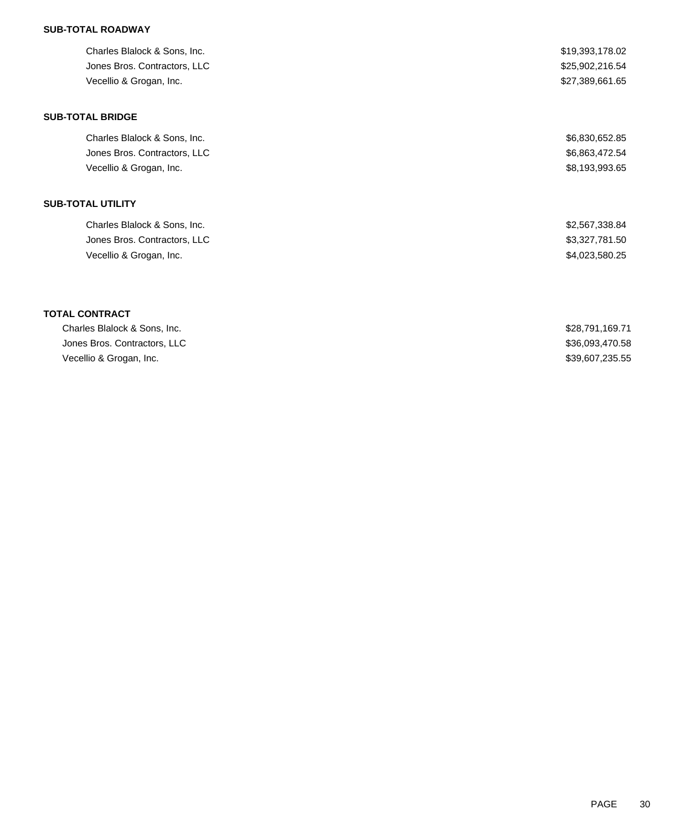## **SUB-TOTAL ROADWAY**

| Charles Blalock & Sons, Inc. | \$19,393,178.02 |
|------------------------------|-----------------|
| Jones Bros. Contractors, LLC | \$25,902,216.54 |
| Vecellio & Grogan, Inc.      | \$27,389,661.65 |
| <b>SUB-TOTAL BRIDGE</b>      |                 |
| Charles Blalock & Sons, Inc. | \$6,830,652.85  |
| Jones Bros. Contractors, LLC | \$6,863,472.54  |
| Vecellio & Grogan, Inc.      | \$8,193,993.65  |
| <b>SUB-TOTAL UTILITY</b>     |                 |
| Charles Blalock & Sons, Inc. | \$2,567,338.84  |
| Jones Bros. Contractors, LLC | \$3,327,781.50  |
| Vecellio & Grogan, Inc.      | \$4,023,580.25  |
|                              |                 |
| <b>TOTAL CONTRACT</b>        |                 |
| Charles Blalock & Sons, Inc. | \$28,791,169.71 |
| Jones Bros. Contractors, LLC | \$36,093,470.58 |
| Vecellio & Grogan, Inc.      | \$39,607,235.55 |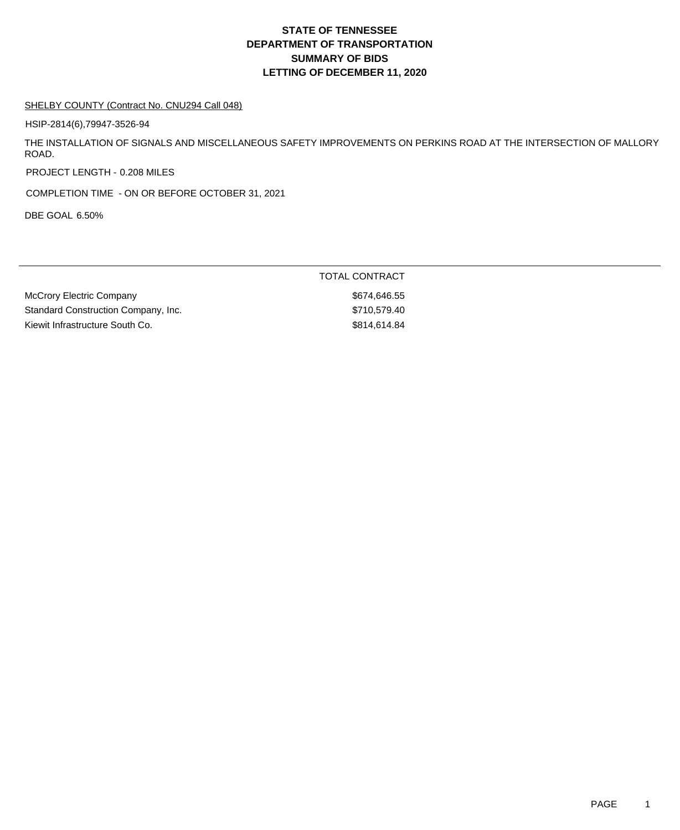## **DEPARTMENT OF TRANSPORTATION SUMMARY OF BIDS LETTING OF DECEMBER 11, 2020 STATE OF TENNESSEE**

#### SHELBY COUNTY (Contract No. CNU294 Call 048)

HSIP-2814(6),79947-3526-94

THE INSTALLATION OF SIGNALS AND MISCELLANEOUS SAFETY IMPROVEMENTS ON PERKINS ROAD AT THE INTERSECTION OF MALLORY ROAD.

PROJECT LENGTH - 0.208 MILES

COMPLETION TIME - ON OR BEFORE OCTOBER 31, 2021

DBE GOAL 6.50%

| TOTAL CONTRACT |
|----------------|
| \$674.646.55   |
| \$710.579.40   |
| \$814,614,84   |
|                |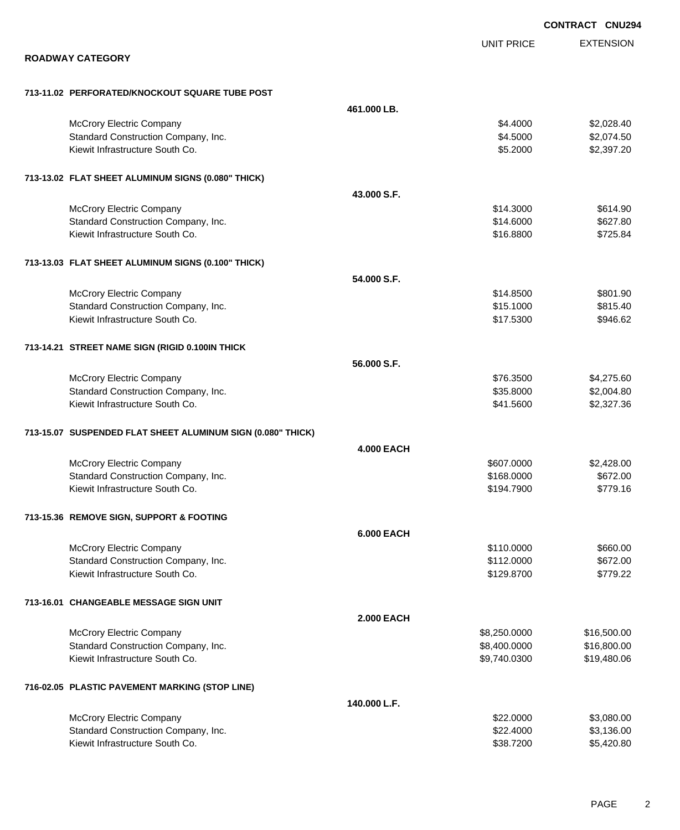|                                                             |                   |                   | <b>CONTRACT CNU294</b> |
|-------------------------------------------------------------|-------------------|-------------------|------------------------|
|                                                             |                   | <b>UNIT PRICE</b> | <b>EXTENSION</b>       |
| <b>ROADWAY CATEGORY</b>                                     |                   |                   |                        |
| 713-11.02 PERFORATED/KNOCKOUT SQUARE TUBE POST              |                   |                   |                        |
|                                                             | 461.000 LB.       |                   |                        |
| <b>McCrory Electric Company</b>                             |                   | \$4.4000          | \$2,028.40             |
| Standard Construction Company, Inc.                         |                   | \$4.5000          | \$2,074.50             |
| Kiewit Infrastructure South Co.                             |                   | \$5.2000          | \$2,397.20             |
| 713-13.02 FLAT SHEET ALUMINUM SIGNS (0.080" THICK)          |                   |                   |                        |
|                                                             | 43.000 S.F.       |                   |                        |
| <b>McCrory Electric Company</b>                             |                   | \$14.3000         | \$614.90               |
| Standard Construction Company, Inc.                         |                   | \$14.6000         | \$627.80               |
| Kiewit Infrastructure South Co.                             |                   | \$16.8800         | \$725.84               |
| 713-13.03 FLAT SHEET ALUMINUM SIGNS (0.100" THICK)          |                   |                   |                        |
|                                                             | 54.000 S.F.       |                   |                        |
| McCrory Electric Company                                    |                   | \$14.8500         | \$801.90               |
| Standard Construction Company, Inc.                         |                   | \$15.1000         | \$815.40               |
| Kiewit Infrastructure South Co.                             |                   | \$17.5300         | \$946.62               |
| 713-14.21 STREET NAME SIGN (RIGID 0.100IN THICK             |                   |                   |                        |
|                                                             | 56.000 S.F.       |                   |                        |
| McCrory Electric Company                                    |                   | \$76.3500         | \$4,275.60             |
| Standard Construction Company, Inc.                         |                   | \$35.8000         | \$2,004.80             |
| Kiewit Infrastructure South Co.                             |                   | \$41.5600         | \$2,327.36             |
| 713-15.07 SUSPENDED FLAT SHEET ALUMINUM SIGN (0.080" THICK) |                   |                   |                        |
|                                                             | <b>4.000 EACH</b> |                   |                        |
| McCrory Electric Company                                    |                   | \$607.0000        | \$2,428.00             |
| Standard Construction Company, Inc.                         |                   | \$168.0000        | \$672.00               |
| Kiewit Infrastructure South Co.                             |                   | \$194.7900        | \$779.16               |
| 713-15.36 REMOVE SIGN, SUPPORT & FOOTING                    |                   |                   |                        |
|                                                             | <b>6.000 EACH</b> |                   |                        |
| <b>McCrory Electric Company</b>                             |                   | \$110.0000        | \$660.00               |
| Standard Construction Company, Inc.                         |                   | \$112.0000        | \$672.00               |
| Kiewit Infrastructure South Co.                             |                   | \$129.8700        | \$779.22               |
| 713-16.01 CHANGEABLE MESSAGE SIGN UNIT                      |                   |                   |                        |
|                                                             | <b>2.000 EACH</b> |                   |                        |
| McCrory Electric Company                                    |                   | \$8,250.0000      | \$16,500.00            |
| Standard Construction Company, Inc.                         |                   | \$8,400.0000      | \$16,800.00            |
| Kiewit Infrastructure South Co.                             |                   | \$9,740.0300      | \$19,480.06            |
| 716-02.05 PLASTIC PAVEMENT MARKING (STOP LINE)              |                   |                   |                        |
|                                                             | 140.000 L.F.      |                   |                        |
| McCrory Electric Company                                    |                   | \$22.0000         | \$3,080.00             |
| Standard Construction Company, Inc.                         |                   | \$22.4000         | \$3,136.00             |
| Kiewit Infrastructure South Co.                             |                   | \$38.7200         | \$5,420.80             |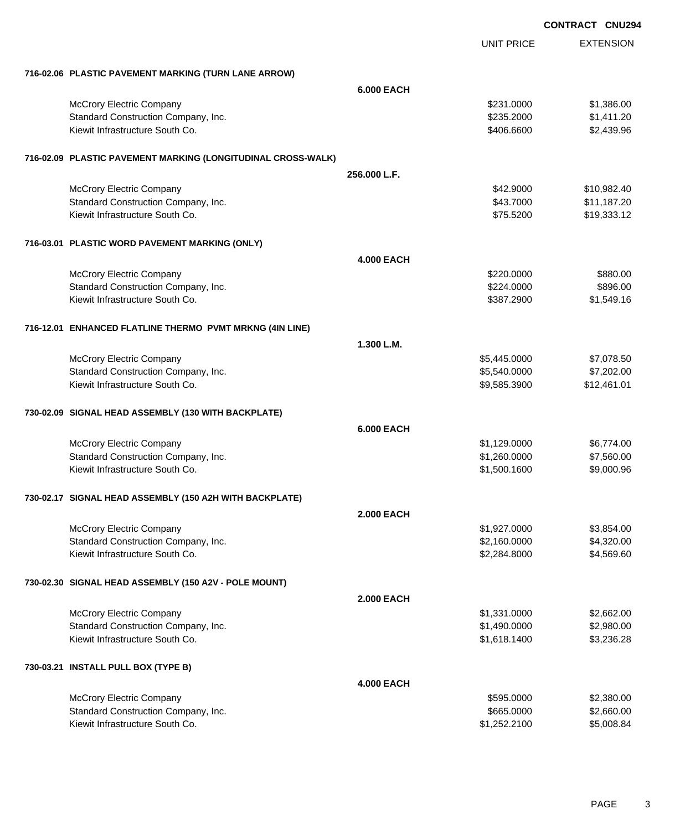|                                                              |                   |                   | <b>CONTRACT CNU294</b> |
|--------------------------------------------------------------|-------------------|-------------------|------------------------|
|                                                              |                   | <b>UNIT PRICE</b> | <b>EXTENSION</b>       |
| 716-02.06 PLASTIC PAVEMENT MARKING (TURN LANE ARROW)         |                   |                   |                        |
|                                                              | <b>6.000 EACH</b> |                   |                        |
| McCrory Electric Company                                     |                   | \$231.0000        | \$1,386.00             |
| Standard Construction Company, Inc.                          |                   | \$235.2000        | \$1,411.20             |
| Kiewit Infrastructure South Co.                              |                   | \$406.6600        | \$2,439.96             |
| 716-02.09 PLASTIC PAVEMENT MARKING (LONGITUDINAL CROSS-WALK) |                   |                   |                        |
|                                                              | 256.000 L.F.      |                   |                        |
| <b>McCrory Electric Company</b>                              |                   | \$42.9000         | \$10,982.40            |
| Standard Construction Company, Inc.                          |                   | \$43.7000         | \$11,187.20            |
| Kiewit Infrastructure South Co.                              |                   | \$75.5200         | \$19,333.12            |
| 716-03.01 PLASTIC WORD PAVEMENT MARKING (ONLY)               |                   |                   |                        |
|                                                              | <b>4.000 EACH</b> |                   |                        |
| McCrory Electric Company                                     |                   | \$220.0000        | \$880.00               |
| Standard Construction Company, Inc.                          |                   | \$224.0000        | \$896.00               |
| Kiewit Infrastructure South Co.                              |                   | \$387.2900        | \$1,549.16             |
| 716-12.01 ENHANCED FLATLINE THERMO PVMT MRKNG (4IN LINE)     |                   |                   |                        |
|                                                              | 1.300 L.M.        |                   |                        |
| <b>McCrory Electric Company</b>                              |                   | \$5,445.0000      | \$7,078.50             |
| Standard Construction Company, Inc.                          |                   | \$5,540.0000      | \$7,202.00             |
| Kiewit Infrastructure South Co.                              |                   | \$9,585.3900      | \$12,461.01            |
| 730-02.09 SIGNAL HEAD ASSEMBLY (130 WITH BACKPLATE)          |                   |                   |                        |
|                                                              | <b>6.000 EACH</b> |                   |                        |
| McCrory Electric Company                                     |                   | \$1,129.0000      | \$6,774.00             |
| Standard Construction Company, Inc.                          |                   | \$1,260.0000      | \$7,560.00             |
| Kiewit Infrastructure South Co.                              |                   | \$1,500.1600      | \$9,000.96             |
| 730-02.17 SIGNAL HEAD ASSEMBLY (150 A2H WITH BACKPLATE)      |                   |                   |                        |
|                                                              | <b>2.000 EACH</b> |                   |                        |
| <b>McCrory Electric Company</b>                              |                   | \$1,927.0000      | \$3,854.00             |
| Standard Construction Company, Inc.                          |                   | \$2,160.0000      | \$4,320.00             |
| Kiewit Infrastructure South Co.                              |                   | \$2,284.8000      | \$4,569.60             |
| 730-02.30 SIGNAL HEAD ASSEMBLY (150 A2V - POLE MOUNT)        |                   |                   |                        |
|                                                              | <b>2.000 EACH</b> |                   |                        |
| <b>McCrory Electric Company</b>                              |                   | \$1,331.0000      | \$2,662.00             |
| Standard Construction Company, Inc.                          |                   | \$1,490.0000      | \$2,980.00             |
| Kiewit Infrastructure South Co.                              |                   | \$1,618.1400      | \$3,236.28             |
| 730-03.21 INSTALL PULL BOX (TYPE B)                          |                   |                   |                        |
|                                                              | <b>4.000 EACH</b> |                   |                        |
| <b>McCrory Electric Company</b>                              |                   | \$595.0000        | \$2,380.00             |
| Standard Construction Company, Inc.                          |                   | \$665.0000        | \$2,660.00             |
| Kiewit Infrastructure South Co.                              |                   | \$1,252.2100      | \$5,008.84             |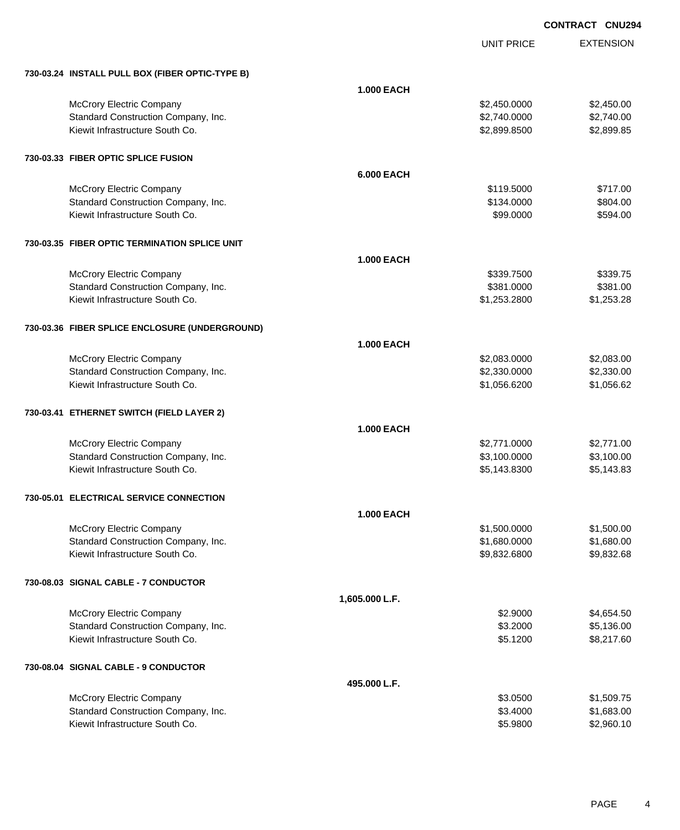UNIT PRICE EXTENSION

| 730-03.24 INSTALL PULL BOX (FIBER OPTIC-TYPE B) |                   |              |            |
|-------------------------------------------------|-------------------|--------------|------------|
|                                                 | <b>1.000 EACH</b> |              |            |
| McCrory Electric Company                        |                   | \$2,450.0000 | \$2,450.00 |
| Standard Construction Company, Inc.             |                   | \$2,740.0000 | \$2,740.00 |
| Kiewit Infrastructure South Co.                 |                   | \$2,899.8500 | \$2,899.85 |
|                                                 |                   |              |            |
| 730-03.33 FIBER OPTIC SPLICE FUSION             |                   |              |            |
|                                                 | <b>6.000 EACH</b> |              |            |
| <b>McCrory Electric Company</b>                 |                   | \$119.5000   | \$717.00   |
| Standard Construction Company, Inc.             |                   | \$134.0000   | \$804.00   |
| Kiewit Infrastructure South Co.                 |                   | \$99.0000    | \$594.00   |
| 730-03.35 FIBER OPTIC TERMINATION SPLICE UNIT   |                   |              |            |
|                                                 | <b>1.000 EACH</b> |              |            |
| McCrory Electric Company                        |                   | \$339.7500   | \$339.75   |
| Standard Construction Company, Inc.             |                   | \$381.0000   | \$381.00   |
| Kiewit Infrastructure South Co.                 |                   | \$1,253.2800 | \$1,253.28 |
|                                                 |                   |              |            |
| 730-03.36 FIBER SPLICE ENCLOSURE (UNDERGROUND)  |                   |              |            |
|                                                 | <b>1.000 EACH</b> |              |            |
| McCrory Electric Company                        |                   | \$2,083.0000 | \$2,083.00 |
| Standard Construction Company, Inc.             |                   | \$2,330.0000 | \$2,330.00 |
| Kiewit Infrastructure South Co.                 |                   | \$1,056.6200 | \$1,056.62 |
| 730-03.41 ETHERNET SWITCH (FIELD LAYER 2)       |                   |              |            |
|                                                 | <b>1.000 EACH</b> |              |            |
| McCrory Electric Company                        |                   | \$2,771.0000 | \$2,771.00 |
| Standard Construction Company, Inc.             |                   | \$3,100.0000 | \$3,100.00 |
| Kiewit Infrastructure South Co.                 |                   | \$5,143.8300 | \$5,143.83 |
|                                                 |                   |              |            |
| 730-05.01 ELECTRICAL SERVICE CONNECTION         |                   |              |            |
|                                                 | <b>1.000 EACH</b> |              |            |
| <b>McCrory Electric Company</b>                 |                   | \$1,500.0000 | \$1,500.00 |
| Standard Construction Company, Inc.             |                   | \$1,680.0000 | \$1,680.00 |
| Kiewit Infrastructure South Co.                 |                   | \$9,832.6800 | \$9,832.68 |
| 730-08.03 SIGNAL CABLE - 7 CONDUCTOR            |                   |              |            |
|                                                 | 1,605.000 L.F.    |              |            |
| McCrory Electric Company                        |                   | \$2.9000     | \$4,654.50 |
| Standard Construction Company, Inc.             |                   | \$3.2000     | \$5,136.00 |
| Kiewit Infrastructure South Co.                 |                   | \$5.1200     | \$8,217.60 |
| 730-08.04 SIGNAL CABLE - 9 CONDUCTOR            |                   |              |            |
|                                                 | 495.000 L.F.      |              |            |
| McCrory Electric Company                        |                   | \$3.0500     | \$1,509.75 |
| Standard Construction Company, Inc.             |                   | \$3.4000     | \$1,683.00 |
| Kiewit Infrastructure South Co.                 |                   | \$5.9800     | \$2,960.10 |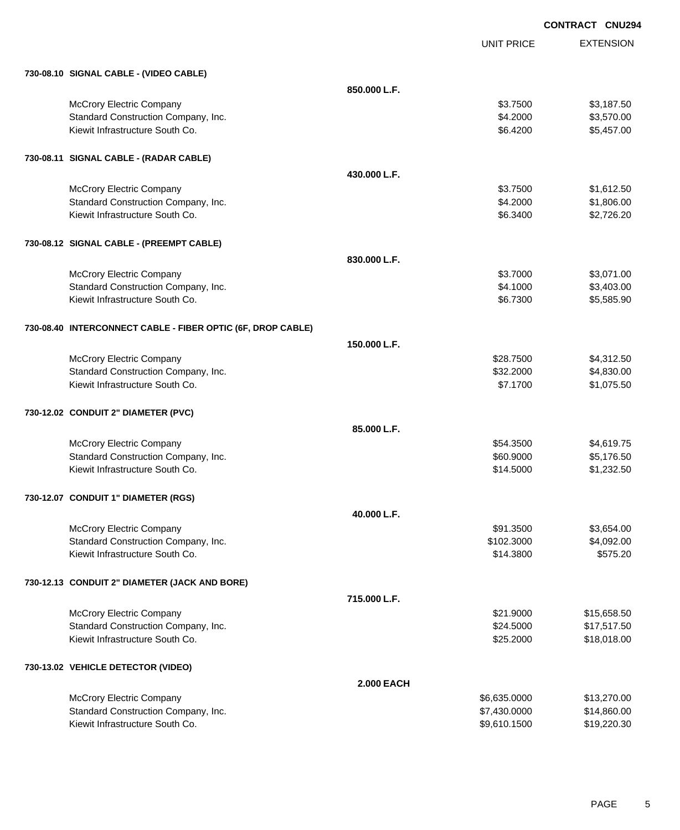EXTENSION **CONTRACT CNU294** UNIT PRICE **730-08.10 SIGNAL CABLE - (VIDEO CABLE) 850.000 L.F.** McCrory Electric Company 63.7500 \$3,187.50 Standard Construction Company, Inc. 6. 2000 \$3,570.00 Kiewit Infrastructure South Co. **6.4200** \$5,457.00 **730-08.11 SIGNAL CABLE - (RADAR CABLE) 430.000 L.F.** McCrory Electric Company 63.7500 \$1,612.50 Standard Construction Company, Inc. 6. 2000 \$1,806.00 \$1,806.00 Kiewit Infrastructure South Co. **6.25 and 200 and 200 and 200 and 200 and 200 and 200 and 32,726.20** \$2,726.20 **730-08.12 SIGNAL CABLE - (PREEMPT CABLE) 830.000 L.F.** McCrory Electric Company 63.071.00 Standard Construction Company, Inc. 6. The Standard Construction Company, Inc. 6. The Standard Construction Company, Inc. 6. The Standard Standard Standard Standard Standard Standard Standard Standard Standard Standard Sta Kiewit Infrastructure South Co. **6.23300** \$5,585.90 **730-08.40 INTERCONNECT CABLE - FIBER OPTIC (6F, DROP CABLE) 150.000 L.F.** McCrory Electric Company 628.7500 \$4,312.50 Standard Construction Company, Inc. 6. The Construction Company, Inc. \$32.2000 \$4,830.00 Kiewit Infrastructure South Co. **6.1.1700** \$1,075.50 **730-12.02 CONDUIT 2" DIAMETER (PVC) 85.000 L.F.** McCrory Electric Company 654.8500 \$4,619.75 Standard Construction Company, Inc. 60.8000 \$5,176.50 Kiewit Infrastructure South Co. **61.232.50** \$1,232.50 **730-12.07 CONDUIT 1" DIAMETER (RGS) 40.000 L.F.** McCrory Electric Company \$91.3500 \$3,654.00 Standard Construction Company, Inc. 6. The Construction Company, Inc. 6. The Construction Company, Inc. 6. The Construction Company, Inc. 6. The Construction Company, Inc. 6. The Construction Company, Inc. 6. The Construct Kiewit Infrastructure South Co. 6575.20 \$14.3800 \$575.20 **730-12.13 CONDUIT 2" DIAMETER (JACK AND BORE) 715.000 L.F.** McCrory Electric Company 615,658.50 Standard Construction Company, Inc. 6. The Construction Company, Inc. 6. The Construction Company, Inc. 6. The Construction Company, Inc. 6. The Construction Company, Inc. 6. The Construction Company, Inc. 6. The Construct Kiewit Infrastructure South Co. **\$25.2000** \$18,018.00 **730-13.02 VEHICLE DETECTOR (VIDEO) 2.000 EACH** McCrory Electric Company 613,270.00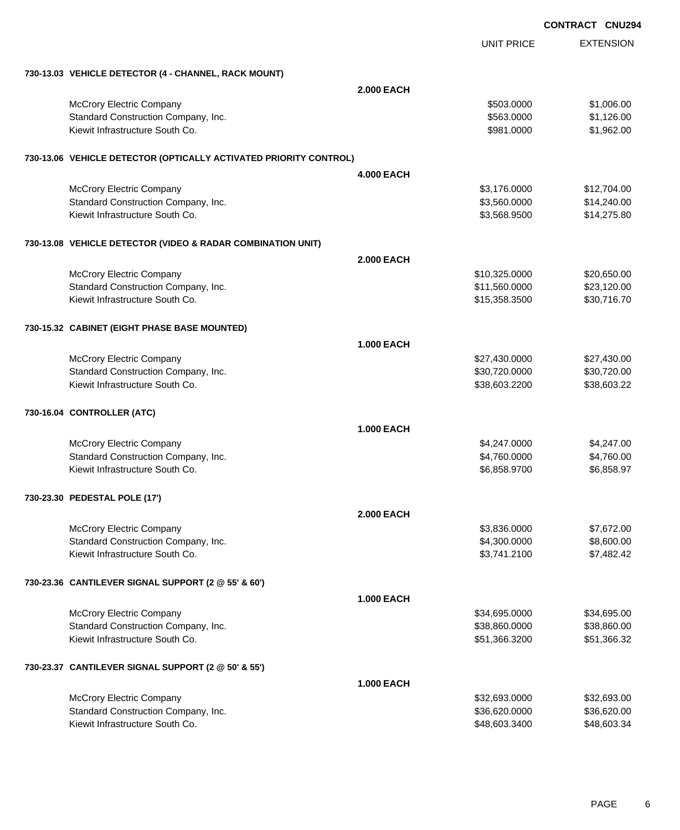EXTENSION **CONTRACT CNU294** UNIT PRICE **730-13.03 VEHICLE DETECTOR (4 - CHANNEL, RACK MOUNT) 2.000 EACH** McCrory Electric Company 6503.0000 \$1,006.00 Standard Construction Company, Inc. 6. The Construction Company, Inc. \$563.0000 \$1,126.00 Kiewit Infrastructure South Co. **\$981.0000 \$1,962.00** \$1,962.00 **730-13.06 VEHICLE DETECTOR (OPTICALLY ACTIVATED PRIORITY CONTROL) 4.000 EACH** McCrory Electric Company 612,704.00 Standard Construction Company, Inc. 6. The Construction Company, Inc. 6. The Construction Company, Inc. 6. The Construction Company, Inc. 6. The Construction Company, Inc. 6. The Construction Company, Inc. 6. The Construct Kiewit Infrastructure South Co. **\$3,568.9500** \$14,275.80 **730-13.08 VEHICLE DETECTOR (VIDEO & RADAR COMBINATION UNIT) 2.000 EACH** McCrory Electric Company 620,650.00 \$20,650.00 Standard Construction Company, Inc. 6. The Construction Company, Inc. 6. The Construction Company, Inc. 6. The Construction Company, Inc. 6. The Construction Company, Inc. 6. The Construction Company, Inc. 6. The Construct Kiewit Infrastructure South Co. **\$30,716.70** \$30,716.70 **730-15.32 CABINET (EIGHT PHASE BASE MOUNTED) 1.000 EACH** McCrory Electric Company 627,430.000 \$27,430.000 \$27,430.000 \$27,430.000 \$27,430.000 \$27,430.00 Standard Construction Company, Inc. 6. 2002. The standard Construction Company, Inc. 6. 2008. The standard Construction Company, Inc. 6. 2008. The standard S30,720.000 \$30,720.00 Kiewit Infrastructure South Co. 638,603.2200 \$38,603.2200 \$38,603.2200 \$38,603.22 **730-16.04 CONTROLLER (ATC) 1.000 EACH** McCrory Electric Company 64,247.000 \$4,247.000 \$4,247.000 \$4,247.000 \$4,247.000 \$4,247.000 \$4,247.00 Standard Construction Company, Inc. 6. The Construction Company, Inc. 6. The Construction Company, Inc. 6. The Construction Company, Inc. 6. The Construction Company, Inc. 6. The Construction Company, Inc. 6. The Construct Kiewit Infrastructure South Co. **\$6,858.9700** \$6,858.9700 \$6,858.9700 \$6,858.9700 **730-23.30 PEDESTAL POLE (17') 2.000 EACH** McCrory Electric Company 67,672.00 Standard Construction Company, Inc. 6. The Construction Company, Inc. 6. The Construction Company, Inc. 6. The Construction Company, Inc. 6. The Construction Company, Inc. 6. The Construction Company, Inc. 6. The Construct Kiewit Infrastructure South Co. **\$3,741.2100** \$7,482.42 **730-23.36 CANTILEVER SIGNAL SUPPORT (2 @ 55' & 60') 1.000 EACH** McCrory Electric Company 634,695.000 \$34,695.000 \$34,695.000 \$34,695.000 Standard Construction Company, Inc. 6. The Construction Company, Inc. 6. The Construction Company, Inc. 6. The Construction Company, Inc. 6. The Construction Company, Inc. 6. The Construction Company, Inc. 6. The Construct Kiewit Infrastructure South Co. **651,366.3200** \$51,366.3200 \$51,366.3200 \$51,366.32 **730-23.37 CANTILEVER SIGNAL SUPPORT (2 @ 50' & 55') 1.000 EACH** McCrory Electric Company 632,693.00 \$32,693.00 \$32,693.00 \$32,693.00 \$32,693.00 Standard Construction Company, Inc. 6. The Construction Company, Inc. 6. The Construction Company, Inc. 636,620 Kiewit Infrastructure South Co. **\$48,603.3400** \$48,603.3400 \$48,603.3400 \$48,603.3400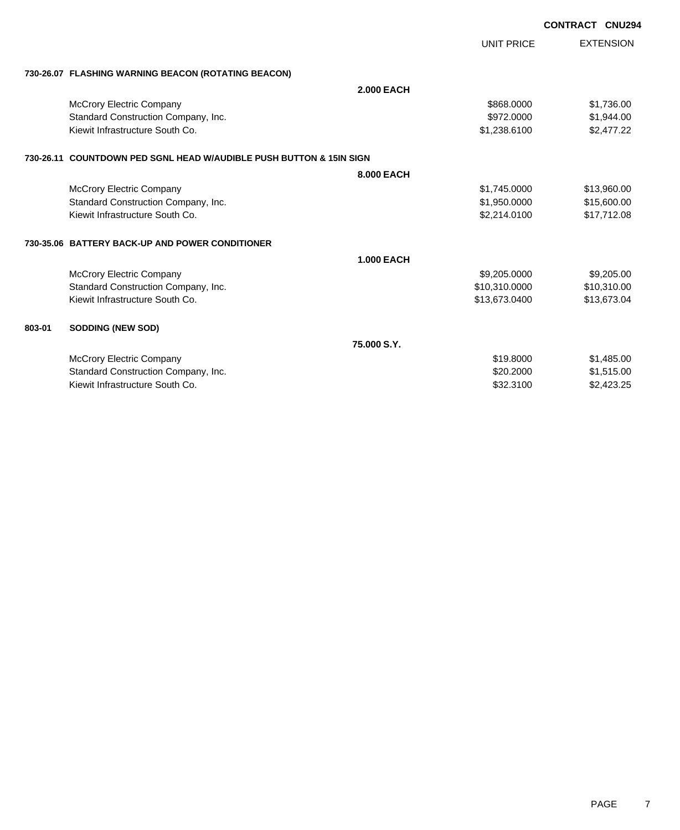|        |                                                                     |                   |                   | <b>CONTRACT CNU294</b> |                  |
|--------|---------------------------------------------------------------------|-------------------|-------------------|------------------------|------------------|
|        |                                                                     |                   | <b>UNIT PRICE</b> |                        | <b>EXTENSION</b> |
|        | 730-26.07 FLASHING WARNING BEACON (ROTATING BEACON)                 |                   |                   |                        |                  |
|        |                                                                     | <b>2.000 EACH</b> |                   |                        |                  |
|        | <b>McCrory Electric Company</b>                                     |                   | \$868,0000        |                        | \$1,736.00       |
|        | Standard Construction Company, Inc.                                 |                   | \$972.0000        |                        | \$1,944.00       |
|        | Kiewit Infrastructure South Co.                                     |                   | \$1,238.6100      |                        | \$2,477.22       |
|        | 730-26.11 COUNTDOWN PED SGNL HEAD W/AUDIBLE PUSH BUTTON & 15IN SIGN |                   |                   |                        |                  |
|        |                                                                     | 8.000 EACH        |                   |                        |                  |
|        | <b>McCrory Electric Company</b>                                     |                   | \$1,745.0000      |                        | \$13,960.00      |
|        | Standard Construction Company, Inc.                                 |                   | \$1,950.0000      |                        | \$15,600.00      |
|        | Kiewit Infrastructure South Co.                                     |                   | \$2,214.0100      |                        | \$17,712.08      |
|        | 730-35.06 BATTERY BACK-UP AND POWER CONDITIONER                     |                   |                   |                        |                  |
|        |                                                                     | <b>1.000 EACH</b> |                   |                        |                  |
|        | McCrory Electric Company                                            |                   | \$9,205.0000      |                        | \$9,205.00       |
|        | Standard Construction Company, Inc.                                 |                   | \$10,310.0000     |                        | \$10,310.00      |
|        | Kiewit Infrastructure South Co.                                     |                   | \$13,673.0400     |                        | \$13,673.04      |
| 803-01 | <b>SODDING (NEW SOD)</b>                                            |                   |                   |                        |                  |
|        |                                                                     | 75,000 S.Y.       |                   |                        |                  |
|        | <b>McCrory Electric Company</b>                                     |                   | \$19.8000         |                        | \$1,485.00       |
|        | Standard Construction Company, Inc.                                 |                   | \$20.2000         |                        | \$1,515.00       |
|        | Kiewit Infrastructure South Co.                                     |                   | \$32.3100         |                        | \$2,423.25       |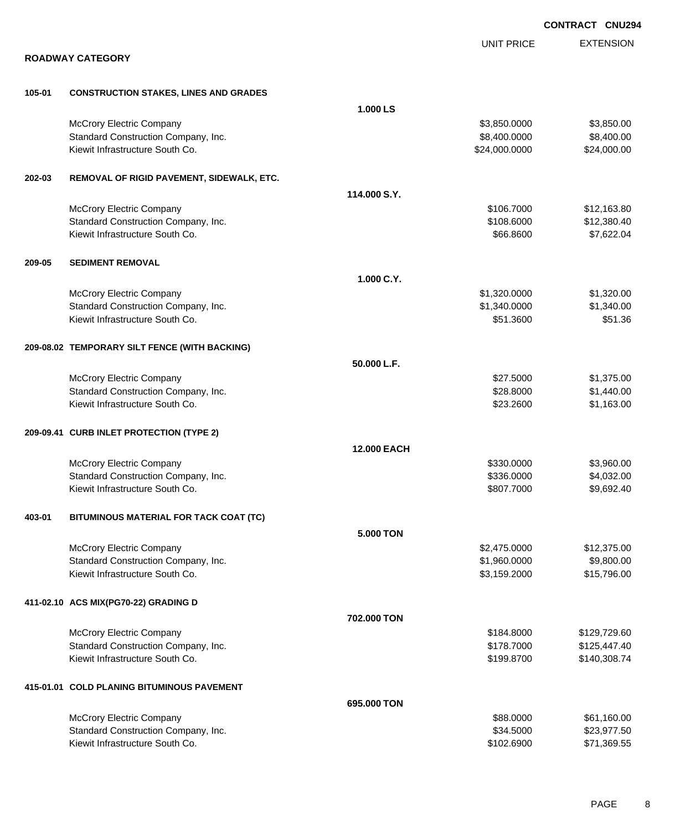|        |                                               |                    |                   | <b>CONTRACT CNU294</b> |
|--------|-----------------------------------------------|--------------------|-------------------|------------------------|
|        |                                               |                    | <b>UNIT PRICE</b> | <b>EXTENSION</b>       |
|        | <b>ROADWAY CATEGORY</b>                       |                    |                   |                        |
| 105-01 | <b>CONSTRUCTION STAKES, LINES AND GRADES</b>  |                    |                   |                        |
|        |                                               | 1.000 LS           |                   |                        |
|        | <b>McCrory Electric Company</b>               |                    | \$3,850.0000      | \$3,850.00             |
|        | Standard Construction Company, Inc.           |                    | \$8,400.0000      | \$8,400.00             |
|        | Kiewit Infrastructure South Co.               |                    | \$24,000.0000     | \$24,000.00            |
| 202-03 | REMOVAL OF RIGID PAVEMENT, SIDEWALK, ETC.     |                    |                   |                        |
|        |                                               | 114.000 S.Y.       |                   |                        |
|        | McCrory Electric Company                      |                    | \$106.7000        | \$12,163.80            |
|        | Standard Construction Company, Inc.           |                    | \$108.6000        | \$12,380.40            |
|        | Kiewit Infrastructure South Co.               |                    | \$66.8600         | \$7,622.04             |
| 209-05 | <b>SEDIMENT REMOVAL</b>                       |                    |                   |                        |
|        |                                               | 1.000 C.Y.         |                   |                        |
|        | McCrory Electric Company                      |                    | \$1,320.0000      | \$1,320.00             |
|        | Standard Construction Company, Inc.           |                    | \$1,340.0000      | \$1,340.00             |
|        | Kiewit Infrastructure South Co.               |                    | \$51.3600         | \$51.36                |
|        | 209-08.02 TEMPORARY SILT FENCE (WITH BACKING) |                    |                   |                        |
|        |                                               | 50.000 L.F.        |                   |                        |
|        | McCrory Electric Company                      |                    | \$27.5000         | \$1,375.00             |
|        | Standard Construction Company, Inc.           |                    | \$28.8000         | \$1,440.00             |
|        | Kiewit Infrastructure South Co.               |                    | \$23.2600         | \$1,163.00             |
|        | 209-09.41 CURB INLET PROTECTION (TYPE 2)      |                    |                   |                        |
|        |                                               | <b>12.000 EACH</b> |                   |                        |
|        | McCrory Electric Company                      |                    | \$330.0000        | \$3,960.00             |
|        | Standard Construction Company, Inc.           |                    | \$336.0000        | \$4,032.00             |
|        | Kiewit Infrastructure South Co.               |                    | \$807.7000        | \$9,692.40             |
| 403-01 | BITUMINOUS MATERIAL FOR TACK COAT (TC)        |                    |                   |                        |
|        |                                               | <b>5.000 TON</b>   |                   |                        |
|        | McCrory Electric Company                      |                    | \$2,475.0000      | \$12,375.00            |
|        | Standard Construction Company, Inc.           |                    | \$1,960.0000      | \$9,800.00             |
|        | Kiewit Infrastructure South Co.               |                    | \$3,159.2000      | \$15,796.00            |
|        | 411-02.10 ACS MIX(PG70-22) GRADING D          |                    |                   |                        |
|        |                                               | 702.000 TON        |                   |                        |
|        | McCrory Electric Company                      |                    | \$184.8000        | \$129,729.60           |
|        | Standard Construction Company, Inc.           |                    | \$178.7000        | \$125,447.40           |
|        | Kiewit Infrastructure South Co.               |                    | \$199.8700        | \$140,308.74           |
|        | 415-01.01 COLD PLANING BITUMINOUS PAVEMENT    |                    |                   |                        |
|        |                                               | 695.000 TON        |                   |                        |
|        | McCrory Electric Company                      |                    | \$88.0000         | \$61,160.00            |
|        | Standard Construction Company, Inc.           |                    | \$34.5000         | \$23,977.50            |
|        | Kiewit Infrastructure South Co.               |                    | \$102.6900        | \$71,369.55            |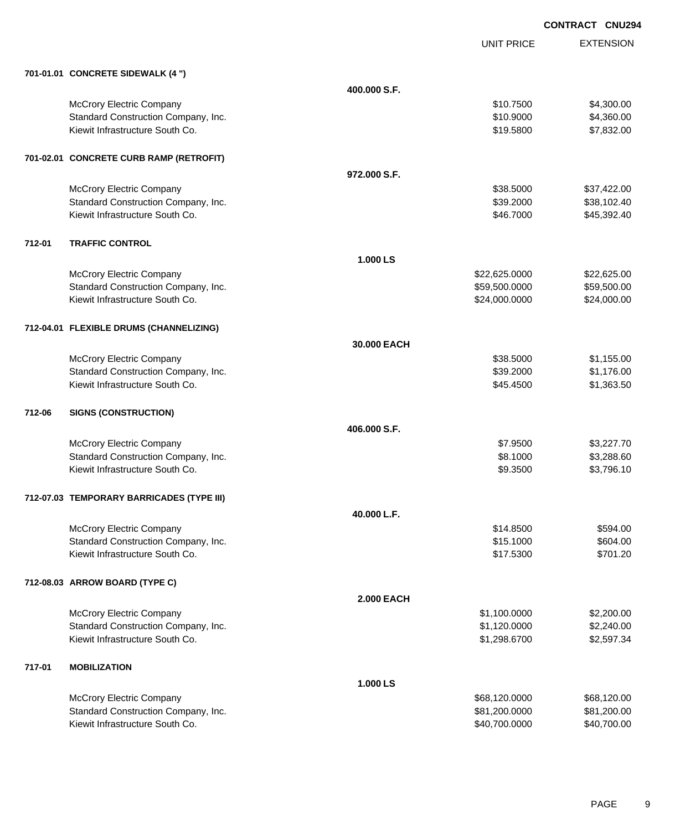EXTENSION **CONTRACT CNU294**

UNIT PRICE

|        | 701-01.01 CONCRETE SIDEWALK (4 ")         |                   |               |             |
|--------|-------------------------------------------|-------------------|---------------|-------------|
|        |                                           | 400,000 S.F.      |               |             |
|        | <b>McCrory Electric Company</b>           |                   | \$10.7500     | \$4,300.00  |
|        | Standard Construction Company, Inc.       |                   | \$10.9000     | \$4,360.00  |
|        | Kiewit Infrastructure South Co.           |                   | \$19.5800     | \$7,832.00  |
|        | 701-02.01 CONCRETE CURB RAMP (RETROFIT)   |                   |               |             |
|        |                                           | 972.000 S.F.      |               |             |
|        | <b>McCrory Electric Company</b>           |                   | \$38.5000     | \$37,422.00 |
|        | Standard Construction Company, Inc.       |                   | \$39.2000     | \$38,102.40 |
|        | Kiewit Infrastructure South Co.           |                   | \$46.7000     | \$45,392.40 |
| 712-01 | <b>TRAFFIC CONTROL</b>                    |                   |               |             |
|        |                                           | 1.000 LS          |               |             |
|        | <b>McCrory Electric Company</b>           |                   | \$22,625.0000 | \$22,625.00 |
|        | Standard Construction Company, Inc.       |                   | \$59,500.0000 | \$59,500.00 |
|        | Kiewit Infrastructure South Co.           |                   | \$24,000.0000 | \$24,000.00 |
|        | 712-04.01 FLEXIBLE DRUMS (CHANNELIZING)   |                   |               |             |
|        |                                           | 30.000 EACH       |               |             |
|        | <b>McCrory Electric Company</b>           |                   | \$38.5000     | \$1,155.00  |
|        | Standard Construction Company, Inc.       |                   | \$39.2000     | \$1,176.00  |
|        | Kiewit Infrastructure South Co.           |                   | \$45.4500     | \$1,363.50  |
| 712-06 | <b>SIGNS (CONSTRUCTION)</b>               |                   |               |             |
|        |                                           | 406.000 S.F.      |               |             |
|        | <b>McCrory Electric Company</b>           |                   | \$7.9500      | \$3,227.70  |
|        | Standard Construction Company, Inc.       |                   | \$8.1000      | \$3,288.60  |
|        | Kiewit Infrastructure South Co.           |                   | \$9.3500      | \$3,796.10  |
|        | 712-07.03 TEMPORARY BARRICADES (TYPE III) |                   |               |             |
|        |                                           | 40.000 L.F.       |               |             |
|        | <b>McCrory Electric Company</b>           |                   | \$14.8500     | \$594.00    |
|        | Standard Construction Company, Inc.       |                   | \$15.1000     | \$604.00    |
|        | Kiewit Infrastructure South Co.           |                   | \$17.5300     | \$701.20    |
|        | 712-08.03 ARROW BOARD (TYPE C)            |                   |               |             |
|        |                                           | <b>2.000 EACH</b> |               |             |
|        | <b>McCrory Electric Company</b>           |                   | \$1,100.0000  | \$2,200.00  |
|        | Standard Construction Company, Inc.       |                   | \$1,120.0000  | \$2,240.00  |
|        | Kiewit Infrastructure South Co.           |                   | \$1,298.6700  | \$2,597.34  |
| 717-01 | <b>MOBILIZATION</b>                       |                   |               |             |
|        |                                           | 1.000 LS          |               |             |
|        | <b>McCrory Electric Company</b>           |                   | \$68,120.0000 | \$68,120.00 |
|        | Standard Construction Company, Inc.       |                   | \$81,200.0000 | \$81,200.00 |
|        | Kiewit Infrastructure South Co.           |                   | \$40,700.0000 | \$40,700.00 |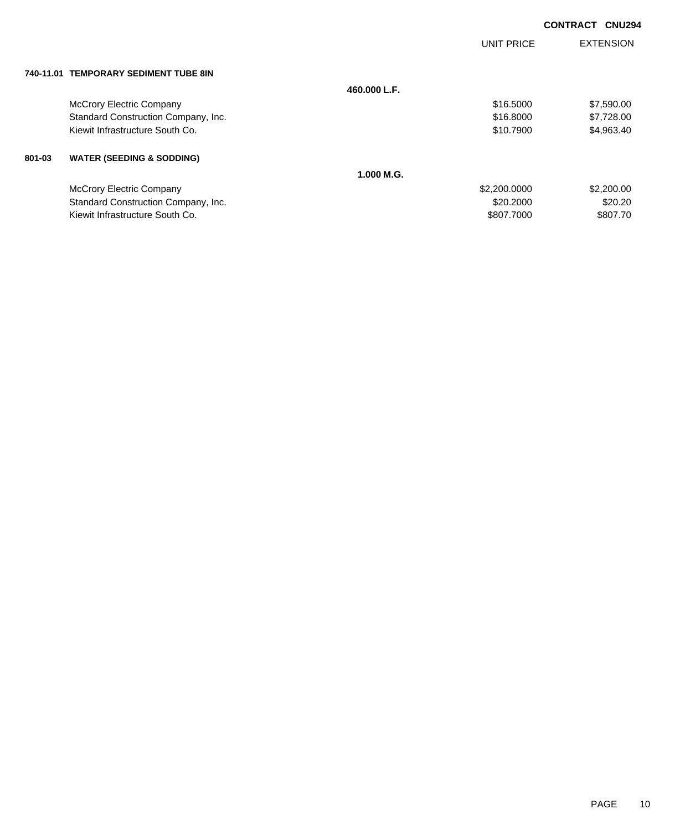|           |                                      |              | UNIT PRICE   | <b>EXTENSION</b> |
|-----------|--------------------------------------|--------------|--------------|------------------|
| 740-11.01 | <b>TEMPORARY SEDIMENT TUBE 8IN</b>   |              |              |                  |
|           |                                      | 460.000 L.F. |              |                  |
|           | <b>McCrory Electric Company</b>      |              | \$16.5000    | \$7,590.00       |
|           | Standard Construction Company, Inc.  |              | \$16,8000    | \$7,728.00       |
|           | Kiewit Infrastructure South Co.      |              | \$10,7900    | \$4,963.40       |
| 801-03    | <b>WATER (SEEDING &amp; SODDING)</b> |              |              |                  |
|           |                                      | 1.000 M.G.   |              |                  |
|           | <b>McCrory Electric Company</b>      |              | \$2,200.0000 | \$2,200.00       |
|           | Standard Construction Company, Inc.  |              | \$20.2000    | \$20.20          |
|           | Kiewit Infrastructure South Co.      |              | \$807,7000   | \$807.70         |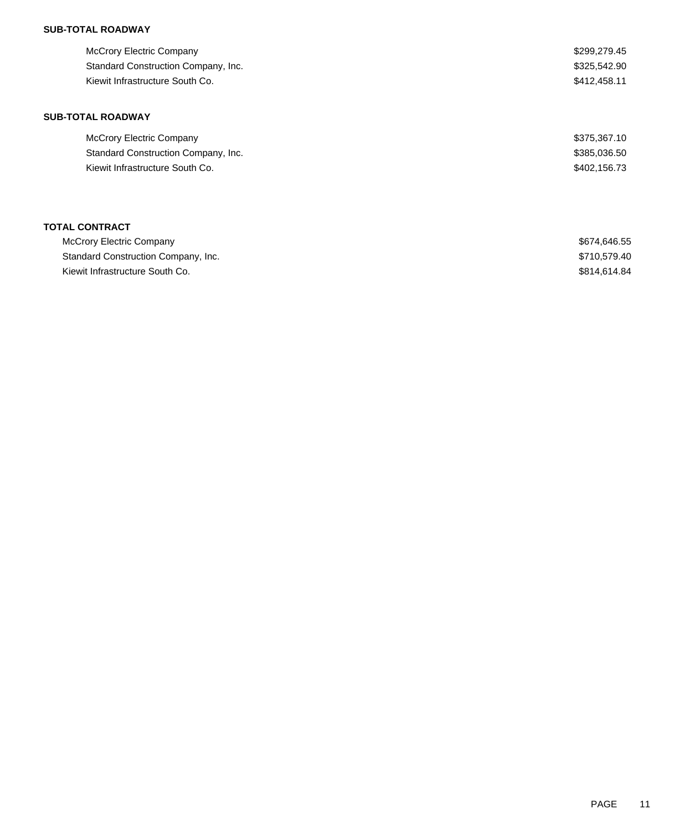## **SUB-TOTAL ROADWAY**

**SUB-TOTAL ROADWAY**

| McCrory Electric Company            | \$299,279.45 |
|-------------------------------------|--------------|
| Standard Construction Company, Inc. | \$325,542.90 |
| Kiewit Infrastructure South Co.     | \$412,458.11 |
|                                     |              |

# McCrory Electric Company \$375,367.10 Standard Construction Company, Inc. 6. The Standard Construction Company, Inc. 6. The Standard Construction Company, Inc. Kiewit Infrastructure South Co. 6. The Second State of the Second State of the Second State Second State Second State Second State Second State Second State Second State Second State Second State Second State Second State

## **TOTAL CONTRACT**

| McCrory Electric Company            | \$674.646.55 |
|-------------------------------------|--------------|
| Standard Construction Company, Inc. | \$710.579.40 |
| Kiewit Infrastructure South Co.     | \$814.614.84 |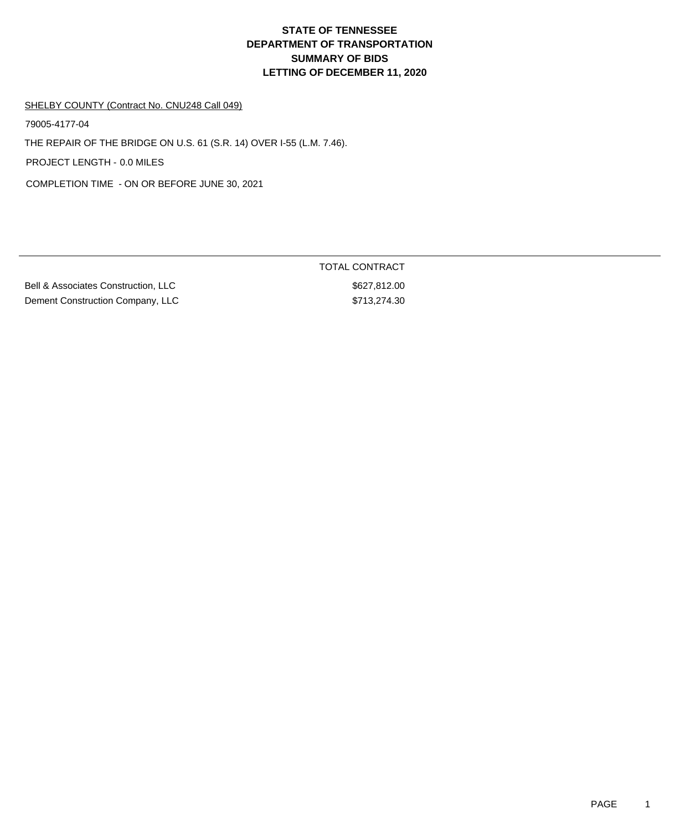# **DEPARTMENT OF TRANSPORTATION SUMMARY OF BIDS LETTING OF DECEMBER 11, 2020 STATE OF TENNESSEE**

#### SHELBY COUNTY (Contract No. CNU248 Call 049)

79005-4177-04

THE REPAIR OF THE BRIDGE ON U.S. 61 (S.R. 14) OVER I-55 (L.M. 7.46).

PROJECT LENGTH - 0.0 MILES

COMPLETION TIME - ON OR BEFORE JUNE 30, 2021

Bell & Associates Construction, LLC \$627,812.00 Dement Construction Company, LLC \$713,274.30

TOTAL CONTRACT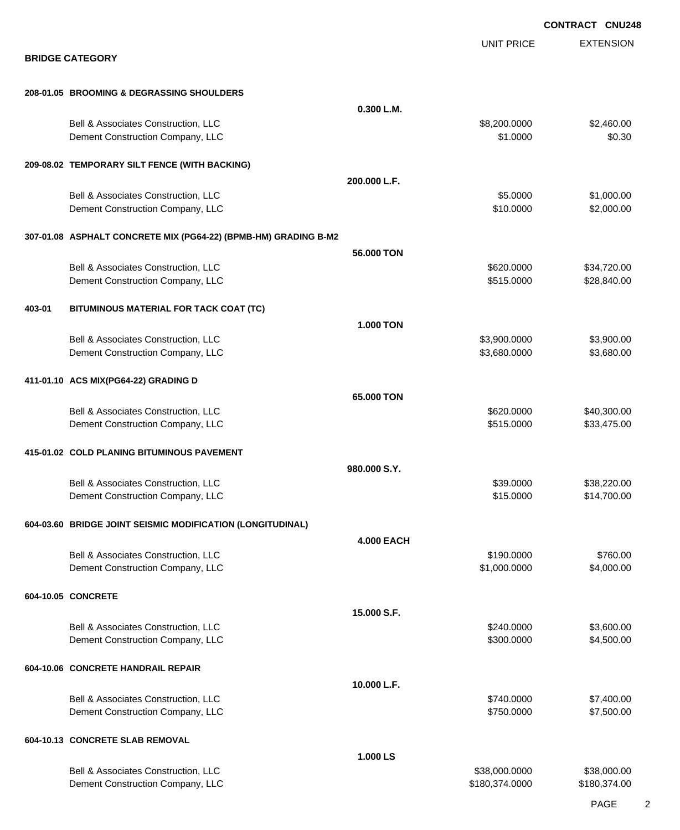|                                                                         |                   |                          | <b>CONTRACT CNU248</b>     |
|-------------------------------------------------------------------------|-------------------|--------------------------|----------------------------|
| <b>BRIDGE CATEGORY</b>                                                  |                   | <b>UNIT PRICE</b>        | <b>EXTENSION</b>           |
| 208-01.05 BROOMING & DEGRASSING SHOULDERS                               |                   |                          |                            |
|                                                                         | 0.300 L.M.        |                          |                            |
| Bell & Associates Construction, LLC<br>Dement Construction Company, LLC |                   | \$8,200.0000<br>\$1.0000 | \$2,460.00<br>\$0.30       |
| 209-08.02 TEMPORARY SILT FENCE (WITH BACKING)                           |                   |                          |                            |
|                                                                         | 200.000 L.F.      |                          |                            |
| Bell & Associates Construction, LLC<br>Dement Construction Company, LLC |                   | \$5.0000<br>\$10.0000    | \$1,000.00<br>\$2,000.00   |
| 307-01.08 ASPHALT CONCRETE MIX (PG64-22) (BPMB-HM) GRADING B-M2         |                   |                          |                            |
|                                                                         | 56,000 TON        |                          |                            |
| Bell & Associates Construction, LLC<br>Dement Construction Company, LLC |                   | \$620.0000<br>\$515.0000 | \$34,720.00<br>\$28,840.00 |
| BITUMINOUS MATERIAL FOR TACK COAT (TC)<br>403-01                        |                   |                          |                            |
| Bell & Associates Construction, LLC                                     | <b>1.000 TON</b>  | \$3,900.0000             | \$3,900.00                 |
| Dement Construction Company, LLC                                        |                   | \$3,680.0000             | \$3,680.00                 |
| 411-01.10 ACS MIX(PG64-22) GRADING D                                    | 65.000 TON        |                          |                            |
| Bell & Associates Construction, LLC                                     |                   | \$620.0000               | \$40,300.00                |
| Dement Construction Company, LLC                                        |                   | \$515.0000               | \$33,475.00                |
| 415-01.02 COLD PLANING BITUMINOUS PAVEMENT                              | 980.000 S.Y.      |                          |                            |
| Bell & Associates Construction, LLC                                     |                   | \$39,0000                | \$38,220.00                |
| Dement Construction Company, LLC                                        |                   | \$15.0000                | \$14,700.00                |
| 604-03.60 BRIDGE JOINT SEISMIC MODIFICATION (LONGITUDINAL)              | <b>4.000 EACH</b> |                          |                            |
| Bell & Associates Construction, LLC                                     |                   | \$190.0000               | \$760.00                   |
| Dement Construction Company, LLC                                        |                   | \$1,000.0000             | \$4,000.00                 |
| 604-10.05 CONCRETE                                                      | 15.000 S.F.       |                          |                            |
| Bell & Associates Construction, LLC                                     |                   | \$240.0000               | \$3,600.00                 |
| Dement Construction Company, LLC                                        |                   | \$300.0000               | \$4,500.00                 |
| 604-10.06 CONCRETE HANDRAIL REPAIR                                      | 10.000 L.F.       |                          |                            |
| Bell & Associates Construction, LLC                                     |                   | \$740.0000               | \$7,400.00                 |
| Dement Construction Company, LLC                                        |                   | \$750.0000               | \$7,500.00                 |
| 604-10.13 CONCRETE SLAB REMOVAL                                         | 1.000 LS          |                          |                            |
| Bell & Associates Construction, LLC                                     |                   | \$38,000.0000            | \$38,000.00                |
| Dement Construction Company, LLC                                        |                   | \$180,374.0000           | \$180,374.00               |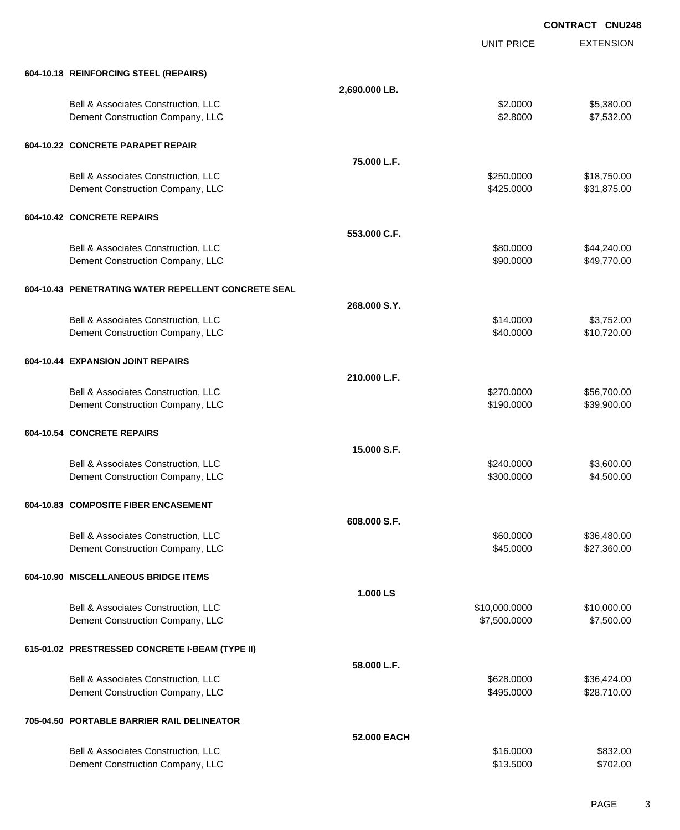EXTENSION **CONTRACT CNU248** UNIT PRICE **604-10.18 REINFORCING STEEL (REPAIRS) 2,690.000 LB.** Bell & Associates Construction, LLC 6 and the state of the state of the state of the state of the state of the state of the state of the state of the state of the state of the state of the state of the state of the state o Dement Construction Company, LLC 6. The matrix of the state of the state of the state of the state of the state of the state of the state of the state of the state of the state of the state of the state of the state of the **604-10.22 CONCRETE PARAPET REPAIR 75.000 L.F.** Bell & Associates Construction, LLC 6. The Construction of the Construction, LLC 6. The Construction, LLC 6. The Construction of the Construction of the Construction of the Construction of the Construction of the Construct Dement Construction Company, LLC **but a set of the set of the set of the set of the set of the set of the set of the set of the set of the set of the set of the set of the set of the set of the set of the set of the set of 604-10.42 CONCRETE REPAIRS 553.000 C.F.** Bell & Associates Construction, LLC 60000 \$44,240.00 Dement Construction Company, LLC **but a set of the set of the set of the set of the set of the set of the set of the set of the set of the set of the set of the set of the set of the set of the set of the set of the set of 604-10.43 PENETRATING WATER REPELLENT CONCRETE SEAL 268.000 S.Y.** Bell & Associates Construction, LLC 6000 \$3,752.00 Dement Construction Company, LLC **but a set of the set of the set of the set of the set of the set of the set of the set of the set of the set of the set of the set of the set of the set of the set of the set of the set of 604-10.44 EXPANSION JOINT REPAIRS 210.000 L.F.** Bell & Associates Construction, LLC 6.6 and 556,700.00 \$56,700.00 Dement Construction Company, LLC 6 and the state of the state of the state  $$190.0000$  \$39,900.00 **604-10.54 CONCRETE REPAIRS 15.000 S.F.** Bell & Associates Construction, LLC 60000 \$3,600.00 Dement Construction Company, LLC 6 and the state of the state of the state  $$300.0000$  \$4,500.000 **604-10.83 COMPOSITE FIBER ENCASEMENT 608.000 S.F.** Bell & Associates Construction, LLC 60000 \$36,480.00 Dement Construction Company, LLC 6 and the state of the state of the state of the state of the state of the state of the state of the state of the state of the state of the state of the state of the state of the state of t **604-10.90 MISCELLANEOUS BRIDGE ITEMS 1.000 LS** Bell & Associates Construction, LLC 6000000 \$10,000.000 \$10,000.000 \$10,000.000 Dement Construction Company, LLC 60000 \$7,500.000 \$7,500.000 \$7,500.000 \$7,500.000 **615-01.02 PRESTRESSED CONCRETE I-BEAM (TYPE II) 58.000 L.F.** Bell & Associates Construction, LLC 6628.0000 \$36,424.00 Dement Construction Company, LLC 6 and the state of the state of the state  $$495.0000$  \$28,710.00 **705-04.50 PORTABLE BARRIER RAIL DELINEATOR 52.000 EACH** Bell & Associates Construction, LLC 6832.00

Dement Construction Company, LLC **\$13.5000** \$702.00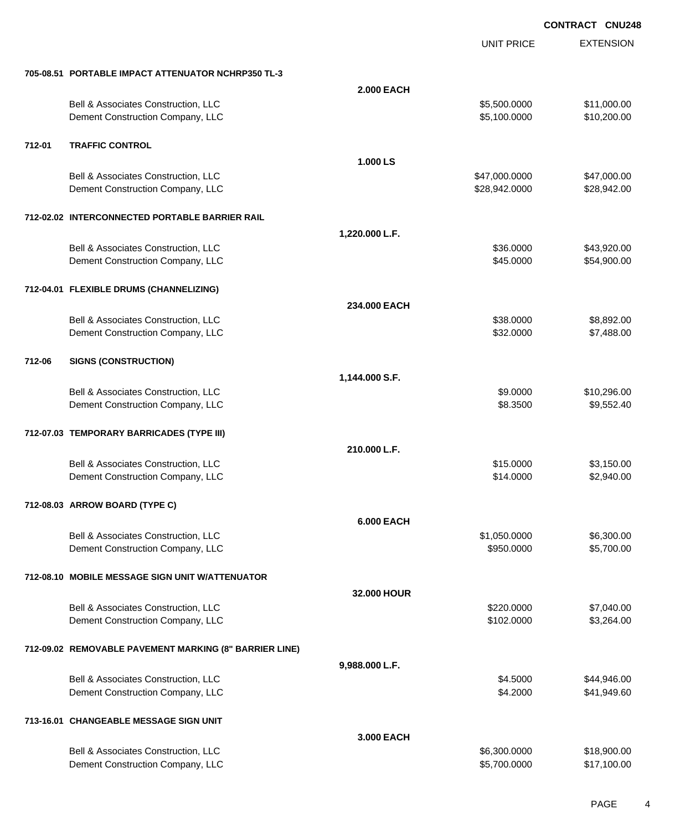|        |                                                                         |                   | <b>UNIT PRICE</b>            | <b>EXTENSION</b>           |
|--------|-------------------------------------------------------------------------|-------------------|------------------------------|----------------------------|
|        | 705-08.51 PORTABLE IMPACT ATTENUATOR NCHRP350 TL-3                      |                   |                              |                            |
|        |                                                                         | <b>2.000 EACH</b> |                              |                            |
|        | Bell & Associates Construction, LLC<br>Dement Construction Company, LLC |                   | \$5,500.0000<br>\$5,100.0000 | \$11,000.00<br>\$10,200.00 |
| 712-01 | <b>TRAFFIC CONTROL</b>                                                  |                   |                              |                            |
|        |                                                                         | 1.000 LS          |                              |                            |
|        | Bell & Associates Construction, LLC                                     |                   | \$47,000.0000                | \$47,000.00                |
|        | Dement Construction Company, LLC                                        |                   | \$28,942.0000                | \$28,942.00                |
|        | 712-02.02 INTERCONNECTED PORTABLE BARRIER RAIL                          |                   |                              |                            |
|        |                                                                         | 1,220.000 L.F.    |                              |                            |
|        | Bell & Associates Construction, LLC                                     |                   | \$36.0000                    | \$43,920.00                |
|        | Dement Construction Company, LLC                                        |                   | \$45.0000                    | \$54,900.00                |
|        | 712-04.01 FLEXIBLE DRUMS (CHANNELIZING)                                 |                   |                              |                            |
|        |                                                                         | 234.000 EACH      |                              |                            |
|        | Bell & Associates Construction, LLC                                     |                   | \$38.0000                    | \$8,892.00                 |
|        | Dement Construction Company, LLC                                        |                   | \$32.0000                    | \$7,488.00                 |
| 712-06 | <b>SIGNS (CONSTRUCTION)</b>                                             |                   |                              |                            |
|        |                                                                         | 1,144.000 S.F.    |                              |                            |
|        | Bell & Associates Construction, LLC                                     |                   | \$9.0000                     | \$10,296.00                |
|        | Dement Construction Company, LLC                                        |                   | \$8.3500                     | \$9,552.40                 |
|        | 712-07.03 TEMPORARY BARRICADES (TYPE III)                               |                   |                              |                            |
|        |                                                                         | 210.000 L.F.      |                              |                            |
|        | Bell & Associates Construction, LLC                                     |                   | \$15.0000                    | \$3,150.00                 |
|        | Dement Construction Company, LLC                                        |                   | \$14.0000                    | \$2,940.00                 |
|        | 712-08.03 ARROW BOARD (TYPE C)                                          |                   |                              |                            |
|        |                                                                         | <b>6.000 EACH</b> |                              |                            |
|        | Bell & Associates Construction, LLC                                     |                   | \$1,050.0000                 | \$6,300.00                 |
|        | Dement Construction Company, LLC                                        |                   | \$950.0000                   | \$5,700.00                 |
|        | 712-08.10 MOBILE MESSAGE SIGN UNIT W/ATTENUATOR                         |                   |                              |                            |
|        |                                                                         | 32.000 HOUR       |                              |                            |
|        | Bell & Associates Construction, LLC                                     |                   | \$220.0000                   | \$7,040.00                 |
|        | Dement Construction Company, LLC                                        |                   | \$102.0000                   | \$3,264.00                 |
|        | 712-09.02 REMOVABLE PAVEMENT MARKING (8" BARRIER LINE)                  |                   |                              |                            |
|        |                                                                         | 9,988.000 L.F.    |                              |                            |
|        | Bell & Associates Construction, LLC                                     |                   | \$4.5000                     | \$44,946.00                |
|        | Dement Construction Company, LLC                                        |                   | \$4.2000                     | \$41,949.60                |
|        | 713-16.01 CHANGEABLE MESSAGE SIGN UNIT                                  |                   |                              |                            |
|        |                                                                         | 3.000 EACH        |                              |                            |
|        | Bell & Associates Construction, LLC                                     |                   | \$6,300.0000                 | \$18,900.00                |
|        | Dement Construction Company, LLC                                        |                   | \$5,700.0000                 | \$17,100.00                |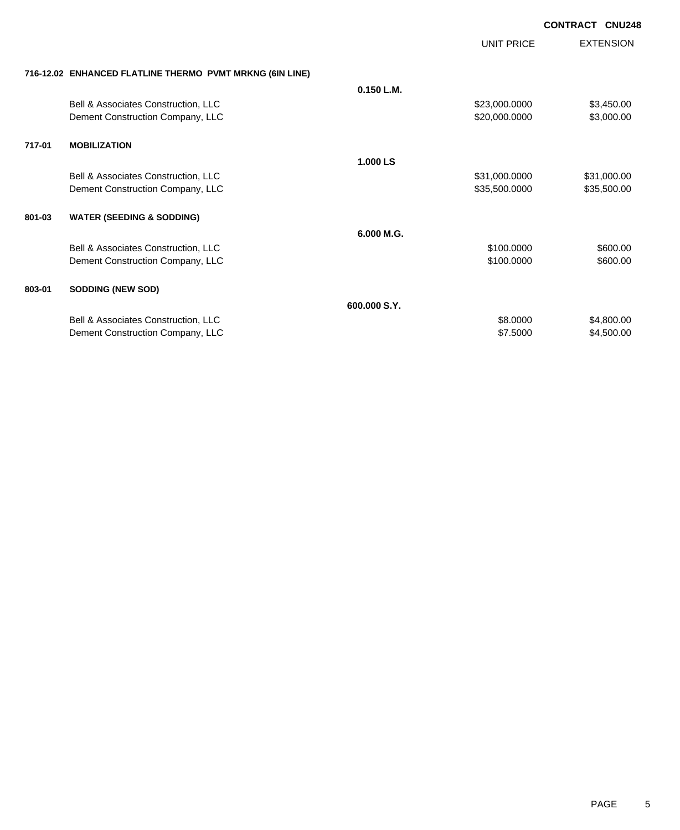EXTENSION **CONTRACT CNU248**

UNIT PRICE

| 716-12.02 ENHANCED FLATLINE THERMO PVMT MRKNG (6IN LINE) |  |  |
|----------------------------------------------------------|--|--|
|                                                          |  |  |

|                                                | $0.150$ L.M.                        |               |                                                              |
|------------------------------------------------|-------------------------------------|---------------|--------------------------------------------------------------|
| <b>Bell &amp; Associates Construction, LLC</b> |                                     | \$23,000.0000 | \$3,450.00                                                   |
| Dement Construction Company, LLC               |                                     | \$20,000.0000 | \$3,000.00                                                   |
| <b>MOBILIZATION</b>                            |                                     |               |                                                              |
|                                                | 1.000 LS                            |               |                                                              |
| Bell & Associates Construction, LLC            |                                     | \$31,000.0000 | \$31,000.00                                                  |
| Dement Construction Company, LLC               |                                     | \$35,500.0000 | \$35,500.00                                                  |
| <b>WATER (SEEDING &amp; SODDING)</b>           |                                     |               |                                                              |
|                                                | 6.000 M.G.                          |               |                                                              |
| <b>Bell &amp; Associates Construction, LLC</b> |                                     | \$100.0000    | \$600.00                                                     |
| Dement Construction Company, LLC               |                                     | \$100.0000    | \$600.00                                                     |
| <b>SODDING (NEW SOD)</b>                       |                                     |               |                                                              |
|                                                | 600,000 S.Y.                        |               |                                                              |
|                                                |                                     | \$8.0000      | \$4,800.00                                                   |
| Dement Construction Company, LLC               |                                     | \$7.5000      | \$4,500.00                                                   |
|                                                | Bell & Associates Construction, LLC |               | THE MINIMULE OF THE MILLING THE THE THE THE MILLING ON LINE. |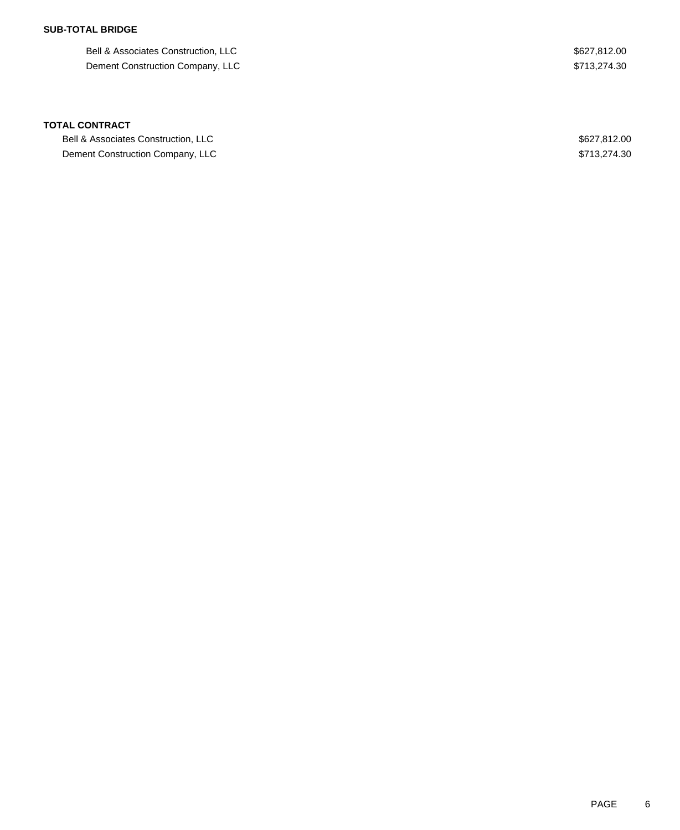## **SUB-TOTAL BRIDGE**

Bell & Associates Construction, LLC  $$627,812.00$ Dement Construction Company, LLC  $$713,274.30$ 

#### **TOTAL CONTRACT**

Bell & Associates Construction, LLC  $$627,812.00$ Dement Construction Company, LLC  $$713,274.30$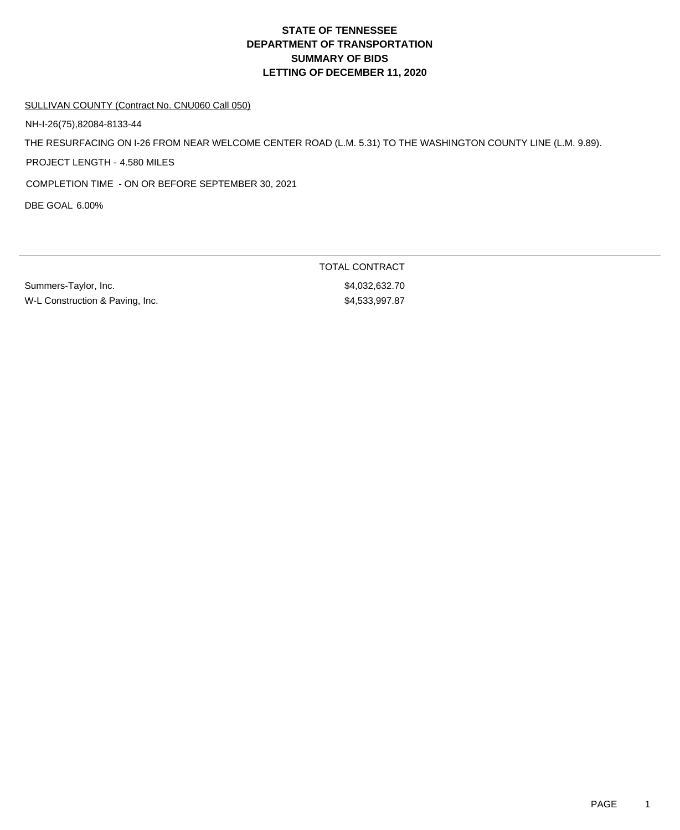# **DEPARTMENT OF TRANSPORTATION SUMMARY OF BIDS LETTING OF DECEMBER 11, 2020 STATE OF TENNESSEE**

#### SULLIVAN COUNTY (Contract No. CNU060 Call 050)

NH-I-26(75),82084-8133-44

THE RESURFACING ON I-26 FROM NEAR WELCOME CENTER ROAD (L.M. 5.31) TO THE WASHINGTON COUNTY LINE (L.M. 9.89).

PROJECT LENGTH - 4.580 MILES

COMPLETION TIME - ON OR BEFORE SEPTEMBER 30, 2021

DBE GOAL 6.00%

Summers-Taylor, Inc. 632.70 W-L Construction & Paving, Inc. 6. The State of the State of S4,533,997.87

TOTAL CONTRACT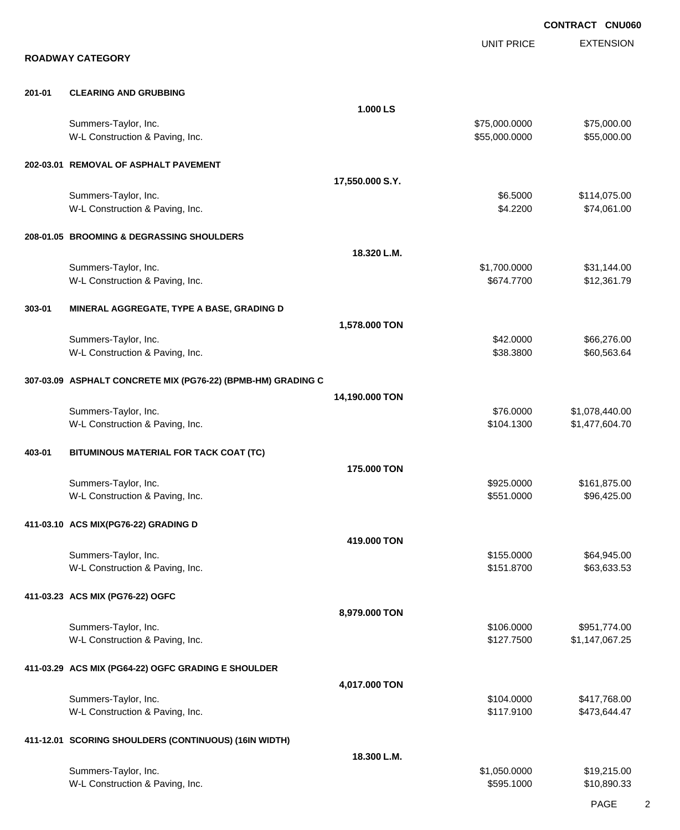EXTENSION **CONTRACT CNU060** UNIT PRICE **ROADWAY CATEGORY 201-01 CLEARING AND GRUBBING 1.000 LS** Summers-Taylor, Inc. \$75,000.000 \$75,000.000 \$75,000.000 \$75,000.000 \$75,000.000 \$75,000.00 W-L Construction & Paving, Inc. 6. The Construction & Paving, Inc. 6. The Construction & Paving, Inc. 6. The Construction of the Construction of the Construction of the Construction of the Construction of the Construction **202-03.01 REMOVAL OF ASPHALT PAVEMENT 17,550.000 S.Y.** Summers-Taylor, Inc. \$6.5000 \$114,075.00 W-L Construction & Paving, Inc. 6. 2200 \$74,061.00 **208-01.05 BROOMING & DEGRASSING SHOULDERS 18.320 L.M.** Summers-Taylor, Inc. \$1,700.0000 \$31,144.00 W-L Construction & Paving, Inc. 6. The Construction & Paving, Inc. 6. The Construction & Paving, Inc. 6. The Construction & Paving, Inc. 6. The Construction & Paving, Inc. 6. The Construction & Paving, Inc. 6. The Construc **303-01 MINERAL AGGREGATE, TYPE A BASE, GRADING D 1,578.000 TON** Summers-Taylor, Inc. \$42.0000 \$66,276.00 W-L Construction & Paving, Inc. 6. The Construction & Paving, Inc. \$38.3800 \$60,563.64 **307-03.09 ASPHALT CONCRETE MIX (PG76-22) (BPMB-HM) GRADING C 14,190.000 TON** Summers-Taylor, Inc. \$76.0000 \$1,078,440.00 W-L Construction & Paving, Inc. 69 and the construction & Paving, Inc. 69 and the construction & Paving, Inc. 604.70 **403-01 BITUMINOUS MATERIAL FOR TACK COAT (TC) 175.000 TON** Summers-Taylor, Inc. 6. The Summers-Taylor, Inc. 6. The Summers-Taylor, Inc. 6. The Summers-Taylor, Inc. 6. The Summers-Taylor, Inc. 6. The Summers-Taylor, Inc. 6. The Summers-Taylor, Inc. 6. The Summers-Taylor, Inc. 6. Th W-L Construction & Paving, Inc. 6. The Construction & Paving, Inc. 6. The Construction & Paving, Inc. 6. The Construction & Paving, Inc. 6. The Construction & Paving, Inc. 6. The Construction & Paving, Inc. 6. The Construc **411-03.10 ACS MIX(PG76-22) GRADING D 419.000 TON** Summers-Taylor, Inc. \$64,945.00 \$64,945.00 \$64,945.00 \$64,945.00 \$64,945.00 \$64,945.00 \$64,945.00 \$64,945.00 \$ W-L Construction & Paving, Inc. 663,633.53 **411-03.23 ACS MIX (PG76-22) OGFC 8,979.000 TON** Summers-Taylor, Inc. \$106.0000 \$951,774.00 W-L Construction & Paving, Inc. 67.25 (1992) 12:35 (1993) 12:35 (1994) 12:35 (1994) 12:35 (1994) 12:35 (1994) 12:35 (1995) 12:35 (1997) 12:35 (1997) 13:35 (1997) 13:35 (1997) 13:35 (1997) 13:35 (1997) 13:35 (1997) 13:35 (1 **411-03.29 ACS MIX (PG64-22) OGFC GRADING E SHOULDER 4,017.000 TON** Summers-Taylor, Inc. \$104.0000 \$417,768.00 W-L Construction & Paving, Inc. 6. The Construction & Paving, Inc. 6. The Construction & Paving, Inc. 6. The Construction & Paving, Inc. 6. The Construction & Paving, Inc. 6. The Construction & Paving, Inc. 6. The Construc **411-12.01 SCORING SHOULDERS (CONTINUOUS) (16IN WIDTH) 18.300 L.M.** Summers-Taylor, Inc. \$1,050.0000 \$1,050.0000 \$1,050.000 \$1,050.000 \$19,215.00 W-L Construction & Paving, Inc. 6. The Construction & Paving, Inc. \$595.1000 \$10,890.33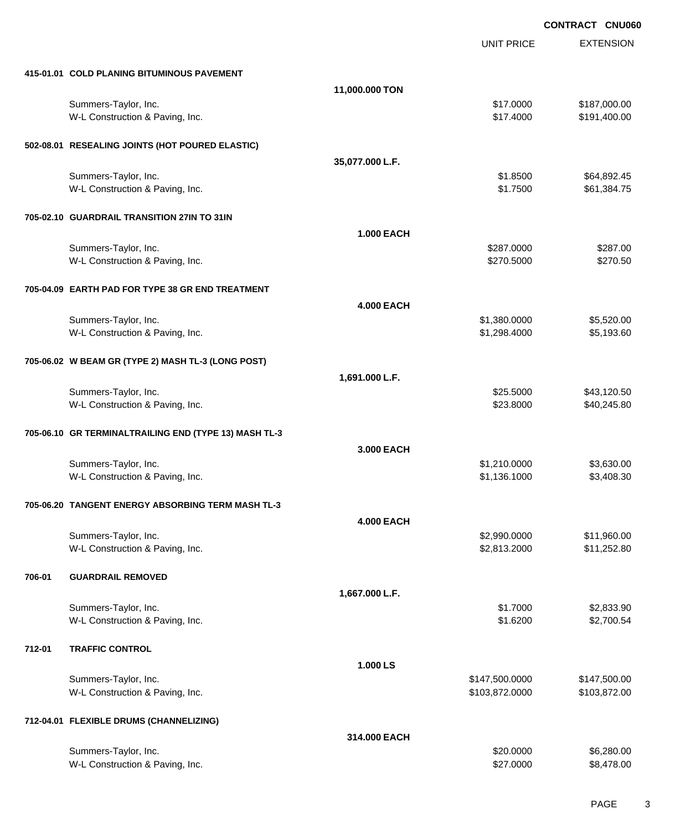EXTENSION **CONTRACT CNU060** UNIT PRICE **415-01.01 COLD PLANING BITUMINOUS PAVEMENT 11,000.000 TON** Summers-Taylor, Inc. \$187,000.00 \$187,000.00 \$187,000.00 \$187,000.00 \$187,000.00 \$187,000.00 \$187,000.00 \$187,000 W-L Construction & Paving, Inc. 6. The Construction & Paving, Inc. 6. The Construction & Paving, Inc. 6. The Construction of the Construction & Paving, Inc. 6. The Construction of the Construction of the Construction of th **502-08.01 RESEALING JOINTS (HOT POURED ELASTIC) 35,077.000 L.F.** Summers-Taylor, Inc. \$64,892.45 W-L Construction & Paving, Inc. 6. The Construction & Paving, Inc. 6. The Construction & Paving, Inc. 6. The Construction & Paving, Inc. 6. The Construction & Paving, Inc. 6. The Construction & Paving, Inc. 6. The Construc **705-02.10 GUARDRAIL TRANSITION 27IN TO 31IN 1.000 EACH** Summers-Taylor, Inc. \$287.000 \$287.000 \$287.000 \$287.000 \$287.000 \$287.000 \$287.000 \$287.00 \$287.00 \$287.00 \$2 W-L Construction & Paving, Inc. 6. The Construction & Paving, Inc. 6. The Construction & Paving, Inc. 6. The Construction of the Construction of the Construction of the Construction of the Construction of the Construction **705-04.09 EARTH PAD FOR TYPE 38 GR END TREATMENT 4.000 EACH** Summers-Taylor, Inc. \$1,380.0000 \$5,520.00 W-L Construction & Paving, Inc. 6. The Construction & Paving, Inc. \$1,298.4000 \$5,193.60 **705-06.02 W BEAM GR (TYPE 2) MASH TL-3 (LONG POST) 1,691.000 L.F.** Summers-Taylor, Inc. \$25.5000 \$43,120.50 W-L Construction & Paving, Inc. 6. The Construction & Paving, Inc. \$23.8000 \$40,245.80 **705-06.10 GR TERMINALTRAILING END (TYPE 13) MASH TL-3 3.000 EACH** Summers-Taylor, Inc. \$1,630.00 \$3,630.00 W-L Construction & Paving, Inc. 6. The Construction & Paving, Inc. \$1,136.1000 \$3,408.30 **705-06.20 TANGENT ENERGY ABSORBING TERM MASH TL-3 4.000 EACH** Summers-Taylor, Inc. \$2,990.0000 \$11,960.00 W-L Construction & Paving, Inc. 6. 2010 12:52:80 \$2,813.2000 \$11,252.80 **706-01 GUARDRAIL REMOVED 1,667.000 L.F.** Summers-Taylor, Inc. \$1.7000 \$2,833.90 W-L Construction & Paving, Inc. 6. The Construction & Paving, Inc. 6. The Construction & Paving, Inc. 6. The Construction of the Construction of the Construction of the Construction of the Construction of the Construction **712-01 TRAFFIC CONTROL 1.000 LS** Summers-Taylor, Inc. 6. 2012. The state of the state of the state of the state of the state of the state of the state of the state of the state of the state of the state of the state of the state of the state of the state W-L Construction & Paving, Inc. 6. The Construction & Paving, Inc. \$103,872.000 \$103,872.000 \$103,872.000 \$103,872.00 **712-04.01 FLEXIBLE DRUMS (CHANNELIZING) 314.000 EACH** Summers-Taylor, Inc. \$20.000 \$6,280.00 W-L Construction & Paving, Inc. 6. The Construction & Paving, Inc. 6. The Construction & Paving, Inc. 6. The Construction of the Construction of the Construction of the Construction of the Construction of the Construction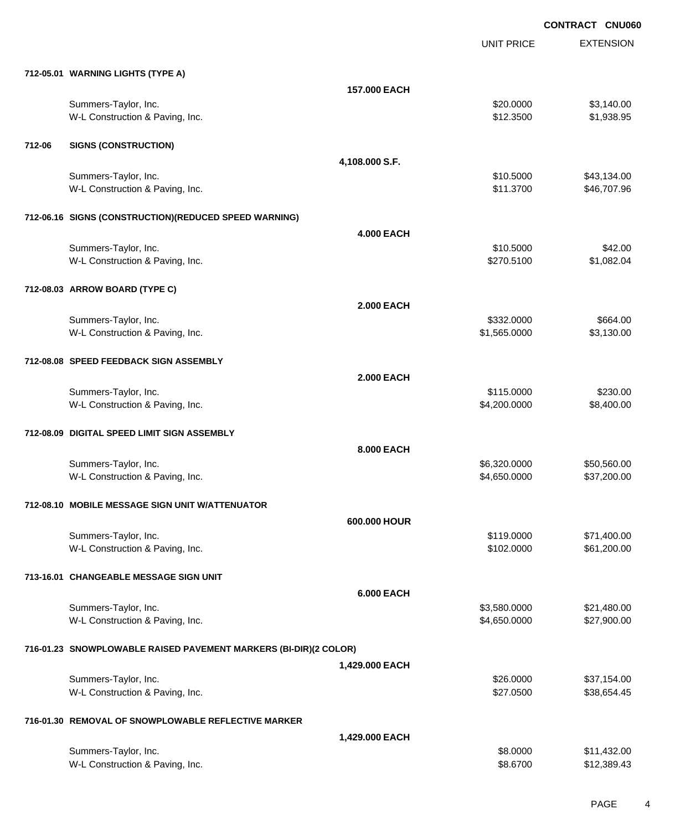UNIT PRICE

EXTENSION

|        | 712-05.01 WARNING LIGHTS (TYPE A)                                |                   |                         |                       |
|--------|------------------------------------------------------------------|-------------------|-------------------------|-----------------------|
|        |                                                                  | 157.000 EACH      |                         |                       |
|        | Summers-Taylor, Inc.                                             |                   | \$20.0000               | \$3,140.00            |
|        | W-L Construction & Paving, Inc.                                  |                   | \$12.3500               | \$1,938.95            |
|        |                                                                  |                   |                         |                       |
| 712-06 | <b>SIGNS (CONSTRUCTION)</b>                                      |                   |                         |                       |
|        |                                                                  | 4,108.000 S.F.    |                         |                       |
|        | Summers-Taylor, Inc.                                             |                   | \$10.5000               | \$43,134.00           |
|        | W-L Construction & Paving, Inc.                                  |                   | \$11.3700               | \$46,707.96           |
|        |                                                                  |                   |                         |                       |
|        | 712-06.16 SIGNS (CONSTRUCTION)(REDUCED SPEED WARNING)            |                   |                         |                       |
|        |                                                                  | <b>4.000 EACH</b> |                         |                       |
|        | Summers-Taylor, Inc.<br>W-L Construction & Paving, Inc.          |                   | \$10.5000<br>\$270.5100 | \$42.00<br>\$1,082.04 |
|        |                                                                  |                   |                         |                       |
|        | 712-08.03 ARROW BOARD (TYPE C)                                   |                   |                         |                       |
|        |                                                                  | <b>2.000 EACH</b> |                         |                       |
|        | Summers-Taylor, Inc.                                             |                   | \$332.0000              | \$664.00              |
|        | W-L Construction & Paving, Inc.                                  |                   | \$1,565.0000            | \$3,130.00            |
|        |                                                                  |                   |                         |                       |
|        | 712-08.08 SPEED FEEDBACK SIGN ASSEMBLY                           |                   |                         |                       |
|        |                                                                  | <b>2.000 EACH</b> |                         |                       |
|        | Summers-Taylor, Inc.                                             |                   | \$115.0000              | \$230.00              |
|        | W-L Construction & Paving, Inc.                                  |                   | \$4,200.0000            | \$8,400.00            |
|        |                                                                  |                   |                         |                       |
|        | 712-08.09 DIGITAL SPEED LIMIT SIGN ASSEMBLY                      |                   |                         |                       |
|        |                                                                  | 8.000 EACH        |                         |                       |
|        | Summers-Taylor, Inc.                                             |                   | \$6,320.0000            | \$50,560.00           |
|        | W-L Construction & Paving, Inc.                                  |                   | \$4,650.0000            | \$37,200.00           |
|        | 712-08.10 MOBILE MESSAGE SIGN UNIT W/ATTENUATOR                  |                   |                         |                       |
|        |                                                                  |                   |                         |                       |
|        | Summers-Taylor, Inc.                                             | 600.000 HOUR      | \$119.0000              | \$71,400.00           |
|        | W-L Construction & Paving, Inc.                                  |                   | \$102.0000              | \$61,200.00           |
|        |                                                                  |                   |                         |                       |
|        | 713-16.01 CHANGEABLE MESSAGE SIGN UNIT                           |                   |                         |                       |
|        |                                                                  | <b>6.000 EACH</b> |                         |                       |
|        | Summers-Taylor, Inc.                                             |                   | \$3,580.0000            | \$21,480.00           |
|        | W-L Construction & Paving, Inc.                                  |                   | \$4,650.0000            | \$27,900.00           |
|        |                                                                  |                   |                         |                       |
|        | 716-01.23 SNOWPLOWABLE RAISED PAVEMENT MARKERS (BI-DIR)(2 COLOR) |                   |                         |                       |
|        |                                                                  | 1,429.000 EACH    |                         |                       |
|        | Summers-Taylor, Inc.                                             |                   | \$26.0000               | \$37,154.00           |
|        | W-L Construction & Paving, Inc.                                  |                   | \$27.0500               | \$38,654.45           |
|        |                                                                  |                   |                         |                       |
|        | 716-01.30 REMOVAL OF SNOWPLOWABLE REFLECTIVE MARKER              |                   |                         |                       |
|        |                                                                  | 1,429.000 EACH    |                         |                       |
|        | Summers-Taylor, Inc.                                             |                   | \$8.0000                | \$11,432.00           |
|        | W-L Construction & Paving, Inc.                                  |                   | \$8.6700                | \$12,389.43           |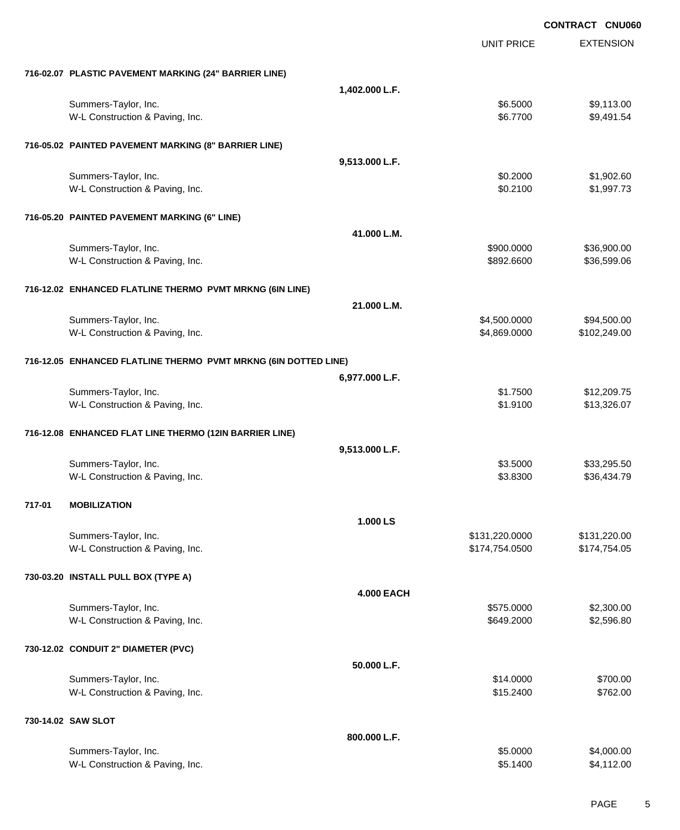|        |                                                                 |                   |                          | <b>CONTRACT CNU060</b>     |
|--------|-----------------------------------------------------------------|-------------------|--------------------------|----------------------------|
|        |                                                                 |                   | <b>UNIT PRICE</b>        | <b>EXTENSION</b>           |
|        | 716-02.07 PLASTIC PAVEMENT MARKING (24" BARRIER LINE)           |                   |                          |                            |
|        |                                                                 | 1,402.000 L.F.    |                          |                            |
|        | Summers-Taylor, Inc.                                            |                   | \$6.5000                 | \$9,113.00                 |
|        | W-L Construction & Paving, Inc.                                 |                   | \$6.7700                 | \$9,491.54                 |
|        | 716-05.02 PAINTED PAVEMENT MARKING (8" BARRIER LINE)            |                   |                          |                            |
|        |                                                                 | 9,513.000 L.F.    |                          |                            |
|        | Summers-Taylor, Inc.                                            |                   | \$0.2000                 | \$1,902.60                 |
|        | W-L Construction & Paving, Inc.                                 |                   | \$0.2100                 | \$1,997.73                 |
|        | 716-05.20 PAINTED PAVEMENT MARKING (6" LINE)                    |                   |                          |                            |
|        |                                                                 | 41.000 L.M.       |                          |                            |
|        | Summers-Taylor, Inc.                                            |                   | \$900.0000<br>\$892.6600 | \$36,900.00<br>\$36,599.06 |
|        | W-L Construction & Paving, Inc.                                 |                   |                          |                            |
|        | 716-12.02 ENHANCED FLATLINE THERMO PVMT MRKNG (6IN LINE)        |                   |                          |                            |
|        |                                                                 | 21.000 L.M.       |                          |                            |
|        | Summers-Taylor, Inc.                                            |                   | \$4,500.0000             | \$94,500.00                |
|        | W-L Construction & Paving, Inc.                                 |                   | \$4,869.0000             | \$102,249.00               |
|        | 716-12.05 ENHANCED FLATLINE THERMO PVMT MRKNG (6IN DOTTED LINE) |                   |                          |                            |
|        |                                                                 | 6,977.000 L.F.    |                          |                            |
|        | Summers-Taylor, Inc.                                            |                   | \$1.7500                 | \$12,209.75                |
|        | W-L Construction & Paving, Inc.                                 |                   | \$1.9100                 | \$13,326.07                |
|        | 716-12.08 ENHANCED FLAT LINE THERMO (12IN BARRIER LINE)         |                   |                          |                            |
|        |                                                                 | 9,513.000 L.F.    |                          |                            |
|        | Summers-Taylor, Inc.                                            |                   | \$3.5000                 | \$33,295.50                |
|        | W-L Construction & Paving, Inc.                                 |                   | \$3.8300                 | \$36,434.79                |
| 717-01 | <b>MOBILIZATION</b>                                             |                   |                          |                            |
|        |                                                                 | 1.000 LS          |                          |                            |
|        | Summers-Taylor, Inc.                                            |                   | \$131,220.0000           | \$131,220.00               |
|        | W-L Construction & Paving, Inc.                                 |                   | \$174,754.0500           | \$174,754.05               |
|        | 730-03.20 INSTALL PULL BOX (TYPE A)                             |                   |                          |                            |
|        |                                                                 | <b>4.000 EACH</b> |                          |                            |
|        | Summers-Taylor, Inc.                                            |                   | \$575.0000               | \$2,300.00                 |
|        | W-L Construction & Paving, Inc.                                 |                   | \$649.2000               | \$2,596.80                 |
|        | 730-12.02 CONDUIT 2" DIAMETER (PVC)                             |                   |                          |                            |
|        |                                                                 | 50.000 L.F.       |                          |                            |
|        | Summers-Taylor, Inc.                                            |                   | \$14.0000                | \$700.00                   |
|        | W-L Construction & Paving, Inc.                                 |                   | \$15.2400                | \$762.00                   |
|        | 730-14.02 SAW SLOT                                              |                   |                          |                            |
|        |                                                                 | 800.000 L.F.      |                          |                            |
|        | Summers-Taylor, Inc.                                            |                   | \$5.0000                 | \$4,000.00                 |
|        | W-L Construction & Paving, Inc.                                 |                   | \$5.1400                 | \$4,112.00                 |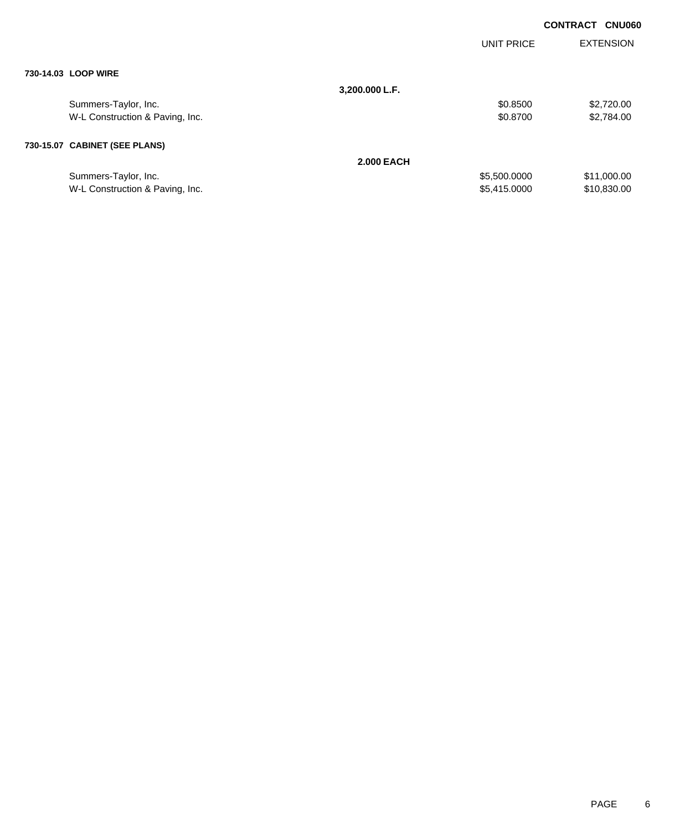|                                 |                   |                   | <b>CONTRACT</b> | <b>CNU060</b>    |
|---------------------------------|-------------------|-------------------|-----------------|------------------|
|                                 |                   | <b>UNIT PRICE</b> |                 | <b>EXTENSION</b> |
| 730-14.03 LOOP WIRE             |                   |                   |                 |                  |
|                                 | 3,200.000 L.F.    |                   |                 |                  |
| Summers-Taylor, Inc.            |                   | \$0.8500          |                 | \$2,720.00       |
| W-L Construction & Paving, Inc. |                   | \$0.8700          |                 | \$2,784.00       |
| 730-15.07 CABINET (SEE PLANS)   |                   |                   |                 |                  |
|                                 | <b>2.000 EACH</b> |                   |                 |                  |
| Summers-Taylor, Inc.            |                   | \$5,500.0000      |                 | \$11,000.00      |
| W-L Construction & Paving, Inc. |                   | \$5,415.0000      |                 | \$10,830.00      |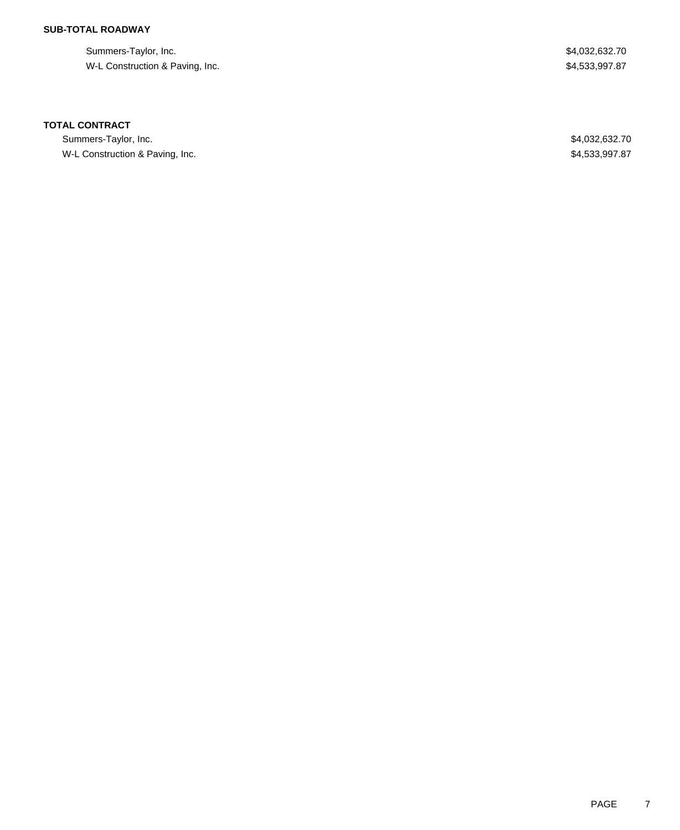## **SUB-TOTAL ROADWAY**

Summers-Taylor, Inc. \$4,032,632.70 W-L Construction & Paving, Inc. 6. The Second Second Studies of the Second Studies of S4,533,997.87

### **TOTAL CONTRACT**

Summers-Taylor, Inc. \$4,032,632.70 W-L Construction & Paving, Inc. 6. The Second Second Second Second Second Second Second Second Second Second Second Second Second Second Second Second Second Second Second Second Second Second Second Second Second Second S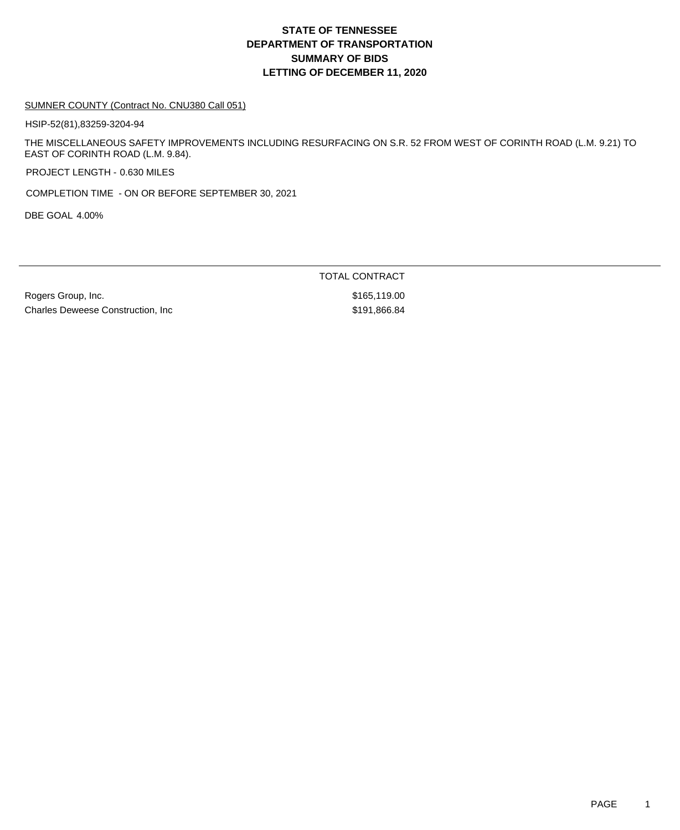## **DEPARTMENT OF TRANSPORTATION SUMMARY OF BIDS LETTING OF DECEMBER 11, 2020 STATE OF TENNESSEE**

#### SUMNER COUNTY (Contract No. CNU380 Call 051)

HSIP-52(81),83259-3204-94

THE MISCELLANEOUS SAFETY IMPROVEMENTS INCLUDING RESURFACING ON S.R. 52 FROM WEST OF CORINTH ROAD (L.M. 9.21) TO EAST OF CORINTH ROAD (L.M. 9.84).

PROJECT LENGTH - 0.630 MILES

COMPLETION TIME - ON OR BEFORE SEPTEMBER 30, 2021

DBE GOAL 4.00%

TOTAL CONTRACT

Rogers Group, Inc. 6. 2010 12:30 12:30 12:30 12:30 12:31 13:32 13:32 14:32 155,119.00 Charles Deweese Construction, Inc  $$191,866.84$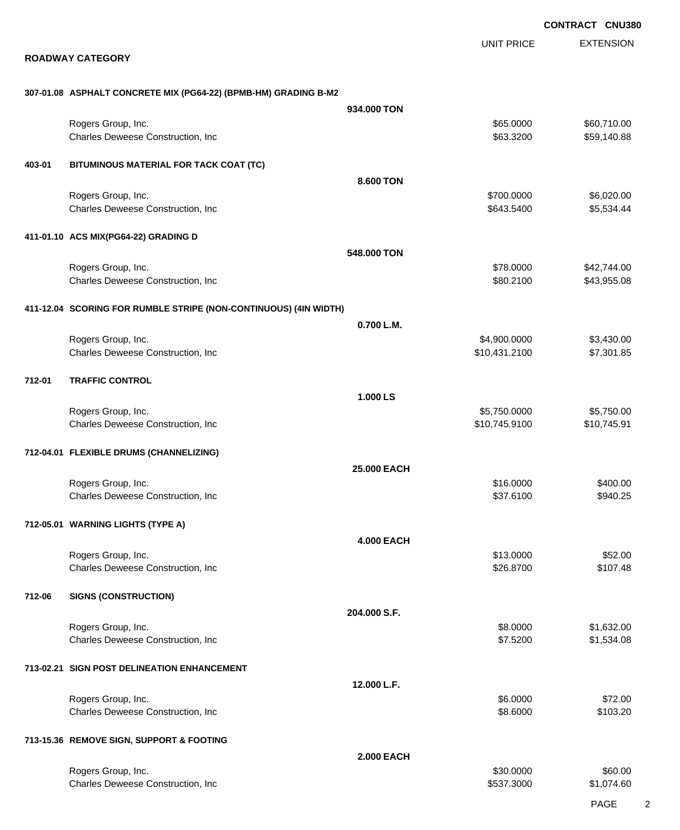EXTENSION UNIT PRICE

### **ROADWAY CATEGORY**

### **307-01.08 ASPHALT CONCRETE MIX (PG64-22) (BPMB-HM) GRADING B-M2**

|        |                                                                  | 934.000 TON       |               |             |
|--------|------------------------------------------------------------------|-------------------|---------------|-------------|
|        | Rogers Group, Inc.                                               |                   | \$65.0000     | \$60,710.00 |
|        | Charles Deweese Construction, Inc                                |                   | \$63.3200     | \$59,140.88 |
|        |                                                                  |                   |               |             |
| 403-01 | BITUMINOUS MATERIAL FOR TACK COAT (TC)                           |                   |               |             |
|        |                                                                  |                   |               |             |
|        |                                                                  | 8.600 TON         |               |             |
|        | Rogers Group, Inc.                                               |                   | \$700.0000    | \$6,020.00  |
|        | Charles Deweese Construction, Inc                                |                   | \$643.5400    | \$5,534.44  |
|        |                                                                  |                   |               |             |
|        | 411-01.10 ACS MIX(PG64-22) GRADING D                             |                   |               |             |
|        |                                                                  | 548.000 TON       |               |             |
|        | Rogers Group, Inc.                                               |                   | \$78.0000     | \$42,744.00 |
|        | Charles Deweese Construction, Inc                                |                   | \$80.2100     | \$43,955.08 |
|        |                                                                  |                   |               |             |
|        |                                                                  |                   |               |             |
|        | 411-12.04 SCORING FOR RUMBLE STRIPE (NON-CONTINUOUS) (4IN WIDTH) |                   |               |             |
|        |                                                                  | 0.700 L.M.        |               |             |
|        | Rogers Group, Inc.                                               |                   | \$4,900.0000  | \$3,430.00  |
|        | Charles Deweese Construction, Inc                                |                   | \$10,431.2100 | \$7,301.85  |
|        |                                                                  |                   |               |             |
|        |                                                                  |                   |               |             |
| 712-01 | <b>TRAFFIC CONTROL</b>                                           |                   |               |             |
|        |                                                                  | 1.000 LS          |               |             |
|        | Rogers Group, Inc.                                               |                   | \$5,750.0000  | \$5,750.00  |
|        | Charles Deweese Construction, Inc                                |                   | \$10,745.9100 | \$10,745.91 |
|        |                                                                  |                   |               |             |
|        | 712-04.01 FLEXIBLE DRUMS (CHANNELIZING)                          |                   |               |             |
|        |                                                                  |                   |               |             |
|        |                                                                  | 25.000 EACH       |               |             |
|        | Rogers Group, Inc.                                               |                   | \$16.0000     | \$400.00    |
|        | Charles Deweese Construction, Inc                                |                   | \$37.6100     | \$940.25    |
|        |                                                                  |                   |               |             |
|        | 712-05.01 WARNING LIGHTS (TYPE A)                                |                   |               |             |
|        |                                                                  |                   |               |             |
|        |                                                                  | <b>4.000 EACH</b> |               |             |
|        | Rogers Group, Inc.                                               |                   | \$13.0000     | \$52.00     |
|        | Charles Deweese Construction, Inc                                |                   | \$26.8700     | \$107.48    |
|        |                                                                  |                   |               |             |
| 712-06 | <b>SIGNS (CONSTRUCTION)</b>                                      |                   |               |             |
|        |                                                                  | 204.000 S.F.      |               |             |
|        | Rogers Group, Inc.                                               |                   | \$8.0000      | \$1,632.00  |
|        | Charles Deweese Construction, Inc                                |                   | \$7.5200      | \$1,534.08  |
|        |                                                                  |                   |               |             |
|        |                                                                  |                   |               |             |
|        | 713-02.21 SIGN POST DELINEATION ENHANCEMENT                      |                   |               |             |
|        |                                                                  | 12.000 L.F.       |               |             |
|        | Rogers Group, Inc.                                               |                   | \$6.0000      | \$72.00     |
|        | Charles Deweese Construction, Inc                                |                   | \$8.6000      | \$103.20    |
|        |                                                                  |                   |               |             |
|        | 713-15.36 REMOVE SIGN, SUPPORT & FOOTING                         |                   |               |             |
|        |                                                                  |                   |               |             |
|        |                                                                  | <b>2.000 EACH</b> |               |             |
|        | Rogers Group, Inc.                                               |                   | \$30.0000     | \$60.00     |
|        | Charles Deweese Construction, Inc                                |                   | \$537.3000    | \$1,074.60  |
|        |                                                                  |                   |               |             |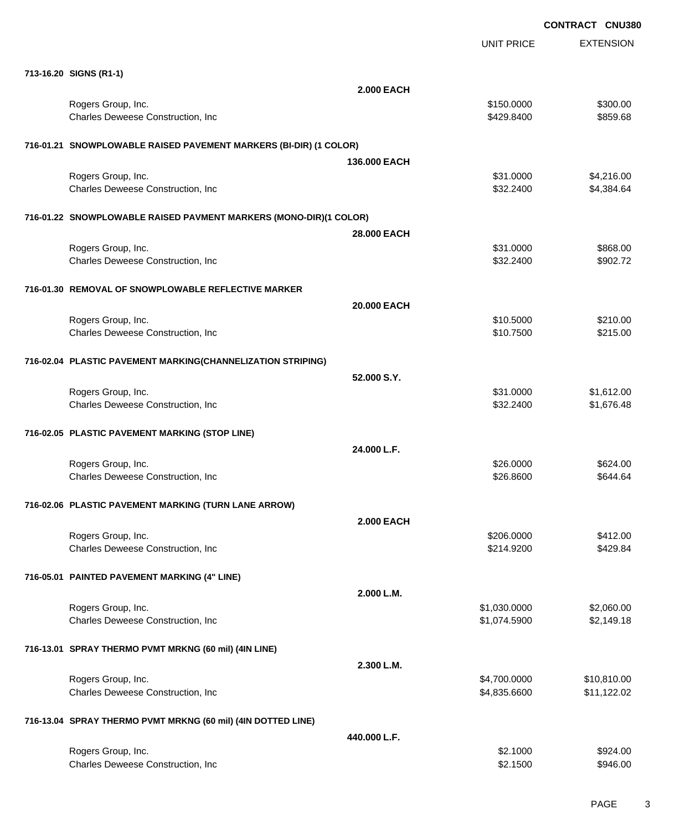|                                                                   |                   | <b>UNIT PRICE</b> | <b>EXTENSION</b> |
|-------------------------------------------------------------------|-------------------|-------------------|------------------|
| 713-16.20 SIGNS (R1-1)                                            |                   |                   |                  |
|                                                                   | <b>2.000 EACH</b> |                   |                  |
| Rogers Group, Inc.                                                |                   | \$150.0000        | \$300.00         |
| Charles Deweese Construction, Inc                                 |                   | \$429.8400        | \$859.68         |
| 716-01.21 SNOWPLOWABLE RAISED PAVEMENT MARKERS (BI-DIR) (1 COLOR) |                   |                   |                  |
|                                                                   | 136.000 EACH      |                   |                  |
| Rogers Group, Inc.                                                |                   | \$31.0000         | \$4,216.00       |
| Charles Deweese Construction, Inc                                 |                   | \$32.2400         | \$4,384.64       |
| 716-01.22 SNOWPLOWABLE RAISED PAVMENT MARKERS (MONO-DIR)(1 COLOR) |                   |                   |                  |
|                                                                   | 28,000 EACH       |                   |                  |
| Rogers Group, Inc.                                                |                   | \$31.0000         | \$868.00         |
| Charles Deweese Construction, Inc                                 |                   | \$32.2400         | \$902.72         |
| 716-01.30 REMOVAL OF SNOWPLOWABLE REFLECTIVE MARKER               |                   |                   |                  |
|                                                                   | 20.000 EACH       |                   |                  |
| Rogers Group, Inc.                                                |                   | \$10.5000         | \$210.00         |
| Charles Deweese Construction, Inc                                 |                   | \$10.7500         | \$215.00         |
| 716-02.04 PLASTIC PAVEMENT MARKING(CHANNELIZATION STRIPING)       |                   |                   |                  |
|                                                                   | 52.000 S.Y.       |                   |                  |
| Rogers Group, Inc.                                                |                   | \$31.0000         | \$1,612.00       |
| Charles Deweese Construction, Inc                                 |                   | \$32.2400         | \$1,676.48       |
| 716-02.05 PLASTIC PAVEMENT MARKING (STOP LINE)                    |                   |                   |                  |
|                                                                   | 24.000 L.F.       |                   |                  |
| Rogers Group, Inc.                                                |                   | \$26.0000         | \$624.00         |
| Charles Deweese Construction, Inc                                 |                   | \$26.8600         | \$644.64         |
| 716-02.06 PLASTIC PAVEMENT MARKING (TURN LANE ARROW)              |                   |                   |                  |
|                                                                   | <b>2.000 EACH</b> |                   |                  |
| Rogers Group, Inc.                                                |                   | \$206.0000        | \$412.00         |
| Charles Deweese Construction, Inc                                 |                   | \$214.9200        | \$429.84         |
| 716-05.01 PAINTED PAVEMENT MARKING (4" LINE)                      |                   |                   |                  |
|                                                                   | 2.000 L.M.        |                   |                  |
| Rogers Group, Inc.                                                |                   | \$1,030.0000      | \$2,060.00       |
| Charles Deweese Construction, Inc                                 |                   | \$1,074.5900      | \$2,149.18       |
| 716-13.01 SPRAY THERMO PVMT MRKNG (60 mil) (4IN LINE)             |                   |                   |                  |
|                                                                   | 2.300 L.M.        |                   |                  |
| Rogers Group, Inc.                                                |                   | \$4,700.0000      | \$10,810.00      |
| Charles Deweese Construction, Inc.                                |                   | \$4,835.6600      | \$11,122.02      |
| 716-13.04 SPRAY THERMO PVMT MRKNG (60 mil) (4IN DOTTED LINE)      |                   |                   |                  |
|                                                                   | 440.000 L.F.      |                   |                  |
| Rogers Group, Inc.                                                |                   | \$2.1000          | \$924.00         |
| Charles Deweese Construction, Inc                                 |                   | \$2.1500          | \$946.00         |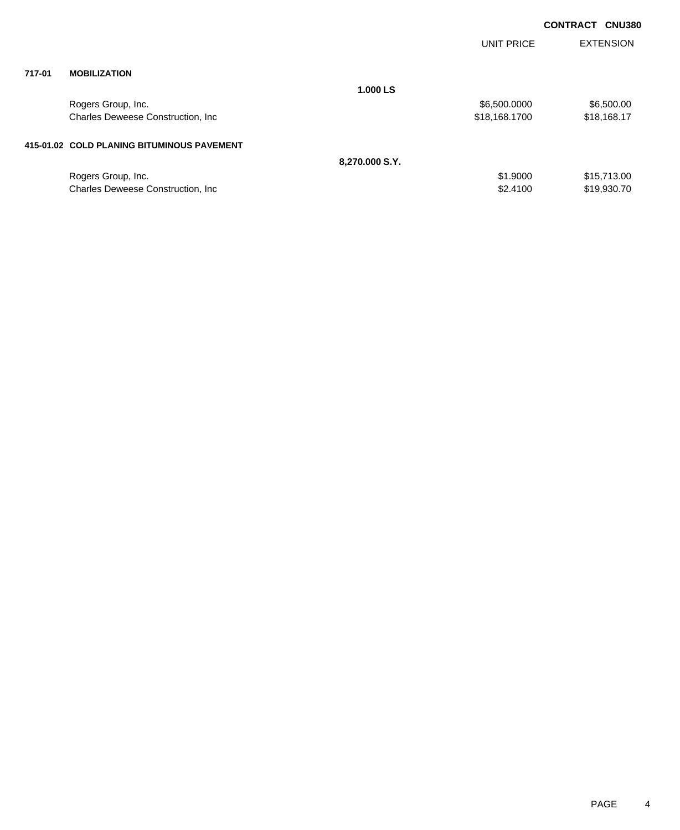|        |                                            |                |                   | <b>CONTRACT</b><br><b>CNU380</b> |
|--------|--------------------------------------------|----------------|-------------------|----------------------------------|
|        |                                            |                | <b>UNIT PRICE</b> | <b>EXTENSION</b>                 |
| 717-01 | <b>MOBILIZATION</b>                        |                |                   |                                  |
|        |                                            | 1.000 LS       |                   |                                  |
|        | Rogers Group, Inc.                         |                | \$6,500.0000      | \$6,500.00                       |
|        | Charles Deweese Construction, Inc.         |                | \$18,168.1700     | \$18,168.17                      |
|        | 415-01.02 COLD PLANING BITUMINOUS PAVEMENT |                |                   |                                  |
|        |                                            | 8,270.000 S.Y. |                   |                                  |
|        | Rogers Group, Inc.                         |                | \$1.9000          | \$15,713.00                      |
|        | Charles Deweese Construction, Inc.         |                | \$2,4100          | \$19,930.70                      |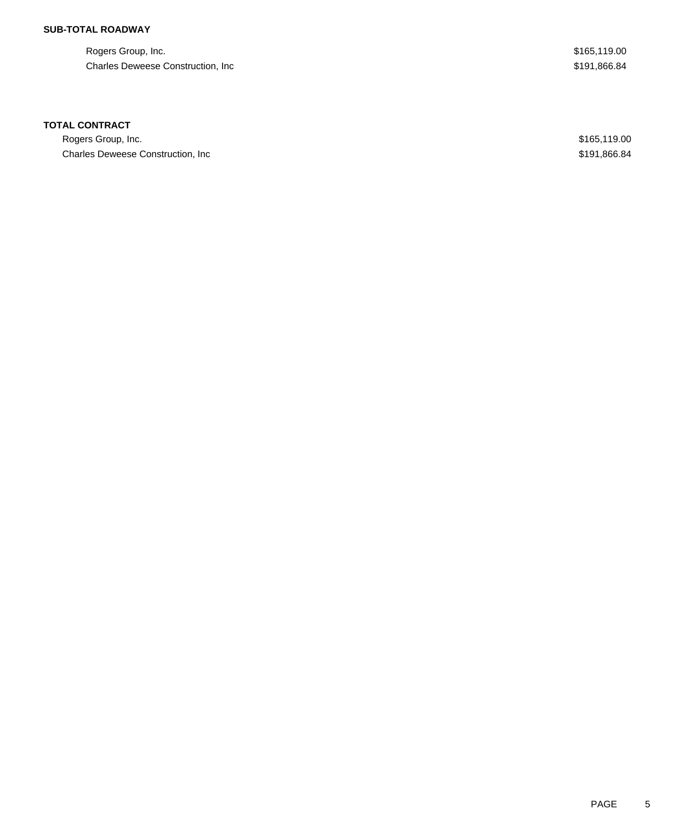## **SUB-TOTAL ROADWAY**

Rogers Group, Inc. \$165,119.00 Charles Deweese Construction, Inc **Example 2018** 2011, 2012 12:34

### **TOTAL CONTRACT**

Rogers Group, Inc. \$165,119.00 Charles Deweese Construction, Inc **Example 2018** 2011, 2012 12:34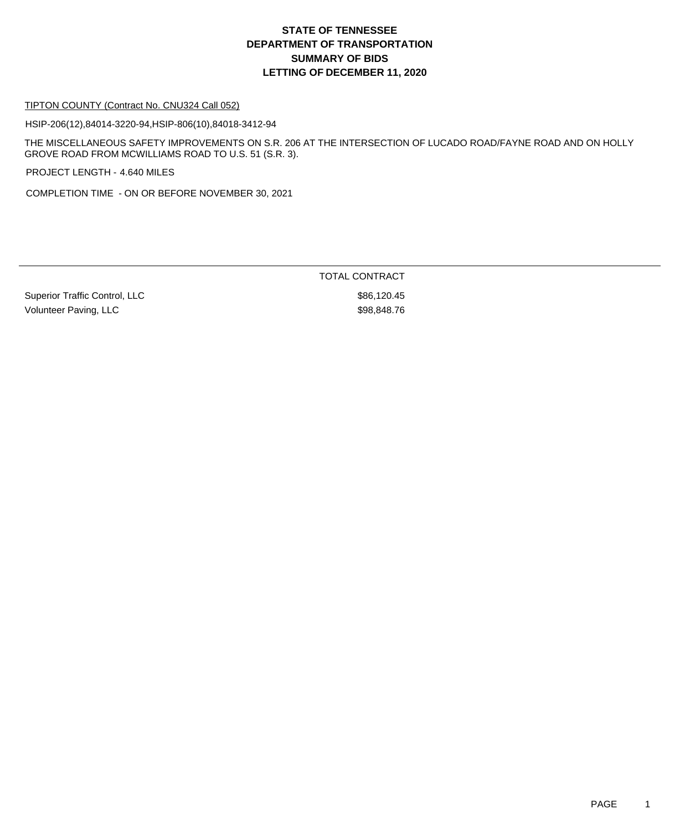## **DEPARTMENT OF TRANSPORTATION SUMMARY OF BIDS LETTING OF DECEMBER 11, 2020 STATE OF TENNESSEE**

#### TIPTON COUNTY (Contract No. CNU324 Call 052)

HSIP-206(12),84014-3220-94,HSIP-806(10),84018-3412-94

THE MISCELLANEOUS SAFETY IMPROVEMENTS ON S.R. 206 AT THE INTERSECTION OF LUCADO ROAD/FAYNE ROAD AND ON HOLLY GROVE ROAD FROM MCWILLIAMS ROAD TO U.S. 51 (S.R. 3).

PROJECT LENGTH - 4.640 MILES

COMPLETION TIME - ON OR BEFORE NOVEMBER 30, 2021

Superior Traffic Control, LLC \$86,120.45 Volunteer Paving, LLC \$98,848.76

TOTAL CONTRACT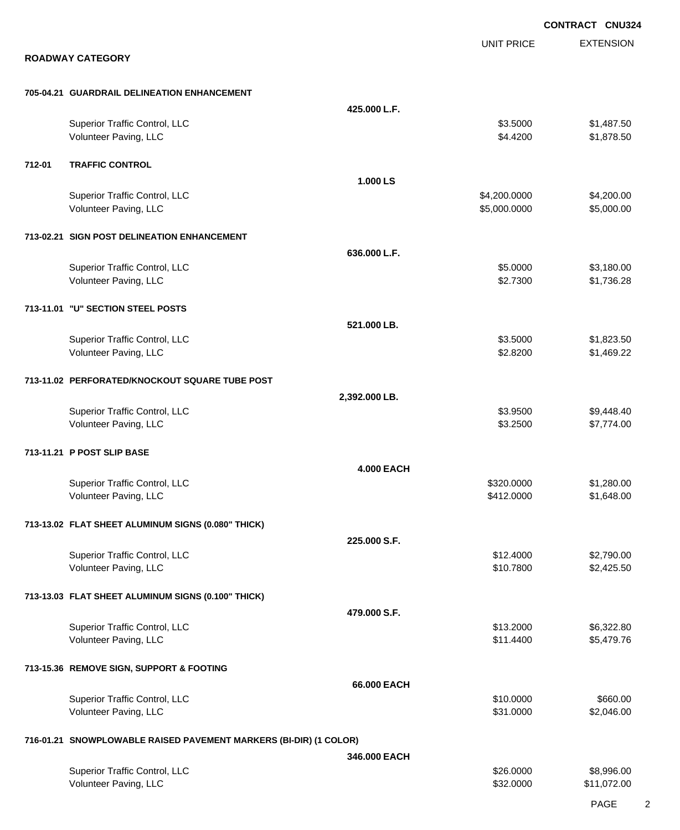|        |                                                                   |                   |                              | <b>CONTRACT CNU324</b>    |
|--------|-------------------------------------------------------------------|-------------------|------------------------------|---------------------------|
|        |                                                                   |                   | <b>UNIT PRICE</b>            | <b>EXTENSION</b>          |
|        | <b>ROADWAY CATEGORY</b>                                           |                   |                              |                           |
|        | 705-04.21 GUARDRAIL DELINEATION ENHANCEMENT                       |                   |                              |                           |
|        |                                                                   | 425.000 L.F.      |                              |                           |
|        | Superior Traffic Control, LLC<br>Volunteer Paving, LLC            |                   | \$3.5000<br>\$4.4200         | \$1,487.50<br>\$1,878.50  |
| 712-01 | <b>TRAFFIC CONTROL</b>                                            |                   |                              |                           |
|        |                                                                   | 1.000 LS          |                              |                           |
|        | Superior Traffic Control, LLC<br>Volunteer Paving, LLC            |                   | \$4,200.0000<br>\$5,000.0000 | \$4,200.00<br>\$5,000.00  |
|        | 713-02.21 SIGN POST DELINEATION ENHANCEMENT                       |                   |                              |                           |
|        |                                                                   | 636.000 L.F.      |                              |                           |
|        | Superior Traffic Control, LLC<br>Volunteer Paving, LLC            |                   | \$5.0000<br>\$2.7300         | \$3,180.00<br>\$1,736.28  |
|        | 713-11.01 "U" SECTION STEEL POSTS                                 |                   |                              |                           |
|        |                                                                   | 521.000 LB.       |                              |                           |
|        | Superior Traffic Control, LLC                                     |                   | \$3.5000                     | \$1,823.50                |
|        | Volunteer Paving, LLC                                             |                   | \$2.8200                     | \$1,469.22                |
|        | 713-11.02 PERFORATED/KNOCKOUT SQUARE TUBE POST                    |                   |                              |                           |
|        |                                                                   | 2,392.000 LB.     |                              |                           |
|        | Superior Traffic Control, LLC                                     |                   | \$3.9500                     | \$9,448.40                |
|        | Volunteer Paving, LLC                                             |                   | \$3.2500                     | \$7,774.00                |
|        | 713-11.21 P POST SLIP BASE                                        |                   |                              |                           |
|        |                                                                   | <b>4.000 EACH</b> |                              |                           |
|        | Superior Traffic Control, LLC                                     |                   | \$320.0000                   | \$1,280.00                |
|        | Volunteer Paving, LLC                                             |                   | \$412.0000                   | \$1,648.00                |
|        | 713-13.02 FLAT SHEET ALUMINUM SIGNS (0.080" THICK)                |                   |                              |                           |
|        |                                                                   | 225.000 S.F.      |                              |                           |
|        | Superior Traffic Control, LLC<br>Volunteer Paving, LLC            |                   | \$12.4000<br>\$10.7800       | \$2,790.00<br>\$2,425.50  |
|        |                                                                   |                   |                              |                           |
|        | 713-13.03 FLAT SHEET ALUMINUM SIGNS (0.100" THICK)                |                   |                              |                           |
|        |                                                                   | 479.000 S.F.      |                              |                           |
|        | Superior Traffic Control, LLC<br>Volunteer Paving, LLC            |                   | \$13.2000<br>\$11.4400       | \$6,322.80<br>\$5,479.76  |
|        |                                                                   |                   |                              |                           |
|        | 713-15.36 REMOVE SIGN, SUPPORT & FOOTING                          |                   |                              |                           |
|        |                                                                   | 66.000 EACH       |                              |                           |
|        | Superior Traffic Control, LLC                                     |                   | \$10.0000                    | \$660.00                  |
|        | Volunteer Paving, LLC                                             |                   | \$31.0000                    | \$2,046.00                |
|        | 716-01.21 SNOWPLOWABLE RAISED PAVEMENT MARKERS (BI-DIR) (1 COLOR) |                   |                              |                           |
|        |                                                                   | 346.000 EACH      |                              |                           |
|        | Superior Traffic Control, LLC<br>Volunteer Paving, LLC            |                   | \$26.0000<br>\$32.0000       | \$8,996.00<br>\$11,072.00 |
|        |                                                                   |                   |                              |                           |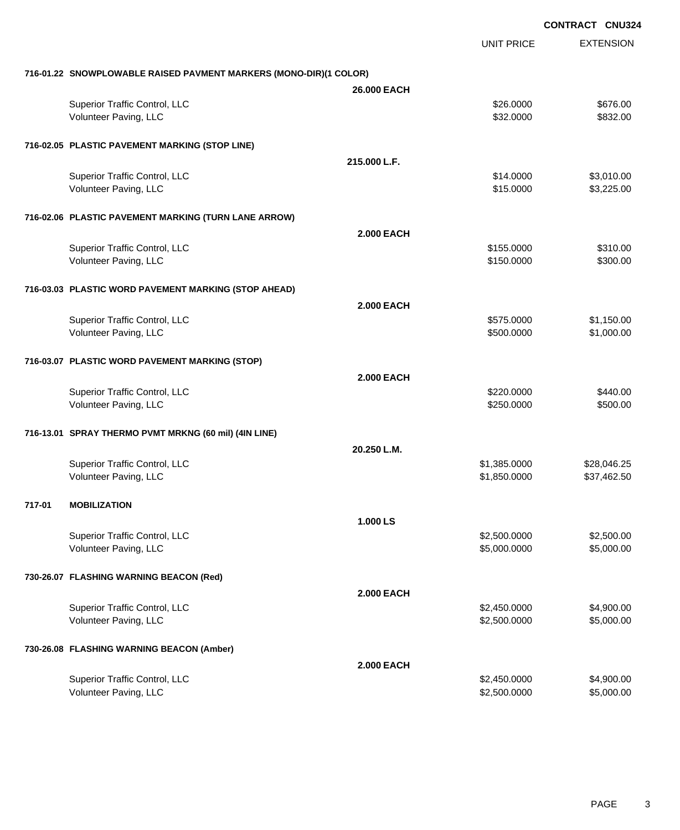|                                                                   |                   | <b>UNIT PRICE</b> | <b>EXTENSION</b> |
|-------------------------------------------------------------------|-------------------|-------------------|------------------|
| 716-01.22 SNOWPLOWABLE RAISED PAVMENT MARKERS (MONO-DIR)(1 COLOR) |                   |                   |                  |
|                                                                   | 26.000 EACH       |                   |                  |
| Superior Traffic Control, LLC                                     |                   | \$26.0000         | \$676.00         |
| Volunteer Paving, LLC                                             |                   | \$32.0000         | \$832.00         |
| 716-02.05 PLASTIC PAVEMENT MARKING (STOP LINE)                    |                   |                   |                  |
|                                                                   | 215.000 L.F.      |                   |                  |
| Superior Traffic Control, LLC                                     |                   | \$14.0000         | \$3,010.00       |
| Volunteer Paving, LLC                                             |                   | \$15.0000         | \$3,225.00       |
| 716-02.06 PLASTIC PAVEMENT MARKING (TURN LANE ARROW)              |                   |                   |                  |
|                                                                   | <b>2.000 EACH</b> |                   |                  |
| Superior Traffic Control, LLC                                     |                   | \$155.0000        | \$310.00         |
| Volunteer Paving, LLC                                             |                   | \$150.0000        | \$300.00         |
| 716-03.03 PLASTIC WORD PAVEMENT MARKING (STOP AHEAD)              |                   |                   |                  |
|                                                                   | <b>2.000 EACH</b> |                   |                  |
| Superior Traffic Control, LLC                                     |                   | \$575.0000        | \$1,150.00       |
| Volunteer Paving, LLC                                             |                   | \$500.0000        | \$1,000.00       |
| 716-03.07 PLASTIC WORD PAVEMENT MARKING (STOP)                    |                   |                   |                  |
|                                                                   | <b>2.000 EACH</b> |                   |                  |
| Superior Traffic Control, LLC                                     |                   | \$220.0000        | \$440.00         |
| Volunteer Paving, LLC                                             |                   | \$250.0000        | \$500.00         |
| 716-13.01 SPRAY THERMO PVMT MRKNG (60 mil) (4IN LINE)             |                   |                   |                  |
|                                                                   | 20.250 L.M.       |                   |                  |
| Superior Traffic Control, LLC                                     |                   | \$1,385.0000      | \$28,046.25      |
| Volunteer Paving, LLC                                             |                   | \$1,850.0000      | \$37,462.50      |
| 717-01<br><b>MOBILIZATION</b>                                     |                   |                   |                  |
|                                                                   | 1.000 LS          |                   |                  |
| Superior Traffic Control, LLC                                     |                   | \$2,500.0000      | \$2,500.00       |
| Volunteer Paving, LLC                                             |                   | \$5,000.0000      | \$5,000.00       |
| 730-26.07 FLASHING WARNING BEACON (Red)                           |                   |                   |                  |
|                                                                   | <b>2.000 EACH</b> |                   |                  |
| Superior Traffic Control, LLC                                     |                   | \$2,450.0000      | \$4,900.00       |
| Volunteer Paving, LLC                                             |                   | \$2,500.0000      | \$5,000.00       |
| 730-26.08 FLASHING WARNING BEACON (Amber)                         |                   |                   |                  |
|                                                                   | <b>2.000 EACH</b> |                   |                  |
| Superior Traffic Control, LLC                                     |                   | \$2,450.0000      | \$4,900.00       |
| Volunteer Paving, LLC                                             |                   | \$2,500.0000      | \$5,000.00       |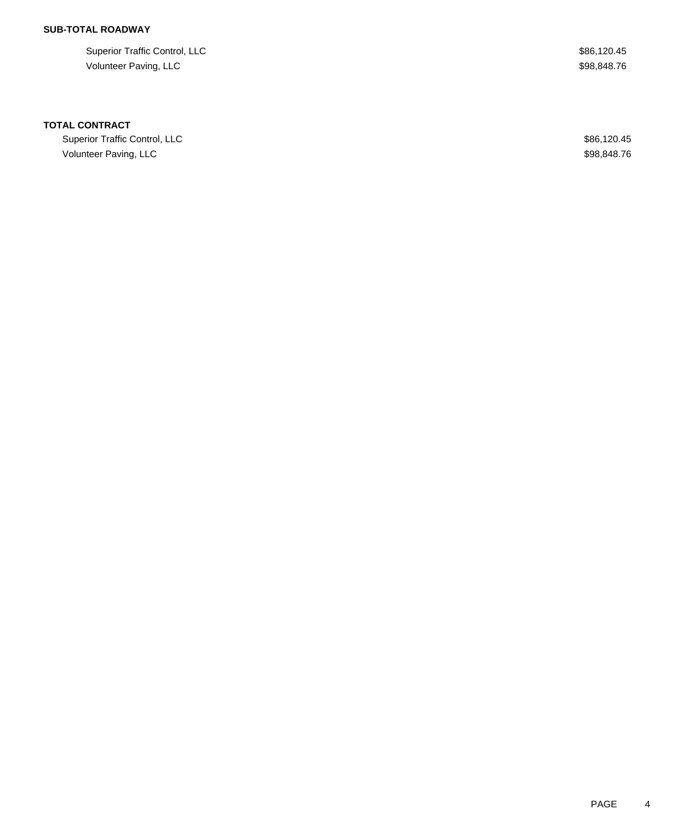## **SUB-TOTAL ROADWAY**

Superior Traffic Control, LLC \$86,120.45 Volunteer Paving, LLC \$98,848.76

### **TOTAL CONTRACT**

Superior Traffic Control, LLC \$86,120.45 Volunteer Paving, LLC \$98,848.76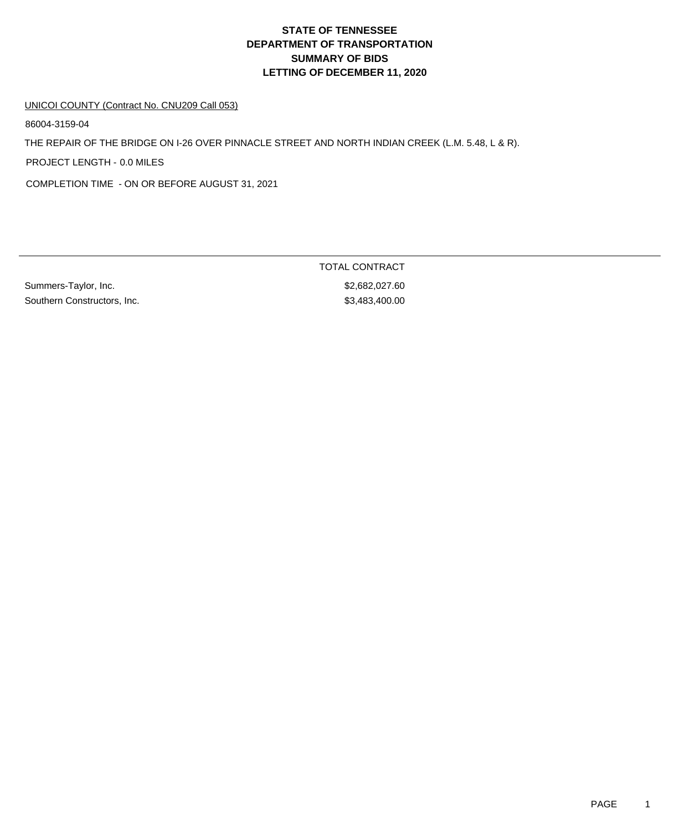# **DEPARTMENT OF TRANSPORTATION SUMMARY OF BIDS LETTING OF DECEMBER 11, 2020 STATE OF TENNESSEE**

#### UNICOI COUNTY (Contract No. CNU209 Call 053)

86004-3159-04

THE REPAIR OF THE BRIDGE ON I-26 OVER PINNACLE STREET AND NORTH INDIAN CREEK (L.M. 5.48, L & R).

PROJECT LENGTH - 0.0 MILES

COMPLETION TIME - ON OR BEFORE AUGUST 31, 2021

Summers-Taylor, Inc. 60. 1992) 6.682,027.60 Southern Constructors, Inc. 63,483,400.00

TOTAL CONTRACT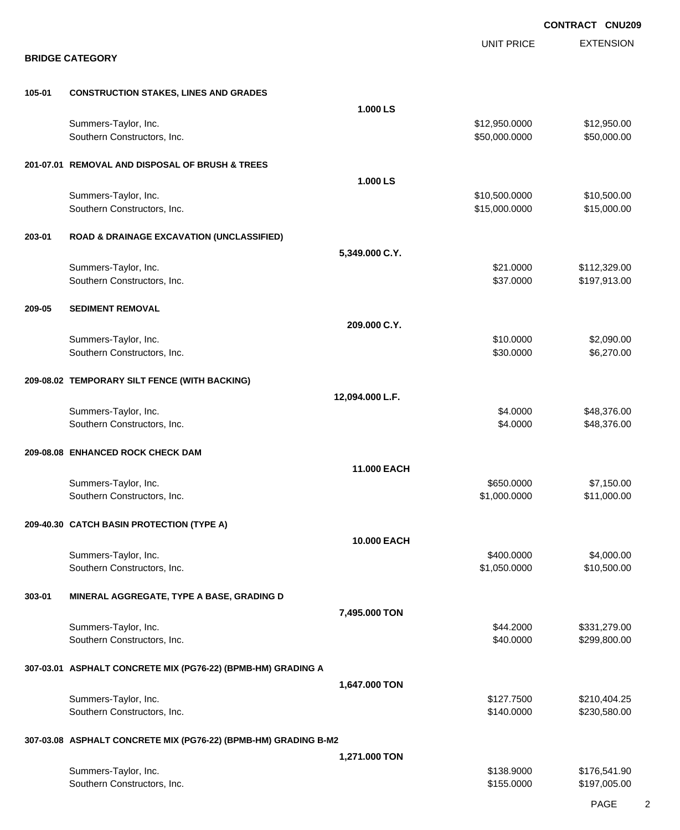|        |                                                                 |                 |                   | <b>CONTRACT CNU209</b> |
|--------|-----------------------------------------------------------------|-----------------|-------------------|------------------------|
|        | <b>BRIDGE CATEGORY</b>                                          |                 | <b>UNIT PRICE</b> | <b>EXTENSION</b>       |
|        |                                                                 |                 |                   |                        |
| 105-01 | <b>CONSTRUCTION STAKES, LINES AND GRADES</b>                    |                 |                   |                        |
|        |                                                                 | 1.000 LS        |                   |                        |
|        | Summers-Taylor, Inc.                                            |                 | \$12,950.0000     | \$12,950.00            |
|        | Southern Constructors, Inc.                                     |                 | \$50,000.0000     | \$50,000.00            |
|        | 201-07.01 REMOVAL AND DISPOSAL OF BRUSH & TREES                 |                 |                   |                        |
|        |                                                                 | 1.000 LS        |                   |                        |
|        | Summers-Taylor, Inc.                                            |                 | \$10,500.0000     | \$10,500.00            |
|        | Southern Constructors, Inc.                                     |                 | \$15,000.0000     | \$15,000.00            |
| 203-01 | <b>ROAD &amp; DRAINAGE EXCAVATION (UNCLASSIFIED)</b>            |                 |                   |                        |
|        |                                                                 | 5,349.000 C.Y.  |                   |                        |
|        | Summers-Taylor, Inc.                                            |                 | \$21.0000         | \$112,329.00           |
|        | Southern Constructors, Inc.                                     |                 | \$37.0000         | \$197,913.00           |
| 209-05 | <b>SEDIMENT REMOVAL</b>                                         |                 |                   |                        |
|        |                                                                 | 209.000 C.Y.    |                   |                        |
|        | Summers-Taylor, Inc.                                            |                 | \$10.0000         | \$2,090.00             |
|        | Southern Constructors, Inc.                                     |                 | \$30.0000         | \$6,270.00             |
|        | 209-08.02 TEMPORARY SILT FENCE (WITH BACKING)                   |                 |                   |                        |
|        |                                                                 | 12,094.000 L.F. |                   |                        |
|        | Summers-Taylor, Inc.                                            |                 | \$4.0000          | \$48,376.00            |
|        | Southern Constructors, Inc.                                     |                 | \$4.0000          | \$48,376.00            |
|        | 209-08.08 ENHANCED ROCK CHECK DAM                               |                 |                   |                        |
|        |                                                                 | 11.000 EACH     |                   |                        |
|        | Summers-Taylor, Inc.                                            |                 | \$650.0000        | \$7,150.00             |
|        | Southern Constructors, Inc.                                     |                 | \$1,000.0000      | \$11,000.00            |
|        | 209-40.30 CATCH BASIN PROTECTION (TYPE A)                       |                 |                   |                        |
|        |                                                                 | 10.000 EACH     |                   |                        |
|        | Summers-Taylor, Inc.                                            |                 | \$400.0000        | \$4,000.00             |
|        | Southern Constructors, Inc.                                     |                 | \$1,050.0000      | \$10,500.00            |
| 303-01 | MINERAL AGGREGATE, TYPE A BASE, GRADING D                       |                 |                   |                        |
|        |                                                                 | 7,495.000 TON   |                   |                        |
|        | Summers-Taylor, Inc.                                            |                 | \$44.2000         | \$331,279.00           |
|        | Southern Constructors, Inc.                                     |                 | \$40.0000         | \$299,800.00           |
|        | 307-03.01 ASPHALT CONCRETE MIX (PG76-22) (BPMB-HM) GRADING A    |                 |                   |                        |
|        |                                                                 | 1,647.000 TON   |                   |                        |
|        | Summers-Taylor, Inc.                                            |                 | \$127.7500        | \$210,404.25           |
|        | Southern Constructors, Inc.                                     |                 | \$140.0000        | \$230,580.00           |
|        | 307-03.08 ASPHALT CONCRETE MIX (PG76-22) (BPMB-HM) GRADING B-M2 |                 |                   |                        |
|        |                                                                 | 1,271.000 TON   |                   |                        |
|        | Summers-Taylor, Inc.                                            |                 | \$138.9000        | \$176,541.90           |
|        | Southern Constructors, Inc.                                     |                 | \$155.0000        | \$197,005.00           |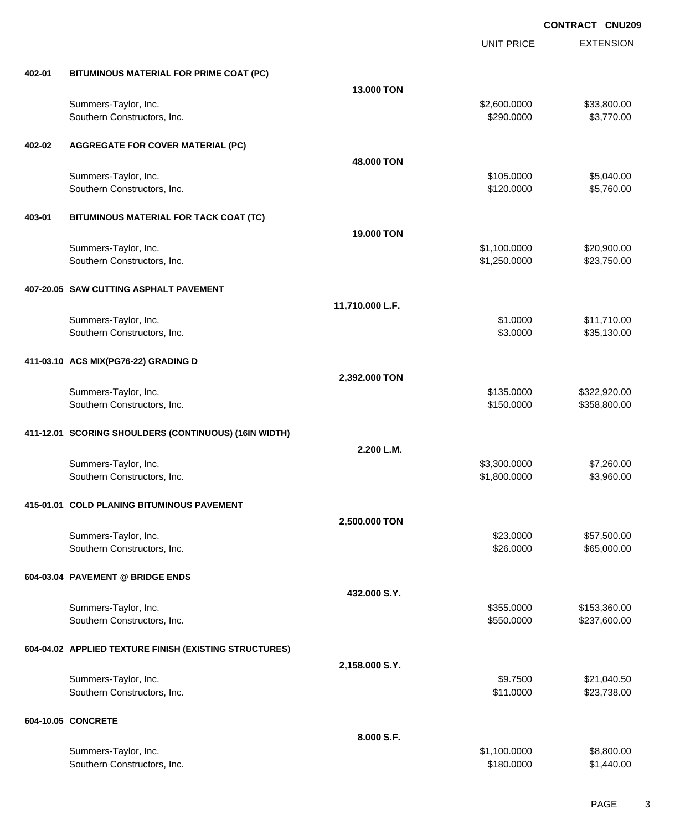|        |                                                        |                 | <b>UNIT PRICE</b> | <b>EXTENSION</b> |
|--------|--------------------------------------------------------|-----------------|-------------------|------------------|
| 402-01 | BITUMINOUS MATERIAL FOR PRIME COAT (PC)                |                 |                   |                  |
|        |                                                        | 13.000 TON      |                   |                  |
|        | Summers-Taylor, Inc.                                   |                 | \$2,600.0000      | \$33,800.00      |
|        | Southern Constructors, Inc.                            |                 | \$290.0000        | \$3,770.00       |
| 402-02 | <b>AGGREGATE FOR COVER MATERIAL (PC)</b>               |                 |                   |                  |
|        |                                                        | 48.000 TON      |                   |                  |
|        | Summers-Taylor, Inc.                                   |                 | \$105.0000        | \$5,040.00       |
|        | Southern Constructors, Inc.                            |                 | \$120.0000        | \$5,760.00       |
| 403-01 | BITUMINOUS MATERIAL FOR TACK COAT (TC)                 |                 |                   |                  |
|        |                                                        | 19.000 TON      |                   |                  |
|        | Summers-Taylor, Inc.                                   |                 | \$1,100.0000      | \$20,900.00      |
|        | Southern Constructors, Inc.                            |                 | \$1,250.0000      | \$23,750.00      |
|        | 407-20.05 SAW CUTTING ASPHALT PAVEMENT                 |                 |                   |                  |
|        |                                                        | 11,710.000 L.F. |                   |                  |
|        | Summers-Taylor, Inc.                                   |                 | \$1.0000          | \$11,710.00      |
|        | Southern Constructors, Inc.                            |                 | \$3.0000          | \$35,130.00      |
|        | 411-03.10 ACS MIX(PG76-22) GRADING D                   |                 |                   |                  |
|        |                                                        | 2,392.000 TON   |                   |                  |
|        | Summers-Taylor, Inc.                                   |                 | \$135.0000        | \$322,920.00     |
|        | Southern Constructors, Inc.                            |                 | \$150.0000        | \$358,800.00     |
|        | 411-12.01 SCORING SHOULDERS (CONTINUOUS) (16IN WIDTH)  |                 |                   |                  |
|        |                                                        | 2.200 L.M.      |                   |                  |
|        | Summers-Taylor, Inc.                                   |                 | \$3,300.0000      | \$7,260.00       |
|        | Southern Constructors, Inc.                            |                 | \$1,800.0000      | \$3,960.00       |
|        | 415-01.01 COLD PLANING BITUMINOUS PAVEMENT             |                 |                   |                  |
|        |                                                        | 2,500.000 TON   |                   |                  |
|        | Summers-Taylor, Inc.                                   |                 | \$23.0000         | \$57,500.00      |
|        | Southern Constructors, Inc.                            |                 | \$26.0000         | \$65,000.00      |
|        | 604-03.04 PAVEMENT @ BRIDGE ENDS                       |                 |                   |                  |
|        |                                                        | 432.000 S.Y.    |                   |                  |
|        | Summers-Taylor, Inc.                                   |                 | \$355.0000        | \$153,360.00     |
|        | Southern Constructors, Inc.                            |                 | \$550.0000        | \$237,600.00     |
|        | 604-04.02 APPLIED TEXTURE FINISH (EXISTING STRUCTURES) |                 |                   |                  |
|        |                                                        | 2,158.000 S.Y.  |                   |                  |
|        | Summers-Taylor, Inc.                                   |                 | \$9.7500          | \$21,040.50      |
|        | Southern Constructors, Inc.                            |                 | \$11.0000         | \$23,738.00      |
|        | 604-10.05 CONCRETE                                     |                 |                   |                  |
|        |                                                        | 8.000 S.F.      |                   |                  |
|        | Summers-Taylor, Inc.                                   |                 | \$1,100.0000      | \$8,800.00       |
|        | Southern Constructors, Inc.                            |                 | \$180.0000        | \$1,440.00       |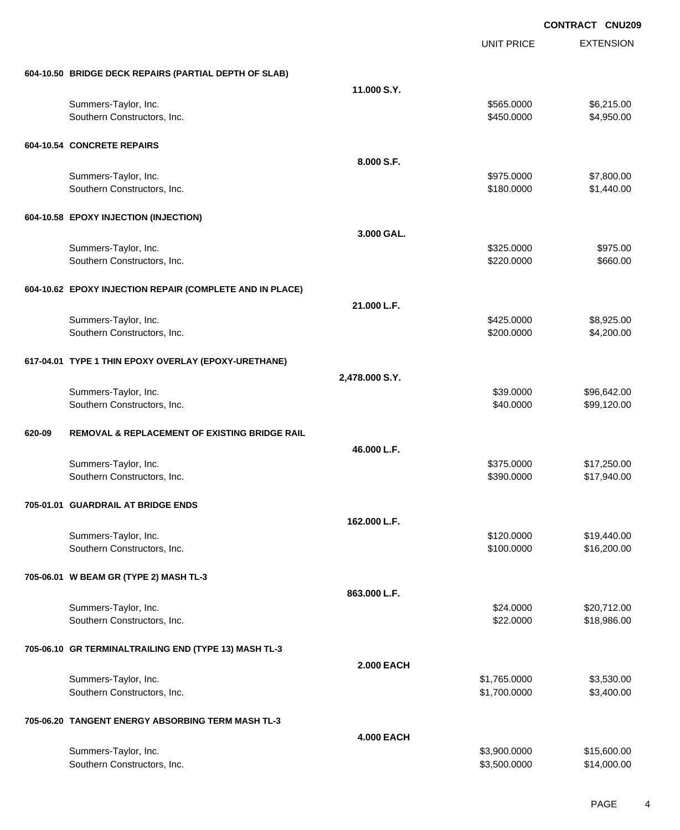|        |                                                          |                   | UNIT PRICE   | <b>EXTENSION</b> |
|--------|----------------------------------------------------------|-------------------|--------------|------------------|
|        | 604-10.50 BRIDGE DECK REPAIRS (PARTIAL DEPTH OF SLAB)    |                   |              |                  |
|        |                                                          | 11.000 S.Y.       |              |                  |
|        | Summers-Taylor, Inc.                                     |                   | \$565.0000   | \$6,215.00       |
|        | Southern Constructors, Inc.                              |                   | \$450.0000   | \$4,950.00       |
|        | 604-10.54 CONCRETE REPAIRS                               |                   |              |                  |
|        |                                                          | 8.000 S.F.        |              |                  |
|        | Summers-Taylor, Inc.                                     |                   | \$975.0000   | \$7,800.00       |
|        | Southern Constructors, Inc.                              |                   | \$180.0000   | \$1,440.00       |
|        | 604-10.58 EPOXY INJECTION (INJECTION)                    |                   |              |                  |
|        |                                                          | 3.000 GAL.        |              |                  |
|        | Summers-Taylor, Inc.                                     |                   | \$325.0000   | \$975.00         |
|        | Southern Constructors, Inc.                              |                   | \$220.0000   | \$660.00         |
|        | 604-10.62 EPOXY INJECTION REPAIR (COMPLETE AND IN PLACE) |                   |              |                  |
|        |                                                          | 21.000 L.F.       |              |                  |
|        | Summers-Taylor, Inc.                                     |                   | \$425.0000   | \$8,925.00       |
|        | Southern Constructors, Inc.                              |                   | \$200.0000   | \$4,200.00       |
|        | 617-04.01 TYPE 1 THIN EPOXY OVERLAY (EPOXY-URETHANE)     |                   |              |                  |
|        |                                                          | 2,478.000 S.Y.    |              |                  |
|        | Summers-Taylor, Inc.                                     |                   | \$39.0000    | \$96,642.00      |
|        | Southern Constructors, Inc.                              |                   | \$40.0000    | \$99,120.00      |
| 620-09 | <b>REMOVAL &amp; REPLACEMENT OF EXISTING BRIDGE RAIL</b> |                   |              |                  |
|        |                                                          | 46.000 L.F.       |              |                  |
|        | Summers-Taylor, Inc.                                     |                   | \$375.0000   | \$17,250.00      |
|        | Southern Constructors, Inc.                              |                   | \$390.0000   | \$17,940.00      |
|        | 705-01.01 GUARDRAIL AT BRIDGE ENDS                       |                   |              |                  |
|        |                                                          | 162.000 L.F.      |              |                  |
|        | Summers-Taylor, Inc.                                     |                   | \$120.0000   | \$19,440.00      |
|        | Southern Constructors, Inc.                              |                   | \$100.0000   | \$16,200.00      |
|        | 705-06.01 W BEAM GR (TYPE 2) MASH TL-3                   |                   |              |                  |
|        |                                                          | 863.000 L.F.      |              |                  |
|        | Summers-Taylor, Inc.                                     |                   | \$24.0000    | \$20,712.00      |
|        | Southern Constructors, Inc.                              |                   | \$22.0000    | \$18,986.00      |
|        | 705-06.10 GR TERMINALTRAILING END (TYPE 13) MASH TL-3    |                   |              |                  |
|        |                                                          | <b>2.000 EACH</b> |              |                  |
|        | Summers-Taylor, Inc.                                     |                   | \$1,765.0000 | \$3,530.00       |
|        | Southern Constructors, Inc.                              |                   | \$1,700.0000 | \$3,400.00       |
|        | 705-06.20 TANGENT ENERGY ABSORBING TERM MASH TL-3        |                   |              |                  |
|        |                                                          | <b>4.000 EACH</b> |              |                  |
|        | Summers-Taylor, Inc.                                     |                   | \$3,900.0000 | \$15,600.00      |
|        | Southern Constructors, Inc.                              |                   | \$3,500.0000 | \$14,000.00      |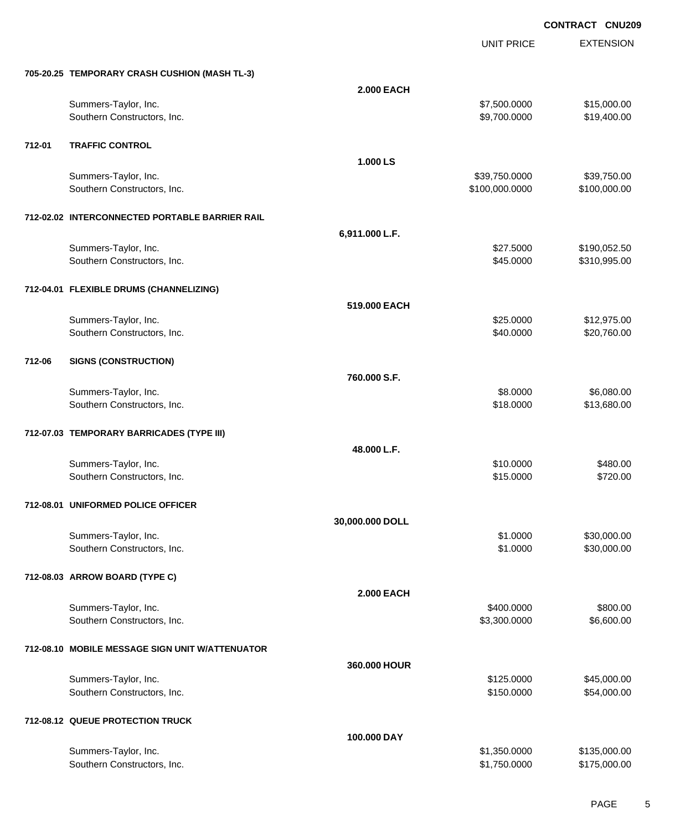UNIT PRICE EXTENSION

|        | 705-20.25 TEMPORARY CRASH CUSHION (MASH TL-3)       |                   |                            |                              |
|--------|-----------------------------------------------------|-------------------|----------------------------|------------------------------|
|        |                                                     | <b>2.000 EACH</b> |                            |                              |
|        | Summers-Taylor, Inc.                                |                   | \$7,500.0000               | \$15,000.00                  |
|        | Southern Constructors, Inc.                         |                   | \$9,700.0000               | \$19,400.00                  |
|        |                                                     |                   |                            |                              |
| 712-01 | <b>TRAFFIC CONTROL</b>                              |                   |                            |                              |
|        |                                                     | 1.000 LS          |                            |                              |
|        | Summers-Taylor, Inc.                                |                   | \$39,750.0000              | \$39,750.00                  |
|        | Southern Constructors, Inc.                         |                   | \$100,000.0000             | \$100,000.00                 |
|        | 712-02.02 INTERCONNECTED PORTABLE BARRIER RAIL      |                   |                            |                              |
|        |                                                     |                   |                            |                              |
|        |                                                     | 6,911.000 L.F.    |                            |                              |
|        | Summers-Taylor, Inc.<br>Southern Constructors, Inc. |                   | \$27.5000<br>\$45.0000     | \$190,052.50<br>\$310,995.00 |
|        |                                                     |                   |                            |                              |
|        | 712-04.01 FLEXIBLE DRUMS (CHANNELIZING)             |                   |                            |                              |
|        |                                                     | 519.000 EACH      |                            |                              |
|        | Summers-Taylor, Inc.                                |                   | \$25.0000                  | \$12,975.00                  |
|        | Southern Constructors, Inc.                         |                   | \$40.0000                  | \$20,760.00                  |
|        |                                                     |                   |                            |                              |
| 712-06 | <b>SIGNS (CONSTRUCTION)</b>                         |                   |                            |                              |
|        |                                                     | 760.000 S.F.      |                            |                              |
|        | Summers-Taylor, Inc.                                |                   | \$8.0000                   | \$6,080.00                   |
|        | Southern Constructors, Inc.                         |                   | \$18.0000                  | \$13,680.00                  |
|        |                                                     |                   |                            |                              |
|        | 712-07.03 TEMPORARY BARRICADES (TYPE III)           |                   |                            |                              |
|        |                                                     | 48.000 L.F.       |                            |                              |
|        | Summers-Taylor, Inc.                                |                   | \$10.0000                  | \$480.00                     |
|        | Southern Constructors, Inc.                         |                   | \$15.0000                  | \$720.00                     |
|        |                                                     |                   |                            |                              |
|        | 712-08.01 UNIFORMED POLICE OFFICER                  |                   |                            |                              |
|        |                                                     | 30,000.000 DOLL   |                            |                              |
|        | Summers-Taylor, Inc.                                |                   | \$1.0000                   | \$30,000.00                  |
|        | Southern Constructors, Inc.                         |                   | \$1.0000                   | \$30,000.00                  |
|        |                                                     |                   |                            |                              |
|        | 712-08.03 ARROW BOARD (TYPE C)                      |                   |                            |                              |
|        |                                                     | <b>2.000 EACH</b> |                            |                              |
|        | Summers-Taylor, Inc.<br>Southern Constructors, Inc. |                   | \$400.0000<br>\$3,300.0000 | \$800.00<br>\$6,600.00       |
|        |                                                     |                   |                            |                              |
|        | 712-08.10 MOBILE MESSAGE SIGN UNIT W/ATTENUATOR     |                   |                            |                              |
|        |                                                     | 360.000 HOUR      |                            |                              |
|        | Summers-Taylor, Inc.                                |                   | \$125.0000                 | \$45,000.00                  |
|        | Southern Constructors, Inc.                         |                   | \$150.0000                 | \$54,000.00                  |
|        |                                                     |                   |                            |                              |
|        | 712-08.12 QUEUE PROTECTION TRUCK                    |                   |                            |                              |
|        |                                                     | 100.000 DAY       |                            |                              |
|        | Summers-Taylor, Inc.                                |                   | \$1,350.0000               | \$135,000.00                 |
|        | Southern Constructors, Inc.                         |                   | \$1,750.0000               | \$175,000.00                 |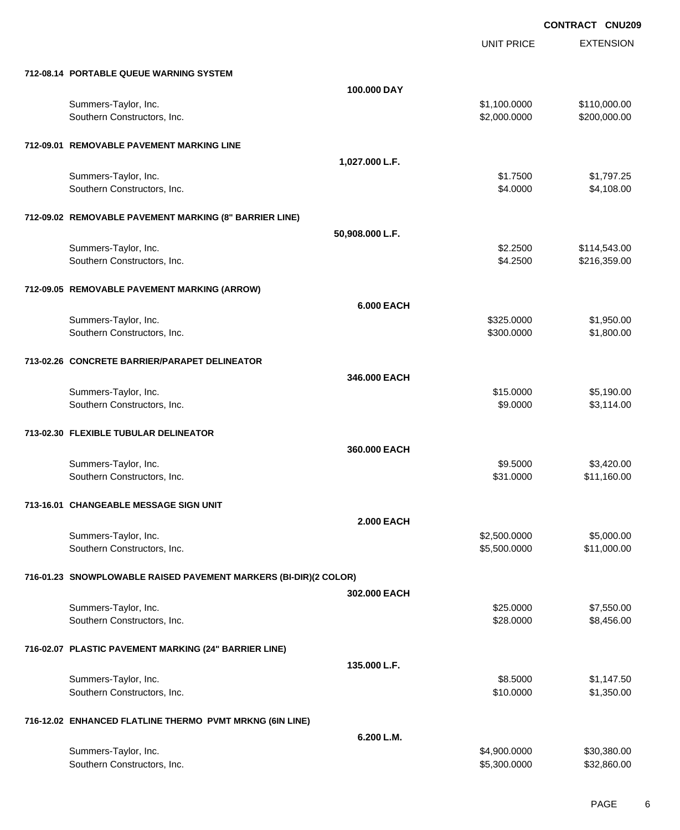UNIT PRICE

EXTENSION

| 712-08.14 PORTABLE QUEUE WARNING SYSTEM                          |                   |                      |              |
|------------------------------------------------------------------|-------------------|----------------------|--------------|
|                                                                  | 100.000 DAY       |                      |              |
| Summers-Taylor, Inc.                                             |                   | \$1,100.0000         | \$110,000.00 |
| Southern Constructors, Inc.                                      |                   | \$2,000.0000         | \$200,000.00 |
| 712-09.01 REMOVABLE PAVEMENT MARKING LINE                        |                   |                      |              |
|                                                                  | 1,027.000 L.F.    |                      |              |
| Summers-Taylor, Inc.                                             |                   | \$1.7500             | \$1,797.25   |
| Southern Constructors, Inc.                                      |                   | \$4.0000             | \$4,108.00   |
| 712-09.02 REMOVABLE PAVEMENT MARKING (8" BARRIER LINE)           |                   |                      |              |
|                                                                  | 50,908.000 L.F.   |                      |              |
| Summers-Taylor, Inc.                                             |                   | \$2.2500<br>\$4.2500 | \$114,543.00 |
| Southern Constructors, Inc.                                      |                   |                      | \$216,359.00 |
| 712-09.05 REMOVABLE PAVEMENT MARKING (ARROW)                     |                   |                      |              |
|                                                                  | <b>6.000 EACH</b> |                      |              |
| Summers-Taylor, Inc.                                             |                   | \$325.0000           | \$1,950.00   |
| Southern Constructors, Inc.                                      |                   | \$300.0000           | \$1,800.00   |
| 713-02.26 CONCRETE BARRIER/PARAPET DELINEATOR                    |                   |                      |              |
|                                                                  | 346.000 EACH      |                      |              |
| Summers-Taylor, Inc.                                             |                   | \$15.0000            | \$5,190.00   |
| Southern Constructors, Inc.                                      |                   | \$9.0000             | \$3,114.00   |
| 713-02.30 FLEXIBLE TUBULAR DELINEATOR                            |                   |                      |              |
|                                                                  | 360.000 EACH      |                      |              |
| Summers-Taylor, Inc.                                             |                   | \$9.5000             | \$3,420.00   |
| Southern Constructors, Inc.                                      |                   | \$31.0000            | \$11,160.00  |
| 713-16.01 CHANGEABLE MESSAGE SIGN UNIT                           |                   |                      |              |
|                                                                  | <b>2.000 EACH</b> |                      |              |
| Summers-Taylor, Inc.                                             |                   | \$2,500.0000         | \$5,000.00   |
| Southern Constructors, Inc.                                      |                   | \$5,500.0000         | \$11,000.00  |
| 716-01.23 SNOWPLOWABLE RAISED PAVEMENT MARKERS (BI-DIR)(2 COLOR) |                   |                      |              |
|                                                                  | 302.000 EACH      |                      |              |
| Summers-Taylor, Inc.                                             |                   | \$25.0000            | \$7,550.00   |
| Southern Constructors, Inc.                                      |                   | \$28.0000            | \$8,456.00   |
| 716-02.07 PLASTIC PAVEMENT MARKING (24" BARRIER LINE)            |                   |                      |              |
|                                                                  | 135.000 L.F.      |                      |              |
| Summers-Taylor, Inc.                                             |                   | \$8.5000             | \$1,147.50   |
| Southern Constructors, Inc.                                      |                   | \$10.0000            | \$1,350.00   |
| 716-12.02 ENHANCED FLATLINE THERMO PVMT MRKNG (6IN LINE)         |                   |                      |              |
|                                                                  | 6.200 L.M.        |                      |              |
| Summers-Taylor, Inc.                                             |                   | \$4,900.0000         | \$30,380.00  |
| Southern Constructors, Inc.                                      |                   | \$5,300.0000         | \$32,860.00  |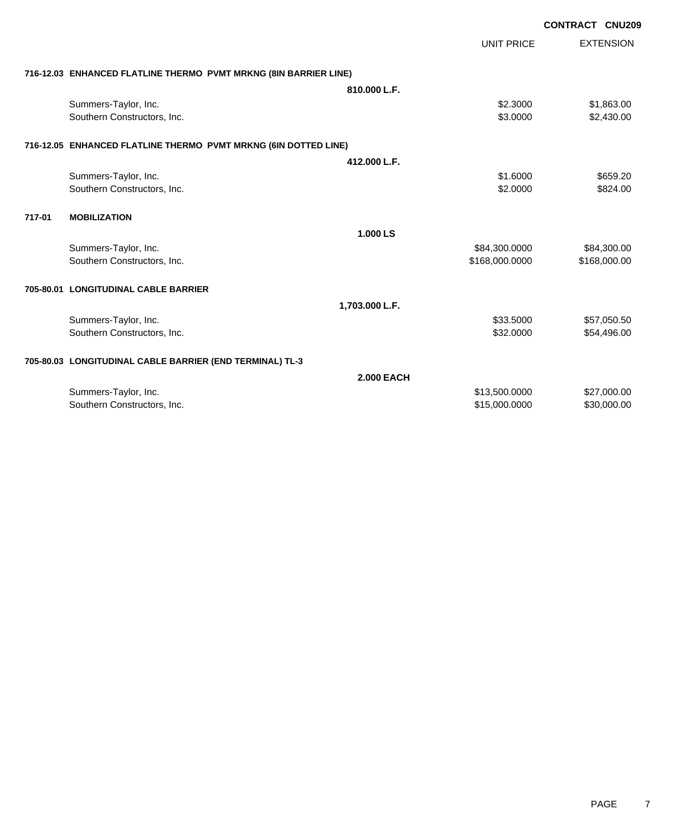|        |                                                                  |                   |                   | <b>CONTRACT CNU209</b> |
|--------|------------------------------------------------------------------|-------------------|-------------------|------------------------|
|        |                                                                  |                   | <b>UNIT PRICE</b> | <b>EXTENSION</b>       |
|        | 716-12.03 ENHANCED FLATLINE THERMO PVMT MRKNG (8IN BARRIER LINE) |                   |                   |                        |
|        |                                                                  | 810.000 L.F.      |                   |                        |
|        | Summers-Taylor, Inc.                                             |                   | \$2.3000          | \$1,863.00             |
|        | Southern Constructors, Inc.                                      |                   | \$3.0000          | \$2,430.00             |
|        | 716-12.05 ENHANCED FLATLINE THERMO PVMT MRKNG (6IN DOTTED LINE)  |                   |                   |                        |
|        |                                                                  | 412.000 L.F.      |                   |                        |
|        | Summers-Taylor, Inc.                                             |                   | \$1.6000          | \$659.20               |
|        | Southern Constructors, Inc.                                      |                   | \$2.0000          | \$824.00               |
| 717-01 | <b>MOBILIZATION</b>                                              |                   |                   |                        |
|        |                                                                  | 1.000 LS          |                   |                        |
|        | Summers-Taylor, Inc.                                             |                   | \$84,300.0000     | \$84,300.00            |
|        | Southern Constructors, Inc.                                      |                   | \$168,000.0000    | \$168,000.00           |
|        | 705-80.01 LONGITUDINAL CABLE BARRIER                             |                   |                   |                        |
|        |                                                                  | 1,703.000 L.F.    |                   |                        |
|        | Summers-Taylor, Inc.                                             |                   | \$33.5000         | \$57,050.50            |
|        | Southern Constructors, Inc.                                      |                   | \$32.0000         | \$54,496.00            |
|        | 705-80.03 LONGITUDINAL CABLE BARRIER (END TERMINAL) TL-3         |                   |                   |                        |
|        |                                                                  | <b>2.000 EACH</b> |                   |                        |
|        | Summers-Taylor, Inc.                                             |                   | \$13,500.0000     | \$27,000.00            |
|        | Southern Constructors, Inc.                                      |                   | \$15,000.0000     | \$30,000.00            |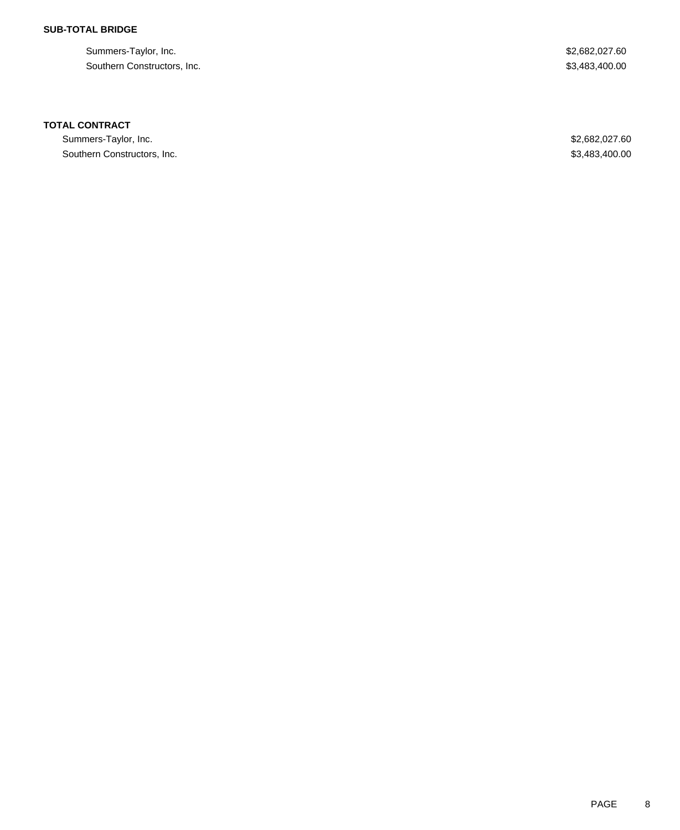## **SUB-TOTAL BRIDGE**

Summers-Taylor, Inc. \$2,682,027.60 Southern Constructors, Inc.  $$3,483,400.00$ 

### **TOTAL CONTRACT**

Summers-Taylor, Inc. \$2,682,027.60 Southern Constructors, Inc. 63,483,400.00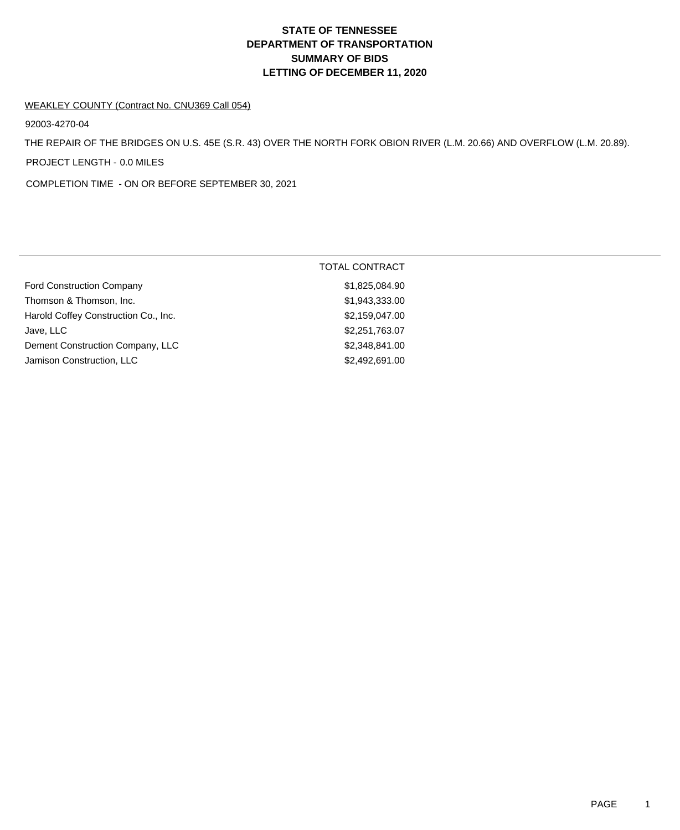# **DEPARTMENT OF TRANSPORTATION SUMMARY OF BIDS LETTING OF DECEMBER 11, 2020 STATE OF TENNESSEE**

#### WEAKLEY COUNTY (Contract No. CNU369 Call 054)

92003-4270-04

THE REPAIR OF THE BRIDGES ON U.S. 45E (S.R. 43) OVER THE NORTH FORK OBION RIVER (L.M. 20.66) AND OVERFLOW (L.M. 20.89).

PROJECT LENGTH - 0.0 MILES

COMPLETION TIME - ON OR BEFORE SEPTEMBER 30, 2021

|                                      | <b>TOTAL CONTRACT</b> |
|--------------------------------------|-----------------------|
| <b>Ford Construction Company</b>     | \$1,825,084.90        |
| Thomson & Thomson, Inc.              | \$1,943,333.00        |
| Harold Coffey Construction Co., Inc. | \$2,159,047.00        |
| Jave, LLC                            | \$2,251,763.07        |
| Dement Construction Company, LLC     | \$2,348,841.00        |
| Jamison Construction, LLC            | \$2,492,691.00        |
|                                      |                       |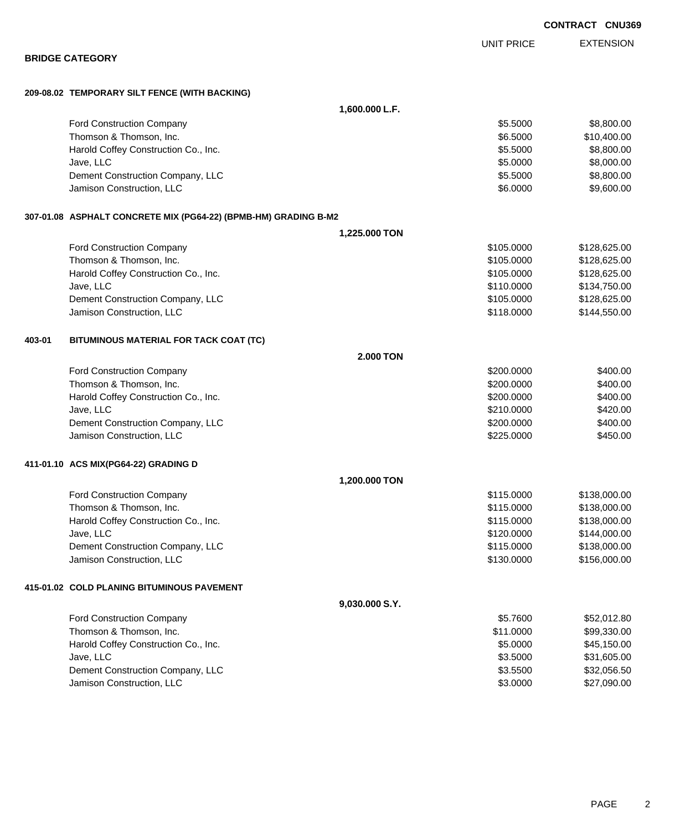**209-08.02 TEMPORARY SILT FENCE (WITH BACKING) 1,600.000 L.F.** Ford Construction Company 68,800.00 Thomson & Thomson, Inc. 6.6000 \$10,400.00 Harold Coffey Construction Co., Inc. 6. 1999. The construction Co., Inc. 6. 1999. The construction Co., Inc. 6. Jave, LLC \$5.0000 \$8,000.00 Dement Construction Company, LLC 6.6000 \$8,800.00 Jamison Construction, LLC 60000 \$9,600.00 **307-01.08 ASPHALT CONCRETE MIX (PG64-22) (BPMB-HM) GRADING B-M2 1,225.000 TON** Ford Construction Company **6128,625.00** \$128,625.00 Thomson & Thomson, Inc. 6. The matrix of the state of the state of the state of the state of the state of the state of the state of the state of the state of the state of the state of the state of the state of the state of Harold Coffey Construction Co., Inc. 6. 2008. The Construction Co., Inc. 6. 2008. The State of the State of State State State State State State State State State State State State State State State State State State State Jave, LLC \$110.0000 \$134,750.00 Dement Construction Company, LLC **but a state of the state of the state of the state of the state of the state of the state of the state of the state of the state of the state of the state of the state of the state of the** Jamison Construction, LLC \$118.0000 \$144,550.00 **403-01 BITUMINOUS MATERIAL FOR TACK COAT (TC) 2.000 TON** Ford Construction Company 6400.00 Thomson & Thomson, Inc. 66 (1990) 12:00 12:00 \$400.00 \$400.00 \$400.00 \$400.00 Harold Coffey Construction Co., Inc. 6400.00 \$400.00 \$400.00 Jave, LLC \$210.0000 \$420.00 Dement Construction Company, LLC 6. The construction Company, LLC 6. The construction Company, LLC 6. The construction of the construction of the construction Company, LLC 6. The construction of the construction of the con Jamison Construction, LLC 6450.00 **411-01.10 ACS MIX(PG64-22) GRADING D 1,200.000 TON** Ford Construction Company **60.000 \$128,000.00** \$138,000.00 Thomson & Thomson, Inc. 6. The matrix of the state of the state of the state of the state of the state of the state of the state of the state of the state of the state of the state of the state of the state of the state of Harold Coffey Construction Co., Inc. \$115.0000 \$138,000.00 Jave, LLC \$120.0000 \$144,000.00 Dement Construction Company, LLC **All and Struction Company, LLC** 65115.0000 \$115.0000 \$138,000.00 Jamison Construction, LLC \$130.0000 \$156,000.00 **415-01.02 COLD PLANING BITUMINOUS PAVEMENT 9,030.000 S.Y.** Ford Construction Company 652,012.80 Thomson & Thomson, Inc. 6. The matrix of the state of the state of the state of the state of the state of the state of the state of the state of the state of the state of the state of the state of the state of the state of Harold Coffey Construction Co., Inc. 6. 2000 \$45,150.00 Jave, LLC \$3.5000 \$31,605.00 Dement Construction Company, LLC 6.500 \$32,056.50

Jamison Construction, LLC 60000 \$27,090.00

EXTENSION UNIT PRICE

#### **BRIDGE CATEGORY**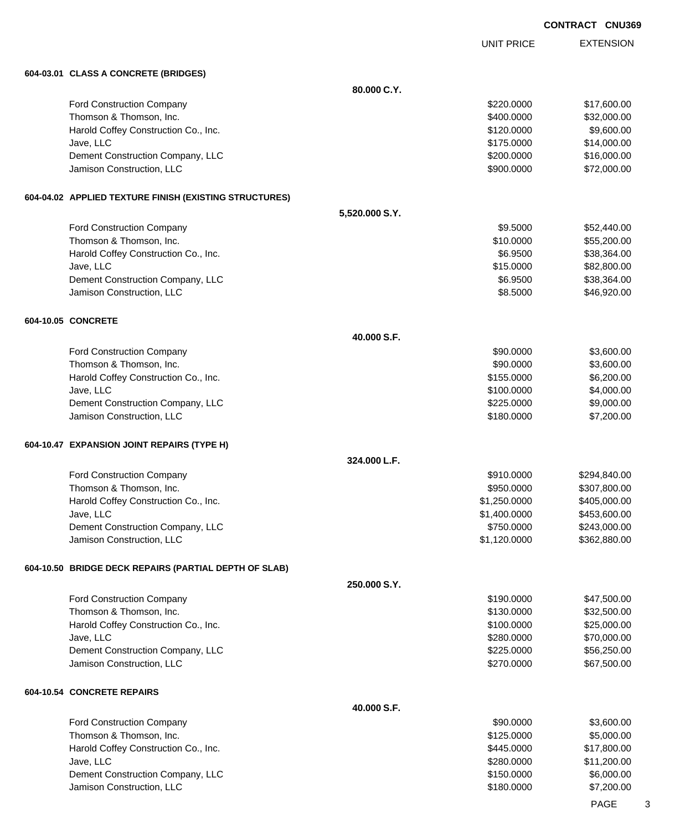UNIT PRICE

EXTENSION

**604-03.01 CLASS A CONCRETE (BRIDGES) 80.000 C.Y.** Ford Construction Company 617,600.00 \$17,600.00 Thomson & Thomson, Inc. 6. The matrix of the state of the state of the state of the state of the state of the state of the state of the state of the state of the state of the state of the state of the state of the state of Harold Coffey Construction Co., Inc. 6. 2000 \$9,600.00 \$9,600.00 Jave, LLC \$175.0000 \$14,000.00 Dement Construction Company, LLC 6 and the construction Company, LLC 6 and the construction Company, LLC 6 and the construction of  $$16,000.00$ Jamison Construction, LLC 600000 \$72,000.000 \$72,000.000 \$72,000.000 \$1000 \$1000 \$ **604-04.02 APPLIED TEXTURE FINISH (EXISTING STRUCTURES) 5,520.000 S.Y.** Ford Construction Company 652,440.00 Thomson & Thomson, Inc. 6. The matrix of the state of the state of the state of the state of the state of the state of the state of the state of the state of the state of the state of the state of the state of the state of Harold Coffey Construction Co., Inc. 6. The Construction Co., Inc. 6. The Construction Co., Inc. 638,364.00 Jave, LLC \$15.0000 \$82,800.00 Dement Construction Company, LLC 6.000 \$38,364.00 Jamison Construction, LLC 6.6 and the state of the state of the state of the state of the state of the state of the state of the state of the state of the state of the state of the state of the state of the state of the st **604-10.05 CONCRETE 40.000 S.F.** Ford Construction Company 63,600.00 \$3,600.00 \$3,600.00 Thomson & Thomson, Inc. 6. The matrix of the state of the state of the state of the state of the state of the state of the state of the state of the state of the state of the state of the state of the state of the state of Harold Coffey Construction Co., Inc. 6. 200.00 \$6,200.00 \$6,200.00 \$6,200.00 Jave, LLC \$100.0000 \$4,000.00 Dement Construction Company, LLC 6. The construction Company, LLC 6. The construction Company, LLC 6. The construction of the construction of the construction Company, LLC 6. The construction of the construction of the con Jamison Construction, LLC 6 and the state of the state of the state of the state of the state of the state of the state of the state of the state of the state of the state of the state of the state of the state of the stat **604-10.47 EXPANSION JOINT REPAIRS (TYPE H) 324.000 L.F.** Ford Construction Company 6294,840.00 Thomson & Thomson, Inc. 6. The matrix of the state of the state of the state of the state of the state of the state of the state of the state of the state of the state of the state of the state of the state of the state of Harold Coffey Construction Co., Inc. 6. The Construction Co., Inc. \$1,250.0000 \$405,000.00 Jave, LLC \$1,400.0000 \$453,600.00 Dement Construction Company, LLC 6 and the state of the state of the state  $$750.0000$  \$243,000.00 Jamison Construction, LLC \$1,120.0000 \$362,880.00 **604-10.50 BRIDGE DECK REPAIRS (PARTIAL DEPTH OF SLAB) 250.000 S.Y.** Ford Construction Company 647,500.00 \$47,500.00 \$47,500.00 Thomson & Thomson, Inc. 632,500.00 \$32,500.00 \$32,500.00 \$32,500.00 Harold Coffey Construction Co., Inc. 6. The Construction Co., Inc. 6. The Construction Co., Inc. 6. The Const Jave, LLC \$280.0000 \$70,000.00 Dement Construction Company, LLC 6. The construction Company, LLC 6. The construction Company, LLC 6. The construction Company, LLC 6. The construction Company, LLC 6. The construction Company, LLC 6. The construction Comp Jamison Construction, LLC 667,500.00 \$67,500.00 **604-10.54 CONCRETE REPAIRS 40.000 S.F.** Ford Construction Company 63,600.00 \$3,600.00 \$3,600.00 Thomson & Thomson, Inc. 6. The matrix of the state of the state of the state of the state of the state of the state of the state of the state of the state of the state of the state of the state of the state of the state of

Harold Coffey Construction Co., Inc. 6. The Construction Co., Inc. 6. The Construction Co., Inc. 6. The Const Jave, LLC \$280.0000 \$11,200.00 Dement Construction Company, LLC 6.000.00 \$6,000.00 \$6,000.00 Jamison Construction, LLC 6 (1990) 1200-2000 \$7,200.000 \$7,200.000 \$7,200.00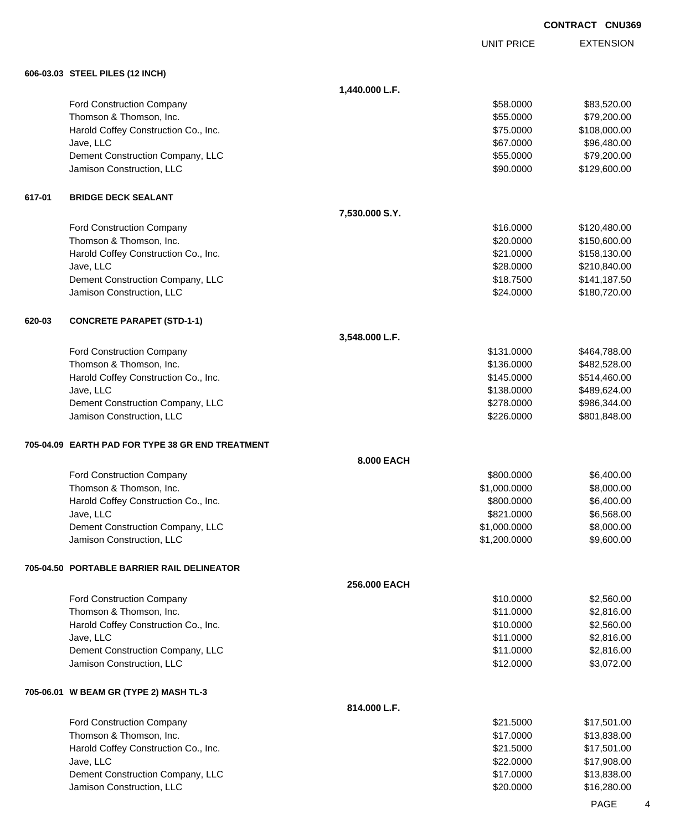EXTENSION UNIT PRICE **606-03.03 STEEL PILES (12 INCH) 1,440.000 L.F.** Ford Construction Company 683,520.00 \$83,520.00 Thomson & Thomson, Inc. 6. The matrix of the state of the state of the state of the state of the state of the state of the state of the state of the state of the state of the state of the state of the state of the state of Harold Coffey Construction Co., Inc. 6. 2008. The state of the state of the state of the state of the state of the state of the state of the state of the state of the state of the state of the state of the state of the sta Jave, LLC \$67.0000 \$96,480.00 Dement Construction Company, LLC 6 and the construction Company, LLC 6 and the construction Company, LLC 6 and the construction of  $\sim$  \$79,200.00 Jamison Construction, LLC 600000 \$129,600.00 **617-01 BRIDGE DECK SEALANT 7,530.000 S.Y.** Ford Construction Company 6120,480.00 Thomson & Thomson, Inc. 6. The matrix of the state of the state of the state of the state of the state of the state of the state of the state of the state of the state of the state of the state of the state of the state of Harold Coffey Construction Co., Inc. 6. 2012. The set of the set of the set of the set of the set of the set of the set of the set of the set of the set of the set of the set of the set of the set of the set of the set of Jave, LLC \$28.0000 \$210,840.00 Dement Construction Company, LLC 6. The construction Company, LLC 6. The construction Company, LLC 6. The construction of the construction of the construction Company, LLC 6. The construction of the construction of the con Jamison Construction, LLC 6 and the state of the state of the state of the state of the state of the state of the state of the state of the state of the state of the state of the state of the state of the state of the stat **620-03 CONCRETE PARAPET (STD-1-1) 3,548.000 L.F.** Ford Construction Company **6131.0000** \$464,788.00 Thomson & Thomson, Inc. 6. The matrix of the state of the state of the state of the state of the state of the state of the state of the state of the state of the state of the state of the state of the state of the state of Harold Coffey Construction Co., Inc. 6. 2010 12:30 12:30 12:30 12:30 12:30 12:30 12:30 12:30 12:30 12:30 12:30 Jave, LLC \$138.0000 \$489,624.00 Dement Construction Company, LLC **but a set of the set of the set of the set of the set of the set of the set of the set of the set of the set of the set of the set of the set of the set of the set of the set of the set of** Jamison Construction, LLC \$226.0000 \$801,848.00 **705-04.09 EARTH PAD FOR TYPE 38 GR END TREATMENT 8.000 EACH** Ford Construction Company 6,400.00 \$6,400.00 \$6,400.00 \$6,400.00 \$6,400.00 \$6,400.00 \$6,400.00 \$6,400.00 \$6,400 Thomson & Thomson, Inc. 6. The matrix of the state of the state of the state of the state of the state of the state of the state of the state of the state of the state of the state of the state of the state of the state of Harold Coffey Construction Co., Inc. 6. 2009. [10] The State of the State of State of State of State of State of State of State of State of State of State of State of State of State of State of State of State of State of S Jave, LLC \$821.0000 \$6,568.00 Dement Construction Company, LLC 6. The construction Company, LLC 6. The construction Company, LLC 6. The construction of the construction of the construction Company, LLC 6. The construction of the construction of the con Jamison Construction, LLC \$1,200.0000 \$9,600.00 **705-04.50 PORTABLE BARRIER RAIL DELINEATOR 256.000 EACH** Ford Construction Company 610.0000 \$2,560.00 Thomson & Thomson, Inc. 6. The state of the state of the state of the state of the state of the state of the state of the state of the state of the state of the state of the state of the state of the state of the state of Harold Coffey Construction Co., Inc. 6. The Construction Co., Inc. \$10.0000 \$2,560.00 Jave, LLC \$11.0000 \$2,816.00 Dement Construction Company, LLC 6 and the state of the state of the state of the state of the state of the state of the state of the state of the state of the state of the state of the state of the state of the state of t Jamison Construction, LLC 63,072.00 **705-06.01 W BEAM GR (TYPE 2) MASH TL-3 814.000 L.F.** Ford Construction Company 617,501.00 Thomson & Thomson, Inc. \$17.0000 \$13,838.00 Harold Coffey Construction Co., Inc. 6. 2016. The state of the state of the state of the state of the state of the state of the state of the state of the state of the state of the state of the state of the state of the sta Jave, LLC \$22.0000 \$17,908.00

Dement Construction Company, LLC 6. The construction Company, LLC 6. The construction Company, LLC Jamison Construction, LLC 6 and the state of the state of the state of the state of the state of the state of the state of the state of the state of the state of the state of the state of the state of the state of the stat

PAGE 4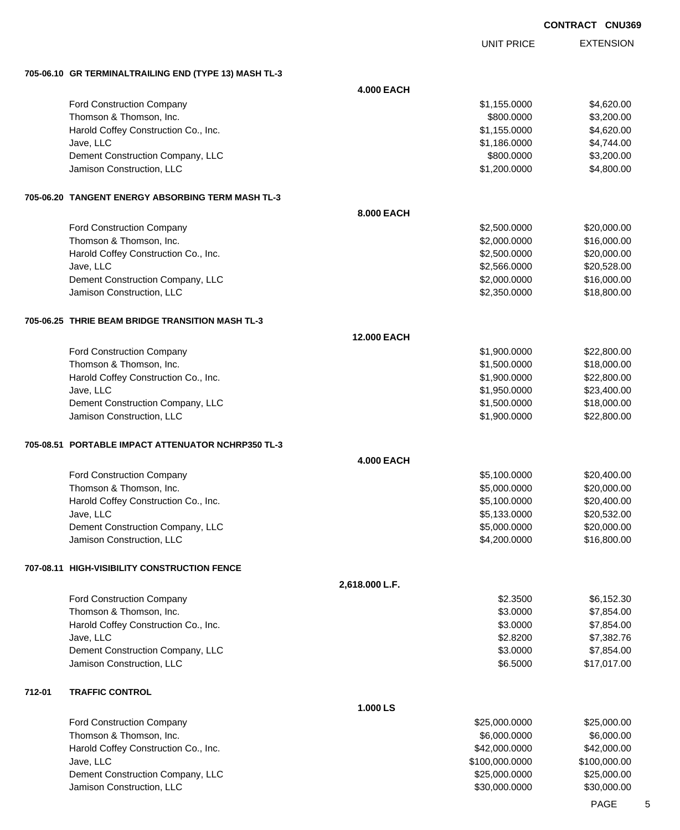|        |                                                       |                    |                   | <b>CONTRACT CNU369</b> |                  |
|--------|-------------------------------------------------------|--------------------|-------------------|------------------------|------------------|
|        |                                                       |                    | <b>UNIT PRICE</b> |                        | <b>EXTENSION</b> |
|        | 705-06.10 GR TERMINALTRAILING END (TYPE 13) MASH TL-3 |                    |                   |                        |                  |
|        |                                                       | <b>4.000 EACH</b>  |                   |                        |                  |
|        | Ford Construction Company                             |                    | \$1,155.0000      |                        | \$4,620.00       |
|        | Thomson & Thomson, Inc.                               |                    | \$800.0000        |                        | \$3,200.00       |
|        | Harold Coffey Construction Co., Inc.                  |                    | \$1,155.0000      |                        | \$4,620.00       |
|        | Jave, LLC                                             |                    | \$1,186.0000      |                        | \$4,744.00       |
|        | Dement Construction Company, LLC                      |                    | \$800.0000        |                        | \$3,200.00       |
|        | Jamison Construction, LLC                             |                    | \$1,200.0000      |                        | \$4,800.00       |
|        | 705-06.20 TANGENT ENERGY ABSORBING TERM MASH TL-3     |                    |                   |                        |                  |
|        |                                                       | 8.000 EACH         |                   |                        |                  |
|        | Ford Construction Company                             |                    | \$2,500.0000      |                        | \$20,000.00      |
|        | Thomson & Thomson, Inc.                               |                    | \$2,000.0000      |                        | \$16,000.00      |
|        | Harold Coffey Construction Co., Inc.                  |                    | \$2,500.0000      |                        | \$20,000.00      |
|        | Jave, LLC                                             |                    | \$2,566.0000      |                        | \$20,528.00      |
|        | Dement Construction Company, LLC                      |                    | \$2,000.0000      |                        | \$16,000.00      |
|        | Jamison Construction, LLC                             |                    | \$2,350.0000      |                        | \$18,800.00      |
|        | 705-06.25 THRIE BEAM BRIDGE TRANSITION MASH TL-3      |                    |                   |                        |                  |
|        |                                                       | <b>12.000 EACH</b> |                   |                        |                  |
|        | Ford Construction Company                             |                    | \$1,900.0000      |                        | \$22,800.00      |
|        | Thomson & Thomson, Inc.                               |                    | \$1,500.0000      |                        | \$18,000.00      |
|        | Harold Coffey Construction Co., Inc.                  |                    | \$1,900.0000      |                        | \$22,800.00      |
|        | Jave, LLC                                             |                    | \$1,950.0000      |                        | \$23,400.00      |
|        | Dement Construction Company, LLC                      |                    | \$1,500.0000      |                        | \$18,000.00      |
|        | Jamison Construction, LLC                             |                    | \$1,900.0000      |                        | \$22,800.00      |
|        | 705-08.51 PORTABLE IMPACT ATTENUATOR NCHRP350 TL-3    |                    |                   |                        |                  |
|        |                                                       | <b>4.000 EACH</b>  |                   |                        |                  |
|        | <b>Ford Construction Company</b>                      |                    | \$5,100.0000      |                        | \$20,400.00      |
|        | Thomson & Thomson, Inc.                               |                    | \$5,000.0000      |                        | \$20,000.00      |
|        | Harold Coffey Construction Co., Inc.                  |                    | \$5,100.0000      |                        | \$20,400.00      |
|        | Jave, LLC                                             |                    | \$5,133.0000      |                        | \$20,532.00      |
|        | Dement Construction Company, LLC                      |                    | \$5,000.0000      |                        | \$20,000.00      |
|        | Jamison Construction, LLC                             |                    | \$4,200.0000      |                        | \$16,800.00      |
|        | 707-08.11 HIGH-VISIBILITY CONSTRUCTION FENCE          |                    |                   |                        |                  |
|        |                                                       | 2,618.000 L.F.     |                   |                        |                  |
|        | Ford Construction Company                             |                    | \$2.3500          |                        | \$6,152.30       |
|        | Thomson & Thomson, Inc.                               |                    | \$3.0000          |                        | \$7,854.00       |
|        | Harold Coffey Construction Co., Inc.                  |                    | \$3.0000          |                        | \$7,854.00       |
|        | Jave, LLC                                             |                    | \$2.8200          |                        | \$7,382.76       |
|        | Dement Construction Company, LLC                      |                    | \$3.0000          |                        | \$7,854.00       |
|        | Jamison Construction, LLC                             |                    | \$6.5000          |                        | \$17,017.00      |
| 712-01 | <b>TRAFFIC CONTROL</b>                                |                    |                   |                        |                  |
|        |                                                       | 1.000 LS           |                   |                        |                  |
|        | Ford Construction Company                             |                    | \$25,000.0000     |                        | \$25,000.00      |
|        | Thomson & Thomson Inc.                                |                    | SA NON NONO       |                        | SA NON AP        |

| \$6,000,0000   | \$6,000,00   |
|----------------|--------------|
| \$42,000,0000  | \$42,000,00  |
| \$100.000.0000 | \$100,000.00 |
| \$25,000,0000  | \$25,000.00  |
| \$30,000,0000  | \$30,000,00  |
|                |              |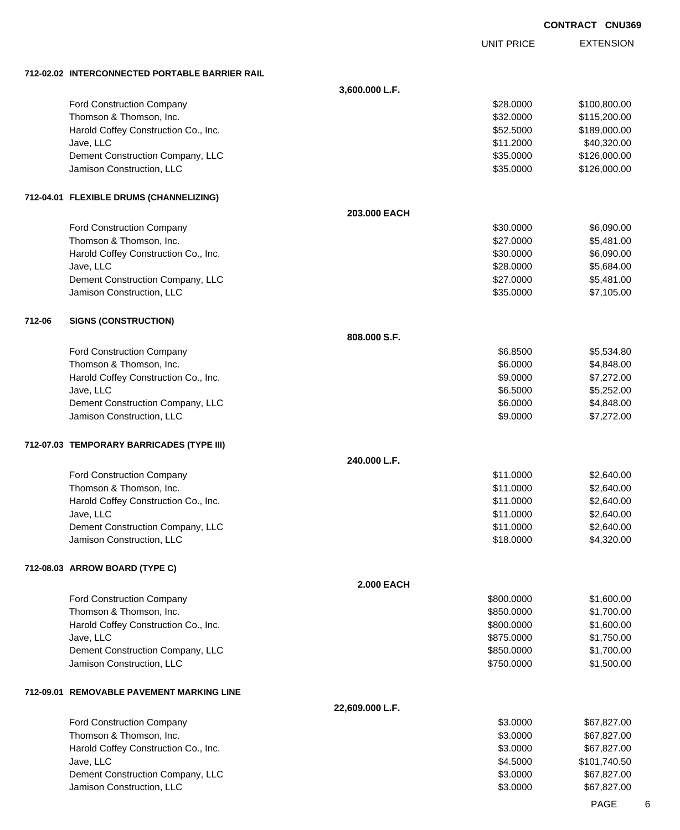UNIT PRICE

EXTENSION

**712-02.02 INTERCONNECTED PORTABLE BARRIER RAIL**

|        |                                           | 3,600.000 L.F.    |            |              |
|--------|-------------------------------------------|-------------------|------------|--------------|
|        | Ford Construction Company                 |                   | \$28.0000  | \$100,800.00 |
|        | Thomson & Thomson, Inc.                   |                   | \$32.0000  | \$115,200.00 |
|        | Harold Coffey Construction Co., Inc.      |                   | \$52.5000  | \$189,000.00 |
|        | Jave, LLC                                 |                   | \$11.2000  | \$40,320.00  |
|        | Dement Construction Company, LLC          |                   | \$35.0000  | \$126,000.00 |
|        | Jamison Construction, LLC                 |                   | \$35.0000  | \$126,000.00 |
|        | 712-04.01 FLEXIBLE DRUMS (CHANNELIZING)   |                   |            |              |
|        |                                           | 203.000 EACH      |            |              |
|        | Ford Construction Company                 |                   | \$30.0000  | \$6,090.00   |
|        | Thomson & Thomson, Inc.                   |                   | \$27.0000  | \$5,481.00   |
|        | Harold Coffey Construction Co., Inc.      |                   | \$30.0000  | \$6,090.00   |
|        | Jave, LLC                                 |                   | \$28.0000  | \$5,684.00   |
|        | Dement Construction Company, LLC          |                   | \$27.0000  | \$5,481.00   |
|        | Jamison Construction, LLC                 |                   | \$35.0000  | \$7,105.00   |
| 712-06 | <b>SIGNS (CONSTRUCTION)</b>               |                   |            |              |
|        |                                           | 808,000 S.F.      |            |              |
|        | Ford Construction Company                 |                   | \$6.8500   | \$5,534.80   |
|        | Thomson & Thomson, Inc.                   |                   | \$6.0000   | \$4,848.00   |
|        | Harold Coffey Construction Co., Inc.      |                   | \$9.0000   | \$7,272.00   |
|        | Jave, LLC                                 |                   | \$6.5000   | \$5,252.00   |
|        | Dement Construction Company, LLC          |                   | \$6.0000   | \$4,848.00   |
|        | Jamison Construction, LLC                 |                   | \$9.0000   | \$7,272.00   |
|        | 712-07.03 TEMPORARY BARRICADES (TYPE III) |                   |            |              |
|        |                                           | 240.000 L.F.      |            |              |
|        | Ford Construction Company                 |                   | \$11.0000  | \$2,640.00   |
|        | Thomson & Thomson, Inc.                   |                   | \$11.0000  | \$2,640.00   |
|        | Harold Coffey Construction Co., Inc.      |                   | \$11.0000  | \$2,640.00   |
|        | Jave, LLC                                 |                   | \$11.0000  | \$2,640.00   |
|        | Dement Construction Company, LLC          |                   | \$11.0000  | \$2,640.00   |
|        | Jamison Construction, LLC                 |                   | \$18.0000  | \$4,320.00   |
|        | 712-08.03 ARROW BOARD (TYPE C)            |                   |            |              |
|        |                                           | <b>2.000 EACH</b> |            |              |
|        | Ford Construction Company                 |                   | \$800.0000 | \$1,600.00   |
|        | Thomson & Thomson, Inc.                   |                   | \$850,0000 | \$1,700.00   |
|        | Harold Coffey Construction Co., Inc.      |                   | \$800.0000 | \$1,600.00   |
|        | Jave, LLC                                 |                   | \$875.0000 | \$1,750.00   |
|        | Dement Construction Company, LLC          |                   | \$850.0000 | \$1,700.00   |
|        | Jamison Construction, LLC                 |                   | \$750.0000 | \$1,500.00   |
|        | 712-09.01 REMOVABLE PAVEMENT MARKING LINE |                   |            |              |
|        |                                           | 22,609.000 L.F.   |            |              |
|        | Ford Construction Company                 |                   | \$3.0000   | \$67,827.00  |
|        | Thomson & Thomson, Inc.                   |                   | \$3.0000   | \$67,827.00  |
|        | Harold Coffey Construction Co., Inc.      |                   | \$3.0000   | \$67,827.00  |
|        | Jave, LLC                                 |                   | \$4.5000   | \$101,740.50 |
|        | Dement Construction Company, LLC          |                   | \$3.0000   | \$67,827.00  |
|        | Jamison Construction, LLC                 |                   | \$3.0000   | \$67,827.00  |
|        |                                           |                   |            |              |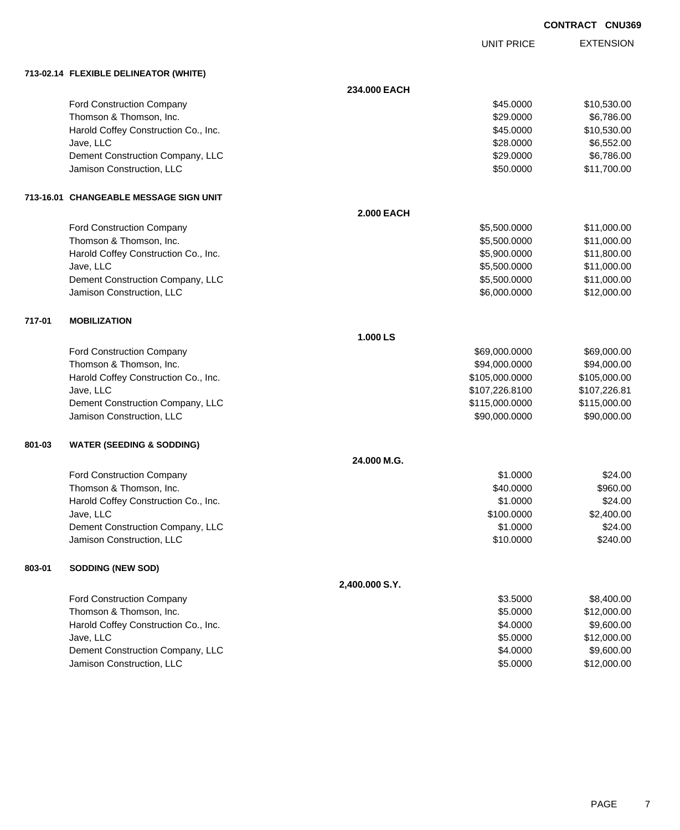|        |                                        |                   |                   | <b>CONTRACT CNU369</b> |
|--------|----------------------------------------|-------------------|-------------------|------------------------|
|        |                                        |                   | <b>UNIT PRICE</b> | <b>EXTENSION</b>       |
|        | 713-02.14 FLEXIBLE DELINEATOR (WHITE)  |                   |                   |                        |
|        |                                        | 234.000 EACH      |                   |                        |
|        | Ford Construction Company              |                   | \$45.0000         | \$10,530.00            |
|        | Thomson & Thomson, Inc.                |                   | \$29.0000         | \$6,786.00             |
|        | Harold Coffey Construction Co., Inc.   |                   | \$45.0000         | \$10,530.00            |
|        | Jave, LLC                              |                   | \$28.0000         | \$6,552.00             |
|        | Dement Construction Company, LLC       |                   | \$29.0000         | \$6,786.00             |
|        | Jamison Construction, LLC              |                   | \$50.0000         | \$11,700.00            |
|        | 713-16.01 CHANGEABLE MESSAGE SIGN UNIT |                   |                   |                        |
|        |                                        | <b>2.000 EACH</b> |                   |                        |
|        | <b>Ford Construction Company</b>       |                   | \$5,500.0000      | \$11,000.00            |
|        | Thomson & Thomson, Inc.                |                   | \$5,500.0000      | \$11,000.00            |
|        | Harold Coffey Construction Co., Inc.   |                   | \$5,900.0000      | \$11,800.00            |
|        | Jave, LLC                              |                   | \$5,500.0000      | \$11,000.00            |
|        | Dement Construction Company, LLC       |                   | \$5,500.0000      | \$11,000.00            |
|        | Jamison Construction, LLC              |                   | \$6,000.0000      | \$12,000.00            |
| 717-01 | <b>MOBILIZATION</b>                    |                   |                   |                        |
|        |                                        | 1.000 LS          |                   |                        |
|        | <b>Ford Construction Company</b>       |                   | \$69,000.0000     | \$69,000.00            |
|        | Thomson & Thomson, Inc.                |                   | \$94,000.0000     | \$94,000.00            |
|        | Harold Coffey Construction Co., Inc.   |                   | \$105,000.0000    | \$105,000.00           |
|        | Jave, LLC                              |                   | \$107,226.8100    | \$107,226.81           |
|        | Dement Construction Company, LLC       |                   | \$115,000.0000    | \$115,000.00           |
|        | Jamison Construction, LLC              |                   | \$90,000.0000     | \$90,000.00            |
| 801-03 | <b>WATER (SEEDING &amp; SODDING)</b>   |                   |                   |                        |
|        |                                        | 24.000 M.G.       |                   |                        |
|        | Ford Construction Company              |                   | \$1.0000          | \$24.00                |
|        | Thomson & Thomson, Inc.                |                   | \$40.0000         | \$960.00               |
|        | Harold Coffey Construction Co., Inc.   |                   | \$1.0000          | \$24.00                |
|        | Jave, LLC                              |                   | \$100.0000        | \$2,400.00             |
|        | Dement Construction Company, LLC       |                   | \$1.0000          | \$24.00                |
|        | Jamison Construction, LLC              |                   | \$10.0000         | \$240.00               |
| 803-01 | <b>SODDING (NEW SOD)</b>               |                   |                   |                        |
|        |                                        | 2,400.000 S.Y.    |                   |                        |
|        | <b>Ford Construction Company</b>       |                   | \$3.5000          | \$8,400.00             |
|        |                                        |                   |                   |                        |

| <b>Ford Construction Company</b>     | \$3.5000 | \$8.400.00  |
|--------------------------------------|----------|-------------|
| Thomson & Thomson, Inc.              | \$5,0000 | \$12,000.00 |
| Harold Coffey Construction Co., Inc. | \$4,0000 | \$9,600.00  |
| Jave, LLC                            | \$5,0000 | \$12,000.00 |
| Dement Construction Company, LLC     | \$4,0000 | \$9,600,00  |
| Jamison Construction, LLC            | \$5,0000 | \$12,000.00 |
|                                      |          |             |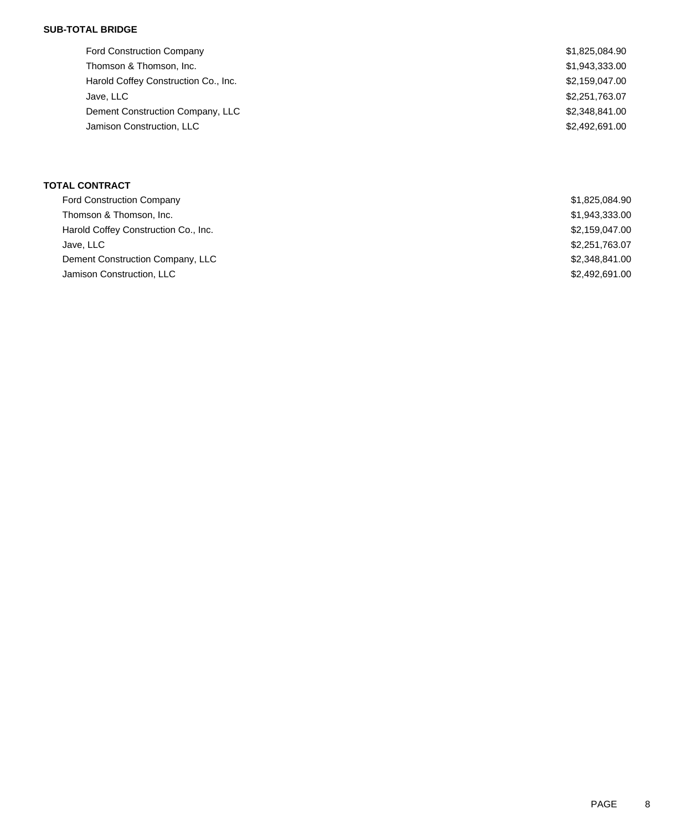### **SUB-TOTAL BRIDGE**

| <b>Ford Construction Company</b>     | \$1,825,084.90 |
|--------------------------------------|----------------|
| Thomson & Thomson, Inc.              | \$1,943,333.00 |
| Harold Coffey Construction Co., Inc. | \$2,159,047.00 |
| Jave, LLC                            | \$2,251,763.07 |
| Dement Construction Company, LLC     | \$2,348,841.00 |
| Jamison Construction, LLC            | \$2,492,691.00 |
|                                      |                |

## **TOTAL CONTRACT**

| <b>Ford Construction Company</b>     | \$1,825,084.90 |
|--------------------------------------|----------------|
| Thomson & Thomson, Inc.              | \$1,943,333.00 |
| Harold Coffey Construction Co., Inc. | \$2,159,047.00 |
| Jave, LLC                            | \$2,251,763.07 |
| Dement Construction Company, LLC     | \$2,348,841,00 |
| Jamison Construction, LLC            | \$2,492,691,00 |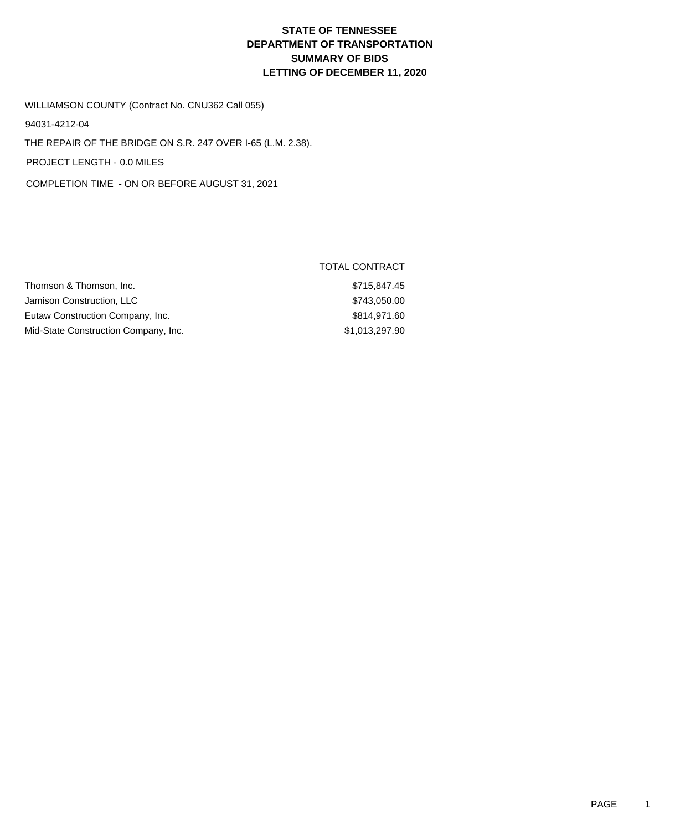# **DEPARTMENT OF TRANSPORTATION SUMMARY OF BIDS LETTING OF DECEMBER 11, 2020 STATE OF TENNESSEE**

#### WILLIAMSON COUNTY (Contract No. CNU362 Call 055)

94031-4212-04

THE REPAIR OF THE BRIDGE ON S.R. 247 OVER I-65 (L.M. 2.38).

PROJECT LENGTH - 0.0 MILES

COMPLETION TIME - ON OR BEFORE AUGUST 31, 2021

|                                      | <b>TOTAL CONTRACT</b> |  |
|--------------------------------------|-----------------------|--|
| Thomson & Thomson, Inc.              | \$715,847.45          |  |
| Jamison Construction, LLC            | \$743,050.00          |  |
| Eutaw Construction Company, Inc.     | \$814,971,60          |  |
| Mid-State Construction Company, Inc. | \$1,013,297.90        |  |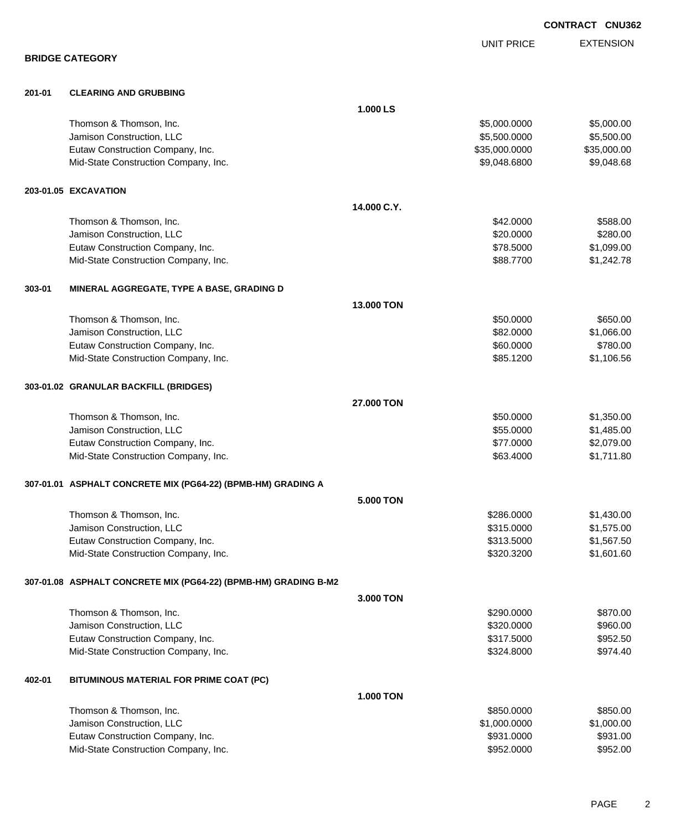EXTENSION UNIT PRICE **BRIDGE CATEGORY 201-01 CLEARING AND GRUBBING 1.000 LS** Thomson & Thomson, Inc. 6. The matrix of the state of the state of the state of the state of the state of the state of the state of the state of the state of the state of the state of the state of the state of the state of Uamison Construction, LLC 65,500.000 \$5,500.000 \$5,500.000 \$5,500.000 \$5,500.000 \$5,500.00 Eutaw Construction Company, Inc. 6. The Construction Company, Inc. 6. The Construction Company, Inc. 6. The Construction Company, Inc. 6. The Construction Company, Inc. 6. The Construction Company, Inc. 6. The Construction Mid-State Construction Company, Inc. 68 and the state of the state of the state of the state of the state of the state of the state of the state of the state of the state of the state of the state of the state of the state **203-01.05 EXCAVATION 14.000 C.Y.** Thomson & Thomson, Inc. \$42.0000 \$588.00 Jamison Construction, LLC 6280.000 \$280.000 \$280.000 \$280.000 \$280.000 \$280.000 \$280.00 Eutaw Construction Company, Inc. 6. The Construction Company, Inc. 6. The Construction Company, Inc. 6. The Construction Company, Inc. 6. The Construction Company, Inc. 6. The Construction Company, Inc. 6. The Construction Mid-State Construction Company, Inc. 6. The Construction Company, Inc. 6. The Construction Company, Inc. 6. The Construction Company, Inc. 6. The Construction Company, Inc. 6. The Construction Company, Inc. 6. The Construc **303-01 MINERAL AGGREGATE, TYPE A BASE, GRADING D 13.000 TON** Thomson & Thomson, Inc. 6650.000 \$650.000 \$650.000 \$650.000 \$650.000 \$650.000 \$650.00 Jamison Construction, LLC 66.000 \$1,066.00 Eutaw Construction Company, Inc. 60.000 \$780.000 \$780.000 \$780.000 \$780.000 \$780.00 Mid-State Construction Company, Inc. 66 and the state of the state of the state Construction Company, Inc. 66 **303-01.02 GRANULAR BACKFILL (BRIDGES) 27.000 TON** Thomson & Thomson, Inc. 6. The matrix of the state of the state of the state of the state of the state of the state of the state of the state of the state of the state of the state of the state of the state of the state of Jamison Construction, LLC \$55.0000 \$1,485.00 Eutaw Construction Company, Inc. 6. The Construction Company, Inc. 6. The Construction Company, Inc. 6. The Construction Company, Inc. 6. The Construction Company, Inc. 6. The Construction Company, Inc. 6. The Construction Mid-State Construction Company, Inc. 63.4000 \$1,711.80 **307-01.01 ASPHALT CONCRETE MIX (PG64-22) (BPMB-HM) GRADING A 5.000 TON** Thomson & Thomson, Inc. \$286.0000 \$1,430.00 Jamison Construction, LLC \$315.0000 \$1,575.00 Eutaw Construction Company, Inc. 6313.5000 \$1,567.50 Mid-State Construction Company, Inc. 601.60 and 1.601.60 \$320.3200 \$1,601.60 **307-01.08 ASPHALT CONCRETE MIX (PG64-22) (BPMB-HM) GRADING B-M2 3.000 TON** Thomson & Thomson, Inc. 66 (1992) 2008 12:30 (1993) 2008 12:40 (1994) 2008 12:40 (1994) 2009 12:40 (1995) 2009 Jamison Construction, LLC 60000 \$960.00 Eutaw Construction Company, Inc. 6952.50 Mid-State Construction Company, Inc. 6. The Construction Company, Inc. 6. The Construction Company, Inc. 6. The Construction Company, Inc. 6. The Construction Company, Inc. 6. The Construction Company, Inc. 6. The Construc **402-01 BITUMINOUS MATERIAL FOR PRIME COAT (PC) 1.000 TON** Thomson & Thomson, Inc. 6. The Contract of the Contract of the Contract of the Contract of the Contract of the S850.000 \$850.000 \$850.000 \$850.000 \$850.000 \$850.00 Jamison Construction, LLC \$1,000.0000 \$1,000.00 Eutaw Construction Company, Inc. 6931.000 \$931.000 \$931.000 \$931.000

Mid-State Construction Company, Inc. 6. The Construction Company, Inc. 6. The Construction Company, Inc. 6. The Construction Company, Inc. 6. The Construction Company, Inc. 6. The Construction Company, Inc. 6. The Construc

**CONTRACT CNU362**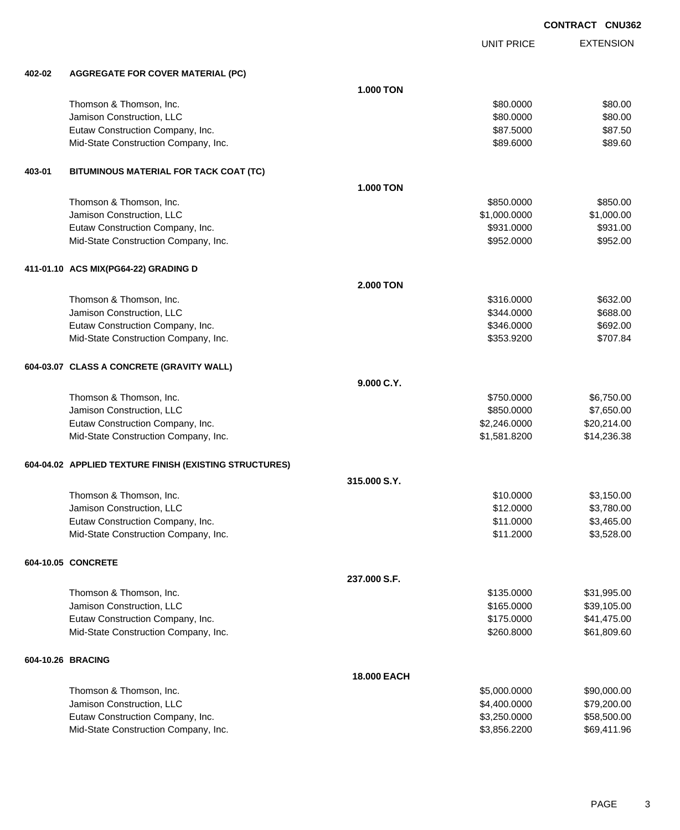UNIT PRICE

| 402-02 | <b>AGGREGATE FOR COVER MATERIAL (PC)</b>                                 |                    |                          |                      |
|--------|--------------------------------------------------------------------------|--------------------|--------------------------|----------------------|
|        |                                                                          | <b>1.000 TON</b>   |                          |                      |
|        | Thomson & Thomson, Inc.                                                  |                    | \$80.0000                | \$80.00              |
|        | Jamison Construction, LLC                                                |                    | \$80.0000                | \$80.00              |
|        | Eutaw Construction Company, Inc.                                         |                    | \$87.5000                | \$87.50              |
|        | Mid-State Construction Company, Inc.                                     |                    | \$89.6000                | \$89.60              |
|        |                                                                          |                    |                          |                      |
| 403-01 | BITUMINOUS MATERIAL FOR TACK COAT (TC)                                   |                    |                          |                      |
|        |                                                                          | <b>1.000 TON</b>   |                          |                      |
|        | Thomson & Thomson, Inc.                                                  |                    | \$850.0000               | \$850.00             |
|        | Jamison Construction, LLC                                                |                    | \$1,000.0000             | \$1,000.00           |
|        | Eutaw Construction Company, Inc.<br>Mid-State Construction Company, Inc. |                    | \$931.0000<br>\$952.0000 | \$931.00<br>\$952.00 |
|        |                                                                          |                    |                          |                      |
|        | 411-01.10 ACS MIX(PG64-22) GRADING D                                     |                    |                          |                      |
|        |                                                                          | <b>2.000 TON</b>   |                          |                      |
|        | Thomson & Thomson, Inc.                                                  |                    | \$316.0000               | \$632.00             |
|        | Jamison Construction, LLC                                                |                    | \$344.0000               | \$688.00             |
|        | Eutaw Construction Company, Inc.                                         |                    | \$346.0000               | \$692.00             |
|        | Mid-State Construction Company, Inc.                                     |                    | \$353.9200               | \$707.84             |
|        | 604-03.07 CLASS A CONCRETE (GRAVITY WALL)                                |                    |                          |                      |
|        |                                                                          | 9.000 C.Y.         |                          |                      |
|        | Thomson & Thomson, Inc.                                                  |                    | \$750.0000               | \$6,750.00           |
|        | Jamison Construction, LLC                                                |                    | \$850.0000               | \$7,650.00           |
|        | Eutaw Construction Company, Inc.                                         |                    | \$2,246.0000             | \$20,214.00          |
|        | Mid-State Construction Company, Inc.                                     |                    | \$1,581.8200             | \$14,236.38          |
|        | 604-04.02 APPLIED TEXTURE FINISH (EXISTING STRUCTURES)                   |                    |                          |                      |
|        |                                                                          | 315.000 S.Y.       |                          |                      |
|        | Thomson & Thomson, Inc.                                                  |                    | \$10.0000                | \$3,150.00           |
|        | Jamison Construction, LLC                                                |                    | \$12.0000                | \$3,780.00           |
|        | Eutaw Construction Company, Inc.                                         |                    | \$11.0000                | \$3,465.00           |
|        | Mid-State Construction Company, Inc.                                     |                    | \$11.2000                | \$3,528.00           |
|        | 604-10.05 CONCRETE                                                       |                    |                          |                      |
|        |                                                                          | 237.000 S.F.       |                          |                      |
|        | Thomson & Thomson, Inc.                                                  |                    | \$135.0000               | \$31,995.00          |
|        | Jamison Construction, LLC                                                |                    | \$165.0000               | \$39,105.00          |
|        | Eutaw Construction Company, Inc.                                         |                    | \$175.0000               | \$41,475.00          |
|        | Mid-State Construction Company, Inc.                                     |                    | \$260.8000               | \$61,809.60          |
|        | 604-10.26 BRACING                                                        |                    |                          |                      |
|        |                                                                          | <b>18.000 EACH</b> |                          |                      |
|        | Thomson & Thomson, Inc.                                                  |                    | \$5,000.0000             | \$90,000.00          |
|        | Jamison Construction, LLC                                                |                    | \$4,400.0000             | \$79,200.00          |
|        | Eutaw Construction Company, Inc.                                         |                    | \$3,250.0000             | \$58,500.00          |
|        | Mid-State Construction Company, Inc.                                     |                    | \$3,856.2200             | \$69,411.96          |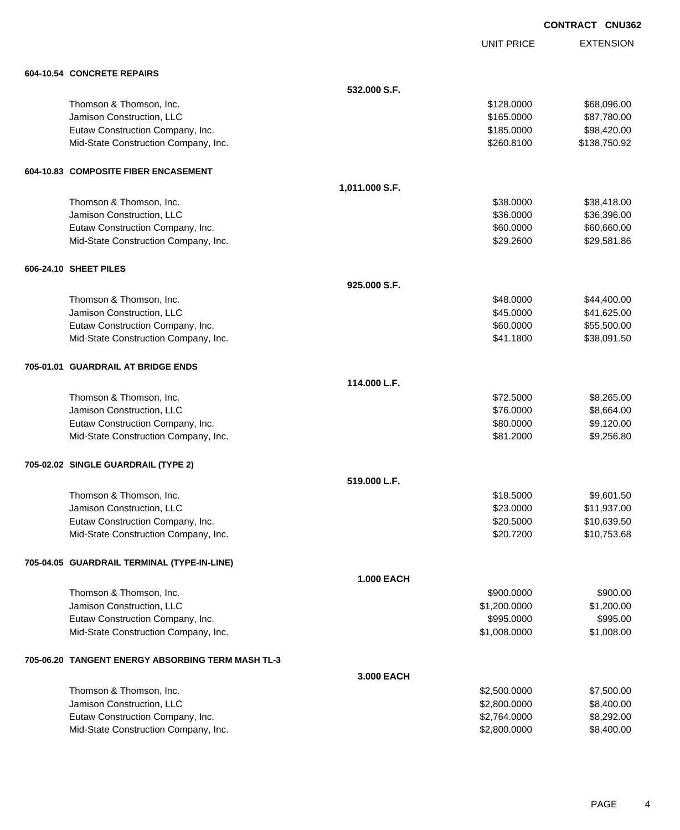UNIT PRICE

| 604-10.54 CONCRETE REPAIRS                        |                   |              |              |
|---------------------------------------------------|-------------------|--------------|--------------|
|                                                   | 532.000 S.F.      |              |              |
| Thomson & Thomson, Inc.                           |                   | \$128.0000   | \$68,096.00  |
| Jamison Construction, LLC                         |                   | \$165.0000   | \$87,780.00  |
| Eutaw Construction Company, Inc.                  |                   | \$185.0000   | \$98,420.00  |
| Mid-State Construction Company, Inc.              |                   | \$260.8100   | \$138,750.92 |
| 604-10.83 COMPOSITE FIBER ENCASEMENT              |                   |              |              |
|                                                   | 1,011.000 S.F.    |              |              |
| Thomson & Thomson, Inc.                           |                   | \$38.0000    | \$38,418.00  |
| Jamison Construction, LLC                         |                   | \$36.0000    | \$36,396.00  |
| Eutaw Construction Company, Inc.                  |                   | \$60.0000    | \$60,660.00  |
| Mid-State Construction Company, Inc.              |                   | \$29.2600    | \$29,581.86  |
| 606-24.10 SHEET PILES                             |                   |              |              |
|                                                   | 925.000 S.F.      |              |              |
| Thomson & Thomson, Inc.                           |                   | \$48.0000    | \$44,400.00  |
| Jamison Construction, LLC                         |                   | \$45.0000    | \$41,625.00  |
| Eutaw Construction Company, Inc.                  |                   | \$60.0000    | \$55,500.00  |
| Mid-State Construction Company, Inc.              |                   | \$41.1800    | \$38,091.50  |
| 705-01.01 GUARDRAIL AT BRIDGE ENDS                |                   |              |              |
|                                                   | 114.000 L.F.      |              |              |
| Thomson & Thomson, Inc.                           |                   | \$72.5000    | \$8,265.00   |
| Jamison Construction, LLC                         |                   | \$76.0000    | \$8,664.00   |
| Eutaw Construction Company, Inc.                  |                   | \$80.0000    | \$9,120.00   |
| Mid-State Construction Company, Inc.              |                   | \$81.2000    | \$9,256.80   |
| 705-02.02 SINGLE GUARDRAIL (TYPE 2)               |                   |              |              |
|                                                   | 519.000 L.F.      |              |              |
| Thomson & Thomson, Inc.                           |                   | \$18.5000    | \$9,601.50   |
| Jamison Construction, LLC                         |                   | \$23.0000    | \$11,937.00  |
| Eutaw Construction Company, Inc.                  |                   | \$20.5000    | \$10,639.50  |
| Mid-State Construction Company, Inc.              |                   | \$20.7200    | \$10,753.68  |
| 705-04.05 GUARDRAIL TERMINAL (TYPE-IN-LINE)       |                   |              |              |
|                                                   | <b>1.000 EACH</b> |              |              |
| Thomson & Thomson, Inc.                           |                   | \$900.0000   | \$900.00     |
| Jamison Construction, LLC                         |                   | \$1,200.0000 | \$1,200.00   |
| Eutaw Construction Company, Inc.                  |                   | \$995.0000   | \$995.00     |
| Mid-State Construction Company, Inc.              |                   | \$1,008.0000 | \$1,008.00   |
| 705-06.20 TANGENT ENERGY ABSORBING TERM MASH TL-3 |                   |              |              |
|                                                   | 3.000 EACH        |              |              |
| Thomson & Thomson, Inc.                           |                   | \$2,500.0000 | \$7,500.00   |
| Jamison Construction, LLC                         |                   | \$2,800.0000 | \$8,400.00   |
| Eutaw Construction Company, Inc.                  |                   | \$2,764.0000 | \$8,292.00   |
| Mid-State Construction Company, Inc.              |                   | \$2,800.0000 | \$8,400.00   |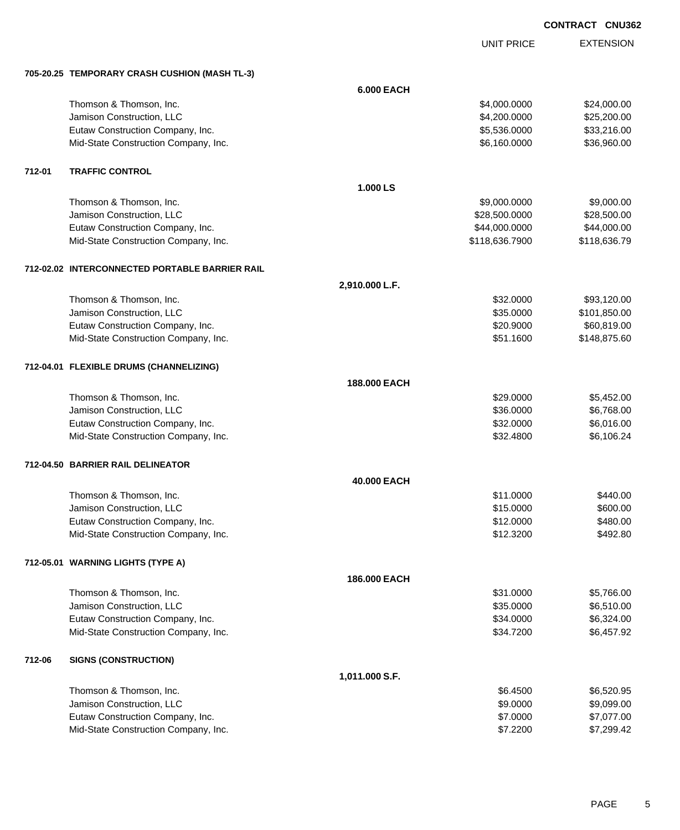UNIT PRICE EXTENSION

|        | 705-20.25 TEMPORARY CRASH CUSHION (MASH TL-3)  |                   |                |              |
|--------|------------------------------------------------|-------------------|----------------|--------------|
|        |                                                | <b>6.000 EACH</b> |                |              |
|        | Thomson & Thomson, Inc.                        |                   | \$4,000.0000   | \$24,000.00  |
|        | Jamison Construction, LLC                      |                   | \$4,200.0000   | \$25,200.00  |
|        | Eutaw Construction Company, Inc.               |                   | \$5,536.0000   | \$33,216.00  |
|        | Mid-State Construction Company, Inc.           |                   | \$6,160.0000   | \$36,960.00  |
| 712-01 | <b>TRAFFIC CONTROL</b>                         |                   |                |              |
|        |                                                | 1.000 LS          |                |              |
|        | Thomson & Thomson, Inc.                        |                   | \$9,000.0000   | \$9,000.00   |
|        | Jamison Construction, LLC                      |                   | \$28,500.0000  | \$28,500.00  |
|        | Eutaw Construction Company, Inc.               |                   | \$44,000.0000  | \$44,000.00  |
|        | Mid-State Construction Company, Inc.           |                   | \$118,636.7900 | \$118,636.79 |
|        | 712-02.02 INTERCONNECTED PORTABLE BARRIER RAIL |                   |                |              |
|        |                                                | 2,910.000 L.F.    |                |              |
|        | Thomson & Thomson, Inc.                        |                   | \$32.0000      | \$93,120.00  |
|        | Jamison Construction, LLC                      |                   | \$35.0000      | \$101,850.00 |
|        | Eutaw Construction Company, Inc.               |                   | \$20.9000      | \$60,819.00  |
|        | Mid-State Construction Company, Inc.           |                   | \$51.1600      | \$148,875.60 |
|        | 712-04.01 FLEXIBLE DRUMS (CHANNELIZING)        |                   |                |              |
|        |                                                | 188.000 EACH      |                |              |
|        | Thomson & Thomson, Inc.                        |                   | \$29.0000      | \$5,452.00   |
|        | Jamison Construction, LLC                      |                   | \$36.0000      | \$6,768.00   |
|        | Eutaw Construction Company, Inc.               |                   | \$32.0000      | \$6,016.00   |
|        | Mid-State Construction Company, Inc.           |                   | \$32.4800      | \$6,106.24   |
|        | 712-04.50 BARRIER RAIL DELINEATOR              |                   |                |              |
|        |                                                | 40.000 EACH       |                |              |
|        | Thomson & Thomson, Inc.                        |                   | \$11.0000      | \$440.00     |
|        | Jamison Construction, LLC                      |                   | \$15.0000      | \$600.00     |
|        | Eutaw Construction Company, Inc.               |                   | \$12.0000      | \$480.00     |
|        | Mid-State Construction Company, Inc.           |                   | \$12.3200      | \$492.80     |
|        | 712-05.01 WARNING LIGHTS (TYPE A)              |                   |                |              |
|        |                                                | 186.000 EACH      |                |              |
|        | Thomson & Thomson, Inc.                        |                   | \$31.0000      | \$5,766.00   |
|        | Jamison Construction, LLC                      |                   | \$35.0000      | \$6,510.00   |
|        | Eutaw Construction Company, Inc.               |                   | \$34.0000      | \$6,324.00   |
|        | Mid-State Construction Company, Inc.           |                   | \$34.7200      | \$6,457.92   |
| 712-06 | <b>SIGNS (CONSTRUCTION)</b>                    |                   |                |              |
|        |                                                | 1,011.000 S.F.    |                |              |
|        | Thomson & Thomson, Inc.                        |                   | \$6.4500       | \$6,520.95   |
|        | Jamison Construction, LLC                      |                   | \$9.0000       | \$9,099.00   |
|        | Eutaw Construction Company, Inc.               |                   | \$7.0000       | \$7,077.00   |
|        | Mid-State Construction Company, Inc.           |                   | \$7.2200       | \$7,299.42   |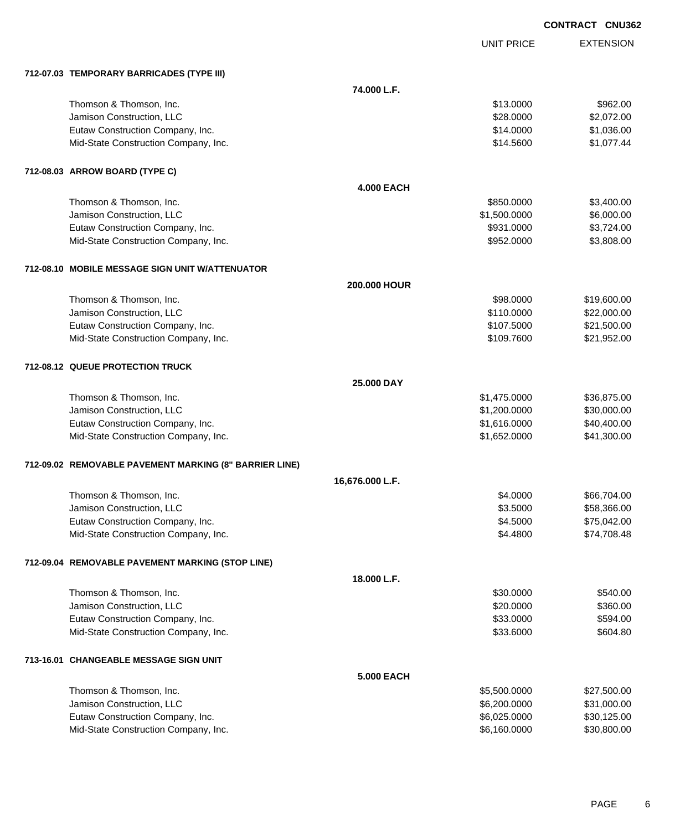UNIT PRICE

|  | 712-07.03 TEMPORARY BARRICADES (TYPE III) |  |
|--|-------------------------------------------|--|
|  |                                           |  |

| 712-07.03 TEMPORARY BARRICADES (TYPE III)              |                   |              |             |
|--------------------------------------------------------|-------------------|--------------|-------------|
|                                                        | 74.000 L.F.       |              |             |
| Thomson & Thomson, Inc.                                |                   | \$13.0000    | \$962.00    |
| Jamison Construction, LLC                              |                   | \$28.0000    | \$2,072.00  |
| Eutaw Construction Company, Inc.                       |                   | \$14.0000    | \$1,036.00  |
| Mid-State Construction Company, Inc.                   |                   | \$14.5600    | \$1,077.44  |
| 712-08.03 ARROW BOARD (TYPE C)                         |                   |              |             |
|                                                        | <b>4.000 EACH</b> |              |             |
| Thomson & Thomson, Inc.                                |                   | \$850.0000   | \$3,400.00  |
| Jamison Construction, LLC                              |                   | \$1,500.0000 | \$6,000.00  |
| Eutaw Construction Company, Inc.                       |                   | \$931.0000   | \$3,724.00  |
| Mid-State Construction Company, Inc.                   |                   | \$952.0000   | \$3,808.00  |
| 712-08.10 MOBILE MESSAGE SIGN UNIT W/ATTENUATOR        |                   |              |             |
|                                                        | 200.000 HOUR      |              |             |
| Thomson & Thomson, Inc.                                |                   | \$98.0000    | \$19,600.00 |
| Jamison Construction, LLC                              |                   | \$110.0000   | \$22,000.00 |
| Eutaw Construction Company, Inc.                       |                   | \$107.5000   | \$21,500.00 |
| Mid-State Construction Company, Inc.                   |                   | \$109.7600   | \$21,952.00 |
| 712-08.12 QUEUE PROTECTION TRUCK                       |                   |              |             |
|                                                        | 25.000 DAY        |              |             |
| Thomson & Thomson, Inc.                                |                   | \$1,475.0000 | \$36,875.00 |
| Jamison Construction, LLC                              |                   | \$1,200.0000 | \$30,000.00 |
| Eutaw Construction Company, Inc.                       |                   | \$1,616.0000 | \$40,400.00 |
| Mid-State Construction Company, Inc.                   |                   | \$1,652.0000 | \$41,300.00 |
| 712-09.02 REMOVABLE PAVEMENT MARKING (8" BARRIER LINE) |                   |              |             |
|                                                        | 16,676.000 L.F.   |              |             |
| Thomson & Thomson, Inc.                                |                   | \$4.0000     | \$66,704.00 |
| Jamison Construction, LLC                              |                   | \$3.5000     | \$58,366.00 |
| Eutaw Construction Company, Inc.                       |                   | \$4.5000     | \$75,042.00 |
| Mid-State Construction Company, Inc.                   |                   | \$4.4800     | \$74,708.48 |
| 712-09.04 REMOVABLE PAVEMENT MARKING (STOP LINE)       |                   |              |             |
|                                                        | 18.000 L.F.       |              |             |
| Thomson & Thomson, Inc.                                |                   | \$30.0000    | \$540.00    |
| Jamison Construction, LLC                              |                   | \$20.0000    | \$360.00    |
| Eutaw Construction Company, Inc.                       |                   | \$33.0000    | \$594.00    |
| Mid-State Construction Company, Inc.                   |                   | \$33.6000    | \$604.80    |
| 713-16.01 CHANGEABLE MESSAGE SIGN UNIT                 |                   |              |             |
|                                                        | <b>5.000 EACH</b> |              |             |
| Thomson & Thomson, Inc.                                |                   | \$5,500.0000 | \$27,500.00 |
| Jamison Construction, LLC                              |                   | \$6,200.0000 | \$31,000.00 |
| Eutaw Construction Company, Inc.                       |                   | \$6,025.0000 | \$30,125.00 |
| Mid-State Construction Company, Inc.                   |                   | \$6,160.0000 | \$30,800.00 |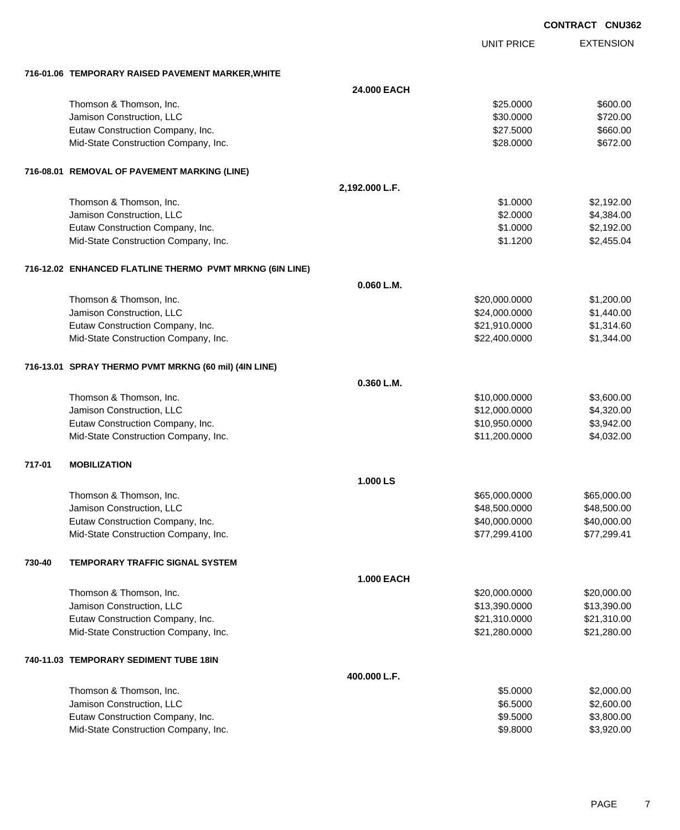|        |                                                          |                   |                   | <b>CONTRACT CNU362</b> |
|--------|----------------------------------------------------------|-------------------|-------------------|------------------------|
|        |                                                          |                   | <b>UNIT PRICE</b> | <b>EXTENSION</b>       |
|        | 716-01.06 TEMPORARY RAISED PAVEMENT MARKER, WHITE        |                   |                   |                        |
|        |                                                          | 24.000 EACH       |                   |                        |
|        | Thomson & Thomson, Inc.                                  |                   | \$25.0000         | \$600.00               |
|        | Jamison Construction, LLC                                |                   | \$30.0000         | \$720.00               |
|        | Eutaw Construction Company, Inc.                         |                   | \$27.5000         | \$660.00               |
|        | Mid-State Construction Company, Inc.                     |                   | \$28.0000         | \$672.00               |
|        | 716-08.01 REMOVAL OF PAVEMENT MARKING (LINE)             |                   |                   |                        |
|        |                                                          | 2,192.000 L.F.    |                   |                        |
|        | Thomson & Thomson, Inc.                                  |                   | \$1.0000          | \$2,192.00             |
|        | Jamison Construction, LLC                                |                   | \$2.0000          | \$4,384.00             |
|        | Eutaw Construction Company, Inc.                         |                   | \$1.0000          | \$2,192.00             |
|        | Mid-State Construction Company, Inc.                     |                   | \$1.1200          | \$2,455.04             |
|        | 716-12.02 ENHANCED FLATLINE THERMO PVMT MRKNG (6IN LINE) |                   |                   |                        |
|        |                                                          | 0.060 L.M.        |                   |                        |
|        | Thomson & Thomson, Inc.                                  |                   | \$20,000.0000     | \$1,200.00             |
|        | Jamison Construction, LLC                                |                   | \$24,000.0000     | \$1,440.00             |
|        | Eutaw Construction Company, Inc.                         |                   | \$21,910.0000     | \$1,314.60             |
|        | Mid-State Construction Company, Inc.                     |                   | \$22,400.0000     | \$1,344.00             |
|        | 716-13.01 SPRAY THERMO PVMT MRKNG (60 mil) (4IN LINE)    |                   |                   |                        |
|        |                                                          | 0.360 L.M.        |                   |                        |
|        | Thomson & Thomson, Inc.                                  |                   | \$10,000.0000     | \$3,600.00             |
|        | Jamison Construction, LLC                                |                   | \$12,000.0000     | \$4,320.00             |
|        | Eutaw Construction Company, Inc.                         |                   | \$10,950.0000     | \$3,942.00             |
|        | Mid-State Construction Company, Inc.                     |                   | \$11,200.0000     | \$4,032.00             |
| 717-01 | <b>MOBILIZATION</b>                                      |                   |                   |                        |
|        |                                                          | 1.000 LS          |                   |                        |
|        | Thomson & Thomson, Inc.                                  |                   | \$65,000.0000     | \$65,000.00            |
|        | Jamison Construction, LLC                                |                   | \$48,500.0000     | \$48,500.00            |
|        | Eutaw Construction Company, Inc.                         |                   | \$40,000.0000     | \$40,000.00            |
|        | Mid-State Construction Company, Inc.                     |                   | \$77,299.4100     | \$77,299.41            |
| 730-40 | TEMPORARY TRAFFIC SIGNAL SYSTEM                          |                   |                   |                        |
|        |                                                          | <b>1.000 EACH</b> |                   |                        |
|        | Thomson & Thomson, Inc.                                  |                   | \$20,000.0000     | \$20,000.00            |
|        | Jamison Construction, LLC                                |                   | \$13,390.0000     | \$13,390.00            |
|        | Eutaw Construction Company, Inc.                         |                   | \$21,310.0000     | \$21,310.00            |
|        | Mid-State Construction Company, Inc.                     |                   | \$21,280.0000     | \$21,280.00            |
|        | 740-11.03 TEMPORARY SEDIMENT TUBE 18IN                   |                   |                   |                        |
|        |                                                          | 400.000 L.F.      |                   |                        |
|        | Thomson & Thomson, Inc.                                  |                   | \$5.0000          | \$2,000.00             |
|        | Jamison Construction, LLC                                |                   | \$6.5000          | \$2,600.00             |
|        | Eutaw Construction Company, Inc.                         |                   | \$9.5000          | \$3,800.00             |
|        | Mid-State Construction Company, Inc.                     |                   | \$9.8000          | \$3,920.00             |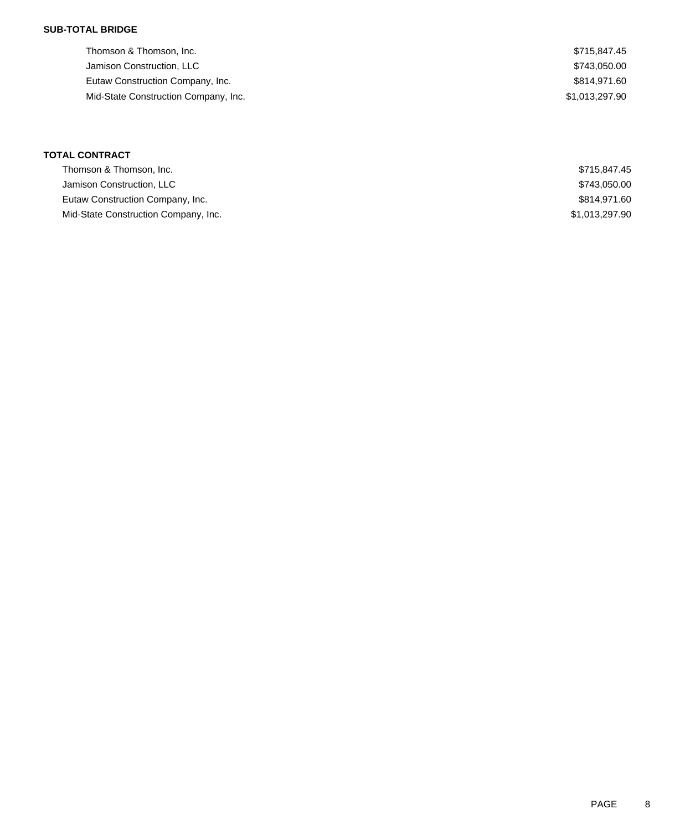### **SUB-TOTAL BRIDGE**

| Thomson & Thomson, Inc.              | \$715,847.45   |
|--------------------------------------|----------------|
| Jamison Construction, LLC            | \$743,050.00   |
| Eutaw Construction Company, Inc.     | \$814.971.60   |
| Mid-State Construction Company, Inc. | \$1,013,297.90 |
|                                      |                |

## **TOTAL CONTRACT**

| Thomson & Thomson, Inc.              | \$715.847.45   |
|--------------------------------------|----------------|
| Jamison Construction, LLC            | \$743.050.00   |
| Eutaw Construction Company, Inc.     | \$814.971.60   |
| Mid-State Construction Company, Inc. | \$1.013.297.90 |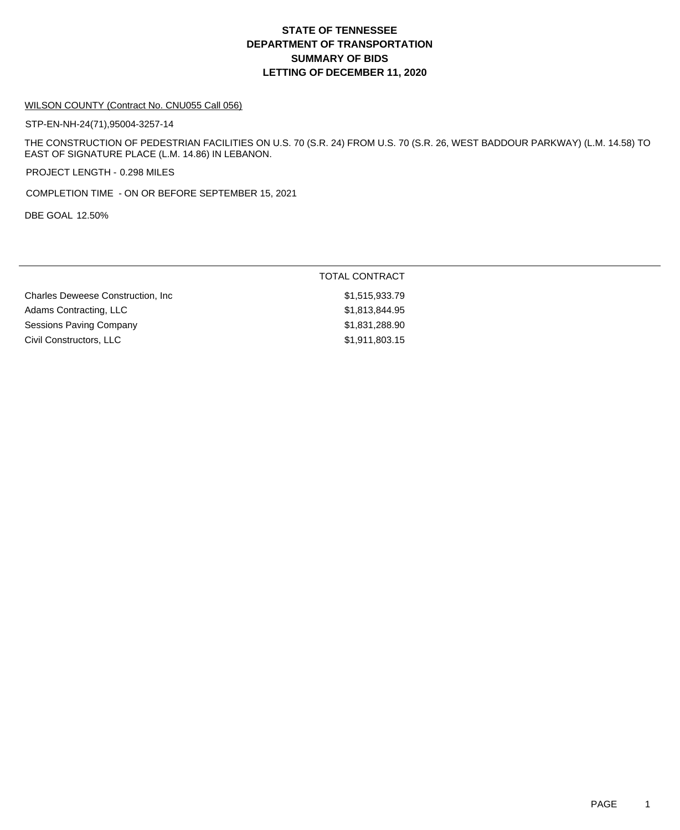## **DEPARTMENT OF TRANSPORTATION SUMMARY OF BIDS LETTING OF DECEMBER 11, 2020 STATE OF TENNESSEE**

#### WILSON COUNTY (Contract No. CNU055 Call 056)

STP-EN-NH-24(71),95004-3257-14

THE CONSTRUCTION OF PEDESTRIAN FACILITIES ON U.S. 70 (S.R. 24) FROM U.S. 70 (S.R. 26, WEST BADDOUR PARKWAY) (L.M. 14.58) TO EAST OF SIGNATURE PLACE (L.M. 14.86) IN LEBANON.

PROJECT LENGTH - 0.298 MILES

COMPLETION TIME - ON OR BEFORE SEPTEMBER 15, 2021

DBE GOAL 12.50%

|                                           | <b>TOTAL CONTRACT</b> |
|-------------------------------------------|-----------------------|
| <b>Charles Deweese Construction, Inc.</b> | \$1,515,933.79        |
| Adams Contracting, LLC                    | \$1,813,844.95        |
| Sessions Paving Company                   | \$1,831,288.90        |
| Civil Constructors, LLC                   | \$1,911,803.15        |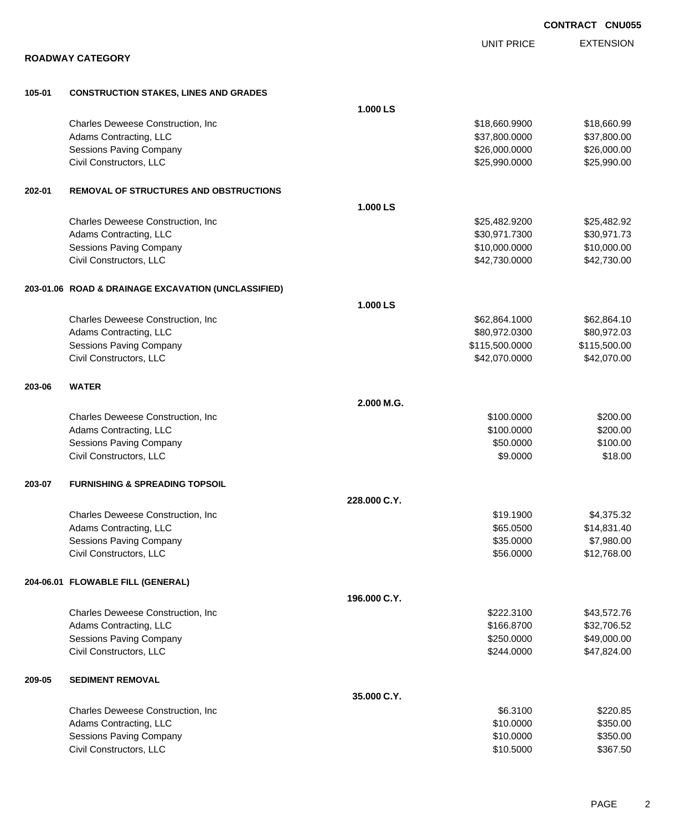|        |                                                     |              |                   | <b>CONTRACT CNU055</b> |
|--------|-----------------------------------------------------|--------------|-------------------|------------------------|
|        |                                                     |              | <b>UNIT PRICE</b> | <b>EXTENSION</b>       |
|        | <b>ROADWAY CATEGORY</b>                             |              |                   |                        |
| 105-01 | <b>CONSTRUCTION STAKES, LINES AND GRADES</b>        |              |                   |                        |
|        |                                                     | 1.000 LS     |                   |                        |
|        | Charles Deweese Construction, Inc.                  |              | \$18,660.9900     | \$18,660.99            |
|        | Adams Contracting, LLC                              |              | \$37,800.0000     | \$37,800.00            |
|        | <b>Sessions Paving Company</b>                      |              | \$26,000.0000     | \$26,000.00            |
|        | Civil Constructors, LLC                             |              | \$25,990.0000     | \$25,990.00            |
| 202-01 | <b>REMOVAL OF STRUCTURES AND OBSTRUCTIONS</b>       |              |                   |                        |
|        |                                                     | 1.000 LS     |                   |                        |
|        | Charles Deweese Construction, Inc.                  |              | \$25,482.9200     | \$25,482.92            |
|        | Adams Contracting, LLC                              |              | \$30,971.7300     | \$30,971.73            |
|        | Sessions Paving Company                             |              | \$10,000.0000     | \$10,000.00            |
|        | Civil Constructors, LLC                             |              | \$42,730.0000     | \$42,730.00            |
|        | 203-01.06 ROAD & DRAINAGE EXCAVATION (UNCLASSIFIED) |              |                   |                        |
|        |                                                     | 1.000 LS     |                   |                        |
|        | Charles Deweese Construction, Inc.                  |              | \$62,864.1000     | \$62,864.10            |
|        | Adams Contracting, LLC                              |              | \$80,972.0300     | \$80,972.03            |
|        | <b>Sessions Paving Company</b>                      |              | \$115,500.0000    | \$115,500.00           |
|        | Civil Constructors, LLC                             |              | \$42,070.0000     | \$42,070.00            |
| 203-06 | <b>WATER</b>                                        |              |                   |                        |
|        |                                                     | 2.000 M.G.   |                   |                        |
|        | Charles Deweese Construction, Inc.                  |              | \$100.0000        | \$200.00               |
|        | Adams Contracting, LLC                              |              | \$100.0000        | \$200.00               |
|        | Sessions Paving Company                             |              | \$50.0000         | \$100.00               |
|        | Civil Constructors, LLC                             |              | \$9.0000          | \$18.00                |
| 203-07 | <b>FURNISHING &amp; SPREADING TOPSOIL</b>           |              |                   |                        |
|        |                                                     | 228.000 C.Y. |                   |                        |
|        | Charles Deweese Construction, Inc.                  |              | \$19.1900         | \$4,375.32             |
|        | Adams Contracting, LLC                              |              | \$65.0500         | \$14,831.40            |
|        | Sessions Paving Company                             |              | \$35.0000         | \$7,980.00             |
|        | Civil Constructors, LLC                             |              | \$56.0000         | \$12,768.00            |
|        | 204-06.01 FLOWABLE FILL (GENERAL)                   |              |                   |                        |
|        |                                                     | 196.000 C.Y. |                   |                        |
|        | Charles Deweese Construction, Inc                   |              | \$222.3100        | \$43,572.76            |
|        | Adams Contracting, LLC                              |              | \$166.8700        | \$32,706.52            |
|        | Sessions Paving Company                             |              | \$250.0000        | \$49,000.00            |
|        | Civil Constructors, LLC                             |              | \$244.0000        | \$47,824.00            |
| 209-05 | <b>SEDIMENT REMOVAL</b>                             |              |                   |                        |
|        |                                                     | 35.000 C.Y.  |                   |                        |
|        | Charles Deweese Construction, Inc.                  |              | \$6.3100          | \$220.85               |
|        | Adams Contracting, LLC                              |              | \$10.0000         | \$350.00               |
|        | Sessions Paving Company                             |              | \$10.0000         | \$350.00               |
|        | Civil Constructors, LLC                             |              | \$10.5000         | \$367.50               |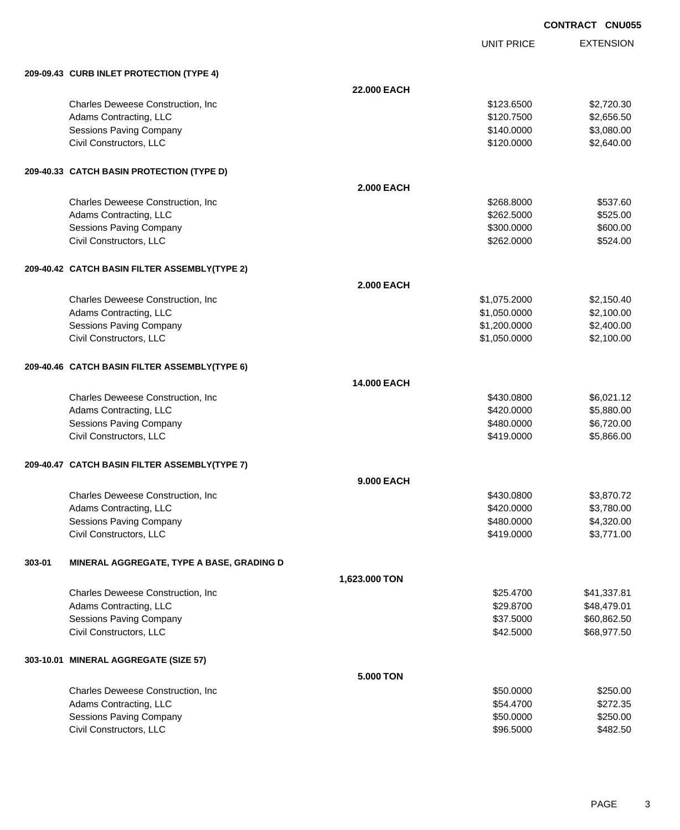UNIT PRICE

|        | 209-09.43 CURB INLET PROTECTION (TYPE 4)      |                    |              |             |
|--------|-----------------------------------------------|--------------------|--------------|-------------|
|        |                                               | 22.000 EACH        |              |             |
|        | Charles Deweese Construction, Inc             |                    | \$123.6500   | \$2,720.30  |
|        | Adams Contracting, LLC                        |                    | \$120.7500   | \$2,656.50  |
|        | <b>Sessions Paving Company</b>                |                    | \$140.0000   | \$3,080.00  |
|        | Civil Constructors, LLC                       |                    | \$120.0000   | \$2,640.00  |
|        | 209-40.33 CATCH BASIN PROTECTION (TYPE D)     |                    |              |             |
|        |                                               | <b>2.000 EACH</b>  |              |             |
|        | Charles Deweese Construction, Inc.            |                    | \$268,8000   | \$537.60    |
|        | Adams Contracting, LLC                        |                    | \$262.5000   | \$525.00    |
|        | Sessions Paving Company                       |                    | \$300.0000   | \$600.00    |
|        | Civil Constructors, LLC                       |                    | \$262.0000   | \$524.00    |
|        | 209-40.42 CATCH BASIN FILTER ASSEMBLY(TYPE 2) |                    |              |             |
|        |                                               | <b>2.000 EACH</b>  |              |             |
|        | Charles Deweese Construction, Inc             |                    | \$1,075.2000 | \$2,150.40  |
|        | Adams Contracting, LLC                        |                    | \$1,050.0000 | \$2,100.00  |
|        | Sessions Paving Company                       |                    | \$1,200.0000 | \$2,400.00  |
|        | Civil Constructors, LLC                       |                    | \$1,050.0000 | \$2,100.00  |
|        | 209-40.46 CATCH BASIN FILTER ASSEMBLY(TYPE 6) |                    |              |             |
|        |                                               | <b>14.000 EACH</b> |              |             |
|        | Charles Deweese Construction, Inc             |                    | \$430.0800   | \$6,021.12  |
|        | Adams Contracting, LLC                        |                    | \$420.0000   | \$5,880.00  |
|        | <b>Sessions Paving Company</b>                |                    | \$480.0000   | \$6,720.00  |
|        | Civil Constructors, LLC                       |                    | \$419.0000   | \$5,866.00  |
|        | 209-40.47 CATCH BASIN FILTER ASSEMBLY(TYPE 7) |                    |              |             |
|        |                                               | 9.000 EACH         |              |             |
|        | Charles Deweese Construction, Inc             |                    | \$430.0800   | \$3,870.72  |
|        | Adams Contracting, LLC                        |                    | \$420.0000   | \$3,780.00  |
|        | Sessions Paving Company                       |                    | \$480.0000   | \$4,320.00  |
|        | Civil Constructors, LLC                       |                    | \$419.0000   | \$3,771.00  |
| 303-01 | MINERAL AGGREGATE, TYPE A BASE, GRADING D     |                    |              |             |
|        |                                               | 1,623.000 TON      |              |             |
|        | Charles Deweese Construction, Inc             |                    | \$25.4700    | \$41,337.81 |
|        | Adams Contracting, LLC                        |                    | \$29.8700    | \$48,479.01 |
|        | Sessions Paving Company                       |                    | \$37.5000    | \$60,862.50 |
|        | Civil Constructors, LLC                       |                    | \$42.5000    | \$68,977.50 |
|        | 303-10.01 MINERAL AGGREGATE (SIZE 57)         |                    |              |             |
|        |                                               | 5.000 TON          |              |             |
|        | Charles Deweese Construction, Inc.            |                    | \$50.0000    | \$250.00    |
|        | Adams Contracting, LLC                        |                    | \$54.4700    | \$272.35    |
|        | Sessions Paving Company                       |                    | \$50.0000    | \$250.00    |
|        | Civil Constructors, LLC                       |                    | \$96.5000    | \$482.50    |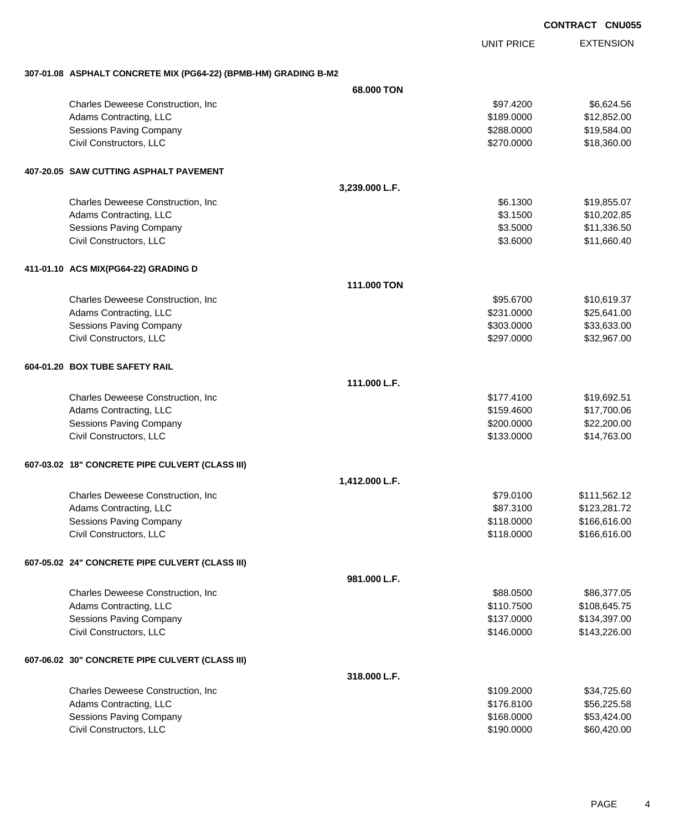UNIT PRICE EXTENSION

#### **307-01.08 ASPHALT CONCRETE MIX (PG64-22) (BPMB-HM) GRADING B-M2**

|                                                 | 68,000 TON     |            |              |
|-------------------------------------------------|----------------|------------|--------------|
| Charles Deweese Construction, Inc.              |                | \$97.4200  | \$6,624.56   |
| Adams Contracting, LLC                          |                | \$189.0000 | \$12,852.00  |
| <b>Sessions Paving Company</b>                  |                | \$288.0000 | \$19,584.00  |
| Civil Constructors, LLC                         |                | \$270.0000 | \$18,360.00  |
| 407-20.05 SAW CUTTING ASPHALT PAVEMENT          |                |            |              |
|                                                 | 3,239.000 L.F. |            |              |
| Charles Deweese Construction, Inc.              |                | \$6.1300   | \$19,855.07  |
| Adams Contracting, LLC                          |                | \$3.1500   | \$10,202.85  |
| <b>Sessions Paving Company</b>                  |                | \$3.5000   | \$11,336.50  |
| Civil Constructors, LLC                         |                | \$3.6000   | \$11,660.40  |
| 411-01.10 ACS MIX(PG64-22) GRADING D            |                |            |              |
|                                                 | 111.000 TON    |            |              |
| Charles Deweese Construction, Inc.              |                | \$95.6700  | \$10,619.37  |
| Adams Contracting, LLC                          |                | \$231.0000 | \$25,641.00  |
| <b>Sessions Paving Company</b>                  |                | \$303.0000 | \$33,633.00  |
| Civil Constructors, LLC                         |                | \$297.0000 | \$32,967.00  |
| 604-01.20 BOX TUBE SAFETY RAIL                  |                |            |              |
|                                                 | 111.000 L.F.   |            |              |
| Charles Deweese Construction, Inc.              |                | \$177.4100 | \$19,692.51  |
| Adams Contracting, LLC                          |                | \$159.4600 | \$17,700.06  |
| <b>Sessions Paving Company</b>                  |                | \$200.0000 | \$22,200.00  |
| Civil Constructors, LLC                         |                | \$133.0000 | \$14,763.00  |
| 607-03.02 18" CONCRETE PIPE CULVERT (CLASS III) |                |            |              |
|                                                 | 1,412.000 L.F. |            |              |
| Charles Deweese Construction, Inc.              |                | \$79.0100  | \$111,562.12 |
| Adams Contracting, LLC                          |                | \$87.3100  | \$123,281.72 |
| <b>Sessions Paving Company</b>                  |                | \$118.0000 | \$166,616.00 |
| Civil Constructors, LLC                         |                | \$118.0000 | \$166,616.00 |
| 607-05.02 24" CONCRETE PIPE CULVERT (CLASS III) |                |            |              |
|                                                 | 981.000 L.F.   |            |              |
| Charles Deweese Construction, Inc.              |                | \$88.0500  | \$86,377.05  |
| Adams Contracting, LLC                          |                | \$110.7500 | \$108,645.75 |
| <b>Sessions Paving Company</b>                  |                | \$137.0000 | \$134,397.00 |
| Civil Constructors, LLC                         |                | \$146.0000 | \$143,226.00 |
| 607-06.02 30" CONCRETE PIPE CULVERT (CLASS III) |                |            |              |
|                                                 | 318.000 L.F.   |            |              |
| Charles Deweese Construction, Inc.              |                | \$109.2000 | \$34,725.60  |
| Adams Contracting, LLC                          |                | \$176.8100 | \$56,225.58  |
| <b>Sessions Paving Company</b>                  |                | \$168.0000 | \$53,424.00  |
| Civil Constructors, LLC                         |                | \$190.0000 | \$60,420.00  |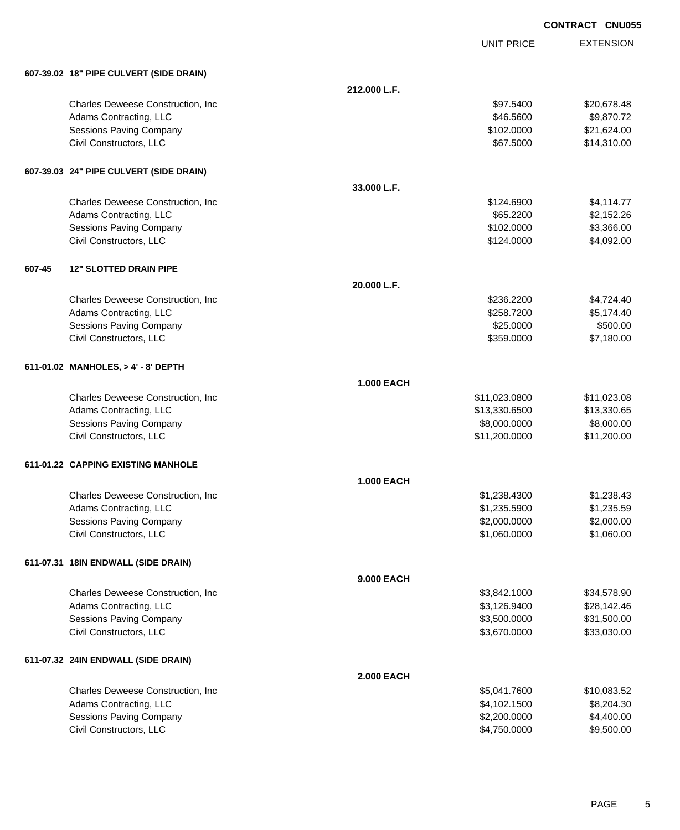|        |                                         |                   |                   | <b>CONTRACT CNU055</b> |
|--------|-----------------------------------------|-------------------|-------------------|------------------------|
|        |                                         |                   | <b>UNIT PRICE</b> | <b>EXTENSION</b>       |
|        | 607-39.02 18" PIPE CULVERT (SIDE DRAIN) |                   |                   |                        |
|        |                                         | 212.000 L.F.      |                   |                        |
|        | Charles Deweese Construction, Inc.      |                   | \$97.5400         | \$20,678.48            |
|        | Adams Contracting, LLC                  |                   | \$46.5600         | \$9,870.72             |
|        | Sessions Paving Company                 |                   | \$102.0000        | \$21,624.00            |
|        | Civil Constructors, LLC                 |                   | \$67.5000         | \$14,310.00            |
|        | 607-39.03 24" PIPE CULVERT (SIDE DRAIN) |                   |                   |                        |
|        |                                         | 33.000 L.F.       |                   |                        |
|        | Charles Deweese Construction, Inc.      |                   | \$124.6900        | \$4,114.77             |
|        | Adams Contracting, LLC                  |                   | \$65.2200         | \$2,152.26             |
|        | <b>Sessions Paving Company</b>          |                   | \$102.0000        | \$3,366.00             |
|        | Civil Constructors, LLC                 |                   | \$124.0000        | \$4,092.00             |
| 607-45 | <b>12" SLOTTED DRAIN PIPE</b>           |                   |                   |                        |
|        |                                         | 20.000 L.F.       |                   |                        |
|        | Charles Deweese Construction, Inc       |                   | \$236.2200        | \$4,724.40             |
|        | Adams Contracting, LLC                  |                   | \$258.7200        | \$5,174.40             |
|        | <b>Sessions Paving Company</b>          |                   | \$25.0000         | \$500.00               |
|        | Civil Constructors, LLC                 |                   | \$359.0000        | \$7,180.00             |
|        | 611-01.02 MANHOLES, > 4' - 8' DEPTH     |                   |                   |                        |
|        |                                         | <b>1.000 EACH</b> |                   |                        |
|        | Charles Deweese Construction, Inc       |                   | \$11,023.0800     | \$11,023.08            |
|        | Adams Contracting, LLC                  |                   | \$13,330.6500     | \$13,330.65            |
|        | Sessions Paving Company                 |                   | \$8,000.0000      | \$8,000.00             |
|        | Civil Constructors, LLC                 |                   | \$11,200.0000     | \$11,200.00            |
|        | 611-01.22 CAPPING EXISTING MANHOLE      |                   |                   |                        |
|        |                                         | <b>1.000 EACH</b> |                   |                        |
|        | Charles Deweese Construction, Inc.      |                   | \$1,238.4300      | \$1,238.43             |
|        | Adams Contracting, LLC                  |                   | \$1,235.5900      | \$1,235.59             |
|        | Sessions Paving Company                 |                   | \$2,000.0000      | \$2,000.00             |
|        | Civil Constructors, LLC                 |                   | \$1,060.0000      | \$1,060.00             |
|        | 611-07.31 18IN ENDWALL (SIDE DRAIN)     |                   |                   |                        |
|        |                                         | 9.000 EACH        |                   |                        |
|        | Charles Deweese Construction, Inc.      |                   | \$3,842.1000      | \$34,578.90            |
|        | Adams Contracting, LLC                  |                   | \$3,126.9400      | \$28,142.46            |
|        | Sessions Paving Company                 |                   | \$3,500.0000      | \$31,500.00            |
|        | Civil Constructors, LLC                 |                   | \$3,670.0000      | \$33,030.00            |
|        | 611-07.32 24IN ENDWALL (SIDE DRAIN)     |                   |                   |                        |
|        |                                         | <b>2.000 EACH</b> |                   |                        |
|        | Charles Deweese Construction, Inc       |                   | \$5,041.7600      | \$10,083.52            |
|        | Adams Contracting, LLC                  |                   | \$4,102.1500      | \$8,204.30             |
|        | <b>Sessions Paving Company</b>          |                   | \$2,200.0000      | \$4,400.00             |
|        | Civil Constructors, LLC                 |                   | \$4,750.0000      | \$9,500.00             |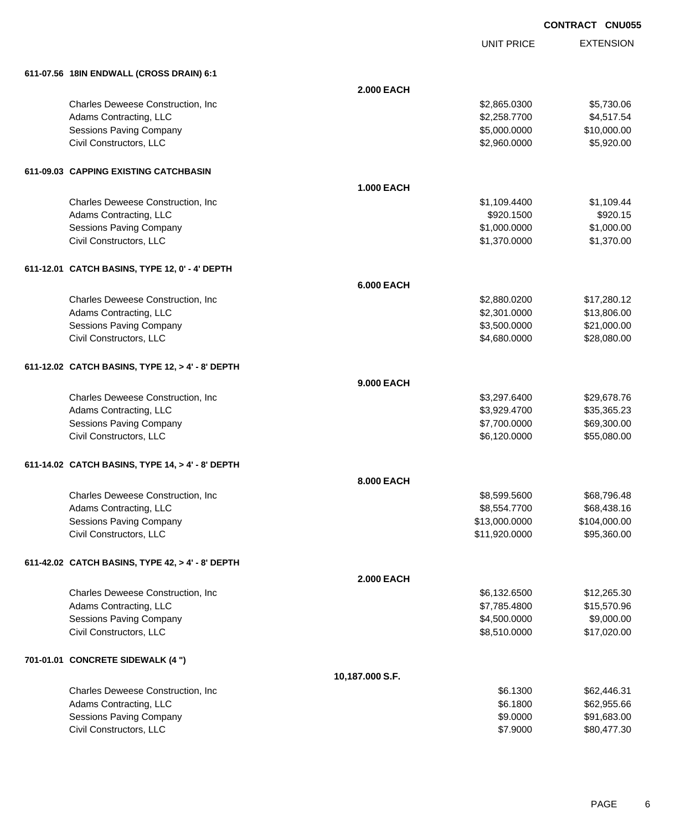| <b>CONTRACT CNU055</b> |  |
|------------------------|--|
|                        |  |

UNIT PRICE

| 611-07.56 18IN ENDWALL (CROSS DRAIN) 6:1         |                   |               |              |
|--------------------------------------------------|-------------------|---------------|--------------|
|                                                  | <b>2.000 EACH</b> |               |              |
| Charles Deweese Construction, Inc.               |                   | \$2,865.0300  | \$5,730.06   |
| Adams Contracting, LLC                           |                   | \$2,258.7700  | \$4,517.54   |
| <b>Sessions Paving Company</b>                   |                   | \$5,000.0000  | \$10,000.00  |
| Civil Constructors, LLC                          |                   | \$2,960.0000  | \$5,920.00   |
| 611-09.03 CAPPING EXISTING CATCHBASIN            |                   |               |              |
|                                                  | <b>1.000 EACH</b> |               |              |
| Charles Deweese Construction, Inc.               |                   | \$1,109.4400  | \$1,109.44   |
| Adams Contracting, LLC                           |                   | \$920.1500    | \$920.15     |
| Sessions Paving Company                          |                   | \$1,000.0000  | \$1,000.00   |
| Civil Constructors, LLC                          |                   | \$1,370.0000  | \$1,370.00   |
| 611-12.01 CATCH BASINS, TYPE 12, 0' - 4' DEPTH   |                   |               |              |
|                                                  | <b>6.000 EACH</b> |               |              |
| Charles Deweese Construction, Inc.               |                   | \$2,880.0200  | \$17,280.12  |
| Adams Contracting, LLC                           |                   | \$2,301.0000  | \$13,806.00  |
| Sessions Paving Company                          |                   | \$3,500.0000  | \$21,000.00  |
| Civil Constructors, LLC                          |                   | \$4,680.0000  | \$28,080.00  |
| 611-12.02 CATCH BASINS, TYPE 12, > 4' - 8' DEPTH |                   |               |              |
|                                                  | <b>9.000 EACH</b> |               |              |
| Charles Deweese Construction, Inc.               |                   | \$3,297.6400  | \$29,678.76  |
| Adams Contracting, LLC                           |                   | \$3,929.4700  | \$35,365.23  |
| <b>Sessions Paving Company</b>                   |                   | \$7,700.0000  | \$69,300.00  |
| Civil Constructors, LLC                          |                   | \$6,120.0000  | \$55,080.00  |
| 611-14.02 CATCH BASINS, TYPE 14, > 4' - 8' DEPTH |                   |               |              |
|                                                  | <b>8.000 EACH</b> |               |              |
| Charles Deweese Construction, Inc.               |                   | \$8,599.5600  | \$68,796.48  |
| Adams Contracting, LLC                           |                   | \$8,554.7700  | \$68,438.16  |
| <b>Sessions Paving Company</b>                   |                   | \$13,000.0000 | \$104,000.00 |
| Civil Constructors, LLC                          |                   | \$11,920.0000 | \$95,360.00  |
| 611-42.02 CATCH BASINS, TYPE 42, > 4' - 8' DEPTH |                   |               |              |
|                                                  | <b>2.000 EACH</b> |               |              |
| Charles Deweese Construction, Inc.               |                   | \$6,132.6500  | \$12,265.30  |
| Adams Contracting, LLC                           |                   | \$7,785.4800  | \$15,570.96  |
| Sessions Paving Company                          |                   | \$4,500.0000  | \$9,000.00   |
| Civil Constructors, LLC                          |                   | \$8,510.0000  | \$17,020.00  |
| 701-01.01 CONCRETE SIDEWALK (4 ")                |                   |               |              |
|                                                  | 10,187.000 S.F.   |               |              |
| Charles Deweese Construction, Inc.               |                   | \$6.1300      | \$62,446.31  |
| Adams Contracting, LLC                           |                   | \$6.1800      | \$62,955.66  |
| <b>Sessions Paving Company</b>                   |                   | \$9.0000      | \$91,683.00  |
| Civil Constructors, LLC                          |                   | \$7.9000      | \$80,477.30  |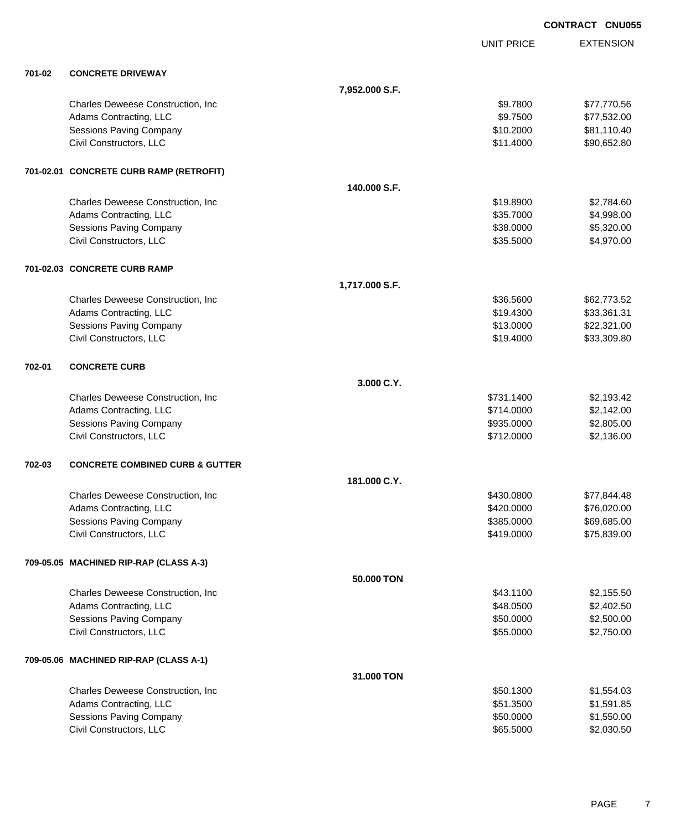|        |                                            |                |                   | <b>CONTRACT CNU055</b> |
|--------|--------------------------------------------|----------------|-------------------|------------------------|
|        |                                            |                | <b>UNIT PRICE</b> | <b>EXTENSION</b>       |
| 701-02 | <b>CONCRETE DRIVEWAY</b>                   |                |                   |                        |
|        |                                            | 7,952.000 S.F. |                   |                        |
|        | Charles Deweese Construction, Inc.         |                | \$9.7800          | \$77,770.56            |
|        | Adams Contracting, LLC                     |                | \$9.7500          | \$77,532.00            |
|        | Sessions Paving Company                    |                | \$10.2000         | \$81,110.40            |
|        | Civil Constructors, LLC                    |                | \$11.4000         | \$90,652.80            |
|        | 701-02.01 CONCRETE CURB RAMP (RETROFIT)    |                |                   |                        |
|        |                                            | 140.000 S.F.   |                   |                        |
|        | Charles Deweese Construction, Inc          |                | \$19.8900         | \$2,784.60             |
|        | Adams Contracting, LLC                     |                | \$35.7000         | \$4,998.00             |
|        | <b>Sessions Paving Company</b>             |                | \$38.0000         | \$5,320.00             |
|        | Civil Constructors, LLC                    |                | \$35.5000         | \$4,970.00             |
|        | 701-02.03 CONCRETE CURB RAMP               |                |                   |                        |
|        |                                            | 1,717.000 S.F. |                   |                        |
|        | Charles Deweese Construction, Inc          |                | \$36.5600         | \$62,773.52            |
|        | Adams Contracting, LLC                     |                | \$19.4300         | \$33,361.31            |
|        | <b>Sessions Paving Company</b>             |                | \$13.0000         | \$22,321.00            |
|        | Civil Constructors, LLC                    |                | \$19.4000         | \$33,309.80            |
| 702-01 | <b>CONCRETE CURB</b>                       |                |                   |                        |
|        |                                            | 3.000 C.Y.     |                   |                        |
|        | Charles Deweese Construction, Inc          |                | \$731.1400        | \$2,193.42             |
|        | Adams Contracting, LLC                     |                | \$714.0000        | \$2,142.00             |
|        | Sessions Paving Company                    |                | \$935.0000        | \$2,805.00             |
|        | Civil Constructors, LLC                    |                | \$712.0000        | \$2,136.00             |
| 702-03 | <b>CONCRETE COMBINED CURB &amp; GUTTER</b> |                |                   |                        |
|        |                                            | 181.000 C.Y.   |                   |                        |
|        | Charles Deweese Construction, Inc          |                | \$430.0800        | \$77,844.48            |
|        | Adams Contracting, LLC                     |                | \$420.0000        | \$76,020.00            |
|        | <b>Sessions Paving Company</b>             |                | \$385.0000        | \$69,685.00            |
|        | Civil Constructors, LLC                    |                | \$419.0000        | \$75,839.00            |
|        | 709-05.05 MACHINED RIP-RAP (CLASS A-3)     |                |                   |                        |
|        |                                            | 50.000 TON     |                   |                        |
|        | Charles Deweese Construction, Inc.         |                | \$43.1100         | \$2,155.50             |
|        | Adams Contracting, LLC                     |                | \$48.0500         | \$2,402.50             |
|        | Sessions Paving Company                    |                | \$50.0000         | \$2,500.00             |
|        | Civil Constructors, LLC                    |                | \$55.0000         | \$2,750.00             |
|        | 709-05.06 MACHINED RIP-RAP (CLASS A-1)     |                |                   |                        |
|        |                                            | 31.000 TON     |                   |                        |
|        | Charles Deweese Construction, Inc          |                | \$50.1300         | \$1,554.03             |
|        | Adams Contracting, LLC                     |                | \$51.3500         | \$1,591.85             |
|        | <b>Sessions Paving Company</b>             |                | \$50.0000         | \$1,550.00             |
|        | Civil Constructors, LLC                    |                | \$65.5000         | \$2,030.50             |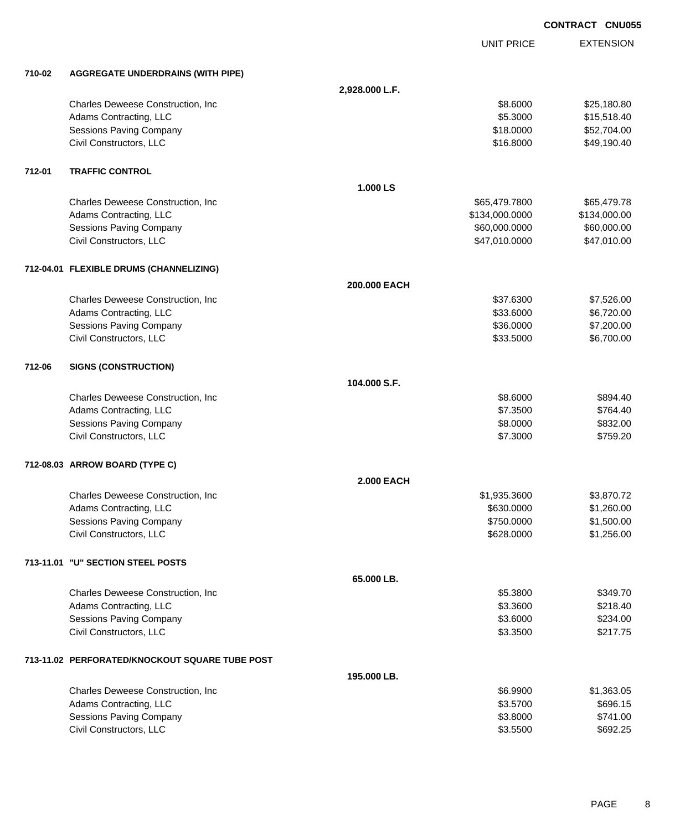|        |                                                |                   |                   | <b>CONTRACT CNU055</b> |                  |
|--------|------------------------------------------------|-------------------|-------------------|------------------------|------------------|
|        |                                                |                   | <b>UNIT PRICE</b> |                        | <b>EXTENSION</b> |
| 710-02 | <b>AGGREGATE UNDERDRAINS (WITH PIPE)</b>       |                   |                   |                        |                  |
|        |                                                | 2,928.000 L.F.    |                   |                        |                  |
|        | Charles Deweese Construction, Inc              |                   | \$8.6000          |                        | \$25,180.80      |
|        | Adams Contracting, LLC                         |                   | \$5.3000          |                        | \$15,518.40      |
|        | <b>Sessions Paving Company</b>                 |                   | \$18.0000         |                        | \$52,704.00      |
|        | Civil Constructors, LLC                        |                   | \$16.8000         |                        | \$49,190.40      |
| 712-01 | <b>TRAFFIC CONTROL</b>                         |                   |                   |                        |                  |
|        |                                                | 1.000 LS          |                   |                        |                  |
|        | Charles Deweese Construction, Inc              |                   | \$65,479.7800     |                        | \$65,479.78      |
|        | Adams Contracting, LLC                         |                   | \$134,000.0000    | \$134,000.00           |                  |
|        | Sessions Paving Company                        |                   | \$60,000.0000     |                        | \$60,000.00      |
|        | Civil Constructors, LLC                        |                   | \$47,010.0000     |                        | \$47,010.00      |
|        | 712-04.01 FLEXIBLE DRUMS (CHANNELIZING)        |                   |                   |                        |                  |
|        |                                                | 200.000 EACH      |                   |                        |                  |
|        | Charles Deweese Construction, Inc              |                   | \$37.6300         |                        | \$7,526.00       |
|        | Adams Contracting, LLC                         |                   | \$33.6000         |                        | \$6,720.00       |
|        | Sessions Paving Company                        |                   | \$36.0000         |                        | \$7,200.00       |
|        | Civil Constructors, LLC                        |                   | \$33.5000         |                        | \$6,700.00       |
| 712-06 | <b>SIGNS (CONSTRUCTION)</b>                    |                   |                   |                        |                  |
|        |                                                | 104.000 S.F.      |                   |                        |                  |
|        | Charles Deweese Construction, Inc              |                   | \$8.6000          |                        | \$894.40         |
|        | Adams Contracting, LLC                         |                   | \$7.3500          |                        | \$764.40         |
|        | Sessions Paving Company                        |                   | \$8.0000          |                        | \$832.00         |
|        | Civil Constructors, LLC                        |                   | \$7.3000          |                        | \$759.20         |
|        | 712-08.03 ARROW BOARD (TYPE C)                 |                   |                   |                        |                  |
|        |                                                | <b>2.000 EACH</b> |                   |                        |                  |
|        | Charles Deweese Construction, Inc.             |                   | \$1,935.3600      |                        | \$3,870.72       |
|        | Adams Contracting, LLC                         |                   | \$630.0000        |                        | \$1,260.00       |
|        | <b>Sessions Paving Company</b>                 |                   | \$750.0000        |                        | \$1,500.00       |
|        | Civil Constructors, LLC                        |                   | \$628.0000        |                        | \$1,256.00       |
|        | 713-11.01 "U" SECTION STEEL POSTS              |                   |                   |                        |                  |
|        |                                                | 65.000 LB.        |                   |                        |                  |
|        | Charles Deweese Construction, Inc              |                   | \$5.3800          |                        | \$349.70         |
|        | Adams Contracting, LLC                         |                   | \$3.3600          |                        | \$218.40         |
|        | Sessions Paving Company                        |                   | \$3.6000          |                        | \$234.00         |
|        | Civil Constructors, LLC                        |                   | \$3.3500          |                        | \$217.75         |
|        | 713-11.02 PERFORATED/KNOCKOUT SQUARE TUBE POST |                   |                   |                        |                  |
|        |                                                | 195.000 LB.       |                   |                        |                  |
|        | Charles Deweese Construction, Inc              |                   | \$6.9900          |                        | \$1,363.05       |
|        | Adams Contracting, LLC                         |                   | \$3.5700          |                        | \$696.15         |
|        | Sessions Paving Company                        |                   | \$3.8000          |                        | \$741.00         |

Civil Constructors, LLC \$3.5500 \$692.25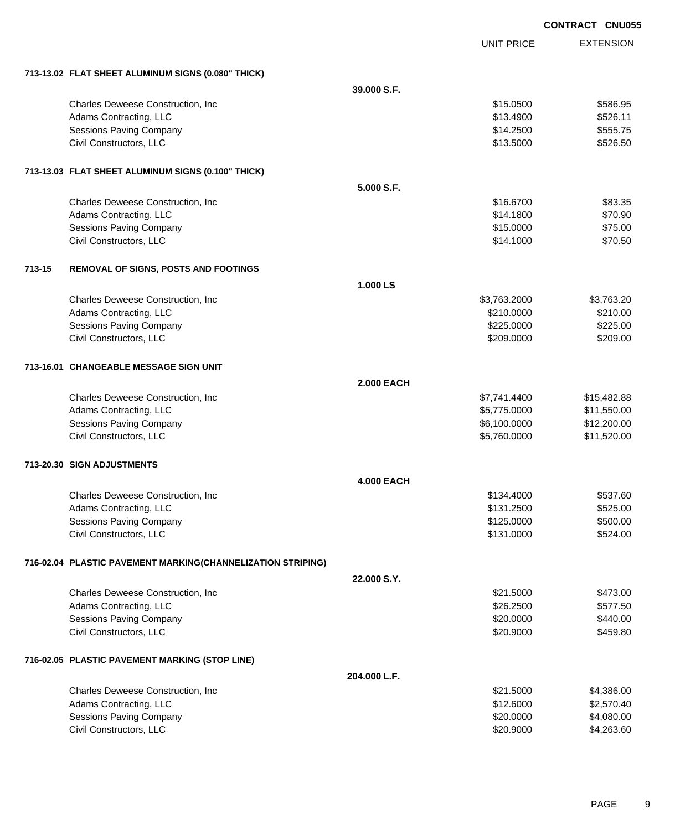|        |                                                             |                   |                   | <b>CONTRACT CNU05</b> |
|--------|-------------------------------------------------------------|-------------------|-------------------|-----------------------|
|        |                                                             |                   | <b>UNIT PRICE</b> | <b>EXTENSION</b>      |
|        | 713-13.02 FLAT SHEET ALUMINUM SIGNS (0.080" THICK)          |                   |                   |                       |
|        |                                                             | 39,000 S.F.       |                   |                       |
|        | Charles Deweese Construction, Inc.                          |                   | \$15.0500         | \$586.95              |
|        | Adams Contracting, LLC                                      |                   | \$13.4900         | \$526.11              |
|        | Sessions Paving Company                                     |                   | \$14.2500         | \$555.75              |
|        | Civil Constructors, LLC                                     |                   | \$13.5000         | \$526.50              |
|        | 713-13.03 FLAT SHEET ALUMINUM SIGNS (0.100" THICK)          |                   |                   |                       |
|        |                                                             | 5.000 S.F.        |                   |                       |
|        | Charles Deweese Construction, Inc                           |                   | \$16.6700         | \$83.35               |
|        | Adams Contracting, LLC                                      |                   | \$14.1800         | \$70.90               |
|        | <b>Sessions Paving Company</b>                              |                   | \$15.0000         | \$75.00               |
|        | Civil Constructors, LLC                                     |                   | \$14.1000         | \$70.50               |
| 713-15 | REMOVAL OF SIGNS, POSTS AND FOOTINGS                        |                   |                   |                       |
|        |                                                             | 1.000 LS          |                   |                       |
|        | Charles Deweese Construction, Inc.                          |                   | \$3,763.2000      | \$3,763.20            |
|        | Adams Contracting, LLC                                      |                   | \$210.0000        | \$210.00              |
|        | <b>Sessions Paving Company</b>                              |                   | \$225.0000        | \$225.00              |
|        | Civil Constructors, LLC                                     |                   | \$209.0000        | \$209.00              |
|        | 713-16.01   CHANGEABLE MESSAGE SIGN UNIT                    |                   |                   |                       |
|        |                                                             | <b>2.000 EACH</b> |                   |                       |
|        | Charles Deweese Construction, Inc.                          |                   | \$7,741.4400      | \$15,482.88           |
|        | Adams Contracting, LLC                                      |                   | \$5,775.0000      | \$11,550.00           |
|        | <b>Sessions Paving Company</b>                              |                   | \$6,100.0000      | \$12,200.00           |
|        | Civil Constructors, LLC                                     |                   | \$5,760.0000      | \$11,520.00           |
|        | 713-20.30 SIGN ADJUSTMENTS                                  |                   |                   |                       |
|        |                                                             | <b>4.000 EACH</b> |                   |                       |
|        | Charles Deweese Construction, Inc                           |                   | \$134.4000        | \$537.60              |
|        | Adams Contracting, LLC                                      |                   | \$131.2500        | \$525.00              |
|        | <b>Sessions Paving Company</b>                              |                   | \$125.0000        | \$500.00              |
|        | Civil Constructors, LLC                                     |                   | \$131.0000        | \$524.00              |
|        | 716-02.04 PLASTIC PAVEMENT MARKING(CHANNELIZATION STRIPING) |                   |                   |                       |
|        |                                                             | 22.000 S.Y.       |                   |                       |
|        | Charles Deweese Construction, Inc.                          |                   | \$21.5000         | \$473.00              |
|        | Adams Contracting, LLC                                      |                   | \$26.2500         | \$577.50              |
|        | Sessions Paving Company                                     |                   | \$20.0000         | \$440.00              |
|        | Civil Constructors, LLC                                     |                   | \$20.9000         | \$459.80              |
|        | 716-02.05 PLASTIC PAVEMENT MARKING (STOP LINE)              |                   |                   |                       |
|        |                                                             | 204.000 L.F.      |                   |                       |
|        | Charles Deweese Construction, Inc.                          |                   | \$21.5000         | \$4,386.00            |
|        | Adams Contracting, LLC                                      |                   | \$12.6000         | \$2,570.40            |
|        | Sessions Paving Company                                     |                   | \$20.0000         | \$4,080.00            |

Civil Constructors, LLC \$20.9000 \$4,263.60

**CO**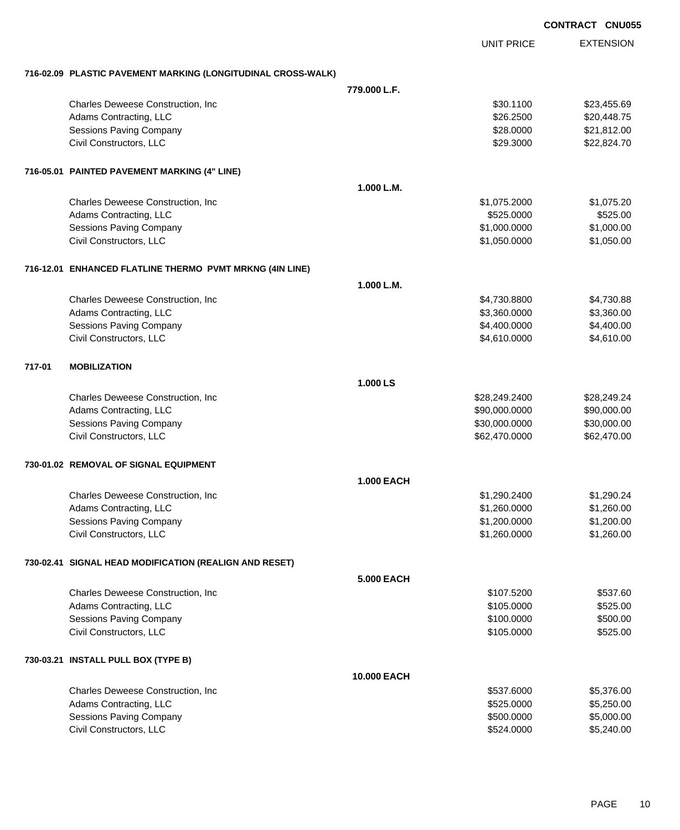|        |                                                              |                   |                   | <b>CONTRACT CNU055</b> |
|--------|--------------------------------------------------------------|-------------------|-------------------|------------------------|
|        |                                                              |                   | <b>UNIT PRICE</b> | <b>EXTENSION</b>       |
|        | 716-02.09 PLASTIC PAVEMENT MARKING (LONGITUDINAL CROSS-WALK) |                   |                   |                        |
|        |                                                              | 779.000 L.F.      |                   |                        |
|        | Charles Deweese Construction, Inc.                           |                   | \$30.1100         | \$23,455.69            |
|        | Adams Contracting, LLC                                       |                   | \$26.2500         | \$20,448.75            |
|        | Sessions Paving Company                                      |                   | \$28.0000         | \$21,812.00            |
|        | Civil Constructors, LLC                                      |                   | \$29.3000         | \$22,824.70            |
|        | 716-05.01 PAINTED PAVEMENT MARKING (4" LINE)                 |                   |                   |                        |
|        |                                                              | 1.000 L.M.        |                   |                        |
|        | Charles Deweese Construction, Inc.                           |                   | \$1,075.2000      | \$1,075.20             |
|        | Adams Contracting, LLC                                       |                   | \$525.0000        | \$525.00               |
|        | Sessions Paving Company                                      |                   | \$1,000.0000      | \$1,000.00             |
|        | Civil Constructors, LLC                                      |                   | \$1,050.0000      | \$1,050.00             |
|        | 716-12.01 ENHANCED FLATLINE THERMO PVMT MRKNG (4IN LINE)     |                   |                   |                        |
|        |                                                              | 1.000 L.M.        |                   |                        |
|        | Charles Deweese Construction, Inc.                           |                   | \$4,730.8800      | \$4,730.88             |
|        | Adams Contracting, LLC                                       |                   | \$3,360.0000      | \$3,360.00             |
|        | Sessions Paving Company                                      |                   | \$4,400.0000      | \$4,400.00             |
|        | Civil Constructors, LLC                                      |                   | \$4,610.0000      | \$4,610.00             |
| 717-01 | <b>MOBILIZATION</b>                                          |                   |                   |                        |
|        |                                                              | 1.000 LS          |                   |                        |
|        | Charles Deweese Construction, Inc                            |                   | \$28,249.2400     | \$28,249.24            |
|        | Adams Contracting, LLC                                       |                   | \$90,000.0000     | \$90,000.00            |
|        | Sessions Paving Company                                      |                   | \$30,000.0000     | \$30,000.00            |
|        | Civil Constructors, LLC                                      |                   | \$62,470.0000     | \$62,470.00            |
|        | 730-01.02 REMOVAL OF SIGNAL EQUIPMENT                        |                   |                   |                        |
|        |                                                              | <b>1.000 EACH</b> |                   |                        |
|        | Charles Deweese Construction, Inc                            |                   | \$1,290.2400      | \$1,290.24             |
|        | Adams Contracting, LLC                                       |                   | \$1,260.0000      | \$1,260.00             |
|        | Sessions Paving Company                                      |                   | \$1,200.0000      | \$1,200.00             |
|        | Civil Constructors, LLC                                      |                   | \$1,260.0000      | \$1,260.00             |
|        | 730-02.41 SIGNAL HEAD MODIFICATION (REALIGN AND RESET)       |                   |                   |                        |
|        |                                                              | 5.000 EACH        |                   |                        |
|        | Charles Deweese Construction, Inc                            |                   | \$107.5200        | \$537.60               |
|        | Adams Contracting, LLC                                       |                   | \$105.0000        | \$525.00               |
|        | Sessions Paving Company                                      |                   | \$100.0000        | \$500.00               |
|        | Civil Constructors, LLC                                      |                   | \$105.0000        | \$525.00               |
|        | 730-03.21 INSTALL PULL BOX (TYPE B)                          |                   |                   |                        |
|        |                                                              | 10.000 EACH       |                   |                        |
|        | Charles Deweese Construction, Inc                            |                   | \$537.6000        | \$5,376.00             |
|        | Adams Contracting, LLC                                       |                   | \$525.0000        | \$5,250.00             |
|        | Sessions Paving Company                                      |                   | \$500.0000        | \$5,000.00             |
|        | Civil Constructors, LLC                                      |                   | \$524.0000        | \$5,240.00             |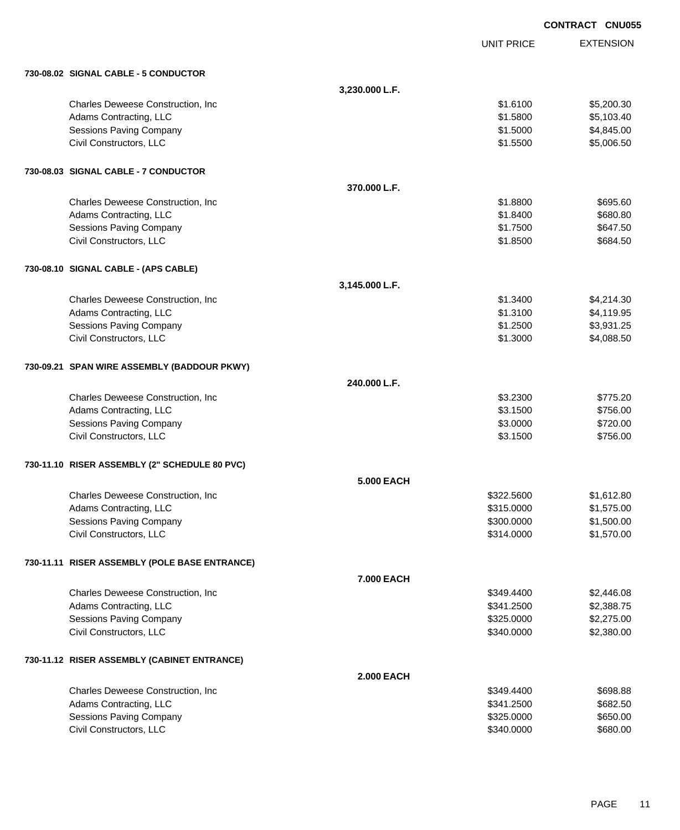|                                                    |                   |                          | <b>CONTRACT CNU055</b> |                          |
|----------------------------------------------------|-------------------|--------------------------|------------------------|--------------------------|
|                                                    |                   | <b>UNIT PRICE</b>        |                        | <b>EXTENSION</b>         |
| 730-08.02 SIGNAL CABLE - 5 CONDUCTOR               |                   |                          |                        |                          |
|                                                    | 3,230.000 L.F.    |                          |                        |                          |
| Charles Deweese Construction, Inc                  |                   | \$1.6100                 |                        | \$5,200.30               |
| Adams Contracting, LLC                             |                   | \$1.5800                 |                        | \$5,103.40               |
| Sessions Paving Company                            |                   | \$1.5000                 |                        | \$4,845.00               |
| Civil Constructors, LLC                            |                   | \$1.5500                 |                        | \$5,006.50               |
| 730-08.03 SIGNAL CABLE - 7 CONDUCTOR               |                   |                          |                        |                          |
|                                                    | 370,000 L.F.      |                          |                        |                          |
| Charles Deweese Construction, Inc.                 |                   | \$1.8800                 |                        | \$695.60                 |
| Adams Contracting, LLC                             |                   | \$1.8400                 |                        | \$680.80                 |
| Sessions Paving Company                            |                   | \$1.7500                 |                        | \$647.50                 |
| Civil Constructors, LLC                            |                   | \$1.8500                 |                        | \$684.50                 |
| 730-08.10 SIGNAL CABLE - (APS CABLE)               |                   |                          |                        |                          |
|                                                    | 3,145.000 L.F.    |                          |                        |                          |
| Charles Deweese Construction, Inc.                 |                   | \$1.3400                 |                        | \$4,214.30               |
| Adams Contracting, LLC                             |                   | \$1.3100                 |                        | \$4,119.95               |
| Sessions Paving Company                            |                   | \$1.2500                 |                        | \$3,931.25               |
| Civil Constructors, LLC                            |                   | \$1.3000                 |                        | \$4,088.50               |
| 730-09.21 SPAN WIRE ASSEMBLY (BADDOUR PKWY)        |                   |                          |                        |                          |
|                                                    | 240.000 L.F.      |                          |                        |                          |
| Charles Deweese Construction, Inc                  |                   | \$3.2300                 |                        | \$775.20                 |
| Adams Contracting, LLC                             |                   | \$3.1500                 |                        | \$756.00                 |
| Sessions Paving Company                            |                   | \$3.0000                 |                        | \$720.00                 |
| Civil Constructors, LLC                            |                   | \$3.1500                 |                        | \$756.00                 |
| 730-11.10 RISER ASSEMBLY (2" SCHEDULE 80 PVC)      |                   |                          |                        |                          |
|                                                    | <b>5.000 EACH</b> |                          |                        |                          |
| Charles Deweese Construction, Inc.                 |                   | \$322.5600               |                        | \$1,612.80               |
| Adams Contracting, LLC                             |                   | \$315.0000               |                        | \$1,575.00               |
| Sessions Paving Company<br>Civil Constructors, LLC |                   | \$300.0000               |                        | \$1,500.00               |
|                                                    |                   | \$314.0000               |                        | \$1,570.00               |
| 730-11.11 RISER ASSEMBLY (POLE BASE ENTRANCE)      |                   |                          |                        |                          |
|                                                    | 7.000 EACH        |                          |                        |                          |
| Charles Deweese Construction, Inc                  |                   | \$349.4400               |                        | \$2,446.08               |
| Adams Contracting, LLC                             |                   | \$341.2500               |                        | \$2,388.75               |
| Sessions Paving Company<br>Civil Constructors, LLC |                   | \$325.0000<br>\$340.0000 |                        | \$2,275.00<br>\$2,380.00 |
|                                                    |                   |                          |                        |                          |
| 730-11.12 RISER ASSEMBLY (CABINET ENTRANCE)        |                   |                          |                        |                          |
|                                                    | <b>2.000 EACH</b> |                          |                        |                          |
| Charles Deweese Construction, Inc                  |                   | \$349.4400               |                        | \$698.88                 |
| Adams Contracting, LLC                             |                   | \$341.2500               |                        | \$682.50                 |
| Sessions Paving Company<br>Civil Constructors, LLC |                   | \$325.0000<br>\$340.0000 |                        | \$650.00<br>\$680.00     |
|                                                    |                   |                          |                        |                          |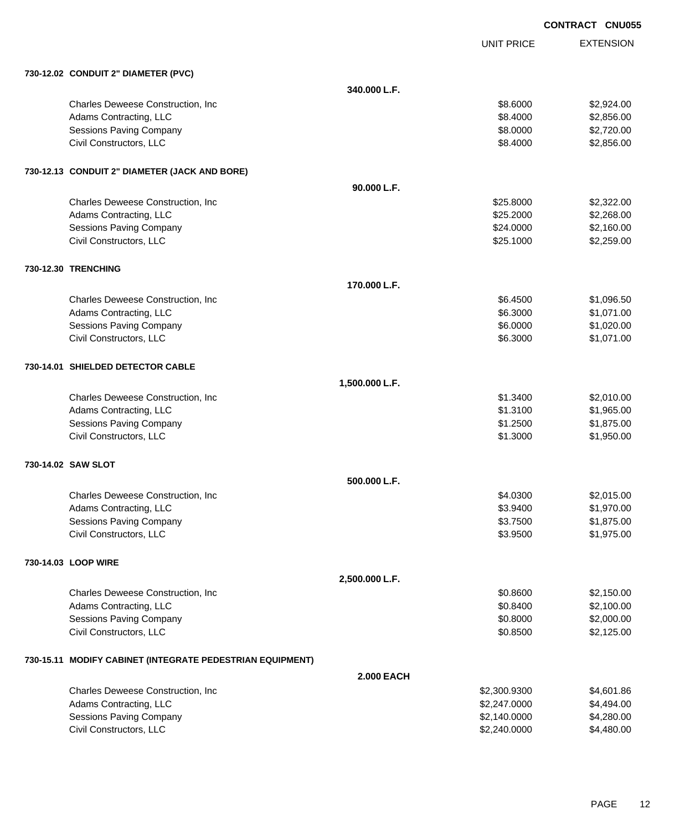|                                                           |                   |                   | <b>CONTRACT CNU055</b> |                  |
|-----------------------------------------------------------|-------------------|-------------------|------------------------|------------------|
|                                                           |                   | <b>UNIT PRICE</b> |                        | <b>EXTENSION</b> |
| 730-12.02 CONDUIT 2" DIAMETER (PVC)                       |                   |                   |                        |                  |
|                                                           | 340,000 L.F.      |                   |                        |                  |
| Charles Deweese Construction, Inc.                        |                   | \$8.6000          |                        | \$2,924.00       |
| Adams Contracting, LLC                                    |                   | \$8.4000          |                        | \$2,856.00       |
| Sessions Paving Company                                   |                   | \$8.0000          |                        | \$2,720.00       |
| Civil Constructors, LLC                                   |                   | \$8.4000          |                        | \$2,856.00       |
| 730-12.13 CONDUIT 2" DIAMETER (JACK AND BORE)             |                   |                   |                        |                  |
|                                                           | 90.000 L.F.       |                   |                        |                  |
| Charles Deweese Construction, Inc.                        |                   | \$25.8000         |                        | \$2,322.00       |
| Adams Contracting, LLC                                    |                   | \$25.2000         |                        | \$2,268.00       |
| Sessions Paving Company                                   |                   | \$24.0000         |                        | \$2,160.00       |
| Civil Constructors, LLC                                   |                   | \$25.1000         |                        | \$2,259.00       |
| 730-12.30 TRENCHING                                       |                   |                   |                        |                  |
|                                                           | 170.000 L.F.      |                   |                        |                  |
| Charles Deweese Construction, Inc.                        |                   | \$6.4500          |                        | \$1,096.50       |
| Adams Contracting, LLC                                    |                   | \$6.3000          |                        | \$1,071.00       |
| Sessions Paving Company                                   |                   | \$6.0000          |                        | \$1,020.00       |
| Civil Constructors, LLC                                   |                   | \$6.3000          |                        | \$1,071.00       |
| 730-14.01 SHIELDED DETECTOR CABLE                         |                   |                   |                        |                  |
|                                                           | 1,500.000 L.F.    |                   |                        |                  |
| Charles Deweese Construction, Inc                         |                   | \$1.3400          |                        | \$2,010.00       |
| Adams Contracting, LLC                                    |                   | \$1.3100          |                        | \$1,965.00       |
| Sessions Paving Company                                   |                   | \$1.2500          |                        | \$1,875.00       |
| Civil Constructors, LLC                                   |                   | \$1.3000          |                        | \$1,950.00       |
| 730-14.02 SAW SLOT                                        |                   |                   |                        |                  |
|                                                           | 500.000 L.F.      |                   |                        |                  |
| Charles Deweese Construction, Inc.                        |                   | \$4.0300          |                        | \$2,015.00       |
| Adams Contracting, LLC                                    |                   | \$3.9400          |                        | \$1,970.00       |
| Sessions Paving Company                                   |                   | \$3.7500          |                        | \$1,875.00       |
| Civil Constructors, LLC                                   |                   | \$3.9500          |                        | \$1,975.00       |
| 730-14.03 LOOP WIRE                                       |                   |                   |                        |                  |
|                                                           | 2,500.000 L.F.    |                   |                        |                  |
| Charles Deweese Construction, Inc.                        |                   | \$0.8600          |                        | \$2,150.00       |
| Adams Contracting, LLC                                    |                   | \$0.8400          |                        | \$2,100.00       |
| Sessions Paving Company                                   |                   | \$0.8000          |                        | \$2,000.00       |
| Civil Constructors, LLC                                   |                   | \$0.8500          |                        | \$2,125.00       |
| 730-15.11 MODIFY CABINET (INTEGRATE PEDESTRIAN EQUIPMENT) |                   |                   |                        |                  |
|                                                           | <b>2.000 EACH</b> |                   |                        |                  |
| Charles Deweese Construction, Inc                         |                   | \$2,300.9300      |                        | \$4,601.86       |
| Adams Contracting, LLC                                    |                   | \$2,247.0000      |                        | \$4,494.00       |
| Sessions Paving Company                                   |                   | \$2,140.0000      |                        | \$4,280.00       |

Sessions Paving Company \$2,140.0000 \$4,280.00<br>
Civil Constructors, LLC \$2,240.0000 \$4,480.00

Civil Constructors, LLC  $$2,240.0000$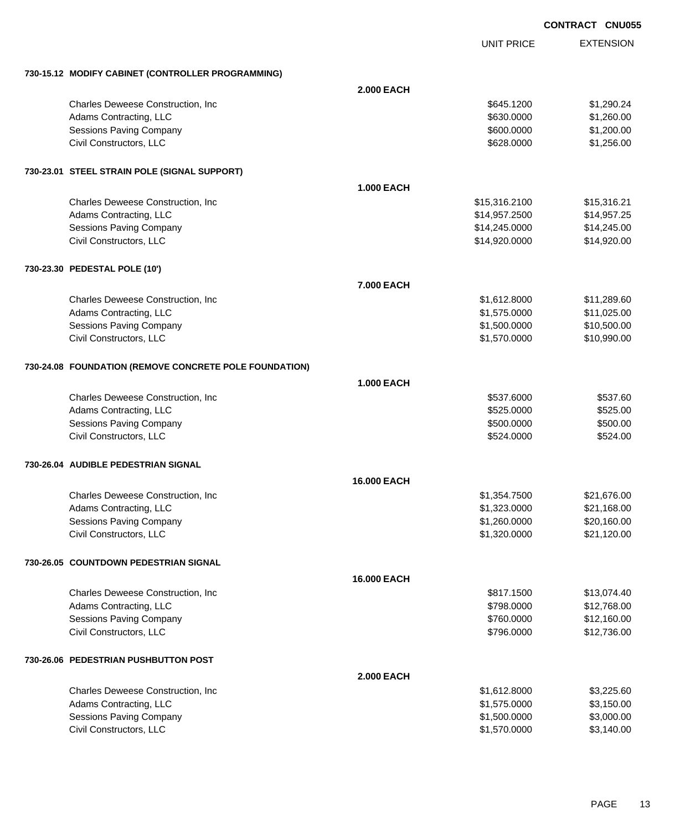|                                                        |                    |                   | <b>CONTRACT CNU055</b> |
|--------------------------------------------------------|--------------------|-------------------|------------------------|
|                                                        |                    | <b>UNIT PRICE</b> | <b>EXTENSION</b>       |
| 730-15.12 MODIFY CABINET (CONTROLLER PROGRAMMING)      |                    |                   |                        |
|                                                        | <b>2.000 EACH</b>  |                   |                        |
| Charles Deweese Construction, Inc                      |                    | \$645.1200        | \$1,290.24             |
| Adams Contracting, LLC                                 |                    | \$630.0000        | \$1,260.00             |
| Sessions Paving Company                                |                    | \$600.0000        | \$1,200.00             |
| Civil Constructors, LLC                                |                    | \$628.0000        | \$1,256.00             |
| 730-23.01 STEEL STRAIN POLE (SIGNAL SUPPORT)           |                    |                   |                        |
|                                                        | <b>1.000 EACH</b>  |                   |                        |
| Charles Deweese Construction, Inc                      |                    | \$15,316.2100     | \$15,316.21            |
| Adams Contracting, LLC                                 |                    | \$14,957.2500     | \$14,957.25            |
| <b>Sessions Paving Company</b>                         |                    | \$14,245.0000     | \$14,245.00            |
| Civil Constructors, LLC                                |                    | \$14,920.0000     | \$14,920.00            |
| 730-23.30 PEDESTAL POLE (10')                          |                    |                   |                        |
|                                                        | <b>7.000 EACH</b>  |                   |                        |
| Charles Deweese Construction, Inc.                     |                    | \$1,612.8000      | \$11,289.60            |
| Adams Contracting, LLC                                 |                    | \$1,575.0000      | \$11,025.00            |
| Sessions Paving Company                                |                    | \$1,500.0000      | \$10,500.00            |
| Civil Constructors, LLC                                |                    | \$1,570.0000      | \$10,990.00            |
| 730-24.08 FOUNDATION (REMOVE CONCRETE POLE FOUNDATION) |                    |                   |                        |
|                                                        | <b>1.000 EACH</b>  |                   |                        |
| Charles Deweese Construction, Inc.                     |                    | \$537.6000        | \$537.60               |
| Adams Contracting, LLC                                 |                    | \$525.0000        | \$525.00               |
| <b>Sessions Paving Company</b>                         |                    | \$500.0000        | \$500.00               |
| Civil Constructors, LLC                                |                    | \$524.0000        | \$524.00               |
| 730-26.04 AUDIBLE PEDESTRIAN SIGNAL                    |                    |                   |                        |
|                                                        | <b>16,000 EACH</b> |                   |                        |
| Charles Deweese Construction, Inc.                     |                    | \$1,354.7500      | \$21,676.00            |
| Adams Contracting, LLC                                 |                    | \$1,323.0000      | \$21,168.00            |
| Sessions Paving Company                                |                    | \$1,260.0000      | \$20,160.00            |
| Civil Constructors, LLC                                |                    | \$1,320.0000      | \$21,120.00            |
| 730-26.05 COUNTDOWN PEDESTRIAN SIGNAL                  |                    |                   |                        |
|                                                        | 16.000 EACH        |                   |                        |
| Charles Deweese Construction, Inc.                     |                    | \$817.1500        | \$13,074.40            |
| Adams Contracting, LLC                                 |                    | \$798.0000        | \$12,768.00            |
| <b>Sessions Paving Company</b>                         |                    | \$760.0000        | \$12,160.00            |
| Civil Constructors, LLC                                |                    | \$796.0000        | \$12,736.00            |
| 730-26.06 PEDESTRIAN PUSHBUTTON POST                   |                    |                   |                        |
|                                                        | <b>2.000 EACH</b>  |                   |                        |
| Charles Deweese Construction, Inc.                     |                    | \$1,612.8000      | \$3,225.60             |
| Adams Contracting, LLC                                 |                    | \$1,575.0000      | \$3,150.00             |
| Sessions Paving Company                                |                    | \$1,500.0000      | \$3,000.00             |
| Civil Constructors, LLC                                |                    | \$1,570.0000      | \$3,140.00             |
|                                                        |                    |                   |                        |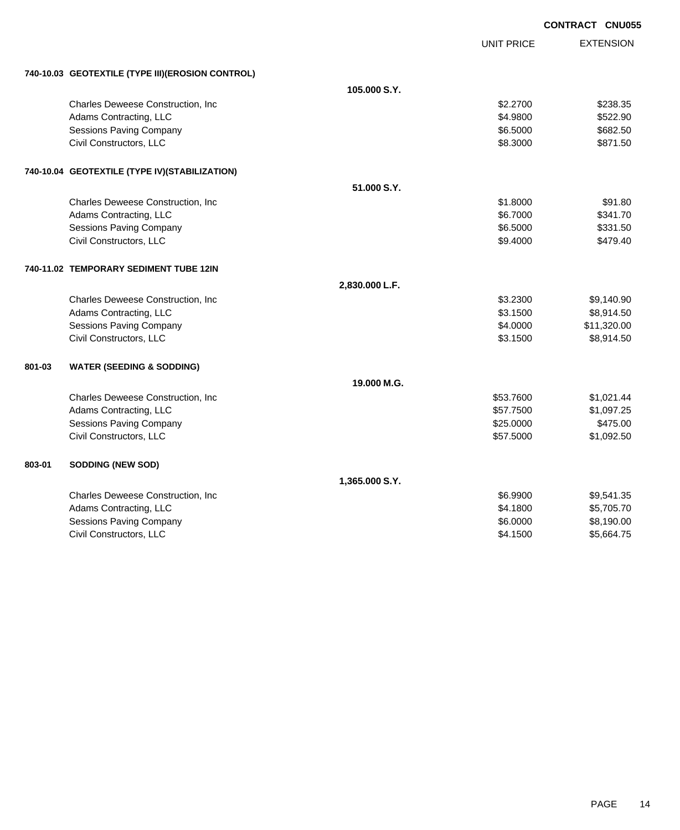|        |                                                  |                |            | <b>CONTRACT CNU055</b> |
|--------|--------------------------------------------------|----------------|------------|------------------------|
|        |                                                  |                | UNIT PRICE | <b>EXTENSION</b>       |
|        | 740-10.03 GEOTEXTILE (TYPE III)(EROSION CONTROL) |                |            |                        |
|        |                                                  | 105,000 S.Y.   |            |                        |
|        | Charles Deweese Construction, Inc.               |                | \$2.2700   | \$238.35               |
|        | Adams Contracting, LLC                           |                | \$4,9800   | \$522.90               |
|        | <b>Sessions Paving Company</b>                   |                | \$6.5000   | \$682.50               |
|        | Civil Constructors, LLC                          |                | \$8.3000   | \$871.50               |
|        | 740-10.04 GEOTEXTILE (TYPE IV)(STABILIZATION)    |                |            |                        |
|        |                                                  | 51.000 S.Y.    |            |                        |
|        | Charles Deweese Construction, Inc.               |                | \$1.8000   | \$91.80                |
|        | Adams Contracting, LLC                           |                | \$6.7000   | \$341.70               |
|        | <b>Sessions Paving Company</b>                   |                | \$6.5000   | \$331.50               |
|        | Civil Constructors, LLC                          |                | \$9,4000   | \$479.40               |
|        | 740-11.02 TEMPORARY SEDIMENT TUBE 12IN           |                |            |                        |
|        |                                                  | 2,830.000 L.F. |            |                        |
|        | Charles Deweese Construction, Inc                |                | \$3,2300   | \$9,140.90             |
|        | Adams Contracting, LLC                           |                | \$3.1500   | \$8,914.50             |
|        | <b>Sessions Paving Company</b>                   |                | \$4.0000   | \$11,320.00            |
|        | Civil Constructors, LLC                          |                | \$3.1500   | \$8,914.50             |
| 801-03 | <b>WATER (SEEDING &amp; SODDING)</b>             |                |            |                        |
|        |                                                  | 19.000 M.G.    |            |                        |
|        | Charles Deweese Construction, Inc.               |                | \$53.7600  | \$1,021.44             |
|        | Adams Contracting, LLC                           |                | \$57.7500  | \$1,097.25             |
|        | <b>Sessions Paving Company</b>                   |                | \$25.0000  | \$475.00               |
|        | Civil Constructors, LLC                          |                | \$57.5000  | \$1,092.50             |
| 803-01 | <b>SODDING (NEW SOD)</b>                         |                |            |                        |
|        |                                                  | 1,365.000 S.Y. |            |                        |
|        | Charles Deweese Construction, Inc                |                | \$6.9900   | \$9,541.35             |
|        | Adams Contracting, LLC                           |                | \$4.1800   | \$5,705.70             |
|        | <b>Sessions Paving Company</b>                   |                | \$6.0000   | \$8,190.00             |
|        | Civil Constructors, LLC                          |                | \$4.1500   | \$5,664.75             |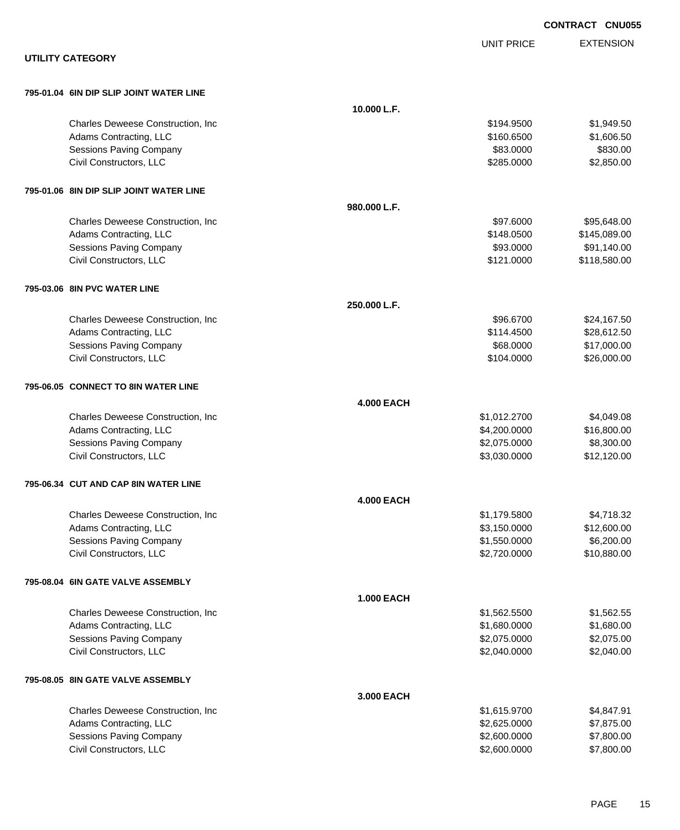|                                         |                   |                   | <b>CONTRACT CNU055</b> |
|-----------------------------------------|-------------------|-------------------|------------------------|
|                                         |                   | <b>UNIT PRICE</b> | <b>EXTENSION</b>       |
| <b>UTILITY CATEGORY</b>                 |                   |                   |                        |
| 795-01.04 6IN DIP SLIP JOINT WATER LINE |                   |                   |                        |
|                                         | 10.000 L.F.       |                   |                        |
| Charles Deweese Construction, Inc       |                   | \$194.9500        | \$1,949.50             |
| Adams Contracting, LLC                  |                   | \$160.6500        | \$1,606.50             |
| Sessions Paving Company                 |                   | \$83.0000         | \$830.00               |
| Civil Constructors, LLC                 |                   | \$285.0000        | \$2,850.00             |
| 795-01.06 8IN DIP SLIP JOINT WATER LINE |                   |                   |                        |
|                                         | 980.000 L.F.      |                   |                        |
| Charles Deweese Construction, Inc       |                   | \$97.6000         | \$95,648.00            |
| Adams Contracting, LLC                  |                   | \$148.0500        | \$145,089.00           |
| Sessions Paving Company                 |                   | \$93.0000         | \$91,140.00            |
| Civil Constructors, LLC                 |                   | \$121.0000        | \$118,580.00           |
| 795-03.06 8IN PVC WATER LINE            |                   |                   |                        |
|                                         | 250.000 L.F.      |                   |                        |
| Charles Deweese Construction, Inc       |                   | \$96.6700         | \$24,167.50            |
| Adams Contracting, LLC                  |                   | \$114.4500        | \$28,612.50            |
| Sessions Paving Company                 |                   | \$68.0000         | \$17,000.00            |
| Civil Constructors, LLC                 |                   | \$104.0000        | \$26,000.00            |
| 795-06.05 CONNECT TO 8IN WATER LINE     |                   |                   |                        |
|                                         | <b>4.000 EACH</b> |                   |                        |
| Charles Deweese Construction, Inc       |                   | \$1,012.2700      | \$4,049.08             |
| Adams Contracting, LLC                  |                   | \$4,200.0000      | \$16,800.00            |
| <b>Sessions Paving Company</b>          |                   | \$2,075.0000      | \$8,300.00             |
| Civil Constructors, LLC                 |                   | \$3,030.0000      | \$12,120.00            |
| 795-06.34 CUT AND CAP 8IN WATER LINE    |                   |                   |                        |
|                                         | <b>4.000 EACH</b> |                   |                        |
| Charles Deweese Construction, Inc       |                   | \$1,179.5800      | \$4,718.32             |
| Adams Contracting, LLC                  |                   | \$3,150.0000      | \$12,600.00            |
| Sessions Paving Company                 |                   | \$1,550.0000      | \$6,200.00             |
| Civil Constructors, LLC                 |                   | \$2,720.0000      | \$10,880.00            |
| 795-08.04 6IN GATE VALVE ASSEMBLY       |                   |                   |                        |
|                                         | <b>1.000 EACH</b> |                   |                        |
| Charles Deweese Construction, Inc       |                   | \$1,562.5500      | \$1,562.55             |
| Adams Contracting, LLC                  |                   | \$1,680.0000      | \$1,680.00             |
| Sessions Paving Company                 |                   | \$2,075.0000      | \$2,075.00             |
| Civil Constructors, LLC                 |                   | \$2,040.0000      | \$2,040.00             |
| 795-08.05 8IN GATE VALVE ASSEMBLY       |                   |                   |                        |
|                                         | 3.000 EACH        |                   |                        |
| Charles Deweese Construction, Inc.      |                   | \$1,615.9700      | \$4,847.91             |
| Adams Contracting, LLC                  |                   | \$2,625.0000      | \$7,875.00             |
| Sessions Paving Company                 |                   | \$2,600.0000      | \$7,800.00             |
| Civil Constructors, LLC                 |                   | \$2,600.0000      | \$7,800.00             |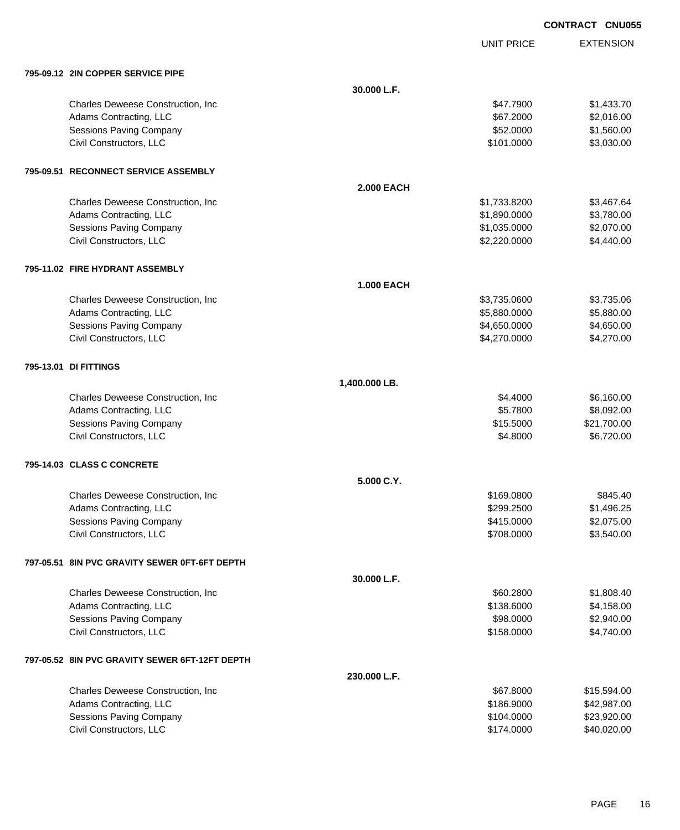|                                                |                   | <b>UNIT PRICE</b> | <b>EXTENSION</b> |
|------------------------------------------------|-------------------|-------------------|------------------|
| 795-09.12 2IN COPPER SERVICE PIPE              |                   |                   |                  |
|                                                | 30.000 L.F.       |                   |                  |
| Charles Deweese Construction, Inc              |                   | \$47.7900         | \$1,433.70       |
| Adams Contracting, LLC                         |                   | \$67.2000         | \$2,016.00       |
| Sessions Paving Company                        |                   | \$52.0000         | \$1,560.00       |
| Civil Constructors, LLC                        |                   | \$101.0000        | \$3,030.00       |
| 795-09.51 RECONNECT SERVICE ASSEMBLY           |                   |                   |                  |
|                                                | <b>2.000 EACH</b> |                   |                  |
| Charles Deweese Construction, Inc              |                   | \$1,733.8200      | \$3,467.64       |
| Adams Contracting, LLC                         |                   | \$1,890.0000      | \$3,780.00       |
| Sessions Paving Company                        |                   | \$1,035.0000      | \$2,070.00       |
| Civil Constructors, LLC                        |                   | \$2,220.0000      | \$4,440.00       |
| 795-11.02 FIRE HYDRANT ASSEMBLY                |                   |                   |                  |
|                                                | <b>1.000 EACH</b> |                   |                  |
| Charles Deweese Construction, Inc.             |                   | \$3,735.0600      | \$3,735.06       |
| Adams Contracting, LLC                         |                   | \$5,880.0000      | \$5,880.00       |
| <b>Sessions Paving Company</b>                 |                   | \$4,650.0000      | \$4,650.00       |
| Civil Constructors, LLC                        |                   | \$4,270.0000      | \$4,270.00       |
| 795-13.01 DI FITTINGS                          |                   |                   |                  |
|                                                | 1,400.000 LB.     |                   |                  |
| Charles Deweese Construction, Inc              |                   | \$4.4000          | \$6,160.00       |
| Adams Contracting, LLC                         |                   | \$5.7800          | \$8,092.00       |
| Sessions Paving Company                        |                   | \$15.5000         | \$21,700.00      |
| Civil Constructors, LLC                        |                   | \$4.8000          | \$6,720.00       |
| 795-14.03 CLASS C CONCRETE                     |                   |                   |                  |
|                                                | 5.000 C.Y.        |                   |                  |
| Charles Deweese Construction, Inc              |                   | \$169.0800        | \$845.40         |
| Adams Contracting, LLC                         |                   | \$299.2500        | \$1,496.25       |
| Sessions Paving Company                        |                   | \$415.0000        | \$2,075.00       |
| Civil Constructors, LLC                        |                   | \$708.0000        | \$3,540.00       |
| 797-05.51 8IN PVC GRAVITY SEWER 0FT-6FT DEPTH  |                   |                   |                  |
|                                                | 30.000 L.F.       |                   |                  |
| Charles Deweese Construction, Inc              |                   | \$60.2800         | \$1,808.40       |
| Adams Contracting, LLC                         |                   | \$138.6000        | \$4,158.00       |
| <b>Sessions Paving Company</b>                 |                   | \$98.0000         | \$2,940.00       |
| Civil Constructors, LLC                        |                   | \$158.0000        | \$4,740.00       |
| 797-05.52 8IN PVC GRAVITY SEWER 6FT-12FT DEPTH |                   |                   |                  |
|                                                | 230.000 L.F.      |                   |                  |
| Charles Deweese Construction, Inc.             |                   | \$67.8000         | \$15,594.00      |
| Adams Contracting, LLC                         |                   | \$186.9000        | \$42,987.00      |
| Sessions Paving Company                        |                   | \$104.0000        | \$23,920.00      |
| Civil Constructors, LLC                        |                   | \$174.0000        | \$40,020.00      |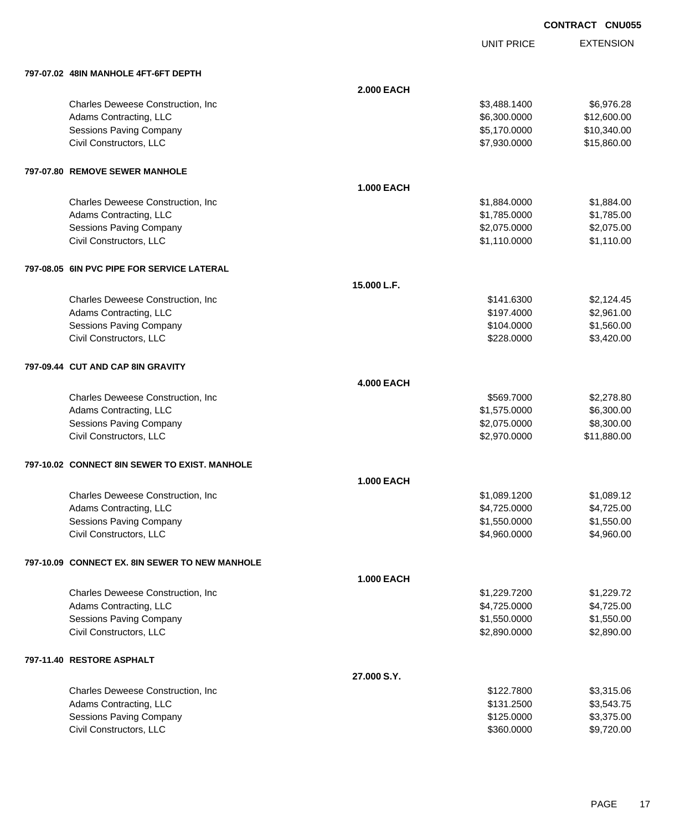UNIT PRICE EXTENSION

| 797-07.02 48IN MANHOLE 4FT-6FT DEPTH           |                   |              |             |
|------------------------------------------------|-------------------|--------------|-------------|
|                                                | <b>2.000 EACH</b> |              |             |
| Charles Deweese Construction, Inc.             |                   | \$3,488.1400 | \$6,976.28  |
| Adams Contracting, LLC                         |                   | \$6,300.0000 | \$12,600.00 |
| <b>Sessions Paving Company</b>                 |                   | \$5,170.0000 | \$10,340.00 |
| Civil Constructors, LLC                        |                   | \$7,930.0000 | \$15,860.00 |
| 797-07.80 REMOVE SEWER MANHOLE                 |                   |              |             |
|                                                | <b>1.000 EACH</b> |              |             |
| Charles Deweese Construction, Inc              |                   | \$1,884.0000 | \$1,884.00  |
| Adams Contracting, LLC                         |                   | \$1,785.0000 | \$1,785.00  |
| <b>Sessions Paving Company</b>                 |                   | \$2,075.0000 | \$2,075.00  |
| Civil Constructors, LLC                        |                   | \$1,110.0000 | \$1,110.00  |
| 797-08.05 6IN PVC PIPE FOR SERVICE LATERAL     |                   |              |             |
|                                                | 15.000 L.F.       |              |             |
| Charles Deweese Construction, Inc.             |                   | \$141.6300   | \$2,124.45  |
| Adams Contracting, LLC                         |                   | \$197.4000   | \$2,961.00  |
| <b>Sessions Paving Company</b>                 |                   | \$104.0000   | \$1,560.00  |
| Civil Constructors, LLC                        |                   | \$228.0000   | \$3,420.00  |
| 797-09.44 CUT AND CAP 8IN GRAVITY              |                   |              |             |
|                                                | <b>4.000 EACH</b> |              |             |
| Charles Deweese Construction, Inc.             |                   | \$569.7000   | \$2,278.80  |
| Adams Contracting, LLC                         |                   | \$1,575.0000 | \$6,300.00  |
| <b>Sessions Paving Company</b>                 |                   | \$2,075.0000 | \$8,300.00  |
| Civil Constructors, LLC                        |                   | \$2,970.0000 | \$11,880.00 |
| 797-10.02 CONNECT 8IN SEWER TO EXIST. MANHOLE  |                   |              |             |
|                                                | <b>1.000 EACH</b> |              |             |
| Charles Deweese Construction, Inc              |                   | \$1,089.1200 | \$1,089.12  |
| Adams Contracting, LLC                         |                   | \$4,725.0000 | \$4,725.00  |
| Sessions Paving Company                        |                   | \$1,550.0000 | \$1,550.00  |
| Civil Constructors, LLC                        |                   | \$4,960.0000 | \$4,960.00  |
| 797-10.09 CONNECT EX. 8IN SEWER TO NEW MANHOLE |                   |              |             |
|                                                | <b>1.000 EACH</b> |              |             |
| Charles Deweese Construction, Inc              |                   | \$1,229.7200 | \$1,229.72  |
| Adams Contracting, LLC                         |                   | \$4,725.0000 | \$4,725.00  |
| <b>Sessions Paving Company</b>                 |                   | \$1,550.0000 | \$1,550.00  |
| Civil Constructors, LLC                        |                   | \$2,890.0000 | \$2,890.00  |
| 797-11.40 RESTORE ASPHALT                      |                   |              |             |
|                                                | 27.000 S.Y.       |              |             |
| Charles Deweese Construction, Inc              |                   | \$122.7800   | \$3,315.06  |
| Adams Contracting, LLC                         |                   | \$131.2500   | \$3,543.75  |
| <b>Sessions Paving Company</b>                 |                   | \$125.0000   | \$3,375.00  |
| Civil Constructors, LLC                        |                   | \$360.0000   | \$9,720.00  |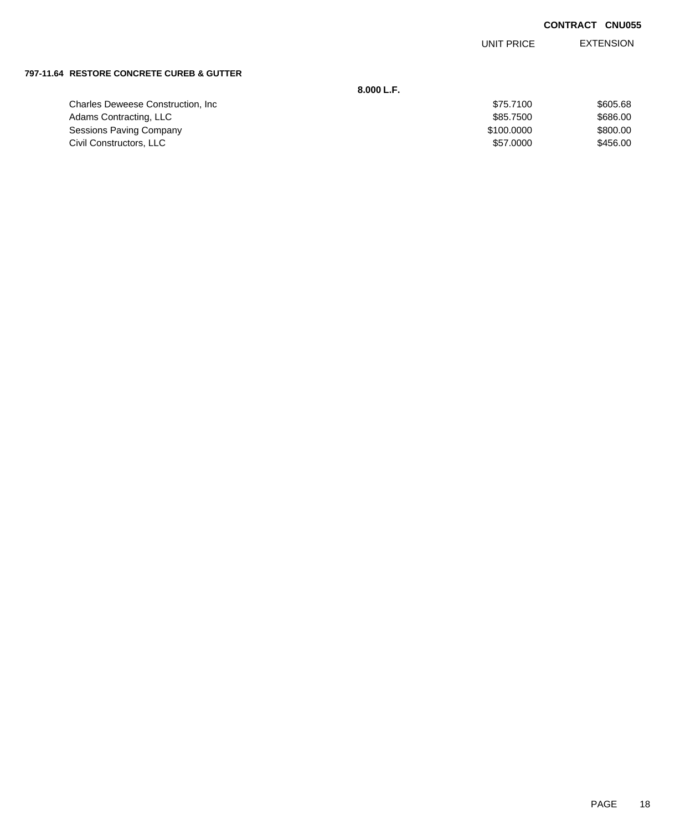EXTENSION UNIT PRICE

### **797-11.64 RESTORE CONCRETE CUREB & GUTTER**

|                                           | 8.000 L.F. |          |
|-------------------------------------------|------------|----------|
| <b>Charles Deweese Construction, Inc.</b> | \$75.7100  | \$605.68 |
| Adams Contracting, LLC                    | \$85,7500  | \$686.00 |
| Sessions Paving Company                   | \$100,0000 | \$800.00 |
| Civil Constructors, LLC                   | \$57,0000  | \$456.00 |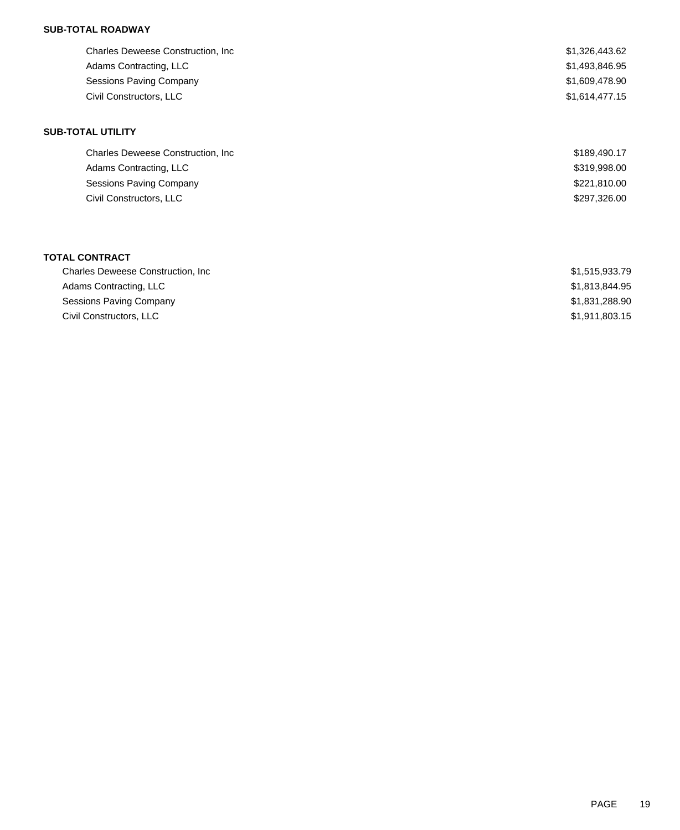### **SUB-TOTAL ROADWAY**

| <b>Charles Deweese Construction, Inc.</b> | \$1,326,443.62 |
|-------------------------------------------|----------------|
| Adams Contracting, LLC                    | \$1,493,846.95 |
| <b>Sessions Paving Company</b>            | \$1,609,478.90 |
| Civil Constructors, LLC                   | \$1,614,477.15 |
| <b>SUB-TOTAL UTILITY</b>                  |                |
| <b>Charles Deweese Construction, Inc.</b> | \$189,490.17   |
| Adams Contracting, LLC                    | \$319,998.00   |
| <b>Sessions Paving Company</b>            | \$221,810.00   |
| Civil Constructors, LLC                   | \$297,326.00   |
|                                           |                |
|                                           |                |
|                                           |                |

### **TOTAL CONTRACT**

| <b>Charles Deweese Construction, Inc.</b> | \$1,515,933.79 |
|-------------------------------------------|----------------|
| Adams Contracting, LLC                    | \$1.813.844.95 |
| Sessions Paving Company                   | \$1,831,288.90 |
| Civil Constructors, LLC                   | \$1,911,803.15 |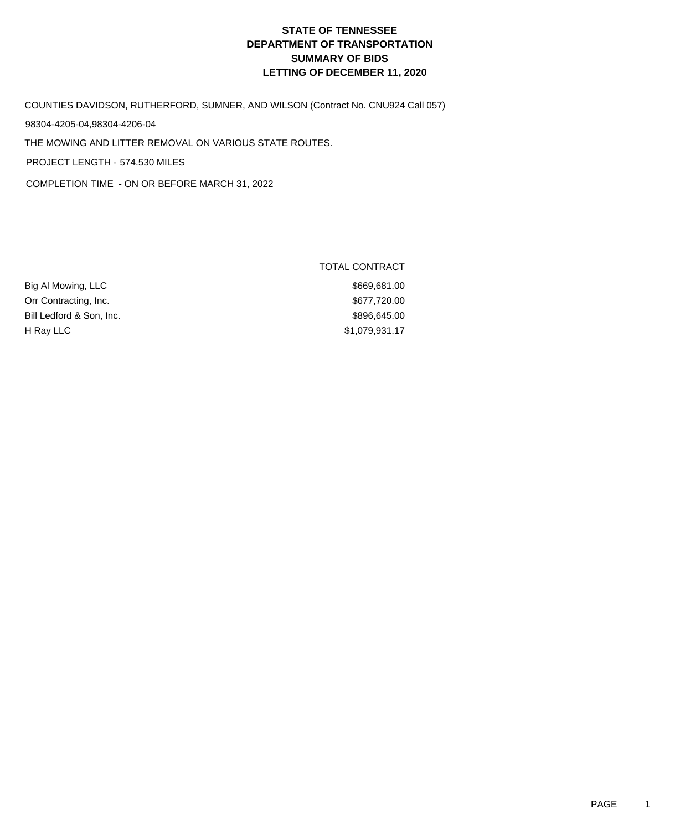## **DEPARTMENT OF TRANSPORTATION SUMMARY OF BIDS LETTING OF DECEMBER 11, 2020 STATE OF TENNESSEE**

COUNTIES DAVIDSON, RUTHERFORD, SUMNER, AND WILSON (Contract No. CNU924 Call 057)

98304-4205-04,98304-4206-04

THE MOWING AND LITTER REMOVAL ON VARIOUS STATE ROUTES.

PROJECT LENGTH - 574.530 MILES

COMPLETION TIME - ON OR BEFORE MARCH 31, 2022

|                          | <b>TOTAL CONTRACT</b> |
|--------------------------|-----------------------|
| Big Al Mowing, LLC       | \$669,681.00          |
| Orr Contracting, Inc.    | \$677,720.00          |
| Bill Ledford & Son, Inc. | \$896,645.00          |
| H Ray LLC                | \$1,079,931.17        |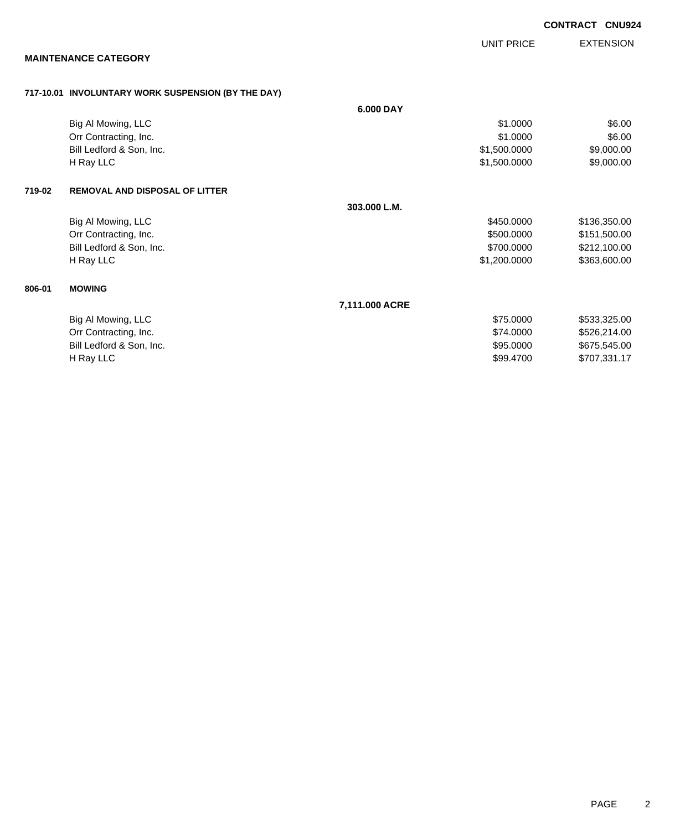|        |                                                    |                | <b>UNIT PRICE</b> | <b>EXTENSION</b> |
|--------|----------------------------------------------------|----------------|-------------------|------------------|
|        | <b>MAINTENANCE CATEGORY</b>                        |                |                   |                  |
|        | 717-10.01 INVOLUNTARY WORK SUSPENSION (BY THE DAY) |                |                   |                  |
|        |                                                    | 6.000 DAY      |                   |                  |
|        | Big Al Mowing, LLC                                 |                | \$1.0000          | \$6.00           |
|        | Orr Contracting, Inc.                              |                | \$1.0000          | \$6.00           |
|        | Bill Ledford & Son, Inc.                           |                | \$1,500.0000      | \$9,000.00       |
|        | H Ray LLC                                          |                | \$1,500.0000      | \$9,000.00       |
| 719-02 | <b>REMOVAL AND DISPOSAL OF LITTER</b>              |                |                   |                  |
|        |                                                    | 303.000 L.M.   |                   |                  |
|        | Big Al Mowing, LLC                                 |                | \$450.0000        | \$136,350.00     |
|        | Orr Contracting, Inc.                              |                | \$500.0000        | \$151,500.00     |
|        | Bill Ledford & Son, Inc.                           |                | \$700.0000        | \$212,100.00     |
|        | H Ray LLC                                          |                | \$1,200.0000      | \$363,600.00     |
| 806-01 | <b>MOWING</b>                                      |                |                   |                  |
|        |                                                    | 7,111.000 ACRE |                   |                  |

|                          | 7.111.000 ACKE |              |
|--------------------------|----------------|--------------|
| Big Al Mowing, LLC       | \$75,0000      | \$533,325,00 |
| Orr Contracting, Inc.    | \$74.0000      | \$526.214.00 |
| Bill Ledford & Son, Inc. | \$95,0000      | \$675.545.00 |
| H Rav LLC                | \$99,4700      | \$707,331.17 |

**CONTRACT CNU924**